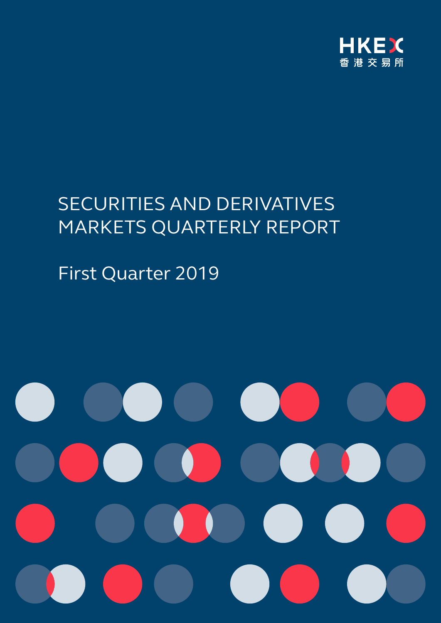

# SECURITIES AND DERIVATIVES MARKETS QUARTERLY REPORT

# First Quarter 2019

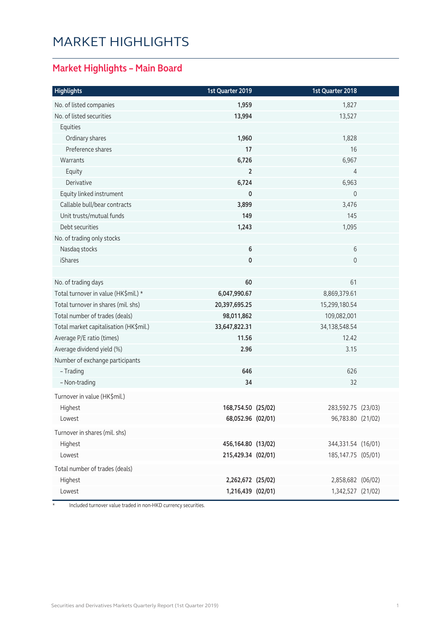# MARKET HIGHLIGHTS

### **Market Highlights – Main Board**

| <b>Highlights</b>                      | 1st Quarter 2019   | 1st Quarter 2018     |  |
|----------------------------------------|--------------------|----------------------|--|
| No. of listed companies                | 1,959              | 1,827                |  |
| No. of listed securities               | 13,994             | 13,527               |  |
| Equities                               |                    |                      |  |
| Ordinary shares                        | 1,960              | 1,828                |  |
| Preference shares                      | 17                 | 16                   |  |
| Warrants                               | 6,726              | 6,967                |  |
| Equity                                 | $\overline{2}$     | 4                    |  |
| Derivative                             | 6,724              | 6,963                |  |
| Equity linked instrument               | 0                  | $\mathbf 0$          |  |
| Callable bull/bear contracts           | 3,899              | 3,476                |  |
| Unit trusts/mutual funds               | 149                | 145                  |  |
| Debt securities                        | 1,243              | 1,095                |  |
| No. of trading only stocks             |                    |                      |  |
| Nasdaq stocks                          | $\bf 6$            | 6                    |  |
| iShares                                | 0                  | $\mathsf{O}\xspace$  |  |
|                                        |                    |                      |  |
| No. of trading days                    | 60                 | 61                   |  |
| Total turnover in value (HK\$mil.) *   | 6,047,990.67       | 8,869,379.61         |  |
| Total turnover in shares (mil. shs)    | 20,397,695.25      | 15,299,180.54        |  |
| Total number of trades (deals)         | 98,011,862         | 109,082,001          |  |
| Total market capitalisation (HK\$mil.) | 33,647,822.31      | 34,138,548.54        |  |
| Average P/E ratio (times)              | 11.56              | 12.42                |  |
| Average dividend yield (%)             | 2.96               | 3.15                 |  |
| Number of exchange participants        |                    |                      |  |
| - Trading                              | 646                | 626                  |  |
| - Non-trading                          | 34                 | 32                   |  |
| Turnover in value (HK\$mil.)           |                    |                      |  |
| Highest                                | 168,754.50 (25/02) | 283,592.75 (23/03)   |  |
| Lowest                                 | 68,052.96 (02/01)  | 96,783.80 (21/02)    |  |
| Turnover in shares (mil. shs)          |                    |                      |  |
| Highest                                | 456,164.80 (13/02) | 344,331.54 (16/01)   |  |
| Lowest                                 | 215,429.34 (02/01) | 185, 147. 75 (05/01) |  |
| Total number of trades (deals)         |                    |                      |  |
| Highest                                | 2,262,672 (25/02)  | 2,858,682 (06/02)    |  |
| Lowest                                 | 1,216,439 (02/01)  | 1,342,527 (21/02)    |  |
|                                        |                    |                      |  |

\* Included turnover value traded in non-HKD currency securities.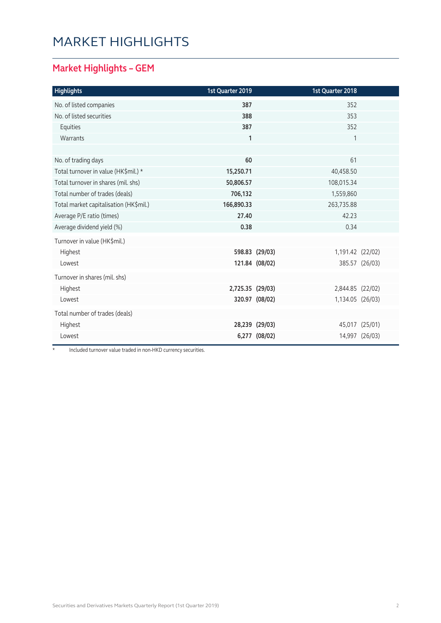# Market Highlights

#### **Market Highlights – GEM**

| <b>Highlights</b>                      | 1st Quarter 2019 |                | 1st Quarter 2018 |                |
|----------------------------------------|------------------|----------------|------------------|----------------|
| No. of listed companies                | 387              |                | 352              |                |
| No. of listed securities               | 388              |                | 353              |                |
| Equities                               | 387              |                | 352              |                |
| Warrants                               | $\mathbf{1}$     |                | 1                |                |
|                                        |                  |                |                  |                |
| No. of trading days                    | 60               |                | 61               |                |
| Total turnover in value (HK\$mil.) *   | 15,250.71        |                | 40,458.50        |                |
| Total turnover in shares (mil. shs)    | 50,806.57        |                | 108,015.34       |                |
| Total number of trades (deals)         | 706,132          |                | 1,559,860        |                |
| Total market capitalisation (HK\$mil.) | 166,890.33       |                | 263,735.88       |                |
| Average P/E ratio (times)              | 27.40            |                | 42.23            |                |
| Average dividend yield (%)             | 0.38             |                | 0.34             |                |
| Turnover in value (HK\$mil.)           |                  |                |                  |                |
| Highest                                |                  | 598.83 (29/03) | 1,191.42 (22/02) |                |
| Lowest                                 |                  | 121.84 (08/02) |                  | 385.57 (26/03) |
| Turnover in shares (mil. shs)          |                  |                |                  |                |
| Highest                                | 2,725.35 (29/03) |                | 2,844.85 (22/02) |                |
| Lowest                                 |                  | 320.97 (08/02) | 1,134.05 (26/03) |                |
| Total number of trades (deals)         |                  |                |                  |                |
| Highest                                |                  | 28,239 (29/03) |                  | 45,017 (25/01) |
| Lowest                                 |                  | 6,277 (08/02)  |                  | 14,997 (26/03) |

\* Included turnover value traded in non-HKD currency securities.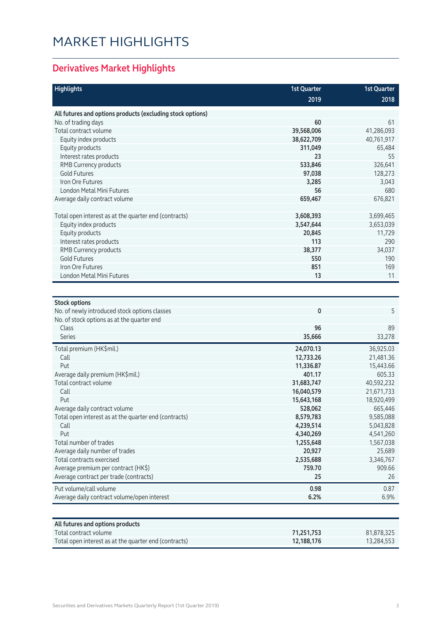# Market Highlights

### **Derivatives Market Highlights**

| <b>Highlights</b>                                                     | <b>1st Quarter</b>       | <b>1st Quarter</b>       |
|-----------------------------------------------------------------------|--------------------------|--------------------------|
|                                                                       | 2019                     | 2018                     |
| All futures and options products (excluding stock options)            |                          |                          |
| No. of trading days                                                   | 60                       | 61                       |
| Total contract volume                                                 | 39,568,006               | 41,286,093               |
| Equity index products                                                 | 38,622,709               | 40,761,917               |
| Equity products                                                       | 311,049                  | 65,484                   |
| Interest rates products                                               | 23                       | 55                       |
| RMB Currency products                                                 | 533,846                  | 326,641                  |
| <b>Gold Futures</b>                                                   | 97,038                   | 128,273                  |
| Iron Ore Futures                                                      | 3,285                    | 3,043                    |
| London Metal Mini Futures                                             | 56                       | 680                      |
| Average daily contract volume                                         | 659,467                  | 676,821                  |
| Total open interest as at the quarter end (contracts)                 | 3,608,393                | 3,699,465                |
| Equity index products                                                 | 3,547,644                | 3,653,039                |
| Equity products                                                       | 20,845                   | 11,729                   |
| Interest rates products                                               | 113                      | 290                      |
| RMB Currency products                                                 | 38,377                   | 34,037                   |
| <b>Gold Futures</b>                                                   | 550                      | 190                      |
| <b>Iron Ore Futures</b>                                               | 851                      | 169                      |
| London Metal Mini Futures                                             | 13                       | 11                       |
|                                                                       |                          |                          |
|                                                                       |                          |                          |
| <b>Stock options</b><br>No. of newly introduced stock options classes | 0                        | 5                        |
| No. of stock options as at the quarter end                            |                          |                          |
| Class                                                                 | 96                       | 89                       |
| <b>Series</b>                                                         | 35,666                   | 33,278                   |
|                                                                       |                          |                          |
| Total premium (HK\$mil.)                                              | 24,070.13                | 36,925.03                |
| Call                                                                  | 12,733.26                | 21,481.36                |
| Put                                                                   | 11,336.87                | 15,443.66                |
| Average daily premium (HK\$mil.)                                      | 401.17                   | 605.33                   |
| Total contract volume                                                 | 31,683,747<br>16,040,579 | 40,592,232               |
| Call<br>Put                                                           | 15,643,168               | 21,671,733<br>18,920,499 |
| Average daily contract volume                                         | 528,062                  | 665,446                  |
| Total open interest as at the quarter end (contracts)                 | 8,579,783                | 9,585,088                |
| Call                                                                  | 4,239,514                | 5,043,828                |
| Put                                                                   | 4,340,269                | 4,541,260                |
| Total number of trades                                                | 1,255,648                | 1,567,038                |
| Average daily number of trades                                        | 20,927                   | 25,689                   |
| Total contracts exercised                                             | 2,535,688                | 3,346,767                |
| Average premium per contract (HK\$)                                   | 759.70                   | 909.66                   |
| Average contract per trade (contracts)                                | 25                       | 26                       |
| Put volume/call volume                                                | 0.98                     | 0.87                     |
| Average daily contract volume/open interest                           | 6.2%                     | 6.9%                     |
|                                                                       |                          |                          |
|                                                                       |                          |                          |
| All futures and options products                                      |                          |                          |

| All futures and options products                      |            |            |
|-------------------------------------------------------|------------|------------|
| Total contract volume                                 | 71.251.753 | 81,878,325 |
| Total open interest as at the quarter end (contracts) | 12.188.176 | 13,284,553 |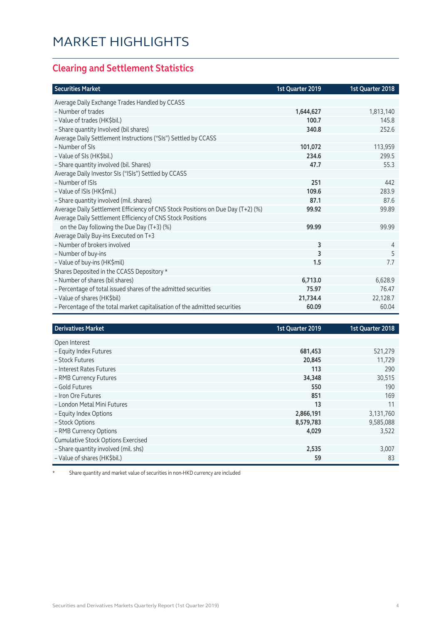#### **Clearing and Settlement Statistics**

| <b>Securities Market</b>                                                        | 1st Quarter 2019 | 1st Quarter 2018 |
|---------------------------------------------------------------------------------|------------------|------------------|
| Average Daily Exchange Trades Handled by CCASS                                  |                  |                  |
| - Number of trades                                                              | 1,644,627        | 1,813,140        |
| - Value of trades (HK\$bil.)                                                    | 100.7            | 145.8            |
| - Share quantity Involved (bil shares)                                          | 340.8            | 252.6            |
| Average Daily Settlement Instructions ("SIs") Settled by CCASS                  |                  |                  |
| - Number of SIs                                                                 | 101,072          | 113,959          |
| - Value of SIs (HK\$bil.)                                                       | 234.6            | 299.5            |
| - Share quantity involved (bil. Shares)                                         | 47.7             | 55.3             |
| Average Daily Investor SIs ("ISIs") Settled by CCASS                            |                  |                  |
| - Number of ISIs                                                                | 251              | 442              |
| - Value of ISIs (HK\$mil.)                                                      | 109.6            | 283.9            |
| - Share quantity involved (mil. shares)                                         | 87.1             | 87.6             |
| Average Daily Settlement Efficiency of CNS Stock Positions on Due Day (T+2) (%) | 99.92            | 99.89            |
| Average Daily Settlement Efficiency of CNS Stock Positions                      |                  |                  |
| on the Day following the Due Day (T+3) (%)                                      | 99.99            | 99.99            |
| Average Daily Buy-ins Executed on T+3                                           |                  |                  |
| - Number of brokers involved                                                    | 3                | 4                |
| - Number of buy-ins                                                             | 3                | 5                |
| - Value of buy-ins (HK\$mil)                                                    | 1.5              | 7.7              |
| Shares Deposited in the CCASS Depository *                                      |                  |                  |
| - Number of shares (bil shares)                                                 | 6,713.0          | 6,628.9          |
| - Percentage of total issued shares of the admitted securities                  | 75.97            | 76.47            |
| - Value of shares (HK\$bil)                                                     | 21,734.4         | 22,128.7         |
| - Percentage of the total market capitalisation of the admitted securities      | 60.09            | 60.04            |

| <b>Derivatives Market</b>                 | 1st Quarter 2019 | 1st Quarter 2018 |
|-------------------------------------------|------------------|------------------|
| Open Interest                             |                  |                  |
| - Equity Index Futures                    | 681,453          | 521,279          |
| - Stock Futures                           | 20,845           | 11,729           |
| - Interest Rates Futures                  | 113              | 290              |
| - RMB Currency Futures                    | 34,348           | 30,515           |
| - Gold Futures                            | 550              | 190              |
| - Iron Ore Futures                        | 851              | 169              |
| - London Metal Mini Futures               | 13               | 11               |
| - Equity Index Options                    | 2,866,191        | 3,131,760        |
| - Stock Options                           | 8,579,783        | 9,585,088        |
| - RMB Currency Options                    | 4,029            | 3,522            |
| <b>Cumulative Stock Options Exercised</b> |                  |                  |
| - Share quantity involved (mil. shs)      | 2,535            | 3,007            |
| - Value of shares (HK\$bil.)              | 59               | 83               |

\* Share quantity and market value of securities in non-HKD currency are included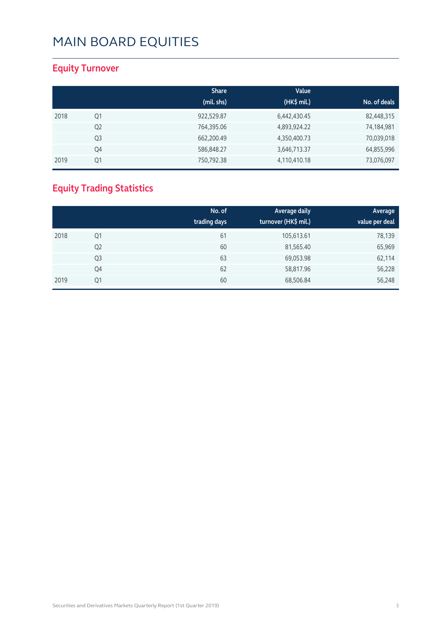#### **Equity Turnover**

|      |                | <b>Share</b> | Value        |              |
|------|----------------|--------------|--------------|--------------|
|      |                | (mil. shs)   | (HK\$ mil.)  | No. of deals |
| 2018 | Q1             | 922,529.87   | 6,442,430.45 | 82,448,315   |
|      | Q <sub>2</sub> | 764,395.06   | 4,893,924.22 | 74,184,981   |
|      | Q <sub>3</sub> | 662,200.49   | 4,350,400.73 | 70,039,018   |
|      | Q4             | 586,848.27   | 3,646,713.37 | 64,855,996   |
| 2019 | Q1             | 750,792.38   | 4,110,410.18 | 73,076,097   |

### **Equity Trading Statistics**

|      |                | No. of<br>trading days | Average daily<br>turnover (HK\$ mil.) | Average<br>value per deal |
|------|----------------|------------------------|---------------------------------------|---------------------------|
| 2018 | Q1             | 61                     | 105,613.61                            | 78,139                    |
|      | Q <sub>2</sub> | 60                     | 81,565.40                             | 65,969                    |
|      | Q <sub>3</sub> | 63                     | 69,053.98                             | 62,114                    |
|      | Q4             | 62                     | 58,817.96                             | 56,228                    |
| 2019 | Q1             | 60                     | 68,506.84                             | 56,248                    |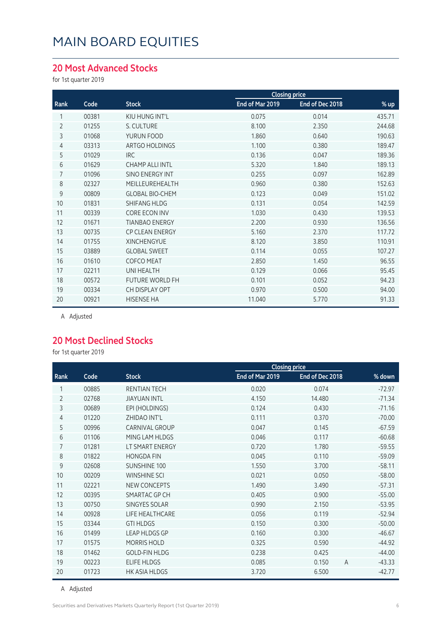#### **20 Most Advanced Stocks**

for 1st quarter 2019

|                |       |                        | <b>Closing price</b> |                 |        |
|----------------|-------|------------------------|----------------------|-----------------|--------|
| Rank           | Code  | <b>Stock</b>           | End of Mar 2019      | End of Dec 2018 | % up   |
|                | 00381 | KIU HUNG INT'L         | 0.075                | 0.014           | 435.71 |
| $\overline{2}$ | 01255 | S. CULTURE             | 8.100                | 2.350           | 244.68 |
| 3              | 01068 | YURUN FOOD             | 1.860                | 0.640           | 190.63 |
| $\overline{4}$ | 03313 | ARTGO HOLDINGS         | 1.100                | 0.380           | 189.47 |
| 5              | 01029 | <b>IRC</b>             | 0.136                | 0.047           | 189.36 |
| 6              | 01629 | <b>CHAMP ALLI INTL</b> | 5.320                | 1.840           | 189.13 |
| 7              | 01096 | SINO ENERGY INT        | 0.255                | 0.097           | 162.89 |
| 8              | 02327 | MEILLEUREHEALTH        | 0.960                | 0.380           | 152.63 |
| 9              | 00809 | <b>GLOBAL BIO-CHEM</b> | 0.123                | 0.049           | 151.02 |
| 10             | 01831 | <b>SHIFANG HLDG</b>    | 0.131                | 0.054           | 142.59 |
| 11             | 00339 | <b>CORE ECON INV</b>   | 1.030                | 0.430           | 139.53 |
| 12             | 01671 | <b>TIANBAO ENERGY</b>  | 2.200                | 0.930           | 136.56 |
| 13             | 00735 | <b>CP CLEAN ENERGY</b> | 5.160                | 2.370           | 117.72 |
| 14             | 01755 | <b>XINCHENGYUE</b>     | 8.120                | 3.850           | 110.91 |
| 15             | 03889 | <b>GLOBAL SWEET</b>    | 0.114                | 0.055           | 107.27 |
| 16             | 01610 | <b>COFCO MEAT</b>      | 2.850                | 1.450           | 96.55  |
| 17             | 02211 | <b>UNI HEALTH</b>      | 0.129                | 0.066           | 95.45  |
| 18             | 00572 | <b>FUTURE WORLD FH</b> | 0.101                | 0.052           | 94.23  |
| 19             | 00334 | CH DISPLAY OPT         | 0.970                | 0.500           | 94.00  |
| 20             | 00921 | <b>HISENSE HA</b>      | 11.040               | 5.770           | 91.33  |
|                |       |                        |                      |                 |        |

A Adjusted

#### **20 Most Declined Stocks**

for 1st quarter 2019

|                |       |                       | <b>Closing price</b> |                         |          |
|----------------|-------|-----------------------|----------------------|-------------------------|----------|
| Rank           | Code  | <b>Stock</b>          | End of Mar 2019      | End of Dec 2018         | % down   |
| 1              | 00885 | <b>RENTIAN TECH</b>   | 0.020                | 0.074                   | $-72.97$ |
| $\overline{2}$ | 02768 | <b>JIAYUAN INTL</b>   | 4.150                | 14.480                  | $-71.34$ |
| 3              | 00689 | EPI (HOLDINGS)        | 0.124                | 0.430                   | $-71.16$ |
| 4              | 01220 | ZHIDAO INT'L          | 0.111                | 0.370                   | $-70.00$ |
| 5              | 00996 | <b>CARNIVAL GROUP</b> | 0.047                | 0.145                   | $-67.59$ |
| 6              | 01106 | MING LAM HLDGS        | 0.046                | 0.117                   | $-60.68$ |
| 7              | 01281 | LT SMART ENERGY       | 0.720                | 1.780                   | $-59.55$ |
| 8              | 01822 | <b>HONGDA FIN</b>     | 0.045                | 0.110                   | $-59.09$ |
| 9              | 02608 | <b>SUNSHINE 100</b>   | 1.550                | 3.700                   | $-58.11$ |
| 10             | 00209 | <b>WINSHINE SCI</b>   | 0.021                | 0.050                   | $-58.00$ |
| 11             | 02221 | <b>NEW CONCEPTS</b>   | 1.490                | 3.490                   | $-57.31$ |
| 12             | 00395 | SMARTAC GP CH         | 0.405                | 0.900                   | $-55.00$ |
| 13             | 00750 | <b>SINGYES SOLAR</b>  | 0.990                | 2.150                   | $-53.95$ |
| 14             | 00928 | LIFE HEALTHCARE       | 0.056                | 0.119                   | $-52.94$ |
| 15             | 03344 | <b>GTI HLDGS</b>      | 0.150                | 0.300                   | $-50.00$ |
| 16             | 01499 | <b>LEAP HLDGS GP</b>  | 0.160                | 0.300                   | $-46.67$ |
| 17             | 01575 | <b>MORRIS HOLD</b>    | 0.325                | 0.590                   | $-44.92$ |
| 18             | 01462 | <b>GOLD-FIN HLDG</b>  | 0.238                | 0.425                   | $-44.00$ |
| 19             | 00223 | <b>ELIFE HLDGS</b>    | 0.085                | 0.150<br>$\overline{A}$ | $-43.33$ |
| 20             | 01723 | <b>HK ASIA HLDGS</b>  | 3.720                | 6.500                   | $-42.77$ |

A Adjusted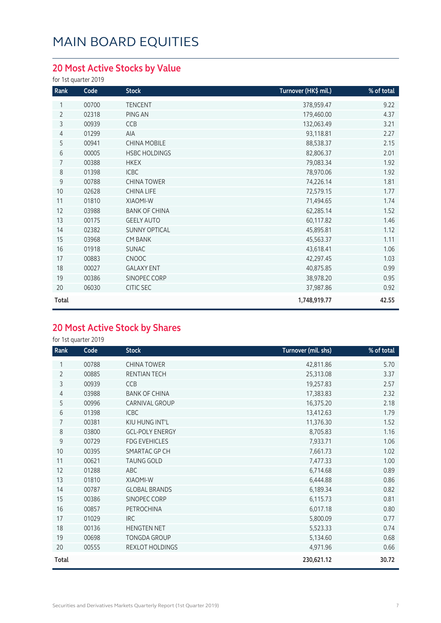### **20 Most Active Stocks by Value**

for 1st quarter 2019

| Rank           | Code  | <b>Stock</b>         | Turnover (HK\$ mil.) | % of total |
|----------------|-------|----------------------|----------------------|------------|
| 1              | 00700 | <b>TENCENT</b>       | 378,959.47           | 9.22       |
| $\overline{2}$ | 02318 | PING AN              | 179,460.00           | 4.37       |
| 3              | 00939 | CCB                  | 132,063.49           | 3.21       |
| 4              | 01299 | AIA                  | 93,118.81            | 2.27       |
| 5              | 00941 | <b>CHINA MOBILE</b>  | 88,538.37            | 2.15       |
| 6              | 00005 | <b>HSBC HOLDINGS</b> | 82,806.37            | 2.01       |
| 7              | 00388 | <b>HKEX</b>          | 79,083.34            | 1.92       |
| 8              | 01398 | <b>ICBC</b>          | 78,970.06            | 1.92       |
| 9              | 00788 | <b>CHINA TOWER</b>   | 74,226.14            | 1.81       |
| 10             | 02628 | <b>CHINA LIFE</b>    | 72,579.15            | 1.77       |
| 11             | 01810 | XIAOMI-W             | 71,494.65            | 1.74       |
| 12             | 03988 | <b>BANK OF CHINA</b> | 62,285.14            | 1.52       |
| 13             | 00175 | <b>GEELY AUTO</b>    | 60,117.82            | 1.46       |
| 14             | 02382 | <b>SUNNY OPTICAL</b> | 45,895.81            | 1.12       |
| 15             | 03968 | <b>CM BANK</b>       | 45,563.37            | 1.11       |
| 16             | 01918 | <b>SUNAC</b>         | 43,618.41            | 1.06       |
| 17             | 00883 | <b>CNOOC</b>         | 42,297.45            | 1.03       |
| 18             | 00027 | <b>GALAXY ENT</b>    | 40,875.85            | 0.99       |
| 19             | 00386 | SINOPEC CORP         | 38,978.20            | 0.95       |
| 20             | 06030 | CITIC SEC            | 37,987.86            | 0.92       |
| Total          |       |                      | 1,748,919.77         | 42.55      |

#### **20 Most Active Stock by Shares**

| Rank           | Code  | <b>Stock</b>           | Turnover (mil. shs) | % of total |
|----------------|-------|------------------------|---------------------|------------|
|                | 00788 | <b>CHINA TOWER</b>     | 42,811.86           | 5.70       |
| $\overline{2}$ | 00885 | RENTIAN TECH           | 25,313.08           | 3.37       |
| 3              | 00939 | <b>CCB</b>             | 19,257.83           | 2.57       |
| 4              | 03988 | <b>BANK OF CHINA</b>   | 17,383.83           | 2.32       |
| 5              | 00996 | <b>CARNIVAL GROUP</b>  | 16,375.20           | 2.18       |
| 6              | 01398 | <b>ICBC</b>            | 13,412.63           | 1.79       |
| 7              | 00381 | KIU HUNG INT'L         | 11,376.30           | 1.52       |
| 8              | 03800 | <b>GCL-POLY ENERGY</b> | 8,705.83            | 1.16       |
| 9              | 00729 | <b>FDG EVEHICLES</b>   | 7,933.71            | 1.06       |
| 10             | 00395 | SMARTAC GP CH          | 7,661.73            | 1.02       |
| 11             | 00621 | <b>TAUNG GOLD</b>      | 7,477.33            | 1.00       |
| 12             | 01288 | ABC                    | 6,714.68            | 0.89       |
| 13             | 01810 | XIAOMI-W               | 6,444.88            | 0.86       |
| 14             | 00787 | <b>GLOBAL BRANDS</b>   | 6,189.34            | 0.82       |
| 15             | 00386 | SINOPEC CORP           | 6,115.73            | 0.81       |
| 16             | 00857 | PETROCHINA             | 6,017.18            | 0.80       |
| 17             | 01029 | <b>IRC</b>             | 5,800.09            | 0.77       |
| 18             | 00136 | <b>HENGTEN NET</b>     | 5,523.33            | 0.74       |
| 19             | 00698 | <b>TONGDA GROUP</b>    | 5,134.60            | 0.68       |
| 20             | 00555 | REXLOT HOLDINGS        | 4,971.96            | 0.66       |
| <b>Total</b>   |       |                        | 230,621.12          | 30.72      |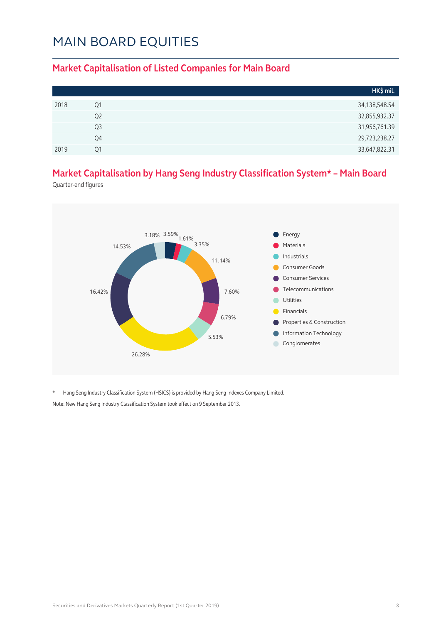#### **Market Capitalisation of Listed Companies for Main Board**

|      |                | HK\$ mil.     |
|------|----------------|---------------|
| 2018 | Q1             | 34,138,548.54 |
|      | Q2             | 32,855,932.37 |
|      | Q <sub>3</sub> | 31,956,761.39 |
|      | Q4             | 29,723,238.27 |
| 2019 | Ο1             | 33,647,822.31 |

#### **Market Capitalisation by Hang Seng Industry Classification System\* – Main Board**

Quarter-end figures



\* Hang Seng Industry Classification System (HSICS) is provided by Hang Seng Indexes Company Limited. Note: New Hang Seng Industry Classification System took effect on 9 September 2013.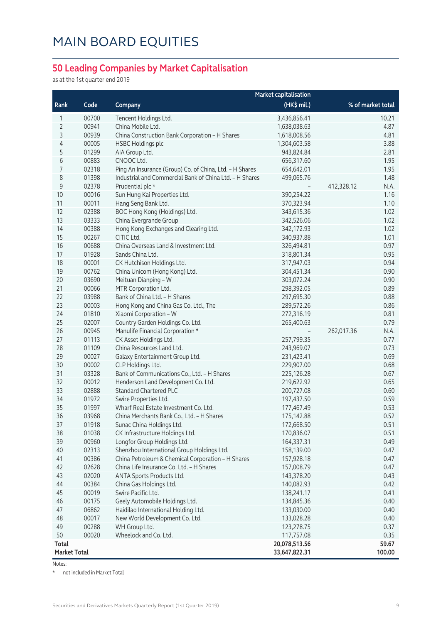#### **50 Leading Companies by Market Capitalisation**

as at the 1st quarter end 2019

|                     |       |                                                         | <b>Market capitalisation</b> |                    |
|---------------------|-------|---------------------------------------------------------|------------------------------|--------------------|
| Rank                | Code  | Company                                                 | (HK\$ mil.)                  | % of market total  |
| 1                   | 00700 | Tencent Holdings Ltd.                                   | 3,436,856.41                 | 10.21              |
| $\overline{2}$      | 00941 | China Mobile Ltd.                                       | 1,638,038.63                 | 4.87               |
| 3                   | 00939 | China Construction Bank Corporation - H Shares          | 1,618,008.56                 | 4.81               |
| 4                   | 00005 | <b>HSBC Holdings plc</b>                                | 1,304,603.58                 | 3.88               |
| 5                   | 01299 | AIA Group Ltd.                                          | 943,824.84                   | 2.81               |
| 6                   | 00883 | CNOOC Ltd.                                              | 656,317.60                   | 1.95               |
| 7                   | 02318 | Ping An Insurance (Group) Co. of China, Ltd. - H Shares | 654,642.01                   | 1.95               |
| 8                   | 01398 | Industrial and Commercial Bank of China Ltd. - H Shares | 499,065.76                   | 1.48               |
| $\mathsf 9$         | 02378 | Prudential plc *                                        |                              | 412,328.12<br>N.A. |
| 10                  | 00016 | Sun Hung Kai Properties Ltd.                            | 390,254.22                   | 1.16               |
| 11                  | 00011 | Hang Seng Bank Ltd.                                     | 370,323.94                   | 1.10               |
| 12                  | 02388 | BOC Hong Kong (Holdings) Ltd.                           | 343,615.36                   | 1.02               |
| 13                  | 03333 | China Evergrande Group                                  | 342,526.06                   | 1.02               |
| 14                  | 00388 | Hong Kong Exchanges and Clearing Ltd.                   | 342,172.93                   | 1.02               |
| 15                  | 00267 | CITIC Ltd.                                              | 340,937.88                   | 1.01               |
| 16                  | 00688 | China Overseas Land & Investment Ltd.                   | 326,494.81                   | 0.97               |
| 17                  | 01928 | Sands China Ltd.                                        | 318,801.34                   | 0.95               |
| 18                  | 00001 | CK Hutchison Holdings Ltd.                              | 317,947.03                   | 0.94               |
| 19                  | 00762 | China Unicom (Hong Kong) Ltd.                           | 304,451.34                   | 0.90               |
| 20                  | 03690 | Meituan Dianping - W                                    | 303,072.24                   | 0.90               |
| 21                  | 00066 | MTR Corporation Ltd.                                    | 298,392.05                   | 0.89               |
| 22                  | 03988 | Bank of China Ltd. - H Shares                           | 297,695.30                   | 0.88               |
| 23                  | 00003 | Hong Kong and China Gas Co. Ltd., The                   | 289,572.26                   | 0.86               |
| 24                  | 01810 | Xiaomi Corporation - W                                  | 272,316.19                   | 0.81               |
| 25                  | 02007 | Country Garden Holdings Co. Ltd.                        | 265,400.63                   | 0.79               |
| 26                  | 00945 | Manulife Financial Corporation *                        |                              | 262,017.36<br>N.A. |
| 27                  | 01113 | CK Asset Holdings Ltd.                                  | 257,799.35                   | 0.77               |
| 28                  | 01109 | China Resources Land Ltd.                               | 243,969.07                   | 0.73               |
| 29                  | 00027 | Galaxy Entertainment Group Ltd.                         | 231,423.41                   | 0.69               |
| 30                  | 00002 | CLP Holdings Ltd.                                       | 229,907.00                   | 0.68               |
| 31                  | 03328 | Bank of Communications Co., Ltd. - H Shares             | 225,126.28                   | 0.67               |
| 32                  | 00012 | Henderson Land Development Co. Ltd.                     | 219,622.92                   | 0.65               |
| 33                  | 02888 | <b>Standard Chartered PLC</b>                           | 200,727.08                   | 0.60               |
| 34                  | 01972 | Swire Properties Ltd.                                   | 197,437.50                   | 0.59               |
| 35                  | 01997 | Wharf Real Estate Investment Co. Ltd.                   | 177,467.49                   | 0.53               |
| 36                  | 03968 | China Merchants Bank Co., Ltd. - H Shares               | 175,142.88                   | 0.52               |
| 37                  | 01918 | Sunac China Holdings Ltd.                               | 172,668.50                   | 0.51               |
| 38                  | 01038 | CK Infrastructure Holdings Ltd.                         | 170,836.07                   | 0.51               |
| 39                  | 00960 | Longfor Group Holdings Ltd.                             | 164,337.31                   | 0.49               |
| 40                  | 02313 | Shenzhou International Group Holdings Ltd.              | 158,139.00                   | 0.47               |
| 41                  | 00386 | China Petroleum & Chemical Corporation - H Shares       | 157,928.18                   | 0.47               |
| 42                  | 02628 | China Life Insurance Co. Ltd. - H Shares                | 157,008.79                   | 0.47               |
| 43                  | 02020 | ANTA Sports Products Ltd.                               | 143,378.20                   | 0.43               |
| 44                  | 00384 | China Gas Holdings Ltd.                                 | 140,082.93                   | 0.42               |
| 45                  | 00019 | Swire Pacific Ltd.                                      | 138,241.17                   | 0.41               |
| 46                  | 00175 | Geely Automobile Holdings Ltd.                          | 134,845.36                   | 0.40               |
| 47                  | 06862 | Haidilao International Holding Ltd.                     | 133,030.00                   | 0.40               |
| 48                  | 00017 | New World Development Co. Ltd.                          | 133,028.28                   | 0.40               |
| 49                  | 00288 | WH Group Ltd.                                           | 123,278.75                   | 0.37               |
| 50                  | 00020 | Wheelock and Co. Ltd.                                   | 117,757.08                   | 0.35               |
| <b>Total</b>        |       |                                                         | 20,078,513.56                | 59.67              |
| <b>Market Total</b> |       |                                                         | 33,647,822.31                | 100.00             |

Notes:

\* not included in Market Total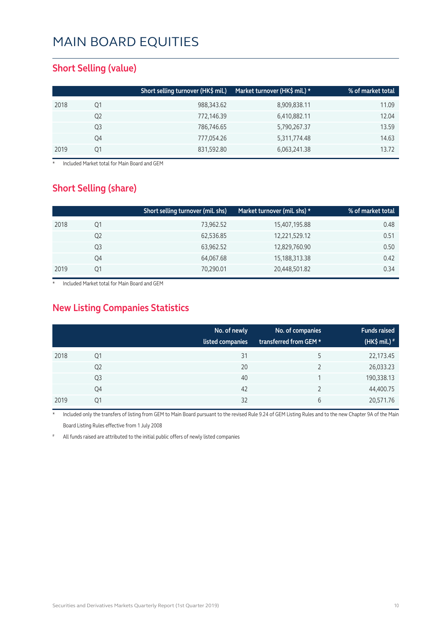#### **Short Selling (value)**

|      |    | Short selling turnover (HK\$ mil.) | Market turnover (HK\$ mil.) * | % of market total |
|------|----|------------------------------------|-------------------------------|-------------------|
| 2018 | Q1 | 988,343.62                         | 8,909,838.11                  | 11.09             |
|      | Q2 | 772,146.39                         | 6,410,882.11                  | 12.04             |
|      | Q3 | 786,746.65                         | 5,790,267.37                  | 13.59             |
|      | Q4 | 777,054.26                         | 5,311,774.48                  | 14.63             |
| 2019 | 01 | 831,592.80                         | 6,063,241.38                  | 13.72             |

**Included Market total for Main Board and GEM** 

#### **Short Selling (share)**

|      |    | Short selling turnover (mil. shs) | Market turnover (mil. shs) * | % of market total |
|------|----|-----------------------------------|------------------------------|-------------------|
| 2018 | Q1 | 73,962.52                         | 15,407,195.88                | 0.48              |
|      | Q2 | 62,536.85                         | 12,221,529.12                | 0.51              |
|      | Q3 | 63,962.52                         | 12,829,760.90                | 0.50              |
|      | Q4 | 64,067.68                         | 15,188,313.38                | 0.42              |
| 2019 | Ο1 | 70,290.01                         | 20,448,501.82                | 0.34              |

Included Market total for Main Board and GEM

#### **New Listing Companies Statistics**

|      |                | No. of newly<br>listed companies | No. of companies<br>transferred from GEM * | <b>Funds raised</b><br>(HK\$ mil.) $*$ |
|------|----------------|----------------------------------|--------------------------------------------|----------------------------------------|
| 2018 | Q1             | 31                               | 5                                          | 22,173.45                              |
|      | Q <sub>2</sub> | 20                               |                                            | 26,033.23                              |
|      | Q <sub>3</sub> | 40                               |                                            | 190,338.13                             |
|      | Q4             | 42                               |                                            | 44,400.75                              |
| 2019 | Q1             | 32                               | 6                                          | 20,571.76                              |

Included only the transfers of listing from GEM to Main Board pursuant to the revised Rule 9.24 of GEM Listing Rules and to the new Chapter 9A of the Main Board Listing Rules effective from 1 July 2008

All funds raised are attributed to the initial public offers of newly listed companies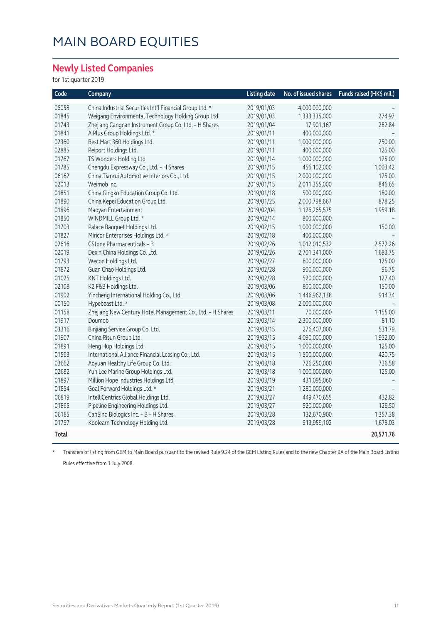#### **Newly Listed Companies**

for 1st quarter 2019

| Code         | Company                                                    | <b>Listing date</b> | No. of issued shares | Funds raised (HK\$ mil.) |
|--------------|------------------------------------------------------------|---------------------|----------------------|--------------------------|
| 06058        | China Industrial Securities Int'l Financial Group Ltd. *   | 2019/01/03          | 4,000,000,000        |                          |
| 01845        | Weigang Environmental Technology Holding Group Ltd.        | 2019/01/03          | 1,333,335,000        | 274.97                   |
| 01743        | Zhejiang Cangnan Instrument Group Co. Ltd. - H Shares      | 2019/01/04          | 17,901,167           | 282.84                   |
| 01841        | A.Plus Group Holdings Ltd. *                               | 2019/01/11          | 400,000,000          |                          |
| 02360        | Best Mart 360 Holdings Ltd.                                | 2019/01/11          | 1,000,000,000        | 250.00                   |
| 02885        | Peiport Holdings Ltd.                                      | 2019/01/11          | 400,000,000          | 125.00                   |
| 01767        | TS Wonders Holding Ltd.                                    | 2019/01/14          | 1,000,000,000        | 125.00                   |
| 01785        | Chengdu Expressway Co., Ltd. - H Shares                    | 2019/01/15          | 456,102,000          | 1,003.42                 |
| 06162        | China Tianrui Automotive Interiors Co., Ltd.               | 2019/01/15          | 2,000,000,000        | 125.00                   |
| 02013        | Weimob Inc.                                                | 2019/01/15          | 2,011,355,000        | 846.65                   |
| 01851        | China Gingko Education Group Co. Ltd.                      | 2019/01/18          | 500,000,000          | 180.00                   |
| 01890        | China Kepei Education Group Ltd.                           | 2019/01/25          | 2,000,798,667        | 878.25                   |
| 01896        | Maoyan Entertainment                                       | 2019/02/04          | 1,126,265,575        | 1,959.18                 |
| 01850        | WINDMILL Group Ltd. *                                      | 2019/02/14          | 800,000,000          |                          |
| 01703        | Palace Banquet Holdings Ltd.                               | 2019/02/15          | 1,000,000,000        | 150.00                   |
| 01827        | Miricor Enterprises Holdings Ltd. *                        | 2019/02/18          | 400,000,000          |                          |
| 02616        | CStone Pharmaceuticals - B                                 | 2019/02/26          | 1,012,010,532        | 2,572.26                 |
| 02019        | Dexin China Holdings Co. Ltd.                              | 2019/02/26          | 2,701,341,000        | 1,683.75                 |
| 01793        | Wecon Holdings Ltd.                                        | 2019/02/27          | 800,000,000          | 125.00                   |
| 01872        | Guan Chao Holdings Ltd.                                    | 2019/02/28          | 900,000,000          | 96.75                    |
| 01025        | KNT Holdings Ltd.                                          | 2019/02/28          | 520,000,000          | 127.40                   |
| 02108        | K2 F&B Holdings Ltd.                                       | 2019/03/06          | 800,000,000          | 150.00                   |
| 01902        | Yincheng International Holding Co., Ltd.                   | 2019/03/06          | 1,446,962,138        | 914.34                   |
| 00150        | Hypebeast Ltd. *                                           | 2019/03/08          | 2,000,000,000        |                          |
| 01158        | Zhejiang New Century Hotel Management Co., Ltd. - H Shares | 2019/03/11          | 70,000,000           | 1,155.00                 |
| 01917        | Doumob                                                     | 2019/03/14          | 2,300,000,000        | 81.10                    |
| 03316        | Binjiang Service Group Co. Ltd.                            | 2019/03/15          | 276,407,000          | 531.79                   |
| 01907        | China Risun Group Ltd.                                     | 2019/03/15          | 4,090,000,000        | 1,932.00                 |
| 01891        | Heng Hup Holdings Ltd.                                     | 2019/03/15          | 1,000,000,000        | 125.00                   |
| 01563        | International Alliance Financial Leasing Co., Ltd.         | 2019/03/15          | 1,500,000,000        | 420.75                   |
| 03662        | Aoyuan Healthy Life Group Co. Ltd.                         | 2019/03/18          | 726,250,000          | 736.58                   |
| 02682        | Yun Lee Marine Group Holdings Ltd.                         | 2019/03/18          | 1,000,000,000        | 125.00                   |
| 01897        | Million Hope Industries Holdings Ltd.                      | 2019/03/19          | 431,095,060          |                          |
| 01854        | Goal Forward Holdings Ltd. *                               | 2019/03/21          | 1,280,000,000        |                          |
| 06819        | IntelliCentrics Global Holdings Ltd.                       | 2019/03/27          | 449,470,655          | 432.82                   |
| 01865        | Pipeline Engineering Holdings Ltd.                         | 2019/03/27          | 920,000,000          | 126.50                   |
| 06185        | CanSino Biologics Inc. - B - H Shares                      | 2019/03/28          | 132,670,900          | 1,357.38                 |
| 01797        | Koolearn Technology Holding Ltd.                           | 2019/03/28          | 913,959,102          | 1,678.03                 |
| <b>Total</b> |                                                            |                     |                      | 20,571.76                |

\* Transfers of listing from GEM to Main Board pursuant to the revised Rule 9.24 of the GEM Listing Rules and to the new Chapter 9A of the Main Board Listing Rules effective from 1 July 2008.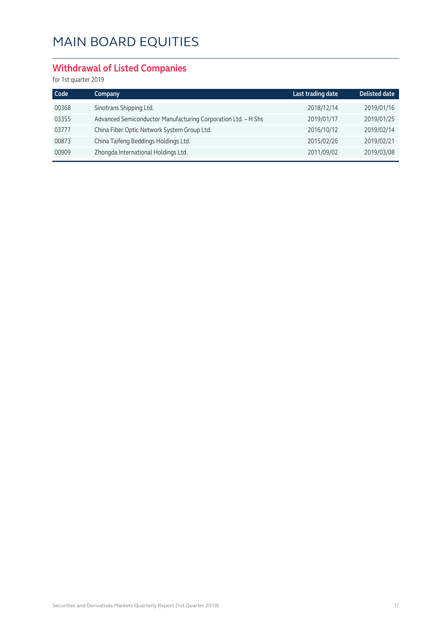#### **Withdrawal of Listed Companies**

| Code  | Company                                                       | Last trading date | <b>Delisted date</b> |
|-------|---------------------------------------------------------------|-------------------|----------------------|
| 00368 | Sinotrans Shipping Ltd.                                       | 2018/12/14        | 2019/01/16           |
| 03355 | Advanced Semiconductor Manufacturing Corporation Ltd. - H Shs | 2019/01/17        | 2019/01/25           |
| 03777 | China Fiber Optic Network System Group Ltd.                   | 2016/10/12        | 2019/02/14           |
| 00873 | China Taifeng Beddings Holdings Ltd.                          | 2015/02/26        | 2019/02/21           |
| 00909 | Zhongda International Holdings Ltd.                           | 2011/09/02        | 2019/03/08           |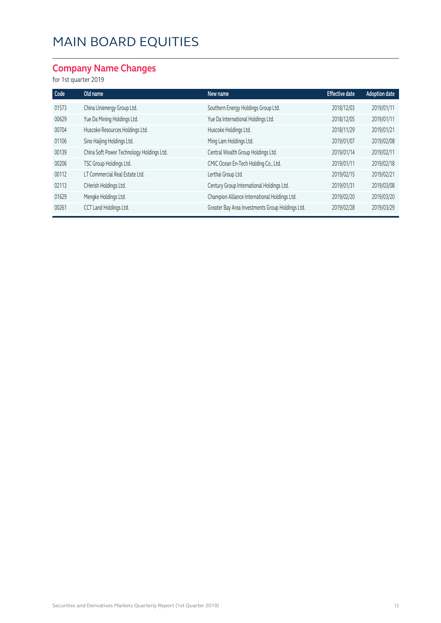#### **Company Name Changes**

| Code  | Old name                                  | New name                                         | <b>Effective date</b> | <b>Adoption date</b> |
|-------|-------------------------------------------|--------------------------------------------------|-----------------------|----------------------|
| 01573 | China Unienergy Group Ltd.                | Southern Energy Holdings Group Ltd.              | 2018/12/03            | 2019/01/11           |
| 00629 | Yue Da Mining Holdings Ltd.               | Yue Da International Holdings Ltd.               | 2018/12/05            | 2019/01/11           |
| 00704 | Huscoke Resources Holdings Ltd.           | Huscoke Holdings Ltd.                            | 2018/11/29            | 2019/01/21           |
| 01106 | Sino Haijing Holdings Ltd.                | Ming Lam Holdings Ltd.                           | 2019/01/07            | 2019/02/08           |
| 00139 | China Soft Power Technology Holdings Ltd. | Central Wealth Group Holdings Ltd.               | 2019/01/14            | 2019/02/11           |
| 00206 | TSC Group Holdings Ltd.                   | CMIC Ocean En-Tech Holding Co., Ltd.             | 2019/01/11            | 2019/02/18           |
| 00112 | LT Commercial Real Estate Ltd.            | Lerthai Group Ltd.                               | 2019/02/15            | 2019/02/21           |
| 02113 | CHerish Holdings Ltd.                     | Century Group International Holdings Ltd.        | 2019/01/31            | 2019/03/08           |
| 01629 | Mengke Holdings Ltd.                      | Champion Alliance International Holdings Ltd.    | 2019/02/20            | 2019/03/20           |
| 00261 | CCT Land Holdings Ltd.                    | Greater Bay Area Investments Group Holdings Ltd. | 2019/02/28            | 2019/03/29           |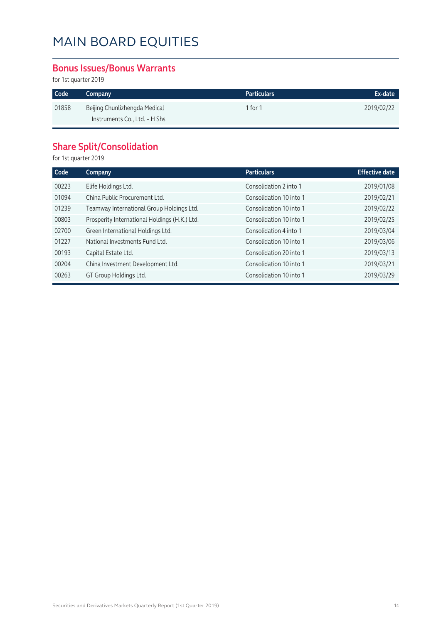#### **Bonus Issues/Bonus Warrants**

for 1st quarter 2019

| Code  | Company                       | Particulars | Ex-date    |
|-------|-------------------------------|-------------|------------|
| 01858 | Beijing Chunlizhengda Medical | 1 for 1     | 2019/02/22 |
|       | Instruments Co., Ltd. - H Shs |             |            |

### **Share Split/Consolidation**

| Code  | Company                                       | <b>Particulars</b>      | <b>Effective date</b> |
|-------|-----------------------------------------------|-------------------------|-----------------------|
| 00223 | Elife Holdings Ltd.                           | Consolidation 2 into 1  | 2019/01/08            |
| 01094 | China Public Procurement Ltd.                 | Consolidation 10 into 1 | 2019/02/21            |
| 01239 | Teamway International Group Holdings Ltd.     | Consolidation 10 into 1 | 2019/02/22            |
| 00803 | Prosperity International Holdings (H.K.) Ltd. | Consolidation 10 into 1 | 2019/02/25            |
| 02700 | Green International Holdings Ltd.             | Consolidation 4 into 1  | 2019/03/04            |
| 01227 | National Investments Fund Ltd.                | Consolidation 10 into 1 | 2019/03/06            |
| 00193 | Capital Estate Ltd.                           | Consolidation 20 into 1 | 2019/03/13            |
| 00204 | China Investment Development Ltd.             | Consolidation 10 into 1 | 2019/03/21            |
| 00263 | GT Group Holdings Ltd.                        | Consolidation 10 into 1 | 2019/03/29            |
|       |                                               |                         |                       |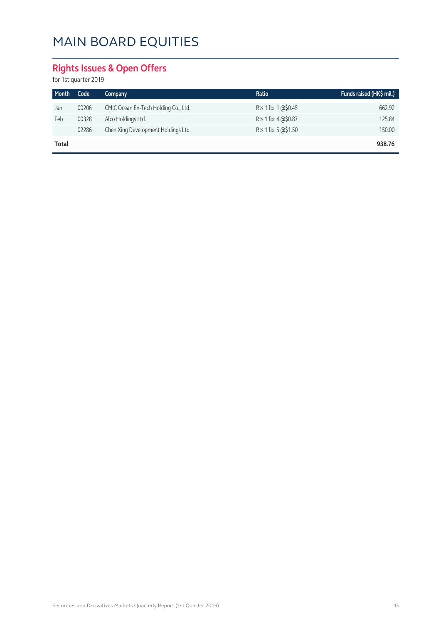### **Rights Issues & Open Offers**

| Month | Code  | Company                              | Ratio               | Funds raised (HK\$ mil.) |
|-------|-------|--------------------------------------|---------------------|--------------------------|
| Jan   | 00206 | CMIC Ocean En-Tech Holding Co., Ltd. | Rts 1 for 1 @\$0.45 | 662.92                   |
| Feb   | 00328 | Alco Holdings Ltd.                   | Rts 1 for 4 @\$0.87 | 125.84                   |
|       | 02286 | Chen Xing Development Holdings Ltd.  | Rts 1 for 5 @\$1.50 | 150.00                   |
| Total |       |                                      |                     | 938.76                   |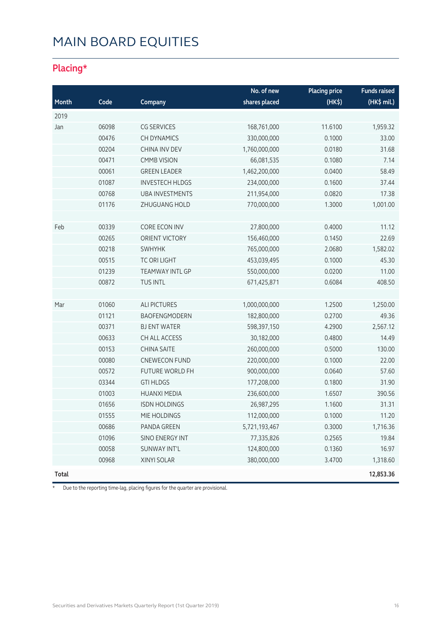### **Placing\***

|              |       |                        | No. of new    | <b>Placing price</b> | <b>Funds raised</b> |
|--------------|-------|------------------------|---------------|----------------------|---------------------|
| Month        | Code  | Company                | shares placed | (HK\$)               | (HK\$ mil.)         |
| 2019         |       |                        |               |                      |                     |
| Jan          | 06098 | <b>CG SERVICES</b>     | 168,761,000   | 11.6100              | 1,959.32            |
|              | 00476 | <b>CH DYNAMICS</b>     | 330,000,000   | 0.1000               | 33.00               |
|              | 00204 | CHINA INV DEV          | 1,760,000,000 | 0.0180               | 31.68               |
|              | 00471 | <b>CMMB VISION</b>     | 66,081,535    | 0.1080               | 7.14                |
|              | 00061 | <b>GREEN LEADER</b>    | 1,462,200,000 | 0.0400               | 58.49               |
|              | 01087 | <b>INVESTECH HLDGS</b> | 234,000,000   | 0.1600               | 37.44               |
|              | 00768 | <b>UBA INVESTMENTS</b> | 211,954,000   | 0.0820               | 17.38               |
|              | 01176 | ZHUGUANG HOLD          | 770,000,000   | 1.3000               | 1,001.00            |
|              |       |                        |               |                      |                     |
| Feb          | 00339 | CORE ECON INV          | 27,800,000    | 0.4000               | 11.12               |
|              | 00265 | ORIENT VICTORY         | 156,460,000   | 0.1450               | 22.69               |
|              | 00218 | <b>SWHYHK</b>          | 765,000,000   | 2.0680               | 1,582.02            |
|              | 00515 | <b>TC ORI LIGHT</b>    | 453,039,495   | 0.1000               | 45.30               |
|              | 01239 | <b>TEAMWAY INTL GP</b> | 550,000,000   | 0.0200               | 11.00               |
|              | 00872 | TUS INTL               | 671,425,871   | 0.6084               | 408.50              |
|              |       |                        |               |                      |                     |
| Mar          | 01060 | <b>ALI PICTURES</b>    | 1,000,000,000 | 1.2500               | 1,250.00            |
|              | 01121 | BAOFENGMODERN          | 182,800,000   | 0.2700               | 49.36               |
|              | 00371 | <b>BJ ENT WATER</b>    | 598,397,150   | 4.2900               | 2,567.12            |
|              | 00633 | CH ALL ACCESS          | 30,182,000    | 0.4800               | 14.49               |
|              | 00153 | <b>CHINA SAITE</b>     | 260,000,000   | 0.5000               | 130.00              |
|              | 00080 | <b>CNEWECON FUND</b>   | 220,000,000   | 0.1000               | 22.00               |
|              | 00572 | FUTURE WORLD FH        | 900,000,000   | 0.0640               | 57.60               |
|              | 03344 | <b>GTI HLDGS</b>       | 177,208,000   | 0.1800               | 31.90               |
|              | 01003 | <b>HUANXI MEDIA</b>    | 236,600,000   | 1.6507               | 390.56              |
|              | 01656 | <b>ISDN HOLDINGS</b>   | 26,987,295    | 1.1600               | 31.31               |
|              | 01555 | MIE HOLDINGS           | 112,000,000   | 0.1000               | 11.20               |
|              | 00686 | PANDA GREEN            | 5,721,193,467 | 0.3000               | 1,716.36            |
|              | 01096 | SINO ENERGY INT        | 77,335,826    | 0.2565               | 19.84               |
|              | 00058 | SUNWAY INT'L           | 124,800,000   | 0.1360               | 16.97               |
|              | 00968 | XINYI SOLAR            | 380,000,000   | 3.4700               | 1,318.60            |
| <b>Total</b> |       |                        |               |                      | 12,853.36           |

\* Due to the reporting time-lag, placing figures for the quarter are provisional.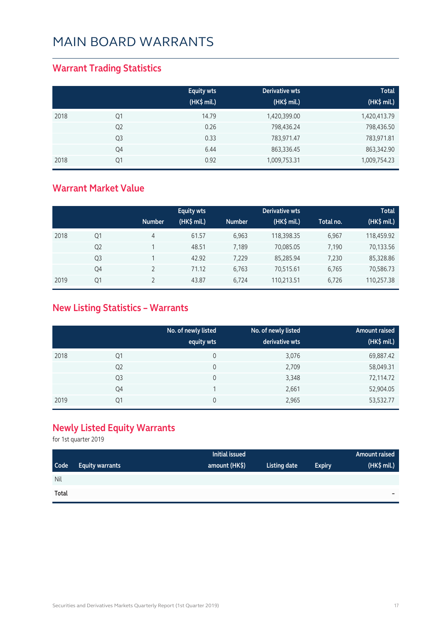#### **Warrant Trading Statistics**

|      |                | <b>Equity wts</b><br>(HK\$ mil.) | Derivative wts<br>(HK\$ mil.) | <b>Total</b><br>(HK\$ mil.) |
|------|----------------|----------------------------------|-------------------------------|-----------------------------|
| 2018 | Q1             | 14.79                            | 1,420,399.00                  | 1,420,413.79                |
|      | Q <sub>2</sub> | 0.26                             | 798,436.24                    | 798,436.50                  |
|      | Q <sub>3</sub> | 0.33                             | 783,971.47                    | 783,971.81                  |
|      | Q4             | 6.44                             | 863,336.45                    | 863,342.90                  |
| 2018 | Q1             | 0.92                             | 1,009,753.31                  | 1,009,754.23                |

#### **Warrant Market Value**

|      |                |               | <b>Equity wts</b> |               | Derivative wts |           | Total       |
|------|----------------|---------------|-------------------|---------------|----------------|-----------|-------------|
|      |                | <b>Number</b> | (HK\$ mil.)       | <b>Number</b> | (HK\$ mil.)    | Total no. | (HK\$ mil.) |
| 2018 | Q1             | 4             | 61.57             | 6.963         | 118,398.35     | 6.967     | 118,459.92  |
|      | Q <sub>2</sub> |               | 48.51             | 7,189         | 70,085.05      | 7,190     | 70,133.56   |
|      | Q <sub>3</sub> |               | 42.92             | 7,229         | 85,285.94      | 7,230     | 85,328.86   |
|      | Q4             |               | 71.12             | 6,763         | 70,515.61      | 6,765     | 70,586.73   |
| 2019 | Q1             |               | 43.87             | 6.724         | 110,213.51     | 6,726     | 110,257.38  |

### **New Listing Statistics – Warrants**

|      |                | No. of newly listed<br>equity wts | No. of newly listed<br>derivative wts | <b>Amount raised</b><br>(HK\$ mil.) |
|------|----------------|-----------------------------------|---------------------------------------|-------------------------------------|
| 2018 | Q1             | 0                                 | 3,076                                 | 69,887.42                           |
|      | Q <sub>2</sub> | 0                                 | 2,709                                 | 58,049.31                           |
|      | Q <sub>3</sub> | 0                                 | 3,348                                 | 72,114.72                           |
|      | Q4             |                                   | 2,661                                 | 52,904.05                           |
| 2019 | Q1             | 0                                 | 2,965                                 | 53,532.77                           |

#### **Newly Listed Equity Warrants**

|            |                        | Initial issued |              |               | Amount raised          |
|------------|------------------------|----------------|--------------|---------------|------------------------|
| Code       | <b>Equity warrants</b> | amount (HK\$)  | Listing date | <b>Expiry</b> | $(HK\frac{1}{2}$ mil.) |
| <b>Nil</b> |                        |                |              |               |                        |
| Total      |                        |                |              |               | $\equiv$               |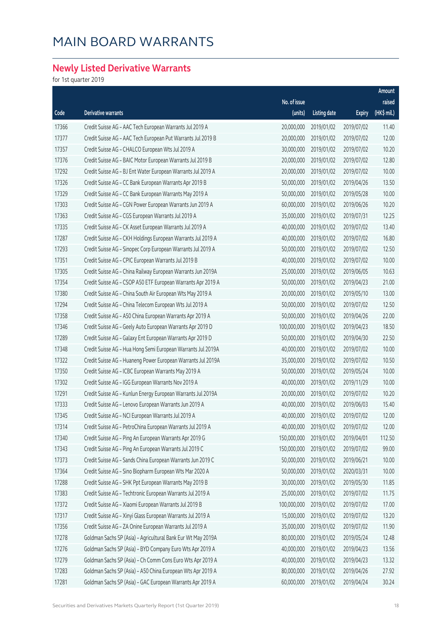### **Newly Listed Derivative Warrants**

|       |                                                              |              |              |               | Amount      |
|-------|--------------------------------------------------------------|--------------|--------------|---------------|-------------|
|       |                                                              | No. of issue |              |               | raised      |
| Code  | Derivative warrants                                          | (units)      | Listing date | <b>Expiry</b> | (HK\$ mil.) |
| 17366 | Credit Suisse AG - AAC Tech European Warrants Jul 2019 A     | 20,000,000   | 2019/01/02   | 2019/07/02    | 11.40       |
| 17377 | Credit Suisse AG - AAC Tech European Put Warrants Jul 2019 B | 20,000,000   | 2019/01/02   | 2019/07/02    | 12.00       |
| 17357 | Credit Suisse AG - CHALCO European Wts Jul 2019 A            | 30,000,000   | 2019/01/02   | 2019/07/02    | 10.20       |
| 17376 | Credit Suisse AG - BAIC Motor European Warrants Jul 2019 B   | 20,000,000   | 2019/01/02   | 2019/07/02    | 12.80       |
| 17292 | Credit Suisse AG - BJ Ent Water European Warrants Jul 2019 A | 20,000,000   | 2019/01/02   | 2019/07/02    | 10.00       |
| 17326 | Credit Suisse AG - CC Bank European Warrants Apr 2019 B      | 50,000,000   | 2019/01/02   | 2019/04/26    | 13.50       |
| 17329 | Credit Suisse AG - CC Bank European Warrants May 2019 A      | 50,000,000   | 2019/01/02   | 2019/05/28    | 10.00       |
| 17303 | Credit Suisse AG - CGN Power European Warrants Jun 2019 A    | 60,000,000   | 2019/01/02   | 2019/06/26    | 10.20       |
| 17363 | Credit Suisse AG - CGS European Warrants Jul 2019 A          | 35,000,000   | 2019/01/02   | 2019/07/31    | 12.25       |
| 17335 | Credit Suisse AG - CK Asset European Warrants Jul 2019 A     | 40,000,000   | 2019/01/02   | 2019/07/02    | 13.40       |
| 17287 | Credit Suisse AG - CKH Holdings European Warrants Jul 2019 A | 40,000,000   | 2019/01/02   | 2019/07/02    | 16.80       |
| 17293 | Credit Suisse AG - Sinopec Corp European Warrants Jul 2019 A | 50,000,000   | 2019/01/02   | 2019/07/02    | 12.50       |
| 17351 | Credit Suisse AG - CPIC European Warrants Jul 2019 B         | 40,000,000   | 2019/01/02   | 2019/07/02    | 10.00       |
| 17305 | Credit Suisse AG - China Railway European Warrants Jun 2019A | 25,000,000   | 2019/01/02   | 2019/06/05    | 10.63       |
| 17354 | Credit Suisse AG - CSOP A50 ETF European Warrants Apr 2019 A | 50,000,000   | 2019/01/02   | 2019/04/23    | 21.00       |
| 17380 | Credit Suisse AG - China South Air European Wts May 2019 A   | 20,000,000   | 2019/01/02   | 2019/05/10    | 13.00       |
| 17294 | Credit Suisse AG - China Telecom European Wts Jul 2019 A     | 50,000,000   | 2019/01/02   | 2019/07/02    | 12.50       |
| 17358 | Credit Suisse AG - A50 China European Warrants Apr 2019 A    | 50,000,000   | 2019/01/02   | 2019/04/26    | 22.00       |
| 17346 | Credit Suisse AG - Geely Auto European Warrants Apr 2019 D   | 100,000,000  | 2019/01/02   | 2019/04/23    | 18.50       |
| 17289 | Credit Suisse AG - Galaxy Ent European Warrants Apr 2019 D   | 50,000,000   | 2019/01/02   | 2019/04/30    | 22.50       |
| 17348 | Credit Suisse AG - Hua Hong Semi European Warrants Jul 2019A | 40,000,000   | 2019/01/02   | 2019/07/02    | 10.00       |
| 17322 | Credit Suisse AG - Huaneng Power European Warrants Jul 2019A | 35,000,000   | 2019/01/02   | 2019/07/02    | 10.50       |
| 17350 | Credit Suisse AG - ICBC European Warrants May 2019 A         | 50,000,000   | 2019/01/02   | 2019/05/24    | 10.00       |
| 17302 | Credit Suisse AG - IGG European Warrants Nov 2019 A          | 40,000,000   | 2019/01/02   | 2019/11/29    | 10.00       |
| 17291 | Credit Suisse AG - Kunlun Energy European Warrants Jul 2019A | 20,000,000   | 2019/01/02   | 2019/07/02    | 10.20       |
| 17333 | Credit Suisse AG - Lenovo European Warrants Jun 2019 A       | 40,000,000   | 2019/01/02   | 2019/06/03    | 15.40       |
| 17345 | Credit Suisse AG - NCI European Warrants Jul 2019 A          | 40,000,000   | 2019/01/02   | 2019/07/02    | 12.00       |
| 17314 | Credit Suisse AG - PetroChina European Warrants Jul 2019 A   | 40,000,000   | 2019/01/02   | 2019/07/02    | 12.00       |
| 17340 | Credit Suisse AG - Ping An European Warrants Apr 2019 G      | 150,000,000  | 2019/01/02   | 2019/04/01    | 112.50      |
| 17343 | Credit Suisse AG - Ping An European Warrants Jul 2019 C      | 150,000,000  | 2019/01/02   | 2019/07/02    | 99.00       |
| 17373 | Credit Suisse AG - Sands China European Warrants Jun 2019 C  | 50,000,000   | 2019/01/02   | 2019/06/21    | 10.00       |
| 17364 | Credit Suisse AG - Sino Biopharm European Wts Mar 2020 A     | 50,000,000   | 2019/01/02   | 2020/03/31    | 10.00       |
| 17288 | Credit Suisse AG - SHK Ppt European Warrants May 2019 B      | 30,000,000   | 2019/01/02   | 2019/05/30    | 11.85       |
| 17383 | Credit Suisse AG - Techtronic European Warrants Jul 2019 A   | 25,000,000   | 2019/01/02   | 2019/07/02    | 11.75       |
| 17372 | Credit Suisse AG - Xiaomi European Warrants Jul 2019 B       | 100,000,000  | 2019/01/02   | 2019/07/02    | 17.00       |
| 17317 | Credit Suisse AG - Xinyi Glass European Warrants Jul 2019 A  | 15,000,000   | 2019/01/02   | 2019/07/02    | 13.20       |
| 17356 | Credit Suisse AG - ZA Onine European Warrants Jul 2019 A     | 35,000,000   | 2019/01/02   | 2019/07/02    | 11.90       |
| 17278 | Goldman Sachs SP (Asia) - Agricultural Bank Eur Wt May 2019A | 80,000,000   | 2019/01/02   | 2019/05/24    | 12.48       |
| 17276 | Goldman Sachs SP (Asia) - BYD Company Euro Wts Apr 2019 A    | 40,000,000   | 2019/01/02   | 2019/04/23    | 13.56       |
| 17279 | Goldman Sachs SP (Asia) - Ch Comm Cons Euro Wts Apr 2019 A   | 40,000,000   | 2019/01/02   | 2019/04/23    | 13.32       |
| 17283 | Goldman Sachs SP (Asia) - A50 China European Wts Apr 2019 A  | 80,000,000   | 2019/01/02   | 2019/04/26    | 27.92       |
| 17281 | Goldman Sachs SP (Asia) - GAC European Warrants Apr 2019 A   | 60,000,000   | 2019/01/02   | 2019/04/24    | 30.24       |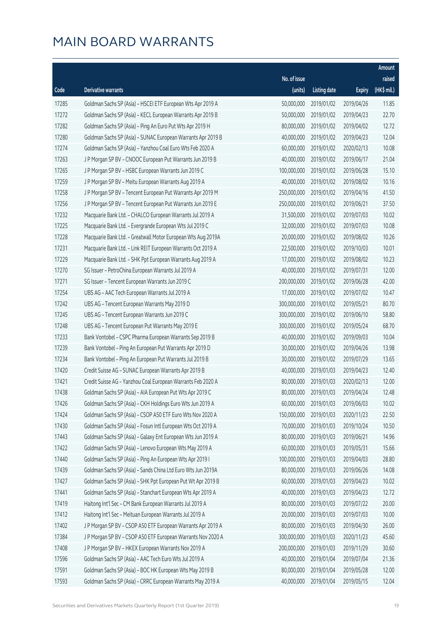|       |                                                              |              |                       |               | Amount      |
|-------|--------------------------------------------------------------|--------------|-----------------------|---------------|-------------|
|       |                                                              | No. of issue |                       |               | raised      |
| Code  | Derivative warrants                                          | (units)      | <b>Listing date</b>   | <b>Expiry</b> | (HK\$ mil.) |
| 17285 | Goldman Sachs SP (Asia) - HSCEI ETF European Wts Apr 2019 A  | 50,000,000   | 2019/01/02            | 2019/04/26    | 11.85       |
| 17272 | Goldman Sachs SP (Asia) - KECL European Warrants Apr 2019 B  | 50,000,000   | 2019/01/02            | 2019/04/23    | 22.70       |
| 17282 | Goldman Sachs SP (Asia) - Ping An Euro Put Wts Apr 2019 H    | 80,000,000   | 2019/01/02            | 2019/04/02    | 12.72       |
| 17280 | Goldman Sachs SP (Asia) - SUNAC European Warrants Apr 2019 B | 40,000,000   | 2019/01/02            | 2019/04/23    | 12.04       |
| 17274 | Goldman Sachs SP (Asia) - Yanzhou Coal Euro Wts Feb 2020 A   | 60,000,000   | 2019/01/02            | 2020/02/13    | 10.08       |
| 17263 | J P Morgan SP BV - CNOOC European Put Warrants Jun 2019 B    | 40,000,000   | 2019/01/02            | 2019/06/17    | 21.04       |
| 17265 | J P Morgan SP BV - HSBC European Warrants Jun 2019 C         | 100,000,000  | 2019/01/02            | 2019/06/28    | 15.10       |
| 17259 | J P Morgan SP BV - Meitu European Warrants Aug 2019 A        | 40,000,000   | 2019/01/02            | 2019/08/02    | 10.16       |
| 17258 | J P Morgan SP BV - Tencent European Put Warrants Apr 2019 M  | 250,000,000  | 2019/01/02            | 2019/04/16    | 41.50       |
| 17256 | J P Morgan SP BV - Tencent European Put Warrants Jun 2019 E  | 250,000,000  | 2019/01/02            | 2019/06/21    | 37.50       |
| 17232 | Macquarie Bank Ltd. - CHALCO European Warrants Jul 2019 A    | 31,500,000   | 2019/01/02            | 2019/07/03    | 10.02       |
| 17225 | Macquarie Bank Ltd. - Evergrande European Wts Jul 2019 C     | 32,000,000   | 2019/01/02            | 2019/07/03    | 10.08       |
| 17228 | Macquarie Bank Ltd. - Greatwall Motor European Wts Aug 2019A | 20,000,000   | 2019/01/02            | 2019/08/02    | 10.26       |
| 17231 | Macquarie Bank Ltd. - Link REIT European Warrants Oct 2019 A | 22,500,000   | 2019/01/02            | 2019/10/03    | 10.01       |
| 17229 | Macquarie Bank Ltd. - SHK Ppt European Warrants Aug 2019 A   | 17,000,000   | 2019/01/02            | 2019/08/02    | 10.23       |
| 17270 | SG Issuer - PetroChina European Warrants Jul 2019 A          | 40,000,000   | 2019/01/02            | 2019/07/31    | 12.00       |
| 17271 | SG Issuer - Tencent European Warrants Jun 2019 C             | 200,000,000  | 2019/01/02            | 2019/06/28    | 42.00       |
| 17254 | UBS AG - AAC Tech European Warrants Jul 2019 A               | 17,000,000   | 2019/01/02            | 2019/07/02    | 10.47       |
| 17242 | UBS AG - Tencent European Warrants May 2019 D                | 300,000,000  | 2019/01/02            | 2019/05/21    | 80.70       |
| 17245 | UBS AG - Tencent European Warrants Jun 2019 C                | 300,000,000  | 2019/01/02            | 2019/06/10    | 58.80       |
| 17248 | UBS AG - Tencent European Put Warrants May 2019 E            | 300,000,000  | 2019/01/02            | 2019/05/24    | 68.70       |
| 17233 | Bank Vontobel - CSPC Pharma European Warrants Sep 2019 B     | 40,000,000   | 2019/01/02            | 2019/09/03    | 10.04       |
| 17239 | Bank Vontobel - Ping An European Put Warrants Apr 2019 D     | 30,000,000   | 2019/01/02            | 2019/04/26    | 13.98       |
| 17234 | Bank Vontobel - Ping An European Put Warrants Jul 2019 B     | 30,000,000   | 2019/01/02            | 2019/07/29    | 13.65       |
| 17420 | Credit Suisse AG - SUNAC European Warrants Apr 2019 B        | 40,000,000   | 2019/01/03            | 2019/04/23    | 12.40       |
| 17421 | Credit Suisse AG - Yanzhou Coal European Warrants Feb 2020 A | 80,000,000   | 2019/01/03            | 2020/02/13    | 12.00       |
| 17438 | Goldman Sachs SP (Asia) - AIA European Put Wts Apr 2019 C    |              | 80,000,000 2019/01/03 | 2019/04/24    | 12.48       |
| 17426 | Goldman Sachs SP (Asia) - CKH Holdings Euro Wts Jun 2019 A   | 60,000,000   | 2019/01/03            | 2019/06/03    | 10.02       |
| 17424 | Goldman Sachs SP (Asia) - CSOP A50 ETF Euro Wts Nov 2020 A   | 150,000,000  | 2019/01/03            | 2020/11/23    | 22.50       |
| 17430 | Goldman Sachs SP (Asia) - Fosun Intl European Wts Oct 2019 A | 70,000,000   | 2019/01/03            | 2019/10/24    | 10.50       |
| 17443 | Goldman Sachs SP (Asia) - Galaxy Ent European Wts Jun 2019 A | 80,000,000   | 2019/01/03            | 2019/06/21    | 14.96       |
| 17422 | Goldman Sachs SP (Asia) - Lenovo European Wts May 2019 A     | 60,000,000   | 2019/01/03            | 2019/05/31    | 15.66       |
| 17440 | Goldman Sachs SP (Asia) - Ping An European Wts Apr 2019 I    | 100,000,000  | 2019/01/03            | 2019/04/03    | 28.80       |
| 17439 | Goldman Sachs SP (Asia) - Sands China Ltd Euro Wts Jun 2019A | 80,000,000   | 2019/01/03            | 2019/06/26    | 14.08       |
| 17427 | Goldman Sachs SP (Asia) - SHK Ppt European Put Wt Apr 2019 B | 60,000,000   | 2019/01/03            | 2019/04/23    | 10.02       |
| 17441 | Goldman Sachs SP (Asia) - Stanchart European Wts Apr 2019 A  | 40,000,000   | 2019/01/03            | 2019/04/23    | 12.72       |
| 17419 | Haitong Int'l Sec - CM Bank European Warrants Jul 2019 A     | 80,000,000   | 2019/01/03            | 2019/07/22    | 20.00       |
| 17412 | Haitong Int'l Sec - Meituan European Warrants Jul 2019 A     | 20,000,000   | 2019/01/03            | 2019/07/03    | 10.00       |
| 17402 | J P Morgan SP BV - CSOP A50 ETF European Warrants Apr 2019 A | 80,000,000   | 2019/01/03            | 2019/04/30    | 26.00       |
| 17384 | J P Morgan SP BV - CSOP A50 ETF European Warrants Nov 2020 A | 300,000,000  | 2019/01/03            | 2020/11/23    | 45.60       |
| 17408 | J P Morgan SP BV - HKEX European Warrants Nov 2019 A         | 200,000,000  | 2019/01/03            | 2019/11/29    | 30.60       |
| 17596 | Goldman Sachs SP (Asia) - AAC Tech Euro Wts Jul 2019 A       | 40,000,000   | 2019/01/04            | 2019/07/04    | 21.36       |
| 17591 | Goldman Sachs SP (Asia) - BOC HK European Wts May 2019 B     | 80,000,000   | 2019/01/04            | 2019/05/28    | 12.00       |
| 17593 | Goldman Sachs SP (Asia) - CRRC European Warrants May 2019 A  | 40,000,000   | 2019/01/04            | 2019/05/15    | 12.04       |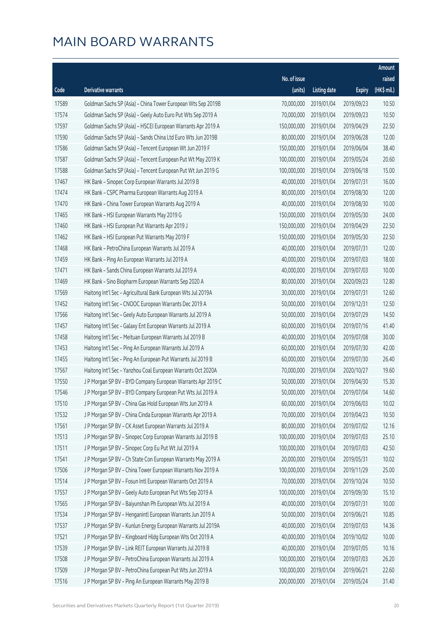|       |                                                              |              |                       |               | Amount      |
|-------|--------------------------------------------------------------|--------------|-----------------------|---------------|-------------|
|       |                                                              | No. of issue |                       |               | raised      |
| Code  | Derivative warrants                                          | (units)      | <b>Listing date</b>   | <b>Expiry</b> | (HK\$ mil.) |
| 17589 | Goldman Sachs SP (Asia) - China Tower European Wts Sep 2019B | 70,000,000   | 2019/01/04            | 2019/09/23    | 10.50       |
| 17574 | Goldman Sachs SP (Asia) - Geely Auto Euro Put Wts Sep 2019 A | 70,000,000   | 2019/01/04            | 2019/09/23    | 10.50       |
| 17597 | Goldman Sachs SP (Asia) - HSCEI European Warrants Apr 2019 A | 150,000,000  | 2019/01/04            | 2019/04/29    | 22.50       |
| 17590 | Goldman Sachs SP (Asia) - Sands China Ltd Euro Wts Jun 2019B | 80,000,000   | 2019/01/04            | 2019/06/28    | 12.00       |
| 17586 | Goldman Sachs SP (Asia) - Tencent European Wt Jun 2019 F     | 150,000,000  | 2019/01/04            | 2019/06/04    | 38.40       |
| 17587 | Goldman Sachs SP (Asia) - Tencent European Put Wt May 2019 K | 100,000,000  | 2019/01/04            | 2019/05/24    | 20.60       |
| 17588 | Goldman Sachs SP (Asia) - Tencent European Put Wt Jun 2019 G | 100,000,000  | 2019/01/04            | 2019/06/18    | 15.00       |
| 17467 | HK Bank - Sinopec Corp European Warrants Jul 2019 B          | 40,000,000   | 2019/01/04            | 2019/07/31    | 16.00       |
| 17474 | HK Bank - CSPC Pharma European Warrants Aug 2019 A           | 80,000,000   | 2019/01/04            | 2019/08/30    | 12.00       |
| 17470 | HK Bank - China Tower European Warrants Aug 2019 A           | 40,000,000   | 2019/01/04            | 2019/08/30    | 10.00       |
| 17465 | HK Bank - HSI European Warrants May 2019 G                   | 150,000,000  | 2019/01/04            | 2019/05/30    | 24.00       |
| 17460 | HK Bank - HSI European Put Warrants Apr 2019 J               | 150,000,000  | 2019/01/04            | 2019/04/29    | 22.50       |
| 17462 | HK Bank - HSI European Put Warrants May 2019 F               | 150,000,000  | 2019/01/04            | 2019/05/30    | 22.50       |
| 17468 | HK Bank - PetroChina European Warrants Jul 2019 A            | 40,000,000   | 2019/01/04            | 2019/07/31    | 12.00       |
| 17459 | HK Bank - Ping An European Warrants Jul 2019 A               | 40,000,000   | 2019/01/04            | 2019/07/03    | 18.00       |
| 17471 | HK Bank - Sands China European Warrants Jul 2019 A           | 40,000,000   | 2019/01/04            | 2019/07/03    | 10.00       |
| 17469 | HK Bank - Sino Biopharm European Warrants Sep 2020 A         | 80,000,000   | 2019/01/04            | 2020/09/23    | 12.80       |
| 17569 | Haitong Int'l Sec - Agricultural Bank European Wts Jul 2019A | 30,000,000   | 2019/01/04            | 2019/07/31    | 12.60       |
| 17452 | Haitong Int'l Sec - CNOOC European Warrants Dec 2019 A       | 50,000,000   | 2019/01/04            | 2019/12/31    | 12.50       |
| 17566 | Haitong Int'l Sec - Geely Auto European Warrants Jul 2019 A  | 50,000,000   | 2019/01/04            | 2019/07/29    | 14.50       |
| 17457 | Haitong Int'l Sec - Galaxy Ent European Warrants Jul 2019 A  | 60,000,000   | 2019/01/04            | 2019/07/16    | 41.40       |
| 17458 | Haitong Int'l Sec - Meituan European Warrants Jul 2019 B     | 40,000,000   | 2019/01/04            | 2019/07/08    | 30.00       |
| 17453 | Haitong Int'l Sec - Ping An European Warrants Jul 2019 A     | 60,000,000   | 2019/01/04            | 2019/07/30    | 42.00       |
| 17455 | Haitong Int'l Sec - Ping An European Put Warrants Jul 2019 B | 60,000,000   | 2019/01/04            | 2019/07/30    | 26.40       |
| 17567 | Haitong Int'l Sec - Yanzhou Coal European Warrants Oct 2020A | 70,000,000   | 2019/01/04            | 2020/10/27    | 19.60       |
| 17550 | J P Morgan SP BV - BYD Company European Warrants Apr 2019 C  | 50,000,000   | 2019/01/04            | 2019/04/30    | 15.30       |
| 17546 | J P Morgan SP BV - BYD Company European Put Wts Jul 2019 A   |              | 50,000,000 2019/01/04 | 2019/07/04    | 14.60       |
| 17510 | J P Morgan SP BV - China Gas Hold European Wts Jun 2019 A    | 60,000,000   | 2019/01/04            | 2019/06/03    | 10.02       |
| 17532 | J P Morgan SP BV - China Cinda European Warrants Apr 2019 A  | 70,000,000   | 2019/01/04            | 2019/04/23    | 10.50       |
| 17561 | J P Morgan SP BV - CK Asset European Warrants Jul 2019 A     | 80,000,000   | 2019/01/04            | 2019/07/02    | 12.16       |
| 17513 | J P Morgan SP BV - Sinopec Corp European Warrants Jul 2019 B | 100,000,000  | 2019/01/04            | 2019/07/03    | 25.10       |
| 17511 | J P Morgan SP BV - Sinopec Corp Eu Put Wt Jul 2019 A         | 100,000,000  | 2019/01/04            | 2019/07/03    | 42.50       |
| 17541 | J P Morgan SP BV - Ch State Con European Warrants May 2019 A | 20,000,000   | 2019/01/04            | 2019/05/31    | 10.02       |
| 17506 | J P Morgan SP BV - China Tower European Warrants Nov 2019 A  | 100,000,000  | 2019/01/04            | 2019/11/29    | 25.00       |
| 17514 | J P Morgan SP BV - Fosun Intl European Warrants Oct 2019 A   | 70,000,000   | 2019/01/04            | 2019/10/24    | 10.50       |
| 17557 | J P Morgan SP BV - Geely Auto European Put Wts Sep 2019 A    | 100,000,000  | 2019/01/04            | 2019/09/30    | 15.10       |
| 17565 | J P Morgan SP BV - Baiyunshan Ph European Wts Jul 2019 A     | 40,000,000   | 2019/01/04            | 2019/07/31    | 10.00       |
| 17534 | J P Morgan SP BV - Henganintl European Warrants Jun 2019 A   | 50,000,000   | 2019/01/04            | 2019/06/21    | 10.85       |
| 17537 | J P Morgan SP BV - Kunlun Energy European Warrants Jul 2019A | 40,000,000   | 2019/01/04            | 2019/07/03    | 14.36       |
| 17521 | J P Morgan SP BV - Kingboard Hldg European Wts Oct 2019 A    | 40,000,000   | 2019/01/04            | 2019/10/02    | 10.00       |
| 17539 | J P Morgan SP BV - Link REIT European Warrants Jul 2019 B    | 40,000,000   | 2019/01/04            | 2019/07/05    | 10.16       |
| 17508 | J P Morgan SP BV - PetroChina European Warrants Jul 2019 A   | 100,000,000  | 2019/01/04            | 2019/07/03    | 26.20       |
| 17509 | J P Morgan SP BV - PetroChina European Put Wts Jun 2019 A    | 100,000,000  | 2019/01/04            | 2019/06/21    | 22.60       |
| 17516 | J P Morgan SP BV - Ping An European Warrants May 2019 B      | 200,000,000  | 2019/01/04            | 2019/05/24    | 31.40       |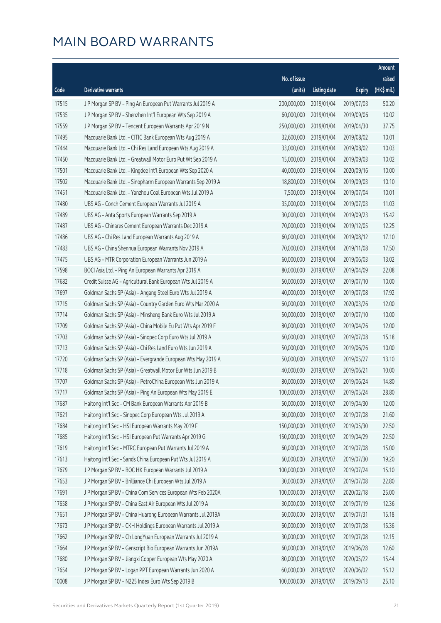|       |                                                              |                        |                     |               | Amount      |
|-------|--------------------------------------------------------------|------------------------|---------------------|---------------|-------------|
|       |                                                              | No. of issue           |                     |               | raised      |
| Code  | Derivative warrants                                          | (units)                | <b>Listing date</b> | <b>Expiry</b> | (HK\$ mil.) |
| 17515 | J P Morgan SP BV - Ping An European Put Warrants Jul 2019 A  | 200,000,000            | 2019/01/04          | 2019/07/03    | 50.20       |
| 17535 | J P Morgan SP BV - Shenzhen Int'l European Wts Sep 2019 A    | 60,000,000             | 2019/01/04          | 2019/09/06    | 10.02       |
| 17559 | J P Morgan SP BV - Tencent European Warrants Apr 2019 N      | 250,000,000            | 2019/01/04          | 2019/04/30    | 37.75       |
| 17495 | Macquarie Bank Ltd. - CITIC Bank European Wts Aug 2019 A     | 32,600,000             | 2019/01/04          | 2019/08/02    | 10.01       |
| 17444 | Macquarie Bank Ltd. - Chi Res Land European Wts Aug 2019 A   | 33,000,000             | 2019/01/04          | 2019/08/02    | 10.03       |
| 17450 | Macquarie Bank Ltd. - Greatwall Motor Euro Put Wt Sep 2019 A | 15,000,000             | 2019/01/04          | 2019/09/03    | 10.02       |
| 17501 | Macquarie Bank Ltd. - Kingdee Int'l European Wts Sep 2020 A  | 40,000,000             | 2019/01/04          | 2020/09/16    | 10.00       |
| 17502 | Macquarie Bank Ltd. - Sinopharm European Warrants Sep 2019 A | 18,800,000             | 2019/01/04          | 2019/09/03    | 10.10       |
| 17451 | Macquarie Bank Ltd. - Yanzhou Coal European Wts Jul 2019 A   | 7,500,000              | 2019/01/04          | 2019/07/04    | 10.01       |
| 17480 | UBS AG - Conch Cement European Warrants Jul 2019 A           | 35,000,000             | 2019/01/04          | 2019/07/03    | 11.03       |
| 17489 | UBS AG - Anta Sports European Warrants Sep 2019 A            | 30,000,000             | 2019/01/04          | 2019/09/23    | 15.42       |
| 17487 | UBS AG - Chinares Cement European Warrants Dec 2019 A        | 70,000,000             | 2019/01/04          | 2019/12/05    | 12.25       |
| 17486 | UBS AG - Chi Res Land European Warrants Aug 2019 A           | 60,000,000             | 2019/01/04          | 2019/08/12    | 17.10       |
| 17483 | UBS AG - China Shenhua European Warrants Nov 2019 A          | 70,000,000             | 2019/01/04          | 2019/11/08    | 17.50       |
| 17475 | UBS AG - MTR Corporation European Warrants Jun 2019 A        | 60,000,000             | 2019/01/04          | 2019/06/03    | 13.02       |
| 17598 | BOCI Asia Ltd. - Ping An European Warrants Apr 2019 A        | 80,000,000             | 2019/01/07          | 2019/04/09    | 22.08       |
| 17682 | Credit Suisse AG - Agricultural Bank European Wts Jul 2019 A | 50,000,000             | 2019/01/07          | 2019/07/10    | 10.00       |
| 17697 | Goldman Sachs SP (Asia) - Angang Steel Euro Wts Jul 2019 A   | 40,000,000             | 2019/01/07          | 2019/07/08    | 17.92       |
| 17715 | Goldman Sachs SP (Asia) - Country Garden Euro Wts Mar 2020 A | 60,000,000             | 2019/01/07          | 2020/03/26    | 12.00       |
| 17714 | Goldman Sachs SP (Asia) - Minsheng Bank Euro Wts Jul 2019 A  | 50,000,000             | 2019/01/07          | 2019/07/10    | 10.00       |
| 17709 | Goldman Sachs SP (Asia) - China Mobile Eu Put Wts Apr 2019 F | 80,000,000             | 2019/01/07          | 2019/04/26    | 12.00       |
| 17703 | Goldman Sachs SP (Asia) - Sinopec Corp Euro Wts Jul 2019 A   | 60,000,000             | 2019/01/07          | 2019/07/08    | 15.18       |
| 17713 | Goldman Sachs SP (Asia) - Chi Res Land Euro Wts Jun 2019 A   | 50,000,000             | 2019/01/07          | 2019/06/26    | 10.00       |
| 17720 | Goldman Sachs SP (Asia) - Evergrande European Wts May 2019 A | 50,000,000             | 2019/01/07          | 2019/05/27    | 13.10       |
| 17718 | Goldman Sachs SP (Asia) - Greatwall Motor Eur Wts Jun 2019 B | 40,000,000             | 2019/01/07          | 2019/06/21    | 10.00       |
| 17707 | Goldman Sachs SP (Asia) - PetroChina European Wts Jun 2019 A | 80,000,000             | 2019/01/07          | 2019/06/24    | 14.80       |
| 17717 | Goldman Sachs SP (Asia) - Ping An European Wts May 2019 E    | 100,000,000 2019/01/07 |                     | 2019/05/24    | 28.80       |
| 17687 | Haitong Int'l Sec - CM Bank European Warrants Apr 2019 B     | 50,000,000             | 2019/01/07          | 2019/04/30    | 12.00       |
| 17621 | Haitong Int'l Sec - Sinopec Corp European Wts Jul 2019 A     | 60,000,000             | 2019/01/07          | 2019/07/08    | 21.60       |
| 17684 | Haitong Int'l Sec - HSI European Warrants May 2019 F         | 150,000,000            | 2019/01/07          | 2019/05/30    | 22.50       |
| 17685 | Haitong Int'l Sec - HSI European Put Warrants Apr 2019 G     | 150,000,000            | 2019/01/07          | 2019/04/29    | 22.50       |
| 17619 | Haitong Int'l Sec - MTRC European Put Warrants Jul 2019 A    | 60,000,000             | 2019/01/07          | 2019/07/08    | 15.00       |
| 17613 | Haitong Int'l Sec - Sands China European Put Wts Jul 2019 A  | 60,000,000             | 2019/01/07          | 2019/07/30    | 19.20       |
| 17679 | J P Morgan SP BV - BOC HK European Warrants Jul 2019 A       | 100,000,000            | 2019/01/07          | 2019/07/24    | 15.10       |
| 17653 | J P Morgan SP BV - Brilliance Chi European Wts Jul 2019 A    | 30,000,000             | 2019/01/07          | 2019/07/08    | 22.80       |
| 17691 | J P Morgan SP BV - China Com Services European Wts Feb 2020A | 100,000,000            | 2019/01/07          | 2020/02/18    | 25.00       |
| 17658 | J P Morgan SP BV - China East Air European Wts Jul 2019 A    | 30,000,000             | 2019/01/07          | 2019/07/19    | 12.36       |
| 17651 | J P Morgan SP BV - China Huarong European Warrants Jul 2019A | 60,000,000             | 2019/01/07          | 2019/07/31    | 15.18       |
| 17673 | J P Morgan SP BV - CKH Holdings European Warrants Jul 2019 A | 60,000,000             | 2019/01/07          | 2019/07/08    | 15.36       |
| 17662 | J P Morgan SP BV - Ch Long Yuan European Warrants Jul 2019 A | 30,000,000             | 2019/01/07          | 2019/07/08    | 12.15       |
| 17664 | J P Morgan SP BV - Genscript Bio European Warrants Jun 2019A | 60,000,000             | 2019/01/07          | 2019/06/28    | 12.60       |
| 17680 | J P Morgan SP BV - Jiangxi Copper European Wts May 2020 A    | 80,000,000             | 2019/01/07          | 2020/05/22    | 15.44       |
| 17654 | J P Morgan SP BV - Logan PPT European Warrants Jun 2020 A    | 60,000,000             | 2019/01/07          | 2020/06/02    | 15.12       |
| 10008 | J P Morgan SP BV - N225 Index Euro Wts Sep 2019 B            | 100,000,000            | 2019/01/07          | 2019/09/13    | 25.10       |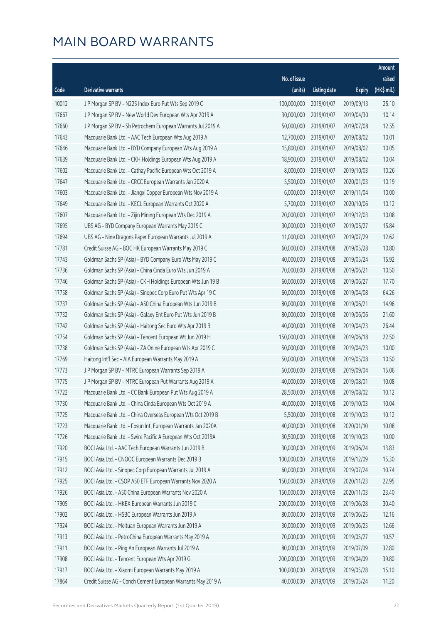|       |                                                              |              |                       |               | Amount      |
|-------|--------------------------------------------------------------|--------------|-----------------------|---------------|-------------|
|       |                                                              | No. of issue |                       |               | raised      |
| Code  | Derivative warrants                                          | (units)      | <b>Listing date</b>   | <b>Expiry</b> | (HK\$ mil.) |
| 10012 | J P Morgan SP BV - N225 Index Euro Put Wts Sep 2019 C        | 100,000,000  | 2019/01/07            | 2019/09/13    | 25.10       |
| 17667 | J P Morgan SP BV - New World Dev European Wts Apr 2019 A     | 30,000,000   | 2019/01/07            | 2019/04/30    | 10.14       |
| 17660 | J P Morgan SP BV - Sh Petrochem European Warrants Jul 2019 A | 50,000,000   | 2019/01/07            | 2019/07/08    | 12.55       |
| 17643 | Macquarie Bank Ltd. - AAC Tech European Wts Aug 2019 A       | 12,700,000   | 2019/01/07            | 2019/08/02    | 10.01       |
| 17646 | Macquarie Bank Ltd. - BYD Company European Wts Aug 2019 A    | 15,800,000   | 2019/01/07            | 2019/08/02    | 10.05       |
| 17639 | Macquarie Bank Ltd. - CKH Holdings European Wts Aug 2019 A   | 18,900,000   | 2019/01/07            | 2019/08/02    | 10.04       |
| 17602 | Macquarie Bank Ltd. - Cathay Pacific European Wts Oct 2019 A | 8,000,000    | 2019/01/07            | 2019/10/03    | 10.26       |
| 17647 | Macquarie Bank Ltd. - CRCC European Warrants Jan 2020 A      | 5,500,000    | 2019/01/07            | 2020/01/03    | 10.19       |
| 17603 | Macquarie Bank Ltd. - Jiangxi Copper European Wts Nov 2019 A | 6,000,000    | 2019/01/07            | 2019/11/04    | 10.00       |
| 17649 | Macquarie Bank Ltd. - KECL European Warrants Oct 2020 A      | 5,700,000    | 2019/01/07            | 2020/10/06    | 10.12       |
| 17607 | Macquarie Bank Ltd. - Zijin Mining European Wts Dec 2019 A   | 20,000,000   | 2019/01/07            | 2019/12/03    | 10.08       |
| 17695 | UBS AG - BYD Company European Warrants May 2019 C            | 30,000,000   | 2019/01/07            | 2019/05/27    | 15.84       |
| 17694 | UBS AG - Nine Dragons Paper European Warrants Jul 2019 A     | 11,000,000   | 2019/01/07            | 2019/07/29    | 12.62       |
| 17781 | Credit Suisse AG - BOC HK European Warrants May 2019 C       | 60,000,000   | 2019/01/08            | 2019/05/28    | 10.80       |
| 17743 | Goldman Sachs SP (Asia) - BYD Company Euro Wts May 2019 C    | 40,000,000   | 2019/01/08            | 2019/05/24    | 15.92       |
| 17736 | Goldman Sachs SP (Asia) - China Cinda Euro Wts Jun 2019 A    | 70,000,000   | 2019/01/08            | 2019/06/21    | 10.50       |
| 17746 | Goldman Sachs SP (Asia) - CKH Holdings European Wts Jun 19 B | 60,000,000   | 2019/01/08            | 2019/06/27    | 17.70       |
| 17758 | Goldman Sachs SP (Asia) - Sinopec Corp Euro Put Wts Apr 19 C | 60,000,000   | 2019/01/08            | 2019/04/08    | 64.26       |
| 17737 | Goldman Sachs SP (Asia) - A50 China European Wts Jun 2019 B  | 80,000,000   | 2019/01/08            | 2019/06/21    | 14.96       |
| 17732 | Goldman Sachs SP (Asia) - Galaxy Ent Euro Put Wts Jun 2019 B | 80,000,000   | 2019/01/08            | 2019/06/06    | 21.60       |
| 17742 | Goldman Sachs SP (Asia) - Haitong Sec Euro Wts Apr 2019 B    | 40,000,000   | 2019/01/08            | 2019/04/23    | 26.44       |
| 17754 | Goldman Sachs SP (Asia) - Tencent European Wt Jun 2019 H     | 150,000,000  | 2019/01/08            | 2019/06/18    | 22.50       |
| 17738 | Goldman Sachs SP (Asia) - ZA Onine European Wts Apr 2019 C   | 50,000,000   | 2019/01/08            | 2019/04/23    | 10.00       |
| 17769 | Haitong Int'l Sec - AIA European Warrants May 2019 A         | 50,000,000   | 2019/01/08            | 2019/05/08    | 10.50       |
| 17773 | J P Morgan SP BV - MTRC European Warrants Sep 2019 A         | 60,000,000   | 2019/01/08            | 2019/09/04    | 15.06       |
| 17775 | J P Morgan SP BV - MTRC European Put Warrants Aug 2019 A     | 40,000,000   | 2019/01/08            | 2019/08/01    | 10.08       |
| 17722 | Macquarie Bank Ltd. - CC Bank European Put Wts Aug 2019 A    |              | 28,500,000 2019/01/08 | 2019/08/02    | 10.12       |
| 17730 | Macquarie Bank Ltd. - China Cinda European Wts Oct 2019 A    | 40,000,000   | 2019/01/08            | 2019/10/03    | 10.04       |
| 17725 | Macquarie Bank Ltd. - China Overseas European Wts Oct 2019 B | 5,500,000    | 2019/01/08            | 2019/10/03    | 10.12       |
| 17723 | Macquarie Bank Ltd. - Fosun Intl European Warrants Jan 2020A | 40,000,000   | 2019/01/08            | 2020/01/10    | 10.08       |
| 17726 | Macquarie Bank Ltd. - Swire Pacific A European Wts Oct 2019A | 30,500,000   | 2019/01/08            | 2019/10/03    | 10.00       |
| 17920 | BOCI Asia Ltd. - AAC Tech European Warrants Jun 2019 B       | 30,000,000   | 2019/01/09            | 2019/06/24    | 13.83       |
| 17915 | BOCI Asia Ltd. - CNOOC European Warrants Dec 2019 B          | 100,000,000  | 2019/01/09            | 2019/12/09    | 15.30       |
| 17912 | BOCI Asia Ltd. - Sinopec Corp European Warrants Jul 2019 A   | 60,000,000   | 2019/01/09            | 2019/07/24    | 10.74       |
| 17925 | BOCI Asia Ltd. - CSOP A50 ETF European Warrants Nov 2020 A   | 150,000,000  | 2019/01/09            | 2020/11/23    | 22.95       |
| 17926 | BOCI Asia Ltd. - A50 China European Warrants Nov 2020 A      | 150,000,000  | 2019/01/09            | 2020/11/03    | 23.40       |
| 17905 | BOCI Asia Ltd. - HKEX European Warrants Jun 2019 C           | 200,000,000  | 2019/01/09            | 2019/06/28    | 30.40       |
| 17902 | BOCI Asia Ltd. - HSBC European Warrants Jun 2019 A           | 80,000,000   | 2019/01/09            | 2019/06/25    | 12.16       |
| 17924 | BOCI Asia Ltd. - Meituan European Warrants Jun 2019 A        | 30,000,000   | 2019/01/09            | 2019/06/25    | 12.66       |
| 17913 | BOCI Asia Ltd. - PetroChina European Warrants May 2019 A     | 70,000,000   | 2019/01/09            | 2019/05/27    | 10.57       |
| 17911 | BOCI Asia Ltd. - Ping An European Warrants Jul 2019 A        | 80,000,000   | 2019/01/09            | 2019/07/09    | 32.80       |
| 17908 | BOCI Asia Ltd. - Tencent European Wts Apr 2019 G             | 200,000,000  | 2019/01/09            | 2019/04/09    | 39.80       |
| 17917 | BOCI Asia Ltd. - Xiaomi European Warrants May 2019 A         | 100,000,000  | 2019/01/09            | 2019/05/28    | 15.10       |
| 17864 | Credit Suisse AG - Conch Cement European Warrants May 2019 A | 40,000,000   | 2019/01/09            | 2019/05/24    | 11.20       |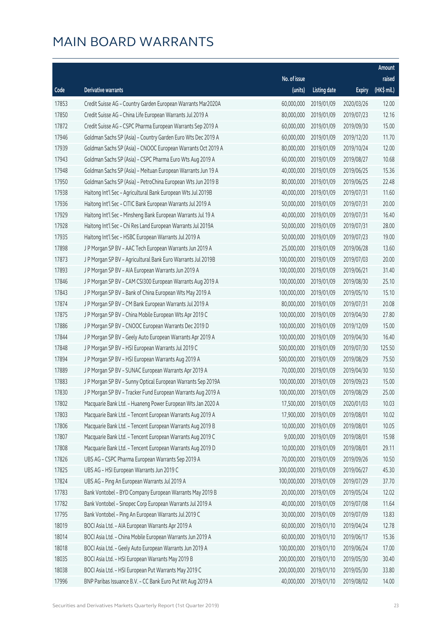|       |                                                              |                        |                     |               | Amount      |
|-------|--------------------------------------------------------------|------------------------|---------------------|---------------|-------------|
|       |                                                              | No. of issue           |                     |               | raised      |
| Code  | Derivative warrants                                          | (units)                | <b>Listing date</b> | <b>Expiry</b> | (HK\$ mil.) |
| 17853 | Credit Suisse AG - Country Garden European Warrants Mar2020A | 60,000,000             | 2019/01/09          | 2020/03/26    | 12.00       |
| 17850 | Credit Suisse AG - China Life European Warrants Jul 2019 A   | 80,000,000             | 2019/01/09          | 2019/07/23    | 12.16       |
| 17872 | Credit Suisse AG - CSPC Pharma European Warrants Sep 2019 A  | 60,000,000             | 2019/01/09          | 2019/09/30    | 15.00       |
| 17946 | Goldman Sachs SP (Asia) - Country Garden Euro Wts Dec 2019 A | 60,000,000             | 2019/01/09          | 2019/12/20    | 11.70       |
| 17939 | Goldman Sachs SP (Asia) - CNOOC European Warrants Oct 2019 A | 80,000,000             | 2019/01/09          | 2019/10/24    | 12.00       |
| 17943 | Goldman Sachs SP (Asia) - CSPC Pharma Euro Wts Aug 2019 A    | 60,000,000             | 2019/01/09          | 2019/08/27    | 10.68       |
| 17948 | Goldman Sachs SP (Asia) - Meituan European Warrants Jun 19 A | 40,000,000             | 2019/01/09          | 2019/06/25    | 15.36       |
| 17950 | Goldman Sachs SP (Asia) - PetroChina European Wts Jun 2019 B | 80,000,000             | 2019/01/09          | 2019/06/25    | 22.48       |
| 17938 | Haitong Int'l Sec - Agricultural Bank European Wts Jul 2019B | 40,000,000             | 2019/01/09          | 2019/07/31    | 11.60       |
| 17936 | Haitong Int'l Sec - CITIC Bank European Warrants Jul 2019 A  | 50,000,000             | 2019/01/09          | 2019/07/31    | 20.00       |
| 17929 | Haitong Int'l Sec - Minsheng Bank European Warrants Jul 19 A | 40,000,000             | 2019/01/09          | 2019/07/31    | 16.40       |
| 17928 | Haitong Int'l Sec - Chi Res Land European Warrants Jul 2019A | 50,000,000             | 2019/01/09          | 2019/07/31    | 28.00       |
| 17935 | Haitong Int'l Sec - HSBC European Warrants Jul 2019 A        | 50,000,000             | 2019/01/09          | 2019/07/23    | 19.00       |
| 17898 | J P Morgan SP BV - AAC Tech European Warrants Jun 2019 A     | 25,000,000             | 2019/01/09          | 2019/06/28    | 13.60       |
| 17873 | J P Morgan SP BV - Agricultural Bank Euro Warrants Jul 2019B | 100,000,000            | 2019/01/09          | 2019/07/03    | 20.00       |
| 17893 | J P Morgan SP BV - AIA European Warrants Jun 2019 A          | 100,000,000            | 2019/01/09          | 2019/06/21    | 31.40       |
| 17846 | J P Morgan SP BV - CAM CSI300 European Warrants Aug 2019 A   | 100,000,000            | 2019/01/09          | 2019/08/30    | 25.10       |
| 17843 | J P Morgan SP BV - Bank of China European Wts May 2019 A     | 100,000,000            | 2019/01/09          | 2019/05/10    | 15.10       |
| 17874 | J P Morgan SP BV - CM Bank European Warrants Jul 2019 A      | 80,000,000             | 2019/01/09          | 2019/07/31    | 20.08       |
| 17875 | J P Morgan SP BV - China Mobile European Wts Apr 2019 C      | 100,000,000            | 2019/01/09          | 2019/04/30    | 27.80       |
| 17886 | J P Morgan SP BV - CNOOC European Warrants Dec 2019 D        | 100,000,000            | 2019/01/09          | 2019/12/09    | 15.00       |
| 17844 | J P Morgan SP BV - Geely Auto European Warrants Apr 2019 A   | 100,000,000            | 2019/01/09          | 2019/04/30    | 16.40       |
| 17848 | J P Morgan SP BV - HSI European Warrants Jul 2019 C          | 500,000,000            | 2019/01/09          | 2019/07/30    | 125.50      |
| 17894 | J P Morgan SP BV - HSI European Warrants Aug 2019 A          | 500,000,000            | 2019/01/09          | 2019/08/29    | 75.50       |
| 17889 | J P Morgan SP BV - SUNAC European Warrants Apr 2019 A        | 70,000,000             | 2019/01/09          | 2019/04/30    | 10.50       |
| 17883 | J P Morgan SP BV - Sunny Optical European Warrants Sep 2019A | 100,000,000            | 2019/01/09          | 2019/09/23    | 15.00       |
| 17830 | JP Morgan SP BV - Tracker Fund European Warrants Aug 2019 A  | 100,000,000 2019/01/09 |                     | 2019/08/29    | 25.00       |
| 17802 | Macquarie Bank Ltd. - Huaneng Power European Wts Jan 2020 A  | 17,500,000             | 2019/01/09          | 2020/01/03    | 10.03       |
| 17803 | Macquarie Bank Ltd. - Tencent European Warrants Aug 2019 A   | 17,900,000             | 2019/01/09          | 2019/08/01    | 10.02       |
| 17806 | Macquarie Bank Ltd. - Tencent European Warrants Aug 2019 B   | 10,000,000             | 2019/01/09          | 2019/08/01    | 10.05       |
| 17807 | Macquarie Bank Ltd. - Tencent European Warrants Aug 2019 C   | 9,000,000              | 2019/01/09          | 2019/08/01    | 15.98       |
| 17808 | Macquarie Bank Ltd. - Tencent European Warrants Aug 2019 D   | 10,000,000             | 2019/01/09          | 2019/08/01    | 29.11       |
| 17826 | UBS AG - CSPC Pharma European Warrants Sep 2019 A            | 70,000,000             | 2019/01/09          | 2019/09/26    | 10.50       |
| 17825 | UBS AG - HSI European Warrants Jun 2019 C                    | 300,000,000            | 2019/01/09          | 2019/06/27    | 45.30       |
| 17824 | UBS AG - Ping An European Warrants Jul 2019 A                | 100,000,000            | 2019/01/09          | 2019/07/29    | 37.70       |
| 17783 | Bank Vontobel - BYD Company European Warrants May 2019 B     | 20,000,000             | 2019/01/09          | 2019/05/24    | 12.02       |
| 17782 | Bank Vontobel - Sinopec Corp European Warrants Jul 2019 A    | 40,000,000             | 2019/01/09          | 2019/07/08    | 11.64       |
| 17795 | Bank Vontobel - Ping An European Warrants Jul 2019 C         | 30,000,000             | 2019/01/09          | 2019/07/09    | 13.83       |
| 18019 | BOCI Asia Ltd. - AIA European Warrants Apr 2019 A            | 60,000,000             | 2019/01/10          | 2019/04/24    | 12.78       |
| 18014 | BOCI Asia Ltd. - China Mobile European Warrants Jun 2019 A   | 60,000,000             | 2019/01/10          | 2019/06/17    | 15.36       |
| 18018 | BOCI Asia Ltd. - Geely Auto European Warrants Jun 2019 A     | 100,000,000            | 2019/01/10          | 2019/06/24    | 17.00       |
| 18035 | BOCI Asia Ltd. - HSI European Warrants May 2019 B            | 200,000,000            | 2019/01/10          | 2019/05/30    | 30.40       |
| 18038 | BOCI Asia Ltd. - HSI European Put Warrants May 2019 C        | 200,000,000            | 2019/01/10          | 2019/05/30    | 33.80       |
| 17996 | BNP Paribas Issuance B.V. - CC Bank Euro Put Wt Aug 2019 A   | 40,000,000             | 2019/01/10          | 2019/08/02    | 14.00       |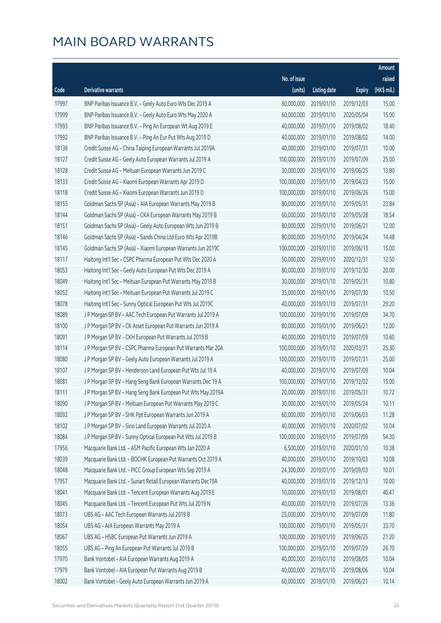|       |                                                              |              |                       |               | Amount                |
|-------|--------------------------------------------------------------|--------------|-----------------------|---------------|-----------------------|
|       |                                                              | No. of issue |                       |               | raised                |
| Code  | Derivative warrants                                          | (units)      | <b>Listing date</b>   | <b>Expiry</b> | $(HK\frac{1}{2}mil.)$ |
| 17997 | BNP Paribas Issuance B.V. - Geely Auto Euro Wts Dec 2019 A   | 60,000,000   | 2019/01/10            | 2019/12/03    | 15.00                 |
| 17999 | BNP Paribas Issuance B.V. - Geely Auto Euro Wts May 2020 A   | 60,000,000   | 2019/01/10            | 2020/05/04    | 15.00                 |
| 17993 | BNP Paribas Issuance B.V. - Ping An European Wt Aug 2019 E   | 40,000,000   | 2019/01/10            | 2019/08/02    | 18.40                 |
| 17992 | BNP Paribas Issuance B.V. - Ping An Eur Put Wts Aug 2019 D   | 40,000,000   | 2019/01/10            | 2019/08/02    | 14.00                 |
| 18136 | Credit Suisse AG - China Taiping European Warrants Jul 2019A | 40,000,000   | 2019/01/10            | 2019/07/31    | 10.00                 |
| 18127 | Credit Suisse AG - Geely Auto European Warrants Jul 2019 A   | 100,000,000  | 2019/01/10            | 2019/07/09    | 25.00                 |
| 18128 | Credit Suisse AG - Meituan European Warrants Jun 2019 C      | 30,000,000   | 2019/01/10            | 2019/06/25    | 13.80                 |
| 18133 | Credit Suisse AG - Xiaomi European Warrants Apr 2019 D       | 100,000,000  | 2019/01/10            | 2019/04/23    | 15.00                 |
| 18118 | Credit Suisse AG - Xiaomi European Warrants Jun 2019 D       | 100,000,000  | 2019/01/10            | 2019/06/26    | 15.00                 |
| 18155 | Goldman Sachs SP (Asia) - AIA European Warrants May 2019 B   | 80,000,000   | 2019/01/10            | 2019/05/31    | 23.84                 |
| 18144 | Goldman Sachs SP (Asia) - CKA European Warrants May 2019 B   | 60,000,000   | 2019/01/10            | 2019/05/28    | 18.54                 |
| 18151 | Goldman Sachs SP (Asia) - Geely Auto European Wts Jun 2019 B | 80,000,000   | 2019/01/10            | 2019/06/21    | 12.00                 |
| 18146 | Goldman Sachs SP (Asia) - Sands China Ltd Euro Wts Apr 2019B | 80,000,000   | 2019/01/10            | 2019/04/24    | 14.48                 |
| 18145 | Goldman Sachs SP (Asia) - Xiaomi European Warrants Jun 2019C | 100,000,000  | 2019/01/10            | 2019/06/13    | 15.00                 |
| 18117 | Haitong Int'l Sec - CSPC Pharma European Put Wts Dec 2020 A  | 50,000,000   | 2019/01/10            | 2020/12/31    | 12.50                 |
| 18053 | Haitong Int'l Sec - Geely Auto European Put Wts Dec 2019 A   | 80,000,000   | 2019/01/10            | 2019/12/30    | 20.00                 |
| 18049 | Haitong Int'l Sec - Meituan European Put Warrants May 2019 B | 30,000,000   | 2019/01/10            | 2019/05/31    | 10.80                 |
| 18052 | Haitong Int'l Sec - Meituan European Put Warrants Jul 2019 C | 35,000,000   | 2019/01/10            | 2019/07/30    | 10.50                 |
| 18078 | Haitong Int'l Sec - Sunny Optical European Put Wts Jul 2019C | 40,000,000   | 2019/01/10            | 2019/07/31    | 29.20                 |
| 18089 | J P Morgan SP BV - AAC Tech European Put Warrants Jul 2019 A | 100,000,000  | 2019/01/10            | 2019/07/09    | 34.70                 |
| 18100 | J P Morgan SP BV - CK Asset European Put Warrants Jun 2019 A | 80,000,000   | 2019/01/10            | 2019/06/21    | 12.00                 |
| 18091 | J P Morgan SP BV - CKH European Put Warrants Jul 2019 B      | 40,000,000   | 2019/01/10            | 2019/07/09    | 10.60                 |
| 18114 | J P Morgan SP BV - CSPC Pharma European Put Warrants Mar 20A | 100,000,000  | 2019/01/10            | 2020/03/31    | 25.30                 |
| 18080 | J P Morgan SP BV - Geely Auto European Warrants Jul 2019 A   | 100,000,000  | 2019/01/10            | 2019/07/31    | 25.00                 |
| 18107 | JP Morgan SP BV - Henderson Land European Put Wts Jul 19 A   | 40,000,000   | 2019/01/10            | 2019/07/09    | 10.04                 |
| 18081 | JP Morgan SP BV - Hang Seng Bank European Warrants Dec 19 A  | 100,000,000  | 2019/01/10            | 2019/12/02    | 15.00                 |
| 18111 | J P Morgan SP BV - Hang Seng Bank European Put Wts May 2019A |              | 20,000,000 2019/01/10 | 2019/05/31    | 10.72                 |
| 18090 | J P Morgan SP BV - Meituan European Put Warrants May 2019 C  | 30,000,000   | 2019/01/10            | 2019/05/24    | 10.11                 |
| 18092 | J P Morgan SP BV - SHK Ppt European Warrants Jun 2019 A      | 60,000,000   | 2019/01/10            | 2019/06/03    | 11.28                 |
| 18102 | J P Morgan SP BV - Sino Land European Warrants Jul 2020 A    | 40,000,000   | 2019/01/10            | 2020/07/02    | 10.04                 |
| 18084 | J P Morgan SP BV - Sunny Optical European Put Wts Jul 2019 B | 100,000,000  | 2019/01/10            | 2019/07/09    | 54.30                 |
| 17956 | Macquarie Bank Ltd. - ASM Pacific European Wts Jan 2020 A    | 6,500,000    | 2019/01/10            | 2020/01/10    | 10.38                 |
| 18039 | Macquarie Bank Ltd. - BOCHK European Put Warrants Oct 2019 A | 40,000,000   | 2019/01/10            | 2019/10/03    | 10.08                 |
| 18048 | Macquarie Bank Ltd. - PICC Group European Wts Sep 2019 A     | 24,300,000   | 2019/01/10            | 2019/09/03    | 10.01                 |
| 17957 | Macquarie Bank Ltd. - Sunart Retail European Warrants Dec19A | 40,000,000   | 2019/01/10            | 2019/12/13    | 10.00                 |
| 18041 | Macquarie Bank Ltd. - Tencent European Warrants Aug 2019 E   | 10,000,000   | 2019/01/10            | 2019/08/01    | 40.47                 |
| 18045 | Macquarie Bank Ltd. - Tencent European Put Wts Jul 2019 N    | 40,000,000   | 2019/01/10            | 2019/07/26    | 13.36                 |
| 18073 | UBS AG - AAC Tech European Warrants Jul 2019 B               | 25,000,000   | 2019/01/10            | 2019/07/09    | 11.80                 |
| 18054 | UBS AG - AIA European Warrants May 2019 A                    | 100,000,000  | 2019/01/10            | 2019/05/31    | 33.70                 |
| 18067 | UBS AG - HSBC European Put Warrants Jun 2019 A               | 100,000,000  | 2019/01/10            | 2019/06/25    | 21.20                 |
| 18055 | UBS AG - Ping An European Put Warrants Jul 2019 B            | 100,000,000  | 2019/01/10            | 2019/07/29    | 26.70                 |
| 17970 | Bank Vontobel - AIA European Warrants Aug 2019 A             | 40,000,000   | 2019/01/10            | 2019/08/05    | 10.04                 |
| 17979 | Bank Vontobel - AIA European Put Warrants Aug 2019 B         | 40,000,000   | 2019/01/10            | 2019/08/06    | 10.04                 |
| 18002 | Bank Vontobel - Geely Auto European Warrants Jun 2019 A      | 60,000,000   | 2019/01/10            | 2019/06/21    | 10.14                 |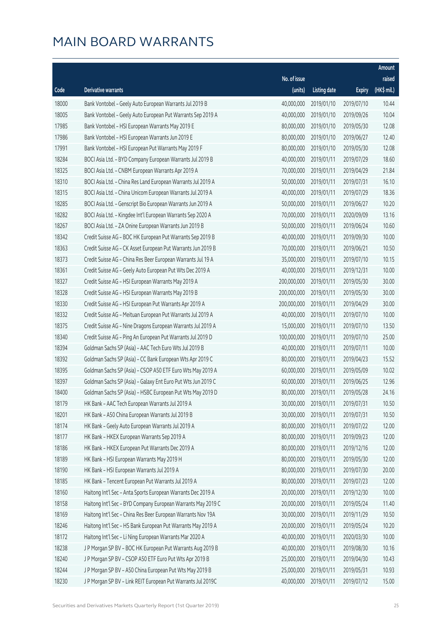|       |                                                              |              |                       |               | Amount      |
|-------|--------------------------------------------------------------|--------------|-----------------------|---------------|-------------|
|       |                                                              | No. of issue |                       |               | raised      |
| Code  | Derivative warrants                                          | (units)      | <b>Listing date</b>   | <b>Expiry</b> | (HK\$ mil.) |
| 18000 | Bank Vontobel - Geely Auto European Warrants Jul 2019 B      | 40,000,000   | 2019/01/10            | 2019/07/10    | 10.44       |
| 18005 | Bank Vontobel - Geely Auto European Put Warrants Sep 2019 A  | 40,000,000   | 2019/01/10            | 2019/09/26    | 10.04       |
| 17985 | Bank Vontobel - HSI European Warrants May 2019 E             | 80,000,000   | 2019/01/10            | 2019/05/30    | 12.08       |
| 17986 | Bank Vontobel - HSI European Warrants Jun 2019 E             | 80,000,000   | 2019/01/10            | 2019/06/27    | 12.40       |
| 17991 | Bank Vontobel - HSI European Put Warrants May 2019 F         | 80,000,000   | 2019/01/10            | 2019/05/30    | 12.08       |
| 18284 | BOCI Asia Ltd. - BYD Company European Warrants Jul 2019 B    | 40,000,000   | 2019/01/11            | 2019/07/29    | 18.60       |
| 18325 | BOCI Asia Ltd. - CNBM European Warrants Apr 2019 A           | 70,000,000   | 2019/01/11            | 2019/04/29    | 21.84       |
| 18310 | BOCI Asia Ltd. - China Res Land European Warrants Jul 2019 A | 50,000,000   | 2019/01/11            | 2019/07/31    | 16.10       |
| 18315 | BOCI Asia Ltd. - China Unicom European Warrants Jul 2019 A   | 40,000,000   | 2019/01/11            | 2019/07/29    | 18.36       |
| 18285 | BOCI Asia Ltd. - Genscript Bio European Warrants Jun 2019 A  | 50,000,000   | 2019/01/11            | 2019/06/27    | 10.20       |
| 18282 | BOCI Asia Ltd. - Kingdee Int'l European Warrants Sep 2020 A  | 70,000,000   | 2019/01/11            | 2020/09/09    | 13.16       |
| 18267 | BOCI Asia Ltd. - ZA Onine European Warrants Jun 2019 B       | 50,000,000   | 2019/01/11            | 2019/06/24    | 10.60       |
| 18342 | Credit Suisse AG - BOC HK European Put Warrants Sep 2019 B   | 40,000,000   | 2019/01/11            | 2019/09/30    | 10.00       |
| 18363 | Credit Suisse AG - CK Asset European Put Warrants Jun 2019 B | 70,000,000   | 2019/01/11            | 2019/06/21    | 10.50       |
| 18373 | Credit Suisse AG - China Res Beer European Warrants Jul 19 A | 35,000,000   | 2019/01/11            | 2019/07/10    | 10.15       |
| 18361 | Credit Suisse AG - Geely Auto European Put Wts Dec 2019 A    | 40,000,000   | 2019/01/11            | 2019/12/31    | 10.00       |
| 18327 | Credit Suisse AG - HSI European Warrants May 2019 A          | 200,000,000  | 2019/01/11            | 2019/05/30    | 30.00       |
| 18328 | Credit Suisse AG - HSI European Warrants May 2019 B          | 200,000,000  | 2019/01/11            | 2019/05/30    | 30.00       |
| 18330 | Credit Suisse AG - HSI European Put Warrants Apr 2019 A      | 200,000,000  | 2019/01/11            | 2019/04/29    | 30.00       |
| 18332 | Credit Suisse AG - Meituan European Put Warrants Jul 2019 A  | 40,000,000   | 2019/01/11            | 2019/07/10    | 10.00       |
| 18375 | Credit Suisse AG - Nine Dragons European Warrants Jul 2019 A | 15,000,000   | 2019/01/11            | 2019/07/10    | 13.50       |
| 18340 | Credit Suisse AG - Ping An European Put Warrants Jul 2019 D  | 100,000,000  | 2019/01/11            | 2019/07/10    | 25.00       |
| 18394 | Goldman Sachs SP (Asia) - AAC Tech Euro Wts Jul 2019 B       | 40,000,000   | 2019/01/11            | 2019/07/11    | 10.00       |
| 18392 | Goldman Sachs SP (Asia) - CC Bank European Wts Apr 2019 C    | 80,000,000   | 2019/01/11            | 2019/04/23    | 15.52       |
| 18395 | Goldman Sachs SP (Asia) - CSOP A50 ETF Euro Wts May 2019 A   | 60,000,000   | 2019/01/11            | 2019/05/09    | 10.02       |
| 18397 | Goldman Sachs SP (Asia) - Galaxy Ent Euro Put Wts Jun 2019 C | 60,000,000   | 2019/01/11            | 2019/06/25    | 12.96       |
| 18400 | Goldman Sachs SP (Asia) - HSBC European Put Wts May 2019 D   |              | 80,000,000 2019/01/11 | 2019/05/28    | 24.16       |
| 18179 | HK Bank - AAC Tech European Warrants Jul 2019 A              | 30,000,000   | 2019/01/11            | 2019/07/31    | 10.50       |
| 18201 | HK Bank - A50 China European Warrants Jul 2019 B             | 30,000,000   | 2019/01/11            | 2019/07/31    | 10.50       |
| 18174 | HK Bank - Geely Auto European Warrants Jul 2019 A            | 80,000,000   | 2019/01/11            | 2019/07/22    | 12.00       |
| 18177 | HK Bank - HKEX European Warrants Sep 2019 A                  | 80,000,000   | 2019/01/11            | 2019/09/23    | 12.00       |
| 18186 | HK Bank - HKEX European Put Warrants Dec 2019 A              | 80,000,000   | 2019/01/11            | 2019/12/16    | 12.00       |
| 18189 | HK Bank - HSI European Warrants May 2019 H                   | 80,000,000   | 2019/01/11            | 2019/05/30    | 12.00       |
| 18190 | HK Bank - HSI European Warrants Jul 2019 A                   | 80,000,000   | 2019/01/11            | 2019/07/30    | 20.00       |
| 18185 | HK Bank - Tencent European Put Warrants Jul 2019 A           | 80,000,000   | 2019/01/11            | 2019/07/23    | 12.00       |
| 18160 | Haitong Int'l Sec - Anta Sports European Warrants Dec 2019 A | 20,000,000   | 2019/01/11            | 2019/12/30    | 10.00       |
| 18158 | Haitong Int'l Sec - BYD Company European Warrants May 2019 C | 20,000,000   | 2019/01/11            | 2019/05/24    | 11.40       |
| 18169 | Haitong Int'l Sec - China Res Beer European Warrants Nov 19A | 30,000,000   | 2019/01/11            | 2019/11/29    | 10.50       |
| 18246 | Haitong Int'l Sec - HS Bank European Put Warrants May 2019 A | 20,000,000   | 2019/01/11            | 2019/05/24    | 10.20       |
| 18172 | Haitong Int'l Sec - Li Ning European Warrants Mar 2020 A     | 40,000,000   | 2019/01/11            | 2020/03/30    | 10.00       |
| 18238 | J P Morgan SP BV - BOC HK European Put Warrants Aug 2019 B   | 40,000,000   | 2019/01/11            | 2019/08/30    | 10.16       |
| 18240 | J P Morgan SP BV - CSOP A50 ETF Euro Put Wts Apr 2019 B      | 25,000,000   | 2019/01/11            | 2019/04/30    | 10.43       |
| 18244 | J P Morgan SP BV - A50 China European Put Wts May 2019 B     | 25,000,000   | 2019/01/11            | 2019/05/31    | 10.93       |
| 18230 | JP Morgan SP BV - Link REIT European Put Warrants Jul 2019C  | 40,000,000   | 2019/01/11            | 2019/07/12    | 15.00       |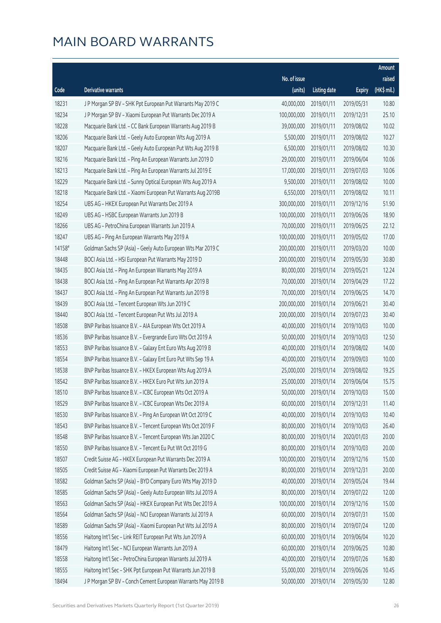|        |                                                              |              |                       |               | Amount      |
|--------|--------------------------------------------------------------|--------------|-----------------------|---------------|-------------|
|        |                                                              | No. of issue |                       |               | raised      |
| Code   | Derivative warrants                                          | (units)      | <b>Listing date</b>   | <b>Expiry</b> | (HK\$ mil.) |
| 18231  | J P Morgan SP BV - SHK Ppt European Put Warrants May 2019 C  | 40,000,000   | 2019/01/11            | 2019/05/31    | 10.80       |
| 18234  | J P Morgan SP BV - Xiaomi European Put Warrants Dec 2019 A   | 100,000,000  | 2019/01/11            | 2019/12/31    | 25.10       |
| 18228  | Macquarie Bank Ltd. - CC Bank European Warrants Aug 2019 B   | 39,000,000   | 2019/01/11            | 2019/08/02    | 10.02       |
| 18206  | Macquarie Bank Ltd. - Geely Auto European Wts Aug 2019 A     | 5,500,000    | 2019/01/11            | 2019/08/02    | 10.27       |
| 18207  | Macquarie Bank Ltd. - Geely Auto European Put Wts Aug 2019 B | 6,500,000    | 2019/01/11            | 2019/08/02    | 10.30       |
| 18216  | Macquarie Bank Ltd. - Ping An European Warrants Jun 2019 D   | 29,000,000   | 2019/01/11            | 2019/06/04    | 10.06       |
| 18213  | Macquarie Bank Ltd. - Ping An European Warrants Jul 2019 E   | 17,000,000   | 2019/01/11            | 2019/07/03    | 10.06       |
| 18229  | Macquarie Bank Ltd. - Sunny Optical European Wts Aug 2019 A  | 9,500,000    | 2019/01/11            | 2019/08/02    | 10.00       |
| 18218  | Macquarie Bank Ltd. - Xiaomi European Put Warrants Aug 2019B | 6,550,000    | 2019/01/11            | 2019/08/02    | 10.11       |
| 18254  | UBS AG - HKEX European Put Warrants Dec 2019 A               | 300,000,000  | 2019/01/11            | 2019/12/16    | 51.90       |
| 18249  | UBS AG - HSBC European Warrants Jun 2019 B                   | 100,000,000  | 2019/01/11            | 2019/06/26    | 18.90       |
| 18266  | UBS AG - PetroChina European Warrants Jun 2019 A             | 70,000,000   | 2019/01/11            | 2019/06/25    | 22.12       |
| 18247  | UBS AG - Ping An European Warrants May 2019 A                | 100,000,000  | 2019/01/11            | 2019/05/02    | 17.00       |
| 14158# | Goldman Sachs SP (Asia) - Geely Auto European Wts Mar 2019 C | 200,000,000  | 2019/01/11            | 2019/03/20    | 10.00       |
| 18448  | BOCI Asia Ltd. - HSI European Put Warrants May 2019 D        | 200,000,000  | 2019/01/14            | 2019/05/30    | 30.80       |
| 18435  | BOCI Asia Ltd. - Ping An European Warrants May 2019 A        | 80,000,000   | 2019/01/14            | 2019/05/21    | 12.24       |
| 18438  | BOCI Asia Ltd. - Ping An European Put Warrants Apr 2019 B    | 70,000,000   | 2019/01/14            | 2019/04/29    | 17.22       |
| 18437  | BOCI Asia Ltd. - Ping An European Put Warrants Jun 2019 B    | 70,000,000   | 2019/01/14            | 2019/06/25    | 14.70       |
| 18439  | BOCI Asia Ltd. - Tencent European Wts Jun 2019 C             | 200,000,000  | 2019/01/14            | 2019/06/21    | 30.40       |
| 18440  | BOCI Asia Ltd. - Tencent European Put Wts Jul 2019 A         | 200,000,000  | 2019/01/14            | 2019/07/23    | 30.40       |
| 18508  | BNP Paribas Issuance B.V. - AIA European Wts Oct 2019 A      | 40,000,000   | 2019/01/14            | 2019/10/03    | 10.00       |
| 18536  | BNP Paribas Issuance B.V. - Evergrande Euro Wts Oct 2019 A   | 50,000,000   | 2019/01/14            | 2019/10/03    | 12.50       |
| 18553  | BNP Paribas Issuance B.V. - Galaxy Ent Euro Wts Aug 2019 B   | 40,000,000   | 2019/01/14            | 2019/08/02    | 14.00       |
| 18554  | BNP Paribas Issuance B.V. - Galaxy Ent Euro Put Wts Sep 19 A | 40,000,000   | 2019/01/14            | 2019/09/03    | 10.00       |
| 18538  | BNP Paribas Issuance B.V. - HKEX European Wts Aug 2019 A     | 25,000,000   | 2019/01/14            | 2019/08/02    | 19.25       |
| 18542  | BNP Paribas Issuance B.V. - HKEX Euro Put Wts Jun 2019 A     | 25,000,000   | 2019/01/14            | 2019/06/04    | 15.75       |
| 18510  | BNP Paribas Issuance B.V. - ICBC European Wts Oct 2019 A     |              | 50,000,000 2019/01/14 | 2019/10/03    | 15.00       |
| 18529  | BNP Paribas Issuance B.V. - ICBC European Wts Dec 2019 A     | 60,000,000   | 2019/01/14            | 2019/12/31    | 11.40       |
| 18530  | BNP Paribas Issuance B.V. - Ping An European Wt Oct 2019 C   | 40,000,000   | 2019/01/14            | 2019/10/03    | 10.40       |
| 18543  | BNP Paribas Issuance B.V. - Tencent European Wts Oct 2019 F  | 80,000,000   | 2019/01/14            | 2019/10/03    | 26.40       |
| 18548  | BNP Paribas Issuance B.V. - Tencent European Wts Jan 2020 C  | 80,000,000   | 2019/01/14            | 2020/01/03    | 20.00       |
| 18550  | BNP Paribas Issuance B.V. - Tencent Eu Put Wt Oct 2019 G     | 80,000,000   | 2019/01/14            | 2019/10/03    | 20.00       |
| 18507  | Credit Suisse AG - HKEX European Put Warrants Dec 2019 A     | 100,000,000  | 2019/01/14            | 2019/12/16    | 15.00       |
| 18505  | Credit Suisse AG - Xiaomi European Put Warrants Dec 2019 A   | 80,000,000   | 2019/01/14            | 2019/12/31    | 20.00       |
| 18582  | Goldman Sachs SP (Asia) - BYD Company Euro Wts May 2019 D    | 40,000,000   | 2019/01/14            | 2019/05/24    | 19.44       |
| 18585  | Goldman Sachs SP (Asia) - Geely Auto European Wts Jul 2019 A | 80,000,000   | 2019/01/14            | 2019/07/22    | 12.00       |
| 18563  | Goldman Sachs SP (Asia) - HKEX European Put Wts Dec 2019 A   | 100,000,000  | 2019/01/14            | 2019/12/16    | 15.00       |
| 18564  | Goldman Sachs SP (Asia) - NCI European Warrants Jul 2019 A   | 60,000,000   | 2019/01/14            | 2019/07/31    | 15.00       |
| 18589  | Goldman Sachs SP (Asia) - Xiaomi European Put Wts Jul 2019 A | 80,000,000   | 2019/01/14            | 2019/07/24    | 12.00       |
| 18556  | Haitong Int'l Sec - Link REIT European Put Wts Jun 2019 A    | 60,000,000   | 2019/01/14            | 2019/06/04    | 10.20       |
| 18479  | Haitong Int'l Sec - NCI European Warrants Jun 2019 A         | 60,000,000   | 2019/01/14            | 2019/06/25    | 10.80       |
| 18558  | Haitong Int'l Sec - PetroChina European Warrants Jul 2019 A  | 40,000,000   | 2019/01/14            | 2019/07/26    | 16.80       |
| 18555  | Haitong Int'l Sec - SHK Ppt European Put Warrants Jun 2019 B | 55,000,000   | 2019/01/14            | 2019/06/26    | 10.45       |
| 18494  | J P Morgan SP BV - Conch Cement European Warrants May 2019 B | 50,000,000   | 2019/01/14            | 2019/05/30    | 12.80       |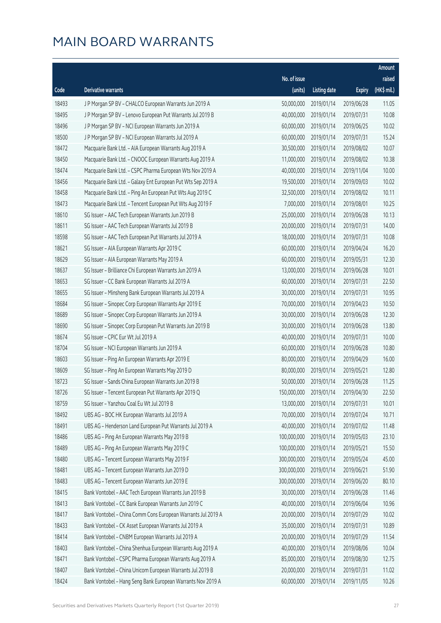|       |                                                              |                        |                     |               | Amount      |
|-------|--------------------------------------------------------------|------------------------|---------------------|---------------|-------------|
|       |                                                              | No. of issue           |                     |               | raised      |
| Code  | Derivative warrants                                          | (units)                | <b>Listing date</b> | <b>Expiry</b> | (HK\$ mil.) |
| 18493 | J P Morgan SP BV - CHALCO European Warrants Jun 2019 A       | 50,000,000             | 2019/01/14          | 2019/06/28    | 11.05       |
| 18495 | J P Morgan SP BV - Lenovo European Put Warrants Jul 2019 B   | 40,000,000             | 2019/01/14          | 2019/07/31    | 10.08       |
| 18496 | J P Morgan SP BV - NCI European Warrants Jun 2019 A          | 60,000,000             | 2019/01/14          | 2019/06/25    | 10.02       |
| 18500 | J P Morgan SP BV - NCI European Warrants Jul 2019 A          | 60,000,000             | 2019/01/14          | 2019/07/31    | 15.24       |
| 18472 | Macquarie Bank Ltd. - AIA European Warrants Aug 2019 A       | 30,500,000             | 2019/01/14          | 2019/08/02    | 10.07       |
| 18450 | Macquarie Bank Ltd. - CNOOC European Warrants Aug 2019 A     | 11,000,000             | 2019/01/14          | 2019/08/02    | 10.38       |
| 18474 | Macquarie Bank Ltd. - CSPC Pharma European Wts Nov 2019 A    | 40,000,000             | 2019/01/14          | 2019/11/04    | 10.00       |
| 18456 | Macquarie Bank Ltd. - Galaxy Ent European Put Wts Sep 2019 A | 19,500,000             | 2019/01/14          | 2019/09/03    | 10.02       |
| 18458 | Macquarie Bank Ltd. - Ping An European Put Wts Aug 2019 C    | 32,500,000             | 2019/01/14          | 2019/08/02    | 10.11       |
| 18473 | Macquarie Bank Ltd. - Tencent European Put Wts Aug 2019 F    | 7,000,000              | 2019/01/14          | 2019/08/01    | 10.25       |
| 18610 | SG Issuer - AAC Tech European Warrants Jun 2019 B            | 25,000,000             | 2019/01/14          | 2019/06/28    | 10.13       |
| 18611 | SG Issuer - AAC Tech European Warrants Jul 2019 B            | 20,000,000             | 2019/01/14          | 2019/07/31    | 14.00       |
| 18598 | SG Issuer - AAC Tech European Put Warrants Jul 2019 A        | 18,000,000             | 2019/01/14          | 2019/07/31    | 10.08       |
| 18621 | SG Issuer - AIA European Warrants Apr 2019 C                 | 60,000,000             | 2019/01/14          | 2019/04/24    | 16.20       |
| 18629 | SG Issuer - AIA European Warrants May 2019 A                 | 60,000,000             | 2019/01/14          | 2019/05/31    | 12.30       |
| 18637 | SG Issuer - Brilliance Chi European Warrants Jun 2019 A      | 13,000,000             | 2019/01/14          | 2019/06/28    | 10.01       |
| 18653 | SG Issuer - CC Bank European Warrants Jul 2019 A             | 60,000,000             | 2019/01/14          | 2019/07/31    | 22.50       |
| 18655 | SG Issuer - Minsheng Bank European Warrants Jul 2019 A       | 30,000,000             | 2019/01/14          | 2019/07/31    | 10.95       |
| 18684 | SG Issuer - Sinopec Corp European Warrants Apr 2019 E        | 70,000,000             | 2019/01/14          | 2019/04/23    | 10.50       |
| 18689 | SG Issuer - Sinopec Corp European Warrants Jun 2019 A        | 30,000,000             | 2019/01/14          | 2019/06/28    | 12.30       |
| 18690 | SG Issuer - Sinopec Corp European Put Warrants Jun 2019 B    | 30,000,000             | 2019/01/14          | 2019/06/28    | 13.80       |
| 18674 | SG Issuer - CPIC Eur Wt Jul 2019 A                           | 40,000,000             | 2019/01/14          | 2019/07/31    | 10.00       |
| 18704 | SG Issuer - NCI European Warrants Jun 2019 A                 | 60,000,000             | 2019/01/14          | 2019/06/28    | 10.80       |
| 18603 | SG Issuer - Ping An European Warrants Apr 2019 E             | 80,000,000             | 2019/01/14          | 2019/04/29    | 16.00       |
| 18609 | SG Issuer - Ping An European Warrants May 2019 D             | 80,000,000             | 2019/01/14          | 2019/05/21    | 12.80       |
| 18723 | SG Issuer - Sands China European Warrants Jun 2019 B         | 50,000,000             | 2019/01/14          | 2019/06/28    | 11.25       |
| 18726 | SG Issuer - Tencent European Put Warrants Apr 2019 Q         | 150,000,000 2019/01/14 |                     | 2019/04/30    | 22.50       |
| 18759 | SG Issuer - Yanzhou Coal Eu Wt Jul 2019 B                    | 13,000,000             | 2019/01/14          | 2019/07/31    | 10.01       |
| 18492 | UBS AG - BOC HK European Warrants Jul 2019 A                 | 70,000,000             | 2019/01/14          | 2019/07/24    | 10.71       |
| 18491 | UBS AG - Henderson Land European Put Warrants Jul 2019 A     | 40,000,000             | 2019/01/14          | 2019/07/02    | 11.48       |
| 18486 | UBS AG - Ping An European Warrants May 2019 B                | 100,000,000            | 2019/01/14          | 2019/05/03    | 23.10       |
| 18489 | UBS AG - Ping An European Warrants May 2019 C                | 100,000,000            | 2019/01/14          | 2019/05/21    | 15.50       |
| 18480 | UBS AG - Tencent European Warrants May 2019 F                | 300,000,000            | 2019/01/14          | 2019/05/24    | 45.00       |
| 18481 | UBS AG - Tencent European Warrants Jun 2019 D                | 300,000,000            | 2019/01/14          | 2019/06/21    | 51.90       |
| 18483 | UBS AG - Tencent European Warrants Jun 2019 E                | 300,000,000            | 2019/01/14          | 2019/06/20    | 80.10       |
| 18415 | Bank Vontobel - AAC Tech European Warrants Jun 2019 B        | 30,000,000             | 2019/01/14          | 2019/06/28    | 11.46       |
| 18413 | Bank Vontobel - CC Bank European Warrants Jun 2019 C         | 40,000,000             | 2019/01/14          | 2019/06/04    | 10.96       |
| 18417 | Bank Vontobel - China Comm Cons European Warrants Jul 2019 A | 20,000,000             | 2019/01/14          | 2019/07/29    | 10.02       |
| 18433 | Bank Vontobel - CK Asset European Warrants Jul 2019 A        | 35,000,000             | 2019/01/14          | 2019/07/31    | 10.89       |
| 18414 | Bank Vontobel - CNBM European Warrants Jul 2019 A            | 20,000,000             | 2019/01/14          | 2019/07/29    | 11.54       |
| 18403 | Bank Vontobel - China Shenhua European Warrants Aug 2019 A   | 40,000,000             | 2019/01/14          | 2019/08/06    | 10.04       |
| 18471 | Bank Vontobel - CSPC Pharma European Warrants Aug 2019 A     | 85,000,000             | 2019/01/14          | 2019/08/30    | 12.75       |
| 18407 | Bank Vontobel - China Unicom European Warrants Jul 2019 B    | 20,000,000             | 2019/01/14          | 2019/07/31    | 11.02       |
| 18424 | Bank Vontobel - Hang Seng Bank European Warrants Nov 2019 A  | 60,000,000             | 2019/01/14          | 2019/11/05    | 10.26       |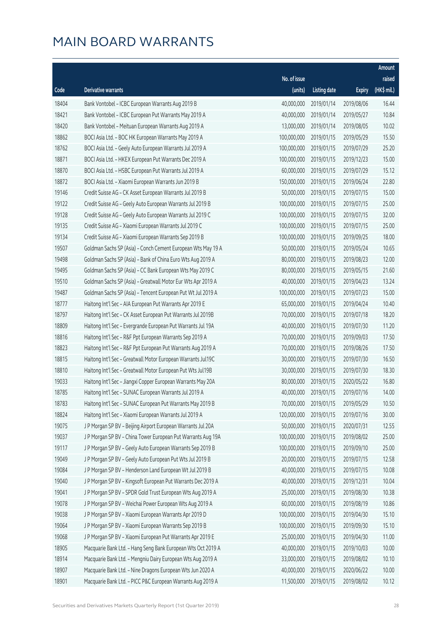|       |                                                              |              |                       |               | Amount       |
|-------|--------------------------------------------------------------|--------------|-----------------------|---------------|--------------|
|       |                                                              | No. of issue |                       |               | raised       |
| Code  | Derivative warrants                                          | (units)      | <b>Listing date</b>   | <b>Expiry</b> | $(HK$$ mil.) |
| 18404 | Bank Vontobel - ICBC European Warrants Aug 2019 B            | 40,000,000   | 2019/01/14            | 2019/08/06    | 16.44        |
| 18421 | Bank Vontobel - ICBC European Put Warrants May 2019 A        | 40,000,000   | 2019/01/14            | 2019/05/27    | 10.84        |
| 18420 | Bank Vontobel - Meituan European Warrants Aug 2019 A         | 13,000,000   | 2019/01/14            | 2019/08/05    | 10.02        |
| 18862 | BOCI Asia Ltd. - BOC HK European Warrants May 2019 A         | 100,000,000  | 2019/01/15            | 2019/05/29    | 15.50        |
| 18762 | BOCI Asia Ltd. - Geely Auto European Warrants Jul 2019 A     | 100,000,000  | 2019/01/15            | 2019/07/29    | 25.20        |
| 18871 | BOCI Asia Ltd. - HKEX European Put Warrants Dec 2019 A       | 100,000,000  | 2019/01/15            | 2019/12/23    | 15.00        |
| 18870 | BOCI Asia Ltd. - HSBC European Put Warrants Jul 2019 A       | 60,000,000   | 2019/01/15            | 2019/07/29    | 15.12        |
| 18872 | BOCI Asia Ltd. - Xiaomi European Warrants Jun 2019 B         | 150,000,000  | 2019/01/15            | 2019/06/24    | 22.80        |
| 19146 | Credit Suisse AG - CK Asset European Warrants Jul 2019 B     | 50,000,000   | 2019/01/15            | 2019/07/15    | 15.00        |
| 19122 | Credit Suisse AG - Geely Auto European Warrants Jul 2019 B   | 100,000,000  | 2019/01/15            | 2019/07/15    | 25.00        |
| 19128 | Credit Suisse AG - Geely Auto European Warrants Jul 2019 C   | 100,000,000  | 2019/01/15            | 2019/07/15    | 32.00        |
| 19135 | Credit Suisse AG - Xiaomi European Warrants Jul 2019 C       | 100,000,000  | 2019/01/15            | 2019/07/15    | 25.00        |
| 19134 | Credit Suisse AG - Xiaomi European Warrants Sep 2019 B       | 100,000,000  | 2019/01/15            | 2019/09/25    | 18.00        |
| 19507 | Goldman Sachs SP (Asia) - Conch Cement European Wts May 19 A | 50,000,000   | 2019/01/15            | 2019/05/24    | 10.65        |
| 19498 | Goldman Sachs SP (Asia) - Bank of China Euro Wts Aug 2019 A  | 80,000,000   | 2019/01/15            | 2019/08/23    | 12.00        |
| 19495 | Goldman Sachs SP (Asia) - CC Bank European Wts May 2019 C    | 80,000,000   | 2019/01/15            | 2019/05/15    | 21.60        |
| 19510 | Goldman Sachs SP (Asia) - Greatwall Motor Eur Wts Apr 2019 A | 40,000,000   | 2019/01/15            | 2019/04/23    | 13.24        |
| 19487 | Goldman Sachs SP (Asia) - Tencent European Put Wt Jul 2019 A | 100,000,000  | 2019/01/15            | 2019/07/23    | 15.00        |
| 18777 | Haitong Int'l Sec - AIA European Put Warrants Apr 2019 E     | 65,000,000   | 2019/01/15            | 2019/04/24    | 10.40        |
| 18797 | Haitong Int'l Sec - CK Asset European Put Warrants Jul 2019B | 70,000,000   | 2019/01/15            | 2019/07/18    | 18.20        |
| 18809 | Haitong Int'l Sec - Evergrande European Put Warrants Jul 19A | 40,000,000   | 2019/01/15            | 2019/07/30    | 11.20        |
| 18816 | Haitong Int'l Sec - R&F Ppt European Warrants Sep 2019 A     | 70,000,000   | 2019/01/15            | 2019/09/03    | 17.50        |
| 18823 | Haitong Int'l Sec - R&F Ppt European Put Warrants Aug 2019 A | 70,000,000   | 2019/01/15            | 2019/08/26    | 17.50        |
| 18815 | Haitong Int'l Sec - Greatwall Motor European Warrants Jul19C | 30,000,000   | 2019/01/15            | 2019/07/30    | 16.50        |
| 18810 | Haitong Int'l Sec - Greatwall Motor European Put Wts Jul19B  | 30,000,000   | 2019/01/15            | 2019/07/30    | 18.30        |
| 19033 | Haitong Int'l Sec - Jiangxi Copper European Warrants May 20A | 80,000,000   | 2019/01/15            | 2020/05/22    | 16.80        |
| 18785 | Haitong Int'l Sec - SUNAC European Warrants Jul 2019 A       |              | 40,000,000 2019/01/15 | 2019/07/16    | 14.00        |
| 18783 | Haitong Int'l Sec - SUNAC European Put Warrants May 2019 B   | 70,000,000   | 2019/01/15            | 2019/05/29    | 10.50        |
| 18824 | Haitong Int'l Sec - Xiaomi European Warrants Jul 2019 A      | 120,000,000  | 2019/01/15            | 2019/07/16    | 30.00        |
| 19075 | J P Morgan SP BV - Beijing Airport European Warrants Jul 20A | 50,000,000   | 2019/01/15            | 2020/07/31    | 12.55        |
| 19037 | J P Morgan SP BV - China Tower European Put Warrants Aug 19A | 100,000,000  | 2019/01/15            | 2019/08/02    | 25.00        |
| 19117 | J P Morgan SP BV - Geely Auto European Warrants Sep 2019 B   | 100,000,000  | 2019/01/15            | 2019/09/10    | 25.00        |
| 19049 | J P Morgan SP BV - Geely Auto European Put Wts Jul 2019 B    | 20,000,000   | 2019/01/15            | 2019/07/15    | 12.58        |
| 19084 | J P Morgan SP BV - Henderson Land European Wt Jul 2019 B     | 40,000,000   | 2019/01/15            | 2019/07/15    | 10.08        |
| 19040 | J P Morgan SP BV - Kingsoft European Put Warrants Dec 2019 A | 40,000,000   | 2019/01/15            | 2019/12/31    | 10.04        |
| 19041 | J P Morgan SP BV - SPDR Gold Trust European Wts Aug 2019 A   | 25,000,000   | 2019/01/15            | 2019/08/30    | 10.38        |
| 19078 | J P Morgan SP BV - Weichai Power European Wts Aug 2019 A     | 60,000,000   | 2019/01/15            | 2019/08/19    | 10.86        |
| 19038 | J P Morgan SP BV - Xiaomi European Warrants Apr 2019 D       | 100,000,000  | 2019/01/15            | 2019/04/30    | 15.10        |
| 19064 | J P Morgan SP BV - Xiaomi European Warrants Sep 2019 B       | 100,000,000  | 2019/01/15            | 2019/09/30    | 15.10        |
| 19068 | J P Morgan SP BV - Xiaomi European Put Warrants Apr 2019 E   | 25,000,000   | 2019/01/15            | 2019/04/30    | 11.00        |
| 18905 | Macquarie Bank Ltd. - Hang Seng Bank European Wts Oct 2019 A | 40,000,000   | 2019/01/15            | 2019/10/03    | 10.00        |
| 18914 | Macquarie Bank Ltd. - Mengniu Dairy European Wts Aug 2019 A  | 33,000,000   | 2019/01/15            | 2019/08/02    | 10.10        |
| 18907 | Macquarie Bank Ltd. - Nine Dragons European Wts Jun 2020 A   | 40,000,000   | 2019/01/15            | 2020/06/22    | 10.00        |
| 18901 | Macquarie Bank Ltd. - PICC P&C European Warrants Aug 2019 A  | 11,500,000   | 2019/01/15            | 2019/08/02    | 10.12        |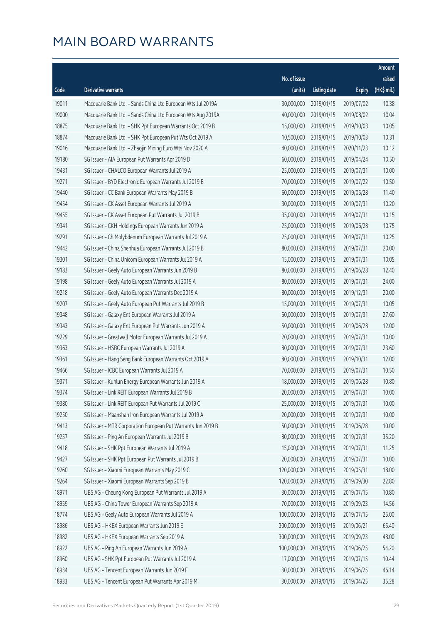|       |                                                              |              |                       |               | Amount      |
|-------|--------------------------------------------------------------|--------------|-----------------------|---------------|-------------|
|       |                                                              | No. of issue |                       |               | raised      |
| Code  | Derivative warrants                                          | (units)      | <b>Listing date</b>   | <b>Expiry</b> | (HK\$ mil.) |
| 19011 | Macquarie Bank Ltd. - Sands China Ltd European Wts Jul 2019A | 30,000,000   | 2019/01/15            | 2019/07/02    | 10.38       |
| 19000 | Macquarie Bank Ltd. - Sands China Ltd European Wts Aug 2019A | 40,000,000   | 2019/01/15            | 2019/08/02    | 10.04       |
| 18875 | Macquarie Bank Ltd. - SHK Ppt European Warrants Oct 2019 B   | 15,000,000   | 2019/01/15            | 2019/10/03    | 10.05       |
| 18874 | Macquarie Bank Ltd. - SHK Ppt European Put Wts Oct 2019 A    | 10,500,000   | 2019/01/15            | 2019/10/03    | 10.31       |
| 19016 | Macquarie Bank Ltd. - Zhaojin Mining Euro Wts Nov 2020 A     | 40,000,000   | 2019/01/15            | 2020/11/23    | 10.12       |
| 19180 | SG Issuer - AIA European Put Warrants Apr 2019 D             | 60,000,000   | 2019/01/15            | 2019/04/24    | 10.50       |
| 19431 | SG Issuer - CHALCO European Warrants Jul 2019 A              | 25,000,000   | 2019/01/15            | 2019/07/31    | 10.00       |
| 19271 | SG Issuer - BYD Electronic European Warrants Jul 2019 B      | 70,000,000   | 2019/01/15            | 2019/07/22    | 10.50       |
| 19440 | SG Issuer - CC Bank European Warrants May 2019 B             | 60,000,000   | 2019/01/15            | 2019/05/28    | 11.40       |
| 19454 | SG Issuer - CK Asset European Warrants Jul 2019 A            | 30,000,000   | 2019/01/15            | 2019/07/31    | 10.20       |
| 19455 | SG Issuer - CK Asset European Put Warrants Jul 2019 B        | 35,000,000   | 2019/01/15            | 2019/07/31    | 10.15       |
| 19341 | SG Issuer - CKH Holdings European Warrants Jun 2019 A        | 25,000,000   | 2019/01/15            | 2019/06/28    | 10.75       |
| 19291 | SG Issuer - Ch Molybdenum European Warrants Jul 2019 A       | 25,000,000   | 2019/01/15            | 2019/07/31    | 10.25       |
| 19442 | SG Issuer - China Shenhua European Warrants Jul 2019 B       | 80,000,000   | 2019/01/15            | 2019/07/31    | 20.00       |
| 19301 | SG Issuer - China Unicom European Warrants Jul 2019 A        | 15,000,000   | 2019/01/15            | 2019/07/31    | 10.05       |
| 19183 | SG Issuer - Geely Auto European Warrants Jun 2019 B          | 80,000,000   | 2019/01/15            | 2019/06/28    | 12.40       |
| 19198 | SG Issuer - Geely Auto European Warrants Jul 2019 A          | 80,000,000   | 2019/01/15            | 2019/07/31    | 24.00       |
| 19218 | SG Issuer - Geely Auto European Warrants Dec 2019 A          | 80,000,000   | 2019/01/15            | 2019/12/31    | 20.00       |
| 19207 | SG Issuer - Geely Auto European Put Warrants Jul 2019 B      | 15,000,000   | 2019/01/15            | 2019/07/31    | 10.05       |
| 19348 | SG Issuer - Galaxy Ent European Warrants Jul 2019 A          | 60,000,000   | 2019/01/15            | 2019/07/31    | 27.60       |
| 19343 | SG Issuer - Galaxy Ent European Put Warrants Jun 2019 A      | 50,000,000   | 2019/01/15            | 2019/06/28    | 12.00       |
| 19229 | SG Issuer - Greatwall Motor European Warrants Jul 2019 A     | 20,000,000   | 2019/01/15            | 2019/07/31    | 10.00       |
| 19363 | SG Issuer - HSBC European Warrants Jul 2019 A                | 80,000,000   | 2019/01/15            | 2019/07/31    | 23.60       |
| 19361 | SG Issuer - Hang Seng Bank European Warrants Oct 2019 A      | 80,000,000   | 2019/01/15            | 2019/10/31    | 12.00       |
| 19466 | SG Issuer - ICBC European Warrants Jul 2019 A                | 70,000,000   | 2019/01/15            | 2019/07/31    | 10.50       |
| 19371 | SG Issuer - Kunlun Energy European Warrants Jun 2019 A       | 18,000,000   | 2019/01/15            | 2019/06/28    | 10.80       |
| 19374 | SG Issuer - Link REIT European Warrants Jul 2019 B           |              | 20,000,000 2019/01/15 | 2019/07/31    | 10.00       |
| 19380 | SG Issuer - Link REIT European Put Warrants Jul 2019 C       | 25,000,000   | 2019/01/15            | 2019/07/31    | 10.00       |
| 19250 | SG Issuer - Maanshan Iron European Warrants Jul 2019 A       | 20,000,000   | 2019/01/15            | 2019/07/31    | 10.00       |
| 19413 | SG Issuer - MTR Corporation European Put Warrants Jun 2019 B | 50,000,000   | 2019/01/15            | 2019/06/28    | 10.00       |
| 19257 | SG Issuer - Ping An European Warrants Jul 2019 B             | 80,000,000   | 2019/01/15            | 2019/07/31    | 35.20       |
| 19418 | SG Issuer - SHK Ppt European Warrants Jul 2019 A             | 15,000,000   | 2019/01/15            | 2019/07/31    | 11.25       |
| 19427 | SG Issuer - SHK Ppt European Put Warrants Jul 2019 B         | 20,000,000   | 2019/01/15            | 2019/07/31    | 10.00       |
| 19260 | SG Issuer - Xiaomi European Warrants May 2019 C              | 120,000,000  | 2019/01/15            | 2019/05/31    | 18.00       |
| 19264 | SG Issuer - Xiaomi European Warrants Sep 2019 B              | 120,000,000  | 2019/01/15            | 2019/09/30    | 22.80       |
| 18971 | UBS AG - Cheung Kong European Put Warrants Jul 2019 A        | 30,000,000   | 2019/01/15            | 2019/07/15    | 10.80       |
| 18959 | UBS AG - China Tower European Warrants Sep 2019 A            | 70,000,000   | 2019/01/15            | 2019/09/23    | 14.56       |
| 18774 | UBS AG - Geely Auto European Warrants Jul 2019 A             | 100,000,000  | 2019/01/15            | 2019/07/15    | 25.00       |
| 18986 | UBS AG - HKEX European Warrants Jun 2019 E                   | 300,000,000  | 2019/01/15            | 2019/06/21    | 65.40       |
| 18982 | UBS AG - HKEX European Warrants Sep 2019 A                   | 300,000,000  | 2019/01/15            | 2019/09/23    | 48.00       |
| 18922 | UBS AG - Ping An European Warrants Jun 2019 A                | 100,000,000  | 2019/01/15            | 2019/06/25    | 54.20       |
| 18960 | UBS AG - SHK Ppt European Put Warrants Jul 2019 A            | 17,000,000   | 2019/01/15            | 2019/07/15    | 10.44       |
| 18934 | UBS AG - Tencent European Warrants Jun 2019 F                | 30,000,000   | 2019/01/15            | 2019/06/25    | 46.14       |
| 18933 | UBS AG - Tencent European Put Warrants Apr 2019 M            | 30,000,000   | 2019/01/15            | 2019/04/25    | 35.28       |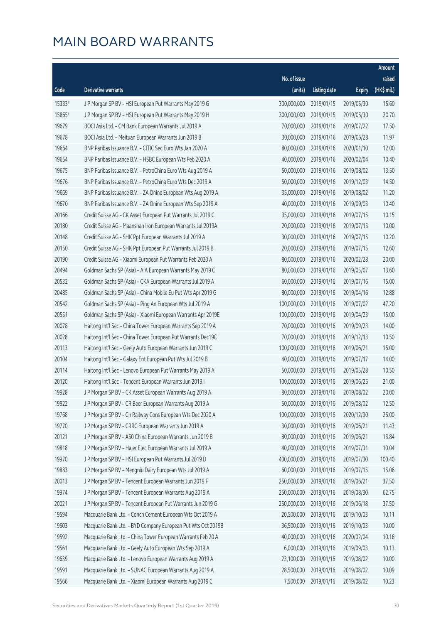|        |                                                              |              |                       |               | Amount       |
|--------|--------------------------------------------------------------|--------------|-----------------------|---------------|--------------|
|        |                                                              | No. of issue |                       |               | raised       |
| Code   | <b>Derivative warrants</b>                                   | (units)      | <b>Listing date</b>   | <b>Expiry</b> | $(HK$$ mil.) |
| 15333# | J P Morgan SP BV - HSI European Put Warrants May 2019 G      | 300,000,000  | 2019/01/15            | 2019/05/30    | 15.60        |
| 15865# | J P Morgan SP BV - HSI European Put Warrants May 2019 H      | 300,000,000  | 2019/01/15            | 2019/05/30    | 20.70        |
| 19679  | BOCI Asia Ltd. - CM Bank European Warrants Jul 2019 A        | 70,000,000   | 2019/01/16            | 2019/07/22    | 17.50        |
| 19678  | BOCI Asia Ltd. - Meituan European Warrants Jun 2019 B        | 30,000,000   | 2019/01/16            | 2019/06/28    | 11.97        |
| 19664  | BNP Paribas Issuance B.V. - CITIC Sec Euro Wts Jan 2020 A    | 80,000,000   | 2019/01/16            | 2020/01/10    | 12.00        |
| 19654  | BNP Paribas Issuance B.V. - HSBC European Wts Feb 2020 A     | 40,000,000   | 2019/01/16            | 2020/02/04    | 10.40        |
| 19675  | BNP Paribas Issuance B.V. - PetroChina Euro Wts Aug 2019 A   | 50,000,000   | 2019/01/16            | 2019/08/02    | 13.50        |
| 19676  | BNP Paribas Issuance B.V. - PetroChina Euro Wts Dec 2019 A   | 50,000,000   | 2019/01/16            | 2019/12/03    | 14.50        |
| 19669  | BNP Paribas Issuance B.V. - ZA Onine European Wts Aug 2019 A | 35,000,000   | 2019/01/16            | 2019/08/02    | 11.20        |
| 19670  | BNP Paribas Issuance B.V. - ZA Onine European Wts Sep 2019 A | 40,000,000   | 2019/01/16            | 2019/09/03    | 10.40        |
| 20166  | Credit Suisse AG - CK Asset European Put Warrants Jul 2019 C | 35,000,000   | 2019/01/16            | 2019/07/15    | 10.15        |
| 20180  | Credit Suisse AG - Maanshan Iron European Warrants Jul 2019A | 20,000,000   | 2019/01/16            | 2019/07/15    | 10.00        |
| 20148  | Credit Suisse AG - SHK Ppt European Warrants Jul 2019 A      | 30,000,000   | 2019/01/16            | 2019/07/15    | 10.20        |
| 20150  | Credit Suisse AG - SHK Ppt European Put Warrants Jul 2019 B  | 20,000,000   | 2019/01/16            | 2019/07/15    | 12.60        |
| 20190  | Credit Suisse AG - Xiaomi European Put Warrants Feb 2020 A   | 80,000,000   | 2019/01/16            | 2020/02/28    | 20.00        |
| 20494  | Goldman Sachs SP (Asia) - AIA European Warrants May 2019 C   | 80,000,000   | 2019/01/16            | 2019/05/07    | 13.60        |
| 20532  | Goldman Sachs SP (Asia) - CKA European Warrants Jul 2019 A   | 60,000,000   | 2019/01/16            | 2019/07/16    | 15.00        |
| 20485  | Goldman Sachs SP (Asia) - China Mobile Eu Put Wts Apr 2019 G | 80,000,000   | 2019/01/16            | 2019/04/16    | 12.88        |
| 20542  | Goldman Sachs SP (Asia) - Ping An European Wts Jul 2019 A    | 100,000,000  | 2019/01/16            | 2019/07/02    | 47.20        |
| 20551  | Goldman Sachs SP (Asia) - Xiaomi European Warrants Apr 2019E | 100,000,000  | 2019/01/16            | 2019/04/23    | 15.00        |
| 20078  | Haitong Int'l Sec - China Tower European Warrants Sep 2019 A | 70,000,000   | 2019/01/16            | 2019/09/23    | 14.00        |
| 20028  | Haitong Int'l Sec - China Tower European Put Warrants Dec19C | 70,000,000   | 2019/01/16            | 2019/12/13    | 10.50        |
| 20113  | Haitong Int'l Sec - Geely Auto European Warrants Jun 2019 C  | 100,000,000  | 2019/01/16            | 2019/06/21    | 15.00        |
| 20104  | Haitong Int'l Sec - Galaxy Ent European Put Wts Jul 2019 B   | 40,000,000   | 2019/01/16            | 2019/07/17    | 14.00        |
| 20114  | Haitong Int'l Sec - Lenovo European Put Warrants May 2019 A  | 50,000,000   | 2019/01/16            | 2019/05/28    | 10.50        |
| 20120  | Haitong Int'l Sec - Tencent European Warrants Jun 2019 I     | 100,000,000  | 2019/01/16            | 2019/06/25    | 21.00        |
| 19928  | J P Morgan SP BV – CK Asset European Warrants Aug 2019 A     |              | 80,000,000 2019/01/16 | 2019/08/02    | 20.00        |
| 19922  | J P Morgan SP BV - CR Beer European Warrants Aug 2019 A      | 50,000,000   | 2019/01/16            | 2019/08/02    | 12.50        |
| 19768  | J P Morgan SP BV - Ch Railway Cons European Wts Dec 2020 A   | 100,000,000  | 2019/01/16            | 2020/12/30    | 25.00        |
| 19770  | J P Morgan SP BV - CRRC European Warrants Jun 2019 A         | 30,000,000   | 2019/01/16            | 2019/06/21    | 11.43        |
| 20121  | J P Morgan SP BV - A50 China European Warrants Jun 2019 B    | 80,000,000   | 2019/01/16            | 2019/06/21    | 15.84        |
| 19818  | J P Morgan SP BV - Haier Elec European Warrants Jul 2019 A   | 40,000,000   | 2019/01/16            | 2019/07/31    | 10.04        |
| 19970  | J P Morgan SP BV - HSI European Put Warrants Jul 2019 D      | 400,000,000  | 2019/01/16            | 2019/07/30    | 100.40       |
| 19883  | J P Morgan SP BV - Mengniu Dairy European Wts Jul 2019 A     | 60,000,000   | 2019/01/16            | 2019/07/15    | 15.06        |
| 20013  | J P Morgan SP BV - Tencent European Warrants Jun 2019 F      | 250,000,000  | 2019/01/16            | 2019/06/21    | 37.50        |
| 19974  | J P Morgan SP BV - Tencent European Warrants Aug 2019 A      | 250,000,000  | 2019/01/16            | 2019/08/30    | 62.75        |
| 20021  | J P Morgan SP BV - Tencent European Put Warrants Jun 2019 G  | 250,000,000  | 2019/01/16            | 2019/06/18    | 37.50        |
| 19594  | Macquarie Bank Ltd. - Conch Cement European Wts Oct 2019 A   | 20,500,000   | 2019/01/16            | 2019/10/03    | 10.11        |
| 19603  | Macquarie Bank Ltd. - BYD Company European Put Wts Oct 2019B | 36,500,000   | 2019/01/16            | 2019/10/03    | 10.00        |
| 19592  | Macquarie Bank Ltd. - China Tower European Warrants Feb 20 A | 40,000,000   | 2019/01/16            | 2020/02/04    | 10.16        |
| 19561  | Macquarie Bank Ltd. - Geely Auto European Wts Sep 2019 A     | 6,000,000    | 2019/01/16            | 2019/09/03    | 10.13        |
| 19639  | Macquarie Bank Ltd. - Lenovo European Warrants Aug 2019 A    | 23,100,000   | 2019/01/16            | 2019/08/02    | 10.00        |
| 19591  | Macquarie Bank Ltd. - SUNAC European Warrants Aug 2019 A     | 28,500,000   | 2019/01/16            | 2019/08/02    | 10.09        |
| 19566  | Macquarie Bank Ltd. - Xiaomi European Warrants Aug 2019 C    | 7,500,000    | 2019/01/16            | 2019/08/02    | 10.23        |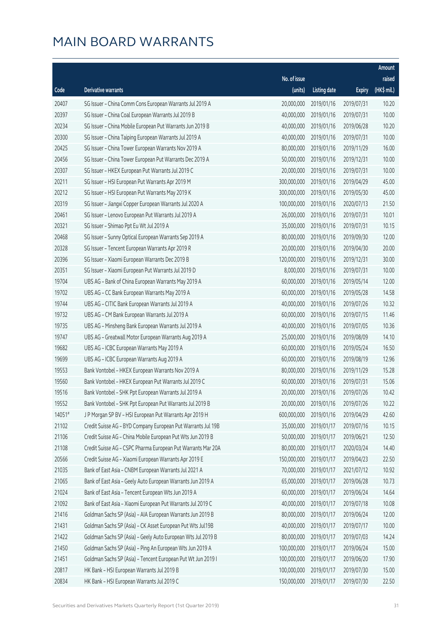|        |                                                              |              |                       |               | Amount      |
|--------|--------------------------------------------------------------|--------------|-----------------------|---------------|-------------|
|        |                                                              | No. of issue |                       |               | raised      |
| Code   | Derivative warrants                                          | (units)      | <b>Listing date</b>   | <b>Expiry</b> | (HK\$ mil.) |
| 20407  | SG Issuer - China Comm Cons European Warrants Jul 2019 A     | 20,000,000   | 2019/01/16            | 2019/07/31    | 10.20       |
| 20397  | SG Issuer - China Coal European Warrants Jul 2019 B          | 40,000,000   | 2019/01/16            | 2019/07/31    | 10.00       |
| 20234  | SG Issuer - China Mobile European Put Warrants Jun 2019 B    | 40,000,000   | 2019/01/16            | 2019/06/28    | 10.20       |
| 20300  | SG Issuer - China Taiping European Warrants Jul 2019 A       | 40,000,000   | 2019/01/16            | 2019/07/31    | 10.00       |
| 20425  | SG Issuer - China Tower European Warrants Nov 2019 A         | 80,000,000   | 2019/01/16            | 2019/11/29    | 16.00       |
| 20456  | SG Issuer - China Tower European Put Warrants Dec 2019 A     | 50,000,000   | 2019/01/16            | 2019/12/31    | 10.00       |
| 20307  | SG Issuer - HKEX European Put Warrants Jul 2019 C            | 20,000,000   | 2019/01/16            | 2019/07/31    | 10.00       |
| 20211  | SG Issuer - HSI European Put Warrants Apr 2019 M             | 300,000,000  | 2019/01/16            | 2019/04/29    | 45.00       |
| 20212  | SG Issuer - HSI European Put Warrants May 2019 K             | 300,000,000  | 2019/01/16            | 2019/05/30    | 45.00       |
| 20319  | SG Issuer - Jiangxi Copper European Warrants Jul 2020 A      | 100,000,000  | 2019/01/16            | 2020/07/13    | 21.50       |
| 20461  | SG Issuer - Lenovo European Put Warrants Jul 2019 A          | 26,000,000   | 2019/01/16            | 2019/07/31    | 10.01       |
| 20321  | SG Issuer - Shimao Ppt Eu Wt Jul 2019 A                      | 35,000,000   | 2019/01/16            | 2019/07/31    | 10.15       |
| 20468  | SG Issuer - Sunny Optical European Warrants Sep 2019 A       | 80,000,000   | 2019/01/16            | 2019/09/30    | 12.00       |
| 20328  | SG Issuer - Tencent European Warrants Apr 2019 R             | 20,000,000   | 2019/01/16            | 2019/04/30    | 20.00       |
| 20396  | SG Issuer - Xiaomi European Warrants Dec 2019 B              | 120,000,000  | 2019/01/16            | 2019/12/31    | 30.00       |
| 20351  | SG Issuer - Xiaomi European Put Warrants Jul 2019 D          | 8,000,000    | 2019/01/16            | 2019/07/31    | 10.00       |
| 19704  | UBS AG - Bank of China European Warrants May 2019 A          | 60,000,000   | 2019/01/16            | 2019/05/14    | 12.00       |
| 19702  | UBS AG - CC Bank European Warrants May 2019 A                | 60,000,000   | 2019/01/16            | 2019/05/28    | 14.58       |
| 19744  | UBS AG - CITIC Bank European Warrants Jul 2019 A             | 40,000,000   | 2019/01/16            | 2019/07/26    | 10.32       |
| 19732  | UBS AG - CM Bank European Warrants Jul 2019 A                | 60,000,000   | 2019/01/16            | 2019/07/15    | 11.46       |
| 19735  | UBS AG - Minsheng Bank European Warrants Jul 2019 A          | 40,000,000   | 2019/01/16            | 2019/07/05    | 10.36       |
| 19747  | UBS AG - Greatwall Motor European Warrants Aug 2019 A        | 25,000,000   | 2019/01/16            | 2019/08/09    | 14.10       |
| 19682  | UBS AG - ICBC European Warrants May 2019 A                   | 60,000,000   | 2019/01/16            | 2019/05/24    | 16.50       |
| 19699  | UBS AG - ICBC European Warrants Aug 2019 A                   | 60,000,000   | 2019/01/16            | 2019/08/19    | 12.96       |
| 19553  | Bank Vontobel - HKEX European Warrants Nov 2019 A            | 80,000,000   | 2019/01/16            | 2019/11/29    | 15.28       |
| 19560  | Bank Vontobel - HKEX European Put Warrants Jul 2019 C        | 60,000,000   | 2019/01/16            | 2019/07/31    | 15.06       |
| 19516  | Bank Vontobel - SHK Ppt European Warrants Jul 2019 A         |              | 20,000,000 2019/01/16 | 2019/07/26    | 10.42       |
| 19552  | Bank Vontobel - SHK Ppt European Put Warrants Jul 2019 B     | 20,000,000   | 2019/01/16            | 2019/07/26    | 10.22       |
| 14051# | J P Morgan SP BV - HSI European Put Warrants Apr 2019 H      | 600,000,000  | 2019/01/16            | 2019/04/29    | 42.60       |
| 21102  | Credit Suisse AG - BYD Company European Put Warrants Jul 19B | 35,000,000   | 2019/01/17            | 2019/07/16    | 10.15       |
| 21106  | Credit Suisse AG - China Mobile European Put Wts Jun 2019 B  | 50,000,000   | 2019/01/17            | 2019/06/21    | 12.50       |
| 21108  | Credit Suisse AG - CSPC Pharma European Put Warrants Mar 20A | 80,000,000   | 2019/01/17            | 2020/03/24    | 14.40       |
| 20566  | Credit Suisse AG - Xiaomi European Warrants Apr 2019 E       | 150,000,000  | 2019/01/17            | 2019/04/23    | 22.50       |
| 21035  | Bank of East Asia - CNBM European Warrants Jul 2021 A        | 70,000,000   | 2019/01/17            | 2021/07/12    | 10.92       |
| 21065  | Bank of East Asia - Geely Auto European Warrants Jun 2019 A  | 65,000,000   | 2019/01/17            | 2019/06/28    | 10.73       |
| 21024  | Bank of East Asia - Tencent European Wts Jun 2019 A          | 60,000,000   | 2019/01/17            | 2019/06/24    | 14.64       |
| 21092  | Bank of East Asia - Xiaomi European Put Warrants Jul 2019 C  | 40,000,000   | 2019/01/17            | 2019/07/18    | 10.08       |
| 21416  | Goldman Sachs SP (Asia) - AIA European Warrants Jun 2019 B   | 80,000,000   | 2019/01/17            | 2019/06/24    | 12.00       |
| 21431  | Goldman Sachs SP (Asia) - CK Asset European Put Wts Jul19B   | 40,000,000   | 2019/01/17            | 2019/07/17    | 10.00       |
| 21422  | Goldman Sachs SP (Asia) - Geely Auto European Wts Jul 2019 B | 80,000,000   | 2019/01/17            | 2019/07/03    | 14.24       |
| 21450  | Goldman Sachs SP (Asia) - Ping An European Wts Jun 2019 A    | 100,000,000  | 2019/01/17            | 2019/06/24    | 15.00       |
| 21451  | Goldman Sachs SP (Asia) - Tencent European Put Wt Jun 2019 I | 100,000,000  | 2019/01/17            | 2019/06/20    | 17.90       |
| 20817  | HK Bank - HSI European Warrants Jul 2019 B                   | 100,000,000  | 2019/01/17            | 2019/07/30    | 15.00       |
| 20834  | HK Bank - HSI European Warrants Jul 2019 C                   | 150,000,000  | 2019/01/17            | 2019/07/30    | 22.50       |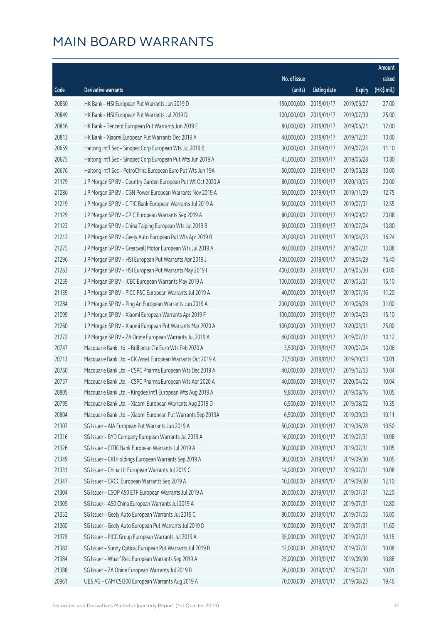|       |                                                              |              |                      |               | Amount      |
|-------|--------------------------------------------------------------|--------------|----------------------|---------------|-------------|
|       |                                                              | No. of issue |                      |               | raised      |
| Code  | Derivative warrants                                          | (units)      | <b>Listing date</b>  | <b>Expiry</b> | (HK\$ mil.) |
| 20850 | HK Bank - HSI European Put Warrants Jun 2019 D               | 150,000,000  | 2019/01/17           | 2019/06/27    | 27.00       |
| 20849 | HK Bank - HSI European Put Warrants Jul 2019 D               | 100,000,000  | 2019/01/17           | 2019/07/30    | 25.00       |
| 20816 | HK Bank - Tencent European Put Warrants Jun 2019 E           | 80,000,000   | 2019/01/17           | 2019/06/21    | 12.00       |
| 20813 | HK Bank - Xiaomi European Put Warrants Dec 2019 A            | 40,000,000   | 2019/01/17           | 2019/12/31    | 10.00       |
| 20659 | Haitong Int'l Sec - Sinopec Corp European Wts Jul 2019 B     | 30,000,000   | 2019/01/17           | 2019/07/24    | 11.10       |
| 20675 | Haitong Int'l Sec - Sinopec Corp European Put Wts Jun 2019 A | 45,000,000   | 2019/01/17           | 2019/06/28    | 10.80       |
| 20676 | Haitong Int'l Sec - PetroChina European Euro Put Wts Jun 19A | 50,000,000   | 2019/01/17           | 2019/06/28    | 10.00       |
| 21179 | J P Morgan SP BV - Country Garden European Put Wt Oct 2020 A | 80,000,000   | 2019/01/17           | 2020/10/05    | 20.00       |
| 21286 | J P Morgan SP BV - CGN Power European Warrants Nov 2019 A    | 50,000,000   | 2019/01/17           | 2019/11/29    | 12.75       |
| 21219 | J P Morgan SP BV - CITIC Bank European Warrants Jul 2019 A   | 50,000,000   | 2019/01/17           | 2019/07/31    | 12.55       |
| 21129 | J P Morgan SP BV - CPIC European Warrants Sep 2019 A         | 80,000,000   | 2019/01/17           | 2019/09/02    | 20.08       |
| 21123 | J P Morgan SP BV - China Taiping European Wts Jul 2019 B     | 60,000,000   | 2019/01/17           | 2019/07/24    | 10.80       |
| 21212 | J P Morgan SP BV - Geely Auto European Put Wts Apr 2019 B    | 20,000,000   | 2019/01/17           | 2019/04/23    | 16.24       |
| 21275 | J P Morgan SP BV - Greatwall Motor European Wts Jul 2019 A   | 40,000,000   | 2019/01/17           | 2019/07/31    | 13.88       |
| 21296 | J P Morgan SP BV - HSI European Put Warrants Apr 2019 J      | 400,000,000  | 2019/01/17           | 2019/04/29    | 76.40       |
| 21263 | J P Morgan SP BV - HSI European Put Warrants May 2019 I      | 400,000,000  | 2019/01/17           | 2019/05/30    | 60.00       |
| 21259 | J P Morgan SP BV - ICBC European Warrants May 2019 A         | 100,000,000  | 2019/01/17           | 2019/05/31    | 15.10       |
| 21139 | J P Morgan SP BV - PICC P&C European Warrants Jul 2019 A     | 40,000,000   | 2019/01/17           | 2019/07/16    | 11.20       |
| 21284 | J P Morgan SP BV - Ping An European Warrants Jun 2019 A      | 200,000,000  | 2019/01/17           | 2019/06/28    | 31.00       |
| 21099 | J P Morgan SP BV - Xiaomi European Warrants Apr 2019 F       | 100,000,000  | 2019/01/17           | 2019/04/23    | 15.10       |
| 21260 | J P Morgan SP BV - Xiaomi European Put Warrants Mar 2020 A   | 100,000,000  | 2019/01/17           | 2020/03/31    | 25.00       |
| 21272 | J P Morgan SP BV - ZA Onine European Warrants Jul 2019 A     | 40,000,000   | 2019/01/17           | 2019/07/31    | 10.12       |
| 20747 | Macquarie Bank Ltd. - Brilliance Chi Euro Wts Feb 2020 A     | 5,500,000    | 2019/01/17           | 2020/02/04    | 10.06       |
| 20713 | Macquarie Bank Ltd. - CK Asset European Warrants Oct 2019 A  | 27,500,000   | 2019/01/17           | 2019/10/03    | 10.01       |
| 20760 | Macquarie Bank Ltd. - CSPC Pharma European Wts Dec 2019 A    | 40,000,000   | 2019/01/17           | 2019/12/03    | 10.04       |
| 20757 | Macquarie Bank Ltd. - CSPC Pharma European Wts Apr 2020 A    | 40,000,000   | 2019/01/17           | 2020/04/02    | 10.04       |
| 20805 | Macquarie Bank Ltd. - Kingdee Int'l European Wts Aug 2019 A  |              | 9,800,000 2019/01/17 | 2019/08/16    | 10.05       |
| 20795 | Macquarie Bank Ltd. - Xiaomi European Warrants Aug 2019 D    | 6,500,000    | 2019/01/17           | 2019/08/02    | 10.35       |
| 20804 | Macquarie Bank Ltd. - Xiaomi European Put Warrants Sep 2019A | 6,500,000    | 2019/01/17           | 2019/09/03    | 10.11       |
| 21307 | SG Issuer - AIA European Put Warrants Jun 2019 A             | 50,000,000   | 2019/01/17           | 2019/06/28    | 10.50       |
| 21316 | SG Issuer - BYD Company European Warrants Jul 2019 A         | 16,000,000   | 2019/01/17           | 2019/07/31    | 10.08       |
| 21326 | SG Issuer - CITIC Bank European Warrants Jul 2019 A          | 30,000,000   | 2019/01/17           | 2019/07/31    | 10.05       |
| 21349 | SG Issuer - CKI Holdings European Warrants Sep 2019 A        | 30,000,000   | 2019/01/17           | 2019/09/30    | 10.05       |
| 21331 | SG Issuer - China Lit European Warrants Jul 2019 C           | 14,000,000   | 2019/01/17           | 2019/07/31    | 10.08       |
| 21347 | SG Issuer - CRCC European Warrants Sep 2019 A                | 10,000,000   | 2019/01/17           | 2019/09/30    | 12.10       |
| 21304 | SG Issuer - CSOP A50 ETF European Warrants Jul 2019 A        | 20,000,000   | 2019/01/17           | 2019/07/31    | 12.20       |
| 21305 | SG Issuer - A50 China European Warrants Jul 2019 A           | 20,000,000   | 2019/01/17           | 2019/07/31    | 12.80       |
| 21352 | SG Issuer - Geely Auto European Warrants Jul 2019 C          | 80,000,000   | 2019/01/17           | 2019/07/03    | 16.00       |
| 21360 | SG Issuer - Geely Auto European Put Warrants Jul 2019 D      | 10,000,000   | 2019/01/17           | 2019/07/31    | 11.60       |
| 21379 | SG Issuer - PICC Group European Warrants Jul 2019 A          | 35,000,000   | 2019/01/17           | 2019/07/31    | 10.15       |
| 21382 | SG Issuer - Sunny Optical European Put Warrants Jul 2019 B   | 12,000,000   | 2019/01/17           | 2019/07/31    | 10.08       |
| 21384 | SG Issuer - Wharf Reic European Warrants Sep 2019 A          | 25,000,000   | 2019/01/17           | 2019/09/30    | 10.88       |
| 21388 | SG Issuer - ZA Onine European Warrants Jul 2019 B            | 26,000,000   | 2019/01/17           | 2019/07/31    | 10.01       |
| 20961 | UBS AG - CAM CSI300 European Warrants Aug 2019 A             | 70,000,000   | 2019/01/17           | 2019/08/23    | 19.46       |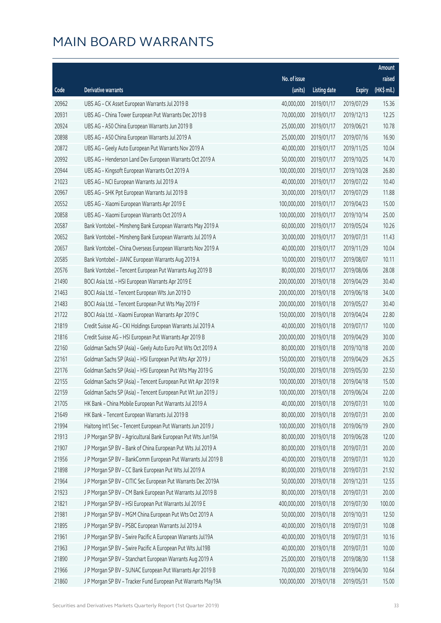|       |                                                              |              |                        |               | Amount      |
|-------|--------------------------------------------------------------|--------------|------------------------|---------------|-------------|
|       |                                                              | No. of issue |                        |               | raised      |
| Code  | Derivative warrants                                          | (units)      | <b>Listing date</b>    | <b>Expiry</b> | (HK\$ mil.) |
| 20962 | UBS AG - CK Asset European Warrants Jul 2019 B               | 40,000,000   | 2019/01/17             | 2019/07/29    | 15.36       |
| 20931 | UBS AG - China Tower European Put Warrants Dec 2019 B        | 70,000,000   | 2019/01/17             | 2019/12/13    | 12.25       |
| 20924 | UBS AG - A50 China European Warrants Jun 2019 B              | 25,000,000   | 2019/01/17             | 2019/06/21    | 10.78       |
| 20898 | UBS AG - A50 China European Warrants Jul 2019 A              | 25,000,000   | 2019/01/17             | 2019/07/16    | 16.90       |
| 20872 | UBS AG - Geely Auto European Put Warrants Nov 2019 A         | 40,000,000   | 2019/01/17             | 2019/11/25    | 10.04       |
| 20992 | UBS AG - Henderson Land Dev European Warrants Oct 2019 A     | 50,000,000   | 2019/01/17             | 2019/10/25    | 14.70       |
| 20944 | UBS AG - Kingsoft European Warrants Oct 2019 A               | 100,000,000  | 2019/01/17             | 2019/10/28    | 26.80       |
| 21023 | UBS AG - NCI European Warrants Jul 2019 A                    | 40,000,000   | 2019/01/17             | 2019/07/22    | 10.40       |
| 20967 | UBS AG - SHK Ppt European Warrants Jul 2019 B                | 30,000,000   | 2019/01/17             | 2019/07/29    | 11.88       |
| 20552 | UBS AG - Xiaomi European Warrants Apr 2019 E                 | 100,000,000  | 2019/01/17             | 2019/04/23    | 15.00       |
| 20858 | UBS AG - Xiaomi European Warrants Oct 2019 A                 | 100,000,000  | 2019/01/17             | 2019/10/14    | 25.00       |
| 20587 | Bank Vontobel - Minsheng Bank European Warrants May 2019 A   | 60,000,000   | 2019/01/17             | 2019/05/24    | 10.26       |
| 20652 | Bank Vontobel - Minsheng Bank European Warrants Jul 2019 A   | 30,000,000   | 2019/01/17             | 2019/07/31    | 11.43       |
| 20657 | Bank Vontobel - China Overseas European Warrants Nov 2019 A  | 40,000,000   | 2019/01/17             | 2019/11/29    | 10.04       |
| 20585 | Bank Vontobel - JIANC European Warrants Aug 2019 A           | 10,000,000   | 2019/01/17             | 2019/08/07    | 10.11       |
| 20576 | Bank Vontobel - Tencent European Put Warrants Aug 2019 B     | 80,000,000   | 2019/01/17             | 2019/08/06    | 28.08       |
| 21490 | BOCI Asia Ltd. - HSI European Warrants Apr 2019 E            | 200,000,000  | 2019/01/18             | 2019/04/29    | 30.40       |
| 21463 | BOCI Asia Ltd. - Tencent European Wts Jun 2019 D             | 200,000,000  | 2019/01/18             | 2019/06/18    | 34.00       |
| 21483 | BOCI Asia Ltd. - Tencent European Put Wts May 2019 F         | 200,000,000  | 2019/01/18             | 2019/05/27    | 30.40       |
| 21722 | BOCI Asia Ltd. - Xiaomi European Warrants Apr 2019 C         | 150,000,000  | 2019/01/18             | 2019/04/24    | 22.80       |
| 21819 | Credit Suisse AG - CKI Holdings European Warrants Jul 2019 A | 40,000,000   | 2019/01/18             | 2019/07/17    | 10.00       |
| 21816 | Credit Suisse AG - HSI European Put Warrants Apr 2019 B      | 200,000,000  | 2019/01/18             | 2019/04/29    | 30.00       |
| 22160 | Goldman Sachs SP (Asia) - Geely Auto Euro Put Wts Oct 2019 A | 80,000,000   | 2019/01/18             | 2019/10/18    | 20.00       |
| 22161 | Goldman Sachs SP (Asia) - HSI European Put Wts Apr 2019 J    | 150,000,000  | 2019/01/18             | 2019/04/29    | 26.25       |
| 22176 | Goldman Sachs SP (Asia) - HSI European Put Wts May 2019 G    | 150,000,000  | 2019/01/18             | 2019/05/30    | 22.50       |
| 22155 | Goldman Sachs SP (Asia) - Tencent European Put Wt Apr 2019 R | 100,000,000  | 2019/01/18             | 2019/04/18    | 15.00       |
| 22159 | Goldman Sachs SP (Asia) - Tencent European Put Wt Jun 2019 J |              | 100,000,000 2019/01/18 | 2019/06/24    | 22.00       |
| 21705 | HK Bank - China Mobile European Put Warrants Jul 2019 A      | 40,000,000   | 2019/01/18             | 2019/07/31    | 10.00       |
| 21649 | HK Bank - Tencent European Warrants Jul 2019 B               | 80,000,000   | 2019/01/18             | 2019/07/31    | 20.00       |
| 21994 | Haitong Int'l Sec - Tencent European Put Warrants Jun 2019 J | 100,000,000  | 2019/01/18             | 2019/06/19    | 29.00       |
| 21913 | J P Morgan SP BV - Agricultural Bank European Put Wts Jun19A | 80,000,000   | 2019/01/18             | 2019/06/28    | 12.00       |
| 21907 | J P Morgan SP BV - Bank of China European Put Wts Jul 2019 A | 80,000,000   | 2019/01/18             | 2019/07/31    | 20.00       |
| 21956 | J P Morgan SP BV - BankComm European Put Warrants Jul 2019 B | 40,000,000   | 2019/01/18             | 2019/07/31    | 10.20       |
| 21898 | J P Morgan SP BV - CC Bank European Put Wts Jul 2019 A       | 80,000,000   | 2019/01/18             | 2019/07/31    | 21.92       |
| 21964 | J P Morgan SP BV - CITIC Sec European Put Warrants Dec 2019A | 50,000,000   | 2019/01/18             | 2019/12/31    | 12.55       |
| 21923 | J P Morgan SP BV - CM Bank European Put Warrants Jul 2019 B  | 80,000,000   | 2019/01/18             | 2019/07/31    | 20.00       |
| 21821 | J P Morgan SP BV - HSI European Put Warrants Jul 2019 E      | 400,000,000  | 2019/01/18             | 2019/07/30    | 100.00      |
| 21981 | J P Morgan SP BV - MGM China European Put Wts Oct 2019 A     | 50,000,000   | 2019/01/18             | 2019/10/31    | 12.50       |
| 21895 | J P Morgan SP BV - PSBC European Warrants Jul 2019 A         | 40,000,000   | 2019/01/18             | 2019/07/31    | 10.08       |
| 21961 | J P Morgan SP BV - Swire Pacific A European Warrants Jul19A  | 40,000,000   | 2019/01/18             | 2019/07/31    | 10.16       |
| 21963 | J P Morgan SP BV - Swire Pacific A European Put Wts Jul19B   | 40,000,000   | 2019/01/18             | 2019/07/31    | 10.00       |
| 21890 | J P Morgan SP BV - Stanchart European Warrants Aug 2019 A    | 25,000,000   | 2019/01/18             | 2019/08/30    | 11.58       |
| 21966 | J P Morgan SP BV - SUNAC European Put Warrants Apr 2019 B    | 70,000,000   | 2019/01/18             | 2019/04/30    | 10.64       |
| 21860 | J P Morgan SP BV - Tracker Fund European Put Warrants May19A | 100,000,000  | 2019/01/18             | 2019/05/31    | 15.00       |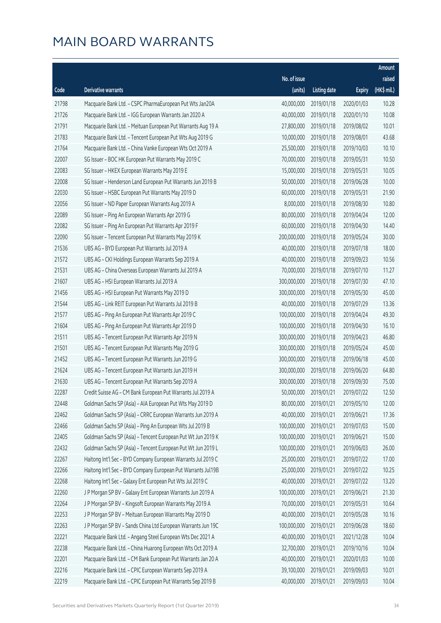|       |                                                              |              |                       |               | <b>Amount</b> |
|-------|--------------------------------------------------------------|--------------|-----------------------|---------------|---------------|
|       |                                                              | No. of issue |                       |               | raised        |
| Code  | Derivative warrants                                          | (units)      | <b>Listing date</b>   | <b>Expiry</b> | (HK\$ mil.)   |
| 21798 | Macquarie Bank Ltd. - CSPC PharmaEuropean Put Wts Jan20A     | 40,000,000   | 2019/01/18            | 2020/01/03    | 10.28         |
| 21726 | Macquarie Bank Ltd. - IGG European Warrants Jan 2020 A       | 40,000,000   | 2019/01/18            | 2020/01/10    | 10.08         |
| 21791 | Macquarie Bank Ltd. - Meituan European Put Warrants Aug 19 A | 27,800,000   | 2019/01/18            | 2019/08/02    | 10.01         |
| 21783 | Macquarie Bank Ltd. - Tencent European Put Wts Aug 2019 G    | 10,000,000   | 2019/01/18            | 2019/08/01    | 43.68         |
| 21764 | Macquarie Bank Ltd. - China Vanke European Wts Oct 2019 A    | 25,500,000   | 2019/01/18            | 2019/10/03    | 10.10         |
| 22007 | SG Issuer - BOC HK European Put Warrants May 2019 C          | 70,000,000   | 2019/01/18            | 2019/05/31    | 10.50         |
| 22083 | SG Issuer - HKEX European Warrants May 2019 E                | 15,000,000   | 2019/01/18            | 2019/05/31    | 10.05         |
| 22008 | SG Issuer - Henderson Land European Put Warrants Jun 2019 B  | 50,000,000   | 2019/01/18            | 2019/06/28    | 10.00         |
| 22030 | SG Issuer - HSBC European Put Warrants May 2019 D            | 60,000,000   | 2019/01/18            | 2019/05/31    | 21.90         |
| 22056 | SG Issuer - ND Paper European Warrants Aug 2019 A            | 8,000,000    | 2019/01/18            | 2019/08/30    | 10.80         |
| 22089 | SG Issuer - Ping An European Warrants Apr 2019 G             | 80,000,000   | 2019/01/18            | 2019/04/24    | 12.00         |
| 22082 | SG Issuer - Ping An European Put Warrants Apr 2019 F         | 60,000,000   | 2019/01/18            | 2019/04/30    | 14.40         |
| 22090 | SG Issuer - Tencent European Put Warrants May 2019 K         | 200,000,000  | 2019/01/18            | 2019/05/24    | 30.00         |
| 21536 | UBS AG - BYD European Put Warrants Jul 2019 A                | 40,000,000   | 2019/01/18            | 2019/07/18    | 18.00         |
| 21572 | UBS AG - CKI Holdings European Warrants Sep 2019 A           | 40,000,000   | 2019/01/18            | 2019/09/23    | 10.56         |
| 21531 | UBS AG - China Overseas European Warrants Jul 2019 A         | 70,000,000   | 2019/01/18            | 2019/07/10    | 11.27         |
| 21607 | UBS AG - HSI European Warrants Jul 2019 A                    | 300,000,000  | 2019/01/18            | 2019/07/30    | 47.10         |
| 21456 | UBS AG - HSI European Put Warrants May 2019 D                | 300,000,000  | 2019/01/18            | 2019/05/30    | 45.00         |
| 21544 | UBS AG - Link REIT European Put Warrants Jul 2019 B          | 40,000,000   | 2019/01/18            | 2019/07/29    | 13.36         |
| 21577 | UBS AG - Ping An European Put Warrants Apr 2019 C            | 100,000,000  | 2019/01/18            | 2019/04/24    | 49.30         |
| 21604 | UBS AG - Ping An European Put Warrants Apr 2019 D            | 100,000,000  | 2019/01/18            | 2019/04/30    | 16.10         |
| 21511 | UBS AG - Tencent European Put Warrants Apr 2019 N            | 300,000,000  | 2019/01/18            | 2019/04/23    | 46.80         |
| 21501 | UBS AG - Tencent European Put Warrants May 2019 G            | 300,000,000  | 2019/01/18            | 2019/05/24    | 45.00         |
| 21452 | UBS AG - Tencent European Put Warrants Jun 2019 G            | 300,000,000  | 2019/01/18            | 2019/06/18    | 45.00         |
| 21624 | UBS AG - Tencent European Put Warrants Jun 2019 H            | 300,000,000  | 2019/01/18            | 2019/06/20    | 64.80         |
| 21630 | UBS AG - Tencent European Put Warrants Sep 2019 A            | 300,000,000  | 2019/01/18            | 2019/09/30    | 75.00         |
| 22287 | Credit Suisse AG - CM Bank European Put Warrants Jul 2019 A  |              | 50,000,000 2019/01/21 | 2019/07/22    | 12.50         |
| 22448 | Goldman Sachs SP (Asia) - AIA European Put Wts May 2019 D    | 80,000,000   | 2019/01/21            | 2019/05/10    | 12.00         |
| 22462 | Goldman Sachs SP (Asia) - CRRC European Warrants Jun 2019 A  | 40,000,000   | 2019/01/21            | 2019/06/21    | 17.36         |
| 22466 | Goldman Sachs SP (Asia) - Ping An European Wts Jul 2019 B    | 100,000,000  | 2019/01/21            | 2019/07/03    | 15.00         |
| 22405 | Goldman Sachs SP (Asia) - Tencent European Put Wt Jun 2019 K | 100,000,000  | 2019/01/21            | 2019/06/21    | 15.00         |
| 22432 | Goldman Sachs SP (Asia) - Tencent European Put Wt Jun 2019 L | 100,000,000  | 2019/01/21            | 2019/06/03    | 26.00         |
| 22267 | Haitong Int'l Sec - BYD Company European Warrants Jul 2019 C | 25,000,000   | 2019/01/21            | 2019/07/22    | 17.00         |
| 22266 | Haitong Int'l Sec - BYD Company European Put Warrants Jul19B | 25,000,000   | 2019/01/21            | 2019/07/22    | 10.25         |
| 22268 | Haitong Int'l Sec - Galaxy Ent European Put Wts Jul 2019 C   | 40,000,000   | 2019/01/21            | 2019/07/22    | 13.20         |
| 22260 | J P Morgan SP BV - Galaxy Ent European Warrants Jun 2019 A   | 100,000,000  | 2019/01/21            | 2019/06/21    | 21.30         |
| 22264 | J P Morgan SP BV - Kingsoft European Warrants May 2019 A     | 70,000,000   | 2019/01/21            | 2019/05/31    | 10.64         |
| 22253 | J P Morgan SP BV - Meituan European Warrants May 2019 D      | 40,000,000   | 2019/01/21            | 2019/05/28    | 10.16         |
| 22263 | J P Morgan SP BV - Sands China Ltd European Warrants Jun 19C | 100,000,000  | 2019/01/21            | 2019/06/28    | 18.60         |
| 22221 | Macquarie Bank Ltd. - Angang Steel European Wts Dec 2021 A   | 40,000,000   | 2019/01/21            | 2021/12/28    | 10.04         |
| 22238 | Macquarie Bank Ltd. - China Huarong European Wts Oct 2019 A  | 32,700,000   | 2019/01/21            | 2019/10/16    | 10.04         |
| 22201 | Macquarie Bank Ltd. - CM Bank European Put Warrants Jan 20 A | 40,000,000   | 2019/01/21            | 2020/01/03    | 10.00         |
| 22216 | Macquarie Bank Ltd. - CPIC European Warrants Sep 2019 A      | 39,100,000   | 2019/01/21            | 2019/09/03    | 10.01         |
| 22219 | Macquarie Bank Ltd. - CPIC European Put Warrants Sep 2019 B  | 40,000,000   | 2019/01/21            | 2019/09/03    | 10.04         |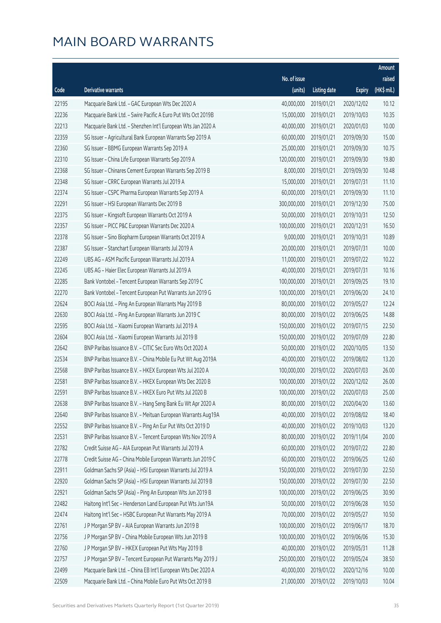|       |                                                              |                        |                     |               | Amount      |
|-------|--------------------------------------------------------------|------------------------|---------------------|---------------|-------------|
|       |                                                              | No. of issue           |                     |               | raised      |
| Code  | Derivative warrants                                          | (units)                | <b>Listing date</b> | <b>Expiry</b> | (HK\$ mil.) |
| 22195 | Macquarie Bank Ltd. - GAC European Wts Dec 2020 A            | 40,000,000             | 2019/01/21          | 2020/12/02    | 10.12       |
| 22236 | Macquarie Bank Ltd. - Swire Pacific A Euro Put Wts Oct 2019B | 15,000,000             | 2019/01/21          | 2019/10/03    | 10.35       |
| 22213 | Macquarie Bank Ltd. - Shenzhen Int'l European Wts Jan 2020 A | 40,000,000             | 2019/01/21          | 2020/01/03    | 10.00       |
| 22359 | SG Issuer - Agricultural Bank European Warrants Sep 2019 A   | 60,000,000             | 2019/01/21          | 2019/09/30    | 15.00       |
| 22360 | SG Issuer - BBMG European Warrants Sep 2019 A                | 25,000,000             | 2019/01/21          | 2019/09/30    | 10.75       |
| 22310 | SG Issuer - China Life European Warrants Sep 2019 A          | 120,000,000            | 2019/01/21          | 2019/09/30    | 19.80       |
| 22368 | SG Issuer - Chinares Cement European Warrants Sep 2019 B     | 8,000,000              | 2019/01/21          | 2019/09/30    | 10.48       |
| 22348 | SG Issuer - CRRC European Warrants Jul 2019 A                | 15,000,000             | 2019/01/21          | 2019/07/31    | 11.10       |
| 22374 | SG Issuer - CSPC Pharma European Warrants Sep 2019 A         | 60,000,000             | 2019/01/21          | 2019/09/30    | 11.10       |
| 22291 | SG Issuer - HSI European Warrants Dec 2019 B                 | 300,000,000            | 2019/01/21          | 2019/12/30    | 75.00       |
| 22375 | SG Issuer - Kingsoft European Warrants Oct 2019 A            | 50,000,000             | 2019/01/21          | 2019/10/31    | 12.50       |
| 22357 | SG Issuer - PICC P&C European Warrants Dec 2020 A            | 100,000,000            | 2019/01/21          | 2020/12/31    | 16.50       |
| 22378 | SG Issuer - Sino Biopharm European Warrants Oct 2019 A       | 9,000,000              | 2019/01/21          | 2019/10/31    | 10.89       |
| 22387 | SG Issuer - Stanchart European Warrants Jul 2019 A           | 20,000,000             | 2019/01/21          | 2019/07/31    | 10.00       |
| 22249 | UBS AG - ASM Pacific European Warrants Jul 2019 A            | 11,000,000             | 2019/01/21          | 2019/07/22    | 10.22       |
| 22245 | UBS AG - Haier Elec European Warrants Jul 2019 A             | 40,000,000             | 2019/01/21          | 2019/07/31    | 10.16       |
| 22285 | Bank Vontobel - Tencent European Warrants Sep 2019 C         | 100,000,000            | 2019/01/21          | 2019/09/25    | 19.10       |
| 22270 | Bank Vontobel - Tencent European Put Warrants Jun 2019 G     | 100,000,000            | 2019/01/21          | 2019/06/20    | 24.10       |
| 22624 | BOCI Asia Ltd. - Ping An European Warrants May 2019 B        | 80,000,000             | 2019/01/22          | 2019/05/27    | 12.24       |
| 22630 | BOCI Asia Ltd. - Ping An European Warrants Jun 2019 C        | 80,000,000             | 2019/01/22          | 2019/06/25    | 14.88       |
| 22595 | BOCI Asia Ltd. - Xiaomi European Warrants Jul 2019 A         | 150,000,000            | 2019/01/22          | 2019/07/15    | 22.50       |
| 22604 | BOCI Asia Ltd. - Xiaomi European Warrants Jul 2019 B         | 150,000,000            | 2019/01/22          | 2019/07/09    | 22.80       |
| 22642 | BNP Paribas Issuance B.V. - CITIC Sec Euro Wts Oct 2020 A    | 50,000,000             | 2019/01/22          | 2020/10/05    | 13.50       |
| 22534 | BNP Paribas Issuance B.V. - China Mobile Eu Put Wt Aug 2019A | 40,000,000             | 2019/01/22          | 2019/08/02    | 13.20       |
| 22568 | BNP Paribas Issuance B.V. - HKEX European Wts Jul 2020 A     | 100,000,000            | 2019/01/22          | 2020/07/03    | 26.00       |
| 22581 | BNP Paribas Issuance B.V. - HKEX European Wts Dec 2020 B     | 100,000,000            | 2019/01/22          | 2020/12/02    | 26.00       |
| 22591 | BNP Paribas Issuance B.V. - HKEX Euro Put Wts Jul 2020 B     | 100,000,000 2019/01/22 |                     | 2020/07/03    | 25.00       |
| 22638 | BNP Paribas Issuance B.V. - Hang Seng Bank Eu Wt Apr 2020 A  | 80,000,000             | 2019/01/22          | 2020/04/20    | 13.60       |
| 22640 | BNP Paribas Issuance B.V. - Meituan European Warrants Aug19A | 40,000,000             | 2019/01/22          | 2019/08/02    | 18.40       |
| 22552 | BNP Paribas Issuance B.V. - Ping An Eur Put Wts Oct 2019 D   | 40,000,000             | 2019/01/22          | 2019/10/03    | 13.20       |
| 22531 | BNP Paribas Issuance B.V. - Tencent European Wts Nov 2019 A  | 80,000,000             | 2019/01/22          | 2019/11/04    | 20.00       |
| 22782 | Credit Suisse AG - AIA European Put Warrants Jul 2019 A      | 60,000,000             | 2019/01/22          | 2019/07/22    | 22.80       |
| 22778 | Credit Suisse AG - China Mobile European Warrants Jun 2019 C | 60,000,000             | 2019/01/22          | 2019/06/25    | 12.60       |
| 22911 | Goldman Sachs SP (Asia) - HSI European Warrants Jul 2019 A   | 150,000,000            | 2019/01/22          | 2019/07/30    | 22.50       |
| 22920 | Goldman Sachs SP (Asia) - HSI European Warrants Jul 2019 B   | 150,000,000            | 2019/01/22          | 2019/07/30    | 22.50       |
| 22921 | Goldman Sachs SP (Asia) - Ping An European Wts Jun 2019 B    | 100,000,000            | 2019/01/22          | 2019/06/25    | 30.90       |
| 22482 | Haitong Int'l Sec - Henderson Land European Put Wts Jun19A   | 50,000,000             | 2019/01/22          | 2019/06/28    | 10.50       |
| 22474 | Haitong Int'l Sec - HSBC European Put Warrants May 2019 A    | 70,000,000             | 2019/01/22          | 2019/05/27    | 10.50       |
| 22761 | J P Morgan SP BV - AIA European Warrants Jun 2019 B          | 100,000,000            | 2019/01/22          | 2019/06/17    | 18.70       |
| 22756 | J P Morgan SP BV - China Mobile European Wts Jun 2019 B      | 100,000,000            | 2019/01/22          | 2019/06/06    | 15.30       |
| 22760 | J P Morgan SP BV - HKEX European Put Wts May 2019 B          | 40,000,000             | 2019/01/22          | 2019/05/31    | 11.28       |
| 22757 | J P Morgan SP BV - Tencent European Put Warrants May 2019 J  | 250,000,000            | 2019/01/22          | 2019/05/24    | 38.50       |
| 22499 | Macquarie Bank Ltd. - China EB Int'l European Wts Dec 2020 A | 40,000,000             | 2019/01/22          | 2020/12/16    | 10.00       |
| 22509 | Macquarie Bank Ltd. - China Mobile Euro Put Wts Oct 2019 B   | 21,000,000             | 2019/01/22          | 2019/10/03    | 10.04       |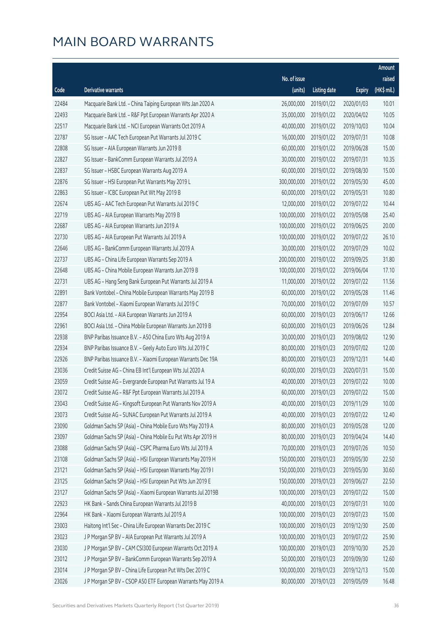|       |                                                              |              |                       |               | Amount      |
|-------|--------------------------------------------------------------|--------------|-----------------------|---------------|-------------|
|       |                                                              | No. of issue |                       |               | raised      |
| Code  | Derivative warrants                                          | (units)      | <b>Listing date</b>   | <b>Expiry</b> | (HK\$ mil.) |
| 22484 | Macquarie Bank Ltd. - China Taiping European Wts Jan 2020 A  | 26,000,000   | 2019/01/22            | 2020/01/03    | 10.01       |
| 22493 | Macquarie Bank Ltd. - R&F Ppt European Warrants Apr 2020 A   | 35,000,000   | 2019/01/22            | 2020/04/02    | 10.05       |
| 22517 | Macquarie Bank Ltd. - NCI European Warrants Oct 2019 A       | 40,000,000   | 2019/01/22            | 2019/10/03    | 10.04       |
| 22787 | SG Issuer - AAC Tech European Put Warrants Jul 2019 C        | 16,000,000   | 2019/01/22            | 2019/07/31    | 10.08       |
| 22808 | SG Issuer - AIA European Warrants Jun 2019 B                 | 60,000,000   | 2019/01/22            | 2019/06/28    | 15.00       |
| 22827 | SG Issuer - BankComm European Warrants Jul 2019 A            | 30,000,000   | 2019/01/22            | 2019/07/31    | 10.35       |
| 22837 | SG Issuer - HSBC European Warrants Aug 2019 A                | 60,000,000   | 2019/01/22            | 2019/08/30    | 15.00       |
| 22876 | SG Issuer - HSI European Put Warrants May 2019 L             | 300,000,000  | 2019/01/22            | 2019/05/30    | 45.00       |
| 22863 | SG Issuer - ICBC European Put Wt May 2019 B                  | 60,000,000   | 2019/01/22            | 2019/05/31    | 10.80       |
| 22674 | UBS AG - AAC Tech European Put Warrants Jul 2019 C           | 12,000,000   | 2019/01/22            | 2019/07/22    | 10.44       |
| 22719 | UBS AG - AIA European Warrants May 2019 B                    | 100,000,000  | 2019/01/22            | 2019/05/08    | 25.40       |
| 22687 | UBS AG - AIA European Warrants Jun 2019 A                    | 100,000,000  | 2019/01/22            | 2019/06/25    | 20.00       |
| 22730 | UBS AG - AIA European Put Warrants Jul 2019 A                | 100,000,000  | 2019/01/22            | 2019/07/22    | 26.10       |
| 22646 | UBS AG - BankComm European Warrants Jul 2019 A               | 30,000,000   | 2019/01/22            | 2019/07/29    | 10.02       |
| 22737 | UBS AG - China Life European Warrants Sep 2019 A             | 200,000,000  | 2019/01/22            | 2019/09/25    | 31.80       |
| 22648 | UBS AG - China Mobile European Warrants Jun 2019 B           | 100,000,000  | 2019/01/22            | 2019/06/04    | 17.10       |
| 22731 | UBS AG - Hang Seng Bank European Put Warrants Jul 2019 A     | 11,000,000   | 2019/01/22            | 2019/07/22    | 11.56       |
| 22891 | Bank Vontobel - China Mobile European Warrants May 2019 B    | 60,000,000   | 2019/01/22            | 2019/05/28    | 11.46       |
| 22877 | Bank Vontobel - Xiaomi European Warrants Jul 2019 C          | 70,000,000   | 2019/01/22            | 2019/07/09    | 10.57       |
| 22954 | BOCI Asia Ltd. - AIA European Warrants Jun 2019 A            | 60,000,000   | 2019/01/23            | 2019/06/17    | 12.66       |
| 22961 | BOCI Asia Ltd. - China Mobile European Warrants Jun 2019 B   | 60,000,000   | 2019/01/23            | 2019/06/26    | 12.84       |
| 22938 | BNP Paribas Issuance B.V. - A50 China Euro Wts Aug 2019 A    | 30,000,000   | 2019/01/23            | 2019/08/02    | 12.90       |
| 22934 | BNP Paribas Issuance B.V. - Geely Auto Euro Wts Jul 2019 C   | 80,000,000   | 2019/01/23            | 2019/07/02    | 12.00       |
| 22926 | BNP Paribas Issuance B.V. - Xiaomi European Warrants Dec 19A | 80,000,000   | 2019/01/23            | 2019/12/31    | 14.40       |
| 23036 | Credit Suisse AG - China EB Int'l European Wts Jul 2020 A    | 60,000,000   | 2019/01/23            | 2020/07/31    | 15.00       |
| 23059 | Credit Suisse AG - Evergrande European Put Warrants Jul 19 A | 40,000,000   | 2019/01/23            | 2019/07/22    | 10.00       |
| 23072 | Credit Suisse AG - R&F Ppt European Warrants Jul 2019 A      |              | 60,000,000 2019/01/23 | 2019/07/22    | 15.00       |
| 23043 | Credit Suisse AG - Kingsoft European Put Warrants Nov 2019 A | 40,000,000   | 2019/01/23            | 2019/11/29    | 10.00       |
| 23073 | Credit Suisse AG - SUNAC European Put Warrants Jul 2019 A    | 40,000,000   | 2019/01/23            | 2019/07/22    | 12.40       |
| 23090 | Goldman Sachs SP (Asia) - China Mobile Euro Wts May 2019 A   | 80,000,000   | 2019/01/23            | 2019/05/28    | 12.00       |
| 23097 | Goldman Sachs SP (Asia) - China Mobile Eu Put Wts Apr 2019 H | 80,000,000   | 2019/01/23            | 2019/04/24    | 14.40       |
| 23088 | Goldman Sachs SP (Asia) - CSPC Pharma Euro Wts Jul 2019 A    | 70,000,000   | 2019/01/23            | 2019/07/26    | 10.50       |
| 23108 | Goldman Sachs SP (Asia) - HSI European Warrants May 2019 H   | 150,000,000  | 2019/01/23            | 2019/05/30    | 22.50       |
| 23121 | Goldman Sachs SP (Asia) - HSI European Warrants May 2019 I   | 150,000,000  | 2019/01/23            | 2019/05/30    | 30.60       |
| 23125 | Goldman Sachs SP (Asia) - HSI European Put Wts Jun 2019 E    | 150,000,000  | 2019/01/23            | 2019/06/27    | 22.50       |
| 23127 | Goldman Sachs SP (Asia) - Xiaomi European Warrants Jul 2019B | 100,000,000  | 2019/01/23            | 2019/07/22    | 15.00       |
| 22923 | HK Bank - Sands China European Warrants Jul 2019 B           | 40,000,000   | 2019/01/23            | 2019/07/31    | 10.00       |
| 22964 | HK Bank - Xiaomi European Warrants Jul 2019 A                | 100,000,000  | 2019/01/23            | 2019/07/23    | 15.00       |
| 23003 | Haitong Int'l Sec - China Life European Warrants Dec 2019 C  | 100,000,000  | 2019/01/23            | 2019/12/30    | 25.00       |
| 23023 | J P Morgan SP BV - AIA European Put Warrants Jul 2019 A      | 100,000,000  | 2019/01/23            | 2019/07/22    | 25.90       |
| 23030 | J P Morgan SP BV - CAM CSI300 European Warrants Oct 2019 A   | 100,000,000  | 2019/01/23            | 2019/10/30    | 25.20       |
| 23012 | J P Morgan SP BV - BankComm European Warrants Sep 2019 A     | 50,000,000   | 2019/01/23            | 2019/09/30    | 12.60       |
| 23014 | J P Morgan SP BV - China Life European Put Wts Dec 2019 C    | 100,000,000  | 2019/01/23            | 2019/12/13    | 15.00       |
| 23026 | J P Morgan SP BV - CSOP A50 ETF European Warrants May 2019 A | 80,000,000   | 2019/01/23            | 2019/05/09    | 16.48       |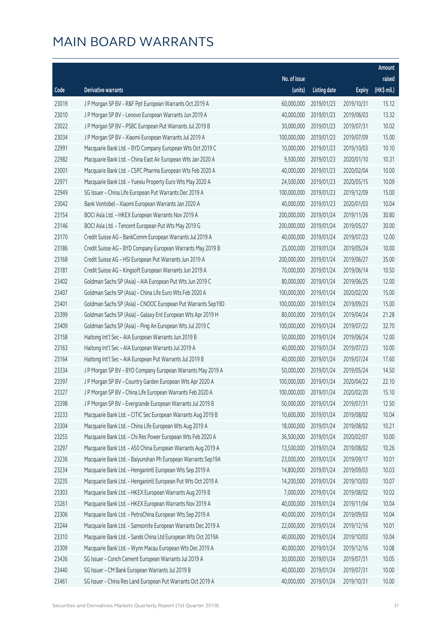|       |                                                              |              |                        |               | Amount      |
|-------|--------------------------------------------------------------|--------------|------------------------|---------------|-------------|
|       |                                                              | No. of issue |                        |               | raised      |
| Code  | Derivative warrants                                          | (units)      | <b>Listing date</b>    | <b>Expiry</b> | (HK\$ mil.) |
| 23019 | J P Morgan SP BV - R&F Ppt European Warrants Oct 2019 A      | 60,000,000   | 2019/01/23             | 2019/10/31    | 15.12       |
| 23010 | J P Morgan SP BV - Lenovo European Warrants Jun 2019 A       | 40,000,000   | 2019/01/23             | 2019/06/03    | 13.32       |
| 23022 | J P Morgan SP BV - PSBC European Put Warrants Jul 2019 B     | 30,000,000   | 2019/01/23             | 2019/07/31    | 10.02       |
| 23034 | J P Morgan SP BV - Xiaomi European Warrants Jul 2019 A       | 100,000,000  | 2019/01/23             | 2019/07/09    | 15.00       |
| 22991 | Macquarie Bank Ltd. - BYD Company European Wts Oct 2019 C    | 10,000,000   | 2019/01/23             | 2019/10/03    | 10.10       |
| 22982 | Macquarie Bank Ltd. - China East Air European Wts Jan 2020 A | 9,500,000    | 2019/01/23             | 2020/01/10    | 10.31       |
| 23001 | Macquarie Bank Ltd. - CSPC Pharma European Wts Feb 2020 A    | 40,000,000   | 2019/01/23             | 2020/02/04    | 10.00       |
| 22971 | Macquarie Bank Ltd. - Yuexiu Property Euro Wts May 2020 A    | 24,500,000   | 2019/01/23             | 2020/05/15    | 10.09       |
| 22949 | SG Issuer - China Life European Put Warrants Dec 2019 A      | 100,000,000  | 2019/01/23             | 2019/12/09    | 15.00       |
| 23042 | Bank Vontobel - Xiaomi European Warrants Jan 2020 A          | 40,000,000   | 2019/01/23             | 2020/01/03    | 10.04       |
| 23154 | BOCI Asia Ltd. - HKEX European Warrants Nov 2019 A           | 200,000,000  | 2019/01/24             | 2019/11/26    | 30.80       |
| 23146 | BOCI Asia Ltd. - Tencent European Put Wts May 2019 G         | 200,000,000  | 2019/01/24             | 2019/05/27    | 30.00       |
| 23170 | Credit Suisse AG - BankComm European Warrants Jul 2019 A     | 40,000,000   | 2019/01/24             | 2019/07/23    | 12.00       |
| 23186 | Credit Suisse AG - BYD Company European Warrants May 2019 B  | 25,000,000   | 2019/01/24             | 2019/05/24    | 10.00       |
| 23168 | Credit Suisse AG - HSI European Put Warrants Jun 2019 A      | 200,000,000  | 2019/01/24             | 2019/06/27    | 35.00       |
| 23181 | Credit Suisse AG - Kingsoft European Warrants Jun 2019 A     | 70,000,000   | 2019/01/24             | 2019/06/14    | 10.50       |
| 23402 | Goldman Sachs SP (Asia) - AIA European Put Wts Jun 2019 C    | 80,000,000   | 2019/01/24             | 2019/06/25    | 12.00       |
| 23407 | Goldman Sachs SP (Asia) - China Life Euro Wts Feb 2020 A     | 100,000,000  | 2019/01/24             | 2020/02/20    | 15.00       |
| 23401 | Goldman Sachs SP (Asia) - CNOOC European Put Warrants Sep19D | 100,000,000  | 2019/01/24             | 2019/09/23    | 15.00       |
| 23399 | Goldman Sachs SP (Asia) - Galaxy Ent European Wts Apr 2019 H | 80,000,000   | 2019/01/24             | 2019/04/24    | 21.28       |
| 23409 | Goldman Sachs SP (Asia) - Ping An European Wts Jul 2019 C    | 100,000,000  | 2019/01/24             | 2019/07/22    | 32.70       |
| 23158 | Haitong Int'l Sec - AIA European Warrants Jun 2019 B         | 50,000,000   | 2019/01/24             | 2019/06/24    | 12.00       |
| 23163 | Haitong Int'l Sec - AIA European Warrants Jul 2019 A         | 40,000,000   | 2019/01/24             | 2019/07/23    | 10.00       |
| 23164 | Haitong Int'l Sec - AIA European Put Warrants Jul 2019 B     | 40,000,000   | 2019/01/24             | 2019/07/24    | 17.60       |
| 23334 | J P Morgan SP BV - BYD Company European Warrants May 2019 A  | 50,000,000   | 2019/01/24             | 2019/05/24    | 14.50       |
| 23397 | JP Morgan SP BV - Country Garden European Wts Apr 2020 A     | 100,000,000  | 2019/01/24             | 2020/04/22    | 22.10       |
| 23327 | JP Morgan SP BV - China Life European Warrants Feb 2020 A    |              | 100,000,000 2019/01/24 | 2020/02/20    | 15.10       |
| 23398 | J P Morgan SP BV - Evergrande European Warrants Jul 2019 B   | 50,000,000   | 2019/01/24             | 2019/07/31    | 12.50       |
| 23233 | Macquarie Bank Ltd. - CITIC Sec European Warrants Aug 2019 B | 10,600,000   | 2019/01/24             | 2019/08/02    | 10.04       |
| 23304 | Macquarie Bank Ltd. - China Life European Wts Aug 2019 A     | 18,000,000   | 2019/01/24             | 2019/08/02    | 10.21       |
| 23255 | Macquarie Bank Ltd. - Chi Res Power European Wts Feb 2020 A  | 36,500,000   | 2019/01/24             | 2020/02/07    | 10.00       |
| 23297 | Macquarie Bank Ltd. - A50 China European Warrants Aug 2019 A | 13,500,000   | 2019/01/24             | 2019/08/02    | 10.26       |
| 23236 | Macquarie Bank Ltd. - Baiyunshan Ph European Warrants Sep19A | 23,000,000   | 2019/01/24             | 2019/09/17    | 10.01       |
| 23234 | Macquarie Bank Ltd. - Henganintl European Wts Sep 2019 A     | 14,800,000   | 2019/01/24             | 2019/09/03    | 10.03       |
| 23235 | Macquarie Bank Ltd. - Henganintl European Put Wts Oct 2019 A | 14,200,000   | 2019/01/24             | 2019/10/03    | 10.07       |
| 23303 | Macquarie Bank Ltd. - HKEX European Warrants Aug 2019 B      | 7,000,000    | 2019/01/24             | 2019/08/02    | 10.02       |
| 23261 | Macquarie Bank Ltd. - HKEX European Warrants Nov 2019 A      | 40,000,000   | 2019/01/24             | 2019/11/04    | 10.04       |
| 23306 | Macquarie Bank Ltd. - PetroChina European Wts Sep 2019 A     | 40,000,000   | 2019/01/24             | 2019/09/03    | 10.04       |
| 23244 | Macquarie Bank Ltd. - Samsonite European Warrants Dec 2019 A | 22,000,000   | 2019/01/24             | 2019/12/16    | 10.01       |
| 23310 | Macquarie Bank Ltd. - Sands China Ltd European Wts Oct 2019A | 40,000,000   | 2019/01/24             | 2019/10/03    | 10.04       |
| 23309 | Macquarie Bank Ltd. - Wynn Macau European Wts Dec 2019 A     | 40,000,000   | 2019/01/24             | 2019/12/16    | 10.08       |
| 23436 | SG Issuer - Conch Cement European Warrants Jul 2019 A        | 30,000,000   | 2019/01/24             | 2019/07/31    | 10.05       |
| 23440 | SG Issuer - CM Bank European Warrants Jul 2019 B             | 40,000,000   | 2019/01/24             | 2019/07/31    | 10.00       |
| 23461 | SG Issuer - China Res Land European Put Warrants Oct 2019 A  | 40,000,000   | 2019/01/24             | 2019/10/31    | 10.00       |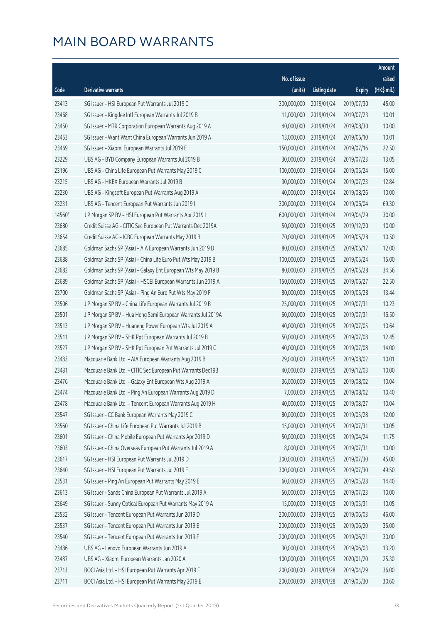|        |                                                              |              |                      |               | Amount      |
|--------|--------------------------------------------------------------|--------------|----------------------|---------------|-------------|
|        |                                                              | No. of issue |                      |               | raised      |
| Code   | Derivative warrants                                          | (units)      | <b>Listing date</b>  | <b>Expiry</b> | (HK\$ mil.) |
| 23413  | SG Issuer - HSI European Put Warrants Jul 2019 C             | 300,000,000  | 2019/01/24           | 2019/07/30    | 45.00       |
| 23468  | SG Issuer - Kingdee Intl European Warrants Jul 2019 B        | 11,000,000   | 2019/01/24           | 2019/07/23    | 10.01       |
| 23450  | SG Issuer - MTR Corporation European Warrants Aug 2019 A     | 40,000,000   | 2019/01/24           | 2019/08/30    | 10.00       |
| 23453  | SG Issuer - Want Want China European Warrants Jun 2019 A     | 13,000,000   | 2019/01/24           | 2019/06/10    | 10.01       |
| 23469  | SG Issuer - Xiaomi European Warrants Jul 2019 E              | 150,000,000  | 2019/01/24           | 2019/07/16    | 22.50       |
| 23229  | UBS AG - BYD Company European Warrants Jul 2019 B            | 30,000,000   | 2019/01/24           | 2019/07/23    | 13.05       |
| 23196  | UBS AG - China Life European Put Warrants May 2019 C         | 100,000,000  | 2019/01/24           | 2019/05/24    | 15.00       |
| 23215  | UBS AG - HKEX European Warrants Jul 2019 B                   | 30,000,000   | 2019/01/24           | 2019/07/23    | 12.84       |
| 23230  | UBS AG - Kingsoft European Put Warrants Aug 2019 A           | 40,000,000   | 2019/01/24           | 2019/08/26    | 10.00       |
| 23231  | UBS AG - Tencent European Put Warrants Jun 2019 I            | 300,000,000  | 2019/01/24           | 2019/06/04    | 69.30       |
| 14560# | J P Morgan SP BV - HSI European Put Warrants Apr 2019 I      | 600,000,000  | 2019/01/24           | 2019/04/29    | 30.00       |
| 23680  | Credit Suisse AG - CITIC Sec European Put Warrants Dec 2019A | 50,000,000   | 2019/01/25           | 2019/12/20    | 10.00       |
| 23654  | Credit Suisse AG - ICBC European Warrants May 2019 B         | 70,000,000   | 2019/01/25           | 2019/05/28    | 10.50       |
| 23685  | Goldman Sachs SP (Asia) - AIA European Warrants Jun 2019 D   | 80,000,000   | 2019/01/25           | 2019/06/17    | 12.00       |
| 23688  | Goldman Sachs SP (Asia) - China Life Euro Put Wts May 2019 B | 100,000,000  | 2019/01/25           | 2019/05/24    | 15.00       |
| 23682  | Goldman Sachs SP (Asia) - Galaxy Ent European Wts May 2019 B | 80,000,000   | 2019/01/25           | 2019/05/28    | 34.56       |
| 23689  | Goldman Sachs SP (Asia) - HSCEI European Warrants Jun 2019 A | 150,000,000  | 2019/01/25           | 2019/06/27    | 22.50       |
| 23700  | Goldman Sachs SP (Asia) - Ping An Euro Put Wts May 2019 F    | 80,000,000   | 2019/01/25           | 2019/05/28    | 13.44       |
| 23506  | J P Morgan SP BV - China Life European Warrants Jul 2019 B   | 25,000,000   | 2019/01/25           | 2019/07/31    | 10.23       |
| 23501  | J P Morgan SP BV - Hua Hong Semi European Warrants Jul 2019A | 60,000,000   | 2019/01/25           | 2019/07/31    | 16.50       |
| 23513  | J P Morgan SP BV - Huaneng Power European Wts Jul 2019 A     | 40,000,000   | 2019/01/25           | 2019/07/05    | 10.64       |
| 23511  | J P Morgan SP BV - SHK Ppt European Warrants Jul 2019 B      | 50,000,000   | 2019/01/25           | 2019/07/08    | 12.45       |
| 23527  | J P Morgan SP BV - SHK Ppt European Put Warrants Jul 2019 C  | 40,000,000   | 2019/01/25           | 2019/07/08    | 14.00       |
| 23483  | Macquarie Bank Ltd. - AIA European Warrants Aug 2019 B       | 29,000,000   | 2019/01/25           | 2019/08/02    | 10.01       |
| 23481  | Macquarie Bank Ltd. - CITIC Sec European Put Warrants Dec19B | 40,000,000   | 2019/01/25           | 2019/12/03    | 10.00       |
| 23476  | Macquarie Bank Ltd. - Galaxy Ent European Wts Aug 2019 A     | 36,000,000   | 2019/01/25           | 2019/08/02    | 10.04       |
| 23474  | Macquarie Bank Ltd. - Ping An European Warrants Aug 2019 D   |              | 7,000,000 2019/01/25 | 2019/08/02    | 10.40       |
| 23478  | Macquarie Bank Ltd. - Tencent European Warrants Aug 2019 H   | 40,000,000   | 2019/01/25           | 2019/08/27    | 10.04       |
| 23547  | SG Issuer - CC Bank European Warrants May 2019 C             | 80,000,000   | 2019/01/25           | 2019/05/28    | 12.00       |
| 23560  | SG Issuer - China Life European Put Warrants Jul 2019 B      | 15,000,000   | 2019/01/25           | 2019/07/31    | 10.05       |
| 23601  | SG Issuer - China Mobile European Put Warrants Apr 2019 D    | 50,000,000   | 2019/01/25           | 2019/04/24    | 11.75       |
| 23603  | SG Issuer - China Overseas European Put Warrants Jul 2019 A  | 8,000,000    | 2019/01/25           | 2019/07/31    | 10.00       |
| 23617  | SG Issuer - HSI European Put Warrants Jul 2019 D             | 300,000,000  | 2019/01/25           | 2019/07/30    | 45.00       |
| 23640  | SG Issuer - HSI European Put Warrants Jul 2019 E             | 300,000,000  | 2019/01/25           | 2019/07/30    | 49.50       |
| 23531  | SG Issuer - Ping An European Put Warrants May 2019 E         | 60,000,000   | 2019/01/25           | 2019/05/28    | 14.40       |
| 23613  | SG Issuer - Sands China European Put Warrants Jul 2019 A     | 50,000,000   | 2019/01/25           | 2019/07/23    | 10.00       |
| 23649  | SG Issuer - Sunny Optical European Put Warrants May 2019 A   | 15,000,000   | 2019/01/25           | 2019/05/31    | 10.05       |
| 23532  | SG Issuer - Tencent European Put Warrants Jun 2019 D         | 200,000,000  | 2019/01/25           | 2019/06/03    | 46.00       |
| 23537  | SG Issuer - Tencent European Put Warrants Jun 2019 E         | 200,000,000  | 2019/01/25           | 2019/06/20    | 35.00       |
| 23540  | SG Issuer - Tencent European Put Warrants Jun 2019 F         | 200,000,000  | 2019/01/25           | 2019/06/21    | 30.00       |
| 23486  | UBS AG - Lenovo European Warrants Jun 2019 A                 | 30,000,000   | 2019/01/25           | 2019/06/03    | 13.20       |
| 23487  | UBS AG - Xiaomi European Warrants Jan 2020 A                 | 100,000,000  | 2019/01/25           | 2020/01/20    | 25.30       |
| 23713  | BOCI Asia Ltd. - HSI European Put Warrants Apr 2019 F        | 200,000,000  | 2019/01/28           | 2019/04/29    | 36.00       |
| 23711  | BOCI Asia Ltd. - HSI European Put Warrants May 2019 E        | 200,000,000  | 2019/01/28           | 2019/05/30    | 30.60       |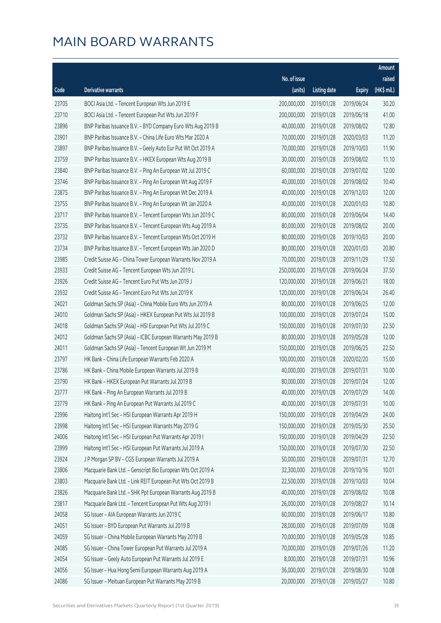|       |                                                              |              |                       |               | Amount       |
|-------|--------------------------------------------------------------|--------------|-----------------------|---------------|--------------|
|       |                                                              | No. of issue |                       |               | raised       |
| Code  | Derivative warrants                                          | (units)      | <b>Listing date</b>   | <b>Expiry</b> | $(HK\$ mil.) |
| 23705 | BOCI Asia Ltd. - Tencent European Wts Jun 2019 E             | 200,000,000  | 2019/01/28            | 2019/06/24    | 30.20        |
| 23710 | BOCI Asia Ltd. - Tencent European Put Wts Jun 2019 F         | 200,000,000  | 2019/01/28            | 2019/06/18    | 41.00        |
| 23896 | BNP Paribas Issuance B.V. - BYD Company Euro Wts Aug 2019 B  | 40,000,000   | 2019/01/28            | 2019/08/02    | 12.80        |
| 23901 | BNP Paribas Issuance B.V. - China Life Euro Wts Mar 2020 A   | 70,000,000   | 2019/01/28            | 2020/03/03    | 11.20        |
| 23897 | BNP Paribas Issuance B.V. - Geely Auto Eur Put Wt Oct 2019 A | 70,000,000   | 2019/01/28            | 2019/10/03    | 11.90        |
| 23759 | BNP Paribas Issuance B.V. - HKEX European Wts Aug 2019 B     | 30,000,000   | 2019/01/28            | 2019/08/02    | 11.10        |
| 23840 | BNP Paribas Issuance B.V. - Ping An European Wt Jul 2019 C   | 60,000,000   | 2019/01/28            | 2019/07/02    | 12.00        |
| 23746 | BNP Paribas Issuance B.V. - Ping An European Wt Aug 2019 F   | 40,000,000   | 2019/01/28            | 2019/08/02    | 10.40        |
| 23875 | BNP Paribas Issuance B.V. - Ping An European Wt Dec 2019 A   | 40,000,000   | 2019/01/28            | 2019/12/03    | 12.00        |
| 23755 | BNP Paribas Issuance B.V. - Ping An European Wt Jan 2020 A   | 40,000,000   | 2019/01/28            | 2020/01/03    | 10.80        |
| 23717 | BNP Paribas Issuance B.V. - Tencent European Wts Jun 2019 C  | 80,000,000   | 2019/01/28            | 2019/06/04    | 14.40        |
| 23735 | BNP Paribas Issuance B.V. - Tencent European Wts Aug 2019 A  | 80,000,000   | 2019/01/28            | 2019/08/02    | 20.00        |
| 23732 | BNP Paribas Issuance B.V. - Tencent European Wts Oct 2019 H  | 80,000,000   | 2019/01/28            | 2019/10/03    | 20.00        |
| 23734 | BNP Paribas Issuance B.V. - Tencent European Wts Jan 2020 D  | 80,000,000   | 2019/01/28            | 2020/01/03    | 20.80        |
| 23985 | Credit Suisse AG - China Tower European Warrants Nov 2019 A  | 70,000,000   | 2019/01/28            | 2019/11/29    | 17.50        |
| 23933 | Credit Suisse AG - Tencent European Wts Jun 2019 L           | 250,000,000  | 2019/01/28            | 2019/06/24    | 37.50        |
| 23926 | Credit Suisse AG - Tencent Euro Put Wts Jun 2019 J           | 120,000,000  | 2019/01/28            | 2019/06/21    | 18.00        |
| 23932 | Credit Suisse AG - Tencent Euro Put Wts Jun 2019 K           | 120,000,000  | 2019/01/28            | 2019/06/24    | 26.40        |
| 24021 | Goldman Sachs SP (Asia) - China Mobile Euro Wts Jun 2019 A   | 80,000,000   | 2019/01/28            | 2019/06/25    | 12.00        |
| 24010 | Goldman Sachs SP (Asia) - HKEX European Put Wts Jul 2019 B   | 100,000,000  | 2019/01/28            | 2019/07/24    | 15.00        |
| 24018 | Goldman Sachs SP (Asia) - HSI European Put Wts Jul 2019 C    | 150,000,000  | 2019/01/28            | 2019/07/30    | 22.50        |
| 24012 | Goldman Sachs SP (Asia) - ICBC European Warrants May 2019 B  | 80,000,000   | 2019/01/28            | 2019/05/28    | 12.00        |
| 24011 | Goldman Sachs SP (Asia) - Tencent European Wt Jun 2019 M     | 150,000,000  | 2019/01/28            | 2019/06/25    | 22.50        |
| 23797 | HK Bank - China Life European Warrants Feb 2020 A            | 100,000,000  | 2019/01/28            | 2020/02/20    | 15.00        |
| 23786 | HK Bank - China Mobile European Warrants Jul 2019 B          | 40,000,000   | 2019/01/28            | 2019/07/31    | 10.00        |
| 23790 | HK Bank - HKEX European Put Warrants Jul 2019 B              | 80,000,000   | 2019/01/28            | 2019/07/24    | 12.00        |
| 23777 | HK Bank - Ping An European Warrants Jul 2019 B               |              | 40,000,000 2019/01/28 | 2019/07/29    | 14.00        |
| 23779 | HK Bank - Ping An European Put Warrants Jul 2019 C           | 40,000,000   | 2019/01/28            | 2019/07/31    | 10.00        |
| 23996 | Haitong Int'l Sec - HSI European Warrants Apr 2019 H         | 150,000,000  | 2019/01/28            | 2019/04/29    | 24.00        |
| 23998 | Haitong Int'l Sec - HSI European Warrants May 2019 G         | 150,000,000  | 2019/01/28            | 2019/05/30    | 25.50        |
| 24006 | Haitong Int'l Sec - HSI European Put Warrants Apr 2019 I     | 150,000,000  | 2019/01/28            | 2019/04/29    | 22.50        |
| 23999 | Haitong Int'l Sec - HSI European Put Warrants Jul 2019 A     | 150,000,000  | 2019/01/28            | 2019/07/30    | 22.50        |
| 23924 | J P Morgan SP BV - CGS European Warrants Jul 2019 A          | 50,000,000   | 2019/01/28            | 2019/07/31    | 12.70        |
| 23806 | Macquarie Bank Ltd. - Genscript Bio European Wts Oct 2019 A  | 32,300,000   | 2019/01/28            | 2019/10/16    | 10.01        |
| 23803 | Macquarie Bank Ltd. - Link REIT European Put Wts Oct 2019 B  | 22,500,000   | 2019/01/28            | 2019/10/03    | 10.04        |
| 23826 | Macquarie Bank Ltd. - SHK Ppt European Warrants Aug 2019 B   | 40,000,000   | 2019/01/28            | 2019/08/02    | 10.08        |
| 23817 | Macquarie Bank Ltd. - Tencent European Put Wts Aug 2019 I    | 26,000,000   | 2019/01/28            | 2019/08/27    | 10.14        |
| 24058 | SG Issuer - AIA European Warrants Jun 2019 C                 | 60,000,000   | 2019/01/28            | 2019/06/17    | 10.80        |
| 24051 | SG Issuer - BYD European Put Warrants Jul 2019 B             | 28,000,000   | 2019/01/28            | 2019/07/09    | 10.08        |
| 24059 | SG Issuer - China Mobile European Warrants May 2019 B        | 70,000,000   | 2019/01/28            | 2019/05/28    | 10.85        |
| 24085 | SG Issuer - China Tower European Put Warrants Jul 2019 A     | 70,000,000   | 2019/01/28            | 2019/07/26    | 11.20        |
| 24054 | SG Issuer - Geely Auto European Put Warrants Jul 2019 E      | 8,000,000    | 2019/01/28            | 2019/07/31    | 10.96        |
| 24056 | SG Issuer - Hua Hong Semi European Warrants Aug 2019 A       | 36,000,000   | 2019/01/28            | 2019/08/30    | 10.08        |
| 24086 | SG Issuer - Meituan European Put Warrants May 2019 B         | 20,000,000   | 2019/01/28            | 2019/05/27    | 10.80        |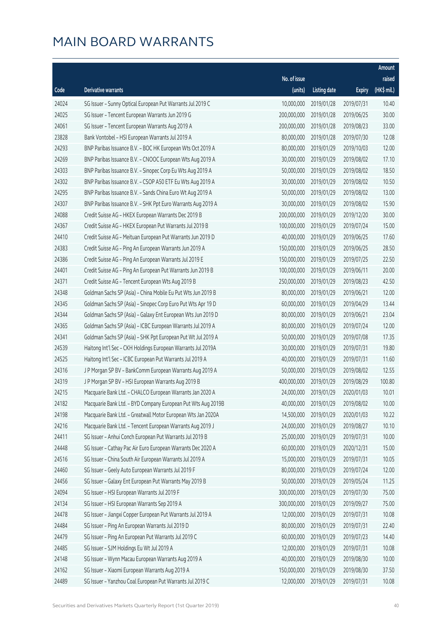|       |                                                              |              |                       |               | Amount      |
|-------|--------------------------------------------------------------|--------------|-----------------------|---------------|-------------|
|       |                                                              | No. of issue |                       |               | raised      |
| Code  | Derivative warrants                                          | (units)      | <b>Listing date</b>   | <b>Expiry</b> | (HK\$ mil.) |
| 24024 | SG Issuer - Sunny Optical European Put Warrants Jul 2019 C   | 10,000,000   | 2019/01/28            | 2019/07/31    | 10.40       |
| 24025 | SG Issuer - Tencent European Warrants Jun 2019 G             | 200,000,000  | 2019/01/28            | 2019/06/25    | 30.00       |
| 24061 | SG Issuer - Tencent European Warrants Aug 2019 A             | 200,000,000  | 2019/01/28            | 2019/08/23    | 33.00       |
| 23828 | Bank Vontobel - HSI European Warrants Jul 2019 A             | 80,000,000   | 2019/01/28            | 2019/07/30    | 12.08       |
| 24293 | BNP Paribas Issuance B.V. - BOC HK European Wts Oct 2019 A   | 80,000,000   | 2019/01/29            | 2019/10/03    | 12.00       |
| 24269 | BNP Paribas Issuance B.V. - CNOOC European Wts Aug 2019 A    | 30,000,000   | 2019/01/29            | 2019/08/02    | 17.10       |
| 24303 | BNP Paribas Issuance B.V. - Sinopec Corp Eu Wts Aug 2019 A   | 50,000,000   | 2019/01/29            | 2019/08/02    | 18.50       |
| 24302 | BNP Paribas Issuance B.V. - CSOP A50 ETF Eu Wts Aug 2019 A   | 30,000,000   | 2019/01/29            | 2019/08/02    | 10.50       |
| 24295 | BNP Paribas Issuance B.V. - Sands China Euro Wt Aug 2019 A   | 50,000,000   | 2019/01/29            | 2019/08/02    | 13.00       |
| 24307 | BNP Paribas Issuance B.V. - SHK Ppt Euro Warrants Aug 2019 A | 30,000,000   | 2019/01/29            | 2019/08/02    | 15.90       |
| 24088 | Credit Suisse AG - HKEX European Warrants Dec 2019 B         | 200,000,000  | 2019/01/29            | 2019/12/20    | 30.00       |
| 24367 | Credit Suisse AG - HKEX European Put Warrants Jul 2019 B     | 100,000,000  | 2019/01/29            | 2019/07/24    | 15.00       |
| 24410 | Credit Suisse AG - Meituan European Put Warrants Jun 2019 D  | 40,000,000   | 2019/01/29            | 2019/06/25    | 17.60       |
| 24383 | Credit Suisse AG - Ping An European Warrants Jun 2019 A      | 150,000,000  | 2019/01/29            | 2019/06/25    | 28.50       |
| 24386 | Credit Suisse AG - Ping An European Warrants Jul 2019 E      | 150,000,000  | 2019/01/29            | 2019/07/25    | 22.50       |
| 24401 | Credit Suisse AG - Ping An European Put Warrants Jun 2019 B  | 100,000,000  | 2019/01/29            | 2019/06/11    | 20.00       |
| 24371 | Credit Suisse AG - Tencent European Wts Aug 2019 B           | 250,000,000  | 2019/01/29            | 2019/08/23    | 42.50       |
| 24348 | Goldman Sachs SP (Asia) - China Mobile Eu Put Wts Jun 2019 B | 80,000,000   | 2019/01/29            | 2019/06/21    | 12.00       |
| 24345 | Goldman Sachs SP (Asia) - Sinopec Corp Euro Put Wts Apr 19 D | 60,000,000   | 2019/01/29            | 2019/04/29    | 13.44       |
| 24344 | Goldman Sachs SP (Asia) - Galaxy Ent European Wts Jun 2019 D | 80,000,000   | 2019/01/29            | 2019/06/21    | 23.04       |
| 24365 | Goldman Sachs SP (Asia) - ICBC European Warrants Jul 2019 A  | 80,000,000   | 2019/01/29            | 2019/07/24    | 12.00       |
| 24341 | Goldman Sachs SP (Asia) - SHK Ppt European Put Wt Jul 2019 A | 50,000,000   | 2019/01/29            | 2019/07/08    | 17.35       |
| 24539 | Haitong Int'l Sec - CKH Holdings European Warrants Jul 2019A | 30,000,000   | 2019/01/29            | 2019/07/31    | 19.80       |
| 24525 | Haitong Int'l Sec - ICBC European Put Warrants Jul 2019 A    | 40,000,000   | 2019/01/29            | 2019/07/31    | 11.60       |
| 24316 | J P Morgan SP BV - BankComm European Warrants Aug 2019 A     | 50,000,000   | 2019/01/29            | 2019/08/02    | 12.55       |
| 24319 | J P Morgan SP BV - HSI European Warrants Aug 2019 B          | 400,000,000  | 2019/01/29            | 2019/08/29    | 100.80      |
| 24215 | Macquarie Bank Ltd. - CHALCO European Warrants Jan 2020 A    |              | 24,000,000 2019/01/29 | 2020/01/03    | 10.01       |
| 24182 | Macquarie Bank Ltd. - BYD Company European Put Wts Aug 2019B | 40,000,000   | 2019/01/29            | 2019/08/02    | 10.00       |
| 24198 | Macquarie Bank Ltd. - Greatwall Motor European Wts Jan 2020A | 14,500,000   | 2019/01/29            | 2020/01/03    | 10.22       |
| 24216 | Macquarie Bank Ltd. - Tencent European Warrants Aug 2019 J   | 24,000,000   | 2019/01/29            | 2019/08/27    | 10.10       |
| 24411 | SG Issuer - Anhui Conch European Put Warrants Jul 2019 B     | 25,000,000   | 2019/01/29            | 2019/07/31    | 10.00       |
| 24448 | SG Issuer - Cathay Pac Air Euro European Warrants Dec 2020 A | 60,000,000   | 2019/01/29            | 2020/12/31    | 15.00       |
| 24516 | SG Issuer - China South Air European Warrants Jul 2019 A     | 15,000,000   | 2019/01/29            | 2019/07/31    | 10.05       |
| 24460 | SG Issuer - Geely Auto European Warrants Jul 2019 F          | 80,000,000   | 2019/01/29            | 2019/07/24    | 12.00       |
| 24456 | SG Issuer - Galaxy Ent European Put Warrants May 2019 B      | 50,000,000   | 2019/01/29            | 2019/05/24    | 11.25       |
| 24094 | SG Issuer - HSI European Warrants Jul 2019 F                 | 300,000,000  | 2019/01/29            | 2019/07/30    | 75.00       |
| 24134 | SG Issuer - HSI European Warrants Sep 2019 A                 | 300,000,000  | 2019/01/29            | 2019/09/27    | 75.00       |
| 24478 | SG Issuer - Jiangxi Copper European Put Warrants Jul 2019 A  | 12,000,000   | 2019/01/29            | 2019/07/31    | 10.08       |
| 24484 | SG Issuer - Ping An European Warrants Jul 2019 D             | 80,000,000   | 2019/01/29            | 2019/07/31    | 22.40       |
| 24479 | SG Issuer - Ping An European Put Warrants Jul 2019 C         | 60,000,000   | 2019/01/29            | 2019/07/23    | 14.40       |
| 24485 | SG Issuer - SJM Holdings Eu Wt Jul 2019 A                    | 12,000,000   | 2019/01/29            | 2019/07/31    | 10.08       |
| 24148 | SG Issuer - Wynn Macau European Warrants Aug 2019 A          | 40,000,000   | 2019/01/29            | 2019/08/30    | 10.00       |
| 24162 | SG Issuer - Xiaomi European Warrants Aug 2019 A              | 150,000,000  | 2019/01/29            | 2019/08/30    | 37.50       |
| 24489 | SG Issuer - Yanzhou Coal European Put Warrants Jul 2019 C    | 12,000,000   | 2019/01/29            | 2019/07/31    | 10.08       |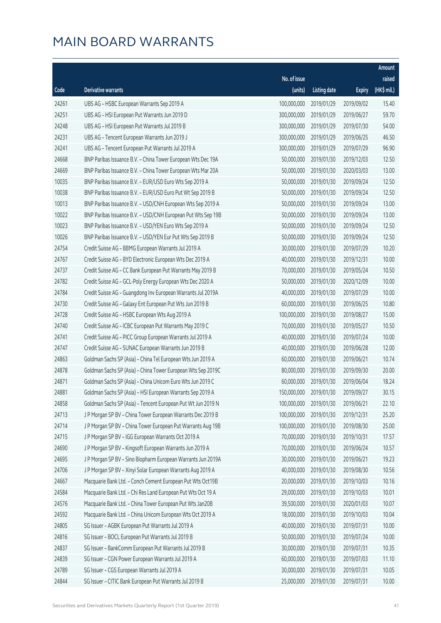|       |                                                              |              |                        |               | Amount      |
|-------|--------------------------------------------------------------|--------------|------------------------|---------------|-------------|
|       |                                                              | No. of issue |                        |               | raised      |
| Code  | Derivative warrants                                          | (units)      | <b>Listing date</b>    | <b>Expiry</b> | (HK\$ mil.) |
| 24261 | UBS AG - HSBC European Warrants Sep 2019 A                   | 100,000,000  | 2019/01/29             | 2019/09/02    | 15.40       |
| 24251 | UBS AG - HSI European Put Warrants Jun 2019 D                | 300,000,000  | 2019/01/29             | 2019/06/27    | 59.70       |
| 24248 | UBS AG - HSI European Put Warrants Jul 2019 B                | 300,000,000  | 2019/01/29             | 2019/07/30    | 54.00       |
| 24231 | UBS AG - Tencent European Warrants Jun 2019 J                | 300,000,000  | 2019/01/29             | 2019/06/25    | 46.50       |
| 24241 | UBS AG - Tencent European Put Warrants Jul 2019 A            | 300,000,000  | 2019/01/29             | 2019/07/29    | 96.90       |
| 24668 | BNP Paribas Issuance B.V. - China Tower European Wts Dec 19A | 50,000,000   | 2019/01/30             | 2019/12/03    | 12.50       |
| 24669 | BNP Paribas Issuance B.V. - China Tower European Wts Mar 20A | 50,000,000   | 2019/01/30             | 2020/03/03    | 13.00       |
| 10035 | BNP Paribas Issuance B.V. - EUR/USD Euro Wts Sep 2019 A      | 50,000,000   | 2019/01/30             | 2019/09/24    | 12.50       |
| 10038 | BNP Paribas Issuance B.V. - EUR/USD Euro Put Wt Sep 2019 B   | 50,000,000   | 2019/01/30             | 2019/09/24    | 12.50       |
| 10013 | BNP Paribas Issuance B.V. - USD/CNH European Wts Sep 2019 A  | 50,000,000   | 2019/01/30             | 2019/09/24    | 13.00       |
| 10022 | BNP Paribas Issuance B.V. - USD/CNH European Put Wts Sep 19B | 50,000,000   | 2019/01/30             | 2019/09/24    | 13.00       |
| 10023 | BNP Paribas Issuance B.V. - USD/YEN Euro Wts Sep 2019 A      | 50,000,000   | 2019/01/30             | 2019/09/24    | 12.50       |
| 10026 | BNP Paribas Issuance B.V. - USD/YEN Eur Put Wts Sep 2019 B   | 50,000,000   | 2019/01/30             | 2019/09/24    | 12.50       |
| 24754 | Credit Suisse AG - BBMG European Warrants Jul 2019 A         | 30,000,000   | 2019/01/30             | 2019/07/29    | 10.20       |
| 24767 | Credit Suisse AG - BYD Electronic European Wts Dec 2019 A    | 40,000,000   | 2019/01/30             | 2019/12/31    | 10.00       |
| 24737 | Credit Suisse AG - CC Bank European Put Warrants May 2019 B  | 70,000,000   | 2019/01/30             | 2019/05/24    | 10.50       |
| 24782 | Credit Suisse AG - GCL-Poly Energy European Wts Dec 2020 A   | 50,000,000   | 2019/01/30             | 2020/12/09    | 10.00       |
| 24784 | Credit Suisse AG - Guangdong Inv European Warrants Jul 2019A | 40,000,000   | 2019/01/30             | 2019/07/29    | 10.00       |
| 24730 | Credit Suisse AG - Galaxy Ent European Put Wts Jun 2019 B    | 60,000,000   | 2019/01/30             | 2019/06/25    | 10.80       |
| 24728 | Credit Suisse AG - HSBC European Wts Aug 2019 A              | 100,000,000  | 2019/01/30             | 2019/08/27    | 15.00       |
| 24740 | Credit Suisse AG - ICBC European Put Warrants May 2019 C     | 70,000,000   | 2019/01/30             | 2019/05/27    | 10.50       |
| 24741 | Credit Suisse AG - PICC Group European Warrants Jul 2019 A   | 40,000,000   | 2019/01/30             | 2019/07/24    | 10.00       |
| 24747 | Credit Suisse AG - SUNAC European Warrants Jun 2019 B        | 40,000,000   | 2019/01/30             | 2019/06/28    | 12.00       |
| 24863 | Goldman Sachs SP (Asia) - China Tel European Wts Jun 2019 A  | 60,000,000   | 2019/01/30             | 2019/06/21    | 10.74       |
| 24878 | Goldman Sachs SP (Asia) - China Tower European Wts Sep 2019C | 80,000,000   | 2019/01/30             | 2019/09/30    | 20.00       |
| 24871 | Goldman Sachs SP (Asia) - China Unicom Euro Wts Jun 2019 C   | 60,000,000   | 2019/01/30             | 2019/06/04    | 18.24       |
| 24881 | Goldman Sachs SP (Asia) - HSI European Warrants Sep 2019 A   |              | 150,000,000 2019/01/30 | 2019/09/27    | 30.15       |
| 24858 | Goldman Sachs SP (Asia) - Tencent European Put Wt Jun 2019 N | 100,000,000  | 2019/01/30             | 2019/06/21    | 22.10       |
| 24713 | J P Morgan SP BV - China Tower European Warrants Dec 2019 B  | 100,000,000  | 2019/01/30             | 2019/12/31    | 25.20       |
| 24714 | J P Morgan SP BV - China Tower European Put Warrants Aug 19B | 100,000,000  | 2019/01/30             | 2019/08/30    | 25.00       |
| 24715 | J P Morgan SP BV - IGG European Warrants Oct 2019 A          | 70,000,000   | 2019/01/30             | 2019/10/31    | 17.57       |
| 24690 | J P Morgan SP BV - Kingsoft European Warrants Jun 2019 A     | 70,000,000   | 2019/01/30             | 2019/06/24    | 10.57       |
| 24695 | J P Morgan SP BV - Sino Biopharm European Warrants Jun 2019A | 30,000,000   | 2019/01/30             | 2019/06/21    | 19.23       |
| 24706 | J P Morgan SP BV - Xinyi Solar European Warrants Aug 2019 A  | 40,000,000   | 2019/01/30             | 2019/08/30    | 10.56       |
| 24667 | Macquarie Bank Ltd. - Conch Cement European Put Wts Oct19B   | 20,000,000   | 2019/01/30             | 2019/10/03    | 10.16       |
| 24584 | Macquarie Bank Ltd. - Chi Res Land European Put Wts Oct 19 A | 29,000,000   | 2019/01/30             | 2019/10/03    | 10.01       |
| 24576 | Macquarie Bank Ltd. - China Tower European Put Wts Jan20B    | 39,500,000   | 2019/01/30             | 2020/01/03    | 10.07       |
| 24592 | Macquarie Bank Ltd. - China Unicom European Wts Oct 2019 A   | 18,000,000   | 2019/01/30             | 2019/10/03    | 10.04       |
| 24805 | SG Issuer - AGBK European Put Warrants Jul 2019 A            | 40,000,000   | 2019/01/30             | 2019/07/31    | 10.00       |
| 24816 | SG Issuer - BOCL European Put Warrants Jul 2019 B            | 50,000,000   | 2019/01/30             | 2019/07/24    | 10.00       |
| 24837 | SG Issuer - BankComm European Put Warrants Jul 2019 B        | 30,000,000   | 2019/01/30             | 2019/07/31    | 10.35       |
| 24839 | SG Issuer - CGN Power European Warrants Jul 2019 A           | 60,000,000   | 2019/01/30             | 2019/07/03    | 11.10       |
| 24789 | SG Issuer - CGS European Warrants Jul 2019 A                 | 30,000,000   | 2019/01/30             | 2019/07/31    | 10.05       |
| 24844 | SG Issuer - CITIC Bank European Put Warrants Jul 2019 B      | 25,000,000   | 2019/01/30             | 2019/07/31    | 10.00       |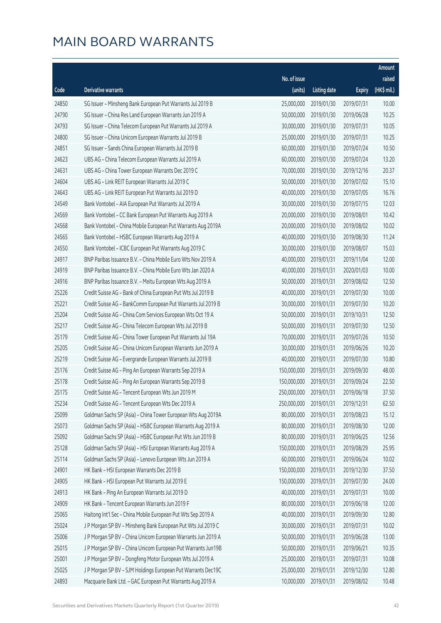|       |                                                              |                        |                     |               | Amount      |
|-------|--------------------------------------------------------------|------------------------|---------------------|---------------|-------------|
|       |                                                              | No. of issue           |                     |               | raised      |
| Code  | Derivative warrants                                          | (units)                | <b>Listing date</b> | <b>Expiry</b> | (HK\$ mil.) |
| 24850 | SG Issuer - Minsheng Bank European Put Warrants Jul 2019 B   | 25,000,000             | 2019/01/30          | 2019/07/31    | 10.00       |
| 24790 | SG Issuer - China Res Land European Warrants Jun 2019 A      | 50,000,000             | 2019/01/30          | 2019/06/28    | 10.25       |
| 24793 | SG Issuer - China Telecom European Put Warrants Jul 2019 A   | 30,000,000             | 2019/01/30          | 2019/07/31    | 10.05       |
| 24800 | SG Issuer - China Unicom European Warrants Jul 2019 B        | 25,000,000             | 2019/01/30          | 2019/07/31    | 10.25       |
| 24851 | SG Issuer - Sands China European Warrants Jul 2019 B         | 60,000,000             | 2019/01/30          | 2019/07/24    | 10.50       |
| 24623 | UBS AG - China Telecom European Warrants Jul 2019 A          | 60,000,000             | 2019/01/30          | 2019/07/24    | 13.20       |
| 24631 | UBS AG - China Tower European Warrants Dec 2019 C            | 70,000,000             | 2019/01/30          | 2019/12/16    | 20.37       |
| 24604 | UBS AG - Link REIT European Warrants Jul 2019 C              | 50,000,000             | 2019/01/30          | 2019/07/02    | 15.10       |
| 24643 | UBS AG - Link REIT European Put Warrants Jul 2019 D          | 40,000,000             | 2019/01/30          | 2019/07/05    | 16.76       |
| 24549 | Bank Vontobel - AIA European Put Warrants Jul 2019 A         | 30,000,000             | 2019/01/30          | 2019/07/15    | 12.03       |
| 24569 | Bank Vontobel - CC Bank European Put Warrants Aug 2019 A     | 20,000,000             | 2019/01/30          | 2019/08/01    | 10.42       |
| 24568 | Bank Vontobel - China Mobile European Put Warrants Aug 2019A | 20,000,000             | 2019/01/30          | 2019/08/02    | 10.02       |
| 24565 | Bank Vontobel - HSBC European Warrants Aug 2019 A            | 40,000,000             | 2019/01/30          | 2019/08/30    | 11.24       |
| 24550 | Bank Vontobel - ICBC European Put Warrants Aug 2019 C        | 30,000,000             | 2019/01/30          | 2019/08/07    | 15.03       |
| 24917 | BNP Paribas Issuance B.V. - China Mobile Euro Wts Nov 2019 A | 40,000,000             | 2019/01/31          | 2019/11/04    | 12.00       |
| 24919 | BNP Paribas Issuance B.V. - China Mobile Euro Wts Jan 2020 A | 40,000,000             | 2019/01/31          | 2020/01/03    | 10.00       |
| 24916 | BNP Paribas Issuance B.V. - Meitu European Wts Aug 2019 A    | 50,000,000             | 2019/01/31          | 2019/08/02    | 12.50       |
| 25226 | Credit Suisse AG - Bank of China European Put Wts Jul 2019 B | 40,000,000             | 2019/01/31          | 2019/07/30    | 10.00       |
| 25221 | Credit Suisse AG - BankComm European Put Warrants Jul 2019 B | 30,000,000             | 2019/01/31          | 2019/07/30    | 10.20       |
| 25204 | Credit Suisse AG - China Com Services European Wts Oct 19 A  | 50,000,000             | 2019/01/31          | 2019/10/31    | 12.50       |
| 25217 | Credit Suisse AG - China Telecom European Wts Jul 2019 B     | 50,000,000             | 2019/01/31          | 2019/07/30    | 12.50       |
| 25179 | Credit Suisse AG - China Tower European Put Warrants Jul 19A | 70,000,000             | 2019/01/31          | 2019/07/26    | 10.50       |
| 25205 | Credit Suisse AG - China Unicom European Warrants Jun 2019 A | 30,000,000             | 2019/01/31          | 2019/06/26    | 10.20       |
| 25219 | Credit Suisse AG - Evergrande European Warrants Jul 2019 B   | 40,000,000             | 2019/01/31          | 2019/07/30    | 10.80       |
| 25176 | Credit Suisse AG - Ping An European Warrants Sep 2019 A      | 150,000,000            | 2019/01/31          | 2019/09/30    | 48.00       |
| 25178 | Credit Suisse AG - Ping An European Warrants Sep 2019 B      | 150,000,000            | 2019/01/31          | 2019/09/24    | 22.50       |
| 25175 | Credit Suisse AG - Tencent European Wts Jun 2019 M           | 250,000,000 2019/01/31 |                     | 2019/06/18    | 37.50       |
| 25234 | Credit Suisse AG - Tencent European Wts Dec 2019 A           | 250,000,000            | 2019/01/31          | 2019/12/31    | 62.50       |
| 25099 | Goldman Sachs SP (Asia) - China Tower European Wts Aug 2019A | 80,000,000             | 2019/01/31          | 2019/08/23    | 15.12       |
| 25073 | Goldman Sachs SP (Asia) - HSBC European Warrants Aug 2019 A  | 80,000,000             | 2019/01/31          | 2019/08/30    | 12.00       |
| 25092 | Goldman Sachs SP (Asia) - HSBC European Put Wts Jun 2019 B   | 80,000,000             | 2019/01/31          | 2019/06/25    | 12.56       |
| 25128 | Goldman Sachs SP (Asia) - HSI European Warrants Aug 2019 A   | 150,000,000            | 2019/01/31          | 2019/08/29    | 25.95       |
| 25114 | Goldman Sachs SP (Asia) - Lenovo European Wts Jun 2019 A     | 60,000,000             | 2019/01/31          | 2019/06/24    | 10.02       |
| 24901 | HK Bank - HSI European Warrants Dec 2019 B                   | 150,000,000            | 2019/01/31          | 2019/12/30    | 37.50       |
| 24905 | HK Bank - HSI European Put Warrants Jul 2019 E               | 150,000,000            | 2019/01/31          | 2019/07/30    | 24.00       |
| 24913 | HK Bank - Ping An European Warrants Jul 2019 D               | 40,000,000             | 2019/01/31          | 2019/07/31    | 10.00       |
| 24909 | HK Bank - Tencent European Warrants Jun 2019 F               | 80,000,000             | 2019/01/31          | 2019/06/18    | 12.00       |
| 25065 | Haitong Int'l Sec - China Mobile European Put Wts Sep 2019 A | 40,000,000             | 2019/01/31          | 2019/09/30    | 12.80       |
| 25024 | J P Morgan SP BV - Minsheng Bank European Put Wts Jul 2019 C | 30,000,000             | 2019/01/31          | 2019/07/31    | 10.02       |
| 25006 | J P Morgan SP BV - China Unicom European Warrants Jun 2019 A | 50,000,000             | 2019/01/31          | 2019/06/28    | 13.00       |
| 25015 | J P Morgan SP BV - China Unicom European Put Warrants Jun19B | 50,000,000             | 2019/01/31          | 2019/06/21    | 10.35       |
| 25001 | J P Morgan SP BV - Dongfeng Motor European Wts Jul 2019 A    | 25,000,000             | 2019/01/31          | 2019/07/31    | 10.08       |
| 25025 | J P Morgan SP BV - SJM Holdings European Put Warrants Dec19C | 25,000,000             | 2019/01/31          | 2019/12/30    | 12.80       |
| 24893 | Macquarie Bank Ltd. - GAC European Put Warrants Aug 2019 A   | 10,000,000             | 2019/01/31          | 2019/08/02    | 10.48       |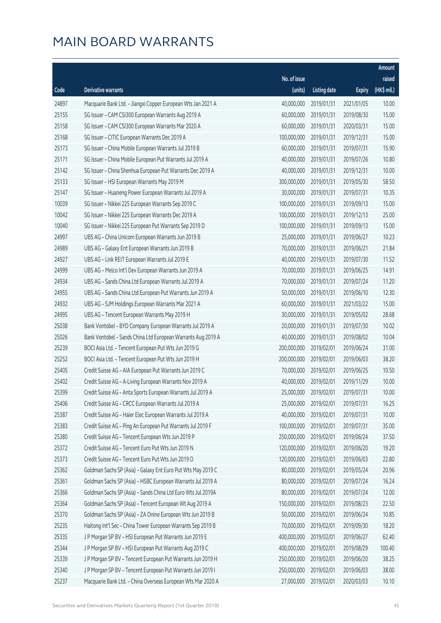|       |                                                              |              |                       |               | Amount      |
|-------|--------------------------------------------------------------|--------------|-----------------------|---------------|-------------|
|       |                                                              | No. of issue |                       |               | raised      |
| Code  | Derivative warrants                                          | (units)      | <b>Listing date</b>   | <b>Expiry</b> | (HK\$ mil.) |
| 24897 | Macquarie Bank Ltd. - Jiangxi Copper European Wts Jan 2021 A | 40,000,000   | 2019/01/31            | 2021/01/05    | 10.00       |
| 25155 | SG Issuer - CAM CSI300 European Warrants Aug 2019 A          | 60,000,000   | 2019/01/31            | 2019/08/30    | 15.00       |
| 25158 | SG Issuer - CAM CSI300 European Warrants Mar 2020 A          | 60,000,000   | 2019/01/31            | 2020/03/31    | 15.00       |
| 25168 | SG Issuer - CITIC European Warrants Dec 2019 A               | 100,000,000  | 2019/01/31            | 2019/12/31    | 15.00       |
| 25173 | SG Issuer - China Mobile European Warrants Jul 2019 B        | 60,000,000   | 2019/01/31            | 2019/07/31    | 15.90       |
| 25171 | SG Issuer - China Mobile European Put Warrants Jul 2019 A    | 40,000,000   | 2019/01/31            | 2019/07/26    | 10.80       |
| 25142 | SG Issuer - China Shenhua European Put Warrants Dec 2019 A   | 40,000,000   | 2019/01/31            | 2019/12/31    | 10.00       |
| 25133 | SG Issuer - HSI European Warrants May 2019 M                 | 300,000,000  | 2019/01/31            | 2019/05/30    | 58.50       |
| 25147 | SG Issuer - Huaneng Power European Warrants Jul 2019 A       | 30,000,000   | 2019/01/31            | 2019/07/31    | 10.35       |
| 10039 | SG Issuer - Nikkei 225 European Warrants Sep 2019 C          | 100,000,000  | 2019/01/31            | 2019/09/13    | 15.00       |
| 10042 | SG Issuer - Nikkei 225 European Warrants Dec 2019 A          | 100,000,000  | 2019/01/31            | 2019/12/13    | 25.00       |
| 10040 | SG Issuer - Nikkei 225 European Put Warrants Sep 2019 D      | 100,000,000  | 2019/01/31            | 2019/09/13    | 15.00       |
| 24997 | UBS AG - China Unicom European Warrants Jun 2019 B           | 25,000,000   | 2019/01/31            | 2019/06/27    | 10.23       |
| 24989 | UBS AG - Galaxy Ent European Warrants Jun 2019 B             | 70,000,000   | 2019/01/31            | 2019/06/21    | 21.84       |
| 24927 | UBS AG - Link REIT European Warrants Jul 2019 E              | 40,000,000   | 2019/01/31            | 2019/07/30    | 11.52       |
| 24999 | UBS AG - Melco Int'l Dev European Warrants Jun 2019 A        | 70,000,000   | 2019/01/31            | 2019/06/25    | 14.91       |
| 24934 | UBS AG - Sands China Ltd European Warrants Jul 2019 A        | 70,000,000   | 2019/01/31            | 2019/07/24    | 11.20       |
| 24955 | UBS AG - Sands China Ltd European Put Warrants Jun 2019 A    | 50,000,000   | 2019/01/31            | 2019/06/10    | 12.30       |
| 24932 | UBS AG - SJM Holdings European Warrants Mar 2021 A           | 60,000,000   | 2019/01/31            | 2021/03/22    | 15.00       |
| 24995 | UBS AG - Tencent European Warrants May 2019 H                | 30,000,000   | 2019/01/31            | 2019/05/02    | 28.68       |
| 25038 | Bank Vontobel - BYD Company European Warrants Jul 2019 A     | 20,000,000   | 2019/01/31            | 2019/07/30    | 10.02       |
| 25026 | Bank Vontobel - Sands China Ltd European Warrants Aug 2019 A | 40,000,000   | 2019/01/31            | 2019/08/02    | 10.04       |
| 25239 | BOCI Asia Ltd. - Tencent European Put Wts Jun 2019 G         | 200,000,000  | 2019/02/01            | 2019/06/24    | 31.00       |
| 25252 | BOCI Asia Ltd. - Tencent European Put Wts Jun 2019 H         | 200,000,000  | 2019/02/01            | 2019/06/03    | 38.20       |
| 25405 | Credit Suisse AG - AIA European Put Warrants Jun 2019 C      | 70,000,000   | 2019/02/01            | 2019/06/25    | 10.50       |
| 25402 | Credit Suisse AG - A-Living European Warrants Nov 2019 A     | 40,000,000   | 2019/02/01            | 2019/11/29    | 10.00       |
| 25399 | Credit Suisse AG - Anta Sports European Warrants Jul 2019 A  |              | 25,000,000 2019/02/01 | 2019/07/31    | 10.00       |
| 25406 | Credit Suisse AG - CRCC European Warrants Jul 2019 A         | 25,000,000   | 2019/02/01            | 2019/07/31    | 16.25       |
| 25387 | Credit Suisse AG - Haier Elec European Warrants Jul 2019 A   | 40,000,000   | 2019/02/01            | 2019/07/31    | 10.00       |
| 25383 | Credit Suisse AG - Ping An European Put Warrants Jul 2019 F  | 100,000,000  | 2019/02/01            | 2019/07/31    | 35.00       |
| 25380 | Credit Suisse AG - Tencent European Wts Jun 2019 P           | 250,000,000  | 2019/02/01            | 2019/06/24    | 37.50       |
| 25372 | Credit Suisse AG - Tencent Euro Put Wts Jun 2019 N           | 120,000,000  | 2019/02/01            | 2019/06/20    | 19.20       |
| 25373 | Credit Suisse AG - Tencent Euro Put Wts Jun 2019 O           | 120,000,000  | 2019/02/01            | 2019/06/03    | 22.80       |
| 25362 | Goldman Sachs SP (Asia) - Galaxy Ent Euro Put Wts May 2019 C | 80,000,000   | 2019/02/01            | 2019/05/24    | 20.96       |
| 25361 | Goldman Sachs SP (Asia) - HSBC European Warrants Jul 2019 A  | 80,000,000   | 2019/02/01            | 2019/07/24    | 16.24       |
| 25366 | Goldman Sachs SP (Asia) - Sands China Ltd Euro Wts Jul 2019A | 80,000,000   | 2019/02/01            | 2019/07/24    | 12.00       |
| 25364 | Goldman Sachs SP (Asia) - Tencent European Wt Aug 2019 A     | 150,000,000  | 2019/02/01            | 2019/08/23    | 22.50       |
| 25370 | Goldman Sachs SP (Asia) - ZA Onine European Wts Jun 2019 B   | 50,000,000   | 2019/02/01            | 2019/06/24    | 10.85       |
| 25235 | Haitong Int'l Sec - China Tower European Warrants Sep 2019 B | 70,000,000   | 2019/02/01            | 2019/09/30    | 18.20       |
| 25335 | J P Morgan SP BV - HSI European Put Warrants Jun 2019 E      | 400,000,000  | 2019/02/01            | 2019/06/27    | 62.40       |
| 25344 | J P Morgan SP BV - HSI European Put Warrants Aug 2019 C      | 400,000,000  | 2019/02/01            | 2019/08/29    | 100.40      |
| 25339 | J P Morgan SP BV - Tencent European Put Warrants Jun 2019 H  | 250,000,000  | 2019/02/01            | 2019/06/20    | 38.25       |
| 25340 | J P Morgan SP BV - Tencent European Put Warrants Jun 2019 I  | 250,000,000  | 2019/02/01            | 2019/06/03    | 38.00       |
| 25237 | Macquarie Bank Ltd. - China Overseas European Wts Mar 2020 A | 27,000,000   | 2019/02/01            | 2020/03/03    | 10.10       |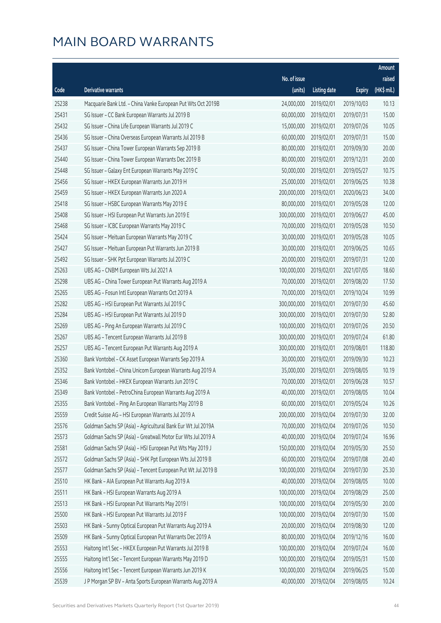|       |                                                              |              |                       |               | Amount      |
|-------|--------------------------------------------------------------|--------------|-----------------------|---------------|-------------|
|       |                                                              | No. of issue |                       |               | raised      |
| Code  | Derivative warrants                                          | (units)      | <b>Listing date</b>   | <b>Expiry</b> | (HK\$ mil.) |
| 25238 | Macquarie Bank Ltd. - China Vanke European Put Wts Oct 2019B | 24,000,000   | 2019/02/01            | 2019/10/03    | 10.13       |
| 25431 | SG Issuer - CC Bank European Warrants Jul 2019 B             | 60,000,000   | 2019/02/01            | 2019/07/31    | 15.00       |
| 25432 | SG Issuer - China Life European Warrants Jul 2019 C          | 15,000,000   | 2019/02/01            | 2019/07/26    | 10.05       |
| 25436 | SG Issuer - China Overseas European Warrants Jul 2019 B      | 60,000,000   | 2019/02/01            | 2019/07/31    | 15.00       |
| 25437 | SG Issuer - China Tower European Warrants Sep 2019 B         | 80,000,000   | 2019/02/01            | 2019/09/30    | 20.00       |
| 25440 | SG Issuer - China Tower European Warrants Dec 2019 B         | 80,000,000   | 2019/02/01            | 2019/12/31    | 20.00       |
| 25448 | SG Issuer - Galaxy Ent European Warrants May 2019 C          | 50,000,000   | 2019/02/01            | 2019/05/27    | 10.75       |
| 25456 | SG Issuer - HKEX European Warrants Jun 2019 H                | 25,000,000   | 2019/02/01            | 2019/06/25    | 10.38       |
| 25459 | SG Issuer - HKEX European Warrants Jun 2020 A                | 200,000,000  | 2019/02/01            | 2020/06/23    | 34.00       |
| 25418 | SG Issuer - HSBC European Warrants May 2019 E                | 80,000,000   | 2019/02/01            | 2019/05/28    | 12.00       |
| 25408 | SG Issuer - HSI European Put Warrants Jun 2019 E             | 300,000,000  | 2019/02/01            | 2019/06/27    | 45.00       |
| 25468 | SG Issuer - ICBC European Warrants May 2019 C                | 70,000,000   | 2019/02/01            | 2019/05/28    | 10.50       |
| 25424 | SG Issuer - Meituan European Warrants May 2019 C             | 30,000,000   | 2019/02/01            | 2019/05/28    | 10.05       |
| 25427 | SG Issuer - Meituan European Put Warrants Jun 2019 B         | 30,000,000   | 2019/02/01            | 2019/06/25    | 10.65       |
| 25492 | SG Issuer - SHK Ppt European Warrants Jul 2019 C             | 20,000,000   | 2019/02/01            | 2019/07/31    | 12.00       |
| 25263 | UBS AG - CNBM European Wts Jul 2021 A                        | 100,000,000  | 2019/02/01            | 2021/07/05    | 18.60       |
| 25298 | UBS AG - China Tower European Put Warrants Aug 2019 A        | 70,000,000   | 2019/02/01            | 2019/08/20    | 17.50       |
| 25265 | UBS AG - Fosun Intl European Warrants Oct 2019 A             | 70,000,000   | 2019/02/01            | 2019/10/24    | 10.99       |
| 25282 | UBS AG - HSI European Put Warrants Jul 2019 C                | 300,000,000  | 2019/02/01            | 2019/07/30    | 45.60       |
| 25284 | UBS AG - HSI European Put Warrants Jul 2019 D                | 300,000,000  | 2019/02/01            | 2019/07/30    | 52.80       |
| 25269 | UBS AG - Ping An European Warrants Jul 2019 C                | 100,000,000  | 2019/02/01            | 2019/07/26    | 20.50       |
| 25267 | UBS AG - Tencent European Warrants Jul 2019 B                | 300,000,000  | 2019/02/01            | 2019/07/24    | 61.80       |
| 25257 | UBS AG - Tencent European Put Warrants Aug 2019 A            | 300,000,000  | 2019/02/01            | 2019/08/01    | 118.80      |
| 25360 | Bank Vontobel - CK Asset European Warrants Sep 2019 A        | 30,000,000   | 2019/02/01            | 2019/09/30    | 10.23       |
| 25352 | Bank Vontobel - China Unicom European Warrants Aug 2019 A    | 35,000,000   | 2019/02/01            | 2019/08/05    | 10.19       |
| 25346 | Bank Vontobel - HKEX European Warrants Jun 2019 C            | 70,000,000   | 2019/02/01            | 2019/06/28    | 10.57       |
| 25349 | Bank Vontobel - PetroChina European Warrants Aug 2019 A      |              | 40,000,000 2019/02/01 | 2019/08/05    | 10.04       |
| 25355 | Bank Vontobel - Ping An European Warrants May 2019 B         | 60,000,000   | 2019/02/01            | 2019/05/24    | 10.26       |
| 25559 | Credit Suisse AG - HSI European Warrants Jul 2019 A          | 200,000,000  | 2019/02/04            | 2019/07/30    | 32.00       |
| 25576 | Goldman Sachs SP (Asia) - Agricultural Bank Eur Wt Jul 2019A | 70,000,000   | 2019/02/04            | 2019/07/26    | 10.50       |
| 25573 | Goldman Sachs SP (Asia) - Greatwall Motor Eur Wts Jul 2019 A | 40,000,000   | 2019/02/04            | 2019/07/24    | 16.96       |
| 25581 | Goldman Sachs SP (Asia) - HSI European Put Wts May 2019 J    | 150,000,000  | 2019/02/04            | 2019/05/30    | 25.50       |
| 25572 | Goldman Sachs SP (Asia) - SHK Ppt European Wts Jul 2019 B    | 60,000,000   | 2019/02/04            | 2019/07/08    | 20.40       |
| 25577 | Goldman Sachs SP (Asia) - Tencent European Put Wt Jul 2019 B | 100,000,000  | 2019/02/04            | 2019/07/30    | 25.30       |
| 25510 | HK Bank - AIA European Put Warrants Aug 2019 A               | 40,000,000   | 2019/02/04            | 2019/08/05    | 10.00       |
| 25511 | HK Bank - HSI European Warrants Aug 2019 A                   | 100,000,000  | 2019/02/04            | 2019/08/29    | 25.00       |
| 25513 | HK Bank - HSI European Put Warrants May 2019 I               | 100,000,000  | 2019/02/04            | 2019/05/30    | 20.00       |
| 25500 | HK Bank - HSI European Put Warrants Jul 2019 F               | 100,000,000  | 2019/02/04            | 2019/07/30    | 15.00       |
| 25503 | HK Bank - Sunny Optical European Put Warrants Aug 2019 A     | 20,000,000   | 2019/02/04            | 2019/08/30    | 12.00       |
| 25509 | HK Bank - Sunny Optical European Put Warrants Dec 2019 A     | 80,000,000   | 2019/02/04            | 2019/12/16    | 16.00       |
| 25553 | Haitong Int'l Sec - HKEX European Put Warrants Jul 2019 B    | 100,000,000  | 2019/02/04            | 2019/07/24    | 16.00       |
| 25555 | Haitong Int'l Sec - Tencent European Warrants May 2019 D     | 100,000,000  | 2019/02/04            | 2019/05/31    | 15.00       |
| 25556 | Haitong Int'l Sec - Tencent European Warrants Jun 2019 K     | 100,000,000  | 2019/02/04            | 2019/06/25    | 15.00       |
| 25539 | J P Morgan SP BV - Anta Sports European Warrants Aug 2019 A  | 40,000,000   | 2019/02/04            | 2019/08/05    | 10.24       |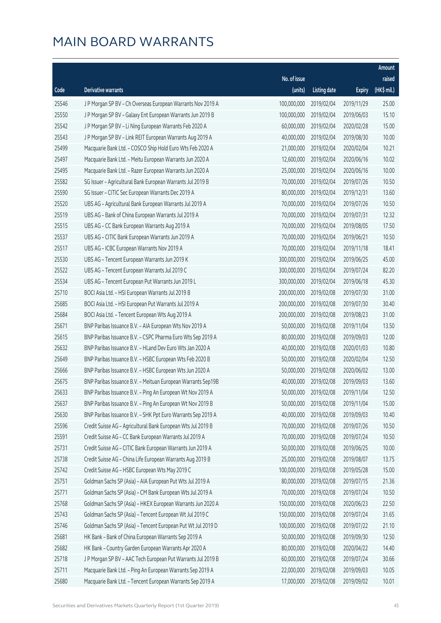|       |                                                              |              |                       |               | Amount      |
|-------|--------------------------------------------------------------|--------------|-----------------------|---------------|-------------|
|       |                                                              | No. of issue |                       |               | raised      |
| Code  | Derivative warrants                                          | (units)      | <b>Listing date</b>   | <b>Expiry</b> | (HK\$ mil.) |
| 25546 | J P Morgan SP BV - Ch Overseas European Warrants Nov 2019 A  | 100,000,000  | 2019/02/04            | 2019/11/29    | 25.00       |
| 25550 | J P Morgan SP BV - Galaxy Ent European Warrants Jun 2019 B   | 100,000,000  | 2019/02/04            | 2019/06/03    | 15.10       |
| 25542 | J P Morgan SP BV - Li Ning European Warrants Feb 2020 A      | 60,000,000   | 2019/02/04            | 2020/02/28    | 15.00       |
| 25543 | J P Morgan SP BV - Link REIT European Warrants Aug 2019 A    | 40,000,000   | 2019/02/04            | 2019/08/30    | 10.00       |
| 25499 | Macquarie Bank Ltd. - COSCO Ship Hold Euro Wts Feb 2020 A    | 21,000,000   | 2019/02/04            | 2020/02/04    | 10.21       |
| 25497 | Macquarie Bank Ltd. - Meitu European Warrants Jun 2020 A     | 12,600,000   | 2019/02/04            | 2020/06/16    | 10.02       |
| 25495 | Macquarie Bank Ltd. - Razer European Warrants Jun 2020 A     | 25,000,000   | 2019/02/04            | 2020/06/16    | 10.00       |
| 25582 | SG Issuer - Agricultural Bank European Warrants Jul 2019 B   | 70,000,000   | 2019/02/04            | 2019/07/26    | 10.50       |
| 25590 | SG Issuer - CITIC Sec European Warrants Dec 2019 A           | 80,000,000   | 2019/02/04            | 2019/12/31    | 13.60       |
| 25520 | UBS AG - Agricultural Bank European Warrants Jul 2019 A      | 70,000,000   | 2019/02/04            | 2019/07/26    | 10.50       |
| 25519 | UBS AG - Bank of China European Warrants Jul 2019 A          | 70,000,000   | 2019/02/04            | 2019/07/31    | 12.32       |
| 25515 | UBS AG - CC Bank European Warrants Aug 2019 A                | 70,000,000   | 2019/02/04            | 2019/08/05    | 17.50       |
| 25537 | UBS AG - CITIC Bank European Warrants Jun 2019 A             | 70,000,000   | 2019/02/04            | 2019/06/21    | 10.50       |
| 25517 | UBS AG - ICBC European Warrants Nov 2019 A                   | 70,000,000   | 2019/02/04            | 2019/11/18    | 18.41       |
| 25530 | UBS AG - Tencent European Warrants Jun 2019 K                | 300,000,000  | 2019/02/04            | 2019/06/25    | 45.00       |
| 25522 | UBS AG - Tencent European Warrants Jul 2019 C                | 300,000,000  | 2019/02/04            | 2019/07/24    | 82.20       |
| 25534 | UBS AG - Tencent European Put Warrants Jun 2019 L            | 300,000,000  | 2019/02/04            | 2019/06/18    | 45.30       |
| 25710 | BOCI Asia Ltd. - HSI European Warrants Jul 2019 B            | 200,000,000  | 2019/02/08            | 2019/07/30    | 31.00       |
| 25685 | BOCI Asia Ltd. - HSI European Put Warrants Jul 2019 A        | 200,000,000  | 2019/02/08            | 2019/07/30    | 30.40       |
| 25684 | BOCI Asia Ltd. - Tencent European Wts Aug 2019 A             | 200,000,000  | 2019/02/08            | 2019/08/23    | 31.00       |
| 25671 | BNP Paribas Issuance B.V. - AIA European Wts Nov 2019 A      | 50,000,000   | 2019/02/08            | 2019/11/04    | 13.50       |
| 25615 | BNP Paribas Issuance B.V. - CSPC Pharma Euro Wts Sep 2019 A  | 80,000,000   | 2019/02/08            | 2019/09/03    | 12.00       |
| 25632 | BNP Paribas Issuance B.V. - HLand Dev Euro Wts Jan 2020 A    | 40,000,000   | 2019/02/08            | 2020/01/03    | 10.80       |
| 25649 | BNP Paribas Issuance B.V. - HSBC European Wts Feb 2020 B     | 50,000,000   | 2019/02/08            | 2020/02/04    | 12.50       |
| 25666 | BNP Paribas Issuance B.V. - HSBC European Wts Jun 2020 A     | 50,000,000   | 2019/02/08            | 2020/06/02    | 13.00       |
| 25675 | BNP Paribas Issuance B.V. - Meituan European Warrants Sep19B | 40,000,000   | 2019/02/08            | 2019/09/03    | 13.60       |
| 25633 | BNP Paribas Issuance B.V. - Ping An European Wt Nov 2019 A   |              | 50,000,000 2019/02/08 | 2019/11/04    | 12.50       |
| 25637 | BNP Paribas Issuance B.V. - Ping An European Wt Nov 2019 B   | 50,000,000   | 2019/02/08            | 2019/11/04    | 15.00       |
| 25630 | BNP Paribas Issuance B.V. - SHK Ppt Euro Warrants Sep 2019 A | 40,000,000   | 2019/02/08            | 2019/09/03    | 10.40       |
| 25596 | Credit Suisse AG - Agricultural Bank European Wts Jul 2019 B | 70,000,000   | 2019/02/08            | 2019/07/26    | 10.50       |
| 25591 | Credit Suisse AG - CC Bank European Warrants Jul 2019 A      | 70,000,000   | 2019/02/08            | 2019/07/24    | 10.50       |
| 25731 | Credit Suisse AG - CITIC Bank European Warrants Jun 2019 A   | 50,000,000   | 2019/02/08            | 2019/06/25    | 10.00       |
| 25738 | Credit Suisse AG - China Life European Warrants Aug 2019 B   | 25,000,000   | 2019/02/08            | 2019/08/07    | 13.75       |
| 25742 | Credit Suisse AG - HSBC European Wts May 2019 C              | 100,000,000  | 2019/02/08            | 2019/05/28    | 15.00       |
| 25751 | Goldman Sachs SP (Asia) - AIA European Put Wts Jul 2019 A    | 80,000,000   | 2019/02/08            | 2019/07/15    | 21.36       |
| 25771 | Goldman Sachs SP (Asia) - CM Bank European Wts Jul 2019 A    | 70,000,000   | 2019/02/08            | 2019/07/24    | 10.50       |
| 25768 | Goldman Sachs SP (Asia) - HKEX European Warrants Jun 2020 A  | 150,000,000  | 2019/02/08            | 2020/06/23    | 22.50       |
| 25743 | Goldman Sachs SP (Asia) - Tencent European Wt Jul 2019 C     | 150,000,000  | 2019/02/08            | 2019/07/24    | 31.65       |
| 25746 | Goldman Sachs SP (Asia) - Tencent European Put Wt Jul 2019 D | 100,000,000  | 2019/02/08            | 2019/07/22    | 21.10       |
| 25681 | HK Bank - Bank of China European Warrants Sep 2019 A         | 50,000,000   | 2019/02/08            | 2019/09/30    | 12.50       |
| 25682 | HK Bank - Country Garden European Warrants Apr 2020 A        | 80,000,000   | 2019/02/08            | 2020/04/22    | 14.40       |
| 25718 | J P Morgan SP BV - AAC Tech European Put Warrants Jul 2019 B | 60,000,000   | 2019/02/08            | 2019/07/24    | 30.66       |
| 25711 | Macquarie Bank Ltd. - Ping An European Warrants Sep 2019 A   | 22,000,000   | 2019/02/08            | 2019/09/03    | 10.05       |
| 25680 | Macquarie Bank Ltd. - Tencent European Warrants Sep 2019 A   | 17,000,000   | 2019/02/08            | 2019/09/02    | 10.01       |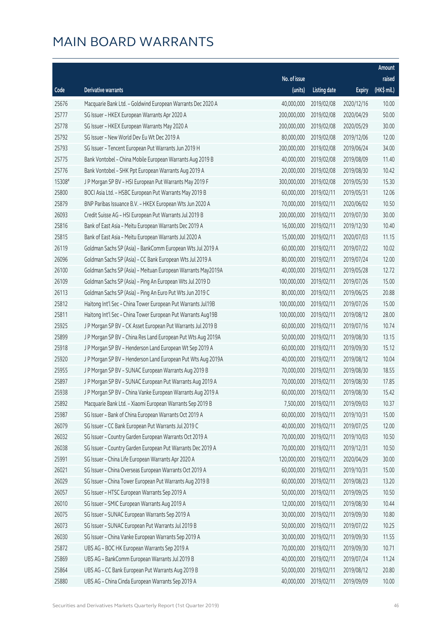|        |                                                              |              |                       |               | Amount      |
|--------|--------------------------------------------------------------|--------------|-----------------------|---------------|-------------|
|        |                                                              | No. of issue |                       |               | raised      |
| Code   | Derivative warrants                                          | (units)      | <b>Listing date</b>   | <b>Expiry</b> | (HK\$ mil.) |
| 25676  | Macquarie Bank Ltd. - Goldwind European Warrants Dec 2020 A  | 40,000,000   | 2019/02/08            | 2020/12/16    | 10.00       |
| 25777  | SG Issuer - HKEX European Warrants Apr 2020 A                | 200,000,000  | 2019/02/08            | 2020/04/29    | 50.00       |
| 25778  | SG Issuer - HKEX European Warrants May 2020 A                | 200,000,000  | 2019/02/08            | 2020/05/29    | 30.00       |
| 25792  | SG Issuer - New World Dev Eu Wt Dec 2019 A                   | 80,000,000   | 2019/02/08            | 2019/12/06    | 12.00       |
| 25793  | SG Issuer - Tencent European Put Warrants Jun 2019 H         | 200,000,000  | 2019/02/08            | 2019/06/24    | 34.00       |
| 25775  | Bank Vontobel - China Mobile European Warrants Aug 2019 B    | 40,000,000   | 2019/02/08            | 2019/08/09    | 11.40       |
| 25776  | Bank Vontobel - SHK Ppt European Warrants Aug 2019 A         | 20,000,000   | 2019/02/08            | 2019/08/30    | 10.42       |
| 15308# | J P Morgan SP BV - HSI European Put Warrants May 2019 F      | 300,000,000  | 2019/02/08            | 2019/05/30    | 15.30       |
| 25800  | BOCI Asia Ltd. - HSBC European Put Warrants May 2019 B       | 60,000,000   | 2019/02/11            | 2019/05/31    | 12.06       |
| 25879  | BNP Paribas Issuance B.V. - HKEX European Wts Jun 2020 A     | 70,000,000   | 2019/02/11            | 2020/06/02    | 10.50       |
| 26093  | Credit Suisse AG - HSI European Put Warrants Jul 2019 B      | 200,000,000  | 2019/02/11            | 2019/07/30    | 30.00       |
| 25816  | Bank of East Asia - Meitu European Warrants Dec 2019 A       | 16,000,000   | 2019/02/11            | 2019/12/30    | 10.40       |
| 25815  | Bank of East Asia - Meitu European Warrants Jul 2020 A       | 15,000,000   | 2019/02/11            | 2020/07/03    | 11.15       |
| 26119  | Goldman Sachs SP (Asia) - BankComm European Wts Jul 2019 A   | 60,000,000   | 2019/02/11            | 2019/07/22    | 10.02       |
| 26096  | Goldman Sachs SP (Asia) - CC Bank European Wts Jul 2019 A    | 80,000,000   | 2019/02/11            | 2019/07/24    | 12.00       |
| 26100  | Goldman Sachs SP (Asia) - Meituan European Warrants May2019A | 40,000,000   | 2019/02/11            | 2019/05/28    | 12.72       |
| 26109  | Goldman Sachs SP (Asia) - Ping An European Wts Jul 2019 D    | 100,000,000  | 2019/02/11            | 2019/07/26    | 15.00       |
| 26113  | Goldman Sachs SP (Asia) - Ping An Euro Put Wts Jun 2019 C    | 80,000,000   | 2019/02/11            | 2019/06/25    | 20.88       |
| 25812  | Haitong Int'l Sec - China Tower European Put Warrants Jul19B | 100,000,000  | 2019/02/11            | 2019/07/26    | 15.00       |
| 25811  | Haitong Int'l Sec - China Tower European Put Warrants Aug19B | 100,000,000  | 2019/02/11            | 2019/08/12    | 28.00       |
| 25925  | J P Morgan SP BV - CK Asset European Put Warrants Jul 2019 B | 60,000,000   | 2019/02/11            | 2019/07/16    | 10.74       |
| 25899  | J P Morgan SP BV - China Res Land European Put Wts Aug 2019A | 50,000,000   | 2019/02/11            | 2019/08/30    | 13.15       |
| 25918  | J P Morgan SP BV - Henderson Land European Wt Sep 2019 A     | 60,000,000   | 2019/02/11            | 2019/09/30    | 15.12       |
| 25920  | J P Morgan SP BV - Henderson Land European Put Wts Aug 2019A | 40,000,000   | 2019/02/11            | 2019/08/12    | 10.04       |
| 25955  | J P Morgan SP BV - SUNAC European Warrants Aug 2019 B        | 70,000,000   | 2019/02/11            | 2019/08/30    | 18.55       |
| 25897  | J P Morgan SP BV - SUNAC European Put Warrants Aug 2019 A    | 70,000,000   | 2019/02/11            | 2019/08/30    | 17.85       |
| 25938  | J P Morgan SP BV - China Vanke European Warrants Aug 2019 A  |              | 60,000,000 2019/02/11 | 2019/08/30    | 15.42       |
| 25892  | Macquarie Bank Ltd. - Xiaomi European Warrants Sep 2019 B    | 7,500,000    | 2019/02/11            | 2019/09/03    | 10.37       |
| 25987  | SG Issuer - Bank of China European Warrants Oct 2019 A       | 60,000,000   | 2019/02/11            | 2019/10/31    | 15.00       |
| 26079  | SG Issuer - CC Bank European Put Warrants Jul 2019 C         | 40,000,000   | 2019/02/11            | 2019/07/25    | 12.00       |
| 26032  | SG Issuer - Country Garden European Warrants Oct 2019 A      | 70,000,000   | 2019/02/11            | 2019/10/03    | 10.50       |
| 26038  | SG Issuer - Country Garden European Put Warrants Dec 2019 A  | 70,000,000   | 2019/02/11            | 2019/12/31    | 10.50       |
| 25991  | SG Issuer - China Life European Warrants Apr 2020 A          | 120,000,000  | 2019/02/11            | 2020/04/29    | 30.00       |
| 26021  | SG Issuer - China Overseas European Warrants Oct 2019 A      | 60,000,000   | 2019/02/11            | 2019/10/31    | 15.00       |
| 26029  | SG Issuer - China Tower European Put Warrants Aug 2019 B     | 60,000,000   | 2019/02/11            | 2019/08/23    | 13.20       |
| 26057  | SG Issuer - HTSC European Warrants Sep 2019 A                | 50,000,000   | 2019/02/11            | 2019/09/25    | 10.50       |
| 26010  | SG Issuer - SMIC European Warrants Aug 2019 A                | 12,000,000   | 2019/02/11            | 2019/08/30    | 10.44       |
| 26075  | SG Issuer - SUNAC European Warrants Sep 2019 A               | 30,000,000   | 2019/02/11            | 2019/09/30    | 10.80       |
| 26073  | SG Issuer - SUNAC European Put Warrants Jul 2019 B           | 50,000,000   | 2019/02/11            | 2019/07/22    | 10.25       |
| 26030  | SG Issuer - China Vanke European Warrants Sep 2019 A         | 30,000,000   | 2019/02/11            | 2019/09/30    | 11.55       |
| 25872  | UBS AG - BOC HK European Warrants Sep 2019 A                 | 70,000,000   | 2019/02/11            | 2019/09/30    | 10.71       |
| 25869  | UBS AG - BankComm European Warrants Jul 2019 B               | 40,000,000   | 2019/02/11            | 2019/07/24    | 11.24       |
| 25864  | UBS AG - CC Bank European Put Warrants Aug 2019 B            | 50,000,000   | 2019/02/11            | 2019/08/12    | 20.80       |
| 25880  | UBS AG - China Cinda European Warrants Sep 2019 A            | 40,000,000   | 2019/02/11            | 2019/09/09    | 10.00       |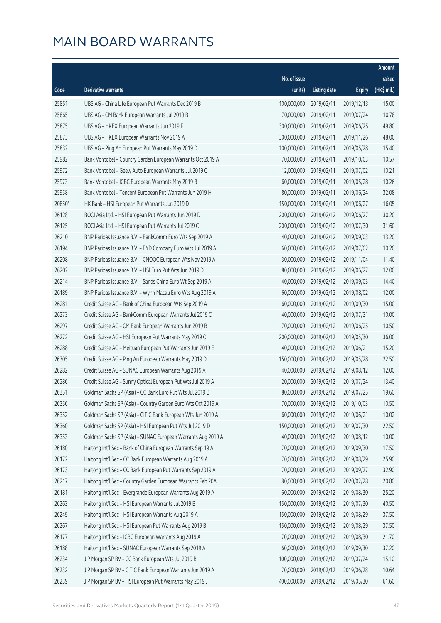|        |                                                              |              |                       |               | Amount      |
|--------|--------------------------------------------------------------|--------------|-----------------------|---------------|-------------|
|        |                                                              | No. of issue |                       |               | raised      |
| Code   | Derivative warrants                                          | (units)      | <b>Listing date</b>   | <b>Expiry</b> | (HK\$ mil.) |
| 25851  | UBS AG - China Life European Put Warrants Dec 2019 B         | 100,000,000  | 2019/02/11            | 2019/12/13    | 15.00       |
| 25865  | UBS AG - CM Bank European Warrants Jul 2019 B                | 70,000,000   | 2019/02/11            | 2019/07/24    | 10.78       |
| 25875  | UBS AG - HKEX European Warrants Jun 2019 F                   | 300,000,000  | 2019/02/11            | 2019/06/25    | 49.80       |
| 25873  | UBS AG - HKEX European Warrants Nov 2019 A                   | 300,000,000  | 2019/02/11            | 2019/11/26    | 48.00       |
| 25832  | UBS AG - Ping An European Put Warrants May 2019 D            | 100,000,000  | 2019/02/11            | 2019/05/28    | 15.40       |
| 25982  | Bank Vontobel - Country Garden European Warrants Oct 2019 A  | 70,000,000   | 2019/02/11            | 2019/10/03    | 10.57       |
| 25972  | Bank Vontobel - Geely Auto European Warrants Jul 2019 C      | 12,000,000   | 2019/02/11            | 2019/07/02    | 10.21       |
| 25973  | Bank Vontobel - ICBC European Warrants May 2019 B            | 60,000,000   | 2019/02/11            | 2019/05/28    | 10.26       |
| 25958  | Bank Vontobel - Tencent European Put Warrants Jun 2019 H     | 80,000,000   | 2019/02/11            | 2019/06/24    | 32.08       |
| 20850# | HK Bank - HSI European Put Warrants Jun 2019 D               | 150,000,000  | 2019/02/11            | 2019/06/27    | 16.05       |
| 26128  | BOCI Asia Ltd. - HSI European Put Warrants Jun 2019 D        | 200,000,000  | 2019/02/12            | 2019/06/27    | 30.20       |
| 26125  | BOCI Asia Ltd. - HSI European Put Warrants Jul 2019 C        | 200,000,000  | 2019/02/12            | 2019/07/30    | 31.60       |
| 26210  | BNP Paribas Issuance B.V. - BankComm Euro Wts Sep 2019 A     | 40,000,000   | 2019/02/12            | 2019/09/03    | 13.20       |
| 26194  | BNP Paribas Issuance B.V. - BYD Company Euro Wts Jul 2019 A  | 60,000,000   | 2019/02/12            | 2019/07/02    | 10.20       |
| 26208  | BNP Paribas Issuance B.V. - CNOOC European Wts Nov 2019 A    | 30,000,000   | 2019/02/12            | 2019/11/04    | 11.40       |
| 26202  | BNP Paribas Issuance B.V. - HSI Euro Put Wts Jun 2019 D      | 80,000,000   | 2019/02/12            | 2019/06/27    | 12.00       |
| 26214  | BNP Paribas Issuance B.V. - Sands China Euro Wt Sep 2019 A   | 40,000,000   | 2019/02/12            | 2019/09/03    | 14.40       |
| 26189  | BNP Paribas Issuance B.V. - Wynn Macau Euro Wts Aug 2019 A   | 60,000,000   | 2019/02/12            | 2019/08/02    | 12.00       |
| 26281  | Credit Suisse AG - Bank of China European Wts Sep 2019 A     | 60,000,000   | 2019/02/12            | 2019/09/30    | 15.00       |
| 26273  | Credit Suisse AG - BankComm European Warrants Jul 2019 C     | 40,000,000   | 2019/02/12            | 2019/07/31    | 10.00       |
| 26297  | Credit Suisse AG - CM Bank European Warrants Jun 2019 B      | 70,000,000   | 2019/02/12            | 2019/06/25    | 10.50       |
| 26272  | Credit Suisse AG - HSI European Put Warrants May 2019 C      | 200,000,000  | 2019/02/12            | 2019/05/30    | 36.00       |
| 26288  | Credit Suisse AG - Meituan European Put Warrants Jun 2019 E  | 40,000,000   | 2019/02/12            | 2019/06/21    | 15.20       |
| 26305  | Credit Suisse AG - Ping An European Warrants May 2019 D      | 150,000,000  | 2019/02/12            | 2019/05/28    | 22.50       |
| 26282  | Credit Suisse AG - SUNAC European Warrants Aug 2019 A        | 40,000,000   | 2019/02/12            | 2019/08/12    | 12.00       |
| 26286  | Credit Suisse AG - Sunny Optical European Put Wts Jul 2019 A | 20,000,000   | 2019/02/12            | 2019/07/24    | 13.40       |
| 26351  | Goldman Sachs SP (Asia) - CC Bank Euro Put Wts Jul 2019 B    |              | 80,000,000 2019/02/12 | 2019/07/25    | 19.60       |
| 26356  | Goldman Sachs SP (Asia) - Country Garden Euro Wts Oct 2019 A | 70,000,000   | 2019/02/12            | 2019/10/03    | 10.50       |
| 26352  | Goldman Sachs SP (Asia) - CITIC Bank European Wts Jun 2019 A | 60,000,000   | 2019/02/12            | 2019/06/21    | 10.02       |
| 26360  | Goldman Sachs SP (Asia) - HSI European Put Wts Jul 2019 D    | 150,000,000  | 2019/02/12            | 2019/07/30    | 22.50       |
| 26353  | Goldman Sachs SP (Asia) - SUNAC European Warrants Aug 2019 A | 40,000,000   | 2019/02/12            | 2019/08/12    | 10.00       |
| 26180  | Haitong Int'l Sec - Bank of China European Warrants Sep 19 A | 70,000,000   | 2019/02/12            | 2019/09/30    | 17.50       |
| 26172  | Haitong Int'l Sec - CC Bank European Warrants Aug 2019 A     | 70,000,000   | 2019/02/12            | 2019/08/29    | 25.90       |
| 26173  | Haitong Int'l Sec - CC Bank European Put Warrants Sep 2019 A | 70,000,000   | 2019/02/12            | 2019/09/27    | 32.90       |
| 26217  | Haitong Int'l Sec - Country Garden European Warrants Feb 20A | 80,000,000   | 2019/02/12            | 2020/02/28    | 20.80       |
| 26181  | Haitong Int'l Sec - Evergrande European Warrants Aug 2019 A  | 60,000,000   | 2019/02/12            | 2019/08/30    | 25.20       |
| 26263  | Haitong Int'l Sec - HSI European Warrants Jul 2019 B         | 150,000,000  | 2019/02/12            | 2019/07/30    | 40.50       |
| 26249  | Haitong Int'l Sec - HSI European Warrants Aug 2019 A         | 150,000,000  | 2019/02/12            | 2019/08/29    | 37.50       |
| 26267  | Haitong Int'l Sec - HSI European Put Warrants Aug 2019 B     | 150,000,000  | 2019/02/12            | 2019/08/29    | 37.50       |
| 26177  | Haitong Int'l Sec - ICBC European Warrants Aug 2019 A        | 70,000,000   | 2019/02/12            | 2019/08/30    | 21.70       |
| 26188  | Haitong Int'l Sec - SUNAC European Warrants Sep 2019 A       | 60,000,000   | 2019/02/12            | 2019/09/30    | 37.20       |
| 26234  | J P Morgan SP BV - CC Bank European Wts Jul 2019 B           | 100,000,000  | 2019/02/12            | 2019/07/24    | 15.10       |
| 26232  | J P Morgan SP BV - CITIC Bank European Warrants Jun 2019 A   | 70,000,000   | 2019/02/12            | 2019/06/28    | 10.64       |
| 26239  | J P Morgan SP BV - HSI European Put Warrants May 2019 J      | 400,000,000  | 2019/02/12            | 2019/05/30    | 61.60       |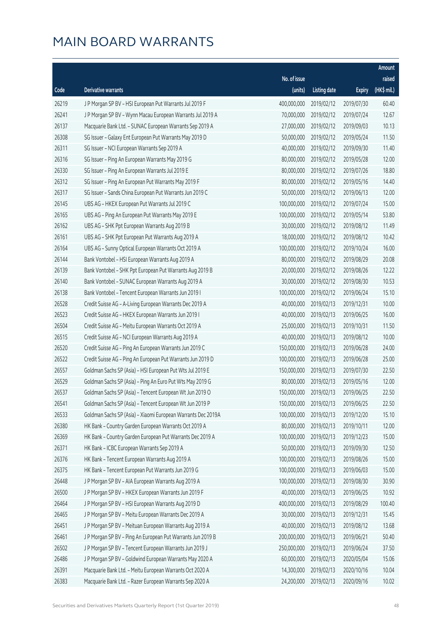|       |                                                              |              |                        |               | Amount      |
|-------|--------------------------------------------------------------|--------------|------------------------|---------------|-------------|
|       |                                                              | No. of issue |                        |               | raised      |
| Code  | <b>Derivative warrants</b>                                   | (units)      | <b>Listing date</b>    | <b>Expiry</b> | (HK\$ mil.) |
| 26219 | J P Morgan SP BV - HSI European Put Warrants Jul 2019 F      | 400,000,000  | 2019/02/12             | 2019/07/30    | 60.40       |
| 26241 | J P Morgan SP BV - Wynn Macau European Warrants Jul 2019 A   | 70,000,000   | 2019/02/12             | 2019/07/24    | 12.67       |
| 26137 | Macquarie Bank Ltd. - SUNAC European Warrants Sep 2019 A     | 27,000,000   | 2019/02/12             | 2019/09/03    | 10.13       |
| 26308 | SG Issuer - Galaxy Ent European Put Warrants May 2019 D      | 50,000,000   | 2019/02/12             | 2019/05/24    | 11.50       |
| 26311 | SG Issuer - NCI European Warrants Sep 2019 A                 | 40,000,000   | 2019/02/12             | 2019/09/30    | 11.40       |
| 26316 | SG Issuer - Ping An European Warrants May 2019 G             | 80,000,000   | 2019/02/12             | 2019/05/28    | 12.00       |
| 26330 | SG Issuer - Ping An European Warrants Jul 2019 E             | 80,000,000   | 2019/02/12             | 2019/07/26    | 18.80       |
| 26312 | SG Issuer - Ping An European Put Warrants May 2019 F         | 80,000,000   | 2019/02/12             | 2019/05/16    | 14.40       |
| 26317 | SG Issuer - Sands China European Put Warrants Jun 2019 C     | 50,000,000   | 2019/02/12             | 2019/06/13    | 12.00       |
| 26145 | UBS AG - HKEX European Put Warrants Jul 2019 C               | 100,000,000  | 2019/02/12             | 2019/07/24    | 15.00       |
| 26165 | UBS AG - Ping An European Put Warrants May 2019 E            | 100,000,000  | 2019/02/12             | 2019/05/14    | 53.80       |
| 26162 | UBS AG - SHK Ppt European Warrants Aug 2019 B                | 30,000,000   | 2019/02/12             | 2019/08/12    | 11.49       |
| 26161 | UBS AG - SHK Ppt European Put Warrants Aug 2019 A            | 18,000,000   | 2019/02/12             | 2019/08/12    | 10.42       |
| 26164 | UBS AG - Sunny Optical European Warrants Oct 2019 A          | 100,000,000  | 2019/02/12             | 2019/10/24    | 16.00       |
| 26144 | Bank Vontobel - HSI European Warrants Aug 2019 A             | 80,000,000   | 2019/02/12             | 2019/08/29    | 20.08       |
| 26139 | Bank Vontobel - SHK Ppt European Put Warrants Aug 2019 B     | 20,000,000   | 2019/02/12             | 2019/08/26    | 12.22       |
| 26140 | Bank Vontobel - SUNAC European Warrants Aug 2019 A           | 30,000,000   | 2019/02/12             | 2019/08/30    | 10.53       |
| 26138 | Bank Vontobel - Tencent European Warrants Jun 2019 I         | 100,000,000  | 2019/02/12             | 2019/06/24    | 15.10       |
| 26528 | Credit Suisse AG - A-Living European Warrants Dec 2019 A     | 40,000,000   | 2019/02/13             | 2019/12/31    | 10.00       |
| 26523 | Credit Suisse AG - HKEX European Warrants Jun 2019 I         | 40,000,000   | 2019/02/13             | 2019/06/25    | 16.00       |
| 26504 | Credit Suisse AG - Meitu European Warrants Oct 2019 A        | 25,000,000   | 2019/02/13             | 2019/10/31    | 11.50       |
| 26515 | Credit Suisse AG - NCI European Warrants Aug 2019 A          | 40,000,000   | 2019/02/13             | 2019/08/12    | 10.00       |
| 26520 | Credit Suisse AG - Ping An European Warrants Jun 2019 C      | 150,000,000  | 2019/02/13             | 2019/06/28    | 24.00       |
| 26522 | Credit Suisse AG - Ping An European Put Warrants Jun 2019 D  | 100,000,000  | 2019/02/13             | 2019/06/28    | 25.00       |
| 26557 | Goldman Sachs SP (Asia) - HSI European Put Wts Jul 2019 E    | 150,000,000  | 2019/02/13             | 2019/07/30    | 22.50       |
| 26529 | Goldman Sachs SP (Asia) - Ping An Euro Put Wts May 2019 G    | 80,000,000   | 2019/02/13             | 2019/05/16    | 12.00       |
| 26537 | Goldman Sachs SP (Asia) - Tencent European Wt Jun 2019 O     |              | 150,000,000 2019/02/13 | 2019/06/25    | 22.50       |
| 26541 | Goldman Sachs SP (Asia) - Tencent European Wt Jun 2019 P     | 150,000,000  | 2019/02/13             | 2019/06/25    | 22.50       |
| 26533 | Goldman Sachs SP (Asia) - Xiaomi European Warrants Dec 2019A | 100,000,000  | 2019/02/13             | 2019/12/20    | 15.10       |
| 26380 | HK Bank - Country Garden European Warrants Oct 2019 A        | 80,000,000   | 2019/02/13             | 2019/10/11    | 12.00       |
| 26369 | HK Bank - Country Garden European Put Warrants Dec 2019 A    | 100,000,000  | 2019/02/13             | 2019/12/23    | 15.00       |
| 26371 | HK Bank - ICBC European Warrants Sep 2019 A                  | 50,000,000   | 2019/02/13             | 2019/09/30    | 12.50       |
| 26376 | HK Bank - Tencent European Warrants Aug 2019 A               | 100,000,000  | 2019/02/13             | 2019/08/26    | 15.00       |
| 26375 | HK Bank - Tencent European Put Warrants Jun 2019 G           | 100,000,000  | 2019/02/13             | 2019/06/03    | 15.00       |
| 26448 | J P Morgan SP BV - AIA European Warrants Aug 2019 A          | 100,000,000  | 2019/02/13             | 2019/08/30    | 30.90       |
| 26500 | J P Morgan SP BV - HKEX European Warrants Jun 2019 F         | 40,000,000   | 2019/02/13             | 2019/06/25    | 10.92       |
| 26464 | J P Morgan SP BV - HSI European Warrants Aug 2019 D          | 400,000,000  | 2019/02/13             | 2019/08/29    | 100.40      |
| 26465 | J P Morgan SP BV - Meitu European Warrants Dec 2019 A        | 30,000,000   | 2019/02/13             | 2019/12/31    | 15.45       |
| 26451 | J P Morgan SP BV - Meituan European Warrants Aug 2019 A      | 40,000,000   | 2019/02/13             | 2019/08/12    | 13.68       |
| 26461 | J P Morgan SP BV - Ping An European Put Warrants Jun 2019 B  | 200,000,000  | 2019/02/13             | 2019/06/21    | 50.40       |
| 26502 | J P Morgan SP BV - Tencent European Warrants Jun 2019 J      | 250,000,000  | 2019/02/13             | 2019/06/24    | 37.50       |
| 26486 | J P Morgan SP BV - Goldwind European Warrants May 2020 A     | 60,000,000   | 2019/02/13             | 2020/05/04    | 15.06       |
| 26391 | Macquarie Bank Ltd. - Meitu European Warrants Oct 2020 A     | 14,300,000   | 2019/02/13             | 2020/10/16    | 10.04       |
| 26383 | Macquarie Bank Ltd. - Razer European Warrants Sep 2020 A     | 24,200,000   | 2019/02/13             | 2020/09/16    | 10.02       |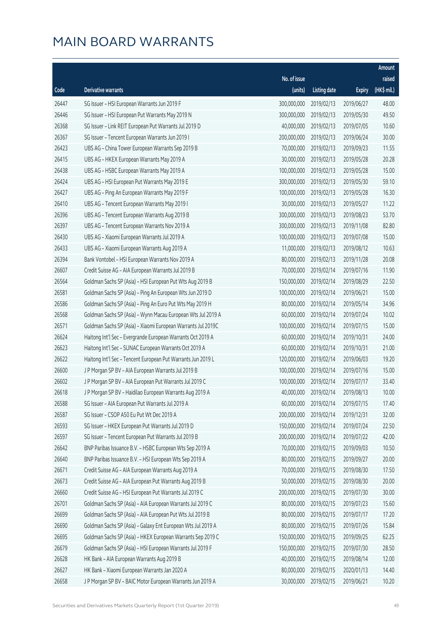|       |                                                              |              |                       |               | Amount      |
|-------|--------------------------------------------------------------|--------------|-----------------------|---------------|-------------|
|       |                                                              | No. of issue |                       |               | raised      |
| Code  | Derivative warrants                                          | (units)      | <b>Listing date</b>   | <b>Expiry</b> | (HK\$ mil.) |
| 26447 | SG Issuer - HSI European Warrants Jun 2019 F                 | 300,000,000  | 2019/02/13            | 2019/06/27    | 48.00       |
| 26446 | SG Issuer - HSI European Put Warrants May 2019 N             | 300,000,000  | 2019/02/13            | 2019/05/30    | 49.50       |
| 26368 | SG Issuer - Link REIT European Put Warrants Jul 2019 D       | 40,000,000   | 2019/02/13            | 2019/07/05    | 10.60       |
| 26367 | SG Issuer - Tencent European Warrants Jun 2019 I             | 200,000,000  | 2019/02/13            | 2019/06/24    | 30.00       |
| 26423 | UBS AG - China Tower European Warrants Sep 2019 B            | 70,000,000   | 2019/02/13            | 2019/09/23    | 11.55       |
| 26415 | UBS AG - HKEX European Warrants May 2019 A                   | 30,000,000   | 2019/02/13            | 2019/05/28    | 20.28       |
| 26438 | UBS AG - HSBC European Warrants May 2019 A                   | 100,000,000  | 2019/02/13            | 2019/05/28    | 15.00       |
| 26424 | UBS AG - HSI European Put Warrants May 2019 E                | 300,000,000  | 2019/02/13            | 2019/05/30    | 59.10       |
| 26427 | UBS AG - Ping An European Warrants May 2019 F                | 100,000,000  | 2019/02/13            | 2019/05/28    | 16.30       |
| 26410 | UBS AG - Tencent European Warrants May 2019 I                | 30,000,000   | 2019/02/13            | 2019/05/27    | 11.22       |
| 26396 | UBS AG - Tencent European Warrants Aug 2019 B                | 300,000,000  | 2019/02/13            | 2019/08/23    | 53.70       |
| 26397 | UBS AG - Tencent European Warrants Nov 2019 A                | 300,000,000  | 2019/02/13            | 2019/11/08    | 82.80       |
| 26430 | UBS AG - Xiaomi European Warrants Jul 2019 A                 | 100,000,000  | 2019/02/13            | 2019/07/08    | 15.00       |
| 26433 | UBS AG - Xiaomi European Warrants Aug 2019 A                 | 11,000,000   | 2019/02/13            | 2019/08/12    | 10.63       |
| 26394 | Bank Vontobel - HSI European Warrants Nov 2019 A             | 80,000,000   | 2019/02/13            | 2019/11/28    | 20.08       |
| 26607 | Credit Suisse AG - AIA European Warrants Jul 2019 B          | 70,000,000   | 2019/02/14            | 2019/07/16    | 11.90       |
| 26564 | Goldman Sachs SP (Asia) - HSI European Put Wts Aug 2019 B    | 150,000,000  | 2019/02/14            | 2019/08/29    | 22.50       |
| 26581 | Goldman Sachs SP (Asia) - Ping An European Wts Jun 2019 D    | 100,000,000  | 2019/02/14            | 2019/06/21    | 15.00       |
| 26586 | Goldman Sachs SP (Asia) - Ping An Euro Put Wts May 2019 H    | 80,000,000   | 2019/02/14            | 2019/05/14    | 34.96       |
| 26568 | Goldman Sachs SP (Asia) - Wynn Macau European Wts Jul 2019 A | 60,000,000   | 2019/02/14            | 2019/07/24    | 10.02       |
| 26571 | Goldman Sachs SP (Asia) - Xiaomi European Warrants Jul 2019C | 100,000,000  | 2019/02/14            | 2019/07/15    | 15.00       |
| 26624 | Haitong Int'l Sec - Evergrande European Warrants Oct 2019 A  | 60,000,000   | 2019/02/14            | 2019/10/31    | 24.00       |
| 26623 | Haitong Int'l Sec - SUNAC European Warrants Oct 2019 A       | 60,000,000   | 2019/02/14            | 2019/10/31    | 21.00       |
| 26622 | Haitong Int'l Sec - Tencent European Put Warrants Jun 2019 L | 120,000,000  | 2019/02/14            | 2019/06/03    | 19.20       |
| 26600 | J P Morgan SP BV - AIA European Warrants Jul 2019 B          | 100,000,000  | 2019/02/14            | 2019/07/16    | 15.00       |
| 26602 | J P Morgan SP BV - AIA European Put Warrants Jul 2019 C      | 100,000,000  | 2019/02/14            | 2019/07/17    | 33.40       |
| 26618 | J P Morgan SP BV - Haidilao European Warrants Aug 2019 A     |              | 40,000,000 2019/02/14 | 2019/08/13    | 10.00       |
| 26588 | SG Issuer - AIA European Put Warrants Jul 2019 A             | 60,000,000   | 2019/02/14            | 2019/07/15    | 17.40       |
| 26587 | SG Issuer - CSOP A50 Eu Put Wt Dec 2019 A                    | 200,000,000  | 2019/02/14            | 2019/12/31    | 32.00       |
| 26593 | SG Issuer - HKEX European Put Warrants Jul 2019 D            | 150,000,000  | 2019/02/14            | 2019/07/24    | 22.50       |
| 26597 | SG Issuer - Tencent European Put Warrants Jul 2019 B         | 200,000,000  | 2019/02/14            | 2019/07/22    | 42.00       |
| 26642 | BNP Paribas Issuance B.V. - HSBC European Wts Sep 2019 A     | 70,000,000   | 2019/02/15            | 2019/09/03    | 10.50       |
| 26640 | BNP Paribas Issuance B.V. - HSI European Wts Sep 2019 A      | 80,000,000   | 2019/02/15            | 2019/09/27    | 20.00       |
| 26671 | Credit Suisse AG - AIA European Warrants Aug 2019 A          | 70,000,000   | 2019/02/15            | 2019/08/30    | 17.50       |
| 26673 | Credit Suisse AG - AIA European Put Warrants Aug 2019 B      | 50,000,000   | 2019/02/15            | 2019/08/30    | 20.00       |
| 26660 | Credit Suisse AG - HSI European Put Warrants Jul 2019 C      | 200,000,000  | 2019/02/15            | 2019/07/30    | 30.00       |
| 26701 | Goldman Sachs SP (Asia) - AIA European Warrants Jul 2019 C   | 80,000,000   | 2019/02/15            | 2019/07/23    | 15.60       |
| 26699 | Goldman Sachs SP (Asia) - AIA European Put Wts Jul 2019 B    | 80,000,000   | 2019/02/15            | 2019/07/17    | 17.20       |
| 26690 | Goldman Sachs SP (Asia) - Galaxy Ent European Wts Jul 2019 A | 80,000,000   | 2019/02/15            | 2019/07/26    | 15.84       |
| 26695 | Goldman Sachs SP (Asia) - HKEX European Warrants Sep 2019 C  | 150,000,000  | 2019/02/15            | 2019/09/25    | 62.25       |
| 26679 | Goldman Sachs SP (Asia) - HSI European Warrants Jul 2019 F   | 150,000,000  | 2019/02/15            | 2019/07/30    | 28.50       |
| 26628 | HK Bank - AIA European Warrants Aug 2019 B                   | 40,000,000   | 2019/02/15            | 2019/08/14    | 12.00       |
| 26627 | HK Bank - Xiaomi European Warrants Jan 2020 A                | 80,000,000   | 2019/02/15            | 2020/01/13    | 14.40       |
| 26658 | J P Morgan SP BV - BAIC Motor European Warrants Jun 2019 A   | 30,000,000   | 2019/02/15            | 2019/06/21    | 10.20       |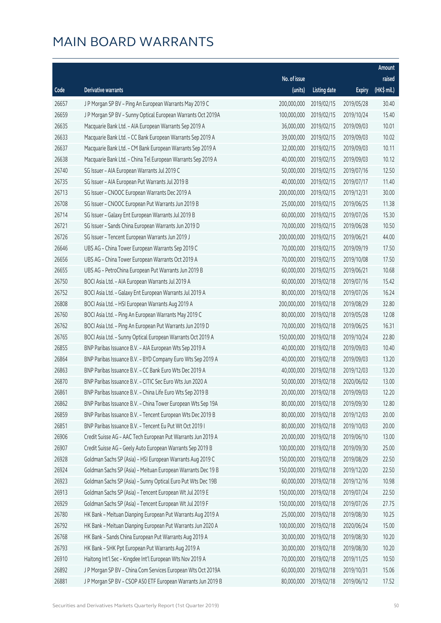|       |                                                              |              |                       |               | Amount      |
|-------|--------------------------------------------------------------|--------------|-----------------------|---------------|-------------|
|       |                                                              | No. of issue |                       |               | raised      |
| Code  | Derivative warrants                                          | (units)      | <b>Listing date</b>   | <b>Expiry</b> | (HK\$ mil.) |
| 26657 | J P Morgan SP BV - Ping An European Warrants May 2019 C      | 200,000,000  | 2019/02/15            | 2019/05/28    | 30.40       |
| 26659 | J P Morgan SP BV - Sunny Optical European Warrants Oct 2019A | 100,000,000  | 2019/02/15            | 2019/10/24    | 15.40       |
| 26635 | Macquarie Bank Ltd. - AIA European Warrants Sep 2019 A       | 36,000,000   | 2019/02/15            | 2019/09/03    | 10.01       |
| 26633 | Macquarie Bank Ltd. - CC Bank European Warrants Sep 2019 A   | 39,000,000   | 2019/02/15            | 2019/09/03    | 10.02       |
| 26637 | Macquarie Bank Ltd. - CM Bank European Warrants Sep 2019 A   | 32,000,000   | 2019/02/15            | 2019/09/03    | 10.11       |
| 26638 | Macquarie Bank Ltd. - China Tel European Warrants Sep 2019 A | 40,000,000   | 2019/02/15            | 2019/09/03    | 10.12       |
| 26740 | SG Issuer - AIA European Warrants Jul 2019 C                 | 50,000,000   | 2019/02/15            | 2019/07/16    | 12.50       |
| 26735 | SG Issuer - AIA European Put Warrants Jul 2019 B             | 40,000,000   | 2019/02/15            | 2019/07/17    | 11.40       |
| 26713 | SG Issuer - CNOOC European Warrants Dec 2019 A               | 200,000,000  | 2019/02/15            | 2019/12/31    | 30.00       |
| 26708 | SG Issuer - CNOOC European Put Warrants Jun 2019 B           | 25,000,000   | 2019/02/15            | 2019/06/25    | 11.38       |
| 26714 | SG Issuer - Galaxy Ent European Warrants Jul 2019 B          | 60,000,000   | 2019/02/15            | 2019/07/26    | 15.30       |
| 26721 | SG Issuer - Sands China European Warrants Jun 2019 D         | 70,000,000   | 2019/02/15            | 2019/06/28    | 10.50       |
| 26726 | SG Issuer - Tencent European Warrants Jun 2019 J             | 200,000,000  | 2019/02/15            | 2019/06/21    | 44.00       |
| 26646 | UBS AG - China Tower European Warrants Sep 2019 C            | 70,000,000   | 2019/02/15            | 2019/09/19    | 17.50       |
| 26656 | UBS AG - China Tower European Warrants Oct 2019 A            | 70,000,000   | 2019/02/15            | 2019/10/08    | 17.50       |
| 26655 | UBS AG - PetroChina European Put Warrants Jun 2019 B         | 60,000,000   | 2019/02/15            | 2019/06/21    | 10.68       |
| 26750 | BOCI Asia Ltd. - AIA European Warrants Jul 2019 A            | 60,000,000   | 2019/02/18            | 2019/07/16    | 15.42       |
| 26752 | BOCI Asia Ltd. - Galaxy Ent European Warrants Jul 2019 A     | 80,000,000   | 2019/02/18            | 2019/07/26    | 16.24       |
| 26808 | BOCI Asia Ltd. - HSI European Warrants Aug 2019 A            | 200,000,000  | 2019/02/18            | 2019/08/29    | 32.80       |
| 26760 | BOCI Asia Ltd. - Ping An European Warrants May 2019 C        | 80,000,000   | 2019/02/18            | 2019/05/28    | 12.08       |
| 26762 | BOCI Asia Ltd. - Ping An European Put Warrants Jun 2019 D    | 70,000,000   | 2019/02/18            | 2019/06/25    | 16.31       |
| 26765 | BOCI Asia Ltd. - Sunny Optical European Warrants Oct 2019 A  | 150,000,000  | 2019/02/18            | 2019/10/24    | 22.80       |
| 26855 | BNP Paribas Issuance B.V. - AIA European Wts Sep 2019 A      | 40,000,000   | 2019/02/18            | 2019/09/03    | 10.40       |
| 26864 | BNP Paribas Issuance B.V. - BYD Company Euro Wts Sep 2019 A  | 40,000,000   | 2019/02/18            | 2019/09/03    | 13.20       |
| 26863 | BNP Paribas Issuance B.V. - CC Bank Euro Wts Dec 2019 A      | 40,000,000   | 2019/02/18            | 2019/12/03    | 13.20       |
| 26870 | BNP Paribas Issuance B.V. - CITIC Sec Euro Wts Jun 2020 A    | 50,000,000   | 2019/02/18            | 2020/06/02    | 13.00       |
| 26861 | BNP Paribas Issuance B.V. - China Life Euro Wts Sep 2019 B   |              | 20,000,000 2019/02/18 | 2019/09/03    | 12.20       |
| 26862 | BNP Paribas Issuance B.V. - China Tower European Wts Sep 19A | 80,000,000   | 2019/02/18            | 2019/09/30    | 12.80       |
| 26859 | BNP Paribas Issuance B.V. - Tencent European Wts Dec 2019 B  | 80,000,000   | 2019/02/18            | 2019/12/03    | 20.00       |
| 26851 | BNP Paribas Issuance B.V. - Tencent Eu Put Wt Oct 2019 I     | 80,000,000   | 2019/02/18            | 2019/10/03    | 20.00       |
| 26906 | Credit Suisse AG - AAC Tech European Put Warrants Jun 2019 A | 20,000,000   | 2019/02/18            | 2019/06/10    | 13.00       |
| 26907 | Credit Suisse AG - Geely Auto European Warrants Sep 2019 B   | 100,000,000  | 2019/02/18            | 2019/09/30    | 25.00       |
| 26928 | Goldman Sachs SP (Asia) - HSI European Warrants Aug 2019 C   | 150,000,000  | 2019/02/18            | 2019/08/29    | 22.50       |
| 26924 | Goldman Sachs SP (Asia) - Meituan European Warrants Dec 19 B | 150,000,000  | 2019/02/18            | 2019/12/20    | 22.50       |
| 26923 | Goldman Sachs SP (Asia) - Sunny Optical Euro Put Wts Dec 19B | 60,000,000   | 2019/02/18            | 2019/12/16    | 10.98       |
| 26913 | Goldman Sachs SP (Asia) - Tencent European Wt Jul 2019 E     | 150,000,000  | 2019/02/18            | 2019/07/24    | 22.50       |
| 26929 | Goldman Sachs SP (Asia) - Tencent European Wt Jul 2019 F     | 150,000,000  | 2019/02/18            | 2019/07/26    | 27.75       |
| 26780 | HK Bank - Meituan Dianping European Put Warrants Aug 2019 A  | 25,000,000   | 2019/02/18            | 2019/08/30    | 10.25       |
| 26792 | HK Bank - Meituan Dianping European Put Warrants Jun 2020 A  | 100,000,000  | 2019/02/18            | 2020/06/24    | 15.00       |
| 26768 | HK Bank - Sands China European Put Warrants Aug 2019 A       | 30,000,000   | 2019/02/18            | 2019/08/30    | 10.20       |
| 26793 | HK Bank - SHK Ppt European Put Warrants Aug 2019 A           | 30,000,000   | 2019/02/18            | 2019/08/30    | 10.20       |
| 26910 | Haitong Int'l Sec - Kingdee Int'l European Wts Nov 2019 A    | 70,000,000   | 2019/02/18            | 2019/11/25    | 10.50       |
| 26892 | J P Morgan SP BV - China Com Services European Wts Oct 2019A | 60,000,000   | 2019/02/18            | 2019/10/31    | 15.06       |
| 26881 | J P Morgan SP BV - CSOP A50 ETF European Warrants Jun 2019 B | 80,000,000   | 2019/02/18            | 2019/06/12    | 17.52       |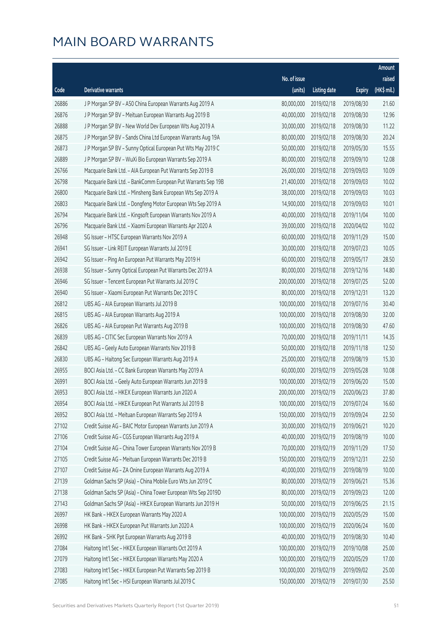|       |                                                              |                        |                     |               | Amount      |
|-------|--------------------------------------------------------------|------------------------|---------------------|---------------|-------------|
|       |                                                              | No. of issue           |                     |               | raised      |
| Code  | Derivative warrants                                          | (units)                | <b>Listing date</b> | <b>Expiry</b> | (HK\$ mil.) |
| 26886 | J P Morgan SP BV - A50 China European Warrants Aug 2019 A    | 80,000,000             | 2019/02/18          | 2019/08/30    | 21.60       |
| 26876 | J P Morgan SP BV - Meituan European Warrants Aug 2019 B      | 40,000,000             | 2019/02/18          | 2019/08/30    | 12.96       |
| 26888 | J P Morgan SP BV - New World Dev European Wts Aug 2019 A     | 30,000,000             | 2019/02/18          | 2019/08/30    | 11.22       |
| 26875 | J P Morgan SP BV - Sands China Ltd European Warrants Aug 19A | 80,000,000             | 2019/02/18          | 2019/08/30    | 20.24       |
| 26873 | J P Morgan SP BV - Sunny Optical European Put Wts May 2019 C | 50,000,000             | 2019/02/18          | 2019/05/30    | 15.55       |
| 26889 | J P Morgan SP BV - WuXi Bio European Warrants Sep 2019 A     | 80,000,000             | 2019/02/18          | 2019/09/10    | 12.08       |
| 26766 | Macquarie Bank Ltd. - AIA European Put Warrants Sep 2019 B   | 26,000,000             | 2019/02/18          | 2019/09/03    | 10.09       |
| 26798 | Macquarie Bank Ltd. - BankComm European Put Warrants Sep 19B | 21,400,000             | 2019/02/18          | 2019/09/03    | 10.02       |
| 26800 | Macquarie Bank Ltd. - Minsheng Bank European Wts Sep 2019 A  | 38,000,000             | 2019/02/18          | 2019/09/03    | 10.03       |
| 26803 | Macquarie Bank Ltd. - Dongfeng Motor European Wts Sep 2019 A | 14,900,000             | 2019/02/18          | 2019/09/03    | 10.01       |
| 26794 | Macquarie Bank Ltd. - Kingsoft European Warrants Nov 2019 A  | 40,000,000             | 2019/02/18          | 2019/11/04    | 10.00       |
| 26796 | Macquarie Bank Ltd. - Xiaomi European Warrants Apr 2020 A    | 39,000,000             | 2019/02/18          | 2020/04/02    | 10.02       |
| 26948 | SG Issuer - HTSC European Warrants Nov 2019 A                | 60,000,000             | 2019/02/18          | 2019/11/29    | 15.00       |
| 26941 | SG Issuer - Link REIT European Warrants Jul 2019 E           | 30,000,000             | 2019/02/18          | 2019/07/23    | 10.05       |
| 26942 | SG Issuer - Ping An European Put Warrants May 2019 H         | 60,000,000             | 2019/02/18          | 2019/05/17    | 28.50       |
| 26938 | SG Issuer - Sunny Optical European Put Warrants Dec 2019 A   | 80,000,000             | 2019/02/18          | 2019/12/16    | 14.80       |
| 26946 | SG Issuer - Tencent European Put Warrants Jul 2019 C         | 200,000,000            | 2019/02/18          | 2019/07/25    | 52.00       |
| 26940 | SG Issuer - Xiaomi European Put Warrants Dec 2019 C          | 80,000,000             | 2019/02/18          | 2019/12/31    | 13.20       |
| 26812 | UBS AG - AIA European Warrants Jul 2019 B                    | 100,000,000            | 2019/02/18          | 2019/07/16    | 30.40       |
| 26815 | UBS AG - AIA European Warrants Aug 2019 A                    | 100,000,000            | 2019/02/18          | 2019/08/30    | 32.00       |
| 26826 | UBS AG - AIA European Put Warrants Aug 2019 B                | 100,000,000            | 2019/02/18          | 2019/08/30    | 47.60       |
| 26839 | UBS AG - CITIC Sec European Warrants Nov 2019 A              | 70,000,000             | 2019/02/18          | 2019/11/11    | 14.35       |
| 26842 | UBS AG - Geely Auto European Warrants Nov 2019 B             | 50,000,000             | 2019/02/18          | 2019/11/18    | 12.50       |
| 26830 | UBS AG - Haitong Sec European Warrants Aug 2019 A            | 25,000,000             | 2019/02/18          | 2019/08/19    | 15.30       |
| 26955 | BOCI Asia Ltd. - CC Bank European Warrants May 2019 A        | 60,000,000             | 2019/02/19          | 2019/05/28    | 10.08       |
| 26991 | BOCI Asia Ltd. - Geely Auto European Warrants Jun 2019 B     | 100,000,000            | 2019/02/19          | 2019/06/20    | 15.00       |
| 26953 | BOCI Asia Ltd. - HKEX European Warrants Jun 2020 A           | 200,000,000 2019/02/19 |                     | 2020/06/23    | 37.80       |
| 26954 | BOCI Asia Ltd. - HKEX European Put Warrants Jul 2019 B       | 100,000,000            | 2019/02/19          | 2019/07/24    | 16.60       |
| 26952 | BOCI Asia Ltd. - Meituan European Warrants Sep 2019 A        | 150,000,000            | 2019/02/19          | 2019/09/24    | 22.50       |
| 27102 | Credit Suisse AG - BAIC Motor European Warrants Jun 2019 A   | 30,000,000             | 2019/02/19          | 2019/06/21    | 10.20       |
| 27106 | Credit Suisse AG - CGS European Warrants Aug 2019 A          | 40,000,000             | 2019/02/19          | 2019/08/19    | 10.00       |
| 27104 | Credit Suisse AG - China Tower European Warrants Nov 2019 B  | 70,000,000             | 2019/02/19          | 2019/11/29    | 17.50       |
| 27105 | Credit Suisse AG - Meituan European Warrants Dec 2019 B      | 150,000,000            | 2019/02/19          | 2019/12/31    | 22.50       |
| 27107 | Credit Suisse AG - ZA Onine European Warrants Aug 2019 A     | 40,000,000             | 2019/02/19          | 2019/08/19    | 10.00       |
| 27139 | Goldman Sachs SP (Asia) - China Mobile Euro Wts Jun 2019 C   | 80,000,000             | 2019/02/19          | 2019/06/21    | 15.36       |
| 27138 | Goldman Sachs SP (Asia) - China Tower European Wts Sep 2019D | 80,000,000             | 2019/02/19          | 2019/09/23    | 12.00       |
| 27143 | Goldman Sachs SP (Asia) - HKEX European Warrants Jun 2019 H  | 50,000,000             | 2019/02/19          | 2019/06/25    | 21.15       |
| 26997 | HK Bank - HKEX European Warrants May 2020 A                  | 100,000,000            | 2019/02/19          | 2020/05/29    | 15.00       |
| 26998 | HK Bank - HKEX European Put Warrants Jun 2020 A              | 100,000,000            | 2019/02/19          | 2020/06/24    | 16.00       |
| 26992 | HK Bank - SHK Ppt European Warrants Aug 2019 B               | 40,000,000             | 2019/02/19          | 2019/08/30    | 10.40       |
| 27084 | Haitong Int'l Sec - HKEX European Warrants Oct 2019 A        | 100,000,000            | 2019/02/19          | 2019/10/08    | 25.00       |
| 27079 | Haitong Int'l Sec - HKEX European Warrants May 2020 A        | 100,000,000            | 2019/02/19          | 2020/05/29    | 17.00       |
| 27083 | Haitong Int'l Sec - HKEX European Put Warrants Sep 2019 B    | 100,000,000            | 2019/02/19          | 2019/09/02    | 25.00       |
| 27085 | Haitong Int'l Sec - HSI European Warrants Jul 2019 C         | 150,000,000            | 2019/02/19          | 2019/07/30    | 25.50       |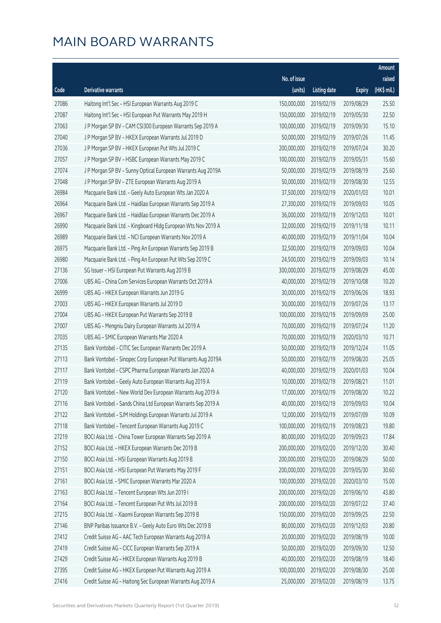|       |                                                              |              |                       |               | Amount                |
|-------|--------------------------------------------------------------|--------------|-----------------------|---------------|-----------------------|
|       |                                                              | No. of issue |                       |               | raised                |
| Code  | Derivative warrants                                          | (units)      | <b>Listing date</b>   | <b>Expiry</b> | $(HK\frac{1}{2}mil.)$ |
| 27086 | Haitong Int'l Sec - HSI European Warrants Aug 2019 C         | 150,000,000  | 2019/02/19            | 2019/08/29    | 25.50                 |
| 27087 | Haitong Int'l Sec - HSI European Put Warrants May 2019 H     | 150,000,000  | 2019/02/19            | 2019/05/30    | 22.50                 |
| 27063 | J P Morgan SP BV - CAM CSI300 European Warrants Sep 2019 A   | 100,000,000  | 2019/02/19            | 2019/09/30    | 15.10                 |
| 27040 | J P Morgan SP BV - HKEX European Warrants Jul 2019 D         | 50,000,000   | 2019/02/19            | 2019/07/26    | 11.45                 |
| 27036 | J P Morgan SP BV - HKEX European Put Wts Jul 2019 C          | 200,000,000  | 2019/02/19            | 2019/07/24    | 30.20                 |
| 27057 | J P Morgan SP BV - HSBC European Warrants May 2019 C         | 100,000,000  | 2019/02/19            | 2019/05/31    | 15.60                 |
| 27074 | J P Morgan SP BV - Sunny Optical European Warrants Aug 2019A | 50,000,000   | 2019/02/19            | 2019/08/19    | 25.60                 |
| 27048 | J P Morgan SP BV - ZTE European Warrants Aug 2019 A          | 50,000,000   | 2019/02/19            | 2019/08/30    | 12.55                 |
| 26984 | Macquarie Bank Ltd. - Geely Auto European Wts Jan 2020 A     | 37,500,000   | 2019/02/19            | 2020/01/03    | 10.01                 |
| 26964 | Macquarie Bank Ltd. - Haidilao European Warrants Sep 2019 A  | 27,300,000   | 2019/02/19            | 2019/09/03    | 10.05                 |
| 26967 | Macquarie Bank Ltd. - Haidilao European Warrants Dec 2019 A  | 36,000,000   | 2019/02/19            | 2019/12/03    | 10.01                 |
| 26990 | Macquarie Bank Ltd. - Kingboard Hldg European Wts Nov 2019 A | 32,000,000   | 2019/02/19            | 2019/11/18    | 10.11                 |
| 26989 | Macquarie Bank Ltd. - NCI European Warrants Nov 2019 A       | 40,000,000   | 2019/02/19            | 2019/11/04    | 10.04                 |
| 26975 | Macquarie Bank Ltd. - Ping An European Warrants Sep 2019 B   | 32,500,000   | 2019/02/19            | 2019/09/03    | 10.04                 |
| 26980 | Macquarie Bank Ltd. - Ping An European Put Wts Sep 2019 C    | 24,500,000   | 2019/02/19            | 2019/09/03    | 10.14                 |
| 27136 | SG Issuer - HSI European Put Warrants Aug 2019 B             | 300,000,000  | 2019/02/19            | 2019/08/29    | 45.00                 |
| 27006 | UBS AG - China Com Services European Warrants Oct 2019 A     | 40,000,000   | 2019/02/19            | 2019/10/08    | 10.20                 |
| 26999 | UBS AG - HKEX European Warrants Jun 2019 G                   | 30,000,000   | 2019/02/19            | 2019/06/26    | 18.93                 |
| 27003 | UBS AG - HKEX European Warrants Jul 2019 D                   | 30,000,000   | 2019/02/19            | 2019/07/26    | 13.17                 |
| 27004 | UBS AG - HKEX European Put Warrants Sep 2019 B               | 100,000,000  | 2019/02/19            | 2019/09/09    | 25.00                 |
| 27007 | UBS AG - Mengniu Dairy European Warrants Jul 2019 A          | 70,000,000   | 2019/02/19            | 2019/07/24    | 11.20                 |
| 27035 | UBS AG - SMIC European Warrants Mar 2020 A                   | 70,000,000   | 2019/02/19            | 2020/03/10    | 10.71                 |
| 27135 | Bank Vontobel - CITIC Sec European Warrants Dec 2019 A       | 50,000,000   | 2019/02/19            | 2019/12/24    | 11.05                 |
| 27113 | Bank Vontobel - Sinopec Corp European Put Warrants Aug 2019A | 50,000,000   | 2019/02/19            | 2019/08/20    | 25.05                 |
| 27117 | Bank Vontobel - CSPC Pharma European Warrants Jan 2020 A     | 40,000,000   | 2019/02/19            | 2020/01/03    | 10.04                 |
| 27119 | Bank Vontobel - Geely Auto European Warrants Aug 2019 A      | 10,000,000   | 2019/02/19            | 2019/08/21    | 11.01                 |
| 27120 | Bank Vontobel - New World Dev European Warrants Aug 2019 A   |              | 17,000,000 2019/02/19 | 2019/08/20    | 10.22                 |
| 27116 | Bank Vontobel - Sands China Ltd European Warrants Sep 2019 A | 40,000,000   | 2019/02/19            | 2019/09/03    | 10.04                 |
| 27122 | Bank Vontobel - SJM Holdings European Warrants Jul 2019 A    | 12,000,000   | 2019/02/19            | 2019/07/09    | 10.09                 |
| 27118 | Bank Vontobel - Tencent European Warrants Aug 2019 C         | 100,000,000  | 2019/02/19            | 2019/08/23    | 19.80                 |
| 27219 | BOCI Asia Ltd. - China Tower European Warrants Sep 2019 A    | 80,000,000   | 2019/02/20            | 2019/09/23    | 17.84                 |
| 27152 | BOCI Asia Ltd. - HKEX European Warrants Dec 2019 B           | 200,000,000  | 2019/02/20            | 2019/12/20    | 30.40                 |
| 27150 | BOCI Asia Ltd. - HSI European Warrants Aug 2019 B            | 200,000,000  | 2019/02/20            | 2019/08/29    | 50.00                 |
| 27151 | BOCI Asia Ltd. - HSI European Put Warrants May 2019 F        | 200,000,000  | 2019/02/20            | 2019/05/30    | 30.60                 |
| 27161 | BOCI Asia Ltd. - SMIC European Warrants Mar 2020 A           | 100,000,000  | 2019/02/20            | 2020/03/10    | 15.00                 |
| 27163 | BOCI Asia Ltd. - Tencent European Wts Jun 2019 I             | 200,000,000  | 2019/02/20            | 2019/06/10    | 43.80                 |
| 27164 | BOCI Asia Ltd. - Tencent European Put Wts Jul 2019 B         | 200,000,000  | 2019/02/20            | 2019/07/22    | 37.40                 |
| 27215 | BOCI Asia Ltd. - Xiaomi European Warrants Sep 2019 B         | 150,000,000  | 2019/02/20            | 2019/09/25    | 22.50                 |
| 27146 | BNP Paribas Issuance B.V. - Geely Auto Euro Wts Dec 2019 B   | 80,000,000   | 2019/02/20            | 2019/12/03    | 20.80                 |
| 27412 | Credit Suisse AG - AAC Tech European Warrants Aug 2019 A     | 20,000,000   | 2019/02/20            | 2019/08/19    | 10.00                 |
| 27419 | Credit Suisse AG - CICC European Warrants Sep 2019 A         | 50,000,000   | 2019/02/20            | 2019/09/30    | 12.50                 |
| 27429 | Credit Suisse AG - HKEX European Warrants Aug 2019 B         | 40,000,000   | 2019/02/20            | 2019/08/19    | 18.40                 |
| 27395 | Credit Suisse AG - HKEX European Put Warrants Aug 2019 A     | 100,000,000  | 2019/02/20            | 2019/08/30    | 25.00                 |
| 27416 | Credit Suisse AG - Haitong Sec European Warrants Aug 2019 A  | 25,000,000   | 2019/02/20            | 2019/08/19    | 13.75                 |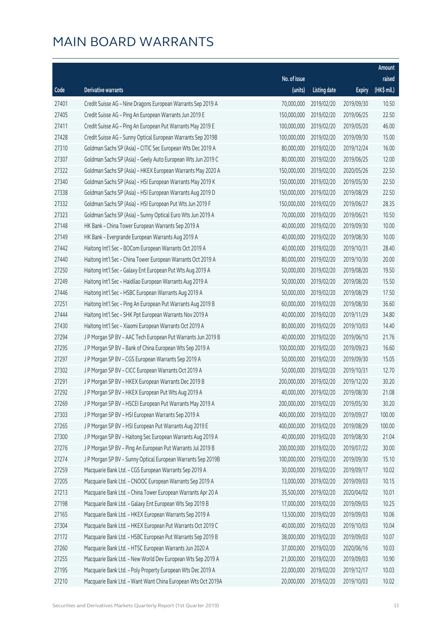|       |                                                              |              |                       |               | Amount      |
|-------|--------------------------------------------------------------|--------------|-----------------------|---------------|-------------|
|       |                                                              | No. of issue |                       |               | raised      |
| Code  | Derivative warrants                                          | (units)      | <b>Listing date</b>   | <b>Expiry</b> | (HK\$ mil.) |
| 27401 | Credit Suisse AG - Nine Dragons European Warrants Sep 2019 A | 70,000,000   | 2019/02/20            | 2019/09/30    | 10.50       |
| 27405 | Credit Suisse AG - Ping An European Warrants Jun 2019 E      | 150,000,000  | 2019/02/20            | 2019/06/25    | 22.50       |
| 27411 | Credit Suisse AG - Ping An European Put Warrants May 2019 E  | 100,000,000  | 2019/02/20            | 2019/05/20    | 46.00       |
| 27428 | Credit Suisse AG - Sunny Optical European Warrants Sep 2019B | 100,000,000  | 2019/02/20            | 2019/09/30    | 15.00       |
| 27310 | Goldman Sachs SP (Asia) - CITIC Sec European Wts Dec 2019 A  | 80,000,000   | 2019/02/20            | 2019/12/24    | 16.00       |
| 27307 | Goldman Sachs SP (Asia) - Geely Auto European Wts Jun 2019 C | 80,000,000   | 2019/02/20            | 2019/06/25    | 12.00       |
| 27322 | Goldman Sachs SP (Asia) - HKEX European Warrants May 2020 A  | 150,000,000  | 2019/02/20            | 2020/05/26    | 22.50       |
| 27340 | Goldman Sachs SP (Asia) - HSI European Warrants May 2019 K   | 150,000,000  | 2019/02/20            | 2019/05/30    | 22.50       |
| 27338 | Goldman Sachs SP (Asia) - HSI European Warrants Aug 2019 D   | 150,000,000  | 2019/02/20            | 2019/08/29    | 22.50       |
| 27332 | Goldman Sachs SP (Asia) - HSI European Put Wts Jun 2019 F    | 150,000,000  | 2019/02/20            | 2019/06/27    | 28.35       |
| 27323 | Goldman Sachs SP (Asia) - Sunny Optical Euro Wts Jun 2019 A  | 70,000,000   | 2019/02/20            | 2019/06/21    | 10.50       |
| 27148 | HK Bank - China Tower European Warrants Sep 2019 A           | 40,000,000   | 2019/02/20            | 2019/09/30    | 10.00       |
| 27149 | HK Bank - Evergrande European Warrants Aug 2019 A            | 40,000,000   | 2019/02/20            | 2019/08/30    | 10.00       |
| 27442 | Haitong Int'l Sec - BOCom European Warrants Oct 2019 A       | 40,000,000   | 2019/02/20            | 2019/10/31    | 28.40       |
| 27440 | Haitong Int'l Sec - China Tower European Warrants Oct 2019 A | 80,000,000   | 2019/02/20            | 2019/10/30    | 20.00       |
| 27250 | Haitong Int'l Sec - Galaxy Ent European Put Wts Aug 2019 A   | 50,000,000   | 2019/02/20            | 2019/08/20    | 19.50       |
| 27249 | Haitong Int'l Sec - Haidilao European Warrants Aug 2019 A    | 50,000,000   | 2019/02/20            | 2019/08/20    | 15.50       |
| 27446 | Haitong Int'l Sec - HSBC European Warrants Aug 2019 A        | 50,000,000   | 2019/02/20            | 2019/08/29    | 17.50       |
| 27251 | Haitong Int'l Sec - Ping An European Put Warrants Aug 2019 B | 60,000,000   | 2019/02/20            | 2019/08/30    | 36.60       |
| 27444 | Haitong Int'l Sec - SHK Ppt European Warrants Nov 2019 A     | 40,000,000   | 2019/02/20            | 2019/11/29    | 34.80       |
| 27430 | Haitong Int'l Sec - Xiaomi European Warrants Oct 2019 A      | 80,000,000   | 2019/02/20            | 2019/10/03    | 14.40       |
| 27294 | J P Morgan SP BV - AAC Tech European Put Warrants Jun 2019 B | 40,000,000   | 2019/02/20            | 2019/06/10    | 21.76       |
| 27295 | J P Morgan SP BV - Bank of China European Wts Sep 2019 A     | 100,000,000  | 2019/02/20            | 2019/09/23    | 16.60       |
| 27297 | J P Morgan SP BV - CGS European Warrants Sep 2019 A          | 50,000,000   | 2019/02/20            | 2019/09/30    | 15.05       |
| 27302 | J P Morgan SP BV - CICC European Warrants Oct 2019 A         | 50,000,000   | 2019/02/20            | 2019/10/31    | 12.70       |
| 27291 | J P Morgan SP BV - HKEX European Warrants Dec 2019 B         | 200,000,000  | 2019/02/20            | 2019/12/20    | 30.20       |
| 27292 | J P Morgan SP BV - HKEX European Put Wts Aug 2019 A          |              | 40,000,000 2019/02/20 | 2019/08/30    | 21.08       |
| 27269 | J P Morgan SP BV - HSCEI European Put Warrants May 2019 A    | 200,000,000  | 2019/02/20            | 2019/05/30    | 30.20       |
| 27303 | J P Morgan SP BV - HSI European Warrants Sep 2019 A          | 400,000,000  | 2019/02/20            | 2019/09/27    | 100.00      |
| 27265 | J P Morgan SP BV - HSI European Put Warrants Aug 2019 E      | 400,000,000  | 2019/02/20            | 2019/08/29    | 100.00      |
| 27300 | J P Morgan SP BV - Haitong Sec European Warrants Aug 2019 A  | 40,000,000   | 2019/02/20            | 2019/08/30    | 21.04       |
| 27276 | J P Morgan SP BV - Ping An European Put Warrants Jul 2019 B  | 200,000,000  | 2019/02/20            | 2019/07/22    | 30.00       |
| 27274 | J P Morgan SP BV - Sunny Optical European Warrants Sep 2019B | 100,000,000  | 2019/02/20            | 2019/09/30    | 15.10       |
| 27259 | Macquarie Bank Ltd. - CGS European Warrants Sep 2019 A       | 30,000,000   | 2019/02/20            | 2019/09/17    | 10.02       |
| 27205 | Macquarie Bank Ltd. - CNOOC European Warrants Sep 2019 A     | 13,000,000   | 2019/02/20            | 2019/09/03    | 10.15       |
| 27213 | Macquarie Bank Ltd. - China Tower European Warrants Apr 20 A | 35,500,000   | 2019/02/20            | 2020/04/02    | 10.01       |
| 27198 | Macquarie Bank Ltd. - Galaxy Ent European Wts Sep 2019 B     | 17,000,000   | 2019/02/20            | 2019/09/03    | 10.25       |
| 27165 | Macquarie Bank Ltd. - HKEX European Warrants Sep 2019 A      | 13,500,000   | 2019/02/20            | 2019/09/03    | 10.06       |
| 27304 | Macquarie Bank Ltd. - HKEX European Put Warrants Oct 2019 C  | 40,000,000   | 2019/02/20            | 2019/10/03    | 10.04       |
| 27172 | Macquarie Bank Ltd. - HSBC European Put Warrants Sep 2019 B  | 38,000,000   | 2019/02/20            | 2019/09/03    | 10.07       |
| 27260 | Macquarie Bank Ltd. - HTSC European Warrants Jun 2020 A      | 37,000,000   | 2019/02/20            | 2020/06/16    | 10.03       |
| 27255 | Macquarie Bank Ltd. - New World Dev European Wts Sep 2019 A  | 21,000,000   | 2019/02/20            | 2019/09/03    | 10.90       |
| 27195 | Macquarie Bank Ltd. - Poly Property European Wts Dec 2019 A  | 22,000,000   | 2019/02/20            | 2019/12/17    | 10.03       |
| 27210 | Macquarie Bank Ltd. - Want Want China European Wts Oct 2019A | 20,000,000   | 2019/02/20            | 2019/10/03    | 10.02       |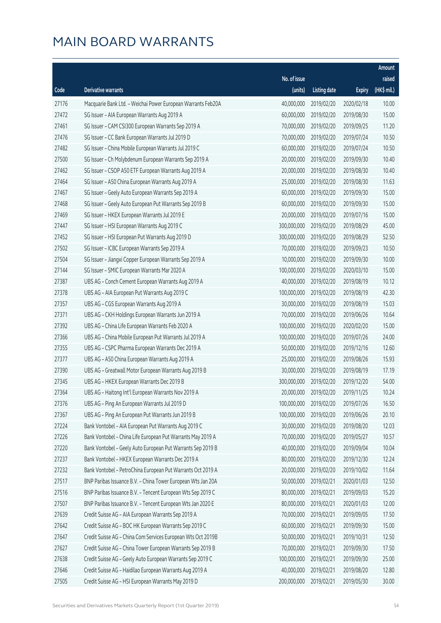|       |                                                              |              |                       |               | Amount      |
|-------|--------------------------------------------------------------|--------------|-----------------------|---------------|-------------|
|       |                                                              | No. of issue |                       |               | raised      |
| Code  | <b>Derivative warrants</b>                                   | (units)      | <b>Listing date</b>   | <b>Expiry</b> | (HK\$ mil.) |
| 27176 | Macquarie Bank Ltd. - Weichai Power European Warrants Feb20A | 40,000,000   | 2019/02/20            | 2020/02/18    | 10.00       |
| 27472 | SG Issuer - AIA European Warrants Aug 2019 A                 | 60,000,000   | 2019/02/20            | 2019/08/30    | 15.00       |
| 27461 | SG Issuer - CAM CSI300 European Warrants Sep 2019 A          | 70,000,000   | 2019/02/20            | 2019/09/25    | 11.20       |
| 27476 | SG Issuer - CC Bank European Warrants Jul 2019 D             | 70,000,000   | 2019/02/20            | 2019/07/24    | 10.50       |
| 27482 | SG Issuer - China Mobile European Warrants Jul 2019 C        | 60,000,000   | 2019/02/20            | 2019/07/24    | 10.50       |
| 27500 | SG Issuer - Ch Molybdenum European Warrants Sep 2019 A       | 20,000,000   | 2019/02/20            | 2019/09/30    | 10.40       |
| 27462 | SG Issuer - CSOP A50 ETF European Warrants Aug 2019 A        | 20,000,000   | 2019/02/20            | 2019/08/30    | 10.40       |
| 27464 | SG Issuer - A50 China European Warrants Aug 2019 A           | 25,000,000   | 2019/02/20            | 2019/08/30    | 11.63       |
| 27467 | SG Issuer - Geely Auto European Warrants Sep 2019 A          | 60,000,000   | 2019/02/20            | 2019/09/30    | 15.00       |
| 27468 | SG Issuer - Geely Auto European Put Warrants Sep 2019 B      | 60,000,000   | 2019/02/20            | 2019/09/30    | 15.00       |
| 27469 | SG Issuer - HKEX European Warrants Jul 2019 E                | 20,000,000   | 2019/02/20            | 2019/07/16    | 15.00       |
| 27447 | SG Issuer - HSI European Warrants Aug 2019 C                 | 300,000,000  | 2019/02/20            | 2019/08/29    | 45.00       |
| 27452 | SG Issuer - HSI European Put Warrants Aug 2019 D             | 300,000,000  | 2019/02/20            | 2019/08/29    | 52.50       |
| 27502 | SG Issuer - ICBC European Warrants Sep 2019 A                | 70,000,000   | 2019/02/20            | 2019/09/23    | 10.50       |
| 27504 | SG Issuer - Jiangxi Copper European Warrants Sep 2019 A      | 10,000,000   | 2019/02/20            | 2019/09/30    | 10.00       |
| 27144 | SG Issuer - SMIC European Warrants Mar 2020 A                | 100,000,000  | 2019/02/20            | 2020/03/10    | 15.00       |
| 27387 | UBS AG - Conch Cement European Warrants Aug 2019 A           | 40,000,000   | 2019/02/20            | 2019/08/19    | 10.12       |
| 27378 | UBS AG - AIA European Put Warrants Aug 2019 C                | 100,000,000  | 2019/02/20            | 2019/08/19    | 42.30       |
| 27357 | UBS AG - CGS European Warrants Aug 2019 A                    | 30,000,000   | 2019/02/20            | 2019/08/19    | 15.03       |
| 27371 | UBS AG - CKH Holdings European Warrants Jun 2019 A           | 70,000,000   | 2019/02/20            | 2019/06/26    | 10.64       |
| 27392 | UBS AG - China Life European Warrants Feb 2020 A             | 100,000,000  | 2019/02/20            | 2020/02/20    | 15.00       |
| 27366 | UBS AG - China Mobile European Put Warrants Jul 2019 A       | 100,000,000  | 2019/02/20            | 2019/07/26    | 24.00       |
| 27355 | UBS AG - CSPC Pharma European Warrants Dec 2019 A            | 50,000,000   | 2019/02/20            | 2019/12/16    | 12.60       |
| 27377 | UBS AG - A50 China European Warrants Aug 2019 A              | 25,000,000   | 2019/02/20            | 2019/08/26    | 15.93       |
| 27390 | UBS AG - Greatwall Motor European Warrants Aug 2019 B        | 30,000,000   | 2019/02/20            | 2019/08/19    | 17.19       |
| 27345 | UBS AG - HKEX European Warrants Dec 2019 B                   | 300,000,000  | 2019/02/20            | 2019/12/20    | 54.00       |
| 27364 | UBS AG - Haitong Int'l European Warrants Nov 2019 A          |              | 20,000,000 2019/02/20 | 2019/11/25    | 10.24       |
| 27376 | UBS AG - Ping An European Warrants Jul 2019 D                | 100,000,000  | 2019/02/20            | 2019/07/26    | 16.50       |
| 27367 | UBS AG - Ping An European Put Warrants Jun 2019 B            | 100,000,000  | 2019/02/20            | 2019/06/26    | 20.10       |
| 27224 | Bank Vontobel - AIA European Put Warrants Aug 2019 C         | 30,000,000   | 2019/02/20            | 2019/08/20    | 12.03       |
| 27226 | Bank Vontobel - China Life European Put Warrants May 2019 A  | 70,000,000   | 2019/02/20            | 2019/05/27    | 10.57       |
| 27220 | Bank Vontobel - Geely Auto European Put Warrants Sep 2019 B  | 40,000,000   | 2019/02/20            | 2019/09/04    | 10.04       |
| 27237 | Bank Vontobel - HKEX European Warrants Dec 2019 A            | 80,000,000   | 2019/02/20            | 2019/12/30    | 12.24       |
| 27232 | Bank Vontobel - PetroChina European Put Warrants Oct 2019 A  | 20,000,000   | 2019/02/20            | 2019/10/02    | 11.64       |
| 27517 | BNP Paribas Issuance B.V. - China Tower European Wts Jan 20A | 50,000,000   | 2019/02/21            | 2020/01/03    | 12.50       |
| 27516 | BNP Paribas Issuance B.V. - Tencent European Wts Sep 2019 C  | 80,000,000   | 2019/02/21            | 2019/09/03    | 15.20       |
| 27507 | BNP Paribas Issuance B.V. - Tencent European Wts Jan 2020 E  | 80,000,000   | 2019/02/21            | 2020/01/03    | 12.00       |
| 27639 | Credit Suisse AG - AIA European Warrants Sep 2019 A          | 70,000,000   | 2019/02/21            | 2019/09/05    | 17.50       |
| 27642 | Credit Suisse AG - BOC HK European Warrants Sep 2019 C       | 60,000,000   | 2019/02/21            | 2019/09/30    | 15.00       |
| 27647 | Credit Suisse AG - China Com Services European Wts Oct 2019B | 50,000,000   | 2019/02/21            | 2019/10/31    | 12.50       |
| 27627 | Credit Suisse AG - China Tower European Warrants Sep 2019 B  | 70,000,000   | 2019/02/21            | 2019/09/30    | 17.50       |
| 27638 | Credit Suisse AG - Geely Auto European Warrants Sep 2019 C   | 100,000,000  | 2019/02/21            | 2019/09/30    | 25.00       |
| 27646 | Credit Suisse AG - Haidilao European Warrants Aug 2019 A     | 40,000,000   | 2019/02/21            | 2019/08/20    | 12.80       |
| 27505 | Credit Suisse AG - HSI European Warrants May 2019 D          | 200,000,000  | 2019/02/21            | 2019/05/30    | 30.00       |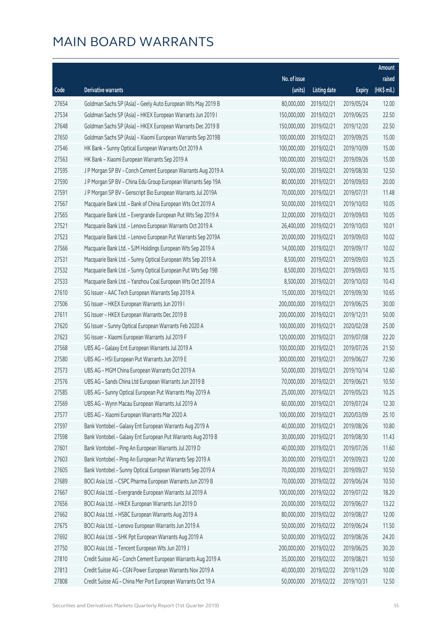|       |                                                              |              |                       |               | Amount      |
|-------|--------------------------------------------------------------|--------------|-----------------------|---------------|-------------|
|       |                                                              | No. of issue |                       |               | raised      |
| Code  | Derivative warrants                                          | (units)      | <b>Listing date</b>   | <b>Expiry</b> | (HK\$ mil.) |
| 27654 | Goldman Sachs SP (Asia) - Geely Auto European Wts May 2019 B | 80,000,000   | 2019/02/21            | 2019/05/24    | 12.00       |
| 27534 | Goldman Sachs SP (Asia) - HKEX European Warrants Jun 2019 I  | 150,000,000  | 2019/02/21            | 2019/06/25    | 22.50       |
| 27648 | Goldman Sachs SP (Asia) - HKEX European Warrants Dec 2019 B  | 150,000,000  | 2019/02/21            | 2019/12/20    | 22.50       |
| 27650 | Goldman Sachs SP (Asia) - Xiaomi European Warrants Sep 2019B | 100,000,000  | 2019/02/21            | 2019/09/25    | 15.00       |
| 27546 | HK Bank - Sunny Optical European Warrants Oct 2019 A         | 100,000,000  | 2019/02/21            | 2019/10/09    | 15.00       |
| 27563 | HK Bank - Xiaomi European Warrants Sep 2019 A                | 100,000,000  | 2019/02/21            | 2019/09/26    | 15.00       |
| 27595 | J P Morgan SP BV - Conch Cement European Warrants Aug 2019 A | 50,000,000   | 2019/02/21            | 2019/08/30    | 12.50       |
| 27590 | J P Morgan SP BV - China Edu Group European Warrants Sep 19A | 80,000,000   | 2019/02/21            | 2019/09/03    | 20.00       |
| 27591 | J P Morgan SP BV - Genscript Bio European Warrants Jul 2019A | 70,000,000   | 2019/02/21            | 2019/07/31    | 11.48       |
| 27567 | Macquarie Bank Ltd. - Bank of China European Wts Oct 2019 A  | 50,000,000   | 2019/02/21            | 2019/10/03    | 10.05       |
| 27565 | Macquarie Bank Ltd. - Evergrande European Put Wts Sep 2019 A | 32,000,000   | 2019/02/21            | 2019/09/03    | 10.05       |
| 27521 | Macquarie Bank Ltd. - Lenovo European Warrants Oct 2019 A    | 26,400,000   | 2019/02/21            | 2019/10/03    | 10.01       |
| 27523 | Macquarie Bank Ltd. - Lenovo European Put Warrants Sep 2019A | 20,000,000   | 2019/02/21            | 2019/09/03    | 10.02       |
| 27566 | Macquarie Bank Ltd. - SJM Holdings European Wts Sep 2019 A   | 14,000,000   | 2019/02/21            | 2019/09/17    | 10.02       |
| 27531 | Macquarie Bank Ltd. - Sunny Optical European Wts Sep 2019 A  | 8,500,000    | 2019/02/21            | 2019/09/03    | 10.25       |
| 27532 | Macquarie Bank Ltd. - Sunny Optical European Put Wts Sep 19B | 8,500,000    | 2019/02/21            | 2019/09/03    | 10.15       |
| 27533 | Macquarie Bank Ltd. - Yanzhou Coal European Wts Oct 2019 A   | 8,500,000    | 2019/02/21            | 2019/10/03    | 10.43       |
| 27610 | SG Issuer - AAC Tech European Warrants Sep 2019 A            | 15,000,000   | 2019/02/21            | 2019/09/30    | 10.65       |
| 27506 | SG Issuer - HKEX European Warrants Jun 2019 I                | 200,000,000  | 2019/02/21            | 2019/06/25    | 30.00       |
| 27611 | SG Issuer - HKEX European Warrants Dec 2019 B                | 200,000,000  | 2019/02/21            | 2019/12/31    | 50.00       |
| 27620 | SG Issuer - Sunny Optical European Warrants Feb 2020 A       | 100,000,000  | 2019/02/21            | 2020/02/28    | 25.00       |
| 27623 | SG Issuer - Xiaomi European Warrants Jul 2019 F              | 120,000,000  | 2019/02/21            | 2019/07/08    | 22.20       |
| 27568 | UBS AG - Galaxy Ent European Warrants Jul 2019 A             | 100,000,000  | 2019/02/21            | 2019/07/26    | 21.50       |
| 27580 | UBS AG - HSI European Put Warrants Jun 2019 E                | 300,000,000  | 2019/02/21            | 2019/06/27    | 72.90       |
| 27573 | UBS AG - MGM China European Warrants Oct 2019 A              | 50,000,000   | 2019/02/21            | 2019/10/14    | 12.60       |
| 27576 | UBS AG - Sands China Ltd European Warrants Jun 2019 B        | 70,000,000   | 2019/02/21            | 2019/06/21    | 10.50       |
| 27585 | UBS AG - Sunny Optical European Put Warrants May 2019 A      |              | 25,000,000 2019/02/21 | 2019/05/23    | 10.25       |
| 27569 | UBS AG - Wynn Macau European Warrants Jul 2019 A             | 60,000,000   | 2019/02/21            | 2019/07/24    | 12.30       |
| 27577 | UBS AG - Xiaomi European Warrants Mar 2020 A                 | 100,000,000  | 2019/02/21            | 2020/03/09    | 25.10       |
| 27597 | Bank Vontobel - Galaxy Ent European Warrants Aug 2019 A      | 40,000,000   | 2019/02/21            | 2019/08/26    | 10.80       |
| 27598 | Bank Vontobel - Galaxy Ent European Put Warrants Aug 2019 B  | 30,000,000   | 2019/02/21            | 2019/08/30    | 11.43       |
| 27601 | Bank Vontobel - Ping An European Warrants Jul 2019 D         | 40,000,000   | 2019/02/21            | 2019/07/26    | 11.60       |
| 27603 | Bank Vontobel - Ping An European Put Warrants Sep 2019 A     | 30,000,000   | 2019/02/21            | 2019/09/23    | 12.00       |
| 27605 | Bank Vontobel - Sunny Optical European Warrants Sep 2019 A   | 70,000,000   | 2019/02/21            | 2019/09/27    | 10.50       |
| 27689 | BOCI Asia Ltd. - CSPC Pharma European Warrants Jun 2019 B    | 70,000,000   | 2019/02/22            | 2019/06/24    | 10.50       |
| 27667 | BOCI Asia Ltd. - Evergrande European Warrants Jul 2019 A     | 100,000,000  | 2019/02/22            | 2019/07/22    | 18.20       |
| 27656 | BOCI Asia Ltd. - HKEX European Warrants Jun 2019 D           | 20,000,000   | 2019/02/22            | 2019/06/27    | 13.22       |
| 27662 | BOCI Asia Ltd. - HSBC European Warrants Aug 2019 A           | 80,000,000   | 2019/02/22            | 2019/08/27    | 12.00       |
| 27675 | BOCI Asia Ltd. - Lenovo European Warrants Jun 2019 A         | 50,000,000   | 2019/02/22            | 2019/06/24    | 11.50       |
| 27692 | BOCI Asia Ltd. - SHK Ppt European Warrants Aug 2019 A        | 50,000,000   | 2019/02/22            | 2019/08/26    | 24.20       |
| 27750 | BOCI Asia Ltd. - Tencent European Wts Jun 2019 J             | 200,000,000  | 2019/02/22            | 2019/06/25    | 30.20       |
| 27810 | Credit Suisse AG - Conch Cement European Warrants Aug 2019 A | 35,000,000   | 2019/02/22            | 2019/08/21    | 10.50       |
| 27813 | Credit Suisse AG - CGN Power European Warrants Nov 2019 A    | 40,000,000   | 2019/02/22            | 2019/11/29    | 10.00       |
| 27808 | Credit Suisse AG - China Mer Port European Warrants Oct 19 A | 50,000,000   | 2019/02/22            | 2019/10/31    | 12.50       |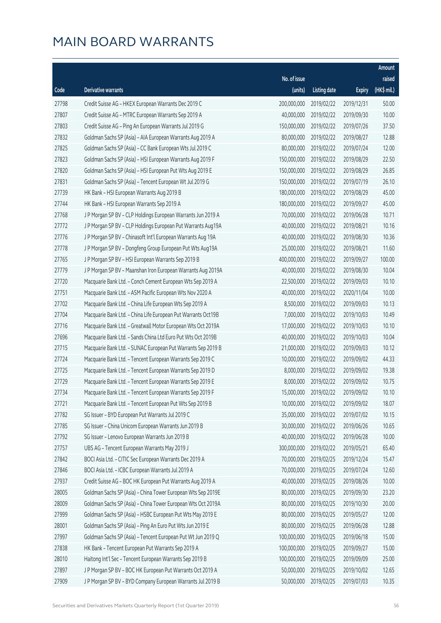|       |                                                               |              |                       |               | Amount      |
|-------|---------------------------------------------------------------|--------------|-----------------------|---------------|-------------|
|       |                                                               | No. of issue |                       |               | raised      |
| Code  | Derivative warrants                                           | (units)      | <b>Listing date</b>   | <b>Expiry</b> | (HK\$ mil.) |
| 27798 | Credit Suisse AG - HKEX European Warrants Dec 2019 C          | 200,000,000  | 2019/02/22            | 2019/12/31    | 50.00       |
| 27807 | Credit Suisse AG - MTRC European Warrants Sep 2019 A          | 40,000,000   | 2019/02/22            | 2019/09/30    | 10.00       |
| 27803 | Credit Suisse AG - Ping An European Warrants Jul 2019 G       | 150,000,000  | 2019/02/22            | 2019/07/26    | 37.50       |
| 27832 | Goldman Sachs SP (Asia) - AIA European Warrants Aug 2019 A    | 80,000,000   | 2019/02/22            | 2019/08/27    | 12.88       |
| 27825 | Goldman Sachs SP (Asia) - CC Bank European Wts Jul 2019 C     | 80,000,000   | 2019/02/22            | 2019/07/24    | 12.00       |
| 27823 | Goldman Sachs SP (Asia) - HSI European Warrants Aug 2019 F    | 150,000,000  | 2019/02/22            | 2019/08/29    | 22.50       |
| 27820 | Goldman Sachs SP (Asia) - HSI European Put Wts Aug 2019 E     | 150,000,000  | 2019/02/22            | 2019/08/29    | 26.85       |
| 27831 | Goldman Sachs SP (Asia) - Tencent European Wt Jul 2019 G      | 150,000,000  | 2019/02/22            | 2019/07/19    | 26.10       |
| 27739 | HK Bank - HSI European Warrants Aug 2019 B                    | 180,000,000  | 2019/02/22            | 2019/08/29    | 45.00       |
| 27744 | HK Bank - HSI European Warrants Sep 2019 A                    | 180,000,000  | 2019/02/22            | 2019/09/27    | 45.00       |
| 27768 | J P Morgan SP BV - CLP Holdings European Warrants Jun 2019 A  | 70,000,000   | 2019/02/22            | 2019/06/28    | 10.71       |
| 27772 | J P Morgan SP BV - CLP Holdings European Put Warrants Aug19A  | 40,000,000   | 2019/02/22            | 2019/08/21    | 10.16       |
| 27776 | J P Morgan SP BV - Chinasoft Int'l European Warrants Aug 19A  | 40,000,000   | 2019/02/22            | 2019/08/30    | 10.36       |
| 27778 | J P Morgan SP BV - Dongfeng Group European Put Wts Aug19A     | 25,000,000   | 2019/02/22            | 2019/08/21    | 11.60       |
| 27765 | J P Morgan SP BV - HSI European Warrants Sep 2019 B           | 400,000,000  | 2019/02/22            | 2019/09/27    | 100.00      |
| 27779 | J P Morgan SP BV - Maanshan Iron European Warrants Aug 2019A  | 40,000,000   | 2019/02/22            | 2019/08/30    | 10.04       |
| 27720 | Macquarie Bank Ltd. - Conch Cement European Wts Sep 2019 A    | 22,500,000   | 2019/02/22            | 2019/09/03    | 10.10       |
| 27751 | Macquarie Bank Ltd. - ASM Pacific European Wts Nov 2020 A     | 40,000,000   | 2019/02/22            | 2020/11/04    | 10.00       |
| 27702 | Macquarie Bank Ltd. - China Life European Wts Sep 2019 A      | 8,500,000    | 2019/02/22            | 2019/09/03    | 10.13       |
| 27704 | Macquarie Bank Ltd. - China Life European Put Warrants Oct19B | 7,000,000    | 2019/02/22            | 2019/10/03    | 10.49       |
| 27716 | Macquarie Bank Ltd. - Greatwall Motor European Wts Oct 2019A  | 17,000,000   | 2019/02/22            | 2019/10/03    | 10.10       |
| 27696 | Macquarie Bank Ltd. - Sands China Ltd Euro Put Wts Oct 2019B  | 40,000,000   | 2019/02/22            | 2019/10/03    | 10.04       |
| 27715 | Macquarie Bank Ltd. - SUNAC European Put Warrants Sep 2019 B  | 21,000,000   | 2019/02/22            | 2019/09/03    | 10.12       |
| 27724 | Macquarie Bank Ltd. - Tencent European Warrants Sep 2019 C    | 10,000,000   | 2019/02/22            | 2019/09/02    | 44.33       |
| 27725 | Macquarie Bank Ltd. - Tencent European Warrants Sep 2019 D    | 8,000,000    | 2019/02/22            | 2019/09/02    | 19.38       |
| 27729 | Macquarie Bank Ltd. - Tencent European Warrants Sep 2019 E    | 8,000,000    | 2019/02/22            | 2019/09/02    | 10.75       |
| 27734 | Macquarie Bank Ltd. - Tencent European Warrants Sep 2019 F    |              | 15,000,000 2019/02/22 | 2019/09/02    | 10.10       |
| 27721 | Macquarie Bank Ltd. - Tencent European Put Wts Sep 2019 B     | 10,000,000   | 2019/02/22            | 2019/09/02    | 18.07       |
| 27782 | SG Issuer - BYD European Put Warrants Jul 2019 C              | 35,000,000   | 2019/02/22            | 2019/07/02    | 10.15       |
| 27785 | SG Issuer - China Unicom European Warrants Jun 2019 B         | 30,000,000   | 2019/02/22            | 2019/06/26    | 10.65       |
| 27792 | SG Issuer - Lenovo European Warrants Jun 2019 B               | 40,000,000   | 2019/02/22            | 2019/06/28    | 10.00       |
| 27757 | UBS AG - Tencent European Warrants May 2019 J                 | 300,000,000  | 2019/02/22            | 2019/05/21    | 65.40       |
| 27842 | BOCI Asia Ltd. - CITIC Sec European Warrants Dec 2019 A       | 70,000,000   | 2019/02/25            | 2019/12/24    | 15.47       |
| 27846 | BOCI Asia Ltd. - ICBC European Warrants Jul 2019 A            | 70,000,000   | 2019/02/25            | 2019/07/24    | 12.60       |
| 27937 | Credit Suisse AG - BOC HK European Put Warrants Aug 2019 A    | 40,000,000   | 2019/02/25            | 2019/08/26    | 10.00       |
| 28005 | Goldman Sachs SP (Asia) - China Tower European Wts Sep 2019E  | 80,000,000   | 2019/02/25            | 2019/09/30    | 23.20       |
| 28009 | Goldman Sachs SP (Asia) - China Tower European Wts Oct 2019A  | 80,000,000   | 2019/02/25            | 2019/10/30    | 20.00       |
| 27999 | Goldman Sachs SP (Asia) - HSBC European Put Wts May 2019 E    | 80,000,000   | 2019/02/25            | 2019/05/27    | 12.00       |
| 28001 | Goldman Sachs SP (Asia) - Ping An Euro Put Wts Jun 2019 E     | 80,000,000   | 2019/02/25            | 2019/06/28    | 12.88       |
| 27997 | Goldman Sachs SP (Asia) - Tencent European Put Wt Jun 2019 Q  | 100,000,000  | 2019/02/25            | 2019/06/18    | 15.00       |
| 27838 | HK Bank - Tencent European Put Warrants Sep 2019 A            | 100,000,000  | 2019/02/25            | 2019/09/27    | 15.00       |
| 28010 | Haitong Int'l Sec - Tencent European Warrants Sep 2019 B      | 100,000,000  | 2019/02/25            | 2019/09/09    | 25.00       |
| 27897 | J P Morgan SP BV - BOC HK European Put Warrants Oct 2019 A    | 50,000,000   | 2019/02/25            | 2019/10/02    | 12.65       |
| 27909 | J P Morgan SP BV - BYD Company European Warrants Jul 2019 B   | 50,000,000   | 2019/02/25            | 2019/07/03    | 10.35       |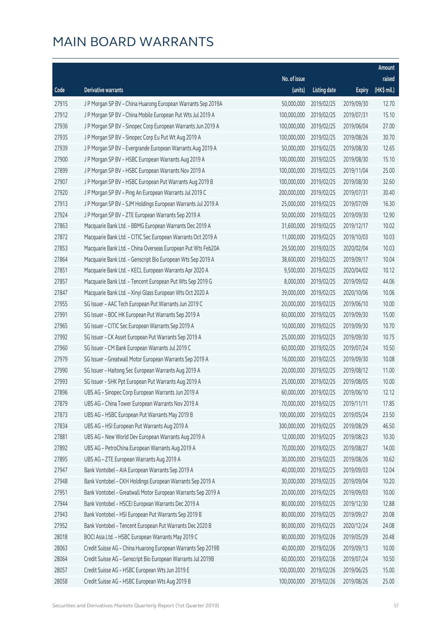|       |                                                              |              |                       |               | Amount                |
|-------|--------------------------------------------------------------|--------------|-----------------------|---------------|-----------------------|
|       |                                                              | No. of issue |                       |               | raised                |
| Code  | Derivative warrants                                          | (units)      | <b>Listing date</b>   | <b>Expiry</b> | $(HK\frac{1}{2}mil.)$ |
| 27915 | J P Morgan SP BV - China Huarong European Warrants Sep 2019A | 50,000,000   | 2019/02/25            | 2019/09/30    | 12.70                 |
| 27912 | J P Morgan SP BV - China Mobile European Put Wts Jul 2019 A  | 100,000,000  | 2019/02/25            | 2019/07/31    | 15.10                 |
| 27936 | J P Morgan SP BV - Sinopec Corp European Warrants Jun 2019 A | 100,000,000  | 2019/02/25            | 2019/06/04    | 27.00                 |
| 27935 | J P Morgan SP BV - Sinopec Corp Eu Put Wt Aug 2019 A         | 100,000,000  | 2019/02/25            | 2019/08/26    | 30.70                 |
| 27939 | J P Morgan SP BV - Evergrande European Warrants Aug 2019 A   | 50,000,000   | 2019/02/25            | 2019/08/30    | 12.65                 |
| 27900 | J P Morgan SP BV - HSBC European Warrants Aug 2019 A         | 100,000,000  | 2019/02/25            | 2019/08/30    | 15.10                 |
| 27899 | J P Morgan SP BV - HSBC European Warrants Nov 2019 A         | 100,000,000  | 2019/02/25            | 2019/11/04    | 25.00                 |
| 27907 | J P Morgan SP BV - HSBC European Put Warrants Aug 2019 B     | 100,000,000  | 2019/02/25            | 2019/08/30    | 32.60                 |
| 27920 | J P Morgan SP BV - Ping An European Warrants Jul 2019 C      | 200,000,000  | 2019/02/25            | 2019/07/31    | 30.40                 |
| 27913 | J P Morgan SP BV - SJM Holdings European Warrants Jul 2019 A | 25,000,000   | 2019/02/25            | 2019/07/09    | 16.30                 |
| 27924 | J P Morgan SP BV - ZTE European Warrants Sep 2019 A          | 50,000,000   | 2019/02/25            | 2019/09/30    | 12.90                 |
| 27863 | Macquarie Bank Ltd. - BBMG European Warrants Dec 2019 A      | 31,600,000   | 2019/02/25            | 2019/12/17    | 10.02                 |
| 27872 | Macquarie Bank Ltd. - CITIC Sec European Warrants Oct 2019 A | 11,000,000   | 2019/02/25            | 2019/10/03    | 10.03                 |
| 27853 | Macquarie Bank Ltd. - China Overseas European Put Wts Feb20A | 29,500,000   | 2019/02/25            | 2020/02/04    | 10.03                 |
| 27864 | Macquarie Bank Ltd. - Genscript Bio European Wts Sep 2019 A  | 38,600,000   | 2019/02/25            | 2019/09/17    | 10.04                 |
| 27851 | Macquarie Bank Ltd. - KECL European Warrants Apr 2020 A      | 9,500,000    | 2019/02/25            | 2020/04/02    | 10.12                 |
| 27857 | Macquarie Bank Ltd. - Tencent European Put Wts Sep 2019 G    | 8,000,000    | 2019/02/25            | 2019/09/02    | 44.06                 |
| 27847 | Macquarie Bank Ltd. - Xinyi Glass European Wts Oct 2020 A    | 39,000,000   | 2019/02/25            | 2020/10/06    | 10.06                 |
| 27955 | SG Issuer - AAC Tech European Put Warrants Jun 2019 C        | 20,000,000   | 2019/02/25            | 2019/06/10    | 10.00                 |
| 27991 | SG Issuer - BOC HK European Put Warrants Sep 2019 A          | 60,000,000   | 2019/02/25            | 2019/09/30    | 15.00                 |
| 27965 | SG Issuer - CITIC Sec European Warrants Sep 2019 A           | 10,000,000   | 2019/02/25            | 2019/09/30    | 10.70                 |
| 27992 | SG Issuer - CK Asset European Put Warrants Sep 2019 A        | 25,000,000   | 2019/02/25            | 2019/09/30    | 10.75                 |
| 27960 | SG Issuer - CM Bank European Warrants Jul 2019 C             | 60,000,000   | 2019/02/25            | 2019/07/24    | 10.50                 |
| 27979 | SG Issuer - Greatwall Motor European Warrants Sep 2019 A     | 16,000,000   | 2019/02/25            | 2019/09/30    | 10.08                 |
| 27990 | SG Issuer - Haitong Sec European Warrants Aug 2019 A         | 20,000,000   | 2019/02/25            | 2019/08/12    | 11.00                 |
| 27993 | SG Issuer - SHK Ppt European Put Warrants Aug 2019 A         | 25,000,000   | 2019/02/25            | 2019/08/05    | 10.00                 |
| 27896 | UBS AG – Sinopec Corp European Warrants Jun 2019 A           |              | 60,000,000 2019/02/25 | 2019/06/10    | 12.12                 |
| 27879 | UBS AG - China Tower European Warrants Nov 2019 A            | 70,000,000   | 2019/02/25            | 2019/11/11    | 17.85                 |
| 27873 | UBS AG - HSBC European Put Warrants May 2019 B               | 100,000,000  | 2019/02/25            | 2019/05/24    | 23.50                 |
| 27834 | UBS AG - HSI European Put Warrants Aug 2019 A                | 300,000,000  | 2019/02/25            | 2019/08/29    | 46.50                 |
| 27881 | UBS AG - New World Dev European Warrants Aug 2019 A          | 12,000,000   | 2019/02/25            | 2019/08/23    | 10.30                 |
| 27892 | UBS AG - PetroChina European Warrants Aug 2019 A             | 70,000,000   | 2019/02/25            | 2019/08/27    | 14.00                 |
| 27895 | UBS AG - ZTE European Warrants Aug 2019 A                    | 30,000,000   | 2019/02/25            | 2019/08/26    | 10.62                 |
| 27947 | Bank Vontobel - AIA European Warrants Sep 2019 A             | 40,000,000   | 2019/02/25            | 2019/09/03    | 12.04                 |
| 27948 | Bank Vontobel - CKH Holdings European Warrants Sep 2019 A    | 30,000,000   | 2019/02/25            | 2019/09/04    | 10.20                 |
| 27951 | Bank Vontobel - Greatwall Motor European Warrants Sep 2019 A | 20,000,000   | 2019/02/25            | 2019/09/03    | 10.00                 |
| 27944 | Bank Vontobel - HSCEI European Warrants Dec 2019 A           | 80,000,000   | 2019/02/25            | 2019/12/30    | 12.88                 |
| 27943 | Bank Vontobel - HSI European Put Warrants Sep 2019 B         | 80,000,000   | 2019/02/25            | 2019/09/27    | 20.08                 |
| 27952 | Bank Vontobel - Tencent European Put Warrants Dec 2020 B     | 80,000,000   | 2019/02/25            | 2020/12/24    | 24.08                 |
| 28018 | BOCI Asia Ltd. - HSBC European Warrants May 2019 C           | 80,000,000   | 2019/02/26            | 2019/05/29    | 20.48                 |
| 28063 | Credit Suisse AG - China Huarong European Warrants Sep 2019B | 40,000,000   | 2019/02/26            | 2019/09/13    | 10.00                 |
| 28064 | Credit Suisse AG - Genscript Bio European Warrants Jul 2019B | 60,000,000   | 2019/02/26            | 2019/07/24    | 10.50                 |
| 28057 | Credit Suisse AG - HSBC European Wts Jun 2019 E              | 100,000,000  | 2019/02/26            | 2019/06/25    | 15.00                 |
| 28058 | Credit Suisse AG - HSBC European Wts Aug 2019 B              | 100,000,000  | 2019/02/26            | 2019/08/26    | 25.00                 |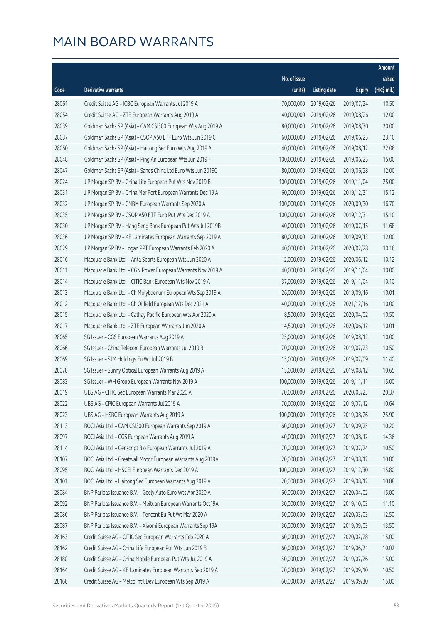|       |                                                              |              |                       |               | Amount      |
|-------|--------------------------------------------------------------|--------------|-----------------------|---------------|-------------|
|       |                                                              | No. of issue |                       |               | raised      |
| Code  | Derivative warrants                                          | (units)      | <b>Listing date</b>   | <b>Expiry</b> | (HK\$ mil.) |
| 28061 | Credit Suisse AG - ICBC European Warrants Jul 2019 A         | 70,000,000   | 2019/02/26            | 2019/07/24    | 10.50       |
| 28054 | Credit Suisse AG - ZTE European Warrants Aug 2019 A          | 40,000,000   | 2019/02/26            | 2019/08/26    | 12.00       |
| 28039 | Goldman Sachs SP (Asia) - CAM CSI300 European Wts Aug 2019 A | 80,000,000   | 2019/02/26            | 2019/08/30    | 20.00       |
| 28037 | Goldman Sachs SP (Asia) - CSOP A50 ETF Euro Wts Jun 2019 C   | 60,000,000   | 2019/02/26            | 2019/06/25    | 23.10       |
| 28050 | Goldman Sachs SP (Asia) - Haitong Sec Euro Wts Aug 2019 A    | 40,000,000   | 2019/02/26            | 2019/08/12    | 22.08       |
| 28048 | Goldman Sachs SP (Asia) - Ping An European Wts Jun 2019 F    | 100,000,000  | 2019/02/26            | 2019/06/25    | 15.00       |
| 28047 | Goldman Sachs SP (Asia) - Sands China Ltd Euro Wts Jun 2019C | 80,000,000   | 2019/02/26            | 2019/06/28    | 12.00       |
| 28024 | J P Morgan SP BV - China Life European Put Wts Nov 2019 B    | 100,000,000  | 2019/02/26            | 2019/11/04    | 25.00       |
| 28031 | J P Morgan SP BV - China Mer Port European Warrants Dec 19 A | 60,000,000   | 2019/02/26            | 2019/12/31    | 15.12       |
| 28032 | J P Morgan SP BV - CNBM European Warrants Sep 2020 A         | 100,000,000  | 2019/02/26            | 2020/09/30    | 16.70       |
| 28035 | J P Morgan SP BV - CSOP A50 ETF Euro Put Wts Dec 2019 A      | 100,000,000  | 2019/02/26            | 2019/12/31    | 15.10       |
| 28030 | J P Morgan SP BV - Hang Seng Bank European Put Wts Jul 2019B | 40,000,000   | 2019/02/26            | 2019/07/15    | 11.68       |
| 28036 | J P Morgan SP BV - KB Laminates European Warrants Sep 2019 A | 80,000,000   | 2019/02/26            | 2019/09/13    | 12.00       |
| 28029 | J P Morgan SP BV - Logan PPT European Warrants Feb 2020 A    | 40,000,000   | 2019/02/26            | 2020/02/28    | 10.16       |
| 28016 | Macquarie Bank Ltd. - Anta Sports European Wts Jun 2020 A    | 12,000,000   | 2019/02/26            | 2020/06/12    | 10.12       |
| 28011 | Macquarie Bank Ltd. - CGN Power European Warrants Nov 2019 A | 40,000,000   | 2019/02/26            | 2019/11/04    | 10.00       |
| 28014 | Macquarie Bank Ltd. - CITIC Bank European Wts Nov 2019 A     | 37,000,000   | 2019/02/26            | 2019/11/04    | 10.10       |
| 28013 | Macquarie Bank Ltd. - Ch Molybdenum European Wts Sep 2019 A  | 26,000,000   | 2019/02/26            | 2019/09/16    | 10.01       |
| 28012 | Macquarie Bank Ltd. - Ch Oilfield European Wts Dec 2021 A    | 40,000,000   | 2019/02/26            | 2021/12/16    | 10.00       |
| 28015 | Macquarie Bank Ltd. - Cathay Pacific European Wts Apr 2020 A | 8,500,000    | 2019/02/26            | 2020/04/02    | 10.50       |
| 28017 | Macquarie Bank Ltd. - ZTE European Warrants Jun 2020 A       | 14,500,000   | 2019/02/26            | 2020/06/12    | 10.01       |
| 28065 | SG Issuer - CGS European Warrants Aug 2019 A                 | 25,000,000   | 2019/02/26            | 2019/08/12    | 10.00       |
| 28066 | SG Issuer - China Telecom European Warrants Jul 2019 B       | 70,000,000   | 2019/02/26            | 2019/07/23    | 10.50       |
| 28069 | SG Issuer - SJM Holdings Eu Wt Jul 2019 B                    | 15,000,000   | 2019/02/26            | 2019/07/09    | 11.40       |
| 28078 | SG Issuer - Sunny Optical European Warrants Aug 2019 A       | 15,000,000   | 2019/02/26            | 2019/08/12    | 10.65       |
| 28083 | SG Issuer - WH Group European Warrants Nov 2019 A            | 100,000,000  | 2019/02/26            | 2019/11/11    | 15.00       |
| 28019 | UBS AG - CITIC Sec European Warrants Mar 2020 A              |              | 70,000,000 2019/02/26 | 2020/03/23    | 20.37       |
| 28022 | UBS AG - CPIC European Warrants Jul 2019 A                   | 70,000,000   | 2019/02/26            | 2019/07/12    | 10.64       |
| 28023 | UBS AG - HSBC European Warrants Aug 2019 A                   | 100,000,000  | 2019/02/26            | 2019/08/26    | 25.90       |
| 28113 | BOCI Asia Ltd. - CAM CSI300 European Warrants Sep 2019 A     | 60,000,000   | 2019/02/27            | 2019/09/25    | 10.20       |
| 28097 | BOCI Asia Ltd. - CGS European Warrants Aug 2019 A            | 40,000,000   | 2019/02/27            | 2019/08/12    | 14.36       |
| 28114 | BOCI Asia Ltd. - Genscript Bio European Warrants Jul 2019 A  | 70,000,000   | 2019/02/27            | 2019/07/24    | 10.50       |
| 28107 | BOCI Asia Ltd. - Greatwall Motor European Warrants Aug 2019A | 20,000,000   | 2019/02/27            | 2019/08/12    | 10.80       |
| 28095 | BOCI Asia Ltd. - HSCEI European Warrants Dec 2019 A          | 100,000,000  | 2019/02/27            | 2019/12/30    | 15.80       |
| 28101 | BOCI Asia Ltd. - Haitong Sec European Warrants Aug 2019 A    | 20,000,000   | 2019/02/27            | 2019/08/12    | 10.08       |
| 28084 | BNP Paribas Issuance B.V. - Geely Auto Euro Wts Apr 2020 A   | 60,000,000   | 2019/02/27            | 2020/04/02    | 15.00       |
| 28092 | BNP Paribas Issuance B.V. - Meituan European Warrants Oct19A | 30,000,000   | 2019/02/27            | 2019/10/03    | 11.10       |
| 28086 | BNP Paribas Issuance B.V. - Tencent Eu Put Wt Mar 2020 A     | 50,000,000   | 2019/02/27            | 2020/03/03    | 12.50       |
| 28087 | BNP Paribas Issuance B.V. - Xiaomi European Warrants Sep 19A | 30,000,000   | 2019/02/27            | 2019/09/03    | 13.50       |
| 28163 | Credit Suisse AG - CITIC Sec European Warrants Feb 2020 A    | 60,000,000   | 2019/02/27            | 2020/02/28    | 15.00       |
| 28162 | Credit Suisse AG - China Life European Put Wts Jun 2019 B    | 60,000,000   | 2019/02/27            | 2019/06/21    | 10.02       |
| 28180 | Credit Suisse AG - China Mobile European Put Wts Jul 2019 A  | 50,000,000   | 2019/02/27            | 2019/07/26    | 15.00       |
| 28164 | Credit Suisse AG - KB Laminates European Warrants Sep 2019 A | 70,000,000   | 2019/02/27            | 2019/09/10    | 10.50       |
| 28166 | Credit Suisse AG - Melco Int'l Dev European Wts Sep 2019 A   | 60,000,000   | 2019/02/27            | 2019/09/30    | 15.00       |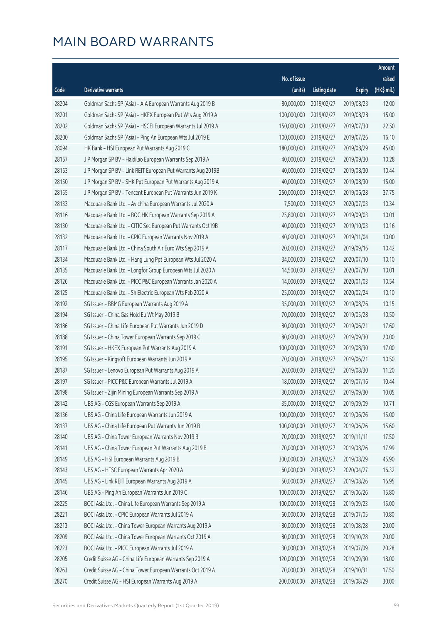|       |                                                              |              |                       |               | Amount      |
|-------|--------------------------------------------------------------|--------------|-----------------------|---------------|-------------|
|       |                                                              | No. of issue |                       |               | raised      |
| Code  | Derivative warrants                                          | (units)      | <b>Listing date</b>   | <b>Expiry</b> | (HK\$ mil.) |
| 28204 | Goldman Sachs SP (Asia) - AIA European Warrants Aug 2019 B   | 80,000,000   | 2019/02/27            | 2019/08/23    | 12.00       |
| 28201 | Goldman Sachs SP (Asia) - HKEX European Put Wts Aug 2019 A   | 100,000,000  | 2019/02/27            | 2019/08/28    | 15.00       |
| 28202 | Goldman Sachs SP (Asia) - HSCEI European Warrants Jul 2019 A | 150,000,000  | 2019/02/27            | 2019/07/30    | 22.50       |
| 28200 | Goldman Sachs SP (Asia) - Ping An European Wts Jul 2019 E    | 100,000,000  | 2019/02/27            | 2019/07/26    | 16.10       |
| 28094 | HK Bank - HSI European Put Warrants Aug 2019 C               | 180,000,000  | 2019/02/27            | 2019/08/29    | 45.00       |
| 28157 | J P Morgan SP BV - Haidilao European Warrants Sep 2019 A     | 40,000,000   | 2019/02/27            | 2019/09/30    | 10.28       |
| 28153 | J P Morgan SP BV - Link REIT European Put Warrants Aug 2019B | 40,000,000   | 2019/02/27            | 2019/08/30    | 10.44       |
| 28150 | J P Morgan SP BV - SHK Ppt European Put Warrants Aug 2019 A  | 40,000,000   | 2019/02/27            | 2019/08/30    | 15.00       |
| 28155 | J P Morgan SP BV - Tencent European Put Warrants Jun 2019 K  | 250,000,000  | 2019/02/27            | 2019/06/28    | 37.75       |
| 28133 | Macquarie Bank Ltd. - Avichina European Warrants Jul 2020 A  | 7,500,000    | 2019/02/27            | 2020/07/03    | 10.34       |
| 28116 | Macquarie Bank Ltd. - BOC HK European Warrants Sep 2019 A    | 25,800,000   | 2019/02/27            | 2019/09/03    | 10.01       |
| 28130 | Macquarie Bank Ltd. - CITIC Sec European Put Warrants Oct19B | 40,000,000   | 2019/02/27            | 2019/10/03    | 10.16       |
| 28132 | Macquarie Bank Ltd. - CPIC European Warrants Nov 2019 A      | 40,000,000   | 2019/02/27            | 2019/11/04    | 10.00       |
| 28117 | Macquarie Bank Ltd. - China South Air Euro Wts Sep 2019 A    | 20,000,000   | 2019/02/27            | 2019/09/16    | 10.42       |
| 28134 | Macquarie Bank Ltd. - Hang Lung Ppt European Wts Jul 2020 A  | 34,000,000   | 2019/02/27            | 2020/07/10    | 10.10       |
| 28135 | Macquarie Bank Ltd. - Longfor Group European Wts Jul 2020 A  | 14,500,000   | 2019/02/27            | 2020/07/10    | 10.01       |
| 28126 | Macquarie Bank Ltd. - PICC P&C European Warrants Jan 2020 A  | 14,000,000   | 2019/02/27            | 2020/01/03    | 10.54       |
| 28125 | Macquarie Bank Ltd. - Sh Electric European Wts Feb 2020 A    | 25,000,000   | 2019/02/27            | 2020/02/24    | 10.10       |
| 28192 | SG Issuer - BBMG European Warrants Aug 2019 A                | 35,000,000   | 2019/02/27            | 2019/08/26    | 10.15       |
| 28194 | SG Issuer - China Gas Hold Eu Wt May 2019 B                  | 70,000,000   | 2019/02/27            | 2019/05/28    | 10.50       |
| 28186 | SG Issuer - China Life European Put Warrants Jun 2019 D      | 80,000,000   | 2019/02/27            | 2019/06/21    | 17.60       |
| 28188 | SG Issuer - China Tower European Warrants Sep 2019 C         | 80,000,000   | 2019/02/27            | 2019/09/30    | 20.00       |
| 28191 | SG Issuer - HKEX European Put Warrants Aug 2019 A            | 100,000,000  | 2019/02/27            | 2019/08/30    | 17.00       |
| 28195 | SG Issuer - Kingsoft European Warrants Jun 2019 A            | 70,000,000   | 2019/02/27            | 2019/06/21    | 10.50       |
| 28187 | SG Issuer - Lenovo European Put Warrants Aug 2019 A          | 20,000,000   | 2019/02/27            | 2019/08/30    | 11.20       |
| 28197 | SG Issuer - PICC P&C European Warrants Jul 2019 A            | 18,000,000   | 2019/02/27            | 2019/07/16    | 10.44       |
| 28198 | SG Issuer - Zijin Mining European Warrants Sep 2019 A        |              | 30,000,000 2019/02/27 | 2019/09/30    | 10.05       |
| 28142 | UBS AG - CGS European Warrants Sep 2019 A                    | 35,000,000   | 2019/02/27            | 2019/09/09    | 10.71       |
| 28136 | UBS AG - China Life European Warrants Jun 2019 A             | 100,000,000  | 2019/02/27            | 2019/06/26    | 15.00       |
| 28137 | UBS AG - China Life European Put Warrants Jun 2019 B         | 100,000,000  | 2019/02/27            | 2019/06/26    | 15.60       |
| 28140 | UBS AG - China Tower European Warrants Nov 2019 B            | 70,000,000   | 2019/02/27            | 2019/11/11    | 17.50       |
| 28141 | UBS AG - China Tower European Put Warrants Aug 2019 B        | 70,000,000   | 2019/02/27            | 2019/08/26    | 17.99       |
| 28149 | UBS AG - HSI European Warrants Aug 2019 B                    | 300,000,000  | 2019/02/27            | 2019/08/29    | 45.90       |
| 28143 | UBS AG - HTSC European Warrants Apr 2020 A                   | 60,000,000   | 2019/02/27            | 2020/04/27    | 16.32       |
| 28145 | UBS AG - Link REIT European Warrants Aug 2019 A              | 50,000,000   | 2019/02/27            | 2019/08/26    | 16.95       |
| 28146 | UBS AG - Ping An European Warrants Jun 2019 C                | 100,000,000  | 2019/02/27            | 2019/06/26    | 15.80       |
| 28225 | BOCI Asia Ltd. - China Life European Warrants Sep 2019 A     | 100,000,000  | 2019/02/28            | 2019/09/23    | 15.00       |
| 28221 | BOCI Asia Ltd. - CPIC European Warrants Jul 2019 A           | 60,000,000   | 2019/02/28            | 2019/07/05    | 10.80       |
| 28213 | BOCI Asia Ltd. - China Tower European Warrants Aug 2019 A    | 80,000,000   | 2019/02/28            | 2019/08/28    | 20.00       |
| 28209 | BOCI Asia Ltd. - China Tower European Warrants Oct 2019 A    | 80,000,000   | 2019/02/28            | 2019/10/28    | 20.00       |
| 28223 | BOCI Asia Ltd. - PICC European Warrants Jul 2019 A           | 30,000,000   | 2019/02/28            | 2019/07/09    | 20.28       |
| 28205 | Credit Suisse AG - China Life European Warrants Sep 2019 A   | 120,000,000  | 2019/02/28            | 2019/09/30    | 18.00       |
| 28263 | Credit Suisse AG - China Tower European Warrants Oct 2019 A  | 70,000,000   | 2019/02/28            | 2019/10/31    | 17.50       |
| 28270 | Credit Suisse AG - HSI European Warrants Aug 2019 A          | 200,000,000  | 2019/02/28            | 2019/08/29    | 30.00       |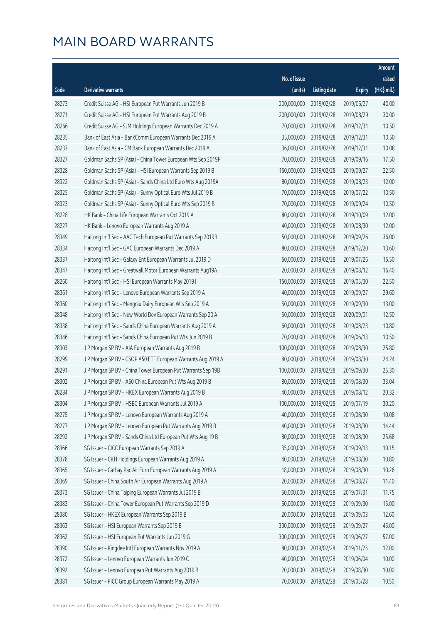|       |                                                              |              |                       |               | Amount      |
|-------|--------------------------------------------------------------|--------------|-----------------------|---------------|-------------|
|       |                                                              | No. of issue |                       |               | raised      |
| Code  | Derivative warrants                                          | (units)      | <b>Listing date</b>   | <b>Expiry</b> | (HK\$ mil.) |
| 28273 | Credit Suisse AG - HSI European Put Warrants Jun 2019 B      | 200,000,000  | 2019/02/28            | 2019/06/27    | 40.00       |
| 28271 | Credit Suisse AG - HSI European Put Warrants Aug 2019 B      | 200,000,000  | 2019/02/28            | 2019/08/29    | 30.00       |
| 28266 | Credit Suisse AG - SJM Holdings European Warrants Dec 2019 A | 70,000,000   | 2019/02/28            | 2019/12/31    | 10.50       |
| 28235 | Bank of East Asia - BankComm European Warrants Dec 2019 A    | 35,000,000   | 2019/02/28            | 2019/12/31    | 10.50       |
| 28237 | Bank of East Asia - CM Bank European Warrants Dec 2019 A     | 36,000,000   | 2019/02/28            | 2019/12/31    | 10.08       |
| 28327 | Goldman Sachs SP (Asia) - China Tower European Wts Sep 2019F | 70,000,000   | 2019/02/28            | 2019/09/16    | 17.50       |
| 28328 | Goldman Sachs SP (Asia) - HSI European Warrants Sep 2019 B   | 150,000,000  | 2019/02/28            | 2019/09/27    | 22.50       |
| 28322 | Goldman Sachs SP (Asia) - Sands China Ltd Euro Wts Aug 2019A | 80,000,000   | 2019/02/28            | 2019/08/23    | 12.00       |
| 28325 | Goldman Sachs SP (Asia) - Sunny Optical Euro Wts Jul 2019 B  | 70,000,000   | 2019/02/28            | 2019/07/22    | 10.50       |
| 28323 | Goldman Sachs SP (Asia) - Sunny Optical Euro Wts Sep 2019 B  | 70,000,000   | 2019/02/28            | 2019/09/24    | 10.50       |
| 28228 | HK Bank - China Life European Warrants Oct 2019 A            | 80,000,000   | 2019/02/28            | 2019/10/09    | 12.00       |
| 28227 | HK Bank - Lenovo European Warrants Aug 2019 A                | 40,000,000   | 2019/02/28            | 2019/08/30    | 12.00       |
| 28349 | Haitong Int'l Sec - AAC Tech European Put Warrants Sep 2019B | 50,000,000   | 2019/02/28            | 2019/09/26    | 36.00       |
| 28334 | Haitong Int'l Sec - GAC European Warrants Dec 2019 A         | 80,000,000   | 2019/02/28            | 2019/12/20    | 13.60       |
| 28337 | Haitong Int'l Sec - Galaxy Ent European Warrants Jul 2019 D  | 50,000,000   | 2019/02/28            | 2019/07/26    | 15.50       |
| 28347 | Haitong Int'l Sec - Greatwall Motor European Warrants Aug19A | 20,000,000   | 2019/02/28            | 2019/08/12    | 16.40       |
| 28260 | Haitong Int'l Sec - HSI European Warrants May 2019 I         | 150,000,000  | 2019/02/28            | 2019/05/30    | 22.50       |
| 28361 | Haitong Int'l Sec - Lenovo European Warrants Sep 2019 A      | 40,000,000   | 2019/02/28            | 2019/09/27    | 29.60       |
| 28360 | Haitong Int'l Sec - Mengniu Dairy European Wts Sep 2019 A    | 50,000,000   | 2019/02/28            | 2019/09/30    | 13.00       |
| 28348 | Haitong Int'l Sec - New World Dev European Warrants Sep 20 A | 50,000,000   | 2019/02/28            | 2020/09/01    | 12.50       |
| 28338 | Haitong Int'l Sec - Sands China European Warrants Aug 2019 A | 60,000,000   | 2019/02/28            | 2019/08/23    | 10.80       |
| 28346 | Haitong Int'l Sec - Sands China European Put Wts Jun 2019 B  | 70,000,000   | 2019/02/28            | 2019/06/13    | 10.50       |
| 28303 | J P Morgan SP BV - AIA European Warrants Aug 2019 B          | 100,000,000  | 2019/02/28            | 2019/08/30    | 25.80       |
| 28299 | JP Morgan SP BV - CSOP A50 ETF European Warrants Aug 2019 A  | 80,000,000   | 2019/02/28            | 2019/08/30    | 24.24       |
| 28291 | JP Morgan SP BV - China Tower European Put Warrants Sep 19B  | 100,000,000  | 2019/02/28            | 2019/09/30    | 25.30       |
| 28302 | JP Morgan SP BV - A50 China European Put Wts Aug 2019 B      | 80,000,000   | 2019/02/28            | 2019/08/30    | 33.04       |
| 28284 | J P Morgan SP BV - HKEX European Warrants Aug 2019 B         |              | 40,000,000 2019/02/28 | 2019/08/12    | 20.32       |
| 28304 | J P Morgan SP BV - HSBC European Warrants Jul 2019 A         | 100,000,000  | 2019/02/28            | 2019/07/19    | 30.20       |
| 28275 | J P Morgan SP BV - Lenovo European Warrants Aug 2019 A       | 40,000,000   | 2019/02/28            | 2019/08/30    | 10.08       |
| 28277 | J P Morgan SP BV - Lenovo European Put Warrants Aug 2019 B   | 40,000,000   | 2019/02/28            | 2019/08/30    | 14.44       |
| 28292 | J P Morgan SP BV - Sands China Ltd European Put Wts Aug 19 B | 80,000,000   | 2019/02/28            | 2019/08/30    | 25.68       |
| 28366 | SG Issuer - CICC European Warrants Sep 2019 A                | 35,000,000   | 2019/02/28            | 2019/09/13    | 10.15       |
| 28378 | SG Issuer - CKH Holdings European Warrants Aug 2019 A        | 40,000,000   | 2019/02/28            | 2019/08/30    | 10.80       |
| 28365 | SG Issuer - Cathay Pac Air Euro European Warrants Aug 2019 A | 18,000,000   | 2019/02/28            | 2019/08/30    | 10.26       |
| 28369 | SG Issuer - China South Air European Warrants Aug 2019 A     | 20,000,000   | 2019/02/28            | 2019/08/27    | 11.40       |
| 28373 | SG Issuer - China Taiping European Warrants Jul 2019 B       | 50,000,000   | 2019/02/28            | 2019/07/31    | 11.75       |
| 28383 | SG Issuer - China Tower European Put Warrants Sep 2019 D     | 60,000,000   | 2019/02/28            | 2019/09/30    | 15.00       |
| 28380 | SG Issuer - HKEX European Warrants Sep 2019 B                | 20,000,000   | 2019/02/28            | 2019/09/03    | 12.60       |
| 28363 | SG Issuer - HSI European Warrants Sep 2019 B                 | 300,000,000  | 2019/02/28            | 2019/09/27    | 45.00       |
| 28362 | SG Issuer - HSI European Put Warrants Jun 2019 G             | 300,000,000  | 2019/02/28            | 2019/06/27    | 57.00       |
| 28390 | SG Issuer - Kingdee Intl European Warrants Nov 2019 A        | 80,000,000   | 2019/02/28            | 2019/11/25    | 12.00       |
| 28372 | SG Issuer - Lenovo European Warrants Jun 2019 C              | 40,000,000   | 2019/02/28            | 2019/06/04    | 10.00       |
| 28392 | SG Issuer - Lenovo European Put Warrants Aug 2019 B          | 20,000,000   | 2019/02/28            | 2019/08/30    | 10.00       |
| 28381 | SG Issuer - PICC Group European Warrants May 2019 A          | 70,000,000   | 2019/02/28            | 2019/05/28    | 10.50       |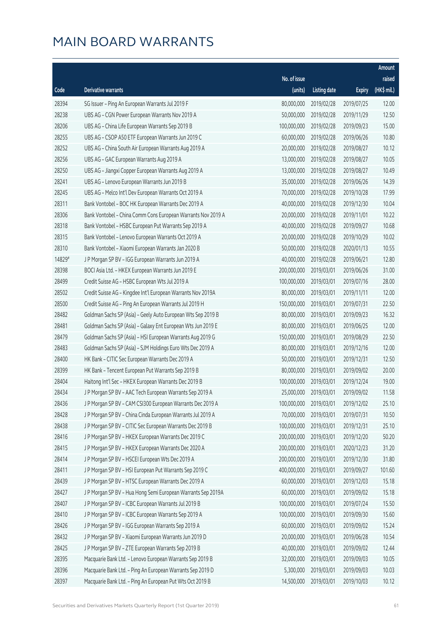|        |                                                              |              |                       |               | Amount      |
|--------|--------------------------------------------------------------|--------------|-----------------------|---------------|-------------|
|        |                                                              | No. of issue |                       |               | raised      |
| Code   | Derivative warrants                                          | (units)      | <b>Listing date</b>   | <b>Expiry</b> | (HK\$ mil.) |
| 28394  | SG Issuer - Ping An European Warrants Jul 2019 F             | 80,000,000   | 2019/02/28            | 2019/07/25    | 12.00       |
| 28238  | UBS AG - CGN Power European Warrants Nov 2019 A              | 50,000,000   | 2019/02/28            | 2019/11/29    | 12.50       |
| 28206  | UBS AG - China Life European Warrants Sep 2019 B             | 100,000,000  | 2019/02/28            | 2019/09/23    | 15.00       |
| 28255  | UBS AG - CSOP A50 ETF European Warrants Jun 2019 C           | 60,000,000   | 2019/02/28            | 2019/06/26    | 10.80       |
| 28252  | UBS AG - China South Air European Warrants Aug 2019 A        | 20,000,000   | 2019/02/28            | 2019/08/27    | 10.12       |
| 28256  | UBS AG - GAC European Warrants Aug 2019 A                    | 13,000,000   | 2019/02/28            | 2019/08/27    | 10.05       |
| 28250  | UBS AG - Jiangxi Copper European Warrants Aug 2019 A         | 13,000,000   | 2019/02/28            | 2019/08/27    | 10.49       |
| 28241  | UBS AG - Lenovo European Warrants Jun 2019 B                 | 35,000,000   | 2019/02/28            | 2019/06/26    | 14.39       |
| 28245  | UBS AG - Melco Int'l Dev European Warrants Oct 2019 A        | 70,000,000   | 2019/02/28            | 2019/10/28    | 17.99       |
| 28311  | Bank Vontobel - BOC HK European Warrants Dec 2019 A          | 40,000,000   | 2019/02/28            | 2019/12/30    | 10.04       |
| 28306  | Bank Vontobel - China Comm Cons European Warrants Nov 2019 A | 20,000,000   | 2019/02/28            | 2019/11/01    | 10.22       |
| 28318  | Bank Vontobel - HSBC European Put Warrants Sep 2019 A        | 40,000,000   | 2019/02/28            | 2019/09/27    | 10.68       |
| 28315  | Bank Vontobel - Lenovo European Warrants Oct 2019 A          | 20,000,000   | 2019/02/28            | 2019/10/29    | 10.02       |
| 28310  | Bank Vontobel - Xiaomi European Warrants Jan 2020 B          | 50,000,000   | 2019/02/28            | 2020/01/13    | 10.55       |
| 14829# | J P Morgan SP BV - IGG European Warrants Jun 2019 A          | 40,000,000   | 2019/02/28            | 2019/06/21    | 12.80       |
| 28398  | BOCI Asia Ltd. - HKEX European Warrants Jun 2019 E           | 200,000,000  | 2019/03/01            | 2019/06/26    | 31.00       |
| 28499  | Credit Suisse AG - HSBC European Wts Jul 2019 A              | 100,000,000  | 2019/03/01            | 2019/07/16    | 28.00       |
| 28502  | Credit Suisse AG - Kingdee Int'l European Warrants Nov 2019A | 80,000,000   | 2019/03/01            | 2019/11/11    | 12.00       |
| 28500  | Credit Suisse AG - Ping An European Warrants Jul 2019 H      | 150,000,000  | 2019/03/01            | 2019/07/31    | 22.50       |
| 28482  | Goldman Sachs SP (Asia) - Geely Auto European Wts Sep 2019 B | 80,000,000   | 2019/03/01            | 2019/09/23    | 16.32       |
| 28481  | Goldman Sachs SP (Asia) - Galaxy Ent European Wts Jun 2019 E | 80,000,000   | 2019/03/01            | 2019/06/25    | 12.00       |
| 28479  | Goldman Sachs SP (Asia) - HSI European Warrants Aug 2019 G   | 150,000,000  | 2019/03/01            | 2019/08/29    | 22.50       |
| 28483  | Goldman Sachs SP (Asia) - SJM Holdings Euro Wts Dec 2019 A   | 80,000,000   | 2019/03/01            | 2019/12/16    | 12.00       |
| 28400  | HK Bank - CITIC Sec European Warrants Dec 2019 A             | 50,000,000   | 2019/03/01            | 2019/12/31    | 12.50       |
| 28399  | HK Bank - Tencent European Put Warrants Sep 2019 B           | 80,000,000   | 2019/03/01            | 2019/09/02    | 20.00       |
| 28404  | Haitong Int'l Sec - HKEX European Warrants Dec 2019 B        | 100,000,000  | 2019/03/01            | 2019/12/24    | 19.00       |
| 28434  | J P Morgan SP BV - AAC Tech European Warrants Sep 2019 A     |              | 25,000,000 2019/03/01 | 2019/09/02    | 11.58       |
| 28436  | J P Morgan SP BV - CAM CSI300 European Warrants Dec 2019 A   | 100,000,000  | 2019/03/01            | 2019/12/02    | 25.10       |
| 28428  | J P Morgan SP BV - China Cinda European Warrants Jul 2019 A  | 70,000,000   | 2019/03/01            | 2019/07/31    | 10.50       |
| 28438  | J P Morgan SP BV - CITIC Sec European Warrants Dec 2019 B    | 100,000,000  | 2019/03/01            | 2019/12/31    | 25.10       |
| 28416  | J P Morgan SP BV - HKEX European Warrants Dec 2019 C         | 200,000,000  | 2019/03/01            | 2019/12/20    | 50.20       |
| 28415  | J P Morgan SP BV - HKEX European Warrants Dec 2020 A         | 200,000,000  | 2019/03/01            | 2020/12/23    | 31.20       |
| 28414  | J P Morgan SP BV - HSCEI European Wts Dec 2019 A             | 200,000,000  | 2019/03/01            | 2019/12/30    | 31.80       |
| 28411  | J P Morgan SP BV - HSI European Put Warrants Sep 2019 C      | 400,000,000  | 2019/03/01            | 2019/09/27    | 101.60      |
| 28439  | J P Morgan SP BV - HTSC European Warrants Dec 2019 A         | 60,000,000   | 2019/03/01            | 2019/12/03    | 15.18       |
| 28427  | J P Morgan SP BV - Hua Hong Semi European Warrants Sep 2019A | 60,000,000   | 2019/03/01            | 2019/09/02    | 15.18       |
| 28407  | J P Morgan SP BV - ICBC European Warrants Jul 2019 B         | 100,000,000  | 2019/03/01            | 2019/07/24    | 15.50       |
| 28410  | J P Morgan SP BV - ICBC European Warrants Sep 2019 A         | 100,000,000  | 2019/03/01            | 2019/09/30    | 15.60       |
| 28426  | J P Morgan SP BV - IGG European Warrants Sep 2019 A          | 60,000,000   | 2019/03/01            | 2019/09/02    | 15.24       |
| 28432  | J P Morgan SP BV - Xiaomi European Warrants Jun 2019 D       | 20,000,000   | 2019/03/01            | 2019/06/28    | 10.54       |
| 28425  | J P Morgan SP BV - ZTE European Warrants Sep 2019 B          | 40,000,000   | 2019/03/01            | 2019/09/02    | 12.44       |
| 28395  | Macquarie Bank Ltd. - Lenovo European Warrants Sep 2019 B    | 32,000,000   | 2019/03/01            | 2019/09/03    | 10.05       |
| 28396  | Macquarie Bank Ltd. - Ping An European Warrants Sep 2019 D   | 5,300,000    | 2019/03/01            | 2019/09/03    | 10.03       |
| 28397  | Macquarie Bank Ltd. - Ping An European Put Wts Oct 2019 B    | 14,500,000   | 2019/03/01            | 2019/10/03    | 10.12       |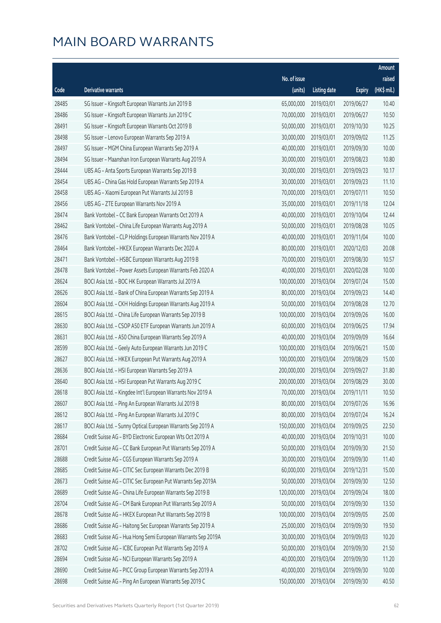|       |                                                              |              |                       |               | Amount      |
|-------|--------------------------------------------------------------|--------------|-----------------------|---------------|-------------|
|       |                                                              | No. of issue |                       |               | raised      |
| Code  | Derivative warrants                                          | (units)      | <b>Listing date</b>   | <b>Expiry</b> | (HK\$ mil.) |
| 28485 | SG Issuer - Kingsoft European Warrants Jun 2019 B            | 65,000,000   | 2019/03/01            | 2019/06/27    | 10.40       |
| 28486 | SG Issuer - Kingsoft European Warrants Jun 2019 C            | 70,000,000   | 2019/03/01            | 2019/06/27    | 10.50       |
| 28491 | SG Issuer - Kingsoft European Warrants Oct 2019 B            | 50,000,000   | 2019/03/01            | 2019/10/30    | 10.25       |
| 28498 | SG Issuer - Lenovo European Warrants Sep 2019 A              | 30,000,000   | 2019/03/01            | 2019/09/02    | 11.25       |
| 28497 | SG Issuer - MGM China European Warrants Sep 2019 A           | 40,000,000   | 2019/03/01            | 2019/09/30    | 10.00       |
| 28494 | SG Issuer - Maanshan Iron European Warrants Aug 2019 A       | 30,000,000   | 2019/03/01            | 2019/08/23    | 10.80       |
| 28444 | UBS AG - Anta Sports European Warrants Sep 2019 B            | 30,000,000   | 2019/03/01            | 2019/09/23    | 10.17       |
| 28454 | UBS AG - China Gas Hold European Warrants Sep 2019 A         | 30,000,000   | 2019/03/01            | 2019/09/23    | 11.10       |
| 28458 | UBS AG - Xiaomi European Put Warrants Jul 2019 B             | 70,000,000   | 2019/03/01            | 2019/07/11    | 10.50       |
| 28456 | UBS AG - ZTE European Warrants Nov 2019 A                    | 35,000,000   | 2019/03/01            | 2019/11/18    | 12.04       |
| 28474 | Bank Vontobel - CC Bank European Warrants Oct 2019 A         | 40,000,000   | 2019/03/01            | 2019/10/04    | 12.44       |
| 28462 | Bank Vontobel - China Life European Warrants Aug 2019 A      | 50,000,000   | 2019/03/01            | 2019/08/28    | 10.05       |
| 28476 | Bank Vontobel - CLP Holdings European Warrants Nov 2019 A    | 40,000,000   | 2019/03/01            | 2019/11/04    | 10.00       |
| 28464 | Bank Vontobel - HKEX European Warrants Dec 2020 A            | 80,000,000   | 2019/03/01            | 2020/12/03    | 20.08       |
| 28471 | Bank Vontobel - HSBC European Warrants Aug 2019 B            | 70,000,000   | 2019/03/01            | 2019/08/30    | 10.57       |
| 28478 | Bank Vontobel - Power Assets European Warrants Feb 2020 A    | 40,000,000   | 2019/03/01            | 2020/02/28    | 10.00       |
| 28624 | BOCI Asia Ltd. - BOC HK European Warrants Jul 2019 A         | 100,000,000  | 2019/03/04            | 2019/07/24    | 15.00       |
| 28626 | BOCI Asia Ltd. - Bank of China European Warrants Sep 2019 A  | 80,000,000   | 2019/03/04            | 2019/09/23    | 14.40       |
| 28604 | BOCI Asia Ltd. - CKH Holdings European Warrants Aug 2019 A   | 50,000,000   | 2019/03/04            | 2019/08/28    | 12.70       |
| 28615 | BOCI Asia Ltd. - China Life European Warrants Sep 2019 B     | 100,000,000  | 2019/03/04            | 2019/09/26    | 16.00       |
| 28630 | BOCI Asia Ltd. - CSOP A50 ETF European Warrants Jun 2019 A   | 60,000,000   | 2019/03/04            | 2019/06/25    | 17.94       |
| 28631 | BOCI Asia Ltd. - A50 China European Warrants Sep 2019 A      | 40,000,000   | 2019/03/04            | 2019/09/09    | 16.64       |
| 28599 | BOCI Asia Ltd. - Geely Auto European Warrants Jun 2019 C     | 100,000,000  | 2019/03/04            | 2019/06/21    | 15.00       |
| 28627 | BOCI Asia Ltd. - HKEX European Put Warrants Aug 2019 A       | 100,000,000  | 2019/03/04            | 2019/08/29    | 15.00       |
| 28636 | BOCI Asia Ltd. - HSI European Warrants Sep 2019 A            | 200,000,000  | 2019/03/04            | 2019/09/27    | 31.80       |
| 28640 | BOCI Asia Ltd. - HSI European Put Warrants Aug 2019 C        | 200,000,000  | 2019/03/04            | 2019/08/29    | 30.00       |
| 28618 | BOCI Asia Ltd. - Kingdee Int'l European Warrants Nov 2019 A  |              | 70,000,000 2019/03/04 | 2019/11/11    | 10.50       |
| 28607 | BOCI Asia Ltd. - Ping An European Warrants Jul 2019 B        | 80,000,000   | 2019/03/04            | 2019/07/26    | 16.96       |
| 28612 | BOCI Asia Ltd. - Ping An European Warrants Jul 2019 C        | 80,000,000   | 2019/03/04            | 2019/07/24    | 16.24       |
| 28617 | BOCI Asia Ltd. - Sunny Optical European Warrants Sep 2019 A  | 150,000,000  | 2019/03/04            | 2019/09/25    | 22.50       |
| 28684 | Credit Suisse AG - BYD Electronic European Wts Oct 2019 A    | 40,000,000   | 2019/03/04            | 2019/10/31    | 10.00       |
| 28701 | Credit Suisse AG - CC Bank European Put Warrants Sep 2019 A  | 50,000,000   | 2019/03/04            | 2019/09/30    | 21.50       |
| 28688 | Credit Suisse AG - CGS European Warrants Sep 2019 A          | 30,000,000   | 2019/03/04            | 2019/09/30    | 11.40       |
| 28685 | Credit Suisse AG - CITIC Sec European Warrants Dec 2019 B    | 60,000,000   | 2019/03/04            | 2019/12/31    | 15.00       |
| 28673 | Credit Suisse AG - CITIC Sec European Put Warrants Sep 2019A | 50,000,000   | 2019/03/04            | 2019/09/30    | 12.50       |
| 28689 | Credit Suisse AG - China Life European Warrants Sep 2019 B   | 120,000,000  | 2019/03/04            | 2019/09/24    | 18.00       |
| 28704 | Credit Suisse AG - CM Bank European Put Warrants Sep 2019 A  | 50,000,000   | 2019/03/04            | 2019/09/30    | 13.50       |
| 28678 | Credit Suisse AG - HKEX European Put Warrants Sep 2019 B     | 100,000,000  | 2019/03/04            | 2019/09/05    | 25.00       |
| 28686 | Credit Suisse AG - Haitong Sec European Warrants Sep 2019 A  | 25,000,000   | 2019/03/04            | 2019/09/30    | 19.50       |
| 28683 | Credit Suisse AG - Hua Hong Semi European Warrants Sep 2019A | 30,000,000   | 2019/03/04            | 2019/09/03    | 10.20       |
| 28702 | Credit Suisse AG - ICBC European Put Warrants Sep 2019 A     | 50,000,000   | 2019/03/04            | 2019/09/30    | 21.50       |
| 28694 | Credit Suisse AG - NCI European Warrants Sep 2019 A          | 40,000,000   | 2019/03/04            | 2019/09/30    | 11.20       |
| 28690 | Credit Suisse AG - PICC Group European Warrants Sep 2019 A   | 40,000,000   | 2019/03/04            | 2019/09/30    | 10.00       |
| 28698 | Credit Suisse AG - Ping An European Warrants Sep 2019 C      | 150,000,000  | 2019/03/04            | 2019/09/30    | 40.50       |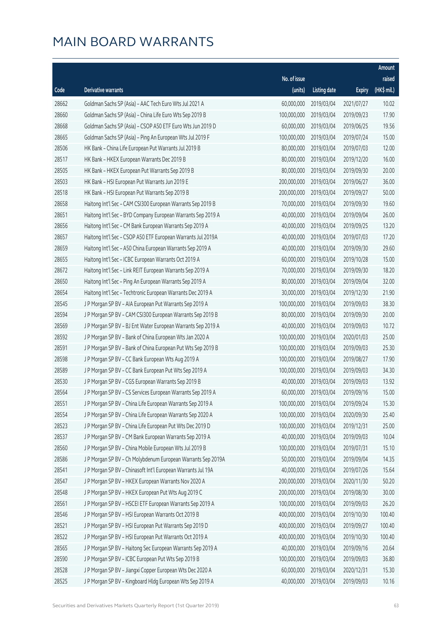|       |                                                              |              |                       |               | Amount      |
|-------|--------------------------------------------------------------|--------------|-----------------------|---------------|-------------|
|       |                                                              | No. of issue |                       |               | raised      |
| Code  | Derivative warrants                                          | (units)      | <b>Listing date</b>   | <b>Expiry</b> | (HK\$ mil.) |
| 28662 | Goldman Sachs SP (Asia) - AAC Tech Euro Wts Jul 2021 A       | 60,000,000   | 2019/03/04            | 2021/07/27    | 10.02       |
| 28660 | Goldman Sachs SP (Asia) - China Life Euro Wts Sep 2019 B     | 100,000,000  | 2019/03/04            | 2019/09/23    | 17.90       |
| 28668 | Goldman Sachs SP (Asia) - CSOP A50 ETF Euro Wts Jun 2019 D   | 60,000,000   | 2019/03/04            | 2019/06/25    | 19.56       |
| 28665 | Goldman Sachs SP (Asia) - Ping An European Wts Jul 2019 F    | 100,000,000  | 2019/03/04            | 2019/07/24    | 15.00       |
| 28506 | HK Bank - China Life European Put Warrants Jul 2019 B        | 80,000,000   | 2019/03/04            | 2019/07/03    | 12.00       |
| 28517 | HK Bank - HKEX European Warrants Dec 2019 B                  | 80,000,000   | 2019/03/04            | 2019/12/20    | 16.00       |
| 28505 | HK Bank - HKEX European Put Warrants Sep 2019 B              | 80,000,000   | 2019/03/04            | 2019/09/30    | 20.00       |
| 28503 | HK Bank - HSI European Put Warrants Jun 2019 E               | 200,000,000  | 2019/03/04            | 2019/06/27    | 36.00       |
| 28518 | HK Bank - HSI European Put Warrants Sep 2019 B               | 200,000,000  | 2019/03/04            | 2019/09/27    | 50.00       |
| 28658 | Haitong Int'l Sec - CAM CSI300 European Warrants Sep 2019 B  | 70,000,000   | 2019/03/04            | 2019/09/30    | 19.60       |
| 28651 | Haitong Int'l Sec - BYD Company European Warrants Sep 2019 A | 40,000,000   | 2019/03/04            | 2019/09/04    | 26.00       |
| 28656 | Haitong Int'l Sec - CM Bank European Warrants Sep 2019 A     | 40,000,000   | 2019/03/04            | 2019/09/25    | 13.20       |
| 28657 | Haitong Int'l Sec - CSOP A50 ETF European Warrants Jul 2019A | 40,000,000   | 2019/03/04            | 2019/07/03    | 17.20       |
| 28659 | Haitong Int'l Sec - A50 China European Warrants Sep 2019 A   | 40,000,000   | 2019/03/04            | 2019/09/30    | 29.60       |
| 28655 | Haitong Int'l Sec - ICBC European Warrants Oct 2019 A        | 60,000,000   | 2019/03/04            | 2019/10/28    | 15.00       |
| 28672 | Haitong Int'l Sec - Link REIT European Warrants Sep 2019 A   | 70,000,000   | 2019/03/04            | 2019/09/30    | 18.20       |
| 28650 | Haitong Int'l Sec - Ping An European Warrants Sep 2019 A     | 80,000,000   | 2019/03/04            | 2019/09/04    | 32.00       |
| 28654 | Haitong Int'l Sec - Techtronic European Warrants Dec 2019 A  | 30,000,000   | 2019/03/04            | 2019/12/30    | 21.90       |
| 28545 | J P Morgan SP BV - AIA European Put Warrants Sep 2019 A      | 100,000,000  | 2019/03/04            | 2019/09/03    | 38.30       |
| 28594 | J P Morgan SP BV - CAM CSI300 European Warrants Sep 2019 B   | 80,000,000   | 2019/03/04            | 2019/09/30    | 20.00       |
| 28569 | J P Morgan SP BV - BJ Ent Water European Warrants Sep 2019 A | 40,000,000   | 2019/03/04            | 2019/09/03    | 10.72       |
| 28592 | J P Morgan SP BV - Bank of China European Wts Jan 2020 A     | 100,000,000  | 2019/03/04            | 2020/01/03    | 25.00       |
| 28591 | J P Morgan SP BV - Bank of China European Put Wts Sep 2019 B | 100,000,000  | 2019/03/04            | 2019/09/03    | 25.30       |
| 28598 | J P Morgan SP BV - CC Bank European Wts Aug 2019 A           | 100,000,000  | 2019/03/04            | 2019/08/27    | 17.90       |
| 28589 | JP Morgan SP BV - CC Bank European Put Wts Sep 2019 A        | 100,000,000  | 2019/03/04            | 2019/09/03    | 34.30       |
| 28530 | J P Morgan SP BV - CGS European Warrants Sep 2019 B          | 40,000,000   | 2019/03/04            | 2019/09/03    | 13.92       |
| 28564 | JP Morgan SP BV - CS Services European Warrants Sep 2019 A   |              | 60,000,000 2019/03/04 | 2019/09/16    | 15.00       |
| 28551 | J P Morgan SP BV - China Life European Warrants Sep 2019 A   | 100,000,000  | 2019/03/04            | 2019/09/24    | 15.30       |
| 28554 | J P Morgan SP BV - China Life European Warrants Sep 2020 A   | 100,000,000  | 2019/03/04            | 2020/09/30    | 25.40       |
| 28523 | J P Morgan SP BV - China Life European Put Wts Dec 2019 D    | 100,000,000  | 2019/03/04            | 2019/12/31    | 25.00       |
| 28537 | J P Morgan SP BV - CM Bank European Warrants Sep 2019 A      | 40,000,000   | 2019/03/04            | 2019/09/03    | 10.04       |
| 28560 | J P Morgan SP BV - China Mobile European Wts Jul 2019 B      | 100,000,000  | 2019/03/04            | 2019/07/31    | 15.10       |
| 28586 | J P Morgan SP BV - Ch Molybdenum European Warrants Sep 2019A | 50,000,000   | 2019/03/04            | 2019/09/04    | 14.35       |
| 28541 | J P Morgan SP BV - Chinasoft Int'l European Warrants Jul 19A | 40,000,000   | 2019/03/04            | 2019/07/26    | 15.64       |
| 28547 | J P Morgan SP BV - HKEX European Warrants Nov 2020 A         | 200,000,000  | 2019/03/04            | 2020/11/30    | 50.20       |
| 28548 | J P Morgan SP BV - HKEX European Put Wts Aug 2019 C          | 200,000,000  | 2019/03/04            | 2019/08/30    | 30.00       |
| 28561 | J P Morgan SP BV - HSCEI ETF European Warrants Sep 2019 A    | 100,000,000  | 2019/03/04            | 2019/09/03    | 26.20       |
| 28546 | J P Morgan SP BV - HSI European Warrants Oct 2019 B          | 400,000,000  | 2019/03/04            | 2019/10/30    | 100.40      |
| 28521 | J P Morgan SP BV - HSI European Put Warrants Sep 2019 D      | 400,000,000  | 2019/03/04            | 2019/09/27    | 100.40      |
| 28522 | J P Morgan SP BV - HSI European Put Warrants Oct 2019 A      | 400,000,000  | 2019/03/04            | 2019/10/30    | 100.40      |
| 28565 | J P Morgan SP BV - Haitong Sec European Warrants Sep 2019 A  | 40,000,000   | 2019/03/04            | 2019/09/16    | 20.64       |
| 28590 | J P Morgan SP BV - ICBC European Put Wts Sep 2019 B          | 100,000,000  | 2019/03/04            | 2019/09/03    | 36.80       |
| 28528 | J P Morgan SP BV - Jiangxi Copper European Wts Dec 2020 A    | 60,000,000   | 2019/03/04            | 2020/12/31    | 15.30       |
| 28525 | J P Morgan SP BV - Kingboard Hldg European Wts Sep 2019 A    | 40,000,000   | 2019/03/04            | 2019/09/03    | 10.16       |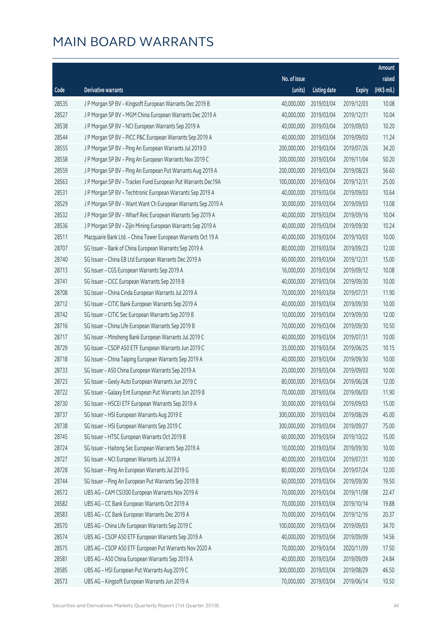|       |                                                              |              |                       |               | Amount      |
|-------|--------------------------------------------------------------|--------------|-----------------------|---------------|-------------|
|       |                                                              | No. of issue |                       |               | raised      |
| Code  | Derivative warrants                                          | (units)      | <b>Listing date</b>   | <b>Expiry</b> | (HK\$ mil.) |
| 28535 | J P Morgan SP BV - Kingsoft European Warrants Dec 2019 B     | 40,000,000   | 2019/03/04            | 2019/12/03    | 10.08       |
| 28527 | J P Morgan SP BV - MGM China European Warrants Dec 2019 A    | 40,000,000   | 2019/03/04            | 2019/12/31    | 10.04       |
| 28538 | J P Morgan SP BV - NCI European Warrants Sep 2019 A          | 40,000,000   | 2019/03/04            | 2019/09/03    | 10.20       |
| 28544 | J P Morgan SP BV - PICC P&C European Warrants Sep 2019 A     | 40,000,000   | 2019/03/04            | 2019/09/03    | 11.24       |
| 28555 | J P Morgan SP BV - Ping An European Warrants Jul 2019 D      | 200,000,000  | 2019/03/04            | 2019/07/26    | 34.20       |
| 28558 | J P Morgan SP BV - Ping An European Warrants Nov 2019 C      | 200,000,000  | 2019/03/04            | 2019/11/04    | 50.20       |
| 28559 | J P Morgan SP BV - Ping An European Put Warrants Aug 2019 A  | 200,000,000  | 2019/03/04            | 2019/08/23    | 56.60       |
| 28563 | J P Morgan SP BV - Tracker Fund European Put Warrants Dec19A | 100,000,000  | 2019/03/04            | 2019/12/31    | 25.00       |
| 28531 | J P Morgan SP BV - Techtronic European Warrants Sep 2019 A   | 40,000,000   | 2019/03/04            | 2019/09/03    | 10.64       |
| 28529 | J P Morgan SP BV - Want Want Ch European Warrants Sep 2019 A | 30,000,000   | 2019/03/04            | 2019/09/03    | 13.08       |
| 28532 | J P Morgan SP BV - Wharf Reic European Warrants Sep 2019 A   | 40,000,000   | 2019/03/04            | 2019/09/16    | 10.04       |
| 28536 | J P Morgan SP BV - Zijin Mining European Warrants Sep 2019 A | 40,000,000   | 2019/03/04            | 2019/09/30    | 10.24       |
| 28511 | Macquarie Bank Ltd. - China Tower European Warrants Oct 19 A | 40,000,000   | 2019/03/04            | 2019/10/03    | 10.00       |
| 28707 | SG Issuer - Bank of China European Warrants Sep 2019 A       | 80,000,000   | 2019/03/04            | 2019/09/23    | 12.00       |
| 28740 | SG Issuer - China EB Ltd European Warrants Dec 2019 A        | 60,000,000   | 2019/03/04            | 2019/12/31    | 15.00       |
| 28713 | SG Issuer - CGS European Warrants Sep 2019 A                 | 16,000,000   | 2019/03/04            | 2019/09/12    | 10.08       |
| 28741 | SG Issuer - CICC European Warrants Sep 2019 B                | 40,000,000   | 2019/03/04            | 2019/09/30    | 10.00       |
| 28708 | SG Issuer - China Cinda European Warrants Jul 2019 A         | 70,000,000   | 2019/03/04            | 2019/07/31    | 11.90       |
| 28712 | SG Issuer - CITIC Bank European Warrants Sep 2019 A          | 40,000,000   | 2019/03/04            | 2019/09/30    | 10.00       |
| 28742 | SG Issuer - CITIC Sec European Warrants Sep 2019 B           | 10,000,000   | 2019/03/04            | 2019/09/30    | 12.00       |
| 28716 | SG Issuer - China Life European Warrants Sep 2019 B          | 70,000,000   | 2019/03/04            | 2019/09/30    | 10.50       |
| 28717 | SG Issuer - Minsheng Bank European Warrants Jul 2019 C       | 40,000,000   | 2019/03/04            | 2019/07/31    | 10.00       |
| 28729 | SG Issuer - CSOP A50 ETF European Warrants Jun 2019 C        | 35,000,000   | 2019/03/04            | 2019/06/25    | 10.15       |
| 28718 | SG Issuer - China Taiping European Warrants Sep 2019 A       | 40,000,000   | 2019/03/04            | 2019/09/30    | 10.00       |
| 28733 | SG Issuer - A50 China European Warrants Sep 2019 A           | 20,000,000   | 2019/03/04            | 2019/09/03    | 10.00       |
| 28723 | SG Issuer - Geely Auto European Warrants Jun 2019 C          | 80,000,000   | 2019/03/04            | 2019/06/28    | 12.00       |
| 28722 | SG Issuer - Galaxy Ent European Put Warrants Jun 2019 B      |              | 70,000,000 2019/03/04 | 2019/06/03    | 11.90       |
| 28730 | SG Issuer - HSCEI ETF European Warrants Sep 2019 A           | 30,000,000   | 2019/03/04            | 2019/09/03    | 15.00       |
| 28737 | SG Issuer - HSI European Warrants Aug 2019 E                 | 300,000,000  | 2019/03/04            | 2019/08/29    | 45.00       |
| 28738 | SG Issuer - HSI European Warrants Sep 2019 C                 | 300,000,000  | 2019/03/04            | 2019/09/27    | 75.00       |
| 28745 | SG Issuer - HTSC European Warrants Oct 2019 B                | 60,000,000   | 2019/03/04            | 2019/10/22    | 15.00       |
| 28724 | SG Issuer - Haitong Sec European Warrants Sep 2019 A         | 10,000,000   | 2019/03/04            | 2019/09/30    | 10.00       |
| 28727 | SG Issuer - NCI European Warrants Jul 2019 A                 | 40,000,000   | 2019/03/04            | 2019/07/31    | 10.00       |
| 28728 | SG Issuer - Ping An European Warrants Jul 2019 G             | 80,000,000   | 2019/03/04            | 2019/07/24    | 12.00       |
| 28744 | SG Issuer - Ping An European Put Warrants Sep 2019 B         | 60,000,000   | 2019/03/04            | 2019/09/30    | 19.50       |
| 28572 | UBS AG - CAM CSI300 European Warrants Nov 2019 A             | 70,000,000   | 2019/03/04            | 2019/11/08    | 22.47       |
| 28582 | UBS AG - CC Bank European Warrants Oct 2019 A                | 70,000,000   | 2019/03/04            | 2019/10/14    | 19.88       |
| 28583 | UBS AG - CC Bank European Warrants Dec 2019 A                | 70,000,000   | 2019/03/04            | 2019/12/16    | 20.37       |
| 28570 | UBS AG - China Life European Warrants Sep 2019 C             | 100,000,000  | 2019/03/04            | 2019/09/03    | 34.70       |
| 28574 | UBS AG - CSOP A50 ETF European Warrants Sep 2019 A           | 40,000,000   | 2019/03/04            | 2019/09/09    | 14.56       |
| 28575 | UBS AG - CSOP A50 ETF European Put Warrants Nov 2020 A       | 70,000,000   | 2019/03/04            | 2020/11/09    | 17.50       |
| 28581 | UBS AG - A50 China European Warrants Sep 2019 A              | 40,000,000   | 2019/03/04            | 2019/09/09    | 24.84       |
| 28585 | UBS AG - HSI European Put Warrants Aug 2019 C                | 300,000,000  | 2019/03/04            | 2019/08/29    | 46.50       |
| 28573 | UBS AG - Kingsoft European Warrants Jun 2019 A               | 70,000,000   | 2019/03/04            | 2019/06/14    | 10.50       |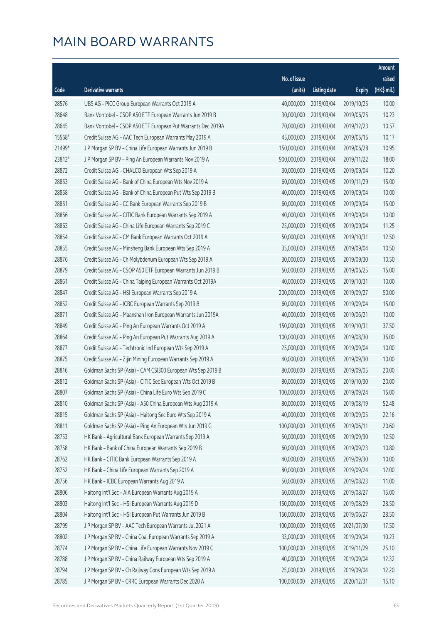|        |                                                              |              |                        |               | Amount      |
|--------|--------------------------------------------------------------|--------------|------------------------|---------------|-------------|
|        |                                                              | No. of issue |                        |               | raised      |
| Code   | Derivative warrants                                          | (units)      | <b>Listing date</b>    | <b>Expiry</b> | (HK\$ mil.) |
| 28576  | UBS AG - PICC Group European Warrants Oct 2019 A             | 40,000,000   | 2019/03/04             | 2019/10/25    | 10.00       |
| 28648  | Bank Vontobel - CSOP A50 ETF European Warrants Jun 2019 B    | 30,000,000   | 2019/03/04             | 2019/06/25    | 10.23       |
| 28645  | Bank Vontobel - CSOP A50 ETF European Put Warrants Dec 2019A | 70,000,000   | 2019/03/04             | 2019/12/23    | 10.57       |
| 15568# | Credit Suisse AG - AAC Tech European Warrants May 2019 A     | 45,000,000   | 2019/03/04             | 2019/05/15    | 10.17       |
| 21499# | J P Morgan SP BV - China Life European Warrants Jun 2019 B   | 150,000,000  | 2019/03/04             | 2019/06/28    | 10.95       |
| 23812# | J P Morgan SP BV - Ping An European Warrants Nov 2019 A      | 900,000,000  | 2019/03/04             | 2019/11/22    | 18.00       |
| 28872  | Credit Suisse AG - CHALCO European Wts Sep 2019 A            | 30,000,000   | 2019/03/05             | 2019/09/04    | 10.20       |
| 28853  | Credit Suisse AG - Bank of China European Wts Nov 2019 A     | 60,000,000   | 2019/03/05             | 2019/11/29    | 15.00       |
| 28858  | Credit Suisse AG - Bank of China European Put Wts Sep 2019 B | 40,000,000   | 2019/03/05             | 2019/09/04    | 10.00       |
| 28851  | Credit Suisse AG - CC Bank European Warrants Sep 2019 B      | 60,000,000   | 2019/03/05             | 2019/09/04    | 15.00       |
| 28856  | Credit Suisse AG - CITIC Bank European Warrants Sep 2019 A   | 40,000,000   | 2019/03/05             | 2019/09/04    | 10.00       |
| 28863  | Credit Suisse AG - China Life European Warrants Sep 2019 C   | 25,000,000   | 2019/03/05             | 2019/09/04    | 11.25       |
| 28854  | Credit Suisse AG - CM Bank European Warrants Oct 2019 A      | 50,000,000   | 2019/03/05             | 2019/10/31    | 12.50       |
| 28855  | Credit Suisse AG - Minsheng Bank European Wts Sep 2019 A     | 35,000,000   | 2019/03/05             | 2019/09/04    | 10.50       |
| 28876  | Credit Suisse AG - Ch Molybdenum European Wts Sep 2019 A     | 30,000,000   | 2019/03/05             | 2019/09/30    | 10.50       |
| 28879  | Credit Suisse AG - CSOP A50 ETF European Warrants Jun 2019 B | 50,000,000   | 2019/03/05             | 2019/06/25    | 15.00       |
| 28861  | Credit Suisse AG - China Taiping European Warrants Oct 2019A | 40,000,000   | 2019/03/05             | 2019/10/31    | 10.00       |
| 28847  | Credit Suisse AG - HSI European Warrants Sep 2019 A          | 200,000,000  | 2019/03/05             | 2019/09/27    | 50.00       |
| 28852  | Credit Suisse AG - ICBC European Warrants Sep 2019 B         | 60,000,000   | 2019/03/05             | 2019/09/04    | 15.00       |
| 28871  | Credit Suisse AG - Maanshan Iron European Warrants Jun 2019A | 40,000,000   | 2019/03/05             | 2019/06/21    | 10.00       |
| 28849  | Credit Suisse AG - Ping An European Warrants Oct 2019 A      | 150,000,000  | 2019/03/05             | 2019/10/31    | 37.50       |
| 28864  | Credit Suisse AG - Ping An European Put Warrants Aug 2019 A  | 100,000,000  | 2019/03/05             | 2019/08/30    | 35.00       |
| 28877  | Credit Suisse AG - Techtronic Ind European Wts Sep 2019 A    | 25,000,000   | 2019/03/05             | 2019/09/04    | 10.00       |
| 28875  | Credit Suisse AG - Zijin Mining European Warrants Sep 2019 A | 40,000,000   | 2019/03/05             | 2019/09/30    | 10.00       |
| 28816  | Goldman Sachs SP (Asia) - CAM CSI300 European Wts Sep 2019 B | 80,000,000   | 2019/03/05             | 2019/09/05    | 20.00       |
| 28812  | Goldman Sachs SP (Asia) - CITIC Sec European Wts Oct 2019 B  | 80,000,000   | 2019/03/05             | 2019/10/30    | 20.00       |
| 28807  | Goldman Sachs SP (Asia) - China Life Euro Wts Sep 2019 C     |              | 100,000,000 2019/03/05 | 2019/09/24    | 15.00       |
| 28810  | Goldman Sachs SP (Asia) - A50 China European Wts Aug 2019 A  | 80,000,000   | 2019/03/05             | 2019/08/19    | 52.48       |
| 28815  | Goldman Sachs SP (Asia) - Haitong Sec Euro Wts Sep 2019 A    | 40,000,000   | 2019/03/05             | 2019/09/05    | 22.16       |
| 28811  | Goldman Sachs SP (Asia) - Ping An European Wts Jun 2019 G    | 100,000,000  | 2019/03/05             | 2019/06/11    | 20.60       |
| 28753  | HK Bank - Agricultural Bank European Warrants Sep 2019 A     | 50,000,000   | 2019/03/05             | 2019/09/30    | 12.50       |
| 28758  | HK Bank - Bank of China European Warrants Sep 2019 B         | 60,000,000   | 2019/03/05             | 2019/09/23    | 10.80       |
| 28762  | HK Bank - CITIC Bank European Warrants Sep 2019 A            | 40,000,000   | 2019/03/05             | 2019/09/30    | 10.00       |
| 28752  | HK Bank - China Life European Warrants Sep 2019 A            | 80,000,000   | 2019/03/05             | 2019/09/24    | 12.00       |
| 28756  | HK Bank - ICBC European Warrants Aug 2019 A                  | 50,000,000   | 2019/03/05             | 2019/08/23    | 11.00       |
| 28806  | Haitong Int'l Sec - AIA European Warrants Aug 2019 A         | 60,000,000   | 2019/03/05             | 2019/08/27    | 15.00       |
| 28803  | Haitong Int'l Sec - HSI European Warrants Aug 2019 D         | 150,000,000  | 2019/03/05             | 2019/08/29    | 28.50       |
| 28804  | Haitong Int'l Sec - HSI European Put Warrants Jun 2019 B     | 150,000,000  | 2019/03/05             | 2019/06/27    | 28.50       |
| 28799  | J P Morgan SP BV - AAC Tech European Warrants Jul 2021 A     | 100,000,000  | 2019/03/05             | 2021/07/30    | 17.50       |
| 28802  | J P Morgan SP BV - China Coal European Warrants Sep 2019 A   | 33,000,000   | 2019/03/05             | 2019/09/04    | 10.23       |
| 28774  | J P Morgan SP BV - China Life European Warrants Nov 2019 C   | 100,000,000  | 2019/03/05             | 2019/11/29    | 25.10       |
| 28788  | J P Morgan SP BV - China Railway European Wts Sep 2019 A     | 40,000,000   | 2019/03/05             | 2019/09/04    | 12.32       |
| 28794  | J P Morgan SP BV - Ch Railway Cons European Wts Sep 2019 A   | 25,000,000   | 2019/03/05             | 2019/09/04    | 12.20       |
| 28785  | J P Morgan SP BV - CRRC European Warrants Dec 2020 A         | 100,000,000  | 2019/03/05             | 2020/12/31    | 15.10       |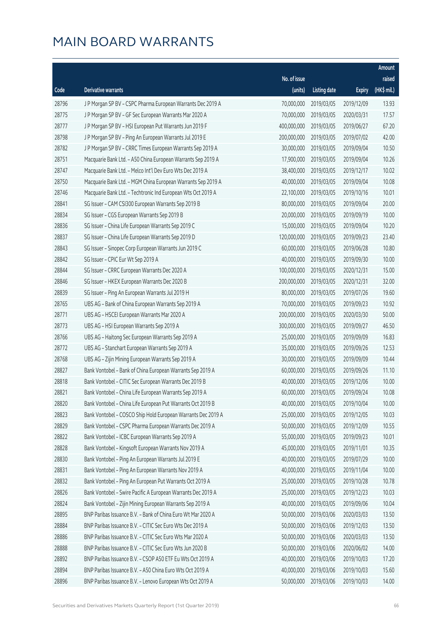|       |                                                              |              |                       |               | Amount      |
|-------|--------------------------------------------------------------|--------------|-----------------------|---------------|-------------|
|       |                                                              | No. of issue |                       |               | raised      |
| Code  | Derivative warrants                                          | (units)      | <b>Listing date</b>   | <b>Expiry</b> | (HK\$ mil.) |
| 28796 | J P Morgan SP BV - CSPC Pharma European Warrants Dec 2019 A  | 70,000,000   | 2019/03/05            | 2019/12/09    | 13.93       |
| 28775 | J P Morgan SP BV - GF Sec European Warrants Mar 2020 A       | 70,000,000   | 2019/03/05            | 2020/03/31    | 17.57       |
| 28777 | J P Morgan SP BV - HSI European Put Warrants Jun 2019 F      | 400,000,000  | 2019/03/05            | 2019/06/27    | 67.20       |
| 28798 | J P Morgan SP BV - Ping An European Warrants Jul 2019 E      | 200,000,000  | 2019/03/05            | 2019/07/02    | 42.00       |
| 28782 | J P Morgan SP BV - CRRC Times European Warrants Sep 2019 A   | 30,000,000   | 2019/03/05            | 2019/09/04    | 10.50       |
| 28751 | Macquarie Bank Ltd. - A50 China European Warrants Sep 2019 A | 17,900,000   | 2019/03/05            | 2019/09/04    | 10.26       |
| 28747 | Macquarie Bank Ltd. - Melco Int'l Dev Euro Wts Dec 2019 A    | 38,400,000   | 2019/03/05            | 2019/12/17    | 10.02       |
| 28750 | Macquarie Bank Ltd. - MGM China European Warrants Sep 2019 A | 40,000,000   | 2019/03/05            | 2019/09/04    | 10.08       |
| 28746 | Macquarie Bank Ltd. - Techtronic Ind European Wts Oct 2019 A | 22,100,000   | 2019/03/05            | 2019/10/16    | 10.01       |
| 28841 | SG Issuer - CAM CSI300 European Warrants Sep 2019 B          | 80,000,000   | 2019/03/05            | 2019/09/04    | 20.00       |
| 28834 | SG Issuer - CGS European Warrants Sep 2019 B                 | 20,000,000   | 2019/03/05            | 2019/09/19    | 10.00       |
| 28836 | SG Issuer - China Life European Warrants Sep 2019 C          | 15,000,000   | 2019/03/05            | 2019/09/04    | 10.20       |
| 28837 | SG Issuer - China Life European Warrants Sep 2019 D          | 120,000,000  | 2019/03/05            | 2019/09/23    | 23.40       |
| 28843 | SG Issuer - Sinopec Corp European Warrants Jun 2019 C        | 60,000,000   | 2019/03/05            | 2019/06/28    | 10.80       |
| 28842 | SG Issuer - CPIC Eur Wt Sep 2019 A                           | 40,000,000   | 2019/03/05            | 2019/09/30    | 10.00       |
| 28844 | SG Issuer - CRRC European Warrants Dec 2020 A                | 100,000,000  | 2019/03/05            | 2020/12/31    | 15.00       |
| 28846 | SG Issuer - HKEX European Warrants Dec 2020 B                | 200,000,000  | 2019/03/05            | 2020/12/31    | 32.00       |
| 28839 | SG Issuer - Ping An European Warrants Jul 2019 H             | 80,000,000   | 2019/03/05            | 2019/07/26    | 19.60       |
| 28765 | UBS AG - Bank of China European Warrants Sep 2019 A          | 70,000,000   | 2019/03/05            | 2019/09/23    | 10.92       |
| 28771 | UBS AG - HSCEI European Warrants Mar 2020 A                  | 200,000,000  | 2019/03/05            | 2020/03/30    | 50.00       |
| 28773 | UBS AG - HSI European Warrants Sep 2019 A                    | 300,000,000  | 2019/03/05            | 2019/09/27    | 46.50       |
| 28766 | UBS AG - Haitong Sec European Warrants Sep 2019 A            | 25,000,000   | 2019/03/05            | 2019/09/09    | 16.83       |
| 28772 | UBS AG - Stanchart European Warrants Sep 2019 A              | 35,000,000   | 2019/03/05            | 2019/09/26    | 12.53       |
| 28768 | UBS AG - Zijin Mining European Warrants Sep 2019 A           | 30,000,000   | 2019/03/05            | 2019/09/09    | 10.44       |
| 28827 | Bank Vontobel - Bank of China European Warrants Sep 2019 A   | 60,000,000   | 2019/03/05            | 2019/09/26    | 11.10       |
| 28818 | Bank Vontobel - CITIC Sec European Warrants Dec 2019 B       | 40,000,000   | 2019/03/05            | 2019/12/06    | 10.00       |
| 28821 | Bank Vontobel - China Life European Warrants Sep 2019 A      |              | 60,000,000 2019/03/05 | 2019/09/24    | 10.08       |
| 28820 | Bank Vontobel - China Life European Put Warrants Oct 2019 B  | 40,000,000   | 2019/03/05            | 2019/10/04    | 10.00       |
| 28823 | Bank Vontobel - COSCO Ship Hold European Warrants Dec 2019 A | 25,000,000   | 2019/03/05            | 2019/12/05    | 10.03       |
| 28829 | Bank Vontobel - CSPC Pharma European Warrants Dec 2019 A     | 50,000,000   | 2019/03/05            | 2019/12/09    | 10.55       |
| 28822 | Bank Vontobel - ICBC European Warrants Sep 2019 A            | 55,000,000   | 2019/03/05            | 2019/09/23    | 10.01       |
| 28828 | Bank Vontobel - Kingsoft European Warrants Nov 2019 A        | 45,000,000   | 2019/03/05            | 2019/11/01    | 10.35       |
| 28830 | Bank Vontobel - Ping An European Warrants Jul 2019 E         | 40,000,000   | 2019/03/05            | 2019/07/29    | 10.00       |
| 28831 | Bank Vontobel - Ping An European Warrants Nov 2019 A         | 40,000,000   | 2019/03/05            | 2019/11/04    | 10.00       |
| 28832 | Bank Vontobel - Ping An European Put Warrants Oct 2019 A     | 25,000,000   | 2019/03/05            | 2019/10/28    | 10.78       |
| 28826 | Bank Vontobel - Swire Pacific A European Warrants Dec 2019 A | 25,000,000   | 2019/03/05            | 2019/12/23    | 10.03       |
| 28824 | Bank Vontobel - Zijin Mining European Warrants Sep 2019 A    | 40,000,000   | 2019/03/05            | 2019/09/06    | 10.04       |
| 28895 | BNP Paribas Issuance B.V. - Bank of China Euro Wt Mar 2020 A | 50,000,000   | 2019/03/06            | 2020/03/03    | 13.50       |
| 28884 | BNP Paribas Issuance B.V. - CITIC Sec Euro Wts Dec 2019 A    | 50,000,000   | 2019/03/06            | 2019/12/03    | 13.50       |
| 28886 | BNP Paribas Issuance B.V. - CITIC Sec Euro Wts Mar 2020 A    | 50,000,000   | 2019/03/06            | 2020/03/03    | 13.50       |
| 28888 | BNP Paribas Issuance B.V. - CITIC Sec Euro Wts Jun 2020 B    | 50,000,000   | 2019/03/06            | 2020/06/02    | 14.00       |
| 28892 | BNP Paribas Issuance B.V. - CSOP A50 ETF Eu Wts Oct 2019 A   | 40,000,000   | 2019/03/06            | 2019/10/03    | 17.20       |
| 28894 | BNP Paribas Issuance B.V. - A50 China Euro Wts Oct 2019 A    | 40,000,000   | 2019/03/06            | 2019/10/03    | 15.60       |
| 28896 | BNP Paribas Issuance B.V. - Lenovo European Wts Oct 2019 A   | 50,000,000   | 2019/03/06            | 2019/10/03    | 14.00       |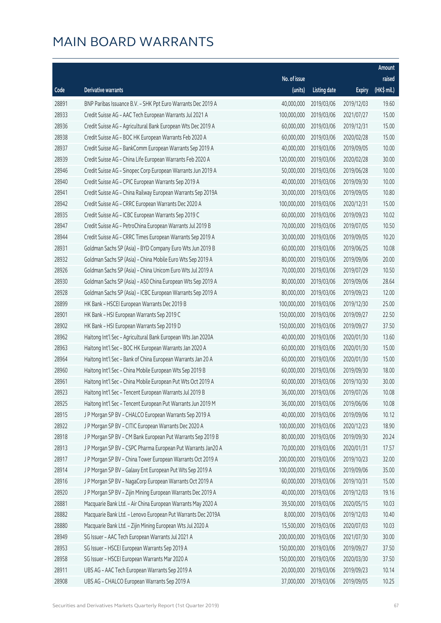|       |                                                              |              |                       |               | Amount      |
|-------|--------------------------------------------------------------|--------------|-----------------------|---------------|-------------|
|       |                                                              | No. of issue |                       |               | raised      |
| Code  | Derivative warrants                                          | (units)      | <b>Listing date</b>   | <b>Expiry</b> | (HK\$ mil.) |
| 28891 | BNP Paribas Issuance B.V. - SHK Ppt Euro Warrants Dec 2019 A | 40,000,000   | 2019/03/06            | 2019/12/03    | 19.60       |
| 28933 | Credit Suisse AG - AAC Tech European Warrants Jul 2021 A     | 100,000,000  | 2019/03/06            | 2021/07/27    | 15.00       |
| 28936 | Credit Suisse AG - Agricultural Bank European Wts Dec 2019 A | 60,000,000   | 2019/03/06            | 2019/12/31    | 15.00       |
| 28938 | Credit Suisse AG - BOC HK European Warrants Feb 2020 A       | 60,000,000   | 2019/03/06            | 2020/02/28    | 15.00       |
| 28937 | Credit Suisse AG - BankComm European Warrants Sep 2019 A     | 40,000,000   | 2019/03/06            | 2019/09/05    | 10.00       |
| 28939 | Credit Suisse AG - China Life European Warrants Feb 2020 A   | 120,000,000  | 2019/03/06            | 2020/02/28    | 30.00       |
| 28946 | Credit Suisse AG - Sinopec Corp European Warrants Jun 2019 A | 50,000,000   | 2019/03/06            | 2019/06/28    | 10.00       |
| 28940 | Credit Suisse AG - CPIC European Warrants Sep 2019 A         | 40,000,000   | 2019/03/06            | 2019/09/30    | 10.00       |
| 28941 | Credit Suisse AG - China Railway European Warrants Sep 2019A | 30,000,000   | 2019/03/06            | 2019/09/05    | 10.80       |
| 28942 | Credit Suisse AG - CRRC European Warrants Dec 2020 A         | 100,000,000  | 2019/03/06            | 2020/12/31    | 15.00       |
| 28935 | Credit Suisse AG - ICBC European Warrants Sep 2019 C         | 60,000,000   | 2019/03/06            | 2019/09/23    | 10.02       |
| 28947 | Credit Suisse AG - PetroChina European Warrants Jul 2019 B   | 70,000,000   | 2019/03/06            | 2019/07/05    | 10.50       |
| 28944 | Credit Suisse AG - CRRC Times European Warrants Sep 2019 A   | 30,000,000   | 2019/03/06            | 2019/09/05    | 10.20       |
| 28931 | Goldman Sachs SP (Asia) - BYD Company Euro Wts Jun 2019 B    | 60,000,000   | 2019/03/06            | 2019/06/25    | 10.08       |
| 28932 | Goldman Sachs SP (Asia) - China Mobile Euro Wts Sep 2019 A   | 80,000,000   | 2019/03/06            | 2019/09/06    | 20.00       |
| 28926 | Goldman Sachs SP (Asia) - China Unicom Euro Wts Jul 2019 A   | 70,000,000   | 2019/03/06            | 2019/07/29    | 10.50       |
| 28930 | Goldman Sachs SP (Asia) - A50 China European Wts Sep 2019 A  | 80,000,000   | 2019/03/06            | 2019/09/06    | 28.64       |
| 28928 | Goldman Sachs SP (Asia) - ICBC European Warrants Sep 2019 A  | 80,000,000   | 2019/03/06            | 2019/09/23    | 12.00       |
| 28899 | HK Bank - HSCEI European Warrants Dec 2019 B                 | 100,000,000  | 2019/03/06            | 2019/12/30    | 25.00       |
| 28901 | HK Bank - HSI European Warrants Sep 2019 C                   | 150,000,000  | 2019/03/06            | 2019/09/27    | 22.50       |
| 28902 | HK Bank - HSI European Warrants Sep 2019 D                   | 150,000,000  | 2019/03/06            | 2019/09/27    | 37.50       |
| 28962 | Haitong Int'l Sec - Agricultural Bank European Wts Jan 2020A | 40,000,000   | 2019/03/06            | 2020/01/30    | 13.60       |
| 28963 | Haitong Int'l Sec - BOC HK European Warrants Jan 2020 A      | 60,000,000   | 2019/03/06            | 2020/01/30    | 15.00       |
| 28964 | Haitong Int'l Sec - Bank of China European Warrants Jan 20 A | 60,000,000   | 2019/03/06            | 2020/01/30    | 15.00       |
| 28960 | Haitong Int'l Sec - China Mobile European Wts Sep 2019 B     | 60,000,000   | 2019/03/06            | 2019/09/30    | 18.00       |
| 28961 | Haitong Int'l Sec - China Mobile European Put Wts Oct 2019 A | 60,000,000   | 2019/03/06            | 2019/10/30    | 30.00       |
| 28923 | Haitong Int'l Sec - Tencent European Warrants Jul 2019 B     |              | 36,000,000 2019/03/06 | 2019/07/26    | 10.08       |
| 28925 | Haitong Int'l Sec - Tencent European Put Warrants Jun 2019 M | 36,000,000   | 2019/03/06            | 2019/06/06    | 10.08       |
| 28915 | J P Morgan SP BV - CHALCO European Warrants Sep 2019 A       | 40,000,000   | 2019/03/06            | 2019/09/06    | 10.12       |
| 28922 | J P Morgan SP BV - CITIC European Warrants Dec 2020 A        | 100,000,000  | 2019/03/06            | 2020/12/23    | 18.90       |
| 28918 | J P Morgan SP BV - CM Bank European Put Warrants Sep 2019 B  | 80,000,000   | 2019/03/06            | 2019/09/30    | 20.24       |
| 28913 | J P Morgan SP BV - CSPC Pharma European Put Warrants Jan20 A | 70,000,000   | 2019/03/06            | 2020/01/31    | 17.57       |
| 28917 | J P Morgan SP BV - China Tower European Warrants Oct 2019 A  | 200,000,000  | 2019/03/06            | 2019/10/23    | 32.00       |
| 28914 | J P Morgan SP BV - Galaxy Ent European Put Wts Sep 2019 A    | 100,000,000  | 2019/03/06            | 2019/09/06    | 35.00       |
| 28916 | J P Morgan SP BV - NagaCorp European Warrants Oct 2019 A     | 60,000,000   | 2019/03/06            | 2019/10/31    | 15.00       |
| 28920 | J P Morgan SP BV - Zijin Mining European Warrants Dec 2019 A | 40,000,000   | 2019/03/06            | 2019/12/03    | 19.16       |
| 28881 | Macquarie Bank Ltd. - Air China European Warrants May 2020 A | 39,500,000   | 2019/03/06            | 2020/05/15    | 10.03       |
| 28882 | Macquarie Bank Ltd. - Lenovo European Put Warrants Dec 2019A | 8,000,000    | 2019/03/06            | 2019/12/03    | 10.40       |
| 28880 | Macquarie Bank Ltd. - Zijin Mining European Wts Jul 2020 A   | 15,500,000   | 2019/03/06            | 2020/07/03    | 10.03       |
| 28949 | SG Issuer - AAC Tech European Warrants Jul 2021 A            | 200,000,000  | 2019/03/06            | 2021/07/30    | 30.00       |
| 28953 | SG Issuer - HSCEI European Warrants Sep 2019 A               | 150,000,000  | 2019/03/06            | 2019/09/27    | 37.50       |
| 28958 | SG Issuer - HSCEI European Warrants Mar 2020 A               | 150,000,000  | 2019/03/06            | 2020/03/30    | 37.50       |
| 28911 | UBS AG - AAC Tech European Warrants Sep 2019 A               | 20,000,000   | 2019/03/06            | 2019/09/23    | 10.14       |
| 28908 | UBS AG - CHALCO European Warrants Sep 2019 A                 | 37,000,000   | 2019/03/06            | 2019/09/05    | 10.25       |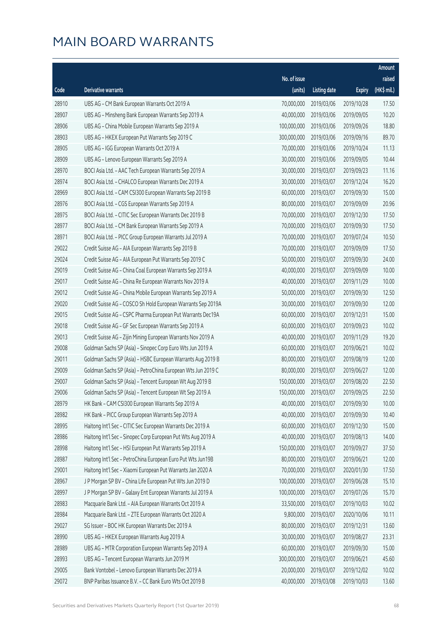|       |                                                              |                        |                     |               | Amount      |
|-------|--------------------------------------------------------------|------------------------|---------------------|---------------|-------------|
|       |                                                              | No. of issue           |                     |               | raised      |
| Code  | Derivative warrants                                          | (units)                | <b>Listing date</b> | <b>Expiry</b> | (HK\$ mil.) |
| 28910 | UBS AG - CM Bank European Warrants Oct 2019 A                | 70,000,000             | 2019/03/06          | 2019/10/28    | 17.50       |
| 28907 | UBS AG - Minsheng Bank European Warrants Sep 2019 A          | 40,000,000             | 2019/03/06          | 2019/09/05    | 10.20       |
| 28906 | UBS AG - China Mobile European Warrants Sep 2019 A           | 100,000,000            | 2019/03/06          | 2019/09/26    | 18.80       |
| 28903 | UBS AG - HKEX European Put Warrants Sep 2019 C               | 300,000,000            | 2019/03/06          | 2019/09/16    | 89.70       |
| 28905 | UBS AG - IGG European Warrants Oct 2019 A                    | 70,000,000             | 2019/03/06          | 2019/10/24    | 11.13       |
| 28909 | UBS AG - Lenovo European Warrants Sep 2019 A                 | 30,000,000             | 2019/03/06          | 2019/09/05    | 10.44       |
| 28970 | BOCI Asia Ltd. - AAC Tech European Warrants Sep 2019 A       | 30,000,000             | 2019/03/07          | 2019/09/23    | 11.16       |
| 28974 | BOCI Asia Ltd. - CHALCO European Warrants Dec 2019 A         | 30,000,000             | 2019/03/07          | 2019/12/24    | 16.20       |
| 28969 | BOCI Asia Ltd. - CAM CSI300 European Warrants Sep 2019 B     | 60,000,000             | 2019/03/07          | 2019/09/30    | 15.00       |
| 28976 | BOCI Asia Ltd. - CGS European Warrants Sep 2019 A            | 80,000,000             | 2019/03/07          | 2019/09/09    | 20.96       |
| 28975 | BOCI Asia Ltd. - CITIC Sec European Warrants Dec 2019 B      | 70,000,000             | 2019/03/07          | 2019/12/30    | 17.50       |
| 28977 | BOCI Asia Ltd. - CM Bank European Warrants Sep 2019 A        | 70,000,000             | 2019/03/07          | 2019/09/30    | 17.50       |
| 28971 | BOCI Asia Ltd. - PICC Group European Warrants Jul 2019 A     | 70,000,000             | 2019/03/07          | 2019/07/24    | 10.50       |
| 29022 | Credit Suisse AG - AIA European Warrants Sep 2019 B          | 70,000,000             | 2019/03/07          | 2019/09/09    | 17.50       |
| 29024 | Credit Suisse AG - AIA European Put Warrants Sep 2019 C      | 50,000,000             | 2019/03/07          | 2019/09/30    | 24.00       |
| 29019 | Credit Suisse AG - China Coal European Warrants Sep 2019 A   | 40,000,000             | 2019/03/07          | 2019/09/09    | 10.00       |
| 29017 | Credit Suisse AG - China Re European Warrants Nov 2019 A     | 40,000,000             | 2019/03/07          | 2019/11/29    | 10.00       |
| 29012 | Credit Suisse AG - China Mobile European Warrants Sep 2019 A | 50,000,000             | 2019/03/07          | 2019/09/30    | 12.50       |
| 29020 | Credit Suisse AG - COSCO Sh Hold European Warrants Sep 2019A | 30,000,000             | 2019/03/07          | 2019/09/30    | 12.00       |
| 29015 | Credit Suisse AG - CSPC Pharma European Put Warrants Dec19A  | 60,000,000             | 2019/03/07          | 2019/12/31    | 15.00       |
| 29018 | Credit Suisse AG - GF Sec European Warrants Sep 2019 A       | 60,000,000             | 2019/03/07          | 2019/09/23    | 10.02       |
| 29013 | Credit Suisse AG - Zijin Mining European Warrants Nov 2019 A | 40,000,000             | 2019/03/07          | 2019/11/29    | 19.20       |
| 29008 | Goldman Sachs SP (Asia) - Sinopec Corp Euro Wts Jun 2019 A   | 60,000,000             | 2019/03/07          | 2019/06/21    | 10.02       |
| 29011 | Goldman Sachs SP (Asia) - HSBC European Warrants Aug 2019 B  | 80,000,000             | 2019/03/07          | 2019/08/19    | 12.00       |
| 29009 | Goldman Sachs SP (Asia) - PetroChina European Wts Jun 2019 C | 80,000,000             | 2019/03/07          | 2019/06/27    | 12.00       |
| 29007 | Goldman Sachs SP (Asia) - Tencent European Wt Aug 2019 B     | 150,000,000            | 2019/03/07          | 2019/08/20    | 22.50       |
| 29006 | Goldman Sachs SP (Asia) - Tencent European Wt Sep 2019 A     | 150,000,000 2019/03/07 |                     | 2019/09/25    | 22.50       |
| 28979 | HK Bank - CAM CSI300 European Warrants Sep 2019 A            | 40,000,000             | 2019/03/07          | 2019/09/30    | 10.00       |
| 28982 | HK Bank - PICC Group European Warrants Sep 2019 A            | 40,000,000             | 2019/03/07          | 2019/09/30    | 10.40       |
| 28995 | Haitong Int'l Sec - CITIC Sec European Warrants Dec 2019 A   | 60,000,000             | 2019/03/07          | 2019/12/30    | 15.00       |
| 28986 | Haitong Int'l Sec - Sinopec Corp European Put Wts Aug 2019 A | 40,000,000             | 2019/03/07          | 2019/08/13    | 14.00       |
| 28998 | Haitong Int'l Sec - HSI European Put Warrants Sep 2019 A     | 150,000,000            | 2019/03/07          | 2019/09/27    | 37.50       |
| 28987 | Haitong Int'l Sec - PetroChina European Euro Put Wts Jun19B  | 80,000,000             | 2019/03/07          | 2019/06/21    | 12.00       |
| 29001 | Haitong Int'l Sec - Xiaomi European Put Warrants Jan 2020 A  | 70,000,000             | 2019/03/07          | 2020/01/30    | 17.50       |
| 28967 | J P Morgan SP BV - China Life European Put Wts Jun 2019 D    | 100,000,000            | 2019/03/07          | 2019/06/28    | 15.10       |
| 28997 | J P Morgan SP BV - Galaxy Ent European Warrants Jul 2019 A   | 100,000,000            | 2019/03/07          | 2019/07/26    | 15.70       |
| 28983 | Macquarie Bank Ltd. - AIA European Warrants Oct 2019 A       | 33,500,000             | 2019/03/07          | 2019/10/03    | 10.02       |
| 28984 | Macquarie Bank Ltd. - ZTE European Warrants Oct 2020 A       | 9,800,000              | 2019/03/07          | 2020/10/06    | 10.11       |
| 29027 | SG Issuer - BOC HK European Warrants Dec 2019 A              | 80,000,000             | 2019/03/07          | 2019/12/31    | 13.60       |
| 28990 | UBS AG - HKEX European Warrants Aug 2019 A                   | 30,000,000             | 2019/03/07          | 2019/08/27    | 23.31       |
| 28989 | UBS AG - MTR Corporation European Warrants Sep 2019 A        | 60,000,000             | 2019/03/07          | 2019/09/30    | 15.00       |
| 28993 | UBS AG - Tencent European Warrants Jun 2019 M                | 300,000,000            | 2019/03/07          | 2019/06/21    | 45.60       |
| 29005 | Bank Vontobel - Lenovo European Warrants Dec 2019 A          | 20,000,000             | 2019/03/07          | 2019/12/02    | 10.02       |
| 29072 | BNP Paribas Issuance B.V. - CC Bank Euro Wts Oct 2019 B      | 40,000,000             | 2019/03/08          | 2019/10/03    | 13.60       |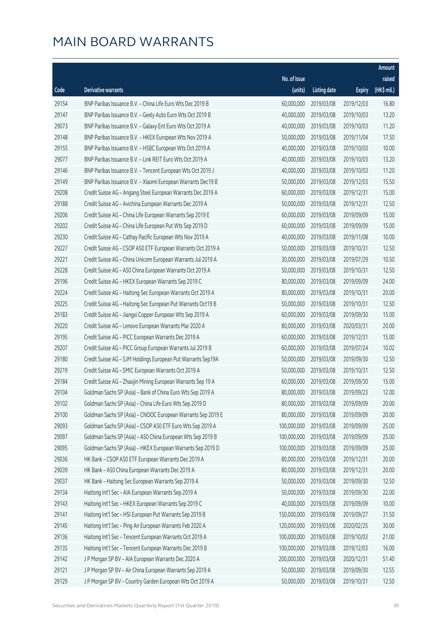|       |                                                              |              |                       |               | Amount      |
|-------|--------------------------------------------------------------|--------------|-----------------------|---------------|-------------|
|       |                                                              | No. of issue |                       |               | raised      |
| Code  | Derivative warrants                                          | (units)      | <b>Listing date</b>   | <b>Expiry</b> | (HK\$ mil.) |
| 29154 | BNP Paribas Issuance B.V. - China Life Euro Wts Dec 2019 B   | 60,000,000   | 2019/03/08            | 2019/12/03    | 16.80       |
| 29147 | BNP Paribas Issuance B.V. - Geely Auto Euro Wts Oct 2019 B   | 40,000,000   | 2019/03/08            | 2019/10/03    | 13.20       |
| 29073 | BNP Paribas Issuance B.V. - Galaxy Ent Euro Wts Oct 2019 A   | 40,000,000   | 2019/03/08            | 2019/10/03    | 11.20       |
| 29148 | BNP Paribas Issuance B.V. - HKEX European Wts Nov 2019 A     | 50,000,000   | 2019/03/08            | 2019/11/04    | 17.50       |
| 29155 | BNP Paribas Issuance B.V. - HSBC European Wts Oct 2019 A     | 40,000,000   | 2019/03/08            | 2019/10/03    | 10.00       |
| 29077 | BNP Paribas Issuance B.V. - Link REIT Euro Wts Oct 2019 A    | 40,000,000   | 2019/03/08            | 2019/10/03    | 13.20       |
| 29146 | BNP Paribas Issuance B.V. - Tencent European Wts Oct 2019 J  | 40,000,000   | 2019/03/08            | 2019/10/03    | 11.20       |
| 29149 | BNP Paribas Issuance B.V. - Xiaomi European Warrants Dec19 B | 50,000,000   | 2019/03/08            | 2019/12/03    | 15.50       |
| 29208 | Credit Suisse AG - Angang Steel European Warrants Dec 2019 A | 60,000,000   | 2019/03/08            | 2019/12/31    | 15.00       |
| 29188 | Credit Suisse AG - Avichina European Warrants Dec 2019 A     | 50,000,000   | 2019/03/08            | 2019/12/31    | 12.50       |
| 29206 | Credit Suisse AG - China Life European Warrants Sep 2019 E   | 60,000,000   | 2019/03/08            | 2019/09/09    | 15.00       |
| 29202 | Credit Suisse AG - China Life European Put Wts Sep 2019 D    | 60,000,000   | 2019/03/08            | 2019/09/09    | 15.00       |
| 29230 | Credit Suisse AG - Cathay Pacific European Wts Nov 2019 A    | 40,000,000   | 2019/03/08            | 2019/11/08    | 10.00       |
| 29227 | Credit Suisse AG - CSOP A50 ETF European Warrants Oct 2019 A | 50,000,000   | 2019/03/08            | 2019/10/31    | 12.50       |
| 29221 | Credit Suisse AG - China Unicom European Warrants Jul 2019 A | 30,000,000   | 2019/03/08            | 2019/07/29    | 10.50       |
| 29228 | Credit Suisse AG - A50 China European Warrants Oct 2019 A    | 50,000,000   | 2019/03/08            | 2019/10/31    | 12.50       |
| 29196 | Credit Suisse AG - HKEX European Warrants Sep 2019 C         | 80,000,000   | 2019/03/08            | 2019/09/09    | 24.00       |
| 29224 | Credit Suisse AG - Haitong Sec European Warrants Oct 2019 A  | 80,000,000   | 2019/03/08            | 2019/10/31    | 20.00       |
| 29225 | Credit Suisse AG - Haitong Sec European Put Warrants Oct19 B | 50,000,000   | 2019/03/08            | 2019/10/31    | 12.50       |
| 29183 | Credit Suisse AG - Jiangxi Copper European Wts Sep 2019 A    | 60,000,000   | 2019/03/08            | 2019/09/30    | 15.00       |
| 29220 | Credit Suisse AG - Lenovo European Warrants Mar 2020 A       | 80,000,000   | 2019/03/08            | 2020/03/31    | 20.00       |
| 29195 | Credit Suisse AG - PICC European Warrants Dec 2019 A         | 60,000,000   | 2019/03/08            | 2019/12/31    | 15.00       |
| 29207 | Credit Suisse AG - PICC Group European Warrants Jul 2019 B   | 60,000,000   | 2019/03/08            | 2019/07/24    | 10.02       |
| 29180 | Credit Suisse AG - SJM Holdings European Put Warrants Sep19A | 50,000,000   | 2019/03/08            | 2019/09/30    | 12.50       |
| 29219 | Credit Suisse AG - SMIC European Warrants Oct 2019 A         | 50,000,000   | 2019/03/08            | 2019/10/31    | 12.50       |
| 29184 | Credit Suisse AG - Zhaojin Mining European Warrants Sep 19 A | 60,000,000   | 2019/03/08            | 2019/09/30    | 15.00       |
| 29104 | Goldman Sachs SP (Asia) - Bank of China Euro Wts Sep 2019 A  |              | 80,000,000 2019/03/08 | 2019/09/23    | 12.00       |
| 29102 | Goldman Sachs SP (Asia) - China Life Euro Wts Sep 2019 D     | 80,000,000   | 2019/03/08            | 2019/09/09    | 20.00       |
| 29100 | Goldman Sachs SP (Asia) - CNOOC European Warrants Sep 2019 E | 80,000,000   | 2019/03/08            | 2019/09/09    | 20.00       |
| 29093 | Goldman Sachs SP (Asia) - CSOP A50 ETF Euro Wts Sep 2019 A   | 100,000,000  | 2019/03/08            | 2019/09/09    | 25.00       |
| 29097 | Goldman Sachs SP (Asia) - A50 China European Wts Sep 2019 B  | 100,000,000  | 2019/03/08            | 2019/09/09    | 25.00       |
| 29095 | Goldman Sachs SP (Asia) - HKEX European Warrants Sep 2019 D  | 100,000,000  | 2019/03/08            | 2019/09/09    | 25.00       |
| 29036 | HK Bank - CSOP A50 ETF European Warrants Dec 2019 A          | 80,000,000   | 2019/03/08            | 2019/12/31    | 20.00       |
| 29039 | HK Bank - A50 China European Warrants Dec 2019 A             | 80,000,000   | 2019/03/08            | 2019/12/31    | 20.00       |
| 29037 | HK Bank - Haitong Sec European Warrants Sep 2019 A           | 50,000,000   | 2019/03/08            | 2019/09/30    | 12.50       |
| 29134 | Haitong Int'l Sec - AIA European Warrants Sep 2019 A         | 50,000,000   | 2019/03/08            | 2019/09/30    | 22.00       |
| 29143 | Haitong Int'l Sec - HKEX European Warrants Sep 2019 C        | 40,000,000   | 2019/03/08            | 2019/09/09    | 10.00       |
| 29141 | Haitong Int'l Sec - HSI European Put Warrants Sep 2019 B     | 150,000,000  | 2019/03/08            | 2019/09/27    | 31.50       |
| 29145 | Haitong Int'l Sec - Ping An European Warrants Feb 2020 A     | 120,000,000  | 2019/03/08            | 2020/02/25    | 30.00       |
| 29136 | Haitong Int'l Sec - Tencent European Warrants Oct 2019 A     | 100,000,000  | 2019/03/08            | 2019/10/03    | 21.00       |
| 29135 | Haitong Int'l Sec - Tencent European Warrants Dec 2019 B     | 100,000,000  | 2019/03/08            | 2019/12/03    | 16.00       |
| 29142 | J P Morgan SP BV - AIA European Warrants Dec 2020 A          | 200,000,000  | 2019/03/08            | 2020/12/31    | 51.40       |
| 29121 | J P Morgan SP BV - Air China European Warrants Sep 2019 A    | 50,000,000   | 2019/03/08            | 2019/09/30    | 12.55       |
| 29129 | J P Morgan SP BV - Country Garden European Wts Oct 2019 A    | 50,000,000   | 2019/03/08            | 2019/10/31    | 12.50       |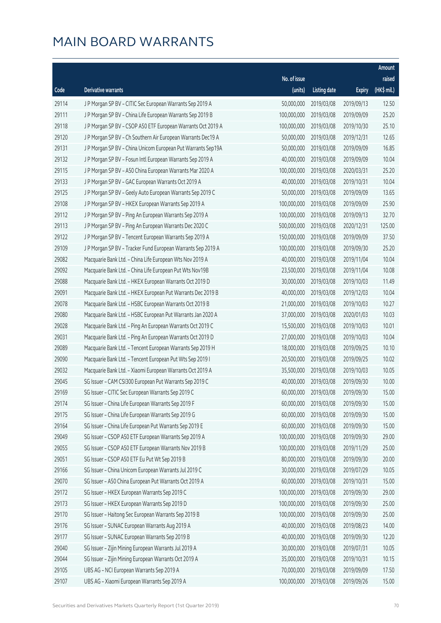|       |                                                              |              |                       |               | Amount      |
|-------|--------------------------------------------------------------|--------------|-----------------------|---------------|-------------|
|       |                                                              | No. of issue |                       |               | raised      |
| Code  | Derivative warrants                                          | (units)      | <b>Listing date</b>   | <b>Expiry</b> | (HK\$ mil.) |
| 29114 | J P Morgan SP BV - CITIC Sec European Warrants Sep 2019 A    | 50,000,000   | 2019/03/08            | 2019/09/13    | 12.50       |
| 29111 | J P Morgan SP BV - China Life European Warrants Sep 2019 B   | 100,000,000  | 2019/03/08            | 2019/09/09    | 25.20       |
| 29118 | J P Morgan SP BV - CSOP A50 ETF European Warrants Oct 2019 A | 100,000,000  | 2019/03/08            | 2019/10/30    | 25.10       |
| 29120 | J P Morgan SP BV - Ch Southern Air European Warrants Dec19 A | 50,000,000   | 2019/03/08            | 2019/12/31    | 12.65       |
| 29131 | J P Morgan SP BV - China Unicom European Put Warrants Sep19A | 50,000,000   | 2019/03/08            | 2019/09/09    | 16.85       |
| 29132 | J P Morgan SP BV - Fosun Intl European Warrants Sep 2019 A   | 40,000,000   | 2019/03/08            | 2019/09/09    | 10.04       |
| 29115 | J P Morgan SP BV - A50 China European Warrants Mar 2020 A    | 100,000,000  | 2019/03/08            | 2020/03/31    | 25.20       |
| 29133 | J P Morgan SP BV - GAC European Warrants Oct 2019 A          | 40,000,000   | 2019/03/08            | 2019/10/31    | 10.04       |
| 29125 | J P Morgan SP BV - Geely Auto European Warrants Sep 2019 C   | 50,000,000   | 2019/03/08            | 2019/09/09    | 13.65       |
| 29108 | J P Morgan SP BV - HKEX European Warrants Sep 2019 A         | 100,000,000  | 2019/03/08            | 2019/09/09    | 25.90       |
| 29112 | J P Morgan SP BV - Ping An European Warrants Sep 2019 A      | 100,000,000  | 2019/03/08            | 2019/09/13    | 32.70       |
| 29113 | J P Morgan SP BV - Ping An European Warrants Dec 2020 C      | 500,000,000  | 2019/03/08            | 2020/12/31    | 125.00      |
| 29122 | J P Morgan SP BV - Tencent European Warrants Sep 2019 A      | 150,000,000  | 2019/03/08            | 2019/09/09    | 37.50       |
| 29109 | J P Morgan SP BV - Tracker Fund European Warrants Sep 2019 A | 100,000,000  | 2019/03/08            | 2019/09/30    | 25.20       |
| 29082 | Macquarie Bank Ltd. - China Life European Wts Nov 2019 A     | 40,000,000   | 2019/03/08            | 2019/11/04    | 10.04       |
| 29092 | Macquarie Bank Ltd. - China Life European Put Wts Nov19B     | 23,500,000   | 2019/03/08            | 2019/11/04    | 10.08       |
| 29088 | Macquarie Bank Ltd. - HKEX European Warrants Oct 2019 D      | 30,000,000   | 2019/03/08            | 2019/10/03    | 11.49       |
| 29091 | Macquarie Bank Ltd. - HKEX European Put Warrants Dec 2019 B  | 40,000,000   | 2019/03/08            | 2019/12/03    | 10.04       |
| 29078 | Macquarie Bank Ltd. - HSBC European Warrants Oct 2019 B      | 21,000,000   | 2019/03/08            | 2019/10/03    | 10.27       |
| 29080 | Macquarie Bank Ltd. - HSBC European Put Warrants Jan 2020 A  | 37,000,000   | 2019/03/08            | 2020/01/03    | 10.03       |
| 29028 | Macquarie Bank Ltd. - Ping An European Warrants Oct 2019 C   | 15,500,000   | 2019/03/08            | 2019/10/03    | 10.01       |
| 29031 | Macquarie Bank Ltd. - Ping An European Warrants Oct 2019 D   | 27,000,000   | 2019/03/08            | 2019/10/03    | 10.04       |
| 29089 | Macquarie Bank Ltd. - Tencent European Warrants Sep 2019 H   | 18,000,000   | 2019/03/08            | 2019/09/25    | 10.10       |
| 29090 | Macquarie Bank Ltd. - Tencent European Put Wts Sep 2019 I    | 20,500,000   | 2019/03/08            | 2019/09/25    | 10.02       |
| 29032 | Macquarie Bank Ltd. - Xiaomi European Warrants Oct 2019 A    | 35,500,000   | 2019/03/08            | 2019/10/03    | 10.05       |
| 29045 | SG Issuer - CAM CSI300 European Put Warrants Sep 2019 C      | 40,000,000   | 2019/03/08            | 2019/09/30    | 10.00       |
| 29169 | SG Issuer - CITIC Sec European Warrants Sep 2019 C           |              | 60,000,000 2019/03/08 | 2019/09/30    | 15.00       |
| 29174 | SG Issuer - China Life European Warrants Sep 2019 F          | 60,000,000   | 2019/03/08            | 2019/09/30    | 15.00       |
| 29175 | SG Issuer - China Life European Warrants Sep 2019 G          | 60,000,000   | 2019/03/08            | 2019/09/30    | 15.00       |
| 29164 | SG Issuer - China Life European Put Warrants Sep 2019 E      | 60,000,000   | 2019/03/08            | 2019/09/30    | 15.00       |
| 29049 | SG Issuer - CSOP A50 ETF European Warrants Sep 2019 A        | 100,000,000  | 2019/03/08            | 2019/09/30    | 29.00       |
| 29055 | SG Issuer - CSOP A50 ETF European Warrants Nov 2019 B        | 100,000,000  | 2019/03/08            | 2019/11/29    | 25.00       |
| 29051 | SG Issuer - CSOP A50 ETF Eu Put Wt Sep 2019 B                | 80,000,000   | 2019/03/08            | 2019/09/30    | 20.00       |
| 29166 | SG Issuer - China Unicom European Warrants Jul 2019 C        | 30,000,000   | 2019/03/08            | 2019/07/29    | 10.05       |
| 29070 | SG Issuer - A50 China European Put Warrants Oct 2019 A       | 60,000,000   | 2019/03/08            | 2019/10/31    | 15.00       |
| 29172 | SG Issuer - HKEX European Warrants Sep 2019 C                | 100,000,000  | 2019/03/08            | 2019/09/30    | 29.00       |
| 29173 | SG Issuer - HKEX European Warrants Sep 2019 D                | 100,000,000  | 2019/03/08            | 2019/09/30    | 25.00       |
| 29170 | SG Issuer - Haitong Sec European Warrants Sep 2019 B         | 100,000,000  | 2019/03/08            | 2019/09/30    | 25.00       |
| 29176 | SG Issuer - SUNAC European Warrants Aug 2019 A               | 40,000,000   | 2019/03/08            | 2019/08/23    | 14.00       |
| 29177 | SG Issuer - SUNAC European Warrants Sep 2019 B               | 40,000,000   | 2019/03/08            | 2019/09/30    | 12.20       |
| 29040 | SG Issuer - Zijin Mining European Warrants Jul 2019 A        | 30,000,000   | 2019/03/08            | 2019/07/31    | 10.05       |
| 29044 | SG Issuer - Zijin Mining European Warrants Oct 2019 A        | 35,000,000   | 2019/03/08            | 2019/10/31    | 10.15       |
| 29105 | UBS AG - NCI European Warrants Sep 2019 A                    | 70,000,000   | 2019/03/08            | 2019/09/09    | 17.50       |
| 29107 | UBS AG - Xiaomi European Warrants Sep 2019 A                 | 100,000,000  | 2019/03/08            | 2019/09/26    | 15.00       |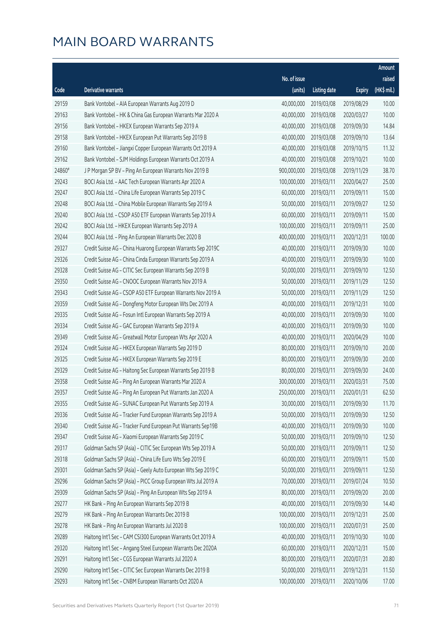|        |                                                              |                        |                     |               | Amount      |
|--------|--------------------------------------------------------------|------------------------|---------------------|---------------|-------------|
|        |                                                              | No. of issue           |                     |               | raised      |
| Code   | Derivative warrants                                          | (units)                | <b>Listing date</b> | <b>Expiry</b> | (HK\$ mil.) |
| 29159  | Bank Vontobel - AIA European Warrants Aug 2019 D             | 40,000,000             | 2019/03/08          | 2019/08/29    | 10.00       |
| 29163  | Bank Vontobel - HK & China Gas European Warrants Mar 2020 A  | 40,000,000             | 2019/03/08          | 2020/03/27    | 10.00       |
| 29156  | Bank Vontobel - HKEX European Warrants Sep 2019 A            | 40,000,000             | 2019/03/08          | 2019/09/30    | 14.84       |
| 29158  | Bank Vontobel - HKEX European Put Warrants Sep 2019 B        | 40,000,000             | 2019/03/08          | 2019/09/10    | 13.64       |
| 29160  | Bank Vontobel - Jiangxi Copper European Warrants Oct 2019 A  | 40,000,000             | 2019/03/08          | 2019/10/15    | 11.32       |
| 29162  | Bank Vontobel - SJM Holdings European Warrants Oct 2019 A    | 40,000,000             | 2019/03/08          | 2019/10/21    | 10.00       |
| 24860# | J P Morgan SP BV - Ping An European Warrants Nov 2019 B      | 900,000,000            | 2019/03/08          | 2019/11/29    | 38.70       |
| 29243  | BOCI Asia Ltd. - AAC Tech European Warrants Apr 2020 A       | 100,000,000            | 2019/03/11          | 2020/04/27    | 25.00       |
| 29247  | BOCI Asia Ltd. - China Life European Warrants Sep 2019 C     | 60,000,000             | 2019/03/11          | 2019/09/11    | 15.00       |
| 29248  | BOCI Asia Ltd. - China Mobile European Warrants Sep 2019 A   | 50,000,000             | 2019/03/11          | 2019/09/27    | 12.50       |
| 29240  | BOCI Asia Ltd. - CSOP A50 ETF European Warrants Sep 2019 A   | 60,000,000             | 2019/03/11          | 2019/09/11    | 15.00       |
| 29242  | BOCI Asia Ltd. - HKEX European Warrants Sep 2019 A           | 100,000,000            | 2019/03/11          | 2019/09/11    | 25.00       |
| 29244  | BOCI Asia Ltd. - Ping An European Warrants Dec 2020 B        | 400,000,000            | 2019/03/11          | 2020/12/31    | 100.00      |
| 29327  | Credit Suisse AG - China Huarong European Warrants Sep 2019C | 40,000,000             | 2019/03/11          | 2019/09/30    | 10.00       |
| 29326  | Credit Suisse AG - China Cinda European Warrants Sep 2019 A  | 40,000,000             | 2019/03/11          | 2019/09/30    | 10.00       |
| 29328  | Credit Suisse AG - CITIC Sec European Warrants Sep 2019 B    | 50,000,000             | 2019/03/11          | 2019/09/10    | 12.50       |
| 29350  | Credit Suisse AG - CNOOC European Warrants Nov 2019 A        | 50,000,000             | 2019/03/11          | 2019/11/29    | 12.50       |
| 29343  | Credit Suisse AG - CSOP A50 ETF European Warrants Nov 2019 A | 50,000,000             | 2019/03/11          | 2019/11/29    | 12.50       |
| 29359  | Credit Suisse AG - Dongfeng Motor European Wts Dec 2019 A    | 40,000,000             | 2019/03/11          | 2019/12/31    | 10.00       |
| 29335  | Credit Suisse AG - Fosun Intl European Warrants Sep 2019 A   | 40,000,000             | 2019/03/11          | 2019/09/30    | 10.00       |
| 29334  | Credit Suisse AG - GAC European Warrants Sep 2019 A          | 40,000,000             | 2019/03/11          | 2019/09/30    | 10.00       |
| 29349  | Credit Suisse AG - Greatwall Motor European Wts Apr 2020 A   | 40,000,000             | 2019/03/11          | 2020/04/29    | 10.00       |
| 29324  | Credit Suisse AG - HKEX European Warrants Sep 2019 D         | 80,000,000             | 2019/03/11          | 2019/09/10    | 20.00       |
| 29325  | Credit Suisse AG - HKEX European Warrants Sep 2019 E         | 80,000,000             | 2019/03/11          | 2019/09/30    | 20.00       |
| 29329  | Credit Suisse AG - Haitong Sec European Warrants Sep 2019 B  | 80,000,000             | 2019/03/11          | 2019/09/30    | 24.00       |
| 29358  | Credit Suisse AG - Ping An European Warrants Mar 2020 A      | 300,000,000            | 2019/03/11          | 2020/03/31    | 75.00       |
| 29357  | Credit Suisse AG - Ping An European Put Warrants Jan 2020 A  | 250,000,000 2019/03/11 |                     | 2020/01/31    | 62.50       |
| 29355  | Credit Suisse AG - SUNAC European Put Warrants Sep 2019 A    | 30,000,000             | 2019/03/11          | 2019/09/30    | 11.70       |
| 29336  | Credit Suisse AG - Tracker Fund European Warrants Sep 2019 A | 50,000,000             | 2019/03/11          | 2019/09/30    | 12.50       |
| 29340  | Credit Suisse AG - Tracker Fund European Put Warrants Sep19B | 40,000,000             | 2019/03/11          | 2019/09/30    | 10.00       |
| 29347  | Credit Suisse AG - Xiaomi European Warrants Sep 2019 C       | 50,000,000             | 2019/03/11          | 2019/09/10    | 12.50       |
| 29317  | Goldman Sachs SP (Asia) - CITIC Sec European Wts Sep 2019 A  | 50,000,000             | 2019/03/11          | 2019/09/11    | 12.50       |
| 29318  | Goldman Sachs SP (Asia) - China Life Euro Wts Sep 2019 E     | 60,000,000             | 2019/03/11          | 2019/09/11    | 15.00       |
| 29301  | Goldman Sachs SP (Asia) - Geely Auto European Wts Sep 2019 C | 50,000,000             | 2019/03/11          | 2019/09/11    | 12.50       |
| 29296  | Goldman Sachs SP (Asia) - PICC Group European Wts Jul 2019 A | 70,000,000             | 2019/03/11          | 2019/07/24    | 10.50       |
| 29309  | Goldman Sachs SP (Asia) - Ping An European Wts Sep 2019 A    | 80,000,000             | 2019/03/11          | 2019/09/20    | 20.00       |
| 29277  | HK Bank - Ping An European Warrants Sep 2019 B               | 40,000,000             | 2019/03/11          | 2019/09/30    | 14.40       |
| 29279  | HK Bank - Ping An European Warrants Dec 2019 B               | 100,000,000            | 2019/03/11          | 2019/12/31    | 25.00       |
| 29278  | HK Bank - Ping An European Warrants Jul 2020 B               | 100,000,000            | 2019/03/11          | 2020/07/31    | 25.00       |
| 29289  | Haitong Int'l Sec - CAM CSI300 European Warrants Oct 2019 A  | 40,000,000             | 2019/03/11          | 2019/10/30    | 10.00       |
| 29320  | Haitong Int'l Sec - Angang Steel European Warrants Dec 2020A | 60,000,000             | 2019/03/11          | 2020/12/31    | 15.00       |
| 29291  | Haitong Int'l Sec - CGS European Warrants Jul 2020 A         | 80,000,000             | 2019/03/11          | 2020/07/31    | 20.80       |
| 29290  | Haitong Int'l Sec - CITIC Sec European Warrants Dec 2019 B   | 50,000,000             | 2019/03/11          | 2019/12/31    | 11.50       |
| 29293  | Haitong Int'l Sec - CNBM European Warrants Oct 2020 A        | 100,000,000            | 2019/03/11          | 2020/10/06    | 17.00       |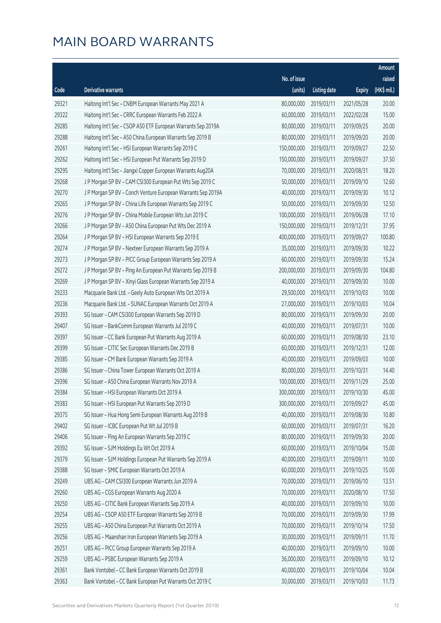|       |                                                              |                        |                     |               | Amount      |
|-------|--------------------------------------------------------------|------------------------|---------------------|---------------|-------------|
|       |                                                              | No. of issue           |                     |               | raised      |
| Code  | Derivative warrants                                          | (units)                | <b>Listing date</b> | <b>Expiry</b> | (HK\$ mil.) |
| 29321 | Haitong Int'l Sec - CNBM European Warrants May 2021 A        | 80,000,000             | 2019/03/11          | 2021/05/28    | 20.00       |
| 29322 | Haitong Int'l Sec - CRRC European Warrants Feb 2022 A        | 60,000,000             | 2019/03/11          | 2022/02/28    | 15.00       |
| 29285 | Haitong Int'l Sec - CSOP A50 ETF European Warrants Sep 2019A | 80,000,000             | 2019/03/11          | 2019/09/25    | 20.00       |
| 29288 | Haitong Int'l Sec - A50 China European Warrants Sep 2019 B   | 80,000,000             | 2019/03/11          | 2019/09/20    | 20.00       |
| 29261 | Haitong Int'l Sec - HSI European Warrants Sep 2019 C         | 150,000,000            | 2019/03/11          | 2019/09/27    | 22.50       |
| 29262 | Haitong Int'l Sec - HSI European Put Warrants Sep 2019 D     | 150,000,000            | 2019/03/11          | 2019/09/27    | 37.50       |
| 29295 | Haitong Int'l Sec - Jiangxi Copper European Warrants Aug20A  | 70,000,000             | 2019/03/11          | 2020/08/31    | 18.20       |
| 29268 | J P Morgan SP BV - CAM CSI300 European Put Wts Sep 2019 C    | 50,000,000             | 2019/03/11          | 2019/09/10    | 12.60       |
| 29270 | J P Morgan SP BV - Conch Venture European Warrants Sep 2019A | 40,000,000             | 2019/03/11          | 2019/09/30    | 10.12       |
| 29265 | J P Morgan SP BV - China Life European Warrants Sep 2019 C   | 50,000,000             | 2019/03/11          | 2019/09/30    | 12.50       |
| 29276 | J P Morgan SP BV - China Mobile European Wts Jun 2019 C      | 100,000,000            | 2019/03/11          | 2019/06/28    | 17.10       |
| 29266 | J P Morgan SP BV - A50 China European Put Wts Dec 2019 A     | 150,000,000            | 2019/03/11          | 2019/12/31    | 37.95       |
| 29264 | J P Morgan SP BV - HSI European Warrants Sep 2019 E          | 400,000,000            | 2019/03/11          | 2019/09/27    | 100.80      |
| 29274 | J P Morgan SP BV - Nexteer European Warrants Sep 2019 A      | 35,000,000             | 2019/03/11          | 2019/09/30    | 10.22       |
| 29273 | J P Morgan SP BV - PICC Group European Warrants Sep 2019 A   | 60,000,000             | 2019/03/11          | 2019/09/30    | 15.24       |
| 29272 | J P Morgan SP BV - Ping An European Put Warrants Sep 2019 B  | 200,000,000            | 2019/03/11          | 2019/09/30    | 104.80      |
| 29269 | J P Morgan SP BV - Xinyi Glass European Warrants Sep 2019 A  | 40,000,000             | 2019/03/11          | 2019/09/30    | 10.00       |
| 29233 | Macquarie Bank Ltd. - Geely Auto European Wts Oct 2019 A     | 29,500,000             | 2019/03/11          | 2019/10/03    | 10.00       |
| 29236 | Macquarie Bank Ltd. - SUNAC European Warrants Oct 2019 A     | 27,000,000             | 2019/03/11          | 2019/10/03    | 10.04       |
| 29393 | SG Issuer - CAM CSI300 European Warrants Sep 2019 D          | 80,000,000             | 2019/03/11          | 2019/09/30    | 20.00       |
| 29407 | SG Issuer - BankComm European Warrants Jul 2019 C            | 40,000,000             | 2019/03/11          | 2019/07/31    | 10.00       |
| 29397 | SG Issuer - CC Bank European Put Warrants Aug 2019 A         | 60,000,000             | 2019/03/11          | 2019/08/30    | 23.10       |
| 29399 | SG Issuer - CITIC Sec European Warrants Dec 2019 B           | 60,000,000             | 2019/03/11          | 2019/12/31    | 12.00       |
| 29385 | SG Issuer - CM Bank European Warrants Sep 2019 A             | 40,000,000             | 2019/03/11          | 2019/09/03    | 10.00       |
| 29386 | SG Issuer - China Tower European Warrants Oct 2019 A         | 80,000,000             | 2019/03/11          | 2019/10/31    | 14.40       |
| 29396 | SG Issuer - A50 China European Warrants Nov 2019 A           | 100,000,000            | 2019/03/11          | 2019/11/29    | 25.00       |
| 29384 | SG Issuer - HSI European Warrants Oct 2019 A                 | 300,000,000 2019/03/11 |                     | 2019/10/30    | 45.00       |
| 29383 | SG Issuer - HSI European Put Warrants Sep 2019 D             | 300,000,000            | 2019/03/11          | 2019/09/27    | 45.00       |
| 29375 | SG Issuer - Hua Hong Semi European Warrants Aug 2019 B       | 40,000,000             | 2019/03/11          | 2019/08/30    | 10.80       |
| 29402 | SG Issuer - ICBC European Put Wt Jul 2019 B                  | 60,000,000             | 2019/03/11          | 2019/07/31    | 16.20       |
| 29406 | SG Issuer - Ping An European Warrants Sep 2019 C             | 80,000,000             | 2019/03/11          | 2019/09/30    | 20.00       |
| 29392 | SG Issuer - SJM Holdings Eu Wt Oct 2019 A                    | 60,000,000             | 2019/03/11          | 2019/10/04    | 15.00       |
| 29379 | SG Issuer - SJM Holdings European Put Warrants Sep 2019 A    | 40,000,000             | 2019/03/11          | 2019/09/11    | 10.00       |
| 29388 | SG Issuer - SMIC European Warrants Oct 2019 A                | 60,000,000             | 2019/03/11          | 2019/10/25    | 15.00       |
| 29249 | UBS AG - CAM CSI300 European Warrants Jun 2019 A             | 70,000,000             | 2019/03/11          | 2019/06/10    | 13.51       |
| 29260 | UBS AG - CGS European Warrants Aug 2020 A                    | 70,000,000             | 2019/03/11          | 2020/08/10    | 17.50       |
| 29250 | UBS AG - CITIC Bank European Warrants Sep 2019 A             | 40,000,000             | 2019/03/11          | 2019/09/10    | 10.00       |
| 29254 | UBS AG - CSOP A50 ETF European Warrants Sep 2019 B           | 70,000,000             | 2019/03/11          | 2019/09/30    | 17.99       |
| 29255 | UBS AG - A50 China European Put Warrants Oct 2019 A          | 70,000,000             | 2019/03/11          | 2019/10/14    | 17.50       |
| 29256 | UBS AG - Maanshan Iron European Warrants Sep 2019 A          | 30,000,000             | 2019/03/11          | 2019/09/11    | 11.70       |
| 29251 | UBS AG - PICC Group European Warrants Sep 2019 A             | 40,000,000             | 2019/03/11          | 2019/09/10    | 10.00       |
| 29259 | UBS AG - PSBC European Warrants Sep 2019 A                   | 36,000,000             | 2019/03/11          | 2019/09/10    | 10.12       |
| 29361 | Bank Vontobel - CC Bank European Warrants Oct 2019 B         | 40,000,000             | 2019/03/11          | 2019/10/04    | 10.04       |
| 29363 | Bank Vontobel - CC Bank European Put Warrants Oct 2019 C     | 30,000,000             | 2019/03/11          | 2019/10/03    | 11.73       |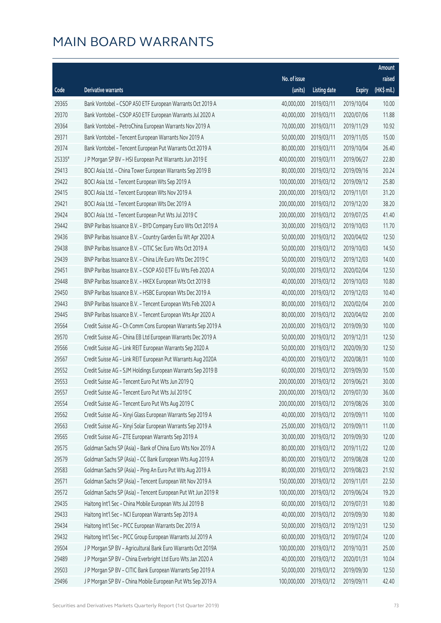|        |                                                              |              |                        |               | Amount      |
|--------|--------------------------------------------------------------|--------------|------------------------|---------------|-------------|
|        |                                                              | No. of issue |                        |               | raised      |
| Code   | Derivative warrants                                          | (units)      | <b>Listing date</b>    | <b>Expiry</b> | (HK\$ mil.) |
| 29365  | Bank Vontobel - CSOP A50 ETF European Warrants Oct 2019 A    | 40,000,000   | 2019/03/11             | 2019/10/04    | 10.00       |
| 29370  | Bank Vontobel - CSOP A50 ETF European Warrants Jul 2020 A    | 40,000,000   | 2019/03/11             | 2020/07/06    | 11.88       |
| 29364  | Bank Vontobel - PetroChina European Warrants Nov 2019 A      | 70,000,000   | 2019/03/11             | 2019/11/29    | 10.92       |
| 29371  | Bank Vontobel - Tencent European Warrants Nov 2019 A         | 50,000,000   | 2019/03/11             | 2019/11/05    | 15.00       |
| 29374  | Bank Vontobel - Tencent European Put Warrants Oct 2019 A     | 80,000,000   | 2019/03/11             | 2019/10/04    | 26.40       |
| 25335# | J P Morgan SP BV - HSI European Put Warrants Jun 2019 E      | 400,000,000  | 2019/03/11             | 2019/06/27    | 22.80       |
| 29413  | BOCI Asia Ltd. - China Tower European Warrants Sep 2019 B    | 80,000,000   | 2019/03/12             | 2019/09/16    | 20.24       |
| 29422  | BOCI Asia Ltd. - Tencent European Wts Sep 2019 A             | 100,000,000  | 2019/03/12             | 2019/09/12    | 25.80       |
| 29415  | BOCI Asia Ltd. - Tencent European Wts Nov 2019 A             | 200,000,000  | 2019/03/12             | 2019/11/01    | 31.20       |
| 29421  | BOCI Asia Ltd. - Tencent European Wts Dec 2019 A             | 200,000,000  | 2019/03/12             | 2019/12/20    | 38.20       |
| 29424  | BOCI Asia Ltd. - Tencent European Put Wts Jul 2019 C         | 200,000,000  | 2019/03/12             | 2019/07/25    | 41.40       |
| 29442  | BNP Paribas Issuance B.V. - BYD Company Euro Wts Oct 2019 A  | 30,000,000   | 2019/03/12             | 2019/10/03    | 11.70       |
| 29436  | BNP Paribas Issuance B.V. - Country Garden Eu Wt Apr 2020 A  | 50,000,000   | 2019/03/12             | 2020/04/02    | 12.50       |
| 29438  | BNP Paribas Issuance B.V. - CITIC Sec Euro Wts Oct 2019 A    | 50,000,000   | 2019/03/12             | 2019/10/03    | 14.50       |
| 29439  | BNP Paribas Issuance B.V. - China Life Euro Wts Dec 2019 C   | 50,000,000   | 2019/03/12             | 2019/12/03    | 14.00       |
| 29451  | BNP Paribas Issuance B.V. - CSOP A50 ETF Eu Wts Feb 2020 A   | 50,000,000   | 2019/03/12             | 2020/02/04    | 12.50       |
| 29448  | BNP Paribas Issuance B.V. - HKEX European Wts Oct 2019 B     | 40,000,000   | 2019/03/12             | 2019/10/03    | 10.80       |
| 29450  | BNP Paribas Issuance B.V. - HSBC European Wts Dec 2019 A     | 40,000,000   | 2019/03/12             | 2019/12/03    | 10.40       |
| 29443  | BNP Paribas Issuance B.V. - Tencent European Wts Feb 2020 A  | 80,000,000   | 2019/03/12             | 2020/02/04    | 20.00       |
| 29445  | BNP Paribas Issuance B.V. - Tencent European Wts Apr 2020 A  | 80,000,000   | 2019/03/12             | 2020/04/02    | 20.00       |
| 29564  | Credit Suisse AG - Ch Comm Cons European Warrants Sep 2019 A | 20,000,000   | 2019/03/12             | 2019/09/30    | 10.00       |
| 29570  | Credit Suisse AG - China EB Ltd European Warrants Dec 2019 A | 50,000,000   | 2019/03/12             | 2019/12/31    | 12.50       |
| 29566  | Credit Suisse AG - Link REIT European Warrants Sep 2020 A    | 50,000,000   | 2019/03/12             | 2020/09/30    | 12.50       |
| 29567  | Credit Suisse AG - Link REIT European Put Warrants Aug 2020A | 40,000,000   | 2019/03/12             | 2020/08/31    | 10.00       |
| 29552  | Credit Suisse AG - SJM Holdings European Warrants Sep 2019 B | 60,000,000   | 2019/03/12             | 2019/09/30    | 15.00       |
| 29553  | Credit Suisse AG - Tencent Euro Put Wts Jun 2019 Q           | 200,000,000  | 2019/03/12             | 2019/06/21    | 30.00       |
| 29557  | Credit Suisse AG - Tencent Euro Put Wts Jul 2019 C           |              | 200,000,000 2019/03/12 | 2019/07/30    | 36.00       |
| 29554  | Credit Suisse AG - Tencent Euro Put Wts Aug 2019 C           | 200,000,000  | 2019/03/12             | 2019/08/26    | 30.00       |
| 29562  | Credit Suisse AG - Xinyi Glass European Warrants Sep 2019 A  | 40,000,000   | 2019/03/12             | 2019/09/11    | 10.00       |
| 29563  | Credit Suisse AG - Xinyi Solar European Warrants Sep 2019 A  | 25,000,000   | 2019/03/12             | 2019/09/11    | 11.00       |
| 29565  | Credit Suisse AG - ZTE European Warrants Sep 2019 A          | 30,000,000   | 2019/03/12             | 2019/09/30    | 12.00       |
| 29575  | Goldman Sachs SP (Asia) - Bank of China Euro Wts Nov 2019 A  | 80,000,000   | 2019/03/12             | 2019/11/22    | 12.00       |
| 29579  | Goldman Sachs SP (Asia) - CC Bank European Wts Aug 2019 A    | 80,000,000   | 2019/03/12             | 2019/08/28    | 12.00       |
| 29583  | Goldman Sachs SP (Asia) - Ping An Euro Put Wts Aug 2019 A    | 80,000,000   | 2019/03/12             | 2019/08/23    | 21.92       |
| 29571  | Goldman Sachs SP (Asia) - Tencent European Wt Nov 2019 A     | 150,000,000  | 2019/03/12             | 2019/11/01    | 22.50       |
| 29572  | Goldman Sachs SP (Asia) - Tencent European Put Wt Jun 2019 R | 100,000,000  | 2019/03/12             | 2019/06/24    | 19.20       |
| 29435  | Haitong Int'l Sec - China Mobile European Wts Jul 2019 B     | 60,000,000   | 2019/03/12             | 2019/07/31    | 10.80       |
| 29433  | Haitong Int'l Sec - NCI European Warrants Sep 2019 A         | 40,000,000   | 2019/03/12             | 2019/09/30    | 10.80       |
| 29434  | Haitong Int'l Sec - PICC European Warrants Dec 2019 A        | 50,000,000   | 2019/03/12             | 2019/12/31    | 12.50       |
| 29432  | Haitong Int'l Sec - PICC Group European Warrants Jul 2019 A  | 60,000,000   | 2019/03/12             | 2019/07/24    | 12.00       |
| 29504  | J P Morgan SP BV - Agricultural Bank Euro Warrants Oct 2019A | 100,000,000  | 2019/03/12             | 2019/10/31    | 25.00       |
| 29489  | J P Morgan SP BV - China Everbright Ltd Euro Wts Jan 2020 A  | 40,000,000   | 2019/03/12             | 2020/01/31    | 10.04       |
| 29503  | J P Morgan SP BV - CITIC Bank European Warrants Sep 2019 A   | 50,000,000   | 2019/03/12             | 2019/09/30    | 12.50       |
| 29496  | J P Morgan SP BV - China Mobile European Put Wts Sep 2019 A  | 100,000,000  | 2019/03/12             | 2019/09/11    | 42.40       |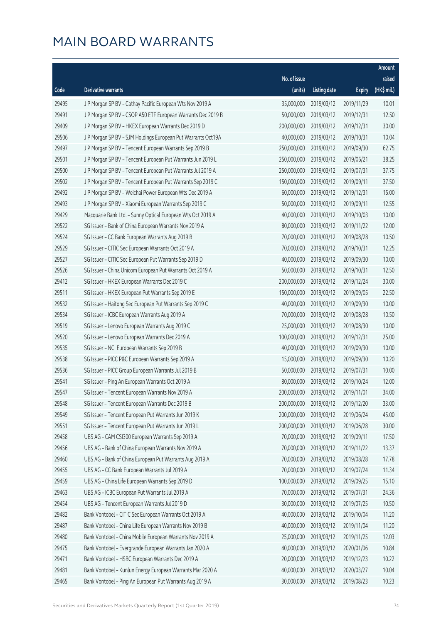|       |                                                              |                        |                     |               | Amount      |
|-------|--------------------------------------------------------------|------------------------|---------------------|---------------|-------------|
|       |                                                              | No. of issue           |                     |               | raised      |
| Code  | Derivative warrants                                          | (units)                | <b>Listing date</b> | <b>Expiry</b> | (HK\$ mil.) |
| 29495 | J P Morgan SP BV - Cathay Pacific European Wts Nov 2019 A    | 35,000,000             | 2019/03/12          | 2019/11/29    | 10.01       |
| 29491 | J P Morgan SP BV - CSOP A50 ETF European Warrants Dec 2019 B | 50,000,000             | 2019/03/12          | 2019/12/31    | 12.50       |
| 29409 | J P Morgan SP BV - HKEX European Warrants Dec 2019 D         | 200,000,000            | 2019/03/12          | 2019/12/31    | 30.00       |
| 29506 | JP Morgan SP BV - SJM Holdings European Put Warrants Oct19A  | 40,000,000             | 2019/03/12          | 2019/10/31    | 10.04       |
| 29497 | JP Morgan SP BV - Tencent European Warrants Sep 2019 B       | 250,000,000            | 2019/03/12          | 2019/09/30    | 62.75       |
| 29501 | JP Morgan SP BV - Tencent European Put Warrants Jun 2019 L   | 250,000,000            | 2019/03/12          | 2019/06/21    | 38.25       |
| 29500 | J P Morgan SP BV - Tencent European Put Warrants Jul 2019 A  | 250,000,000            | 2019/03/12          | 2019/07/31    | 37.75       |
| 29502 | J P Morgan SP BV - Tencent European Put Warrants Sep 2019 C  | 150,000,000            | 2019/03/12          | 2019/09/11    | 37.50       |
| 29492 | J P Morgan SP BV - Weichai Power European Wts Dec 2019 A     | 60,000,000             | 2019/03/12          | 2019/12/31    | 15.00       |
| 29493 | J P Morgan SP BV - Xiaomi European Warrants Sep 2019 C       | 50,000,000             | 2019/03/12          | 2019/09/11    | 12.55       |
| 29429 | Macquarie Bank Ltd. - Sunny Optical European Wts Oct 2019 A  | 40,000,000             | 2019/03/12          | 2019/10/03    | 10.00       |
| 29522 | SG Issuer - Bank of China European Warrants Nov 2019 A       | 80,000,000             | 2019/03/12          | 2019/11/22    | 12.00       |
| 29524 | SG Issuer - CC Bank European Warrants Aug 2019 B             | 70,000,000             | 2019/03/12          | 2019/08/28    | 10.50       |
| 29529 | SG Issuer - CITIC Sec European Warrants Oct 2019 A           | 70,000,000             | 2019/03/12          | 2019/10/31    | 12.25       |
| 29527 | SG Issuer - CITIC Sec European Put Warrants Sep 2019 D       | 40,000,000             | 2019/03/12          | 2019/09/30    | 10.00       |
| 29526 | SG Issuer - China Unicom European Put Warrants Oct 2019 A    | 50,000,000             | 2019/03/12          | 2019/10/31    | 12.50       |
| 29412 | SG Issuer - HKEX European Warrants Dec 2019 C                | 200,000,000            | 2019/03/12          | 2019/12/24    | 30.00       |
| 29511 | SG Issuer - HKEX European Put Warrants Sep 2019 E            | 150,000,000            | 2019/03/12          | 2019/09/05    | 22.50       |
| 29532 | SG Issuer - Haitong Sec European Put Warrants Sep 2019 C     | 40,000,000             | 2019/03/12          | 2019/09/30    | 10.00       |
| 29534 | SG Issuer - ICBC European Warrants Aug 2019 A                | 70,000,000             | 2019/03/12          | 2019/08/28    | 10.50       |
| 29519 | SG Issuer - Lenovo European Warrants Aug 2019 C              | 25,000,000             | 2019/03/12          | 2019/08/30    | 10.00       |
| 29520 | SG Issuer - Lenovo European Warrants Dec 2019 A              | 100,000,000            | 2019/03/12          | 2019/12/31    | 25.00       |
| 29535 | SG Issuer - NCI European Warrants Sep 2019 B                 | 40,000,000             | 2019/03/12          | 2019/09/30    | 10.00       |
| 29538 | SG Issuer - PICC P&C European Warrants Sep 2019 A            | 15,000,000             | 2019/03/12          | 2019/09/30    | 10.20       |
| 29536 | SG Issuer - PICC Group European Warrants Jul 2019 B          | 50,000,000             | 2019/03/12          | 2019/07/31    | 10.00       |
| 29541 | SG Issuer - Ping An European Warrants Oct 2019 A             | 80,000,000             | 2019/03/12          | 2019/10/24    | 12.00       |
| 29547 | SG Issuer - Tencent European Warrants Nov 2019 A             | 200,000,000 2019/03/12 |                     | 2019/11/01    | 34.00       |
| 29548 | SG Issuer - Tencent European Warrants Dec 2019 B             | 200,000,000            | 2019/03/12          | 2019/12/20    | 33.00       |
| 29549 | SG Issuer - Tencent European Put Warrants Jun 2019 K         | 200,000,000            | 2019/03/12          | 2019/06/24    | 45.00       |
| 29551 | SG Issuer - Tencent European Put Warrants Jun 2019 L         | 200,000,000            | 2019/03/12          | 2019/06/28    | 30.00       |
| 29458 | UBS AG - CAM CSI300 European Warrants Sep 2019 A             | 70,000,000             | 2019/03/12          | 2019/09/11    | 17.50       |
| 29456 | UBS AG - Bank of China European Warrants Nov 2019 A          | 70,000,000             | 2019/03/12          | 2019/11/22    | 13.37       |
| 29460 | UBS AG - Bank of China European Put Warrants Aug 2019 A      | 70,000,000             | 2019/03/12          | 2019/08/28    | 17.78       |
| 29455 | UBS AG - CC Bank European Warrants Jul 2019 A                | 70,000,000             | 2019/03/12          | 2019/07/24    | 11.34       |
| 29459 | UBS AG - China Life European Warrants Sep 2019 D             | 100,000,000            | 2019/03/12          | 2019/09/25    | 15.10       |
| 29463 | UBS AG - ICBC European Put Warrants Jul 2019 A               | 70,000,000             | 2019/03/12          | 2019/07/31    | 24.36       |
| 29454 | UBS AG - Tencent European Warrants Jul 2019 D                | 30,000,000             | 2019/03/12          | 2019/07/25    | 10.50       |
| 29482 | Bank Vontobel - CITIC Sec European Warrants Oct 2019 A       | 40,000,000             | 2019/03/12          | 2019/10/04    | 11.20       |
| 29487 | Bank Vontobel - China Life European Warrants Nov 2019 B      | 40,000,000             | 2019/03/12          | 2019/11/04    | 11.20       |
| 29480 | Bank Vontobel - China Mobile European Warrants Nov 2019 A    | 25,000,000             | 2019/03/12          | 2019/11/25    | 12.03       |
| 29475 | Bank Vontobel - Evergrande European Warrants Jan 2020 A      | 40,000,000             | 2019/03/12          | 2020/01/06    | 10.84       |
| 29471 | Bank Vontobel - HSBC European Warrants Dec 2019 A            | 20,000,000             | 2019/03/12          | 2019/12/23    | 10.22       |
| 29481 | Bank Vontobel - Kunlun Energy European Warrants Mar 2020 A   | 40,000,000             | 2019/03/12          | 2020/03/27    | 10.04       |
| 29465 | Bank Vontobel - Ping An European Put Warrants Aug 2019 A     | 30,000,000             | 2019/03/12          | 2019/08/23    | 10.23       |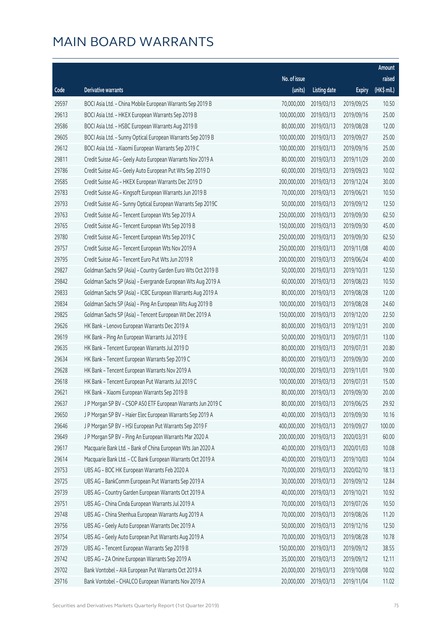|       |                                                              |              |                       |               | Amount      |
|-------|--------------------------------------------------------------|--------------|-----------------------|---------------|-------------|
|       |                                                              | No. of issue |                       |               | raised      |
| Code  | Derivative warrants                                          | (units)      | <b>Listing date</b>   | <b>Expiry</b> | (HK\$ mil.) |
| 29597 | BOCI Asia Ltd. - China Mobile European Warrants Sep 2019 B   | 70,000,000   | 2019/03/13            | 2019/09/25    | 10.50       |
| 29613 | BOCI Asia Ltd. - HKEX European Warrants Sep 2019 B           | 100,000,000  | 2019/03/13            | 2019/09/16    | 25.00       |
| 29586 | BOCI Asia Ltd. - HSBC European Warrants Aug 2019 B           | 80,000,000   | 2019/03/13            | 2019/08/28    | 12.00       |
| 29605 | BOCI Asia Ltd. - Sunny Optical European Warrants Sep 2019 B  | 100,000,000  | 2019/03/13            | 2019/09/27    | 25.00       |
| 29612 | BOCI Asia Ltd. - Xiaomi European Warrants Sep 2019 C         | 100,000,000  | 2019/03/13            | 2019/09/16    | 25.00       |
| 29811 | Credit Suisse AG - Geely Auto European Warrants Nov 2019 A   | 80,000,000   | 2019/03/13            | 2019/11/29    | 20.00       |
| 29786 | Credit Suisse AG - Geely Auto European Put Wts Sep 2019 D    | 60,000,000   | 2019/03/13            | 2019/09/23    | 10.02       |
| 29585 | Credit Suisse AG - HKEX European Warrants Dec 2019 D         | 200,000,000  | 2019/03/13            | 2019/12/24    | 30.00       |
| 29783 | Credit Suisse AG - Kingsoft European Warrants Jun 2019 B     | 70,000,000   | 2019/03/13            | 2019/06/21    | 10.50       |
| 29793 | Credit Suisse AG - Sunny Optical European Warrants Sep 2019C | 50,000,000   | 2019/03/13            | 2019/09/12    | 12.50       |
| 29763 | Credit Suisse AG - Tencent European Wts Sep 2019 A           | 250,000,000  | 2019/03/13            | 2019/09/30    | 62.50       |
| 29765 | Credit Suisse AG - Tencent European Wts Sep 2019 B           | 150,000,000  | 2019/03/13            | 2019/09/30    | 45.00       |
| 29780 | Credit Suisse AG - Tencent European Wts Sep 2019 C           | 250,000,000  | 2019/03/13            | 2019/09/30    | 62.50       |
| 29757 | Credit Suisse AG - Tencent European Wts Nov 2019 A           | 250,000,000  | 2019/03/13            | 2019/11/08    | 40.00       |
| 29795 | Credit Suisse AG - Tencent Euro Put Wts Jun 2019 R           | 200,000,000  | 2019/03/13            | 2019/06/24    | 40.00       |
| 29827 | Goldman Sachs SP (Asia) - Country Garden Euro Wts Oct 2019 B | 50,000,000   | 2019/03/13            | 2019/10/31    | 12.50       |
| 29842 | Goldman Sachs SP (Asia) - Evergrande European Wts Aug 2019 A | 60,000,000   | 2019/03/13            | 2019/08/23    | 10.50       |
| 29833 | Goldman Sachs SP (Asia) - ICBC European Warrants Aug 2019 A  | 80,000,000   | 2019/03/13            | 2019/08/28    | 12.00       |
| 29834 | Goldman Sachs SP (Asia) - Ping An European Wts Aug 2019 B    | 100,000,000  | 2019/03/13            | 2019/08/28    | 24.60       |
| 29825 | Goldman Sachs SP (Asia) - Tencent European Wt Dec 2019 A     | 150,000,000  | 2019/03/13            | 2019/12/20    | 22.50       |
| 29626 | HK Bank - Lenovo European Warrants Dec 2019 A                | 80,000,000   | 2019/03/13            | 2019/12/31    | 20.00       |
| 29619 | HK Bank - Ping An European Warrants Jul 2019 E               | 50,000,000   | 2019/03/13            | 2019/07/31    | 13.00       |
| 29635 | HK Bank - Tencent European Warrants Jul 2019 D               | 80,000,000   | 2019/03/13            | 2019/07/31    | 20.80       |
| 29634 | HK Bank - Tencent European Warrants Sep 2019 C               | 80,000,000   | 2019/03/13            | 2019/09/30    | 20.00       |
| 29628 | HK Bank - Tencent European Warrants Nov 2019 A               | 100,000,000  | 2019/03/13            | 2019/11/01    | 19.00       |
| 29618 | HK Bank - Tencent European Put Warrants Jul 2019 C           | 100,000,000  | 2019/03/13            | 2019/07/31    | 15.00       |
| 29621 | HK Bank - Xiaomi European Warrants Sep 2019 B                |              | 80,000,000 2019/03/13 | 2019/09/30    | 20.00       |
| 29637 | J P Morgan SP BV - CSOP A50 ETF European Warrants Jun 2019 C | 80,000,000   | 2019/03/13            | 2019/06/25    | 29.92       |
| 29650 | J P Morgan SP BV - Haier Elec European Warrants Sep 2019 A   | 40,000,000   | 2019/03/13            | 2019/09/30    | 10.16       |
| 29646 | J P Morgan SP BV - HSI European Put Warrants Sep 2019 F      | 400,000,000  | 2019/03/13            | 2019/09/27    | 100.00      |
| 29649 | J P Morgan SP BV - Ping An European Warrants Mar 2020 A      | 200,000,000  | 2019/03/13            | 2020/03/31    | 60.00       |
| 29617 | Macquarie Bank Ltd. - Bank of China European Wts Jan 2020 A  | 40,000,000   | 2019/03/13            | 2020/01/03    | 10.08       |
| 29614 | Macquarie Bank Ltd. - CC Bank European Warrants Oct 2019 A   | 40,000,000   | 2019/03/13            | 2019/10/03    | 10.04       |
| 29753 | UBS AG - BOC HK European Warrants Feb 2020 A                 | 70,000,000   | 2019/03/13            | 2020/02/10    | 18.13       |
| 29725 | UBS AG - BankComm European Put Warrants Sep 2019 A           | 30,000,000   | 2019/03/13            | 2019/09/12    | 12.84       |
| 29739 | UBS AG - Country Garden European Warrants Oct 2019 A         | 40,000,000   | 2019/03/13            | 2019/10/21    | 10.92       |
| 29751 | UBS AG - China Cinda European Warrants Jul 2019 A            | 70,000,000   | 2019/03/13            | 2019/07/26    | 10.50       |
| 29748 | UBS AG - China Shenhua European Warrants Aug 2019 A          | 70,000,000   | 2019/03/13            | 2019/08/26    | 11.20       |
| 29756 | UBS AG - Geely Auto European Warrants Dec 2019 A             | 50,000,000   | 2019/03/13            | 2019/12/16    | 12.50       |
| 29754 | UBS AG - Geely Auto European Put Warrants Aug 2019 A         | 70,000,000   | 2019/03/13            | 2019/08/28    | 10.78       |
| 29729 | UBS AG - Tencent European Warrants Sep 2019 B                | 150,000,000  | 2019/03/13            | 2019/09/12    | 38.55       |
| 29742 | UBS AG - ZA Onine European Warrants Sep 2019 A               | 35,000,000   | 2019/03/13            | 2019/09/12    | 12.11       |
| 29702 | Bank Vontobel - AIA European Put Warrants Oct 2019 A         | 20,000,000   | 2019/03/13            | 2019/10/08    | 10.02       |
| 29716 | Bank Vontobel - CHALCO European Warrants Nov 2019 A          | 20,000,000   | 2019/03/13            | 2019/11/04    | 11.02       |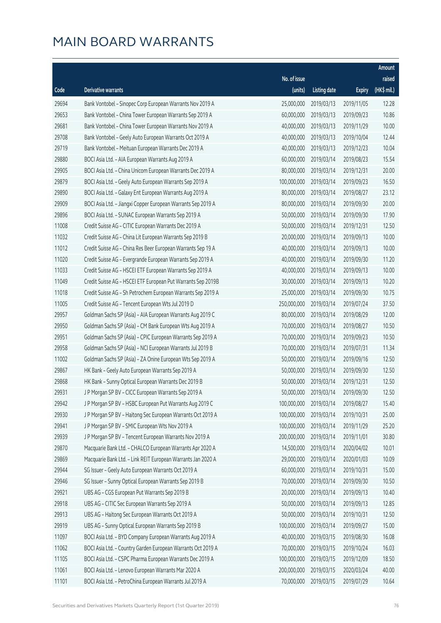|       |                                                              |              |                       |               | Amount      |
|-------|--------------------------------------------------------------|--------------|-----------------------|---------------|-------------|
|       |                                                              | No. of issue |                       |               | raised      |
| Code  | Derivative warrants                                          | (units)      | <b>Listing date</b>   | <b>Expiry</b> | (HK\$ mil.) |
| 29694 | Bank Vontobel - Sinopec Corp European Warrants Nov 2019 A    | 25,000,000   | 2019/03/13            | 2019/11/05    | 12.28       |
| 29653 | Bank Vontobel - China Tower European Warrants Sep 2019 A     | 60,000,000   | 2019/03/13            | 2019/09/23    | 10.86       |
| 29681 | Bank Vontobel - China Tower European Warrants Nov 2019 A     | 40,000,000   | 2019/03/13            | 2019/11/29    | 10.00       |
| 29708 | Bank Vontobel - Geely Auto European Warrants Oct 2019 A      | 40,000,000   | 2019/03/13            | 2019/10/04    | 12.44       |
| 29719 | Bank Vontobel - Meituan European Warrants Dec 2019 A         | 40,000,000   | 2019/03/13            | 2019/12/23    | 10.04       |
| 29880 | BOCI Asia Ltd. - AIA European Warrants Aug 2019 A            | 60,000,000   | 2019/03/14            | 2019/08/23    | 15.54       |
| 29905 | BOCI Asia Ltd. - China Unicom European Warrants Dec 2019 A   | 80,000,000   | 2019/03/14            | 2019/12/31    | 20.00       |
| 29879 | BOCI Asia Ltd. - Geely Auto European Warrants Sep 2019 A     | 100,000,000  | 2019/03/14            | 2019/09/23    | 16.50       |
| 29890 | BOCI Asia Ltd. - Galaxy Ent European Warrants Aug 2019 A     | 80,000,000   | 2019/03/14            | 2019/08/27    | 23.12       |
| 29909 | BOCI Asia Ltd. - Jiangxi Copper European Warrants Sep 2019 A | 80,000,000   | 2019/03/14            | 2019/09/30    | 20.00       |
| 29896 | BOCI Asia Ltd. - SUNAC European Warrants Sep 2019 A          | 50,000,000   | 2019/03/14            | 2019/09/30    | 17.90       |
| 11008 | Credit Suisse AG - CITIC European Warrants Dec 2019 A        | 50,000,000   | 2019/03/14            | 2019/12/31    | 12.50       |
| 11032 | Credit Suisse AG - China Lit European Warrants Sep 2019 B    | 20,000,000   | 2019/03/14            | 2019/09/13    | 10.00       |
| 11012 | Credit Suisse AG - China Res Beer European Warrants Sep 19 A | 40,000,000   | 2019/03/14            | 2019/09/13    | 10.00       |
| 11020 | Credit Suisse AG - Evergrande European Warrants Sep 2019 A   | 40,000,000   | 2019/03/14            | 2019/09/30    | 11.20       |
| 11033 | Credit Suisse AG - HSCEI ETF European Warrants Sep 2019 A    | 40,000,000   | 2019/03/14            | 2019/09/13    | 10.00       |
| 11049 | Credit Suisse AG - HSCEI ETF European Put Warrants Sep 2019B | 30,000,000   | 2019/03/14            | 2019/09/13    | 10.20       |
| 11018 | Credit Suisse AG - Sh Petrochem European Warrants Sep 2019 A | 25,000,000   | 2019/03/14            | 2019/09/30    | 10.75       |
| 11005 | Credit Suisse AG - Tencent European Wts Jul 2019 D           | 250,000,000  | 2019/03/14            | 2019/07/24    | 37.50       |
| 29957 | Goldman Sachs SP (Asia) - AIA European Warrants Aug 2019 C   | 80,000,000   | 2019/03/14            | 2019/08/29    | 12.00       |
| 29950 | Goldman Sachs SP (Asia) - CM Bank European Wts Aug 2019 A    | 70,000,000   | 2019/03/14            | 2019/08/27    | 10.50       |
| 29951 | Goldman Sachs SP (Asia) - CPIC European Warrants Sep 2019 A  | 70,000,000   | 2019/03/14            | 2019/09/23    | 10.50       |
| 29958 | Goldman Sachs SP (Asia) - NCI European Warrants Jul 2019 B   | 70,000,000   | 2019/03/14            | 2019/07/31    | 11.34       |
| 11002 | Goldman Sachs SP (Asia) - ZA Onine European Wts Sep 2019 A   | 50,000,000   | 2019/03/14            | 2019/09/16    | 12.50       |
| 29867 | HK Bank - Geely Auto European Warrants Sep 2019 A            | 50,000,000   | 2019/03/14            | 2019/09/30    | 12.50       |
| 29868 | HK Bank - Sunny Optical European Warrants Dec 2019 B         | 50,000,000   | 2019/03/14            | 2019/12/31    | 12.50       |
| 29931 | J P Morgan SP BV - CICC European Warrants Sep 2019 A         |              | 50,000,000 2019/03/14 | 2019/09/30    | 12.50       |
| 29942 | J P Morgan SP BV - HSBC European Put Warrants Aug 2019 C     | 100,000,000  | 2019/03/14            | 2019/08/27    | 15.40       |
| 29930 | J P Morgan SP BV - Haitong Sec European Warrants Oct 2019 A  | 100,000,000  | 2019/03/14            | 2019/10/31    | 25.00       |
| 29941 | J P Morgan SP BV - SMIC European Wts Nov 2019 A              | 100,000,000  | 2019/03/14            | 2019/11/29    | 25.20       |
| 29939 | J P Morgan SP BV - Tencent European Warrants Nov 2019 A      | 200,000,000  | 2019/03/14            | 2019/11/01    | 30.80       |
| 29870 | Macquarie Bank Ltd. - CHALCO European Warrants Apr 2020 A    | 14,500,000   | 2019/03/14            | 2020/04/02    | 10.01       |
| 29869 | Macquarie Bank Ltd. - Link REIT European Warrants Jan 2020 A | 29,000,000   | 2019/03/14            | 2020/01/03    | 10.09       |
| 29944 | SG Issuer - Geely Auto European Warrants Oct 2019 A          | 60,000,000   | 2019/03/14            | 2019/10/31    | 15.00       |
| 29946 | SG Issuer - Sunny Optical European Warrants Sep 2019 B       | 70,000,000   | 2019/03/14            | 2019/09/30    | 10.50       |
| 29921 | UBS AG - CGS European Put Warrants Sep 2019 B                | 20,000,000   | 2019/03/14            | 2019/09/13    | 10.40       |
| 29918 | UBS AG - CITIC Sec European Warrants Sep 2019 A              | 50,000,000   | 2019/03/14            | 2019/09/13    | 12.85       |
| 29913 | UBS AG - Haitong Sec European Warrants Oct 2019 A            | 50,000,000   | 2019/03/14            | 2019/10/31    | 12.50       |
| 29919 | UBS AG - Sunny Optical European Warrants Sep 2019 B          | 100,000,000  | 2019/03/14            | 2019/09/27    | 15.00       |
| 11097 | BOCI Asia Ltd. - BYD Company European Warrants Aug 2019 A    | 40,000,000   | 2019/03/15            | 2019/08/30    | 16.08       |
| 11062 | BOCI Asia Ltd. - Country Garden European Warrants Oct 2019 A | 70,000,000   | 2019/03/15            | 2019/10/24    | 16.03       |
| 11105 | BOCI Asia Ltd. - CSPC Pharma European Warrants Dec 2019 A    | 100,000,000  | 2019/03/15            | 2019/12/09    | 18.50       |
| 11061 | BOCI Asia Ltd. - Lenovo European Warrants Mar 2020 A         | 200,000,000  | 2019/03/15            | 2020/03/24    | 40.00       |
| 11101 | BOCI Asia Ltd. - PetroChina European Warrants Jul 2019 A     | 70,000,000   | 2019/03/15            | 2019/07/29    | 10.64       |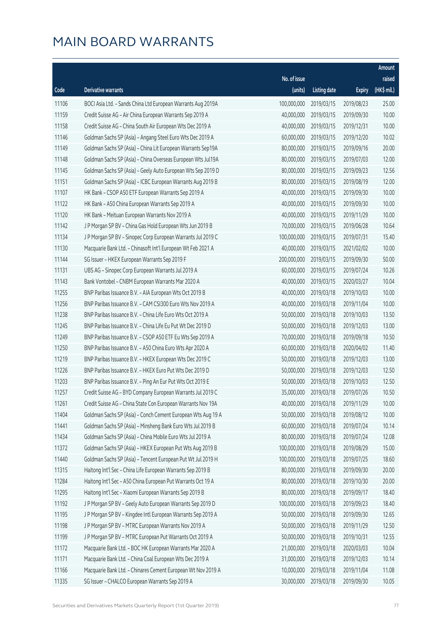|       |                                                              |              |                       |               | Amount      |
|-------|--------------------------------------------------------------|--------------|-----------------------|---------------|-------------|
|       |                                                              | No. of issue |                       |               | raised      |
| Code  | Derivative warrants                                          | (units)      | <b>Listing date</b>   | <b>Expiry</b> | (HK\$ mil.) |
| 11106 | BOCI Asia Ltd. - Sands China Ltd European Warrants Aug 2019A | 100,000,000  | 2019/03/15            | 2019/08/23    | 25.00       |
| 11159 | Credit Suisse AG - Air China European Warrants Sep 2019 A    | 40,000,000   | 2019/03/15            | 2019/09/30    | 10.00       |
| 11158 | Credit Suisse AG - China South Air European Wts Dec 2019 A   | 40,000,000   | 2019/03/15            | 2019/12/31    | 10.00       |
| 11146 | Goldman Sachs SP (Asia) - Angang Steel Euro Wts Dec 2019 A   | 60,000,000   | 2019/03/15            | 2019/12/20    | 10.02       |
| 11149 | Goldman Sachs SP (Asia) - China Lit European Warrants Sep19A | 80,000,000   | 2019/03/15            | 2019/09/16    | 20.00       |
| 11148 | Goldman Sachs SP (Asia) - China Overseas European Wts Jul19A | 80,000,000   | 2019/03/15            | 2019/07/03    | 12.00       |
| 11145 | Goldman Sachs SP (Asia) - Geely Auto European Wts Sep 2019 D | 80,000,000   | 2019/03/15            | 2019/09/23    | 12.56       |
| 11151 | Goldman Sachs SP (Asia) - ICBC European Warrants Aug 2019 B  | 80,000,000   | 2019/03/15            | 2019/08/19    | 12.00       |
| 11107 | HK Bank - CSOP A50 ETF European Warrants Sep 2019 A          | 40,000,000   | 2019/03/15            | 2019/09/30    | 10.00       |
| 11122 | HK Bank - A50 China European Warrants Sep 2019 A             | 40,000,000   | 2019/03/15            | 2019/09/30    | 10.00       |
| 11120 | HK Bank - Meituan European Warrants Nov 2019 A               | 40,000,000   | 2019/03/15            | 2019/11/29    | 10.00       |
| 11142 | J P Morgan SP BV - China Gas Hold European Wts Jun 2019 B    | 70,000,000   | 2019/03/15            | 2019/06/28    | 10.64       |
| 11134 | J P Morgan SP BV - Sinopec Corp European Warrants Jul 2019 C | 100,000,000  | 2019/03/15            | 2019/07/31    | 15.40       |
| 11130 | Macquarie Bank Ltd. - Chinasoft Int'l European Wt Feb 2021 A | 40,000,000   | 2019/03/15            | 2021/02/02    | 10.00       |
| 11144 | SG Issuer - HKEX European Warrants Sep 2019 F                | 200,000,000  | 2019/03/15            | 2019/09/30    | 50.00       |
| 11131 | UBS AG - Sinopec Corp European Warrants Jul 2019 A           | 60,000,000   | 2019/03/15            | 2019/07/24    | 10.26       |
| 11143 | Bank Vontobel - CNBM European Warrants Mar 2020 A            | 40,000,000   | 2019/03/15            | 2020/03/27    | 10.04       |
| 11255 | BNP Paribas Issuance B.V. - AIA European Wts Oct 2019 B      | 40,000,000   | 2019/03/18            | 2019/10/03    | 10.00       |
| 11256 | BNP Paribas Issuance B.V. - CAM CSI300 Euro Wts Nov 2019 A   | 40,000,000   | 2019/03/18            | 2019/11/04    | 10.00       |
| 11238 | BNP Paribas Issuance B.V. - China Life Euro Wts Oct 2019 A   | 50,000,000   | 2019/03/18            | 2019/10/03    | 13.50       |
| 11245 | BNP Paribas Issuance B.V. - China Life Eu Put Wt Dec 2019 D  | 50,000,000   | 2019/03/18            | 2019/12/03    | 13.00       |
| 11249 | BNP Paribas Issuance B.V. - CSOP A50 ETF Eu Wts Sep 2019 A   | 70,000,000   | 2019/03/18            | 2019/09/18    | 10.50       |
| 11250 | BNP Paribas Issuance B.V. - A50 China Euro Wts Apr 2020 A    | 60,000,000   | 2019/03/18            | 2020/04/02    | 11.40       |
| 11219 | BNP Paribas Issuance B.V. - HKEX European Wts Dec 2019 C     | 50,000,000   | 2019/03/18            | 2019/12/03    | 13.00       |
| 11226 | BNP Paribas Issuance B.V. - HKEX Euro Put Wts Dec 2019 D     | 50,000,000   | 2019/03/18            | 2019/12/03    | 12.50       |
| 11203 | BNP Paribas Issuance B.V. - Ping An Eur Put Wts Oct 2019 E   | 50,000,000   | 2019/03/18            | 2019/10/03    | 12.50       |
| 11257 | Credit Suisse AG - BYD Company European Warrants Jul 2019 C  |              | 35,000,000 2019/03/18 | 2019/07/26    | 10.50       |
| 11261 | Credit Suisse AG - China State Con European Warrants Nov 19A | 40,000,000   | 2019/03/18            | 2019/11/29    | 10.00       |
| 11404 | Goldman Sachs SP (Asia) - Conch Cement European Wts Aug 19 A | 50,000,000   | 2019/03/18            | 2019/08/12    | 10.00       |
| 11441 | Goldman Sachs SP (Asia) - Minsheng Bank Euro Wts Jul 2019 B  | 60,000,000   | 2019/03/18            | 2019/07/24    | 10.14       |
| 11434 | Goldman Sachs SP (Asia) - China Mobile Euro Wts Jul 2019 A   | 80,000,000   | 2019/03/18            | 2019/07/24    | 12.08       |
| 11372 | Goldman Sachs SP (Asia) - HKEX European Put Wts Aug 2019 B   | 100,000,000  | 2019/03/18            | 2019/08/29    | 15.00       |
| 11440 | Goldman Sachs SP (Asia) - Tencent European Put Wt Jul 2019 H | 100,000,000  | 2019/03/18            | 2019/07/25    | 18.60       |
| 11315 | Haitong Int'l Sec - China Life European Warrants Sep 2019 B  | 80,000,000   | 2019/03/18            | 2019/09/30    | 20.00       |
| 11284 | Haitong Int'l Sec - A50 China European Put Warrants Oct 19 A | 80,000,000   | 2019/03/18            | 2019/10/30    | 20.00       |
| 11295 | Haitong Int'l Sec - Xiaomi European Warrants Sep 2019 B      | 80,000,000   | 2019/03/18            | 2019/09/17    | 18.40       |
| 11192 | J P Morgan SP BV - Geely Auto European Warrants Sep 2019 D   | 100,000,000  | 2019/03/18            | 2019/09/23    | 18.40       |
| 11195 | J P Morgan SP BV - Kingdee Intl European Warrants Sep 2019 A | 50,000,000   | 2019/03/18            | 2019/09/30    | 12.65       |
| 11198 | J P Morgan SP BV - MTRC European Warrants Nov 2019 A         | 50,000,000   | 2019/03/18            | 2019/11/29    | 12.50       |
| 11199 | J P Morgan SP BV - MTRC European Put Warrants Oct 2019 A     | 50,000,000   | 2019/03/18            | 2019/10/31    | 12.55       |
| 11172 | Macquarie Bank Ltd. - BOC HK European Warrants Mar 2020 A    | 21,000,000   | 2019/03/18            | 2020/03/03    | 10.04       |
| 11171 | Macquarie Bank Ltd. - China Coal European Wts Dec 2019 A     | 31,000,000   | 2019/03/18            | 2019/12/03    | 10.14       |
| 11166 | Macquarie Bank Ltd. - Chinares Cement European Wt Nov 2019 A | 10,000,000   | 2019/03/18            | 2019/11/04    | 11.08       |
| 11335 | SG Issuer - CHALCO European Warrants Sep 2019 A              | 30,000,000   | 2019/03/18            | 2019/09/30    | 10.05       |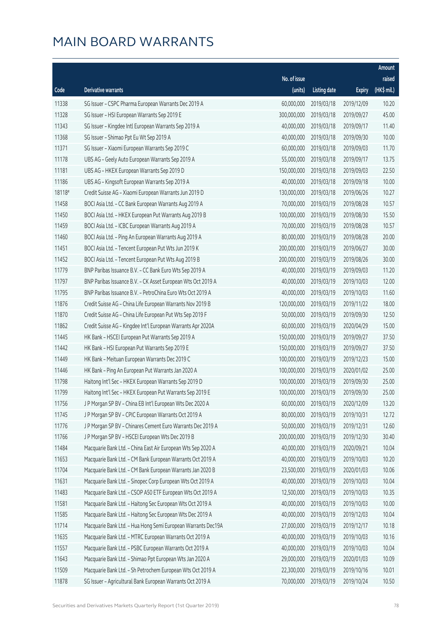|        |                                                              |              |                        |               | Amount      |
|--------|--------------------------------------------------------------|--------------|------------------------|---------------|-------------|
|        |                                                              | No. of issue |                        |               | raised      |
| Code   | Derivative warrants                                          | (units)      | Listing date           | <b>Expiry</b> | (HK\$ mil.) |
| 11338  | SG Issuer - CSPC Pharma European Warrants Dec 2019 A         | 60,000,000   | 2019/03/18             | 2019/12/09    | 10.20       |
| 11328  | SG Issuer - HSI European Warrants Sep 2019 E                 | 300,000,000  | 2019/03/18             | 2019/09/27    | 45.00       |
| 11343  | SG Issuer - Kingdee Intl European Warrants Sep 2019 A        | 40,000,000   | 2019/03/18             | 2019/09/17    | 11.40       |
| 11368  | SG Issuer - Shimao Ppt Eu Wt Sep 2019 A                      | 40,000,000   | 2019/03/18             | 2019/09/30    | 10.00       |
| 11371  | SG Issuer - Xiaomi European Warrants Sep 2019 C              | 60,000,000   | 2019/03/18             | 2019/09/03    | 11.70       |
| 11178  | UBS AG - Geely Auto European Warrants Sep 2019 A             | 55,000,000   | 2019/03/18             | 2019/09/17    | 13.75       |
| 11181  | UBS AG - HKEX European Warrants Sep 2019 D                   | 150,000,000  | 2019/03/18             | 2019/09/03    | 22.50       |
| 11186  | UBS AG - Kingsoft European Warrants Sep 2019 A               | 40,000,000   | 2019/03/18             | 2019/09/18    | 10.00       |
| 18118# | Credit Suisse AG - Xiaomi European Warrants Jun 2019 D       | 130,000,000  | 2019/03/18             | 2019/06/26    | 10.27       |
| 11458  | BOCI Asia Ltd. - CC Bank European Warrants Aug 2019 A        | 70,000,000   | 2019/03/19             | 2019/08/28    | 10.57       |
| 11450  | BOCI Asia Ltd. - HKEX European Put Warrants Aug 2019 B       | 100,000,000  | 2019/03/19             | 2019/08/30    | 15.50       |
| 11459  | BOCI Asia Ltd. - ICBC European Warrants Aug 2019 A           | 70,000,000   | 2019/03/19             | 2019/08/28    | 10.57       |
| 11460  | BOCI Asia Ltd. - Ping An European Warrants Aug 2019 A        | 80,000,000   | 2019/03/19             | 2019/08/28    | 20.00       |
| 11451  | BOCI Asia Ltd. - Tencent European Put Wts Jun 2019 K         | 200,000,000  | 2019/03/19             | 2019/06/27    | 30.00       |
| 11452  | BOCI Asia Ltd. - Tencent European Put Wts Aug 2019 B         | 200,000,000  | 2019/03/19             | 2019/08/26    | 30.00       |
| 11779  | BNP Paribas Issuance B.V. - CC Bank Euro Wts Sep 2019 A      | 40,000,000   | 2019/03/19             | 2019/09/03    | 11.20       |
| 11797  | BNP Paribas Issuance B.V. - CK Asset European Wts Oct 2019 A | 40,000,000   | 2019/03/19             | 2019/10/03    | 12.00       |
| 11795  | BNP Paribas Issuance B.V. - PetroChina Euro Wts Oct 2019 A   | 40,000,000   | 2019/03/19             | 2019/10/03    | 11.60       |
| 11876  | Credit Suisse AG - China Life European Warrants Nov 2019 B   | 120,000,000  | 2019/03/19             | 2019/11/22    | 18.00       |
| 11870  | Credit Suisse AG - China Life European Put Wts Sep 2019 F    | 50,000,000   | 2019/03/19             | 2019/09/30    | 12.50       |
| 11862  | Credit Suisse AG - Kingdee Int'l European Warrants Apr 2020A | 60,000,000   | 2019/03/19             | 2020/04/29    | 15.00       |
| 11445  | HK Bank - HSCEI European Put Warrants Sep 2019 A             | 150,000,000  | 2019/03/19             | 2019/09/27    | 37.50       |
| 11442  | HK Bank - HSI European Put Warrants Sep 2019 E               | 150,000,000  | 2019/03/19             | 2019/09/27    | 37.50       |
| 11449  | HK Bank - Meituan European Warrants Dec 2019 C               | 100,000,000  | 2019/03/19             | 2019/12/23    | 15.00       |
| 11446  | HK Bank - Ping An European Put Warrants Jan 2020 A           | 100,000,000  | 2019/03/19             | 2020/01/02    | 25.00       |
| 11798  | Haitong Int'l Sec - HKEX European Warrants Sep 2019 D        | 100,000,000  | 2019/03/19             | 2019/09/30    | 25.00       |
| 11799  | Haitong Int'l Sec - HKEX European Put Warrants Sep 2019 E    |              | 100,000,000 2019/03/19 | 2019/09/30    | 25.00       |
| 11756  | J P Morgan SP BV - China EB Int'l European Wts Dec 2020 A    | 60,000,000   | 2019/03/19             | 2020/12/09    | 13.20       |
| 11745  | J P Morgan SP BV - CPIC European Warrants Oct 2019 A         | 80,000,000   | 2019/03/19             | 2019/10/31    | 12.72       |
| 11776  | J P Morgan SP BV - Chinares Cement Euro Warrants Dec 2019 A  | 50,000,000   | 2019/03/19             | 2019/12/31    | 12.60       |
| 11766  | JP Morgan SP BV - HSCEI European Wts Dec 2019 B              | 200,000,000  | 2019/03/19             | 2019/12/30    | 30.40       |
| 11484  | Macquarie Bank Ltd. - China East Air European Wts Sep 2020 A | 40,000,000   | 2019/03/19             | 2020/09/21    | 10.04       |
| 11653  | Macquarie Bank Ltd. - CM Bank European Warrants Oct 2019 A   | 40,000,000   | 2019/03/19             | 2019/10/03    | 10.20       |
| 11704  | Macquarie Bank Ltd. - CM Bank European Warrants Jan 2020 B   | 23,500,000   | 2019/03/19             | 2020/01/03    | 10.06       |
| 11631  | Macquarie Bank Ltd. - Sinopec Corp European Wts Oct 2019 A   | 40,000,000   | 2019/03/19             | 2019/10/03    | 10.04       |
| 11483  | Macquarie Bank Ltd. - CSOP A50 ETF European Wts Oct 2019 A   | 12,500,000   | 2019/03/19             | 2019/10/03    | 10.35       |
| 11581  | Macquarie Bank Ltd. - Haitong Sec European Wts Oct 2019 A    | 40,000,000   | 2019/03/19             | 2019/10/03    | 10.00       |
| 11585  | Macquarie Bank Ltd. - Haitong Sec European Wts Dec 2019 A    | 40,000,000   | 2019/03/19             | 2019/12/03    | 10.04       |
| 11714  | Macquarie Bank Ltd. - Hua Hong Semi European Warrants Dec19A | 27,000,000   | 2019/03/19             | 2019/12/17    | 10.18       |
| 11635  | Macquarie Bank Ltd. - MTRC European Warrants Oct 2019 A      | 40,000,000   | 2019/03/19             | 2019/10/03    | 10.16       |
| 11557  | Macquarie Bank Ltd. - PSBC European Warrants Oct 2019 A      | 40,000,000   | 2019/03/19             | 2019/10/03    | 10.04       |
| 11643  | Macquarie Bank Ltd. - Shimao Ppt European Wts Jan 2020 A     | 29,000,000   | 2019/03/19             | 2020/01/03    | 10.09       |
| 11509  | Macquarie Bank Ltd. - Sh Petrochem European Wts Oct 2019 A   | 22,300,000   | 2019/03/19             | 2019/10/16    | 10.01       |
| 11878  | SG Issuer - Agricultural Bank European Warrants Oct 2019 A   | 70,000,000   | 2019/03/19             | 2019/10/24    | 10.50       |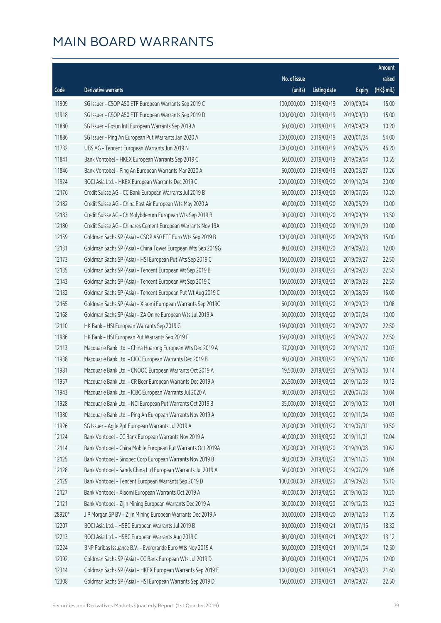|        |                                                              |              |                       |               | Amount      |
|--------|--------------------------------------------------------------|--------------|-----------------------|---------------|-------------|
|        |                                                              | No. of issue |                       |               | raised      |
| Code   | Derivative warrants                                          | (units)      | <b>Listing date</b>   | <b>Expiry</b> | (HK\$ mil.) |
| 11909  | SG Issuer - CSOP A50 ETF European Warrants Sep 2019 C        | 100,000,000  | 2019/03/19            | 2019/09/04    | 15.00       |
| 11918  | SG Issuer - CSOP A50 ETF European Warrants Sep 2019 D        | 100,000,000  | 2019/03/19            | 2019/09/30    | 15.00       |
| 11880  | SG Issuer - Fosun Intl European Warrants Sep 2019 A          | 60,000,000   | 2019/03/19            | 2019/09/09    | 10.20       |
| 11886  | SG Issuer - Ping An European Put Warrants Jan 2020 A         | 300,000,000  | 2019/03/19            | 2020/01/24    | 54.00       |
| 11732  | UBS AG - Tencent European Warrants Jun 2019 N                | 300,000,000  | 2019/03/19            | 2019/06/26    | 46.20       |
| 11841  | Bank Vontobel - HKEX European Warrants Sep 2019 C            | 50,000,000   | 2019/03/19            | 2019/09/04    | 10.55       |
| 11846  | Bank Vontobel - Ping An European Warrants Mar 2020 A         | 60,000,000   | 2019/03/19            | 2020/03/27    | 10.26       |
| 11924  | BOCI Asia Ltd. - HKEX European Warrants Dec 2019 C           | 200,000,000  | 2019/03/20            | 2019/12/24    | 30.00       |
| 12176  | Credit Suisse AG - CC Bank European Warrants Jul 2019 B      | 60,000,000   | 2019/03/20            | 2019/07/26    | 10.20       |
| 12182  | Credit Suisse AG - China East Air European Wts May 2020 A    | 40,000,000   | 2019/03/20            | 2020/05/29    | 10.00       |
| 12183  | Credit Suisse AG - Ch Molybdenum European Wts Sep 2019 B     | 30,000,000   | 2019/03/20            | 2019/09/19    | 13.50       |
| 12180  | Credit Suisse AG - Chinares Cement European Warrants Nov 19A | 40,000,000   | 2019/03/20            | 2019/11/29    | 10.00       |
| 12159  | Goldman Sachs SP (Asia) - CSOP A50 ETF Euro Wts Sep 2019 B   | 100,000,000  | 2019/03/20            | 2019/09/18    | 15.00       |
| 12131  | Goldman Sachs SP (Asia) - China Tower European Wts Sep 2019G | 80,000,000   | 2019/03/20            | 2019/09/23    | 12.00       |
| 12173  | Goldman Sachs SP (Asia) - HSI European Put Wts Sep 2019 C    | 150,000,000  | 2019/03/20            | 2019/09/27    | 22.50       |
| 12135  | Goldman Sachs SP (Asia) - Tencent European Wt Sep 2019 B     | 150,000,000  | 2019/03/20            | 2019/09/23    | 22.50       |
| 12143  | Goldman Sachs SP (Asia) - Tencent European Wt Sep 2019 C     | 150,000,000  | 2019/03/20            | 2019/09/23    | 22.50       |
| 12132  | Goldman Sachs SP (Asia) - Tencent European Put Wt Aug 2019 C | 100,000,000  | 2019/03/20            | 2019/08/26    | 15.00       |
| 12165  | Goldman Sachs SP (Asia) - Xiaomi European Warrants Sep 2019C | 60,000,000   | 2019/03/20            | 2019/09/03    | 10.08       |
| 12168  | Goldman Sachs SP (Asia) - ZA Onine European Wts Jul 2019 A   | 50,000,000   | 2019/03/20            | 2019/07/24    | 10.00       |
| 12110  | HK Bank - HSI European Warrants Sep 2019 G                   | 150,000,000  | 2019/03/20            | 2019/09/27    | 22.50       |
| 11986  | HK Bank - HSI European Put Warrants Sep 2019 F               | 150,000,000  | 2019/03/20            | 2019/09/27    | 22.50       |
| 12113  | Macquarie Bank Ltd. - China Huarong European Wts Dec 2019 A  | 37,000,000   | 2019/03/20            | 2019/12/17    | 10.03       |
| 11938  | Macquarie Bank Ltd. - CICC European Warrants Dec 2019 B      | 40,000,000   | 2019/03/20            | 2019/12/17    | 10.00       |
| 11981  | Macquarie Bank Ltd. - CNOOC European Warrants Oct 2019 A     | 19,500,000   | 2019/03/20            | 2019/10/03    | 10.14       |
| 11957  | Macquarie Bank Ltd. - CR Beer European Warrants Dec 2019 A   | 26,500,000   | 2019/03/20            | 2019/12/03    | 10.12       |
| 11943  | Macquarie Bank Ltd. - ICBC European Warrants Jul 2020 A      |              | 40,000,000 2019/03/20 | 2020/07/03    | 10.04       |
| 11928  | Macquarie Bank Ltd. - NCI European Put Warrants Oct 2019 B   | 35,000,000   | 2019/03/20            | 2019/10/03    | 10.01       |
| 11980  | Macquarie Bank Ltd. - Ping An European Warrants Nov 2019 A   | 10,000,000   | 2019/03/20            | 2019/11/04    | 10.03       |
| 11926  | SG Issuer - Agile Ppt European Warrants Jul 2019 A           | 70,000,000   | 2019/03/20            | 2019/07/31    | 10.50       |
| 12124  | Bank Vontobel - CC Bank European Warrants Nov 2019 A         | 40,000,000   | 2019/03/20            | 2019/11/01    | 12.04       |
| 12114  | Bank Vontobel - China Mobile European Put Warrants Oct 2019A | 20,000,000   | 2019/03/20            | 2019/10/08    | 10.62       |
| 12125  | Bank Vontobel - Sinopec Corp European Warrants Nov 2019 B    | 40,000,000   | 2019/03/20            | 2019/11/05    | 10.04       |
| 12128  | Bank Vontobel - Sands China Ltd European Warrants Jul 2019 A | 50,000,000   | 2019/03/20            | 2019/07/29    | 10.05       |
| 12129  | Bank Vontobel - Tencent European Warrants Sep 2019 D         | 100,000,000  | 2019/03/20            | 2019/09/23    | 15.10       |
| 12127  | Bank Vontobel - Xiaomi European Warrants Oct 2019 A          | 40,000,000   | 2019/03/20            | 2019/10/03    | 10.20       |
| 12121  | Bank Vontobel - Zijin Mining European Warrants Dec 2019 A    | 30,000,000   | 2019/03/20            | 2019/12/03    | 10.23       |
| 28920# | J P Morgan SP BV - Zijin Mining European Warrants Dec 2019 A | 30,000,000   | 2019/03/20            | 2019/12/03    | 11.55       |
| 12207  | BOCI Asia Ltd. - HSBC European Warrants Jul 2019 B           | 80,000,000   | 2019/03/21            | 2019/07/16    | 18.32       |
| 12213  | BOCI Asia Ltd. - HSBC European Warrants Aug 2019 C           | 80,000,000   | 2019/03/21            | 2019/08/22    | 13.12       |
| 12224  | BNP Paribas Issuance B.V. - Evergrande Euro Wts Nov 2019 A   | 50,000,000   | 2019/03/21            | 2019/11/04    | 12.50       |
| 12392  | Goldman Sachs SP (Asia) - CC Bank European Wts Jul 2019 D    | 80,000,000   | 2019/03/21            | 2019/07/26    | 12.00       |
| 12314  | Goldman Sachs SP (Asia) - HKEX European Warrants Sep 2019 E  | 100,000,000  | 2019/03/21            | 2019/09/23    | 21.60       |
| 12308  | Goldman Sachs SP (Asia) - HSI European Warrants Sep 2019 D   | 150,000,000  | 2019/03/21            | 2019/09/27    | 22.50       |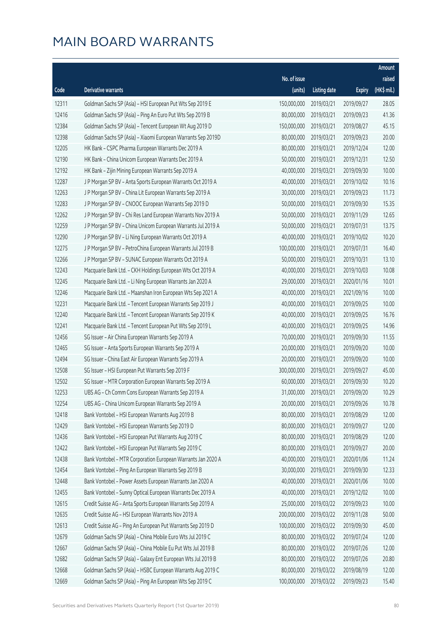|       |                                                              |              |                       |               | Amount      |
|-------|--------------------------------------------------------------|--------------|-----------------------|---------------|-------------|
|       |                                                              | No. of issue |                       |               | raised      |
| Code  | Derivative warrants                                          | (units)      | <b>Listing date</b>   | <b>Expiry</b> | (HK\$ mil.) |
| 12311 | Goldman Sachs SP (Asia) - HSI European Put Wts Sep 2019 E    | 150,000,000  | 2019/03/21            | 2019/09/27    | 28.05       |
| 12416 | Goldman Sachs SP (Asia) - Ping An Euro Put Wts Sep 2019 B    | 80,000,000   | 2019/03/21            | 2019/09/23    | 41.36       |
| 12384 | Goldman Sachs SP (Asia) - Tencent European Wt Aug 2019 D     | 150,000,000  | 2019/03/21            | 2019/08/27    | 45.15       |
| 12398 | Goldman Sachs SP (Asia) - Xiaomi European Warrants Sep 2019D | 80,000,000   | 2019/03/21            | 2019/09/23    | 20.00       |
| 12205 | HK Bank - CSPC Pharma European Warrants Dec 2019 A           | 80,000,000   | 2019/03/21            | 2019/12/24    | 12.00       |
| 12190 | HK Bank - China Unicom European Warrants Dec 2019 A          | 50,000,000   | 2019/03/21            | 2019/12/31    | 12.50       |
| 12192 | HK Bank - Zijin Mining European Warrants Sep 2019 A          | 40,000,000   | 2019/03/21            | 2019/09/30    | 10.00       |
| 12287 | J P Morgan SP BV - Anta Sports European Warrants Oct 2019 A  | 40,000,000   | 2019/03/21            | 2019/10/02    | 10.16       |
| 12263 | J P Morgan SP BV - China Lit European Warrants Sep 2019 A    | 30,000,000   | 2019/03/21            | 2019/09/23    | 11.73       |
| 12283 | J P Morgan SP BV - CNOOC European Warrants Sep 2019 D        | 50,000,000   | 2019/03/21            | 2019/09/30    | 15.35       |
| 12262 | J P Morgan SP BV - Chi Res Land European Warrants Nov 2019 A | 50,000,000   | 2019/03/21            | 2019/11/29    | 12.65       |
| 12259 | J P Morgan SP BV - China Unicom European Warrants Jul 2019 A | 50,000,000   | 2019/03/21            | 2019/07/31    | 13.75       |
| 12290 | J P Morgan SP BV - Li Ning European Warrants Oct 2019 A      | 40,000,000   | 2019/03/21            | 2019/10/02    | 10.20       |
| 12275 | J P Morgan SP BV - PetroChina European Warrants Jul 2019 B   | 100,000,000  | 2019/03/21            | 2019/07/31    | 16.40       |
| 12266 | J P Morgan SP BV - SUNAC European Warrants Oct 2019 A        | 50,000,000   | 2019/03/21            | 2019/10/31    | 13.10       |
| 12243 | Macquarie Bank Ltd. - CKH Holdings European Wts Oct 2019 A   | 40,000,000   | 2019/03/21            | 2019/10/03    | 10.08       |
| 12245 | Macquarie Bank Ltd. - Li Ning European Warrants Jan 2020 A   | 29,000,000   | 2019/03/21            | 2020/01/16    | 10.01       |
| 12246 | Macquarie Bank Ltd. - Maanshan Iron European Wts Sep 2021 A  | 40,000,000   | 2019/03/21            | 2021/09/16    | 10.00       |
| 12231 | Macquarie Bank Ltd. - Tencent European Warrants Sep 2019 J   | 40,000,000   | 2019/03/21            | 2019/09/25    | 10.00       |
| 12240 | Macquarie Bank Ltd. - Tencent European Warrants Sep 2019 K   | 40,000,000   | 2019/03/21            | 2019/09/25    | 16.76       |
| 12241 | Macquarie Bank Ltd. - Tencent European Put Wts Sep 2019 L    | 40,000,000   | 2019/03/21            | 2019/09/25    | 14.96       |
| 12456 | SG Issuer - Air China European Warrants Sep 2019 A           | 70,000,000   | 2019/03/21            | 2019/09/30    | 11.55       |
| 12465 | SG Issuer - Anta Sports European Warrants Sep 2019 A         | 20,000,000   | 2019/03/21            | 2019/09/20    | 10.00       |
| 12494 | SG Issuer - China East Air European Warrants Sep 2019 A      | 20,000,000   | 2019/03/21            | 2019/09/20    | 10.00       |
| 12508 | SG Issuer - HSI European Put Warrants Sep 2019 F             | 300,000,000  | 2019/03/21            | 2019/09/27    | 45.00       |
| 12502 | SG Issuer - MTR Corporation European Warrants Sep 2019 A     | 60,000,000   | 2019/03/21            | 2019/09/30    | 10.20       |
| 12253 | UBS AG – Ch Comm Cons European Warrants Sep 2019 A           |              | 31,000,000 2019/03/21 | 2019/09/20    | 10.29       |
| 12254 | UBS AG - China Unicom European Warrants Sep 2019 A           | 20,000,000   | 2019/03/21            | 2019/09/26    | 10.78       |
| 12418 | Bank Vontobel - HSI European Warrants Aug 2019 B             | 80,000,000   | 2019/03/21            | 2019/08/29    | 12.00       |
| 12429 | Bank Vontobel - HSI European Warrants Sep 2019 D             | 80,000,000   | 2019/03/21            | 2019/09/27    | 12.00       |
| 12436 | Bank Vontobel - HSI European Put Warrants Aug 2019 C         | 80,000,000   | 2019/03/21            | 2019/08/29    | 12.00       |
| 12422 | Bank Vontobel - HSI European Put Warrants Sep 2019 C         | 80,000,000   | 2019/03/21            | 2019/09/27    | 20.00       |
| 12438 | Bank Vontobel - MTR Corporation European Warrants Jan 2020 A | 40,000,000   | 2019/03/21            | 2020/01/06    | 11.24       |
| 12454 | Bank Vontobel - Ping An European Warrants Sep 2019 B         | 30,000,000   | 2019/03/21            | 2019/09/30    | 12.33       |
| 12448 | Bank Vontobel - Power Assets European Warrants Jan 2020 A    | 40,000,000   | 2019/03/21            | 2020/01/06    | 10.00       |
| 12455 | Bank Vontobel - Sunny Optical European Warrants Dec 2019 A   | 40,000,000   | 2019/03/21            | 2019/12/02    | 10.00       |
| 12615 | Credit Suisse AG - Anta Sports European Warrants Sep 2019 A  | 25,000,000   | 2019/03/22            | 2019/09/23    | 10.00       |
| 12635 | Credit Suisse AG - HSI European Warrants Nov 2019 A          | 200,000,000  | 2019/03/22            | 2019/11/28    | 50.00       |
| 12613 | Credit Suisse AG - Ping An European Put Warrants Sep 2019 D  | 100,000,000  | 2019/03/22            | 2019/09/30    | 45.00       |
| 12679 | Goldman Sachs SP (Asia) - China Mobile Euro Wts Jul 2019 C   | 80,000,000   | 2019/03/22            | 2019/07/24    | 12.00       |
| 12667 | Goldman Sachs SP (Asia) - China Mobile Eu Put Wts Jul 2019 B | 80,000,000   | 2019/03/22            | 2019/07/26    | 12.00       |
| 12682 | Goldman Sachs SP (Asia) - Galaxy Ent European Wts Jul 2019 B | 80,000,000   | 2019/03/22            | 2019/07/26    | 20.80       |
| 12668 | Goldman Sachs SP (Asia) - HSBC European Warrants Aug 2019 C  | 80,000,000   | 2019/03/22            | 2019/08/19    | 12.00       |
| 12669 | Goldman Sachs SP (Asia) - Ping An European Wts Sep 2019 C    | 100,000,000  | 2019/03/22            | 2019/09/23    | 15.40       |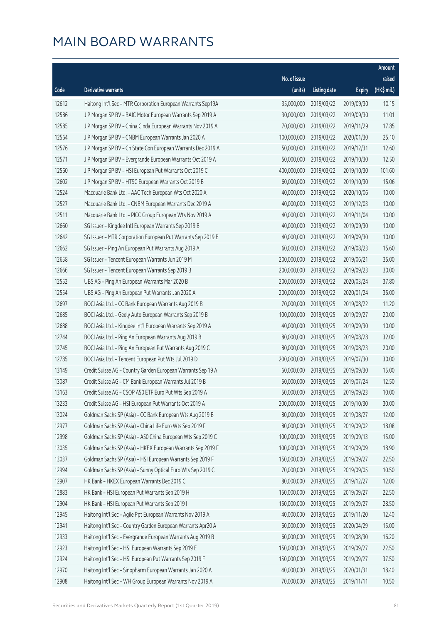|       |                                                              |              |                       |               | Amount      |
|-------|--------------------------------------------------------------|--------------|-----------------------|---------------|-------------|
|       |                                                              | No. of issue |                       |               | raised      |
| Code  | Derivative warrants                                          | (units)      | <b>Listing date</b>   | <b>Expiry</b> | (HK\$ mil.) |
| 12612 | Haitong Int'l Sec - MTR Corporation European Warrants Sep19A | 35,000,000   | 2019/03/22            | 2019/09/30    | 10.15       |
| 12586 | J P Morgan SP BV - BAIC Motor European Warrants Sep 2019 A   | 30,000,000   | 2019/03/22            | 2019/09/30    | 11.01       |
| 12585 | J P Morgan SP BV - China Cinda European Warrants Nov 2019 A  | 70,000,000   | 2019/03/22            | 2019/11/29    | 17.85       |
| 12564 | J P Morgan SP BV - CNBM European Warrants Jan 2020 A         | 100,000,000  | 2019/03/22            | 2020/01/30    | 25.10       |
| 12576 | JP Morgan SP BV - Ch State Con European Warrants Dec 2019 A  | 50,000,000   | 2019/03/22            | 2019/12/31    | 12.60       |
| 12571 | J P Morgan SP BV - Evergrande European Warrants Oct 2019 A   | 50,000,000   | 2019/03/22            | 2019/10/30    | 12.50       |
| 12560 | J P Morgan SP BV - HSI European Put Warrants Oct 2019 C      | 400,000,000  | 2019/03/22            | 2019/10/30    | 101.60      |
| 12602 | J P Morgan SP BV - HTSC European Warrants Oct 2019 B         | 60,000,000   | 2019/03/22            | 2019/10/30    | 15.06       |
| 12524 | Macquarie Bank Ltd. - AAC Tech European Wts Oct 2020 A       | 40,000,000   | 2019/03/22            | 2020/10/06    | 10.00       |
| 12527 | Macquarie Bank Ltd. - CNBM European Warrants Dec 2019 A      | 40,000,000   | 2019/03/22            | 2019/12/03    | 10.00       |
| 12511 | Macquarie Bank Ltd. - PICC Group European Wts Nov 2019 A     | 40,000,000   | 2019/03/22            | 2019/11/04    | 10.00       |
| 12660 | SG Issuer - Kingdee Intl European Warrants Sep 2019 B        | 40,000,000   | 2019/03/22            | 2019/09/30    | 10.00       |
| 12642 | SG Issuer - MTR Corporation European Put Warrants Sep 2019 B | 40,000,000   | 2019/03/22            | 2019/09/30    | 10.00       |
| 12662 | SG Issuer - Ping An European Put Warrants Aug 2019 A         | 60,000,000   | 2019/03/22            | 2019/08/23    | 15.60       |
| 12658 | SG Issuer - Tencent European Warrants Jun 2019 M             | 200,000,000  | 2019/03/22            | 2019/06/21    | 35.00       |
| 12666 | SG Issuer - Tencent European Warrants Sep 2019 B             | 200,000,000  | 2019/03/22            | 2019/09/23    | 30.00       |
| 12552 | UBS AG - Ping An European Warrants Mar 2020 B                | 200,000,000  | 2019/03/22            | 2020/03/24    | 37.80       |
| 12554 | UBS AG - Ping An European Put Warrants Jan 2020 A            | 200,000,000  | 2019/03/22            | 2020/01/24    | 35.00       |
| 12697 | BOCI Asia Ltd. - CC Bank European Warrants Aug 2019 B        | 70,000,000   | 2019/03/25            | 2019/08/22    | 11.20       |
| 12685 | BOCI Asia Ltd. - Geely Auto European Warrants Sep 2019 B     | 100,000,000  | 2019/03/25            | 2019/09/27    | 20.00       |
| 12688 | BOCI Asia Ltd. - Kingdee Int'l European Warrants Sep 2019 A  | 40,000,000   | 2019/03/25            | 2019/09/30    | 10.00       |
| 12744 | BOCI Asia Ltd. - Ping An European Warrants Aug 2019 B        | 80,000,000   | 2019/03/25            | 2019/08/28    | 32.00       |
| 12745 | BOCI Asia Ltd. - Ping An European Put Warrants Aug 2019 C    | 80,000,000   | 2019/03/25            | 2019/08/23    | 20.00       |
| 12785 | BOCI Asia Ltd. - Tencent European Put Wts Jul 2019 D         | 200,000,000  | 2019/03/25            | 2019/07/30    | 30.00       |
| 13149 | Credit Suisse AG - Country Garden European Warrants Sep 19 A | 60,000,000   | 2019/03/25            | 2019/09/30    | 15.00       |
| 13087 | Credit Suisse AG - CM Bank European Warrants Jul 2019 B      | 50,000,000   | 2019/03/25            | 2019/07/24    | 12.50       |
| 13163 | Credit Suisse AG - CSOP A50 ETF Euro Put Wts Sep 2019 A      |              | 50,000,000 2019/03/25 | 2019/09/23    | 10.00       |
| 13233 | Credit Suisse AG - HSI European Put Warrants Oct 2019 A      | 200,000,000  | 2019/03/25            | 2019/10/30    | 30.00       |
| 13024 | Goldman Sachs SP (Asia) - CC Bank European Wts Aug 2019 B    | 80,000,000   | 2019/03/25            | 2019/08/27    | 12.00       |
| 12977 | Goldman Sachs SP (Asia) - China Life Euro Wts Sep 2019 F     | 80,000,000   | 2019/03/25            | 2019/09/02    | 18.08       |
| 12998 | Goldman Sachs SP (Asia) - A50 China European Wts Sep 2019 C  | 100,000,000  | 2019/03/25            | 2019/09/13    | 15.00       |
| 13035 | Goldman Sachs SP (Asia) - HKEX European Warrants Sep 2019 F  | 100,000,000  | 2019/03/25            | 2019/09/09    | 18.90       |
| 13037 | Goldman Sachs SP (Asia) - HSI European Warrants Sep 2019 F   | 150,000,000  | 2019/03/25            | 2019/09/27    | 22.50       |
| 12994 | Goldman Sachs SP (Asia) - Sunny Optical Euro Wts Sep 2019 C  | 70,000,000   | 2019/03/25            | 2019/09/05    | 10.50       |
| 12907 | HK Bank - HKEX European Warrants Dec 2019 C                  | 80,000,000   | 2019/03/25            | 2019/12/27    | 12.00       |
| 12883 | HK Bank - HSI European Put Warrants Sep 2019 H               | 150,000,000  | 2019/03/25            | 2019/09/27    | 22.50       |
| 12904 | HK Bank - HSI European Put Warrants Sep 2019 I               | 150,000,000  | 2019/03/25            | 2019/09/27    | 28.50       |
| 12945 | Haitong Int'l Sec - Agile Ppt European Warrants Nov 2019 A   | 40,000,000   | 2019/03/25            | 2019/11/20    | 12.40       |
| 12941 | Haitong Int'l Sec - Country Garden European Warrants Apr20 A | 60,000,000   | 2019/03/25            | 2020/04/29    | 15.00       |
| 12933 | Haitong Int'l Sec - Evergrande European Warrants Aug 2019 B  | 60,000,000   | 2019/03/25            | 2019/08/30    | 16.20       |
| 12923 | Haitong Int'l Sec - HSI European Warrants Sep 2019 E         | 150,000,000  | 2019/03/25            | 2019/09/27    | 22.50       |
| 12924 | Haitong Int'l Sec - HSI European Put Warrants Sep 2019 F     | 150,000,000  | 2019/03/25            | 2019/09/27    | 37.50       |
| 12970 | Haitong Int'l Sec - Sinopharm European Warrants Jan 2020 A   | 40,000,000   | 2019/03/25            | 2020/01/31    | 18.40       |
| 12908 | Haitong Int'l Sec - WH Group European Warrants Nov 2019 A    | 70,000,000   | 2019/03/25            | 2019/11/11    | 10.50       |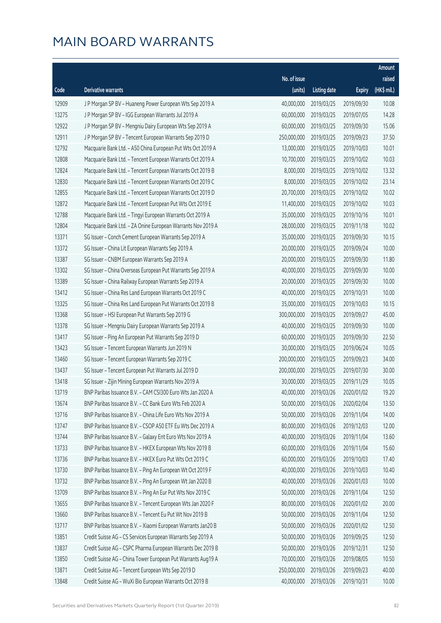|       |                                                              |              |                       |               | Amount      |
|-------|--------------------------------------------------------------|--------------|-----------------------|---------------|-------------|
|       |                                                              | No. of issue |                       |               | raised      |
| Code  | Derivative warrants                                          | (units)      | <b>Listing date</b>   | <b>Expiry</b> | (HK\$ mil.) |
| 12909 | J P Morgan SP BV - Huaneng Power European Wts Sep 2019 A     | 40,000,000   | 2019/03/25            | 2019/09/30    | 10.08       |
| 13275 | J P Morgan SP BV - IGG European Warrants Jul 2019 A          | 60,000,000   | 2019/03/25            | 2019/07/05    | 14.28       |
| 12922 | J P Morgan SP BV - Mengniu Dairy European Wts Sep 2019 A     | 60,000,000   | 2019/03/25            | 2019/09/30    | 15.06       |
| 12911 | J P Morgan SP BV - Tencent European Warrants Sep 2019 D      | 250,000,000  | 2019/03/25            | 2019/09/23    | 37.50       |
| 12792 | Macquarie Bank Ltd. - A50 China European Put Wts Oct 2019 A  | 13,000,000   | 2019/03/25            | 2019/10/03    | 10.01       |
| 12808 | Macquarie Bank Ltd. - Tencent European Warrants Oct 2019 A   | 10,700,000   | 2019/03/25            | 2019/10/02    | 10.03       |
| 12824 | Macquarie Bank Ltd. - Tencent European Warrants Oct 2019 B   | 8,000,000    | 2019/03/25            | 2019/10/02    | 13.32       |
| 12830 | Macquarie Bank Ltd. - Tencent European Warrants Oct 2019 C   | 8,000,000    | 2019/03/25            | 2019/10/02    | 23.14       |
| 12855 | Macquarie Bank Ltd. - Tencent European Warrants Oct 2019 D   | 20,700,000   | 2019/03/25            | 2019/10/02    | 10.02       |
| 12872 | Macquarie Bank Ltd. - Tencent European Put Wts Oct 2019 E    | 11,400,000   | 2019/03/25            | 2019/10/02    | 10.03       |
| 12788 | Macquarie Bank Ltd. - Tingyi European Warrants Oct 2019 A    | 35,000,000   | 2019/03/25            | 2019/10/16    | 10.01       |
| 12804 | Macquarie Bank Ltd. - ZA Onine European Warrants Nov 2019 A  | 28,000,000   | 2019/03/25            | 2019/11/18    | 10.02       |
| 13371 | SG Issuer - Conch Cement European Warrants Sep 2019 A        | 35,000,000   | 2019/03/25            | 2019/09/30    | 10.15       |
| 13372 | SG Issuer - China Lit European Warrants Sep 2019 A           | 20,000,000   | 2019/03/25            | 2019/09/24    | 10.00       |
| 13387 | SG Issuer - CNBM European Warrants Sep 2019 A                | 20,000,000   | 2019/03/25            | 2019/09/30    | 11.80       |
| 13302 | SG Issuer - China Overseas European Put Warrants Sep 2019 A  | 40,000,000   | 2019/03/25            | 2019/09/30    | 10.00       |
| 13389 | SG Issuer - China Railway European Warrants Sep 2019 A       | 20,000,000   | 2019/03/25            | 2019/09/30    | 10.00       |
| 13412 | SG Issuer - China Res Land European Warrants Oct 2019 C      | 40,000,000   | 2019/03/25            | 2019/10/31    | 10.00       |
| 13325 | SG Issuer - China Res Land European Put Warrants Oct 2019 B  | 35,000,000   | 2019/03/25            | 2019/10/03    | 10.15       |
| 13368 | SG Issuer - HSI European Put Warrants Sep 2019 G             | 300,000,000  | 2019/03/25            | 2019/09/27    | 45.00       |
| 13378 | SG Issuer - Mengniu Dairy European Warrants Sep 2019 A       | 40,000,000   | 2019/03/25            | 2019/09/30    | 10.00       |
| 13417 | SG Issuer - Ping An European Put Warrants Sep 2019 D         | 60,000,000   | 2019/03/25            | 2019/09/30    | 22.50       |
| 13423 | SG Issuer - Tencent European Warrants Jun 2019 N             | 30,000,000   | 2019/03/25            | 2019/06/24    | 10.05       |
| 13460 | SG Issuer - Tencent European Warrants Sep 2019 C             | 200,000,000  | 2019/03/25            | 2019/09/23    | 34.00       |
| 13437 | SG Issuer - Tencent European Put Warrants Jul 2019 D         | 200,000,000  | 2019/03/25            | 2019/07/30    | 30.00       |
| 13418 | SG Issuer - Zijin Mining European Warrants Nov 2019 A        | 30,000,000   | 2019/03/25            | 2019/11/29    | 10.05       |
| 13719 | BNP Paribas Issuance B.V. - CAM CSI300 Euro Wts Jan 2020 A   |              | 40,000,000 2019/03/26 | 2020/01/02    | 19.20       |
| 13674 | BNP Paribas Issuance B.V. - CC Bank Euro Wts Feb 2020 A      | 50,000,000   | 2019/03/26            | 2020/02/04    | 13.50       |
| 13716 | BNP Paribas Issuance B.V. - China Life Euro Wts Nov 2019 A   | 50,000,000   | 2019/03/26            | 2019/11/04    | 14.00       |
| 13747 | BNP Paribas Issuance B.V. - CSOP A50 ETF Eu Wts Dec 2019 A   | 80,000,000   | 2019/03/26            | 2019/12/03    | 12.00       |
| 13744 | BNP Paribas Issuance B.V. - Galaxy Ent Euro Wts Nov 2019 A   | 40,000,000   | 2019/03/26            | 2019/11/04    | 13.60       |
| 13733 | BNP Paribas Issuance B.V. - HKEX European Wts Nov 2019 B     | 60,000,000   | 2019/03/26            | 2019/11/04    | 15.60       |
| 13736 | BNP Paribas Issuance B.V. - HKEX Euro Put Wts Oct 2019 C     | 60,000,000   | 2019/03/26            | 2019/10/03    | 17.40       |
| 13730 | BNP Paribas Issuance B.V. - Ping An European Wt Oct 2019 F   | 40,000,000   | 2019/03/26            | 2019/10/03    | 10.40       |
| 13732 | BNP Paribas Issuance B.V. - Ping An European Wt Jan 2020 B   | 40,000,000   | 2019/03/26            | 2020/01/03    | 10.00       |
| 13709 | BNP Paribas Issuance B.V. - Ping An Eur Put Wts Nov 2019 C   | 50,000,000   | 2019/03/26            | 2019/11/04    | 12.50       |
| 13655 | BNP Paribas Issuance B.V. - Tencent European Wts Jan 2020 F  | 80,000,000   | 2019/03/26            | 2020/01/02    | 20.00       |
| 13660 | BNP Paribas Issuance B.V. - Tencent Eu Put Wt Nov 2019 B     | 50,000,000   | 2019/03/26            | 2019/11/04    | 12.50       |
| 13717 | BNP Paribas Issuance B.V. - Xiaomi European Warrants Jan20 B | 50,000,000   | 2019/03/26            | 2020/01/02    | 12.50       |
| 13851 | Credit Suisse AG - CS Services European Warrants Sep 2019 A  | 50,000,000   | 2019/03/26            | 2019/09/25    | 12.50       |
| 13837 | Credit Suisse AG - CSPC Pharma European Warrants Dec 2019 B  | 50,000,000   | 2019/03/26            | 2019/12/31    | 12.50       |
| 13850 | Credit Suisse AG - China Tower European Put Warrants Aug19 A | 70,000,000   | 2019/03/26            | 2019/08/05    | 10.50       |
| 13871 | Credit Suisse AG - Tencent European Wts Sep 2019 D           | 250,000,000  | 2019/03/26            | 2019/09/23    | 40.00       |
| 13848 | Credit Suisse AG - WuXi Bio European Warrants Oct 2019 B     | 40,000,000   | 2019/03/26            | 2019/10/31    | 10.00       |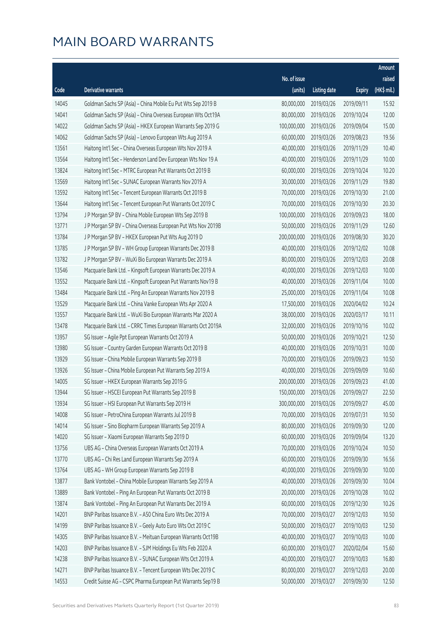|       |                                                              |              |                        |               | Amount      |
|-------|--------------------------------------------------------------|--------------|------------------------|---------------|-------------|
|       |                                                              | No. of issue |                        |               | raised      |
| Code  | Derivative warrants                                          | (units)      | <b>Listing date</b>    | <b>Expiry</b> | (HK\$ mil.) |
| 14045 | Goldman Sachs SP (Asia) - China Mobile Eu Put Wts Sep 2019 B | 80,000,000   | 2019/03/26             | 2019/09/11    | 15.92       |
| 14041 | Goldman Sachs SP (Asia) - China Overseas European Wts Oct19A | 80,000,000   | 2019/03/26             | 2019/10/24    | 12.00       |
| 14022 | Goldman Sachs SP (Asia) - HKEX European Warrants Sep 2019 G  | 100,000,000  | 2019/03/26             | 2019/09/04    | 15.00       |
| 14062 | Goldman Sachs SP (Asia) - Lenovo European Wts Aug 2019 A     | 60,000,000   | 2019/03/26             | 2019/08/23    | 19.56       |
| 13561 | Haitong Int'l Sec - China Overseas European Wts Nov 2019 A   | 40,000,000   | 2019/03/26             | 2019/11/29    | 10.40       |
| 13564 | Haitong Int'l Sec - Henderson Land Dev European Wts Nov 19 A | 40,000,000   | 2019/03/26             | 2019/11/29    | 10.00       |
| 13824 | Haitong Int'l Sec - MTRC European Put Warrants Oct 2019 B    | 60,000,000   | 2019/03/26             | 2019/10/24    | 10.20       |
| 13569 | Haitong Int'l Sec - SUNAC European Warrants Nov 2019 A       | 30,000,000   | 2019/03/26             | 2019/11/29    | 19.80       |
| 13592 | Haitong Int'l Sec - Tencent European Warrants Oct 2019 B     | 70,000,000   | 2019/03/26             | 2019/10/30    | 21.00       |
| 13644 | Haitong Int'l Sec - Tencent European Put Warrants Oct 2019 C | 70,000,000   | 2019/03/26             | 2019/10/30    | 20.30       |
| 13794 | J P Morgan SP BV - China Mobile European Wts Sep 2019 B      | 100,000,000  | 2019/03/26             | 2019/09/23    | 18.00       |
| 13771 | J P Morgan SP BV - China Overseas European Put Wts Nov 2019B | 50,000,000   | 2019/03/26             | 2019/11/29    | 12.60       |
| 13784 | J P Morgan SP BV - HKEX European Put Wts Aug 2019 D          | 200,000,000  | 2019/03/26             | 2019/08/30    | 30.20       |
| 13785 | J P Morgan SP BV - WH Group European Warrants Dec 2019 B     | 40,000,000   | 2019/03/26             | 2019/12/02    | 10.08       |
| 13782 | J P Morgan SP BV - WuXi Bio European Warrants Dec 2019 A     | 80,000,000   | 2019/03/26             | 2019/12/03    | 20.08       |
| 13546 | Macquarie Bank Ltd. - Kingsoft European Warrants Dec 2019 A  | 40,000,000   | 2019/03/26             | 2019/12/03    | 10.00       |
| 13552 | Macquarie Bank Ltd. - Kingsoft European Put Warrants Nov19 B | 40,000,000   | 2019/03/26             | 2019/11/04    | 10.00       |
| 13484 | Macquarie Bank Ltd. - Ping An European Warrants Nov 2019 B   | 25,000,000   | 2019/03/26             | 2019/11/04    | 10.08       |
| 13529 | Macquarie Bank Ltd. - China Vanke European Wts Apr 2020 A    | 17,500,000   | 2019/03/26             | 2020/04/02    | 10.24       |
| 13557 | Macquarie Bank Ltd. - WuXi Bio European Warrants Mar 2020 A  | 38,000,000   | 2019/03/26             | 2020/03/17    | 10.11       |
| 13478 | Macquarie Bank Ltd. - CRRC Times European Warrants Oct 2019A | 32,000,000   | 2019/03/26             | 2019/10/16    | 10.02       |
| 13957 | SG Issuer - Agile Ppt European Warrants Oct 2019 A           | 50,000,000   | 2019/03/26             | 2019/10/21    | 12.50       |
| 13980 | SG Issuer - Country Garden European Warrants Oct 2019 B      | 40,000,000   | 2019/03/26             | 2019/10/31    | 10.00       |
| 13929 | SG Issuer - China Mobile European Warrants Sep 2019 B        | 70,000,000   | 2019/03/26             | 2019/09/23    | 10.50       |
| 13926 | SG Issuer - China Mobile European Put Warrants Sep 2019 A    | 40,000,000   | 2019/03/26             | 2019/09/09    | 10.60       |
| 14005 | SG Issuer - HKEX European Warrants Sep 2019 G                | 200,000,000  | 2019/03/26             | 2019/09/23    | 41.00       |
| 13944 | SG Issuer - HSCEI European Put Warrants Sep 2019 B           |              | 150,000,000 2019/03/26 | 2019/09/27    | 22.50       |
| 13934 | SG Issuer - HSI European Put Warrants Sep 2019 H             | 300,000,000  | 2019/03/26             | 2019/09/27    | 45.00       |
| 14008 | SG Issuer - PetroChina European Warrants Jul 2019 B          | 70,000,000   | 2019/03/26             | 2019/07/31    | 10.50       |
| 14014 | SG Issuer - Sino Biopharm European Warrants Sep 2019 A       | 80,000,000   | 2019/03/26             | 2019/09/30    | 12.00       |
| 14020 | SG Issuer - Xiaomi European Warrants Sep 2019 D              | 60,000,000   | 2019/03/26             | 2019/09/04    | 13.20       |
| 13756 | UBS AG - China Overseas European Warrants Oct 2019 A         | 70,000,000   | 2019/03/26             | 2019/10/24    | 10.50       |
| 13770 | UBS AG - Chi Res Land European Warrants Sep 2019 A           | 60,000,000   | 2019/03/26             | 2019/09/30    | 16.56       |
| 13764 | UBS AG - WH Group European Warrants Sep 2019 B               | 40,000,000   | 2019/03/26             | 2019/09/30    | 10.00       |
| 13877 | Bank Vontobel - China Mobile European Warrants Sep 2019 A    | 40,000,000   | 2019/03/26             | 2019/09/30    | 10.04       |
| 13889 | Bank Vontobel - Ping An European Put Warrants Oct 2019 B     | 20,000,000   | 2019/03/26             | 2019/10/28    | 10.02       |
| 13874 | Bank Vontobel - Ping An European Put Warrants Dec 2019 A     | 60,000,000   | 2019/03/26             | 2019/12/30    | 10.26       |
| 14201 | BNP Paribas Issuance B.V. - A50 China Euro Wts Dec 2019 A    | 70,000,000   | 2019/03/27             | 2019/12/03    | 10.50       |
| 14199 | BNP Paribas Issuance B.V. - Geely Auto Euro Wts Oct 2019 C   | 50,000,000   | 2019/03/27             | 2019/10/03    | 12.50       |
| 14305 | BNP Paribas Issuance B.V. - Meituan European Warrants Oct19B | 40,000,000   | 2019/03/27             | 2019/10/03    | 10.00       |
| 14203 | BNP Paribas Issuance B.V. - SJM Holdings Eu Wts Feb 2020 A   | 60,000,000   | 2019/03/27             | 2020/02/04    | 15.60       |
| 14238 | BNP Paribas Issuance B.V. - SUNAC European Wts Oct 2019 A    | 40,000,000   | 2019/03/27             | 2019/10/03    | 16.80       |
| 14271 | BNP Paribas Issuance B.V. - Tencent European Wts Dec 2019 C  | 80,000,000   | 2019/03/27             | 2019/12/03    | 20.00       |
| 14553 | Credit Suisse AG - CSPC Pharma European Put Warrants Sep19 B | 50,000,000   | 2019/03/27             | 2019/09/30    | 12.50       |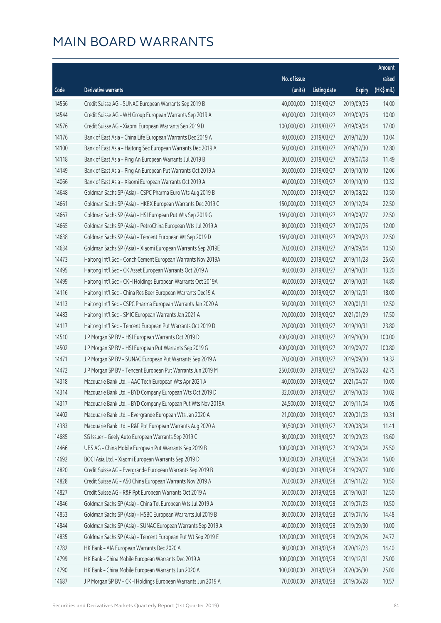|       |                                                              |              |                       |               | Amount      |
|-------|--------------------------------------------------------------|--------------|-----------------------|---------------|-------------|
|       |                                                              | No. of issue |                       |               | raised      |
| Code  | Derivative warrants                                          | (units)      | <b>Listing date</b>   | <b>Expiry</b> | (HK\$ mil.) |
| 14566 | Credit Suisse AG - SUNAC European Warrants Sep 2019 B        | 40,000,000   | 2019/03/27            | 2019/09/26    | 14.00       |
| 14544 | Credit Suisse AG - WH Group European Warrants Sep 2019 A     | 40,000,000   | 2019/03/27            | 2019/09/26    | 10.00       |
| 14576 | Credit Suisse AG - Xiaomi European Warrants Sep 2019 D       | 100,000,000  | 2019/03/27            | 2019/09/04    | 17.00       |
| 14176 | Bank of East Asia - China Life European Warrants Dec 2019 A  | 40,000,000   | 2019/03/27            | 2019/12/30    | 10.04       |
| 14100 | Bank of East Asia - Haitong Sec European Warrants Dec 2019 A | 50,000,000   | 2019/03/27            | 2019/12/30    | 12.80       |
| 14118 | Bank of East Asia - Ping An European Warrants Jul 2019 B     | 30,000,000   | 2019/03/27            | 2019/07/08    | 11.49       |
| 14149 | Bank of East Asia - Ping An European Put Warrants Oct 2019 A | 30,000,000   | 2019/03/27            | 2019/10/10    | 12.06       |
| 14066 | Bank of East Asia - Xiaomi European Warrants Oct 2019 A      | 40,000,000   | 2019/03/27            | 2019/10/10    | 10.32       |
| 14648 | Goldman Sachs SP (Asia) - CSPC Pharma Euro Wts Aug 2019 B    | 70,000,000   | 2019/03/27            | 2019/08/22    | 10.50       |
| 14661 | Goldman Sachs SP (Asia) - HKEX European Warrants Dec 2019 C  | 150,000,000  | 2019/03/27            | 2019/12/24    | 22.50       |
| 14667 | Goldman Sachs SP (Asia) - HSI European Put Wts Sep 2019 G    | 150,000,000  | 2019/03/27            | 2019/09/27    | 22.50       |
| 14665 | Goldman Sachs SP (Asia) - PetroChina European Wts Jul 2019 A | 80,000,000   | 2019/03/27            | 2019/07/26    | 12.00       |
| 14638 | Goldman Sachs SP (Asia) - Tencent European Wt Sep 2019 D     | 150,000,000  | 2019/03/27            | 2019/09/23    | 22.50       |
| 14634 | Goldman Sachs SP (Asia) - Xiaomi European Warrants Sep 2019E | 70,000,000   | 2019/03/27            | 2019/09/04    | 10.50       |
| 14473 | Haitong Int'l Sec - Conch Cement European Warrants Nov 2019A | 40,000,000   | 2019/03/27            | 2019/11/28    | 25.60       |
| 14495 | Haitong Int'l Sec - CK Asset European Warrants Oct 2019 A    | 40,000,000   | 2019/03/27            | 2019/10/31    | 13.20       |
| 14499 | Haitong Int'l Sec - CKH Holdings European Warrants Oct 2019A | 40,000,000   | 2019/03/27            | 2019/10/31    | 14.80       |
| 14116 | Haitong Int'l Sec - China Res Beer European Warrants Dec19 A | 40,000,000   | 2019/03/27            | 2019/12/31    | 18.00       |
| 14113 | Haitong Int'l Sec - CSPC Pharma European Warrants Jan 2020 A | 50,000,000   | 2019/03/27            | 2020/01/31    | 12.50       |
| 14483 | Haitong Int'l Sec - SMIC European Warrants Jan 2021 A        | 70,000,000   | 2019/03/27            | 2021/01/29    | 17.50       |
| 14117 | Haitong Int'l Sec - Tencent European Put Warrants Oct 2019 D | 70,000,000   | 2019/03/27            | 2019/10/31    | 23.80       |
| 14510 | J P Morgan SP BV - HSI European Warrants Oct 2019 D          | 400,000,000  | 2019/03/27            | 2019/10/30    | 100.00      |
| 14502 | J P Morgan SP BV - HSI European Put Warrants Sep 2019 G      | 400,000,000  | 2019/03/27            | 2019/09/27    | 100.80      |
| 14471 | J P Morgan SP BV - SUNAC European Put Warrants Sep 2019 A    | 70,000,000   | 2019/03/27            | 2019/09/30    | 19.32       |
| 14472 | J P Morgan SP BV - Tencent European Put Warrants Jun 2019 M  | 250,000,000  | 2019/03/27            | 2019/06/28    | 42.75       |
| 14318 | Macquarie Bank Ltd. - AAC Tech European Wts Apr 2021 A       | 40,000,000   | 2019/03/27            | 2021/04/07    | 10.00       |
| 14314 | Macquarie Bank Ltd. - BYD Company European Wts Oct 2019 D    |              | 32,000,000 2019/03/27 | 2019/10/03    | 10.02       |
| 14317 | Macquarie Bank Ltd. - BYD Company European Put Wts Nov 2019A | 24,500,000   | 2019/03/27            | 2019/11/04    | 10.05       |
| 14402 | Macquarie Bank Ltd. - Evergrande European Wts Jan 2020 A     | 21,000,000   | 2019/03/27            | 2020/01/03    | 10.31       |
| 14383 | Macquarie Bank Ltd. - R&F Ppt European Warrants Aug 2020 A   | 30,500,000   | 2019/03/27            | 2020/08/04    | 11.41       |
| 14685 | SG Issuer - Geely Auto European Warrants Sep 2019 C          | 80,000,000   | 2019/03/27            | 2019/09/23    | 13.60       |
| 14466 | UBS AG - China Mobile European Put Warrants Sep 2019 B       | 100,000,000  | 2019/03/27            | 2019/09/04    | 25.50       |
| 14692 | BOCI Asia Ltd. - Xiaomi European Warrants Sep 2019 D         | 100,000,000  | 2019/03/28            | 2019/09/04    | 16.00       |
| 14820 | Credit Suisse AG - Evergrande European Warrants Sep 2019 B   | 40,000,000   | 2019/03/28            | 2019/09/27    | 10.00       |
| 14828 | Credit Suisse AG - A50 China European Warrants Nov 2019 A    | 70,000,000   | 2019/03/28            | 2019/11/22    | 10.50       |
| 14827 | Credit Suisse AG - R&F Ppt European Warrants Oct 2019 A      | 50,000,000   | 2019/03/28            | 2019/10/31    | 12.50       |
| 14846 | Goldman Sachs SP (Asia) - China Tel European Wts Jul 2019 A  | 70,000,000   | 2019/03/28            | 2019/07/23    | 10.50       |
| 14853 | Goldman Sachs SP (Asia) - HSBC European Warrants Jul 2019 B  | 80,000,000   | 2019/03/28            | 2019/07/16    | 14.48       |
| 14844 | Goldman Sachs SP (Asia) - SUNAC European Warrants Sep 2019 A | 40,000,000   | 2019/03/28            | 2019/09/30    | 10.00       |
| 14835 | Goldman Sachs SP (Asia) - Tencent European Put Wt Sep 2019 E | 120,000,000  | 2019/03/28            | 2019/09/26    | 24.72       |
| 14782 | HK Bank - AIA European Warrants Dec 2020 A                   | 80,000,000   | 2019/03/28            | 2020/12/23    | 14.40       |
| 14799 | HK Bank - China Mobile European Warrants Dec 2019 A          | 100,000,000  | 2019/03/28            | 2019/12/31    | 25.00       |
| 14790 | HK Bank - China Mobile European Warrants Jun 2020 A          | 100,000,000  | 2019/03/28            | 2020/06/30    | 25.00       |
| 14687 | J P Morgan SP BV - CKH Holdings European Warrants Jun 2019 A | 70,000,000   | 2019/03/28            | 2019/06/28    | 10.57       |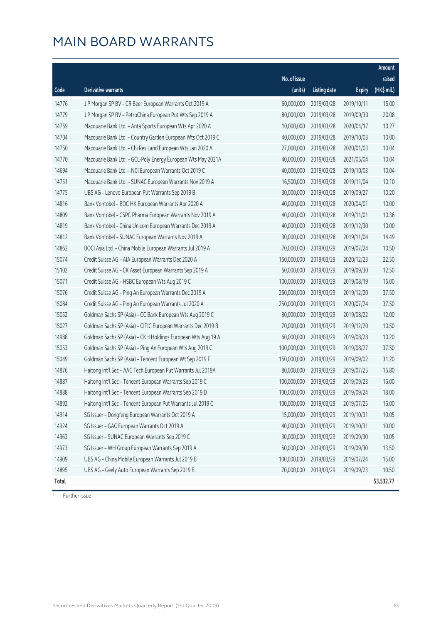|       |                                                              |                        |                     |               | Amount                |
|-------|--------------------------------------------------------------|------------------------|---------------------|---------------|-----------------------|
|       |                                                              | No. of issue           |                     |               | raised                |
| Code  | Derivative warrants                                          | (units)                | <b>Listing date</b> | <b>Expiry</b> | $(HK\frac{1}{2}mil.)$ |
| 14776 | J P Morgan SP BV - CR Beer European Warrants Oct 2019 A      | 60,000,000             | 2019/03/28          | 2019/10/11    | 15.00                 |
| 14779 | J P Morgan SP BV - PetroChina European Put Wts Sep 2019 A    | 80,000,000             | 2019/03/28          | 2019/09/30    | 20.08                 |
| 14759 | Macquarie Bank Ltd. - Anta Sports European Wts Apr 2020 A    | 10,000,000             | 2019/03/28          | 2020/04/17    | 10.27                 |
| 14704 | Macquarie Bank Ltd. - Country Garden European Wts Oct 2019 C | 40,000,000             | 2019/03/28          | 2019/10/03    | 10.00                 |
| 14750 | Macquarie Bank Ltd. - Chi Res Land European Wts Jan 2020 A   | 27,000,000             | 2019/03/28          | 2020/01/03    | 10.04                 |
| 14770 | Macquarie Bank Ltd. - GCL-Poly Energy European Wts May 2021A | 40,000,000             | 2019/03/28          | 2021/05/04    | 10.04                 |
| 14694 | Macquarie Bank Ltd. - NCI European Warrants Oct 2019 C       | 40,000,000             | 2019/03/28          | 2019/10/03    | 10.04                 |
| 14751 | Macquarie Bank Ltd. - SUNAC European Warrants Nov 2019 A     | 16,500,000             | 2019/03/28          | 2019/11/04    | 10.10                 |
| 14775 | UBS AG - Lenovo European Put Warrants Sep 2019 B             | 30,000,000             | 2019/03/28          | 2019/09/27    | 10.20                 |
| 14816 | Bank Vontobel - BOC HK European Warrants Apr 2020 A          | 40,000,000             | 2019/03/28          | 2020/04/01    | 10.00                 |
| 14809 | Bank Vontobel - CSPC Pharma European Warrants Nov 2019 A     | 40,000,000             | 2019/03/28          | 2019/11/01    | 10.36                 |
| 14819 | Bank Vontobel - China Unicom European Warrants Dec 2019 A    | 40,000,000             | 2019/03/28          | 2019/12/30    | 10.00                 |
| 14812 | Bank Vontobel - SUNAC European Warrants Nov 2019 A           | 30,000,000             | 2019/03/28          | 2019/11/04    | 14.49                 |
| 14862 | BOCI Asia Ltd. - China Mobile European Warrants Jul 2019 A   | 70,000,000             | 2019/03/29          | 2019/07/24    | 10.50                 |
| 15074 | Credit Suisse AG - AIA European Warrants Dec 2020 A          | 150,000,000            | 2019/03/29          | 2020/12/23    | 22.50                 |
| 15102 | Credit Suisse AG - CK Asset European Warrants Sep 2019 A     | 50,000,000             | 2019/03/29          | 2019/09/30    | 12.50                 |
| 15071 | Credit Suisse AG - HSBC European Wts Aug 2019 C              | 100,000,000            | 2019/03/29          | 2019/08/19    | 15.00                 |
| 15076 | Credit Suisse AG - Ping An European Warrants Dec 2019 A      | 250,000,000            | 2019/03/29          | 2019/12/20    | 37.50                 |
| 15084 | Credit Suisse AG - Ping An European Warrants Jul 2020 A      | 250,000,000            | 2019/03/29          | 2020/07/24    | 37.50                 |
| 15052 | Goldman Sachs SP (Asia) - CC Bank European Wts Aug 2019 C    | 80,000,000             | 2019/03/29          | 2019/08/22    | 12.00                 |
| 15027 | Goldman Sachs SP (Asia) - CITIC European Warrants Dec 2019 B | 70,000,000             | 2019/03/29          | 2019/12/20    | 10.50                 |
| 14988 | Goldman Sachs SP (Asia) - CKH Holdings European Wts Aug 19 A | 60,000,000             | 2019/03/29          | 2019/08/28    | 10.20                 |
| 15053 | Goldman Sachs SP (Asia) - Ping An European Wts Aug 2019 C    | 100,000,000            | 2019/03/29          | 2019/08/27    | 37.50                 |
| 15049 | Goldman Sachs SP (Asia) - Tencent European Wt Sep 2019 F     | 150,000,000            | 2019/03/29          | 2019/09/02    | 31.20                 |
| 14876 | Haitong Int'l Sec - AAC Tech European Put Warrants Jul 2019A | 80,000,000             | 2019/03/29          | 2019/07/25    | 16.80                 |
| 14887 | Haitong Int'l Sec - Tencent European Warrants Sep 2019 C     | 100,000,000            | 2019/03/29          | 2019/09/23    | 16.00                 |
| 14888 | Haitong Int'l Sec - Tencent European Warrants Sep 2019 D     | 100,000,000 2019/03/29 |                     | 2019/09/24    | 18.00                 |
| 14892 | Haitong Int'l Sec - Tencent European Put Warrants Jul 2019 C | 100,000,000            | 2019/03/29          | 2019/07/25    | 16.00                 |
| 14914 | SG Issuer - Dongfeng European Warrants Oct 2019 A            | 15,000,000             | 2019/03/29          | 2019/10/31    | 10.05                 |
| 14924 | SG Issuer - GAC European Warrants Oct 2019 A                 | 40,000,000             | 2019/03/29          | 2019/10/31    | 10.00                 |
| 14963 | SG Issuer - SUNAC European Warrants Sep 2019 C               | 30,000,000             | 2019/03/29          | 2019/09/30    | 10.05                 |
| 14973 | SG Issuer - WH Group European Warrants Sep 2019 A            | 50,000,000             | 2019/03/29          | 2019/09/30    | 13.50                 |
| 14909 | UBS AG - China Mobile European Warrants Jul 2019 B           | 100,000,000            | 2019/03/29          | 2019/07/24    | 15.00                 |
| 14895 | UBS AG - Geely Auto European Warrants Sep 2019 B             | 70,000,000             | 2019/03/29          | 2019/09/23    | 10.50                 |
| Total |                                                              |                        |                     |               | 53,532.77             |

# Further issue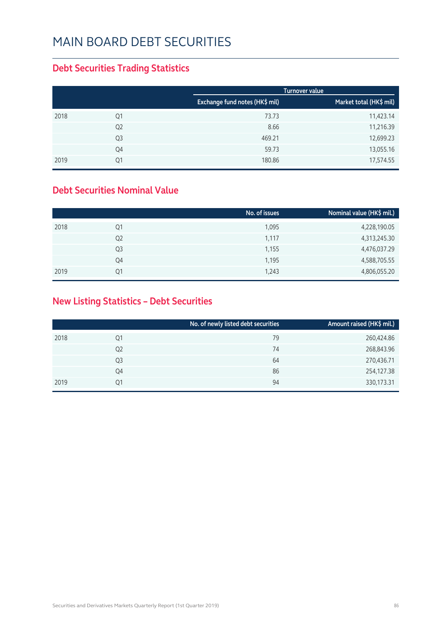#### **Debt Securities Trading Statistics**

|      |                |                                | <b>Turnover value</b>   |
|------|----------------|--------------------------------|-------------------------|
|      |                | Exchange fund notes (HK\$ mil) | Market total (HK\$ mil) |
| 2018 | Q1             | 73.73                          | 11,423.14               |
|      | Q <sub>2</sub> | 8.66                           | 11,216.39               |
|      | Q <sub>3</sub> | 469.21                         | 12,699.23               |
|      | Q4             | 59.73                          | 13,055.16               |
| 2019 | Q1             | 180.86                         | 17,574.55               |

#### **Debt Securities Nominal Value**

|      |                | No. of issues | Nominal value (HK\$ mil.) |
|------|----------------|---------------|---------------------------|
| 2018 | Q1             | 1,095         | 4,228,190.05              |
|      | Q <sub>2</sub> | 1,117         | 4,313,245.30              |
|      | Q3             | 1,155         | 4,476,037.29              |
|      | Q4             | 1,195         | 4,588,705.55              |
| 2019 | 01             | 1,243         | 4,806,055.20              |

### **New Listing Statistics – Debt Securities**

|      |                | No. of newly listed debt securities | Amount raised (HK\$ mil.) |
|------|----------------|-------------------------------------|---------------------------|
| 2018 | Q1             | 79                                  | 260,424.86                |
|      | Q <sub>2</sub> | 74                                  | 268,843.96                |
|      | Q3             | 64                                  | 270,436.71                |
|      | Q4             | 86                                  | 254,127.38                |
| 2019 | Q1             | 94                                  | 330,173.31                |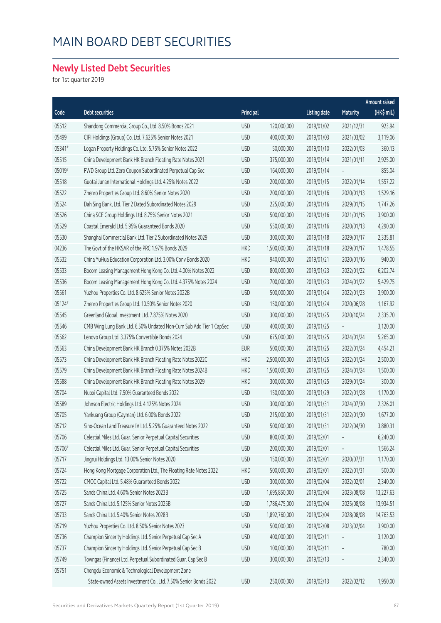### **Newly Listed Debt Securities**

for 1st quarter 2019

|        |                                                                     |            |               |                     |            | Amount raised |
|--------|---------------------------------------------------------------------|------------|---------------|---------------------|------------|---------------|
| Code   | <b>Debt securities</b>                                              | Principal  |               | <b>Listing date</b> | Maturity   | $(HK\$ mil.)  |
| 05512  | Shandong Commercial Group Co., Ltd. 8.50% Bonds 2021                | <b>USD</b> | 120,000,000   | 2019/01/02          | 2021/12/31 | 923.94        |
| 05499  | CIFI Holdings (Group) Co. Ltd. 7.625% Senior Notes 2021             | <b>USD</b> | 400,000,000   | 2019/01/03          | 2021/03/02 | 3,119.06      |
| 05341# | Logan Property Holdings Co. Ltd. 5.75% Senior Notes 2022            | <b>USD</b> | 50,000,000    | 2019/01/10          | 2022/01/03 | 360.13        |
| 05515  | China Development Bank HK Branch Floating Rate Notes 2021           | <b>USD</b> | 375,000,000   | 2019/01/14          | 2021/01/11 | 2,925.00      |
| 05019# | FWD Group Ltd. Zero Coupon Subordinated Perpetual Cap Sec           | <b>USD</b> | 164,000,000   | 2019/01/14          |            | 855.04        |
| 05518  | Guotai Junan International Holdings Ltd. 4.25% Notes 2022           | <b>USD</b> | 200,000,000   | 2019/01/15          | 2022/01/14 | 1,557.22      |
| 05522  | Zhenro Properties Group Ltd. 8.60% Senior Notes 2020                | <b>USD</b> | 200,000,000   | 2019/01/16          | 2020/01/13 | 1,529.16      |
| 05524  | Dah Sing Bank, Ltd. Tier 2 Dated Subordinated Notes 2029            | <b>USD</b> | 225,000,000   | 2019/01/16          | 2029/01/15 | 1,747.26      |
| 05526  | China SCE Group Holdings Ltd. 8.75% Senior Notes 2021               | <b>USD</b> | 500,000,000   | 2019/01/16          | 2021/01/15 | 3,900.00      |
| 05529  | Coastal Emerald Ltd. 5.95% Guaranteed Bonds 2020                    | <b>USD</b> | 550,000,000   | 2019/01/16          | 2020/01/13 | 4,290.00      |
| 05530  | Shanghai Commercial Bank Ltd. Tier 2 Subordinated Notes 2029        | <b>USD</b> | 300,000,000   | 2019/01/18          | 2029/01/17 | 2,335.81      |
| 04236  | The Govt of the HKSAR of the PRC 1.97% Bonds 2029                   | <b>HKD</b> | 1,500,000,000 | 2019/01/18          | 2029/01/17 | 1,478.55      |
| 05532  | China YuHua Education Corporation Ltd. 3.00% Conv Bonds 2020        | <b>HKD</b> | 940,000,000   | 2019/01/21          | 2020/01/16 | 940.00        |
| 05533  | Bocom Leasing Management Hong Kong Co. Ltd. 4.00% Notes 2022        | <b>USD</b> | 800,000,000   | 2019/01/23          | 2022/01/22 | 6,202.74      |
| 05536  | Bocom Leasing Management Hong Kong Co. Ltd. 4.375% Notes 2024       | <b>USD</b> | 700,000,000   | 2019/01/23          | 2024/01/22 | 5,429.75      |
| 05561  | Yuzhou Properties Co. Ltd. 8.625% Senior Notes 2022B                | <b>USD</b> | 500,000,000   | 2019/01/24          | 2022/01/23 | 3,900.00      |
| 05124# | Zhenro Properties Group Ltd. 10.50% Senior Notes 2020               | <b>USD</b> | 150,000,000   | 2019/01/24          | 2020/06/28 | 1,167.92      |
| 05545  | Greenland Global Investment Ltd. 7.875% Notes 2020                  | <b>USD</b> | 300,000,000   | 2019/01/25          | 2020/10/24 | 2,335.70      |
| 05546  | CMB Wing Lung Bank Ltd. 6.50% Undated Non-Cum Sub Add Tier 1 CapSec | <b>USD</b> | 400,000,000   | 2019/01/25          |            | 3,120.00      |
| 05562  | Lenovo Group Ltd. 3.375% Convertible Bonds 2024                     | <b>USD</b> | 675,000,000   | 2019/01/25          | 2024/01/24 | 5,265.00      |
| 05563  | China Development Bank HK Branch 0.375% Notes 2022B                 | <b>EUR</b> | 500,000,000   | 2019/01/25          | 2022/01/24 | 4,454.21      |
| 05573  | China Development Bank HK Branch Floating Rate Notes 2022C          | <b>HKD</b> | 2,500,000,000 | 2019/01/25          | 2022/01/24 | 2,500.00      |
| 05579  | China Development Bank HK Branch Floating Rate Notes 2024B          | <b>HKD</b> | 1,500,000,000 | 2019/01/25          | 2024/01/24 | 1,500.00      |
| 05588  | China Development Bank HK Branch Floating Rate Notes 2029           | <b>HKD</b> | 300,000,000   | 2019/01/25          | 2029/01/24 | 300.00        |
| 05704  | Nuoxi Capital Ltd. 7.50% Guaranteed Bonds 2022                      | <b>USD</b> | 150,000,000   | 2019/01/29          | 2022/01/28 | 1,170.00      |
| 05589  | Johnson Electric Holdings Ltd. 4.125% Notes 2024                    | <b>USD</b> | 300,000,000   | 2019/01/31          | 2024/07/30 | 2,326.01      |
| 05705  | Yankuang Group (Cayman) Ltd. 6.00% Bonds 2022                       | <b>USD</b> | 215,000,000   | 2019/01/31          | 2022/01/30 | 1,677.00      |
| 05712  | Sino-Ocean Land Treasure IV Ltd. 5.25% Guaranteed Notes 2022        | <b>USD</b> | 500,000,000   | 2019/01/31          | 2022/04/30 | 3,880.31      |
| 05706  | Celestial Miles Ltd. Guar. Senior Perpetual Capital Securities      | <b>USD</b> | 800,000,000   | 2019/02/01          |            | 6,240.00      |
| 05706# | Celestial Miles Ltd. Guar. Senior Perpetual Capital Securities      | <b>USD</b> | 200,000,000   | 2019/02/01          |            | 1,566.24      |
| 05717  | Jingrui Holdings Ltd. 13.00% Senior Notes 2020                      | <b>USD</b> | 150,000,000   | 2019/02/01          | 2020/07/31 | 1,170.00      |
| 05724  | Hong Kong Mortgage Corporation Ltd., The Floating Rate Notes 2022   | <b>HKD</b> | 500,000,000   | 2019/02/01          | 2022/01/31 | 500.00        |
| 05722  | CMOC Capital Ltd. 5.48% Guaranteed Bonds 2022                       | <b>USD</b> | 300,000,000   | 2019/02/04          | 2022/02/01 | 2,340.00      |
| 05725  | Sands China Ltd. 4.60% Senior Notes 2023B                           | <b>USD</b> | 1,695,850,000 | 2019/02/04          | 2023/08/08 | 13,227.63     |
| 05727  | Sands China Ltd. 5.125% Senior Notes 2025B                          | <b>USD</b> | 1,786,475,000 | 2019/02/04          | 2025/08/08 | 13,934.51     |
| 05733  | Sands China Ltd. 5.40% Senior Notes 2028B                           | <b>USD</b> | 1,892,760,000 | 2019/02/04          | 2028/08/08 | 14,763.53     |
| 05719  | Yuzhou Properties Co. Ltd. 8.50% Senior Notes 2023                  | <b>USD</b> | 500,000,000   | 2019/02/08          | 2023/02/04 | 3,900.00      |
| 05736  | Champion Sincerity Holdings Ltd. Senior Perpetual Cap Sec A         | <b>USD</b> | 400,000,000   | 2019/02/11          |            | 3,120.00      |
| 05737  | Champion Sincerity Holdings Ltd. Senior Perpetual Cap Sec B         | <b>USD</b> | 100,000,000   | 2019/02/11          |            | 780.00        |
| 05749  | Towngas (Finance) Ltd. Perpetual Subordinated Guar. Cap Sec B       | <b>USD</b> | 300,000,000   | 2019/02/13          |            | 2,340.00      |
| 05751  | Chengdu Economic & Technological Development Zone                   |            |               |                     |            |               |
|        | State-owned Assets Investment Co., Ltd. 7.50% Senior Bonds 2022     | <b>USD</b> | 250,000,000   | 2019/02/13          | 2022/02/12 | 1,950.00      |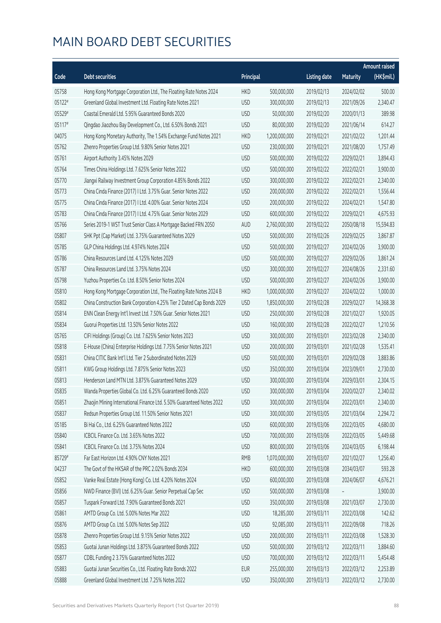|        |                                                                       |            |               |                     |                 | <b>Amount raised</b> |
|--------|-----------------------------------------------------------------------|------------|---------------|---------------------|-----------------|----------------------|
| Code   | <b>Debt securities</b>                                                | Principal  |               | <b>Listing date</b> | <b>Maturity</b> | (HK\$mil.)           |
| 05758  | Hong Kong Mortgage Corporation Ltd., The Floating Rate Notes 2024     | <b>HKD</b> | 500,000,000   | 2019/02/13          | 2024/02/02      | 500.00               |
| 05122# | Greenland Global Investment Ltd. Floating Rate Notes 2021             | <b>USD</b> | 300,000,000   | 2019/02/13          | 2021/09/26      | 2,340.47             |
| 05529# | Coastal Emerald Ltd. 5.95% Guaranteed Bonds 2020                      | <b>USD</b> | 50,000,000    | 2019/02/20          | 2020/01/13      | 389.98               |
| 05117# | Qingdao Jiaozhou Bay Development Co., Ltd. 6.50% Bonds 2021           | <b>USD</b> | 80,000,000    | 2019/02/20          | 2021/06/14      | 614.27               |
| 04075  | Hong Kong Monetary Authority, The 1.54% Exchange Fund Notes 2021      | <b>HKD</b> | 1,200,000,000 | 2019/02/21          | 2021/02/22      | 1,201.44             |
| 05762  | Zhenro Properties Group Ltd. 9.80% Senior Notes 2021                  | <b>USD</b> | 230,000,000   | 2019/02/21          | 2021/08/20      | 1,757.49             |
| 05761  | Airport Authority 3.45% Notes 2029                                    | <b>USD</b> | 500,000,000   | 2019/02/22          | 2029/02/21      | 3,894.43             |
| 05764  | Times China Holdings Ltd. 7.625% Senior Notes 2022                    | <b>USD</b> | 500,000,000   | 2019/02/22          | 2022/02/21      | 3,900.00             |
| 05770  | Jiangxi Railway Investment Group Corporation 4.85% Bonds 2022         | <b>USD</b> | 300,000,000   | 2019/02/22          | 2022/02/21      | 2,340.00             |
| 05773  | China Cinda Finance (2017) I Ltd. 3.75% Guar. Senior Notes 2022       | <b>USD</b> | 200,000,000   | 2019/02/22          | 2022/02/21      | 1,556.44             |
| 05775  | China Cinda Finance (2017) I Ltd. 4.00% Guar. Senior Notes 2024       | <b>USD</b> | 200,000,000   | 2019/02/22          | 2024/02/21      | 1,547.80             |
| 05783  | China Cinda Finance (2017) I Ltd. 4.75% Guar. Senior Notes 2029       | <b>USD</b> | 600,000,000   | 2019/02/22          | 2029/02/21      | 4,675.93             |
| 05766  | Series 2019-1 WST Trust Senior Class A Mortgage Backed FRN 2050       | <b>AUD</b> | 2,760,000,000 | 2019/02/22          | 2050/08/18      | 15,594.83            |
| 05807  | SHK Ppt (Cap Market) Ltd. 3.75% Guaranteed Notes 2029                 | <b>USD</b> | 500,000,000   | 2019/02/26          | 2029/02/25      | 3,867.87             |
| 05785  | GLP China Holdings Ltd. 4.974% Notes 2024                             | <b>USD</b> | 500,000,000   | 2019/02/27          | 2024/02/26      | 3,900.00             |
| 05786  | China Resources Land Ltd. 4.125% Notes 2029                           | <b>USD</b> | 500,000,000   | 2019/02/27          | 2029/02/26      | 3,861.24             |
| 05787  | China Resources Land Ltd. 3.75% Notes 2024                            | <b>USD</b> | 300,000,000   | 2019/02/27          | 2024/08/26      | 2,331.60             |
| 05798  | Yuzhou Properties Co. Ltd. 8.50% Senior Notes 2024                    | <b>USD</b> | 500,000,000   | 2019/02/27          | 2024/02/26      | 3,900.00             |
| 05810  | Hong Kong Mortgage Corporation Ltd., The Floating Rate Notes 2024 B   | <b>HKD</b> | 1,000,000,000 | 2019/02/27          | 2024/02/22      | 1,000.00             |
| 05802  | China Construction Bank Corporation 4.25% Tier 2 Dated Cap Bonds 2029 | <b>USD</b> | 1,850,000,000 | 2019/02/28          | 2029/02/27      | 14,368.38            |
| 05814  | ENN Clean Energy Int'l Invest Ltd. 7.50% Guar. Senior Notes 2021      | <b>USD</b> | 250,000,000   | 2019/02/28          | 2021/02/27      | 1,920.05             |
| 05834  | Guorui Properties Ltd. 13.50% Senior Notes 2022                       | <b>USD</b> | 160,000,000   | 2019/02/28          | 2022/02/27      | 1,210.56             |
| 05765  | CIFI Holdings (Group) Co. Ltd. 7.625% Senior Notes 2023               | <b>USD</b> | 300,000,000   | 2019/03/01          | 2023/02/28      | 2,340.00             |
| 05818  | E-House (China) Enterprise Holdings Ltd. 7.75% Senior Notes 2021      | <b>USD</b> | 200,000,000   | 2019/03/01          | 2021/02/28      | 1,535.41             |
| 05831  | China CITIC Bank Int'l Ltd. Tier 2 Subordinated Notes 2029            | <b>USD</b> | 500,000,000   | 2019/03/01          | 2029/02/28      | 3,883.86             |
| 05811  | KWG Group Holdings Ltd. 7.875% Senior Notes 2023                      | <b>USD</b> | 350,000,000   | 2019/03/04          | 2023/09/01      | 2,730.00             |
| 05813  | Henderson Land MTN Ltd. 3.875% Guaranteed Notes 2029                  | <b>USD</b> | 300,000,000   | 2019/03/04          | 2029/03/01      | 2,304.15             |
| 05835  | Wanda Properties Global Co. Ltd. 6.25% Guaranteed Bonds 2020          | <b>USD</b> | 300,000,000   | 2019/03/04          | 2020/02/27      | 2,340.02             |
| 05851  | Zhaojin Mining International Finance Ltd. 5.50% Guaranteed Notes 2022 | <b>USD</b> | 300,000,000   | 2019/03/04          | 2022/03/01      | 2,340.00             |
| 05837  | Redsun Properties Group Ltd. 11.50% Senior Notes 2021                 | <b>USD</b> | 300,000,000   | 2019/03/05          | 2021/03/04      | 2,294.72             |
| 05185  | Bi Hai Co., Ltd. 6.25% Guaranteed Notes 2022                          | <b>USD</b> | 600,000,000   | 2019/03/06          | 2022/03/05      | 4,680.00             |
| 05840  | ICBCIL Finance Co. Ltd. 3.65% Notes 2022                              | <b>USD</b> | 700,000,000   | 2019/03/06          | 2022/03/05      | 5,449.68             |
| 05841  | ICBCIL Finance Co. Ltd. 3.75% Notes 2024                              | <b>USD</b> | 800,000,000   | 2019/03/06          | 2024/03/05      | 6,198.44             |
| 85729# | Far East Horizon Ltd. 4.90% CNY Notes 2021                            | <b>RMB</b> | 1,070,000,000 | 2019/03/07          | 2021/02/27      | 1,256.40             |
| 04237  | The Govt of the HKSAR of the PRC 2.02% Bonds 2034                     | <b>HKD</b> | 600,000,000   | 2019/03/08          | 2034/03/07      | 593.28               |
| 05852  | Vanke Real Estate (Hong Kong) Co. Ltd. 4.20% Notes 2024               | <b>USD</b> | 600,000,000   | 2019/03/08          | 2024/06/07      | 4,676.21             |
| 05856  | NWD Finance (BVI) Ltd. 6.25% Guar. Senior Perpetual Cap Sec           | <b>USD</b> | 500,000,000   | 2019/03/08          |                 | 3,900.00             |
| 05857  | Tuspark Forward Ltd. 7.90% Guaranteed Bonds 2021                      | <b>USD</b> | 350,000,000   | 2019/03/08          | 2021/03/07      | 2,730.00             |
| 05861  | AMTD Group Co. Ltd. 5.00% Notes Mar 2022                              | <b>USD</b> | 18,285,000    | 2019/03/11          | 2022/03/08      | 142.62               |
| 05876  | AMTD Group Co. Ltd. 5.00% Notes Sep 2022                              | <b>USD</b> | 92,085,000    | 2019/03/11          | 2022/09/08      | 718.26               |
| 05878  | Zhenro Properties Group Ltd. 9.15% Senior Notes 2022                  | <b>USD</b> | 200,000,000   | 2019/03/11          | 2022/03/08      | 1,528.30             |
| 05853  | Guotai Junan Holdings Ltd. 3.875% Guaranteed Bonds 2022               | <b>USD</b> | 500,000,000   | 2019/03/12          | 2022/03/11      | 3,884.60             |
| 05877  | CDBL Funding 2 3.75% Guaranteed Notes 2022                            | <b>USD</b> | 700,000,000   | 2019/03/12          | 2022/03/11      | 5,454.48             |
| 05883  | Guotai Junan Securities Co., Ltd. Floating Rate Bonds 2022            | <b>EUR</b> | 255,000,000   | 2019/03/13          | 2022/03/12      | 2,253.89             |
| 05888  | Greenland Global Investment Ltd. 7.25% Notes 2022                     | <b>USD</b> | 350,000,000   | 2019/03/13          | 2022/03/12      | 2,730.00             |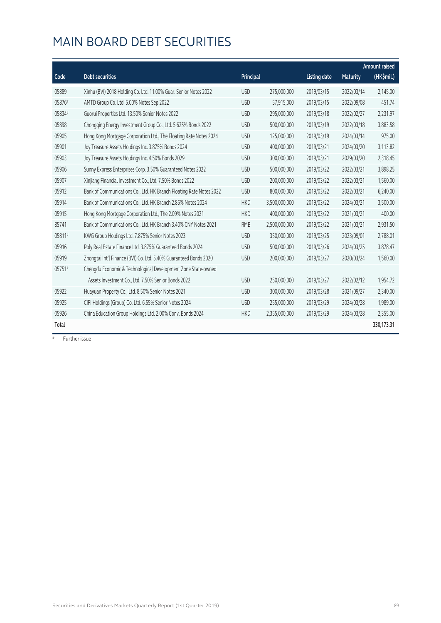|        |                                                                     |            |               |                     |                 | <b>Amount raised</b> |
|--------|---------------------------------------------------------------------|------------|---------------|---------------------|-----------------|----------------------|
| Code   | <b>Debt securities</b>                                              | Principal  |               | <b>Listing date</b> | <b>Maturity</b> | (HK\$mil.)           |
| 05889  | Xinhu (BVI) 2018 Holding Co. Ltd. 11.00% Guar. Senior Notes 2022    | <b>USD</b> | 275,000,000   | 2019/03/15          | 2022/03/14      | 2,145.00             |
| 05876# | AMTD Group Co. Ltd. 5.00% Notes Sep 2022                            | <b>USD</b> | 57,915,000    | 2019/03/15          | 2022/09/08      | 451.74               |
| 05834# | Guorui Properties Ltd. 13.50% Senior Notes 2022                     | <b>USD</b> | 295,000,000   | 2019/03/18          | 2022/02/27      | 2,231.97             |
| 05898  | Chongqing Energy Investment Group Co., Ltd. 5.625% Bonds 2022       | <b>USD</b> | 500,000,000   | 2019/03/19          | 2022/03/18      | 3,883.58             |
| 05905  | Hong Kong Mortgage Corporation Ltd., The Floating Rate Notes 2024   | <b>USD</b> | 125,000,000   | 2019/03/19          | 2024/03/14      | 975.00               |
| 05901  | Joy Treasure Assets Holdings Inc. 3.875% Bonds 2024                 | <b>USD</b> | 400,000,000   | 2019/03/21          | 2024/03/20      | 3,113.82             |
| 05903  | Joy Treasure Assets Holdings Inc. 4.50% Bonds 2029                  | <b>USD</b> | 300,000,000   | 2019/03/21          | 2029/03/20      | 2,318.45             |
| 05906  | Sunny Express Enterprises Corp. 3.50% Guaranteed Notes 2022         | <b>USD</b> | 500,000,000   | 2019/03/22          | 2022/03/21      | 3,898.25             |
| 05907  | Xinjiang Financial Investment Co., Ltd. 7.50% Bonds 2022            | <b>USD</b> | 200,000,000   | 2019/03/22          | 2022/03/21      | 1,560.00             |
| 05912  | Bank of Communications Co., Ltd. HK Branch Floating Rate Notes 2022 | <b>USD</b> | 800,000,000   | 2019/03/22          | 2022/03/21      | 6,240.00             |
| 05914  | Bank of Communications Co., Ltd. HK Branch 2.85% Notes 2024         | <b>HKD</b> | 3,500,000,000 | 2019/03/22          | 2024/03/21      | 3,500.00             |
| 05915  | Hong Kong Mortgage Corporation Ltd., The 2.09% Notes 2021           | <b>HKD</b> | 400,000,000   | 2019/03/22          | 2021/03/21      | 400.00               |
| 85741  | Bank of Communications Co., Ltd. HK Branch 3.40% CNY Notes 2021     | <b>RMB</b> | 2,500,000,000 | 2019/03/22          | 2021/03/21      | 2,931.50             |
| 05811# | KWG Group Holdings Ltd. 7.875% Senior Notes 2023                    | <b>USD</b> | 350,000,000   | 2019/03/25          | 2023/09/01      | 2,788.01             |
| 05916  | Poly Real Estate Finance Ltd. 3.875% Guaranteed Bonds 2024          | <b>USD</b> | 500,000,000   | 2019/03/26          | 2024/03/25      | 3,878.47             |
| 05919  | Zhongtai Int'l Finance (BVI) Co. Ltd. 5.40% Guaranteed Bonds 2020   | <b>USD</b> | 200,000,000   | 2019/03/27          | 2020/03/24      | 1,560.00             |
| 05751# | Chengdu Economic & Technological Development Zone State-owned       |            |               |                     |                 |                      |
|        | Assets Investment Co., Ltd. 7.50% Senior Bonds 2022                 | <b>USD</b> | 250,000,000   | 2019/03/27          | 2022/02/12      | 1,954.72             |
| 05922  | Huayuan Property Co., Ltd. 8.50% Senior Notes 2021                  | <b>USD</b> | 300,000,000   | 2019/03/28          | 2021/09/27      | 2,340.00             |
| 05925  | CIFI Holdings (Group) Co. Ltd. 6.55% Senior Notes 2024              | <b>USD</b> | 255,000,000   | 2019/03/29          | 2024/03/28      | 1,989.00             |
| 05926  | China Education Group Holdings Ltd. 2.00% Conv. Bonds 2024          | <b>HKD</b> | 2,355,000,000 | 2019/03/29          | 2024/03/28      | 2,355.00             |
| Total  |                                                                     |            |               |                     |                 | 330,173.31           |

# Further issue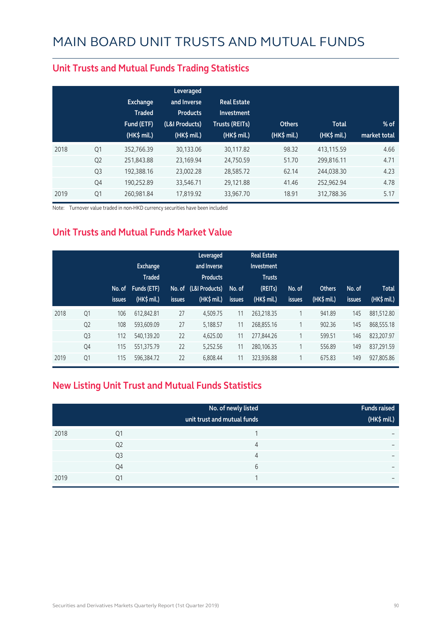|      |                | <b>Exchange</b><br><b>Traded</b><br>Fund (ETF)<br>$(HK\$ mil.) | Leveraged<br>and Inverse<br><b>Products</b><br>(L&I Products)<br>(HK\$ mil.) | <b>Real Estate</b><br>Investment<br><b>Trusts (REITs)</b><br>$(HK$$ mil.) | <b>Others</b><br>(HK\$ mil.) | <b>Total</b><br>$(HK\$ mil.) | $%$ of<br>market total |
|------|----------------|----------------------------------------------------------------|------------------------------------------------------------------------------|---------------------------------------------------------------------------|------------------------------|------------------------------|------------------------|
| 2018 | Q1             | 352,766.39                                                     | 30,133.06                                                                    | 30,117.82                                                                 | 98.32                        | 413,115.59                   | 4.66                   |
|      | Q <sub>2</sub> | 251,843.88                                                     | 23,169.94                                                                    | 24,750.59                                                                 | 51.70                        | 299.816.11                   | 4.71                   |
|      | Q <sub>3</sub> | 192,388.16                                                     | 23,002.28                                                                    | 28,585.72                                                                 | 62.14                        | 244,038.30                   | 4.23                   |
|      | Q4             | 190,252.89                                                     | 33,546.71                                                                    | 29,121.88                                                                 | 41.46                        | 252,962.94                   | 4.78                   |
| 2019 | Q1             | 260.981.84                                                     | 17.819.92                                                                    | 33,967.70                                                                 | 18.91                        | 312.788.36                   | 5.17                   |

#### **Unit Trusts and Mutual Funds Trading Statistics**

Note: Turnover value traded in non-HKD currency securities have been included

#### **Unit Trusts and Mutual Funds Market Value**

|      |                | No. of<br><b>issues</b> | Exchange<br><b>Traded</b><br>Funds (ETF)<br>$(HK$$ mil.) | <b>issues</b> | Leveraged<br>and Inverse<br><b>Products</b><br>No. of (L&I Products)<br>$(HK$$ mil.) | No. of<br><b>issues</b> | <b>Real Estate</b><br>Investment<br><b>Trusts</b><br>(REITs)<br>(HK\$ mil.) | No. of<br><b>issues</b> | <b>Others</b><br>(HK\$ mil.) | No. of<br><b>issues</b> | <b>Total</b><br>$(HK\$ mil.) |
|------|----------------|-------------------------|----------------------------------------------------------|---------------|--------------------------------------------------------------------------------------|-------------------------|-----------------------------------------------------------------------------|-------------------------|------------------------------|-------------------------|------------------------------|
| 2018 | Q <sub>1</sub> | 106                     | 612.842.81                                               | 27            | 4.509.75                                                                             | 11                      | 263.218.35                                                                  | 1                       | 941.89                       | 145                     | 881.512.80                   |
|      | Q <sub>2</sub> | 108                     | 593,609.09                                               | 27            | 5,188.57                                                                             | 11                      | 268,855.16                                                                  | 1                       | 902.36                       | 145                     | 868,555.18                   |
|      | Q <sub>3</sub> | 112                     | 540,139.20                                               | 22            | 4,625.00                                                                             | 11                      | 277,844.26                                                                  |                         | 599.51                       | 146                     | 823,207.97                   |
|      | Q4             | 115                     | 551,375.79                                               | 22            | 5,252.56                                                                             | 11                      | 280,106.35                                                                  |                         | 556.89                       | 149                     | 837.291.59                   |
| 2019 | Q1             | 115                     | 596,384.72                                               | 22            | 6,808.44                                                                             | 11                      | 323,936.88                                                                  |                         | 675.83                       | 149                     | 927,805.86                   |

#### **New Listing Unit Trust and Mutual Funds Statistics**

|      |                | No. of newly listed<br>unit trust and mutual funds | <b>Funds raised</b><br>(HK\$ mil.) |
|------|----------------|----------------------------------------------------|------------------------------------|
| 2018 | Q1             |                                                    | -                                  |
|      | Q <sub>2</sub> | 4                                                  | $\overline{\phantom{0}}$           |
|      | Q <sub>3</sub> | 4                                                  | -                                  |
|      | Q4             | 6                                                  | $\overline{\phantom{0}}$           |
| 2019 | Q1             | и                                                  | $\overline{\phantom{0}}$           |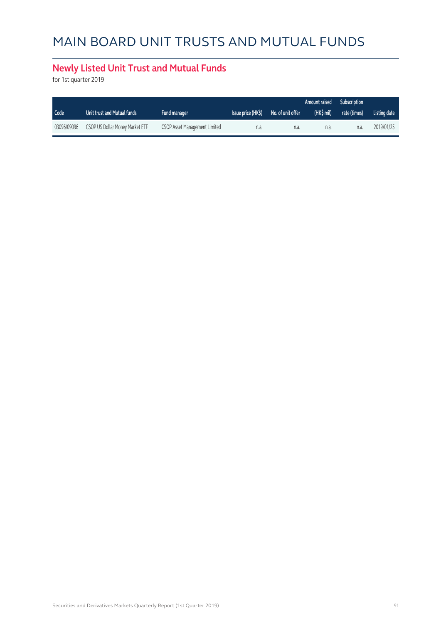### **Newly Listed Unit Trust and Mutual Funds**

for 1st quarter 2019

|             |                                 |                               |                    |                   | Amount raised | <b>Subscription</b> |              |
|-------------|---------------------------------|-------------------------------|--------------------|-------------------|---------------|---------------------|--------------|
| Code        | Unit trust and Mutual funds     | <b>Fund manager</b>           | Issue price (HK\$) | No. of unit offer | (HK\$ mil)    | rate (times)        | Listing date |
| 03096/09096 | CSOP US Dollar Money Market ETF | CSOP Asset Management Limited | n.a                | n.a.              | n.a.          | n.a.                | 2019/01/25   |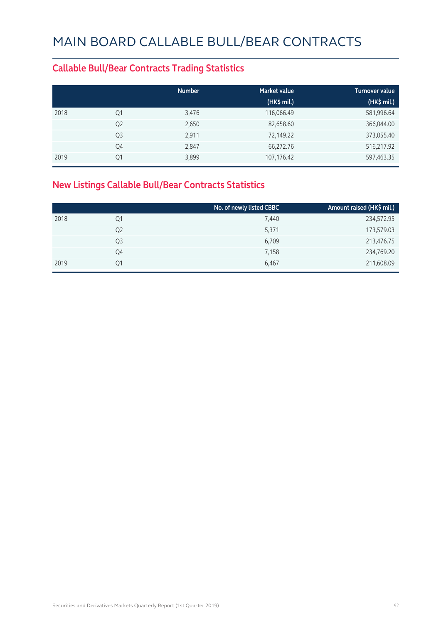#### **Callable Bull/Bear Contracts Trading Statistics**

|      |                | <b>Number</b> | <b>Market value</b> | <b>Turnover value</b> |
|------|----------------|---------------|---------------------|-----------------------|
|      |                |               | (HK\$ mil.)         | (HK\$ mil.)           |
| 2018 | Q1             | 3,476         | 116,066.49          | 581,996.64            |
|      | Q <sub>2</sub> | 2,650         | 82,658.60           | 366,044.00            |
|      | Q <sub>3</sub> | 2,911         | 72,149.22           | 373,055.40            |
|      | Q4             | 2,847         | 66,272.76           | 516,217.92            |
| 2019 | Q1             | 3,899         | 107,176.42          | 597,463.35            |

### **New Listings Callable Bull/Bear Contracts Statistics**

|      |                | No. of newly listed CBBC | Amount raised (HK\$ mil.) |
|------|----------------|--------------------------|---------------------------|
| 2018 | Q1             | 7,440                    | 234,572.95                |
|      | Q <sub>2</sub> | 5,371                    | 173,579.03                |
|      | Q3             | 6,709                    | 213,476.75                |
|      | Q4             | 7,158                    | 234,769.20                |
| 2019 | 01             | 6,467                    | 211,608.09                |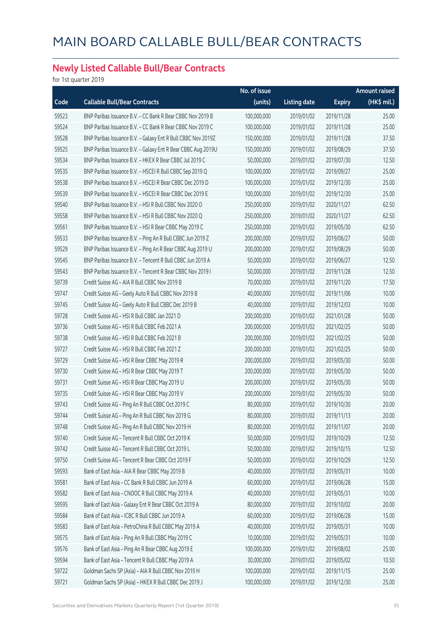### **Newly Listed Callable Bull/Bear Contracts**

for 1st quarter 2019

|       |                                                              | No. of issue |                     |               | Amount raised |
|-------|--------------------------------------------------------------|--------------|---------------------|---------------|---------------|
| Code  | <b>Callable Bull/Bear Contracts</b>                          | (units)      | <b>Listing date</b> | <b>Expiry</b> | $(HK$$ mil.)  |
| 59523 | BNP Paribas Issuance B.V. - CC Bank R Bear CBBC Nov 2019 B   | 100,000,000  | 2019/01/02          | 2019/11/28    | 25.00         |
| 59524 | BNP Paribas Issuance B.V. - CC Bank R Bear CBBC Nov 2019 C   | 100,000,000  | 2019/01/02          | 2019/11/28    | 25.00         |
| 59528 | BNP Paribas Issuance B.V. - Galaxy Ent R Bull CBBC Nov 2019Z | 150,000,000  | 2019/01/02          | 2019/11/28    | 37.50         |
| 59525 | BNP Paribas Issuance B.V. - Galaxy Ent R Bear CBBC Aug 2019U | 150,000,000  | 2019/01/02          | 2019/08/29    | 37.50         |
| 59534 | BNP Paribas Issuance B.V. - HKEX R Bear CBBC Jul 2019 C      | 50,000,000   | 2019/01/02          | 2019/07/30    | 12.50         |
| 59535 | BNP Paribas Issuance B.V. - HSCEI R Bull CBBC Sep 2019 Q     | 100,000,000  | 2019/01/02          | 2019/09/27    | 25.00         |
| 59538 | BNP Paribas Issuance B.V. - HSCEI R Bear CBBC Dec 2019 D     | 100,000,000  | 2019/01/02          | 2019/12/30    | 25.00         |
| 59539 | BNP Paribas Issuance B.V. - HSCEI R Bear CBBC Dec 2019 E     | 100,000,000  | 2019/01/02          | 2019/12/30    | 25.00         |
| 59540 | BNP Paribas Issuance B.V. - HSI R Bull CBBC Nov 2020 O       | 250,000,000  | 2019/01/02          | 2020/11/27    | 62.50         |
| 59558 | BNP Paribas Issuance B.V. - HSI R Bull CBBC Nov 2020 Q       | 250,000,000  | 2019/01/02          | 2020/11/27    | 62.50         |
| 59561 | BNP Paribas Issuance B.V. - HSI R Bear CBBC May 2019 C       | 250,000,000  | 2019/01/02          | 2019/05/30    | 62.50         |
| 59533 | BNP Paribas Issuance B.V. - Ping An R Bull CBBC Jun 2019 Z   | 200,000,000  | 2019/01/02          | 2019/06/27    | 50.00         |
| 59529 | BNP Paribas Issuance B.V. - Ping An R Bear CBBC Aug 2019 U   | 200,000,000  | 2019/01/02          | 2019/08/29    | 50.00         |
| 59545 | BNP Paribas Issuance B.V. - Tencent R Bull CBBC Jun 2019 A   | 50,000,000   | 2019/01/02          | 2019/06/27    | 12.50         |
| 59543 | BNP Paribas Issuance B.V. - Tencent R Bear CBBC Nov 2019 I   | 50,000,000   | 2019/01/02          | 2019/11/28    | 12.50         |
| 59739 | Credit Suisse AG - AIA R Bull CBBC Nov 2019 B                | 70,000,000   | 2019/01/02          | 2019/11/20    | 17.50         |
| 59747 | Credit Suisse AG - Geely Auto R Bull CBBC Nov 2019 B         | 40,000,000   | 2019/01/02          | 2019/11/06    | 10.00         |
| 59745 | Credit Suisse AG - Geely Auto R Bull CBBC Dec 2019 B         | 40,000,000   | 2019/01/02          | 2019/12/03    | 10.00         |
| 59728 | Credit Suisse AG - HSI R Bull CBBC Jan 2021 D                | 200,000,000  | 2019/01/02          | 2021/01/28    | 50.00         |
| 59736 | Credit Suisse AG - HSI R Bull CBBC Feb 2021 A                | 200,000,000  | 2019/01/02          | 2021/02/25    | 50.00         |
| 59738 | Credit Suisse AG - HSI R Bull CBBC Feb 2021 B                | 200,000,000  | 2019/01/02          | 2021/02/25    | 50.00         |
| 59727 | Credit Suisse AG - HSI R Bull CBBC Feb 2021 Z                | 200,000,000  | 2019/01/02          | 2021/02/25    | 50.00         |
| 59729 | Credit Suisse AG - HSI R Bear CBBC May 2019 R                | 200,000,000  | 2019/01/02          | 2019/05/30    | 50.00         |
| 59730 | Credit Suisse AG - HSI R Bear CBBC May 2019 T                | 200,000,000  | 2019/01/02          | 2019/05/30    | 50.00         |
| 59731 | Credit Suisse AG - HSI R Bear CBBC May 2019 U                | 200,000,000  | 2019/01/02          | 2019/05/30    | 50.00         |
| 59735 | Credit Suisse AG - HSI R Bear CBBC May 2019 V                | 200,000,000  | 2019/01/02          | 2019/05/30    | 50.00         |
| 59743 | Credit Suisse AG - Ping An R Bull CBBC Oct 2019 C            | 80,000,000   | 2019/01/02          | 2019/10/30    | 20.00         |
| 59744 | Credit Suisse AG - Ping An R Bull CBBC Nov 2019 G            | 80,000,000   | 2019/01/02          | 2019/11/13    | 20.00         |
| 59748 | Credit Suisse AG - Ping An R Bull CBBC Nov 2019 H            | 80,000,000   | 2019/01/02          | 2019/11/07    | 20.00         |
| 59740 | Credit Suisse AG - Tencent R Bull CBBC Oct 2019 K            | 50,000,000   | 2019/01/02          | 2019/10/29    | 12.50         |
| 59742 | Credit Suisse AG - Tencent R Bull CBBC Oct 2019 L            | 50,000,000   | 2019/01/02          | 2019/10/15    | 12.50         |
| 59750 | Credit Suisse AG - Tencent R Bear CBBC Oct 2019 F            | 50,000,000   | 2019/01/02          | 2019/10/29    | 12.50         |
| 59593 | Bank of East Asia - AIA R Bear CBBC May 2019 B               | 40,000,000   | 2019/01/02          | 2019/05/31    | 10.00         |
| 59581 | Bank of East Asia - CC Bank R Bull CBBC Jun 2019 A           | 60,000,000   | 2019/01/02          | 2019/06/28    | 15.00         |
| 59582 | Bank of East Asia - CNOOC R Bull CBBC May 2019 A             | 40,000,000   | 2019/01/02          | 2019/05/31    | 10.00         |
| 59595 | Bank of East Asia - Galaxy Ent R Bear CBBC Oct 2019 A        | 80,000,000   | 2019/01/02          | 2019/10/02    | 20.00         |
| 59584 | Bank of East Asia - ICBC R Bull CBBC Jun 2019 A              | 60,000,000   | 2019/01/02          | 2019/06/28    | 15.00         |
| 59583 | Bank of East Asia - PetroChina R Bull CBBC May 2019 A        | 40,000,000   | 2019/01/02          | 2019/05/31    | 10.00         |
| 59575 | Bank of East Asia - Ping An R Bull CBBC May 2019 C           | 10,000,000   | 2019/01/02          | 2019/05/31    | 10.00         |
| 59576 | Bank of East Asia - Ping An R Bear CBBC Aug 2019 E           | 100,000,000  | 2019/01/02          | 2019/08/02    | 25.00         |
| 59594 | Bank of East Asia - Tencent R Bull CBBC May 2019 A           | 30,000,000   | 2019/01/02          | 2019/05/02    | 10.50         |
| 59722 | Goldman Sachs SP (Asia) - AIA R Bull CBBC Nov 2019 H         | 100,000,000  | 2019/01/02          | 2019/11/15    | 25.00         |
| 59721 | Goldman Sachs SP (Asia) - HKEX R Bull CBBC Dec 2019 J        | 100,000,000  | 2019/01/02          | 2019/12/30    | 25.00         |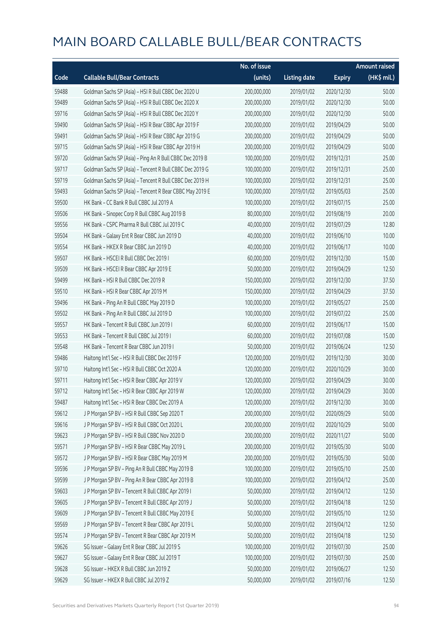|       |                                                          | No. of issue |                     |               | <b>Amount raised</b> |
|-------|----------------------------------------------------------|--------------|---------------------|---------------|----------------------|
| Code  | <b>Callable Bull/Bear Contracts</b>                      | (units)      | <b>Listing date</b> | <b>Expiry</b> | (HK\$ mil.)          |
| 59488 | Goldman Sachs SP (Asia) - HSI R Bull CBBC Dec 2020 U     | 200,000,000  | 2019/01/02          | 2020/12/30    | 50.00                |
| 59489 | Goldman Sachs SP (Asia) - HSI R Bull CBBC Dec 2020 X     | 200,000,000  | 2019/01/02          | 2020/12/30    | 50.00                |
| 59716 | Goldman Sachs SP (Asia) - HSI R Bull CBBC Dec 2020 Y     | 200,000,000  | 2019/01/02          | 2020/12/30    | 50.00                |
| 59490 | Goldman Sachs SP (Asia) - HSI R Bear CBBC Apr 2019 F     | 200,000,000  | 2019/01/02          | 2019/04/29    | 50.00                |
| 59491 | Goldman Sachs SP (Asia) - HSI R Bear CBBC Apr 2019 G     | 200,000,000  | 2019/01/02          | 2019/04/29    | 50.00                |
| 59715 | Goldman Sachs SP (Asia) - HSI R Bear CBBC Apr 2019 H     | 200,000,000  | 2019/01/02          | 2019/04/29    | 50.00                |
| 59720 | Goldman Sachs SP (Asia) - Ping An R Bull CBBC Dec 2019 B | 100,000,000  | 2019/01/02          | 2019/12/31    | 25.00                |
| 59717 | Goldman Sachs SP (Asia) - Tencent R Bull CBBC Dec 2019 G | 100,000,000  | 2019/01/02          | 2019/12/31    | 25.00                |
| 59719 | Goldman Sachs SP (Asia) - Tencent R Bull CBBC Dec 2019 H | 100,000,000  | 2019/01/02          | 2019/12/31    | 25.00                |
| 59493 | Goldman Sachs SP (Asia) - Tencent R Bear CBBC May 2019 E | 100,000,000  | 2019/01/02          | 2019/05/03    | 25.00                |
| 59500 | HK Bank - CC Bank R Bull CBBC Jul 2019 A                 | 100,000,000  | 2019/01/02          | 2019/07/15    | 25.00                |
| 59506 | HK Bank - Sinopec Corp R Bull CBBC Aug 2019 B            | 80,000,000   | 2019/01/02          | 2019/08/19    | 20.00                |
| 59556 | HK Bank - CSPC Pharma R Bull CBBC Jul 2019 C             | 40,000,000   | 2019/01/02          | 2019/07/29    | 12.80                |
| 59504 | HK Bank - Galaxy Ent R Bear CBBC Jun 2019 D              | 40,000,000   | 2019/01/02          | 2019/06/10    | 10.00                |
| 59554 | HK Bank - HKEX R Bear CBBC Jun 2019 D                    | 40,000,000   | 2019/01/02          | 2019/06/17    | 10.00                |
| 59507 | HK Bank - HSCEI R Bull CBBC Dec 2019 I                   | 60,000,000   | 2019/01/02          | 2019/12/30    | 15.00                |
| 59509 | HK Bank - HSCEI R Bear CBBC Apr 2019 E                   | 50,000,000   | 2019/01/02          | 2019/04/29    | 12.50                |
| 59499 | HK Bank - HSI R Bull CBBC Dec 2019 R                     | 150,000,000  | 2019/01/02          | 2019/12/30    | 37.50                |
| 59510 | HK Bank - HSI R Bear CBBC Apr 2019 M                     | 150,000,000  | 2019/01/02          | 2019/04/29    | 37.50                |
| 59496 | HK Bank - Ping An R Bull CBBC May 2019 D                 | 100,000,000  | 2019/01/02          | 2019/05/27    | 25.00                |
| 59502 | HK Bank - Ping An R Bull CBBC Jul 2019 D                 | 100,000,000  | 2019/01/02          | 2019/07/22    | 25.00                |
| 59557 | HK Bank - Tencent R Bull CBBC Jun 2019 I                 | 60,000,000   | 2019/01/02          | 2019/06/17    | 15.00                |
| 59553 | HK Bank - Tencent R Bull CBBC Jul 2019 I                 | 60,000,000   | 2019/01/02          | 2019/07/08    | 15.00                |
| 59548 | HK Bank - Tencent R Bear CBBC Jun 2019 I                 | 50,000,000   | 2019/01/02          | 2019/06/24    | 12.50                |
| 59486 | Haitong Int'l Sec - HSI R Bull CBBC Dec 2019 F           | 120,000,000  | 2019/01/02          | 2019/12/30    | 30.00                |
| 59710 | Haitong Int'l Sec - HSI R Bull CBBC Oct 2020 A           | 120,000,000  | 2019/01/02          | 2020/10/29    | 30.00                |
| 59711 | Haitong Int'l Sec - HSI R Bear CBBC Apr 2019 V           | 120,000,000  | 2019/01/02          | 2019/04/29    | 30.00                |
| 59712 | Haitong Int'l Sec - HSI R Bear CBBC Apr 2019 W           | 120,000,000  | 2019/01/02          | 2019/04/29    | 30.00                |
| 59487 | Haitong Int'l Sec - HSI R Bear CBBC Dec 2019 A           | 120,000,000  | 2019/01/02          | 2019/12/30    | 30.00                |
| 59612 | J P Morgan SP BV - HSI R Bull CBBC Sep 2020 T            | 200,000,000  | 2019/01/02          | 2020/09/29    | 50.00                |
| 59616 | J P Morgan SP BV - HSI R Bull CBBC Oct 2020 L            | 200,000,000  | 2019/01/02          | 2020/10/29    | 50.00                |
| 59623 | J P Morgan SP BV - HSI R Bull CBBC Nov 2020 D            | 200,000,000  | 2019/01/02          | 2020/11/27    | 50.00                |
| 59571 | J P Morgan SP BV - HSI R Bear CBBC May 2019 L            | 200,000,000  | 2019/01/02          | 2019/05/30    | 50.00                |
| 59572 | J P Morgan SP BV - HSI R Bear CBBC May 2019 M            | 200,000,000  | 2019/01/02          | 2019/05/30    | 50.00                |
| 59596 | J P Morgan SP BV - Ping An R Bull CBBC May 2019 B        | 100,000,000  | 2019/01/02          | 2019/05/10    | 25.00                |
| 59599 | J P Morgan SP BV - Ping An R Bear CBBC Apr 2019 B        | 100,000,000  | 2019/01/02          | 2019/04/12    | 25.00                |
| 59603 | J P Morgan SP BV - Tencent R Bull CBBC Apr 2019 I        | 50,000,000   | 2019/01/02          | 2019/04/12    | 12.50                |
| 59605 | J P Morgan SP BV - Tencent R Bull CBBC Apr 2019 J        | 50,000,000   | 2019/01/02          | 2019/04/18    | 12.50                |
| 59609 | J P Morgan SP BV - Tencent R Bull CBBC May 2019 E        | 50,000,000   | 2019/01/02          | 2019/05/10    | 12.50                |
| 59569 | J P Morgan SP BV - Tencent R Bear CBBC Apr 2019 L        | 50,000,000   | 2019/01/02          | 2019/04/12    | 12.50                |
| 59574 | J P Morgan SP BV - Tencent R Bear CBBC Apr 2019 M        | 50,000,000   | 2019/01/02          | 2019/04/18    | 12.50                |
| 59626 | SG Issuer - Galaxy Ent R Bear CBBC Jul 2019 S            | 100,000,000  | 2019/01/02          | 2019/07/30    | 25.00                |
| 59627 | SG Issuer - Galaxy Ent R Bear CBBC Jul 2019 T            | 100,000,000  | 2019/01/02          | 2019/07/30    | 25.00                |
| 59628 | SG Issuer - HKEX R Bull CBBC Jun 2019 Z                  | 50,000,000   | 2019/01/02          | 2019/06/27    | 12.50                |
| 59629 | SG Issuer - HKEX R Bull CBBC Jul 2019 Z                  | 50,000,000   | 2019/01/02          | 2019/07/16    | 12.50                |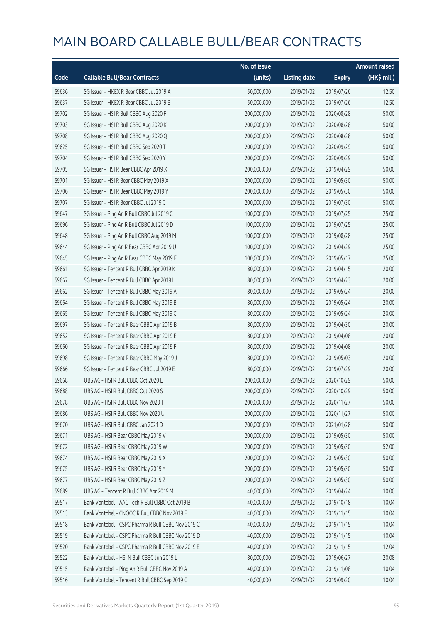|       |                                                    | No. of issue |                     |               | <b>Amount raised</b> |
|-------|----------------------------------------------------|--------------|---------------------|---------------|----------------------|
| Code  | <b>Callable Bull/Bear Contracts</b>                | (units)      | <b>Listing date</b> | <b>Expiry</b> | (HK\$ mil.)          |
| 59636 | SG Issuer - HKEX R Bear CBBC Jul 2019 A            | 50,000,000   | 2019/01/02          | 2019/07/26    | 12.50                |
| 59637 | SG Issuer - HKEX R Bear CBBC Jul 2019 B            | 50,000,000   | 2019/01/02          | 2019/07/26    | 12.50                |
| 59702 | SG Issuer - HSI R Bull CBBC Aug 2020 F             | 200,000,000  | 2019/01/02          | 2020/08/28    | 50.00                |
| 59703 | SG Issuer - HSI R Bull CBBC Aug 2020 K             | 200,000,000  | 2019/01/02          | 2020/08/28    | 50.00                |
| 59708 | SG Issuer - HSI R Bull CBBC Aug 2020 Q             | 200,000,000  | 2019/01/02          | 2020/08/28    | 50.00                |
| 59625 | SG Issuer - HSI R Bull CBBC Sep 2020 T             | 200,000,000  | 2019/01/02          | 2020/09/29    | 50.00                |
| 59704 | SG Issuer - HSI R Bull CBBC Sep 2020 Y             | 200,000,000  | 2019/01/02          | 2020/09/29    | 50.00                |
| 59705 | SG Issuer - HSI R Bear CBBC Apr 2019 X             | 200,000,000  | 2019/01/02          | 2019/04/29    | 50.00                |
| 59701 | SG Issuer - HSI R Bear CBBC May 2019 X             | 200,000,000  | 2019/01/02          | 2019/05/30    | 50.00                |
| 59706 | SG Issuer - HSI R Bear CBBC May 2019 Y             | 200,000,000  | 2019/01/02          | 2019/05/30    | 50.00                |
| 59707 | SG Issuer - HSI R Bear CBBC Jul 2019 C             | 200,000,000  | 2019/01/02          | 2019/07/30    | 50.00                |
| 59647 | SG Issuer - Ping An R Bull CBBC Jul 2019 C         | 100,000,000  | 2019/01/02          | 2019/07/25    | 25.00                |
| 59696 | SG Issuer - Ping An R Bull CBBC Jul 2019 D         | 100,000,000  | 2019/01/02          | 2019/07/25    | 25.00                |
| 59648 | SG Issuer - Ping An R Bull CBBC Aug 2019 M         | 100,000,000  | 2019/01/02          | 2019/08/28    | 25.00                |
| 59644 | SG Issuer - Ping An R Bear CBBC Apr 2019 U         | 100,000,000  | 2019/01/02          | 2019/04/29    | 25.00                |
| 59645 | SG Issuer - Ping An R Bear CBBC May 2019 F         | 100,000,000  | 2019/01/02          | 2019/05/17    | 25.00                |
| 59661 | SG Issuer - Tencent R Bull CBBC Apr 2019 K         | 80,000,000   | 2019/01/02          | 2019/04/15    | 20.00                |
| 59667 | SG Issuer - Tencent R Bull CBBC Apr 2019 L         | 80,000,000   | 2019/01/02          | 2019/04/23    | 20.00                |
| 59662 | SG Issuer - Tencent R Bull CBBC May 2019 A         | 80,000,000   | 2019/01/02          | 2019/05/24    | 20.00                |
| 59664 | SG Issuer - Tencent R Bull CBBC May 2019 B         | 80,000,000   | 2019/01/02          | 2019/05/24    | 20.00                |
| 59665 | SG Issuer - Tencent R Bull CBBC May 2019 C         | 80,000,000   | 2019/01/02          | 2019/05/24    | 20.00                |
| 59697 | SG Issuer - Tencent R Bear CBBC Apr 2019 B         | 80,000,000   | 2019/01/02          | 2019/04/30    | 20.00                |
| 59652 | SG Issuer - Tencent R Bear CBBC Apr 2019 E         | 80,000,000   | 2019/01/02          | 2019/04/08    | 20.00                |
| 59660 | SG Issuer - Tencent R Bear CBBC Apr 2019 F         | 80,000,000   | 2019/01/02          | 2019/04/08    | 20.00                |
| 59698 | SG Issuer - Tencent R Bear CBBC May 2019 J         | 80,000,000   | 2019/01/02          | 2019/05/03    | 20.00                |
| 59666 | SG Issuer - Tencent R Bear CBBC Jul 2019 E         | 80,000,000   | 2019/01/02          | 2019/07/29    | 20.00                |
| 59668 | UBS AG - HSI R Bull CBBC Oct 2020 E                | 200,000,000  | 2019/01/02          | 2020/10/29    | 50.00                |
| 59688 | UBS AG - HSI R Bull CBBC Oct 2020 S                | 200,000,000  | 2019/01/02          | 2020/10/29    | 50.00                |
| 59678 | UBS AG - HSI R Bull CBBC Nov 2020 T                | 200,000,000  | 2019/01/02          | 2020/11/27    | 50.00                |
| 59686 | UBS AG - HSI R Bull CBBC Nov 2020 U                | 200,000,000  | 2019/01/02          | 2020/11/27    | 50.00                |
| 59670 | UBS AG - HSI R Bull CBBC Jan 2021 D                | 200,000,000  | 2019/01/02          | 2021/01/28    | 50.00                |
| 59671 | UBS AG - HSI R Bear CBBC May 2019 V                | 200,000,000  | 2019/01/02          | 2019/05/30    | 50.00                |
| 59672 | UBS AG - HSI R Bear CBBC May 2019 W                | 200,000,000  | 2019/01/02          | 2019/05/30    | 52.00                |
| 59674 | UBS AG - HSI R Bear CBBC May 2019 X                | 200,000,000  | 2019/01/02          | 2019/05/30    | 50.00                |
| 59675 | UBS AG - HSI R Bear CBBC May 2019 Y                | 200,000,000  | 2019/01/02          | 2019/05/30    | 50.00                |
| 59677 | UBS AG - HSI R Bear CBBC May 2019 Z                | 200,000,000  | 2019/01/02          | 2019/05/30    | 50.00                |
| 59689 | UBS AG - Tencent R Bull CBBC Apr 2019 M            | 40,000,000   | 2019/01/02          | 2019/04/24    | 10.00                |
| 59517 | Bank Vontobel - AAC Tech R Bull CBBC Oct 2019 B    | 40,000,000   | 2019/01/02          | 2019/10/18    | 10.04                |
| 59513 | Bank Vontobel - CNOOC R Bull CBBC Nov 2019 F       | 40,000,000   | 2019/01/02          | 2019/11/15    | 10.04                |
| 59518 | Bank Vontobel - CSPC Pharma R Bull CBBC Nov 2019 C | 40,000,000   | 2019/01/02          | 2019/11/15    | 10.04                |
| 59519 | Bank Vontobel - CSPC Pharma R Bull CBBC Nov 2019 D | 40,000,000   | 2019/01/02          | 2019/11/15    | 10.04                |
| 59520 | Bank Vontobel - CSPC Pharma R Bull CBBC Nov 2019 E | 40,000,000   | 2019/01/02          | 2019/11/15    | 12.04                |
| 59522 | Bank Vontobel - HSI N Bull CBBC Jun 2019 L         | 80,000,000   | 2019/01/02          | 2019/06/27    | 20.08                |
| 59515 | Bank Vontobel - Ping An R Bull CBBC Nov 2019 A     | 40,000,000   | 2019/01/02          | 2019/11/08    | 10.04                |
| 59516 | Bank Vontobel - Tencent R Bull CBBC Sep 2019 C     | 40,000,000   | 2019/01/02          | 2019/09/20    | 10.04                |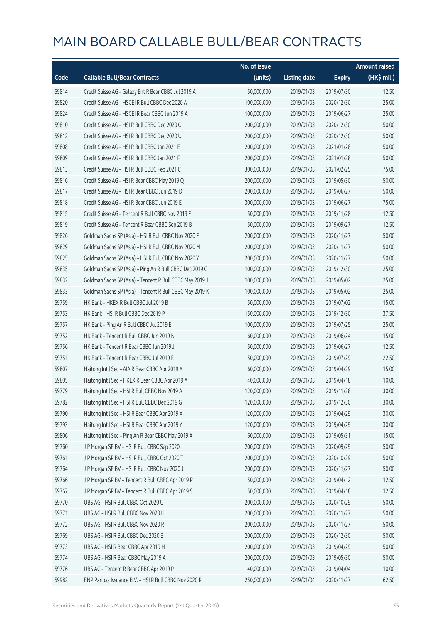|       |                                                          | No. of issue |                     |               | <b>Amount raised</b> |
|-------|----------------------------------------------------------|--------------|---------------------|---------------|----------------------|
| Code  | <b>Callable Bull/Bear Contracts</b>                      | (units)      | <b>Listing date</b> | <b>Expiry</b> | (HK\$ mil.)          |
| 59814 | Credit Suisse AG - Galaxy Ent R Bear CBBC Jul 2019 A     | 50,000,000   | 2019/01/03          | 2019/07/30    | 12.50                |
| 59820 | Credit Suisse AG - HSCEI R Bull CBBC Dec 2020 A          | 100,000,000  | 2019/01/03          | 2020/12/30    | 25.00                |
| 59824 | Credit Suisse AG - HSCEI R Bear CBBC Jun 2019 A          | 100,000,000  | 2019/01/03          | 2019/06/27    | 25.00                |
| 59810 | Credit Suisse AG - HSI R Bull CBBC Dec 2020 C            | 200,000,000  | 2019/01/03          | 2020/12/30    | 50.00                |
| 59812 | Credit Suisse AG - HSI R Bull CBBC Dec 2020 U            | 200,000,000  | 2019/01/03          | 2020/12/30    | 50.00                |
| 59808 | Credit Suisse AG - HSI R Bull CBBC Jan 2021 E            | 200,000,000  | 2019/01/03          | 2021/01/28    | 50.00                |
| 59809 | Credit Suisse AG - HSI R Bull CBBC Jan 2021 F            | 200,000,000  | 2019/01/03          | 2021/01/28    | 50.00                |
| 59813 | Credit Suisse AG - HSI R Bull CBBC Feb 2021 C            | 300,000,000  | 2019/01/03          | 2021/02/25    | 75.00                |
| 59816 | Credit Suisse AG - HSI R Bear CBBC May 2019 Q            | 200,000,000  | 2019/01/03          | 2019/05/30    | 50.00                |
| 59817 | Credit Suisse AG - HSI R Bear CBBC Jun 2019 D            | 200,000,000  | 2019/01/03          | 2019/06/27    | 50.00                |
| 59818 | Credit Suisse AG - HSI R Bear CBBC Jun 2019 E            | 300,000,000  | 2019/01/03          | 2019/06/27    | 75.00                |
| 59815 | Credit Suisse AG - Tencent R Bull CBBC Nov 2019 F        | 50,000,000   | 2019/01/03          | 2019/11/28    | 12.50                |
| 59819 | Credit Suisse AG - Tencent R Bear CBBC Sep 2019 B        | 50,000,000   | 2019/01/03          | 2019/09/27    | 12.50                |
| 59826 | Goldman Sachs SP (Asia) - HSI R Bull CBBC Nov 2020 F     | 200,000,000  | 2019/01/03          | 2020/11/27    | 50.00                |
| 59829 | Goldman Sachs SP (Asia) - HSI R Bull CBBC Nov 2020 M     | 200,000,000  | 2019/01/03          | 2020/11/27    | 50.00                |
| 59825 | Goldman Sachs SP (Asia) - HSI R Bull CBBC Nov 2020 Y     | 200,000,000  | 2019/01/03          | 2020/11/27    | 50.00                |
| 59835 | Goldman Sachs SP (Asia) - Ping An R Bull CBBC Dec 2019 C | 100,000,000  | 2019/01/03          | 2019/12/30    | 25.00                |
| 59832 | Goldman Sachs SP (Asia) - Tencent R Bull CBBC May 2019 J | 100,000,000  | 2019/01/03          | 2019/05/02    | 25.00                |
| 59833 | Goldman Sachs SP (Asia) - Tencent R Bull CBBC May 2019 K | 100,000,000  | 2019/01/03          | 2019/05/02    | 25.00                |
| 59759 | HK Bank - HKEX R Bull CBBC Jul 2019 B                    | 50,000,000   | 2019/01/03          | 2019/07/02    | 15.00                |
| 59753 | HK Bank - HSI R Bull CBBC Dec 2019 P                     | 150,000,000  | 2019/01/03          | 2019/12/30    | 37.50                |
| 59757 | HK Bank - Ping An R Bull CBBC Jul 2019 E                 | 100,000,000  | 2019/01/03          | 2019/07/25    | 25.00                |
| 59752 | HK Bank - Tencent R Bull CBBC Jun 2019 N                 | 60,000,000   | 2019/01/03          | 2019/06/24    | 15.00                |
| 59756 | HK Bank - Tencent R Bear CBBC Jun 2019 J                 | 50,000,000   | 2019/01/03          | 2019/06/27    | 12.50                |
| 59751 | HK Bank - Tencent R Bear CBBC Jul 2019 E                 | 50,000,000   | 2019/01/03          | 2019/07/29    | 22.50                |
| 59807 | Haitong Int'l Sec - AIA R Bear CBBC Apr 2019 A           | 60,000,000   | 2019/01/03          | 2019/04/29    | 15.00                |
| 59805 | Haitong Int'l Sec - HKEX R Bear CBBC Apr 2019 A          | 40,000,000   | 2019/01/03          | 2019/04/18    | 10.00                |
| 59779 | Haitong Int'l Sec - HSI R Bull CBBC Nov 2019 A           | 120,000,000  | 2019/01/03          | 2019/11/28    | 30.00                |
| 59782 | Haitong Int'l Sec - HSI R Bull CBBC Dec 2019 G           | 120,000,000  | 2019/01/03          | 2019/12/30    | 30.00                |
| 59790 | Haitong Int'l Sec - HSI R Bear CBBC Apr 2019 X           | 120,000,000  | 2019/01/03          | 2019/04/29    | 30.00                |
| 59793 | Haitong Int'l Sec - HSI R Bear CBBC Apr 2019 Y           | 120,000,000  | 2019/01/03          | 2019/04/29    | 30.00                |
| 59806 | Haitong Int'l Sec - Ping An R Bear CBBC May 2019 A       | 60,000,000   | 2019/01/03          | 2019/05/31    | 15.00                |
| 59760 | J P Morgan SP BV - HSI R Bull CBBC Sep 2020 J            | 200,000,000  | 2019/01/03          | 2020/09/29    | 50.00                |
| 59761 | J P Morgan SP BV - HSI R Bull CBBC Oct 2020 T            | 200,000,000  | 2019/01/03          | 2020/10/29    | 50.00                |
| 59764 | J P Morgan SP BV - HSI R Bull CBBC Nov 2020 J            | 200,000,000  | 2019/01/03          | 2020/11/27    | 50.00                |
| 59766 | JP Morgan SP BV - Tencent R Bull CBBC Apr 2019 R         | 50,000,000   | 2019/01/03          | 2019/04/12    | 12.50                |
| 59767 | J P Morgan SP BV - Tencent R Bull CBBC Apr 2019 S        | 50,000,000   | 2019/01/03          | 2019/04/18    | 12.50                |
| 59770 | UBS AG - HSI R Bull CBBC Oct 2020 U                      | 200,000,000  | 2019/01/03          | 2020/10/29    | 50.00                |
| 59771 | UBS AG - HSI R Bull CBBC Nov 2020 H                      | 200,000,000  | 2019/01/03          | 2020/11/27    | 50.00                |
| 59772 | UBS AG - HSI R Bull CBBC Nov 2020 R                      | 200,000,000  | 2019/01/03          | 2020/11/27    | 50.00                |
| 59769 | UBS AG - HSI R Bull CBBC Dec 2020 B                      | 200,000,000  | 2019/01/03          | 2020/12/30    | 50.00                |
| 59773 | UBS AG - HSI R Bear CBBC Apr 2019 H                      | 200,000,000  | 2019/01/03          | 2019/04/29    | 50.00                |
| 59774 | UBS AG - HSI R Bear CBBC May 2019 A                      | 200,000,000  | 2019/01/03          | 2019/05/30    | 50.00                |
| 59776 | UBS AG - Tencent R Bear CBBC Apr 2019 P                  | 40,000,000   | 2019/01/03          | 2019/04/04    | 10.00                |
| 59982 | BNP Paribas Issuance B.V. - HSI R Bull CBBC Nov 2020 R   | 250,000,000  | 2019/01/04          | 2020/11/27    | 62.50                |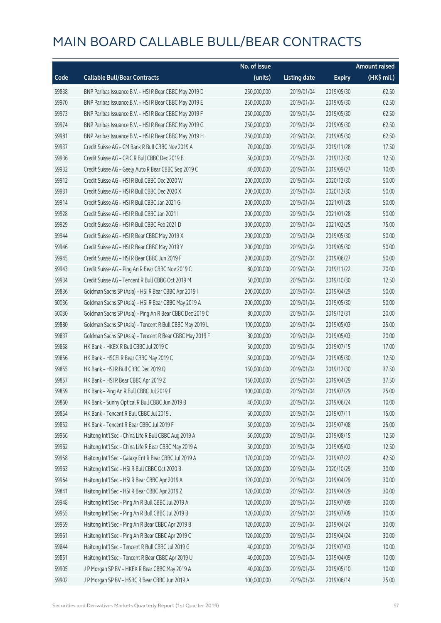|       |                                                          | No. of issue |                     |               | <b>Amount raised</b> |
|-------|----------------------------------------------------------|--------------|---------------------|---------------|----------------------|
| Code  | <b>Callable Bull/Bear Contracts</b>                      | (units)      | <b>Listing date</b> | <b>Expiry</b> | (HK\$ mil.)          |
| 59838 | BNP Paribas Issuance B.V. - HSI R Bear CBBC May 2019 D   | 250,000,000  | 2019/01/04          | 2019/05/30    | 62.50                |
| 59970 | BNP Paribas Issuance B.V. - HSI R Bear CBBC May 2019 E   | 250,000,000  | 2019/01/04          | 2019/05/30    | 62.50                |
| 59973 | BNP Paribas Issuance B.V. - HSI R Bear CBBC May 2019 F   | 250,000,000  | 2019/01/04          | 2019/05/30    | 62.50                |
| 59974 | BNP Paribas Issuance B.V. - HSI R Bear CBBC May 2019 G   | 250,000,000  | 2019/01/04          | 2019/05/30    | 62.50                |
| 59981 | BNP Paribas Issuance B.V. - HSI R Bear CBBC May 2019 H   | 250,000,000  | 2019/01/04          | 2019/05/30    | 62.50                |
| 59937 | Credit Suisse AG - CM Bank R Bull CBBC Nov 2019 A        | 70,000,000   | 2019/01/04          | 2019/11/28    | 17.50                |
| 59936 | Credit Suisse AG - CPIC R Bull CBBC Dec 2019 B           | 50,000,000   | 2019/01/04          | 2019/12/30    | 12.50                |
| 59932 | Credit Suisse AG - Geely Auto R Bear CBBC Sep 2019 C     | 40,000,000   | 2019/01/04          | 2019/09/27    | 10.00                |
| 59912 | Credit Suisse AG - HSI R Bull CBBC Dec 2020 W            | 200,000,000  | 2019/01/04          | 2020/12/30    | 50.00                |
| 59931 | Credit Suisse AG - HSI R Bull CBBC Dec 2020 X            | 200,000,000  | 2019/01/04          | 2020/12/30    | 50.00                |
| 59914 | Credit Suisse AG - HSI R Bull CBBC Jan 2021 G            | 200,000,000  | 2019/01/04          | 2021/01/28    | 50.00                |
| 59928 | Credit Suisse AG - HSI R Bull CBBC Jan 2021 I            | 200,000,000  | 2019/01/04          | 2021/01/28    | 50.00                |
| 59929 | Credit Suisse AG - HSI R Bull CBBC Feb 2021 D            | 300,000,000  | 2019/01/04          | 2021/02/25    | 75.00                |
| 59944 | Credit Suisse AG - HSI R Bear CBBC May 2019 X            | 200,000,000  | 2019/01/04          | 2019/05/30    | 50.00                |
| 59946 | Credit Suisse AG - HSI R Bear CBBC May 2019 Y            | 200,000,000  | 2019/01/04          | 2019/05/30    | 50.00                |
| 59945 | Credit Suisse AG - HSI R Bear CBBC Jun 2019 F            | 200,000,000  | 2019/01/04          | 2019/06/27    | 50.00                |
| 59943 | Credit Suisse AG - Ping An R Bear CBBC Nov 2019 C        | 80,000,000   | 2019/01/04          | 2019/11/22    | 20.00                |
| 59934 | Credit Suisse AG - Tencent R Bull CBBC Oct 2019 M        | 50,000,000   | 2019/01/04          | 2019/10/30    | 12.50                |
| 59836 | Goldman Sachs SP (Asia) - HSI R Bear CBBC Apr 2019 I     | 200,000,000  | 2019/01/04          | 2019/04/29    | 50.00                |
| 60036 | Goldman Sachs SP (Asia) - HSI R Bear CBBC May 2019 A     | 200,000,000  | 2019/01/04          | 2019/05/30    | 50.00                |
| 60030 | Goldman Sachs SP (Asia) - Ping An R Bear CBBC Dec 2019 C | 80,000,000   | 2019/01/04          | 2019/12/31    | 20.00                |
| 59880 | Goldman Sachs SP (Asia) - Tencent R Bull CBBC May 2019 L | 100,000,000  | 2019/01/04          | 2019/05/03    | 25.00                |
| 59837 | Goldman Sachs SP (Asia) - Tencent R Bear CBBC May 2019 F | 80,000,000   | 2019/01/04          | 2019/05/03    | 20.00                |
| 59858 | HK Bank - HKEX R Bull CBBC Jul 2019 C                    | 50,000,000   | 2019/01/04          | 2019/07/15    | 17.00                |
| 59856 | HK Bank - HSCEI R Bear CBBC May 2019 C                   | 50,000,000   | 2019/01/04          | 2019/05/30    | 12.50                |
| 59855 | HK Bank - HSI R Bull CBBC Dec 2019 Q                     | 150,000,000  | 2019/01/04          | 2019/12/30    | 37.50                |
| 59857 | HK Bank - HSI R Bear CBBC Apr 2019 Z                     | 150,000,000  | 2019/01/04          | 2019/04/29    | 37.50                |
| 59859 | HK Bank - Ping An R Bull CBBC Jul 2019 F                 | 100,000,000  | 2019/01/04          | 2019/07/29    | 25.00                |
| 59860 | HK Bank - Sunny Optical R Bull CBBC Jun 2019 B           | 40,000,000   | 2019/01/04          | 2019/06/24    | 10.00                |
| 59854 | HK Bank - Tencent R Bull CBBC Jul 2019 J                 | 60,000,000   | 2019/01/04          | 2019/07/11    | 15.00                |
| 59852 | HK Bank - Tencent R Bear CBBC Jul 2019 F                 | 50,000,000   | 2019/01/04          | 2019/07/08    | 25.00                |
| 59956 | Haitong Int'l Sec - China Life R Bull CBBC Aug 2019 A    | 50,000,000   | 2019/01/04          | 2019/08/15    | 12.50                |
| 59962 | Haitong Int'l Sec - China Life R Bear CBBC May 2019 A    | 50,000,000   | 2019/01/04          | 2019/05/02    | 12.50                |
| 59958 | Haitong Int'l Sec - Galaxy Ent R Bear CBBC Jul 2019 A    | 170,000,000  | 2019/01/04          | 2019/07/22    | 42.50                |
| 59963 | Haitong Int'l Sec - HSI R Bull CBBC Oct 2020 B           | 120,000,000  | 2019/01/04          | 2020/10/29    | 30.00                |
| 59964 | Haitong Int'l Sec - HSI R Bear CBBC Apr 2019 A           | 120,000,000  | 2019/01/04          | 2019/04/29    | 30.00                |
| 59841 | Haitong Int'l Sec - HSI R Bear CBBC Apr 2019 Z           | 120,000,000  | 2019/01/04          | 2019/04/29    | 30.00                |
| 59948 | Haitong Int'l Sec - Ping An R Bull CBBC Jul 2019 A       | 120,000,000  | 2019/01/04          | 2019/07/09    | 30.00                |
| 59955 | Haitong Int'l Sec - Ping An R Bull CBBC Jul 2019 B       | 120,000,000  | 2019/01/04          | 2019/07/09    | 30.00                |
| 59959 | Haitong Int'l Sec - Ping An R Bear CBBC Apr 2019 B       | 120,000,000  | 2019/01/04          | 2019/04/24    | 30.00                |
| 59961 | Haitong Int'l Sec - Ping An R Bear CBBC Apr 2019 C       | 120,000,000  | 2019/01/04          | 2019/04/24    | 30.00                |
| 59844 | Haitong Int'l Sec - Tencent R Bull CBBC Jul 2019 G       | 40,000,000   | 2019/01/04          | 2019/07/03    | 10.00                |
| 59851 | Haitong Int'l Sec - Tencent R Bear CBBC Apr 2019 U       | 40,000,000   | 2019/01/04          | 2019/04/09    | 10.00                |
| 59905 | J P Morgan SP BV - HKEX R Bear CBBC May 2019 A           | 40,000,000   | 2019/01/04          | 2019/05/10    | 10.00                |
| 59902 | J P Morgan SP BV - HSBC R Bear CBBC Jun 2019 A           | 100,000,000  | 2019/01/04          | 2019/06/14    | 25.00                |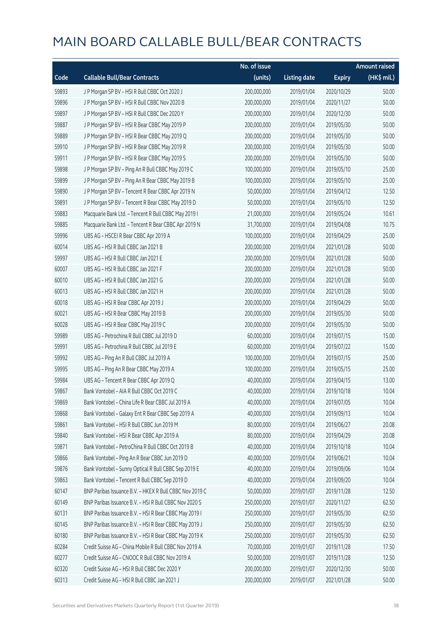|       |                                                         | No. of issue |                     |               | <b>Amount raised</b>  |
|-------|---------------------------------------------------------|--------------|---------------------|---------------|-----------------------|
| Code  | <b>Callable Bull/Bear Contracts</b>                     | (units)      | <b>Listing date</b> | <b>Expiry</b> | $(HK\frac{1}{2}mil.)$ |
| 59893 | J P Morgan SP BV - HSI R Bull CBBC Oct 2020 J           | 200,000,000  | 2019/01/04          | 2020/10/29    | 50.00                 |
| 59896 | J P Morgan SP BV - HSI R Bull CBBC Nov 2020 B           | 200,000,000  | 2019/01/04          | 2020/11/27    | 50.00                 |
| 59897 | J P Morgan SP BV - HSI R Bull CBBC Dec 2020 Y           | 200,000,000  | 2019/01/04          | 2020/12/30    | 50.00                 |
| 59887 | J P Morgan SP BV - HSI R Bear CBBC May 2019 P           | 200,000,000  | 2019/01/04          | 2019/05/30    | 50.00                 |
| 59889 | J P Morgan SP BV - HSI R Bear CBBC May 2019 Q           | 200,000,000  | 2019/01/04          | 2019/05/30    | 50.00                 |
| 59910 | J P Morgan SP BV - HSI R Bear CBBC May 2019 R           | 200,000,000  | 2019/01/04          | 2019/05/30    | 50.00                 |
| 59911 | J P Morgan SP BV - HSI R Bear CBBC May 2019 S           | 200,000,000  | 2019/01/04          | 2019/05/30    | 50.00                 |
| 59898 | J P Morgan SP BV - Ping An R Bull CBBC May 2019 C       | 100,000,000  | 2019/01/04          | 2019/05/10    | 25.00                 |
| 59899 | J P Morgan SP BV - Ping An R Bear CBBC May 2019 B       | 100,000,000  | 2019/01/04          | 2019/05/10    | 25.00                 |
| 59890 | J P Morgan SP BV - Tencent R Bear CBBC Apr 2019 N       | 50,000,000   | 2019/01/04          | 2019/04/12    | 12.50                 |
| 59891 | J P Morgan SP BV - Tencent R Bear CBBC May 2019 D       | 50,000,000   | 2019/01/04          | 2019/05/10    | 12.50                 |
| 59883 | Macquarie Bank Ltd. - Tencent R Bull CBBC May 2019 I    | 21,000,000   | 2019/01/04          | 2019/05/24    | 10.61                 |
| 59885 | Macquarie Bank Ltd. - Tencent R Bear CBBC Apr 2019 N    | 31,700,000   | 2019/01/04          | 2019/04/08    | 10.75                 |
| 59996 | UBS AG - HSCEI R Bear CBBC Apr 2019 A                   | 100,000,000  | 2019/01/04          | 2019/04/29    | 25.00                 |
| 60014 | UBS AG - HSI R Bull CBBC Jan 2021 B                     | 200,000,000  | 2019/01/04          | 2021/01/28    | 50.00                 |
| 59997 | UBS AG - HSI R Bull CBBC Jan 2021 E                     | 200,000,000  | 2019/01/04          | 2021/01/28    | 50.00                 |
| 60007 | UBS AG - HSI R Bull CBBC Jan 2021 F                     | 200,000,000  | 2019/01/04          | 2021/01/28    | 50.00                 |
| 60010 | UBS AG - HSI R Bull CBBC Jan 2021 G                     | 200,000,000  | 2019/01/04          | 2021/01/28    | 50.00                 |
| 60013 | UBS AG - HSI R Bull CBBC Jan 2021 H                     | 200,000,000  | 2019/01/04          | 2021/01/28    | 50.00                 |
| 60018 | UBS AG - HSI R Bear CBBC Apr 2019 J                     | 200,000,000  | 2019/01/04          | 2019/04/29    | 50.00                 |
| 60021 | UBS AG - HSI R Bear CBBC May 2019 B                     | 200,000,000  | 2019/01/04          | 2019/05/30    | 50.00                 |
| 60028 | UBS AG - HSI R Bear CBBC May 2019 C                     | 200,000,000  | 2019/01/04          | 2019/05/30    | 50.00                 |
| 59989 | UBS AG - Petrochina R Bull CBBC Jul 2019 D              | 60,000,000   | 2019/01/04          | 2019/07/15    | 15.00                 |
| 59991 | UBS AG - Petrochina R Bull CBBC Jul 2019 E              | 60,000,000   | 2019/01/04          | 2019/07/22    | 15.00                 |
| 59992 | UBS AG - Ping An R Bull CBBC Jul 2019 A                 | 100,000,000  | 2019/01/04          | 2019/07/15    | 25.00                 |
| 59995 | UBS AG - Ping An R Bear CBBC May 2019 A                 | 100,000,000  | 2019/01/04          | 2019/05/15    | 25.00                 |
| 59984 | UBS AG - Tencent R Bear CBBC Apr 2019 Q                 | 40,000,000   | 2019/01/04          | 2019/04/15    | 13.00                 |
| 59867 | Bank Vontobel – AIA R Bull CBBC Oct 2019 C              | 40,000,000   | 2019/01/04          | 2019/10/18    | 10.04                 |
| 59869 | Bank Vontobel - China Life R Bear CBBC Jul 2019 A       | 40,000,000   | 2019/01/04          | 2019/07/05    | 10.04                 |
| 59868 | Bank Vontobel - Galaxy Ent R Bear CBBC Sep 2019 A       | 40,000,000   | 2019/01/04          | 2019/09/13    | 10.04                 |
| 59861 | Bank Vontobel - HSI R Bull CBBC Jun 2019 M              | 80,000,000   | 2019/01/04          | 2019/06/27    | 20.08                 |
| 59840 | Bank Vontobel - HSI R Bear CBBC Apr 2019 A              | 80,000,000   | 2019/01/04          | 2019/04/29    | 20.08                 |
| 59871 | Bank Vontobel - PetroChina R Bull CBBC Oct 2019 B       | 40,000,000   | 2019/01/04          | 2019/10/18    | 10.04                 |
| 59866 | Bank Vontobel - Ping An R Bear CBBC Jun 2019 D          | 40,000,000   | 2019/01/04          | 2019/06/21    | 10.04                 |
| 59876 | Bank Vontobel - Sunny Optical R Bull CBBC Sep 2019 E    | 40,000,000   | 2019/01/04          | 2019/09/06    | 10.04                 |
| 59863 | Bank Vontobel - Tencent R Bull CBBC Sep 2019 D          | 40,000,000   | 2019/01/04          | 2019/09/20    | 10.04                 |
| 60147 | BNP Paribas Issuance B.V. - HKEX R Bull CBBC Nov 2019 C | 50,000,000   | 2019/01/07          | 2019/11/28    | 12.50                 |
| 60149 | BNP Paribas Issuance B.V. - HSI R Bull CBBC Nov 2020 S  | 250,000,000  | 2019/01/07          | 2020/11/27    | 62.50                 |
| 60131 | BNP Paribas Issuance B.V. - HSI R Bear CBBC May 2019 I  | 250,000,000  | 2019/01/07          | 2019/05/30    | 62.50                 |
| 60145 | BNP Paribas Issuance B.V. - HSI R Bear CBBC May 2019 J  | 250,000,000  | 2019/01/07          | 2019/05/30    | 62.50                 |
| 60180 | BNP Paribas Issuance B.V. - HSI R Bear CBBC May 2019 K  | 250,000,000  | 2019/01/07          | 2019/05/30    | 62.50                 |
| 60284 | Credit Suisse AG - China Mobile R Bull CBBC Nov 2019 A  | 70,000,000   | 2019/01/07          | 2019/11/28    | 17.50                 |
| 60277 | Credit Suisse AG - CNOOC R Bull CBBC Nov 2019 A         | 50,000,000   | 2019/01/07          | 2019/11/28    | 12.50                 |
| 60320 | Credit Suisse AG - HSI R Bull CBBC Dec 2020 Y           | 200,000,000  | 2019/01/07          | 2020/12/30    | 50.00                 |
| 60313 | Credit Suisse AG - HSI R Bull CBBC Jan 2021 J           | 200,000,000  | 2019/01/07          | 2021/01/28    | 50.00                 |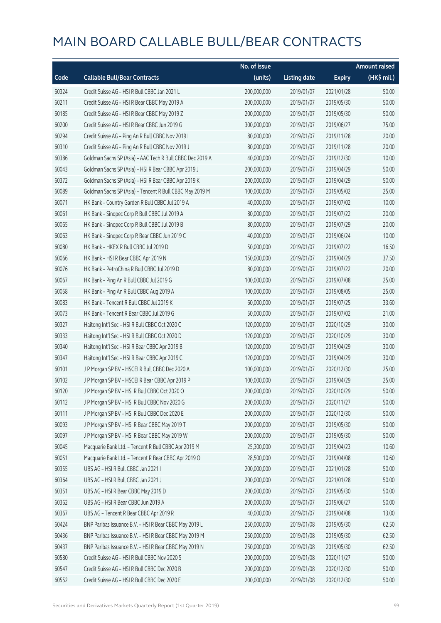|       |                                                           | No. of issue |                     |               | <b>Amount raised</b> |
|-------|-----------------------------------------------------------|--------------|---------------------|---------------|----------------------|
| Code  | <b>Callable Bull/Bear Contracts</b>                       | (units)      | <b>Listing date</b> | <b>Expiry</b> | (HK\$ mil.)          |
| 60324 | Credit Suisse AG - HSI R Bull CBBC Jan 2021 L             | 200,000,000  | 2019/01/07          | 2021/01/28    | 50.00                |
| 60211 | Credit Suisse AG - HSI R Bear CBBC May 2019 A             | 200,000,000  | 2019/01/07          | 2019/05/30    | 50.00                |
| 60185 | Credit Suisse AG - HSI R Bear CBBC May 2019 Z             | 200,000,000  | 2019/01/07          | 2019/05/30    | 50.00                |
| 60200 | Credit Suisse AG - HSI R Bear CBBC Jun 2019 G             | 300,000,000  | 2019/01/07          | 2019/06/27    | 75.00                |
| 60294 | Credit Suisse AG - Ping An R Bull CBBC Nov 2019 I         | 80,000,000   | 2019/01/07          | 2019/11/28    | 20.00                |
| 60310 | Credit Suisse AG - Ping An R Bull CBBC Nov 2019 J         | 80,000,000   | 2019/01/07          | 2019/11/28    | 20.00                |
| 60386 | Goldman Sachs SP (Asia) - AAC Tech R Bull CBBC Dec 2019 A | 40,000,000   | 2019/01/07          | 2019/12/30    | 10.00                |
| 60043 | Goldman Sachs SP (Asia) - HSI R Bear CBBC Apr 2019 J      | 200,000,000  | 2019/01/07          | 2019/04/29    | 50.00                |
| 60372 | Goldman Sachs SP (Asia) - HSI R Bear CBBC Apr 2019 K      | 200,000,000  | 2019/01/07          | 2019/04/29    | 50.00                |
| 60089 | Goldman Sachs SP (Asia) - Tencent R Bull CBBC May 2019 M  | 100,000,000  | 2019/01/07          | 2019/05/02    | 25.00                |
| 60071 | HK Bank - Country Garden R Bull CBBC Jul 2019 A           | 40,000,000   | 2019/01/07          | 2019/07/02    | 10.00                |
| 60061 | HK Bank - Sinopec Corp R Bull CBBC Jul 2019 A             | 80,000,000   | 2019/01/07          | 2019/07/22    | 20.00                |
| 60065 | HK Bank - Sinopec Corp R Bull CBBC Jul 2019 B             | 80,000,000   | 2019/01/07          | 2019/07/29    | 20.00                |
| 60063 | HK Bank - Sinopec Corp R Bear CBBC Jun 2019 C             | 40,000,000   | 2019/01/07          | 2019/06/24    | 10.00                |
| 60080 | HK Bank - HKEX R Bull CBBC Jul 2019 D                     | 50,000,000   | 2019/01/07          | 2019/07/22    | 16.50                |
| 60066 | HK Bank - HSI R Bear CBBC Apr 2019 N                      | 150,000,000  | 2019/01/07          | 2019/04/29    | 37.50                |
| 60076 | HK Bank - PetroChina R Bull CBBC Jul 2019 D               | 80,000,000   | 2019/01/07          | 2019/07/22    | 20.00                |
| 60067 | HK Bank - Ping An R Bull CBBC Jul 2019 G                  | 100,000,000  | 2019/01/07          | 2019/07/08    | 25.00                |
| 60058 | HK Bank - Ping An R Bull CBBC Aug 2019 A                  | 100,000,000  | 2019/01/07          | 2019/08/05    | 25.00                |
| 60083 | HK Bank - Tencent R Bull CBBC Jul 2019 K                  | 60,000,000   | 2019/01/07          | 2019/07/25    | 33.60                |
| 60073 | HK Bank - Tencent R Bear CBBC Jul 2019 G                  | 50,000,000   | 2019/01/07          | 2019/07/02    | 21.00                |
| 60327 | Haitong Int'l Sec - HSI R Bull CBBC Oct 2020 C            | 120,000,000  | 2019/01/07          | 2020/10/29    | 30.00                |
| 60333 | Haitong Int'l Sec - HSI R Bull CBBC Oct 2020 D            | 120,000,000  | 2019/01/07          | 2020/10/29    | 30.00                |
| 60340 | Haitong Int'l Sec - HSI R Bear CBBC Apr 2019 B            | 120,000,000  | 2019/01/07          | 2019/04/29    | 30.00                |
| 60347 | Haitong Int'l Sec - HSI R Bear CBBC Apr 2019 C            | 120,000,000  | 2019/01/07          | 2019/04/29    | 30.00                |
| 60101 | J P Morgan SP BV - HSCEI R Bull CBBC Dec 2020 A           | 100,000,000  | 2019/01/07          | 2020/12/30    | 25.00                |
| 60102 | J P Morgan SP BV - HSCEI R Bear CBBC Apr 2019 P           | 100,000,000  | 2019/01/07          | 2019/04/29    | 25.00                |
| 60120 | J P Morgan SP BV - HSI R Bull CBBC Oct 2020 O             | 200,000,000  | 2019/01/07          | 2020/10/29    | 50.00                |
| 60112 | J P Morgan SP BV - HSI R Bull CBBC Nov 2020 G             | 200,000,000  | 2019/01/07          | 2020/11/27    | 50.00                |
| 60111 | J P Morgan SP BV - HSI R Bull CBBC Dec 2020 E             | 200,000,000  | 2019/01/07          | 2020/12/30    | 50.00                |
| 60093 | J P Morgan SP BV - HSI R Bear CBBC May 2019 T             | 200,000,000  | 2019/01/07          | 2019/05/30    | 50.00                |
| 60097 | J P Morgan SP BV - HSI R Bear CBBC May 2019 W             | 200,000,000  | 2019/01/07          | 2019/05/30    | 50.00                |
| 60045 | Macquarie Bank Ltd. - Tencent R Bull CBBC Apr 2019 M      | 25,300,000   | 2019/01/07          | 2019/04/23    | 10.60                |
| 60051 | Macquarie Bank Ltd. - Tencent R Bear CBBC Apr 2019 O      | 28,500,000   | 2019/01/07          | 2019/04/08    | 10.60                |
| 60355 | UBS AG - HSI R Bull CBBC Jan 2021 I                       | 200,000,000  | 2019/01/07          | 2021/01/28    | 50.00                |
| 60364 | UBS AG - HSI R Bull CBBC Jan 2021 J                       | 200,000,000  | 2019/01/07          | 2021/01/28    | 50.00                |
| 60351 | UBS AG - HSI R Bear CBBC May 2019 D                       | 200,000,000  | 2019/01/07          | 2019/05/30    | 50.00                |
| 60362 | UBS AG - HSI R Bear CBBC Jun 2019 A                       | 200,000,000  | 2019/01/07          | 2019/06/27    | 50.00                |
| 60367 | UBS AG - Tencent R Bear CBBC Apr 2019 R                   | 40,000,000   | 2019/01/07          | 2019/04/08    | 13.00                |
| 60424 | BNP Paribas Issuance B.V. - HSI R Bear CBBC May 2019 L    | 250,000,000  | 2019/01/08          | 2019/05/30    | 62.50                |
| 60436 | BNP Paribas Issuance B.V. - HSI R Bear CBBC May 2019 M    | 250,000,000  | 2019/01/08          | 2019/05/30    | 62.50                |
| 60437 | BNP Paribas Issuance B.V. - HSI R Bear CBBC May 2019 N    | 250,000,000  | 2019/01/08          | 2019/05/30    | 62.50                |
| 60580 | Credit Suisse AG - HSI R Bull CBBC Nov 2020 S             | 200,000,000  | 2019/01/08          | 2020/11/27    | 50.00                |
| 60547 | Credit Suisse AG - HSI R Bull CBBC Dec 2020 B             | 200,000,000  | 2019/01/08          | 2020/12/30    | 50.00                |
| 60552 | Credit Suisse AG - HSI R Bull CBBC Dec 2020 E             | 200,000,000  | 2019/01/08          | 2020/12/30    | 50.00                |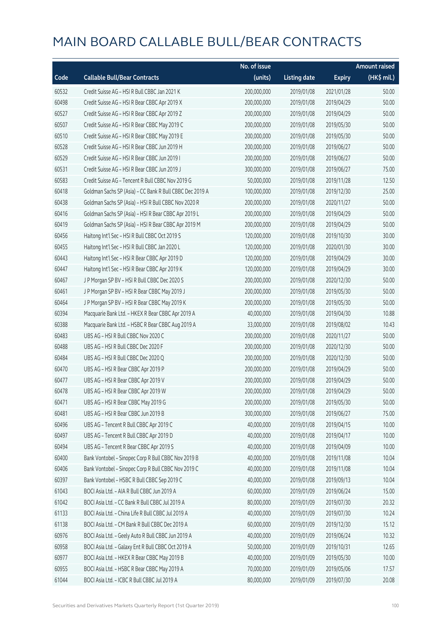|       |                                                          | No. of issue |                     |               | <b>Amount raised</b> |
|-------|----------------------------------------------------------|--------------|---------------------|---------------|----------------------|
| Code  | <b>Callable Bull/Bear Contracts</b>                      | (units)      | <b>Listing date</b> | <b>Expiry</b> | $(HK$$ mil.)         |
| 60532 | Credit Suisse AG - HSI R Bull CBBC Jan 2021 K            | 200,000,000  | 2019/01/08          | 2021/01/28    | 50.00                |
| 60498 | Credit Suisse AG - HSI R Bear CBBC Apr 2019 X            | 200,000,000  | 2019/01/08          | 2019/04/29    | 50.00                |
| 60527 | Credit Suisse AG - HSI R Bear CBBC Apr 2019 Z            | 200,000,000  | 2019/01/08          | 2019/04/29    | 50.00                |
| 60507 | Credit Suisse AG - HSI R Bear CBBC May 2019 C            | 200,000,000  | 2019/01/08          | 2019/05/30    | 50.00                |
| 60510 | Credit Suisse AG - HSI R Bear CBBC May 2019 E            | 200,000,000  | 2019/01/08          | 2019/05/30    | 50.00                |
| 60528 | Credit Suisse AG - HSI R Bear CBBC Jun 2019 H            | 200,000,000  | 2019/01/08          | 2019/06/27    | 50.00                |
| 60529 | Credit Suisse AG - HSI R Bear CBBC Jun 2019 I            | 200,000,000  | 2019/01/08          | 2019/06/27    | 50.00                |
| 60531 | Credit Suisse AG - HSI R Bear CBBC Jun 2019 J            | 300,000,000  | 2019/01/08          | 2019/06/27    | 75.00                |
| 60583 | Credit Suisse AG - Tencent R Bull CBBC Nov 2019 G        | 50,000,000   | 2019/01/08          | 2019/11/28    | 12.50                |
| 60418 | Goldman Sachs SP (Asia) - CC Bank R Bull CBBC Dec 2019 A | 100,000,000  | 2019/01/08          | 2019/12/30    | 25.00                |
| 60438 | Goldman Sachs SP (Asia) - HSI R Bull CBBC Nov 2020 R     | 200,000,000  | 2019/01/08          | 2020/11/27    | 50.00                |
| 60416 | Goldman Sachs SP (Asia) - HSI R Bear CBBC Apr 2019 L     | 200,000,000  | 2019/01/08          | 2019/04/29    | 50.00                |
| 60419 | Goldman Sachs SP (Asia) - HSI R Bear CBBC Apr 2019 M     | 200,000,000  | 2019/01/08          | 2019/04/29    | 50.00                |
| 60456 | Haitong Int'l Sec - HSI R Bull CBBC Oct 2019 S           | 120,000,000  | 2019/01/08          | 2019/10/30    | 30.00                |
| 60455 | Haitong Int'l Sec - HSI R Bull CBBC Jan 2020 L           | 120,000,000  | 2019/01/08          | 2020/01/30    | 30.00                |
| 60443 | Haitong Int'l Sec - HSI R Bear CBBC Apr 2019 D           | 120,000,000  | 2019/01/08          | 2019/04/29    | 30.00                |
| 60447 | Haitong Int'l Sec - HSI R Bear CBBC Apr 2019 K           | 120,000,000  | 2019/01/08          | 2019/04/29    | 30.00                |
| 60467 | J P Morgan SP BV - HSI R Bull CBBC Dec 2020 S            | 200,000,000  | 2019/01/08          | 2020/12/30    | 50.00                |
| 60461 | J P Morgan SP BV - HSI R Bear CBBC May 2019 J            | 200,000,000  | 2019/01/08          | 2019/05/30    | 50.00                |
| 60464 | J P Morgan SP BV - HSI R Bear CBBC May 2019 K            | 200,000,000  | 2019/01/08          | 2019/05/30    | 50.00                |
| 60394 | Macquarie Bank Ltd. - HKEX R Bear CBBC Apr 2019 A        | 40,000,000   | 2019/01/08          | 2019/04/30    | 10.88                |
| 60388 | Macquarie Bank Ltd. - HSBC R Bear CBBC Aug 2019 A        | 33,000,000   | 2019/01/08          | 2019/08/02    | 10.43                |
| 60483 | UBS AG - HSI R Bull CBBC Nov 2020 C                      | 200,000,000  | 2019/01/08          | 2020/11/27    | 50.00                |
| 60488 | UBS AG - HSI R Bull CBBC Dec 2020 F                      | 200,000,000  | 2019/01/08          | 2020/12/30    | 50.00                |
| 60484 | UBS AG - HSI R Bull CBBC Dec 2020 Q                      | 200,000,000  | 2019/01/08          | 2020/12/30    | 50.00                |
| 60470 | UBS AG - HSI R Bear CBBC Apr 2019 P                      | 200,000,000  | 2019/01/08          | 2019/04/29    | 50.00                |
| 60477 | UBS AG - HSI R Bear CBBC Apr 2019 V                      | 200,000,000  | 2019/01/08          | 2019/04/29    | 50.00                |
| 60478 | UBS AG - HSI R Bear CBBC Apr 2019 W                      | 200,000,000  | 2019/01/08          | 2019/04/29    | 50.00                |
| 60471 | UBS AG - HSI R Bear CBBC May 2019 G                      | 200,000,000  | 2019/01/08          | 2019/05/30    | 50.00                |
| 60481 | UBS AG - HSI R Bear CBBC Jun 2019 B                      | 300,000,000  | 2019/01/08          | 2019/06/27    | 75.00                |
| 60496 | UBS AG - Tencent R Bull CBBC Apr 2019 C                  | 40,000,000   | 2019/01/08          | 2019/04/15    | 10.00                |
| 60497 | UBS AG - Tencent R Bull CBBC Apr 2019 D                  | 40,000,000   | 2019/01/08          | 2019/04/17    | 10.00                |
| 60494 | UBS AG - Tencent R Bear CBBC Apr 2019 S                  | 40,000,000   | 2019/01/08          | 2019/04/09    | 10.00                |
| 60400 | Bank Vontobel - Sinopec Corp R Bull CBBC Nov 2019 B      | 40,000,000   | 2019/01/08          | 2019/11/08    | 10.04                |
| 60406 | Bank Vontobel - Sinopec Corp R Bull CBBC Nov 2019 C      | 40,000,000   | 2019/01/08          | 2019/11/08    | 10.04                |
| 60397 | Bank Vontobel - HSBC R Bull CBBC Sep 2019 C              | 40,000,000   | 2019/01/08          | 2019/09/13    | 10.04                |
| 61043 | BOCI Asia Ltd. - AIA R Bull CBBC Jun 2019 A              | 60,000,000   | 2019/01/09          | 2019/06/24    | 15.00                |
| 61042 | BOCI Asia Ltd. - CC Bank R Bull CBBC Jul 2019 A          | 80,000,000   | 2019/01/09          | 2019/07/30    | 20.32                |
| 61133 | BOCI Asia Ltd. - China Life R Bull CBBC Jul 2019 A       | 40,000,000   | 2019/01/09          | 2019/07/30    | 10.24                |
| 61138 | BOCI Asia Ltd. - CM Bank R Bull CBBC Dec 2019 A          | 60,000,000   | 2019/01/09          | 2019/12/30    | 15.12                |
| 60976 | BOCI Asia Ltd. - Geely Auto R Bull CBBC Jun 2019 A       | 40,000,000   | 2019/01/09          | 2019/06/24    | 10.32                |
| 60958 | BOCI Asia Ltd. - Galaxy Ent R Bull CBBC Oct 2019 A       | 50,000,000   | 2019/01/09          | 2019/10/31    | 12.65                |
| 60977 | BOCI Asia Ltd. - HKEX R Bear CBBC May 2019 B             | 40,000,000   | 2019/01/09          | 2019/05/30    | 10.00                |
| 60955 | BOCI Asia Ltd. - HSBC R Bear CBBC May 2019 A             | 70,000,000   | 2019/01/09          | 2019/05/06    | 17.57                |
| 61044 | BOCI Asia Ltd. - ICBC R Bull CBBC Jul 2019 A             | 80,000,000   | 2019/01/09          | 2019/07/30    | 20.08                |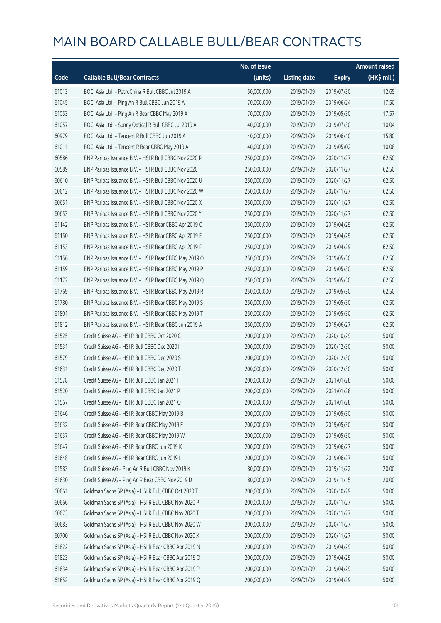|       |                                                        | No. of issue |                     |               | <b>Amount raised</b> |
|-------|--------------------------------------------------------|--------------|---------------------|---------------|----------------------|
| Code  | <b>Callable Bull/Bear Contracts</b>                    | (units)      | <b>Listing date</b> | <b>Expiry</b> | $(HK$$ mil.)         |
| 61013 | BOCI Asia Ltd. - PetroChina R Bull CBBC Jul 2019 A     | 50,000,000   | 2019/01/09          | 2019/07/30    | 12.65                |
| 61045 | BOCI Asia Ltd. - Ping An R Bull CBBC Jun 2019 A        | 70,000,000   | 2019/01/09          | 2019/06/24    | 17.50                |
| 61053 | BOCI Asia Ltd. - Ping An R Bear CBBC May 2019 A        | 70,000,000   | 2019/01/09          | 2019/05/30    | 17.57                |
| 61057 | BOCI Asia Ltd. - Sunny Optical R Bull CBBC Jul 2019 A  | 40,000,000   | 2019/01/09          | 2019/07/30    | 10.04                |
| 60979 | BOCI Asia Ltd. - Tencent R Bull CBBC Jun 2019 A        | 40,000,000   | 2019/01/09          | 2019/06/10    | 15.80                |
| 61011 | BOCI Asia Ltd. - Tencent R Bear CBBC May 2019 A        | 40,000,000   | 2019/01/09          | 2019/05/02    | 10.08                |
| 60586 | BNP Paribas Issuance B.V. - HSI R Bull CBBC Nov 2020 P | 250,000,000  | 2019/01/09          | 2020/11/27    | 62.50                |
| 60589 | BNP Paribas Issuance B.V. - HSI R Bull CBBC Nov 2020 T | 250,000,000  | 2019/01/09          | 2020/11/27    | 62.50                |
| 60610 | BNP Paribas Issuance B.V. - HSI R Bull CBBC Nov 2020 U | 250,000,000  | 2019/01/09          | 2020/11/27    | 62.50                |
| 60612 | BNP Paribas Issuance B.V. - HSI R Bull CBBC Nov 2020 W | 250,000,000  | 2019/01/09          | 2020/11/27    | 62.50                |
| 60651 | BNP Paribas Issuance B.V. - HSI R Bull CBBC Nov 2020 X | 250,000,000  | 2019/01/09          | 2020/11/27    | 62.50                |
| 60653 | BNP Paribas Issuance B.V. - HSI R Bull CBBC Nov 2020 Y | 250,000,000  | 2019/01/09          | 2020/11/27    | 62.50                |
| 61142 | BNP Paribas Issuance B.V. - HSI R Bear CBBC Apr 2019 C | 250,000,000  | 2019/01/09          | 2019/04/29    | 62.50                |
| 61150 | BNP Paribas Issuance B.V. - HSI R Bear CBBC Apr 2019 E | 250,000,000  | 2019/01/09          | 2019/04/29    | 62.50                |
| 61153 | BNP Paribas Issuance B.V. - HSI R Bear CBBC Apr 2019 F | 250,000,000  | 2019/01/09          | 2019/04/29    | 62.50                |
| 61156 | BNP Paribas Issuance B.V. - HSI R Bear CBBC May 2019 O | 250,000,000  | 2019/01/09          | 2019/05/30    | 62.50                |
| 61159 | BNP Paribas Issuance B.V. - HSI R Bear CBBC May 2019 P | 250,000,000  | 2019/01/09          | 2019/05/30    | 62.50                |
| 61172 | BNP Paribas Issuance B.V. - HSI R Bear CBBC May 2019 Q | 250,000,000  | 2019/01/09          | 2019/05/30    | 62.50                |
| 61769 | BNP Paribas Issuance B.V. - HSI R Bear CBBC May 2019 R | 250,000,000  | 2019/01/09          | 2019/05/30    | 62.50                |
| 61780 | BNP Paribas Issuance B.V. - HSI R Bear CBBC May 2019 S | 250,000,000  | 2019/01/09          | 2019/05/30    | 62.50                |
| 61801 | BNP Paribas Issuance B.V. - HSI R Bear CBBC May 2019 T | 250,000,000  | 2019/01/09          | 2019/05/30    | 62.50                |
| 61812 | BNP Paribas Issuance B.V. - HSI R Bear CBBC Jun 2019 A | 250,000,000  | 2019/01/09          | 2019/06/27    | 62.50                |
| 61525 | Credit Suisse AG - HSI R Bull CBBC Oct 2020 C          | 200,000,000  | 2019/01/09          | 2020/10/29    | 50.00                |
| 61531 | Credit Suisse AG - HSI R Bull CBBC Dec 2020 I          | 200,000,000  | 2019/01/09          | 2020/12/30    | 50.00                |
| 61579 | Credit Suisse AG - HSI R Bull CBBC Dec 2020 S          | 200,000,000  | 2019/01/09          | 2020/12/30    | 50.00                |
| 61631 | Credit Suisse AG - HSI R Bull CBBC Dec 2020 T          | 200,000,000  | 2019/01/09          | 2020/12/30    | 50.00                |
| 61578 | Credit Suisse AG - HSI R Bull CBBC Jan 2021 H          | 200,000,000  | 2019/01/09          | 2021/01/28    | 50.00                |
| 61520 | Credit Suisse AG - HSI R Bull CBBC Jan 2021 P          | 200,000,000  | 2019/01/09          | 2021/01/28    | 50.00                |
| 61567 | Credit Suisse AG - HSI R Bull CBBC Jan 2021 Q          | 200,000,000  | 2019/01/09          | 2021/01/28    | 50.00                |
| 61646 | Credit Suisse AG - HSI R Bear CBBC May 2019 B          | 200,000,000  | 2019/01/09          | 2019/05/30    | 50.00                |
| 61632 | Credit Suisse AG - HSI R Bear CBBC May 2019 F          | 200,000,000  | 2019/01/09          | 2019/05/30    | 50.00                |
| 61637 | Credit Suisse AG - HSI R Bear CBBC May 2019 W          | 200,000,000  | 2019/01/09          | 2019/05/30    | 50.00                |
| 61647 | Credit Suisse AG - HSI R Bear CBBC Jun 2019 K          | 200,000,000  | 2019/01/09          | 2019/06/27    | 50.00                |
| 61648 | Credit Suisse AG - HSI R Bear CBBC Jun 2019 L          | 200,000,000  | 2019/01/09          | 2019/06/27    | 50.00                |
| 61583 | Credit Suisse AG - Ping An R Bull CBBC Nov 2019 K      | 80,000,000   | 2019/01/09          | 2019/11/22    | 20.00                |
| 61630 | Credit Suisse AG - Ping An R Bear CBBC Nov 2019 D      | 80,000,000   | 2019/01/09          | 2019/11/15    | 20.00                |
| 60661 | Goldman Sachs SP (Asia) - HSI R Bull CBBC Oct 2020 T   | 200,000,000  | 2019/01/09          | 2020/10/29    | 50.00                |
| 60666 | Goldman Sachs SP (Asia) - HSI R Bull CBBC Nov 2020 P   | 200,000,000  | 2019/01/09          | 2020/11/27    | 50.00                |
| 60673 | Goldman Sachs SP (Asia) - HSI R Bull CBBC Nov 2020 T   | 200,000,000  | 2019/01/09          | 2020/11/27    | 50.00                |
| 60683 | Goldman Sachs SP (Asia) - HSI R Bull CBBC Nov 2020 W   | 200,000,000  | 2019/01/09          | 2020/11/27    | 50.00                |
| 60700 | Goldman Sachs SP (Asia) - HSI R Bull CBBC Nov 2020 X   | 200,000,000  | 2019/01/09          | 2020/11/27    | 50.00                |
| 61822 | Goldman Sachs SP (Asia) - HSI R Bear CBBC Apr 2019 N   | 200,000,000  | 2019/01/09          | 2019/04/29    | 50.00                |
| 61823 | Goldman Sachs SP (Asia) - HSI R Bear CBBC Apr 2019 O   | 200,000,000  | 2019/01/09          | 2019/04/29    | 50.00                |
| 61834 | Goldman Sachs SP (Asia) - HSI R Bear CBBC Apr 2019 P   | 200,000,000  | 2019/01/09          | 2019/04/29    | 50.00                |
| 61852 | Goldman Sachs SP (Asia) - HSI R Bear CBBC Apr 2019 Q   | 200,000,000  | 2019/01/09          | 2019/04/29    | 50.00                |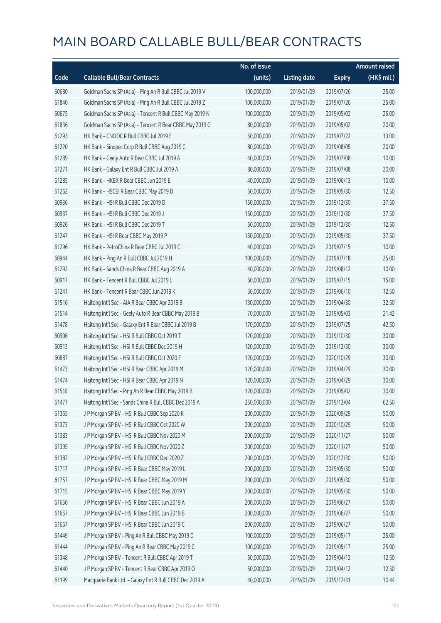|       |                                                          | No. of issue |                     |               | <b>Amount raised</b> |
|-------|----------------------------------------------------------|--------------|---------------------|---------------|----------------------|
| Code  | <b>Callable Bull/Bear Contracts</b>                      | (units)      | <b>Listing date</b> | <b>Expiry</b> | (HK\$ mil.)          |
| 60680 | Goldman Sachs SP (Asia) - Ping An R Bull CBBC Jul 2019 V | 100,000,000  | 2019/01/09          | 2019/07/26    | 25.00                |
| 61840 | Goldman Sachs SP (Asia) - Ping An R Bull CBBC Jul 2019 Z | 100,000,000  | 2019/01/09          | 2019/07/26    | 25.00                |
| 60675 | Goldman Sachs SP (Asia) - Tencent R Bull CBBC May 2019 N | 100,000,000  | 2019/01/09          | 2019/05/02    | 25.00                |
| 61836 | Goldman Sachs SP (Asia) - Tencent R Bear CBBC May 2019 G | 80,000,000   | 2019/01/09          | 2019/05/02    | 20.00                |
| 61293 | HK Bank - CNOOC R Bull CBBC Jul 2019 E                   | 50,000,000   | 2019/01/09          | 2019/07/22    | 13.00                |
| 61220 | HK Bank - Sinopec Corp R Bull CBBC Aug 2019 C            | 80,000,000   | 2019/01/09          | 2019/08/05    | 20.00                |
| 61289 | HK Bank - Geely Auto R Bear CBBC Jul 2019 A              | 40,000,000   | 2019/01/09          | 2019/07/08    | 10.00                |
| 61271 | HK Bank - Galaxy Ent R Bull CBBC Jul 2019 A              | 80,000,000   | 2019/01/09          | 2019/07/08    | 20.00                |
| 61285 | HK Bank - HKEX R Bear CBBC Jun 2019 E                    | 40,000,000   | 2019/01/09          | 2019/06/13    | 10.00                |
| 61262 | HK Bank - HSCEI R Bear CBBC May 2019 D                   | 50,000,000   | 2019/01/09          | 2019/05/30    | 12.50                |
| 60936 | HK Bank - HSI R Bull CBBC Dec 2019 D                     | 150,000,000  | 2019/01/09          | 2019/12/30    | 37.50                |
| 60937 | HK Bank - HSI R Bull CBBC Dec 2019 J                     | 150,000,000  | 2019/01/09          | 2019/12/30    | 37.50                |
| 60926 | HK Bank - HSI R Bull CBBC Dec 2019 T                     | 50,000,000   | 2019/01/09          | 2019/12/30    | 12.50                |
| 61247 | HK Bank - HSI R Bear CBBC May 2019 P                     | 150,000,000  | 2019/01/09          | 2019/05/30    | 37.50                |
| 61296 | HK Bank - PetroChina R Bear CBBC Jul 2019 C              | 40,000,000   | 2019/01/09          | 2019/07/15    | 10.00                |
| 60944 | HK Bank - Ping An R Bull CBBC Jul 2019 H                 | 100,000,000  | 2019/01/09          | 2019/07/18    | 25.00                |
| 61292 | HK Bank - Sands China R Bear CBBC Aug 2019 A             | 40,000,000   | 2019/01/09          | 2019/08/12    | 10.00                |
| 60917 | HK Bank - Tencent R Bull CBBC Jul 2019 L                 | 60,000,000   | 2019/01/09          | 2019/07/15    | 15.00                |
| 61241 | HK Bank - Tencent R Bear CBBC Jun 2019 K                 | 50,000,000   | 2019/01/09          | 2019/06/10    | 12.50                |
| 61516 | Haitong Int'l Sec - AIA R Bear CBBC Apr 2019 B           | 130,000,000  | 2019/01/09          | 2019/04/30    | 32.50                |
| 61514 | Haitong Int'l Sec - Geely Auto R Bear CBBC May 2019 B    | 70,000,000   | 2019/01/09          | 2019/05/03    | 21.42                |
| 61478 | Haitong Int'l Sec - Galaxy Ent R Bear CBBC Jul 2019 B    | 170,000,000  | 2019/01/09          | 2019/07/25    | 42.50                |
| 60906 | Haitong Int'l Sec - HSI R Bull CBBC Oct 2019 T           | 120,000,000  | 2019/01/09          | 2019/10/30    | 30.00                |
| 60913 | Haitong Int'l Sec - HSI R Bull CBBC Dec 2019 H           | 120,000,000  | 2019/01/09          | 2019/12/30    | 30.00                |
| 60887 | Haitong Int'l Sec - HSI R Bull CBBC Oct 2020 E           | 120,000,000  | 2019/01/09          | 2020/10/29    | 30.00                |
| 61473 | Haitong Int'l Sec - HSI R Bear CBBC Apr 2019 M           | 120,000,000  | 2019/01/09          | 2019/04/29    | 30.00                |
| 61474 | Haitong Int'l Sec - HSI R Bear CBBC Apr 2019 N           | 120,000,000  | 2019/01/09          | 2019/04/29    | 30.00                |
| 61518 | Haitong Int'l Sec - Ping An R Bear CBBC May 2019 B       | 120,000,000  | 2019/01/09          | 2019/05/02    | 30.00                |
| 61477 | Haitong Int'l Sec - Sands China R Bull CBBC Dec 2019 A   | 250,000,000  | 2019/01/09          | 2019/12/04    | 62.50                |
| 61365 | J P Morgan SP BV - HSI R Bull CBBC Sep 2020 K            | 200,000,000  | 2019/01/09          | 2020/09/29    | 50.00                |
| 61373 | J P Morgan SP BV - HSI R Bull CBBC Oct 2020 W            | 200,000,000  | 2019/01/09          | 2020/10/29    | 50.00                |
| 61383 | J P Morgan SP BV - HSI R Bull CBBC Nov 2020 M            | 200,000,000  | 2019/01/09          | 2020/11/27    | 50.00                |
| 61395 | J P Morgan SP BV - HSI R Bull CBBC Nov 2020 Z            | 200,000,000  | 2019/01/09          | 2020/11/27    | 50.00                |
| 61387 | J P Morgan SP BV - HSI R Bull CBBC Dec 2020 Z            | 200,000,000  | 2019/01/09          | 2020/12/30    | 50.00                |
| 61717 | J P Morgan SP BV - HSI R Bear CBBC May 2019 L            | 200,000,000  | 2019/01/09          | 2019/05/30    | 50.00                |
| 61757 | J P Morgan SP BV - HSI R Bear CBBC May 2019 M            | 200,000,000  | 2019/01/09          | 2019/05/30    | 50.00                |
| 61715 | J P Morgan SP BV - HSI R Bear CBBC May 2019 Y            | 200,000,000  | 2019/01/09          | 2019/05/30    | 50.00                |
| 61650 | J P Morgan SP BV - HSI R Bear CBBC Jun 2019 A            | 200,000,000  | 2019/01/09          | 2019/06/27    | 50.00                |
| 61657 | J P Morgan SP BV - HSI R Bear CBBC Jun 2019 B            | 200,000,000  | 2019/01/09          | 2019/06/27    | 50.00                |
| 61667 | J P Morgan SP BV - HSI R Bear CBBC Jun 2019 C            | 200,000,000  | 2019/01/09          | 2019/06/27    | 50.00                |
| 61449 | J P Morgan SP BV - Ping An R Bull CBBC May 2019 D        | 100,000,000  | 2019/01/09          | 2019/05/17    | 25.00                |
| 61444 | J P Morgan SP BV - Ping An R Bear CBBC May 2019 C        | 100,000,000  | 2019/01/09          | 2019/05/17    | 25.00                |
| 61348 | J P Morgan SP BV - Tencent R Bull CBBC Apr 2019 T        | 50,000,000   | 2019/01/09          | 2019/04/12    | 12.50                |
| 61440 | J P Morgan SP BV - Tencent R Bear CBBC Apr 2019 O        | 50,000,000   | 2019/01/09          | 2019/04/12    | 12.50                |
| 61199 | Macquarie Bank Ltd. - Galaxy Ent R Bull CBBC Dec 2019 A  | 40,000,000   | 2019/01/09          | 2019/12/31    | 10.44                |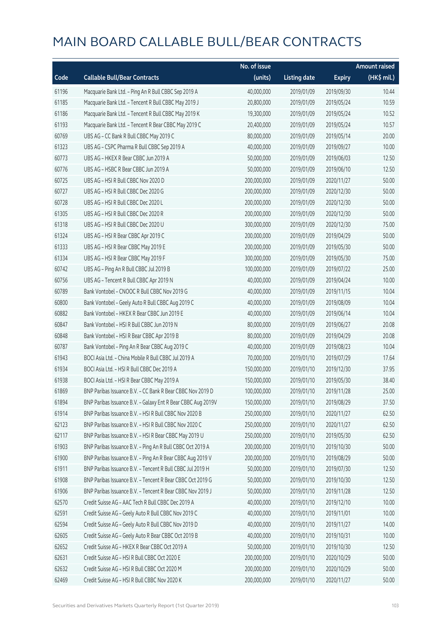|       |                                                              | No. of issue |                     |               | <b>Amount raised</b> |
|-------|--------------------------------------------------------------|--------------|---------------------|---------------|----------------------|
| Code  | <b>Callable Bull/Bear Contracts</b>                          | (units)      | <b>Listing date</b> | <b>Expiry</b> | (HK\$ mil.)          |
| 61196 | Macquarie Bank Ltd. - Ping An R Bull CBBC Sep 2019 A         | 40,000,000   | 2019/01/09          | 2019/09/30    | 10.44                |
| 61185 | Macquarie Bank Ltd. - Tencent R Bull CBBC May 2019 J         | 20,800,000   | 2019/01/09          | 2019/05/24    | 10.59                |
| 61186 | Macquarie Bank Ltd. - Tencent R Bull CBBC May 2019 K         | 19,300,000   | 2019/01/09          | 2019/05/24    | 10.52                |
| 61193 | Macquarie Bank Ltd. - Tencent R Bear CBBC May 2019 C         | 20,400,000   | 2019/01/09          | 2019/05/24    | 10.57                |
| 60769 | UBS AG - CC Bank R Bull CBBC May 2019 C                      | 80,000,000   | 2019/01/09          | 2019/05/14    | 20.00                |
| 61323 | UBS AG - CSPC Pharma R Bull CBBC Sep 2019 A                  | 40,000,000   | 2019/01/09          | 2019/09/27    | 10.00                |
| 60773 | UBS AG - HKEX R Bear CBBC Jun 2019 A                         | 50,000,000   | 2019/01/09          | 2019/06/03    | 12.50                |
| 60776 | UBS AG - HSBC R Bear CBBC Jun 2019 A                         | 50,000,000   | 2019/01/09          | 2019/06/10    | 12.50                |
| 60725 | UBS AG - HSI R Bull CBBC Nov 2020 D                          | 200,000,000  | 2019/01/09          | 2020/11/27    | 50.00                |
| 60727 | UBS AG - HSI R Bull CBBC Dec 2020 G                          | 200,000,000  | 2019/01/09          | 2020/12/30    | 50.00                |
| 60728 | UBS AG - HSI R Bull CBBC Dec 2020 L                          | 200,000,000  | 2019/01/09          | 2020/12/30    | 50.00                |
| 61305 | UBS AG - HSI R Bull CBBC Dec 2020 R                          | 200,000,000  | 2019/01/09          | 2020/12/30    | 50.00                |
| 61318 | UBS AG - HSI R Bull CBBC Dec 2020 U                          | 300,000,000  | 2019/01/09          | 2020/12/30    | 75.00                |
| 61324 | UBS AG - HSI R Bear CBBC Apr 2019 C                          | 200,000,000  | 2019/01/09          | 2019/04/29    | 50.00                |
| 61333 | UBS AG - HSI R Bear CBBC May 2019 E                          | 200,000,000  | 2019/01/09          | 2019/05/30    | 50.00                |
| 61334 | UBS AG - HSI R Bear CBBC May 2019 F                          | 300,000,000  | 2019/01/09          | 2019/05/30    | 75.00                |
| 60742 | UBS AG - Ping An R Bull CBBC Jul 2019 B                      | 100,000,000  | 2019/01/09          | 2019/07/22    | 25.00                |
| 60756 | UBS AG - Tencent R Bull CBBC Apr 2019 N                      | 40,000,000   | 2019/01/09          | 2019/04/24    | 10.00                |
| 60789 | Bank Vontobel - CNOOC R Bull CBBC Nov 2019 G                 | 40,000,000   | 2019/01/09          | 2019/11/15    | 10.04                |
| 60800 | Bank Vontobel - Geely Auto R Bull CBBC Aug 2019 C            | 40,000,000   | 2019/01/09          | 2019/08/09    | 10.04                |
| 60882 | Bank Vontobel - HKEX R Bear CBBC Jun 2019 E                  | 40,000,000   | 2019/01/09          | 2019/06/14    | 10.04                |
| 60847 | Bank Vontobel - HSI R Bull CBBC Jun 2019 N                   | 80,000,000   | 2019/01/09          | 2019/06/27    | 20.08                |
| 60848 | Bank Vontobel - HSI R Bear CBBC Apr 2019 B                   | 80,000,000   | 2019/01/09          | 2019/04/29    | 20.08                |
| 60787 | Bank Vontobel - Ping An R Bear CBBC Aug 2019 C               | 40,000,000   | 2019/01/09          | 2019/08/23    | 10.04                |
| 61943 | BOCI Asia Ltd. - China Mobile R Bull CBBC Jul 2019 A         | 70,000,000   | 2019/01/10          | 2019/07/29    | 17.64                |
| 61934 | BOCI Asia Ltd. - HSI R Bull CBBC Dec 2019 A                  | 150,000,000  | 2019/01/10          | 2019/12/30    | 37.95                |
| 61938 | BOCI Asia Ltd. - HSI R Bear CBBC May 2019 A                  | 150,000,000  | 2019/01/10          | 2019/05/30    | 38.40                |
| 61869 | BNP Paribas Issuance B.V. - CC Bank R Bear CBBC Nov 2019 D   | 100,000,000  | 2019/01/10          | 2019/11/28    | 25.00                |
| 61894 | BNP Paribas Issuance B.V. - Galaxy Ent R Bear CBBC Aug 2019V | 150,000,000  | 2019/01/10          | 2019/08/29    | 37.50                |
| 61914 | BNP Paribas Issuance B.V. - HSI R Bull CBBC Nov 2020 B       | 250,000,000  | 2019/01/10          | 2020/11/27    | 62.50                |
| 62123 | BNP Paribas Issuance B.V. - HSI R Bull CBBC Nov 2020 C       | 250,000,000  | 2019/01/10          | 2020/11/27    | 62.50                |
| 62117 | BNP Paribas Issuance B.V. - HSI R Bear CBBC May 2019 U       | 250,000,000  | 2019/01/10          | 2019/05/30    | 62.50                |
| 61903 | BNP Paribas Issuance B.V. - Ping An R Bull CBBC Oct 2019 A   | 200,000,000  | 2019/01/10          | 2019/10/30    | 50.00                |
| 61900 | BNP Paribas Issuance B.V. - Ping An R Bear CBBC Aug 2019 V   | 200,000,000  | 2019/01/10          | 2019/08/29    | 50.00                |
| 61911 | BNP Paribas Issuance B.V. - Tencent R Bull CBBC Jul 2019 H   | 50,000,000   | 2019/01/10          | 2019/07/30    | 12.50                |
| 61908 | BNP Paribas Issuance B.V. - Tencent R Bear CBBC Oct 2019 G   | 50,000,000   | 2019/01/10          | 2019/10/30    | 12.50                |
| 61906 | BNP Paribas Issuance B.V. - Tencent R Bear CBBC Nov 2019 J   | 50,000,000   | 2019/01/10          | 2019/11/28    | 12.50                |
| 62570 | Credit Suisse AG - AAC Tech R Bull CBBC Dec 2019 A           | 40,000,000   | 2019/01/10          | 2019/12/10    | 10.00                |
| 62591 | Credit Suisse AG - Geely Auto R Bull CBBC Nov 2019 C         | 40,000,000   | 2019/01/10          | 2019/11/01    | 10.00                |
| 62594 | Credit Suisse AG - Geely Auto R Bull CBBC Nov 2019 D         | 40,000,000   | 2019/01/10          | 2019/11/27    | 14.00                |
| 62605 | Credit Suisse AG - Geely Auto R Bear CBBC Oct 2019 B         | 40,000,000   | 2019/01/10          | 2019/10/31    | 10.00                |
| 62652 | Credit Suisse AG - HKEX R Bear CBBC Oct 2019 A               | 50,000,000   | 2019/01/10          | 2019/10/30    | 12.50                |
| 62631 | Credit Suisse AG - HSI R Bull CBBC Oct 2020 E                | 200,000,000  | 2019/01/10          | 2020/10/29    | 50.00                |
| 62632 | Credit Suisse AG - HSI R Bull CBBC Oct 2020 M                | 200,000,000  | 2019/01/10          | 2020/10/29    | 50.00                |
| 62469 | Credit Suisse AG - HSI R Bull CBBC Nov 2020 K                | 200,000,000  | 2019/01/10          | 2020/11/27    | 50.00                |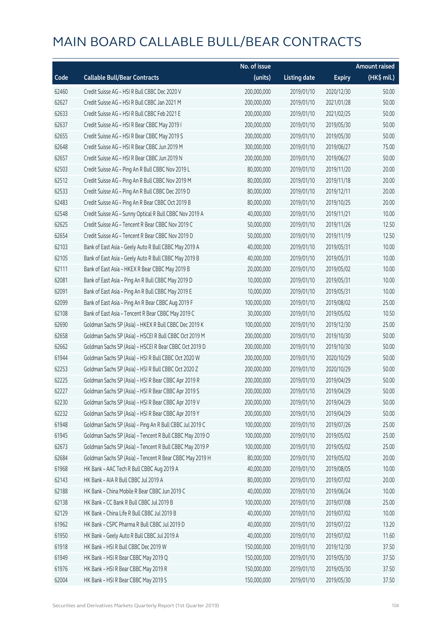|       |                                                          | No. of issue |                     |               | <b>Amount raised</b> |
|-------|----------------------------------------------------------|--------------|---------------------|---------------|----------------------|
| Code  | <b>Callable Bull/Bear Contracts</b>                      | (units)      | <b>Listing date</b> | <b>Expiry</b> | (HK\$ mil.)          |
| 62460 | Credit Suisse AG - HSI R Bull CBBC Dec 2020 V            | 200,000,000  | 2019/01/10          | 2020/12/30    | 50.00                |
| 62627 | Credit Suisse AG - HSI R Bull CBBC Jan 2021 M            | 200,000,000  | 2019/01/10          | 2021/01/28    | 50.00                |
| 62633 | Credit Suisse AG - HSI R Bull CBBC Feb 2021 E            | 200,000,000  | 2019/01/10          | 2021/02/25    | 50.00                |
| 62637 | Credit Suisse AG - HSI R Bear CBBC May 2019 I            | 200,000,000  | 2019/01/10          | 2019/05/30    | 50.00                |
| 62655 | Credit Suisse AG - HSI R Bear CBBC May 2019 S            | 200,000,000  | 2019/01/10          | 2019/05/30    | 50.00                |
| 62648 | Credit Suisse AG - HSI R Bear CBBC Jun 2019 M            | 300,000,000  | 2019/01/10          | 2019/06/27    | 75.00                |
| 62657 | Credit Suisse AG - HSI R Bear CBBC Jun 2019 N            | 200,000,000  | 2019/01/10          | 2019/06/27    | 50.00                |
| 62503 | Credit Suisse AG - Ping An R Bull CBBC Nov 2019 L        | 80,000,000   | 2019/01/10          | 2019/11/20    | 20.00                |
| 62512 | Credit Suisse AG - Ping An R Bull CBBC Nov 2019 M        | 80,000,000   | 2019/01/10          | 2019/11/18    | 20.00                |
| 62533 | Credit Suisse AG - Ping An R Bull CBBC Dec 2019 D        | 80,000,000   | 2019/01/10          | 2019/12/11    | 20.00                |
| 62483 | Credit Suisse AG - Ping An R Bear CBBC Oct 2019 B        | 80,000,000   | 2019/01/10          | 2019/10/25    | 20.00                |
| 62548 | Credit Suisse AG - Sunny Optical R Bull CBBC Nov 2019 A  | 40,000,000   | 2019/01/10          | 2019/11/21    | 10.00                |
| 62625 | Credit Suisse AG - Tencent R Bear CBBC Nov 2019 C        | 50,000,000   | 2019/01/10          | 2019/11/26    | 12.50                |
| 62654 | Credit Suisse AG - Tencent R Bear CBBC Nov 2019 D        | 50,000,000   | 2019/01/10          | 2019/11/19    | 12.50                |
| 62103 | Bank of East Asia - Geely Auto R Bull CBBC May 2019 A    | 40,000,000   | 2019/01/10          | 2019/05/31    | 10.00                |
| 62105 | Bank of East Asia - Geely Auto R Bull CBBC May 2019 B    | 40,000,000   | 2019/01/10          | 2019/05/31    | 10.00                |
| 62111 | Bank of East Asia - HKEX R Bear CBBC May 2019 B          | 20,000,000   | 2019/01/10          | 2019/05/02    | 10.00                |
| 62081 | Bank of East Asia - Ping An R Bull CBBC May 2019 D       | 10,000,000   | 2019/01/10          | 2019/05/31    | 10.00                |
| 62091 | Bank of East Asia - Ping An R Bull CBBC May 2019 E       | 10,000,000   | 2019/01/10          | 2019/05/31    | 10.00                |
| 62099 | Bank of East Asia - Ping An R Bear CBBC Aug 2019 F       | 100,000,000  | 2019/01/10          | 2019/08/02    | 25.00                |
| 62108 | Bank of East Asia - Tencent R Bear CBBC May 2019 C       | 30,000,000   | 2019/01/10          | 2019/05/02    | 10.50                |
| 62690 | Goldman Sachs SP (Asia) - HKEX R Bull CBBC Dec 2019 K    | 100,000,000  | 2019/01/10          | 2019/12/30    | 25.00                |
| 62658 | Goldman Sachs SP (Asia) - HSCEI R Bull CBBC Oct 2019 M   | 200,000,000  | 2019/01/10          | 2019/10/30    | 50.00                |
| 62662 | Goldman Sachs SP (Asia) - HSCEI R Bear CBBC Oct 2019 D   | 200,000,000  | 2019/01/10          | 2019/10/30    | 50.00                |
| 61944 | Goldman Sachs SP (Asia) - HSI R Bull CBBC Oct 2020 W     | 200,000,000  | 2019/01/10          | 2020/10/29    | 50.00                |
| 62253 | Goldman Sachs SP (Asia) - HSI R Bull CBBC Oct 2020 Z     | 200,000,000  | 2019/01/10          | 2020/10/29    | 50.00                |
| 62225 | Goldman Sachs SP (Asia) - HSI R Bear CBBC Apr 2019 R     | 200,000,000  | 2019/01/10          | 2019/04/29    | 50.00                |
| 62227 | Goldman Sachs SP (Asia) - HSI R Bear CBBC Apr 2019 S     | 200,000,000  | 2019/01/10          | 2019/04/29    | 50.00                |
| 62230 | Goldman Sachs SP (Asia) - HSI R Bear CBBC Apr 2019 V     | 200,000,000  | 2019/01/10          | 2019/04/29    | 50.00                |
| 62232 | Goldman Sachs SP (Asia) - HSI R Bear CBBC Apr 2019 Y     | 200,000,000  | 2019/01/10          | 2019/04/29    | 50.00                |
| 61948 | Goldman Sachs SP (Asia) - Ping An R Bull CBBC Jul 2019 C | 100,000,000  | 2019/01/10          | 2019/07/26    | 25.00                |
| 61945 | Goldman Sachs SP (Asia) - Tencent R Bull CBBC May 2019 O | 100,000,000  | 2019/01/10          | 2019/05/02    | 25.00                |
| 62673 | Goldman Sachs SP (Asia) - Tencent R Bull CBBC May 2019 P | 100,000,000  | 2019/01/10          | 2019/05/02    | 25.00                |
| 62684 | Goldman Sachs SP (Asia) - Tencent R Bear CBBC May 2019 H | 80,000,000   | 2019/01/10          | 2019/05/02    | 20.00                |
| 61968 | HK Bank - AAC Tech R Bull CBBC Aug 2019 A                | 40,000,000   | 2019/01/10          | 2019/08/05    | 10.00                |
| 62143 | HK Bank - AIA R Bull CBBC Jul 2019 A                     | 80,000,000   | 2019/01/10          | 2019/07/02    | 20.00                |
| 62188 | HK Bank - China Mobile R Bear CBBC Jun 2019 C            | 40,000,000   | 2019/01/10          | 2019/06/24    | 10.00                |
| 62138 | HK Bank - CC Bank R Bull CBBC Jul 2019 B                 | 100,000,000  | 2019/01/10          | 2019/07/08    | 25.00                |
| 62129 | HK Bank - China Life R Bull CBBC Jul 2019 B              | 40,000,000   | 2019/01/10          | 2019/07/02    | 10.00                |
| 61962 | HK Bank - CSPC Pharma R Bull CBBC Jul 2019 D             | 40,000,000   | 2019/01/10          | 2019/07/22    | 13.20                |
| 61950 | HK Bank - Geely Auto R Bull CBBC Jul 2019 A              | 40,000,000   | 2019/01/10          | 2019/07/02    | 11.60                |
| 61918 | HK Bank - HSI R Bull CBBC Dec 2019 W                     | 150,000,000  | 2019/01/10          | 2019/12/30    | 37.50                |
| 61949 | HK Bank - HSI R Bear CBBC May 2019 Q                     | 150,000,000  | 2019/01/10          | 2019/05/30    | 37.50                |
| 61976 | HK Bank - HSI R Bear CBBC May 2019 R                     | 150,000,000  | 2019/01/10          | 2019/05/30    | 37.50                |
| 62004 | HK Bank - HSI R Bear CBBC May 2019 S                     | 150,000,000  | 2019/01/10          | 2019/05/30    | 37.50                |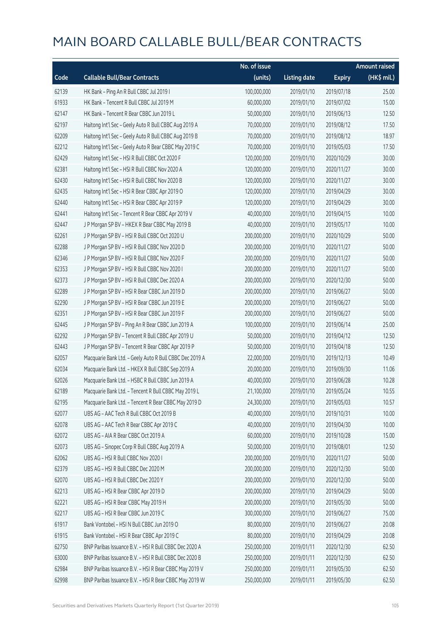|       |                                                         | No. of issue |                     |               | <b>Amount raised</b> |
|-------|---------------------------------------------------------|--------------|---------------------|---------------|----------------------|
| Code  | <b>Callable Bull/Bear Contracts</b>                     | (units)      | <b>Listing date</b> | <b>Expiry</b> | (HK\$ mil.)          |
| 62139 | HK Bank - Ping An R Bull CBBC Jul 2019 I                | 100,000,000  | 2019/01/10          | 2019/07/18    | 25.00                |
| 61933 | HK Bank - Tencent R Bull CBBC Jul 2019 M                | 60,000,000   | 2019/01/10          | 2019/07/02    | 15.00                |
| 62147 | HK Bank - Tencent R Bear CBBC Jun 2019 L                | 50,000,000   | 2019/01/10          | 2019/06/13    | 12.50                |
| 62197 | Haitong Int'l Sec - Geely Auto R Bull CBBC Aug 2019 A   | 70,000,000   | 2019/01/10          | 2019/08/12    | 17.50                |
| 62209 | Haitong Int'l Sec - Geely Auto R Bull CBBC Aug 2019 B   | 70,000,000   | 2019/01/10          | 2019/08/12    | 18.97                |
| 62212 | Haitong Int'l Sec - Geely Auto R Bear CBBC May 2019 C   | 70,000,000   | 2019/01/10          | 2019/05/03    | 17.50                |
| 62429 | Haitong Int'l Sec - HSI R Bull CBBC Oct 2020 F          | 120,000,000  | 2019/01/10          | 2020/10/29    | 30.00                |
| 62381 | Haitong Int'l Sec - HSI R Bull CBBC Nov 2020 A          | 120,000,000  | 2019/01/10          | 2020/11/27    | 30.00                |
| 62430 | Haitong Int'l Sec - HSI R Bull CBBC Nov 2020 B          | 120,000,000  | 2019/01/10          | 2020/11/27    | 30.00                |
| 62435 | Haitong Int'l Sec - HSI R Bear CBBC Apr 2019 O          | 120,000,000  | 2019/01/10          | 2019/04/29    | 30.00                |
| 62440 | Haitong Int'l Sec - HSI R Bear CBBC Apr 2019 P          | 120,000,000  | 2019/01/10          | 2019/04/29    | 30.00                |
| 62441 | Haitong Int'l Sec - Tencent R Bear CBBC Apr 2019 V      | 40,000,000   | 2019/01/10          | 2019/04/15    | 10.00                |
| 62447 | J P Morgan SP BV - HKEX R Bear CBBC May 2019 B          | 40,000,000   | 2019/01/10          | 2019/05/17    | 10.00                |
| 62261 | J P Morgan SP BV - HSI R Bull CBBC Oct 2020 U           | 200,000,000  | 2019/01/10          | 2020/10/29    | 50.00                |
| 62288 | J P Morgan SP BV - HSI R Bull CBBC Nov 2020 D           | 200,000,000  | 2019/01/10          | 2020/11/27    | 50.00                |
| 62346 | J P Morgan SP BV - HSI R Bull CBBC Nov 2020 F           | 200,000,000  | 2019/01/10          | 2020/11/27    | 50.00                |
| 62353 | J P Morgan SP BV - HSI R Bull CBBC Nov 2020 I           | 200,000,000  | 2019/01/10          | 2020/11/27    | 50.00                |
| 62373 | J P Morgan SP BV - HSI R Bull CBBC Dec 2020 A           | 200,000,000  | 2019/01/10          | 2020/12/30    | 50.00                |
| 62289 | J P Morgan SP BV - HSI R Bear CBBC Jun 2019 D           | 200,000,000  | 2019/01/10          | 2019/06/27    | 50.00                |
| 62290 | J P Morgan SP BV - HSI R Bear CBBC Jun 2019 E           | 200,000,000  | 2019/01/10          | 2019/06/27    | 50.00                |
| 62351 | J P Morgan SP BV - HSI R Bear CBBC Jun 2019 F           | 200,000,000  | 2019/01/10          | 2019/06/27    | 50.00                |
| 62445 | J P Morgan SP BV - Ping An R Bear CBBC Jun 2019 A       | 100,000,000  | 2019/01/10          | 2019/06/14    | 25.00                |
| 62292 | J P Morgan SP BV - Tencent R Bull CBBC Apr 2019 U       | 50,000,000   | 2019/01/10          | 2019/04/12    | 12.50                |
| 62443 | J P Morgan SP BV - Tencent R Bear CBBC Apr 2019 P       | 50,000,000   | 2019/01/10          | 2019/04/18    | 12.50                |
| 62057 | Macquarie Bank Ltd. - Geely Auto R Bull CBBC Dec 2019 A | 22,000,000   | 2019/01/10          | 2019/12/13    | 10.49                |
| 62034 | Macquarie Bank Ltd. - HKEX R Bull CBBC Sep 2019 A       | 20,000,000   | 2019/01/10          | 2019/09/30    | 11.06                |
| 62026 | Macquarie Bank Ltd. - HSBC R Bull CBBC Jun 2019 A       | 40,000,000   | 2019/01/10          | 2019/06/28    | 10.28                |
| 62189 | Macquarie Bank Ltd. - Tencent R Bull CBBC May 2019 L    | 21,100,000   | 2019/01/10          | 2019/05/24    | 10.55                |
| 62195 | Macquarie Bank Ltd. - Tencent R Bear CBBC May 2019 D    | 24,300,000   | 2019/01/10          | 2019/05/03    | 10.57                |
| 62077 | UBS AG - AAC Tech R Bull CBBC Oct 2019 B                | 40,000,000   | 2019/01/10          | 2019/10/31    | 10.00                |
| 62078 | UBS AG - AAC Tech R Bear CBBC Apr 2019 C                | 40,000,000   | 2019/01/10          | 2019/04/30    | 10.00                |
| 62072 | UBS AG - AIA R Bear CBBC Oct 2019 A                     | 60,000,000   | 2019/01/10          | 2019/10/28    | 15.00                |
| 62073 | UBS AG - Sinopec Corp R Bull CBBC Aug 2019 A            | 50,000,000   | 2019/01/10          | 2019/08/01    | 12.50                |
| 62062 | UBS AG - HSI R Bull CBBC Nov 2020 I                     | 200,000,000  | 2019/01/10          | 2020/11/27    | 50.00                |
| 62379 | UBS AG - HSI R Bull CBBC Dec 2020 M                     | 200,000,000  | 2019/01/10          | 2020/12/30    | 50.00                |
| 62070 | UBS AG - HSI R Bull CBBC Dec 2020 Y                     | 200,000,000  | 2019/01/10          | 2020/12/30    | 50.00                |
| 62213 | UBS AG - HSI R Bear CBBC Apr 2019 D                     | 200,000,000  | 2019/01/10          | 2019/04/29    | 50.00                |
| 62221 | UBS AG - HSI R Bear CBBC May 2019 H                     | 200,000,000  | 2019/01/10          | 2019/05/30    | 50.00                |
| 62217 | UBS AG - HSI R Bear CBBC Jun 2019 C                     | 300,000,000  | 2019/01/10          | 2019/06/27    | 75.00                |
| 61917 | Bank Vontobel - HSI N Bull CBBC Jun 2019 O              | 80,000,000   | 2019/01/10          | 2019/06/27    | 20.08                |
| 61915 | Bank Vontobel - HSI R Bear CBBC Apr 2019 C              | 80,000,000   | 2019/01/10          | 2019/04/29    | 20.08                |
| 62750 | BNP Paribas Issuance B.V. - HSI R Bull CBBC Dec 2020 A  | 250,000,000  | 2019/01/11          | 2020/12/30    | 62.50                |
| 63000 | BNP Paribas Issuance B.V. - HSI R Bull CBBC Dec 2020 B  | 250,000,000  | 2019/01/11          | 2020/12/30    | 62.50                |
| 62984 | BNP Paribas Issuance B.V. - HSI R Bear CBBC May 2019 V  | 250,000,000  | 2019/01/11          | 2019/05/30    | 62.50                |
| 62998 | BNP Paribas Issuance B.V. - HSI R Bear CBBC May 2019 W  | 250,000,000  | 2019/01/11          | 2019/05/30    | 62.50                |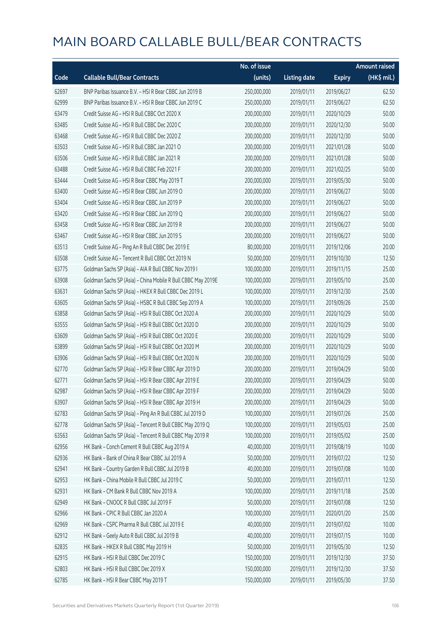|       |                                                              | No. of issue |                     |               | <b>Amount raised</b> |
|-------|--------------------------------------------------------------|--------------|---------------------|---------------|----------------------|
| Code  | <b>Callable Bull/Bear Contracts</b>                          | (units)      | <b>Listing date</b> | <b>Expiry</b> | (HK\$ mil.)          |
| 62697 | BNP Paribas Issuance B.V. - HSI R Bear CBBC Jun 2019 B       | 250,000,000  | 2019/01/11          | 2019/06/27    | 62.50                |
| 62999 | BNP Paribas Issuance B.V. - HSI R Bear CBBC Jun 2019 C       | 250,000,000  | 2019/01/11          | 2019/06/27    | 62.50                |
| 63479 | Credit Suisse AG - HSI R Bull CBBC Oct 2020 X                | 200,000,000  | 2019/01/11          | 2020/10/29    | 50.00                |
| 63485 | Credit Suisse AG - HSI R Bull CBBC Dec 2020 C                | 200,000,000  | 2019/01/11          | 2020/12/30    | 50.00                |
| 63468 | Credit Suisse AG - HSI R Bull CBBC Dec 2020 Z                | 200,000,000  | 2019/01/11          | 2020/12/30    | 50.00                |
| 63503 | Credit Suisse AG - HSI R Bull CBBC Jan 2021 O                | 200,000,000  | 2019/01/11          | 2021/01/28    | 50.00                |
| 63506 | Credit Suisse AG - HSI R Bull CBBC Jan 2021 R                | 200,000,000  | 2019/01/11          | 2021/01/28    | 50.00                |
| 63488 | Credit Suisse AG - HSI R Bull CBBC Feb 2021 F                | 200,000,000  | 2019/01/11          | 2021/02/25    | 50.00                |
| 63444 | Credit Suisse AG - HSI R Bear CBBC May 2019 T                | 200,000,000  | 2019/01/11          | 2019/05/30    | 50.00                |
| 63400 | Credit Suisse AG - HSI R Bear CBBC Jun 2019 O                | 200,000,000  | 2019/01/11          | 2019/06/27    | 50.00                |
| 63404 | Credit Suisse AG - HSI R Bear CBBC Jun 2019 P                | 200,000,000  | 2019/01/11          | 2019/06/27    | 50.00                |
| 63420 | Credit Suisse AG - HSI R Bear CBBC Jun 2019 Q                | 200,000,000  | 2019/01/11          | 2019/06/27    | 50.00                |
| 63458 | Credit Suisse AG - HSI R Bear CBBC Jun 2019 R                | 200,000,000  | 2019/01/11          | 2019/06/27    | 50.00                |
| 63467 | Credit Suisse AG - HSI R Bear CBBC Jun 2019 S                | 200,000,000  | 2019/01/11          | 2019/06/27    | 50.00                |
| 63513 | Credit Suisse AG - Ping An R Bull CBBC Dec 2019 E            | 80,000,000   | 2019/01/11          | 2019/12/06    | 20.00                |
| 63508 | Credit Suisse AG - Tencent R Bull CBBC Oct 2019 N            | 50,000,000   | 2019/01/11          | 2019/10/30    | 12.50                |
| 63775 | Goldman Sachs SP (Asia) - AIA R Bull CBBC Nov 2019 I         | 100,000,000  | 2019/01/11          | 2019/11/15    | 25.00                |
| 63908 | Goldman Sachs SP (Asia) - China Mobile R Bull CBBC May 2019E | 100,000,000  | 2019/01/11          | 2019/05/10    | 25.00                |
| 63631 | Goldman Sachs SP (Asia) - HKEX R Bull CBBC Dec 2019 L        | 100,000,000  | 2019/01/11          | 2019/12/30    | 25.00                |
| 63605 | Goldman Sachs SP (Asia) - HSBC R Bull CBBC Sep 2019 A        | 100,000,000  | 2019/01/11          | 2019/09/26    | 25.00                |
| 63858 | Goldman Sachs SP (Asia) - HSI R Bull CBBC Oct 2020 A         | 200,000,000  | 2019/01/11          | 2020/10/29    | 50.00                |
| 63555 | Goldman Sachs SP (Asia) - HSI R Bull CBBC Oct 2020 D         | 200,000,000  | 2019/01/11          | 2020/10/29    | 50.00                |
| 63609 | Goldman Sachs SP (Asia) - HSI R Bull CBBC Oct 2020 E         | 200,000,000  | 2019/01/11          | 2020/10/29    | 50.00                |
| 63899 | Goldman Sachs SP (Asia) - HSI R Bull CBBC Oct 2020 M         | 200,000,000  | 2019/01/11          | 2020/10/29    | 50.00                |
| 63906 | Goldman Sachs SP (Asia) - HSI R Bull CBBC Oct 2020 N         | 200,000,000  | 2019/01/11          | 2020/10/29    | 50.00                |
| 62770 | Goldman Sachs SP (Asia) - HSI R Bear CBBC Apr 2019 D         | 200,000,000  | 2019/01/11          | 2019/04/29    | 50.00                |
| 62771 | Goldman Sachs SP (Asia) - HSI R Bear CBBC Apr 2019 E         | 200,000,000  | 2019/01/11          | 2019/04/29    | 50.00                |
| 62987 | Goldman Sachs SP (Asia) - HSI R Bear CBBC Apr 2019 F         | 200,000,000  | 2019/01/11          | 2019/04/29    | 50.00                |
| 63907 | Goldman Sachs SP (Asia) - HSI R Bear CBBC Apr 2019 H         | 200,000,000  | 2019/01/11          | 2019/04/29    | 50.00                |
| 62783 | Goldman Sachs SP (Asia) - Ping An R Bull CBBC Jul 2019 D     | 100,000,000  | 2019/01/11          | 2019/07/26    | 25.00                |
| 62778 | Goldman Sachs SP (Asia) - Tencent R Bull CBBC May 2019 Q     | 100,000,000  | 2019/01/11          | 2019/05/03    | 25.00                |
| 63563 | Goldman Sachs SP (Asia) - Tencent R Bull CBBC May 2019 R     | 100,000,000  | 2019/01/11          | 2019/05/02    | 25.00                |
| 62956 | HK Bank - Conch Cement R Bull CBBC Aug 2019 A                | 40,000,000   | 2019/01/11          | 2019/08/19    | 10.00                |
| 62936 | HK Bank - Bank of China R Bear CBBC Jul 2019 A               | 50,000,000   | 2019/01/11          | 2019/07/22    | 12.50                |
| 62941 | HK Bank - Country Garden R Bull CBBC Jul 2019 B              | 40,000,000   | 2019/01/11          | 2019/07/08    | 10.00                |
| 62953 | HK Bank - China Mobile R Bull CBBC Jul 2019 C                | 50,000,000   | 2019/01/11          | 2019/07/11    | 12.50                |
| 62931 | HK Bank - CM Bank R Bull CBBC Nov 2019 A                     | 100,000,000  | 2019/01/11          | 2019/11/18    | 25.00                |
| 62949 | HK Bank - CNOOC R Bull CBBC Jul 2019 F                       | 50,000,000   | 2019/01/11          | 2019/07/08    | 12.50                |
| 62966 | HK Bank - CPIC R Bull CBBC Jan 2020 A                        | 100,000,000  | 2019/01/11          | 2020/01/20    | 25.00                |
| 62969 | HK Bank - CSPC Pharma R Bull CBBC Jul 2019 E                 | 40,000,000   | 2019/01/11          | 2019/07/02    | 10.00                |
| 62912 | HK Bank - Geely Auto R Bull CBBC Jul 2019 B                  | 40,000,000   | 2019/01/11          | 2019/07/15    | 10.00                |
| 62835 | HK Bank - HKEX R Bull CBBC May 2019 H                        | 50,000,000   | 2019/01/11          | 2019/05/30    | 12.50                |
| 62915 | HK Bank - HSI R Bull CBBC Dec 2019 C                         | 150,000,000  | 2019/01/11          | 2019/12/30    | 37.50                |
| 62803 | HK Bank - HSI R Bull CBBC Dec 2019 X                         | 150,000,000  | 2019/01/11          | 2019/12/30    | 37.50                |
| 62785 | HK Bank - HSI R Bear CBBC May 2019 T                         | 150,000,000  | 2019/01/11          | 2019/05/30    | 37.50                |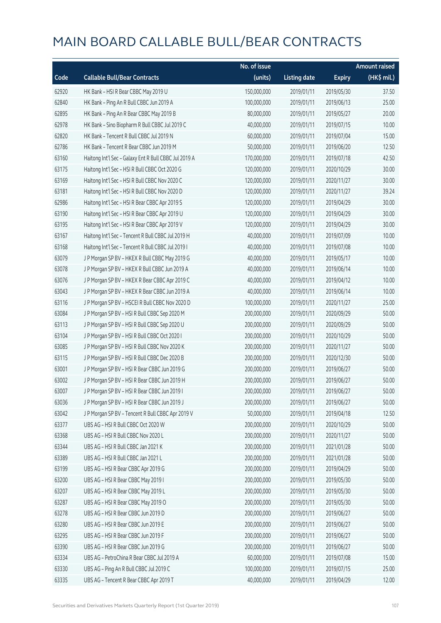|       |                                                       | No. of issue |                     |               | <b>Amount raised</b> |
|-------|-------------------------------------------------------|--------------|---------------------|---------------|----------------------|
| Code  | <b>Callable Bull/Bear Contracts</b>                   | (units)      | <b>Listing date</b> | <b>Expiry</b> | (HK\$ mil.)          |
| 62920 | HK Bank - HSI R Bear CBBC May 2019 U                  | 150,000,000  | 2019/01/11          | 2019/05/30    | 37.50                |
| 62840 | HK Bank - Ping An R Bull CBBC Jun 2019 A              | 100,000,000  | 2019/01/11          | 2019/06/13    | 25.00                |
| 62895 | HK Bank - Ping An R Bear CBBC May 2019 B              | 80,000,000   | 2019/01/11          | 2019/05/27    | 20.00                |
| 62978 | HK Bank - Sino Biopharm R Bull CBBC Jul 2019 C        | 40,000,000   | 2019/01/11          | 2019/07/15    | 10.00                |
| 62820 | HK Bank - Tencent R Bull CBBC Jul 2019 N              | 60,000,000   | 2019/01/11          | 2019/07/04    | 15.00                |
| 62786 | HK Bank - Tencent R Bear CBBC Jun 2019 M              | 50,000,000   | 2019/01/11          | 2019/06/20    | 12.50                |
| 63160 | Haitong Int'l Sec - Galaxy Ent R Bull CBBC Jul 2019 A | 170,000,000  | 2019/01/11          | 2019/07/18    | 42.50                |
| 63175 | Haitong Int'l Sec - HSI R Bull CBBC Oct 2020 G        | 120,000,000  | 2019/01/11          | 2020/10/29    | 30.00                |
| 63169 | Haitong Int'l Sec - HSI R Bull CBBC Nov 2020 C        | 120,000,000  | 2019/01/11          | 2020/11/27    | 30.00                |
| 63181 | Haitong Int'l Sec - HSI R Bull CBBC Nov 2020 D        | 120,000,000  | 2019/01/11          | 2020/11/27    | 39.24                |
| 62986 | Haitong Int'l Sec - HSI R Bear CBBC Apr 2019 S        | 120,000,000  | 2019/01/11          | 2019/04/29    | 30.00                |
| 63190 | Haitong Int'l Sec - HSI R Bear CBBC Apr 2019 U        | 120,000,000  | 2019/01/11          | 2019/04/29    | 30.00                |
| 63195 | Haitong Int'l Sec - HSI R Bear CBBC Apr 2019 V        | 120,000,000  | 2019/01/11          | 2019/04/29    | 30.00                |
| 63167 | Haitong Int'l Sec - Tencent R Bull CBBC Jul 2019 H    | 40,000,000   | 2019/01/11          | 2019/07/09    | 10.00                |
| 63168 | Haitong Int'l Sec - Tencent R Bull CBBC Jul 2019 I    | 40,000,000   | 2019/01/11          | 2019/07/08    | 10.00                |
| 63079 | J P Morgan SP BV - HKEX R Bull CBBC May 2019 G        | 40,000,000   | 2019/01/11          | 2019/05/17    | 10.00                |
| 63078 | J P Morgan SP BV - HKEX R Bull CBBC Jun 2019 A        | 40,000,000   | 2019/01/11          | 2019/06/14    | 10.00                |
| 63076 | J P Morgan SP BV - HKEX R Bear CBBC Apr 2019 C        | 40,000,000   | 2019/01/11          | 2019/04/12    | 10.00                |
| 63043 | J P Morgan SP BV - HKEX R Bear CBBC Jun 2019 A        | 40,000,000   | 2019/01/11          | 2019/06/14    | 10.00                |
| 63116 | J P Morgan SP BV - HSCEI R Bull CBBC Nov 2020 D       | 100,000,000  | 2019/01/11          | 2020/11/27    | 25.00                |
| 63084 | J P Morgan SP BV - HSI R Bull CBBC Sep 2020 M         | 200,000,000  | 2019/01/11          | 2020/09/29    | 50.00                |
| 63113 | J P Morgan SP BV - HSI R Bull CBBC Sep 2020 U         | 200,000,000  | 2019/01/11          | 2020/09/29    | 50.00                |
| 63104 | J P Morgan SP BV - HSI R Bull CBBC Oct 2020 I         | 200,000,000  | 2019/01/11          | 2020/10/29    | 50.00                |
| 63085 | J P Morgan SP BV - HSI R Bull CBBC Nov 2020 K         | 200,000,000  | 2019/01/11          | 2020/11/27    | 50.00                |
| 63115 | J P Morgan SP BV - HSI R Bull CBBC Dec 2020 B         | 200,000,000  | 2019/01/11          | 2020/12/30    | 50.00                |
| 63001 | J P Morgan SP BV - HSI R Bear CBBC Jun 2019 G         | 200,000,000  | 2019/01/11          | 2019/06/27    | 50.00                |
| 63002 | J P Morgan SP BV - HSI R Bear CBBC Jun 2019 H         | 200,000,000  | 2019/01/11          | 2019/06/27    | 50.00                |
| 63007 | J P Morgan SP BV - HSI R Bear CBBC Jun 2019 I         | 200,000,000  | 2019/01/11          | 2019/06/27    | 50.00                |
| 63036 | J P Morgan SP BV - HSI R Bear CBBC Jun 2019 J         | 200,000,000  | 2019/01/11          | 2019/06/27    | 50.00                |
| 63042 | J P Morgan SP BV - Tencent R Bull CBBC Apr 2019 V     | 50,000,000   | 2019/01/11          | 2019/04/18    | 12.50                |
| 63377 | UBS AG - HSI R Bull CBBC Oct 2020 W                   | 200,000,000  | 2019/01/11          | 2020/10/29    | 50.00                |
| 63368 | UBS AG - HSI R Bull CBBC Nov 2020 L                   | 200,000,000  | 2019/01/11          | 2020/11/27    | 50.00                |
| 63344 | UBS AG - HSI R Bull CBBC Jan 2021 K                   | 200,000,000  | 2019/01/11          | 2021/01/28    | 50.00                |
| 63389 | UBS AG - HSI R Bull CBBC Jan 2021 L                   | 200,000,000  | 2019/01/11          | 2021/01/28    | 50.00                |
| 63199 | UBS AG - HSI R Bear CBBC Apr 2019 G                   | 200,000,000  | 2019/01/11          | 2019/04/29    | 50.00                |
| 63200 | UBS AG - HSI R Bear CBBC May 2019 I                   | 200,000,000  | 2019/01/11          | 2019/05/30    | 50.00                |
| 63207 | UBS AG - HSI R Bear CBBC May 2019 L                   | 200,000,000  | 2019/01/11          | 2019/05/30    | 50.00                |
| 63287 | UBS AG - HSI R Bear CBBC May 2019 O                   | 200,000,000  | 2019/01/11          | 2019/05/30    | 50.00                |
| 63278 | UBS AG - HSI R Bear CBBC Jun 2019 D                   | 200,000,000  | 2019/01/11          | 2019/06/27    | 50.00                |
| 63280 | UBS AG - HSI R Bear CBBC Jun 2019 E                   | 200,000,000  | 2019/01/11          | 2019/06/27    | 50.00                |
| 63295 | UBS AG - HSI R Bear CBBC Jun 2019 F                   | 200,000,000  | 2019/01/11          | 2019/06/27    | 50.00                |
| 63390 | UBS AG - HSI R Bear CBBC Jun 2019 G                   | 200,000,000  | 2019/01/11          | 2019/06/27    | 50.00                |
| 63334 | UBS AG - PetroChina R Bear CBBC Jul 2019 A            | 60,000,000   | 2019/01/11          | 2019/07/08    | 15.00                |
| 63330 | UBS AG - Ping An R Bull CBBC Jul 2019 C               | 100,000,000  | 2019/01/11          | 2019/07/15    | 25.00                |
| 63335 | UBS AG - Tencent R Bear CBBC Apr 2019 T               | 40,000,000   | 2019/01/11          | 2019/04/29    | 12.00                |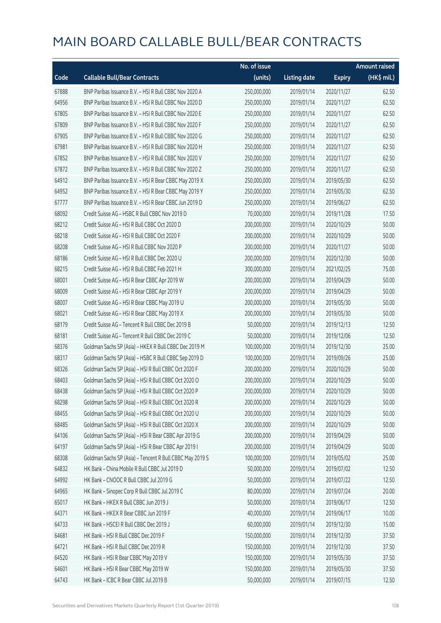|       |                                                          | No. of issue |                     |               | <b>Amount raised</b>  |
|-------|----------------------------------------------------------|--------------|---------------------|---------------|-----------------------|
| Code  | <b>Callable Bull/Bear Contracts</b>                      | (units)      | <b>Listing date</b> | <b>Expiry</b> | $(HK\frac{1}{2}mil.)$ |
| 67888 | BNP Paribas Issuance B.V. - HSI R Bull CBBC Nov 2020 A   | 250,000,000  | 2019/01/14          | 2020/11/27    | 62.50                 |
| 64956 | BNP Paribas Issuance B.V. - HSI R Bull CBBC Nov 2020 D   | 250,000,000  | 2019/01/14          | 2020/11/27    | 62.50                 |
| 67805 | BNP Paribas Issuance B.V. - HSI R Bull CBBC Nov 2020 E   | 250,000,000  | 2019/01/14          | 2020/11/27    | 62.50                 |
| 67809 | BNP Paribas Issuance B.V. - HSI R Bull CBBC Nov 2020 F   | 250,000,000  | 2019/01/14          | 2020/11/27    | 62.50                 |
| 67905 | BNP Paribas Issuance B.V. - HSI R Bull CBBC Nov 2020 G   | 250,000,000  | 2019/01/14          | 2020/11/27    | 62.50                 |
| 67981 | BNP Paribas Issuance B.V. - HSI R Bull CBBC Nov 2020 H   | 250,000,000  | 2019/01/14          | 2020/11/27    | 62.50                 |
| 67852 | BNP Paribas Issuance B.V. - HSI R Bull CBBC Nov 2020 V   | 250,000,000  | 2019/01/14          | 2020/11/27    | 62.50                 |
| 67872 | BNP Paribas Issuance B.V. - HSI R Bull CBBC Nov 2020 Z   | 250,000,000  | 2019/01/14          | 2020/11/27    | 62.50                 |
| 64912 | BNP Paribas Issuance B.V. - HSI R Bear CBBC May 2019 X   | 250,000,000  | 2019/01/14          | 2019/05/30    | 62.50                 |
| 64952 | BNP Paribas Issuance B.V. - HSI R Bear CBBC May 2019 Y   | 250,000,000  | 2019/01/14          | 2019/05/30    | 62.50                 |
| 67777 | BNP Paribas Issuance B.V. - HSI R Bear CBBC Jun 2019 D   | 250,000,000  | 2019/01/14          | 2019/06/27    | 62.50                 |
| 68092 | Credit Suisse AG - HSBC R Bull CBBC Nov 2019 D           | 70,000,000   | 2019/01/14          | 2019/11/28    | 17.50                 |
| 68212 | Credit Suisse AG - HSI R Bull CBBC Oct 2020 D            | 200,000,000  | 2019/01/14          | 2020/10/29    | 50.00                 |
| 68218 | Credit Suisse AG - HSI R Bull CBBC Oct 2020 F            | 200,000,000  | 2019/01/14          | 2020/10/29    | 50.00                 |
| 68208 | Credit Suisse AG - HSI R Bull CBBC Nov 2020 P            | 200,000,000  | 2019/01/14          | 2020/11/27    | 50.00                 |
| 68186 | Credit Suisse AG - HSI R Bull CBBC Dec 2020 U            | 200,000,000  | 2019/01/14          | 2020/12/30    | 50.00                 |
| 68215 | Credit Suisse AG - HSI R Bull CBBC Feb 2021 H            | 300,000,000  | 2019/01/14          | 2021/02/25    | 75.00                 |
| 68001 | Credit Suisse AG - HSI R Bear CBBC Apr 2019 W            | 200,000,000  | 2019/01/14          | 2019/04/29    | 50.00                 |
| 68009 | Credit Suisse AG - HSI R Bear CBBC Apr 2019 Y            | 200,000,000  | 2019/01/14          | 2019/04/29    | 50.00                 |
| 68007 | Credit Suisse AG - HSI R Bear CBBC May 2019 U            | 200,000,000  | 2019/01/14          | 2019/05/30    | 50.00                 |
| 68021 | Credit Suisse AG - HSI R Bear CBBC May 2019 X            | 200,000,000  | 2019/01/14          | 2019/05/30    | 50.00                 |
| 68179 | Credit Suisse AG - Tencent R Bull CBBC Dec 2019 B        | 50,000,000   | 2019/01/14          | 2019/12/13    | 12.50                 |
| 68181 | Credit Suisse AG - Tencent R Bull CBBC Dec 2019 C        | 50,000,000   | 2019/01/14          | 2019/12/06    | 12.50                 |
| 68376 | Goldman Sachs SP (Asia) - HKEX R Bull CBBC Dec 2019 M    | 100,000,000  | 2019/01/14          | 2019/12/30    | 25.00                 |
| 68317 | Goldman Sachs SP (Asia) - HSBC R Bull CBBC Sep 2019 D    | 100,000,000  | 2019/01/14          | 2019/09/26    | 25.00                 |
| 68326 | Goldman Sachs SP (Asia) - HSI R Bull CBBC Oct 2020 F     | 200,000,000  | 2019/01/14          | 2020/10/29    | 50.00                 |
| 68403 | Goldman Sachs SP (Asia) - HSI R Bull CBBC Oct 2020 O     | 200,000,000  | 2019/01/14          | 2020/10/29    | 50.00                 |
| 68438 | Goldman Sachs SP (Asia) - HSI R Bull CBBC Oct 2020 P     | 200,000,000  | 2019/01/14          | 2020/10/29    | 50.00                 |
| 68298 | Goldman Sachs SP (Asia) - HSI R Bull CBBC Oct 2020 R     | 200,000,000  | 2019/01/14          | 2020/10/29    | 50.00                 |
| 68455 | Goldman Sachs SP (Asia) - HSI R Bull CBBC Oct 2020 U     | 200,000,000  | 2019/01/14          | 2020/10/29    | 50.00                 |
| 68485 | Goldman Sachs SP (Asia) - HSI R Bull CBBC Oct 2020 X     | 200,000,000  | 2019/01/14          | 2020/10/29    | 50.00                 |
| 64106 | Goldman Sachs SP (Asia) - HSI R Bear CBBC Apr 2019 G     | 200,000,000  | 2019/01/14          | 2019/04/29    | 50.00                 |
| 64197 | Goldman Sachs SP (Asia) - HSI R Bear CBBC Apr 2019 I     | 200,000,000  | 2019/01/14          | 2019/04/29    | 50.00                 |
| 68308 | Goldman Sachs SP (Asia) - Tencent R Bull CBBC May 2019 S | 100,000,000  | 2019/01/14          | 2019/05/02    | 25.00                 |
| 64832 | HK Bank - China Mobile R Bull CBBC Jul 2019 D            | 50,000,000   | 2019/01/14          | 2019/07/02    | 12.50                 |
| 64992 | HK Bank - CNOOC R Bull CBBC Jul 2019 G                   | 50,000,000   | 2019/01/14          | 2019/07/22    | 12.50                 |
| 64965 | HK Bank - Sinopec Corp R Bull CBBC Jul 2019 C            | 80,000,000   | 2019/01/14          | 2019/07/24    | 20.00                 |
| 65017 | HK Bank - HKEX R Bull CBBC Jun 2019 J                    | 50,000,000   | 2019/01/14          | 2019/06/17    | 12.50                 |
| 64371 | HK Bank - HKEX R Bear CBBC Jun 2019 F                    | 40,000,000   | 2019/01/14          | 2019/06/17    | 10.00                 |
| 64733 | HK Bank - HSCEI R Bull CBBC Dec 2019 J                   | 60,000,000   | 2019/01/14          | 2019/12/30    | 15.00                 |
| 64681 | HK Bank - HSI R Bull CBBC Dec 2019 F                     | 150,000,000  | 2019/01/14          | 2019/12/30    | 37.50                 |
| 64721 | HK Bank - HSI R Bull CBBC Dec 2019 R                     | 150,000,000  | 2019/01/14          | 2019/12/30    | 37.50                 |
| 64520 | HK Bank - HSI R Bear CBBC May 2019 V                     | 150,000,000  | 2019/01/14          | 2019/05/30    | 37.50                 |
| 64601 | HK Bank - HSI R Bear CBBC May 2019 W                     | 150,000,000  | 2019/01/14          | 2019/05/30    | 37.50                 |
| 64743 | HK Bank - ICBC R Bear CBBC Jul 2019 B                    | 50,000,000   | 2019/01/14          | 2019/07/15    | 12.50                 |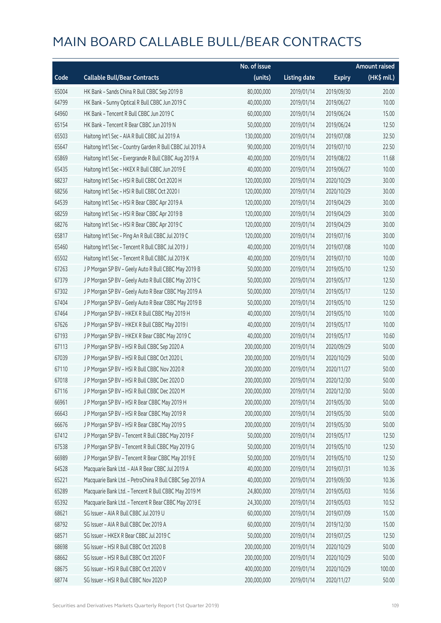|       |                                                           | No. of issue |                     |               | <b>Amount raised</b> |
|-------|-----------------------------------------------------------|--------------|---------------------|---------------|----------------------|
| Code  | <b>Callable Bull/Bear Contracts</b>                       | (units)      | <b>Listing date</b> | <b>Expiry</b> | $(HK\$ mil.)         |
| 65004 | HK Bank - Sands China R Bull CBBC Sep 2019 B              | 80,000,000   | 2019/01/14          | 2019/09/30    | 20.00                |
| 64799 | HK Bank - Sunny Optical R Bull CBBC Jun 2019 C            | 40,000,000   | 2019/01/14          | 2019/06/27    | 10.00                |
| 64960 | HK Bank - Tencent R Bull CBBC Jun 2019 C                  | 60,000,000   | 2019/01/14          | 2019/06/24    | 15.00                |
| 65154 | HK Bank - Tencent R Bear CBBC Jun 2019 N                  | 50,000,000   | 2019/01/14          | 2019/06/24    | 12.50                |
| 65503 | Haitong Int'l Sec - AIA R Bull CBBC Jul 2019 A            | 130,000,000  | 2019/01/14          | 2019/07/08    | 32.50                |
| 65647 | Haitong Int'l Sec - Country Garden R Bull CBBC Jul 2019 A | 90,000,000   | 2019/01/14          | 2019/07/10    | 22.50                |
| 65869 | Haitong Int'l Sec - Evergrande R Bull CBBC Aug 2019 A     | 40,000,000   | 2019/01/14          | 2019/08/22    | 11.68                |
| 65435 | Haitong Int'l Sec - HKEX R Bull CBBC Jun 2019 E           | 40,000,000   | 2019/01/14          | 2019/06/27    | 10.00                |
| 68237 | Haitong Int'l Sec - HSI R Bull CBBC Oct 2020 H            | 120,000,000  | 2019/01/14          | 2020/10/29    | 30.00                |
| 68256 | Haitong Int'l Sec - HSI R Bull CBBC Oct 2020 I            | 120,000,000  | 2019/01/14          | 2020/10/29    | 30.00                |
| 64539 | Haitong Int'l Sec - HSI R Bear CBBC Apr 2019 A            | 120,000,000  | 2019/01/14          | 2019/04/29    | 30.00                |
| 68259 | Haitong Int'l Sec - HSI R Bear CBBC Apr 2019 B            | 120,000,000  | 2019/01/14          | 2019/04/29    | 30.00                |
| 68276 | Haitong Int'l Sec - HSI R Bear CBBC Apr 2019 C            | 120,000,000  | 2019/01/14          | 2019/04/29    | 30.00                |
| 65817 | Haitong Int'l Sec - Ping An R Bull CBBC Jul 2019 C        | 120,000,000  | 2019/01/14          | 2019/07/16    | 30.00                |
| 65460 | Haitong Int'l Sec - Tencent R Bull CBBC Jul 2019 J        | 40,000,000   | 2019/01/14          | 2019/07/08    | 10.00                |
| 65502 | Haitong Int'l Sec - Tencent R Bull CBBC Jul 2019 K        | 40,000,000   | 2019/01/14          | 2019/07/10    | 10.00                |
| 67263 | J P Morgan SP BV - Geely Auto R Bull CBBC May 2019 B      | 50,000,000   | 2019/01/14          | 2019/05/10    | 12.50                |
| 67379 | J P Morgan SP BV - Geely Auto R Bull CBBC May 2019 C      | 50,000,000   | 2019/01/14          | 2019/05/17    | 12.50                |
| 67302 | J P Morgan SP BV - Geely Auto R Bear CBBC May 2019 A      | 50,000,000   | 2019/01/14          | 2019/05/17    | 12.50                |
| 67404 | J P Morgan SP BV - Geely Auto R Bear CBBC May 2019 B      | 50,000,000   | 2019/01/14          | 2019/05/10    | 12.50                |
| 67464 | J P Morgan SP BV - HKEX R Bull CBBC May 2019 H            | 40,000,000   | 2019/01/14          | 2019/05/10    | 10.00                |
| 67626 | J P Morgan SP BV - HKEX R Bull CBBC May 2019 I            | 40,000,000   | 2019/01/14          | 2019/05/17    | 10.00                |
| 67193 | J P Morgan SP BV - HKEX R Bear CBBC May 2019 C            | 40,000,000   | 2019/01/14          | 2019/05/17    | 10.60                |
| 67113 | J P Morgan SP BV - HSI R Bull CBBC Sep 2020 A             | 200,000,000  | 2019/01/14          | 2020/09/29    | 50.00                |
| 67039 | J P Morgan SP BV - HSI R Bull CBBC Oct 2020 L             | 200,000,000  | 2019/01/14          | 2020/10/29    | 50.00                |
| 67110 | J P Morgan SP BV - HSI R Bull CBBC Nov 2020 R             | 200,000,000  | 2019/01/14          | 2020/11/27    | 50.00                |
| 67018 | J P Morgan SP BV - HSI R Bull CBBC Dec 2020 D             | 200,000,000  | 2019/01/14          | 2020/12/30    | 50.00                |
| 67116 | J P Morgan SP BV - HSI R Bull CBBC Dec 2020 M             | 200,000,000  | 2019/01/14          | 2020/12/30    | 50.00                |
| 66961 | J P Morgan SP BV - HSI R Bear CBBC May 2019 H             | 200,000,000  | 2019/01/14          | 2019/05/30    | 50.00                |
| 66643 | J P Morgan SP BV - HSI R Bear CBBC May 2019 R             | 200,000,000  | 2019/01/14          | 2019/05/30    | 50.00                |
| 66676 | J P Morgan SP BV - HSI R Bear CBBC May 2019 S             | 200,000,000  | 2019/01/14          | 2019/05/30    | 50.00                |
| 67412 | J P Morgan SP BV - Tencent R Bull CBBC May 2019 F         | 50,000,000   | 2019/01/14          | 2019/05/17    | 12.50                |
| 67538 | J P Morgan SP BV - Tencent R Bull CBBC May 2019 G         | 50,000,000   | 2019/01/14          | 2019/05/10    | 12.50                |
| 66989 | J P Morgan SP BV - Tencent R Bear CBBC May 2019 E         | 50,000,000   | 2019/01/14          | 2019/05/10    | 12.50                |
| 64528 | Macquarie Bank Ltd. - AIA R Bear CBBC Jul 2019 A          | 40,000,000   | 2019/01/14          | 2019/07/31    | 10.36                |
| 65221 | Macquarie Bank Ltd. - PetroChina R Bull CBBC Sep 2019 A   | 40,000,000   | 2019/01/14          | 2019/09/30    | 10.36                |
| 65289 | Macquarie Bank Ltd. - Tencent R Bull CBBC May 2019 M      | 24,800,000   | 2019/01/14          | 2019/05/03    | 10.56                |
| 65392 | Macquarie Bank Ltd. - Tencent R Bear CBBC May 2019 E      | 24,300,000   | 2019/01/14          | 2019/05/03    | 10.52                |
| 68621 | SG Issuer - AIA R Bull CBBC Jul 2019 U                    | 60,000,000   | 2019/01/14          | 2019/07/09    | 15.00                |
| 68792 | SG Issuer - AIA R Bull CBBC Dec 2019 A                    | 60,000,000   | 2019/01/14          | 2019/12/30    | 15.00                |
| 68571 | SG Issuer - HKEX R Bear CBBC Jul 2019 C                   | 50,000,000   | 2019/01/14          | 2019/07/25    | 12.50                |
| 68698 | SG Issuer - HSI R Bull CBBC Oct 2020 B                    | 200,000,000  | 2019/01/14          | 2020/10/29    | 50.00                |
| 68662 | SG Issuer - HSI R Bull CBBC Oct 2020 F                    | 200,000,000  | 2019/01/14          | 2020/10/29    | 50.00                |
| 68675 | SG Issuer - HSI R Bull CBBC Oct 2020 V                    | 400,000,000  | 2019/01/14          | 2020/10/29    | 100.00               |
| 68774 | SG Issuer - HSI R Bull CBBC Nov 2020 P                    | 200,000,000  | 2019/01/14          | 2020/11/27    | 50.00                |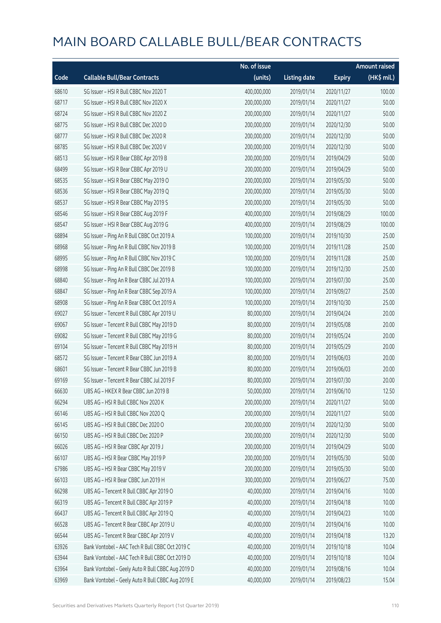|       |                                                   | No. of issue |                     |               | <b>Amount raised</b> |
|-------|---------------------------------------------------|--------------|---------------------|---------------|----------------------|
| Code  | <b>Callable Bull/Bear Contracts</b>               | (units)      | <b>Listing date</b> | <b>Expiry</b> | (HK\$ mil.)          |
| 68610 | SG Issuer - HSI R Bull CBBC Nov 2020 T            | 400,000,000  | 2019/01/14          | 2020/11/27    | 100.00               |
| 68717 | SG Issuer - HSI R Bull CBBC Nov 2020 X            | 200,000,000  | 2019/01/14          | 2020/11/27    | 50.00                |
| 68724 | SG Issuer - HSI R Bull CBBC Nov 2020 Z            | 200,000,000  | 2019/01/14          | 2020/11/27    | 50.00                |
| 68775 | SG Issuer - HSI R Bull CBBC Dec 2020 D            | 200,000,000  | 2019/01/14          | 2020/12/30    | 50.00                |
| 68777 | SG Issuer - HSI R Bull CBBC Dec 2020 R            | 200,000,000  | 2019/01/14          | 2020/12/30    | 50.00                |
| 68785 | SG Issuer - HSI R Bull CBBC Dec 2020 V            | 200,000,000  | 2019/01/14          | 2020/12/30    | 50.00                |
| 68513 | SG Issuer - HSI R Bear CBBC Apr 2019 B            | 200,000,000  | 2019/01/14          | 2019/04/29    | 50.00                |
| 68499 | SG Issuer - HSI R Bear CBBC Apr 2019 U            | 200,000,000  | 2019/01/14          | 2019/04/29    | 50.00                |
| 68535 | SG Issuer - HSI R Bear CBBC May 2019 O            | 200,000,000  | 2019/01/14          | 2019/05/30    | 50.00                |
| 68536 | SG Issuer - HSI R Bear CBBC May 2019 Q            | 200,000,000  | 2019/01/14          | 2019/05/30    | 50.00                |
| 68537 | SG Issuer - HSI R Bear CBBC May 2019 S            | 200,000,000  | 2019/01/14          | 2019/05/30    | 50.00                |
| 68546 | SG Issuer - HSI R Bear CBBC Aug 2019 F            | 400,000,000  | 2019/01/14          | 2019/08/29    | 100.00               |
| 68547 | SG Issuer - HSI R Bear CBBC Aug 2019 G            | 400,000,000  | 2019/01/14          | 2019/08/29    | 100.00               |
| 68894 | SG Issuer - Ping An R Bull CBBC Oct 2019 A        | 100,000,000  | 2019/01/14          | 2019/10/30    | 25.00                |
| 68968 | SG Issuer - Ping An R Bull CBBC Nov 2019 B        | 100,000,000  | 2019/01/14          | 2019/11/28    | 25.00                |
| 68995 | SG Issuer - Ping An R Bull CBBC Nov 2019 C        | 100,000,000  | 2019/01/14          | 2019/11/28    | 25.00                |
| 68998 | SG Issuer - Ping An R Bull CBBC Dec 2019 B        | 100,000,000  | 2019/01/14          | 2019/12/30    | 25.00                |
| 68840 | SG Issuer - Ping An R Bear CBBC Jul 2019 A        | 100,000,000  | 2019/01/14          | 2019/07/30    | 25.00                |
| 68847 | SG Issuer - Ping An R Bear CBBC Sep 2019 A        | 100,000,000  | 2019/01/14          | 2019/09/27    | 25.00                |
| 68908 | SG Issuer - Ping An R Bear CBBC Oct 2019 A        | 100,000,000  | 2019/01/14          | 2019/10/30    | 25.00                |
| 69027 | SG Issuer - Tencent R Bull CBBC Apr 2019 U        | 80,000,000   | 2019/01/14          | 2019/04/24    | 20.00                |
| 69067 | SG Issuer - Tencent R Bull CBBC May 2019 D        | 80,000,000   | 2019/01/14          | 2019/05/08    | 20.00                |
| 69082 | SG Issuer - Tencent R Bull CBBC May 2019 G        | 80,000,000   | 2019/01/14          | 2019/05/24    | 20.00                |
| 69104 | SG Issuer - Tencent R Bull CBBC May 2019 H        | 80,000,000   | 2019/01/14          | 2019/05/29    | 20.00                |
| 68572 | SG Issuer - Tencent R Bear CBBC Jun 2019 A        | 80,000,000   | 2019/01/14          | 2019/06/03    | 20.00                |
| 68601 | SG Issuer - Tencent R Bear CBBC Jun 2019 B        | 80,000,000   | 2019/01/14          | 2019/06/03    | 20.00                |
| 69169 | SG Issuer - Tencent R Bear CBBC Jul 2019 F        | 80,000,000   | 2019/01/14          | 2019/07/30    | 20.00                |
| 66630 | UBS AG - HKEX R Bear CBBC Jun 2019 B              | 50,000,000   | 2019/01/14          | 2019/06/10    | 12.50                |
| 66294 | UBS AG - HSI R Bull CBBC Nov 2020 K               | 200,000,000  | 2019/01/14          | 2020/11/27    | 50.00                |
| 66146 | UBS AG - HSI R Bull CBBC Nov 2020 Q               | 200,000,000  | 2019/01/14          | 2020/11/27    | 50.00                |
| 66145 | UBS AG - HSI R Bull CBBC Dec 2020 O               | 200,000,000  | 2019/01/14          | 2020/12/30    | 50.00                |
| 66150 | UBS AG - HSI R Bull CBBC Dec 2020 P               | 200,000,000  | 2019/01/14          | 2020/12/30    | 50.00                |
| 66026 | UBS AG - HSI R Bear CBBC Apr 2019 J               | 200,000,000  | 2019/01/14          | 2019/04/29    | 50.00                |
| 66107 | UBS AG - HSI R Bear CBBC May 2019 P               | 200,000,000  | 2019/01/14          | 2019/05/30    | 50.00                |
| 67986 | UBS AG - HSI R Bear CBBC May 2019 V               | 200,000,000  | 2019/01/14          | 2019/05/30    | 50.00                |
| 66103 | UBS AG - HSI R Bear CBBC Jun 2019 H               | 300,000,000  | 2019/01/14          | 2019/06/27    | 75.00                |
| 66298 | UBS AG - Tencent R Bull CBBC Apr 2019 O           | 40,000,000   | 2019/01/14          | 2019/04/16    | 10.00                |
| 66319 | UBS AG - Tencent R Bull CBBC Apr 2019 P           | 40,000,000   | 2019/01/14          | 2019/04/18    | 10.00                |
| 66437 | UBS AG - Tencent R Bull CBBC Apr 2019 Q           | 40,000,000   | 2019/01/14          | 2019/04/23    | 10.00                |
| 66528 | UBS AG - Tencent R Bear CBBC Apr 2019 U           | 40,000,000   | 2019/01/14          | 2019/04/16    | 10.00                |
| 66544 | UBS AG - Tencent R Bear CBBC Apr 2019 V           | 40,000,000   | 2019/01/14          | 2019/04/18    | 13.20                |
| 63926 | Bank Vontobel - AAC Tech R Bull CBBC Oct 2019 C   | 40,000,000   | 2019/01/14          | 2019/10/18    | 10.04                |
| 63944 | Bank Vontobel - AAC Tech R Bull CBBC Oct 2019 D   | 40,000,000   | 2019/01/14          | 2019/10/18    | 10.04                |
| 63964 | Bank Vontobel - Geely Auto R Bull CBBC Aug 2019 D | 40,000,000   | 2019/01/14          | 2019/08/16    | 10.04                |
| 63969 | Bank Vontobel - Geely Auto R Bull CBBC Aug 2019 E | 40,000,000   | 2019/01/14          | 2019/08/23    | 15.04                |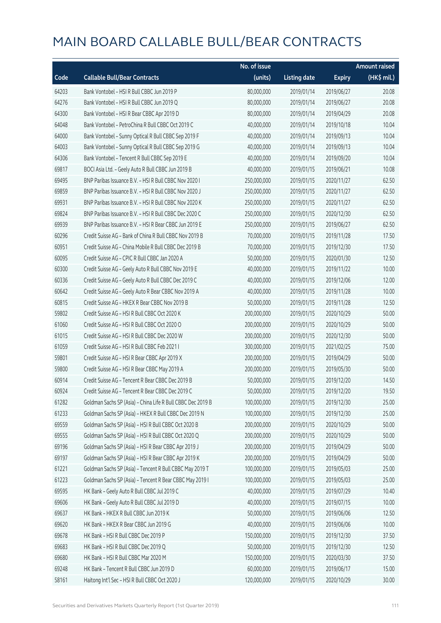|       |                                                             | No. of issue |                     |               | <b>Amount raised</b> |
|-------|-------------------------------------------------------------|--------------|---------------------|---------------|----------------------|
| Code  | <b>Callable Bull/Bear Contracts</b>                         | (units)      | <b>Listing date</b> | <b>Expiry</b> | (HK\$ mil.)          |
| 64203 | Bank Vontobel - HSI R Bull CBBC Jun 2019 P                  | 80,000,000   | 2019/01/14          | 2019/06/27    | 20.08                |
| 64276 | Bank Vontobel - HSI R Bull CBBC Jun 2019 Q                  | 80,000,000   | 2019/01/14          | 2019/06/27    | 20.08                |
| 64300 | Bank Vontobel - HSI R Bear CBBC Apr 2019 D                  | 80,000,000   | 2019/01/14          | 2019/04/29    | 20.08                |
| 64048 | Bank Vontobel - PetroChina R Bull CBBC Oct 2019 C           | 40,000,000   | 2019/01/14          | 2019/10/18    | 10.04                |
| 64000 | Bank Vontobel - Sunny Optical R Bull CBBC Sep 2019 F        | 40,000,000   | 2019/01/14          | 2019/09/13    | 10.04                |
| 64003 | Bank Vontobel - Sunny Optical R Bull CBBC Sep 2019 G        | 40,000,000   | 2019/01/14          | 2019/09/13    | 10.04                |
| 64306 | Bank Vontobel - Tencent R Bull CBBC Sep 2019 E              | 40,000,000   | 2019/01/14          | 2019/09/20    | 10.04                |
| 69817 | BOCI Asia Ltd. - Geely Auto R Bull CBBC Jun 2019 B          | 40,000,000   | 2019/01/15          | 2019/06/21    | 10.08                |
| 69495 | BNP Paribas Issuance B.V. - HSI R Bull CBBC Nov 2020 I      | 250,000,000  | 2019/01/15          | 2020/11/27    | 62.50                |
| 69859 | BNP Paribas Issuance B.V. - HSI R Bull CBBC Nov 2020 J      | 250,000,000  | 2019/01/15          | 2020/11/27    | 62.50                |
| 69931 | BNP Paribas Issuance B.V. - HSI R Bull CBBC Nov 2020 K      | 250,000,000  | 2019/01/15          | 2020/11/27    | 62.50                |
| 69824 | BNP Paribas Issuance B.V. - HSI R Bull CBBC Dec 2020 C      | 250,000,000  | 2019/01/15          | 2020/12/30    | 62.50                |
| 69939 | BNP Paribas Issuance B.V. - HSI R Bear CBBC Jun 2019 E      | 250,000,000  | 2019/01/15          | 2019/06/27    | 62.50                |
| 60296 | Credit Suisse AG - Bank of China R Bull CBBC Nov 2019 B     | 70,000,000   | 2019/01/15          | 2019/11/28    | 17.50                |
| 60951 | Credit Suisse AG - China Mobile R Bull CBBC Dec 2019 B      | 70,000,000   | 2019/01/15          | 2019/12/30    | 17.50                |
| 60095 | Credit Suisse AG - CPIC R Bull CBBC Jan 2020 A              | 50,000,000   | 2019/01/15          | 2020/01/30    | 12.50                |
| 60300 | Credit Suisse AG - Geely Auto R Bull CBBC Nov 2019 E        | 40,000,000   | 2019/01/15          | 2019/11/22    | 10.00                |
| 60336 | Credit Suisse AG - Geely Auto R Bull CBBC Dec 2019 C        | 40,000,000   | 2019/01/15          | 2019/12/06    | 12.00                |
| 60642 | Credit Suisse AG - Geely Auto R Bear CBBC Nov 2019 A        | 40,000,000   | 2019/01/15          | 2019/11/28    | 10.00                |
| 60815 | Credit Suisse AG - HKEX R Bear CBBC Nov 2019 B              | 50,000,000   | 2019/01/15          | 2019/11/28    | 12.50                |
| 59802 | Credit Suisse AG - HSI R Bull CBBC Oct 2020 K               | 200,000,000  | 2019/01/15          | 2020/10/29    | 50.00                |
| 61060 | Credit Suisse AG - HSI R Bull CBBC Oct 2020 O               | 200,000,000  | 2019/01/15          | 2020/10/29    | 50.00                |
| 61015 | Credit Suisse AG - HSI R Bull CBBC Dec 2020 W               | 200,000,000  | 2019/01/15          | 2020/12/30    | 50.00                |
| 61059 | Credit Suisse AG - HSI R Bull CBBC Feb 2021 I               | 300,000,000  | 2019/01/15          | 2021/02/25    | 75.00                |
| 59801 | Credit Suisse AG - HSI R Bear CBBC Apr 2019 X               | 200,000,000  | 2019/01/15          | 2019/04/29    | 50.00                |
| 59800 | Credit Suisse AG - HSI R Bear CBBC May 2019 A               | 200,000,000  | 2019/01/15          | 2019/05/30    | 50.00                |
| 60914 | Credit Suisse AG - Tencent R Bear CBBC Dec 2019 B           | 50,000,000   | 2019/01/15          | 2019/12/20    | 14.50                |
| 60924 | Credit Suisse AG - Tencent R Bear CBBC Dec 2019 C           | 50,000,000   | 2019/01/15          | 2019/12/20    | 19.50                |
| 61282 | Goldman Sachs SP (Asia) - China Life R Bull CBBC Dec 2019 B | 100,000,000  | 2019/01/15          | 2019/12/30    | 25.00                |
| 61233 | Goldman Sachs SP (Asia) - HKEX R Bull CBBC Dec 2019 N       | 100,000,000  | 2019/01/15          | 2019/12/30    | 25.00                |
| 69559 | Goldman Sachs SP (Asia) - HSI R Bull CBBC Oct 2020 B        | 200,000,000  | 2019/01/15          | 2020/10/29    | 50.00                |
| 69555 | Goldman Sachs SP (Asia) - HSI R Bull CBBC Oct 2020 Q        | 200,000,000  | 2019/01/15          | 2020/10/29    | 50.00                |
| 69196 | Goldman Sachs SP (Asia) - HSI R Bear CBBC Apr 2019 J        | 200,000,000  | 2019/01/15          | 2019/04/29    | 50.00                |
| 69197 | Goldman Sachs SP (Asia) - HSI R Bear CBBC Apr 2019 K        | 200,000,000  | 2019/01/15          | 2019/04/29    | 50.00                |
| 61221 | Goldman Sachs SP (Asia) - Tencent R Bull CBBC May 2019 T    | 100,000,000  | 2019/01/15          | 2019/05/03    | 25.00                |
| 61223 | Goldman Sachs SP (Asia) - Tencent R Bear CBBC May 2019 I    | 100,000,000  | 2019/01/15          | 2019/05/03    | 25.00                |
| 69595 | HK Bank - Geely Auto R Bull CBBC Jul 2019 C                 | 40,000,000   | 2019/01/15          | 2019/07/29    | 10.40                |
| 69606 | HK Bank - Geely Auto R Bull CBBC Jul 2019 D                 | 40,000,000   | 2019/01/15          | 2019/07/15    | 10.00                |
| 69637 | HK Bank - HKEX R Bull CBBC Jun 2019 K                       | 50,000,000   | 2019/01/15          | 2019/06/06    | 12.50                |
| 69620 | HK Bank - HKEX R Bear CBBC Jun 2019 G                       | 40,000,000   | 2019/01/15          | 2019/06/06    | 10.00                |
| 69678 | HK Bank - HSI R Bull CBBC Dec 2019 P                        | 150,000,000  | 2019/01/15          | 2019/12/30    | 37.50                |
| 69683 | HK Bank - HSI R Bull CBBC Dec 2019 Q                        | 50,000,000   | 2019/01/15          | 2019/12/30    | 12.50                |
| 69680 | HK Bank - HSI R Bull CBBC Mar 2020 M                        | 150,000,000  | 2019/01/15          | 2020/03/30    | 37.50                |
| 69248 | HK Bank - Tencent R Bull CBBC Jun 2019 D                    | 60,000,000   | 2019/01/15          | 2019/06/17    | 15.00                |
| 58161 | Haitong Int'l Sec - HSI R Bull CBBC Oct 2020 J              | 120,000,000  | 2019/01/15          | 2020/10/29    | 30.00                |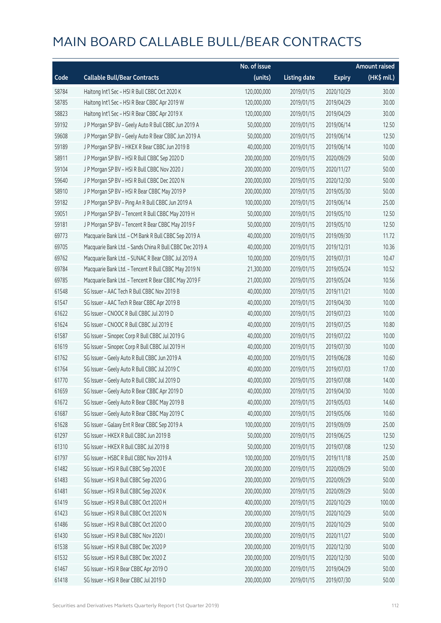|       |                                                          | No. of issue |                     |               | <b>Amount raised</b> |
|-------|----------------------------------------------------------|--------------|---------------------|---------------|----------------------|
| Code  | <b>Callable Bull/Bear Contracts</b>                      | (units)      | <b>Listing date</b> | <b>Expiry</b> | (HK\$ mil.)          |
| 58784 | Haitong Int'l Sec - HSI R Bull CBBC Oct 2020 K           | 120,000,000  | 2019/01/15          | 2020/10/29    | 30.00                |
| 58785 | Haitong Int'l Sec - HSI R Bear CBBC Apr 2019 W           | 120,000,000  | 2019/01/15          | 2019/04/29    | 30.00                |
| 58823 | Haitong Int'l Sec - HSI R Bear CBBC Apr 2019 X           | 120,000,000  | 2019/01/15          | 2019/04/29    | 30.00                |
| 59192 | J P Morgan SP BV - Geely Auto R Bull CBBC Jun 2019 A     | 50,000,000   | 2019/01/15          | 2019/06/14    | 12.50                |
| 59608 | J P Morgan SP BV - Geely Auto R Bear CBBC Jun 2019 A     | 50,000,000   | 2019/01/15          | 2019/06/14    | 12.50                |
| 59189 | J P Morgan SP BV - HKEX R Bear CBBC Jun 2019 B           | 40,000,000   | 2019/01/15          | 2019/06/14    | 10.00                |
| 58911 | J P Morgan SP BV - HSI R Bull CBBC Sep 2020 D            | 200,000,000  | 2019/01/15          | 2020/09/29    | 50.00                |
| 59104 | J P Morgan SP BV - HSI R Bull CBBC Nov 2020 J            | 200,000,000  | 2019/01/15          | 2020/11/27    | 50.00                |
| 59640 | J P Morgan SP BV - HSI R Bull CBBC Dec 2020 N            | 200,000,000  | 2019/01/15          | 2020/12/30    | 50.00                |
| 58910 | J P Morgan SP BV - HSI R Bear CBBC May 2019 P            | 200,000,000  | 2019/01/15          | 2019/05/30    | 50.00                |
| 59182 | J P Morgan SP BV - Ping An R Bull CBBC Jun 2019 A        | 100,000,000  | 2019/01/15          | 2019/06/14    | 25.00                |
| 59051 | J P Morgan SP BV - Tencent R Bull CBBC May 2019 H        | 50,000,000   | 2019/01/15          | 2019/05/10    | 12.50                |
| 59181 | J P Morgan SP BV - Tencent R Bear CBBC May 2019 F        | 50,000,000   | 2019/01/15          | 2019/05/10    | 12.50                |
| 69773 | Macquarie Bank Ltd. - CM Bank R Bull CBBC Sep 2019 A     | 40,000,000   | 2019/01/15          | 2019/09/30    | 11.72                |
| 69705 | Macquarie Bank Ltd. - Sands China R Bull CBBC Dec 2019 A | 40,000,000   | 2019/01/15          | 2019/12/31    | 10.36                |
| 69762 | Macquarie Bank Ltd. - SUNAC R Bear CBBC Jul 2019 A       | 10,000,000   | 2019/01/15          | 2019/07/31    | 10.47                |
| 69784 | Macquarie Bank Ltd. - Tencent R Bull CBBC May 2019 N     | 21,300,000   | 2019/01/15          | 2019/05/24    | 10.52                |
| 69785 | Macquarie Bank Ltd. - Tencent R Bear CBBC May 2019 F     | 21,000,000   | 2019/01/15          | 2019/05/24    | 10.56                |
| 61548 | SG Issuer - AAC Tech R Bull CBBC Nov 2019 B              | 40,000,000   | 2019/01/15          | 2019/11/21    | 10.00                |
| 61547 | SG Issuer - AAC Tech R Bear CBBC Apr 2019 B              | 40,000,000   | 2019/01/15          | 2019/04/30    | 10.00                |
| 61622 | SG Issuer - CNOOC R Bull CBBC Jul 2019 D                 | 40,000,000   | 2019/01/15          | 2019/07/23    | 10.00                |
| 61624 | SG Issuer - CNOOC R Bull CBBC Jul 2019 E                 | 40,000,000   | 2019/01/15          | 2019/07/25    | 10.80                |
| 61587 | SG Issuer - Sinopec Corp R Bull CBBC Jul 2019 G          | 40,000,000   | 2019/01/15          | 2019/07/22    | 10.00                |
| 61619 | SG Issuer - Sinopec Corp R Bull CBBC Jul 2019 H          | 40,000,000   | 2019/01/15          | 2019/07/30    | 10.00                |
| 61762 | SG Issuer - Geely Auto R Bull CBBC Jun 2019 A            | 40,000,000   | 2019/01/15          | 2019/06/28    | 10.60                |
| 61764 | SG Issuer - Geely Auto R Bull CBBC Jul 2019 C            | 40,000,000   | 2019/01/15          | 2019/07/03    | 17.00                |
| 61770 | SG Issuer - Geely Auto R Bull CBBC Jul 2019 D            | 40,000,000   | 2019/01/15          | 2019/07/08    | 14.00                |
| 61659 | SG Issuer - Geely Auto R Bear CBBC Apr 2019 D            | 40,000,000   | 2019/01/15          | 2019/04/30    | 10.00                |
| 61672 | SG Issuer - Geely Auto R Bear CBBC May 2019 B            | 40,000,000   | 2019/01/15          | 2019/05/03    | 14.60                |
| 61687 | SG Issuer - Geely Auto R Bear CBBC May 2019 C            | 40,000,000   | 2019/01/15          | 2019/05/06    | 10.60                |
| 61628 | SG Issuer - Galaxy Ent R Bear CBBC Sep 2019 A            | 100,000,000  | 2019/01/15          | 2019/09/09    | 25.00                |
| 61297 | SG Issuer - HKEX R Bull CBBC Jun 2019 B                  | 50,000,000   | 2019/01/15          | 2019/06/25    | 12.50                |
| 61310 | SG Issuer - HKEX R Bull CBBC Jul 2019 B                  | 50,000,000   | 2019/01/15          | 2019/07/08    | 12.50                |
| 61797 | SG Issuer - HSBC R Bull CBBC Nov 2019 A                  | 100,000,000  | 2019/01/15          | 2019/11/18    | 25.00                |
| 61482 | SG Issuer - HSI R Bull CBBC Sep 2020 E                   | 200,000,000  | 2019/01/15          | 2020/09/29    | 50.00                |
| 61483 | SG Issuer - HSI R Bull CBBC Sep 2020 G                   | 200,000,000  | 2019/01/15          | 2020/09/29    | 50.00                |
| 61481 | SG Issuer - HSI R Bull CBBC Sep 2020 K                   | 200,000,000  | 2019/01/15          | 2020/09/29    | 50.00                |
| 61419 | SG Issuer - HSI R Bull CBBC Oct 2020 H                   | 400,000,000  | 2019/01/15          | 2020/10/29    | 100.00               |
| 61423 | SG Issuer - HSI R Bull CBBC Oct 2020 N                   | 200,000,000  | 2019/01/15          | 2020/10/29    | 50.00                |
| 61486 | SG Issuer - HSI R Bull CBBC Oct 2020 O                   | 200,000,000  | 2019/01/15          | 2020/10/29    | 50.00                |
| 61430 | SG Issuer - HSI R Bull CBBC Nov 2020 I                   | 200,000,000  | 2019/01/15          | 2020/11/27    | 50.00                |
| 61538 | SG Issuer - HSI R Bull CBBC Dec 2020 P                   | 200,000,000  | 2019/01/15          | 2020/12/30    | 50.00                |
| 61532 | SG Issuer - HSI R Bull CBBC Dec 2020 Z                   | 200,000,000  | 2019/01/15          | 2020/12/30    | 50.00                |
| 61467 | SG Issuer - HSI R Bear CBBC Apr 2019 O                   | 200,000,000  | 2019/01/15          | 2019/04/29    | 50.00                |
| 61418 | SG Issuer - HSI R Bear CBBC Jul 2019 D                   | 200,000,000  | 2019/01/15          | 2019/07/30    | 50.00                |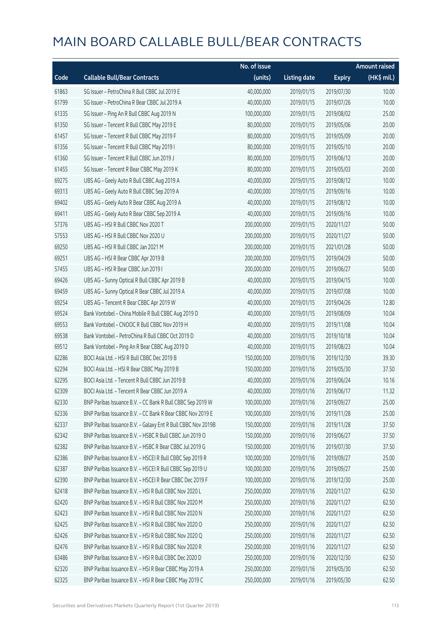|       |                                                              | No. of issue |                     |               | <b>Amount raised</b> |
|-------|--------------------------------------------------------------|--------------|---------------------|---------------|----------------------|
| Code  | <b>Callable Bull/Bear Contracts</b>                          | (units)      | <b>Listing date</b> | <b>Expiry</b> | $(HK\$ mil.)         |
| 61863 | SG Issuer - PetroChina R Bull CBBC Jul 2019 E                | 40,000,000   | 2019/01/15          | 2019/07/30    | 10.00                |
| 61799 | SG Issuer - PetroChina R Bear CBBC Jul 2019 A                | 40,000,000   | 2019/01/15          | 2019/07/26    | 10.00                |
| 61335 | SG Issuer - Ping An R Bull CBBC Aug 2019 N                   | 100,000,000  | 2019/01/15          | 2019/08/02    | 25.00                |
| 61350 | SG Issuer - Tencent R Bull CBBC May 2019 E                   | 80,000,000   | 2019/01/15          | 2019/05/06    | 20.00                |
| 61457 | SG Issuer - Tencent R Bull CBBC May 2019 F                   | 80,000,000   | 2019/01/15          | 2019/05/09    | 20.00                |
| 61356 | SG Issuer - Tencent R Bull CBBC May 2019 I                   | 80,000,000   | 2019/01/15          | 2019/05/10    | 20.00                |
| 61360 | SG Issuer - Tencent R Bull CBBC Jun 2019 J                   | 80,000,000   | 2019/01/15          | 2019/06/12    | 20.00                |
| 61455 | SG Issuer - Tencent R Bear CBBC May 2019 K                   | 80,000,000   | 2019/01/15          | 2019/05/03    | 20.00                |
| 69275 | UBS AG - Geely Auto R Bull CBBC Aug 2019 A                   | 40,000,000   | 2019/01/15          | 2019/08/12    | 10.00                |
| 69313 | UBS AG - Geely Auto R Bull CBBC Sep 2019 A                   | 40,000,000   | 2019/01/15          | 2019/09/16    | 10.00                |
| 69402 | UBS AG - Geely Auto R Bear CBBC Aug 2019 A                   | 40,000,000   | 2019/01/15          | 2019/08/12    | 10.00                |
| 69411 | UBS AG - Geely Auto R Bear CBBC Sep 2019 A                   | 40,000,000   | 2019/01/15          | 2019/09/16    | 10.00                |
| 57376 | UBS AG - HSI R Bull CBBC Nov 2020 T                          | 200,000,000  | 2019/01/15          | 2020/11/27    | 50.00                |
| 57553 | UBS AG - HSI R Bull CBBC Nov 2020 U                          | 200,000,000  | 2019/01/15          | 2020/11/27    | 50.00                |
| 69250 | UBS AG - HSI R Bull CBBC Jan 2021 M                          | 200,000,000  | 2019/01/15          | 2021/01/28    | 50.00                |
| 69251 | UBS AG - HSI R Bear CBBC Apr 2019 B                          | 200,000,000  | 2019/01/15          | 2019/04/29    | 50.00                |
| 57455 | UBS AG - HSI R Bear CBBC Jun 2019 I                          | 200,000,000  | 2019/01/15          | 2019/06/27    | 50.00                |
| 69426 | UBS AG - Sunny Optical R Bull CBBC Apr 2019 B                | 40,000,000   | 2019/01/15          | 2019/04/15    | 10.00                |
| 69459 | UBS AG - Sunny Optical R Bear CBBC Jul 2019 A                | 40,000,000   | 2019/01/15          | 2019/07/08    | 10.00                |
| 69254 | UBS AG - Tencent R Bear CBBC Apr 2019 W                      | 40,000,000   | 2019/01/15          | 2019/04/26    | 12.80                |
| 69524 | Bank Vontobel - China Mobile R Bull CBBC Aug 2019 D          | 40,000,000   | 2019/01/15          | 2019/08/09    | 10.04                |
| 69553 | Bank Vontobel - CNOOC R Bull CBBC Nov 2019 H                 | 40,000,000   | 2019/01/15          | 2019/11/08    | 10.04                |
| 69538 | Bank Vontobel - PetroChina R Bull CBBC Oct 2019 D            | 40,000,000   | 2019/01/15          | 2019/10/18    | 10.04                |
| 69512 | Bank Vontobel - Ping An R Bear CBBC Aug 2019 D               | 40,000,000   | 2019/01/15          | 2019/08/23    | 10.04                |
| 62286 | BOCI Asia Ltd. - HSI R Bull CBBC Dec 2019 B                  | 150,000,000  | 2019/01/16          | 2019/12/30    | 39.30                |
| 62294 | BOCI Asia Ltd. - HSI R Bear CBBC May 2019 B                  | 150,000,000  | 2019/01/16          | 2019/05/30    | 37.50                |
| 62295 | BOCI Asia Ltd. - Tencent R Bull CBBC Jun 2019 B              | 40,000,000   | 2019/01/16          | 2019/06/24    | 10.16                |
| 62309 | BOCI Asia Ltd. - Tencent R Bear CBBC Jun 2019 A              | 40,000,000   | 2019/01/16          | 2019/06/17    | 11.32                |
| 62330 | BNP Paribas Issuance B.V. - CC Bank R Bull CBBC Sep 2019 W   | 100,000,000  | 2019/01/16          | 2019/09/27    | 25.00                |
| 62336 | BNP Paribas Issuance B.V. - CC Bank R Bear CBBC Nov 2019 E   | 100,000,000  | 2019/01/16          | 2019/11/28    | 25.00                |
| 62337 | BNP Paribas Issuance B.V. - Galaxy Ent R Bull CBBC Nov 2019B | 150,000,000  | 2019/01/16          | 2019/11/28    | 37.50                |
| 62342 | BNP Paribas Issuance B.V. - HSBC R Bull CBBC Jun 2019 O      | 150,000,000  | 2019/01/16          | 2019/06/27    | 37.50                |
| 62382 | BNP Paribas Issuance B.V. - HSBC R Bear CBBC Jul 2019 G      | 150,000,000  | 2019/01/16          | 2019/07/30    | 37.50                |
| 62386 | BNP Paribas Issuance B.V. - HSCEI R Bull CBBC Sep 2019 R     | 100,000,000  | 2019/01/16          | 2019/09/27    | 25.00                |
| 62387 | BNP Paribas Issuance B.V. - HSCEI R Bull CBBC Sep 2019 U     | 100,000,000  | 2019/01/16          | 2019/09/27    | 25.00                |
| 62390 | BNP Paribas Issuance B.V. - HSCEI R Bear CBBC Dec 2019 F     | 100,000,000  | 2019/01/16          | 2019/12/30    | 25.00                |
| 62418 | BNP Paribas Issuance B.V. - HSI R Bull CBBC Nov 2020 L       | 250,000,000  | 2019/01/16          | 2020/11/27    | 62.50                |
| 62420 | BNP Paribas Issuance B.V. - HSI R Bull CBBC Nov 2020 M       | 250,000,000  | 2019/01/16          | 2020/11/27    | 62.50                |
| 62423 | BNP Paribas Issuance B.V. - HSI R Bull CBBC Nov 2020 N       | 250,000,000  | 2019/01/16          | 2020/11/27    | 62.50                |
| 62425 | BNP Paribas Issuance B.V. - HSI R Bull CBBC Nov 2020 O       | 250,000,000  | 2019/01/16          | 2020/11/27    | 62.50                |
| 62426 | BNP Paribas Issuance B.V. - HSI R Bull CBBC Nov 2020 Q       | 250,000,000  | 2019/01/16          | 2020/11/27    | 62.50                |
| 62476 | BNP Paribas Issuance B.V. - HSI R Bull CBBC Nov 2020 R       | 250,000,000  | 2019/01/16          | 2020/11/27    | 62.50                |
| 63486 | BNP Paribas Issuance B.V. - HSI R Bull CBBC Dec 2020 D       | 250,000,000  | 2019/01/16          | 2020/12/30    | 62.50                |
| 62320 | BNP Paribas Issuance B.V. - HSI R Bear CBBC May 2019 A       | 250,000,000  | 2019/01/16          | 2019/05/30    | 62.50                |
| 62325 | BNP Paribas Issuance B.V. - HSI R Bear CBBC May 2019 C       | 250,000,000  | 2019/01/16          | 2019/05/30    | 62.50                |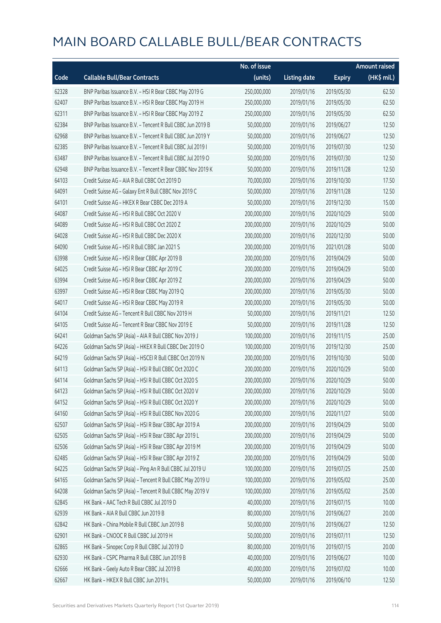|       |                                                            | No. of issue |                     |               | <b>Amount raised</b>  |
|-------|------------------------------------------------------------|--------------|---------------------|---------------|-----------------------|
| Code  | <b>Callable Bull/Bear Contracts</b>                        | (units)      | <b>Listing date</b> | <b>Expiry</b> | $(HK\frac{1}{2}mil.)$ |
| 62328 | BNP Paribas Issuance B.V. - HSI R Bear CBBC May 2019 G     | 250,000,000  | 2019/01/16          | 2019/05/30    | 62.50                 |
| 62407 | BNP Paribas Issuance B.V. - HSI R Bear CBBC May 2019 H     | 250,000,000  | 2019/01/16          | 2019/05/30    | 62.50                 |
| 62311 | BNP Paribas Issuance B.V. - HSI R Bear CBBC May 2019 Z     | 250,000,000  | 2019/01/16          | 2019/05/30    | 62.50                 |
| 62384 | BNP Paribas Issuance B.V. - Tencent R Bull CBBC Jun 2019 B | 50,000,000   | 2019/01/16          | 2019/06/27    | 12.50                 |
| 62968 | BNP Paribas Issuance B.V. - Tencent R Bull CBBC Jun 2019 Y | 50,000,000   | 2019/01/16          | 2019/06/27    | 12.50                 |
| 62385 | BNP Paribas Issuance B.V. - Tencent R Bull CBBC Jul 2019 I | 50,000,000   | 2019/01/16          | 2019/07/30    | 12.50                 |
| 63487 | BNP Paribas Issuance B.V. - Tencent R Bull CBBC Jul 2019 O | 50,000,000   | 2019/01/16          | 2019/07/30    | 12.50                 |
| 62948 | BNP Paribas Issuance B.V. - Tencent R Bear CBBC Nov 2019 K | 50,000,000   | 2019/01/16          | 2019/11/28    | 12.50                 |
| 64103 | Credit Suisse AG - AIA R Bull CBBC Oct 2019 D              | 70,000,000   | 2019/01/16          | 2019/10/30    | 17.50                 |
| 64091 | Credit Suisse AG - Galaxy Ent R Bull CBBC Nov 2019 C       | 50,000,000   | 2019/01/16          | 2019/11/28    | 12.50                 |
| 64101 | Credit Suisse AG - HKEX R Bear CBBC Dec 2019 A             | 50,000,000   | 2019/01/16          | 2019/12/30    | 15.00                 |
| 64087 | Credit Suisse AG - HSI R Bull CBBC Oct 2020 V              | 200,000,000  | 2019/01/16          | 2020/10/29    | 50.00                 |
| 64089 | Credit Suisse AG - HSI R Bull CBBC Oct 2020 Z              | 200,000,000  | 2019/01/16          | 2020/10/29    | 50.00                 |
| 64028 | Credit Suisse AG - HSI R Bull CBBC Dec 2020 X              | 200,000,000  | 2019/01/16          | 2020/12/30    | 50.00                 |
| 64090 | Credit Suisse AG - HSI R Bull CBBC Jan 2021 S              | 200,000,000  | 2019/01/16          | 2021/01/28    | 50.00                 |
| 63998 | Credit Suisse AG - HSI R Bear CBBC Apr 2019 B              | 200,000,000  | 2019/01/16          | 2019/04/29    | 50.00                 |
| 64025 | Credit Suisse AG - HSI R Bear CBBC Apr 2019 C              | 200,000,000  | 2019/01/16          | 2019/04/29    | 50.00                 |
| 63994 | Credit Suisse AG - HSI R Bear CBBC Apr 2019 Z              | 200,000,000  | 2019/01/16          | 2019/04/29    | 50.00                 |
| 63997 | Credit Suisse AG - HSI R Bear CBBC May 2019 Q              | 200,000,000  | 2019/01/16          | 2019/05/30    | 50.00                 |
| 64017 | Credit Suisse AG - HSI R Bear CBBC May 2019 R              | 200,000,000  | 2019/01/16          | 2019/05/30    | 50.00                 |
| 64104 | Credit Suisse AG - Tencent R Bull CBBC Nov 2019 H          | 50,000,000   | 2019/01/16          | 2019/11/21    | 12.50                 |
| 64105 | Credit Suisse AG - Tencent R Bear CBBC Nov 2019 E          | 50,000,000   | 2019/01/16          | 2019/11/28    | 12.50                 |
| 64241 | Goldman Sachs SP (Asia) - AIA R Bull CBBC Nov 2019 J       | 100,000,000  | 2019/01/16          | 2019/11/15    | 25.00                 |
| 64226 | Goldman Sachs SP (Asia) - HKEX R Bull CBBC Dec 2019 O      | 100,000,000  | 2019/01/16          | 2019/12/30    | 25.00                 |
| 64219 | Goldman Sachs SP (Asia) - HSCEI R Bull CBBC Oct 2019 N     | 200,000,000  | 2019/01/16          | 2019/10/30    | 50.00                 |
| 64113 | Goldman Sachs SP (Asia) - HSI R Bull CBBC Oct 2020 C       | 200,000,000  | 2019/01/16          | 2020/10/29    | 50.00                 |
| 64114 | Goldman Sachs SP (Asia) - HSI R Bull CBBC Oct 2020 S       | 200,000,000  | 2019/01/16          | 2020/10/29    | 50.00                 |
| 64123 | Goldman Sachs SP (Asia) - HSI R Bull CBBC Oct 2020 V       | 200,000,000  | 2019/01/16          | 2020/10/29    | 50.00                 |
| 64152 | Goldman Sachs SP (Asia) - HSI R Bull CBBC Oct 2020 Y       | 200,000,000  | 2019/01/16          | 2020/10/29    | 50.00                 |
| 64160 | Goldman Sachs SP (Asia) - HSI R Bull CBBC Nov 2020 G       | 200,000,000  | 2019/01/16          | 2020/11/27    | 50.00                 |
| 62507 | Goldman Sachs SP (Asia) - HSI R Bear CBBC Apr 2019 A       | 200,000,000  | 2019/01/16          | 2019/04/29    | 50.00                 |
| 62505 | Goldman Sachs SP (Asia) - HSI R Bear CBBC Apr 2019 L       | 200,000,000  | 2019/01/16          | 2019/04/29    | 50.00                 |
| 62506 | Goldman Sachs SP (Asia) - HSI R Bear CBBC Apr 2019 M       | 200,000,000  | 2019/01/16          | 2019/04/29    | 50.00                 |
| 62485 | Goldman Sachs SP (Asia) - HSI R Bear CBBC Apr 2019 Z       | 200,000,000  | 2019/01/16          | 2019/04/29    | 50.00                 |
| 64225 | Goldman Sachs SP (Asia) - Ping An R Bull CBBC Jul 2019 U   | 100,000,000  | 2019/01/16          | 2019/07/25    | 25.00                 |
| 64165 | Goldman Sachs SP (Asia) - Tencent R Bull CBBC May 2019 U   | 100,000,000  | 2019/01/16          | 2019/05/02    | 25.00                 |
| 64208 | Goldman Sachs SP (Asia) - Tencent R Bull CBBC May 2019 V   | 100,000,000  | 2019/01/16          | 2019/05/02    | 25.00                 |
| 62845 | HK Bank - AAC Tech R Bull CBBC Jul 2019 D                  | 40,000,000   | 2019/01/16          | 2019/07/15    | 10.00                 |
| 62939 | HK Bank - AIA R Bull CBBC Jun 2019 B                       | 80,000,000   | 2019/01/16          | 2019/06/27    | 20.00                 |
| 62842 | HK Bank - China Mobile R Bull CBBC Jun 2019 B              | 50,000,000   | 2019/01/16          | 2019/06/27    | 12.50                 |
| 62901 | HK Bank - CNOOC R Bull CBBC Jul 2019 H                     | 50,000,000   | 2019/01/16          | 2019/07/11    | 12.50                 |
| 62865 | HK Bank - Sinopec Corp R Bull CBBC Jul 2019 D              | 80,000,000   | 2019/01/16          | 2019/07/15    | 20.00                 |
| 62930 | HK Bank - CSPC Pharma R Bull CBBC Jun 2019 B               | 40,000,000   | 2019/01/16          | 2019/06/27    | 10.00                 |
| 62666 | HK Bank - Geely Auto R Bear CBBC Jul 2019 B                | 40,000,000   | 2019/01/16          | 2019/07/02    | 10.00                 |
| 62667 | HK Bank - HKEX R Bull CBBC Jun 2019 L                      | 50,000,000   | 2019/01/16          | 2019/06/10    | 12.50                 |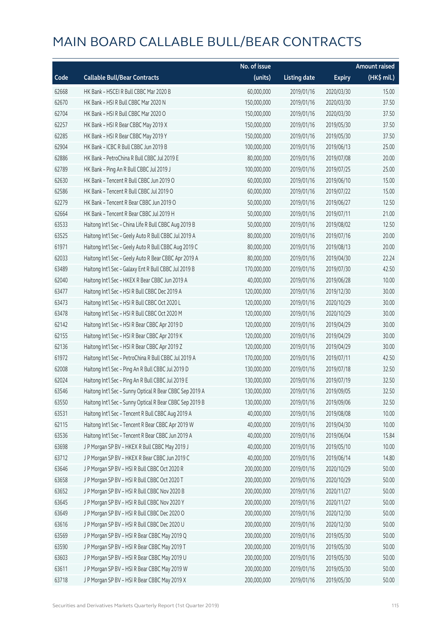|       |                                                          | No. of issue |                     |               | <b>Amount raised</b> |
|-------|----------------------------------------------------------|--------------|---------------------|---------------|----------------------|
| Code  | <b>Callable Bull/Bear Contracts</b>                      | (units)      | <b>Listing date</b> | <b>Expiry</b> | (HK\$ mil.)          |
| 62668 | HK Bank - HSCEI R Bull CBBC Mar 2020 B                   | 60,000,000   | 2019/01/16          | 2020/03/30    | 15.00                |
| 62670 | HK Bank - HSI R Bull CBBC Mar 2020 N                     | 150,000,000  | 2019/01/16          | 2020/03/30    | 37.50                |
| 62704 | HK Bank - HSI R Bull CBBC Mar 2020 O                     | 150,000,000  | 2019/01/16          | 2020/03/30    | 37.50                |
| 62257 | HK Bank - HSI R Bear CBBC May 2019 X                     | 150,000,000  | 2019/01/16          | 2019/05/30    | 37.50                |
| 62285 | HK Bank - HSI R Bear CBBC May 2019 Y                     | 150,000,000  | 2019/01/16          | 2019/05/30    | 37.50                |
| 62904 | HK Bank - ICBC R Bull CBBC Jun 2019 B                    | 100,000,000  | 2019/01/16          | 2019/06/13    | 25.00                |
| 62886 | HK Bank - PetroChina R Bull CBBC Jul 2019 E              | 80,000,000   | 2019/01/16          | 2019/07/08    | 20.00                |
| 62789 | HK Bank - Ping An R Bull CBBC Jul 2019 J                 | 100,000,000  | 2019/01/16          | 2019/07/25    | 25.00                |
| 62630 | HK Bank - Tencent R Bull CBBC Jun 2019 O                 | 60,000,000   | 2019/01/16          | 2019/06/10    | 15.00                |
| 62586 | HK Bank - Tencent R Bull CBBC Jul 2019 O                 | 60,000,000   | 2019/01/16          | 2019/07/22    | 15.00                |
| 62279 | HK Bank - Tencent R Bear CBBC Jun 2019 O                 | 50,000,000   | 2019/01/16          | 2019/06/27    | 12.50                |
| 62664 | HK Bank - Tencent R Bear CBBC Jul 2019 H                 | 50,000,000   | 2019/01/16          | 2019/07/11    | 21.00                |
| 63533 | Haitong Int'l Sec - China Life R Bull CBBC Aug 2019 B    | 50,000,000   | 2019/01/16          | 2019/08/02    | 12.50                |
| 63525 | Haitong Int'l Sec - Geely Auto R Bull CBBC Jul 2019 A    | 80,000,000   | 2019/01/16          | 2019/07/16    | 20.00                |
| 61971 | Haitong Int'l Sec - Geely Auto R Bull CBBC Aug 2019 C    | 80,000,000   | 2019/01/16          | 2019/08/13    | 20.00                |
| 62033 | Haitong Int'l Sec - Geely Auto R Bear CBBC Apr 2019 A    | 80,000,000   | 2019/01/16          | 2019/04/30    | 22.24                |
| 63489 | Haitong Int'l Sec - Galaxy Ent R Bull CBBC Jul 2019 B    | 170,000,000  | 2019/01/16          | 2019/07/30    | 42.50                |
| 62040 | Haitong Int'l Sec - HKEX R Bear CBBC Jun 2019 A          | 40,000,000   | 2019/01/16          | 2019/06/28    | 10.00                |
| 63477 | Haitong Int'l Sec - HSI R Bull CBBC Dec 2019 A           | 120,000,000  | 2019/01/16          | 2019/12/30    | 30.00                |
| 63473 | Haitong Int'l Sec - HSI R Bull CBBC Oct 2020 L           | 120,000,000  | 2019/01/16          | 2020/10/29    | 30.00                |
| 63478 | Haitong Int'l Sec - HSI R Bull CBBC Oct 2020 M           | 120,000,000  | 2019/01/16          | 2020/10/29    | 30.00                |
| 62142 | Haitong Int'l Sec - HSI R Bear CBBC Apr 2019 D           | 120,000,000  | 2019/01/16          | 2019/04/29    | 30.00                |
| 62155 | Haitong Int'l Sec - HSI R Bear CBBC Apr 2019 K           | 120,000,000  | 2019/01/16          | 2019/04/29    | 30.00                |
| 62136 | Haitong Int'l Sec - HSI R Bear CBBC Apr 2019 Z           | 120,000,000  | 2019/01/16          | 2019/04/29    | 30.00                |
| 61972 | Haitong Int'l Sec - PetroChina R Bull CBBC Jul 2019 A    | 170,000,000  | 2019/01/16          | 2019/07/11    | 42.50                |
| 62008 | Haitong Int'l Sec - Ping An R Bull CBBC Jul 2019 D       | 130,000,000  | 2019/01/16          | 2019/07/18    | 32.50                |
| 62024 | Haitong Int'l Sec - Ping An R Bull CBBC Jul 2019 E       | 130,000,000  | 2019/01/16          | 2019/07/19    | 32.50                |
| 63546 | Haitong Int'l Sec - Sunny Optical R Bear CBBC Sep 2019 A | 130,000,000  | 2019/01/16          | 2019/09/05    | 32.50                |
| 63550 | Haitong Int'l Sec - Sunny Optical R Bear CBBC Sep 2019 B | 130,000,000  | 2019/01/16          | 2019/09/06    | 32.50                |
| 63531 | Haitong Int'l Sec - Tencent R Bull CBBC Aug 2019 A       | 40,000,000   | 2019/01/16          | 2019/08/08    | 10.00                |
| 62115 | Haitong Int'l Sec - Tencent R Bear CBBC Apr 2019 W       | 40,000,000   | 2019/01/16          | 2019/04/30    | 10.00                |
| 63536 | Haitong Int'l Sec - Tencent R Bear CBBC Jun 2019 A       | 40,000,000   | 2019/01/16          | 2019/06/04    | 15.84                |
| 63698 | J P Morgan SP BV - HKEX R Bull CBBC May 2019 J           | 40,000,000   | 2019/01/16          | 2019/05/10    | 10.00                |
| 63712 | J P Morgan SP BV - HKEX R Bear CBBC Jun 2019 C           | 40,000,000   | 2019/01/16          | 2019/06/14    | 14.80                |
| 63646 | J P Morgan SP BV - HSI R Bull CBBC Oct 2020 R            | 200,000,000  | 2019/01/16          | 2020/10/29    | 50.00                |
| 63658 | J P Morgan SP BV - HSI R Bull CBBC Oct 2020 T            | 200,000,000  | 2019/01/16          | 2020/10/29    | 50.00                |
| 63652 | J P Morgan SP BV - HSI R Bull CBBC Nov 2020 B            | 200,000,000  | 2019/01/16          | 2020/11/27    | 50.00                |
| 63645 | J P Morgan SP BV - HSI R Bull CBBC Nov 2020 Y            | 200,000,000  | 2019/01/16          | 2020/11/27    | 50.00                |
| 63649 | J P Morgan SP BV - HSI R Bull CBBC Dec 2020 O            | 200,000,000  | 2019/01/16          | 2020/12/30    | 50.00                |
| 63616 | J P Morgan SP BV - HSI R Bull CBBC Dec 2020 U            | 200,000,000  | 2019/01/16          | 2020/12/30    | 50.00                |
| 63569 | J P Morgan SP BV - HSI R Bear CBBC May 2019 Q            | 200,000,000  | 2019/01/16          | 2019/05/30    | 50.00                |
| 63590 | J P Morgan SP BV - HSI R Bear CBBC May 2019 T            | 200,000,000  | 2019/01/16          | 2019/05/30    | 50.00                |
| 63603 | J P Morgan SP BV - HSI R Bear CBBC May 2019 U            | 200,000,000  | 2019/01/16          | 2019/05/30    | 50.00                |
| 63611 | J P Morgan SP BV - HSI R Bear CBBC May 2019 W            | 200,000,000  | 2019/01/16          | 2019/05/30    | 50.00                |
| 63718 | J P Morgan SP BV - HSI R Bear CBBC May 2019 X            | 200,000,000  | 2019/01/16          | 2019/05/30    | 50.00                |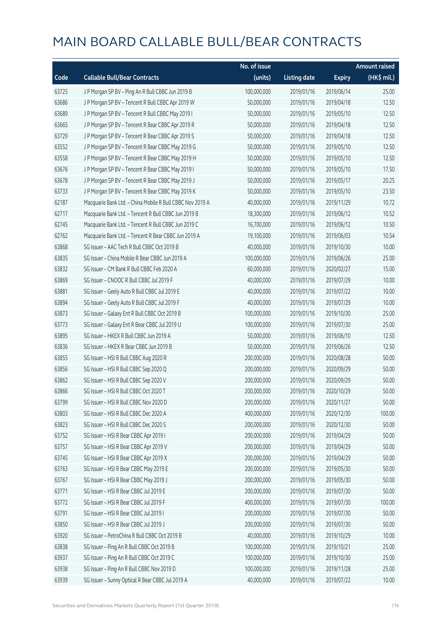|       |                                                           | No. of issue |                     |               | <b>Amount raised</b> |
|-------|-----------------------------------------------------------|--------------|---------------------|---------------|----------------------|
| Code  | <b>Callable Bull/Bear Contracts</b>                       | (units)      | <b>Listing date</b> | <b>Expiry</b> | $(HK$$ mil.)         |
| 63725 | J P Morgan SP BV - Ping An R Bull CBBC Jun 2019 B         | 100,000,000  | 2019/01/16          | 2019/06/14    | 25.00                |
| 63686 | J P Morgan SP BV - Tencent R Bull CBBC Apr 2019 W         | 50,000,000   | 2019/01/16          | 2019/04/18    | 12.50                |
| 63689 | J P Morgan SP BV - Tencent R Bull CBBC May 2019 I         | 50,000,000   | 2019/01/16          | 2019/05/10    | 12.50                |
| 63665 | J P Morgan SP BV - Tencent R Bear CBBC Apr 2019 R         | 50,000,000   | 2019/01/16          | 2019/04/18    | 12.50                |
| 63729 | J P Morgan SP BV - Tencent R Bear CBBC Apr 2019 S         | 50,000,000   | 2019/01/16          | 2019/04/18    | 12.50                |
| 63552 | J P Morgan SP BV - Tencent R Bear CBBC May 2019 G         | 50,000,000   | 2019/01/16          | 2019/05/10    | 12.50                |
| 63558 | J P Morgan SP BV - Tencent R Bear CBBC May 2019 H         | 50,000,000   | 2019/01/16          | 2019/05/10    | 12.50                |
| 63676 | J P Morgan SP BV - Tencent R Bear CBBC May 2019 I         | 50,000,000   | 2019/01/16          | 2019/05/10    | 17.50                |
| 63678 | J P Morgan SP BV - Tencent R Bear CBBC May 2019 J         | 50,000,000   | 2019/01/16          | 2019/05/17    | 20.25                |
| 63733 | J P Morgan SP BV - Tencent R Bear CBBC May 2019 K         | 50,000,000   | 2019/01/16          | 2019/05/10    | 23.50                |
| 62187 | Macquarie Bank Ltd. - China Mobile R Bull CBBC Nov 2019 A | 40,000,000   | 2019/01/16          | 2019/11/29    | 10.72                |
| 62717 | Macquarie Bank Ltd. - Tencent R Bull CBBC Jun 2019 B      | 18,300,000   | 2019/01/16          | 2019/06/12    | 10.52                |
| 62745 | Macquarie Bank Ltd. - Tencent R Bull CBBC Jun 2019 C      | 16,700,000   | 2019/01/16          | 2019/06/12    | 10.50                |
| 62762 | Macquarie Bank Ltd. - Tencent R Bear CBBC Jun 2019 A      | 19,100,000   | 2019/01/16          | 2019/06/03    | 10.54                |
| 63868 | SG Issuer - AAC Tech R Bull CBBC Oct 2019 B               | 40,000,000   | 2019/01/16          | 2019/10/30    | 10.00                |
| 63835 | SG Issuer - China Mobile R Bear CBBC Jun 2019 A           | 100,000,000  | 2019/01/16          | 2019/06/26    | 25.00                |
| 63832 | SG Issuer - CM Bank R Bull CBBC Feb 2020 A                | 60,000,000   | 2019/01/16          | 2020/02/27    | 15.00                |
| 63869 | SG Issuer - CNOOC R Bull CBBC Jul 2019 F                  | 40,000,000   | 2019/01/16          | 2019/07/29    | 10.00                |
| 63881 | SG Issuer - Geely Auto R Bull CBBC Jul 2019 E             | 40,000,000   | 2019/01/16          | 2019/07/22    | 10.00                |
| 63894 | SG Issuer - Geely Auto R Bull CBBC Jul 2019 F             | 40,000,000   | 2019/01/16          | 2019/07/29    | 10.00                |
| 63873 | SG Issuer - Galaxy Ent R Bull CBBC Oct 2019 B             | 100,000,000  | 2019/01/16          | 2019/10/30    | 25.00                |
| 63773 | SG Issuer - Galaxy Ent R Bear CBBC Jul 2019 U             | 100,000,000  | 2019/01/16          | 2019/07/30    | 25.00                |
| 63895 | SG Issuer - HKEX R Bull CBBC Jun 2019 A                   | 50,000,000   | 2019/01/16          | 2019/06/10    | 12.50                |
| 63836 | SG Issuer - HKEX R Bear CBBC Jun 2019 B                   | 50,000,000   | 2019/01/16          | 2019/06/26    | 12.50                |
| 63855 | SG Issuer - HSI R Bull CBBC Aug 2020 R                    | 200,000,000  | 2019/01/16          | 2020/08/28    | 50.00                |
| 63856 | SG Issuer - HSI R Bull CBBC Sep 2020 Q                    | 200,000,000  | 2019/01/16          | 2020/09/29    | 50.00                |
| 63862 | SG Issuer - HSI R Bull CBBC Sep 2020 V                    | 200,000,000  | 2019/01/16          | 2020/09/29    | 50.00                |
| 63866 | SG Issuer - HSI R Bull CBBC Oct 2020 T                    | 200,000,000  | 2019/01/16          | 2020/10/29    | 50.00                |
| 63799 | SG Issuer - HSI R Bull CBBC Nov 2020 D                    | 200,000,000  | 2019/01/16          | 2020/11/27    | 50.00                |
| 63803 | SG Issuer - HSI R Bull CBBC Dec 2020 A                    | 400,000,000  | 2019/01/16          | 2020/12/30    | 100.00               |
| 63823 | SG Issuer - HSI R Bull CBBC Dec 2020 S                    | 200,000,000  | 2019/01/16          | 2020/12/30    | 50.00                |
| 63752 | SG Issuer - HSI R Bear CBBC Apr 2019 I                    | 200,000,000  | 2019/01/16          | 2019/04/29    | 50.00                |
| 63757 | SG Issuer - HSI R Bear CBBC Apr 2019 V                    | 200,000,000  | 2019/01/16          | 2019/04/29    | 50.00                |
| 63745 | SG Issuer - HSI R Bear CBBC Apr 2019 X                    | 200,000,000  | 2019/01/16          | 2019/04/29    | 50.00                |
| 63763 | SG Issuer - HSI R Bear CBBC May 2019 E                    | 200,000,000  | 2019/01/16          | 2019/05/30    | 50.00                |
| 63767 | SG Issuer - HSI R Bear CBBC May 2019 J                    | 200,000,000  | 2019/01/16          | 2019/05/30    | 50.00                |
| 63771 | SG Issuer - HSI R Bear CBBC Jul 2019 E                    | 200,000,000  | 2019/01/16          | 2019/07/30    | 50.00                |
| 63772 | SG Issuer - HSI R Bear CBBC Jul 2019 F                    | 400,000,000  | 2019/01/16          | 2019/07/30    | 100.00               |
| 63791 | SG Issuer - HSI R Bear CBBC Jul 2019 I                    | 200,000,000  | 2019/01/16          | 2019/07/30    | 50.00                |
| 63850 | SG Issuer - HSI R Bear CBBC Jul 2019 J                    | 200,000,000  | 2019/01/16          | 2019/07/30    | 50.00                |
| 63920 | SG Issuer - PetroChina R Bull CBBC Oct 2019 B             | 40,000,000   | 2019/01/16          | 2019/10/29    | 10.00                |
| 63838 | SG Issuer - Ping An R Bull CBBC Oct 2019 B                | 100,000,000  | 2019/01/16          | 2019/10/21    | 25.00                |
| 63937 | SG Issuer - Ping An R Bull CBBC Oct 2019 C                | 100,000,000  | 2019/01/16          | 2019/10/30    | 25.00                |
| 63938 | SG Issuer - Ping An R Bull CBBC Nov 2019 D                | 100,000,000  | 2019/01/16          | 2019/11/28    | 25.00                |
| 63939 | SG Issuer - Sunny Optical R Bear CBBC Jul 2019 A          | 40,000,000   | 2019/01/16          | 2019/07/22    | 10.00                |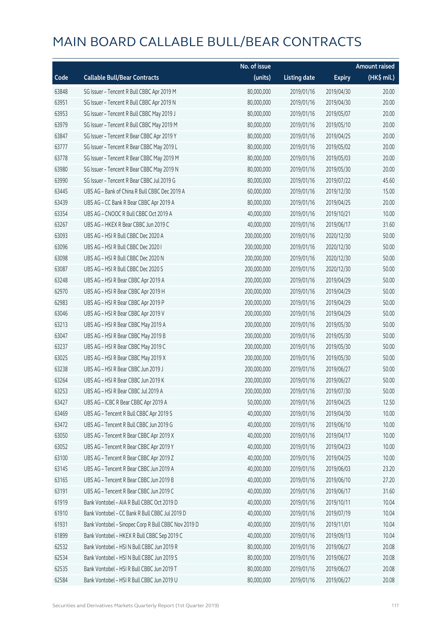|       |                                                     | No. of issue |                     |               | <b>Amount raised</b> |
|-------|-----------------------------------------------------|--------------|---------------------|---------------|----------------------|
| Code  | <b>Callable Bull/Bear Contracts</b>                 | (units)      | <b>Listing date</b> | <b>Expiry</b> | (HK\$ mil.)          |
| 63848 | SG Issuer - Tencent R Bull CBBC Apr 2019 M          | 80,000,000   | 2019/01/16          | 2019/04/30    | 20.00                |
| 63951 | SG Issuer - Tencent R Bull CBBC Apr 2019 N          | 80,000,000   | 2019/01/16          | 2019/04/30    | 20.00                |
| 63953 | SG Issuer - Tencent R Bull CBBC May 2019 J          | 80,000,000   | 2019/01/16          | 2019/05/07    | 20.00                |
| 63979 | SG Issuer - Tencent R Bull CBBC May 2019 M          | 80,000,000   | 2019/01/16          | 2019/05/10    | 20.00                |
| 63847 | SG Issuer - Tencent R Bear CBBC Apr 2019 Y          | 80,000,000   | 2019/01/16          | 2019/04/25    | 20.00                |
| 63777 | SG Issuer - Tencent R Bear CBBC May 2019 L          | 80,000,000   | 2019/01/16          | 2019/05/02    | 20.00                |
| 63778 | SG Issuer - Tencent R Bear CBBC May 2019 M          | 80,000,000   | 2019/01/16          | 2019/05/03    | 20.00                |
| 63980 | SG Issuer - Tencent R Bear CBBC May 2019 N          | 80,000,000   | 2019/01/16          | 2019/05/30    | 20.00                |
| 63990 | SG Issuer - Tencent R Bear CBBC Jul 2019 G          | 80,000,000   | 2019/01/16          | 2019/07/22    | 45.60                |
| 63445 | UBS AG - Bank of China R Bull CBBC Dec 2019 A       | 60,000,000   | 2019/01/16          | 2019/12/30    | 15.00                |
| 63439 | UBS AG - CC Bank R Bear CBBC Apr 2019 A             | 80,000,000   | 2019/01/16          | 2019/04/25    | 20.00                |
| 63354 | UBS AG - CNOOC R Bull CBBC Oct 2019 A               | 40,000,000   | 2019/01/16          | 2019/10/21    | 10.00                |
| 63267 | UBS AG - HKEX R Bear CBBC Jun 2019 C                | 40,000,000   | 2019/01/16          | 2019/06/17    | 31.60                |
| 63093 | UBS AG - HSI R Bull CBBC Dec 2020 A                 | 200,000,000  | 2019/01/16          | 2020/12/30    | 50.00                |
| 63096 | UBS AG - HSI R Bull CBBC Dec 2020 I                 | 200,000,000  | 2019/01/16          | 2020/12/30    | 50.00                |
| 63098 | UBS AG - HSI R Bull CBBC Dec 2020 N                 | 200,000,000  | 2019/01/16          | 2020/12/30    | 50.00                |
| 63087 | UBS AG - HSI R Bull CBBC Dec 2020 S                 | 200,000,000  | 2019/01/16          | 2020/12/30    | 50.00                |
| 63248 | UBS AG - HSI R Bear CBBC Apr 2019 A                 | 200,000,000  | 2019/01/16          | 2019/04/29    | 50.00                |
| 62970 | UBS AG - HSI R Bear CBBC Apr 2019 H                 | 200,000,000  | 2019/01/16          | 2019/04/29    | 50.00                |
| 62983 | UBS AG - HSI R Bear CBBC Apr 2019 P                 | 200,000,000  | 2019/01/16          | 2019/04/29    | 50.00                |
| 63046 | UBS AG - HSI R Bear CBBC Apr 2019 V                 | 200,000,000  | 2019/01/16          | 2019/04/29    | 50.00                |
| 63213 | UBS AG - HSI R Bear CBBC May 2019 A                 | 200,000,000  | 2019/01/16          | 2019/05/30    | 50.00                |
| 63047 | UBS AG - HSI R Bear CBBC May 2019 B                 | 200,000,000  | 2019/01/16          | 2019/05/30    | 50.00                |
| 63237 | UBS AG - HSI R Bear CBBC May 2019 C                 | 200,000,000  | 2019/01/16          | 2019/05/30    | 50.00                |
| 63025 | UBS AG - HSI R Bear CBBC May 2019 X                 | 200,000,000  | 2019/01/16          | 2019/05/30    | 50.00                |
| 63238 | UBS AG - HSI R Bear CBBC Jun 2019 J                 | 200,000,000  | 2019/01/16          | 2019/06/27    | 50.00                |
| 63264 | UBS AG - HSI R Bear CBBC Jun 2019 K                 | 200,000,000  | 2019/01/16          | 2019/06/27    | 50.00                |
| 63253 | UBS AG - HSI R Bear CBBC Jul 2019 A                 | 200,000,000  | 2019/01/16          | 2019/07/30    | 50.00                |
| 63427 | UBS AG - ICBC R Bear CBBC Apr 2019 A                | 50,000,000   | 2019/01/16          | 2019/04/25    | 12.50                |
| 63469 | UBS AG - Tencent R Bull CBBC Apr 2019 S             | 40,000,000   | 2019/01/16          | 2019/04/30    | 10.00                |
| 63472 | UBS AG - Tencent R Bull CBBC Jun 2019 G             | 40,000,000   | 2019/01/16          | 2019/06/10    | 10.00                |
| 63050 | UBS AG - Tencent R Bear CBBC Apr 2019 X             | 40,000,000   | 2019/01/16          | 2019/04/17    | 10.00                |
| 63052 | UBS AG - Tencent R Bear CBBC Apr 2019 Y             | 40,000,000   | 2019/01/16          | 2019/04/23    | 10.00                |
| 63100 | UBS AG - Tencent R Bear CBBC Apr 2019 Z             | 40,000,000   | 2019/01/16          | 2019/04/25    | 10.00                |
| 63145 | UBS AG - Tencent R Bear CBBC Jun 2019 A             | 40,000,000   | 2019/01/16          | 2019/06/03    | 23.20                |
| 63165 | UBS AG - Tencent R Bear CBBC Jun 2019 B             | 40,000,000   | 2019/01/16          | 2019/06/10    | 27.20                |
| 63191 | UBS AG - Tencent R Bear CBBC Jun 2019 C             | 40,000,000   | 2019/01/16          | 2019/06/17    | 31.60                |
| 61919 | Bank Vontobel - AIA R Bull CBBC Oct 2019 D          | 40,000,000   | 2019/01/16          | 2019/10/11    | 10.04                |
| 61910 | Bank Vontobel - CC Bank R Bull CBBC Jul 2019 D      | 40,000,000   | 2019/01/16          | 2019/07/19    | 10.04                |
| 61931 | Bank Vontobel - Sinopec Corp R Bull CBBC Nov 2019 D | 40,000,000   | 2019/01/16          | 2019/11/01    | 10.04                |
| 61899 | Bank Vontobel - HKEX R Bull CBBC Sep 2019 C         | 40,000,000   | 2019/01/16          | 2019/09/13    | 10.04                |
| 62532 | Bank Vontobel - HSI N Bull CBBC Jun 2019 R          | 80,000,000   | 2019/01/16          | 2019/06/27    | 20.08                |
| 62534 | Bank Vontobel - HSI N Bull CBBC Jun 2019 S          | 80,000,000   | 2019/01/16          | 2019/06/27    | 20.08                |
| 62535 | Bank Vontobel - HSI R Bull CBBC Jun 2019 T          | 80,000,000   | 2019/01/16          | 2019/06/27    | 20.08                |
| 62584 | Bank Vontobel - HSI R Bull CBBC Jun 2019 U          | 80,000,000   | 2019/01/16          | 2019/06/27    | 20.08                |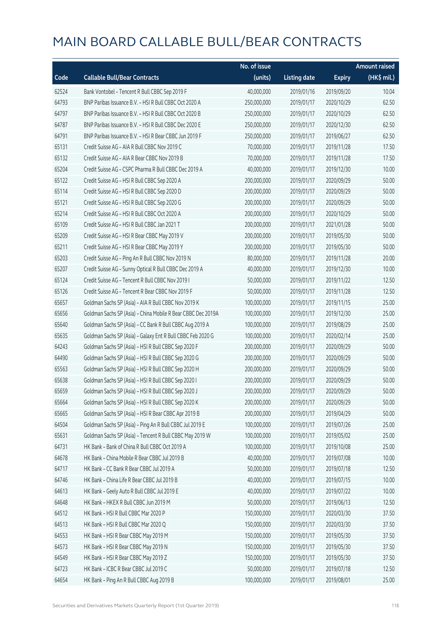|       |                                                              | No. of issue |                     |               | <b>Amount raised</b> |
|-------|--------------------------------------------------------------|--------------|---------------------|---------------|----------------------|
| Code  | <b>Callable Bull/Bear Contracts</b>                          | (units)      | <b>Listing date</b> | <b>Expiry</b> | (HK\$ mil.)          |
| 62524 | Bank Vontobel - Tencent R Bull CBBC Sep 2019 F               | 40,000,000   | 2019/01/16          | 2019/09/20    | 10.04                |
| 64793 | BNP Paribas Issuance B.V. - HSI R Bull CBBC Oct 2020 A       | 250,000,000  | 2019/01/17          | 2020/10/29    | 62.50                |
| 64797 | BNP Paribas Issuance B.V. - HSI R Bull CBBC Oct 2020 B       | 250,000,000  | 2019/01/17          | 2020/10/29    | 62.50                |
| 64787 | BNP Paribas Issuance B.V. - HSI R Bull CBBC Dec 2020 E       | 250,000,000  | 2019/01/17          | 2020/12/30    | 62.50                |
| 64791 | BNP Paribas Issuance B.V. - HSI R Bear CBBC Jun 2019 F       | 250,000,000  | 2019/01/17          | 2019/06/27    | 62.50                |
| 65131 | Credit Suisse AG - AIA R Bull CBBC Nov 2019 C                | 70,000,000   | 2019/01/17          | 2019/11/28    | 17.50                |
| 65132 | Credit Suisse AG - AIA R Bear CBBC Nov 2019 B                | 70,000,000   | 2019/01/17          | 2019/11/28    | 17.50                |
| 65204 | Credit Suisse AG - CSPC Pharma R Bull CBBC Dec 2019 A        | 40,000,000   | 2019/01/17          | 2019/12/30    | 10.00                |
| 65122 | Credit Suisse AG - HSI R Bull CBBC Sep 2020 A                | 200,000,000  | 2019/01/17          | 2020/09/29    | 50.00                |
| 65114 | Credit Suisse AG - HSI R Bull CBBC Sep 2020 D                | 200,000,000  | 2019/01/17          | 2020/09/29    | 50.00                |
| 65121 | Credit Suisse AG - HSI R Bull CBBC Sep 2020 G                | 200,000,000  | 2019/01/17          | 2020/09/29    | 50.00                |
| 65214 | Credit Suisse AG - HSI R Bull CBBC Oct 2020 A                | 200,000,000  | 2019/01/17          | 2020/10/29    | 50.00                |
| 65109 | Credit Suisse AG - HSI R Bull CBBC Jan 2021 T                | 200,000,000  | 2019/01/17          | 2021/01/28    | 50.00                |
| 65209 | Credit Suisse AG - HSI R Bear CBBC May 2019 V                | 200,000,000  | 2019/01/17          | 2019/05/30    | 50.00                |
| 65211 | Credit Suisse AG - HSI R Bear CBBC May 2019 Y                | 200,000,000  | 2019/01/17          | 2019/05/30    | 50.00                |
| 65203 | Credit Suisse AG - Ping An R Bull CBBC Nov 2019 N            | 80,000,000   | 2019/01/17          | 2019/11/28    | 20.00                |
| 65207 | Credit Suisse AG - Sunny Optical R Bull CBBC Dec 2019 A      | 40,000,000   | 2019/01/17          | 2019/12/30    | 10.00                |
| 65124 | Credit Suisse AG - Tencent R Bull CBBC Nov 2019 I            | 50,000,000   | 2019/01/17          | 2019/11/22    | 12.50                |
| 65126 | Credit Suisse AG - Tencent R Bear CBBC Nov 2019 F            | 50,000,000   | 2019/01/17          | 2019/11/28    | 12.50                |
| 65657 | Goldman Sachs SP (Asia) - AIA R Bull CBBC Nov 2019 K         | 100,000,000  | 2019/01/17          | 2019/11/15    | 25.00                |
| 65656 | Goldman Sachs SP (Asia) - China Mobile R Bear CBBC Dec 2019A | 100,000,000  | 2019/01/17          | 2019/12/30    | 25.00                |
| 65640 | Goldman Sachs SP (Asia) - CC Bank R Bull CBBC Aug 2019 A     | 100,000,000  | 2019/01/17          | 2019/08/29    | 25.00                |
| 65635 | Goldman Sachs SP (Asia) - Galaxy Ent R Bull CBBC Feb 2020 G  | 100,000,000  | 2019/01/17          | 2020/02/14    | 25.00                |
| 64243 | Goldman Sachs SP (Asia) - HSI R Bull CBBC Sep 2020 F         | 200,000,000  | 2019/01/17          | 2020/09/29    | 50.00                |
| 64490 | Goldman Sachs SP (Asia) - HSI R Bull CBBC Sep 2020 G         | 200,000,000  | 2019/01/17          | 2020/09/29    | 50.00                |
| 65563 | Goldman Sachs SP (Asia) - HSI R Bull CBBC Sep 2020 H         | 200,000,000  | 2019/01/17          | 2020/09/29    | 50.00                |
| 65638 | Goldman Sachs SP (Asia) - HSI R Bull CBBC Sep 2020 I         | 200,000,000  | 2019/01/17          | 2020/09/29    | 50.00                |
| 65659 | Goldman Sachs SP (Asia) - HSI R Bull CBBC Sep 2020 J         | 200,000,000  | 2019/01/17          | 2020/09/29    | 50.00                |
| 65664 | Goldman Sachs SP (Asia) - HSI R Bull CBBC Sep 2020 K         | 200,000,000  | 2019/01/17          | 2020/09/29    | 50.00                |
| 65665 | Goldman Sachs SP (Asia) - HSI R Bear CBBC Apr 2019 B         | 200,000,000  | 2019/01/17          | 2019/04/29    | 50.00                |
| 64504 | Goldman Sachs SP (Asia) - Ping An R Bull CBBC Jul 2019 E     | 100,000,000  | 2019/01/17          | 2019/07/26    | 25.00                |
| 65631 | Goldman Sachs SP (Asia) - Tencent R Bull CBBC May 2019 W     | 100,000,000  | 2019/01/17          | 2019/05/02    | 25.00                |
| 64731 | HK Bank - Bank of China R Bull CBBC Oct 2019 A               | 100,000,000  | 2019/01/17          | 2019/10/08    | 25.00                |
| 64678 | HK Bank - China Mobile R Bear CBBC Jul 2019 B                | 40,000,000   | 2019/01/17          | 2019/07/08    | 10.00                |
| 64717 | HK Bank - CC Bank R Bear CBBC Jul 2019 A                     | 50,000,000   | 2019/01/17          | 2019/07/18    | 12.50                |
| 64746 | HK Bank - China Life R Bear CBBC Jul 2019 B                  | 40,000,000   | 2019/01/17          | 2019/07/15    | 10.00                |
| 64613 | HK Bank - Geely Auto R Bull CBBC Jul 2019 E                  | 40,000,000   | 2019/01/17          | 2019/07/22    | 10.00                |
| 64648 | HK Bank - HKEX R Bull CBBC Jun 2019 M                        | 50,000,000   | 2019/01/17          | 2019/06/13    | 12.50                |
| 64512 | HK Bank - HSI R Bull CBBC Mar 2020 P                         | 150,000,000  | 2019/01/17          | 2020/03/30    | 37.50                |
| 64513 | HK Bank - HSI R Bull CBBC Mar 2020 Q                         | 150,000,000  | 2019/01/17          | 2020/03/30    | 37.50                |
| 64553 | HK Bank - HSI R Bear CBBC May 2019 M                         | 150,000,000  | 2019/01/17          | 2019/05/30    | 37.50                |
| 64573 | HK Bank - HSI R Bear CBBC May 2019 N                         | 150,000,000  | 2019/01/17          | 2019/05/30    | 37.50                |
| 64549 | HK Bank - HSI R Bear CBBC May 2019 Z                         | 150,000,000  | 2019/01/17          | 2019/05/30    | 37.50                |
| 64723 | HK Bank - ICBC R Bear CBBC Jul 2019 C                        | 50,000,000   | 2019/01/17          | 2019/07/18    | 12.50                |
| 64654 | HK Bank - Ping An R Bull CBBC Aug 2019 B                     | 100,000,000  | 2019/01/17          | 2019/08/01    | 25.00                |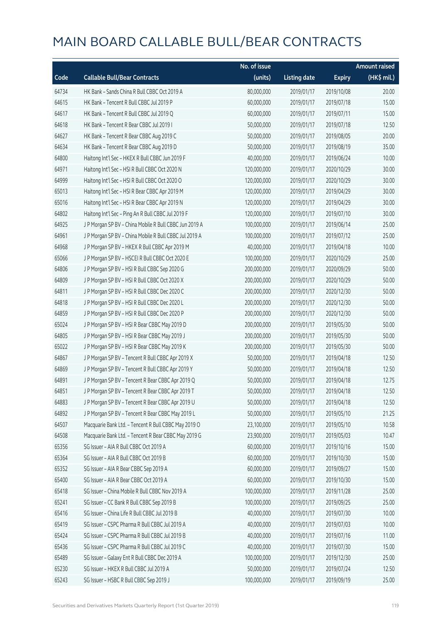|       |                                                        | No. of issue |                     |               | <b>Amount raised</b> |
|-------|--------------------------------------------------------|--------------|---------------------|---------------|----------------------|
| Code  | <b>Callable Bull/Bear Contracts</b>                    | (units)      | <b>Listing date</b> | <b>Expiry</b> | (HK\$ mil.)          |
| 64734 | HK Bank - Sands China R Bull CBBC Oct 2019 A           | 80,000,000   | 2019/01/17          | 2019/10/08    | 20.00                |
| 64615 | HK Bank - Tencent R Bull CBBC Jul 2019 P               | 60,000,000   | 2019/01/17          | 2019/07/18    | 15.00                |
| 64617 | HK Bank - Tencent R Bull CBBC Jul 2019 Q               | 60,000,000   | 2019/01/17          | 2019/07/11    | 15.00                |
| 64618 | HK Bank - Tencent R Bear CBBC Jul 2019 I               | 50,000,000   | 2019/01/17          | 2019/07/18    | 12.50                |
| 64627 | HK Bank - Tencent R Bear CBBC Aug 2019 C               | 50,000,000   | 2019/01/17          | 2019/08/05    | 20.00                |
| 64634 | HK Bank - Tencent R Bear CBBC Aug 2019 D               | 50,000,000   | 2019/01/17          | 2019/08/19    | 35.00                |
| 64800 | Haitong Int'l Sec - HKEX R Bull CBBC Jun 2019 F        | 40,000,000   | 2019/01/17          | 2019/06/24    | 10.00                |
| 64971 | Haitong Int'l Sec - HSI R Bull CBBC Oct 2020 N         | 120,000,000  | 2019/01/17          | 2020/10/29    | 30.00                |
| 64999 | Haitong Int'l Sec - HSI R Bull CBBC Oct 2020 O         | 120,000,000  | 2019/01/17          | 2020/10/29    | 30.00                |
| 65013 | Haitong Int'l Sec - HSI R Bear CBBC Apr 2019 M         | 120,000,000  | 2019/01/17          | 2019/04/29    | 30.00                |
| 65016 | Haitong Int'l Sec - HSI R Bear CBBC Apr 2019 N         | 120,000,000  | 2019/01/17          | 2019/04/29    | 30.00                |
| 64802 | Haitong Int'l Sec - Ping An R Bull CBBC Jul 2019 F     | 120,000,000  | 2019/01/17          | 2019/07/10    | 30.00                |
| 64925 | J P Morgan SP BV - China Mobile R Bull CBBC Jun 2019 A | 100,000,000  | 2019/01/17          | 2019/06/14    | 25.00                |
| 64961 | J P Morgan SP BV - China Mobile R Bull CBBC Jul 2019 A | 100,000,000  | 2019/01/17          | 2019/07/12    | 25.00                |
| 64968 | J P Morgan SP BV - HKEX R Bull CBBC Apr 2019 M         | 40,000,000   | 2019/01/17          | 2019/04/18    | 10.00                |
| 65066 | J P Morgan SP BV - HSCEI R Bull CBBC Oct 2020 E        | 100,000,000  | 2019/01/17          | 2020/10/29    | 25.00                |
| 64806 | J P Morgan SP BV - HSI R Bull CBBC Sep 2020 G          | 200,000,000  | 2019/01/17          | 2020/09/29    | 50.00                |
| 64809 | J P Morgan SP BV - HSI R Bull CBBC Oct 2020 X          | 200,000,000  | 2019/01/17          | 2020/10/29    | 50.00                |
| 64811 | J P Morgan SP BV - HSI R Bull CBBC Dec 2020 C          | 200,000,000  | 2019/01/17          | 2020/12/30    | 50.00                |
| 64818 | J P Morgan SP BV - HSI R Bull CBBC Dec 2020 L          | 200,000,000  | 2019/01/17          | 2020/12/30    | 50.00                |
| 64859 | J P Morgan SP BV - HSI R Bull CBBC Dec 2020 P          | 200,000,000  | 2019/01/17          | 2020/12/30    | 50.00                |
| 65024 | J P Morgan SP BV - HSI R Bear CBBC May 2019 D          | 200,000,000  | 2019/01/17          | 2019/05/30    | 50.00                |
| 64805 | J P Morgan SP BV - HSI R Bear CBBC May 2019 J          | 200,000,000  | 2019/01/17          | 2019/05/30    | 50.00                |
| 65022 | J P Morgan SP BV - HSI R Bear CBBC May 2019 K          | 200,000,000  | 2019/01/17          | 2019/05/30    | 50.00                |
| 64867 | J P Morgan SP BV - Tencent R Bull CBBC Apr 2019 X      | 50,000,000   | 2019/01/17          | 2019/04/18    | 12.50                |
| 64869 | J P Morgan SP BV - Tencent R Bull CBBC Apr 2019 Y      | 50,000,000   | 2019/01/17          | 2019/04/18    | 12.50                |
| 64891 | J P Morgan SP BV - Tencent R Bear CBBC Apr 2019 Q      | 50,000,000   | 2019/01/17          | 2019/04/18    | 12.75                |
| 64851 | J P Morgan SP BV - Tencent R Bear CBBC Apr 2019 T      | 50,000,000   | 2019/01/17          | 2019/04/18    | 12.50                |
| 64883 | J P Morgan SP BV - Tencent R Bear CBBC Apr 2019 U      | 50,000,000   | 2019/01/17          | 2019/04/18    | 12.50                |
| 64892 | J P Morgan SP BV - Tencent R Bear CBBC May 2019 L      | 50,000,000   | 2019/01/17          | 2019/05/10    | 21.25                |
| 64507 | Macquarie Bank Ltd. - Tencent R Bull CBBC May 2019 O   | 23,100,000   | 2019/01/17          | 2019/05/10    | 10.58                |
| 64508 | Macquarie Bank Ltd. - Tencent R Bear CBBC May 2019 G   | 23,900,000   | 2019/01/17          | 2019/05/03    | 10.47                |
| 65356 | SG Issuer - AIA R Bull CBBC Oct 2019 A                 | 60,000,000   | 2019/01/17          | 2019/10/16    | 15.00                |
| 65364 | SG Issuer - AIA R Bull CBBC Oct 2019 B                 | 60,000,000   | 2019/01/17          | 2019/10/30    | 15.00                |
| 65352 | SG Issuer - AIA R Bear CBBC Sep 2019 A                 | 60,000,000   | 2019/01/17          | 2019/09/27    | 15.00                |
| 65400 | SG Issuer - AIA R Bear CBBC Oct 2019 A                 | 60,000,000   | 2019/01/17          | 2019/10/30    | 15.00                |
| 65418 | SG Issuer - China Mobile R Bull CBBC Nov 2019 A        | 100,000,000  | 2019/01/17          | 2019/11/28    | 25.00                |
| 65241 | SG Issuer - CC Bank R Bull CBBC Sep 2019 B             | 100,000,000  | 2019/01/17          | 2019/09/25    | 25.00                |
| 65416 | SG Issuer - China Life R Bull CBBC Jul 2019 B          | 40,000,000   | 2019/01/17          | 2019/07/30    | 10.00                |
| 65419 | SG Issuer - CSPC Pharma R Bull CBBC Jul 2019 A         | 40,000,000   | 2019/01/17          | 2019/07/03    | 10.00                |
| 65424 | SG Issuer - CSPC Pharma R Bull CBBC Jul 2019 B         | 40,000,000   | 2019/01/17          | 2019/07/16    | 11.00                |
| 65436 | SG Issuer - CSPC Pharma R Bull CBBC Jul 2019 C         | 40,000,000   | 2019/01/17          | 2019/07/30    | 15.00                |
| 65489 | SG Issuer - Galaxy Ent R Bull CBBC Dec 2019 A          | 100,000,000  | 2019/01/17          | 2019/12/30    | 25.00                |
| 65230 | SG Issuer - HKEX R Bull CBBC Jul 2019 A                | 50,000,000   | 2019/01/17          | 2019/07/24    | 12.50                |
| 65243 | SG Issuer - HSBC R Bull CBBC Sep 2019 J                | 100,000,000  | 2019/01/17          | 2019/09/19    | 25.00                |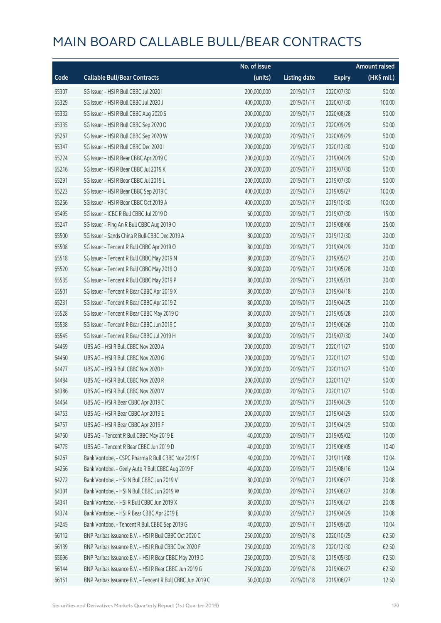|       |                                                            | No. of issue |                     |               | <b>Amount raised</b> |
|-------|------------------------------------------------------------|--------------|---------------------|---------------|----------------------|
| Code  | <b>Callable Bull/Bear Contracts</b>                        | (units)      | <b>Listing date</b> | <b>Expiry</b> | (HK\$ mil.)          |
| 65307 | SG Issuer - HSI R Bull CBBC Jul 2020 I                     | 200,000,000  | 2019/01/17          | 2020/07/30    | 50.00                |
| 65329 | SG Issuer - HSI R Bull CBBC Jul 2020 J                     | 400,000,000  | 2019/01/17          | 2020/07/30    | 100.00               |
| 65332 | SG Issuer - HSI R Bull CBBC Aug 2020 S                     | 200,000,000  | 2019/01/17          | 2020/08/28    | 50.00                |
| 65335 | SG Issuer - HSI R Bull CBBC Sep 2020 O                     | 200,000,000  | 2019/01/17          | 2020/09/29    | 50.00                |
| 65267 | SG Issuer - HSI R Bull CBBC Sep 2020 W                     | 200,000,000  | 2019/01/17          | 2020/09/29    | 50.00                |
| 65347 | SG Issuer - HSI R Bull CBBC Dec 2020 I                     | 200,000,000  | 2019/01/17          | 2020/12/30    | 50.00                |
| 65224 | SG Issuer - HSI R Bear CBBC Apr 2019 C                     | 200,000,000  | 2019/01/17          | 2019/04/29    | 50.00                |
| 65216 | SG Issuer - HSI R Bear CBBC Jul 2019 K                     | 200,000,000  | 2019/01/17          | 2019/07/30    | 50.00                |
| 65291 | SG Issuer - HSI R Bear CBBC Jul 2019 L                     | 200,000,000  | 2019/01/17          | 2019/07/30    | 50.00                |
| 65223 | SG Issuer - HSI R Bear CBBC Sep 2019 C                     | 400,000,000  | 2019/01/17          | 2019/09/27    | 100.00               |
| 65266 | SG Issuer - HSI R Bear CBBC Oct 2019 A                     | 400,000,000  | 2019/01/17          | 2019/10/30    | 100.00               |
| 65495 | SG Issuer - ICBC R Bull CBBC Jul 2019 D                    | 60,000,000   | 2019/01/17          | 2019/07/30    | 15.00                |
| 65247 | SG Issuer - Ping An R Bull CBBC Aug 2019 O                 | 100,000,000  | 2019/01/17          | 2019/08/06    | 25.00                |
| 65500 | SG Issuer - Sands China R Bull CBBC Dec 2019 A             | 80,000,000   | 2019/01/17          | 2019/12/30    | 20.00                |
| 65508 | SG Issuer - Tencent R Bull CBBC Apr 2019 O                 | 80,000,000   | 2019/01/17          | 2019/04/29    | 20.00                |
| 65518 | SG Issuer - Tencent R Bull CBBC May 2019 N                 | 80,000,000   | 2019/01/17          | 2019/05/27    | 20.00                |
| 65520 | SG Issuer - Tencent R Bull CBBC May 2019 O                 | 80,000,000   | 2019/01/17          | 2019/05/28    | 20.00                |
| 65535 | SG Issuer - Tencent R Bull CBBC May 2019 P                 | 80,000,000   | 2019/01/17          | 2019/05/31    | 20.00                |
| 65501 | SG Issuer - Tencent R Bear CBBC Apr 2019 X                 | 80,000,000   | 2019/01/17          | 2019/04/18    | 20.00                |
| 65231 | SG Issuer - Tencent R Bear CBBC Apr 2019 Z                 | 80,000,000   | 2019/01/17          | 2019/04/25    | 20.00                |
| 65528 | SG Issuer - Tencent R Bear CBBC May 2019 O                 | 80,000,000   | 2019/01/17          | 2019/05/28    | 20.00                |
| 65538 | SG Issuer - Tencent R Bear CBBC Jun 2019 C                 | 80,000,000   | 2019/01/17          | 2019/06/26    | 20.00                |
| 65545 | SG Issuer - Tencent R Bear CBBC Jul 2019 H                 | 80,000,000   | 2019/01/17          | 2019/07/30    | 24.00                |
| 64459 | UBS AG - HSI R Bull CBBC Nov 2020 A                        | 200,000,000  | 2019/01/17          | 2020/11/27    | 50.00                |
| 64460 | UBS AG - HSI R Bull CBBC Nov 2020 G                        | 200,000,000  | 2019/01/17          | 2020/11/27    | 50.00                |
| 64477 | UBS AG - HSI R Bull CBBC Nov 2020 H                        | 200,000,000  | 2019/01/17          | 2020/11/27    | 50.00                |
| 64484 | UBS AG - HSI R Bull CBBC Nov 2020 R                        | 200,000,000  | 2019/01/17          | 2020/11/27    | 50.00                |
| 64386 | UBS AG - HSI R Bull CBBC Nov 2020 V                        | 200,000,000  | 2019/01/17          | 2020/11/27    | 50.00                |
| 64464 | UBS AG - HSI R Bear CBBC Apr 2019 C                        | 200,000,000  | 2019/01/17          | 2019/04/29    | 50.00                |
| 64753 | UBS AG - HSI R Bear CBBC Apr 2019 E                        | 200,000,000  | 2019/01/17          | 2019/04/29    | 50.00                |
| 64757 | UBS AG - HSI R Bear CBBC Apr 2019 F                        | 200,000,000  | 2019/01/17          | 2019/04/29    | 50.00                |
| 64760 | UBS AG - Tencent R Bull CBBC May 2019 E                    | 40,000,000   | 2019/01/17          | 2019/05/02    | 10.00                |
| 64775 | UBS AG - Tencent R Bear CBBC Jun 2019 D                    | 40,000,000   | 2019/01/17          | 2019/06/05    | 10.40                |
| 64267 | Bank Vontobel - CSPC Pharma R Bull CBBC Nov 2019 F         | 40,000,000   | 2019/01/17          | 2019/11/08    | 10.04                |
| 64266 | Bank Vontobel - Geely Auto R Bull CBBC Aug 2019 F          | 40,000,000   | 2019/01/17          | 2019/08/16    | 10.04                |
| 64272 | Bank Vontobel - HSI N Bull CBBC Jun 2019 V                 | 80,000,000   | 2019/01/17          | 2019/06/27    | 20.08                |
| 64301 | Bank Vontobel - HSI N Bull CBBC Jun 2019 W                 | 80,000,000   | 2019/01/17          | 2019/06/27    | 20.08                |
| 64341 | Bank Vontobel - HSI R Bull CBBC Jun 2019 X                 | 80,000,000   | 2019/01/17          | 2019/06/27    | 20.08                |
| 64374 | Bank Vontobel - HSI R Bear CBBC Apr 2019 E                 | 80,000,000   | 2019/01/17          | 2019/04/29    | 20.08                |
| 64245 | Bank Vontobel - Tencent R Bull CBBC Sep 2019 G             | 40,000,000   | 2019/01/17          | 2019/09/20    | 10.04                |
| 66112 | BNP Paribas Issuance B.V. - HSI R Bull CBBC Oct 2020 C     | 250,000,000  | 2019/01/18          | 2020/10/29    | 62.50                |
| 66139 | BNP Paribas Issuance B.V. - HSI R Bull CBBC Dec 2020 F     | 250,000,000  | 2019/01/18          | 2020/12/30    | 62.50                |
| 65696 | BNP Paribas Issuance B.V. - HSI R Bear CBBC May 2019 D     | 250,000,000  | 2019/01/18          | 2019/05/30    | 62.50                |
| 66144 | BNP Paribas Issuance B.V. - HSI R Bear CBBC Jun 2019 G     | 250,000,000  | 2019/01/18          | 2019/06/27    | 62.50                |
| 66151 | BNP Paribas Issuance B.V. - Tencent R Bull CBBC Jun 2019 C | 50,000,000   | 2019/01/18          | 2019/06/27    | 12.50                |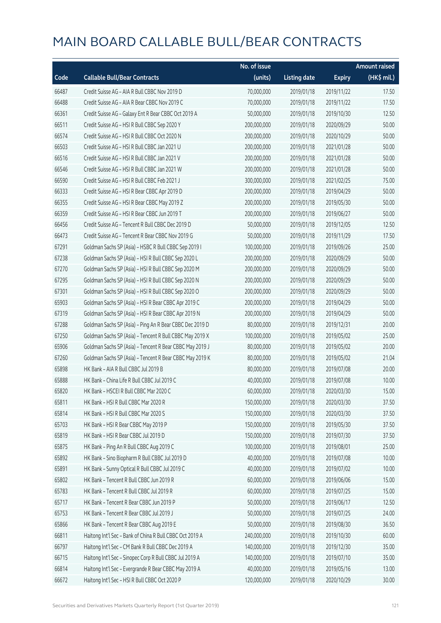|       |                                                          | No. of issue |                     |               | <b>Amount raised</b> |
|-------|----------------------------------------------------------|--------------|---------------------|---------------|----------------------|
| Code  | <b>Callable Bull/Bear Contracts</b>                      | (units)      | <b>Listing date</b> | <b>Expiry</b> | (HK\$ mil.)          |
| 66487 | Credit Suisse AG - AIA R Bull CBBC Nov 2019 D            | 70,000,000   | 2019/01/18          | 2019/11/22    | 17.50                |
| 66488 | Credit Suisse AG - AIA R Bear CBBC Nov 2019 C            | 70,000,000   | 2019/01/18          | 2019/11/22    | 17.50                |
| 66361 | Credit Suisse AG - Galaxy Ent R Bear CBBC Oct 2019 A     | 50,000,000   | 2019/01/18          | 2019/10/30    | 12.50                |
| 66511 | Credit Suisse AG - HSI R Bull CBBC Sep 2020 Y            | 200,000,000  | 2019/01/18          | 2020/09/29    | 50.00                |
| 66574 | Credit Suisse AG - HSI R Bull CBBC Oct 2020 N            | 200,000,000  | 2019/01/18          | 2020/10/29    | 50.00                |
| 66503 | Credit Suisse AG - HSI R Bull CBBC Jan 2021 U            | 200,000,000  | 2019/01/18          | 2021/01/28    | 50.00                |
| 66516 | Credit Suisse AG - HSI R Bull CBBC Jan 2021 V            | 200,000,000  | 2019/01/18          | 2021/01/28    | 50.00                |
| 66546 | Credit Suisse AG - HSI R Bull CBBC Jan 2021 W            | 200,000,000  | 2019/01/18          | 2021/01/28    | 50.00                |
| 66590 | Credit Suisse AG - HSI R Bull CBBC Feb 2021 J            | 300,000,000  | 2019/01/18          | 2021/02/25    | 75.00                |
| 66333 | Credit Suisse AG - HSI R Bear CBBC Apr 2019 D            | 200,000,000  | 2019/01/18          | 2019/04/29    | 50.00                |
| 66355 | Credit Suisse AG - HSI R Bear CBBC May 2019 Z            | 200,000,000  | 2019/01/18          | 2019/05/30    | 50.00                |
| 66359 | Credit Suisse AG - HSI R Bear CBBC Jun 2019 T            | 200,000,000  | 2019/01/18          | 2019/06/27    | 50.00                |
| 66456 | Credit Suisse AG - Tencent R Bull CBBC Dec 2019 D        | 50,000,000   | 2019/01/18          | 2019/12/05    | 12.50                |
| 66473 | Credit Suisse AG - Tencent R Bear CBBC Nov 2019 G        | 50,000,000   | 2019/01/18          | 2019/11/29    | 17.50                |
| 67291 | Goldman Sachs SP (Asia) - HSBC R Bull CBBC Sep 2019 I    | 100,000,000  | 2019/01/18          | 2019/09/26    | 25.00                |
| 67238 | Goldman Sachs SP (Asia) - HSI R Bull CBBC Sep 2020 L     | 200,000,000  | 2019/01/18          | 2020/09/29    | 50.00                |
| 67270 | Goldman Sachs SP (Asia) - HSI R Bull CBBC Sep 2020 M     | 200,000,000  | 2019/01/18          | 2020/09/29    | 50.00                |
| 67295 | Goldman Sachs SP (Asia) - HSI R Bull CBBC Sep 2020 N     | 200,000,000  | 2019/01/18          | 2020/09/29    | 50.00                |
| 67301 | Goldman Sachs SP (Asia) - HSI R Bull CBBC Sep 2020 O     | 200,000,000  | 2019/01/18          | 2020/09/29    | 50.00                |
| 65903 | Goldman Sachs SP (Asia) - HSI R Bear CBBC Apr 2019 C     | 200,000,000  | 2019/01/18          | 2019/04/29    | 50.00                |
| 67319 | Goldman Sachs SP (Asia) - HSI R Bear CBBC Apr 2019 N     | 200,000,000  | 2019/01/18          | 2019/04/29    | 50.00                |
| 67288 | Goldman Sachs SP (Asia) - Ping An R Bear CBBC Dec 2019 D | 80,000,000   | 2019/01/18          | 2019/12/31    | 20.00                |
| 67250 | Goldman Sachs SP (Asia) - Tencent R Bull CBBC May 2019 X | 100,000,000  | 2019/01/18          | 2019/05/02    | 25.00                |
| 65906 | Goldman Sachs SP (Asia) - Tencent R Bear CBBC May 2019 J | 80,000,000   | 2019/01/18          | 2019/05/02    | 20.00                |
| 67260 | Goldman Sachs SP (Asia) - Tencent R Bear CBBC May 2019 K | 80,000,000   | 2019/01/18          | 2019/05/02    | 21.04                |
| 65898 | HK Bank - AIA R Bull CBBC Jul 2019 B                     | 80,000,000   | 2019/01/18          | 2019/07/08    | 20.00                |
| 65888 | HK Bank - China Life R Bull CBBC Jul 2019 C              | 40,000,000   | 2019/01/18          | 2019/07/08    | 10.00                |
| 65820 | HK Bank - HSCEI R Bull CBBC Mar 2020 C                   | 60,000,000   | 2019/01/18          | 2020/03/30    | 15.00                |
| 65811 | HK Bank - HSI R Bull CBBC Mar 2020 R                     | 150,000,000  | 2019/01/18          | 2020/03/30    | 37.50                |
| 65814 | HK Bank - HSI R Bull CBBC Mar 2020 S                     | 150,000,000  | 2019/01/18          | 2020/03/30    | 37.50                |
| 65703 | HK Bank - HSI R Bear CBBC May 2019 P                     | 150,000,000  | 2019/01/18          | 2019/05/30    | 37.50                |
| 65819 | HK Bank - HSI R Bear CBBC Jul 2019 D                     | 150,000,000  | 2019/01/18          | 2019/07/30    | 37.50                |
| 65875 | HK Bank - Ping An R Bull CBBC Aug 2019 C                 | 100,000,000  | 2019/01/18          | 2019/08/01    | 25.00                |
| 65892 | HK Bank - Sino Biopharm R Bull CBBC Jul 2019 D           | 40,000,000   | 2019/01/18          | 2019/07/08    | 10.00                |
| 65891 | HK Bank - Sunny Optical R Bull CBBC Jul 2019 C           | 40,000,000   | 2019/01/18          | 2019/07/02    | 10.00                |
| 65802 | HK Bank - Tencent R Bull CBBC Jun 2019 R                 | 60,000,000   | 2019/01/18          | 2019/06/06    | 15.00                |
| 65783 | HK Bank - Tencent R Bull CBBC Jul 2019 R                 | 60,000,000   | 2019/01/18          | 2019/07/25    | 15.00                |
| 65717 | HK Bank - Tencent R Bear CBBC Jun 2019 P                 | 50,000,000   | 2019/01/18          | 2019/06/17    | 12.50                |
| 65753 | HK Bank - Tencent R Bear CBBC Jul 2019 J                 | 50,000,000   | 2019/01/18          | 2019/07/25    | 24.00                |
| 65866 | HK Bank - Tencent R Bear CBBC Aug 2019 E                 | 50,000,000   | 2019/01/18          | 2019/08/30    | 36.50                |
| 66811 | Haitong Int'l Sec - Bank of China R Bull CBBC Oct 2019 A | 240,000,000  | 2019/01/18          | 2019/10/30    | 60.00                |
| 66797 | Haitong Int'l Sec - CM Bank R Bull CBBC Dec 2019 A       | 140,000,000  | 2019/01/18          | 2019/12/30    | 35.00                |
| 66715 | Haitong Int'l Sec - Sinopec Corp R Bull CBBC Jul 2019 A  | 140,000,000  | 2019/01/18          | 2019/07/10    | 35.00                |
| 66814 | Haitong Int'l Sec - Evergrande R Bear CBBC May 2019 A    | 40,000,000   | 2019/01/18          | 2019/05/16    | 13.00                |
| 66672 | Haitong Int'l Sec - HSI R Bull CBBC Oct 2020 P           | 120,000,000  | 2019/01/18          | 2020/10/29    | 30.00                |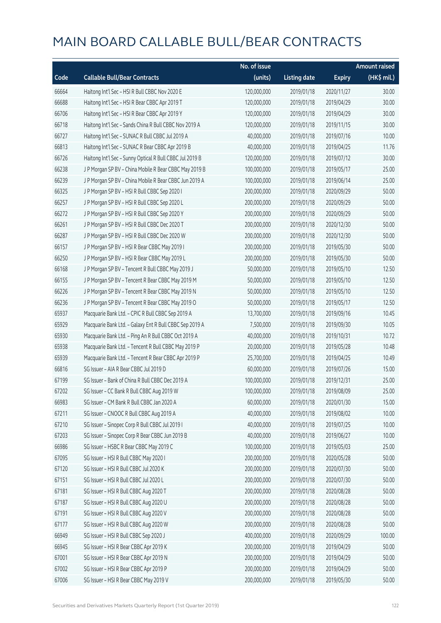|       |                                                          | No. of issue |                     |               | <b>Amount raised</b> |
|-------|----------------------------------------------------------|--------------|---------------------|---------------|----------------------|
| Code  | <b>Callable Bull/Bear Contracts</b>                      | (units)      | <b>Listing date</b> | <b>Expiry</b> | (HK\$ mil.)          |
| 66664 | Haitong Int'l Sec - HSI R Bull CBBC Nov 2020 E           | 120,000,000  | 2019/01/18          | 2020/11/27    | 30.00                |
| 66688 | Haitong Int'l Sec - HSI R Bear CBBC Apr 2019 T           | 120,000,000  | 2019/01/18          | 2019/04/29    | 30.00                |
| 66706 | Haitong Int'l Sec - HSI R Bear CBBC Apr 2019 Y           | 120,000,000  | 2019/01/18          | 2019/04/29    | 30.00                |
| 66718 | Haitong Int'l Sec - Sands China R Bull CBBC Nov 2019 A   | 120,000,000  | 2019/01/18          | 2019/11/15    | 30.00                |
| 66727 | Haitong Int'l Sec - SUNAC R Bull CBBC Jul 2019 A         | 40,000,000   | 2019/01/18          | 2019/07/16    | 10.00                |
| 66813 | Haitong Int'l Sec - SUNAC R Bear CBBC Apr 2019 B         | 40,000,000   | 2019/01/18          | 2019/04/25    | 11.76                |
| 66726 | Haitong Int'l Sec - Sunny Optical R Bull CBBC Jul 2019 B | 120,000,000  | 2019/01/18          | 2019/07/12    | 30.00                |
| 66238 | J P Morgan SP BV - China Mobile R Bear CBBC May 2019 B   | 100,000,000  | 2019/01/18          | 2019/05/17    | 25.00                |
| 66239 | J P Morgan SP BV - China Mobile R Bear CBBC Jun 2019 A   | 100,000,000  | 2019/01/18          | 2019/06/14    | 25.00                |
| 66325 | J P Morgan SP BV - HSI R Bull CBBC Sep 2020 I            | 200,000,000  | 2019/01/18          | 2020/09/29    | 50.00                |
| 66257 | J P Morgan SP BV - HSI R Bull CBBC Sep 2020 L            | 200,000,000  | 2019/01/18          | 2020/09/29    | 50.00                |
| 66272 | J P Morgan SP BV - HSI R Bull CBBC Sep 2020 Y            | 200,000,000  | 2019/01/18          | 2020/09/29    | 50.00                |
| 66261 | J P Morgan SP BV - HSI R Bull CBBC Dec 2020 T            | 200,000,000  | 2019/01/18          | 2020/12/30    | 50.00                |
| 66287 | J P Morgan SP BV - HSI R Bull CBBC Dec 2020 W            | 200,000,000  | 2019/01/18          | 2020/12/30    | 50.00                |
| 66157 | J P Morgan SP BV - HSI R Bear CBBC May 2019 I            | 200,000,000  | 2019/01/18          | 2019/05/30    | 50.00                |
| 66250 | J P Morgan SP BV - HSI R Bear CBBC May 2019 L            | 200,000,000  | 2019/01/18          | 2019/05/30    | 50.00                |
| 66168 | J P Morgan SP BV - Tencent R Bull CBBC May 2019 J        | 50,000,000   | 2019/01/18          | 2019/05/10    | 12.50                |
| 66155 | J P Morgan SP BV - Tencent R Bear CBBC May 2019 M        | 50,000,000   | 2019/01/18          | 2019/05/10    | 12.50                |
| 66226 | J P Morgan SP BV - Tencent R Bear CBBC May 2019 N        | 50,000,000   | 2019/01/18          | 2019/05/10    | 12.50                |
| 66236 | J P Morgan SP BV - Tencent R Bear CBBC May 2019 O        | 50,000,000   | 2019/01/18          | 2019/05/17    | 12.50                |
| 65937 | Macquarie Bank Ltd. - CPIC R Bull CBBC Sep 2019 A        | 13,700,000   | 2019/01/18          | 2019/09/16    | 10.45                |
| 65929 | Macquarie Bank Ltd. - Galaxy Ent R Bull CBBC Sep 2019 A  | 7,500,000    | 2019/01/18          | 2019/09/30    | 10.05                |
| 65930 | Macquarie Bank Ltd. - Ping An R Bull CBBC Oct 2019 A     | 40,000,000   | 2019/01/18          | 2019/10/31    | 10.72                |
| 65938 | Macquarie Bank Ltd. - Tencent R Bull CBBC May 2019 P     | 20,000,000   | 2019/01/18          | 2019/05/28    | 10.48                |
| 65939 | Macquarie Bank Ltd. - Tencent R Bear CBBC Apr 2019 P     | 25,700,000   | 2019/01/18          | 2019/04/25    | 10.49                |
| 66816 | SG Issuer - AIA R Bear CBBC Jul 2019 D                   | 60,000,000   | 2019/01/18          | 2019/07/26    | 15.00                |
| 67199 | SG Issuer - Bank of China R Bull CBBC Dec 2019 A         | 100,000,000  | 2019/01/18          | 2019/12/31    | 25.00                |
| 67202 | SG Issuer - CC Bank R Bull CBBC Aug 2019 W               | 100,000,000  | 2019/01/18          | 2019/08/09    | 25.00                |
| 66983 | SG Issuer - CM Bank R Bull CBBC Jan 2020 A               | 60,000,000   | 2019/01/18          | 2020/01/30    | 15.00                |
| 67211 | SG Issuer - CNOOC R Bull CBBC Aug 2019 A                 | 40,000,000   | 2019/01/18          | 2019/08/02    | 10.00                |
| 67210 | SG Issuer - Sinopec Corp R Bull CBBC Jul 2019 I          | 40,000,000   | 2019/01/18          | 2019/07/25    | 10.00                |
| 67203 | SG Issuer - Sinopec Corp R Bear CBBC Jun 2019 B          | 40,000,000   | 2019/01/18          | 2019/06/27    | 10.00                |
| 66986 | SG Issuer - HSBC R Bear CBBC May 2019 C                  | 100,000,000  | 2019/01/18          | 2019/05/03    | 25.00                |
| 67095 | SG Issuer - HSI R Bull CBBC May 2020 I                   | 200,000,000  | 2019/01/18          | 2020/05/28    | 50.00                |
| 67120 | SG Issuer - HSI R Bull CBBC Jul 2020 K                   | 200,000,000  | 2019/01/18          | 2020/07/30    | 50.00                |
| 67151 | SG Issuer - HSI R Bull CBBC Jul 2020 L                   | 200,000,000  | 2019/01/18          | 2020/07/30    | 50.00                |
| 67181 | SG Issuer - HSI R Bull CBBC Aug 2020 T                   | 200,000,000  | 2019/01/18          | 2020/08/28    | 50.00                |
| 67187 | SG Issuer - HSI R Bull CBBC Aug 2020 U                   | 200,000,000  | 2019/01/18          | 2020/08/28    | 50.00                |
| 67191 | SG Issuer - HSI R Bull CBBC Aug 2020 V                   | 200,000,000  | 2019/01/18          | 2020/08/28    | 50.00                |
| 67177 | SG Issuer - HSI R Bull CBBC Aug 2020 W                   | 200,000,000  | 2019/01/18          | 2020/08/28    | 50.00                |
| 66949 | SG Issuer - HSI R Bull CBBC Sep 2020 J                   | 400,000,000  | 2019/01/18          | 2020/09/29    | 100.00               |
| 66945 | SG Issuer - HSI R Bear CBBC Apr 2019 K                   | 200,000,000  | 2019/01/18          | 2019/04/29    | 50.00                |
| 67001 | SG Issuer - HSI R Bear CBBC Apr 2019 N                   | 200,000,000  | 2019/01/18          | 2019/04/29    | 50.00                |
| 67002 | SG Issuer - HSI R Bear CBBC Apr 2019 P                   | 200,000,000  | 2019/01/18          | 2019/04/29    | 50.00                |
| 67006 | SG Issuer - HSI R Bear CBBC May 2019 V                   | 200,000,000  | 2019/01/18          | 2019/05/30    | 50.00                |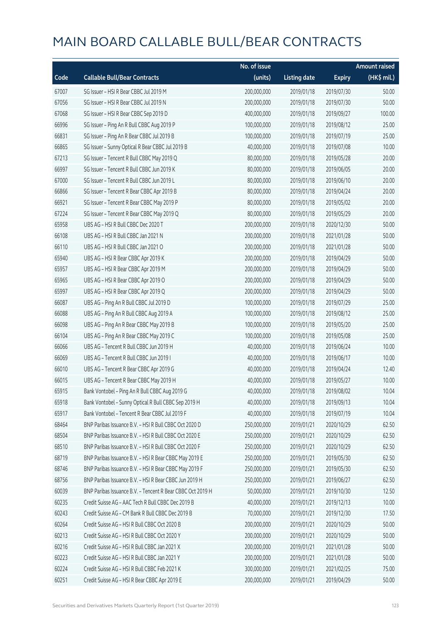|       |                                                            | No. of issue |                     |               | <b>Amount raised</b> |
|-------|------------------------------------------------------------|--------------|---------------------|---------------|----------------------|
| Code  | <b>Callable Bull/Bear Contracts</b>                        | (units)      | <b>Listing date</b> | <b>Expiry</b> | (HK\$ mil.)          |
| 67007 | SG Issuer - HSI R Bear CBBC Jul 2019 M                     | 200,000,000  | 2019/01/18          | 2019/07/30    | 50.00                |
| 67056 | SG Issuer - HSI R Bear CBBC Jul 2019 N                     | 200,000,000  | 2019/01/18          | 2019/07/30    | 50.00                |
| 67068 | SG Issuer - HSI R Bear CBBC Sep 2019 D                     | 400,000,000  | 2019/01/18          | 2019/09/27    | 100.00               |
| 66996 | SG Issuer - Ping An R Bull CBBC Aug 2019 P                 | 100,000,000  | 2019/01/18          | 2019/08/12    | 25.00                |
| 66831 | SG Issuer - Ping An R Bear CBBC Jul 2019 B                 | 100,000,000  | 2019/01/18          | 2019/07/19    | 25.00                |
| 66865 | SG Issuer - Sunny Optical R Bear CBBC Jul 2019 B           | 40,000,000   | 2019/01/18          | 2019/07/08    | 10.00                |
| 67213 | SG Issuer - Tencent R Bull CBBC May 2019 Q                 | 80,000,000   | 2019/01/18          | 2019/05/28    | 20.00                |
| 66997 | SG Issuer - Tencent R Bull CBBC Jun 2019 K                 | 80,000,000   | 2019/01/18          | 2019/06/05    | 20.00                |
| 67000 | SG Issuer - Tencent R Bull CBBC Jun 2019 L                 | 80,000,000   | 2019/01/18          | 2019/06/10    | 20.00                |
| 66866 | SG Issuer - Tencent R Bear CBBC Apr 2019 B                 | 80,000,000   | 2019/01/18          | 2019/04/24    | 20.00                |
| 66921 | SG Issuer - Tencent R Bear CBBC May 2019 P                 | 80,000,000   | 2019/01/18          | 2019/05/02    | 20.00                |
| 67224 | SG Issuer - Tencent R Bear CBBC May 2019 Q                 | 80,000,000   | 2019/01/18          | 2019/05/29    | 20.00                |
| 65958 | UBS AG - HSI R Bull CBBC Dec 2020 T                        | 200,000,000  | 2019/01/18          | 2020/12/30    | 50.00                |
| 66108 | UBS AG - HSI R Bull CBBC Jan 2021 N                        | 200,000,000  | 2019/01/18          | 2021/01/28    | 50.00                |
| 66110 | UBS AG - HSI R Bull CBBC Jan 2021 O                        | 200,000,000  | 2019/01/18          | 2021/01/28    | 50.00                |
| 65940 | UBS AG - HSI R Bear CBBC Apr 2019 K                        | 200,000,000  | 2019/01/18          | 2019/04/29    | 50.00                |
| 65957 | UBS AG - HSI R Bear CBBC Apr 2019 M                        | 200,000,000  | 2019/01/18          | 2019/04/29    | 50.00                |
| 65965 | UBS AG - HSI R Bear CBBC Apr 2019 O                        | 200,000,000  | 2019/01/18          | 2019/04/29    | 50.00                |
| 65997 | UBS AG - HSI R Bear CBBC Apr 2019 Q                        | 200,000,000  | 2019/01/18          | 2019/04/29    | 50.00                |
| 66087 | UBS AG - Ping An R Bull CBBC Jul 2019 D                    | 100,000,000  | 2019/01/18          | 2019/07/29    | 25.00                |
| 66088 | UBS AG - Ping An R Bull CBBC Aug 2019 A                    | 100,000,000  | 2019/01/18          | 2019/08/12    | 25.00                |
| 66098 | UBS AG - Ping An R Bear CBBC May 2019 B                    | 100,000,000  | 2019/01/18          | 2019/05/20    | 25.00                |
| 66104 | UBS AG - Ping An R Bear CBBC May 2019 C                    | 100,000,000  | 2019/01/18          | 2019/05/08    | 25.00                |
| 66066 | UBS AG - Tencent R Bull CBBC Jun 2019 H                    | 40,000,000   | 2019/01/18          | 2019/06/24    | 10.00                |
| 66069 | UBS AG - Tencent R Bull CBBC Jun 2019 I                    | 40,000,000   | 2019/01/18          | 2019/06/17    | 10.00                |
| 66010 | UBS AG - Tencent R Bear CBBC Apr 2019 G                    | 40,000,000   | 2019/01/18          | 2019/04/24    | 12.40                |
| 66015 | UBS AG - Tencent R Bear CBBC May 2019 H                    | 40,000,000   | 2019/01/18          | 2019/05/27    | 10.00                |
| 65915 | Bank Vontobel - Ping An R Bull CBBC Aug 2019 G             | 40,000,000   | 2019/01/18          | 2019/08/02    | 10.04                |
| 65918 | Bank Vontobel - Sunny Optical R Bull CBBC Sep 2019 H       | 40,000,000   | 2019/01/18          | 2019/09/13    | 10.04                |
| 65917 | Bank Vontobel - Tencent R Bear CBBC Jul 2019 F             | 40,000,000   | 2019/01/18          | 2019/07/19    | 10.04                |
| 68464 | BNP Paribas Issuance B.V. - HSI R Bull CBBC Oct 2020 D     | 250,000,000  | 2019/01/21          | 2020/10/29    | 62.50                |
| 68504 | BNP Paribas Issuance B.V. - HSI R Bull CBBC Oct 2020 E     | 250,000,000  | 2019/01/21          | 2020/10/29    | 62.50                |
| 68510 | BNP Paribas Issuance B.V. - HSI R Bull CBBC Oct 2020 F     | 250,000,000  | 2019/01/21          | 2020/10/29    | 62.50                |
| 68719 | BNP Paribas Issuance B.V. - HSI R Bear CBBC May 2019 E     | 250,000,000  | 2019/01/21          | 2019/05/30    | 62.50                |
| 68746 | BNP Paribas Issuance B.V. - HSI R Bear CBBC May 2019 F     | 250,000,000  | 2019/01/21          | 2019/05/30    | 62.50                |
| 68756 | BNP Paribas Issuance B.V. - HSI R Bear CBBC Jun 2019 H     | 250,000,000  | 2019/01/21          | 2019/06/27    | 62.50                |
| 60039 | BNP Paribas Issuance B.V. - Tencent R Bear CBBC Oct 2019 H | 50,000,000   | 2019/01/21          | 2019/10/30    | 12.50                |
| 60235 | Credit Suisse AG - AAC Tech R Bull CBBC Dec 2019 B         | 40,000,000   | 2019/01/21          | 2019/12/13    | 10.00                |
| 60243 | Credit Suisse AG - CM Bank R Bull CBBC Dec 2019 B          | 70,000,000   | 2019/01/21          | 2019/12/30    | 17.50                |
| 60264 | Credit Suisse AG - HSI R Bull CBBC Oct 2020 B              | 200,000,000  | 2019/01/21          | 2020/10/29    | 50.00                |
| 60213 | Credit Suisse AG - HSI R Bull CBBC Oct 2020 Y              | 200,000,000  | 2019/01/21          | 2020/10/29    | 50.00                |
| 60216 | Credit Suisse AG - HSI R Bull CBBC Jan 2021 X              | 200,000,000  | 2019/01/21          | 2021/01/28    | 50.00                |
| 60223 | Credit Suisse AG - HSI R Bull CBBC Jan 2021 Y              | 200,000,000  | 2019/01/21          | 2021/01/28    | 50.00                |
| 60224 | Credit Suisse AG - HSI R Bull CBBC Feb 2021 K              | 300,000,000  | 2019/01/21          | 2021/02/25    | 75.00                |
| 60251 | Credit Suisse AG - HSI R Bear CBBC Apr 2019 E              | 200,000,000  | 2019/01/21          | 2019/04/29    | 50.00                |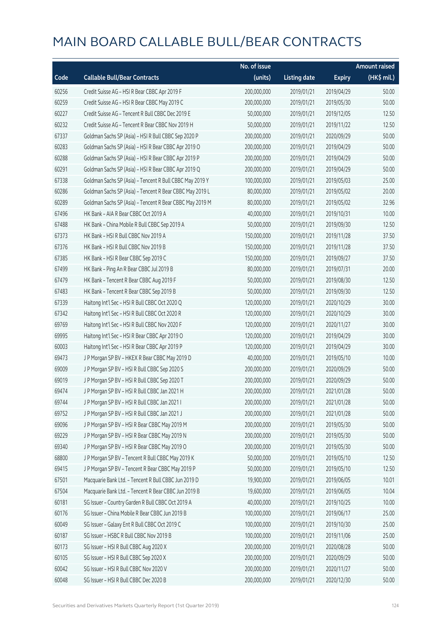|       |                                                          | No. of issue |                     |               | <b>Amount raised</b> |
|-------|----------------------------------------------------------|--------------|---------------------|---------------|----------------------|
| Code  | <b>Callable Bull/Bear Contracts</b>                      | (units)      | <b>Listing date</b> | <b>Expiry</b> | (HK\$ mil.)          |
| 60256 | Credit Suisse AG - HSI R Bear CBBC Apr 2019 F            | 200,000,000  | 2019/01/21          | 2019/04/29    | 50.00                |
| 60259 | Credit Suisse AG - HSI R Bear CBBC May 2019 C            | 200,000,000  | 2019/01/21          | 2019/05/30    | 50.00                |
| 60227 | Credit Suisse AG - Tencent R Bull CBBC Dec 2019 E        | 50,000,000   | 2019/01/21          | 2019/12/05    | 12.50                |
| 60232 | Credit Suisse AG - Tencent R Bear CBBC Nov 2019 H        | 50,000,000   | 2019/01/21          | 2019/11/22    | 12.50                |
| 67337 | Goldman Sachs SP (Asia) - HSI R Bull CBBC Sep 2020 P     | 200,000,000  | 2019/01/21          | 2020/09/29    | 50.00                |
| 60283 | Goldman Sachs SP (Asia) - HSI R Bear CBBC Apr 2019 O     | 200,000,000  | 2019/01/21          | 2019/04/29    | 50.00                |
| 60288 | Goldman Sachs SP (Asia) - HSI R Bear CBBC Apr 2019 P     | 200,000,000  | 2019/01/21          | 2019/04/29    | 50.00                |
| 60291 | Goldman Sachs SP (Asia) - HSI R Bear CBBC Apr 2019 Q     | 200,000,000  | 2019/01/21          | 2019/04/29    | 50.00                |
| 67338 | Goldman Sachs SP (Asia) - Tencent R Bull CBBC May 2019 Y | 100,000,000  | 2019/01/21          | 2019/05/03    | 25.00                |
| 60286 | Goldman Sachs SP (Asia) - Tencent R Bear CBBC May 2019 L | 80,000,000   | 2019/01/21          | 2019/05/02    | 20.00                |
| 60289 | Goldman Sachs SP (Asia) - Tencent R Bear CBBC May 2019 M | 80,000,000   | 2019/01/21          | 2019/05/02    | 32.96                |
| 67496 | HK Bank - AIA R Bear CBBC Oct 2019 A                     | 40,000,000   | 2019/01/21          | 2019/10/31    | 10.00                |
| 67488 | HK Bank - China Mobile R Bull CBBC Sep 2019 A            | 50,000,000   | 2019/01/21          | 2019/09/30    | 12.50                |
| 67373 | HK Bank - HSI R Bull CBBC Nov 2019 A                     | 150,000,000  | 2019/01/21          | 2019/11/28    | 37.50                |
| 67376 | HK Bank - HSI R Bull CBBC Nov 2019 B                     | 150,000,000  | 2019/01/21          | 2019/11/28    | 37.50                |
| 67385 | HK Bank - HSI R Bear CBBC Sep 2019 C                     | 150,000,000  | 2019/01/21          | 2019/09/27    | 37.50                |
| 67499 | HK Bank - Ping An R Bear CBBC Jul 2019 B                 | 80,000,000   | 2019/01/21          | 2019/07/31    | 20.00                |
| 67479 | HK Bank - Tencent R Bear CBBC Aug 2019 F                 | 50,000,000   | 2019/01/21          | 2019/08/30    | 12.50                |
| 67483 | HK Bank - Tencent R Bear CBBC Sep 2019 B                 | 50,000,000   | 2019/01/21          | 2019/09/30    | 12.50                |
| 67339 | Haitong Int'l Sec - HSI R Bull CBBC Oct 2020 Q           | 120,000,000  | 2019/01/21          | 2020/10/29    | 30.00                |
| 67342 | Haitong Int'l Sec - HSI R Bull CBBC Oct 2020 R           | 120,000,000  | 2019/01/21          | 2020/10/29    | 30.00                |
| 69769 | Haitong Int'l Sec - HSI R Bull CBBC Nov 2020 F           | 120,000,000  | 2019/01/21          | 2020/11/27    | 30.00                |
| 69995 | Haitong Int'l Sec - HSI R Bear CBBC Apr 2019 O           | 120,000,000  | 2019/01/21          | 2019/04/29    | 30.00                |
| 60003 | Haitong Int'l Sec - HSI R Bear CBBC Apr 2019 P           | 120,000,000  | 2019/01/21          | 2019/04/29    | 30.00                |
| 69473 | J P Morgan SP BV - HKEX R Bear CBBC May 2019 D           | 40,000,000   | 2019/01/21          | 2019/05/10    | 10.00                |
| 69009 | J P Morgan SP BV - HSI R Bull CBBC Sep 2020 S            | 200,000,000  | 2019/01/21          | 2020/09/29    | 50.00                |
| 69019 | J P Morgan SP BV - HSI R Bull CBBC Sep 2020 T            | 200,000,000  | 2019/01/21          | 2020/09/29    | 50.00                |
| 69474 | J P Morgan SP BV - HSI R Bull CBBC Jan 2021 H            | 200,000,000  | 2019/01/21          | 2021/01/28    | 50.00                |
| 69744 | J P Morgan SP BV - HSI R Bull CBBC Jan 2021 I            | 200,000,000  | 2019/01/21          | 2021/01/28    | 50.00                |
| 69752 | J P Morgan SP BV - HSI R Bull CBBC Jan 2021 J            | 200,000,000  | 2019/01/21          | 2021/01/28    | 50.00                |
| 69096 | J P Morgan SP BV - HSI R Bear CBBC May 2019 M            | 200,000,000  | 2019/01/21          | 2019/05/30    | 50.00                |
| 69229 | J P Morgan SP BV - HSI R Bear CBBC May 2019 N            | 200,000,000  | 2019/01/21          | 2019/05/30    | 50.00                |
| 69340 | J P Morgan SP BV - HSI R Bear CBBC May 2019 O            | 200,000,000  | 2019/01/21          | 2019/05/30    | 50.00                |
| 68800 | J P Morgan SP BV - Tencent R Bull CBBC May 2019 K        | 50,000,000   | 2019/01/21          | 2019/05/10    | 12.50                |
| 69415 | J P Morgan SP BV - Tencent R Bear CBBC May 2019 P        | 50,000,000   | 2019/01/21          | 2019/05/10    | 12.50                |
| 67501 | Macquarie Bank Ltd. - Tencent R Bull CBBC Jun 2019 D     | 19,900,000   | 2019/01/21          | 2019/06/05    | 10.01                |
| 67504 | Macquarie Bank Ltd. - Tencent R Bear CBBC Jun 2019 B     | 19,600,000   | 2019/01/21          | 2019/06/05    | 10.04                |
| 60181 | SG Issuer - Country Garden R Bull CBBC Oct 2019 A        | 40,000,000   | 2019/01/21          | 2019/10/25    | 10.00                |
| 60176 | SG Issuer - China Mobile R Bear CBBC Jun 2019 B          | 100,000,000  | 2019/01/21          | 2019/06/17    | 25.00                |
| 60049 | SG Issuer - Galaxy Ent R Bull CBBC Oct 2019 C            | 100,000,000  | 2019/01/21          | 2019/10/30    | 25.00                |
| 60187 | SG Issuer - HSBC R Bull CBBC Nov 2019 B                  | 100,000,000  | 2019/01/21          | 2019/11/06    | 25.00                |
| 60173 | SG Issuer - HSI R Bull CBBC Aug 2020 X                   | 200,000,000  | 2019/01/21          | 2020/08/28    | 50.00                |
| 60105 | SG Issuer - HSI R Bull CBBC Sep 2020 X                   | 200,000,000  | 2019/01/21          | 2020/09/29    | 50.00                |
| 60042 | SG Issuer - HSI R Bull CBBC Nov 2020 V                   | 200,000,000  | 2019/01/21          | 2020/11/27    | 50.00                |
| 60048 | SG Issuer - HSI R Bull CBBC Dec 2020 B                   | 200,000,000  | 2019/01/21          | 2020/12/30    | 50.00                |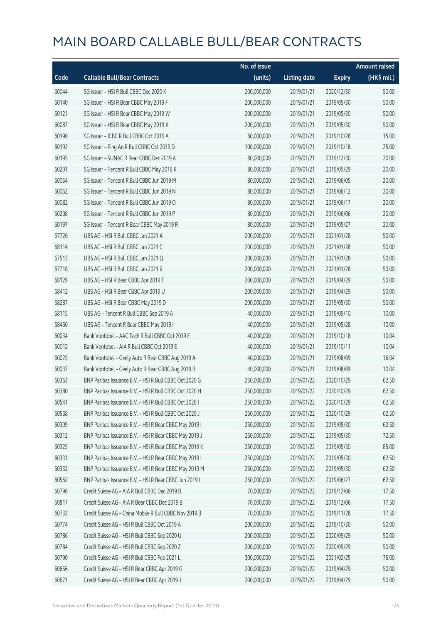|       |                                                        | No. of issue |                     |               | <b>Amount raised</b> |
|-------|--------------------------------------------------------|--------------|---------------------|---------------|----------------------|
| Code  | <b>Callable Bull/Bear Contracts</b>                    | (units)      | <b>Listing date</b> | <b>Expiry</b> | (HK\$ mil.)          |
| 60044 | SG Issuer - HSI R Bull CBBC Dec 2020 K                 | 200,000,000  | 2019/01/21          | 2020/12/30    | 50.00                |
| 60140 | SG Issuer - HSI R Bear CBBC May 2019 F                 | 200,000,000  | 2019/01/21          | 2019/05/30    | 50.00                |
| 60121 | SG Issuer - HSI R Bear CBBC May 2019 W                 | 200,000,000  | 2019/01/21          | 2019/05/30    | 50.00                |
| 60087 | SG Issuer - HSI R Bear CBBC May 2019 X                 | 200,000,000  | 2019/01/21          | 2019/05/30    | 50.00                |
| 60190 | SG Issuer - ICBC R Bull CBBC Oct 2019 A                | 60,000,000   | 2019/01/21          | 2019/10/28    | 15.00                |
| 60192 | SG Issuer - Ping An R Bull CBBC Oct 2019 D             | 100,000,000  | 2019/01/21          | 2019/10/18    | 25.00                |
| 60195 | SG Issuer - SUNAC R Bear CBBC Dec 2019 A               | 80,000,000   | 2019/01/21          | 2019/12/30    | 20.00                |
| 60201 | SG Issuer - Tencent R Bull CBBC May 2019 K             | 80,000,000   | 2019/01/21          | 2019/05/29    | 20.00                |
| 60054 | SG Issuer - Tencent R Bull CBBC Jun 2019 M             | 80,000,000   | 2019/01/21          | 2019/06/05    | 20.00                |
| 60062 | SG Issuer - Tencent R Bull CBBC Jun 2019 N             | 80,000,000   | 2019/01/21          | 2019/06/12    | 20.00                |
| 60082 | SG Issuer - Tencent R Bull CBBC Jun 2019 O             | 80,000,000   | 2019/01/21          | 2019/06/17    | 20.00                |
| 60208 | SG Issuer - Tencent R Bull CBBC Jun 2019 P             | 80,000,000   | 2019/01/21          | 2019/06/06    | 20.00                |
| 60197 | SG Issuer - Tencent R Bear CBBC May 2019 R             | 80,000,000   | 2019/01/21          | 2019/05/27    | 20.00                |
| 67726 | UBS AG - HSI R Bull CBBC Jan 2021 A                    | 200,000,000  | 2019/01/21          | 2021/01/28    | 50.00                |
| 68114 | UBS AG - HSI R Bull CBBC Jan 2021 C                    | 200,000,000  | 2019/01/21          | 2021/01/28    | 50.00                |
| 67513 | UBS AG - HSI R Bull CBBC Jan 2021 Q                    | 200,000,000  | 2019/01/21          | 2021/01/28    | 50.00                |
| 67718 | UBS AG - HSI R Bull CBBC Jan 2021 R                    | 200,000,000  | 2019/01/21          | 2021/01/28    | 50.00                |
| 68129 | UBS AG - HSI R Bear CBBC Apr 2019 T                    | 200,000,000  | 2019/01/21          | 2019/04/29    | 50.00                |
| 68412 | UBS AG - HSI R Bear CBBC Apr 2019 U                    | 200,000,000  | 2019/01/21          | 2019/04/29    | 50.00                |
| 68287 | UBS AG - HSI R Bear CBBC May 2019 D                    | 200,000,000  | 2019/01/21          | 2019/05/30    | 50.00                |
| 68115 | UBS AG - Tencent R Bull CBBC Sep 2019 A                | 40,000,000   | 2019/01/21          | 2019/09/10    | 10.00                |
| 68460 | UBS AG - Tencent R Bear CBBC May 2019 I                | 40,000,000   | 2019/01/21          | 2019/05/28    | 10.00                |
| 60034 | Bank Vontobel - AAC Tech R Bull CBBC Oct 2019 E        | 40,000,000   | 2019/01/21          | 2019/10/18    | 10.04                |
| 60012 | Bank Vontobel - AIA R Bull CBBC Oct 2019 E             | 40,000,000   | 2019/01/21          | 2019/10/11    | 10.04                |
| 60025 | Bank Vontobel - Geely Auto R Bear CBBC Aug 2019 A      | 40,000,000   | 2019/01/21          | 2019/08/09    | 16.04                |
| 60037 | Bank Vontobel - Geely Auto R Bear CBBC Aug 2019 B      | 40,000,000   | 2019/01/21          | 2019/08/09    | 10.04                |
| 60363 | BNP Paribas Issuance B.V. - HSI R Bull CBBC Oct 2020 G | 250,000,000  | 2019/01/22          | 2020/10/29    | 62.50                |
| 60380 | BNP Paribas Issuance B.V. - HSI R Bull CBBC Oct 2020 H | 250,000,000  | 2019/01/22          | 2020/10/29    | 62.50                |
| 60541 | BNP Paribas Issuance B.V. - HSI R Bull CBBC Oct 2020 I | 250,000,000  | 2019/01/22          | 2020/10/29    | 62.50                |
| 60568 | BNP Paribas Issuance B.V. - HSI R Bull CBBC Oct 2020 J | 250,000,000  | 2019/01/22          | 2020/10/29    | 62.50                |
| 60309 | BNP Paribas Issuance B.V. - HSI R Bear CBBC May 2019 I | 250,000,000  | 2019/01/22          | 2019/05/30    | 62.50                |
| 60312 | BNP Paribas Issuance B.V. - HSI R Bear CBBC May 2019 J | 250,000,000  | 2019/01/22          | 2019/05/30    | 72.50                |
| 60325 | BNP Paribas Issuance B.V. - HSI R Bear CBBC May 2019 K | 250,000,000  | 2019/01/22          | 2019/05/30    | 85.00                |
| 60331 | BNP Paribas Issuance B.V. - HSI R Bear CBBC May 2019 L | 250,000,000  | 2019/01/22          | 2019/05/30    | 62.50                |
| 60332 | BNP Paribas Issuance B.V. - HSI R Bear CBBC May 2019 M | 250,000,000  | 2019/01/22          | 2019/05/30    | 62.50                |
| 60562 | BNP Paribas Issuance B.V. - HSI R Bear CBBC Jun 2019 I | 250,000,000  | 2019/01/22          | 2019/06/27    | 62.50                |
| 60796 | Credit Suisse AG - AIA R Bull CBBC Dec 2019 B          | 70,000,000   | 2019/01/22          | 2019/12/06    | 17.50                |
| 60817 | Credit Suisse AG - AIA R Bear CBBC Dec 2019 B          | 70,000,000   | 2019/01/22          | 2019/12/06    | 17.50                |
| 60732 | Credit Suisse AG - China Mobile R Bull CBBC Nov 2019 B | 70,000,000   | 2019/01/22          | 2019/11/28    | 17.50                |
| 60774 | Credit Suisse AG - HSI R Bull CBBC Oct 2019 A          | 200,000,000  | 2019/01/22          | 2019/10/30    | 50.00                |
| 60786 | Credit Suisse AG - HSI R Bull CBBC Sep 2020 U          | 200,000,000  | 2019/01/22          | 2020/09/29    | 50.00                |
| 60784 | Credit Suisse AG - HSI R Bull CBBC Sep 2020 Z          | 200,000,000  | 2019/01/22          | 2020/09/29    | 50.00                |
| 60790 | Credit Suisse AG - HSI R Bull CBBC Feb 2021 L          | 300,000,000  | 2019/01/22          | 2021/02/25    | 75.00                |
| 60656 | Credit Suisse AG - HSI R Bear CBBC Apr 2019 G          | 200,000,000  | 2019/01/22          | 2019/04/29    | 50.00                |
| 60671 | Credit Suisse AG - HSI R Bear CBBC Apr 2019 J          | 200,000,000  | 2019/01/22          | 2019/04/29    | 50.00                |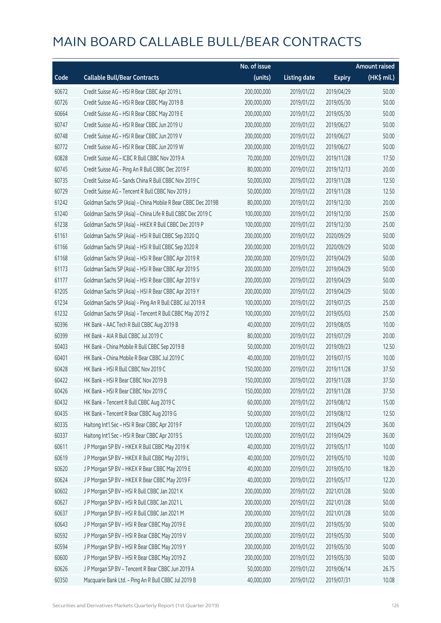|       |                                                              | No. of issue |                     |               | <b>Amount raised</b> |
|-------|--------------------------------------------------------------|--------------|---------------------|---------------|----------------------|
| Code  | <b>Callable Bull/Bear Contracts</b>                          | (units)      | <b>Listing date</b> | <b>Expiry</b> | (HK\$ mil.)          |
| 60672 | Credit Suisse AG - HSI R Bear CBBC Apr 2019 L                | 200,000,000  | 2019/01/22          | 2019/04/29    | 50.00                |
| 60726 | Credit Suisse AG - HSI R Bear CBBC May 2019 B                | 200,000,000  | 2019/01/22          | 2019/05/30    | 50.00                |
| 60664 | Credit Suisse AG - HSI R Bear CBBC May 2019 E                | 200,000,000  | 2019/01/22          | 2019/05/30    | 50.00                |
| 60747 | Credit Suisse AG - HSI R Bear CBBC Jun 2019 U                | 200,000,000  | 2019/01/22          | 2019/06/27    | 50.00                |
| 60748 | Credit Suisse AG - HSI R Bear CBBC Jun 2019 V                | 200,000,000  | 2019/01/22          | 2019/06/27    | 50.00                |
| 60772 | Credit Suisse AG - HSI R Bear CBBC Jun 2019 W                | 200,000,000  | 2019/01/22          | 2019/06/27    | 50.00                |
| 60828 | Credit Suisse AG - ICBC R Bull CBBC Nov 2019 A               | 70,000,000   | 2019/01/22          | 2019/11/28    | 17.50                |
| 60745 | Credit Suisse AG - Ping An R Bull CBBC Dec 2019 F            | 80,000,000   | 2019/01/22          | 2019/12/13    | 20.00                |
| 60735 | Credit Suisse AG - Sands China R Bull CBBC Nov 2019 C        | 50,000,000   | 2019/01/22          | 2019/11/28    | 12.50                |
| 60729 | Credit Suisse AG - Tencent R Bull CBBC Nov 2019 J            | 50,000,000   | 2019/01/22          | 2019/11/28    | 12.50                |
| 61242 | Goldman Sachs SP (Asia) - China Mobile R Bear CBBC Dec 2019B | 80,000,000   | 2019/01/22          | 2019/12/30    | 20.00                |
| 61240 | Goldman Sachs SP (Asia) - China Life R Bull CBBC Dec 2019 C  | 100,000,000  | 2019/01/22          | 2019/12/30    | 25.00                |
| 61238 | Goldman Sachs SP (Asia) - HKEX R Bull CBBC Dec 2019 P        | 100,000,000  | 2019/01/22          | 2019/12/30    | 25.00                |
| 61161 | Goldman Sachs SP (Asia) - HSI R Bull CBBC Sep 2020 Q         | 200,000,000  | 2019/01/22          | 2020/09/29    | 50.00                |
| 61166 | Goldman Sachs SP (Asia) - HSI R Bull CBBC Sep 2020 R         | 200,000,000  | 2019/01/22          | 2020/09/29    | 50.00                |
| 61168 | Goldman Sachs SP (Asia) - HSI R Bear CBBC Apr 2019 R         | 200,000,000  | 2019/01/22          | 2019/04/29    | 50.00                |
| 61173 | Goldman Sachs SP (Asia) - HSI R Bear CBBC Apr 2019 S         | 200,000,000  | 2019/01/22          | 2019/04/29    | 50.00                |
| 61177 | Goldman Sachs SP (Asia) - HSI R Bear CBBC Apr 2019 V         | 200,000,000  | 2019/01/22          | 2019/04/29    | 50.00                |
| 61205 | Goldman Sachs SP (Asia) - HSI R Bear CBBC Apr 2019 Y         | 200,000,000  | 2019/01/22          | 2019/04/29    | 50.00                |
| 61234 | Goldman Sachs SP (Asia) - Ping An R Bull CBBC Jul 2019 R     | 100,000,000  | 2019/01/22          | 2019/07/25    | 25.00                |
| 61232 | Goldman Sachs SP (Asia) - Tencent R Bull CBBC May 2019 Z     | 100,000,000  | 2019/01/22          | 2019/05/03    | 25.00                |
| 60396 | HK Bank - AAC Tech R Bull CBBC Aug 2019 B                    | 40,000,000   | 2019/01/22          | 2019/08/05    | 10.00                |
| 60399 | HK Bank - AIA R Bull CBBC Jul 2019 C                         | 80,000,000   | 2019/01/22          | 2019/07/29    | 20.00                |
| 60403 | HK Bank - China Mobile R Bull CBBC Sep 2019 B                | 50,000,000   | 2019/01/22          | 2019/09/23    | 12.50                |
| 60401 | HK Bank - China Mobile R Bear CBBC Jul 2019 C                | 40,000,000   | 2019/01/22          | 2019/07/15    | 10.00                |
| 60428 | HK Bank - HSI R Bull CBBC Nov 2019 C                         | 150,000,000  | 2019/01/22          | 2019/11/28    | 37.50                |
| 60422 | HK Bank - HSI R Bear CBBC Nov 2019 B                         | 150,000,000  | 2019/01/22          | 2019/11/28    | 37.50                |
| 60426 | HK Bank - HSI R Bear CBBC Nov 2019 C                         | 150,000,000  | 2019/01/22          | 2019/11/28    | 37.50                |
| 60432 | HK Bank - Tencent R Bull CBBC Aug 2019 C                     | 60,000,000   | 2019/01/22          | 2019/08/12    | 15.00                |
| 60435 | HK Bank - Tencent R Bear CBBC Aug 2019 G                     | 50,000,000   | 2019/01/22          | 2019/08/12    | 12.50                |
| 60335 | Haitong Int'l Sec - HSI R Bear CBBC Apr 2019 F               | 120,000,000  | 2019/01/22          | 2019/04/29    | 36.00                |
| 60337 | Haitong Int'l Sec - HSI R Bear CBBC Apr 2019 S               | 120,000,000  | 2019/01/22          | 2019/04/29    | 36.00                |
| 60611 | J P Morgan SP BV - HKEX R Bull CBBC May 2019 K               | 40,000,000   | 2019/01/22          | 2019/05/17    | 10.00                |
| 60619 | J P Morgan SP BV - HKEX R Bull CBBC May 2019 L               | 40,000,000   | 2019/01/22          | 2019/05/10    | 10.00                |
| 60620 | J P Morgan SP BV - HKEX R Bear CBBC May 2019 E               | 40,000,000   | 2019/01/22          | 2019/05/10    | 18.20                |
| 60624 | J P Morgan SP BV - HKEX R Bear CBBC May 2019 F               | 40,000,000   | 2019/01/22          | 2019/05/17    | 12.20                |
| 60602 | J P Morgan SP BV - HSI R Bull CBBC Jan 2021 K                | 200,000,000  | 2019/01/22          | 2021/01/28    | 50.00                |
| 60627 | J P Morgan SP BV - HSI R Bull CBBC Jan 2021 L                | 200,000,000  | 2019/01/22          | 2021/01/28    | 50.00                |
| 60637 | J P Morgan SP BV - HSI R Bull CBBC Jan 2021 M                | 200,000,000  | 2019/01/22          | 2021/01/28    | 50.00                |
| 60643 | J P Morgan SP BV - HSI R Bear CBBC May 2019 E                | 200,000,000  | 2019/01/22          | 2019/05/30    | 50.00                |
| 60592 | J P Morgan SP BV - HSI R Bear CBBC May 2019 V                | 200,000,000  | 2019/01/22          | 2019/05/30    | 50.00                |
| 60594 | J P Morgan SP BV - HSI R Bear CBBC May 2019 Y                | 200,000,000  | 2019/01/22          | 2019/05/30    | 50.00                |
| 60600 | J P Morgan SP BV - HSI R Bear CBBC May 2019 Z                | 200,000,000  | 2019/01/22          | 2019/05/30    | 50.00                |
| 60626 | J P Morgan SP BV - Tencent R Bear CBBC Jun 2019 A            | 50,000,000   | 2019/01/22          | 2019/06/14    | 26.75                |
| 60350 | Macquarie Bank Ltd. - Ping An R Bull CBBC Jul 2019 B         | 40,000,000   | 2019/01/22          | 2019/07/31    | 10.08                |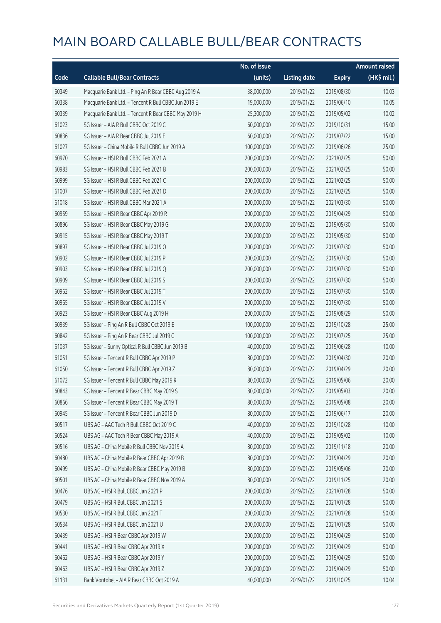|       |                                                      | No. of issue |                     |               | <b>Amount raised</b> |
|-------|------------------------------------------------------|--------------|---------------------|---------------|----------------------|
| Code  | <b>Callable Bull/Bear Contracts</b>                  | (units)      | <b>Listing date</b> | <b>Expiry</b> | (HK\$ mil.)          |
| 60349 | Macquarie Bank Ltd. - Ping An R Bear CBBC Aug 2019 A | 38,000,000   | 2019/01/22          | 2019/08/30    | 10.03                |
| 60338 | Macquarie Bank Ltd. - Tencent R Bull CBBC Jun 2019 E | 19,000,000   | 2019/01/22          | 2019/06/10    | 10.05                |
| 60339 | Macquarie Bank Ltd. - Tencent R Bear CBBC May 2019 H | 25,300,000   | 2019/01/22          | 2019/05/02    | 10.02                |
| 61023 | SG Issuer - AIA R Bull CBBC Oct 2019 C               | 60,000,000   | 2019/01/22          | 2019/10/31    | 15.00                |
| 60836 | SG Issuer - AIA R Bear CBBC Jul 2019 E               | 60,000,000   | 2019/01/22          | 2019/07/22    | 15.00                |
| 61027 | SG Issuer - China Mobile R Bull CBBC Jun 2019 A      | 100,000,000  | 2019/01/22          | 2019/06/26    | 25.00                |
| 60970 | SG Issuer - HSI R Bull CBBC Feb 2021 A               | 200,000,000  | 2019/01/22          | 2021/02/25    | 50.00                |
| 60983 | SG Issuer - HSI R Bull CBBC Feb 2021 B               | 200,000,000  | 2019/01/22          | 2021/02/25    | 50.00                |
| 60999 | SG Issuer - HSI R Bull CBBC Feb 2021 C               | 200,000,000  | 2019/01/22          | 2021/02/25    | 50.00                |
| 61007 | SG Issuer - HSI R Bull CBBC Feb 2021 D               | 200,000,000  | 2019/01/22          | 2021/02/25    | 50.00                |
| 61018 | SG Issuer - HSI R Bull CBBC Mar 2021 A               | 200,000,000  | 2019/01/22          | 2021/03/30    | 50.00                |
| 60959 | SG Issuer - HSI R Bear CBBC Apr 2019 R               | 200,000,000  | 2019/01/22          | 2019/04/29    | 50.00                |
| 60896 | SG Issuer - HSI R Bear CBBC May 2019 G               | 200,000,000  | 2019/01/22          | 2019/05/30    | 50.00                |
| 60915 | SG Issuer - HSI R Bear CBBC May 2019 T               | 200,000,000  | 2019/01/22          | 2019/05/30    | 50.00                |
| 60897 | SG Issuer - HSI R Bear CBBC Jul 2019 O               | 200,000,000  | 2019/01/22          | 2019/07/30    | 50.00                |
| 60902 | SG Issuer - HSI R Bear CBBC Jul 2019 P               | 200,000,000  | 2019/01/22          | 2019/07/30    | 50.00                |
| 60903 | SG Issuer - HSI R Bear CBBC Jul 2019 Q               | 200,000,000  | 2019/01/22          | 2019/07/30    | 50.00                |
| 60909 | SG Issuer - HSI R Bear CBBC Jul 2019 S               | 200,000,000  | 2019/01/22          | 2019/07/30    | 50.00                |
| 60962 | SG Issuer - HSI R Bear CBBC Jul 2019 T               | 200,000,000  | 2019/01/22          | 2019/07/30    | 50.00                |
| 60965 | SG Issuer - HSI R Bear CBBC Jul 2019 V               | 200,000,000  | 2019/01/22          | 2019/07/30    | 50.00                |
| 60923 | SG Issuer - HSI R Bear CBBC Aug 2019 H               | 200,000,000  | 2019/01/22          | 2019/08/29    | 50.00                |
| 60939 | SG Issuer - Ping An R Bull CBBC Oct 2019 E           | 100,000,000  | 2019/01/22          | 2019/10/28    | 25.00                |
| 60842 | SG Issuer - Ping An R Bear CBBC Jul 2019 C           | 100,000,000  | 2019/01/22          | 2019/07/25    | 25.00                |
| 61037 | SG Issuer - Sunny Optical R Bull CBBC Jun 2019 B     | 40,000,000   | 2019/01/22          | 2019/06/28    | 10.00                |
| 61051 | SG Issuer - Tencent R Bull CBBC Apr 2019 P           | 80,000,000   | 2019/01/22          | 2019/04/30    | 20.00                |
| 61050 | SG Issuer - Tencent R Bull CBBC Apr 2019 Z           | 80,000,000   | 2019/01/22          | 2019/04/29    | 20.00                |
| 61072 | SG Issuer - Tencent R Bull CBBC May 2019 R           | 80,000,000   | 2019/01/22          | 2019/05/06    | 20.00                |
| 60843 | SG Issuer - Tencent R Bear CBBC May 2019 S           | 80,000,000   | 2019/01/22          | 2019/05/03    | 20.00                |
| 60866 | SG Issuer - Tencent R Bear CBBC May 2019 T           | 80,000,000   | 2019/01/22          | 2019/05/08    | 20.00                |
| 60945 | SG Issuer - Tencent R Bear CBBC Jun 2019 D           | 80,000,000   | 2019/01/22          | 2019/06/17    | 20.00                |
| 60517 | UBS AG - AAC Tech R Bull CBBC Oct 2019 C             | 40,000,000   | 2019/01/22          | 2019/10/28    | 10.00                |
| 60524 | UBS AG - AAC Tech R Bear CBBC May 2019 A             | 40,000,000   | 2019/01/22          | 2019/05/02    | 10.00                |
| 60516 | UBS AG - China Mobile R Bull CBBC Nov 2019 A         | 80,000,000   | 2019/01/22          | 2019/11/18    | 20.00                |
| 60480 | UBS AG - China Mobile R Bear CBBC Apr 2019 B         | 80,000,000   | 2019/01/22          | 2019/04/29    | 20.00                |
| 60499 | UBS AG - China Mobile R Bear CBBC May 2019 B         | 80,000,000   | 2019/01/22          | 2019/05/06    | 20.00                |
| 60501 | UBS AG - China Mobile R Bear CBBC Nov 2019 A         | 80,000,000   | 2019/01/22          | 2019/11/25    | 20.00                |
| 60476 | UBS AG - HSI R Bull CBBC Jan 2021 P                  | 200,000,000  | 2019/01/22          | 2021/01/28    | 50.00                |
| 60479 | UBS AG - HSI R Bull CBBC Jan 2021 S                  | 200,000,000  | 2019/01/22          | 2021/01/28    | 50.00                |
| 60530 | UBS AG - HSI R Bull CBBC Jan 2021 T                  | 200,000,000  | 2019/01/22          | 2021/01/28    | 50.00                |
| 60534 | UBS AG - HSI R Bull CBBC Jan 2021 U                  | 200,000,000  | 2019/01/22          | 2021/01/28    | 50.00                |
| 60439 | UBS AG - HSI R Bear CBBC Apr 2019 W                  | 200,000,000  | 2019/01/22          | 2019/04/29    | 50.00                |
| 60441 | UBS AG - HSI R Bear CBBC Apr 2019 X                  | 200,000,000  | 2019/01/22          | 2019/04/29    | 50.00                |
| 60462 | UBS AG - HSI R Bear CBBC Apr 2019 Y                  | 200,000,000  | 2019/01/22          | 2019/04/29    | 50.00                |
| 60463 | UBS AG - HSI R Bear CBBC Apr 2019 Z                  | 200,000,000  | 2019/01/22          | 2019/04/29    | 50.00                |
| 61131 | Bank Vontobel - AIA R Bear CBBC Oct 2019 A           | 40,000,000   | 2019/01/22          | 2019/10/25    | 10.04                |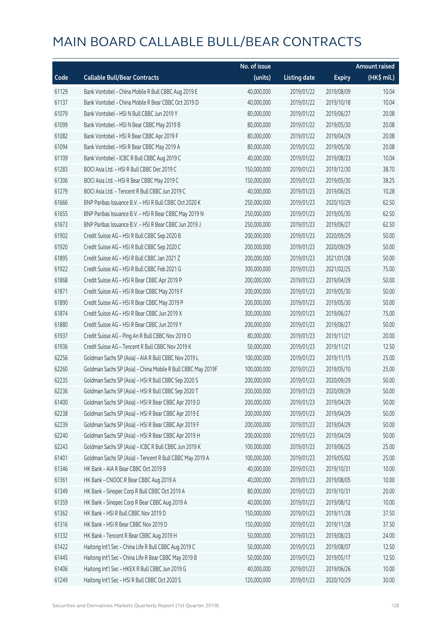|       |                                                              | No. of issue |                     |               | <b>Amount raised</b> |
|-------|--------------------------------------------------------------|--------------|---------------------|---------------|----------------------|
| Code  | <b>Callable Bull/Bear Contracts</b>                          | (units)      | <b>Listing date</b> | <b>Expiry</b> | (HK\$ mil.)          |
| 61129 | Bank Vontobel - China Mobile R Bull CBBC Aug 2019 E          | 40,000,000   | 2019/01/22          | 2019/08/09    | 10.04                |
| 61137 | Bank Vontobel - China Mobile R Bear CBBC Oct 2019 D          | 40,000,000   | 2019/01/22          | 2019/10/18    | 10.04                |
| 61079 | Bank Vontobel - HSI N Bull CBBC Jun 2019 Y                   | 80,000,000   | 2019/01/22          | 2019/06/27    | 20.08                |
| 61099 | Bank Vontobel - HSI N Bear CBBC May 2019 B                   | 80,000,000   | 2019/01/22          | 2019/05/30    | 20.08                |
| 61082 | Bank Vontobel - HSI R Bear CBBC Apr 2019 F                   | 80,000,000   | 2019/01/22          | 2019/04/29    | 20.08                |
| 61094 | Bank Vontobel - HSI R Bear CBBC May 2019 A                   | 80,000,000   | 2019/01/22          | 2019/05/30    | 20.08                |
| 61109 | Bank Vontobel - ICBC R Bull CBBC Aug 2019 C                  | 40,000,000   | 2019/01/22          | 2019/08/23    | 10.04                |
| 61283 | BOCI Asia Ltd. - HSI R Bull CBBC Dec 2019 C                  | 150,000,000  | 2019/01/23          | 2019/12/30    | 38.70                |
| 61306 | BOCI Asia Ltd. - HSI R Bear CBBC May 2019 C                  | 150,000,000  | 2019/01/23          | 2019/05/30    | 38.25                |
| 61279 | BOCI Asia Ltd. - Tencent R Bull CBBC Jun 2019 C              | 40,000,000   | 2019/01/23          | 2019/06/25    | 10.28                |
| 61666 | BNP Paribas Issuance B.V. - HSI R Bull CBBC Oct 2020 K       | 250,000,000  | 2019/01/23          | 2020/10/29    | 62.50                |
| 61655 | BNP Paribas Issuance B.V. - HSI R Bear CBBC May 2019 N       | 250,000,000  | 2019/01/23          | 2019/05/30    | 62.50                |
| 61673 | BNP Paribas Issuance B.V. - HSI R Bear CBBC Jun 2019 J       | 250,000,000  | 2019/01/23          | 2019/06/27    | 62.50                |
| 61902 | Credit Suisse AG - HSI R Bull CBBC Sep 2020 B                | 200,000,000  | 2019/01/23          | 2020/09/29    | 50.00                |
| 61920 | Credit Suisse AG - HSI R Bull CBBC Sep 2020 C                | 200,000,000  | 2019/01/23          | 2020/09/29    | 50.00                |
| 61895 | Credit Suisse AG - HSI R Bull CBBC Jan 2021 Z                | 200,000,000  | 2019/01/23          | 2021/01/28    | 50.00                |
| 61922 | Credit Suisse AG - HSI R Bull CBBC Feb 2021 G                | 300,000,000  | 2019/01/23          | 2021/02/25    | 75.00                |
| 61868 | Credit Suisse AG - HSI R Bear CBBC Apr 2019 P                | 200,000,000  | 2019/01/23          | 2019/04/29    | 50.00                |
| 61871 | Credit Suisse AG - HSI R Bear CBBC May 2019 F                | 200,000,000  | 2019/01/23          | 2019/05/30    | 50.00                |
| 61890 | Credit Suisse AG - HSI R Bear CBBC May 2019 P                | 200,000,000  | 2019/01/23          | 2019/05/30    | 50.00                |
| 61874 | Credit Suisse AG - HSI R Bear CBBC Jun 2019 X                | 300,000,000  | 2019/01/23          | 2019/06/27    | 75.00                |
| 61880 | Credit Suisse AG - HSI R Bear CBBC Jun 2019 Y                | 200,000,000  | 2019/01/23          | 2019/06/27    | 50.00                |
| 61937 | Credit Suisse AG - Ping An R Bull CBBC Nov 2019 O            | 80,000,000   | 2019/01/23          | 2019/11/21    | 20.00                |
| 61936 | Credit Suisse AG - Tencent R Bull CBBC Nov 2019 K            | 50,000,000   | 2019/01/23          | 2019/11/21    | 12.50                |
| 62256 | Goldman Sachs SP (Asia) - AIA R Bull CBBC Nov 2019 L         | 100,000,000  | 2019/01/23          | 2019/11/15    | 25.00                |
| 62260 | Goldman Sachs SP (Asia) - China Mobile R Bull CBBC May 2019F | 100,000,000  | 2019/01/23          | 2019/05/10    | 25.00                |
| 62235 | Goldman Sachs SP (Asia) - HSI R Bull CBBC Sep 2020 S         | 200,000,000  | 2019/01/23          | 2020/09/29    | 50.00                |
| 62236 | Goldman Sachs SP (Asia) - HSI R Bull CBBC Sep 2020 T         | 200,000,000  | 2019/01/23          | 2020/09/29    | 50.00                |
| 61400 | Goldman Sachs SP (Asia) - HSI R Bear CBBC Apr 2019 D         | 200,000,000  | 2019/01/23          | 2019/04/29    | 50.00                |
| 62238 | Goldman Sachs SP (Asia) - HSI R Bear CBBC Apr 2019 E         | 200,000,000  | 2019/01/23          | 2019/04/29    | 50.00                |
| 62239 | Goldman Sachs SP (Asia) - HSI R Bear CBBC Apr 2019 F         | 200,000,000  | 2019/01/23          | 2019/04/29    | 50.00                |
| 62240 | Goldman Sachs SP (Asia) - HSI R Bear CBBC Apr 2019 H         | 200,000,000  | 2019/01/23          | 2019/04/29    | 50.00                |
| 62243 | Goldman Sachs SP (Asia) - ICBC R Bull CBBC Jun 2019 K        | 100,000,000  | 2019/01/23          | 2019/06/25    | 25.00                |
| 61401 | Goldman Sachs SP (Asia) - Tencent R Bull CBBC May 2019 A     | 100,000,000  | 2019/01/23          | 2019/05/02    | 25.00                |
| 61346 | HK Bank - AIA R Bear CBBC Oct 2019 B                         | 40,000,000   | 2019/01/23          | 2019/10/31    | 10.00                |
| 61361 | HK Bank - CNOOC R Bear CBBC Aug 2019 A                       | 40,000,000   | 2019/01/23          | 2019/08/05    | 10.00                |
| 61349 | HK Bank - Sinopec Corp R Bull CBBC Oct 2019 A                | 80,000,000   | 2019/01/23          | 2019/10/31    | 20.00                |
| 61359 | HK Bank - Sinopec Corp R Bear CBBC Aug 2019 A                | 40,000,000   | 2019/01/23          | 2019/08/12    | 10.00                |
| 61362 | HK Bank - HSI R Bull CBBC Nov 2019 D                         | 150,000,000  | 2019/01/23          | 2019/11/28    | 37.50                |
| 61316 | HK Bank - HSI R Bear CBBC Nov 2019 D                         | 150,000,000  | 2019/01/23          | 2019/11/28    | 37.50                |
| 61332 | HK Bank - Tencent R Bear CBBC Aug 2019 H                     | 50,000,000   | 2019/01/23          | 2019/08/23    | 24.00                |
| 61422 | Haitong Int'l Sec - China Life R Bull CBBC Aug 2019 C        | 50,000,000   | 2019/01/23          | 2019/08/07    | 12.50                |
| 61445 | Haitong Int'l Sec - China Life R Bear CBBC May 2019 B        | 50,000,000   | 2019/01/23          | 2019/05/17    | 12.50                |
| 61406 | Haitong Int'l Sec - HKEX R Bull CBBC Jun 2019 G              | 40,000,000   | 2019/01/23          | 2019/06/26    | 10.00                |
| 61249 | Haitong Int'l Sec - HSI R Bull CBBC Oct 2020 S               | 120,000,000  | 2019/01/23          | 2020/10/29    | 30.00                |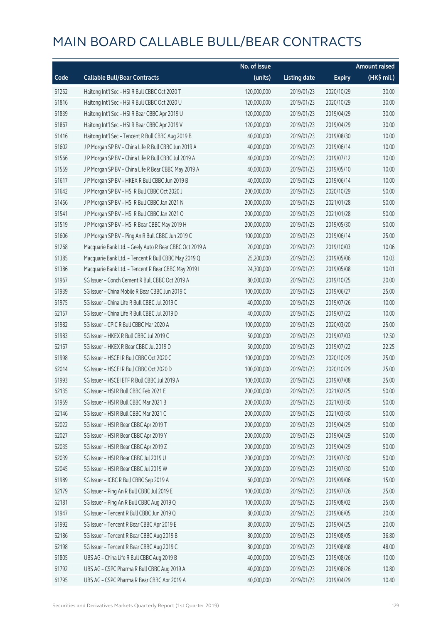|       |                                                         | No. of issue |                     |               | <b>Amount raised</b>  |
|-------|---------------------------------------------------------|--------------|---------------------|---------------|-----------------------|
| Code  | <b>Callable Bull/Bear Contracts</b>                     | (units)      | <b>Listing date</b> | <b>Expiry</b> | $(HK\frac{1}{2}mil.)$ |
| 61252 | Haitong Int'l Sec - HSI R Bull CBBC Oct 2020 T          | 120,000,000  | 2019/01/23          | 2020/10/29    | 30.00                 |
| 61816 | Haitong Int'l Sec - HSI R Bull CBBC Oct 2020 U          | 120,000,000  | 2019/01/23          | 2020/10/29    | 30.00                 |
| 61839 | Haitong Int'l Sec - HSI R Bear CBBC Apr 2019 U          | 120,000,000  | 2019/01/23          | 2019/04/29    | 30.00                 |
| 61867 | Haitong Int'l Sec - HSI R Bear CBBC Apr 2019 V          | 120,000,000  | 2019/01/23          | 2019/04/29    | 30.00                 |
| 61416 | Haitong Int'l Sec - Tencent R Bull CBBC Aug 2019 B      | 40,000,000   | 2019/01/23          | 2019/08/30    | 10.00                 |
| 61602 | J P Morgan SP BV - China Life R Bull CBBC Jun 2019 A    | 40,000,000   | 2019/01/23          | 2019/06/14    | 10.00                 |
| 61566 | J P Morgan SP BV - China Life R Bull CBBC Jul 2019 A    | 40,000,000   | 2019/01/23          | 2019/07/12    | 10.00                 |
| 61559 | J P Morgan SP BV - China Life R Bear CBBC May 2019 A    | 40,000,000   | 2019/01/23          | 2019/05/10    | 10.00                 |
| 61617 | J P Morgan SP BV - HKEX R Bull CBBC Jun 2019 B          | 40,000,000   | 2019/01/23          | 2019/06/14    | 10.00                 |
| 61642 | J P Morgan SP BV - HSI R Bull CBBC Oct 2020 J           | 200,000,000  | 2019/01/23          | 2020/10/29    | 50.00                 |
| 61456 | J P Morgan SP BV - HSI R Bull CBBC Jan 2021 N           | 200,000,000  | 2019/01/23          | 2021/01/28    | 50.00                 |
| 61541 | J P Morgan SP BV - HSI R Bull CBBC Jan 2021 O           | 200,000,000  | 2019/01/23          | 2021/01/28    | 50.00                 |
| 61519 | J P Morgan SP BV - HSI R Bear CBBC May 2019 H           | 200,000,000  | 2019/01/23          | 2019/05/30    | 50.00                 |
| 61606 | J P Morgan SP BV - Ping An R Bull CBBC Jun 2019 C       | 100,000,000  | 2019/01/23          | 2019/06/14    | 25.00                 |
| 61268 | Macquarie Bank Ltd. - Geely Auto R Bear CBBC Oct 2019 A | 20,000,000   | 2019/01/23          | 2019/10/03    | 10.06                 |
| 61385 | Macquarie Bank Ltd. - Tencent R Bull CBBC May 2019 Q    | 25,200,000   | 2019/01/23          | 2019/05/06    | 10.03                 |
| 61386 | Macquarie Bank Ltd. - Tencent R Bear CBBC May 2019 I    | 24,300,000   | 2019/01/23          | 2019/05/08    | 10.01                 |
| 61967 | SG Issuer - Conch Cement R Bull CBBC Oct 2019 A         | 80,000,000   | 2019/01/23          | 2019/10/25    | 20.00                 |
| 61939 | SG Issuer - China Mobile R Bear CBBC Jun 2019 C         | 100,000,000  | 2019/01/23          | 2019/06/27    | 25.00                 |
| 61975 | SG Issuer - China Life R Bull CBBC Jul 2019 C           | 40,000,000   | 2019/01/23          | 2019/07/26    | 10.00                 |
| 62157 | SG Issuer - China Life R Bull CBBC Jul 2019 D           | 40,000,000   | 2019/01/23          | 2019/07/22    | 10.00                 |
| 61982 | SG Issuer - CPIC R Bull CBBC Mar 2020 A                 | 100,000,000  | 2019/01/23          | 2020/03/20    | 25.00                 |
| 61983 | SG Issuer - HKEX R Bull CBBC Jul 2019 C                 | 50,000,000   | 2019/01/23          | 2019/07/03    | 12.50                 |
| 62167 | SG Issuer - HKEX R Bear CBBC Jul 2019 D                 | 50,000,000   | 2019/01/23          | 2019/07/22    | 22.25                 |
| 61998 | SG Issuer - HSCEI R Bull CBBC Oct 2020 C                | 100,000,000  | 2019/01/23          | 2020/10/29    | 25.00                 |
| 62014 | SG Issuer - HSCEI R Bull CBBC Oct 2020 D                | 100,000,000  | 2019/01/23          | 2020/10/29    | 25.00                 |
| 61993 | SG Issuer - HSCEI ETF R Bull CBBC Jul 2019 A            | 100,000,000  | 2019/01/23          | 2019/07/08    | 25.00                 |
| 62135 | SG Issuer - HSI R Bull CBBC Feb 2021 E                  | 200,000,000  | 2019/01/23          | 2021/02/25    | 50.00                 |
| 61959 | SG Issuer - HSI R Bull CBBC Mar 2021 B                  | 200,000,000  | 2019/01/23          | 2021/03/30    | 50.00                 |
| 62146 | SG Issuer - HSI R Bull CBBC Mar 2021 C                  | 200,000,000  | 2019/01/23          | 2021/03/30    | 50.00                 |
| 62022 | SG Issuer - HSI R Bear CBBC Apr 2019 T                  | 200,000,000  | 2019/01/23          | 2019/04/29    | 50.00                 |
| 62027 | SG Issuer - HSI R Bear CBBC Apr 2019 Y                  | 200,000,000  | 2019/01/23          | 2019/04/29    | 50.00                 |
| 62035 | SG Issuer - HSI R Bear CBBC Apr 2019 Z                  | 200,000,000  | 2019/01/23          | 2019/04/29    | 50.00                 |
| 62039 | SG Issuer - HSI R Bear CBBC Jul 2019 U                  | 200,000,000  | 2019/01/23          | 2019/07/30    | 50.00                 |
| 62045 | SG Issuer - HSI R Bear CBBC Jul 2019 W                  | 200,000,000  | 2019/01/23          | 2019/07/30    | 50.00                 |
| 61989 | SG Issuer - ICBC R Bull CBBC Sep 2019 A                 | 60,000,000   | 2019/01/23          | 2019/09/06    | 15.00                 |
| 62179 | SG Issuer - Ping An R Bull CBBC Jul 2019 E              | 100,000,000  | 2019/01/23          | 2019/07/26    | 25.00                 |
| 62181 | SG Issuer - Ping An R Bull CBBC Aug 2019 Q              | 100,000,000  | 2019/01/23          | 2019/08/02    | 25.00                 |
| 61947 | SG Issuer - Tencent R Bull CBBC Jun 2019 Q              | 80,000,000   | 2019/01/23          | 2019/06/05    | 20.00                 |
| 61992 | SG Issuer - Tencent R Bear CBBC Apr 2019 E              | 80,000,000   | 2019/01/23          | 2019/04/25    | 20.00                 |
| 62186 | SG Issuer - Tencent R Bear CBBC Aug 2019 B              | 80,000,000   | 2019/01/23          | 2019/08/05    | 36.80                 |
| 62198 | SG Issuer - Tencent R Bear CBBC Aug 2019 C              | 80,000,000   | 2019/01/23          | 2019/08/08    | 48.00                 |
| 61805 | UBS AG - China Life R Bull CBBC Aug 2019 B              | 40,000,000   | 2019/01/23          | 2019/08/26    | 10.00                 |
| 61792 | UBS AG - CSPC Pharma R Bull CBBC Aug 2019 A             | 40,000,000   | 2019/01/23          | 2019/08/26    | 10.80                 |
| 61795 | UBS AG - CSPC Pharma R Bear CBBC Apr 2019 A             | 40,000,000   | 2019/01/23          | 2019/04/29    | 10.40                 |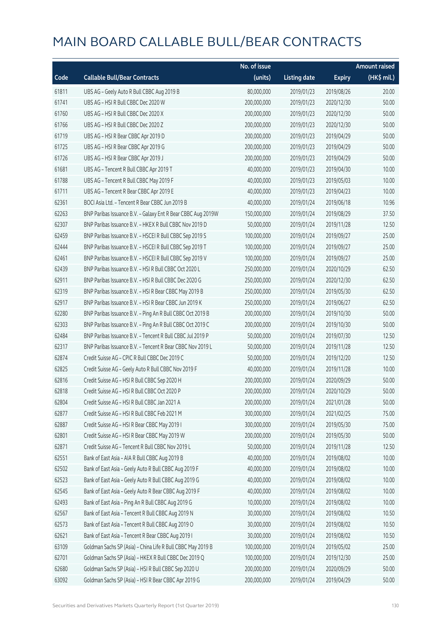|       |                                                              | No. of issue |                     |               | <b>Amount raised</b>  |
|-------|--------------------------------------------------------------|--------------|---------------------|---------------|-----------------------|
| Code  | <b>Callable Bull/Bear Contracts</b>                          | (units)      | <b>Listing date</b> | <b>Expiry</b> | $(HK\frac{1}{2}mil.)$ |
| 61811 | UBS AG - Geely Auto R Bull CBBC Aug 2019 B                   | 80,000,000   | 2019/01/23          | 2019/08/26    | 20.00                 |
| 61741 | UBS AG - HSI R Bull CBBC Dec 2020 W                          | 200,000,000  | 2019/01/23          | 2020/12/30    | 50.00                 |
| 61760 | UBS AG - HSI R Bull CBBC Dec 2020 X                          | 200,000,000  | 2019/01/23          | 2020/12/30    | 50.00                 |
| 61766 | UBS AG - HSI R Bull CBBC Dec 2020 Z                          | 200,000,000  | 2019/01/23          | 2020/12/30    | 50.00                 |
| 61719 | UBS AG - HSI R Bear CBBC Apr 2019 D                          | 200,000,000  | 2019/01/23          | 2019/04/29    | 50.00                 |
| 61725 | UBS AG - HSI R Bear CBBC Apr 2019 G                          | 200,000,000  | 2019/01/23          | 2019/04/29    | 50.00                 |
| 61726 | UBS AG - HSI R Bear CBBC Apr 2019 J                          | 200,000,000  | 2019/01/23          | 2019/04/29    | 50.00                 |
| 61681 | UBS AG - Tencent R Bull CBBC Apr 2019 T                      | 40,000,000   | 2019/01/23          | 2019/04/30    | 10.00                 |
| 61788 | UBS AG - Tencent R Bull CBBC May 2019 F                      | 40,000,000   | 2019/01/23          | 2019/05/03    | 10.00                 |
| 61711 | UBS AG - Tencent R Bear CBBC Apr 2019 E                      | 40,000,000   | 2019/01/23          | 2019/04/23    | 10.00                 |
| 62361 | BOCI Asia Ltd. - Tencent R Bear CBBC Jun 2019 B              | 40,000,000   | 2019/01/24          | 2019/06/18    | 10.96                 |
| 62263 | BNP Paribas Issuance B.V. - Galaxy Ent R Bear CBBC Aug 2019W | 150,000,000  | 2019/01/24          | 2019/08/29    | 37.50                 |
| 62307 | BNP Paribas Issuance B.V. - HKEX R Bull CBBC Nov 2019 D      | 50,000,000   | 2019/01/24          | 2019/11/28    | 12.50                 |
| 62459 | BNP Paribas Issuance B.V. - HSCEI R Bull CBBC Sep 2019 S     | 100,000,000  | 2019/01/24          | 2019/09/27    | 25.00                 |
| 62444 | BNP Paribas Issuance B.V. - HSCEI R Bull CBBC Sep 2019 T     | 100,000,000  | 2019/01/24          | 2019/09/27    | 25.00                 |
| 62461 | BNP Paribas Issuance B.V. - HSCEI R Bull CBBC Sep 2019 V     | 100,000,000  | 2019/01/24          | 2019/09/27    | 25.00                 |
| 62439 | BNP Paribas Issuance B.V. - HSI R Bull CBBC Oct 2020 L       | 250,000,000  | 2019/01/24          | 2020/10/29    | 62.50                 |
| 62911 | BNP Paribas Issuance B.V. - HSI R Bull CBBC Dec 2020 G       | 250,000,000  | 2019/01/24          | 2020/12/30    | 62.50                 |
| 62319 | BNP Paribas Issuance B.V. - HSI R Bear CBBC May 2019 B       | 250,000,000  | 2019/01/24          | 2019/05/30    | 62.50                 |
| 62917 | BNP Paribas Issuance B.V. - HSI R Bear CBBC Jun 2019 K       | 250,000,000  | 2019/01/24          | 2019/06/27    | 62.50                 |
| 62280 | BNP Paribas Issuance B.V. - Ping An R Bull CBBC Oct 2019 B   | 200,000,000  | 2019/01/24          | 2019/10/30    | 50.00                 |
| 62303 | BNP Paribas Issuance B.V. - Ping An R Bull CBBC Oct 2019 C   | 200,000,000  | 2019/01/24          | 2019/10/30    | 50.00                 |
| 62484 | BNP Paribas Issuance B.V. - Tencent R Bull CBBC Jul 2019 P   | 50,000,000   | 2019/01/24          | 2019/07/30    | 12.50                 |
| 62317 | BNP Paribas Issuance B.V. - Tencent R Bear CBBC Nov 2019 L   | 50,000,000   | 2019/01/24          | 2019/11/28    | 12.50                 |
| 62874 | Credit Suisse AG - CPIC R Bull CBBC Dec 2019 C               | 50,000,000   | 2019/01/24          | 2019/12/20    | 12.50                 |
| 62825 | Credit Suisse AG - Geely Auto R Bull CBBC Nov 2019 F         | 40,000,000   | 2019/01/24          | 2019/11/28    | 10.00                 |
| 62816 | Credit Suisse AG - HSI R Bull CBBC Sep 2020 H                | 200,000,000  | 2019/01/24          | 2020/09/29    | 50.00                 |
| 62818 | Credit Suisse AG - HSI R Bull CBBC Oct 2020 P                | 200,000,000  | 2019/01/24          | 2020/10/29    | 50.00                 |
| 62804 | Credit Suisse AG - HSI R Bull CBBC Jan 2021 A                | 200,000,000  | 2019/01/24          | 2021/01/28    | 50.00                 |
| 62877 | Credit Suisse AG - HSI R Bull CBBC Feb 2021 M                | 300,000,000  | 2019/01/24          | 2021/02/25    | 75.00                 |
| 62887 | Credit Suisse AG - HSI R Bear CBBC May 2019 I                | 300,000,000  | 2019/01/24          | 2019/05/30    | 75.00                 |
| 62801 | Credit Suisse AG - HSI R Bear CBBC May 2019 W                | 200,000,000  | 2019/01/24          | 2019/05/30    | 50.00                 |
| 62871 | Credit Suisse AG - Tencent R Bull CBBC Nov 2019 L            | 50,000,000   | 2019/01/24          | 2019/11/28    | 12.50                 |
| 62551 | Bank of East Asia - AIA R Bull CBBC Aug 2019 B               | 40,000,000   | 2019/01/24          | 2019/08/02    | 10.00                 |
| 62502 | Bank of East Asia - Geely Auto R Bull CBBC Aug 2019 F        | 40,000,000   | 2019/01/24          | 2019/08/02    | 10.00                 |
| 62523 | Bank of East Asia - Geely Auto R Bull CBBC Aug 2019 G        | 40,000,000   | 2019/01/24          | 2019/08/02    | 10.00                 |
| 62545 | Bank of East Asia - Geely Auto R Bear CBBC Aug 2019 F        | 40,000,000   | 2019/01/24          | 2019/08/02    | 10.00                 |
| 62493 | Bank of East Asia - Ping An R Bull CBBC Aug 2019 G           | 10,000,000   | 2019/01/24          | 2019/08/02    | 10.00                 |
| 62567 | Bank of East Asia - Tencent R Bull CBBC Aug 2019 N           | 30,000,000   | 2019/01/24          | 2019/08/02    | 10.50                 |
| 62573 | Bank of East Asia - Tencent R Bull CBBC Aug 2019 O           | 30,000,000   | 2019/01/24          | 2019/08/02    | 10.50                 |
| 62621 | Bank of East Asia - Tencent R Bear CBBC Aug 2019 I           | 30,000,000   | 2019/01/24          | 2019/08/02    | 10.50                 |
| 63109 | Goldman Sachs SP (Asia) - China Life R Bull CBBC May 2019 B  | 100,000,000  | 2019/01/24          | 2019/05/02    | 25.00                 |
| 62701 | Goldman Sachs SP (Asia) - HKEX R Bull CBBC Dec 2019 Q        | 100,000,000  | 2019/01/24          | 2019/12/30    | 25.00                 |
| 62680 | Goldman Sachs SP (Asia) - HSI R Bull CBBC Sep 2020 U         | 200,000,000  | 2019/01/24          | 2020/09/29    | 50.00                 |
| 63092 | Goldman Sachs SP (Asia) - HSI R Bear CBBC Apr 2019 G         | 200,000,000  | 2019/01/24          | 2019/04/29    | 50.00                 |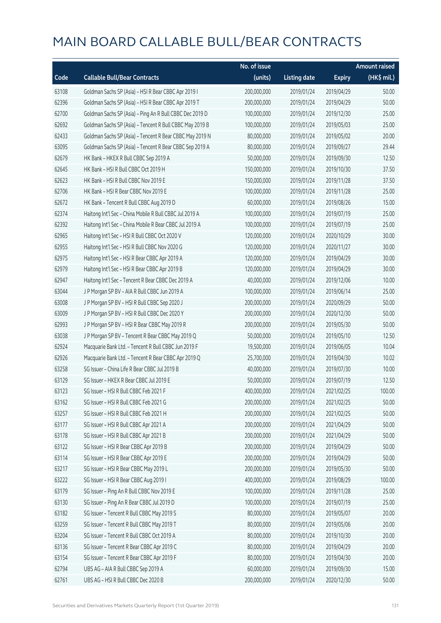|       |                                                          | No. of issue |                     |               | <b>Amount raised</b> |
|-------|----------------------------------------------------------|--------------|---------------------|---------------|----------------------|
| Code  | <b>Callable Bull/Bear Contracts</b>                      | (units)      | <b>Listing date</b> | <b>Expiry</b> | $(HK\$ mil.)         |
| 63108 | Goldman Sachs SP (Asia) - HSI R Bear CBBC Apr 2019 I     | 200,000,000  | 2019/01/24          | 2019/04/29    | 50.00                |
| 62396 | Goldman Sachs SP (Asia) - HSI R Bear CBBC Apr 2019 T     | 200,000,000  | 2019/01/24          | 2019/04/29    | 50.00                |
| 62700 | Goldman Sachs SP (Asia) - Ping An R Bull CBBC Dec 2019 D | 100,000,000  | 2019/01/24          | 2019/12/30    | 25.00                |
| 62692 | Goldman Sachs SP (Asia) - Tencent R Bull CBBC May 2019 B | 100,000,000  | 2019/01/24          | 2019/05/03    | 25.00                |
| 62433 | Goldman Sachs SP (Asia) - Tencent R Bear CBBC May 2019 N | 80,000,000   | 2019/01/24          | 2019/05/02    | 20.00                |
| 63095 | Goldman Sachs SP (Asia) - Tencent R Bear CBBC Sep 2019 A | 80,000,000   | 2019/01/24          | 2019/09/27    | 29.44                |
| 62679 | HK Bank - HKEX R Bull CBBC Sep 2019 A                    | 50,000,000   | 2019/01/24          | 2019/09/30    | 12.50                |
| 62645 | HK Bank - HSI R Bull CBBC Oct 2019 H                     | 150,000,000  | 2019/01/24          | 2019/10/30    | 37.50                |
| 62623 | HK Bank - HSI R Bull CBBC Nov 2019 E                     | 150,000,000  | 2019/01/24          | 2019/11/28    | 37.50                |
| 62706 | HK Bank - HSI R Bear CBBC Nov 2019 E                     | 100,000,000  | 2019/01/24          | 2019/11/28    | 25.00                |
| 62672 | HK Bank - Tencent R Bull CBBC Aug 2019 D                 | 60,000,000   | 2019/01/24          | 2019/08/26    | 15.00                |
| 62374 | Haitong Int'l Sec - China Mobile R Bull CBBC Jul 2019 A  | 100,000,000  | 2019/01/24          | 2019/07/19    | 25.00                |
| 62392 | Haitong Int'l Sec - China Mobile R Bear CBBC Jul 2019 A  | 100,000,000  | 2019/01/24          | 2019/07/19    | 25.00                |
| 62965 | Haitong Int'l Sec - HSI R Bull CBBC Oct 2020 V           | 120,000,000  | 2019/01/24          | 2020/10/29    | 30.00                |
| 62955 | Haitong Int'l Sec - HSI R Bull CBBC Nov 2020 G           | 120,000,000  | 2019/01/24          | 2020/11/27    | 30.00                |
| 62975 | Haitong Int'l Sec - HSI R Bear CBBC Apr 2019 A           | 120,000,000  | 2019/01/24          | 2019/04/29    | 30.00                |
| 62979 | Haitong Int'l Sec - HSI R Bear CBBC Apr 2019 B           | 120,000,000  | 2019/01/24          | 2019/04/29    | 30.00                |
| 62947 | Haitong Int'l Sec - Tencent R Bear CBBC Dec 2019 A       | 40,000,000   | 2019/01/24          | 2019/12/06    | 10.00                |
| 63044 | J P Morgan SP BV - AIA R Bull CBBC Jun 2019 A            | 100,000,000  | 2019/01/24          | 2019/06/14    | 25.00                |
| 63008 | J P Morgan SP BV - HSI R Bull CBBC Sep 2020 J            | 200,000,000  | 2019/01/24          | 2020/09/29    | 50.00                |
| 63009 | J P Morgan SP BV - HSI R Bull CBBC Dec 2020 Y            | 200,000,000  | 2019/01/24          | 2020/12/30    | 50.00                |
| 62993 | J P Morgan SP BV - HSI R Bear CBBC May 2019 R            | 200,000,000  | 2019/01/24          | 2019/05/30    | 50.00                |
| 63038 | J P Morgan SP BV - Tencent R Bear CBBC May 2019 Q        | 50,000,000   | 2019/01/24          | 2019/05/10    | 12.50                |
| 62924 | Macquarie Bank Ltd. - Tencent R Bull CBBC Jun 2019 F     | 19,500,000   | 2019/01/24          | 2019/06/05    | 10.04                |
| 62926 | Macquarie Bank Ltd. - Tencent R Bear CBBC Apr 2019 Q     | 25,700,000   | 2019/01/24          | 2019/04/30    | 10.02                |
| 63258 | SG Issuer - China Life R Bear CBBC Jul 2019 B            | 40,000,000   | 2019/01/24          | 2019/07/30    | 10.00                |
| 63129 | SG Issuer - HKEX R Bear CBBC Jul 2019 E                  | 50,000,000   | 2019/01/24          | 2019/07/19    | 12.50                |
| 63123 | SG Issuer - HSI R Bull CBBC Feb 2021 F                   | 400,000,000  | 2019/01/24          | 2021/02/25    | 100.00               |
| 63162 | SG Issuer - HSI R Bull CBBC Feb 2021 G                   | 200,000,000  | 2019/01/24          | 2021/02/25    | 50.00                |
| 63257 | SG Issuer - HSI R Bull CBBC Feb 2021 H                   | 200,000,000  | 2019/01/24          | 2021/02/25    | 50.00                |
| 63177 | SG Issuer - HSI R Bull CBBC Apr 2021 A                   | 200,000,000  | 2019/01/24          | 2021/04/29    | 50.00                |
| 63178 | SG Issuer - HSI R Bull CBBC Apr 2021 B                   | 200,000,000  | 2019/01/24          | 2021/04/29    | 50.00                |
| 63122 | SG Issuer - HSI R Bear CBBC Apr 2019 B                   | 200,000,000  | 2019/01/24          | 2019/04/29    | 50.00                |
| 63114 | SG Issuer - HSI R Bear CBBC Apr 2019 E                   | 200,000,000  | 2019/01/24          | 2019/04/29    | 50.00                |
| 63217 | SG Issuer - HSI R Bear CBBC May 2019 L                   | 200,000,000  | 2019/01/24          | 2019/05/30    | 50.00                |
| 63222 | SG Issuer - HSI R Bear CBBC Aug 2019 I                   | 400,000,000  | 2019/01/24          | 2019/08/29    | 100.00               |
| 63179 | SG Issuer - Ping An R Bull CBBC Nov 2019 E               | 100,000,000  | 2019/01/24          | 2019/11/28    | 25.00                |
| 63130 | SG Issuer - Ping An R Bear CBBC Jul 2019 D               | 100,000,000  | 2019/01/24          | 2019/07/19    | 25.00                |
| 63182 | SG Issuer - Tencent R Bull CBBC May 2019 S               | 80,000,000   | 2019/01/24          | 2019/05/07    | 20.00                |
| 63259 | SG Issuer - Tencent R Bull CBBC May 2019 T               | 80,000,000   | 2019/01/24          | 2019/05/06    | 20.00                |
| 63204 | SG Issuer - Tencent R Bull CBBC Oct 2019 A               | 80,000,000   | 2019/01/24          | 2019/10/30    | 20.00                |
| 63136 | SG Issuer - Tencent R Bear CBBC Apr 2019 C               | 80,000,000   | 2019/01/24          | 2019/04/29    | 20.00                |
| 63154 | SG Issuer - Tencent R Bear CBBC Apr 2019 F               | 80,000,000   | 2019/01/24          | 2019/04/30    | 20.00                |
| 62794 | UBS AG - AIA R Bull CBBC Sep 2019 A                      | 60,000,000   | 2019/01/24          | 2019/09/30    | 15.00                |
| 62761 | UBS AG - HSI R Bull CBBC Dec 2020 B                      | 200,000,000  | 2019/01/24          | 2020/12/30    | 50.00                |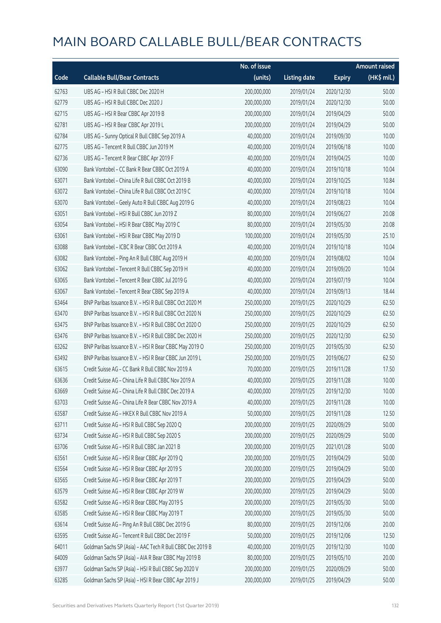|       |                                                           | No. of issue |                     |               | <b>Amount raised</b> |
|-------|-----------------------------------------------------------|--------------|---------------------|---------------|----------------------|
| Code  | <b>Callable Bull/Bear Contracts</b>                       | (units)      | <b>Listing date</b> | <b>Expiry</b> | (HK\$ mil.)          |
| 62763 | UBS AG - HSI R Bull CBBC Dec 2020 H                       | 200,000,000  | 2019/01/24          | 2020/12/30    | 50.00                |
| 62779 | UBS AG - HSI R Bull CBBC Dec 2020 J                       | 200,000,000  | 2019/01/24          | 2020/12/30    | 50.00                |
| 62715 | UBS AG - HSI R Bear CBBC Apr 2019 B                       | 200,000,000  | 2019/01/24          | 2019/04/29    | 50.00                |
| 62781 | UBS AG - HSI R Bear CBBC Apr 2019 L                       | 200,000,000  | 2019/01/24          | 2019/04/29    | 50.00                |
| 62784 | UBS AG - Sunny Optical R Bull CBBC Sep 2019 A             | 40,000,000   | 2019/01/24          | 2019/09/30    | 10.00                |
| 62775 | UBS AG - Tencent R Bull CBBC Jun 2019 M                   | 40,000,000   | 2019/01/24          | 2019/06/18    | 10.00                |
| 62736 | UBS AG - Tencent R Bear CBBC Apr 2019 F                   | 40,000,000   | 2019/01/24          | 2019/04/25    | 10.00                |
| 63090 | Bank Vontobel - CC Bank R Bear CBBC Oct 2019 A            | 40,000,000   | 2019/01/24          | 2019/10/18    | 10.04                |
| 63071 | Bank Vontobel - China Life R Bull CBBC Oct 2019 B         | 40,000,000   | 2019/01/24          | 2019/10/25    | 10.84                |
| 63072 | Bank Vontobel - China Life R Bull CBBC Oct 2019 C         | 40,000,000   | 2019/01/24          | 2019/10/18    | 10.04                |
| 63070 | Bank Vontobel - Geely Auto R Bull CBBC Aug 2019 G         | 40,000,000   | 2019/01/24          | 2019/08/23    | 10.04                |
| 63051 | Bank Vontobel - HSI R Bull CBBC Jun 2019 Z                | 80,000,000   | 2019/01/24          | 2019/06/27    | 20.08                |
| 63054 | Bank Vontobel - HSI R Bear CBBC May 2019 C                | 80,000,000   | 2019/01/24          | 2019/05/30    | 20.08                |
| 63061 | Bank Vontobel - HSI R Bear CBBC May 2019 D                | 100,000,000  | 2019/01/24          | 2019/05/30    | 25.10                |
| 63088 | Bank Vontobel - ICBC R Bear CBBC Oct 2019 A               | 40,000,000   | 2019/01/24          | 2019/10/18    | 10.04                |
| 63082 | Bank Vontobel - Ping An R Bull CBBC Aug 2019 H            | 40,000,000   | 2019/01/24          | 2019/08/02    | 10.04                |
| 63062 | Bank Vontobel - Tencent R Bull CBBC Sep 2019 H            | 40,000,000   | 2019/01/24          | 2019/09/20    | 10.04                |
| 63065 | Bank Vontobel - Tencent R Bear CBBC Jul 2019 G            | 40,000,000   | 2019/01/24          | 2019/07/19    | 10.04                |
| 63067 | Bank Vontobel - Tencent R Bear CBBC Sep 2019 A            | 40,000,000   | 2019/01/24          | 2019/09/13    | 18.44                |
| 63464 | BNP Paribas Issuance B.V. - HSI R Bull CBBC Oct 2020 M    | 250,000,000  | 2019/01/25          | 2020/10/29    | 62.50                |
| 63470 | BNP Paribas Issuance B.V. - HSI R Bull CBBC Oct 2020 N    | 250,000,000  | 2019/01/25          | 2020/10/29    | 62.50                |
| 63475 | BNP Paribas Issuance B.V. - HSI R Bull CBBC Oct 2020 O    | 250,000,000  | 2019/01/25          | 2020/10/29    | 62.50                |
| 63476 | BNP Paribas Issuance B.V. - HSI R Bull CBBC Dec 2020 H    | 250,000,000  | 2019/01/25          | 2020/12/30    | 62.50                |
| 63262 | BNP Paribas Issuance B.V. - HSI R Bear CBBC May 2019 O    | 250,000,000  | 2019/01/25          | 2019/05/30    | 62.50                |
| 63492 | BNP Paribas Issuance B.V. - HSI R Bear CBBC Jun 2019 L    | 250,000,000  | 2019/01/25          | 2019/06/27    | 62.50                |
| 63615 | Credit Suisse AG - CC Bank R Bull CBBC Nov 2019 A         | 70,000,000   | 2019/01/25          | 2019/11/28    | 17.50                |
| 63636 | Credit Suisse AG - China Life R Bull CBBC Nov 2019 A      | 40,000,000   | 2019/01/25          | 2019/11/28    | 10.00                |
| 63669 | Credit Suisse AG – China Life R Bull CBBC Dec 2019 A      | 40,000,000   | 2019/01/25          | 2019/12/30    | 10.00                |
| 63703 | Credit Suisse AG - China Life R Bear CBBC Nov 2019 A      | 40,000,000   | 2019/01/25          | 2019/11/28    | 10.00                |
| 63587 | Credit Suisse AG - HKEX R Bull CBBC Nov 2019 A            | 50,000,000   | 2019/01/25          | 2019/11/28    | 12.50                |
| 63711 | Credit Suisse AG - HSI R Bull CBBC Sep 2020 Q             | 200,000,000  | 2019/01/25          | 2020/09/29    | 50.00                |
| 63734 | Credit Suisse AG - HSI R Bull CBBC Sep 2020 S             | 200,000,000  | 2019/01/25          | 2020/09/29    | 50.00                |
| 63706 | Credit Suisse AG - HSI R Bull CBBC Jan 2021 B             | 200,000,000  | 2019/01/25          | 2021/01/28    | 50.00                |
| 63561 | Credit Suisse AG - HSI R Bear CBBC Apr 2019 Q             | 200,000,000  | 2019/01/25          | 2019/04/29    | 50.00                |
| 63564 | Credit Suisse AG - HSI R Bear CBBC Apr 2019 S             | 200,000,000  | 2019/01/25          | 2019/04/29    | 50.00                |
| 63565 | Credit Suisse AG - HSI R Bear CBBC Apr 2019 T             | 200,000,000  | 2019/01/25          | 2019/04/29    | 50.00                |
| 63579 | Credit Suisse AG - HSI R Bear CBBC Apr 2019 W             | 200,000,000  | 2019/01/25          | 2019/04/29    | 50.00                |
| 63582 | Credit Suisse AG - HSI R Bear CBBC May 2019 S             | 200,000,000  | 2019/01/25          | 2019/05/30    | 50.00                |
| 63585 | Credit Suisse AG - HSI R Bear CBBC May 2019 T             | 200,000,000  | 2019/01/25          | 2019/05/30    | 50.00                |
| 63614 | Credit Suisse AG - Ping An R Bull CBBC Dec 2019 G         | 80,000,000   | 2019/01/25          | 2019/12/06    | 20.00                |
| 63595 | Credit Suisse AG - Tencent R Bull CBBC Dec 2019 F         | 50,000,000   | 2019/01/25          | 2019/12/06    | 12.50                |
| 64011 | Goldman Sachs SP (Asia) - AAC Tech R Bull CBBC Dec 2019 B | 40,000,000   | 2019/01/25          | 2019/12/30    | 10.00                |
| 64009 | Goldman Sachs SP (Asia) - AIA R Bear CBBC May 2019 B      | 80,000,000   | 2019/01/25          | 2019/05/10    | 20.00                |
| 63977 | Goldman Sachs SP (Asia) - HSI R Bull CBBC Sep 2020 V      | 200,000,000  | 2019/01/25          | 2020/09/29    | 50.00                |
| 63285 | Goldman Sachs SP (Asia) - HSI R Bear CBBC Apr 2019 J      | 200,000,000  | 2019/01/25          | 2019/04/29    | 50.00                |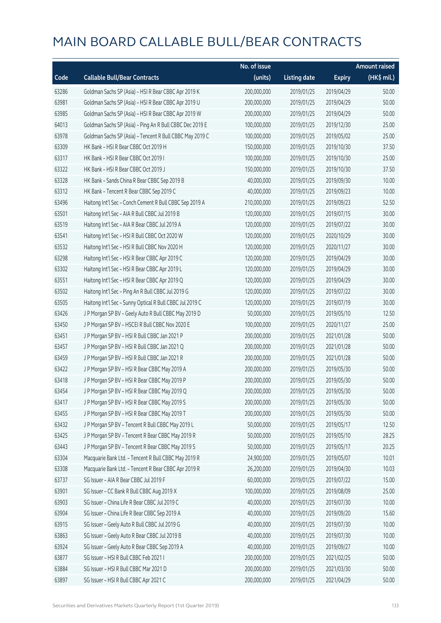|       |                                                          | No. of issue |                     |               | <b>Amount raised</b> |
|-------|----------------------------------------------------------|--------------|---------------------|---------------|----------------------|
| Code  | <b>Callable Bull/Bear Contracts</b>                      | (units)      | <b>Listing date</b> | <b>Expiry</b> | $(HK$$ mil.)         |
| 63286 | Goldman Sachs SP (Asia) - HSI R Bear CBBC Apr 2019 K     | 200,000,000  | 2019/01/25          | 2019/04/29    | 50.00                |
| 63981 | Goldman Sachs SP (Asia) - HSI R Bear CBBC Apr 2019 U     | 200,000,000  | 2019/01/25          | 2019/04/29    | 50.00                |
| 63985 | Goldman Sachs SP (Asia) - HSI R Bear CBBC Apr 2019 W     | 200,000,000  | 2019/01/25          | 2019/04/29    | 50.00                |
| 64013 | Goldman Sachs SP (Asia) - Ping An R Bull CBBC Dec 2019 E | 100,000,000  | 2019/01/25          | 2019/12/30    | 25.00                |
| 63978 | Goldman Sachs SP (Asia) - Tencent R Bull CBBC May 2019 C | 100,000,000  | 2019/01/25          | 2019/05/02    | 25.00                |
| 63309 | HK Bank - HSI R Bear CBBC Oct 2019 H                     | 150,000,000  | 2019/01/25          | 2019/10/30    | 37.50                |
| 63317 | HK Bank - HSI R Bear CBBC Oct 2019 I                     | 100,000,000  | 2019/01/25          | 2019/10/30    | 25.00                |
| 63322 | HK Bank - HSI R Bear CBBC Oct 2019 J                     | 150,000,000  | 2019/01/25          | 2019/10/30    | 37.50                |
| 63328 | HK Bank - Sands China R Bear CBBC Sep 2019 B             | 40,000,000   | 2019/01/25          | 2019/09/30    | 10.00                |
| 63312 | HK Bank - Tencent R Bear CBBC Sep 2019 C                 | 40,000,000   | 2019/01/25          | 2019/09/23    | 10.00                |
| 63496 | Haitong Int'l Sec - Conch Cement R Bull CBBC Sep 2019 A  | 210,000,000  | 2019/01/25          | 2019/09/23    | 52.50                |
| 63501 | Haitong Int'l Sec - AIA R Bull CBBC Jul 2019 B           | 120,000,000  | 2019/01/25          | 2019/07/15    | 30.00                |
| 63519 | Haitong Int'l Sec - AIA R Bear CBBC Jul 2019 A           | 120,000,000  | 2019/01/25          | 2019/07/22    | 30.00                |
| 63541 | Haitong Int'l Sec - HSI R Bull CBBC Oct 2020 W           | 120,000,000  | 2019/01/25          | 2020/10/29    | 30.00                |
| 63532 | Haitong Int'l Sec - HSI R Bull CBBC Nov 2020 H           | 120,000,000  | 2019/01/25          | 2020/11/27    | 30.00                |
| 63298 | Haitong Int'l Sec - HSI R Bear CBBC Apr 2019 C           | 120,000,000  | 2019/01/25          | 2019/04/29    | 30.00                |
| 63302 | Haitong Int'l Sec - HSI R Bear CBBC Apr 2019 L           | 120,000,000  | 2019/01/25          | 2019/04/29    | 30.00                |
| 63551 | Haitong Int'l Sec - HSI R Bear CBBC Apr 2019 Q           | 120,000,000  | 2019/01/25          | 2019/04/29    | 30.00                |
| 63502 | Haitong Int'l Sec - Ping An R Bull CBBC Jul 2019 G       | 120,000,000  | 2019/01/25          | 2019/07/22    | 30.00                |
| 63505 | Haitong Int'l Sec - Sunny Optical R Bull CBBC Jul 2019 C | 120,000,000  | 2019/01/25          | 2019/07/19    | 30.00                |
| 63426 | J P Morgan SP BV - Geely Auto R Bull CBBC May 2019 D     | 50,000,000   | 2019/01/25          | 2019/05/10    | 12.50                |
| 63450 | J P Morgan SP BV - HSCEI R Bull CBBC Nov 2020 E          | 100,000,000  | 2019/01/25          | 2020/11/27    | 25.00                |
| 63451 | J P Morgan SP BV - HSI R Bull CBBC Jan 2021 P            | 200,000,000  | 2019/01/25          | 2021/01/28    | 50.00                |
| 63457 | J P Morgan SP BV - HSI R Bull CBBC Jan 2021 Q            | 200,000,000  | 2019/01/25          | 2021/01/28    | 50.00                |
| 63459 | J P Morgan SP BV - HSI R Bull CBBC Jan 2021 R            | 200,000,000  | 2019/01/25          | 2021/01/28    | 50.00                |
| 63422 | J P Morgan SP BV - HSI R Bear CBBC May 2019 A            | 200,000,000  | 2019/01/25          | 2019/05/30    | 50.00                |
| 63418 | J P Morgan SP BV - HSI R Bear CBBC May 2019 P            | 200,000,000  | 2019/01/25          | 2019/05/30    | 50.00                |
| 63454 | J P Morgan SP BV - HSI R Bear CBBC May 2019 Q            | 200,000,000  | 2019/01/25          | 2019/05/30    | 50.00                |
| 63417 | J P Morgan SP BV - HSI R Bear CBBC May 2019 S            | 200,000,000  | 2019/01/25          | 2019/05/30    | 50.00                |
| 63455 | J P Morgan SP BV - HSI R Bear CBBC May 2019 T            | 200,000,000  | 2019/01/25          | 2019/05/30    | 50.00                |
| 63432 | J P Morgan SP BV - Tencent R Bull CBBC May 2019 L        | 50,000,000   | 2019/01/25          | 2019/05/17    | 12.50                |
| 63425 | J P Morgan SP BV - Tencent R Bear CBBC May 2019 R        | 50,000,000   | 2019/01/25          | 2019/05/10    | 28.25                |
| 63443 | J P Morgan SP BV - Tencent R Bear CBBC May 2019 S        | 50,000,000   | 2019/01/25          | 2019/05/17    | 20.25                |
| 63304 | Macquarie Bank Ltd. - Tencent R Bull CBBC May 2019 R     | 24,900,000   | 2019/01/25          | 2019/05/07    | 10.01                |
| 63308 | Macquarie Bank Ltd. - Tencent R Bear CBBC Apr 2019 R     | 26,200,000   | 2019/01/25          | 2019/04/30    | 10.03                |
| 63737 | SG Issuer - AIA R Bear CBBC Jul 2019 F                   | 60,000,000   | 2019/01/25          | 2019/07/22    | 15.00                |
| 63901 | SG Issuer - CC Bank R Bull CBBC Aug 2019 X               | 100,000,000  | 2019/01/25          | 2019/08/09    | 25.00                |
| 63903 | SG Issuer - China Life R Bear CBBC Jul 2019 C            | 40,000,000   | 2019/01/25          | 2019/07/30    | 10.00                |
| 63904 | SG Issuer - China Life R Bear CBBC Sep 2019 A            | 40,000,000   | 2019/01/25          | 2019/09/20    | 15.60                |
| 63915 | SG Issuer - Geely Auto R Bull CBBC Jul 2019 G            | 40,000,000   | 2019/01/25          | 2019/07/30    | 10.00                |
| 63863 | SG Issuer - Geely Auto R Bear CBBC Jul 2019 B            | 40,000,000   | 2019/01/25          | 2019/07/30    | 10.00                |
| 63924 | SG Issuer - Geely Auto R Bear CBBC Sep 2019 A            | 40,000,000   | 2019/01/25          | 2019/09/27    | 10.00                |
| 63877 | SG Issuer - HSI R Bull CBBC Feb 2021 I                   | 200,000,000  | 2019/01/25          | 2021/02/25    | 50.00                |
| 63884 | SG Issuer - HSI R Bull CBBC Mar 2021 D                   | 200,000,000  | 2019/01/25          | 2021/03/30    | 50.00                |
| 63897 | SG Issuer - HSI R Bull CBBC Apr 2021 C                   | 200,000,000  | 2019/01/25          | 2021/04/29    | 50.00                |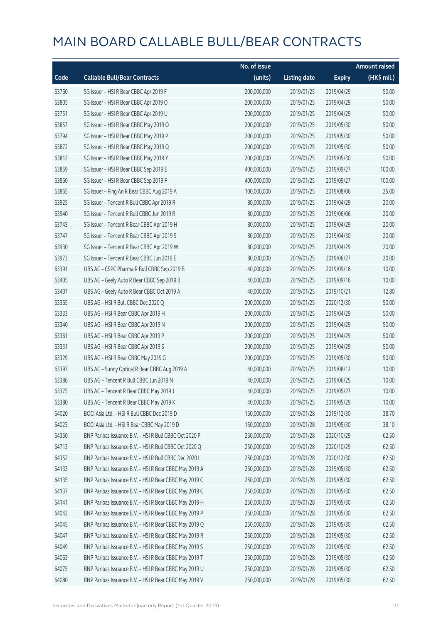|       |                                                        | No. of issue |                     |               | <b>Amount raised</b> |
|-------|--------------------------------------------------------|--------------|---------------------|---------------|----------------------|
| Code  | <b>Callable Bull/Bear Contracts</b>                    | (units)      | <b>Listing date</b> | <b>Expiry</b> | (HK\$ mil.)          |
| 63760 | SG Issuer - HSI R Bear CBBC Apr 2019 F                 | 200,000,000  | 2019/01/25          | 2019/04/29    | 50.00                |
| 63805 | SG Issuer - HSI R Bear CBBC Apr 2019 O                 | 200,000,000  | 2019/01/25          | 2019/04/29    | 50.00                |
| 63751 | SG Issuer - HSI R Bear CBBC Apr 2019 U                 | 200,000,000  | 2019/01/25          | 2019/04/29    | 50.00                |
| 63857 | SG Issuer - HSI R Bear CBBC May 2019 O                 | 200,000,000  | 2019/01/25          | 2019/05/30    | 50.00                |
| 63794 | SG Issuer - HSI R Bear CBBC May 2019 P                 | 200,000,000  | 2019/01/25          | 2019/05/30    | 50.00                |
| 63872 | SG Issuer - HSI R Bear CBBC May 2019 Q                 | 200,000,000  | 2019/01/25          | 2019/05/30    | 50.00                |
| 63812 | SG Issuer - HSI R Bear CBBC May 2019 Y                 | 200,000,000  | 2019/01/25          | 2019/05/30    | 50.00                |
| 63859 | SG Issuer - HSI R Bear CBBC Sep 2019 E                 | 400,000,000  | 2019/01/25          | 2019/09/27    | 100.00               |
| 63860 | SG Issuer - HSI R Bear CBBC Sep 2019 F                 | 400,000,000  | 2019/01/25          | 2019/09/27    | 100.00               |
| 63865 | SG Issuer - Ping An R Bear CBBC Aug 2019 A             | 100,000,000  | 2019/01/25          | 2019/08/06    | 25.00                |
| 63925 | SG Issuer - Tencent R Bull CBBC Apr 2019 R             | 80,000,000   | 2019/01/25          | 2019/04/29    | 20.00                |
| 63940 | SG Issuer - Tencent R Bull CBBC Jun 2019 R             | 80,000,000   | 2019/01/25          | 2019/06/06    | 20.00                |
| 63743 | SG Issuer - Tencent R Bear CBBC Apr 2019 H             | 80,000,000   | 2019/01/25          | 2019/04/29    | 20.00                |
| 63747 | SG Issuer - Tencent R Bear CBBC Apr 2019 S             | 80,000,000   | 2019/01/25          | 2019/04/30    | 20.00                |
| 63930 | SG Issuer - Tencent R Bear CBBC Apr 2019 W             | 80,000,000   | 2019/01/25          | 2019/04/29    | 20.00                |
| 63973 | SG Issuer - Tencent R Bear CBBC Jun 2019 E             | 80,000,000   | 2019/01/25          | 2019/06/27    | 20.00                |
| 63391 | UBS AG - CSPC Pharma R Bull CBBC Sep 2019 B            | 40,000,000   | 2019/01/25          | 2019/09/16    | 10.00                |
| 63405 | UBS AG - Geely Auto R Bear CBBC Sep 2019 B             | 40,000,000   | 2019/01/25          | 2019/09/16    | 10.00                |
| 63407 | UBS AG - Geely Auto R Bear CBBC Oct 2019 A             | 40,000,000   | 2019/01/25          | 2019/10/21    | 12.80                |
| 63365 | UBS AG - HSI R Bull CBBC Dec 2020 Q                    | 200,000,000  | 2019/01/25          | 2020/12/30    | 50.00                |
| 63333 | UBS AG - HSI R Bear CBBC Apr 2019 H                    | 200,000,000  | 2019/01/25          | 2019/04/29    | 50.00                |
| 63340 | UBS AG - HSI R Bear CBBC Apr 2019 N                    | 200,000,000  | 2019/01/25          | 2019/04/29    | 50.00                |
| 63361 | UBS AG - HSI R Bear CBBC Apr 2019 P                    | 200,000,000  | 2019/01/25          | 2019/04/29    | 50.00                |
| 63331 | UBS AG - HSI R Bear CBBC Apr 2019 S                    | 200,000,000  | 2019/01/25          | 2019/04/29    | 50.00                |
| 63329 | UBS AG - HSI R Bear CBBC May 2019 G                    | 200,000,000  | 2019/01/25          | 2019/05/30    | 50.00                |
| 63397 | UBS AG - Sunny Optical R Bear CBBC Aug 2019 A          | 40,000,000   | 2019/01/25          | 2019/08/12    | 10.00                |
| 63386 | UBS AG - Tencent R Bull CBBC Jun 2019 N                | 40,000,000   | 2019/01/25          | 2019/06/25    | 10.00                |
| 63375 | UBS AG - Tencent R Bear CBBC May 2019 J                | 40,000,000   | 2019/01/25          | 2019/05/27    | 10.00                |
| 63380 | UBS AG - Tencent R Bear CBBC May 2019 K                | 40,000,000   | 2019/01/25          | 2019/05/29    | 10.00                |
| 64020 | BOCI Asia Ltd. - HSI R Bull CBBC Dec 2019 D            | 150,000,000  | 2019/01/28          | 2019/12/30    | 38.70                |
| 64023 | BOCI Asia Ltd. - HSI R Bear CBBC May 2019 D            | 150,000,000  | 2019/01/28          | 2019/05/30    | 38.10                |
| 64350 | BNP Paribas Issuance B.V. - HSI R Bull CBBC Oct 2020 P | 250,000,000  | 2019/01/28          | 2020/10/29    | 62.50                |
| 64713 | BNP Paribas Issuance B.V. - HSI R Bull CBBC Oct 2020 Q | 250,000,000  | 2019/01/28          | 2020/10/29    | 62.50                |
| 64352 | BNP Paribas Issuance B.V. - HSI R Bull CBBC Dec 2020 I | 250,000,000  | 2019/01/28          | 2020/12/30    | 62.50                |
| 64133 | BNP Paribas Issuance B.V. - HSI R Bear CBBC May 2019 A | 250,000,000  | 2019/01/28          | 2019/05/30    | 62.50                |
| 64135 | BNP Paribas Issuance B.V. - HSI R Bear CBBC May 2019 C | 250,000,000  | 2019/01/28          | 2019/05/30    | 62.50                |
| 64137 | BNP Paribas Issuance B.V. - HSI R Bear CBBC May 2019 G | 250,000,000  | 2019/01/28          | 2019/05/30    | 62.50                |
| 64141 | BNP Paribas Issuance B.V. - HSI R Bear CBBC May 2019 H | 250,000,000  | 2019/01/28          | 2019/05/30    | 62.50                |
| 64042 | BNP Paribas Issuance B.V. - HSI R Bear CBBC May 2019 P | 250,000,000  | 2019/01/28          | 2019/05/30    | 62.50                |
| 64045 | BNP Paribas Issuance B.V. - HSI R Bear CBBC May 2019 Q | 250,000,000  | 2019/01/28          | 2019/05/30    | 62.50                |
| 64047 | BNP Paribas Issuance B.V. - HSI R Bear CBBC May 2019 R | 250,000,000  | 2019/01/28          | 2019/05/30    | 62.50                |
| 64049 | BNP Paribas Issuance B.V. - HSI R Bear CBBC May 2019 S | 250,000,000  | 2019/01/28          | 2019/05/30    | 62.50                |
| 64063 | BNP Paribas Issuance B.V. - HSI R Bear CBBC May 2019 T | 250,000,000  | 2019/01/28          | 2019/05/30    | 62.50                |
| 64075 | BNP Paribas Issuance B.V. - HSI R Bear CBBC May 2019 U | 250,000,000  | 2019/01/28          | 2019/05/30    | 62.50                |
| 64080 | BNP Paribas Issuance B.V. - HSI R Bear CBBC May 2019 V | 250,000,000  | 2019/01/28          | 2019/05/30    | 62.50                |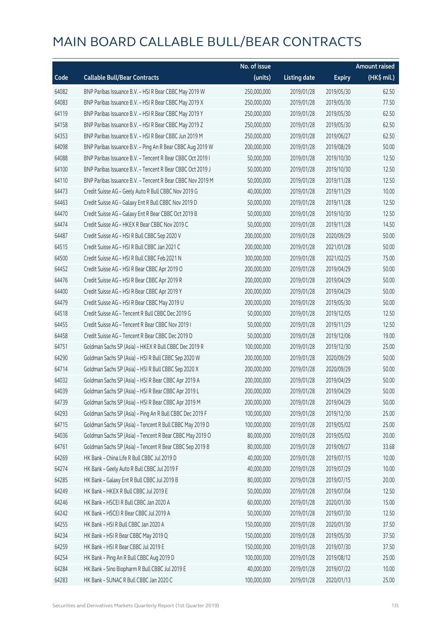|       |                                                            | No. of issue |                     |               | <b>Amount raised</b>  |
|-------|------------------------------------------------------------|--------------|---------------------|---------------|-----------------------|
| Code  | <b>Callable Bull/Bear Contracts</b>                        | (units)      | <b>Listing date</b> | <b>Expiry</b> | $(HK\frac{1}{2}mil.)$ |
| 64082 | BNP Paribas Issuance B.V. - HSI R Bear CBBC May 2019 W     | 250,000,000  | 2019/01/28          | 2019/05/30    | 62.50                 |
| 64083 | BNP Paribas Issuance B.V. - HSI R Bear CBBC May 2019 X     | 250,000,000  | 2019/01/28          | 2019/05/30    | 77.50                 |
| 64119 | BNP Paribas Issuance B.V. - HSI R Bear CBBC May 2019 Y     | 250,000,000  | 2019/01/28          | 2019/05/30    | 62.50                 |
| 64158 | BNP Paribas Issuance B.V. - HSI R Bear CBBC May 2019 Z     | 250,000,000  | 2019/01/28          | 2019/05/30    | 62.50                 |
| 64353 | BNP Paribas Issuance B.V. - HSI R Bear CBBC Jun 2019 M     | 250,000,000  | 2019/01/28          | 2019/06/27    | 62.50                 |
| 64098 | BNP Paribas Issuance B.V. - Ping An R Bear CBBC Aug 2019 W | 200,000,000  | 2019/01/28          | 2019/08/29    | 50.00                 |
| 64088 | BNP Paribas Issuance B.V. - Tencent R Bear CBBC Oct 2019 I | 50,000,000   | 2019/01/28          | 2019/10/30    | 12.50                 |
| 64100 | BNP Paribas Issuance B.V. - Tencent R Bear CBBC Oct 2019 J | 50,000,000   | 2019/01/28          | 2019/10/30    | 12.50                 |
| 64110 | BNP Paribas Issuance B.V. - Tencent R Bear CBBC Nov 2019 M | 50,000,000   | 2019/01/28          | 2019/11/28    | 12.50                 |
| 64473 | Credit Suisse AG - Geely Auto R Bull CBBC Nov 2019 G       | 40,000,000   | 2019/01/28          | 2019/11/29    | 10.00                 |
| 64463 | Credit Suisse AG - Galaxy Ent R Bull CBBC Nov 2019 D       | 50,000,000   | 2019/01/28          | 2019/11/28    | 12.50                 |
| 64470 | Credit Suisse AG - Galaxy Ent R Bear CBBC Oct 2019 B       | 50,000,000   | 2019/01/28          | 2019/10/30    | 12.50                 |
| 64474 | Credit Suisse AG - HKEX R Bear CBBC Nov 2019 C             | 50,000,000   | 2019/01/28          | 2019/11/28    | 14.50                 |
| 64487 | Credit Suisse AG - HSI R Bull CBBC Sep 2020 V              | 200,000,000  | 2019/01/28          | 2020/09/29    | 50.00                 |
| 64515 | Credit Suisse AG - HSI R Bull CBBC Jan 2021 C              | 200,000,000  | 2019/01/28          | 2021/01/28    | 50.00                 |
| 64500 | Credit Suisse AG - HSI R Bull CBBC Feb 2021 N              | 300,000,000  | 2019/01/28          | 2021/02/25    | 75.00                 |
| 64452 | Credit Suisse AG - HSI R Bear CBBC Apr 2019 O              | 200,000,000  | 2019/01/28          | 2019/04/29    | 50.00                 |
| 64476 | Credit Suisse AG - HSI R Bear CBBC Apr 2019 R              | 200,000,000  | 2019/01/28          | 2019/04/29    | 50.00                 |
| 64400 | Credit Suisse AG - HSI R Bear CBBC Apr 2019 Y              | 200,000,000  | 2019/01/28          | 2019/04/29    | 50.00                 |
| 64479 | Credit Suisse AG - HSI R Bear CBBC May 2019 U              | 200,000,000  | 2019/01/28          | 2019/05/30    | 50.00                 |
| 64518 | Credit Suisse AG - Tencent R Bull CBBC Dec 2019 G          | 50,000,000   | 2019/01/28          | 2019/12/05    | 12.50                 |
| 64455 | Credit Suisse AG - Tencent R Bear CBBC Nov 2019 I          | 50,000,000   | 2019/01/28          | 2019/11/29    | 12.50                 |
| 64458 | Credit Suisse AG - Tencent R Bear CBBC Dec 2019 D          | 50,000,000   | 2019/01/28          | 2019/12/06    | 19.00                 |
| 64751 | Goldman Sachs SP (Asia) - HKEX R Bull CBBC Dec 2019 R      | 100,000,000  | 2019/01/28          | 2019/12/30    | 25.00                 |
| 64290 | Goldman Sachs SP (Asia) - HSI R Bull CBBC Sep 2020 W       | 200,000,000  | 2019/01/28          | 2020/09/29    | 50.00                 |
| 64714 | Goldman Sachs SP (Asia) - HSI R Bull CBBC Sep 2020 X       | 200,000,000  | 2019/01/28          | 2020/09/29    | 50.00                 |
| 64032 | Goldman Sachs SP (Asia) - HSI R Bear CBBC Apr 2019 A       | 200,000,000  | 2019/01/28          | 2019/04/29    | 50.00                 |
| 64039 | Goldman Sachs SP (Asia) - HSI R Bear CBBC Apr 2019 L       | 200,000,000  | 2019/01/28          | 2019/04/29    | 50.00                 |
| 64739 | Goldman Sachs SP (Asia) - HSI R Bear CBBC Apr 2019 M       | 200,000,000  | 2019/01/28          | 2019/04/29    | 50.00                 |
| 64293 | Goldman Sachs SP (Asia) - Ping An R Bull CBBC Dec 2019 F   | 100,000,000  | 2019/01/28          | 2019/12/30    | 25.00                 |
| 64715 | Goldman Sachs SP (Asia) - Tencent R Bull CBBC May 2019 D   | 100,000,000  | 2019/01/28          | 2019/05/02    | 25.00                 |
| 64036 | Goldman Sachs SP (Asia) - Tencent R Bear CBBC May 2019 O   | 80,000,000   | 2019/01/28          | 2019/05/02    | 20.00                 |
| 64761 | Goldman Sachs SP (Asia) - Tencent R Bear CBBC Sep 2019 B   | 80,000,000   | 2019/01/28          | 2019/09/27    | 33.68                 |
| 64269 | HK Bank - China Life R Bull CBBC Jul 2019 D                | 40,000,000   | 2019/01/28          | 2019/07/15    | 10.00                 |
| 64274 | HK Bank - Geely Auto R Bull CBBC Jul 2019 F                | 40,000,000   | 2019/01/28          | 2019/07/29    | 10.00                 |
| 64285 | HK Bank - Galaxy Ent R Bull CBBC Jul 2019 B                | 80,000,000   | 2019/01/28          | 2019/07/15    | 20.00                 |
| 64249 | HK Bank - HKEX R Bull CBBC Jul 2019 E                      | 50,000,000   | 2019/01/28          | 2019/07/04    | 12.50                 |
| 64246 | HK Bank - HSCEI R Bull CBBC Jan 2020 A                     | 60,000,000   | 2019/01/28          | 2020/01/30    | 15.00                 |
| 64242 | HK Bank - HSCEI R Bear CBBC Jul 2019 A                     | 50,000,000   | 2019/01/28          | 2019/07/30    | 12.50                 |
| 64255 | HK Bank - HSI R Bull CBBC Jan 2020 A                       | 150,000,000  | 2019/01/28          | 2020/01/30    | 37.50                 |
| 64234 | HK Bank - HSI R Bear CBBC May 2019 Q                       | 150,000,000  | 2019/01/28          | 2019/05/30    | 37.50                 |
| 64259 | HK Bank - HSI R Bear CBBC Jul 2019 E                       | 150,000,000  | 2019/01/28          | 2019/07/30    | 37.50                 |
| 64254 | HK Bank - Ping An R Bull CBBC Aug 2019 D                   | 100,000,000  | 2019/01/28          | 2019/08/12    | 25.00                 |
| 64284 | HK Bank - Sino Biopharm R Bull CBBC Jul 2019 E             | 40,000,000   | 2019/01/28          | 2019/07/22    | 10.00                 |
| 64283 | HK Bank - SUNAC R Bull CBBC Jan 2020 C                     | 100,000,000  | 2019/01/28          | 2020/01/13    | 25.00                 |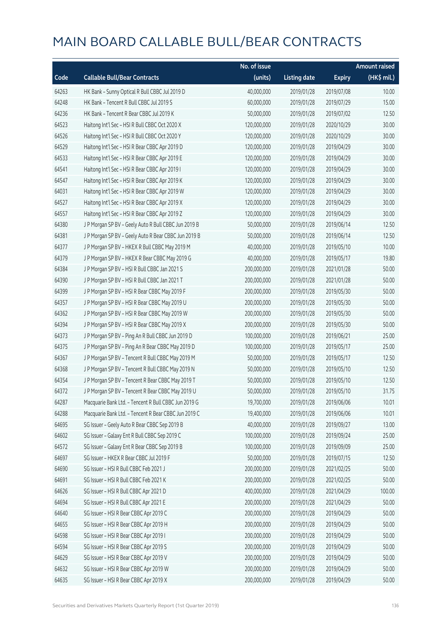|       |                                                      | No. of issue |                     |               | <b>Amount raised</b> |
|-------|------------------------------------------------------|--------------|---------------------|---------------|----------------------|
| Code  | <b>Callable Bull/Bear Contracts</b>                  | (units)      | <b>Listing date</b> | <b>Expiry</b> | (HK\$ mil.)          |
| 64263 | HK Bank - Sunny Optical R Bull CBBC Jul 2019 D       | 40,000,000   | 2019/01/28          | 2019/07/08    | 10.00                |
| 64248 | HK Bank - Tencent R Bull CBBC Jul 2019 S             | 60,000,000   | 2019/01/28          | 2019/07/29    | 15.00                |
| 64236 | HK Bank - Tencent R Bear CBBC Jul 2019 K             | 50,000,000   | 2019/01/28          | 2019/07/02    | 12.50                |
| 64523 | Haitong Int'l Sec - HSI R Bull CBBC Oct 2020 X       | 120,000,000  | 2019/01/28          | 2020/10/29    | 30.00                |
| 64526 | Haitong Int'l Sec - HSI R Bull CBBC Oct 2020 Y       | 120,000,000  | 2019/01/28          | 2020/10/29    | 30.00                |
| 64529 | Haitong Int'l Sec - HSI R Bear CBBC Apr 2019 D       | 120,000,000  | 2019/01/28          | 2019/04/29    | 30.00                |
| 64533 | Haitong Int'l Sec - HSI R Bear CBBC Apr 2019 E       | 120,000,000  | 2019/01/28          | 2019/04/29    | 30.00                |
| 64541 | Haitong Int'l Sec - HSI R Bear CBBC Apr 2019 I       | 120,000,000  | 2019/01/28          | 2019/04/29    | 30.00                |
| 64547 | Haitong Int'l Sec - HSI R Bear CBBC Apr 2019 K       | 120,000,000  | 2019/01/28          | 2019/04/29    | 30.00                |
| 64031 | Haitong Int'l Sec - HSI R Bear CBBC Apr 2019 W       | 120,000,000  | 2019/01/28          | 2019/04/29    | 30.00                |
| 64527 | Haitong Int'l Sec - HSI R Bear CBBC Apr 2019 X       | 120,000,000  | 2019/01/28          | 2019/04/29    | 30.00                |
| 64557 | Haitong Int'l Sec - HSI R Bear CBBC Apr 2019 Z       | 120,000,000  | 2019/01/28          | 2019/04/29    | 30.00                |
| 64380 | J P Morgan SP BV - Geely Auto R Bull CBBC Jun 2019 B | 50,000,000   | 2019/01/28          | 2019/06/14    | 12.50                |
| 64381 | J P Morgan SP BV - Geely Auto R Bear CBBC Jun 2019 B | 50,000,000   | 2019/01/28          | 2019/06/14    | 12.50                |
| 64377 | J P Morgan SP BV - HKEX R Bull CBBC May 2019 M       | 40,000,000   | 2019/01/28          | 2019/05/10    | 10.00                |
| 64379 | J P Morgan SP BV - HKEX R Bear CBBC May 2019 G       | 40,000,000   | 2019/01/28          | 2019/05/17    | 19.80                |
| 64384 | J P Morgan SP BV - HSI R Bull CBBC Jan 2021 S        | 200,000,000  | 2019/01/28          | 2021/01/28    | 50.00                |
| 64390 | J P Morgan SP BV - HSI R Bull CBBC Jan 2021 T        | 200,000,000  | 2019/01/28          | 2021/01/28    | 50.00                |
| 64399 | J P Morgan SP BV - HSI R Bear CBBC May 2019 F        | 200,000,000  | 2019/01/28          | 2019/05/30    | 50.00                |
| 64357 | J P Morgan SP BV - HSI R Bear CBBC May 2019 U        | 200,000,000  | 2019/01/28          | 2019/05/30    | 50.00                |
| 64362 | J P Morgan SP BV - HSI R Bear CBBC May 2019 W        | 200,000,000  | 2019/01/28          | 2019/05/30    | 50.00                |
| 64394 | J P Morgan SP BV - HSI R Bear CBBC May 2019 X        | 200,000,000  | 2019/01/28          | 2019/05/30    | 50.00                |
| 64373 | J P Morgan SP BV - Ping An R Bull CBBC Jun 2019 D    | 100,000,000  | 2019/01/28          | 2019/06/21    | 25.00                |
| 64375 | J P Morgan SP BV - Ping An R Bear CBBC May 2019 D    | 100,000,000  | 2019/01/28          | 2019/05/17    | 25.00                |
| 64367 | J P Morgan SP BV - Tencent R Bull CBBC May 2019 M    | 50,000,000   | 2019/01/28          | 2019/05/17    | 12.50                |
| 64368 | J P Morgan SP BV - Tencent R Bull CBBC May 2019 N    | 50,000,000   | 2019/01/28          | 2019/05/10    | 12.50                |
| 64354 | J P Morgan SP BV - Tencent R Bear CBBC May 2019 T    | 50,000,000   | 2019/01/28          | 2019/05/10    | 12.50                |
| 64372 | J P Morgan SP BV - Tencent R Bear CBBC May 2019 U    | 50,000,000   | 2019/01/28          | 2019/05/10    | 31.75                |
| 64287 | Macquarie Bank Ltd. - Tencent R Bull CBBC Jun 2019 G | 19,700,000   | 2019/01/28          | 2019/06/06    | 10.01                |
| 64288 | Macquarie Bank Ltd. - Tencent R Bear CBBC Jun 2019 C | 19,400,000   | 2019/01/28          | 2019/06/06    | 10.01                |
| 64695 | SG Issuer - Geely Auto R Bear CBBC Sep 2019 B        | 40,000,000   | 2019/01/28          | 2019/09/27    | 13.00                |
| 64602 | SG Issuer - Galaxy Ent R Bull CBBC Sep 2019 C        | 100,000,000  | 2019/01/28          | 2019/09/24    | 25.00                |
| 64572 | SG Issuer - Galaxy Ent R Bear CBBC Sep 2019 B        | 100,000,000  | 2019/01/28          | 2019/09/09    | 25.00                |
| 64697 | SG Issuer - HKEX R Bear CBBC Jul 2019 F              | 50,000,000   | 2019/01/28          | 2019/07/15    | 12.50                |
| 64690 | SG Issuer - HSI R Bull CBBC Feb 2021 J               | 200,000,000  | 2019/01/28          | 2021/02/25    | 50.00                |
| 64691 | SG Issuer - HSI R Bull CBBC Feb 2021 K               | 200,000,000  | 2019/01/28          | 2021/02/25    | 50.00                |
| 64626 | SG Issuer - HSI R Bull CBBC Apr 2021 D               | 400,000,000  | 2019/01/28          | 2021/04/29    | 100.00               |
| 64694 | SG Issuer - HSI R Bull CBBC Apr 2021 E               | 200,000,000  | 2019/01/28          | 2021/04/29    | 50.00                |
| 64640 | SG Issuer - HSI R Bear CBBC Apr 2019 C               | 200,000,000  | 2019/01/28          | 2019/04/29    | 50.00                |
| 64655 | SG Issuer - HSI R Bear CBBC Apr 2019 H               | 200,000,000  | 2019/01/28          | 2019/04/29    | 50.00                |
| 64598 | SG Issuer - HSI R Bear CBBC Apr 2019 I               | 200,000,000  | 2019/01/28          | 2019/04/29    | 50.00                |
| 64594 | SG Issuer - HSI R Bear CBBC Apr 2019 S               | 200,000,000  | 2019/01/28          | 2019/04/29    | 50.00                |
| 64629 | SG Issuer - HSI R Bear CBBC Apr 2019 V               | 200,000,000  | 2019/01/28          | 2019/04/29    | 50.00                |
| 64632 | SG Issuer - HSI R Bear CBBC Apr 2019 W               | 200,000,000  | 2019/01/28          | 2019/04/29    | 50.00                |
| 64635 | SG Issuer - HSI R Bear CBBC Apr 2019 X               | 200,000,000  | 2019/01/28          | 2019/04/29    | 50.00                |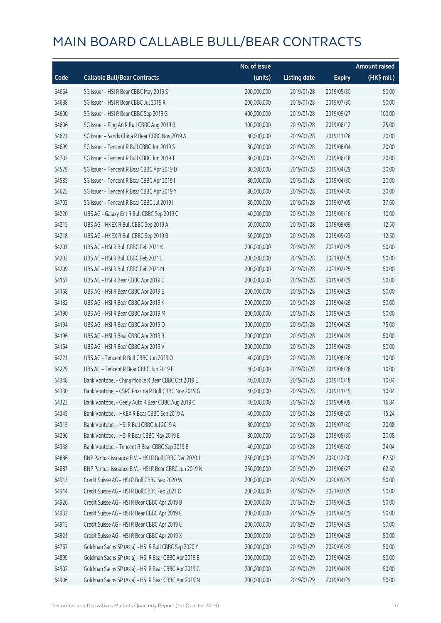|       |                                                        | No. of issue |                     |               | <b>Amount raised</b> |
|-------|--------------------------------------------------------|--------------|---------------------|---------------|----------------------|
| Code  | <b>Callable Bull/Bear Contracts</b>                    | (units)      | <b>Listing date</b> | <b>Expiry</b> | (HK\$ mil.)          |
| 64664 | SG Issuer - HSI R Bear CBBC May 2019 S                 | 200,000,000  | 2019/01/28          | 2019/05/30    | 50.00                |
| 64688 | SG Issuer - HSI R Bear CBBC Jul 2019 R                 | 200,000,000  | 2019/01/28          | 2019/07/30    | 50.00                |
| 64600 | SG Issuer - HSI R Bear CBBC Sep 2019 G                 | 400,000,000  | 2019/01/28          | 2019/09/27    | 100.00               |
| 64606 | SG Issuer - Ping An R Bull CBBC Aug 2019 R             | 100,000,000  | 2019/01/28          | 2019/08/12    | 25.00                |
| 64621 | SG Issuer - Sands China R Bear CBBC Nov 2019 A         | 80,000,000   | 2019/01/28          | 2019/11/28    | 20.00                |
| 64699 | SG Issuer - Tencent R Bull CBBC Jun 2019 S             | 80,000,000   | 2019/01/28          | 2019/06/04    | 20.00                |
| 64702 | SG Issuer - Tencent R Bull CBBC Jun 2019 T             | 80,000,000   | 2019/01/28          | 2019/06/18    | 20.00                |
| 64579 | SG Issuer - Tencent R Bear CBBC Apr 2019 D             | 80,000,000   | 2019/01/28          | 2019/04/29    | 20.00                |
| 64585 | SG Issuer - Tencent R Bear CBBC Apr 2019 I             | 80,000,000   | 2019/01/28          | 2019/04/30    | 20.00                |
| 64625 | SG Issuer - Tencent R Bear CBBC Apr 2019 Y             | 80,000,000   | 2019/01/28          | 2019/04/30    | 20.00                |
| 64703 | SG Issuer - Tencent R Bear CBBC Jul 2019 I             | 80,000,000   | 2019/01/28          | 2019/07/05    | 37.60                |
| 64220 | UBS AG - Galaxy Ent R Bull CBBC Sep 2019 C             | 40,000,000   | 2019/01/28          | 2019/09/16    | 10.00                |
| 64215 | UBS AG - HKEX R Bull CBBC Sep 2019 A                   | 50,000,000   | 2019/01/28          | 2019/09/09    | 12.50                |
| 64218 | UBS AG - HKEX R Bull CBBC Sep 2019 B                   | 50,000,000   | 2019/01/28          | 2019/09/23    | 12.50                |
| 64201 | UBS AG - HSI R Bull CBBC Feb 2021 K                    | 200,000,000  | 2019/01/28          | 2021/02/25    | 50.00                |
| 64202 | UBS AG - HSI R Bull CBBC Feb 2021 L                    | 200,000,000  | 2019/01/28          | 2021/02/25    | 50.00                |
| 64209 | UBS AG - HSI R Bull CBBC Feb 2021 M                    | 200,000,000  | 2019/01/28          | 2021/02/25    | 50.00                |
| 64167 | UBS AG - HSI R Bear CBBC Apr 2019 C                    | 200,000,000  | 2019/01/28          | 2019/04/29    | 50.00                |
| 64168 | UBS AG - HSI R Bear CBBC Apr 2019 E                    | 200,000,000  | 2019/01/28          | 2019/04/29    | 50.00                |
| 64182 | UBS AG - HSI R Bear CBBC Apr 2019 K                    | 200,000,000  | 2019/01/28          | 2019/04/29    | 50.00                |
| 64190 | UBS AG - HSI R Bear CBBC Apr 2019 M                    | 200,000,000  | 2019/01/28          | 2019/04/29    | 50.00                |
| 64194 | UBS AG - HSI R Bear CBBC Apr 2019 O                    | 300,000,000  | 2019/01/28          | 2019/04/29    | 75.00                |
| 64196 | UBS AG - HSI R Bear CBBC Apr 2019 R                    | 200,000,000  | 2019/01/28          | 2019/04/29    | 50.00                |
| 64164 | UBS AG - HSI R Bear CBBC Apr 2019 V                    | 200,000,000  | 2019/01/28          | 2019/04/29    | 50.00                |
| 64221 | UBS AG - Tencent R Bull CBBC Jun 2019 O                | 40,000,000   | 2019/01/28          | 2019/06/26    | 10.00                |
| 64229 | UBS AG - Tencent R Bear CBBC Jun 2019 E                | 40,000,000   | 2019/01/28          | 2019/06/26    | 10.00                |
| 64348 | Bank Vontobel - China Mobile R Bear CBBC Oct 2019 E    | 40,000,000   | 2019/01/28          | 2019/10/18    | 10.04                |
| 64330 | Bank Vontobel - CSPC Pharma R Bull CBBC Nov 2019 G     | 40,000,000   | 2019/01/28          | 2019/11/15    | 10.04                |
| 64323 | Bank Vontobel - Geely Auto R Bear CBBC Aug 2019 C      | 40,000,000   | 2019/01/28          | 2019/08/09    | 16.84                |
| 64345 | Bank Vontobel - HKEX R Bear CBBC Sep 2019 A            | 40,000,000   | 2019/01/28          | 2019/09/20    | 15.24                |
| 64315 | Bank Vontobel - HSI R Bull CBBC Jul 2019 A             | 80,000,000   | 2019/01/28          | 2019/07/30    | 20.08                |
| 64296 | Bank Vontobel - HSI R Bear CBBC May 2019 E             | 80,000,000   | 2019/01/28          | 2019/05/30    | 20.08                |
| 64338 | Bank Vontobel - Tencent R Bear CBBC Sep 2019 B         | 40,000,000   | 2019/01/28          | 2019/09/20    | 24.04                |
| 64886 | BNP Paribas Issuance B.V. - HSI R Bull CBBC Dec 2020 J | 250,000,000  | 2019/01/29          | 2020/12/30    | 62.50                |
| 64887 | BNP Paribas Issuance B.V. - HSI R Bear CBBC Jun 2019 N | 250,000,000  | 2019/01/29          | 2019/06/27    | 62.50                |
| 64913 | Credit Suisse AG - HSI R Bull CBBC Sep 2020 W          | 200,000,000  | 2019/01/29          | 2020/09/29    | 50.00                |
| 64914 | Credit Suisse AG - HSI R Bull CBBC Feb 2021 O          | 200,000,000  | 2019/01/29          | 2021/02/25    | 50.00                |
| 64926 | Credit Suisse AG - HSI R Bear CBBC Apr 2019 B          | 200,000,000  | 2019/01/29          | 2019/04/29    | 50.00                |
| 64932 | Credit Suisse AG - HSI R Bear CBBC Apr 2019 C          | 200,000,000  | 2019/01/29          | 2019/04/29    | 50.00                |
| 64915 | Credit Suisse AG - HSI R Bear CBBC Apr 2019 U          | 200,000,000  | 2019/01/29          | 2019/04/29    | 50.00                |
| 64921 | Credit Suisse AG - HSI R Bear CBBC Apr 2019 X          | 200,000,000  | 2019/01/29          | 2019/04/29    | 50.00                |
| 64767 | Goldman Sachs SP (Asia) - HSI R Bull CBBC Sep 2020 Y   | 200,000,000  | 2019/01/29          | 2020/09/29    | 50.00                |
| 64899 | Goldman Sachs SP (Asia) - HSI R Bear CBBC Apr 2019 B   | 200,000,000  | 2019/01/29          | 2019/04/29    | 50.00                |
| 64902 | Goldman Sachs SP (Asia) - HSI R Bear CBBC Apr 2019 C   | 200,000,000  | 2019/01/29          | 2019/04/29    | 50.00                |
| 64906 | Goldman Sachs SP (Asia) - HSI R Bear CBBC Apr 2019 N   | 200,000,000  | 2019/01/29          | 2019/04/29    | 50.00                |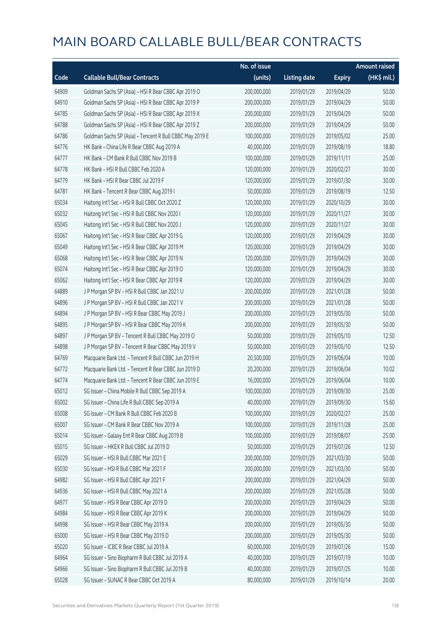|       |                                                          | No. of issue |                     |               | <b>Amount raised</b> |
|-------|----------------------------------------------------------|--------------|---------------------|---------------|----------------------|
| Code  | <b>Callable Bull/Bear Contracts</b>                      | (units)      | <b>Listing date</b> | <b>Expiry</b> | (HK\$ mil.)          |
| 64909 | Goldman Sachs SP (Asia) - HSI R Bear CBBC Apr 2019 O     | 200,000,000  | 2019/01/29          | 2019/04/29    | 50.00                |
| 64910 | Goldman Sachs SP (Asia) - HSI R Bear CBBC Apr 2019 P     | 200,000,000  | 2019/01/29          | 2019/04/29    | 50.00                |
| 64785 | Goldman Sachs SP (Asia) - HSI R Bear CBBC Apr 2019 X     | 200,000,000  | 2019/01/29          | 2019/04/29    | 50.00                |
| 64788 | Goldman Sachs SP (Asia) - HSI R Bear CBBC Apr 2019 Z     | 200,000,000  | 2019/01/29          | 2019/04/29    | 50.00                |
| 64786 | Goldman Sachs SP (Asia) - Tencent R Bull CBBC May 2019 E | 100,000,000  | 2019/01/29          | 2019/05/02    | 25.00                |
| 64776 | HK Bank - China Life R Bear CBBC Aug 2019 A              | 40,000,000   | 2019/01/29          | 2019/08/19    | 18.80                |
| 64777 | HK Bank - CM Bank R Bull CBBC Nov 2019 B                 | 100,000,000  | 2019/01/29          | 2019/11/11    | 25.00                |
| 64778 | HK Bank - HSI R Bull CBBC Feb 2020 A                     | 120,000,000  | 2019/01/29          | 2020/02/27    | 30.00                |
| 64779 | HK Bank - HSI R Bear CBBC Jul 2019 F                     | 120,000,000  | 2019/01/29          | 2019/07/30    | 30.00                |
| 64781 | HK Bank - Tencent R Bear CBBC Aug 2019 I                 | 50,000,000   | 2019/01/29          | 2019/08/19    | 12.50                |
| 65034 | Haitong Int'l Sec - HSI R Bull CBBC Oct 2020 Z           | 120,000,000  | 2019/01/29          | 2020/10/29    | 30.00                |
| 65032 | Haitong Int'l Sec - HSI R Bull CBBC Nov 2020 I           | 120,000,000  | 2019/01/29          | 2020/11/27    | 30.00                |
| 65045 | Haitong Int'l Sec - HSI R Bull CBBC Nov 2020 J           | 120,000,000  | 2019/01/29          | 2020/11/27    | 30.00                |
| 65067 | Haitong Int'l Sec - HSI R Bear CBBC Apr 2019 G           | 120,000,000  | 2019/01/29          | 2019/04/29    | 30.00                |
| 65049 | Haitong Int'l Sec - HSI R Bear CBBC Apr 2019 M           | 120,000,000  | 2019/01/29          | 2019/04/29    | 30.00                |
| 65068 | Haitong Int'l Sec - HSI R Bear CBBC Apr 2019 N           | 120,000,000  | 2019/01/29          | 2019/04/29    | 30.00                |
| 65074 | Haitong Int'l Sec - HSI R Bear CBBC Apr 2019 O           | 120,000,000  | 2019/01/29          | 2019/04/29    | 30.00                |
| 65062 | Haitong Int'l Sec - HSI R Bear CBBC Apr 2019 R           | 120,000,000  | 2019/01/29          | 2019/04/29    | 30.00                |
| 64889 | J P Morgan SP BV - HSI R Bull CBBC Jan 2021 U            | 200,000,000  | 2019/01/29          | 2021/01/28    | 50.00                |
| 64896 | J P Morgan SP BV - HSI R Bull CBBC Jan 2021 V            | 200,000,000  | 2019/01/29          | 2021/01/28    | 50.00                |
| 64894 | J P Morgan SP BV - HSI R Bear CBBC May 2019 J            | 200,000,000  | 2019/01/29          | 2019/05/30    | 50.00                |
| 64895 | J P Morgan SP BV - HSI R Bear CBBC May 2019 K            | 200,000,000  | 2019/01/29          | 2019/05/30    | 50.00                |
| 64897 | J P Morgan SP BV - Tencent R Bull CBBC May 2019 O        | 50,000,000   | 2019/01/29          | 2019/05/10    | 12.50                |
| 64898 | J P Morgan SP BV - Tencent R Bear CBBC May 2019 V        | 50,000,000   | 2019/01/29          | 2019/05/10    | 12.50                |
| 64769 | Macquarie Bank Ltd. - Tencent R Bull CBBC Jun 2019 H     | 20,500,000   | 2019/01/29          | 2019/06/04    | 10.00                |
| 64772 | Macquarie Bank Ltd. - Tencent R Bear CBBC Jun 2019 D     | 20,200,000   | 2019/01/29          | 2019/06/04    | 10.02                |
| 64774 | Macquarie Bank Ltd. - Tencent R Bear CBBC Jun 2019 E     | 16,000,000   | 2019/01/29          | 2019/06/04    | 10.00                |
| 65012 | SG Issuer - China Mobile R Bull CBBC Sep 2019 A          | 100,000,000  | 2019/01/29          | 2019/09/30    | 25.00                |
| 65002 | SG Issuer - China Life R Bull CBBC Sep 2019 A            | 40,000,000   | 2019/01/29          | 2019/09/30    | 15.60                |
| 65008 | SG Issuer - CM Bank R Bull CBBC Feb 2020 B               | 100,000,000  | 2019/01/29          | 2020/02/27    | 25.00                |
| 65007 | SG Issuer - CM Bank R Bear CBBC Nov 2019 A               | 100,000,000  | 2019/01/29          | 2019/11/28    | 25.00                |
| 65014 | SG Issuer - Galaxy Ent R Bear CBBC Aug 2019 B            | 100,000,000  | 2019/01/29          | 2019/08/07    | 25.00                |
| 65015 | SG Issuer - HKEX R Bull CBBC Jul 2019 D                  | 50,000,000   | 2019/01/29          | 2019/07/26    | 12.50                |
| 65029 | SG Issuer - HSI R Bull CBBC Mar 2021 E                   | 200,000,000  | 2019/01/29          | 2021/03/30    | 50.00                |
| 65030 | SG Issuer - HSI R Bull CBBC Mar 2021 F                   | 200,000,000  | 2019/01/29          | 2021/03/30    | 50.00                |
| 64982 | SG Issuer - HSI R Bull CBBC Apr 2021 F                   | 200,000,000  | 2019/01/29          | 2021/04/29    | 50.00                |
| 64936 | SG Issuer - HSI R Bull CBBC May 2021 A                   | 200,000,000  | 2019/01/29          | 2021/05/28    | 50.00                |
| 64977 | SG Issuer - HSI R Bear CBBC Apr 2019 D                   | 200,000,000  | 2019/01/29          | 2019/04/29    | 50.00                |
| 64984 | SG Issuer - HSI R Bear CBBC Apr 2019 K                   | 200,000,000  | 2019/01/29          | 2019/04/29    | 50.00                |
| 64998 | SG Issuer - HSI R Bear CBBC May 2019 A                   | 200,000,000  | 2019/01/29          | 2019/05/30    | 50.00                |
| 65000 | SG Issuer - HSI R Bear CBBC May 2019 D                   | 200,000,000  | 2019/01/29          | 2019/05/30    | 50.00                |
| 65020 | SG Issuer - ICBC R Bear CBBC Jul 2019 A                  | 60,000,000   | 2019/01/29          | 2019/07/26    | 15.00                |
| 64964 | SG Issuer - Sino Biopharm R Bull CBBC Jul 2019 A         | 40,000,000   | 2019/01/29          | 2019/07/19    | 10.00                |
| 64966 | SG Issuer - Sino Biopharm R Bull CBBC Jul 2019 B         | 40,000,000   | 2019/01/29          | 2019/07/25    | 10.00                |
| 65028 | SG Issuer - SUNAC R Bear CBBC Oct 2019 A                 | 80,000,000   | 2019/01/29          | 2019/10/14    | 20.00                |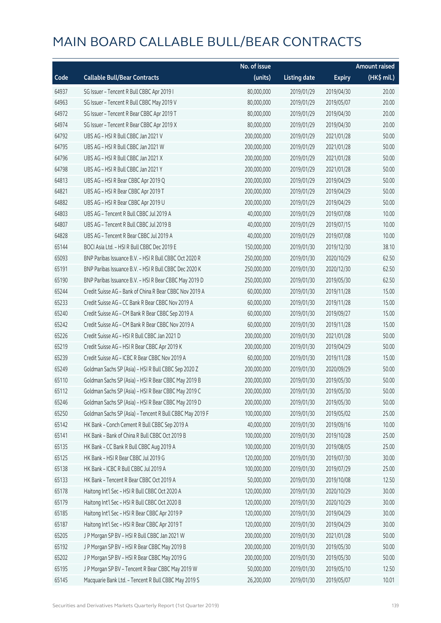|       |                                                          | No. of issue |                     |               | <b>Amount raised</b> |
|-------|----------------------------------------------------------|--------------|---------------------|---------------|----------------------|
| Code  | <b>Callable Bull/Bear Contracts</b>                      | (units)      | <b>Listing date</b> | <b>Expiry</b> | (HK\$ mil.)          |
| 64937 | SG Issuer - Tencent R Bull CBBC Apr 2019 I               | 80,000,000   | 2019/01/29          | 2019/04/30    | 20.00                |
| 64963 | SG Issuer - Tencent R Bull CBBC May 2019 V               | 80,000,000   | 2019/01/29          | 2019/05/07    | 20.00                |
| 64972 | SG Issuer - Tencent R Bear CBBC Apr 2019 T               | 80,000,000   | 2019/01/29          | 2019/04/30    | 20.00                |
| 64974 | SG Issuer - Tencent R Bear CBBC Apr 2019 X               | 80,000,000   | 2019/01/29          | 2019/04/30    | 20.00                |
| 64792 | UBS AG - HSI R Bull CBBC Jan 2021 V                      | 200,000,000  | 2019/01/29          | 2021/01/28    | 50.00                |
| 64795 | UBS AG - HSI R Bull CBBC Jan 2021 W                      | 200,000,000  | 2019/01/29          | 2021/01/28    | 50.00                |
| 64796 | UBS AG - HSI R Bull CBBC Jan 2021 X                      | 200,000,000  | 2019/01/29          | 2021/01/28    | 50.00                |
| 64798 | UBS AG - HSI R Bull CBBC Jan 2021 Y                      | 200,000,000  | 2019/01/29          | 2021/01/28    | 50.00                |
| 64813 | UBS AG - HSI R Bear CBBC Apr 2019 Q                      | 200,000,000  | 2019/01/29          | 2019/04/29    | 50.00                |
| 64821 | UBS AG - HSI R Bear CBBC Apr 2019 T                      | 200,000,000  | 2019/01/29          | 2019/04/29    | 50.00                |
| 64882 | UBS AG - HSI R Bear CBBC Apr 2019 U                      | 200,000,000  | 2019/01/29          | 2019/04/29    | 50.00                |
| 64803 | UBS AG - Tencent R Bull CBBC Jul 2019 A                  | 40,000,000   | 2019/01/29          | 2019/07/08    | 10.00                |
| 64807 | UBS AG - Tencent R Bull CBBC Jul 2019 B                  | 40,000,000   | 2019/01/29          | 2019/07/15    | 10.00                |
| 64828 | UBS AG - Tencent R Bear CBBC Jul 2019 A                  | 40,000,000   | 2019/01/29          | 2019/07/08    | 10.00                |
| 65144 | BOCI Asia Ltd. - HSI R Bull CBBC Dec 2019 E              | 150,000,000  | 2019/01/30          | 2019/12/30    | 38.10                |
| 65093 | BNP Paribas Issuance B.V. - HSI R Bull CBBC Oct 2020 R   | 250,000,000  | 2019/01/30          | 2020/10/29    | 62.50                |
| 65191 | BNP Paribas Issuance B.V. - HSI R Bull CBBC Dec 2020 K   | 250,000,000  | 2019/01/30          | 2020/12/30    | 62.50                |
| 65190 | BNP Paribas Issuance B.V. - HSI R Bear CBBC May 2019 D   | 250,000,000  | 2019/01/30          | 2019/05/30    | 62.50                |
| 65244 | Credit Suisse AG - Bank of China R Bear CBBC Nov 2019 A  | 60,000,000   | 2019/01/30          | 2019/11/28    | 15.00                |
| 65233 | Credit Suisse AG - CC Bank R Bear CBBC Nov 2019 A        | 60,000,000   | 2019/01/30          | 2019/11/28    | 15.00                |
| 65240 | Credit Suisse AG - CM Bank R Bear CBBC Sep 2019 A        | 60,000,000   | 2019/01/30          | 2019/09/27    | 15.00                |
| 65242 | Credit Suisse AG - CM Bank R Bear CBBC Nov 2019 A        | 60,000,000   | 2019/01/30          | 2019/11/28    | 15.00                |
| 65226 | Credit Suisse AG - HSI R Bull CBBC Jan 2021 D            | 200,000,000  | 2019/01/30          | 2021/01/28    | 50.00                |
| 65219 | Credit Suisse AG - HSI R Bear CBBC Apr 2019 K            | 200,000,000  | 2019/01/30          | 2019/04/29    | 50.00                |
| 65239 | Credit Suisse AG - ICBC R Bear CBBC Nov 2019 A           | 60,000,000   | 2019/01/30          | 2019/11/28    | 15.00                |
| 65249 | Goldman Sachs SP (Asia) - HSI R Bull CBBC Sep 2020 Z     | 200,000,000  | 2019/01/30          | 2020/09/29    | 50.00                |
| 65110 | Goldman Sachs SP (Asia) - HSI R Bear CBBC May 2019 B     | 200,000,000  | 2019/01/30          | 2019/05/30    | 50.00                |
| 65112 | Goldman Sachs SP (Asia) - HSI R Bear CBBC May 2019 C     | 200,000,000  | 2019/01/30          | 2019/05/30    | 50.00                |
| 65246 | Goldman Sachs SP (Asia) - HSI R Bear CBBC May 2019 D     | 200,000,000  | 2019/01/30          | 2019/05/30    | 50.00                |
| 65250 | Goldman Sachs SP (Asia) - Tencent R Bull CBBC May 2019 F | 100,000,000  | 2019/01/30          | 2019/05/02    | 25.00                |
| 65142 | HK Bank - Conch Cement R Bull CBBC Sep 2019 A            | 40,000,000   | 2019/01/30          | 2019/09/16    | 10.00                |
| 65141 | HK Bank - Bank of China R Bull CBBC Oct 2019 B           | 100,000,000  | 2019/01/30          | 2019/10/28    | 25.00                |
| 65135 | HK Bank - CC Bank R Bull CBBC Aug 2019 A                 | 100,000,000  | 2019/01/30          | 2019/08/05    | 25.00                |
| 65125 | HK Bank - HSI R Bear CBBC Jul 2019 G                     | 120,000,000  | 2019/01/30          | 2019/07/30    | 30.00                |
| 65138 | HK Bank - ICBC R Bull CBBC Jul 2019 A                    | 100,000,000  | 2019/01/30          | 2019/07/29    | 25.00                |
| 65133 | HK Bank - Tencent R Bear CBBC Oct 2019 A                 | 50,000,000   | 2019/01/30          | 2019/10/08    | 12.50                |
| 65178 | Haitong Int'l Sec - HSI R Bull CBBC Oct 2020 A           | 120,000,000  | 2019/01/30          | 2020/10/29    | 30.00                |
| 65179 | Haitong Int'l Sec - HSI R Bull CBBC Oct 2020 B           | 120,000,000  | 2019/01/30          | 2020/10/29    | 30.00                |
| 65185 | Haitong Int'l Sec - HSI R Bear CBBC Apr 2019 P           | 120,000,000  | 2019/01/30          | 2019/04/29    | 30.00                |
| 65187 | Haitong Int'l Sec - HSI R Bear CBBC Apr 2019 T           | 120,000,000  | 2019/01/30          | 2019/04/29    | 30.00                |
| 65205 | J P Morgan SP BV - HSI R Bull CBBC Jan 2021 W            | 200,000,000  | 2019/01/30          | 2021/01/28    | 50.00                |
| 65192 | J P Morgan SP BV - HSI R Bear CBBC May 2019 B            | 200,000,000  | 2019/01/30          | 2019/05/30    | 50.00                |
| 65202 | J P Morgan SP BV - HSI R Bear CBBC May 2019 G            | 200,000,000  | 2019/01/30          | 2019/05/30    | 50.00                |
| 65195 | J P Morgan SP BV - Tencent R Bear CBBC May 2019 W        | 50,000,000   | 2019/01/30          | 2019/05/10    | 12.50                |
| 65145 | Macquarie Bank Ltd. - Tencent R Bull CBBC May 2019 S     | 26,200,000   | 2019/01/30          | 2019/05/07    | 10.01                |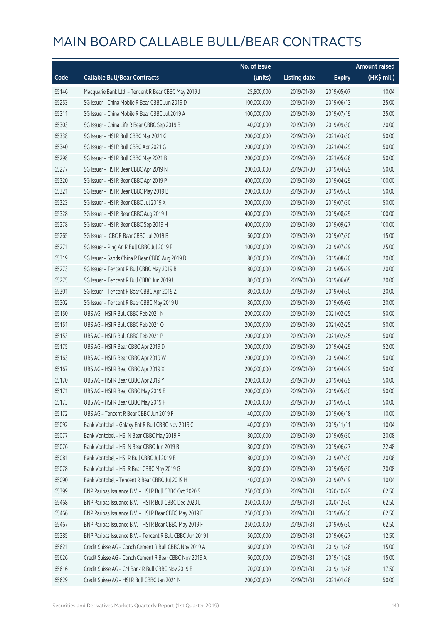|       |                                                            | No. of issue |                     |               | <b>Amount raised</b> |
|-------|------------------------------------------------------------|--------------|---------------------|---------------|----------------------|
| Code  | <b>Callable Bull/Bear Contracts</b>                        | (units)      | <b>Listing date</b> | <b>Expiry</b> | (HK\$ mil.)          |
| 65146 | Macquarie Bank Ltd. - Tencent R Bear CBBC May 2019 J       | 25,800,000   | 2019/01/30          | 2019/05/07    | 10.04                |
| 65253 | SG Issuer - China Mobile R Bear CBBC Jun 2019 D            | 100,000,000  | 2019/01/30          | 2019/06/13    | 25.00                |
| 65311 | SG Issuer - China Mobile R Bear CBBC Jul 2019 A            | 100,000,000  | 2019/01/30          | 2019/07/19    | 25.00                |
| 65303 | SG Issuer - China Life R Bear CBBC Sep 2019 B              | 40,000,000   | 2019/01/30          | 2019/09/30    | 20.00                |
| 65338 | SG Issuer - HSI R Bull CBBC Mar 2021 G                     | 200,000,000  | 2019/01/30          | 2021/03/30    | 50.00                |
| 65340 | SG Issuer - HSI R Bull CBBC Apr 2021 G                     | 200,000,000  | 2019/01/30          | 2021/04/29    | 50.00                |
| 65298 | SG Issuer - HSI R Bull CBBC May 2021 B                     | 200,000,000  | 2019/01/30          | 2021/05/28    | 50.00                |
| 65277 | SG Issuer - HSI R Bear CBBC Apr 2019 N                     | 200,000,000  | 2019/01/30          | 2019/04/29    | 50.00                |
| 65320 | SG Issuer - HSI R Bear CBBC Apr 2019 P                     | 400,000,000  | 2019/01/30          | 2019/04/29    | 100.00               |
| 65321 | SG Issuer - HSI R Bear CBBC May 2019 B                     | 200,000,000  | 2019/01/30          | 2019/05/30    | 50.00                |
| 65323 | SG Issuer - HSI R Bear CBBC Jul 2019 X                     | 200,000,000  | 2019/01/30          | 2019/07/30    | 50.00                |
| 65328 | SG Issuer - HSI R Bear CBBC Aug 2019 J                     | 400,000,000  | 2019/01/30          | 2019/08/29    | 100.00               |
| 65278 | SG Issuer - HSI R Bear CBBC Sep 2019 H                     | 400,000,000  | 2019/01/30          | 2019/09/27    | 100.00               |
| 65265 | SG Issuer - ICBC R Bear CBBC Jul 2019 B                    | 60,000,000   | 2019/01/30          | 2019/07/30    | 15.00                |
| 65271 | SG Issuer - Ping An R Bull CBBC Jul 2019 F                 | 100,000,000  | 2019/01/30          | 2019/07/29    | 25.00                |
| 65319 | SG Issuer - Sands China R Bear CBBC Aug 2019 D             | 80,000,000   | 2019/01/30          | 2019/08/20    | 20.00                |
| 65273 | SG Issuer - Tencent R Bull CBBC May 2019 B                 | 80,000,000   | 2019/01/30          | 2019/05/29    | 20.00                |
| 65275 | SG Issuer - Tencent R Bull CBBC Jun 2019 U                 | 80,000,000   | 2019/01/30          | 2019/06/05    | 20.00                |
| 65301 | SG Issuer - Tencent R Bear CBBC Apr 2019 Z                 | 80,000,000   | 2019/01/30          | 2019/04/30    | 20.00                |
| 65302 | SG Issuer - Tencent R Bear CBBC May 2019 U                 | 80,000,000   | 2019/01/30          | 2019/05/03    | 20.00                |
| 65150 | UBS AG - HSI R Bull CBBC Feb 2021 N                        | 200,000,000  | 2019/01/30          | 2021/02/25    | 50.00                |
| 65151 | UBS AG - HSI R Bull CBBC Feb 2021 O                        | 200,000,000  | 2019/01/30          | 2021/02/25    | 50.00                |
| 65153 | UBS AG - HSI R Bull CBBC Feb 2021 P                        | 200,000,000  | 2019/01/30          | 2021/02/25    | 50.00                |
| 65175 | UBS AG - HSI R Bear CBBC Apr 2019 D                        | 200,000,000  | 2019/01/30          | 2019/04/29    | 52.00                |
| 65163 | UBS AG - HSI R Bear CBBC Apr 2019 W                        | 200,000,000  | 2019/01/30          | 2019/04/29    | 50.00                |
| 65167 | UBS AG - HSI R Bear CBBC Apr 2019 X                        | 200,000,000  | 2019/01/30          | 2019/04/29    | 50.00                |
| 65170 | UBS AG - HSI R Bear CBBC Apr 2019 Y                        | 200,000,000  | 2019/01/30          | 2019/04/29    | 50.00                |
| 65171 | UBS AG - HSI R Bear CBBC May 2019 E                        | 200,000,000  | 2019/01/30          | 2019/05/30    | 50.00                |
| 65173 | UBS AG - HSI R Bear CBBC May 2019 F                        | 200,000,000  | 2019/01/30          | 2019/05/30    | 50.00                |
| 65172 | UBS AG - Tencent R Bear CBBC Jun 2019 F                    | 40,000,000   | 2019/01/30          | 2019/06/18    | 10.00                |
| 65092 | Bank Vontobel - Galaxy Ent R Bull CBBC Nov 2019 C          | 40,000,000   | 2019/01/30          | 2019/11/11    | 10.04                |
| 65077 | Bank Vontobel - HSI N Bear CBBC May 2019 F                 | 80,000,000   | 2019/01/30          | 2019/05/30    | 20.08                |
| 65076 | Bank Vontobel - HSI N Bear CBBC Jun 2019 B                 | 80,000,000   | 2019/01/30          | 2019/06/27    | 22.48                |
| 65081 | Bank Vontobel - HSI R Bull CBBC Jul 2019 B                 | 80,000,000   | 2019/01/30          | 2019/07/30    | 20.08                |
| 65078 | Bank Vontobel - HSI R Bear CBBC May 2019 G                 | 80,000,000   | 2019/01/30          | 2019/05/30    | 20.08                |
| 65090 | Bank Vontobel - Tencent R Bear CBBC Jul 2019 H             | 40,000,000   | 2019/01/30          | 2019/07/19    | 10.04                |
| 65399 | BNP Paribas Issuance B.V. - HSI R Bull CBBC Oct 2020 S     | 250,000,000  | 2019/01/31          | 2020/10/29    | 62.50                |
| 65468 | BNP Paribas Issuance B.V. - HSI R Bull CBBC Dec 2020 L     | 250,000,000  | 2019/01/31          | 2020/12/30    | 62.50                |
| 65466 | BNP Paribas Issuance B.V. - HSI R Bear CBBC May 2019 E     | 250,000,000  | 2019/01/31          | 2019/05/30    | 62.50                |
| 65467 | BNP Paribas Issuance B.V. - HSI R Bear CBBC May 2019 F     | 250,000,000  | 2019/01/31          | 2019/05/30    | 62.50                |
| 65385 | BNP Paribas Issuance B.V. - Tencent R Bull CBBC Jun 2019 I | 50,000,000   | 2019/01/31          | 2019/06/27    | 12.50                |
| 65621 | Credit Suisse AG - Conch Cement R Bull CBBC Nov 2019 A     | 60,000,000   | 2019/01/31          | 2019/11/28    | 15.00                |
| 65626 | Credit Suisse AG - Conch Cement R Bear CBBC Nov 2019 A     | 60,000,000   | 2019/01/31          | 2019/11/28    | 15.00                |
| 65616 | Credit Suisse AG - CM Bank R Bull CBBC Nov 2019 B          | 70,000,000   | 2019/01/31          | 2019/11/28    | 17.50                |
| 65629 | Credit Suisse AG - HSI R Bull CBBC Jan 2021 N              | 200,000,000  | 2019/01/31          | 2021/01/28    | 50.00                |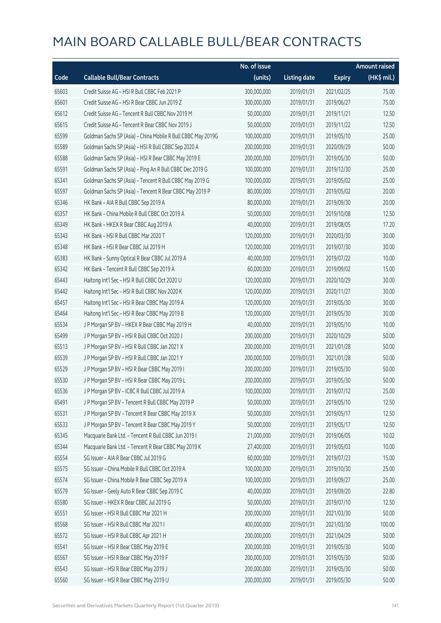|       |                                                              | No. of issue |                     |               | <b>Amount raised</b>  |
|-------|--------------------------------------------------------------|--------------|---------------------|---------------|-----------------------|
| Code  | <b>Callable Bull/Bear Contracts</b>                          | (units)      | <b>Listing date</b> | <b>Expiry</b> | $(HK\frac{1}{2}mil.)$ |
| 65603 | Credit Suisse AG - HSI R Bull CBBC Feb 2021 P                | 300,000,000  | 2019/01/31          | 2021/02/25    | 75.00                 |
| 65601 | Credit Suisse AG - HSI R Bear CBBC Jun 2019 Z                | 300,000,000  | 2019/01/31          | 2019/06/27    | 75.00                 |
| 65612 | Credit Suisse AG - Tencent R Bull CBBC Nov 2019 M            | 50,000,000   | 2019/01/31          | 2019/11/21    | 12.50                 |
| 65615 | Credit Suisse AG - Tencent R Bear CBBC Nov 2019 J            | 50,000,000   | 2019/01/31          | 2019/11/22    | 12.50                 |
| 65599 | Goldman Sachs SP (Asia) - China Mobile R Bull CBBC May 2019G | 100,000,000  | 2019/01/31          | 2019/05/10    | 25.00                 |
| 65589 | Goldman Sachs SP (Asia) - HSI R Bull CBBC Sep 2020 A         | 200,000,000  | 2019/01/31          | 2020/09/29    | 50.00                 |
| 65588 | Goldman Sachs SP (Asia) - HSI R Bear CBBC May 2019 E         | 200,000,000  | 2019/01/31          | 2019/05/30    | 50.00                 |
| 65591 | Goldman Sachs SP (Asia) - Ping An R Bull CBBC Dec 2019 G     | 100,000,000  | 2019/01/31          | 2019/12/30    | 25.00                 |
| 65341 | Goldman Sachs SP (Asia) - Tencent R Bull CBBC May 2019 G     | 100,000,000  | 2019/01/31          | 2019/05/02    | 25.00                 |
| 65597 | Goldman Sachs SP (Asia) - Tencent R Bear CBBC May 2019 P     | 80,000,000   | 2019/01/31          | 2019/05/02    | 20.00                 |
| 65346 | HK Bank - AIA R Bull CBBC Sep 2019 A                         | 80,000,000   | 2019/01/31          | 2019/09/30    | 20.00                 |
| 65357 | HK Bank - China Mobile R Bull CBBC Oct 2019 A                | 50,000,000   | 2019/01/31          | 2019/10/08    | 12.50                 |
| 65349 | HK Bank - HKEX R Bear CBBC Aug 2019 A                        | 40,000,000   | 2019/01/31          | 2019/08/05    | 17.20                 |
| 65343 | HK Bank - HSI R Bull CBBC Mar 2020 T                         | 120,000,000  | 2019/01/31          | 2020/03/30    | 30.00                 |
| 65348 | HK Bank - HSI R Bear CBBC Jul 2019 H                         | 120,000,000  | 2019/01/31          | 2019/07/30    | 30.00                 |
| 65383 | HK Bank - Sunny Optical R Bear CBBC Jul 2019 A               | 40,000,000   | 2019/01/31          | 2019/07/22    | 10.00                 |
| 65342 | HK Bank - Tencent R Bull CBBC Sep 2019 A                     | 60,000,000   | 2019/01/31          | 2019/09/02    | 15.00                 |
| 65443 | Haitong Int'l Sec - HSI R Bull CBBC Oct 2020 U               | 120,000,000  | 2019/01/31          | 2020/10/29    | 30.00                 |
| 65442 | Haitong Int'l Sec - HSI R Bull CBBC Nov 2020 K               | 120,000,000  | 2019/01/31          | 2020/11/27    | 30.00                 |
| 65457 | Haitong Int'l Sec - HSI R Bear CBBC May 2019 A               | 120,000,000  | 2019/01/31          | 2019/05/30    | 30.00                 |
| 65464 | Haitong Int'l Sec - HSI R Bear CBBC May 2019 B               | 120,000,000  | 2019/01/31          | 2019/05/30    | 30.00                 |
| 65534 | J P Morgan SP BV - HKEX R Bear CBBC May 2019 H               | 40,000,000   | 2019/01/31          | 2019/05/10    | 10.00                 |
| 65499 | J P Morgan SP BV - HSI R Bull CBBC Oct 2020 J                | 200,000,000  | 2019/01/31          | 2020/10/29    | 50.00                 |
| 65513 | J P Morgan SP BV - HSI R Bull CBBC Jan 2021 X                | 200,000,000  | 2019/01/31          | 2021/01/28    | 50.00                 |
| 65539 | J P Morgan SP BV - HSI R Bull CBBC Jan 2021 Y                | 200,000,000  | 2019/01/31          | 2021/01/28    | 50.00                 |
| 65529 | J P Morgan SP BV - HSI R Bear CBBC May 2019 I                | 200,000,000  | 2019/01/31          | 2019/05/30    | 50.00                 |
| 65530 | J P Morgan SP BV - HSI R Bear CBBC May 2019 L                | 200,000,000  | 2019/01/31          | 2019/05/30    | 50.00                 |
| 65536 | J P Morgan SP BV - ICBC R Bull CBBC Jul 2019 A               | 100,000,000  | 2019/01/31          | 2019/07/12    | 25.00                 |
| 65491 | J P Morgan SP BV - Tencent R Bull CBBC May 2019 P            | 50,000,000   | 2019/01/31          | 2019/05/10    | 12.50                 |
| 65531 | J P Morgan SP BV - Tencent R Bear CBBC May 2019 X            | 50,000,000   | 2019/01/31          | 2019/05/17    | 12.50                 |
| 65533 | J P Morgan SP BV - Tencent R Bear CBBC May 2019 Y            | 50,000,000   | 2019/01/31          | 2019/05/17    | 12.50                 |
| 65345 | Macquarie Bank Ltd. - Tencent R Bull CBBC Jun 2019 I         | 21,000,000   | 2019/01/31          | 2019/06/05    | 10.02                 |
| 65344 | Macquarie Bank Ltd. - Tencent R Bear CBBC May 2019 K         | 27,400,000   | 2019/01/31          | 2019/05/03    | 10.00                 |
| 65554 | SG Issuer - AIA R Bear CBBC Jul 2019 G                       | 60,000,000   | 2019/01/31          | 2019/07/23    | 15.00                 |
| 65575 | SG Issuer - China Mobile R Bull CBBC Oct 2019 A              | 100,000,000  | 2019/01/31          | 2019/10/30    | 25.00                 |
| 65574 | SG Issuer - China Mobile R Bear CBBC Sep 2019 A              | 100,000,000  | 2019/01/31          | 2019/09/27    | 25.00                 |
| 65579 | SG Issuer - Geely Auto R Bear CBBC Sep 2019 C                | 40,000,000   | 2019/01/31          | 2019/09/20    | 22.80                 |
| 65580 | SG Issuer - HKEX R Bear CBBC Jul 2019 G                      | 50,000,000   | 2019/01/31          | 2019/07/10    | 12.50                 |
| 65551 | SG Issuer - HSI R Bull CBBC Mar 2021 H                       | 200,000,000  | 2019/01/31          | 2021/03/30    | 50.00                 |
| 65568 | SG Issuer - HSI R Bull CBBC Mar 2021 I                       | 400,000,000  | 2019/01/31          | 2021/03/30    | 100.00                |
| 65572 | SG Issuer - HSI R Bull CBBC Apr 2021 H                       | 200,000,000  | 2019/01/31          | 2021/04/29    | 50.00                 |
| 65541 | SG Issuer - HSI R Bear CBBC May 2019 E                       | 200,000,000  | 2019/01/31          | 2019/05/30    | 50.00                 |
| 65567 | SG Issuer - HSI R Bear CBBC May 2019 F                       | 200,000,000  | 2019/01/31          | 2019/05/30    | 50.00                 |
| 65543 | SG Issuer - HSI R Bear CBBC May 2019 J                       | 200,000,000  | 2019/01/31          | 2019/05/30    | 50.00                 |
| 65560 | SG Issuer - HSI R Bear CBBC May 2019 U                       | 200,000,000  | 2019/01/31          | 2019/05/30    | 50.00                 |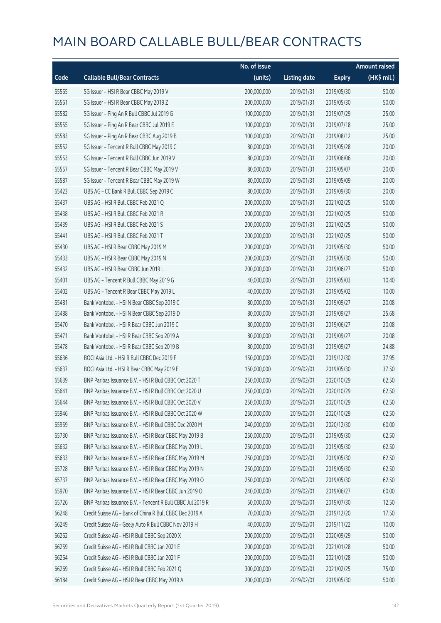|       |                                                            | No. of issue |                     |               | <b>Amount raised</b>  |
|-------|------------------------------------------------------------|--------------|---------------------|---------------|-----------------------|
| Code  | <b>Callable Bull/Bear Contracts</b>                        | (units)      | <b>Listing date</b> | <b>Expiry</b> | $(HK\frac{1}{2}mil.)$ |
| 65565 | SG Issuer - HSI R Bear CBBC May 2019 V                     | 200,000,000  | 2019/01/31          | 2019/05/30    | 50.00                 |
| 65561 | SG Issuer - HSI R Bear CBBC May 2019 Z                     | 200,000,000  | 2019/01/31          | 2019/05/30    | 50.00                 |
| 65582 | SG Issuer - Ping An R Bull CBBC Jul 2019 G                 | 100,000,000  | 2019/01/31          | 2019/07/29    | 25.00                 |
| 65555 | SG Issuer - Ping An R Bear CBBC Jul 2019 E                 | 100,000,000  | 2019/01/31          | 2019/07/18    | 25.00                 |
| 65583 | SG Issuer - Ping An R Bear CBBC Aug 2019 B                 | 100,000,000  | 2019/01/31          | 2019/08/12    | 25.00                 |
| 65552 | SG Issuer - Tencent R Bull CBBC May 2019 C                 | 80,000,000   | 2019/01/31          | 2019/05/28    | 20.00                 |
| 65553 | SG Issuer - Tencent R Bull CBBC Jun 2019 V                 | 80,000,000   | 2019/01/31          | 2019/06/06    | 20.00                 |
| 65557 | SG Issuer - Tencent R Bear CBBC May 2019 V                 | 80,000,000   | 2019/01/31          | 2019/05/07    | 20.00                 |
| 65587 | SG Issuer - Tencent R Bear CBBC May 2019 W                 | 80,000,000   | 2019/01/31          | 2019/05/09    | 20.00                 |
| 65423 | UBS AG - CC Bank R Bull CBBC Sep 2019 C                    | 80,000,000   | 2019/01/31          | 2019/09/30    | 20.00                 |
| 65437 | UBS AG - HSI R Bull CBBC Feb 2021 Q                        | 200,000,000  | 2019/01/31          | 2021/02/25    | 50.00                 |
| 65438 | UBS AG - HSI R Bull CBBC Feb 2021 R                        | 200,000,000  | 2019/01/31          | 2021/02/25    | 50.00                 |
| 65439 | UBS AG - HSI R Bull CBBC Feb 2021 S                        | 200,000,000  | 2019/01/31          | 2021/02/25    | 50.00                 |
| 65441 | UBS AG - HSI R Bull CBBC Feb 2021 T                        | 200,000,000  | 2019/01/31          | 2021/02/25    | 50.00                 |
| 65430 | UBS AG - HSI R Bear CBBC May 2019 M                        | 200,000,000  | 2019/01/31          | 2019/05/30    | 50.00                 |
| 65433 | UBS AG - HSI R Bear CBBC May 2019 N                        | 200,000,000  | 2019/01/31          | 2019/05/30    | 50.00                 |
| 65432 | UBS AG - HSI R Bear CBBC Jun 2019 L                        | 200,000,000  | 2019/01/31          | 2019/06/27    | 50.00                 |
| 65401 | UBS AG - Tencent R Bull CBBC May 2019 G                    | 40,000,000   | 2019/01/31          | 2019/05/03    | 10.40                 |
| 65402 | UBS AG - Tencent R Bear CBBC May 2019 L                    | 40,000,000   | 2019/01/31          | 2019/05/02    | 10.00                 |
| 65481 | Bank Vontobel - HSI N Bear CBBC Sep 2019 C                 | 80,000,000   | 2019/01/31          | 2019/09/27    | 20.08                 |
| 65488 | Bank Vontobel - HSI N Bear CBBC Sep 2019 D                 | 80,000,000   | 2019/01/31          | 2019/09/27    | 25.68                 |
| 65470 | Bank Vontobel - HSI R Bear CBBC Jun 2019 C                 | 80,000,000   | 2019/01/31          | 2019/06/27    | 20.08                 |
| 65471 | Bank Vontobel - HSI R Bear CBBC Sep 2019 A                 | 80,000,000   | 2019/01/31          | 2019/09/27    | 20.08                 |
| 65478 | Bank Vontobel - HSI R Bear CBBC Sep 2019 B                 | 80,000,000   | 2019/01/31          | 2019/09/27    | 24.88                 |
| 65636 | BOCI Asia Ltd. - HSI R Bull CBBC Dec 2019 F                | 150,000,000  | 2019/02/01          | 2019/12/30    | 37.95                 |
| 65637 | BOCI Asia Ltd. - HSI R Bear CBBC May 2019 E                | 150,000,000  | 2019/02/01          | 2019/05/30    | 37.50                 |
| 65639 | BNP Paribas Issuance B.V. - HSI R Bull CBBC Oct 2020 T     | 250,000,000  | 2019/02/01          | 2020/10/29    | 62.50                 |
| 65641 | BNP Paribas Issuance B.V. - HSI R Bull CBBC Oct 2020 U     | 250,000,000  | 2019/02/01          | 2020/10/29    | 62.50                 |
| 65644 | BNP Paribas Issuance B.V. - HSI R Bull CBBC Oct 2020 V     | 250,000,000  | 2019/02/01          | 2020/10/29    | 62.50                 |
| 65946 | BNP Paribas Issuance B.V. - HSI R Bull CBBC Oct 2020 W     | 250,000,000  | 2019/02/01          | 2020/10/29    | 62.50                 |
| 65959 | BNP Paribas Issuance B.V. - HSI R Bull CBBC Dec 2020 M     | 240,000,000  | 2019/02/01          | 2020/12/30    | 60.00                 |
| 65730 | BNP Paribas Issuance B.V. - HSI R Bear CBBC May 2019 B     | 250,000,000  | 2019/02/01          | 2019/05/30    | 62.50                 |
| 65632 | BNP Paribas Issuance B.V. - HSI R Bear CBBC May 2019 L     | 250,000,000  | 2019/02/01          | 2019/05/30    | 62.50                 |
| 65633 | BNP Paribas Issuance B.V. - HSI R Bear CBBC May 2019 M     | 250,000,000  | 2019/02/01          | 2019/05/30    | 62.50                 |
| 65728 | BNP Paribas Issuance B.V. - HSI R Bear CBBC May 2019 N     | 250,000,000  | 2019/02/01          | 2019/05/30    | 62.50                 |
| 65737 | BNP Paribas Issuance B.V. - HSI R Bear CBBC May 2019 O     | 250,000,000  | 2019/02/01          | 2019/05/30    | 62.50                 |
| 65970 | BNP Paribas Issuance B.V. - HSI R Bear CBBC Jun 2019 O     | 240,000,000  | 2019/02/01          | 2019/06/27    | 60.00                 |
| 65726 | BNP Paribas Issuance B.V. - Tencent R Bull CBBC Jul 2019 R | 50,000,000   | 2019/02/01          | 2019/07/30    | 12.50                 |
| 66248 | Credit Suisse AG - Bank of China R Bull CBBC Dec 2019 A    | 70,000,000   | 2019/02/01          | 2019/12/20    | 17.50                 |
| 66249 | Credit Suisse AG - Geely Auto R Bull CBBC Nov 2019 H       | 40,000,000   | 2019/02/01          | 2019/11/22    | 10.00                 |
| 66262 | Credit Suisse AG - HSI R Bull CBBC Sep 2020 X              | 200,000,000  | 2019/02/01          | 2020/09/29    | 50.00                 |
| 66259 | Credit Suisse AG - HSI R Bull CBBC Jan 2021 E              | 200,000,000  | 2019/02/01          | 2021/01/28    | 50.00                 |
| 66264 | Credit Suisse AG - HSI R Bull CBBC Jan 2021 F              | 200,000,000  | 2019/02/01          | 2021/01/28    | 50.00                 |
| 66269 | Credit Suisse AG - HSI R Bull CBBC Feb 2021 Q              | 300,000,000  | 2019/02/01          | 2021/02/25    | 75.00                 |
| 66184 | Credit Suisse AG - HSI R Bear CBBC May 2019 A              | 200,000,000  | 2019/02/01          | 2019/05/30    | 50.00                 |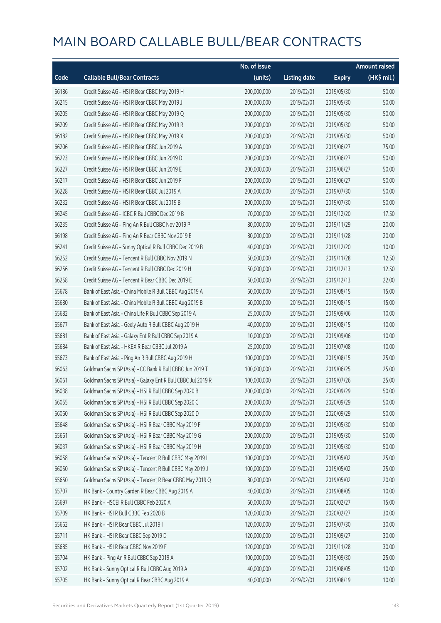|       |                                                             | No. of issue |                     |               | <b>Amount raised</b> |
|-------|-------------------------------------------------------------|--------------|---------------------|---------------|----------------------|
| Code  | <b>Callable Bull/Bear Contracts</b>                         | (units)      | <b>Listing date</b> | <b>Expiry</b> | (HK\$ mil.)          |
| 66186 | Credit Suisse AG - HSI R Bear CBBC May 2019 H               | 200,000,000  | 2019/02/01          | 2019/05/30    | 50.00                |
| 66215 | Credit Suisse AG - HSI R Bear CBBC May 2019 J               | 200,000,000  | 2019/02/01          | 2019/05/30    | 50.00                |
| 66205 | Credit Suisse AG - HSI R Bear CBBC May 2019 Q               | 200,000,000  | 2019/02/01          | 2019/05/30    | 50.00                |
| 66209 | Credit Suisse AG - HSI R Bear CBBC May 2019 R               | 200,000,000  | 2019/02/01          | 2019/05/30    | 50.00                |
| 66182 | Credit Suisse AG - HSI R Bear CBBC May 2019 X               | 200,000,000  | 2019/02/01          | 2019/05/30    | 50.00                |
| 66206 | Credit Suisse AG - HSI R Bear CBBC Jun 2019 A               | 300,000,000  | 2019/02/01          | 2019/06/27    | 75.00                |
| 66223 | Credit Suisse AG - HSI R Bear CBBC Jun 2019 D               | 200,000,000  | 2019/02/01          | 2019/06/27    | 50.00                |
| 66227 | Credit Suisse AG - HSI R Bear CBBC Jun 2019 E               | 200,000,000  | 2019/02/01          | 2019/06/27    | 50.00                |
| 66217 | Credit Suisse AG - HSI R Bear CBBC Jun 2019 F               | 200,000,000  | 2019/02/01          | 2019/06/27    | 50.00                |
| 66228 | Credit Suisse AG - HSI R Bear CBBC Jul 2019 A               | 200,000,000  | 2019/02/01          | 2019/07/30    | 50.00                |
| 66232 | Credit Suisse AG - HSI R Bear CBBC Jul 2019 B               | 200,000,000  | 2019/02/01          | 2019/07/30    | 50.00                |
| 66245 | Credit Suisse AG - ICBC R Bull CBBC Dec 2019 B              | 70,000,000   | 2019/02/01          | 2019/12/20    | 17.50                |
| 66235 | Credit Suisse AG - Ping An R Bull CBBC Nov 2019 P           | 80,000,000   | 2019/02/01          | 2019/11/29    | 20.00                |
| 66198 | Credit Suisse AG - Ping An R Bear CBBC Nov 2019 E           | 80,000,000   | 2019/02/01          | 2019/11/28    | 20.00                |
| 66241 | Credit Suisse AG - Sunny Optical R Bull CBBC Dec 2019 B     | 40,000,000   | 2019/02/01          | 2019/12/20    | 10.00                |
| 66252 | Credit Suisse AG - Tencent R Bull CBBC Nov 2019 N           | 50,000,000   | 2019/02/01          | 2019/11/28    | 12.50                |
| 66256 | Credit Suisse AG - Tencent R Bull CBBC Dec 2019 H           | 50,000,000   | 2019/02/01          | 2019/12/13    | 12.50                |
| 66258 | Credit Suisse AG - Tencent R Bear CBBC Dec 2019 E           | 50,000,000   | 2019/02/01          | 2019/12/13    | 22.00                |
| 65678 | Bank of East Asia - China Mobile R Bull CBBC Aug 2019 A     | 60,000,000   | 2019/02/01          | 2019/08/15    | 15.00                |
| 65680 | Bank of East Asia - China Mobile R Bull CBBC Aug 2019 B     | 60,000,000   | 2019/02/01          | 2019/08/15    | 15.00                |
| 65682 | Bank of East Asia - China Life R Bull CBBC Sep 2019 A       | 25,000,000   | 2019/02/01          | 2019/09/06    | 10.00                |
| 65677 | Bank of East Asia - Geely Auto R Bull CBBC Aug 2019 H       | 40,000,000   | 2019/02/01          | 2019/08/15    | 10.00                |
| 65681 | Bank of East Asia - Galaxy Ent R Bull CBBC Sep 2019 A       | 10,000,000   | 2019/02/01          | 2019/09/06    | 10.00                |
| 65684 | Bank of East Asia - HKEX R Bear CBBC Jul 2019 A             | 25,000,000   | 2019/02/01          | 2019/07/08    | 10.00                |
| 65673 | Bank of East Asia - Ping An R Bull CBBC Aug 2019 H          | 100,000,000  | 2019/02/01          | 2019/08/15    | 25.00                |
| 66063 | Goldman Sachs SP (Asia) - CC Bank R Bull CBBC Jun 2019 T    | 100,000,000  | 2019/02/01          | 2019/06/25    | 25.00                |
| 66061 | Goldman Sachs SP (Asia) - Galaxy Ent R Bull CBBC Jul 2019 R | 100,000,000  | 2019/02/01          | 2019/07/26    | 25.00                |
| 66038 | Goldman Sachs SP (Asia) - HSI R Bull CBBC Sep 2020 B        | 200,000,000  | 2019/02/01          | 2020/09/29    | 50.00                |
| 66055 | Goldman Sachs SP (Asia) - HSI R Bull CBBC Sep 2020 C        | 200,000,000  | 2019/02/01          | 2020/09/29    | 50.00                |
| 66060 | Goldman Sachs SP (Asia) - HSI R Bull CBBC Sep 2020 D        | 200,000,000  | 2019/02/01          | 2020/09/29    | 50.00                |
| 65648 | Goldman Sachs SP (Asia) - HSI R Bear CBBC May 2019 F        | 200,000,000  | 2019/02/01          | 2019/05/30    | 50.00                |
| 65661 | Goldman Sachs SP (Asia) - HSI R Bear CBBC May 2019 G        | 200,000,000  | 2019/02/01          | 2019/05/30    | 50.00                |
| 66037 | Goldman Sachs SP (Asia) - HSI R Bear CBBC May 2019 H        | 200,000,000  | 2019/02/01          | 2019/05/30    | 50.00                |
| 66058 | Goldman Sachs SP (Asia) - Tencent R Bull CBBC May 2019 I    | 100,000,000  | 2019/02/01          | 2019/05/02    | 25.00                |
| 66050 | Goldman Sachs SP (Asia) - Tencent R Bull CBBC May 2019 J    | 100,000,000  | 2019/02/01          | 2019/05/02    | 25.00                |
| 65650 | Goldman Sachs SP (Asia) - Tencent R Bear CBBC May 2019 Q    | 80,000,000   | 2019/02/01          | 2019/05/02    | 20.00                |
| 65707 | HK Bank - Country Garden R Bear CBBC Aug 2019 A             | 40,000,000   | 2019/02/01          | 2019/08/05    | 10.00                |
| 65697 | HK Bank - HSCEI R Bull CBBC Feb 2020 A                      | 60,000,000   | 2019/02/01          | 2020/02/27    | 15.00                |
| 65709 | HK Bank - HSI R Bull CBBC Feb 2020 B                        | 120,000,000  | 2019/02/01          | 2020/02/27    | 30.00                |
| 65662 | HK Bank - HSI R Bear CBBC Jul 2019 I                        | 120,000,000  | 2019/02/01          | 2019/07/30    | 30.00                |
| 65711 | HK Bank - HSI R Bear CBBC Sep 2019 D                        | 120,000,000  | 2019/02/01          | 2019/09/27    | 30.00                |
| 65685 | HK Bank - HSI R Bear CBBC Nov 2019 F                        | 120,000,000  | 2019/02/01          | 2019/11/28    | 30.00                |
| 65704 | HK Bank - Ping An R Bull CBBC Sep 2019 A                    | 100,000,000  | 2019/02/01          | 2019/09/30    | 25.00                |
| 65702 | HK Bank - Sunny Optical R Bull CBBC Aug 2019 A              | 40,000,000   | 2019/02/01          | 2019/08/05    | 10.00                |
| 65705 | HK Bank - Sunny Optical R Bear CBBC Aug 2019 A              | 40,000,000   | 2019/02/01          | 2019/08/19    | 10.00                |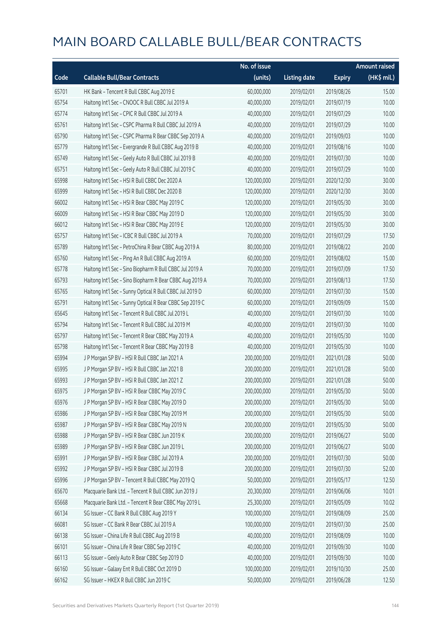|       |                                                          | No. of issue |                     |               | <b>Amount raised</b> |
|-------|----------------------------------------------------------|--------------|---------------------|---------------|----------------------|
| Code  | <b>Callable Bull/Bear Contracts</b>                      | (units)      | <b>Listing date</b> | <b>Expiry</b> | $(HK\$ mil.)         |
| 65701 | HK Bank - Tencent R Bull CBBC Aug 2019 E                 | 60,000,000   | 2019/02/01          | 2019/08/26    | 15.00                |
| 65754 | Haitong Int'l Sec - CNOOC R Bull CBBC Jul 2019 A         | 40,000,000   | 2019/02/01          | 2019/07/19    | 10.00                |
| 65774 | Haitong Int'l Sec - CPIC R Bull CBBC Jul 2019 A          | 40,000,000   | 2019/02/01          | 2019/07/29    | 10.00                |
| 65761 | Haitong Int'l Sec - CSPC Pharma R Bull CBBC Jul 2019 A   | 40,000,000   | 2019/02/01          | 2019/07/29    | 10.00                |
| 65790 | Haitong Int'l Sec - CSPC Pharma R Bear CBBC Sep 2019 A   | 40,000,000   | 2019/02/01          | 2019/09/03    | 10.00                |
| 65779 | Haitong Int'l Sec - Evergrande R Bull CBBC Aug 2019 B    | 40,000,000   | 2019/02/01          | 2019/08/16    | 10.00                |
| 65749 | Haitong Int'l Sec - Geely Auto R Bull CBBC Jul 2019 B    | 40,000,000   | 2019/02/01          | 2019/07/30    | 10.00                |
| 65751 | Haitong Int'l Sec - Geely Auto R Bull CBBC Jul 2019 C    | 40,000,000   | 2019/02/01          | 2019/07/29    | 10.00                |
| 65998 | Haitong Int'l Sec - HSI R Bull CBBC Dec 2020 A           | 120,000,000  | 2019/02/01          | 2020/12/30    | 30.00                |
| 65999 | Haitong Int'l Sec - HSI R Bull CBBC Dec 2020 B           | 120,000,000  | 2019/02/01          | 2020/12/30    | 30.00                |
| 66002 | Haitong Int'l Sec - HSI R Bear CBBC May 2019 C           | 120,000,000  | 2019/02/01          | 2019/05/30    | 30.00                |
| 66009 | Haitong Int'l Sec - HSI R Bear CBBC May 2019 D           | 120,000,000  | 2019/02/01          | 2019/05/30    | 30.00                |
| 66012 | Haitong Int'l Sec - HSI R Bear CBBC May 2019 E           | 120,000,000  | 2019/02/01          | 2019/05/30    | 30.00                |
| 65757 | Haitong Int'l Sec - ICBC R Bull CBBC Jul 2019 A          | 70,000,000   | 2019/02/01          | 2019/07/29    | 17.50                |
| 65789 | Haitong Int'l Sec - PetroChina R Bear CBBC Aug 2019 A    | 80,000,000   | 2019/02/01          | 2019/08/22    | 20.00                |
| 65760 | Haitong Int'l Sec - Ping An R Bull CBBC Aug 2019 A       | 60,000,000   | 2019/02/01          | 2019/08/02    | 15.00                |
| 65778 | Haitong Int'l Sec - Sino Biopharm R Bull CBBC Jul 2019 A | 70,000,000   | 2019/02/01          | 2019/07/09    | 17.50                |
| 65793 | Haitong Int'l Sec - Sino Biopharm R Bear CBBC Aug 2019 A | 70,000,000   | 2019/02/01          | 2019/08/13    | 17.50                |
| 65765 | Haitong Int'l Sec - Sunny Optical R Bull CBBC Jul 2019 D | 60,000,000   | 2019/02/01          | 2019/07/30    | 15.00                |
| 65791 | Haitong Int'l Sec - Sunny Optical R Bear CBBC Sep 2019 C | 60,000,000   | 2019/02/01          | 2019/09/09    | 15.00                |
| 65645 | Haitong Int'l Sec - Tencent R Bull CBBC Jul 2019 L       | 40,000,000   | 2019/02/01          | 2019/07/30    | 10.00                |
| 65794 | Haitong Int'l Sec - Tencent R Bull CBBC Jul 2019 M       | 40,000,000   | 2019/02/01          | 2019/07/30    | 10.00                |
| 65797 | Haitong Int'l Sec - Tencent R Bear CBBC May 2019 A       | 40,000,000   | 2019/02/01          | 2019/05/30    | 10.00                |
| 65798 | Haitong Int'l Sec - Tencent R Bear CBBC May 2019 B       | 40,000,000   | 2019/02/01          | 2019/05/30    | 10.00                |
| 65994 | J P Morgan SP BV - HSI R Bull CBBC Jan 2021 A            | 200,000,000  | 2019/02/01          | 2021/01/28    | 50.00                |
| 65995 | J P Morgan SP BV - HSI R Bull CBBC Jan 2021 B            | 200,000,000  | 2019/02/01          | 2021/01/28    | 50.00                |
| 65993 | J P Morgan SP BV - HSI R Bull CBBC Jan 2021 Z            | 200,000,000  | 2019/02/01          | 2021/01/28    | 50.00                |
| 65975 | J P Morgan SP BV - HSI R Bear CBBC May 2019 C            | 200,000,000  | 2019/02/01          | 2019/05/30    | 50.00                |
| 65976 | J P Morgan SP BV - HSI R Bear CBBC May 2019 D            | 200,000,000  | 2019/02/01          | 2019/05/30    | 50.00                |
| 65986 | J P Morgan SP BV - HSI R Bear CBBC May 2019 M            | 200,000,000  | 2019/02/01          | 2019/05/30    | 50.00                |
| 65987 | J P Morgan SP BV - HSI R Bear CBBC May 2019 N            | 200,000,000  | 2019/02/01          | 2019/05/30    | 50.00                |
| 65988 | J P Morgan SP BV - HSI R Bear CBBC Jun 2019 K            | 200,000,000  | 2019/02/01          | 2019/06/27    | 50.00                |
| 65989 | J P Morgan SP BV - HSI R Bear CBBC Jun 2019 L            | 200,000,000  | 2019/02/01          | 2019/06/27    | 50.00                |
| 65991 | J P Morgan SP BV - HSI R Bear CBBC Jul 2019 A            | 200,000,000  | 2019/02/01          | 2019/07/30    | 50.00                |
| 65992 | J P Morgan SP BV - HSI R Bear CBBC Jul 2019 B            | 200,000,000  | 2019/02/01          | 2019/07/30    | 52.00                |
| 65996 | J P Morgan SP BV - Tencent R Bull CBBC May 2019 Q        | 50,000,000   | 2019/02/01          | 2019/05/17    | 12.50                |
| 65670 | Macquarie Bank Ltd. - Tencent R Bull CBBC Jun 2019 J     | 20,300,000   | 2019/02/01          | 2019/06/06    | 10.01                |
| 65668 | Macquarie Bank Ltd. - Tencent R Bear CBBC May 2019 L     | 25,300,000   | 2019/02/01          | 2019/05/09    | 10.02                |
| 66134 | SG Issuer - CC Bank R Bull CBBC Aug 2019 Y               | 100,000,000  | 2019/02/01          | 2019/08/09    | 25.00                |
| 66081 | SG Issuer - CC Bank R Bear CBBC Jul 2019 A               | 100,000,000  | 2019/02/01          | 2019/07/30    | 25.00                |
| 66138 | SG Issuer - China Life R Bull CBBC Aug 2019 B            | 40,000,000   | 2019/02/01          | 2019/08/09    | 10.00                |
| 66101 | SG Issuer - China Life R Bear CBBC Sep 2019 C            | 40,000,000   | 2019/02/01          | 2019/09/30    | 10.00                |
| 66113 | SG Issuer - Geely Auto R Bear CBBC Sep 2019 D            | 40,000,000   | 2019/02/01          | 2019/09/30    | 10.00                |
| 66160 | SG Issuer - Galaxy Ent R Bull CBBC Oct 2019 D            | 100,000,000  | 2019/02/01          | 2019/10/30    | 25.00                |
| 66162 | SG Issuer - HKEX R Bull CBBC Jun 2019 C                  | 50,000,000   | 2019/02/01          | 2019/06/28    | 12.50                |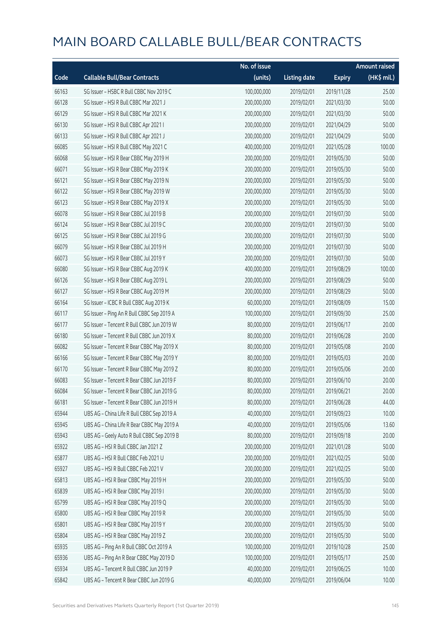|       |                                            | No. of issue |                     |               | <b>Amount raised</b> |
|-------|--------------------------------------------|--------------|---------------------|---------------|----------------------|
| Code  | <b>Callable Bull/Bear Contracts</b>        | (units)      | <b>Listing date</b> | <b>Expiry</b> | (HK\$ mil.)          |
| 66163 | SG Issuer - HSBC R Bull CBBC Nov 2019 C    | 100,000,000  | 2019/02/01          | 2019/11/28    | 25.00                |
| 66128 | SG Issuer - HSI R Bull CBBC Mar 2021 J     | 200,000,000  | 2019/02/01          | 2021/03/30    | 50.00                |
| 66129 | SG Issuer - HSI R Bull CBBC Mar 2021 K     | 200,000,000  | 2019/02/01          | 2021/03/30    | 50.00                |
| 66130 | SG Issuer - HSI R Bull CBBC Apr 2021 I     | 200,000,000  | 2019/02/01          | 2021/04/29    | 50.00                |
| 66133 | SG Issuer - HSI R Bull CBBC Apr 2021 J     | 200,000,000  | 2019/02/01          | 2021/04/29    | 50.00                |
| 66085 | SG Issuer - HSI R Bull CBBC May 2021 C     | 400,000,000  | 2019/02/01          | 2021/05/28    | 100.00               |
| 66068 | SG Issuer - HSI R Bear CBBC May 2019 H     | 200,000,000  | 2019/02/01          | 2019/05/30    | 50.00                |
| 66071 | SG Issuer - HSI R Bear CBBC May 2019 K     | 200,000,000  | 2019/02/01          | 2019/05/30    | 50.00                |
| 66121 | SG Issuer - HSI R Bear CBBC May 2019 N     | 200,000,000  | 2019/02/01          | 2019/05/30    | 50.00                |
| 66122 | SG Issuer - HSI R Bear CBBC May 2019 W     | 200,000,000  | 2019/02/01          | 2019/05/30    | 50.00                |
| 66123 | SG Issuer - HSI R Bear CBBC May 2019 X     | 200,000,000  | 2019/02/01          | 2019/05/30    | 50.00                |
| 66078 | SG Issuer - HSI R Bear CBBC Jul 2019 B     | 200,000,000  | 2019/02/01          | 2019/07/30    | 50.00                |
| 66124 | SG Issuer - HSI R Bear CBBC Jul 2019 C     | 200,000,000  | 2019/02/01          | 2019/07/30    | 50.00                |
| 66125 | SG Issuer - HSI R Bear CBBC Jul 2019 G     | 200,000,000  | 2019/02/01          | 2019/07/30    | 50.00                |
| 66079 | SG Issuer - HSI R Bear CBBC Jul 2019 H     | 200,000,000  | 2019/02/01          | 2019/07/30    | 50.00                |
| 66073 | SG Issuer - HSI R Bear CBBC Jul 2019 Y     | 200,000,000  | 2019/02/01          | 2019/07/30    | 50.00                |
| 66080 | SG Issuer - HSI R Bear CBBC Aug 2019 K     | 400,000,000  | 2019/02/01          | 2019/08/29    | 100.00               |
| 66126 | SG Issuer - HSI R Bear CBBC Aug 2019 L     | 200,000,000  | 2019/02/01          | 2019/08/29    | 50.00                |
| 66127 | SG Issuer - HSI R Bear CBBC Aug 2019 M     | 200,000,000  | 2019/02/01          | 2019/08/29    | 50.00                |
| 66164 | SG Issuer - ICBC R Bull CBBC Aug 2019 K    | 60,000,000   | 2019/02/01          | 2019/08/09    | 15.00                |
| 66117 | SG Issuer - Ping An R Bull CBBC Sep 2019 A | 100,000,000  | 2019/02/01          | 2019/09/30    | 25.00                |
| 66177 | SG Issuer - Tencent R Bull CBBC Jun 2019 W | 80,000,000   | 2019/02/01          | 2019/06/17    | 20.00                |
| 66180 | SG Issuer - Tencent R Bull CBBC Jun 2019 X | 80,000,000   | 2019/02/01          | 2019/06/28    | 20.00                |
| 66082 | SG Issuer - Tencent R Bear CBBC May 2019 X | 80,000,000   | 2019/02/01          | 2019/05/08    | 20.00                |
| 66166 | SG Issuer - Tencent R Bear CBBC May 2019 Y | 80,000,000   | 2019/02/01          | 2019/05/03    | 20.00                |
| 66170 | SG Issuer - Tencent R Bear CBBC May 2019 Z | 80,000,000   | 2019/02/01          | 2019/05/06    | 20.00                |
| 66083 | SG Issuer - Tencent R Bear CBBC Jun 2019 F | 80,000,000   | 2019/02/01          | 2019/06/10    | 20.00                |
| 66084 | SG Issuer - Tencent R Bear CBBC Jun 2019 G | 80,000,000   | 2019/02/01          | 2019/06/21    | 20.00                |
| 66181 | SG Issuer - Tencent R Bear CBBC Jun 2019 H | 80,000,000   | 2019/02/01          | 2019/06/28    | 44.00                |
| 65944 | UBS AG - China Life R Bull CBBC Sep 2019 A | 40,000,000   | 2019/02/01          | 2019/09/23    | 10.00                |
| 65945 | UBS AG - China Life R Bear CBBC May 2019 A | 40,000,000   | 2019/02/01          | 2019/05/06    | 13.60                |
| 65943 | UBS AG - Geely Auto R Bull CBBC Sep 2019 B | 80,000,000   | 2019/02/01          | 2019/09/18    | 20.00                |
| 65922 | UBS AG - HSI R Bull CBBC Jan 2021 Z        | 200,000,000  | 2019/02/01          | 2021/01/28    | 50.00                |
| 65877 | UBS AG - HSI R Bull CBBC Feb 2021 U        | 200,000,000  | 2019/02/01          | 2021/02/25    | 50.00                |
| 65927 | UBS AG - HSI R Bull CBBC Feb 2021 V        | 200,000,000  | 2019/02/01          | 2021/02/25    | 50.00                |
| 65813 | UBS AG - HSI R Bear CBBC May 2019 H        | 200,000,000  | 2019/02/01          | 2019/05/30    | 50.00                |
| 65839 | UBS AG - HSI R Bear CBBC May 2019 I        | 200,000,000  | 2019/02/01          | 2019/05/30    | 50.00                |
| 65799 | UBS AG - HSI R Bear CBBC May 2019 Q        | 200,000,000  | 2019/02/01          | 2019/05/30    | 50.00                |
| 65800 | UBS AG - HSI R Bear CBBC May 2019 R        | 200,000,000  | 2019/02/01          | 2019/05/30    | 50.00                |
| 65801 | UBS AG - HSI R Bear CBBC May 2019 Y        | 200,000,000  | 2019/02/01          | 2019/05/30    | 50.00                |
| 65804 | UBS AG - HSI R Bear CBBC May 2019 Z        | 200,000,000  | 2019/02/01          | 2019/05/30    | 50.00                |
| 65935 | UBS AG - Ping An R Bull CBBC Oct 2019 A    | 100,000,000  | 2019/02/01          | 2019/10/28    | 25.00                |
| 65936 | UBS AG - Ping An R Bear CBBC May 2019 D    | 100,000,000  | 2019/02/01          | 2019/05/17    | 25.00                |
| 65934 | UBS AG - Tencent R Bull CBBC Jun 2019 P    | 40,000,000   | 2019/02/01          | 2019/06/25    | 10.00                |
| 65842 | UBS AG - Tencent R Bear CBBC Jun 2019 G    | 40,000,000   | 2019/02/01          | 2019/06/04    | 10.00                |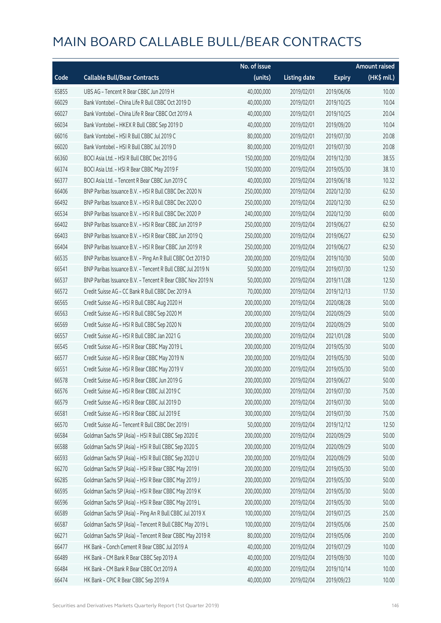|       |                                                            | No. of issue |                     |               | Amount raised         |
|-------|------------------------------------------------------------|--------------|---------------------|---------------|-----------------------|
| Code  | <b>Callable Bull/Bear Contracts</b>                        | (units)      | <b>Listing date</b> | <b>Expiry</b> | $(HK\frac{1}{2}mil.)$ |
| 65855 | UBS AG - Tencent R Bear CBBC Jun 2019 H                    | 40,000,000   | 2019/02/01          | 2019/06/06    | 10.00                 |
| 66029 | Bank Vontobel - China Life R Bull CBBC Oct 2019 D          | 40,000,000   | 2019/02/01          | 2019/10/25    | 10.04                 |
| 66027 | Bank Vontobel - China Life R Bear CBBC Oct 2019 A          | 40,000,000   | 2019/02/01          | 2019/10/25    | 20.04                 |
| 66034 | Bank Vontobel - HKEX R Bull CBBC Sep 2019 D                | 40,000,000   | 2019/02/01          | 2019/09/20    | 10.04                 |
| 66016 | Bank Vontobel - HSI R Bull CBBC Jul 2019 C                 | 80,000,000   | 2019/02/01          | 2019/07/30    | 20.08                 |
| 66020 | Bank Vontobel - HSI R Bull CBBC Jul 2019 D                 | 80,000,000   | 2019/02/01          | 2019/07/30    | 20.08                 |
| 66360 | BOCI Asia Ltd. - HSI R Bull CBBC Dec 2019 G                | 150,000,000  | 2019/02/04          | 2019/12/30    | 38.55                 |
| 66374 | BOCI Asia Ltd. - HSI R Bear CBBC May 2019 F                | 150,000,000  | 2019/02/04          | 2019/05/30    | 38.10                 |
| 66377 | BOCI Asia Ltd. - Tencent R Bear CBBC Jun 2019 C            | 40,000,000   | 2019/02/04          | 2019/06/18    | 10.32                 |
| 66406 | BNP Paribas Issuance B.V. - HSI R Bull CBBC Dec 2020 N     | 250,000,000  | 2019/02/04          | 2020/12/30    | 62.50                 |
| 66492 | BNP Paribas Issuance B.V. - HSI R Bull CBBC Dec 2020 O     | 250,000,000  | 2019/02/04          | 2020/12/30    | 62.50                 |
| 66534 | BNP Paribas Issuance B.V. - HSI R Bull CBBC Dec 2020 P     | 240,000,000  | 2019/02/04          | 2020/12/30    | 60.00                 |
| 66402 | BNP Paribas Issuance B.V. - HSI R Bear CBBC Jun 2019 P     | 250,000,000  | 2019/02/04          | 2019/06/27    | 62.50                 |
| 66403 | BNP Paribas Issuance B.V. - HSI R Bear CBBC Jun 2019 Q     | 250,000,000  | 2019/02/04          | 2019/06/27    | 62.50                 |
| 66404 | BNP Paribas Issuance B.V. - HSI R Bear CBBC Jun 2019 R     | 250,000,000  | 2019/02/04          | 2019/06/27    | 62.50                 |
| 66535 | BNP Paribas Issuance B.V. - Ping An R Bull CBBC Oct 2019 D | 200,000,000  | 2019/02/04          | 2019/10/30    | 50.00                 |
| 66541 | BNP Paribas Issuance B.V. - Tencent R Bull CBBC Jul 2019 N | 50,000,000   | 2019/02/04          | 2019/07/30    | 12.50                 |
| 66537 | BNP Paribas Issuance B.V. - Tencent R Bear CBBC Nov 2019 N | 50,000,000   | 2019/02/04          | 2019/11/28    | 12.50                 |
| 66572 | Credit Suisse AG - CC Bank R Bull CBBC Dec 2019 A          | 70,000,000   | 2019/02/04          | 2019/12/13    | 17.50                 |
| 66565 | Credit Suisse AG - HSI R Bull CBBC Aug 2020 H              | 200,000,000  | 2019/02/04          | 2020/08/28    | 50.00                 |
| 66563 | Credit Suisse AG - HSI R Bull CBBC Sep 2020 M              | 200,000,000  | 2019/02/04          | 2020/09/29    | 50.00                 |
| 66569 | Credit Suisse AG - HSI R Bull CBBC Sep 2020 N              | 200,000,000  | 2019/02/04          | 2020/09/29    | 50.00                 |
| 66557 | Credit Suisse AG - HSI R Bull CBBC Jan 2021 G              | 200,000,000  | 2019/02/04          | 2021/01/28    | 50.00                 |
| 66545 | Credit Suisse AG - HSI R Bear CBBC May 2019 L              | 200,000,000  | 2019/02/04          | 2019/05/30    | 50.00                 |
| 66577 | Credit Suisse AG - HSI R Bear CBBC May 2019 N              | 200,000,000  | 2019/02/04          | 2019/05/30    | 50.00                 |
| 66551 | Credit Suisse AG - HSI R Bear CBBC May 2019 V              | 200,000,000  | 2019/02/04          | 2019/05/30    | 50.00                 |
| 66578 | Credit Suisse AG - HSI R Bear CBBC Jun 2019 G              | 200,000,000  | 2019/02/04          | 2019/06/27    | 50.00                 |
| 66576 | Credit Suisse AG - HSLR Bear CBBC Jul 2019 C               | 300,000,000  | 2019/02/04          | 2019/07/30    | 75.00                 |
| 66579 | Credit Suisse AG - HSI R Bear CBBC Jul 2019 D              | 200,000,000  | 2019/02/04          | 2019/07/30    | 50.00                 |
| 66581 | Credit Suisse AG - HSI R Bear CBBC Jul 2019 E              | 300,000,000  | 2019/02/04          | 2019/07/30    | 75.00                 |
| 66570 | Credit Suisse AG - Tencent R Bull CBBC Dec 2019 I          | 50,000,000   | 2019/02/04          | 2019/12/12    | 12.50                 |
| 66584 | Goldman Sachs SP (Asia) - HSI R Bull CBBC Sep 2020 E       | 200,000,000  | 2019/02/04          | 2020/09/29    | 50.00                 |
| 66588 | Goldman Sachs SP (Asia) - HSI R Bull CBBC Sep 2020 S       | 200,000,000  | 2019/02/04          | 2020/09/29    | 50.00                 |
| 66593 | Goldman Sachs SP (Asia) - HSI R Bull CBBC Sep 2020 U       | 200,000,000  | 2019/02/04          | 2020/09/29    | 50.00                 |
| 66270 | Goldman Sachs SP (Asia) - HSI R Bear CBBC May 2019 I       | 200,000,000  | 2019/02/04          | 2019/05/30    | 50.00                 |
| 66285 | Goldman Sachs SP (Asia) - HSI R Bear CBBC May 2019 J       | 200,000,000  | 2019/02/04          | 2019/05/30    | 50.00                 |
| 66595 | Goldman Sachs SP (Asia) - HSI R Bear CBBC May 2019 K       | 200,000,000  | 2019/02/04          | 2019/05/30    | 50.00                 |
| 66596 | Goldman Sachs SP (Asia) - HSI R Bear CBBC May 2019 L       | 200,000,000  | 2019/02/04          | 2019/05/30    | 50.00                 |
| 66589 | Goldman Sachs SP (Asia) - Ping An R Bull CBBC Jul 2019 X   | 100,000,000  | 2019/02/04          | 2019/07/25    | 25.00                 |
| 66587 | Goldman Sachs SP (Asia) - Tencent R Bull CBBC May 2019 L   | 100,000,000  | 2019/02/04          | 2019/05/06    | 25.00                 |
| 66271 | Goldman Sachs SP (Asia) - Tencent R Bear CBBC May 2019 R   | 80,000,000   | 2019/02/04          | 2019/05/06    | 20.00                 |
| 66477 | HK Bank - Conch Cement R Bear CBBC Jul 2019 A              | 40,000,000   | 2019/02/04          | 2019/07/29    | 10.00                 |
| 66489 | HK Bank - CM Bank R Bear CBBC Sep 2019 A                   | 40,000,000   | 2019/02/04          | 2019/09/30    | 10.00                 |
| 66484 | HK Bank - CM Bank R Bear CBBC Oct 2019 A                   | 40,000,000   | 2019/02/04          | 2019/10/14    | 10.00                 |
| 66474 | HK Bank - CPIC R Bear CBBC Sep 2019 A                      | 40,000,000   | 2019/02/04          | 2019/09/23    | 10.00                 |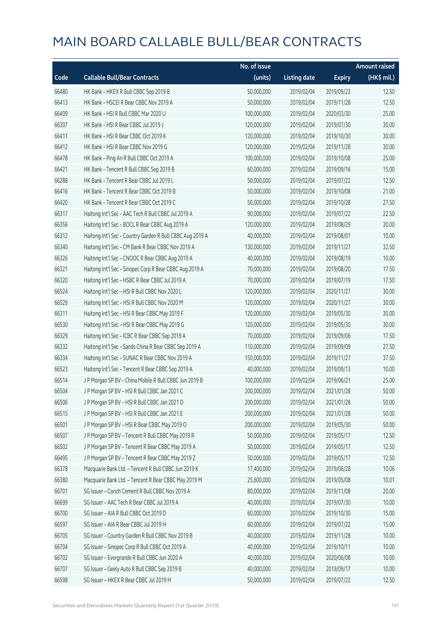|       |                                                           | No. of issue |                     |               | <b>Amount raised</b> |
|-------|-----------------------------------------------------------|--------------|---------------------|---------------|----------------------|
| Code  | <b>Callable Bull/Bear Contracts</b>                       | (units)      | <b>Listing date</b> | <b>Expiry</b> | (HK\$ mil.)          |
| 66480 | HK Bank - HKEX R Bull CBBC Sep 2019 B                     | 50,000,000   | 2019/02/04          | 2019/09/23    | 12.50                |
| 66413 | HK Bank - HSCEI R Bear CBBC Nov 2019 A                    | 50,000,000   | 2019/02/04          | 2019/11/28    | 12.50                |
| 66409 | HK Bank - HSI R Bull CBBC Mar 2020 U                      | 100,000,000  | 2019/02/04          | 2020/03/30    | 25.00                |
| 66307 | HK Bank - HSI R Bear CBBC Jul 2019 J                      | 120,000,000  | 2019/02/04          | 2019/07/30    | 30.00                |
| 66411 | HK Bank - HSI R Bear CBBC Oct 2019 K                      | 120,000,000  | 2019/02/04          | 2019/10/30    | 30.00                |
| 66412 | HK Bank - HSI R Bear CBBC Nov 2019 G                      | 120,000,000  | 2019/02/04          | 2019/11/28    | 30.00                |
| 66478 | HK Bank - Ping An R Bull CBBC Oct 2019 A                  | 100,000,000  | 2019/02/04          | 2019/10/08    | 25.00                |
| 66421 | HK Bank - Tencent R Bull CBBC Sep 2019 B                  | 60,000,000   | 2019/02/04          | 2019/09/16    | 15.00                |
| 66288 | HK Bank - Tencent R Bear CBBC Jul 2019 L                  | 50,000,000   | 2019/02/04          | 2019/07/22    | 12.50                |
| 66416 | HK Bank - Tencent R Bear CBBC Oct 2019 B                  | 50,000,000   | 2019/02/04          | 2019/10/08    | 21.00                |
| 66420 | HK Bank - Tencent R Bear CBBC Oct 2019 C                  | 50,000,000   | 2019/02/04          | 2019/10/28    | 27.50                |
| 66317 | Haitong Int'l Sec - AAC Tech R Bull CBBC Jul 2019 A       | 90,000,000   | 2019/02/04          | 2019/07/22    | 22.50                |
| 66356 | Haitong Int'l Sec - BOCL R Bear CBBC Aug 2019 A           | 120,000,000  | 2019/02/04          | 2019/08/29    | 30.00                |
| 66312 | Haitong Int'l Sec - Country Garden R Bull CBBC Aug 2019 A | 40,000,000   | 2019/02/04          | 2019/08/01    | 10.00                |
| 66340 | Haitong Int'l Sec - CM Bank R Bear CBBC Nov 2019 A        | 130,000,000  | 2019/02/04          | 2019/11/27    | 32.50                |
| 66326 | Haitong Int'l Sec - CNOOC R Bear CBBC Aug 2019 A          | 40,000,000   | 2019/02/04          | 2019/08/19    | 10.00                |
| 66321 | Haitong Int'l Sec - Sinopec Corp R Bear CBBC Aug 2019 A   | 70,000,000   | 2019/02/04          | 2019/08/20    | 17.50                |
| 66320 | Haitong Int'l Sec - HSBC R Bear CBBC Jul 2019 A           | 70,000,000   | 2019/02/04          | 2019/07/19    | 17.50                |
| 66524 | Haitong Int'l Sec - HSI R Bull CBBC Nov 2020 L            | 120,000,000  | 2019/02/04          | 2020/11/27    | 30.00                |
| 66529 | Haitong Int'l Sec - HSI R Bull CBBC Nov 2020 M            | 120,000,000  | 2019/02/04          | 2020/11/27    | 30.00                |
| 66311 | Haitong Int'l Sec - HSI R Bear CBBC May 2019 F            | 120,000,000  | 2019/02/04          | 2019/05/30    | 30.00                |
| 66530 | Haitong Int'l Sec - HSI R Bear CBBC May 2019 G            | 120,000,000  | 2019/02/04          | 2019/05/30    | 30.00                |
| 66329 | Haitong Int'l Sec - ICBC R Bear CBBC Sep 2019 A           | 70,000,000   | 2019/02/04          | 2019/09/06    | 17.50                |
| 66332 | Haitong Int'l Sec - Sands China R Bear CBBC Sep 2019 A    | 110,000,000  | 2019/02/04          | 2019/09/09    | 27.50                |
| 66334 | Haitong Int'l Sec - SUNAC R Bear CBBC Nov 2019 A          | 150,000,000  | 2019/02/04          | 2019/11/27    | 37.50                |
| 66523 | Haitong Int'l Sec - Tencent R Bear CBBC Sep 2019 A        | 40,000,000   | 2019/02/04          | 2019/09/13    | 10.00                |
| 66514 | J P Morgan SP BV - China Mobile R Bull CBBC Jun 2019 B    | 100,000,000  | 2019/02/04          | 2019/06/21    | 25.00                |
| 66504 | J P Morgan SP BV - HSI R Bull CBBC Jan 2021 C             | 200,000,000  | 2019/02/04          | 2021/01/28    | 50.00                |
| 66506 | J P Morgan SP BV - HSI R Bull CBBC Jan 2021 D             | 200,000,000  | 2019/02/04          | 2021/01/28    | 50.00                |
| 66515 | J P Morgan SP BV - HSI R Bull CBBC Jan 2021 E             | 200,000,000  | 2019/02/04          | 2021/01/28    | 50.00                |
| 66501 | J P Morgan SP BV - HSI R Bear CBBC May 2019 O             | 200,000,000  | 2019/02/04          | 2019/05/30    | 50.00                |
| 66507 | J P Morgan SP BV - Tencent R Bull CBBC May 2019 R         | 50,000,000   | 2019/02/04          | 2019/05/17    | 12.50                |
| 66502 | J P Morgan SP BV - Tencent R Bear CBBC May 2019 A         | 50,000,000   | 2019/02/04          | 2019/05/17    | 12.50                |
| 66495 | J P Morgan SP BV - Tencent R Bear CBBC May 2019 Z         | 50,000,000   | 2019/02/04          | 2019/05/17    | 12.50                |
| 66378 | Macquarie Bank Ltd. - Tencent R Bull CBBC Jun 2019 K      | 17,400,000   | 2019/02/04          | 2019/06/28    | 10.06                |
| 66380 | Macquarie Bank Ltd. - Tencent R Bear CBBC May 2019 M      | 25,600,000   | 2019/02/04          | 2019/05/08    | 10.01                |
| 66701 | SG Issuer - Conch Cement R Bull CBBC Nov 2019 A           | 80,000,000   | 2019/02/04          | 2019/11/08    | 20.00                |
| 66699 | SG Issuer - AAC Tech R Bear CBBC Jul 2019 A               | 40,000,000   | 2019/02/04          | 2019/07/30    | 10.00                |
| 66700 | SG Issuer - AIA R Bull CBBC Oct 2019 D                    | 60,000,000   | 2019/02/04          | 2019/10/30    | 15.00                |
| 66597 | SG Issuer - AIA R Bear CBBC Jul 2019 H                    | 60,000,000   | 2019/02/04          | 2019/07/22    | 15.00                |
| 66705 | SG Issuer - Country Garden R Bull CBBC Nov 2019 B         | 40,000,000   | 2019/02/04          | 2019/11/28    | 10.00                |
| 66704 | SG Issuer - Sinopec Corp R Bull CBBC Oct 2019 A           | 40,000,000   | 2019/02/04          | 2019/10/11    | 10.00                |
| 66702 | SG Issuer - Evergrande R Bull CBBC Jun 2020 A             | 40,000,000   | 2019/02/04          | 2020/06/08    | 10.00                |
| 66707 | SG Issuer - Geely Auto R Bull CBBC Sep 2019 B             | 40,000,000   | 2019/02/04          | 2019/09/17    | 10.00                |
| 66598 | SG Issuer - HKEX R Bear CBBC Jul 2019 H                   | 50,000,000   | 2019/02/04          | 2019/07/22    | 12.50                |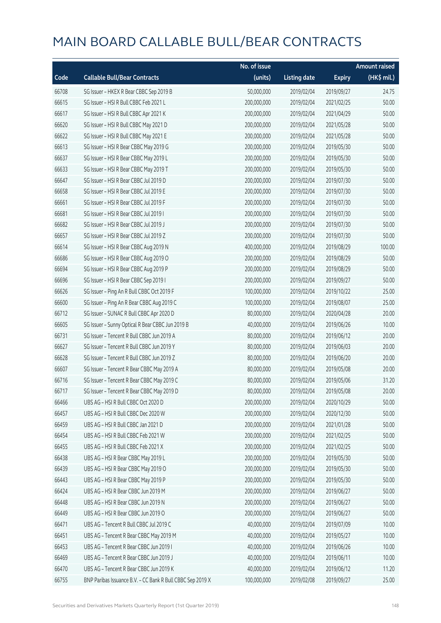|       |                                                            | No. of issue |                     |               | <b>Amount raised</b> |
|-------|------------------------------------------------------------|--------------|---------------------|---------------|----------------------|
| Code  | <b>Callable Bull/Bear Contracts</b>                        | (units)      | <b>Listing date</b> | <b>Expiry</b> | (HK\$ mil.)          |
| 66708 | SG Issuer - HKEX R Bear CBBC Sep 2019 B                    | 50,000,000   | 2019/02/04          | 2019/09/27    | 24.75                |
| 66615 | SG Issuer - HSI R Bull CBBC Feb 2021 L                     | 200,000,000  | 2019/02/04          | 2021/02/25    | 50.00                |
| 66617 | SG Issuer - HSI R Bull CBBC Apr 2021 K                     | 200,000,000  | 2019/02/04          | 2021/04/29    | 50.00                |
| 66620 | SG Issuer - HSI R Bull CBBC May 2021 D                     | 200,000,000  | 2019/02/04          | 2021/05/28    | 50.00                |
| 66622 | SG Issuer - HSI R Bull CBBC May 2021 E                     | 200,000,000  | 2019/02/04          | 2021/05/28    | 50.00                |
| 66613 | SG Issuer - HSI R Bear CBBC May 2019 G                     | 200,000,000  | 2019/02/04          | 2019/05/30    | 50.00                |
| 66637 | SG Issuer - HSI R Bear CBBC May 2019 L                     | 200,000,000  | 2019/02/04          | 2019/05/30    | 50.00                |
| 66633 | SG Issuer - HSI R Bear CBBC May 2019 T                     | 200,000,000  | 2019/02/04          | 2019/05/30    | 50.00                |
| 66647 | SG Issuer - HSI R Bear CBBC Jul 2019 D                     | 200,000,000  | 2019/02/04          | 2019/07/30    | 50.00                |
| 66658 | SG Issuer - HSI R Bear CBBC Jul 2019 E                     | 200,000,000  | 2019/02/04          | 2019/07/30    | 50.00                |
| 66661 | SG Issuer - HSI R Bear CBBC Jul 2019 F                     | 200,000,000  | 2019/02/04          | 2019/07/30    | 50.00                |
| 66681 | SG Issuer - HSI R Bear CBBC Jul 2019 I                     | 200,000,000  | 2019/02/04          | 2019/07/30    | 50.00                |
| 66682 | SG Issuer - HSI R Bear CBBC Jul 2019 J                     | 200,000,000  | 2019/02/04          | 2019/07/30    | 50.00                |
| 66657 | SG Issuer - HSI R Bear CBBC Jul 2019 Z                     | 200,000,000  | 2019/02/04          | 2019/07/30    | 50.00                |
| 66614 | SG Issuer - HSI R Bear CBBC Aug 2019 N                     | 400,000,000  | 2019/02/04          | 2019/08/29    | 100.00               |
| 66686 | SG Issuer - HSI R Bear CBBC Aug 2019 O                     | 200,000,000  | 2019/02/04          | 2019/08/29    | 50.00                |
| 66694 | SG Issuer - HSI R Bear CBBC Aug 2019 P                     | 200,000,000  | 2019/02/04          | 2019/08/29    | 50.00                |
| 66696 | SG Issuer - HSI R Bear CBBC Sep 2019 I                     | 200,000,000  | 2019/02/04          | 2019/09/27    | 50.00                |
| 66626 | SG Issuer - Ping An R Bull CBBC Oct 2019 F                 | 100,000,000  | 2019/02/04          | 2019/10/22    | 25.00                |
| 66600 | SG Issuer - Ping An R Bear CBBC Aug 2019 C                 | 100,000,000  | 2019/02/04          | 2019/08/07    | 25.00                |
| 66712 | SG Issuer - SUNAC R Bull CBBC Apr 2020 D                   | 80,000,000   | 2019/02/04          | 2020/04/28    | 20.00                |
| 66605 | SG Issuer - Sunny Optical R Bear CBBC Jun 2019 B           | 40,000,000   | 2019/02/04          | 2019/06/26    | 10.00                |
| 66731 | SG Issuer - Tencent R Bull CBBC Jun 2019 A                 | 80,000,000   | 2019/02/04          | 2019/06/12    | 20.00                |
| 66627 | SG Issuer - Tencent R Bull CBBC Jun 2019 Y                 | 80,000,000   | 2019/02/04          | 2019/06/03    | 20.00                |
| 66628 | SG Issuer - Tencent R Bull CBBC Jun 2019 Z                 | 80,000,000   | 2019/02/04          | 2019/06/20    | 20.00                |
| 66607 | SG Issuer - Tencent R Bear CBBC May 2019 A                 | 80,000,000   | 2019/02/04          | 2019/05/08    | 20.00                |
| 66716 | SG Issuer - Tencent R Bear CBBC May 2019 C                 | 80,000,000   | 2019/02/04          | 2019/05/06    | 31.20                |
| 66717 | SG Issuer - Tencent R Bear CBBC May 2019 D                 | 80,000,000   | 2019/02/04          | 2019/05/08    | 20.00                |
| 66466 | UBS AG - HSI R Bull CBBC Oct 2020 D                        | 200,000,000  | 2019/02/04          | 2020/10/29    | 50.00                |
| 66457 | UBS AG - HSI R Bull CBBC Dec 2020 W                        | 200,000,000  | 2019/02/04          | 2020/12/30    | 50.00                |
| 66459 | UBS AG - HSI R Bull CBBC Jan 2021 D                        | 200,000,000  | 2019/02/04          | 2021/01/28    | 50.00                |
| 66454 | UBS AG - HSI R Bull CBBC Feb 2021 W                        | 200,000,000  | 2019/02/04          | 2021/02/25    | 50.00                |
| 66455 | UBS AG - HSI R Bull CBBC Feb 2021 X                        | 200,000,000  | 2019/02/04          | 2021/02/25    | 50.00                |
| 66438 | UBS AG - HSI R Bear CBBC May 2019 L                        | 200,000,000  | 2019/02/04          | 2019/05/30    | 50.00                |
| 66439 | UBS AG - HSI R Bear CBBC May 2019 O                        | 200,000,000  | 2019/02/04          | 2019/05/30    | 50.00                |
| 66443 | UBS AG - HSI R Bear CBBC May 2019 P                        | 200,000,000  | 2019/02/04          | 2019/05/30    | 50.00                |
| 66424 | UBS AG - HSI R Bear CBBC Jun 2019 M                        | 200,000,000  | 2019/02/04          | 2019/06/27    | 50.00                |
| 66448 | UBS AG - HSI R Bear CBBC Jun 2019 N                        | 200,000,000  | 2019/02/04          | 2019/06/27    | 50.00                |
| 66449 | UBS AG - HSI R Bear CBBC Jun 2019 O                        | 200,000,000  | 2019/02/04          | 2019/06/27    | 50.00                |
| 66471 | UBS AG - Tencent R Bull CBBC Jul 2019 C                    | 40,000,000   | 2019/02/04          | 2019/07/09    | 10.00                |
| 66451 | UBS AG - Tencent R Bear CBBC May 2019 M                    | 40,000,000   | 2019/02/04          | 2019/05/27    | 10.00                |
| 66453 | UBS AG - Tencent R Bear CBBC Jun 2019 I                    | 40,000,000   | 2019/02/04          | 2019/06/26    | 10.00                |
| 66469 | UBS AG - Tencent R Bear CBBC Jun 2019 J                    | 40,000,000   | 2019/02/04          | 2019/06/11    | 10.00                |
| 66470 | UBS AG - Tencent R Bear CBBC Jun 2019 K                    | 40,000,000   | 2019/02/04          | 2019/06/12    | 11.20                |
| 66755 | BNP Paribas Issuance B.V. - CC Bank R Bull CBBC Sep 2019 X | 100,000,000  | 2019/02/08          | 2019/09/27    | 25.00                |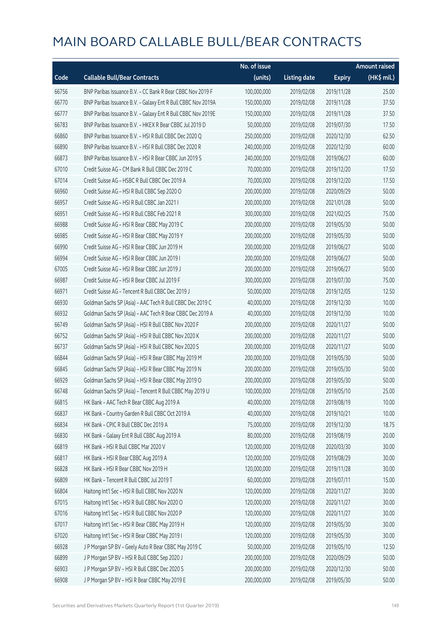|       |                                                              | No. of issue |                     |               | <b>Amount raised</b> |
|-------|--------------------------------------------------------------|--------------|---------------------|---------------|----------------------|
| Code  | <b>Callable Bull/Bear Contracts</b>                          | (units)      | <b>Listing date</b> | <b>Expiry</b> | (HK\$ mil.)          |
| 66756 | BNP Paribas Issuance B.V. - CC Bank R Bear CBBC Nov 2019 F   | 100,000,000  | 2019/02/08          | 2019/11/28    | 25.00                |
| 66770 | BNP Paribas Issuance B.V. - Galaxy Ent R Bull CBBC Nov 2019A | 150,000,000  | 2019/02/08          | 2019/11/28    | 37.50                |
| 66777 | BNP Paribas Issuance B.V. - Galaxy Ent R Bull CBBC Nov 2019E | 150,000,000  | 2019/02/08          | 2019/11/28    | 37.50                |
| 66783 | BNP Paribas Issuance B.V. - HKEX R Bear CBBC Jul 2019 D      | 50,000,000   | 2019/02/08          | 2019/07/30    | 17.50                |
| 66860 | BNP Paribas Issuance B.V. - HSI R Bull CBBC Dec 2020 Q       | 250,000,000  | 2019/02/08          | 2020/12/30    | 62.50                |
| 66890 | BNP Paribas Issuance B.V. - HSI R Bull CBBC Dec 2020 R       | 240,000,000  | 2019/02/08          | 2020/12/30    | 60.00                |
| 66873 | BNP Paribas Issuance B.V. - HSI R Bear CBBC Jun 2019 S       | 240,000,000  | 2019/02/08          | 2019/06/27    | 60.00                |
| 67010 | Credit Suisse AG - CM Bank R Bull CBBC Dec 2019 C            | 70,000,000   | 2019/02/08          | 2019/12/20    | 17.50                |
| 67014 | Credit Suisse AG - HSBC R Bull CBBC Dec 2019 A               | 70,000,000   | 2019/02/08          | 2019/12/20    | 17.50                |
| 66960 | Credit Suisse AG - HSI R Bull CBBC Sep 2020 O                | 200,000,000  | 2019/02/08          | 2020/09/29    | 50.00                |
| 66957 | Credit Suisse AG - HSI R Bull CBBC Jan 2021 I                | 200,000,000  | 2019/02/08          | 2021/01/28    | 50.00                |
| 66951 | Credit Suisse AG - HSI R Bull CBBC Feb 2021 R                | 300,000,000  | 2019/02/08          | 2021/02/25    | 75.00                |
| 66988 | Credit Suisse AG - HSI R Bear CBBC May 2019 C                | 200,000,000  | 2019/02/08          | 2019/05/30    | 50.00                |
| 66985 | Credit Suisse AG - HSI R Bear CBBC May 2019 Y                | 200,000,000  | 2019/02/08          | 2019/05/30    | 50.00                |
| 66990 | Credit Suisse AG - HSI R Bear CBBC Jun 2019 H                | 200,000,000  | 2019/02/08          | 2019/06/27    | 50.00                |
| 66994 | Credit Suisse AG - HSI R Bear CBBC Jun 2019 I                | 200,000,000  | 2019/02/08          | 2019/06/27    | 50.00                |
| 67005 | Credit Suisse AG - HSI R Bear CBBC Jun 2019 J                | 200,000,000  | 2019/02/08          | 2019/06/27    | 50.00                |
| 66987 | Credit Suisse AG - HSI R Bear CBBC Jul 2019 F                | 300,000,000  | 2019/02/08          | 2019/07/30    | 75.00                |
| 66971 | Credit Suisse AG - Tencent R Bull CBBC Dec 2019 J            | 50,000,000   | 2019/02/08          | 2019/12/05    | 12.50                |
| 66930 | Goldman Sachs SP (Asia) - AAC Tech R Bull CBBC Dec 2019 C    | 40,000,000   | 2019/02/08          | 2019/12/30    | 10.00                |
| 66932 | Goldman Sachs SP (Asia) - AAC Tech R Bear CBBC Dec 2019 A    | 40,000,000   | 2019/02/08          | 2019/12/30    | 10.00                |
| 66749 | Goldman Sachs SP (Asia) - HSI R Bull CBBC Nov 2020 F         | 200,000,000  | 2019/02/08          | 2020/11/27    | 50.00                |
| 66752 | Goldman Sachs SP (Asia) - HSI R Bull CBBC Nov 2020 K         | 200,000,000  | 2019/02/08          | 2020/11/27    | 50.00                |
| 66737 | Goldman Sachs SP (Asia) - HSI R Bull CBBC Nov 2020 S         | 200,000,000  | 2019/02/08          | 2020/11/27    | 50.00                |
| 66844 | Goldman Sachs SP (Asia) - HSI R Bear CBBC May 2019 M         | 200,000,000  | 2019/02/08          | 2019/05/30    | 50.00                |
| 66845 | Goldman Sachs SP (Asia) - HSI R Bear CBBC May 2019 N         | 200,000,000  | 2019/02/08          | 2019/05/30    | 50.00                |
| 66929 | Goldman Sachs SP (Asia) - HSI R Bear CBBC May 2019 O         | 200,000,000  | 2019/02/08          | 2019/05/30    | 50.00                |
| 66748 | Goldman Sachs SP (Asia) - Tencent R Bull CBBC May 2019 U     | 100,000,000  | 2019/02/08          | 2019/05/10    | 25.00                |
| 66815 | HK Bank - AAC Tech R Bear CBBC Aug 2019 A                    | 40,000,000   | 2019/02/08          | 2019/08/19    | 10.00                |
| 66837 | HK Bank - Country Garden R Bull CBBC Oct 2019 A              | 40,000,000   | 2019/02/08          | 2019/10/21    | 10.00                |
| 66834 | HK Bank - CPIC R Bull CBBC Dec 2019 A                        | 75,000,000   | 2019/02/08          | 2019/12/30    | 18.75                |
| 66830 | HK Bank - Galaxy Ent R Bull CBBC Aug 2019 A                  | 80,000,000   | 2019/02/08          | 2019/08/19    | 20.00                |
| 66819 | HK Bank - HSI R Bull CBBC Mar 2020 V                         | 120,000,000  | 2019/02/08          | 2020/03/30    | 30.00                |
| 66817 | HK Bank - HSI R Bear CBBC Aug 2019 A                         | 120,000,000  | 2019/02/08          | 2019/08/29    | 30.00                |
| 66828 | HK Bank - HSI R Bear CBBC Nov 2019 H                         | 120,000,000  | 2019/02/08          | 2019/11/28    | 30.00                |
| 66809 | HK Bank - Tencent R Bull CBBC Jul 2019 T                     | 60,000,000   | 2019/02/08          | 2019/07/11    | 15.00                |
| 66804 | Haitong Int'l Sec - HSI R Bull CBBC Nov 2020 N               | 120,000,000  | 2019/02/08          | 2020/11/27    | 30.00                |
| 67015 | Haitong Int'l Sec - HSI R Bull CBBC Nov 2020 O               | 120,000,000  | 2019/02/08          | 2020/11/27    | 30.00                |
| 67016 | Haitong Int'l Sec - HSI R Bull CBBC Nov 2020 P               | 120,000,000  | 2019/02/08          | 2020/11/27    | 30.00                |
| 67017 | Haitong Int'l Sec - HSI R Bear CBBC May 2019 H               | 120,000,000  | 2019/02/08          | 2019/05/30    | 30.00                |
| 67020 | Haitong Int'l Sec - HSI R Bear CBBC May 2019 I               | 120,000,000  | 2019/02/08          | 2019/05/30    | 30.00                |
| 66928 | J P Morgan SP BV - Geely Auto R Bear CBBC May 2019 C         | 50,000,000   | 2019/02/08          | 2019/05/10    | 12.50                |
| 66899 | J P Morgan SP BV - HSI R Bull CBBC Sep 2020 J                | 200,000,000  | 2019/02/08          | 2020/09/29    | 50.00                |
| 66903 | J P Morgan SP BV - HSI R Bull CBBC Dec 2020 S                | 200,000,000  | 2019/02/08          | 2020/12/30    | 50.00                |
| 66908 | J P Morgan SP BV - HSI R Bear CBBC May 2019 E                | 200,000,000  | 2019/02/08          | 2019/05/30    | 50.00                |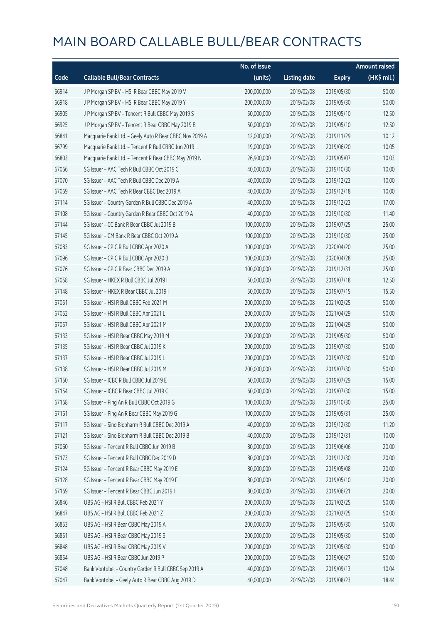|       |                                                         | No. of issue |                     |               | <b>Amount raised</b> |
|-------|---------------------------------------------------------|--------------|---------------------|---------------|----------------------|
| Code  | <b>Callable Bull/Bear Contracts</b>                     | (units)      | <b>Listing date</b> | <b>Expiry</b> | (HK\$ mil.)          |
| 66914 | J P Morgan SP BV - HSI R Bear CBBC May 2019 V           | 200,000,000  | 2019/02/08          | 2019/05/30    | 50.00                |
| 66918 | J P Morgan SP BV - HSI R Bear CBBC May 2019 Y           | 200,000,000  | 2019/02/08          | 2019/05/30    | 50.00                |
| 66905 | J P Morgan SP BV - Tencent R Bull CBBC May 2019 S       | 50,000,000   | 2019/02/08          | 2019/05/10    | 12.50                |
| 66925 | J P Morgan SP BV - Tencent R Bear CBBC May 2019 B       | 50,000,000   | 2019/02/08          | 2019/05/10    | 12.50                |
| 66841 | Macquarie Bank Ltd. - Geely Auto R Bear CBBC Nov 2019 A | 12,000,000   | 2019/02/08          | 2019/11/29    | 10.12                |
| 66799 | Macquarie Bank Ltd. - Tencent R Bull CBBC Jun 2019 L    | 19,000,000   | 2019/02/08          | 2019/06/20    | 10.05                |
| 66803 | Macquarie Bank Ltd. - Tencent R Bear CBBC May 2019 N    | 26,900,000   | 2019/02/08          | 2019/05/07    | 10.03                |
| 67066 | SG Issuer - AAC Tech R Bull CBBC Oct 2019 C             | 40,000,000   | 2019/02/08          | 2019/10/30    | 10.00                |
| 67070 | SG Issuer - AAC Tech R Bull CBBC Dec 2019 A             | 40,000,000   | 2019/02/08          | 2019/12/23    | 10.00                |
| 67069 | SG Issuer - AAC Tech R Bear CBBC Dec 2019 A             | 40,000,000   | 2019/02/08          | 2019/12/18    | 10.00                |
| 67114 | SG Issuer - Country Garden R Bull CBBC Dec 2019 A       | 40,000,000   | 2019/02/08          | 2019/12/23    | 17.00                |
| 67108 | SG Issuer - Country Garden R Bear CBBC Oct 2019 A       | 40,000,000   | 2019/02/08          | 2019/10/30    | 11.40                |
| 67144 | SG Issuer - CC Bank R Bear CBBC Jul 2019 B              | 100,000,000  | 2019/02/08          | 2019/07/25    | 25.00                |
| 67145 | SG Issuer - CM Bank R Bear CBBC Oct 2019 A              | 100,000,000  | 2019/02/08          | 2019/10/30    | 25.00                |
| 67083 | SG Issuer - CPIC R Bull CBBC Apr 2020 A                 | 100,000,000  | 2019/02/08          | 2020/04/20    | 25.00                |
| 67096 | SG Issuer - CPIC R Bull CBBC Apr 2020 B                 | 100,000,000  | 2019/02/08          | 2020/04/28    | 25.00                |
| 67076 | SG Issuer - CPIC R Bear CBBC Dec 2019 A                 | 100,000,000  | 2019/02/08          | 2019/12/31    | 25.00                |
| 67058 | SG Issuer - HKEX R Bull CBBC Jul 2019 I                 | 50,000,000   | 2019/02/08          | 2019/07/18    | 12.50                |
| 67148 | SG Issuer - HKEX R Bear CBBC Jul 2019 I                 | 50,000,000   | 2019/02/08          | 2019/07/15    | 15.50                |
| 67051 | SG Issuer - HSI R Bull CBBC Feb 2021 M                  | 200,000,000  | 2019/02/08          | 2021/02/25    | 50.00                |
| 67052 | SG Issuer - HSI R Bull CBBC Apr 2021 L                  | 200,000,000  | 2019/02/08          | 2021/04/29    | 50.00                |
| 67057 | SG Issuer - HSI R Bull CBBC Apr 2021 M                  | 200,000,000  | 2019/02/08          | 2021/04/29    | 50.00                |
| 67133 | SG Issuer - HSI R Bear CBBC May 2019 M                  | 200,000,000  | 2019/02/08          | 2019/05/30    | 50.00                |
| 67135 | SG Issuer - HSI R Bear CBBC Jul 2019 K                  | 200,000,000  | 2019/02/08          | 2019/07/30    | 50.00                |
| 67137 | SG Issuer - HSI R Bear CBBC Jul 2019 L                  | 200,000,000  | 2019/02/08          | 2019/07/30    | 50.00                |
| 67138 | SG Issuer - HSI R Bear CBBC Jul 2019 M                  | 200,000,000  | 2019/02/08          | 2019/07/30    | 50.00                |
| 67150 | SG Issuer - ICBC R Bull CBBC Jul 2019 E                 | 60,000,000   | 2019/02/08          | 2019/07/29    | 15.00                |
| 67154 | SG Issuer - ICBC R Bear CBBC Jul 2019 C                 | 60,000,000   | 2019/02/08          | 2019/07/30    | 15.00                |
| 67168 | SG Issuer - Ping An R Bull CBBC Oct 2019 G              | 100,000,000  | 2019/02/08          | 2019/10/30    | 25.00                |
| 67161 | SG Issuer - Ping An R Bear CBBC May 2019 G              | 100,000,000  | 2019/02/08          | 2019/05/31    | 25.00                |
| 67117 | SG Issuer - Sino Biopharm R Bull CBBC Dec 2019 A        | 40,000,000   | 2019/02/08          | 2019/12/30    | 11.20                |
| 67121 | SG Issuer - Sino Biopharm R Bull CBBC Dec 2019 B        | 40,000,000   | 2019/02/08          | 2019/12/31    | 10.00                |
| 67060 | SG Issuer - Tencent R Bull CBBC Jun 2019 B              | 80,000,000   | 2019/02/08          | 2019/06/06    | 20.00                |
| 67173 | SG Issuer - Tencent R Bull CBBC Dec 2019 D              | 80,000,000   | 2019/02/08          | 2019/12/30    | 20.00                |
| 67124 | SG Issuer - Tencent R Bear CBBC May 2019 E              | 80,000,000   | 2019/02/08          | 2019/05/08    | 20.00                |
| 67128 | SG Issuer - Tencent R Bear CBBC May 2019 F              | 80,000,000   | 2019/02/08          | 2019/05/10    | 20.00                |
| 67169 | SG Issuer - Tencent R Bear CBBC Jun 2019 I              | 80,000,000   | 2019/02/08          | 2019/06/21    | 20.00                |
| 66846 | UBS AG - HSI R Bull CBBC Feb 2021 Y                     | 200,000,000  | 2019/02/08          | 2021/02/25    | 50.00                |
| 66847 | UBS AG - HSI R Bull CBBC Feb 2021 Z                     | 200,000,000  | 2019/02/08          | 2021/02/25    | 50.00                |
| 66853 | UBS AG - HSI R Bear CBBC May 2019 A                     | 200,000,000  | 2019/02/08          | 2019/05/30    | 50.00                |
| 66851 | UBS AG - HSI R Bear CBBC May 2019 S                     | 200,000,000  | 2019/02/08          | 2019/05/30    | 50.00                |
| 66848 | UBS AG - HSI R Bear CBBC May 2019 V                     | 200,000,000  | 2019/02/08          | 2019/05/30    | 50.00                |
| 66854 | UBS AG - HSI R Bear CBBC Jun 2019 P                     | 200,000,000  | 2019/02/08          | 2019/06/27    | 50.00                |
| 67048 | Bank Vontobel - Country Garden R Bull CBBC Sep 2019 A   | 40,000,000   | 2019/02/08          | 2019/09/13    | 10.04                |
| 67047 | Bank Vontobel - Geely Auto R Bear CBBC Aug 2019 D       | 40,000,000   | 2019/02/08          | 2019/08/23    | 18.44                |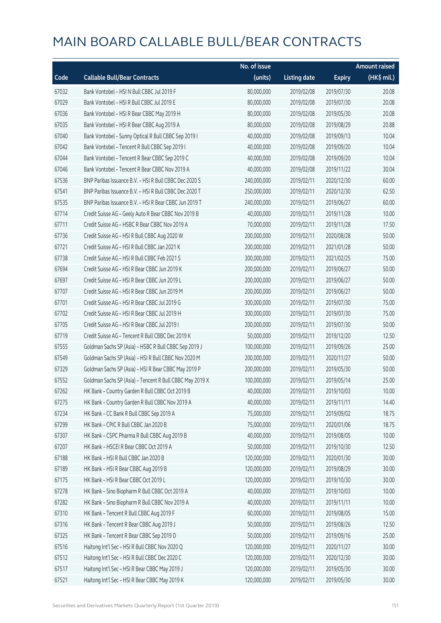|       |                                                          | No. of issue |                     |               | <b>Amount raised</b> |
|-------|----------------------------------------------------------|--------------|---------------------|---------------|----------------------|
| Code  | <b>Callable Bull/Bear Contracts</b>                      | (units)      | <b>Listing date</b> | <b>Expiry</b> | (HK\$ mil.)          |
| 67032 | Bank Vontobel - HSI N Bull CBBC Jul 2019 F               | 80,000,000   | 2019/02/08          | 2019/07/30    | 20.08                |
| 67029 | Bank Vontobel - HSI R Bull CBBC Jul 2019 E               | 80,000,000   | 2019/02/08          | 2019/07/30    | 20.08                |
| 67036 | Bank Vontobel - HSI R Bear CBBC May 2019 H               | 80,000,000   | 2019/02/08          | 2019/05/30    | 20.08                |
| 67035 | Bank Vontobel - HSI R Bear CBBC Aug 2019 A               | 80,000,000   | 2019/02/08          | 2019/08/29    | 20.88                |
| 67040 | Bank Vontobel - Sunny Optical R Bull CBBC Sep 2019 I     | 40,000,000   | 2019/02/08          | 2019/09/13    | 10.04                |
| 67042 | Bank Vontobel - Tencent R Bull CBBC Sep 2019 I           | 40,000,000   | 2019/02/08          | 2019/09/20    | 10.04                |
| 67044 | Bank Vontobel - Tencent R Bear CBBC Sep 2019 C           | 40,000,000   | 2019/02/08          | 2019/09/20    | 10.04                |
| 67046 | Bank Vontobel - Tencent R Bear CBBC Nov 2019 A           | 40,000,000   | 2019/02/08          | 2019/11/22    | 30.04                |
| 67536 | BNP Paribas Issuance B.V. - HSI R Bull CBBC Dec 2020 S   | 240,000,000  | 2019/02/11          | 2020/12/30    | 60.00                |
| 67541 | BNP Paribas Issuance B.V. - HSI R Bull CBBC Dec 2020 T   | 250,000,000  | 2019/02/11          | 2020/12/30    | 62.50                |
| 67535 | BNP Paribas Issuance B.V. - HSI R Bear CBBC Jun 2019 T   | 240,000,000  | 2019/02/11          | 2019/06/27    | 60.00                |
| 67714 | Credit Suisse AG - Geely Auto R Bear CBBC Nov 2019 B     | 40,000,000   | 2019/02/11          | 2019/11/28    | 10.00                |
| 67711 | Credit Suisse AG - HSBC R Bear CBBC Nov 2019 A           | 70,000,000   | 2019/02/11          | 2019/11/28    | 17.50                |
| 67736 | Credit Suisse AG - HSI R Bull CBBC Aug 2020 W            | 200,000,000  | 2019/02/11          | 2020/08/28    | 50.00                |
| 67721 | Credit Suisse AG - HSI R Bull CBBC Jan 2021 K            | 200,000,000  | 2019/02/11          | 2021/01/28    | 50.00                |
| 67738 | Credit Suisse AG - HSI R Bull CBBC Feb 2021 S            | 300,000,000  | 2019/02/11          | 2021/02/25    | 75.00                |
| 67694 | Credit Suisse AG - HSI R Bear CBBC Jun 2019 K            | 200,000,000  | 2019/02/11          | 2019/06/27    | 50.00                |
| 67697 | Credit Suisse AG - HSI R Bear CBBC Jun 2019 L            | 200,000,000  | 2019/02/11          | 2019/06/27    | 50.00                |
| 67707 | Credit Suisse AG - HSI R Bear CBBC Jun 2019 M            | 200,000,000  | 2019/02/11          | 2019/06/27    | 50.00                |
| 67701 | Credit Suisse AG - HSI R Bear CBBC Jul 2019 G            | 300,000,000  | 2019/02/11          | 2019/07/30    | 75.00                |
| 67702 | Credit Suisse AG - HSI R Bear CBBC Jul 2019 H            | 300,000,000  | 2019/02/11          | 2019/07/30    | 75.00                |
| 67705 | Credit Suisse AG - HSI R Bear CBBC Jul 2019 I            | 200,000,000  | 2019/02/11          | 2019/07/30    | 50.00                |
| 67719 | Credit Suisse AG - Tencent R Bull CBBC Dec 2019 K        | 50,000,000   | 2019/02/11          | 2019/12/20    | 12.50                |
| 67555 | Goldman Sachs SP (Asia) - HSBC R Bull CBBC Sep 2019 J    | 100,000,000  | 2019/02/11          | 2019/09/26    | 25.00                |
| 67549 | Goldman Sachs SP (Asia) - HSI R Bull CBBC Nov 2020 M     | 200,000,000  | 2019/02/11          | 2020/11/27    | 50.00                |
| 67329 | Goldman Sachs SP (Asia) - HSI R Bear CBBC May 2019 P     | 200,000,000  | 2019/02/11          | 2019/05/30    | 50.00                |
| 67552 | Goldman Sachs SP (Asia) - Tencent R Bull CBBC May 2019 X | 100,000,000  | 2019/02/11          | 2019/05/14    | 25.00                |
| 67262 | HK Bank - Country Garden R Bull CBBC Oct 2019 B          | 40,000,000   | 2019/02/11          | 2019/10/03    | 10.00                |
| 67275 | HK Bank - Country Garden R Bull CBBC Nov 2019 A          | 40,000,000   | 2019/02/11          | 2019/11/11    | 14.40                |
| 67234 | HK Bank - CC Bank R Bull CBBC Sep 2019 A                 | 75,000,000   | 2019/02/11          | 2019/09/02    | 18.75                |
| 67299 | HK Bank - CPIC R Bull CBBC Jan 2020 B                    | 75,000,000   | 2019/02/11          | 2020/01/06    | 18.75                |
| 67307 | HK Bank - CSPC Pharma R Bull CBBC Aug 2019 B             | 40,000,000   | 2019/02/11          | 2019/08/05    | 10.00                |
| 67207 | HK Bank - HSCEI R Bear CBBC Oct 2019 A                   | 50,000,000   | 2019/02/11          | 2019/10/30    | 12.50                |
| 67188 | HK Bank - HSI R Bull CBBC Jan 2020 B                     | 120,000,000  | 2019/02/11          | 2020/01/30    | 30.00                |
| 67189 | HK Bank - HSI R Bear CBBC Aug 2019 B                     | 120,000,000  | 2019/02/11          | 2019/08/29    | 30.00                |
| 67175 | HK Bank - HSI R Bear CBBC Oct 2019 L                     | 120,000,000  | 2019/02/11          | 2019/10/30    | 30.00                |
| 67278 | HK Bank - Sino Biopharm R Bull CBBC Oct 2019 A           | 40,000,000   | 2019/02/11          | 2019/10/03    | 10.00                |
| 67282 | HK Bank - Sino Biopharm R Bull CBBC Nov 2019 A           | 40,000,000   | 2019/02/11          | 2019/11/11    | 10.00                |
| 67310 | HK Bank - Tencent R Bull CBBC Aug 2019 F                 | 60,000,000   | 2019/02/11          | 2019/08/05    | 15.00                |
| 67316 | HK Bank - Tencent R Bear CBBC Aug 2019 J                 | 50,000,000   | 2019/02/11          | 2019/08/26    | 12.50                |
| 67325 | HK Bank - Tencent R Bear CBBC Sep 2019 D                 | 50,000,000   | 2019/02/11          | 2019/09/16    | 25.00                |
| 67516 | Haitong Int'l Sec - HSI R Bull CBBC Nov 2020 Q           | 120,000,000  | 2019/02/11          | 2020/11/27    | 30.00                |
| 67512 | Haitong Int'l Sec - HSI R Bull CBBC Dec 2020 C           | 120,000,000  | 2019/02/11          | 2020/12/30    | 30.00                |
| 67517 | Haitong Int'l Sec - HSI R Bear CBBC May 2019 J           | 120,000,000  | 2019/02/11          | 2019/05/30    | 30.00                |
| 67521 | Haitong Int'l Sec - HSI R Bear CBBC May 2019 K           | 120,000,000  | 2019/02/11          | 2019/05/30    | 30.00                |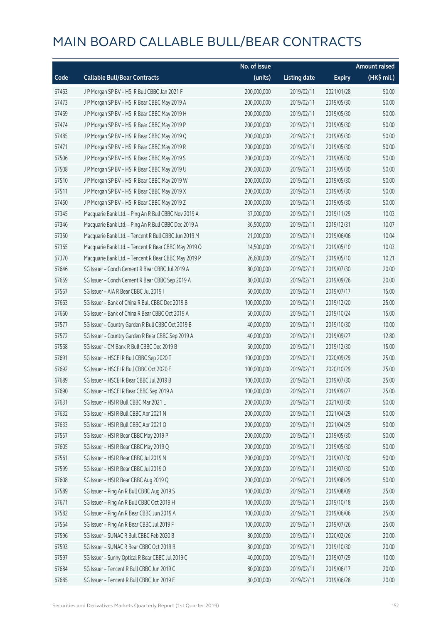|       |                                                      | No. of issue |                     |               | <b>Amount raised</b> |
|-------|------------------------------------------------------|--------------|---------------------|---------------|----------------------|
| Code  | <b>Callable Bull/Bear Contracts</b>                  | (units)      | <b>Listing date</b> | <b>Expiry</b> | (HK\$ mil.)          |
| 67463 | J P Morgan SP BV - HSI R Bull CBBC Jan 2021 F        | 200,000,000  | 2019/02/11          | 2021/01/28    | 50.00                |
| 67473 | J P Morgan SP BV - HSI R Bear CBBC May 2019 A        | 200,000,000  | 2019/02/11          | 2019/05/30    | 50.00                |
| 67469 | J P Morgan SP BV - HSI R Bear CBBC May 2019 H        | 200,000,000  | 2019/02/11          | 2019/05/30    | 50.00                |
| 67474 | J P Morgan SP BV - HSI R Bear CBBC May 2019 P        | 200,000,000  | 2019/02/11          | 2019/05/30    | 50.00                |
| 67485 | J P Morgan SP BV - HSI R Bear CBBC May 2019 Q        | 200,000,000  | 2019/02/11          | 2019/05/30    | 50.00                |
| 67471 | J P Morgan SP BV - HSI R Bear CBBC May 2019 R        | 200,000,000  | 2019/02/11          | 2019/05/30    | 50.00                |
| 67506 | J P Morgan SP BV - HSI R Bear CBBC May 2019 S        | 200,000,000  | 2019/02/11          | 2019/05/30    | 50.00                |
| 67508 | J P Morgan SP BV - HSI R Bear CBBC May 2019 U        | 200,000,000  | 2019/02/11          | 2019/05/30    | 50.00                |
| 67510 | J P Morgan SP BV - HSI R Bear CBBC May 2019 W        | 200,000,000  | 2019/02/11          | 2019/05/30    | 50.00                |
| 67511 | J P Morgan SP BV - HSI R Bear CBBC May 2019 X        | 200,000,000  | 2019/02/11          | 2019/05/30    | 50.00                |
| 67450 | J P Morgan SP BV - HSI R Bear CBBC May 2019 Z        | 200,000,000  | 2019/02/11          | 2019/05/30    | 50.00                |
| 67345 | Macquarie Bank Ltd. - Ping An R Bull CBBC Nov 2019 A | 37,000,000   | 2019/02/11          | 2019/11/29    | 10.03                |
| 67346 | Macquarie Bank Ltd. - Ping An R Bull CBBC Dec 2019 A | 36,500,000   | 2019/02/11          | 2019/12/31    | 10.07                |
| 67350 | Macquarie Bank Ltd. - Tencent R Bull CBBC Jun 2019 M | 21,000,000   | 2019/02/11          | 2019/06/06    | 10.04                |
| 67365 | Macquarie Bank Ltd. - Tencent R Bear CBBC May 2019 O | 14,500,000   | 2019/02/11          | 2019/05/10    | 10.03                |
| 67370 | Macquarie Bank Ltd. - Tencent R Bear CBBC May 2019 P | 26,600,000   | 2019/02/11          | 2019/05/10    | 10.21                |
| 67646 | SG Issuer - Conch Cement R Bear CBBC Jul 2019 A      | 80,000,000   | 2019/02/11          | 2019/07/30    | 20.00                |
| 67659 | SG Issuer - Conch Cement R Bear CBBC Sep 2019 A      | 80,000,000   | 2019/02/11          | 2019/09/26    | 20.00                |
| 67567 | SG Issuer - AIA R Bear CBBC Jul 2019 I               | 60,000,000   | 2019/02/11          | 2019/07/17    | 15.00                |
| 67663 | SG Issuer - Bank of China R Bull CBBC Dec 2019 B     | 100,000,000  | 2019/02/11          | 2019/12/20    | 25.00                |
| 67660 | SG Issuer - Bank of China R Bear CBBC Oct 2019 A     | 60,000,000   | 2019/02/11          | 2019/10/24    | 15.00                |
| 67577 | SG Issuer - Country Garden R Bull CBBC Oct 2019 B    | 40,000,000   | 2019/02/11          | 2019/10/30    | 10.00                |
| 67572 | SG Issuer - Country Garden R Bear CBBC Sep 2019 A    | 40,000,000   | 2019/02/11          | 2019/09/27    | 12.80                |
| 67568 | SG Issuer - CM Bank R Bull CBBC Dec 2019 B           | 60,000,000   | 2019/02/11          | 2019/12/30    | 15.00                |
| 67691 | SG Issuer - HSCEI R Bull CBBC Sep 2020 T             | 100,000,000  | 2019/02/11          | 2020/09/29    | 25.00                |
| 67692 | SG Issuer - HSCEI R Bull CBBC Oct 2020 E             | 100,000,000  | 2019/02/11          | 2020/10/29    | 25.00                |
| 67689 | SG Issuer - HSCEI R Bear CBBC Jul 2019 B             | 100,000,000  | 2019/02/11          | 2019/07/30    | 25.00                |
| 67690 | SG Issuer - HSCEI R Bear CBBC Sep 2019 A             | 100,000,000  | 2019/02/11          | 2019/09/27    | 25.00                |
| 67631 | SG Issuer - HSI R Bull CBBC Mar 2021 L               | 200,000,000  | 2019/02/11          | 2021/03/30    | 50.00                |
| 67632 | SG Issuer - HSI R Bull CBBC Apr 2021 N               | 200,000,000  | 2019/02/11          | 2021/04/29    | 50.00                |
| 67633 | SG Issuer - HSI R Bull CBBC Apr 2021 O               | 200,000,000  | 2019/02/11          | 2021/04/29    | 50.00                |
| 67557 | SG Issuer - HSI R Bear CBBC May 2019 P               | 200,000,000  | 2019/02/11          | 2019/05/30    | 50.00                |
| 67605 | SG Issuer - HSI R Bear CBBC May 2019 Q               | 200,000,000  | 2019/02/11          | 2019/05/30    | 50.00                |
| 67561 | SG Issuer - HSI R Bear CBBC Jul 2019 N               | 200,000,000  | 2019/02/11          | 2019/07/30    | 50.00                |
| 67599 | SG Issuer - HSI R Bear CBBC Jul 2019 O               | 200,000,000  | 2019/02/11          | 2019/07/30    | 50.00                |
| 67608 | SG Issuer - HSI R Bear CBBC Aug 2019 Q               | 200,000,000  | 2019/02/11          | 2019/08/29    | 50.00                |
| 67589 | SG Issuer - Ping An R Bull CBBC Aug 2019 S           | 100,000,000  | 2019/02/11          | 2019/08/09    | 25.00                |
| 67671 | SG Issuer - Ping An R Bull CBBC Oct 2019 H           | 100,000,000  | 2019/02/11          | 2019/10/18    | 25.00                |
| 67582 | SG Issuer - Ping An R Bear CBBC Jun 2019 A           | 100,000,000  | 2019/02/11          | 2019/06/06    | 25.00                |
| 67564 | SG Issuer - Ping An R Bear CBBC Jul 2019 F           | 100,000,000  | 2019/02/11          | 2019/07/26    | 25.00                |
| 67596 | SG Issuer - SUNAC R Bull CBBC Feb 2020 B             | 80,000,000   | 2019/02/11          | 2020/02/26    | 20.00                |
| 67593 | SG Issuer - SUNAC R Bear CBBC Oct 2019 B             | 80,000,000   | 2019/02/11          | 2019/10/30    | 20.00                |
| 67597 | SG Issuer - Sunny Optical R Bear CBBC Jul 2019 C     | 40,000,000   | 2019/02/11          | 2019/07/29    | 10.00                |
| 67684 | SG Issuer - Tencent R Bull CBBC Jun 2019 C           | 80,000,000   | 2019/02/11          | 2019/06/17    | 20.00                |
| 67685 | SG Issuer - Tencent R Bull CBBC Jun 2019 E           | 80,000,000   | 2019/02/11          | 2019/06/28    | 20.00                |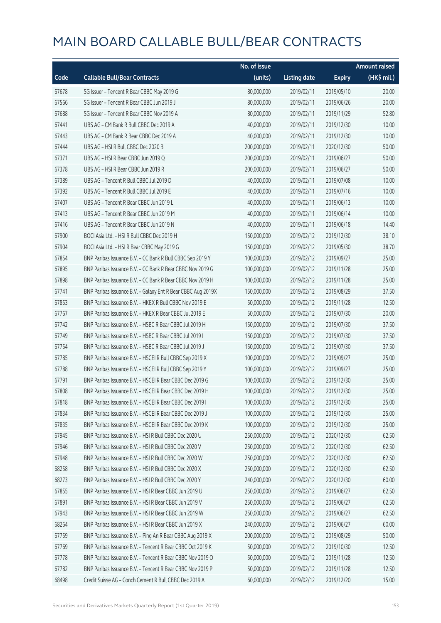|       |                                                              | No. of issue |                     |               | <b>Amount raised</b> |
|-------|--------------------------------------------------------------|--------------|---------------------|---------------|----------------------|
| Code  | <b>Callable Bull/Bear Contracts</b>                          | (units)      | <b>Listing date</b> | <b>Expiry</b> | (HK\$ mil.)          |
| 67678 | SG Issuer - Tencent R Bear CBBC May 2019 G                   | 80,000,000   | 2019/02/11          | 2019/05/10    | 20.00                |
| 67566 | SG Issuer - Tencent R Bear CBBC Jun 2019 J                   | 80,000,000   | 2019/02/11          | 2019/06/26    | 20.00                |
| 67688 | SG Issuer - Tencent R Bear CBBC Nov 2019 A                   | 80,000,000   | 2019/02/11          | 2019/11/29    | 52.80                |
| 67441 | UBS AG - CM Bank R Bull CBBC Dec 2019 A                      | 40,000,000   | 2019/02/11          | 2019/12/30    | 10.00                |
| 67443 | UBS AG - CM Bank R Bear CBBC Dec 2019 A                      | 40,000,000   | 2019/02/11          | 2019/12/30    | 10.00                |
| 67444 | UBS AG - HSI R Bull CBBC Dec 2020 B                          | 200,000,000  | 2019/02/11          | 2020/12/30    | 50.00                |
| 67371 | UBS AG - HSI R Bear CBBC Jun 2019 Q                          | 200,000,000  | 2019/02/11          | 2019/06/27    | 50.00                |
| 67378 | UBS AG - HSI R Bear CBBC Jun 2019 R                          | 200,000,000  | 2019/02/11          | 2019/06/27    | 50.00                |
| 67389 | UBS AG - Tencent R Bull CBBC Jul 2019 D                      | 40,000,000   | 2019/02/11          | 2019/07/08    | 10.00                |
| 67392 | UBS AG - Tencent R Bull CBBC Jul 2019 E                      | 40,000,000   | 2019/02/11          | 2019/07/16    | 10.00                |
| 67407 | UBS AG - Tencent R Bear CBBC Jun 2019 L                      | 40,000,000   | 2019/02/11          | 2019/06/13    | 10.00                |
| 67413 | UBS AG - Tencent R Bear CBBC Jun 2019 M                      | 40,000,000   | 2019/02/11          | 2019/06/14    | 10.00                |
| 67416 | UBS AG - Tencent R Bear CBBC Jun 2019 N                      | 40,000,000   | 2019/02/11          | 2019/06/18    | 14.40                |
| 67900 | BOCI Asia Ltd. - HSI R Bull CBBC Dec 2019 H                  | 150,000,000  | 2019/02/12          | 2019/12/30    | 38.10                |
| 67904 | BOCI Asia Ltd. - HSI R Bear CBBC May 2019 G                  | 150,000,000  | 2019/02/12          | 2019/05/30    | 38.70                |
| 67854 | BNP Paribas Issuance B.V. - CC Bank R Bull CBBC Sep 2019 Y   | 100,000,000  | 2019/02/12          | 2019/09/27    | 25.00                |
| 67895 | BNP Paribas Issuance B.V. - CC Bank R Bear CBBC Nov 2019 G   | 100,000,000  | 2019/02/12          | 2019/11/28    | 25.00                |
| 67898 | BNP Paribas Issuance B.V. - CC Bank R Bear CBBC Nov 2019 H   | 100,000,000  | 2019/02/12          | 2019/11/28    | 25.00                |
| 67741 | BNP Paribas Issuance B.V. - Galaxy Ent R Bear CBBC Aug 2019X | 150,000,000  | 2019/02/12          | 2019/08/29    | 37.50                |
| 67853 | BNP Paribas Issuance B.V. - HKEX R Bull CBBC Nov 2019 E      | 50,000,000   | 2019/02/12          | 2019/11/28    | 12.50                |
| 67767 | BNP Paribas Issuance B.V. - HKEX R Bear CBBC Jul 2019 E      | 50,000,000   | 2019/02/12          | 2019/07/30    | 20.00                |
| 67742 | BNP Paribas Issuance B.V. - HSBC R Bear CBBC Jul 2019 H      | 150,000,000  | 2019/02/12          | 2019/07/30    | 37.50                |
| 67749 | BNP Paribas Issuance B.V. - HSBC R Bear CBBC Jul 2019 I      | 150,000,000  | 2019/02/12          | 2019/07/30    | 37.50                |
| 67754 | BNP Paribas Issuance B.V. - HSBC R Bear CBBC Jul 2019 J      | 150,000,000  | 2019/02/12          | 2019/07/30    | 37.50                |
| 67785 | BNP Paribas Issuance B.V. - HSCEI R Bull CBBC Sep 2019 X     | 100,000,000  | 2019/02/12          | 2019/09/27    | 25.00                |
| 67788 | BNP Paribas Issuance B.V. - HSCEI R Bull CBBC Sep 2019 Y     | 100,000,000  | 2019/02/12          | 2019/09/27    | 25.00                |
| 67791 | BNP Paribas Issuance B.V. - HSCEI R Bear CBBC Dec 2019 G     | 100,000,000  | 2019/02/12          | 2019/12/30    | 25.00                |
| 67808 | BNP Paribas Issuance B.V. - HSCEI R Bear CBBC Dec 2019 H     | 100,000,000  | 2019/02/12          | 2019/12/30    | 25.00                |
| 67818 | BNP Paribas Issuance B.V. - HSCEI R Bear CBBC Dec 2019 I     | 100,000,000  | 2019/02/12          | 2019/12/30    | 25.00                |
| 67834 | BNP Paribas Issuance B.V. - HSCEI R Bear CBBC Dec 2019 J     | 100,000,000  | 2019/02/12          | 2019/12/30    | 25.00                |
| 67835 | BNP Paribas Issuance B.V. - HSCEI R Bear CBBC Dec 2019 K     | 100,000,000  | 2019/02/12          | 2019/12/30    | 25.00                |
| 67945 | BNP Paribas Issuance B.V. - HSI R Bull CBBC Dec 2020 U       | 250,000,000  | 2019/02/12          | 2020/12/30    | 62.50                |
| 67946 | BNP Paribas Issuance B.V. - HSI R Bull CBBC Dec 2020 V       | 250,000,000  | 2019/02/12          | 2020/12/30    | 62.50                |
| 67948 | BNP Paribas Issuance B.V. - HSI R Bull CBBC Dec 2020 W       | 250,000,000  | 2019/02/12          | 2020/12/30    | 62.50                |
| 68258 | BNP Paribas Issuance B.V. - HSI R Bull CBBC Dec 2020 X       | 250,000,000  | 2019/02/12          | 2020/12/30    | 62.50                |
| 68273 | BNP Paribas Issuance B.V. - HSI R Bull CBBC Dec 2020 Y       | 240,000,000  | 2019/02/12          | 2020/12/30    | 60.00                |
| 67855 | BNP Paribas Issuance B.V. - HSI R Bear CBBC Jun 2019 U       | 250,000,000  | 2019/02/12          | 2019/06/27    | 62.50                |
| 67891 | BNP Paribas Issuance B.V. - HSI R Bear CBBC Jun 2019 V       | 250,000,000  | 2019/02/12          | 2019/06/27    | 62.50                |
| 67943 | BNP Paribas Issuance B.V. - HSI R Bear CBBC Jun 2019 W       | 250,000,000  | 2019/02/12          | 2019/06/27    | 62.50                |
| 68264 | BNP Paribas Issuance B.V. - HSI R Bear CBBC Jun 2019 X       | 240,000,000  | 2019/02/12          | 2019/06/27    | 60.00                |
| 67759 | BNP Paribas Issuance B.V. - Ping An R Bear CBBC Aug 2019 X   | 200,000,000  | 2019/02/12          | 2019/08/29    | 50.00                |
| 67769 | BNP Paribas Issuance B.V. - Tencent R Bear CBBC Oct 2019 K   | 50,000,000   | 2019/02/12          | 2019/10/30    | 12.50                |
| 67778 | BNP Paribas Issuance B.V. - Tencent R Bear CBBC Nov 2019 O   | 50,000,000   | 2019/02/12          | 2019/11/28    | 12.50                |
| 67782 | BNP Paribas Issuance B.V. - Tencent R Bear CBBC Nov 2019 P   | 50,000,000   | 2019/02/12          | 2019/11/28    | 12.50                |
| 68498 | Credit Suisse AG - Conch Cement R Bull CBBC Dec 2019 A       | 60,000,000   | 2019/02/12          | 2019/12/20    | 15.00                |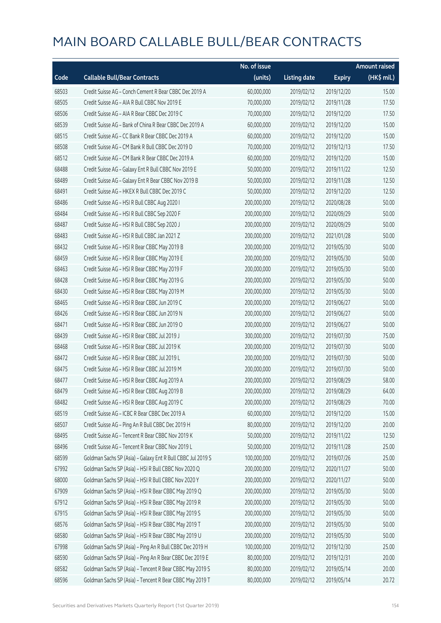|       |                                                             | No. of issue |                     |               | <b>Amount raised</b> |
|-------|-------------------------------------------------------------|--------------|---------------------|---------------|----------------------|
| Code  | <b>Callable Bull/Bear Contracts</b>                         | (units)      | <b>Listing date</b> | <b>Expiry</b> | (HK\$ mil.)          |
| 68503 | Credit Suisse AG - Conch Cement R Bear CBBC Dec 2019 A      | 60,000,000   | 2019/02/12          | 2019/12/20    | 15.00                |
| 68505 | Credit Suisse AG - AIA R Bull CBBC Nov 2019 E               | 70,000,000   | 2019/02/12          | 2019/11/28    | 17.50                |
| 68506 | Credit Suisse AG - AIA R Bear CBBC Dec 2019 C               | 70,000,000   | 2019/02/12          | 2019/12/20    | 17.50                |
| 68539 | Credit Suisse AG - Bank of China R Bear CBBC Dec 2019 A     | 60,000,000   | 2019/02/12          | 2019/12/20    | 15.00                |
| 68515 | Credit Suisse AG - CC Bank R Bear CBBC Dec 2019 A           | 60,000,000   | 2019/02/12          | 2019/12/20    | 15.00                |
| 68508 | Credit Suisse AG - CM Bank R Bull CBBC Dec 2019 D           | 70,000,000   | 2019/02/12          | 2019/12/13    | 17.50                |
| 68512 | Credit Suisse AG - CM Bank R Bear CBBC Dec 2019 A           | 60,000,000   | 2019/02/12          | 2019/12/20    | 15.00                |
| 68488 | Credit Suisse AG - Galaxy Ent R Bull CBBC Nov 2019 E        | 50,000,000   | 2019/02/12          | 2019/11/22    | 12.50                |
| 68489 | Credit Suisse AG - Galaxy Ent R Bear CBBC Nov 2019 B        | 50,000,000   | 2019/02/12          | 2019/11/28    | 12.50                |
| 68491 | Credit Suisse AG - HKEX R Bull CBBC Dec 2019 C              | 50,000,000   | 2019/02/12          | 2019/12/20    | 12.50                |
| 68486 | Credit Suisse AG - HSI R Bull CBBC Aug 2020 I               | 200,000,000  | 2019/02/12          | 2020/08/28    | 50.00                |
| 68484 | Credit Suisse AG - HSI R Bull CBBC Sep 2020 F               | 200,000,000  | 2019/02/12          | 2020/09/29    | 50.00                |
| 68487 | Credit Suisse AG - HSI R Bull CBBC Sep 2020 J               | 200,000,000  | 2019/02/12          | 2020/09/29    | 50.00                |
| 68483 | Credit Suisse AG - HSI R Bull CBBC Jan 2021 Z               | 200,000,000  | 2019/02/12          | 2021/01/28    | 50.00                |
| 68432 | Credit Suisse AG - HSI R Bear CBBC May 2019 B               | 200,000,000  | 2019/02/12          | 2019/05/30    | 50.00                |
| 68459 | Credit Suisse AG - HSI R Bear CBBC May 2019 E               | 200,000,000  | 2019/02/12          | 2019/05/30    | 50.00                |
| 68463 | Credit Suisse AG - HSI R Bear CBBC May 2019 F               | 200,000,000  | 2019/02/12          | 2019/05/30    | 50.00                |
| 68428 | Credit Suisse AG - HSI R Bear CBBC May 2019 G               | 200,000,000  | 2019/02/12          | 2019/05/30    | 50.00                |
| 68430 | Credit Suisse AG - HSI R Bear CBBC May 2019 M               | 200,000,000  | 2019/02/12          | 2019/05/30    | 50.00                |
| 68465 | Credit Suisse AG - HSI R Bear CBBC Jun 2019 C               | 200,000,000  | 2019/02/12          | 2019/06/27    | 50.00                |
| 68426 | Credit Suisse AG - HSI R Bear CBBC Jun 2019 N               | 200,000,000  | 2019/02/12          | 2019/06/27    | 50.00                |
| 68471 | Credit Suisse AG - HSI R Bear CBBC Jun 2019 O               | 200,000,000  | 2019/02/12          | 2019/06/27    | 50.00                |
| 68439 | Credit Suisse AG - HSI R Bear CBBC Jul 2019 J               | 300,000,000  | 2019/02/12          | 2019/07/30    | 75.00                |
| 68468 | Credit Suisse AG - HSI R Bear CBBC Jul 2019 K               | 200,000,000  | 2019/02/12          | 2019/07/30    | 50.00                |
| 68472 | Credit Suisse AG - HSI R Bear CBBC Jul 2019 L               | 200,000,000  | 2019/02/12          | 2019/07/30    | 50.00                |
| 68475 | Credit Suisse AG - HSI R Bear CBBC Jul 2019 M               | 200,000,000  | 2019/02/12          | 2019/07/30    | 50.00                |
| 68477 | Credit Suisse AG - HSI R Bear CBBC Aug 2019 A               | 200,000,000  | 2019/02/12          | 2019/08/29    | 58.00                |
| 68479 | Credit Suisse AG - HSI R Bear CBBC Aug 2019 B               | 200,000,000  | 2019/02/12          | 2019/08/29    | 64.00                |
| 68482 | Credit Suisse AG - HSI R Bear CBBC Aug 2019 C               | 200,000,000  | 2019/02/12          | 2019/08/29    | 70.00                |
| 68519 | Credit Suisse AG - ICBC R Bear CBBC Dec 2019 A              | 60,000,000   | 2019/02/12          | 2019/12/20    | 15.00                |
| 68507 | Credit Suisse AG - Ping An R Bull CBBC Dec 2019 H           | 80,000,000   | 2019/02/12          | 2019/12/20    | 20.00                |
| 68495 | Credit Suisse AG - Tencent R Bear CBBC Nov 2019 K           | 50,000,000   | 2019/02/12          | 2019/11/22    | 12.50                |
| 68496 | Credit Suisse AG - Tencent R Bear CBBC Nov 2019 L           | 50,000,000   | 2019/02/12          | 2019/11/28    | 25.00                |
| 68599 | Goldman Sachs SP (Asia) - Galaxy Ent R Bull CBBC Jul 2019 S | 100,000,000  | 2019/02/12          | 2019/07/26    | 25.00                |
| 67992 | Goldman Sachs SP (Asia) - HSI R Bull CBBC Nov 2020 Q        | 200,000,000  | 2019/02/12          | 2020/11/27    | 50.00                |
| 68000 | Goldman Sachs SP (Asia) - HSI R Bull CBBC Nov 2020 Y        | 200,000,000  | 2019/02/12          | 2020/11/27    | 50.00                |
| 67909 | Goldman Sachs SP (Asia) - HSI R Bear CBBC May 2019 Q        | 200,000,000  | 2019/02/12          | 2019/05/30    | 50.00                |
| 67912 | Goldman Sachs SP (Asia) - HSI R Bear CBBC May 2019 R        | 200,000,000  | 2019/02/12          | 2019/05/30    | 50.00                |
| 67915 | Goldman Sachs SP (Asia) - HSI R Bear CBBC May 2019 S        | 200,000,000  | 2019/02/12          | 2019/05/30    | 50.00                |
| 68576 | Goldman Sachs SP (Asia) - HSI R Bear CBBC May 2019 T        | 200,000,000  | 2019/02/12          | 2019/05/30    | 50.00                |
| 68580 | Goldman Sachs SP (Asia) - HSI R Bear CBBC May 2019 U        | 200,000,000  | 2019/02/12          | 2019/05/30    | 50.00                |
| 67998 | Goldman Sachs SP (Asia) - Ping An R Bull CBBC Dec 2019 H    | 100,000,000  | 2019/02/12          | 2019/12/30    | 25.00                |
| 68590 | Goldman Sachs SP (Asia) - Ping An R Bear CBBC Dec 2019 E    | 80,000,000   | 2019/02/12          | 2019/12/31    | 20.00                |
| 68582 | Goldman Sachs SP (Asia) - Tencent R Bear CBBC May 2019 S    | 80,000,000   | 2019/02/12          | 2019/05/14    | 20.00                |
| 68596 | Goldman Sachs SP (Asia) - Tencent R Bear CBBC May 2019 T    | 80,000,000   | 2019/02/12          | 2019/05/14    | 20.72                |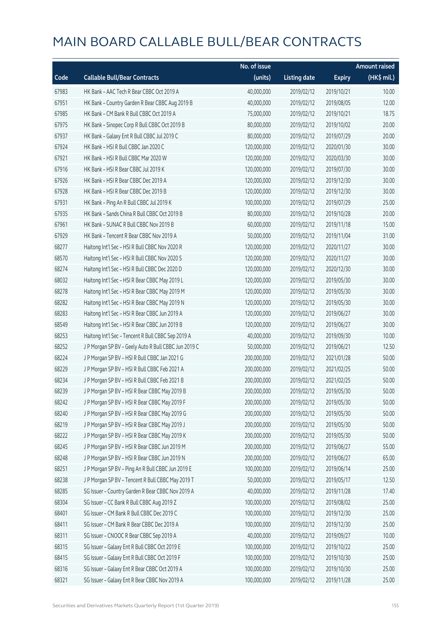|       |                                                      | No. of issue |                     |               | <b>Amount raised</b>  |
|-------|------------------------------------------------------|--------------|---------------------|---------------|-----------------------|
| Code  | <b>Callable Bull/Bear Contracts</b>                  | (units)      | <b>Listing date</b> | <b>Expiry</b> | $(HK\frac{1}{2}mil.)$ |
| 67983 | HK Bank - AAC Tech R Bear CBBC Oct 2019 A            | 40,000,000   | 2019/02/12          | 2019/10/21    | 10.00                 |
| 67951 | HK Bank - Country Garden R Bear CBBC Aug 2019 B      | 40,000,000   | 2019/02/12          | 2019/08/05    | 12.00                 |
| 67985 | HK Bank - CM Bank R Bull CBBC Oct 2019 A             | 75,000,000   | 2019/02/12          | 2019/10/21    | 18.75                 |
| 67975 | HK Bank - Sinopec Corp R Bull CBBC Oct 2019 B        | 80,000,000   | 2019/02/12          | 2019/10/02    | 20.00                 |
| 67937 | HK Bank - Galaxy Ent R Bull CBBC Jul 2019 C          | 80,000,000   | 2019/02/12          | 2019/07/29    | 20.00                 |
| 67924 | HK Bank - HSI R Bull CBBC Jan 2020 C                 | 120,000,000  | 2019/02/12          | 2020/01/30    | 30.00                 |
| 67921 | HK Bank - HSI R Bull CBBC Mar 2020 W                 | 120,000,000  | 2019/02/12          | 2020/03/30    | 30.00                 |
| 67916 | HK Bank - HSI R Bear CBBC Jul 2019 K                 | 120,000,000  | 2019/02/12          | 2019/07/30    | 30.00                 |
| 67926 | HK Bank - HSI R Bear CBBC Dec 2019 A                 | 120,000,000  | 2019/02/12          | 2019/12/30    | 30.00                 |
| 67928 | HK Bank - HSI R Bear CBBC Dec 2019 B                 | 120,000,000  | 2019/02/12          | 2019/12/30    | 30.00                 |
| 67931 | HK Bank - Ping An R Bull CBBC Jul 2019 K             | 100,000,000  | 2019/02/12          | 2019/07/29    | 25.00                 |
| 67935 | HK Bank - Sands China R Bull CBBC Oct 2019 B         | 80,000,000   | 2019/02/12          | 2019/10/28    | 20.00                 |
| 67961 | HK Bank - SUNAC R Bull CBBC Nov 2019 B               | 60,000,000   | 2019/02/12          | 2019/11/18    | 15.00                 |
| 67929 | HK Bank - Tencent R Bear CBBC Nov 2019 A             | 50,000,000   | 2019/02/12          | 2019/11/04    | 31.00                 |
| 68277 | Haitong Int'l Sec - HSI R Bull CBBC Nov 2020 R       | 120,000,000  | 2019/02/12          | 2020/11/27    | 30.00                 |
| 68570 | Haitong Int'l Sec - HSI R Bull CBBC Nov 2020 S       | 120,000,000  | 2019/02/12          | 2020/11/27    | 30.00                 |
| 68274 | Haitong Int'l Sec - HSI R Bull CBBC Dec 2020 D       | 120,000,000  | 2019/02/12          | 2020/12/30    | 30.00                 |
| 68032 | Haitong Int'l Sec - HSI R Bear CBBC May 2019 L       | 120,000,000  | 2019/02/12          | 2019/05/30    | 30.00                 |
| 68278 | Haitong Int'l Sec - HSI R Bear CBBC May 2019 M       | 120,000,000  | 2019/02/12          | 2019/05/30    | 30.00                 |
| 68282 | Haitong Int'l Sec - HSI R Bear CBBC May 2019 N       | 120,000,000  | 2019/02/12          | 2019/05/30    | 30.00                 |
| 68283 | Haitong Int'l Sec - HSI R Bear CBBC Jun 2019 A       | 120,000,000  | 2019/02/12          | 2019/06/27    | 30.00                 |
| 68549 | Haitong Int'l Sec - HSI R Bear CBBC Jun 2019 B       | 120,000,000  | 2019/02/12          | 2019/06/27    | 30.00                 |
| 68253 | Haitong Int'l Sec - Tencent R Bull CBBC Sep 2019 A   | 40,000,000   | 2019/02/12          | 2019/09/30    | 10.00                 |
| 68252 | J P Morgan SP BV - Geely Auto R Bull CBBC Jun 2019 C | 50,000,000   | 2019/02/12          | 2019/06/21    | 12.50                 |
| 68224 | J P Morgan SP BV - HSI R Bull CBBC Jan 2021 G        | 200,000,000  | 2019/02/12          | 2021/01/28    | 50.00                 |
| 68229 | J P Morgan SP BV - HSI R Bull CBBC Feb 2021 A        | 200,000,000  | 2019/02/12          | 2021/02/25    | 50.00                 |
| 68234 | J P Morgan SP BV - HSI R Bull CBBC Feb 2021 B        | 200,000,000  | 2019/02/12          | 2021/02/25    | 50.00                 |
| 68239 | J P Morgan SP BV - HSI R Bear CBBC May 2019 B        | 200,000,000  | 2019/02/12          | 2019/05/30    | 50.00                 |
| 68242 | J P Morgan SP BV - HSI R Bear CBBC May 2019 F        | 200,000,000  | 2019/02/12          | 2019/05/30    | 50.00                 |
| 68240 | J P Morgan SP BV - HSI R Bear CBBC May 2019 G        | 200,000,000  | 2019/02/12          | 2019/05/30    | 50.00                 |
| 68219 | J P Morgan SP BV - HSI R Bear CBBC May 2019 J        | 200,000,000  | 2019/02/12          | 2019/05/30    | 50.00                 |
| 68222 | J P Morgan SP BV - HSI R Bear CBBC May 2019 K        | 200,000,000  | 2019/02/12          | 2019/05/30    | 50.00                 |
| 68245 | J P Morgan SP BV - HSI R Bear CBBC Jun 2019 M        | 200,000,000  | 2019/02/12          | 2019/06/27    | 55.00                 |
| 68248 | J P Morgan SP BV - HSI R Bear CBBC Jun 2019 N        | 200,000,000  | 2019/02/12          | 2019/06/27    | 65.00                 |
| 68251 | J P Morgan SP BV - Ping An R Bull CBBC Jun 2019 E    | 100,000,000  | 2019/02/12          | 2019/06/14    | 25.00                 |
| 68238 | J P Morgan SP BV - Tencent R Bull CBBC May 2019 T    | 50,000,000   | 2019/02/12          | 2019/05/17    | 12.50                 |
| 68285 | SG Issuer - Country Garden R Bear CBBC Nov 2019 A    | 40,000,000   | 2019/02/12          | 2019/11/28    | 17.40                 |
| 68304 | SG Issuer - CC Bank R Bull CBBC Aug 2019 Z           | 100,000,000  | 2019/02/12          | 2019/08/02    | 25.00                 |
| 68401 | SG Issuer - CM Bank R Bull CBBC Dec 2019 C           | 100,000,000  | 2019/02/12          | 2019/12/30    | 25.00                 |
| 68411 | SG Issuer - CM Bank R Bear CBBC Dec 2019 A           | 100,000,000  | 2019/02/12          | 2019/12/30    | 25.00                 |
| 68311 | SG Issuer - CNOOC R Bear CBBC Sep 2019 A             | 40,000,000   | 2019/02/12          | 2019/09/27    | 10.00                 |
| 68315 | SG Issuer - Galaxy Ent R Bull CBBC Oct 2019 E        | 100,000,000  | 2019/02/12          | 2019/10/22    | 25.00                 |
| 68415 | SG Issuer - Galaxy Ent R Bull CBBC Oct 2019 F        | 100,000,000  | 2019/02/12          | 2019/10/30    | 25.00                 |
| 68316 | SG Issuer - Galaxy Ent R Bear CBBC Oct 2019 A        | 100,000,000  | 2019/02/12          | 2019/10/30    | 25.00                 |
| 68321 | SG Issuer - Galaxy Ent R Bear CBBC Nov 2019 A        | 100,000,000  | 2019/02/12          | 2019/11/28    | 25.00                 |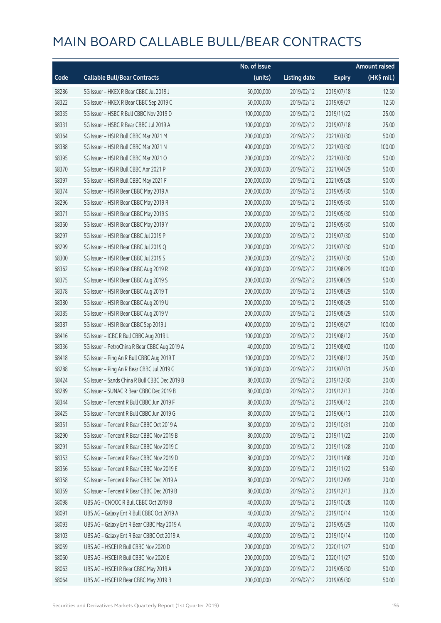|       |                                                | No. of issue |                     |               | <b>Amount raised</b> |
|-------|------------------------------------------------|--------------|---------------------|---------------|----------------------|
| Code  | <b>Callable Bull/Bear Contracts</b>            | (units)      | <b>Listing date</b> | <b>Expiry</b> | (HK\$ mil.)          |
| 68286 | SG Issuer - HKEX R Bear CBBC Jul 2019 J        | 50,000,000   | 2019/02/12          | 2019/07/18    | 12.50                |
| 68322 | SG Issuer - HKEX R Bear CBBC Sep 2019 C        | 50,000,000   | 2019/02/12          | 2019/09/27    | 12.50                |
| 68335 | SG Issuer - HSBC R Bull CBBC Nov 2019 D        | 100,000,000  | 2019/02/12          | 2019/11/22    | 25.00                |
| 68331 | SG Issuer - HSBC R Bear CBBC Jul 2019 A        | 100,000,000  | 2019/02/12          | 2019/07/18    | 25.00                |
| 68364 | SG Issuer - HSI R Bull CBBC Mar 2021 M         | 200,000,000  | 2019/02/12          | 2021/03/30    | 50.00                |
| 68388 | SG Issuer - HSI R Bull CBBC Mar 2021 N         | 400,000,000  | 2019/02/12          | 2021/03/30    | 100.00               |
| 68395 | SG Issuer - HSI R Bull CBBC Mar 2021 O         | 200,000,000  | 2019/02/12          | 2021/03/30    | 50.00                |
| 68370 | SG Issuer - HSI R Bull CBBC Apr 2021 P         | 200,000,000  | 2019/02/12          | 2021/04/29    | 50.00                |
| 68397 | SG Issuer - HSI R Bull CBBC May 2021 F         | 200,000,000  | 2019/02/12          | 2021/05/28    | 50.00                |
| 68374 | SG Issuer - HSI R Bear CBBC May 2019 A         | 200,000,000  | 2019/02/12          | 2019/05/30    | 50.00                |
| 68296 | SG Issuer - HSI R Bear CBBC May 2019 R         | 200,000,000  | 2019/02/12          | 2019/05/30    | 50.00                |
| 68371 | SG Issuer - HSI R Bear CBBC May 2019 S         | 200,000,000  | 2019/02/12          | 2019/05/30    | 50.00                |
| 68360 | SG Issuer - HSI R Bear CBBC May 2019 Y         | 200,000,000  | 2019/02/12          | 2019/05/30    | 50.00                |
| 68297 | SG Issuer - HSI R Bear CBBC Jul 2019 P         | 200,000,000  | 2019/02/12          | 2019/07/30    | 50.00                |
| 68299 | SG Issuer - HSI R Bear CBBC Jul 2019 Q         | 200,000,000  | 2019/02/12          | 2019/07/30    | 50.00                |
| 68300 | SG Issuer - HSI R Bear CBBC Jul 2019 S         | 200,000,000  | 2019/02/12          | 2019/07/30    | 50.00                |
| 68362 | SG Issuer - HSI R Bear CBBC Aug 2019 R         | 400,000,000  | 2019/02/12          | 2019/08/29    | 100.00               |
| 68375 | SG Issuer - HSI R Bear CBBC Aug 2019 S         | 200,000,000  | 2019/02/12          | 2019/08/29    | 50.00                |
| 68378 | SG Issuer - HSI R Bear CBBC Aug 2019 T         | 200,000,000  | 2019/02/12          | 2019/08/29    | 50.00                |
| 68380 | SG Issuer - HSI R Bear CBBC Aug 2019 U         | 200,000,000  | 2019/02/12          | 2019/08/29    | 50.00                |
| 68385 | SG Issuer - HSI R Bear CBBC Aug 2019 V         | 200,000,000  | 2019/02/12          | 2019/08/29    | 50.00                |
| 68387 | SG Issuer - HSI R Bear CBBC Sep 2019 J         | 400,000,000  | 2019/02/12          | 2019/09/27    | 100.00               |
| 68416 | SG Issuer - ICBC R Bull CBBC Aug 2019 L        | 100,000,000  | 2019/02/12          | 2019/08/12    | 25.00                |
| 68336 | SG Issuer - PetroChina R Bear CBBC Aug 2019 A  | 40,000,000   | 2019/02/12          | 2019/08/02    | 10.00                |
| 68418 | SG Issuer - Ping An R Bull CBBC Aug 2019 T     | 100,000,000  | 2019/02/12          | 2019/08/12    | 25.00                |
| 68288 | SG Issuer - Ping An R Bear CBBC Jul 2019 G     | 100,000,000  | 2019/02/12          | 2019/07/31    | 25.00                |
| 68424 | SG Issuer - Sands China R Bull CBBC Dec 2019 B | 80,000,000   | 2019/02/12          | 2019/12/30    | 20.00                |
| 68289 | SG Issuer – SUNAC R Bear CBBC Dec 2019 B       | 80,000,000   | 2019/02/12          | 2019/12/13    | 20.00                |
| 68344 | SG Issuer - Tencent R Bull CBBC Jun 2019 F     | 80,000,000   | 2019/02/12          | 2019/06/12    | 20.00                |
| 68425 | SG Issuer - Tencent R Bull CBBC Jun 2019 G     | 80,000,000   | 2019/02/12          | 2019/06/13    | 20.00                |
| 68351 | SG Issuer - Tencent R Bear CBBC Oct 2019 A     | 80,000,000   | 2019/02/12          | 2019/10/31    | 20.00                |
| 68290 | SG Issuer - Tencent R Bear CBBC Nov 2019 B     | 80,000,000   | 2019/02/12          | 2019/11/22    | 20.00                |
| 68291 | SG Issuer - Tencent R Bear CBBC Nov 2019 C     | 80,000,000   | 2019/02/12          | 2019/11/28    | 20.00                |
| 68353 | SG Issuer - Tencent R Bear CBBC Nov 2019 D     | 80,000,000   | 2019/02/12          | 2019/11/08    | 20.00                |
| 68356 | SG Issuer - Tencent R Bear CBBC Nov 2019 E     | 80,000,000   | 2019/02/12          | 2019/11/22    | 53.60                |
| 68358 | SG Issuer - Tencent R Bear CBBC Dec 2019 A     | 80,000,000   | 2019/02/12          | 2019/12/09    | 20.00                |
| 68359 | SG Issuer - Tencent R Bear CBBC Dec 2019 B     | 80,000,000   | 2019/02/12          | 2019/12/13    | 33.20                |
| 68098 | UBS AG - CNOOC R Bull CBBC Oct 2019 B          | 40,000,000   | 2019/02/12          | 2019/10/28    | 10.00                |
| 68091 | UBS AG - Galaxy Ent R Bull CBBC Oct 2019 A     | 40,000,000   | 2019/02/12          | 2019/10/14    | 10.00                |
| 68093 | UBS AG - Galaxy Ent R Bear CBBC May 2019 A     | 40,000,000   | 2019/02/12          | 2019/05/29    | 10.00                |
| 68103 | UBS AG - Galaxy Ent R Bear CBBC Oct 2019 A     | 40,000,000   | 2019/02/12          | 2019/10/14    | 10.00                |
| 68059 | UBS AG - HSCEI R Bull CBBC Nov 2020 D          | 200,000,000  | 2019/02/12          | 2020/11/27    | 50.00                |
| 68060 | UBS AG - HSCEI R Bull CBBC Nov 2020 E          | 200,000,000  | 2019/02/12          | 2020/11/27    | 50.00                |
| 68063 | UBS AG - HSCEI R Bear CBBC May 2019 A          | 200,000,000  | 2019/02/12          | 2019/05/30    | 50.00                |
| 68064 | UBS AG - HSCEI R Bear CBBC May 2019 B          | 200,000,000  | 2019/02/12          | 2019/05/30    | 50.00                |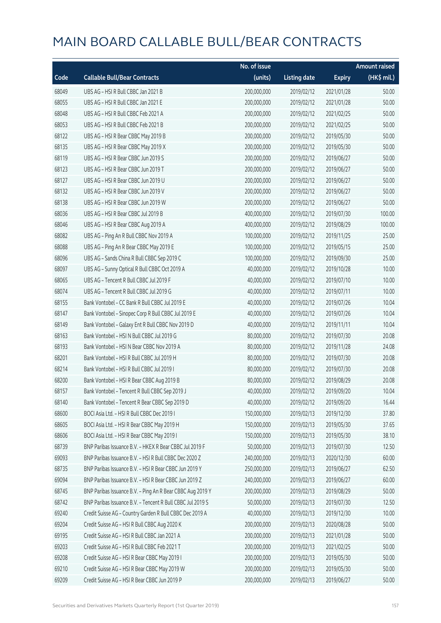|       |                                                            | No. of issue |                     |               | <b>Amount raised</b> |
|-------|------------------------------------------------------------|--------------|---------------------|---------------|----------------------|
| Code  | <b>Callable Bull/Bear Contracts</b>                        | (units)      | <b>Listing date</b> | <b>Expiry</b> | (HK\$ mil.)          |
| 68049 | UBS AG - HSI R Bull CBBC Jan 2021 B                        | 200,000,000  | 2019/02/12          | 2021/01/28    | 50.00                |
| 68055 | UBS AG - HSI R Bull CBBC Jan 2021 E                        | 200,000,000  | 2019/02/12          | 2021/01/28    | 50.00                |
| 68048 | UBS AG - HSI R Bull CBBC Feb 2021 A                        | 200,000,000  | 2019/02/12          | 2021/02/25    | 50.00                |
| 68053 | UBS AG - HSI R Bull CBBC Feb 2021 B                        | 200,000,000  | 2019/02/12          | 2021/02/25    | 50.00                |
| 68122 | UBS AG - HSI R Bear CBBC May 2019 B                        | 200,000,000  | 2019/02/12          | 2019/05/30    | 50.00                |
| 68135 | UBS AG - HSI R Bear CBBC May 2019 X                        | 200,000,000  | 2019/02/12          | 2019/05/30    | 50.00                |
| 68119 | UBS AG - HSI R Bear CBBC Jun 2019 S                        | 200,000,000  | 2019/02/12          | 2019/06/27    | 50.00                |
| 68123 | UBS AG - HSI R Bear CBBC Jun 2019 T                        | 200,000,000  | 2019/02/12          | 2019/06/27    | 50.00                |
| 68127 | UBS AG - HSI R Bear CBBC Jun 2019 U                        | 200,000,000  | 2019/02/12          | 2019/06/27    | 50.00                |
| 68132 | UBS AG - HSI R Bear CBBC Jun 2019 V                        | 200,000,000  | 2019/02/12          | 2019/06/27    | 50.00                |
| 68138 | UBS AG - HSI R Bear CBBC Jun 2019 W                        | 200,000,000  | 2019/02/12          | 2019/06/27    | 50.00                |
| 68036 | UBS AG - HSI R Bear CBBC Jul 2019 B                        | 400,000,000  | 2019/02/12          | 2019/07/30    | 100.00               |
| 68046 | UBS AG - HSI R Bear CBBC Aug 2019 A                        | 400,000,000  | 2019/02/12          | 2019/08/29    | 100.00               |
| 68082 | UBS AG - Ping An R Bull CBBC Nov 2019 A                    | 100,000,000  | 2019/02/12          | 2019/11/25    | 25.00                |
| 68088 | UBS AG - Ping An R Bear CBBC May 2019 E                    | 100,000,000  | 2019/02/12          | 2019/05/15    | 25.00                |
| 68096 | UBS AG - Sands China R Bull CBBC Sep 2019 C                | 100,000,000  | 2019/02/12          | 2019/09/30    | 25.00                |
| 68097 | UBS AG - Sunny Optical R Bull CBBC Oct 2019 A              | 40,000,000   | 2019/02/12          | 2019/10/28    | 10.00                |
| 68065 | UBS AG - Tencent R Bull CBBC Jul 2019 F                    | 40,000,000   | 2019/02/12          | 2019/07/10    | 10.00                |
| 68074 | UBS AG - Tencent R Bull CBBC Jul 2019 G                    | 40,000,000   | 2019/02/12          | 2019/07/11    | 10.00                |
| 68155 | Bank Vontobel - CC Bank R Bull CBBC Jul 2019 E             | 40,000,000   | 2019/02/12          | 2019/07/26    | 10.04                |
| 68147 | Bank Vontobel - Sinopec Corp R Bull CBBC Jul 2019 E        | 40,000,000   | 2019/02/12          | 2019/07/26    | 10.04                |
| 68149 | Bank Vontobel - Galaxy Ent R Bull CBBC Nov 2019 D          | 40,000,000   | 2019/02/12          | 2019/11/11    | 10.04                |
| 68163 | Bank Vontobel - HSI N Bull CBBC Jul 2019 G                 | 80,000,000   | 2019/02/12          | 2019/07/30    | 20.08                |
| 68193 | Bank Vontobel - HSI N Bear CBBC Nov 2019 A                 | 80,000,000   | 2019/02/12          | 2019/11/28    | 24.08                |
| 68201 | Bank Vontobel - HSI R Bull CBBC Jul 2019 H                 | 80,000,000   | 2019/02/12          | 2019/07/30    | 20.08                |
| 68214 | Bank Vontobel - HSI R Bull CBBC Jul 2019 I                 | 80,000,000   | 2019/02/12          | 2019/07/30    | 20.08                |
| 68200 | Bank Vontobel - HSI R Bear CBBC Aug 2019 B                 | 80,000,000   | 2019/02/12          | 2019/08/29    | 20.08                |
| 68157 | Bank Vontobel - Tencent R Bull CBBC Sep 2019 J             | 40,000,000   | 2019/02/12          | 2019/09/20    | 10.04                |
| 68140 | Bank Vontobel - Tencent R Bear CBBC Sep 2019 D             | 40,000,000   | 2019/02/12          | 2019/09/20    | 16.44                |
| 68600 | BOCI Asia Ltd. - HSI R Bull CBBC Dec 2019 I                | 150,000,000  | 2019/02/13          | 2019/12/30    | 37.80                |
| 68605 | BOCI Asia Ltd. - HSI R Bear CBBC May 2019 H                | 150,000,000  | 2019/02/13          | 2019/05/30    | 37.65                |
| 68606 | BOCI Asia Ltd. - HSI R Bear CBBC May 2019 I                | 150,000,000  | 2019/02/13          | 2019/05/30    | 38.10                |
| 68739 | BNP Paribas Issuance B.V. - HKEX R Bear CBBC Jul 2019 F    | 50,000,000   | 2019/02/13          | 2019/07/30    | 12.50                |
| 69093 | BNP Paribas Issuance B.V. - HSI R Bull CBBC Dec 2020 Z     | 240,000,000  | 2019/02/13          | 2020/12/30    | 60.00                |
| 68735 | BNP Paribas Issuance B.V. - HSI R Bear CBBC Jun 2019 Y     | 250,000,000  | 2019/02/13          | 2019/06/27    | 62.50                |
| 69094 | BNP Paribas Issuance B.V. - HSI R Bear CBBC Jun 2019 Z     | 240,000,000  | 2019/02/13          | 2019/06/27    | 60.00                |
| 68745 | BNP Paribas Issuance B.V. - Ping An R Bear CBBC Aug 2019 Y | 200,000,000  | 2019/02/13          | 2019/08/29    | 50.00                |
| 68742 | BNP Paribas Issuance B.V. - Tencent R Bull CBBC Jul 2019 S | 50,000,000   | 2019/02/13          | 2019/07/30    | 12.50                |
| 69240 | Credit Suisse AG - Country Garden R Bull CBBC Dec 2019 A   | 40,000,000   | 2019/02/13          | 2019/12/30    | 10.00                |
| 69204 | Credit Suisse AG - HSI R Bull CBBC Aug 2020 K              | 200,000,000  | 2019/02/13          | 2020/08/28    | 50.00                |
| 69195 | Credit Suisse AG - HSI R Bull CBBC Jan 2021 A              | 200,000,000  | 2019/02/13          | 2021/01/28    | 50.00                |
| 69203 | Credit Suisse AG - HSI R Bull CBBC Feb 2021 T              | 200,000,000  | 2019/02/13          | 2021/02/25    | 50.00                |
| 69208 | Credit Suisse AG - HSI R Bear CBBC May 2019 I              | 200,000,000  | 2019/02/13          | 2019/05/30    | 50.00                |
| 69210 | Credit Suisse AG - HSI R Bear CBBC May 2019 W              | 200,000,000  | 2019/02/13          | 2019/05/30    | 50.00                |
| 69209 | Credit Suisse AG - HSI R Bear CBBC Jun 2019 P              | 200,000,000  | 2019/02/13          | 2019/06/27    | 50.00                |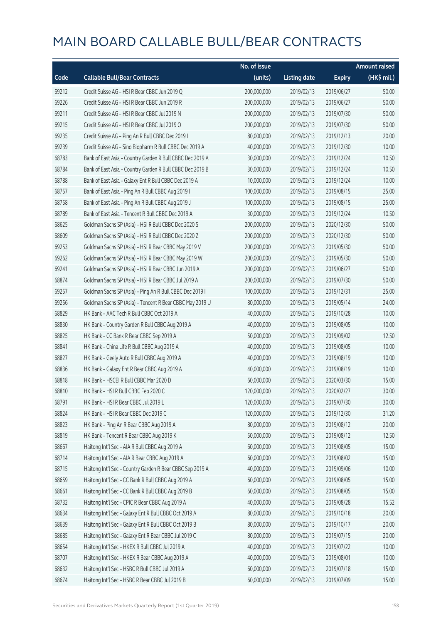|       |                                                           | No. of issue |                     |               | <b>Amount raised</b> |
|-------|-----------------------------------------------------------|--------------|---------------------|---------------|----------------------|
| Code  | <b>Callable Bull/Bear Contracts</b>                       | (units)      | <b>Listing date</b> | <b>Expiry</b> | (HK\$ mil.)          |
| 69212 | Credit Suisse AG - HSI R Bear CBBC Jun 2019 Q             | 200,000,000  | 2019/02/13          | 2019/06/27    | 50.00                |
| 69226 | Credit Suisse AG - HSI R Bear CBBC Jun 2019 R             | 200,000,000  | 2019/02/13          | 2019/06/27    | 50.00                |
| 69211 | Credit Suisse AG - HSI R Bear CBBC Jul 2019 N             | 200,000,000  | 2019/02/13          | 2019/07/30    | 50.00                |
| 69215 | Credit Suisse AG - HSI R Bear CBBC Jul 2019 O             | 200,000,000  | 2019/02/13          | 2019/07/30    | 50.00                |
| 69235 | Credit Suisse AG - Ping An R Bull CBBC Dec 2019 I         | 80,000,000   | 2019/02/13          | 2019/12/13    | 20.00                |
| 69239 | Credit Suisse AG - Sino Biopharm R Bull CBBC Dec 2019 A   | 40,000,000   | 2019/02/13          | 2019/12/30    | 10.00                |
| 68783 | Bank of East Asia - Country Garden R Bull CBBC Dec 2019 A | 30,000,000   | 2019/02/13          | 2019/12/24    | 10.50                |
| 68784 | Bank of East Asia - Country Garden R Bull CBBC Dec 2019 B | 30,000,000   | 2019/02/13          | 2019/12/24    | 10.50                |
| 68788 | Bank of East Asia - Galaxy Ent R Bull CBBC Dec 2019 A     | 10,000,000   | 2019/02/13          | 2019/12/24    | 10.00                |
| 68757 | Bank of East Asia - Ping An R Bull CBBC Aug 2019 I        | 100,000,000  | 2019/02/13          | 2019/08/15    | 25.00                |
| 68758 | Bank of East Asia - Ping An R Bull CBBC Aug 2019 J        | 100,000,000  | 2019/02/13          | 2019/08/15    | 25.00                |
| 68789 | Bank of East Asia - Tencent R Bull CBBC Dec 2019 A        | 30,000,000   | 2019/02/13          | 2019/12/24    | 10.50                |
| 68625 | Goldman Sachs SP (Asia) - HSI R Bull CBBC Dec 2020 S      | 200,000,000  | 2019/02/13          | 2020/12/30    | 50.00                |
| 68609 | Goldman Sachs SP (Asia) - HSI R Bull CBBC Dec 2020 Z      | 200,000,000  | 2019/02/13          | 2020/12/30    | 50.00                |
| 69253 | Goldman Sachs SP (Asia) - HSI R Bear CBBC May 2019 V      | 200,000,000  | 2019/02/13          | 2019/05/30    | 50.00                |
| 69262 | Goldman Sachs SP (Asia) - HSI R Bear CBBC May 2019 W      | 200,000,000  | 2019/02/13          | 2019/05/30    | 50.00                |
| 69241 | Goldman Sachs SP (Asia) - HSI R Bear CBBC Jun 2019 A      | 200,000,000  | 2019/02/13          | 2019/06/27    | 50.00                |
| 68874 | Goldman Sachs SP (Asia) - HSI R Bear CBBC Jul 2019 A      | 200,000,000  | 2019/02/13          | 2019/07/30    | 50.00                |
| 69257 | Goldman Sachs SP (Asia) - Ping An R Bull CBBC Dec 2019 I  | 100,000,000  | 2019/02/13          | 2019/12/31    | 25.00                |
| 69256 | Goldman Sachs SP (Asia) - Tencent R Bear CBBC May 2019 U  | 80,000,000   | 2019/02/13          | 2019/05/14    | 24.00                |
| 68829 | HK Bank - AAC Tech R Bull CBBC Oct 2019 A                 | 40,000,000   | 2019/02/13          | 2019/10/28    | 10.00                |
| 68830 | HK Bank - Country Garden R Bull CBBC Aug 2019 A           | 40,000,000   | 2019/02/13          | 2019/08/05    | 10.00                |
| 68825 | HK Bank - CC Bank R Bear CBBC Sep 2019 A                  | 50,000,000   | 2019/02/13          | 2019/09/02    | 12.50                |
| 68841 | HK Bank - China Life R Bull CBBC Aug 2019 A               | 40,000,000   | 2019/02/13          | 2019/08/05    | 10.00                |
| 68827 | HK Bank - Geely Auto R Bull CBBC Aug 2019 A               | 40,000,000   | 2019/02/13          | 2019/08/19    | 10.00                |
| 68836 | HK Bank - Galaxy Ent R Bear CBBC Aug 2019 A               | 40,000,000   | 2019/02/13          | 2019/08/19    | 10.00                |
| 68818 | HK Bank - HSCEI R Bull CBBC Mar 2020 D                    | 60,000,000   | 2019/02/13          | 2020/03/30    | 15.00                |
| 68810 | HK Bank - HSI R Bull CBBC Feb 2020 C                      | 120,000,000  | 2019/02/13          | 2020/02/27    | 30.00                |
| 68791 | HK Bank - HSI R Bear CBBC Jul 2019 L                      | 120,000,000  | 2019/02/13          | 2019/07/30    | 30.00                |
| 68824 | HK Bank - HSI R Bear CBBC Dec 2019 C                      | 120,000,000  | 2019/02/13          | 2019/12/30    | 31.20                |
| 68823 | HK Bank - Ping An R Bear CBBC Aug 2019 A                  | 80,000,000   | 2019/02/13          | 2019/08/12    | 20.00                |
| 68819 | HK Bank - Tencent R Bear CBBC Aug 2019 K                  | 50,000,000   | 2019/02/13          | 2019/08/12    | 12.50                |
| 68667 | Haitong Int'l Sec - AIA R Bull CBBC Aug 2019 A            | 60,000,000   | 2019/02/13          | 2019/08/05    | 15.00                |
| 68714 | Haitong Int'l Sec - AIA R Bear CBBC Aug 2019 A            | 60,000,000   | 2019/02/13          | 2019/08/02    | 15.00                |
| 68715 | Haitong Int'l Sec - Country Garden R Bear CBBC Sep 2019 A | 40,000,000   | 2019/02/13          | 2019/09/06    | 10.00                |
| 68659 | Haitong Int'l Sec - CC Bank R Bull CBBC Aug 2019 A        | 60,000,000   | 2019/02/13          | 2019/08/05    | 15.00                |
| 68661 | Haitong Int'l Sec - CC Bank R Bull CBBC Aug 2019 B        | 60,000,000   | 2019/02/13          | 2019/08/05    | 15.00                |
| 68732 | Haitong Int'l Sec - CPIC R Bear CBBC Aug 2019 A           | 40,000,000   | 2019/02/13          | 2019/08/28    | 15.52                |
| 68634 | Haitong Int'l Sec - Galaxy Ent R Bull CBBC Oct 2019 A     | 80,000,000   | 2019/02/13          | 2019/10/18    | 20.00                |
| 68639 | Haitong Int'l Sec - Galaxy Ent R Bull CBBC Oct 2019 B     | 80,000,000   | 2019/02/13          | 2019/10/17    | 20.00                |
| 68685 | Haitong Int'l Sec - Galaxy Ent R Bear CBBC Jul 2019 C     | 80,000,000   | 2019/02/13          | 2019/07/15    | 20.00                |
| 68654 | Haitong Int'l Sec - HKEX R Bull CBBC Jul 2019 A           | 40,000,000   | 2019/02/13          | 2019/07/22    | 10.00                |
| 68707 | Haitong Int'l Sec - HKEX R Bear CBBC Aug 2019 A           | 40,000,000   | 2019/02/13          | 2019/08/01    | 10.00                |
| 68632 | Haitong Int'l Sec - HSBC R Bull CBBC Jul 2019 A           | 60,000,000   | 2019/02/13          | 2019/07/18    | 15.00                |
| 68674 | Haitong Int'l Sec - HSBC R Bear CBBC Jul 2019 B           | 60,000,000   | 2019/02/13          | 2019/07/09    | 15.00                |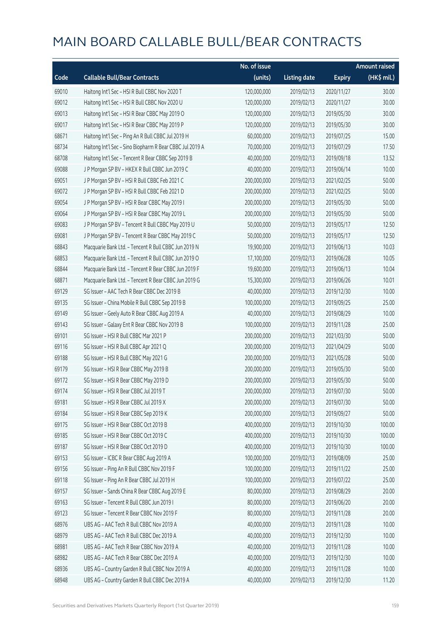|       |                                                          | No. of issue |                     |               | <b>Amount raised</b> |
|-------|----------------------------------------------------------|--------------|---------------------|---------------|----------------------|
| Code  | <b>Callable Bull/Bear Contracts</b>                      | (units)      | <b>Listing date</b> | <b>Expiry</b> | (HK\$ mil.)          |
| 69010 | Haitong Int'l Sec - HSI R Bull CBBC Nov 2020 T           | 120,000,000  | 2019/02/13          | 2020/11/27    | 30.00                |
| 69012 | Haitong Int'l Sec - HSI R Bull CBBC Nov 2020 U           | 120,000,000  | 2019/02/13          | 2020/11/27    | 30.00                |
| 69013 | Haitong Int'l Sec - HSI R Bear CBBC May 2019 O           | 120,000,000  | 2019/02/13          | 2019/05/30    | 30.00                |
| 69017 | Haitong Int'l Sec - HSI R Bear CBBC May 2019 P           | 120,000,000  | 2019/02/13          | 2019/05/30    | 30.00                |
| 68671 | Haitong Int'l Sec - Ping An R Bull CBBC Jul 2019 H       | 60,000,000   | 2019/02/13          | 2019/07/25    | 15.00                |
| 68734 | Haitong Int'l Sec - Sino Biopharm R Bear CBBC Jul 2019 A | 70,000,000   | 2019/02/13          | 2019/07/29    | 17.50                |
| 68708 | Haitong Int'l Sec - Tencent R Bear CBBC Sep 2019 B       | 40,000,000   | 2019/02/13          | 2019/09/18    | 13.52                |
| 69088 | J P Morgan SP BV - HKEX R Bull CBBC Jun 2019 C           | 40,000,000   | 2019/02/13          | 2019/06/14    | 10.00                |
| 69051 | J P Morgan SP BV - HSI R Bull CBBC Feb 2021 C            | 200,000,000  | 2019/02/13          | 2021/02/25    | 50.00                |
| 69072 | J P Morgan SP BV - HSI R Bull CBBC Feb 2021 D            | 200,000,000  | 2019/02/13          | 2021/02/25    | 50.00                |
| 69054 | J P Morgan SP BV - HSI R Bear CBBC May 2019 I            | 200,000,000  | 2019/02/13          | 2019/05/30    | 50.00                |
| 69064 | J P Morgan SP BV - HSI R Bear CBBC May 2019 L            | 200,000,000  | 2019/02/13          | 2019/05/30    | 50.00                |
| 69083 | J P Morgan SP BV - Tencent R Bull CBBC May 2019 U        | 50,000,000   | 2019/02/13          | 2019/05/17    | 12.50                |
| 69081 | J P Morgan SP BV - Tencent R Bear CBBC May 2019 C        | 50,000,000   | 2019/02/13          | 2019/05/17    | 12.50                |
| 68843 | Macquarie Bank Ltd. - Tencent R Bull CBBC Jun 2019 N     | 19,900,000   | 2019/02/13          | 2019/06/13    | 10.03                |
| 68853 | Macquarie Bank Ltd. - Tencent R Bull CBBC Jun 2019 O     | 17,100,000   | 2019/02/13          | 2019/06/28    | 10.05                |
| 68844 | Macquarie Bank Ltd. - Tencent R Bear CBBC Jun 2019 F     | 19,600,000   | 2019/02/13          | 2019/06/13    | 10.04                |
| 68871 | Macquarie Bank Ltd. - Tencent R Bear CBBC Jun 2019 G     | 15,300,000   | 2019/02/13          | 2019/06/26    | 10.01                |
| 69129 | SG Issuer - AAC Tech R Bear CBBC Dec 2019 B              | 40,000,000   | 2019/02/13          | 2019/12/30    | 10.00                |
| 69135 | SG Issuer - China Mobile R Bull CBBC Sep 2019 B          | 100,000,000  | 2019/02/13          | 2019/09/25    | 25.00                |
| 69149 | SG Issuer - Geely Auto R Bear CBBC Aug 2019 A            | 40,000,000   | 2019/02/13          | 2019/08/29    | 10.00                |
| 69143 | SG Issuer - Galaxy Ent R Bear CBBC Nov 2019 B            | 100,000,000  | 2019/02/13          | 2019/11/28    | 25.00                |
| 69101 | SG Issuer - HSI R Bull CBBC Mar 2021 P                   | 200,000,000  | 2019/02/13          | 2021/03/30    | 50.00                |
| 69116 | SG Issuer - HSI R Bull CBBC Apr 2021 Q                   | 200,000,000  | 2019/02/13          | 2021/04/29    | 50.00                |
| 69188 | SG Issuer - HSI R Bull CBBC May 2021 G                   | 200,000,000  | 2019/02/13          | 2021/05/28    | 50.00                |
| 69179 | SG Issuer - HSI R Bear CBBC May 2019 B                   | 200,000,000  | 2019/02/13          | 2019/05/30    | 50.00                |
| 69172 | SG Issuer - HSI R Bear CBBC May 2019 D                   | 200,000,000  | 2019/02/13          | 2019/05/30    | 50.00                |
| 69174 | SG Issuer - HSI R Bear CBBC Jul 2019 T                   | 200,000,000  | 2019/02/13          | 2019/07/30    | 50.00                |
| 69181 | SG Issuer - HSI R Bear CBBC Jul 2019 X                   | 200,000,000  | 2019/02/13          | 2019/07/30    | 50.00                |
| 69184 | SG Issuer - HSI R Bear CBBC Sep 2019 K                   | 200,000,000  | 2019/02/13          | 2019/09/27    | 50.00                |
| 69175 | SG Issuer - HSI R Bear CBBC Oct 2019 B                   | 400,000,000  | 2019/02/13          | 2019/10/30    | 100.00               |
| 69185 | SG Issuer - HSI R Bear CBBC Oct 2019 C                   | 400,000,000  | 2019/02/13          | 2019/10/30    | 100.00               |
| 69187 | SG Issuer - HSI R Bear CBBC Oct 2019 D                   | 400,000,000  | 2019/02/13          | 2019/10/30    | 100.00               |
| 69153 | SG Issuer - ICBC R Bear CBBC Aug 2019 A                  | 100,000,000  | 2019/02/13          | 2019/08/09    | 25.00                |
| 69156 | SG Issuer - Ping An R Bull CBBC Nov 2019 F               | 100,000,000  | 2019/02/13          | 2019/11/22    | 25.00                |
| 69118 | SG Issuer - Ping An R Bear CBBC Jul 2019 H               | 100,000,000  | 2019/02/13          | 2019/07/22    | 25.00                |
| 69157 | SG Issuer - Sands China R Bear CBBC Aug 2019 E           | 80,000,000   | 2019/02/13          | 2019/08/29    | 20.00                |
| 69163 | SG Issuer - Tencent R Bull CBBC Jun 2019 I               | 80,000,000   | 2019/02/13          | 2019/06/20    | 20.00                |
| 69123 | SG Issuer - Tencent R Bear CBBC Nov 2019 F               | 80,000,000   | 2019/02/13          | 2019/11/28    | 20.00                |
| 68976 | UBS AG - AAC Tech R Bull CBBC Nov 2019 A                 | 40,000,000   | 2019/02/13          | 2019/11/28    | 10.00                |
| 68979 | UBS AG - AAC Tech R Bull CBBC Dec 2019 A                 | 40,000,000   | 2019/02/13          | 2019/12/30    | 10.00                |
| 68981 | UBS AG - AAC Tech R Bear CBBC Nov 2019 A                 | 40,000,000   | 2019/02/13          | 2019/11/28    | 10.00                |
| 68982 | UBS AG - AAC Tech R Bear CBBC Dec 2019 A                 | 40,000,000   | 2019/02/13          | 2019/12/30    | 10.00                |
| 68936 | UBS AG - Country Garden R Bull CBBC Nov 2019 A           | 40,000,000   | 2019/02/13          | 2019/11/28    | 10.00                |
| 68948 | UBS AG - Country Garden R Bull CBBC Dec 2019 A           | 40,000,000   | 2019/02/13          | 2019/12/30    | 11.20                |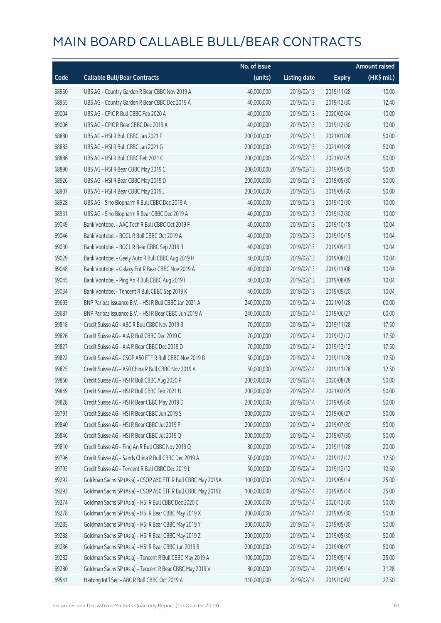|       |                                                              | No. of issue |                     |               | <b>Amount raised</b> |
|-------|--------------------------------------------------------------|--------------|---------------------|---------------|----------------------|
| Code  | <b>Callable Bull/Bear Contracts</b>                          | (units)      | <b>Listing date</b> | <b>Expiry</b> | $(HK\$ mil.)         |
| 68950 | UBS AG - Country Garden R Bear CBBC Nov 2019 A               | 40,000,000   | 2019/02/13          | 2019/11/28    | 10.00                |
| 68955 | UBS AG - Country Garden R Bear CBBC Dec 2019 A               | 40,000,000   | 2019/02/13          | 2019/12/30    | 12.40                |
| 69004 | UBS AG - CPIC R Bull CBBC Feb 2020 A                         | 40,000,000   | 2019/02/13          | 2020/02/24    | 10.00                |
| 69006 | UBS AG - CPIC R Bear CBBC Dec 2019 A                         | 40,000,000   | 2019/02/13          | 2019/12/30    | 10.00                |
| 68880 | UBS AG - HSI R Bull CBBC Jan 2021 F                          | 200,000,000  | 2019/02/13          | 2021/01/28    | 50.00                |
| 68883 | UBS AG - HSI R Bull CBBC Jan 2021 G                          | 200,000,000  | 2019/02/13          | 2021/01/28    | 50.00                |
| 68886 | UBS AG - HSI R Bull CBBC Feb 2021 C                          | 200,000,000  | 2019/02/13          | 2021/02/25    | 50.00                |
| 68890 | UBS AG - HSI R Bear CBBC May 2019 C                          | 200,000,000  | 2019/02/13          | 2019/05/30    | 50.00                |
| 68926 | UBS AG - HSI R Bear CBBC May 2019 D                          | 200,000,000  | 2019/02/13          | 2019/05/30    | 50.00                |
| 68907 | UBS AG - HSI R Bear CBBC May 2019 J                          | 200,000,000  | 2019/02/13          | 2019/05/30    | 50.00                |
| 68928 | UBS AG - Sino Biopharm R Bull CBBC Dec 2019 A                | 40,000,000   | 2019/02/13          | 2019/12/30    | 10.00                |
| 68931 | UBS AG - Sino Biopharm R Bear CBBC Dec 2019 A                | 40,000,000   | 2019/02/13          | 2019/12/30    | 10.00                |
| 69049 | Bank Vontobel - AAC Tech R Bull CBBC Oct 2019 F              | 40,000,000   | 2019/02/13          | 2019/10/18    | 10.04                |
| 69046 | Bank Vontobel - BOCL R Bull CBBC Oct 2019 A                  | 40,000,000   | 2019/02/13          | 2019/10/15    | 10.04                |
| 69030 | Bank Vontobel - BOCL R Bear CBBC Sep 2019 B                  | 40,000,000   | 2019/02/13          | 2019/09/13    | 10.04                |
| 69029 | Bank Vontobel - Geely Auto R Bull CBBC Aug 2019 H            | 40,000,000   | 2019/02/13          | 2019/08/23    | 10.04                |
| 69048 | Bank Vontobel - Galaxy Ent R Bear CBBC Nov 2019 A            | 40,000,000   | 2019/02/13          | 2019/11/08    | 10.04                |
| 69045 | Bank Vontobel - Ping An R Bull CBBC Aug 2019 I               | 40,000,000   | 2019/02/13          | 2019/08/09    | 10.04                |
| 69034 | Bank Vontobel - Tencent R Bull CBBC Sep 2019 K               | 40,000,000   | 2019/02/13          | 2019/09/20    | 10.04                |
| 69693 | BNP Paribas Issuance B.V. - HSI R Bull CBBC Jan 2021 A       | 240,000,000  | 2019/02/14          | 2021/01/28    | 60.00                |
| 69687 | BNP Paribas Issuance B.V. - HSI R Bear CBBC Jun 2019 A       | 240,000,000  | 2019/02/14          | 2019/06/27    | 60.00                |
| 69818 | Credit Suisse AG - ABC R Bull CBBC Nov 2019 B                | 70,000,000   | 2019/02/14          | 2019/11/28    | 17.50                |
| 69826 | Credit Suisse AG - AIA R Bull CBBC Dec 2019 C                | 70,000,000   | 2019/02/14          | 2019/12/12    | 17.50                |
| 69827 | Credit Suisse AG - AIA R Bear CBBC Dec 2019 D                | 70,000,000   | 2019/02/14          | 2019/12/12    | 17.50                |
| 69822 | Credit Suisse AG - CSOP A50 ETF R Bull CBBC Nov 2019 B       | 50,000,000   | 2019/02/14          | 2019/11/28    | 12.50                |
| 69825 | Credit Suisse AG - A50 China R Bull CBBC Nov 2019 A          | 50,000,000   | 2019/02/14          | 2019/11/28    | 12.50                |
| 69860 | Credit Suisse AG - HSI R Bull CBBC Aug 2020 P                | 200,000,000  | 2019/02/14          | 2020/08/28    | 50.00                |
| 69849 | Credit Suisse AG - HSI R Bull CBBC Feb 2021 U                | 200,000,000  | 2019/02/14          | 2021/02/25    | 50.00                |
| 69828 | Credit Suisse AG - HSI R Bear CBBC May 2019 D                | 200,000,000  | 2019/02/14          | 2019/05/30    | 50.00                |
| 69791 | Credit Suisse AG - HSI R Bear CBBC Jun 2019 S                | 200,000,000  | 2019/02/14          | 2019/06/27    | 50.00                |
| 69840 | Credit Suisse AG - HSI R Bear CBBC Jul 2019 P                | 200,000,000  | 2019/02/14          | 2019/07/30    | 50.00                |
| 69846 | Credit Suisse AG - HSI R Bear CBBC Jul 2019 Q                | 200,000,000  | 2019/02/14          | 2019/07/30    | 50.00                |
| 69810 | Credit Suisse AG - Ping An R Bull CBBC Nov 2019 Q            | 80,000,000   | 2019/02/14          | 2019/11/28    | 20.00                |
| 69796 | Credit Suisse AG - Sands China R Bull CBBC Dec 2019 A        | 50,000,000   | 2019/02/14          | 2019/12/12    | 12.50                |
| 69793 | Credit Suisse AG - Tencent R Bull CBBC Dec 2019 L            | 50,000,000   | 2019/02/14          | 2019/12/12    | 12.50                |
| 69292 | Goldman Sachs SP (Asia) - CSOP A50 ETF R Bull CBBC May 2019A | 100,000,000  | 2019/02/14          | 2019/05/14    | 25.00                |
| 69293 | Goldman Sachs SP (Asia) - CSOP A50 ETF R Bull CBBC May 2019B | 100,000,000  | 2019/02/14          | 2019/05/14    | 25.00                |
| 69274 | Goldman Sachs SP (Asia) - HSI R Bull CBBC Dec 2020 C         | 200,000,000  | 2019/02/14          | 2020/12/30    | 50.00                |
| 69278 | Goldman Sachs SP (Asia) - HSI R Bear CBBC May 2019 X         | 200,000,000  | 2019/02/14          | 2019/05/30    | 50.00                |
| 69285 | Goldman Sachs SP (Asia) - HSI R Bear CBBC May 2019 Y         | 200,000,000  | 2019/02/14          | 2019/05/30    | 50.00                |
| 69288 | Goldman Sachs SP (Asia) - HSI R Bear CBBC May 2019 Z         | 200,000,000  | 2019/02/14          | 2019/05/30    | 50.00                |
| 69286 | Goldman Sachs SP (Asia) - HSI R Bear CBBC Jun 2019 B         | 200,000,000  | 2019/02/14          | 2019/06/27    | 50.00                |
| 69282 | Goldman Sachs SP (Asia) - Tencent R Bull CBBC May 2019 A     | 100,000,000  | 2019/02/14          | 2019/05/14    | 25.00                |
| 69280 | Goldman Sachs SP (Asia) - Tencent R Bear CBBC May 2019 V     | 80,000,000   | 2019/02/14          | 2019/05/14    | 31.28                |
| 69541 | Haitong Int'l Sec - ABC R Bull CBBC Oct 2019 A               | 110,000,000  | 2019/02/14          | 2019/10/02    | 27.50                |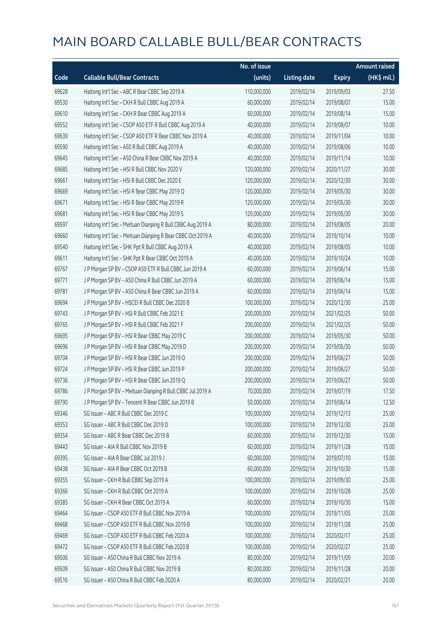|       |                                                             | No. of issue |                     |               | <b>Amount raised</b> |
|-------|-------------------------------------------------------------|--------------|---------------------|---------------|----------------------|
| Code  | <b>Callable Bull/Bear Contracts</b>                         | (units)      | <b>Listing date</b> | <b>Expiry</b> | (HK\$ mil.)          |
| 69628 | Haitong Int'l Sec - ABC R Bear CBBC Sep 2019 A              | 110,000,000  | 2019/02/14          | 2019/09/03    | 27.50                |
| 69530 | Haitong Int'l Sec - CKH R Bull CBBC Aug 2019 A              | 60,000,000   | 2019/02/14          | 2019/08/07    | 15.00                |
| 69610 | Haitong Int'l Sec - CKH R Bear CBBC Aug 2019 A              | 60,000,000   | 2019/02/14          | 2019/08/14    | 15.00                |
| 69552 | Haitong Int'l Sec - CSOP A50 ETF R Bull CBBC Aug 2019 A     | 40,000,000   | 2019/02/14          | 2019/08/07    | 10.00                |
| 69639 | Haitong Int'l Sec - CSOP A50 ETF R Bear CBBC Nov 2019 A     | 40,000,000   | 2019/02/14          | 2019/11/04    | 10.00                |
| 69590 | Haitong Int'l Sec - A50 R Bull CBBC Aug 2019 A              | 40,000,000   | 2019/02/14          | 2019/08/06    | 10.00                |
| 69645 | Haitong Int'l Sec - A50 China R Bear CBBC Nov 2019 A        | 40,000,000   | 2019/02/14          | 2019/11/14    | 10.00                |
| 69685 | Haitong Int'l Sec - HSI R Bull CBBC Nov 2020 V              | 120,000,000  | 2019/02/14          | 2020/11/27    | 30.00                |
| 69661 | Haitong Int'l Sec - HSI R Bull CBBC Dec 2020 E              | 120,000,000  | 2019/02/14          | 2020/12/30    | 30.00                |
| 69669 | Haitong Int'l Sec - HSI R Bear CBBC May 2019 Q              | 120,000,000  | 2019/02/14          | 2019/05/30    | 30.00                |
| 69671 | Haitong Int'l Sec - HSI R Bear CBBC May 2019 R              | 120,000,000  | 2019/02/14          | 2019/05/30    | 30.00                |
| 69681 | Haitong Int'l Sec - HSI R Bear CBBC May 2019 S              | 120,000,000  | 2019/02/14          | 2019/05/30    | 30.00                |
| 69597 | Haitong Int'l Sec - Meituan Dianping R Bull CBBC Aug 2019 A | 80,000,000   | 2019/02/14          | 2019/08/05    | 20.00                |
| 69660 | Haitong Int'l Sec - Meituan Dianping R Bear CBBC Oct 2019 A | 40,000,000   | 2019/02/14          | 2019/10/14    | 10.00                |
| 69540 | Haitong Int'l Sec - SHK Ppt R Bull CBBC Aug 2019 A          | 40,000,000   | 2019/02/14          | 2019/08/05    | 10.00                |
| 69611 | Haitong Int'l Sec - SHK Ppt R Bear CBBC Oct 2019 A          | 40,000,000   | 2019/02/14          | 2019/10/24    | 10.00                |
| 69767 | JP Morgan SP BV - CSOP A50 ETF R Bull CBBC Jun 2019 A       | 60,000,000   | 2019/02/14          | 2019/06/14    | 15.00                |
| 69771 | J P Morgan SP BV - A50 China R Bull CBBC Jun 2019 A         | 60,000,000   | 2019/02/14          | 2019/06/14    | 15.00                |
| 69781 | J P Morgan SP BV - A50 China R Bear CBBC Jun 2019 A         | 60,000,000   | 2019/02/14          | 2019/06/14    | 15.00                |
| 69694 | J P Morgan SP BV - HSCEI R Bull CBBC Dec 2020 B             | 100,000,000  | 2019/02/14          | 2020/12/30    | 25.00                |
| 69743 | J P Morgan SP BV - HSI R Bull CBBC Feb 2021 E               | 200,000,000  | 2019/02/14          | 2021/02/25    | 50.00                |
| 69765 | J P Morgan SP BV - HSI R Bull CBBC Feb 2021 F               | 200,000,000  | 2019/02/14          | 2021/02/25    | 50.00                |
| 69695 | J P Morgan SP BV - HSI R Bear CBBC May 2019 C               | 200,000,000  | 2019/02/14          | 2019/05/30    | 50.00                |
| 69696 | J P Morgan SP BV - HSI R Bear CBBC May 2019 D               | 200,000,000  | 2019/02/14          | 2019/05/30    | 50.00                |
| 69704 | J P Morgan SP BV - HSI R Bear CBBC Jun 2019 O               | 200,000,000  | 2019/02/14          | 2019/06/27    | 50.00                |
| 69724 | J P Morgan SP BV - HSI R Bear CBBC Jun 2019 P               | 200,000,000  | 2019/02/14          | 2019/06/27    | 50.00                |
| 69736 | J P Morgan SP BV - HSI R Bear CBBC Jun 2019 Q               | 200,000,000  | 2019/02/14          | 2019/06/27    | 50.00                |
| 69786 | J P Morgan SP BV - Meituan Dianping R Bull CBBC Jul 2019 A  | 70,000,000   | 2019/02/14          | 2019/07/19    | 17.50                |
| 69790 | J P Morgan SP BV - Tencent R Bear CBBC Jun 2019 B           | 50,000,000   | 2019/02/14          | 2019/06/14    | 12.50                |
| 69346 | SG Issuer - ABC R Bull CBBC Dec 2019 C                      | 100,000,000  | 2019/02/14          | 2019/12/13    | 25.00                |
| 69353 | SG Issuer - ABC R Bull CBBC Dec 2019 D                      | 100,000,000  | 2019/02/14          | 2019/12/30    | 25.00                |
| 69354 | SG Issuer - ABC R Bear CBBC Dec 2019 B                      | 60,000,000   | 2019/02/14          | 2019/12/30    | 15.00                |
| 69443 | SG Issuer - AIA R Bull CBBC Nov 2019 B                      | 60,000,000   | 2019/02/14          | 2019/11/28    | 15.00                |
| 69395 | SG Issuer - AIA R Bear CBBC Jul 2019 J                      | 60,000,000   | 2019/02/14          | 2019/07/10    | 15.00                |
| 69438 | SG Issuer - AIA R Bear CBBC Oct 2019 B                      | 60,000,000   | 2019/02/14          | 2019/10/30    | 15.00                |
| 69355 | SG Issuer - CKH R Bull CBBC Sep 2019 A                      | 100,000,000  | 2019/02/14          | 2019/09/30    | 25.00                |
| 69366 | SG Issuer - CKH R Bull CBBC Oct 2019 A                      | 100,000,000  | 2019/02/14          | 2019/10/28    | 25.00                |
| 69385 | SG Issuer - CKH R Bear CBBC Oct 2019 A                      | 60,000,000   | 2019/02/14          | 2019/10/30    | 15.00                |
| 69464 | SG Issuer - CSOP A50 ETF R Bull CBBC Nov 2019 A             | 100,000,000  | 2019/02/14          | 2019/11/05    | 25.00                |
| 69468 | SG Issuer - CSOP A50 ETF R Bull CBBC Nov 2019 B             | 100,000,000  | 2019/02/14          | 2019/11/28    | 25.00                |
| 69469 | SG Issuer - CSOP A50 ETF R Bull CBBC Feb 2020 A             | 100,000,000  | 2019/02/14          | 2020/02/17    | 25.00                |
| 69472 | SG Issuer - CSOP A50 ETF R Bull CBBC Feb 2020 B             | 100,000,000  | 2019/02/14          | 2020/02/27    | 25.00                |
| 69506 | SG Issuer - A50 China R Bull CBBC Nov 2019 A                | 80,000,000   | 2019/02/14          | 2019/11/05    | 20.00                |
| 69509 | SG Issuer - A50 China R Bull CBBC Nov 2019 B                | 80,000,000   | 2019/02/14          | 2019/11/28    | 20.00                |
| 69516 | SG Issuer - A50 China R Bull CBBC Feb 2020 A                | 80,000,000   | 2019/02/14          | 2020/02/21    | 20.00                |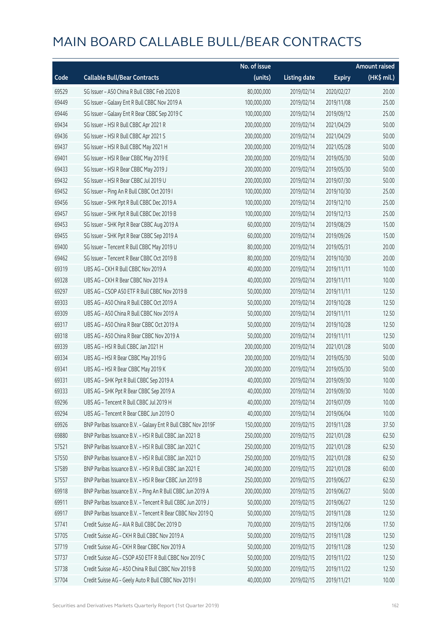|       |                                                              | No. of issue |                     |               | <b>Amount raised</b> |
|-------|--------------------------------------------------------------|--------------|---------------------|---------------|----------------------|
| Code  | <b>Callable Bull/Bear Contracts</b>                          | (units)      | <b>Listing date</b> | <b>Expiry</b> | (HK\$ mil.)          |
| 69529 | SG Issuer - A50 China R Bull CBBC Feb 2020 B                 | 80,000,000   | 2019/02/14          | 2020/02/27    | 20.00                |
| 69449 | SG Issuer - Galaxy Ent R Bull CBBC Nov 2019 A                | 100,000,000  | 2019/02/14          | 2019/11/08    | 25.00                |
| 69446 | SG Issuer - Galaxy Ent R Bear CBBC Sep 2019 C                | 100,000,000  | 2019/02/14          | 2019/09/12    | 25.00                |
| 69434 | SG Issuer - HSI R Bull CBBC Apr 2021 R                       | 200,000,000  | 2019/02/14          | 2021/04/29    | 50.00                |
| 69436 | SG Issuer - HSI R Bull CBBC Apr 2021 S                       | 200,000,000  | 2019/02/14          | 2021/04/29    | 50.00                |
| 69437 | SG Issuer - HSI R Bull CBBC May 2021 H                       | 200,000,000  | 2019/02/14          | 2021/05/28    | 50.00                |
| 69401 | SG Issuer - HSI R Bear CBBC May 2019 E                       | 200,000,000  | 2019/02/14          | 2019/05/30    | 50.00                |
| 69433 | SG Issuer - HSI R Bear CBBC May 2019 J                       | 200,000,000  | 2019/02/14          | 2019/05/30    | 50.00                |
| 69432 | SG Issuer - HSI R Bear CBBC Jul 2019 U                       | 200,000,000  | 2019/02/14          | 2019/07/30    | 50.00                |
| 69452 | SG Issuer - Ping An R Bull CBBC Oct 2019 I                   | 100,000,000  | 2019/02/14          | 2019/10/30    | 25.00                |
| 69456 | SG Issuer - SHK Ppt R Bull CBBC Dec 2019 A                   | 100,000,000  | 2019/02/14          | 2019/12/10    | 25.00                |
| 69457 | SG Issuer - SHK Ppt R Bull CBBC Dec 2019 B                   | 100,000,000  | 2019/02/14          | 2019/12/13    | 25.00                |
| 69453 | SG Issuer - SHK Ppt R Bear CBBC Aug 2019 A                   | 60,000,000   | 2019/02/14          | 2019/08/29    | 15.00                |
| 69455 | SG Issuer - SHK Ppt R Bear CBBC Sep 2019 A                   | 60,000,000   | 2019/02/14          | 2019/09/26    | 15.00                |
| 69400 | SG Issuer - Tencent R Bull CBBC May 2019 U                   | 80,000,000   | 2019/02/14          | 2019/05/31    | 20.00                |
| 69462 | SG Issuer - Tencent R Bear CBBC Oct 2019 B                   | 80,000,000   | 2019/02/14          | 2019/10/30    | 20.00                |
| 69319 | UBS AG - CKH R Bull CBBC Nov 2019 A                          | 40,000,000   | 2019/02/14          | 2019/11/11    | 10.00                |
| 69328 | UBS AG - CKH R Bear CBBC Nov 2019 A                          | 40,000,000   | 2019/02/14          | 2019/11/11    | 10.00                |
| 69297 | UBS AG - CSOP A50 ETF R Bull CBBC Nov 2019 B                 | 50,000,000   | 2019/02/14          | 2019/11/11    | 12.50                |
| 69303 | UBS AG - A50 China R Bull CBBC Oct 2019 A                    | 50,000,000   | 2019/02/14          | 2019/10/28    | 12.50                |
| 69309 | UBS AG - A50 China R Bull CBBC Nov 2019 A                    | 50,000,000   | 2019/02/14          | 2019/11/11    | 12.50                |
| 69317 | UBS AG - A50 China R Bear CBBC Oct 2019 A                    | 50,000,000   | 2019/02/14          | 2019/10/28    | 12.50                |
| 69318 | UBS AG - A50 China R Bear CBBC Nov 2019 A                    | 50,000,000   | 2019/02/14          | 2019/11/11    | 12.50                |
| 69339 | UBS AG - HSI R Bull CBBC Jan 2021 H                          | 200,000,000  | 2019/02/14          | 2021/01/28    | 50.00                |
| 69334 | UBS AG - HSI R Bear CBBC May 2019 G                          | 200,000,000  | 2019/02/14          | 2019/05/30    | 50.00                |
| 69341 | UBS AG - HSI R Bear CBBC May 2019 K                          | 200,000,000  | 2019/02/14          | 2019/05/30    | 50.00                |
| 69331 | UBS AG - SHK Ppt R Bull CBBC Sep 2019 A                      | 40,000,000   | 2019/02/14          | 2019/09/30    | 10.00                |
| 69333 | UBS AG - SHK Ppt R Bear CBBC Sep 2019 A                      | 40,000,000   | 2019/02/14          | 2019/09/30    | 10.00                |
| 69296 | UBS AG - Tencent R Bull CBBC Jul 2019 H                      | 40,000,000   | 2019/02/14          | 2019/07/09    | 10.00                |
| 69294 | UBS AG - Tencent R Bear CBBC Jun 2019 O                      | 40,000,000   | 2019/02/14          | 2019/06/04    | 10.00                |
| 69926 | BNP Paribas Issuance B.V. - Galaxy Ent R Bull CBBC Nov 2019F | 150,000,000  | 2019/02/15          | 2019/11/28    | 37.50                |
| 69880 | BNP Paribas Issuance B.V. - HSI R Bull CBBC Jan 2021 B       | 250,000,000  | 2019/02/15          | 2021/01/28    | 62.50                |
| 57521 | BNP Paribas Issuance B.V. - HSI R Bull CBBC Jan 2021 C       | 250,000,000  | 2019/02/15          | 2021/01/28    | 62.50                |
| 57550 | BNP Paribas Issuance B.V. - HSI R Bull CBBC Jan 2021 D       | 250,000,000  | 2019/02/15          | 2021/01/28    | 62.50                |
| 57589 | BNP Paribas Issuance B.V. - HSI R Bull CBBC Jan 2021 E       | 240,000,000  | 2019/02/15          | 2021/01/28    | 60.00                |
| 57557 | BNP Paribas Issuance B.V. - HSI R Bear CBBC Jun 2019 B       | 250,000,000  | 2019/02/15          | 2019/06/27    | 62.50                |
| 69918 | BNP Paribas Issuance B.V. - Ping An R Bull CBBC Jun 2019 A   | 200,000,000  | 2019/02/15          | 2019/06/27    | 50.00                |
| 69911 | BNP Paribas Issuance B.V. - Tencent R Bull CBBC Jun 2019 J   | 50,000,000   | 2019/02/15          | 2019/06/27    | 12.50                |
| 69917 | BNP Paribas Issuance B.V. - Tencent R Bear CBBC Nov 2019 Q   | 50,000,000   | 2019/02/15          | 2019/11/28    | 12.50                |
| 57741 | Credit Suisse AG - AIA R Bull CBBC Dec 2019 D                | 70,000,000   | 2019/02/15          | 2019/12/06    | 17.50                |
| 57705 | Credit Suisse AG - CKH R Bull CBBC Nov 2019 A                | 50,000,000   | 2019/02/15          | 2019/11/28    | 12.50                |
| 57719 | Credit Suisse AG - CKH R Bear CBBC Nov 2019 A                | 50,000,000   | 2019/02/15          | 2019/11/28    | 12.50                |
| 57737 | Credit Suisse AG - CSOP A50 ETF R Bull CBBC Nov 2019 C       | 50,000,000   | 2019/02/15          | 2019/11/22    | 12.50                |
| 57738 | Credit Suisse AG - A50 China R Bull CBBC Nov 2019 B          | 50,000,000   | 2019/02/15          | 2019/11/22    | 12.50                |
| 57704 | Credit Suisse AG - Geely Auto R Bull CBBC Nov 2019 I         | 40,000,000   | 2019/02/15          | 2019/11/21    | 10.00                |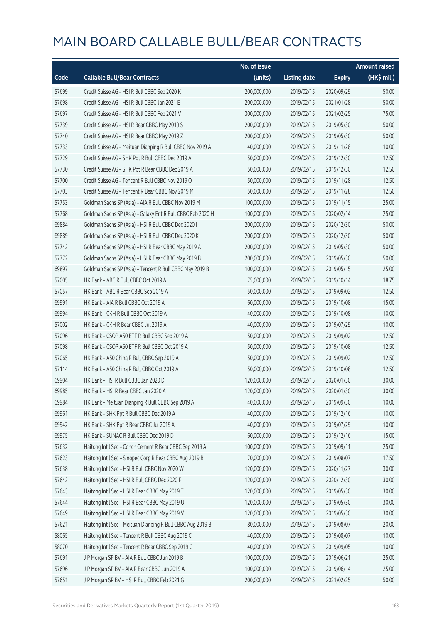|       |                                                             | No. of issue |                     |               | <b>Amount raised</b> |
|-------|-------------------------------------------------------------|--------------|---------------------|---------------|----------------------|
| Code  | <b>Callable Bull/Bear Contracts</b>                         | (units)      | <b>Listing date</b> | <b>Expiry</b> | (HK\$ mil.)          |
| 57699 | Credit Suisse AG - HSI R Bull CBBC Sep 2020 K               | 200,000,000  | 2019/02/15          | 2020/09/29    | 50.00                |
| 57698 | Credit Suisse AG - HSI R Bull CBBC Jan 2021 E               | 200,000,000  | 2019/02/15          | 2021/01/28    | 50.00                |
| 57697 | Credit Suisse AG - HSI R Bull CBBC Feb 2021 V               | 300,000,000  | 2019/02/15          | 2021/02/25    | 75.00                |
| 57739 | Credit Suisse AG - HSI R Bear CBBC May 2019 S               | 200,000,000  | 2019/02/15          | 2019/05/30    | 50.00                |
| 57740 | Credit Suisse AG - HSI R Bear CBBC May 2019 Z               | 200,000,000  | 2019/02/15          | 2019/05/30    | 50.00                |
| 57733 | Credit Suisse AG - Meituan Dianping R Bull CBBC Nov 2019 A  | 40,000,000   | 2019/02/15          | 2019/11/28    | 10.00                |
| 57729 | Credit Suisse AG - SHK Ppt R Bull CBBC Dec 2019 A           | 50,000,000   | 2019/02/15          | 2019/12/30    | 12.50                |
| 57730 | Credit Suisse AG - SHK Ppt R Bear CBBC Dec 2019 A           | 50,000,000   | 2019/02/15          | 2019/12/30    | 12.50                |
| 57700 | Credit Suisse AG - Tencent R Bull CBBC Nov 2019 O           | 50,000,000   | 2019/02/15          | 2019/11/28    | 12.50                |
| 57703 | Credit Suisse AG - Tencent R Bear CBBC Nov 2019 M           | 50,000,000   | 2019/02/15          | 2019/11/28    | 12.50                |
| 57753 | Goldman Sachs SP (Asia) - AIA R Bull CBBC Nov 2019 M        | 100,000,000  | 2019/02/15          | 2019/11/15    | 25.00                |
| 57768 | Goldman Sachs SP (Asia) - Galaxy Ent R Bull CBBC Feb 2020 H | 100,000,000  | 2019/02/15          | 2020/02/14    | 25.00                |
| 69884 | Goldman Sachs SP (Asia) - HSI R Bull CBBC Dec 2020 I        | 200,000,000  | 2019/02/15          | 2020/12/30    | 50.00                |
| 69889 | Goldman Sachs SP (Asia) - HSI R Bull CBBC Dec 2020 K        | 200,000,000  | 2019/02/15          | 2020/12/30    | 50.00                |
| 57742 | Goldman Sachs SP (Asia) - HSI R Bear CBBC May 2019 A        | 200,000,000  | 2019/02/15          | 2019/05/30    | 50.00                |
| 57772 | Goldman Sachs SP (Asia) - HSI R Bear CBBC May 2019 B        | 200,000,000  | 2019/02/15          | 2019/05/30    | 50.00                |
| 69897 | Goldman Sachs SP (Asia) - Tencent R Bull CBBC May 2019 B    | 100,000,000  | 2019/02/15          | 2019/05/15    | 25.00                |
| 57005 | HK Bank - ABC R Bull CBBC Oct 2019 A                        | 75,000,000   | 2019/02/15          | 2019/10/14    | 18.75                |
| 57057 | HK Bank - ABC R Bear CBBC Sep 2019 A                        | 50,000,000   | 2019/02/15          | 2019/09/02    | 12.50                |
| 69991 | HK Bank - AIA R Bull CBBC Oct 2019 A                        | 60,000,000   | 2019/02/15          | 2019/10/08    | 15.00                |
| 69994 | HK Bank - CKH R Bull CBBC Oct 2019 A                        | 40,000,000   | 2019/02/15          | 2019/10/08    | 10.00                |
| 57002 | HK Bank - CKH R Bear CBBC Jul 2019 A                        | 40,000,000   | 2019/02/15          | 2019/07/29    | 10.00                |
| 57096 | HK Bank - CSOP A50 ETF R Bull CBBC Sep 2019 A               | 50,000,000   | 2019/02/15          | 2019/09/02    | 12.50                |
| 57098 | HK Bank - CSOP A50 ETF R Bull CBBC Oct 2019 A               | 50,000,000   | 2019/02/15          | 2019/10/08    | 12.50                |
| 57065 | HK Bank - A50 China R Bull CBBC Sep 2019 A                  | 50,000,000   | 2019/02/15          | 2019/09/02    | 12.50                |
| 57114 | HK Bank - A50 China R Bull CBBC Oct 2019 A                  | 50,000,000   | 2019/02/15          | 2019/10/08    | 12.50                |
| 69904 | HK Bank - HSI R Bull CBBC Jan 2020 D                        | 120,000,000  | 2019/02/15          | 2020/01/30    | 30.00                |
| 69985 | HK Bank - HSI R Bear CBBC Jan 2020 A                        | 120,000,000  | 2019/02/15          | 2020/01/30    | 30.00                |
| 69984 | HK Bank - Meituan Dianping R Bull CBBC Sep 2019 A           | 40,000,000   | 2019/02/15          | 2019/09/30    | 10.00                |
| 69961 | HK Bank - SHK Ppt R Bull CBBC Dec 2019 A                    | 40,000,000   | 2019/02/15          | 2019/12/16    | 10.00                |
| 69942 | HK Bank - SHK Ppt R Bear CBBC Jul 2019 A                    | 40,000,000   | 2019/02/15          | 2019/07/29    | 10.00                |
| 69975 | HK Bank - SUNAC R Bull CBBC Dec 2019 D                      | 60,000,000   | 2019/02/15          | 2019/12/16    | 15.00                |
| 57632 | Haitong Int'l Sec - Conch Cement R Bear CBBC Sep 2019 A     | 100,000,000  | 2019/02/15          | 2019/09/11    | 25.00                |
| 57623 | Haitong Int'l Sec - Sinopec Corp R Bear CBBC Aug 2019 B     | 70,000,000   | 2019/02/15          | 2019/08/07    | 17.50                |
| 57638 | Haitong Int'l Sec - HSI R Bull CBBC Nov 2020 W              | 120,000,000  | 2019/02/15          | 2020/11/27    | 30.00                |
| 57642 | Haitong Int'l Sec - HSI R Bull CBBC Dec 2020 F              | 120,000,000  | 2019/02/15          | 2020/12/30    | 30.00                |
| 57643 | Haitong Int'l Sec - HSI R Bear CBBC May 2019 T              | 120,000,000  | 2019/02/15          | 2019/05/30    | 30.00                |
| 57644 | Haitong Int'l Sec - HSI R Bear CBBC May 2019 U              | 120,000,000  | 2019/02/15          | 2019/05/30    | 30.00                |
| 57649 | Haitong Int'l Sec - HSI R Bear CBBC May 2019 V              | 120,000,000  | 2019/02/15          | 2019/05/30    | 30.00                |
| 57621 | Haitong Int'l Sec - Meituan Dianping R Bull CBBC Aug 2019 B | 80,000,000   | 2019/02/15          | 2019/08/07    | 20.00                |
| 58065 | Haitong Int'l Sec - Tencent R Bull CBBC Aug 2019 C          | 40,000,000   | 2019/02/15          | 2019/08/07    | 10.00                |
| 58070 | Haitong Int'l Sec - Tencent R Bear CBBC Sep 2019 C          | 40,000,000   | 2019/02/15          | 2019/09/05    | 10.00                |
| 57691 | J P Morgan SP BV - AIA R Bull CBBC Jun 2019 B               | 100,000,000  | 2019/02/15          | 2019/06/21    | 25.00                |
| 57696 | J P Morgan SP BV - AIA R Bear CBBC Jun 2019 A               | 100,000,000  | 2019/02/15          | 2019/06/14    | 25.00                |
| 57651 | J P Morgan SP BV - HSI R Bull CBBC Feb 2021 G               | 200,000,000  | 2019/02/15          | 2021/02/25    | 50.00                |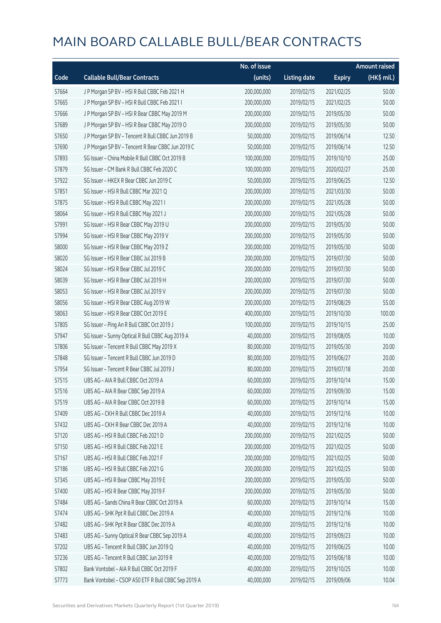|       |                                                     | No. of issue |                     |               | <b>Amount raised</b> |
|-------|-----------------------------------------------------|--------------|---------------------|---------------|----------------------|
| Code  | <b>Callable Bull/Bear Contracts</b>                 | (units)      | <b>Listing date</b> | <b>Expiry</b> | (HK\$ mil.)          |
| 57664 | J P Morgan SP BV - HSI R Bull CBBC Feb 2021 H       | 200,000,000  | 2019/02/15          | 2021/02/25    | 50.00                |
| 57665 | J P Morgan SP BV - HSI R Bull CBBC Feb 2021 I       | 200,000,000  | 2019/02/15          | 2021/02/25    | 50.00                |
| 57666 | J P Morgan SP BV - HSI R Bear CBBC May 2019 M       | 200,000,000  | 2019/02/15          | 2019/05/30    | 50.00                |
| 57689 | J P Morgan SP BV - HSI R Bear CBBC May 2019 O       | 200,000,000  | 2019/02/15          | 2019/05/30    | 50.00                |
| 57650 | JP Morgan SP BV - Tencent R Bull CBBC Jun 2019 B    | 50,000,000   | 2019/02/15          | 2019/06/14    | 12.50                |
| 57690 | J P Morgan SP BV - Tencent R Bear CBBC Jun 2019 C   | 50,000,000   | 2019/02/15          | 2019/06/14    | 12.50                |
| 57893 | SG Issuer - China Mobile R Bull CBBC Oct 2019 B     | 100,000,000  | 2019/02/15          | 2019/10/10    | 25.00                |
| 57879 | SG Issuer - CM Bank R Bull CBBC Feb 2020 C          | 100,000,000  | 2019/02/15          | 2020/02/27    | 25.00                |
| 57922 | SG Issuer - HKEX R Bear CBBC Jun 2019 C             | 50,000,000   | 2019/02/15          | 2019/06/25    | 12.50                |
| 57851 | SG Issuer - HSI R Bull CBBC Mar 2021 Q              | 200,000,000  | 2019/02/15          | 2021/03/30    | 50.00                |
| 57875 | SG Issuer - HSI R Bull CBBC May 2021 I              | 200,000,000  | 2019/02/15          | 2021/05/28    | 50.00                |
| 58064 | SG Issuer - HSI R Bull CBBC May 2021 J              | 200,000,000  | 2019/02/15          | 2021/05/28    | 50.00                |
| 57991 | SG Issuer - HSI R Bear CBBC May 2019 U              | 200,000,000  | 2019/02/15          | 2019/05/30    | 50.00                |
| 57994 | SG Issuer - HSI R Bear CBBC May 2019 V              | 200,000,000  | 2019/02/15          | 2019/05/30    | 50.00                |
| 58000 | SG Issuer - HSI R Bear CBBC May 2019 Z              | 200,000,000  | 2019/02/15          | 2019/05/30    | 50.00                |
| 58020 | SG Issuer - HSI R Bear CBBC Jul 2019 B              | 200,000,000  | 2019/02/15          | 2019/07/30    | 50.00                |
| 58024 | SG Issuer - HSI R Bear CBBC Jul 2019 C              | 200,000,000  | 2019/02/15          | 2019/07/30    | 50.00                |
| 58039 | SG Issuer - HSI R Bear CBBC Jul 2019 H              | 200,000,000  | 2019/02/15          | 2019/07/30    | 50.00                |
| 58053 | SG Issuer - HSI R Bear CBBC Jul 2019 V              | 200,000,000  | 2019/02/15          | 2019/07/30    | 50.00                |
| 58056 | SG Issuer - HSI R Bear CBBC Aug 2019 W              | 200,000,000  | 2019/02/15          | 2019/08/29    | 55.00                |
| 58063 | SG Issuer - HSI R Bear CBBC Oct 2019 E              | 400,000,000  | 2019/02/15          | 2019/10/30    | 100.00               |
| 57805 | SG Issuer - Ping An R Bull CBBC Oct 2019 J          | 100,000,000  | 2019/02/15          | 2019/10/15    | 25.00                |
| 57947 | SG Issuer - Sunny Optical R Bull CBBC Aug 2019 A    | 40,000,000   | 2019/02/15          | 2019/08/05    | 10.00                |
| 57806 | SG Issuer - Tencent R Bull CBBC May 2019 X          | 80,000,000   | 2019/02/15          | 2019/05/30    | 20.00                |
| 57848 | SG Issuer - Tencent R Bull CBBC Jun 2019 D          | 80,000,000   | 2019/02/15          | 2019/06/27    | 20.00                |
| 57954 | SG Issuer - Tencent R Bear CBBC Jul 2019 J          | 80,000,000   | 2019/02/15          | 2019/07/18    | 20.00                |
| 57515 | UBS AG - AIA R Bull CBBC Oct 2019 A                 | 60,000,000   | 2019/02/15          | 2019/10/14    | 15.00                |
| 57516 | UBS AG - AIA R Bear CBBC Sep 2019 A                 | 60,000,000   | 2019/02/15          | 2019/09/30    | 15.00                |
| 57519 | UBS AG - AIA R Bear CBBC Oct 2019 B                 | 60,000,000   | 2019/02/15          | 2019/10/14    | 15.00                |
| 57409 | UBS AG - CKH R Bull CBBC Dec 2019 A                 | 40,000,000   | 2019/02/15          | 2019/12/16    | 10.00                |
| 57432 | UBS AG - CKH R Bear CBBC Dec 2019 A                 | 40,000,000   | 2019/02/15          | 2019/12/16    | 10.00                |
| 57120 | UBS AG - HSI R Bull CBBC Feb 2021 D                 | 200,000,000  | 2019/02/15          | 2021/02/25    | 50.00                |
| 57150 | UBS AG - HSI R Bull CBBC Feb 2021 E                 | 200,000,000  | 2019/02/15          | 2021/02/25    | 50.00                |
| 57167 | UBS AG - HSI R Bull CBBC Feb 2021 F                 | 200,000,000  | 2019/02/15          | 2021/02/25    | 50.00                |
| 57186 | UBS AG - HSI R Bull CBBC Feb 2021 G                 | 200,000,000  | 2019/02/15          | 2021/02/25    | 50.00                |
| 57345 | UBS AG - HSI R Bear CBBC May 2019 E                 | 200,000,000  | 2019/02/15          | 2019/05/30    | 50.00                |
| 57400 | UBS AG - HSI R Bear CBBC May 2019 F                 | 200,000,000  | 2019/02/15          | 2019/05/30    | 50.00                |
| 57484 | UBS AG - Sands China R Bear CBBC Oct 2019 A         | 60,000,000   | 2019/02/15          | 2019/10/14    | 15.00                |
| 57474 | UBS AG - SHK Ppt R Bull CBBC Dec 2019 A             | 40,000,000   | 2019/02/15          | 2019/12/16    | 10.00                |
| 57482 | UBS AG - SHK Ppt R Bear CBBC Dec 2019 A             | 40,000,000   | 2019/02/15          | 2019/12/16    | 10.00                |
| 57483 | UBS AG - Sunny Optical R Bear CBBC Sep 2019 A       | 40,000,000   | 2019/02/15          | 2019/09/23    | 10.00                |
| 57202 | UBS AG - Tencent R Bull CBBC Jun 2019 Q             | 40,000,000   | 2019/02/15          | 2019/06/25    | 10.00                |
| 57236 | UBS AG - Tencent R Bull CBBC Jun 2019 R             | 40,000,000   | 2019/02/15          | 2019/06/18    | 10.00                |
| 57802 | Bank Vontobel - AIA R Bull CBBC Oct 2019 F          | 40,000,000   | 2019/02/15          | 2019/10/25    | 10.00                |
| 57773 | Bank Vontobel - CSOP A50 ETF R Bull CBBC Sep 2019 A | 40,000,000   | 2019/02/15          | 2019/09/06    | 10.04                |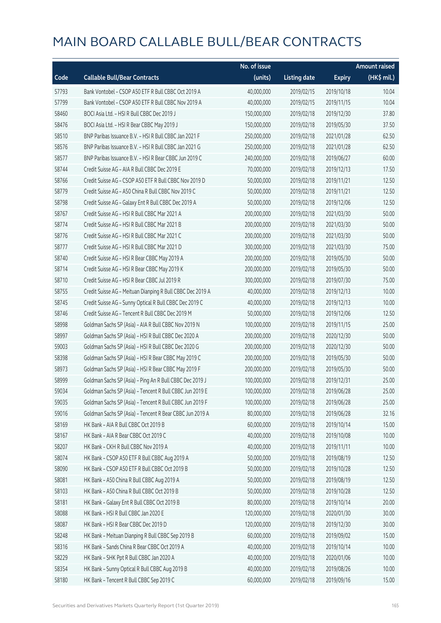|       |                                                            | No. of issue |                     |               | <b>Amount raised</b>  |
|-------|------------------------------------------------------------|--------------|---------------------|---------------|-----------------------|
| Code  | <b>Callable Bull/Bear Contracts</b>                        | (units)      | <b>Listing date</b> | <b>Expiry</b> | $(HK\frac{1}{2}mil.)$ |
| 57793 | Bank Vontobel - CSOP A50 ETF R Bull CBBC Oct 2019 A        | 40,000,000   | 2019/02/15          | 2019/10/18    | 10.04                 |
| 57799 | Bank Vontobel - CSOP A50 ETF R Bull CBBC Nov 2019 A        | 40,000,000   | 2019/02/15          | 2019/11/15    | 10.04                 |
| 58460 | BOCI Asia Ltd. - HSI R Bull CBBC Dec 2019 J                | 150,000,000  | 2019/02/18          | 2019/12/30    | 37.80                 |
| 58476 | BOCI Asia Ltd. - HSI R Bear CBBC May 2019 J                | 150,000,000  | 2019/02/18          | 2019/05/30    | 37.50                 |
| 58510 | BNP Paribas Issuance B.V. - HSI R Bull CBBC Jan 2021 F     | 250,000,000  | 2019/02/18          | 2021/01/28    | 62.50                 |
| 58576 | BNP Paribas Issuance B.V. - HSI R Bull CBBC Jan 2021 G     | 250,000,000  | 2019/02/18          | 2021/01/28    | 62.50                 |
| 58577 | BNP Paribas Issuance B.V. - HSI R Bear CBBC Jun 2019 C     | 240,000,000  | 2019/02/18          | 2019/06/27    | 60.00                 |
| 58744 | Credit Suisse AG - AIA R Bull CBBC Dec 2019 E              | 70,000,000   | 2019/02/18          | 2019/12/13    | 17.50                 |
| 58766 | Credit Suisse AG - CSOP A50 ETF R Bull CBBC Nov 2019 D     | 50,000,000   | 2019/02/18          | 2019/11/21    | 12.50                 |
| 58779 | Credit Suisse AG - A50 China R Bull CBBC Nov 2019 C        | 50,000,000   | 2019/02/18          | 2019/11/21    | 12.50                 |
| 58798 | Credit Suisse AG - Galaxy Ent R Bull CBBC Dec 2019 A       | 50,000,000   | 2019/02/18          | 2019/12/06    | 12.50                 |
| 58767 | Credit Suisse AG - HSI R Bull CBBC Mar 2021 A              | 200,000,000  | 2019/02/18          | 2021/03/30    | 50.00                 |
| 58774 | Credit Suisse AG - HSI R Bull CBBC Mar 2021 B              | 200,000,000  | 2019/02/18          | 2021/03/30    | 50.00                 |
| 58776 | Credit Suisse AG - HSI R Bull CBBC Mar 2021 C              | 200,000,000  | 2019/02/18          | 2021/03/30    | 50.00                 |
| 58777 | Credit Suisse AG - HSI R Bull CBBC Mar 2021 D              | 300,000,000  | 2019/02/18          | 2021/03/30    | 75.00                 |
| 58740 | Credit Suisse AG - HSI R Bear CBBC May 2019 A              | 200,000,000  | 2019/02/18          | 2019/05/30    | 50.00                 |
| 58714 | Credit Suisse AG - HSI R Bear CBBC May 2019 K              | 200,000,000  | 2019/02/18          | 2019/05/30    | 50.00                 |
| 58710 | Credit Suisse AG - HSI R Bear CBBC Jul 2019 R              | 300,000,000  | 2019/02/18          | 2019/07/30    | 75.00                 |
| 58755 | Credit Suisse AG - Meituan Dianping R Bull CBBC Dec 2019 A | 40,000,000   | 2019/02/18          | 2019/12/13    | 10.00                 |
| 58745 | Credit Suisse AG - Sunny Optical R Bull CBBC Dec 2019 C    | 40,000,000   | 2019/02/18          | 2019/12/13    | 10.00                 |
| 58746 | Credit Suisse AG - Tencent R Bull CBBC Dec 2019 M          | 50,000,000   | 2019/02/18          | 2019/12/06    | 12.50                 |
| 58998 | Goldman Sachs SP (Asia) - AIA R Bull CBBC Nov 2019 N       | 100,000,000  | 2019/02/18          | 2019/11/15    | 25.00                 |
| 58997 | Goldman Sachs SP (Asia) - HSI R Bull CBBC Dec 2020 A       | 200,000,000  | 2019/02/18          | 2020/12/30    | 50.00                 |
| 59003 | Goldman Sachs SP (Asia) - HSI R Bull CBBC Dec 2020 G       | 200,000,000  | 2019/02/18          | 2020/12/30    | 50.00                 |
| 58398 | Goldman Sachs SP (Asia) - HSI R Bear CBBC May 2019 C       | 200,000,000  | 2019/02/18          | 2019/05/30    | 50.00                 |
| 58973 | Goldman Sachs SP (Asia) - HSI R Bear CBBC May 2019 F       | 200,000,000  | 2019/02/18          | 2019/05/30    | 50.00                 |
| 58999 | Goldman Sachs SP (Asia) - Ping An R Bull CBBC Dec 2019 J   | 100,000,000  | 2019/02/18          | 2019/12/31    | 25.00                 |
| 59034 | Goldman Sachs SP (Asia) - Tencent R Bull CBBC Jun 2019 E   | 100,000,000  | 2019/02/18          | 2019/06/28    | 25.00                 |
| 59035 | Goldman Sachs SP (Asia) - Tencent R Bull CBBC Jun 2019 F   | 100,000,000  | 2019/02/18          | 2019/06/28    | 25.00                 |
| 59016 | Goldman Sachs SP (Asia) - Tencent R Bear CBBC Jun 2019 A   | 80,000,000   | 2019/02/18          | 2019/06/28    | 32.16                 |
| 58169 | HK Bank - AIA R Bull CBBC Oct 2019 B                       | 60,000,000   | 2019/02/18          | 2019/10/14    | 15.00                 |
| 58167 | HK Bank - AIA R Bear CBBC Oct 2019 C                       | 40,000,000   | 2019/02/18          | 2019/10/08    | 10.00                 |
| 58207 | HK Bank - CKH R Bull CBBC Nov 2019 A                       | 40,000,000   | 2019/02/18          | 2019/11/11    | 10.00                 |
| 58074 | HK Bank - CSOP A50 ETF R Bull CBBC Aug 2019 A              | 50,000,000   | 2019/02/18          | 2019/08/19    | 12.50                 |
| 58090 | HK Bank - CSOP A50 ETF R Bull CBBC Oct 2019 B              | 50,000,000   | 2019/02/18          | 2019/10/28    | 12.50                 |
| 58081 | HK Bank - A50 China R Bull CBBC Aug 2019 A                 | 50,000,000   | 2019/02/18          | 2019/08/19    | 12.50                 |
| 58103 | HK Bank - A50 China R Bull CBBC Oct 2019 B                 | 50,000,000   | 2019/02/18          | 2019/10/28    | 12.50                 |
| 58181 | HK Bank - Galaxy Ent R Bull CBBC Oct 2019 B                | 80,000,000   | 2019/02/18          | 2019/10/14    | 20.00                 |
| 58088 | HK Bank - HSI R Bull CBBC Jan 2020 E                       | 120,000,000  | 2019/02/18          | 2020/01/30    | 30.00                 |
| 58087 | HK Bank - HSI R Bear CBBC Dec 2019 D                       | 120,000,000  | 2019/02/18          | 2019/12/30    | 30.00                 |
| 58248 | HK Bank - Meituan Dianping R Bull CBBC Sep 2019 B          | 60,000,000   | 2019/02/18          | 2019/09/02    | 15.00                 |
| 58316 | HK Bank - Sands China R Bear CBBC Oct 2019 A               | 40,000,000   | 2019/02/18          | 2019/10/14    | 10.00                 |
| 58229 | HK Bank - SHK Ppt R Bull CBBC Jan 2020 A                   | 40,000,000   | 2019/02/18          | 2020/01/06    | 10.00                 |
| 58354 | HK Bank - Sunny Optical R Bull CBBC Aug 2019 B             | 40,000,000   | 2019/02/18          | 2019/08/26    | 10.00                 |
| 58180 | HK Bank - Tencent R Bull CBBC Sep 2019 C                   | 60,000,000   | 2019/02/18          | 2019/09/16    | 15.00                 |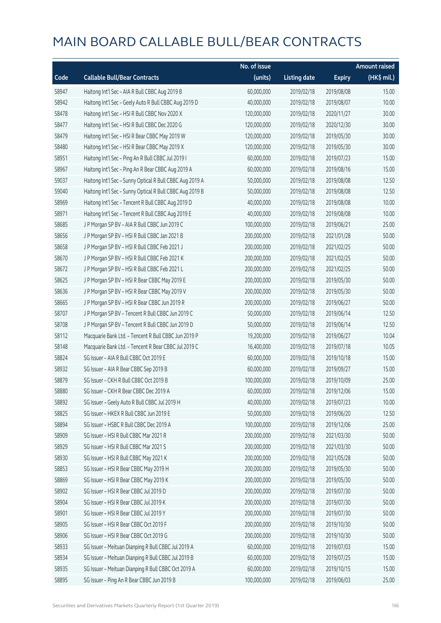|       |                                                          | No. of issue |                     |               | <b>Amount raised</b> |
|-------|----------------------------------------------------------|--------------|---------------------|---------------|----------------------|
| Code  | <b>Callable Bull/Bear Contracts</b>                      | (units)      | <b>Listing date</b> | <b>Expiry</b> | $(HK\$ mil.)         |
| 58947 | Haitong Int'l Sec - AIA R Bull CBBC Aug 2019 B           | 60,000,000   | 2019/02/18          | 2019/08/08    | 15.00                |
| 58942 | Haitong Int'l Sec - Geely Auto R Bull CBBC Aug 2019 D    | 40,000,000   | 2019/02/18          | 2019/08/07    | 10.00                |
| 58478 | Haitong Int'l Sec - HSI R Bull CBBC Nov 2020 X           | 120,000,000  | 2019/02/18          | 2020/11/27    | 30.00                |
| 58477 | Haitong Int'l Sec - HSI R Bull CBBC Dec 2020 G           | 120,000,000  | 2019/02/18          | 2020/12/30    | 30.00                |
| 58479 | Haitong Int'l Sec - HSI R Bear CBBC May 2019 W           | 120,000,000  | 2019/02/18          | 2019/05/30    | 30.00                |
| 58480 | Haitong Int'l Sec - HSI R Bear CBBC May 2019 X           | 120,000,000  | 2019/02/18          | 2019/05/30    | 30.00                |
| 58951 | Haitong Int'l Sec - Ping An R Bull CBBC Jul 2019 I       | 60,000,000   | 2019/02/18          | 2019/07/23    | 15.00                |
| 58967 | Haitong Int'l Sec - Ping An R Bear CBBC Aug 2019 A       | 60,000,000   | 2019/02/18          | 2019/08/16    | 15.00                |
| 59037 | Haitong Int'l Sec - Sunny Optical R Bull CBBC Aug 2019 A | 50,000,000   | 2019/02/18          | 2019/08/08    | 12.50                |
| 59040 | Haitong Int'l Sec - Sunny Optical R Bull CBBC Aug 2019 B | 50,000,000   | 2019/02/18          | 2019/08/08    | 12.50                |
| 58969 | Haitong Int'l Sec - Tencent R Bull CBBC Aug 2019 D       | 40,000,000   | 2019/02/18          | 2019/08/08    | 10.00                |
| 58971 | Haitong Int'l Sec - Tencent R Bull CBBC Aug 2019 E       | 40,000,000   | 2019/02/18          | 2019/08/08    | 10.00                |
| 58685 | J P Morgan SP BV - AIA R Bull CBBC Jun 2019 C            | 100,000,000  | 2019/02/18          | 2019/06/21    | 25.00                |
| 58656 | J P Morgan SP BV - HSI R Bull CBBC Jan 2021 B            | 200,000,000  | 2019/02/18          | 2021/01/28    | 50.00                |
| 58658 | J P Morgan SP BV - HSI R Bull CBBC Feb 2021 J            | 200,000,000  | 2019/02/18          | 2021/02/25    | 50.00                |
| 58670 | J P Morgan SP BV - HSI R Bull CBBC Feb 2021 K            | 200,000,000  | 2019/02/18          | 2021/02/25    | 50.00                |
| 58672 | J P Morgan SP BV - HSI R Bull CBBC Feb 2021 L            | 200,000,000  | 2019/02/18          | 2021/02/25    | 50.00                |
| 58625 | J P Morgan SP BV - HSI R Bear CBBC May 2019 E            | 200,000,000  | 2019/02/18          | 2019/05/30    | 50.00                |
| 58636 | J P Morgan SP BV - HSI R Bear CBBC May 2019 V            | 200,000,000  | 2019/02/18          | 2019/05/30    | 50.00                |
| 58665 | J P Morgan SP BV - HSI R Bear CBBC Jun 2019 R            | 200,000,000  | 2019/02/18          | 2019/06/27    | 50.00                |
| 58707 | J P Morgan SP BV - Tencent R Bull CBBC Jun 2019 C        | 50,000,000   | 2019/02/18          | 2019/06/14    | 12.50                |
| 58708 | J P Morgan SP BV - Tencent R Bull CBBC Jun 2019 D        | 50,000,000   | 2019/02/18          | 2019/06/14    | 12.50                |
| 58112 | Macquarie Bank Ltd. - Tencent R Bull CBBC Jun 2019 P     | 19,200,000   | 2019/02/18          | 2019/06/27    | 10.04                |
| 58148 | Macquarie Bank Ltd. - Tencent R Bear CBBC Jul 2019 C     | 16,400,000   | 2019/02/18          | 2019/07/18    | 10.05                |
| 58824 | SG Issuer - AIA R Bull CBBC Oct 2019 E                   | 60,000,000   | 2019/02/18          | 2019/10/18    | 15.00                |
| 58932 | SG Issuer - AIA R Bear CBBC Sep 2019 B                   | 60,000,000   | 2019/02/18          | 2019/09/27    | 15.00                |
| 58879 | SG Issuer - CKH R Bull CBBC Oct 2019 B                   | 100,000,000  | 2019/02/18          | 2019/10/09    | 25.00                |
| 58880 | SG Issuer - CKH R Bear CBBC Dec 2019 A                   | 60,000,000   | 2019/02/18          | 2019/12/06    | 15.00                |
| 58892 | SG Issuer - Geely Auto R Bull CBBC Jul 2019 H            | 40,000,000   | 2019/02/18          | 2019/07/23    | 10.00                |
| 58825 | SG Issuer - HKEX R Bull CBBC Jun 2019 E                  | 50,000,000   | 2019/02/18          | 2019/06/20    | 12.50                |
| 58894 | SG Issuer - HSBC R Bull CBBC Dec 2019 A                  | 100,000,000  | 2019/02/18          | 2019/12/06    | 25.00                |
| 58909 | SG Issuer - HSI R Bull CBBC Mar 2021 R                   | 200,000,000  | 2019/02/18          | 2021/03/30    | 50.00                |
| 58929 | SG Issuer - HSI R Bull CBBC Mar 2021 S                   | 200,000,000  | 2019/02/18          | 2021/03/30    | 50.00                |
| 58930 | SG Issuer - HSI R Bull CBBC May 2021 K                   | 200,000,000  | 2019/02/18          | 2021/05/28    | 50.00                |
| 58853 | SG Issuer - HSI R Bear CBBC May 2019 H                   | 200,000,000  | 2019/02/18          | 2019/05/30    | 50.00                |
| 58869 | SG Issuer - HSI R Bear CBBC May 2019 K                   | 200,000,000  | 2019/02/18          | 2019/05/30    | 50.00                |
| 58902 | SG Issuer - HSI R Bear CBBC Jul 2019 D                   | 200,000,000  | 2019/02/18          | 2019/07/30    | 50.00                |
| 58904 | SG Issuer - HSI R Bear CBBC Jul 2019 K                   | 200,000,000  | 2019/02/18          | 2019/07/30    | 50.00                |
| 58901 | SG Issuer - HSI R Bear CBBC Jul 2019 Y                   | 200,000,000  | 2019/02/18          | 2019/07/30    | 50.00                |
| 58905 | SG Issuer - HSI R Bear CBBC Oct 2019 F                   | 200,000,000  | 2019/02/18          | 2019/10/30    | 50.00                |
| 58906 | SG Issuer - HSI R Bear CBBC Oct 2019 G                   | 200,000,000  | 2019/02/18          | 2019/10/30    | 50.00                |
| 58933 | SG Issuer - Meituan Dianping R Bull CBBC Jul 2019 A      | 60,000,000   | 2019/02/18          | 2019/07/03    | 15.00                |
| 58934 | SG Issuer - Meituan Dianping R Bull CBBC Jul 2019 B      | 60,000,000   | 2019/02/18          | 2019/07/25    | 15.00                |
| 58935 | SG Issuer - Meituan Dianping R Bull CBBC Oct 2019 A      | 60,000,000   | 2019/02/18          | 2019/10/15    | 15.00                |
| 58895 | SG Issuer - Ping An R Bear CBBC Jun 2019 B               | 100,000,000  | 2019/02/18          | 2019/06/03    | 25.00                |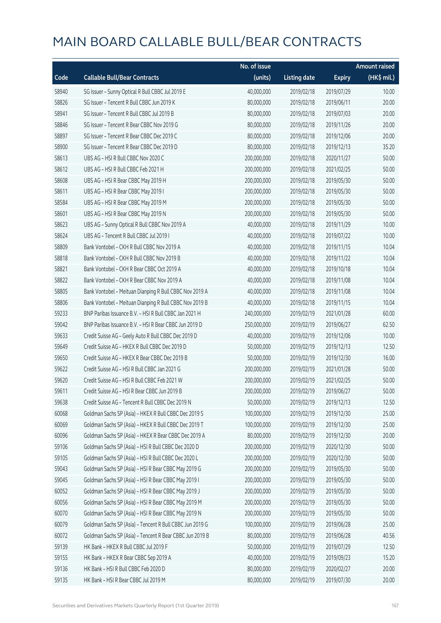|       |                                                          | No. of issue |                     |               | <b>Amount raised</b> |
|-------|----------------------------------------------------------|--------------|---------------------|---------------|----------------------|
| Code  | <b>Callable Bull/Bear Contracts</b>                      | (units)      | <b>Listing date</b> | <b>Expiry</b> | (HK\$ mil.)          |
| 58940 | SG Issuer - Sunny Optical R Bull CBBC Jul 2019 E         | 40,000,000   | 2019/02/18          | 2019/07/29    | 10.00                |
| 58826 | SG Issuer - Tencent R Bull CBBC Jun 2019 K               | 80,000,000   | 2019/02/18          | 2019/06/11    | 20.00                |
| 58941 | SG Issuer - Tencent R Bull CBBC Jul 2019 B               | 80,000,000   | 2019/02/18          | 2019/07/03    | 20.00                |
| 58846 | SG Issuer - Tencent R Bear CBBC Nov 2019 G               | 80,000,000   | 2019/02/18          | 2019/11/26    | 20.00                |
| 58897 | SG Issuer - Tencent R Bear CBBC Dec 2019 C               | 80,000,000   | 2019/02/18          | 2019/12/06    | 20.00                |
| 58900 | SG Issuer - Tencent R Bear CBBC Dec 2019 D               | 80,000,000   | 2019/02/18          | 2019/12/13    | 35.20                |
| 58613 | UBS AG - HSI R Bull CBBC Nov 2020 C                      | 200,000,000  | 2019/02/18          | 2020/11/27    | 50.00                |
| 58612 | UBS AG - HSI R Bull CBBC Feb 2021 H                      | 200,000,000  | 2019/02/18          | 2021/02/25    | 50.00                |
| 58608 | UBS AG - HSI R Bear CBBC May 2019 H                      | 200,000,000  | 2019/02/18          | 2019/05/30    | 50.00                |
| 58611 | UBS AG - HSI R Bear CBBC May 2019 I                      | 200,000,000  | 2019/02/18          | 2019/05/30    | 50.00                |
| 58584 | UBS AG - HSI R Bear CBBC May 2019 M                      | 200,000,000  | 2019/02/18          | 2019/05/30    | 50.00                |
| 58601 | UBS AG - HSI R Bear CBBC May 2019 N                      | 200,000,000  | 2019/02/18          | 2019/05/30    | 50.00                |
| 58623 | UBS AG - Sunny Optical R Bull CBBC Nov 2019 A            | 40,000,000   | 2019/02/18          | 2019/11/29    | 10.00                |
| 58624 | UBS AG - Tencent R Bull CBBC Jul 2019 I                  | 40,000,000   | 2019/02/18          | 2019/07/22    | 10.00                |
| 58809 | Bank Vontobel - CKH R Bull CBBC Nov 2019 A               | 40,000,000   | 2019/02/18          | 2019/11/15    | 10.04                |
| 58818 | Bank Vontobel - CKH R Bull CBBC Nov 2019 B               | 40,000,000   | 2019/02/18          | 2019/11/22    | 10.04                |
| 58821 | Bank Vontobel - CKH R Bear CBBC Oct 2019 A               | 40,000,000   | 2019/02/18          | 2019/10/18    | 10.04                |
| 58822 | Bank Vontobel - CKH R Bear CBBC Nov 2019 A               | 40,000,000   | 2019/02/18          | 2019/11/08    | 10.04                |
| 58805 | Bank Vontobel - Meituan Dianping R Bull CBBC Nov 2019 A  | 40,000,000   | 2019/02/18          | 2019/11/08    | 10.04                |
| 58806 | Bank Vontobel - Meituan Dianping R Bull CBBC Nov 2019 B  | 40,000,000   | 2019/02/18          | 2019/11/15    | 10.04                |
| 59233 | BNP Paribas Issuance B.V. - HSI R Bull CBBC Jan 2021 H   | 240,000,000  | 2019/02/19          | 2021/01/28    | 60.00                |
| 59042 | BNP Paribas Issuance B.V. - HSI R Bear CBBC Jun 2019 D   | 250,000,000  | 2019/02/19          | 2019/06/27    | 62.50                |
| 59633 | Credit Suisse AG - Geely Auto R Bull CBBC Dec 2019 D     | 40,000,000   | 2019/02/19          | 2019/12/06    | 10.00                |
| 59649 | Credit Suisse AG - HKEX R Bull CBBC Dec 2019 D           | 50,000,000   | 2019/02/19          | 2019/12/13    | 12.50                |
| 59650 | Credit Suisse AG - HKEX R Bear CBBC Dec 2019 B           | 50,000,000   | 2019/02/19          | 2019/12/30    | 16.00                |
| 59622 | Credit Suisse AG - HSI R Bull CBBC Jan 2021 G            | 200,000,000  | 2019/02/19          | 2021/01/28    | 50.00                |
| 59620 | Credit Suisse AG - HSI R Bull CBBC Feb 2021 W            | 200,000,000  | 2019/02/19          | 2021/02/25    | 50.00                |
| 59611 | Credit Suisse AG - HSI R Bear CBBC Jun 2019 B            | 200,000,000  | 2019/02/19          | 2019/06/27    | 50.00                |
| 59638 | Credit Suisse AG - Tencent R Bull CBBC Dec 2019 N        | 50,000,000   | 2019/02/19          | 2019/12/13    | 12.50                |
| 60068 | Goldman Sachs SP (Asia) - HKEX R Bull CBBC Dec 2019 S    | 100,000,000  | 2019/02/19          | 2019/12/30    | 25.00                |
| 60069 | Goldman Sachs SP (Asia) - HKEX R Bull CBBC Dec 2019 T    | 100,000,000  | 2019/02/19          | 2019/12/30    | 25.00                |
| 60096 | Goldman Sachs SP (Asia) - HKEX R Bear CBBC Dec 2019 A    | 80,000,000   | 2019/02/19          | 2019/12/30    | 20.00                |
| 59106 | Goldman Sachs SP (Asia) - HSI R Bull CBBC Dec 2020 D     | 200,000,000  | 2019/02/19          | 2020/12/30    | 50.00                |
| 59105 | Goldman Sachs SP (Asia) - HSI R Bull CBBC Dec 2020 L     | 200,000,000  | 2019/02/19          | 2020/12/30    | 50.00                |
| 59043 | Goldman Sachs SP (Asia) - HSI R Bear CBBC May 2019 G     | 200,000,000  | 2019/02/19          | 2019/05/30    | 50.00                |
| 59045 | Goldman Sachs SP (Asia) - HSI R Bear CBBC May 2019 I     | 200,000,000  | 2019/02/19          | 2019/05/30    | 50.00                |
| 60052 | Goldman Sachs SP (Asia) - HSI R Bear CBBC May 2019 J     | 200,000,000  | 2019/02/19          | 2019/05/30    | 50.00                |
| 60056 | Goldman Sachs SP (Asia) - HSI R Bear CBBC May 2019 M     | 200,000,000  | 2019/02/19          | 2019/05/30    | 50.00                |
| 60070 | Goldman Sachs SP (Asia) - HSI R Bear CBBC May 2019 N     | 200,000,000  | 2019/02/19          | 2019/05/30    | 50.00                |
| 60079 | Goldman Sachs SP (Asia) - Tencent R Bull CBBC Jun 2019 G | 100,000,000  | 2019/02/19          | 2019/06/28    | 25.00                |
| 60072 | Goldman Sachs SP (Asia) - Tencent R Bear CBBC Jun 2019 B | 80,000,000   | 2019/02/19          | 2019/06/28    | 40.56                |
| 59139 | HK Bank - HKEX R Bull CBBC Jul 2019 F                    | 50,000,000   | 2019/02/19          | 2019/07/29    | 12.50                |
| 59155 | HK Bank - HKEX R Bear CBBC Sep 2019 A                    | 40,000,000   | 2019/02/19          | 2019/09/23    | 15.20                |
| 59136 | HK Bank - HSI R Bull CBBC Feb 2020 D                     | 80,000,000   | 2019/02/19          | 2020/02/27    | 20.00                |
| 59135 | HK Bank - HSI R Bear CBBC Jul 2019 M                     | 80,000,000   | 2019/02/19          | 2019/07/30    | 20.00                |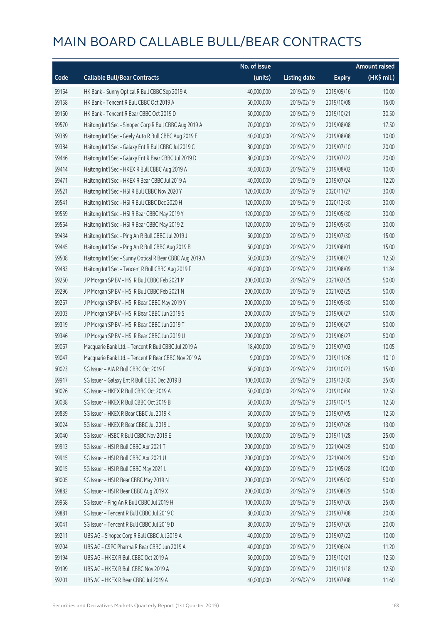|       |                                                          | No. of issue |                     |               | <b>Amount raised</b> |
|-------|----------------------------------------------------------|--------------|---------------------|---------------|----------------------|
| Code  | <b>Callable Bull/Bear Contracts</b>                      | (units)      | <b>Listing date</b> | <b>Expiry</b> | (HK\$ mil.)          |
| 59164 | HK Bank - Sunny Optical R Bull CBBC Sep 2019 A           | 40,000,000   | 2019/02/19          | 2019/09/16    | 10.00                |
| 59158 | HK Bank - Tencent R Bull CBBC Oct 2019 A                 | 60,000,000   | 2019/02/19          | 2019/10/08    | 15.00                |
| 59160 | HK Bank - Tencent R Bear CBBC Oct 2019 D                 | 50,000,000   | 2019/02/19          | 2019/10/21    | 30.50                |
| 59570 | Haitong Int'l Sec - Sinopec Corp R Bull CBBC Aug 2019 A  | 70,000,000   | 2019/02/19          | 2019/08/08    | 17.50                |
| 59389 | Haitong Int'l Sec - Geely Auto R Bull CBBC Aug 2019 E    | 40,000,000   | 2019/02/19          | 2019/08/08    | 10.00                |
| 59384 | Haitong Int'l Sec - Galaxy Ent R Bull CBBC Jul 2019 C    | 80,000,000   | 2019/02/19          | 2019/07/10    | 20.00                |
| 59446 | Haitong Int'l Sec - Galaxy Ent R Bear CBBC Jul 2019 D    | 80,000,000   | 2019/02/19          | 2019/07/22    | 20.00                |
| 59414 | Haitong Int'l Sec - HKEX R Bull CBBC Aug 2019 A          | 40,000,000   | 2019/02/19          | 2019/08/02    | 10.00                |
| 59471 | Haitong Int'l Sec - HKEX R Bear CBBC Jul 2019 A          | 40,000,000   | 2019/02/19          | 2019/07/24    | 12.20                |
| 59521 | Haitong Int'l Sec - HSI R Bull CBBC Nov 2020 Y           | 120,000,000  | 2019/02/19          | 2020/11/27    | 30.00                |
| 59541 | Haitong Int'l Sec - HSI R Bull CBBC Dec 2020 H           | 120,000,000  | 2019/02/19          | 2020/12/30    | 30.00                |
| 59559 | Haitong Int'l Sec - HSI R Bear CBBC May 2019 Y           | 120,000,000  | 2019/02/19          | 2019/05/30    | 30.00                |
| 59564 | Haitong Int'l Sec - HSI R Bear CBBC May 2019 Z           | 120,000,000  | 2019/02/19          | 2019/05/30    | 30.00                |
| 59434 | Haitong Int'l Sec - Ping An R Bull CBBC Jul 2019 J       | 60,000,000   | 2019/02/19          | 2019/07/30    | 15.00                |
| 59445 | Haitong Int'l Sec - Ping An R Bull CBBC Aug 2019 B       | 60,000,000   | 2019/02/19          | 2019/08/01    | 15.00                |
| 59508 | Haitong Int'l Sec - Sunny Optical R Bear CBBC Aug 2019 A | 50,000,000   | 2019/02/19          | 2019/08/27    | 12.50                |
| 59483 | Haitong Int'l Sec - Tencent R Bull CBBC Aug 2019 F       | 40,000,000   | 2019/02/19          | 2019/08/09    | 11.84                |
| 59250 | J P Morgan SP BV - HSI R Bull CBBC Feb 2021 M            | 200,000,000  | 2019/02/19          | 2021/02/25    | 50.00                |
| 59296 | J P Morgan SP BV - HSI R Bull CBBC Feb 2021 N            | 200,000,000  | 2019/02/19          | 2021/02/25    | 50.00                |
| 59267 | J P Morgan SP BV - HSI R Bear CBBC May 2019 Y            | 200,000,000  | 2019/02/19          | 2019/05/30    | 50.00                |
| 59303 | J P Morgan SP BV - HSI R Bear CBBC Jun 2019 S            | 200,000,000  | 2019/02/19          | 2019/06/27    | 50.00                |
| 59319 | J P Morgan SP BV - HSI R Bear CBBC Jun 2019 T            | 200,000,000  | 2019/02/19          | 2019/06/27    | 50.00                |
| 59346 | J P Morgan SP BV - HSI R Bear CBBC Jun 2019 U            | 200,000,000  | 2019/02/19          | 2019/06/27    | 50.00                |
| 59067 | Macquarie Bank Ltd. - Tencent R Bull CBBC Jul 2019 A     | 18,400,000   | 2019/02/19          | 2019/07/03    | 10.05                |
| 59047 | Macquarie Bank Ltd. - Tencent R Bear CBBC Nov 2019 A     | 9,000,000    | 2019/02/19          | 2019/11/26    | 10.10                |
| 60023 | SG Issuer - AIA R Bull CBBC Oct 2019 F                   | 60,000,000   | 2019/02/19          | 2019/10/23    | 15.00                |
| 59917 | SG Issuer - Galaxy Ent R Bull CBBC Dec 2019 B            | 100,000,000  | 2019/02/19          | 2019/12/30    | 25.00                |
| 60026 | SG Issuer - HKEX R Bull CBBC Oct 2019 A                  | 50,000,000   | 2019/02/19          | 2019/10/04    | 12.50                |
| 60038 | SG Issuer - HKEX R Bull CBBC Oct 2019 B                  | 50,000,000   | 2019/02/19          | 2019/10/15    | 12.50                |
| 59839 | SG Issuer - HKEX R Bear CBBC Jul 2019 K                  | 50,000,000   | 2019/02/19          | 2019/07/05    | 12.50                |
| 60024 | SG Issuer - HKEX R Bear CBBC Jul 2019 L                  | 50,000,000   | 2019/02/19          | 2019/07/26    | 13.00                |
| 60040 | SG Issuer - HSBC R Bull CBBC Nov 2019 E                  | 100,000,000  | 2019/02/19          | 2019/11/28    | 25.00                |
| 59913 | SG Issuer - HSI R Bull CBBC Apr 2021 T                   | 200,000,000  | 2019/02/19          | 2021/04/29    | 50.00                |
| 59915 | SG Issuer - HSI R Bull CBBC Apr 2021 U                   | 200,000,000  | 2019/02/19          | 2021/04/29    | 50.00                |
| 60015 | SG Issuer - HSI R Bull CBBC May 2021 L                   | 400,000,000  | 2019/02/19          | 2021/05/28    | 100.00               |
| 60005 | SG Issuer - HSI R Bear CBBC May 2019 N                   | 200,000,000  | 2019/02/19          | 2019/05/30    | 50.00                |
| 59882 | SG Issuer - HSI R Bear CBBC Aug 2019 X                   | 200,000,000  | 2019/02/19          | 2019/08/29    | 50.00                |
| 59968 | SG Issuer - Ping An R Bull CBBC Jul 2019 H               | 100,000,000  | 2019/02/19          | 2019/07/26    | 25.00                |
| 59881 | SG Issuer - Tencent R Bull CBBC Jul 2019 C               | 80,000,000   | 2019/02/19          | 2019/07/08    | 20.00                |
| 60041 | SG Issuer - Tencent R Bull CBBC Jul 2019 D               | 80,000,000   | 2019/02/19          | 2019/07/26    | 20.00                |
| 59211 | UBS AG - Sinopec Corp R Bull CBBC Jul 2019 A             | 40,000,000   | 2019/02/19          | 2019/07/22    | 10.00                |
| 59204 | UBS AG - CSPC Pharma R Bear CBBC Jun 2019 A              | 40,000,000   | 2019/02/19          | 2019/06/24    | 11.20                |
| 59194 | UBS AG - HKEX R Bull CBBC Oct 2019 A                     | 50,000,000   | 2019/02/19          | 2019/10/21    | 12.50                |
| 59199 | UBS AG - HKEX R Bull CBBC Nov 2019 A                     | 50,000,000   | 2019/02/19          | 2019/11/18    | 12.50                |
| 59201 | UBS AG - HKEX R Bear CBBC Jul 2019 A                     | 40,000,000   | 2019/02/19          | 2019/07/08    | 11.60                |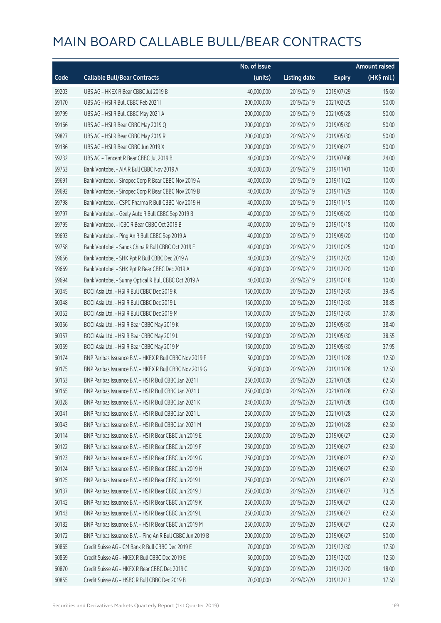|       |                                                            | No. of issue |                     |               | <b>Amount raised</b> |
|-------|------------------------------------------------------------|--------------|---------------------|---------------|----------------------|
| Code  | <b>Callable Bull/Bear Contracts</b>                        | (units)      | <b>Listing date</b> | <b>Expiry</b> | (HK\$ mil.)          |
| 59203 | UBS AG - HKEX R Bear CBBC Jul 2019 B                       | 40,000,000   | 2019/02/19          | 2019/07/29    | 15.60                |
| 59170 | UBS AG - HSI R Bull CBBC Feb 2021 I                        | 200,000,000  | 2019/02/19          | 2021/02/25    | 50.00                |
| 59799 | UBS AG - HSI R Bull CBBC May 2021 A                        | 200,000,000  | 2019/02/19          | 2021/05/28    | 50.00                |
| 59166 | UBS AG - HSI R Bear CBBC May 2019 Q                        | 200,000,000  | 2019/02/19          | 2019/05/30    | 50.00                |
| 59827 | UBS AG - HSI R Bear CBBC May 2019 R                        | 200,000,000  | 2019/02/19          | 2019/05/30    | 50.00                |
| 59186 | UBS AG - HSI R Bear CBBC Jun 2019 X                        | 200,000,000  | 2019/02/19          | 2019/06/27    | 50.00                |
| 59232 | UBS AG - Tencent R Bear CBBC Jul 2019 B                    | 40,000,000   | 2019/02/19          | 2019/07/08    | 24.00                |
| 59763 | Bank Vontobel - AIA R Bull CBBC Nov 2019 A                 | 40,000,000   | 2019/02/19          | 2019/11/01    | 10.00                |
| 59691 | Bank Vontobel - Sinopec Corp R Bear CBBC Nov 2019 A        | 40,000,000   | 2019/02/19          | 2019/11/22    | 10.00                |
| 59692 | Bank Vontobel - Sinopec Corp R Bear CBBC Nov 2019 B        | 40,000,000   | 2019/02/19          | 2019/11/29    | 10.00                |
| 59798 | Bank Vontobel - CSPC Pharma R Bull CBBC Nov 2019 H         | 40,000,000   | 2019/02/19          | 2019/11/15    | 10.00                |
| 59797 | Bank Vontobel - Geely Auto R Bull CBBC Sep 2019 B          | 40,000,000   | 2019/02/19          | 2019/09/20    | 10.00                |
| 59795 | Bank Vontobel - ICBC R Bear CBBC Oct 2019 B                | 40,000,000   | 2019/02/19          | 2019/10/18    | 10.00                |
| 59693 | Bank Vontobel - Ping An R Bull CBBC Sep 2019 A             | 40,000,000   | 2019/02/19          | 2019/09/20    | 10.00                |
| 59758 | Bank Vontobel - Sands China R Bull CBBC Oct 2019 E         | 40,000,000   | 2019/02/19          | 2019/10/25    | 10.00                |
| 59656 | Bank Vontobel - SHK Ppt R Bull CBBC Dec 2019 A             | 40,000,000   | 2019/02/19          | 2019/12/20    | 10.00                |
| 59669 | Bank Vontobel - SHK Ppt R Bear CBBC Dec 2019 A             | 40,000,000   | 2019/02/19          | 2019/12/20    | 10.00                |
| 59694 | Bank Vontobel - Sunny Optical R Bull CBBC Oct 2019 A       | 40,000,000   | 2019/02/19          | 2019/10/18    | 10.00                |
| 60345 | BOCI Asia Ltd. - HSI R Bull CBBC Dec 2019 K                | 150,000,000  | 2019/02/20          | 2019/12/30    | 39.45                |
| 60348 | BOCI Asia Ltd. - HSI R Bull CBBC Dec 2019 L                | 150,000,000  | 2019/02/20          | 2019/12/30    | 38.85                |
| 60352 | BOCI Asia Ltd. - HSI R Bull CBBC Dec 2019 M                | 150,000,000  | 2019/02/20          | 2019/12/30    | 37.80                |
| 60356 | BOCI Asia Ltd. - HSI R Bear CBBC May 2019 K                | 150,000,000  | 2019/02/20          | 2019/05/30    | 38.40                |
| 60357 | BOCI Asia Ltd. - HSI R Bear CBBC May 2019 L                | 150,000,000  | 2019/02/20          | 2019/05/30    | 38.55                |
| 60359 | BOCI Asia Ltd. - HSI R Bear CBBC May 2019 M                | 150,000,000  | 2019/02/20          | 2019/05/30    | 37.95                |
| 60174 | BNP Paribas Issuance B.V. - HKEX R Bull CBBC Nov 2019 F    | 50,000,000   | 2019/02/20          | 2019/11/28    | 12.50                |
| 60175 | BNP Paribas Issuance B.V. - HKEX R Bull CBBC Nov 2019 G    | 50,000,000   | 2019/02/20          | 2019/11/28    | 12.50                |
| 60163 | BNP Paribas Issuance B.V. - HSI R Bull CBBC Jan 2021 I     | 250,000,000  | 2019/02/20          | 2021/01/28    | 62.50                |
| 60165 | BNP Paribas Issuance B.V. - HSI R Bull CBBC Jan 2021 J     | 250,000,000  | 2019/02/20          | 2021/01/28    | 62.50                |
| 60328 | BNP Paribas Issuance B.V. - HSI R Bull CBBC Jan 2021 K     | 240,000,000  | 2019/02/20          | 2021/01/28    | 60.00                |
| 60341 | BNP Paribas Issuance B.V. - HSI R Bull CBBC Jan 2021 L     | 250,000,000  | 2019/02/20          | 2021/01/28    | 62.50                |
| 60343 | BNP Paribas Issuance B.V. - HSI R Bull CBBC Jan 2021 M     | 250,000,000  | 2019/02/20          | 2021/01/28    | 62.50                |
| 60114 | BNP Paribas Issuance B.V. - HSI R Bear CBBC Jun 2019 E     | 250,000,000  | 2019/02/20          | 2019/06/27    | 62.50                |
| 60122 | BNP Paribas Issuance B.V. - HSI R Bear CBBC Jun 2019 F     | 250,000,000  | 2019/02/20          | 2019/06/27    | 62.50                |
| 60123 | BNP Paribas Issuance B.V. - HSI R Bear CBBC Jun 2019 G     | 250,000,000  | 2019/02/20          | 2019/06/27    | 62.50                |
| 60124 | BNP Paribas Issuance B.V. - HSI R Bear CBBC Jun 2019 H     | 250,000,000  | 2019/02/20          | 2019/06/27    | 62.50                |
| 60125 | BNP Paribas Issuance B.V. - HSI R Bear CBBC Jun 2019 I     | 250,000,000  | 2019/02/20          | 2019/06/27    | 62.50                |
| 60137 | BNP Paribas Issuance B.V. - HSI R Bear CBBC Jun 2019 J     | 250,000,000  | 2019/02/20          | 2019/06/27    | 73.25                |
| 60142 | BNP Paribas Issuance B.V. - HSI R Bear CBBC Jun 2019 K     | 250,000,000  | 2019/02/20          | 2019/06/27    | 62.50                |
| 60143 | BNP Paribas Issuance B.V. - HSI R Bear CBBC Jun 2019 L     | 250,000,000  | 2019/02/20          | 2019/06/27    | 62.50                |
| 60182 | BNP Paribas Issuance B.V. - HSI R Bear CBBC Jun 2019 M     | 250,000,000  | 2019/02/20          | 2019/06/27    | 62.50                |
| 60172 | BNP Paribas Issuance B.V. - Ping An R Bull CBBC Jun 2019 B | 200,000,000  | 2019/02/20          | 2019/06/27    | 50.00                |
| 60865 | Credit Suisse AG - CM Bank R Bull CBBC Dec 2019 E          | 70,000,000   | 2019/02/20          | 2019/12/30    | 17.50                |
| 60869 | Credit Suisse AG - HKEX R Bull CBBC Dec 2019 E             | 50,000,000   | 2019/02/20          | 2019/12/20    | 12.50                |
| 60870 | Credit Suisse AG - HKEX R Bear CBBC Dec 2019 C             | 50,000,000   | 2019/02/20          | 2019/12/20    | 18.00                |
| 60855 | Credit Suisse AG - HSBC R Bull CBBC Dec 2019 B             | 70,000,000   | 2019/02/20          | 2019/12/13    | 17.50                |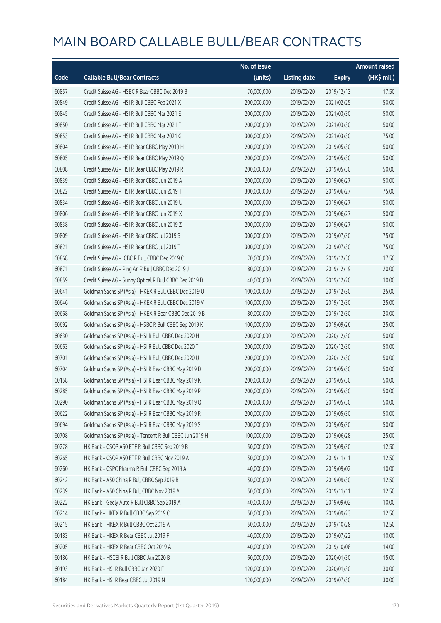|       |                                                          | No. of issue |                     |               | <b>Amount raised</b> |
|-------|----------------------------------------------------------|--------------|---------------------|---------------|----------------------|
| Code  | <b>Callable Bull/Bear Contracts</b>                      | (units)      | <b>Listing date</b> | <b>Expiry</b> | (HK\$ mil.)          |
| 60857 | Credit Suisse AG - HSBC R Bear CBBC Dec 2019 B           | 70,000,000   | 2019/02/20          | 2019/12/13    | 17.50                |
| 60849 | Credit Suisse AG - HSI R Bull CBBC Feb 2021 X            | 200,000,000  | 2019/02/20          | 2021/02/25    | 50.00                |
| 60845 | Credit Suisse AG - HSI R Bull CBBC Mar 2021 E            | 200,000,000  | 2019/02/20          | 2021/03/30    | 50.00                |
| 60850 | Credit Suisse AG - HSI R Bull CBBC Mar 2021 F            | 200,000,000  | 2019/02/20          | 2021/03/30    | 50.00                |
| 60853 | Credit Suisse AG - HSI R Bull CBBC Mar 2021 G            | 300,000,000  | 2019/02/20          | 2021/03/30    | 75.00                |
| 60804 | Credit Suisse AG - HSI R Bear CBBC May 2019 H            | 200,000,000  | 2019/02/20          | 2019/05/30    | 50.00                |
| 60805 | Credit Suisse AG - HSI R Bear CBBC May 2019 Q            | 200,000,000  | 2019/02/20          | 2019/05/30    | 50.00                |
| 60808 | Credit Suisse AG - HSI R Bear CBBC May 2019 R            | 200,000,000  | 2019/02/20          | 2019/05/30    | 50.00                |
| 60839 | Credit Suisse AG - HSI R Bear CBBC Jun 2019 A            | 200,000,000  | 2019/02/20          | 2019/06/27    | 50.00                |
| 60822 | Credit Suisse AG - HSI R Bear CBBC Jun 2019 T            | 300,000,000  | 2019/02/20          | 2019/06/27    | 75.00                |
| 60834 | Credit Suisse AG - HSI R Bear CBBC Jun 2019 U            | 200,000,000  | 2019/02/20          | 2019/06/27    | 50.00                |
| 60806 | Credit Suisse AG - HSI R Bear CBBC Jun 2019 X            | 200,000,000  | 2019/02/20          | 2019/06/27    | 50.00                |
| 60838 | Credit Suisse AG - HSI R Bear CBBC Jun 2019 Z            | 200,000,000  | 2019/02/20          | 2019/06/27    | 50.00                |
| 60809 | Credit Suisse AG - HSI R Bear CBBC Jul 2019 S            | 300,000,000  | 2019/02/20          | 2019/07/30    | 75.00                |
| 60821 | Credit Suisse AG - HSI R Bear CBBC Jul 2019 T            | 300,000,000  | 2019/02/20          | 2019/07/30    | 75.00                |
| 60868 | Credit Suisse AG - ICBC R Bull CBBC Dec 2019 C           | 70,000,000   | 2019/02/20          | 2019/12/30    | 17.50                |
| 60871 | Credit Suisse AG - Ping An R Bull CBBC Dec 2019 J        | 80,000,000   | 2019/02/20          | 2019/12/19    | 20.00                |
| 60859 | Credit Suisse AG - Sunny Optical R Bull CBBC Dec 2019 D  | 40,000,000   | 2019/02/20          | 2019/12/20    | 10.00                |
| 60641 | Goldman Sachs SP (Asia) - HKEX R Bull CBBC Dec 2019 U    | 100,000,000  | 2019/02/20          | 2019/12/30    | 25.00                |
| 60646 | Goldman Sachs SP (Asia) - HKEX R Bull CBBC Dec 2019 V    | 100,000,000  | 2019/02/20          | 2019/12/30    | 25.00                |
| 60668 | Goldman Sachs SP (Asia) - HKEX R Bear CBBC Dec 2019 B    | 80,000,000   | 2019/02/20          | 2019/12/30    | 20.00                |
| 60692 | Goldman Sachs SP (Asia) - HSBC R Bull CBBC Sep 2019 K    | 100,000,000  | 2019/02/20          | 2019/09/26    | 25.00                |
| 60630 | Goldman Sachs SP (Asia) - HSI R Bull CBBC Dec 2020 H     | 200,000,000  | 2019/02/20          | 2020/12/30    | 50.00                |
| 60663 | Goldman Sachs SP (Asia) - HSI R Bull CBBC Dec 2020 T     | 200,000,000  | 2019/02/20          | 2020/12/30    | 50.00                |
| 60701 | Goldman Sachs SP (Asia) - HSI R Bull CBBC Dec 2020 U     | 200,000,000  | 2019/02/20          | 2020/12/30    | 50.00                |
| 60704 | Goldman Sachs SP (Asia) - HSI R Bear CBBC May 2019 D     | 200,000,000  | 2019/02/20          | 2019/05/30    | 50.00                |
| 60158 | Goldman Sachs SP (Asia) - HSI R Bear CBBC May 2019 K     | 200,000,000  | 2019/02/20          | 2019/05/30    | 50.00                |
| 60285 | Goldman Sachs SP (Asia) - HSI R Bear CBBC May 2019 P     | 200,000,000  | 2019/02/20          | 2019/05/30    | 50.00                |
| 60290 | Goldman Sachs SP (Asia) - HSI R Bear CBBC May 2019 Q     | 200,000,000  | 2019/02/20          | 2019/05/30    | 50.00                |
| 60622 | Goldman Sachs SP (Asia) - HSI R Bear CBBC May 2019 R     | 200,000,000  | 2019/02/20          | 2019/05/30    | 50.00                |
| 60694 | Goldman Sachs SP (Asia) - HSI R Bear CBBC May 2019 S     | 200,000,000  | 2019/02/20          | 2019/05/30    | 50.00                |
| 60708 | Goldman Sachs SP (Asia) - Tencent R Bull CBBC Jun 2019 H | 100,000,000  | 2019/02/20          | 2019/06/28    | 25.00                |
| 60278 | HK Bank - CSOP A50 ETF R Bull CBBC Sep 2019 B            | 50,000,000   | 2019/02/20          | 2019/09/30    | 12.50                |
| 60265 | HK Bank - CSOP A50 ETF R Bull CBBC Nov 2019 A            | 50,000,000   | 2019/02/20          | 2019/11/11    | 12.50                |
| 60260 | HK Bank - CSPC Pharma R Bull CBBC Sep 2019 A             | 40,000,000   | 2019/02/20          | 2019/09/02    | 10.00                |
| 60242 | HK Bank - A50 China R Bull CBBC Sep 2019 B               | 50,000,000   | 2019/02/20          | 2019/09/30    | 12.50                |
| 60239 | HK Bank - A50 China R Bull CBBC Nov 2019 A               | 50,000,000   | 2019/02/20          | 2019/11/11    | 12.50                |
| 60222 | HK Bank - Geely Auto R Bull CBBC Sep 2019 A              | 40,000,000   | 2019/02/20          | 2019/09/02    | 10.00                |
| 60214 | HK Bank - HKEX R Bull CBBC Sep 2019 C                    | 50,000,000   | 2019/02/20          | 2019/09/23    | 12.50                |
| 60215 | HK Bank - HKEX R Bull CBBC Oct 2019 A                    | 50,000,000   | 2019/02/20          | 2019/10/28    | 12.50                |
| 60183 | HK Bank - HKEX R Bear CBBC Jul 2019 F                    | 40,000,000   | 2019/02/20          | 2019/07/22    | 10.00                |
| 60205 | HK Bank - HKEX R Bear CBBC Oct 2019 A                    | 40,000,000   | 2019/02/20          | 2019/10/08    | 14.00                |
| 60186 | HK Bank - HSCEI R Bull CBBC Jan 2020 B                   | 60,000,000   | 2019/02/20          | 2020/01/30    | 15.00                |
| 60193 | HK Bank - HSI R Bull CBBC Jan 2020 F                     | 120,000,000  | 2019/02/20          | 2020/01/30    | 30.00                |
| 60184 | HK Bank - HSI R Bear CBBC Jul 2019 N                     | 120,000,000  | 2019/02/20          | 2019/07/30    | 30.00                |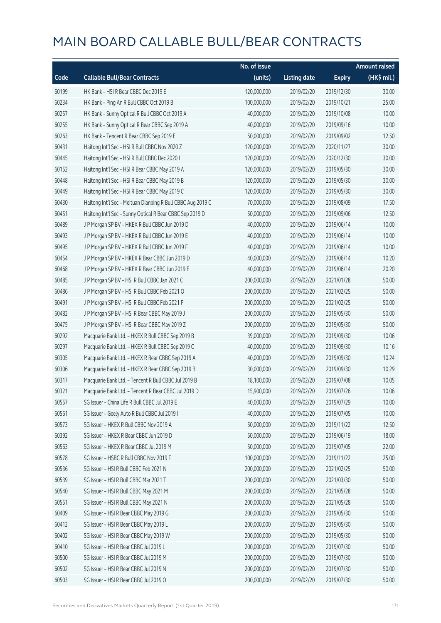|       |                                                             | No. of issue |                     |               | <b>Amount raised</b> |
|-------|-------------------------------------------------------------|--------------|---------------------|---------------|----------------------|
| Code  | <b>Callable Bull/Bear Contracts</b>                         | (units)      | <b>Listing date</b> | <b>Expiry</b> | (HK\$ mil.)          |
| 60199 | HK Bank - HSI R Bear CBBC Dec 2019 E                        | 120,000,000  | 2019/02/20          | 2019/12/30    | 30.00                |
| 60234 | HK Bank - Ping An R Bull CBBC Oct 2019 B                    | 100,000,000  | 2019/02/20          | 2019/10/21    | 25.00                |
| 60257 | HK Bank - Sunny Optical R Bull CBBC Oct 2019 A              | 40,000,000   | 2019/02/20          | 2019/10/08    | 10.00                |
| 60255 | HK Bank - Sunny Optical R Bear CBBC Sep 2019 A              | 40,000,000   | 2019/02/20          | 2019/09/16    | 10.00                |
| 60263 | HK Bank - Tencent R Bear CBBC Sep 2019 E                    | 50,000,000   | 2019/02/20          | 2019/09/02    | 12.50                |
| 60431 | Haitong Int'l Sec - HSI R Bull CBBC Nov 2020 Z              | 120,000,000  | 2019/02/20          | 2020/11/27    | 30.00                |
| 60445 | Haitong Int'l Sec - HSI R Bull CBBC Dec 2020 I              | 120,000,000  | 2019/02/20          | 2020/12/30    | 30.00                |
| 60152 | Haitong Int'l Sec - HSI R Bear CBBC May 2019 A              | 120,000,000  | 2019/02/20          | 2019/05/30    | 30.00                |
| 60448 | Haitong Int'l Sec - HSI R Bear CBBC May 2019 B              | 120,000,000  | 2019/02/20          | 2019/05/30    | 30.00                |
| 60449 | Haitong Int'l Sec - HSI R Bear CBBC May 2019 C              | 120,000,000  | 2019/02/20          | 2019/05/30    | 30.00                |
| 60430 | Haitong Int'l Sec - Meituan Dianping R Bull CBBC Aug 2019 C | 70,000,000   | 2019/02/20          | 2019/08/09    | 17.50                |
| 60451 | Haitong Int'l Sec - Sunny Optical R Bear CBBC Sep 2019 D    | 50,000,000   | 2019/02/20          | 2019/09/06    | 12.50                |
| 60489 | J P Morgan SP BV - HKEX R Bull CBBC Jun 2019 D              | 40,000,000   | 2019/02/20          | 2019/06/14    | 10.00                |
| 60493 | J P Morgan SP BV - HKEX R Bull CBBC Jun 2019 E              | 40,000,000   | 2019/02/20          | 2019/06/14    | 10.00                |
| 60495 | J P Morgan SP BV - HKEX R Bull CBBC Jun 2019 F              | 40,000,000   | 2019/02/20          | 2019/06/14    | 10.00                |
| 60454 | J P Morgan SP BV - HKEX R Bear CBBC Jun 2019 D              | 40,000,000   | 2019/02/20          | 2019/06/14    | 10.20                |
| 60468 | J P Morgan SP BV - HKEX R Bear CBBC Jun 2019 E              | 40,000,000   | 2019/02/20          | 2019/06/14    | 20.20                |
| 60485 | J P Morgan SP BV - HSI R Bull CBBC Jan 2021 C               | 200,000,000  | 2019/02/20          | 2021/01/28    | 50.00                |
| 60486 | J P Morgan SP BV - HSI R Bull CBBC Feb 2021 O               | 200,000,000  | 2019/02/20          | 2021/02/25    | 50.00                |
| 60491 | J P Morgan SP BV - HSI R Bull CBBC Feb 2021 P               | 200,000,000  | 2019/02/20          | 2021/02/25    | 50.00                |
| 60482 | J P Morgan SP BV - HSI R Bear CBBC May 2019 J               | 200,000,000  | 2019/02/20          | 2019/05/30    | 50.00                |
| 60475 | J P Morgan SP BV - HSI R Bear CBBC May 2019 Z               | 200,000,000  | 2019/02/20          | 2019/05/30    | 50.00                |
| 60292 | Macquarie Bank Ltd. - HKEX R Bull CBBC Sep 2019 B           | 39,000,000   | 2019/02/20          | 2019/09/30    | 10.06                |
| 60297 | Macquarie Bank Ltd. - HKEX R Bull CBBC Sep 2019 C           | 40,000,000   | 2019/02/20          | 2019/09/30    | 10.16                |
| 60305 | Macquarie Bank Ltd. - HKEX R Bear CBBC Sep 2019 A           | 40,000,000   | 2019/02/20          | 2019/09/30    | 10.24                |
| 60306 | Macquarie Bank Ltd. - HKEX R Bear CBBC Sep 2019 B           | 30,000,000   | 2019/02/20          | 2019/09/30    | 10.29                |
| 60317 | Macquarie Bank Ltd. - Tencent R Bull CBBC Jul 2019 B        | 18,100,000   | 2019/02/20          | 2019/07/08    | 10.05                |
| 60321 | Macquarie Bank Ltd. - Tencent R Bear CBBC Jul 2019 D        | 15,900,000   | 2019/02/20          | 2019/07/26    | 10.06                |
| 60557 | SG Issuer - China Life R Bull CBBC Jul 2019 E               | 40,000,000   | 2019/02/20          | 2019/07/29    | 10.00                |
| 60561 | SG Issuer - Geely Auto R Bull CBBC Jul 2019 I               | 40,000,000   | 2019/02/20          | 2019/07/05    | 10.00                |
| 60573 | SG Issuer - HKEX R Bull CBBC Nov 2019 A                     | 50,000,000   | 2019/02/20          | 2019/11/22    | 12.50                |
| 60392 | SG Issuer - HKEX R Bear CBBC Jun 2019 D                     | 50,000,000   | 2019/02/20          | 2019/06/19    | 18.00                |
| 60563 | SG Issuer - HKEX R Bear CBBC Jul 2019 M                     | 50,000,000   | 2019/02/20          | 2019/07/05    | 22.00                |
| 60578 | SG Issuer - HSBC R Bull CBBC Nov 2019 F                     | 100,000,000  | 2019/02/20          | 2019/11/22    | 25.00                |
| 60536 | SG Issuer - HSI R Bull CBBC Feb 2021 N                      | 200,000,000  | 2019/02/20          | 2021/02/25    | 50.00                |
| 60539 | SG Issuer - HSI R Bull CBBC Mar 2021 T                      | 200,000,000  | 2019/02/20          | 2021/03/30    | 50.00                |
| 60540 | SG Issuer - HSI R Bull CBBC May 2021 M                      | 200,000,000  | 2019/02/20          | 2021/05/28    | 50.00                |
| 60551 | SG Issuer - HSI R Bull CBBC May 2021 N                      | 200,000,000  | 2019/02/20          | 2021/05/28    | 50.00                |
| 60409 | SG Issuer - HSI R Bear CBBC May 2019 G                      | 200,000,000  | 2019/02/20          | 2019/05/30    | 50.00                |
| 60412 | SG Issuer - HSI R Bear CBBC May 2019 L                      | 200,000,000  | 2019/02/20          | 2019/05/30    | 50.00                |
| 60402 | SG Issuer - HSI R Bear CBBC May 2019 W                      | 200,000,000  | 2019/02/20          | 2019/05/30    | 50.00                |
| 60410 | SG Issuer - HSI R Bear CBBC Jul 2019 L                      | 200,000,000  | 2019/02/20          | 2019/07/30    | 50.00                |
| 60500 | SG Issuer - HSI R Bear CBBC Jul 2019 M                      | 200,000,000  | 2019/02/20          | 2019/07/30    | 50.00                |
| 60502 | SG Issuer - HSI R Bear CBBC Jul 2019 N                      | 200,000,000  | 2019/02/20          | 2019/07/30    | 50.00                |
| 60503 | SG Issuer - HSI R Bear CBBC Jul 2019 O                      | 200,000,000  | 2019/02/20          | 2019/07/30    | 50.00                |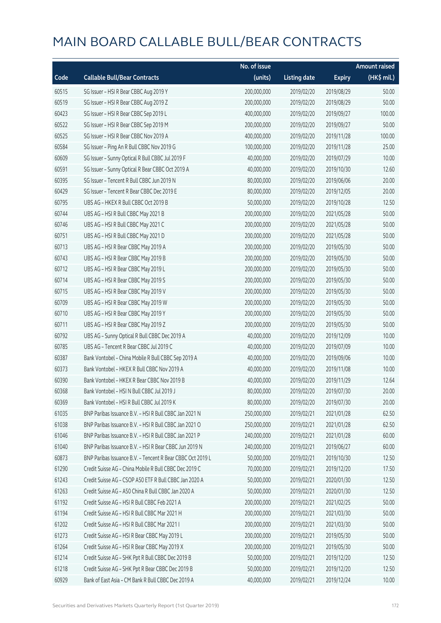|       |                                                            | No. of issue |                     |               | <b>Amount raised</b> |
|-------|------------------------------------------------------------|--------------|---------------------|---------------|----------------------|
| Code  | <b>Callable Bull/Bear Contracts</b>                        | (units)      | <b>Listing date</b> | <b>Expiry</b> | (HK\$ mil.)          |
| 60515 | SG Issuer - HSI R Bear CBBC Aug 2019 Y                     | 200,000,000  | 2019/02/20          | 2019/08/29    | 50.00                |
| 60519 | SG Issuer - HSI R Bear CBBC Aug 2019 Z                     | 200,000,000  | 2019/02/20          | 2019/08/29    | 50.00                |
| 60423 | SG Issuer - HSI R Bear CBBC Sep 2019 L                     | 400,000,000  | 2019/02/20          | 2019/09/27    | 100.00               |
| 60522 | SG Issuer - HSI R Bear CBBC Sep 2019 M                     | 200,000,000  | 2019/02/20          | 2019/09/27    | 50.00                |
| 60525 | SG Issuer - HSI R Bear CBBC Nov 2019 A                     | 400,000,000  | 2019/02/20          | 2019/11/28    | 100.00               |
| 60584 | SG Issuer - Ping An R Bull CBBC Nov 2019 G                 | 100,000,000  | 2019/02/20          | 2019/11/28    | 25.00                |
| 60609 | SG Issuer - Sunny Optical R Bull CBBC Jul 2019 F           | 40,000,000   | 2019/02/20          | 2019/07/29    | 10.00                |
| 60591 | SG Issuer - Sunny Optical R Bear CBBC Oct 2019 A           | 40,000,000   | 2019/02/20          | 2019/10/30    | 12.60                |
| 60395 | SG Issuer - Tencent R Bull CBBC Jun 2019 N                 | 80,000,000   | 2019/02/20          | 2019/06/06    | 20.00                |
| 60429 | SG Issuer - Tencent R Bear CBBC Dec 2019 E                 | 80,000,000   | 2019/02/20          | 2019/12/05    | 20.00                |
| 60795 | UBS AG - HKEX R Bull CBBC Oct 2019 B                       | 50,000,000   | 2019/02/20          | 2019/10/28    | 12.50                |
| 60744 | UBS AG - HSI R Bull CBBC May 2021 B                        | 200,000,000  | 2019/02/20          | 2021/05/28    | 50.00                |
| 60746 | UBS AG - HSI R Bull CBBC May 2021 C                        | 200,000,000  | 2019/02/20          | 2021/05/28    | 50.00                |
| 60751 | UBS AG - HSI R Bull CBBC May 2021 D                        | 200,000,000  | 2019/02/20          | 2021/05/28    | 50.00                |
| 60713 | UBS AG - HSI R Bear CBBC May 2019 A                        | 200,000,000  | 2019/02/20          | 2019/05/30    | 50.00                |
| 60743 | UBS AG - HSI R Bear CBBC May 2019 B                        | 200,000,000  | 2019/02/20          | 2019/05/30    | 50.00                |
| 60712 | UBS AG - HSI R Bear CBBC May 2019 L                        | 200,000,000  | 2019/02/20          | 2019/05/30    | 50.00                |
| 60714 | UBS AG - HSI R Bear CBBC May 2019 S                        | 200,000,000  | 2019/02/20          | 2019/05/30    | 50.00                |
| 60715 | UBS AG - HSI R Bear CBBC May 2019 V                        | 200,000,000  | 2019/02/20          | 2019/05/30    | 50.00                |
| 60709 | UBS AG - HSI R Bear CBBC May 2019 W                        | 200,000,000  | 2019/02/20          | 2019/05/30    | 50.00                |
| 60710 | UBS AG - HSI R Bear CBBC May 2019 Y                        | 200,000,000  | 2019/02/20          | 2019/05/30    | 50.00                |
| 60711 | UBS AG - HSI R Bear CBBC May 2019 Z                        | 200,000,000  | 2019/02/20          | 2019/05/30    | 50.00                |
| 60792 | UBS AG - Sunny Optical R Bull CBBC Dec 2019 A              | 40,000,000   | 2019/02/20          | 2019/12/09    | 10.00                |
| 60785 | UBS AG - Tencent R Bear CBBC Jul 2019 C                    | 40,000,000   | 2019/02/20          | 2019/07/09    | 10.00                |
| 60387 | Bank Vontobel - China Mobile R Bull CBBC Sep 2019 A        | 40,000,000   | 2019/02/20          | 2019/09/06    | 10.00                |
| 60373 | Bank Vontobel - HKEX R Bull CBBC Nov 2019 A                | 40,000,000   | 2019/02/20          | 2019/11/08    | 10.00                |
| 60390 | Bank Vontobel - HKEX R Bear CBBC Nov 2019 B                | 40,000,000   | 2019/02/20          | 2019/11/29    | 12.64                |
| 60368 | Bank Vontobel - HSI N Bull CBBC Jul 2019 J                 | 80,000,000   | 2019/02/20          | 2019/07/30    | 20.00                |
| 60369 | Bank Vontobel - HSI R Bull CBBC Jul 2019 K                 | 80,000,000   | 2019/02/20          | 2019/07/30    | 20.00                |
| 61035 | BNP Paribas Issuance B.V. - HSI R Bull CBBC Jan 2021 N     | 250,000,000  | 2019/02/21          | 2021/01/28    | 62.50                |
| 61038 | BNP Paribas Issuance B.V. - HSI R Bull CBBC Jan 2021 O     | 250,000,000  | 2019/02/21          | 2021/01/28    | 62.50                |
| 61046 | BNP Paribas Issuance B.V. - HSI R Bull CBBC Jan 2021 P     | 240,000,000  | 2019/02/21          | 2021/01/28    | 60.00                |
| 61040 | BNP Paribas Issuance B.V. - HSI R Bear CBBC Jun 2019 N     | 240,000,000  | 2019/02/21          | 2019/06/27    | 60.00                |
| 60873 | BNP Paribas Issuance B.V. - Tencent R Bear CBBC Oct 2019 L | 50,000,000   | 2019/02/21          | 2019/10/30    | 12.50                |
| 61290 | Credit Suisse AG - China Mobile R Bull CBBC Dec 2019 C     | 70,000,000   | 2019/02/21          | 2019/12/20    | 17.50                |
| 61243 | Credit Suisse AG - CSOP A50 ETF R Bull CBBC Jan 2020 A     | 50,000,000   | 2019/02/21          | 2020/01/30    | 12.50                |
| 61263 | Credit Suisse AG - A50 China R Bull CBBC Jan 2020 A        | 50,000,000   | 2019/02/21          | 2020/01/30    | 12.50                |
| 61192 | Credit Suisse AG - HSI R Bull CBBC Feb 2021 A              | 200,000,000  | 2019/02/21          | 2021/02/25    | 50.00                |
| 61194 | Credit Suisse AG - HSI R Bull CBBC Mar 2021 H              | 200,000,000  | 2019/02/21          | 2021/03/30    | 50.00                |
| 61202 | Credit Suisse AG - HSI R Bull CBBC Mar 2021 I              | 200,000,000  | 2019/02/21          | 2021/03/30    | 50.00                |
| 61273 | Credit Suisse AG - HSI R Bear CBBC May 2019 L              | 200,000,000  | 2019/02/21          | 2019/05/30    | 50.00                |
| 61264 | Credit Suisse AG - HSI R Bear CBBC May 2019 X              | 200,000,000  | 2019/02/21          | 2019/05/30    | 50.00                |
| 61214 | Credit Suisse AG - SHK Ppt R Bull CBBC Dec 2019 B          | 50,000,000   | 2019/02/21          | 2019/12/20    | 12.50                |
| 61218 | Credit Suisse AG - SHK Ppt R Bear CBBC Dec 2019 B          | 50,000,000   | 2019/02/21          | 2019/12/20    | 12.50                |
| 60929 | Bank of East Asia - CM Bank R Bull CBBC Dec 2019 A         | 40,000,000   | 2019/02/21          | 2019/12/24    | 10.00                |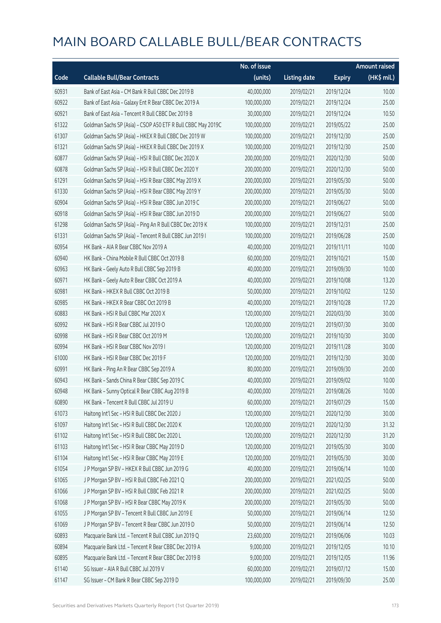|       |                                                              | No. of issue |                     |               | <b>Amount raised</b>  |
|-------|--------------------------------------------------------------|--------------|---------------------|---------------|-----------------------|
| Code  | <b>Callable Bull/Bear Contracts</b>                          | (units)      | <b>Listing date</b> | <b>Expiry</b> | $(HK\frac{1}{2}mil.)$ |
| 60931 | Bank of East Asia - CM Bank R Bull CBBC Dec 2019 B           | 40,000,000   | 2019/02/21          | 2019/12/24    | 10.00                 |
| 60922 | Bank of East Asia - Galaxy Ent R Bear CBBC Dec 2019 A        | 100,000,000  | 2019/02/21          | 2019/12/24    | 25.00                 |
| 60921 | Bank of East Asia - Tencent R Bull CBBC Dec 2019 B           | 30,000,000   | 2019/02/21          | 2019/12/24    | 10.50                 |
| 61322 | Goldman Sachs SP (Asia) - CSOP A50 ETF R Bull CBBC May 2019C | 100,000,000  | 2019/02/21          | 2019/05/22    | 25.00                 |
| 61307 | Goldman Sachs SP (Asia) - HKEX R Bull CBBC Dec 2019 W        | 100,000,000  | 2019/02/21          | 2019/12/30    | 25.00                 |
| 61321 | Goldman Sachs SP (Asia) - HKEX R Bull CBBC Dec 2019 X        | 100,000,000  | 2019/02/21          | 2019/12/30    | 25.00                 |
| 60877 | Goldman Sachs SP (Asia) - HSI R Bull CBBC Dec 2020 X         | 200,000,000  | 2019/02/21          | 2020/12/30    | 50.00                 |
| 60878 | Goldman Sachs SP (Asia) - HSI R Bull CBBC Dec 2020 Y         | 200,000,000  | 2019/02/21          | 2020/12/30    | 50.00                 |
| 61291 | Goldman Sachs SP (Asia) - HSI R Bear CBBC May 2019 X         | 200,000,000  | 2019/02/21          | 2019/05/30    | 50.00                 |
| 61330 | Goldman Sachs SP (Asia) - HSI R Bear CBBC May 2019 Y         | 200,000,000  | 2019/02/21          | 2019/05/30    | 50.00                 |
| 60904 | Goldman Sachs SP (Asia) - HSI R Bear CBBC Jun 2019 C         | 200,000,000  | 2019/02/21          | 2019/06/27    | 50.00                 |
| 60918 | Goldman Sachs SP (Asia) - HSI R Bear CBBC Jun 2019 D         | 200,000,000  | 2019/02/21          | 2019/06/27    | 50.00                 |
| 61298 | Goldman Sachs SP (Asia) - Ping An R Bull CBBC Dec 2019 K     | 100,000,000  | 2019/02/21          | 2019/12/31    | 25.00                 |
| 61331 | Goldman Sachs SP (Asia) - Tencent R Bull CBBC Jun 2019 I     | 100,000,000  | 2019/02/21          | 2019/06/28    | 25.00                 |
| 60954 | HK Bank - AIA R Bear CBBC Nov 2019 A                         | 40,000,000   | 2019/02/21          | 2019/11/11    | 10.00                 |
| 60940 | HK Bank - China Mobile R Bull CBBC Oct 2019 B                | 60,000,000   | 2019/02/21          | 2019/10/21    | 15.00                 |
| 60963 | HK Bank - Geely Auto R Bull CBBC Sep 2019 B                  | 40,000,000   | 2019/02/21          | 2019/09/30    | 10.00                 |
| 60971 | HK Bank - Geely Auto R Bear CBBC Oct 2019 A                  | 40,000,000   | 2019/02/21          | 2019/10/08    | 13.20                 |
| 60981 | HK Bank - HKEX R Bull CBBC Oct 2019 B                        | 50,000,000   | 2019/02/21          | 2019/10/02    | 12.50                 |
| 60985 | HK Bank - HKEX R Bear CBBC Oct 2019 B                        | 40,000,000   | 2019/02/21          | 2019/10/28    | 17.20                 |
| 60883 | HK Bank - HSI R Bull CBBC Mar 2020 X                         | 120,000,000  | 2019/02/21          | 2020/03/30    | 30.00                 |
| 60992 | HK Bank - HSI R Bear CBBC Jul 2019 O                         | 120,000,000  | 2019/02/21          | 2019/07/30    | 30.00                 |
| 60998 | HK Bank - HSI R Bear CBBC Oct 2019 M                         | 120,000,000  | 2019/02/21          | 2019/10/30    | 30.00                 |
| 60994 | HK Bank - HSI R Bear CBBC Nov 2019 I                         | 120,000,000  | 2019/02/21          | 2019/11/28    | 30.00                 |
| 61000 | HK Bank - HSI R Bear CBBC Dec 2019 F                         | 120,000,000  | 2019/02/21          | 2019/12/30    | 30.00                 |
| 60991 | HK Bank - Ping An R Bear CBBC Sep 2019 A                     | 80,000,000   | 2019/02/21          | 2019/09/30    | 20.00                 |
| 60943 | HK Bank - Sands China R Bear CBBC Sep 2019 C                 | 40,000,000   | 2019/02/21          | 2019/09/02    | 10.00                 |
| 60948 | HK Bank - Sunny Optical R Bear CBBC Aug 2019 B               | 40,000,000   | 2019/02/21          | 2019/08/26    | 10.00                 |
| 60890 | HK Bank - Tencent R Bull CBBC Jul 2019 U                     | 60,000,000   | 2019/02/21          | 2019/07/29    | 15.00                 |
| 61073 | Haitong Int'l Sec - HSI R Bull CBBC Dec 2020 J               | 120,000,000  | 2019/02/21          | 2020/12/30    | 30.00                 |
| 61097 | Haitong Int'l Sec - HSI R Bull CBBC Dec 2020 K               | 120,000,000  | 2019/02/21          | 2020/12/30    | 31.32                 |
| 61102 | Haitong Int'l Sec - HSI R Bull CBBC Dec 2020 L               | 120,000,000  | 2019/02/21          | 2020/12/30    | 31.20                 |
| 61103 | Haitong Int'l Sec - HSI R Bear CBBC May 2019 D               | 120,000,000  | 2019/02/21          | 2019/05/30    | 30.00                 |
| 61104 | Haitong Int'l Sec - HSI R Bear CBBC May 2019 E               | 120,000,000  | 2019/02/21          | 2019/05/30    | 30.00                 |
| 61054 | J P Morgan SP BV - HKEX R Bull CBBC Jun 2019 G               | 40,000,000   | 2019/02/21          | 2019/06/14    | 10.00                 |
| 61065 | J P Morgan SP BV - HSI R Bull CBBC Feb 2021 Q                | 200,000,000  | 2019/02/21          | 2021/02/25    | 50.00                 |
| 61066 | J P Morgan SP BV - HSI R Bull CBBC Feb 2021 R                | 200,000,000  | 2019/02/21          | 2021/02/25    | 50.00                 |
| 61068 | J P Morgan SP BV - HSI R Bear CBBC May 2019 K                | 200,000,000  | 2019/02/21          | 2019/05/30    | 50.00                 |
| 61055 | J P Morgan SP BV - Tencent R Bull CBBC Jun 2019 E            | 50,000,000   | 2019/02/21          | 2019/06/14    | 12.50                 |
| 61069 | J P Morgan SP BV - Tencent R Bear CBBC Jun 2019 D            | 50,000,000   | 2019/02/21          | 2019/06/14    | 12.50                 |
| 60893 | Macquarie Bank Ltd. - Tencent R Bull CBBC Jun 2019 Q         | 23,600,000   | 2019/02/21          | 2019/06/06    | 10.03                 |
| 60894 | Macquarie Bank Ltd. - Tencent R Bear CBBC Dec 2019 A         | 9,000,000    | 2019/02/21          | 2019/12/05    | 10.10                 |
| 60895 | Macquarie Bank Ltd. - Tencent R Bear CBBC Dec 2019 B         | 9,000,000    | 2019/02/21          | 2019/12/05    | 11.96                 |
| 61140 | SG Issuer - AIA R Bull CBBC Jul 2019 V                       | 60,000,000   | 2019/02/21          | 2019/07/12    | 15.00                 |
| 61147 | SG Issuer - CM Bank R Bear CBBC Sep 2019 D                   | 100,000,000  | 2019/02/21          | 2019/09/30    | 25.00                 |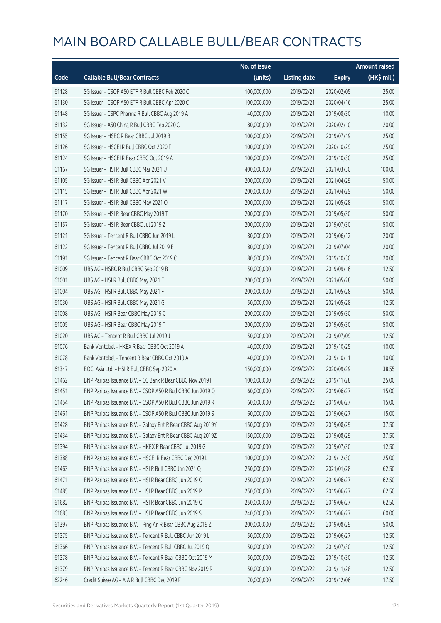|       |                                                              | No. of issue |                     |               | <b>Amount raised</b> |
|-------|--------------------------------------------------------------|--------------|---------------------|---------------|----------------------|
| Code  | <b>Callable Bull/Bear Contracts</b>                          | (units)      | <b>Listing date</b> | <b>Expiry</b> | $(HK\$ mil.)         |
| 61128 | SG Issuer - CSOP A50 ETF R Bull CBBC Feb 2020 C              | 100,000,000  | 2019/02/21          | 2020/02/05    | 25.00                |
| 61130 | SG Issuer - CSOP A50 ETF R Bull CBBC Apr 2020 C              | 100,000,000  | 2019/02/21          | 2020/04/16    | 25.00                |
| 61148 | SG Issuer - CSPC Pharma R Bull CBBC Aug 2019 A               | 40,000,000   | 2019/02/21          | 2019/08/30    | 10.00                |
| 61132 | SG Issuer - A50 China R Bull CBBC Feb 2020 C                 | 80,000,000   | 2019/02/21          | 2020/02/10    | 20.00                |
| 61155 | SG Issuer - HSBC R Bear CBBC Jul 2019 B                      | 100,000,000  | 2019/02/21          | 2019/07/19    | 25.00                |
| 61126 | SG Issuer - HSCEI R Bull CBBC Oct 2020 F                     | 100,000,000  | 2019/02/21          | 2020/10/29    | 25.00                |
| 61124 | SG Issuer - HSCEI R Bear CBBC Oct 2019 A                     | 100,000,000  | 2019/02/21          | 2019/10/30    | 25.00                |
| 61167 | SG Issuer - HSI R Bull CBBC Mar 2021 U                       | 400,000,000  | 2019/02/21          | 2021/03/30    | 100.00               |
| 61105 | SG Issuer - HSI R Bull CBBC Apr 2021 V                       | 200,000,000  | 2019/02/21          | 2021/04/29    | 50.00                |
| 61115 | SG Issuer - HSI R Bull CBBC Apr 2021 W                       | 200,000,000  | 2019/02/21          | 2021/04/29    | 50.00                |
| 61117 | SG Issuer - HSI R Bull CBBC May 2021 O                       | 200,000,000  | 2019/02/21          | 2021/05/28    | 50.00                |
| 61170 | SG Issuer - HSI R Bear CBBC May 2019 T                       | 200,000,000  | 2019/02/21          | 2019/05/30    | 50.00                |
| 61157 | SG Issuer - HSI R Bear CBBC Jul 2019 Z                       | 200,000,000  | 2019/02/21          | 2019/07/30    | 50.00                |
| 61121 | SG Issuer - Tencent R Bull CBBC Jun 2019 L                   | 80,000,000   | 2019/02/21          | 2019/06/12    | 20.00                |
| 61122 | SG Issuer - Tencent R Bull CBBC Jul 2019 E                   | 80,000,000   | 2019/02/21          | 2019/07/04    | 20.00                |
| 61191 | SG Issuer - Tencent R Bear CBBC Oct 2019 C                   | 80,000,000   | 2019/02/21          | 2019/10/30    | 20.00                |
| 61009 | UBS AG - HSBC R Bull CBBC Sep 2019 B                         | 50,000,000   | 2019/02/21          | 2019/09/16    | 12.50                |
| 61001 | UBS AG - HSI R Bull CBBC May 2021 E                          | 200,000,000  | 2019/02/21          | 2021/05/28    | 50.00                |
| 61004 | UBS AG - HSI R Bull CBBC May 2021 F                          | 200,000,000  | 2019/02/21          | 2021/05/28    | 50.00                |
| 61030 | UBS AG - HSI R Bull CBBC May 2021 G                          | 50,000,000   | 2019/02/21          | 2021/05/28    | 12.50                |
| 61008 | UBS AG - HSI R Bear CBBC May 2019 C                          | 200,000,000  | 2019/02/21          | 2019/05/30    | 50.00                |
| 61005 | UBS AG - HSI R Bear CBBC May 2019 T                          | 200,000,000  | 2019/02/21          | 2019/05/30    | 50.00                |
| 61020 | UBS AG - Tencent R Bull CBBC Jul 2019 J                      | 50,000,000   | 2019/02/21          | 2019/07/09    | 12.50                |
| 61076 | Bank Vontobel - HKEX R Bear CBBC Oct 2019 A                  | 40,000,000   | 2019/02/21          | 2019/10/25    | 10.00                |
| 61078 | Bank Vontobel - Tencent R Bear CBBC Oct 2019 A               | 40,000,000   | 2019/02/21          | 2019/10/11    | 10.00                |
| 61347 | BOCI Asia Ltd. - HSI R Bull CBBC Sep 2020 A                  | 150,000,000  | 2019/02/22          | 2020/09/29    | 38.55                |
| 61462 | BNP Paribas Issuance B.V. - CC Bank R Bear CBBC Nov 2019 I   | 100,000,000  | 2019/02/22          | 2019/11/28    | 25.00                |
| 61451 | BNP Paribas Issuance B.V. - CSOP A50 R Bull CBBC Jun 2019 Q  | 60,000,000   | 2019/02/22          | 2019/06/27    | 15.00                |
| 61454 | BNP Paribas Issuance B.V. - CSOP A50 R Bull CBBC Jun 2019 R  | 60,000,000   | 2019/02/22          | 2019/06/27    | 15.00                |
| 61461 | BNP Paribas Issuance B.V. - CSOP A50 R Bull CBBC Jun 2019 S  | 60,000,000   | 2019/02/22          | 2019/06/27    | 15.00                |
| 61428 | BNP Paribas Issuance B.V. - Galaxy Ent R Bear CBBC Aug 2019Y | 150,000,000  | 2019/02/22          | 2019/08/29    | 37.50                |
| 61434 | BNP Paribas Issuance B.V. - Galaxy Ent R Bear CBBC Aug 2019Z | 150,000,000  | 2019/02/22          | 2019/08/29    | 37.50                |
| 61394 | BNP Paribas Issuance B.V. - HKEX R Bear CBBC Jul 2019 G      | 50,000,000   | 2019/02/22          | 2019/07/30    | 12.50                |
| 61388 | BNP Paribas Issuance B.V. - HSCEI R Bear CBBC Dec 2019 L     | 100,000,000  | 2019/02/22          | 2019/12/30    | 25.00                |
| 61463 | BNP Paribas Issuance B.V. - HSI R Bull CBBC Jan 2021 Q       | 250,000,000  | 2019/02/22          | 2021/01/28    | 62.50                |
| 61471 | BNP Paribas Issuance B.V. - HSI R Bear CBBC Jun 2019 O       | 250,000,000  | 2019/02/22          | 2019/06/27    | 62.50                |
| 61485 | BNP Paribas Issuance B.V. - HSI R Bear CBBC Jun 2019 P       | 250,000,000  | 2019/02/22          | 2019/06/27    | 62.50                |
| 61682 | BNP Paribas Issuance B.V. - HSI R Bear CBBC Jun 2019 Q       | 250,000,000  | 2019/02/22          | 2019/06/27    | 62.50                |
| 61683 | BNP Paribas Issuance B.V. - HSI R Bear CBBC Jun 2019 S       | 240,000,000  | 2019/02/22          | 2019/06/27    | 60.00                |
| 61397 | BNP Paribas Issuance B.V. - Ping An R Bear CBBC Aug 2019 Z   | 200,000,000  | 2019/02/22          | 2019/08/29    | 50.00                |
| 61375 | BNP Paribas Issuance B.V. - Tencent R Bull CBBC Jun 2019 L   | 50,000,000   | 2019/02/22          | 2019/06/27    | 12.50                |
| 61366 | BNP Paribas Issuance B.V. - Tencent R Bull CBBC Jul 2019 Q   | 50,000,000   | 2019/02/22          | 2019/07/30    | 12.50                |
| 61378 | BNP Paribas Issuance B.V. - Tencent R Bear CBBC Oct 2019 M   | 50,000,000   | 2019/02/22          | 2019/10/30    | 12.50                |
| 61379 | BNP Paribas Issuance B.V. - Tencent R Bear CBBC Nov 2019 R   | 50,000,000   | 2019/02/22          | 2019/11/28    | 12.50                |
| 62246 | Credit Suisse AG - AIA R Bull CBBC Dec 2019 F                | 70,000,000   | 2019/02/22          | 2019/12/06    | 17.50                |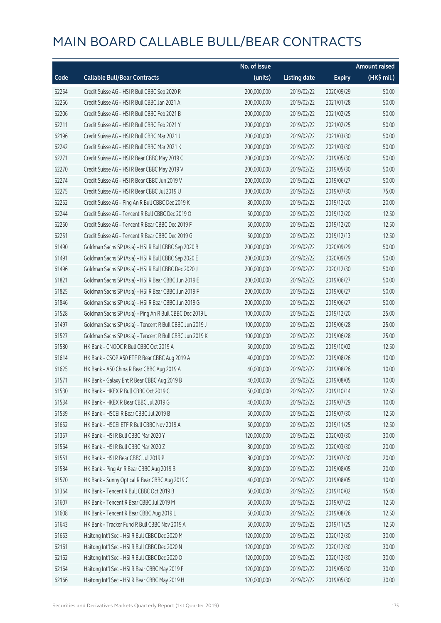|       |                                                          | No. of issue |                     |               | <b>Amount raised</b> |
|-------|----------------------------------------------------------|--------------|---------------------|---------------|----------------------|
| Code  | <b>Callable Bull/Bear Contracts</b>                      | (units)      | <b>Listing date</b> | <b>Expiry</b> | (HK\$ mil.)          |
| 62254 | Credit Suisse AG - HSI R Bull CBBC Sep 2020 R            | 200,000,000  | 2019/02/22          | 2020/09/29    | 50.00                |
| 62266 | Credit Suisse AG - HSI R Bull CBBC Jan 2021 A            | 200,000,000  | 2019/02/22          | 2021/01/28    | 50.00                |
| 62206 | Credit Suisse AG - HSI R Bull CBBC Feb 2021 B            | 200,000,000  | 2019/02/22          | 2021/02/25    | 50.00                |
| 62211 | Credit Suisse AG - HSI R Bull CBBC Feb 2021 Y            | 200,000,000  | 2019/02/22          | 2021/02/25    | 50.00                |
| 62196 | Credit Suisse AG - HSI R Bull CBBC Mar 2021 J            | 200,000,000  | 2019/02/22          | 2021/03/30    | 50.00                |
| 62242 | Credit Suisse AG - HSI R Bull CBBC Mar 2021 K            | 200,000,000  | 2019/02/22          | 2021/03/30    | 50.00                |
| 62271 | Credit Suisse AG - HSI R Bear CBBC May 2019 C            | 200,000,000  | 2019/02/22          | 2019/05/30    | 50.00                |
| 62270 | Credit Suisse AG - HSI R Bear CBBC May 2019 V            | 200,000,000  | 2019/02/22          | 2019/05/30    | 50.00                |
| 62274 | Credit Suisse AG - HSI R Bear CBBC Jun 2019 V            | 200,000,000  | 2019/02/22          | 2019/06/27    | 50.00                |
| 62275 | Credit Suisse AG - HSI R Bear CBBC Jul 2019 U            | 300,000,000  | 2019/02/22          | 2019/07/30    | 75.00                |
| 62252 | Credit Suisse AG - Ping An R Bull CBBC Dec 2019 K        | 80,000,000   | 2019/02/22          | 2019/12/20    | 20.00                |
| 62244 | Credit Suisse AG - Tencent R Bull CBBC Dec 2019 O        | 50,000,000   | 2019/02/22          | 2019/12/20    | 12.50                |
| 62250 | Credit Suisse AG - Tencent R Bear CBBC Dec 2019 F        | 50,000,000   | 2019/02/22          | 2019/12/20    | 12.50                |
| 62251 | Credit Suisse AG - Tencent R Bear CBBC Dec 2019 G        | 50,000,000   | 2019/02/22          | 2019/12/13    | 12.50                |
| 61490 | Goldman Sachs SP (Asia) - HSI R Bull CBBC Sep 2020 B     | 200,000,000  | 2019/02/22          | 2020/09/29    | 50.00                |
| 61491 | Goldman Sachs SP (Asia) - HSI R Bull CBBC Sep 2020 E     | 200,000,000  | 2019/02/22          | 2020/09/29    | 50.00                |
| 61496 | Goldman Sachs SP (Asia) - HSI R Bull CBBC Dec 2020 J     | 200,000,000  | 2019/02/22          | 2020/12/30    | 50.00                |
| 61821 | Goldman Sachs SP (Asia) - HSI R Bear CBBC Jun 2019 E     | 200,000,000  | 2019/02/22          | 2019/06/27    | 50.00                |
| 61825 | Goldman Sachs SP (Asia) - HSI R Bear CBBC Jun 2019 F     | 200,000,000  | 2019/02/22          | 2019/06/27    | 50.00                |
| 61846 | Goldman Sachs SP (Asia) - HSI R Bear CBBC Jun 2019 G     | 200,000,000  | 2019/02/22          | 2019/06/27    | 50.00                |
| 61528 | Goldman Sachs SP (Asia) - Ping An R Bull CBBC Dec 2019 L | 100,000,000  | 2019/02/22          | 2019/12/20    | 25.00                |
| 61497 | Goldman Sachs SP (Asia) - Tencent R Bull CBBC Jun 2019 J | 100,000,000  | 2019/02/22          | 2019/06/28    | 25.00                |
| 61527 | Goldman Sachs SP (Asia) - Tencent R Bull CBBC Jun 2019 K | 100,000,000  | 2019/02/22          | 2019/06/28    | 25.00                |
| 61580 | HK Bank - CNOOC R Bull CBBC Oct 2019 A                   | 50,000,000   | 2019/02/22          | 2019/10/02    | 12.50                |
| 61614 | HK Bank - CSOP A50 ETF R Bear CBBC Aug 2019 A            | 40,000,000   | 2019/02/22          | 2019/08/26    | 10.00                |
| 61625 | HK Bank - A50 China R Bear CBBC Aug 2019 A               | 40,000,000   | 2019/02/22          | 2019/08/26    | 10.00                |
| 61571 | HK Bank - Galaxy Ent R Bear CBBC Aug 2019 B              | 40,000,000   | 2019/02/22          | 2019/08/05    | 10.00                |
| 61530 | HK Bank - HKEX R Bull CBBC Oct 2019 C                    | 50,000,000   | 2019/02/22          | 2019/10/14    | 12.50                |
| 61534 | HK Bank - HKEX R Bear CBBC Jul 2019 G                    | 40,000,000   | 2019/02/22          | 2019/07/29    | 10.00                |
| 61539 | HK Bank - HSCEI R Bear CBBC Jul 2019 B                   | 50,000,000   | 2019/02/22          | 2019/07/30    | 12.50                |
| 61652 | HK Bank - HSCEI ETF R Bull CBBC Nov 2019 A               | 50,000,000   | 2019/02/22          | 2019/11/25    | 12.50                |
| 61357 | HK Bank - HSI R Bull CBBC Mar 2020 Y                     | 120,000,000  | 2019/02/22          | 2020/03/30    | 30.00                |
| 61564 | HK Bank - HSI R Bull CBBC Mar 2020 Z                     | 80,000,000   | 2019/02/22          | 2020/03/30    | 20.00                |
| 61551 | HK Bank - HSI R Bear CBBC Jul 2019 P                     | 80,000,000   | 2019/02/22          | 2019/07/30    | 20.00                |
| 61584 | HK Bank - Ping An R Bear CBBC Aug 2019 B                 | 80,000,000   | 2019/02/22          | 2019/08/05    | 20.00                |
| 61570 | HK Bank - Sunny Optical R Bear CBBC Aug 2019 C           | 40,000,000   | 2019/02/22          | 2019/08/05    | 10.00                |
| 61364 | HK Bank - Tencent R Bull CBBC Oct 2019 B                 | 60,000,000   | 2019/02/22          | 2019/10/02    | 15.00                |
| 61607 | HK Bank - Tencent R Bear CBBC Jul 2019 M                 | 50,000,000   | 2019/02/22          | 2019/07/22    | 12.50                |
| 61608 | HK Bank - Tencent R Bear CBBC Aug 2019 L                 | 50,000,000   | 2019/02/22          | 2019/08/26    | 12.50                |
| 61643 | HK Bank - Tracker Fund R Bull CBBC Nov 2019 A            | 50,000,000   | 2019/02/22          | 2019/11/25    | 12.50                |
| 61653 | Haitong Int'l Sec - HSI R Bull CBBC Dec 2020 M           | 120,000,000  | 2019/02/22          | 2020/12/30    | 30.00                |
| 62161 | Haitong Int'l Sec - HSI R Bull CBBC Dec 2020 N           | 120,000,000  | 2019/02/22          | 2020/12/30    | 30.00                |
| 62162 | Haitong Int'l Sec - HSI R Bull CBBC Dec 2020 O           | 120,000,000  | 2019/02/22          | 2020/12/30    | 30.00                |
| 62164 | Haitong Int'l Sec - HSI R Bear CBBC May 2019 F           | 120,000,000  | 2019/02/22          | 2019/05/30    | 30.00                |
| 62166 | Haitong Int'l Sec - HSI R Bear CBBC May 2019 H           | 120,000,000  | 2019/02/22          | 2019/05/30    | 30.00                |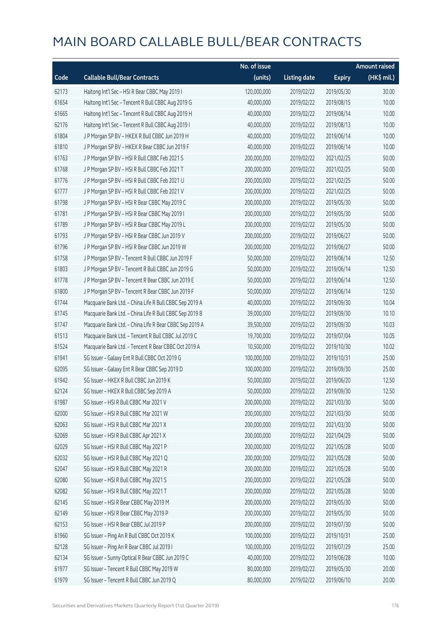|       |                                                         | No. of issue |                     |               | <b>Amount raised</b> |
|-------|---------------------------------------------------------|--------------|---------------------|---------------|----------------------|
| Code  | <b>Callable Bull/Bear Contracts</b>                     | (units)      | <b>Listing date</b> | <b>Expiry</b> | (HK\$ mil.)          |
| 62173 | Haitong Int'l Sec - HSI R Bear CBBC May 2019 I          | 120,000,000  | 2019/02/22          | 2019/05/30    | 30.00                |
| 61654 | Haitong Int'l Sec - Tencent R Bull CBBC Aug 2019 G      | 40,000,000   | 2019/02/22          | 2019/08/15    | 10.00                |
| 61665 | Haitong Int'l Sec - Tencent R Bull CBBC Aug 2019 H      | 40,000,000   | 2019/02/22          | 2019/08/14    | 10.00                |
| 62176 | Haitong Int'l Sec - Tencent R Bull CBBC Aug 2019 I      | 40,000,000   | 2019/02/22          | 2019/08/13    | 10.00                |
| 61804 | J P Morgan SP BV - HKEX R Bull CBBC Jun 2019 H          | 40,000,000   | 2019/02/22          | 2019/06/14    | 10.00                |
| 61810 | J P Morgan SP BV - HKEX R Bear CBBC Jun 2019 F          | 40,000,000   | 2019/02/22          | 2019/06/14    | 10.00                |
| 61763 | J P Morgan SP BV - HSI R Bull CBBC Feb 2021 S           | 200,000,000  | 2019/02/22          | 2021/02/25    | 50.00                |
| 61768 | J P Morgan SP BV - HSI R Bull CBBC Feb 2021 T           | 200,000,000  | 2019/02/22          | 2021/02/25    | 50.00                |
| 61776 | J P Morgan SP BV - HSI R Bull CBBC Feb 2021 U           | 200,000,000  | 2019/02/22          | 2021/02/25    | 50.00                |
| 61777 | J P Morgan SP BV - HSI R Bull CBBC Feb 2021 V           | 200,000,000  | 2019/02/22          | 2021/02/25    | 50.00                |
| 61798 | J P Morgan SP BV - HSI R Bear CBBC May 2019 C           | 200,000,000  | 2019/02/22          | 2019/05/30    | 50.00                |
| 61781 | J P Morgan SP BV - HSI R Bear CBBC May 2019 I           | 200,000,000  | 2019/02/22          | 2019/05/30    | 50.00                |
| 61789 | J P Morgan SP BV - HSI R Bear CBBC May 2019 L           | 200,000,000  | 2019/02/22          | 2019/05/30    | 50.00                |
| 61793 | J P Morgan SP BV - HSI R Bear CBBC Jun 2019 V           | 200,000,000  | 2019/02/22          | 2019/06/27    | 50.00                |
| 61796 | J P Morgan SP BV - HSI R Bear CBBC Jun 2019 W           | 200,000,000  | 2019/02/22          | 2019/06/27    | 50.00                |
| 61758 | J P Morgan SP BV - Tencent R Bull CBBC Jun 2019 F       | 50,000,000   | 2019/02/22          | 2019/06/14    | 12.50                |
| 61803 | J P Morgan SP BV - Tencent R Bull CBBC Jun 2019 G       | 50,000,000   | 2019/02/22          | 2019/06/14    | 12.50                |
| 61778 | J P Morgan SP BV - Tencent R Bear CBBC Jun 2019 E       | 50,000,000   | 2019/02/22          | 2019/06/14    | 12.50                |
| 61800 | J P Morgan SP BV - Tencent R Bear CBBC Jun 2019 F       | 50,000,000   | 2019/02/22          | 2019/06/14    | 12.50                |
| 61744 | Macquarie Bank Ltd. - China Life R Bull CBBC Sep 2019 A | 40,000,000   | 2019/02/22          | 2019/09/30    | 10.04                |
| 61745 | Macquarie Bank Ltd. - China Life R Bull CBBC Sep 2019 B | 39,000,000   | 2019/02/22          | 2019/09/30    | 10.10                |
| 61747 | Macquarie Bank Ltd. - China Life R Bear CBBC Sep 2019 A | 39,500,000   | 2019/02/22          | 2019/09/30    | 10.03                |
| 61513 | Macquarie Bank Ltd. - Tencent R Bull CBBC Jul 2019 C    | 19,700,000   | 2019/02/22          | 2019/07/04    | 10.05                |
| 61524 | Macquarie Bank Ltd. - Tencent R Bear CBBC Oct 2019 A    | 10,500,000   | 2019/02/22          | 2019/10/30    | 10.02                |
| 61941 | SG Issuer - Galaxy Ent R Bull CBBC Oct 2019 G           | 100,000,000  | 2019/02/22          | 2019/10/31    | 25.00                |
| 62095 | SG Issuer - Galaxy Ent R Bear CBBC Sep 2019 D           | 100,000,000  | 2019/02/22          | 2019/09/30    | 25.00                |
| 61942 | SG Issuer - HKEX R Bull CBBC Jun 2019 K                 | 50,000,000   | 2019/02/22          | 2019/06/20    | 12.50                |
| 62124 | SG Issuer - HKEX R Bull CBBC Sep 2019 A                 | 50,000,000   | 2019/02/22          | 2019/09/30    | 12.50                |
| 61987 | SG Issuer - HSI R Bull CBBC Mar 2021 V                  | 200,000,000  | 2019/02/22          | 2021/03/30    | 50.00                |
| 62000 | SG Issuer - HSI R Bull CBBC Mar 2021 W                  | 200,000,000  | 2019/02/22          | 2021/03/30    | 50.00                |
| 62063 | SG Issuer - HSI R Bull CBBC Mar 2021 X                  | 200,000,000  | 2019/02/22          | 2021/03/30    | 50.00                |
| 62069 | SG Issuer - HSI R Bull CBBC Apr 2021 X                  | 200,000,000  | 2019/02/22          | 2021/04/29    | 50.00                |
| 62029 | SG Issuer - HSI R Bull CBBC May 2021 P                  | 200,000,000  | 2019/02/22          | 2021/05/28    | 50.00                |
| 62032 | SG Issuer - HSI R Bull CBBC May 2021 Q                  | 200,000,000  | 2019/02/22          | 2021/05/28    | 50.00                |
| 62047 | SG Issuer - HSI R Bull CBBC May 2021 R                  | 200,000,000  | 2019/02/22          | 2021/05/28    | 50.00                |
| 62080 | SG Issuer - HSI R Bull CBBC May 2021 S                  | 200,000,000  | 2019/02/22          | 2021/05/28    | 50.00                |
| 62082 | SG Issuer - HSI R Bull CBBC May 2021 T                  | 200,000,000  | 2019/02/22          | 2021/05/28    | 50.00                |
| 62145 | SG Issuer - HSI R Bear CBBC May 2019 M                  | 200,000,000  | 2019/02/22          | 2019/05/30    | 50.00                |
| 62149 | SG Issuer - HSI R Bear CBBC May 2019 P                  | 200,000,000  | 2019/02/22          | 2019/05/30    | 50.00                |
| 62153 | SG Issuer - HSI R Bear CBBC Jul 2019 P                  | 200,000,000  | 2019/02/22          | 2019/07/30    | 50.00                |
| 61960 | SG Issuer - Ping An R Bull CBBC Oct 2019 K              | 100,000,000  | 2019/02/22          | 2019/10/31    | 25.00                |
| 62128 | SG Issuer - Ping An R Bear CBBC Jul 2019 I              | 100,000,000  | 2019/02/22          | 2019/07/29    | 25.00                |
| 62134 | SG Issuer - Sunny Optical R Bear CBBC Jun 2019 C        | 40,000,000   | 2019/02/22          | 2019/06/28    | 10.00                |
| 61977 | SG Issuer - Tencent R Bull CBBC May 2019 W              | 80,000,000   | 2019/02/22          | 2019/05/30    | 20.00                |
| 61979 | SG Issuer - Tencent R Bull CBBC Jun 2019 Q              | 80,000,000   | 2019/02/22          | 2019/06/10    | 20.00                |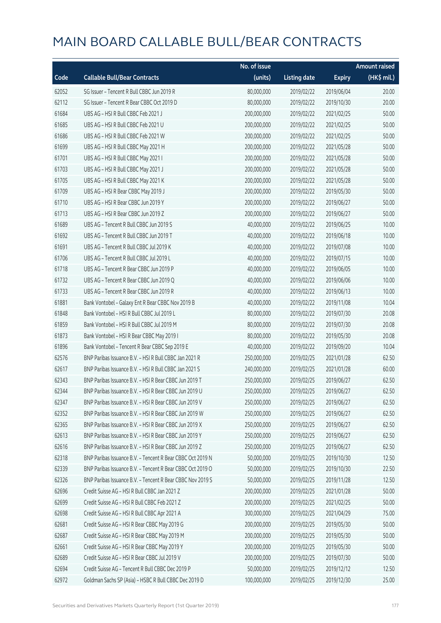|       |                                                            | No. of issue |                     |               | <b>Amount raised</b> |
|-------|------------------------------------------------------------|--------------|---------------------|---------------|----------------------|
| Code  | <b>Callable Bull/Bear Contracts</b>                        | (units)      | <b>Listing date</b> | <b>Expiry</b> | (HK\$ mil.)          |
| 62052 | SG Issuer - Tencent R Bull CBBC Jun 2019 R                 | 80,000,000   | 2019/02/22          | 2019/06/04    | 20.00                |
| 62112 | SG Issuer - Tencent R Bear CBBC Oct 2019 D                 | 80,000,000   | 2019/02/22          | 2019/10/30    | 20.00                |
| 61684 | UBS AG - HSI R Bull CBBC Feb 2021 J                        | 200,000,000  | 2019/02/22          | 2021/02/25    | 50.00                |
| 61685 | UBS AG - HSI R Bull CBBC Feb 2021 U                        | 200,000,000  | 2019/02/22          | 2021/02/25    | 50.00                |
| 61686 | UBS AG - HSI R Bull CBBC Feb 2021 W                        | 200,000,000  | 2019/02/22          | 2021/02/25    | 50.00                |
| 61699 | UBS AG - HSI R Bull CBBC May 2021 H                        | 200,000,000  | 2019/02/22          | 2021/05/28    | 50.00                |
| 61701 | UBS AG - HSI R Bull CBBC May 2021 I                        | 200,000,000  | 2019/02/22          | 2021/05/28    | 50.00                |
| 61703 | UBS AG - HSI R Bull CBBC May 2021 J                        | 200,000,000  | 2019/02/22          | 2021/05/28    | 50.00                |
| 61705 | UBS AG - HSI R Bull CBBC May 2021 K                        | 200,000,000  | 2019/02/22          | 2021/05/28    | 50.00                |
| 61709 | UBS AG - HSI R Bear CBBC May 2019 J                        | 200,000,000  | 2019/02/22          | 2019/05/30    | 50.00                |
| 61710 | UBS AG - HSI R Bear CBBC Jun 2019 Y                        | 200,000,000  | 2019/02/22          | 2019/06/27    | 50.00                |
| 61713 | UBS AG - HSI R Bear CBBC Jun 2019 Z                        | 200,000,000  | 2019/02/22          | 2019/06/27    | 50.00                |
| 61689 | UBS AG - Tencent R Bull CBBC Jun 2019 S                    | 40,000,000   | 2019/02/22          | 2019/06/25    | 10.00                |
| 61692 | UBS AG - Tencent R Bull CBBC Jun 2019 T                    | 40,000,000   | 2019/02/22          | 2019/06/18    | 10.00                |
| 61691 | UBS AG - Tencent R Bull CBBC Jul 2019 K                    | 40,000,000   | 2019/02/22          | 2019/07/08    | 10.00                |
| 61706 | UBS AG - Tencent R Bull CBBC Jul 2019 L                    | 40,000,000   | 2019/02/22          | 2019/07/15    | 10.00                |
| 61718 | UBS AG - Tencent R Bear CBBC Jun 2019 P                    | 40,000,000   | 2019/02/22          | 2019/06/05    | 10.00                |
| 61732 | UBS AG - Tencent R Bear CBBC Jun 2019 Q                    | 40,000,000   | 2019/02/22          | 2019/06/06    | 10.00                |
| 61733 | UBS AG - Tencent R Bear CBBC Jun 2019 R                    | 40,000,000   | 2019/02/22          | 2019/06/13    | 10.00                |
| 61881 | Bank Vontobel - Galaxy Ent R Bear CBBC Nov 2019 B          | 40,000,000   | 2019/02/22          | 2019/11/08    | 10.04                |
| 61848 | Bank Vontobel - HSI R Bull CBBC Jul 2019 L                 | 80,000,000   | 2019/02/22          | 2019/07/30    | 20.08                |
| 61859 | Bank Vontobel - HSI R Bull CBBC Jul 2019 M                 | 80,000,000   | 2019/02/22          | 2019/07/30    | 20.08                |
| 61873 | Bank Vontobel - HSI R Bear CBBC May 2019 I                 | 80,000,000   | 2019/02/22          | 2019/05/30    | 20.08                |
| 61896 | Bank Vontobel - Tencent R Bear CBBC Sep 2019 E             | 40,000,000   | 2019/02/22          | 2019/09/20    | 10.04                |
| 62576 | BNP Paribas Issuance B.V. - HSI R Bull CBBC Jan 2021 R     | 250,000,000  | 2019/02/25          | 2021/01/28    | 62.50                |
| 62617 | BNP Paribas Issuance B.V. - HSI R Bull CBBC Jan 2021 S     | 240,000,000  | 2019/02/25          | 2021/01/28    | 60.00                |
| 62343 | BNP Paribas Issuance B.V. - HSI R Bear CBBC Jun 2019 T     | 250,000,000  | 2019/02/25          | 2019/06/27    | 62.50                |
| 62344 | BNP Paribas Issuance B.V. - HSI R Bear CBBC Jun 2019 U     | 250,000,000  | 2019/02/25          | 2019/06/27    | 62.50                |
| 62347 | BNP Paribas Issuance B.V. - HSI R Bear CBBC Jun 2019 V     | 250,000,000  | 2019/02/25          | 2019/06/27    | 62.50                |
| 62352 | BNP Paribas Issuance B.V. - HSI R Bear CBBC Jun 2019 W     | 250,000,000  | 2019/02/25          | 2019/06/27    | 62.50                |
| 62365 | BNP Paribas Issuance B.V. - HSI R Bear CBBC Jun 2019 X     | 250,000,000  | 2019/02/25          | 2019/06/27    | 62.50                |
| 62613 | BNP Paribas Issuance B.V. - HSI R Bear CBBC Jun 2019 Y     | 250,000,000  | 2019/02/25          | 2019/06/27    | 62.50                |
| 62616 | BNP Paribas Issuance B.V. - HSI R Bear CBBC Jun 2019 Z     | 250,000,000  | 2019/02/25          | 2019/06/27    | 62.50                |
| 62318 | BNP Paribas Issuance B.V. - Tencent R Bear CBBC Oct 2019 N | 50,000,000   | 2019/02/25          | 2019/10/30    | 12.50                |
| 62339 | BNP Paribas Issuance B.V. - Tencent R Bear CBBC Oct 2019 O | 50,000,000   | 2019/02/25          | 2019/10/30    | 22.50                |
| 62326 | BNP Paribas Issuance B.V. - Tencent R Bear CBBC Nov 2019 S | 50,000,000   | 2019/02/25          | 2019/11/28    | 12.50                |
| 62696 | Credit Suisse AG - HSI R Bull CBBC Jan 2021 Z              | 200,000,000  | 2019/02/25          | 2021/01/28    | 50.00                |
| 62699 | Credit Suisse AG - HSI R Bull CBBC Feb 2021 Z              | 200,000,000  | 2019/02/25          | 2021/02/25    | 50.00                |
| 62698 | Credit Suisse AG - HSI R Bull CBBC Apr 2021 A              | 300,000,000  | 2019/02/25          | 2021/04/29    | 75.00                |
| 62681 | Credit Suisse AG - HSI R Bear CBBC May 2019 G              | 200,000,000  | 2019/02/25          | 2019/05/30    | 50.00                |
| 62687 | Credit Suisse AG - HSI R Bear CBBC May 2019 M              | 200,000,000  | 2019/02/25          | 2019/05/30    | 50.00                |
| 62661 | Credit Suisse AG - HSI R Bear CBBC May 2019 Y              | 200,000,000  | 2019/02/25          | 2019/05/30    | 50.00                |
| 62689 | Credit Suisse AG - HSI R Bear CBBC Jul 2019 V              | 200,000,000  | 2019/02/25          | 2019/07/30    | 50.00                |
| 62694 | Credit Suisse AG - Tencent R Bull CBBC Dec 2019 P          | 50,000,000   | 2019/02/25          | 2019/12/12    | 12.50                |
| 62972 | Goldman Sachs SP (Asia) - HSBC R Bull CBBC Dec 2019 D      | 100,000,000  | 2019/02/25          | 2019/12/30    | 25.00                |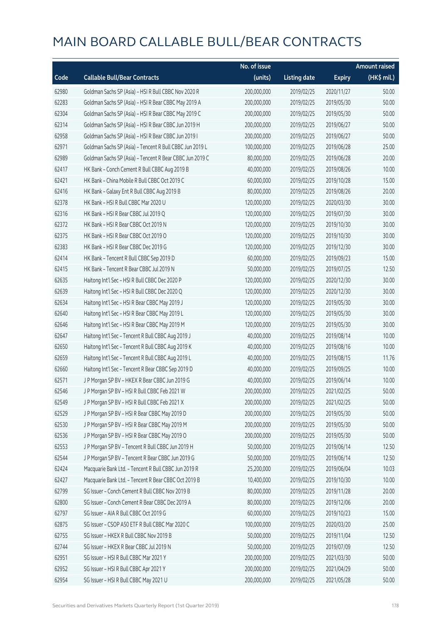|       |                                                          | No. of issue |                     |               | <b>Amount raised</b> |
|-------|----------------------------------------------------------|--------------|---------------------|---------------|----------------------|
| Code  | <b>Callable Bull/Bear Contracts</b>                      | (units)      | <b>Listing date</b> | <b>Expiry</b> | (HK\$ mil.)          |
| 62980 | Goldman Sachs SP (Asia) - HSI R Bull CBBC Nov 2020 R     | 200,000,000  | 2019/02/25          | 2020/11/27    | 50.00                |
| 62283 | Goldman Sachs SP (Asia) - HSI R Bear CBBC May 2019 A     | 200,000,000  | 2019/02/25          | 2019/05/30    | 50.00                |
| 62304 | Goldman Sachs SP (Asia) - HSI R Bear CBBC May 2019 C     | 200,000,000  | 2019/02/25          | 2019/05/30    | 50.00                |
| 62314 | Goldman Sachs SP (Asia) - HSI R Bear CBBC Jun 2019 H     | 200,000,000  | 2019/02/25          | 2019/06/27    | 50.00                |
| 62958 | Goldman Sachs SP (Asia) - HSI R Bear CBBC Jun 2019 I     | 200,000,000  | 2019/02/25          | 2019/06/27    | 50.00                |
| 62971 | Goldman Sachs SP (Asia) - Tencent R Bull CBBC Jun 2019 L | 100,000,000  | 2019/02/25          | 2019/06/28    | 25.00                |
| 62989 | Goldman Sachs SP (Asia) - Tencent R Bear CBBC Jun 2019 C | 80,000,000   | 2019/02/25          | 2019/06/28    | 20.00                |
| 62417 | HK Bank - Conch Cement R Bull CBBC Aug 2019 B            | 40,000,000   | 2019/02/25          | 2019/08/26    | 10.00                |
| 62421 | HK Bank - China Mobile R Bull CBBC Oct 2019 C            | 60,000,000   | 2019/02/25          | 2019/10/28    | 15.00                |
| 62416 | HK Bank - Galaxy Ent R Bull CBBC Aug 2019 B              | 80,000,000   | 2019/02/25          | 2019/08/26    | 20.00                |
| 62378 | HK Bank - HSI R Bull CBBC Mar 2020 U                     | 120,000,000  | 2019/02/25          | 2020/03/30    | 30.00                |
| 62316 | HK Bank - HSI R Bear CBBC Jul 2019 Q                     | 120,000,000  | 2019/02/25          | 2019/07/30    | 30.00                |
| 62372 | HK Bank - HSI R Bear CBBC Oct 2019 N                     | 120,000,000  | 2019/02/25          | 2019/10/30    | 30.00                |
| 62375 | HK Bank - HSI R Bear CBBC Oct 2019 O                     | 120,000,000  | 2019/02/25          | 2019/10/30    | 30.00                |
| 62383 | HK Bank - HSI R Bear CBBC Dec 2019 G                     | 120,000,000  | 2019/02/25          | 2019/12/30    | 30.00                |
| 62414 | HK Bank - Tencent R Bull CBBC Sep 2019 D                 | 60,000,000   | 2019/02/25          | 2019/09/23    | 15.00                |
| 62415 | HK Bank - Tencent R Bear CBBC Jul 2019 N                 | 50,000,000   | 2019/02/25          | 2019/07/25    | 12.50                |
| 62635 | Haitong Int'l Sec - HSI R Bull CBBC Dec 2020 P           | 120,000,000  | 2019/02/25          | 2020/12/30    | 30.00                |
| 62639 | Haitong Int'l Sec - HSI R Bull CBBC Dec 2020 Q           | 120,000,000  | 2019/02/25          | 2020/12/30    | 30.00                |
| 62634 | Haitong Int'l Sec - HSI R Bear CBBC May 2019 J           | 120,000,000  | 2019/02/25          | 2019/05/30    | 30.00                |
| 62640 | Haitong Int'l Sec - HSI R Bear CBBC May 2019 L           | 120,000,000  | 2019/02/25          | 2019/05/30    | 30.00                |
| 62646 | Haitong Int'l Sec - HSI R Bear CBBC May 2019 M           | 120,000,000  | 2019/02/25          | 2019/05/30    | 30.00                |
| 62647 | Haitong Int'l Sec - Tencent R Bull CBBC Aug 2019 J       | 40,000,000   | 2019/02/25          | 2019/08/14    | 10.00                |
| 62650 | Haitong Int'l Sec - Tencent R Bull CBBC Aug 2019 K       | 40,000,000   | 2019/02/25          | 2019/08/16    | 10.00                |
| 62659 | Haitong Int'l Sec - Tencent R Bull CBBC Aug 2019 L       | 40,000,000   | 2019/02/25          | 2019/08/15    | 11.76                |
| 62660 | Haitong Int'l Sec - Tencent R Bear CBBC Sep 2019 D       | 40,000,000   | 2019/02/25          | 2019/09/25    | 10.00                |
| 62571 | J P Morgan SP BV - HKEX R Bear CBBC Jun 2019 G           | 40,000,000   | 2019/02/25          | 2019/06/14    | 10.00                |
| 62546 | J P Morgan SP BV - HSI R Bull CBBC Feb 2021 W            | 200,000,000  | 2019/02/25          | 2021/02/25    | 50.00                |
| 62549 | J P Morgan SP BV - HSI R Bull CBBC Feb 2021 X            | 200,000,000  | 2019/02/25          | 2021/02/25    | 50.00                |
| 62529 | J P Morgan SP BV - HSI R Bear CBBC May 2019 D            | 200,000,000  | 2019/02/25          | 2019/05/30    | 50.00                |
| 62530 | J P Morgan SP BV - HSI R Bear CBBC May 2019 M            | 200,000,000  | 2019/02/25          | 2019/05/30    | 50.00                |
| 62536 | J P Morgan SP BV - HSI R Bear CBBC May 2019 O            | 200,000,000  | 2019/02/25          | 2019/05/30    | 50.00                |
| 62553 | J P Morgan SP BV - Tencent R Bull CBBC Jun 2019 H        | 50,000,000   | 2019/02/25          | 2019/06/14    | 12.50                |
| 62544 | J P Morgan SP BV - Tencent R Bear CBBC Jun 2019 G        | 50,000,000   | 2019/02/25          | 2019/06/14    | 12.50                |
| 62424 | Macquarie Bank Ltd. - Tencent R Bull CBBC Jun 2019 R     | 25,200,000   | 2019/02/25          | 2019/06/04    | 10.03                |
| 62427 | Macquarie Bank Ltd. - Tencent R Bear CBBC Oct 2019 B     | 10,400,000   | 2019/02/25          | 2019/10/30    | 10.00                |
| 62799 | SG Issuer - Conch Cement R Bull CBBC Nov 2019 B          | 80,000,000   | 2019/02/25          | 2019/11/28    | 20.00                |
| 62800 | SG Issuer - Conch Cement R Bear CBBC Dec 2019 A          | 80,000,000   | 2019/02/25          | 2019/12/06    | 20.00                |
| 62797 | SG Issuer - AIA R Bull CBBC Oct 2019 G                   | 60,000,000   | 2019/02/25          | 2019/10/23    | 15.00                |
| 62875 | SG Issuer - CSOP A50 ETF R Bull CBBC Mar 2020 C          | 100,000,000  | 2019/02/25          | 2020/03/20    | 25.00                |
| 62755 | SG Issuer - HKEX R Bull CBBC Nov 2019 B                  | 50,000,000   | 2019/02/25          | 2019/11/04    | 12.50                |
| 62744 | SG Issuer - HKEX R Bear CBBC Jul 2019 N                  | 50,000,000   | 2019/02/25          | 2019/07/09    | 12.50                |
| 62951 | SG Issuer - HSI R Bull CBBC Mar 2021 Y                   | 200,000,000  | 2019/02/25          | 2021/03/30    | 50.00                |
| 62952 | SG Issuer - HSI R Bull CBBC Apr 2021 Y                   | 200,000,000  | 2019/02/25          | 2021/04/29    | 50.00                |
| 62954 | SG Issuer - HSI R Bull CBBC May 2021 U                   | 200,000,000  | 2019/02/25          | 2021/05/28    | 50.00                |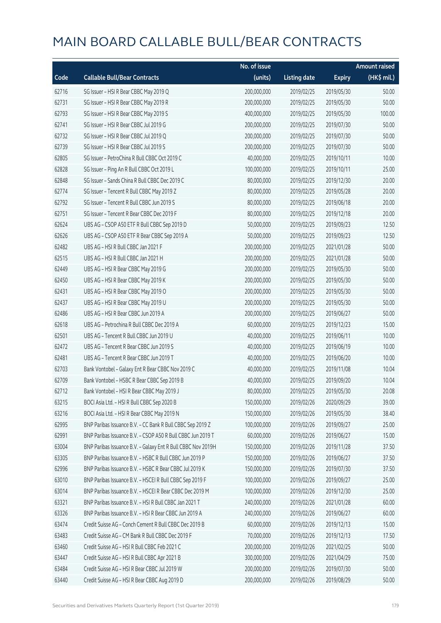|       |                                                              | No. of issue |                     |               | <b>Amount raised</b> |
|-------|--------------------------------------------------------------|--------------|---------------------|---------------|----------------------|
| Code  | <b>Callable Bull/Bear Contracts</b>                          | (units)      | <b>Listing date</b> | <b>Expiry</b> | (HK\$ mil.)          |
| 62716 | SG Issuer - HSI R Bear CBBC May 2019 Q                       | 200,000,000  | 2019/02/25          | 2019/05/30    | 50.00                |
| 62731 | SG Issuer - HSI R Bear CBBC May 2019 R                       | 200,000,000  | 2019/02/25          | 2019/05/30    | 50.00                |
| 62793 | SG Issuer - HSI R Bear CBBC May 2019 S                       | 400,000,000  | 2019/02/25          | 2019/05/30    | 100.00               |
| 62741 | SG Issuer - HSI R Bear CBBC Jul 2019 G                       | 200,000,000  | 2019/02/25          | 2019/07/30    | 50.00                |
| 62732 | SG Issuer - HSI R Bear CBBC Jul 2019 Q                       | 200,000,000  | 2019/02/25          | 2019/07/30    | 50.00                |
| 62739 | SG Issuer - HSI R Bear CBBC Jul 2019 S                       | 200,000,000  | 2019/02/25          | 2019/07/30    | 50.00                |
| 62805 | SG Issuer - PetroChina R Bull CBBC Oct 2019 C                | 40,000,000   | 2019/02/25          | 2019/10/11    | 10.00                |
| 62828 | SG Issuer - Ping An R Bull CBBC Oct 2019 L                   | 100,000,000  | 2019/02/25          | 2019/10/11    | 25.00                |
| 62848 | SG Issuer - Sands China R Bull CBBC Dec 2019 C               | 80,000,000   | 2019/02/25          | 2019/12/30    | 20.00                |
| 62774 | SG Issuer - Tencent R Bull CBBC May 2019 Z                   | 80,000,000   | 2019/02/25          | 2019/05/28    | 20.00                |
| 62792 | SG Issuer - Tencent R Bull CBBC Jun 2019 S                   | 80,000,000   | 2019/02/25          | 2019/06/18    | 20.00                |
| 62751 | SG Issuer - Tencent R Bear CBBC Dec 2019 F                   | 80,000,000   | 2019/02/25          | 2019/12/18    | 20.00                |
| 62624 | UBS AG - CSOP A50 ETF R Bull CBBC Sep 2019 D                 | 50,000,000   | 2019/02/25          | 2019/09/23    | 12.50                |
| 62626 | UBS AG - CSOP A50 ETF R Bear CBBC Sep 2019 A                 | 50,000,000   | 2019/02/25          | 2019/09/23    | 12.50                |
| 62482 | UBS AG - HSI R Bull CBBC Jan 2021 F                          | 200,000,000  | 2019/02/25          | 2021/01/28    | 50.00                |
| 62515 | UBS AG - HSI R Bull CBBC Jan 2021 H                          | 200,000,000  | 2019/02/25          | 2021/01/28    | 50.00                |
| 62449 | UBS AG - HSI R Bear CBBC May 2019 G                          | 200,000,000  | 2019/02/25          | 2019/05/30    | 50.00                |
| 62450 | UBS AG - HSI R Bear CBBC May 2019 K                          | 200,000,000  | 2019/02/25          | 2019/05/30    | 50.00                |
| 62431 | UBS AG - HSI R Bear CBBC May 2019 O                          | 200,000,000  | 2019/02/25          | 2019/05/30    | 50.00                |
| 62437 | UBS AG - HSI R Bear CBBC May 2019 U                          | 200,000,000  | 2019/02/25          | 2019/05/30    | 50.00                |
| 62486 | UBS AG - HSI R Bear CBBC Jun 2019 A                          | 200,000,000  | 2019/02/25          | 2019/06/27    | 50.00                |
| 62618 | UBS AG - Petrochina R Bull CBBC Dec 2019 A                   | 60,000,000   | 2019/02/25          | 2019/12/23    | 15.00                |
| 62501 | UBS AG - Tencent R Bull CBBC Jun 2019 U                      | 40,000,000   | 2019/02/25          | 2019/06/11    | 10.00                |
| 62472 | UBS AG - Tencent R Bear CBBC Jun 2019 S                      | 40,000,000   | 2019/02/25          | 2019/06/19    | 10.00                |
| 62481 | UBS AG - Tencent R Bear CBBC Jun 2019 T                      | 40,000,000   | 2019/02/25          | 2019/06/20    | 10.00                |
| 62703 | Bank Vontobel - Galaxy Ent R Bear CBBC Nov 2019 C            | 40,000,000   | 2019/02/25          | 2019/11/08    | 10.04                |
| 62709 | Bank Vontobel - HSBC R Bear CBBC Sep 2019 B                  | 40,000,000   | 2019/02/25          | 2019/09/20    | 10.04                |
| 62712 | Bank Vontobel - HSI R Bear CBBC May 2019 J                   | 80,000,000   | 2019/02/25          | 2019/05/30    | 20.08                |
| 63215 | BOCI Asia Ltd. - HSI R Bull CBBC Sep 2020 B                  | 150,000,000  | 2019/02/26          | 2020/09/29    | 39.00                |
| 63216 | BOCI Asia Ltd. - HSI R Bear CBBC May 2019 N                  | 150,000,000  | 2019/02/26          | 2019/05/30    | 38.40                |
| 62995 | BNP Paribas Issuance B.V. - CC Bank R Bull CBBC Sep 2019 Z   | 100,000,000  | 2019/02/26          | 2019/09/27    | 25.00                |
| 62991 | BNP Paribas Issuance B.V. - CSOP A50 R Bull CBBC Jun 2019 T  | 60,000,000   | 2019/02/26          | 2019/06/27    | 15.00                |
| 63004 | BNP Paribas Issuance B.V. - Galaxy Ent R Bull CBBC Nov 2019H | 150,000,000  | 2019/02/26          | 2019/11/28    | 37.50                |
| 63305 | BNP Paribas Issuance B.V. - HSBC R Bull CBBC Jun 2019 P      | 150,000,000  | 2019/02/26          | 2019/06/27    | 37.50                |
| 62996 | BNP Paribas Issuance B.V. - HSBC R Bear CBBC Jul 2019 K      | 150,000,000  | 2019/02/26          | 2019/07/30    | 37.50                |
| 63010 | BNP Paribas Issuance B.V. - HSCEI R Bull CBBC Sep 2019 F     | 100,000,000  | 2019/02/26          | 2019/09/27    | 25.00                |
| 63014 | BNP Paribas Issuance B.V. - HSCEI R Bear CBBC Dec 2019 M     | 100,000,000  | 2019/02/26          | 2019/12/30    | 25.00                |
| 63321 | BNP Paribas Issuance B.V. - HSI R Bull CBBC Jan 2021 T       | 240,000,000  | 2019/02/26          | 2021/01/28    | 60.00                |
| 63326 | BNP Paribas Issuance B.V. - HSI R Bear CBBC Jun 2019 A       | 240,000,000  | 2019/02/26          | 2019/06/27    | 60.00                |
| 63474 | Credit Suisse AG - Conch Cement R Bull CBBC Dec 2019 B       | 60,000,000   | 2019/02/26          | 2019/12/13    | 15.00                |
| 63483 | Credit Suisse AG - CM Bank R Bull CBBC Dec 2019 F            | 70,000,000   | 2019/02/26          | 2019/12/13    | 17.50                |
| 63460 | Credit Suisse AG - HSI R Bull CBBC Feb 2021 C                | 200,000,000  | 2019/02/26          | 2021/02/25    | 50.00                |
| 63447 | Credit Suisse AG - HSI R Bull CBBC Apr 2021 B                | 300,000,000  | 2019/02/26          | 2021/04/29    | 75.00                |
| 63484 | Credit Suisse AG - HSI R Bear CBBC Jul 2019 W                | 200,000,000  | 2019/02/26          | 2019/07/30    | 50.00                |
| 63440 | Credit Suisse AG - HSI R Bear CBBC Aug 2019 D                | 200,000,000  | 2019/02/26          | 2019/08/29    | 50.00                |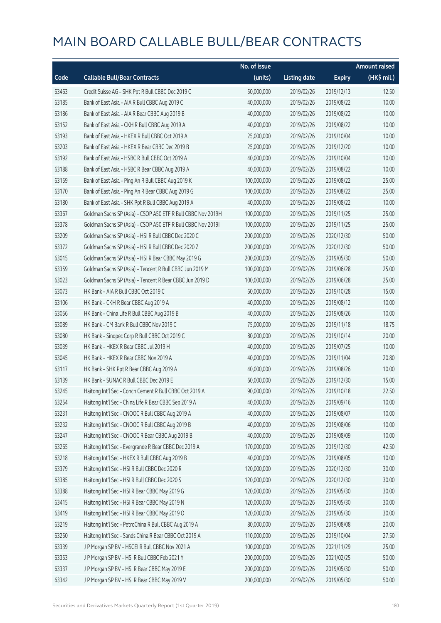|       |                                                              | No. of issue |                     |               | <b>Amount raised</b> |
|-------|--------------------------------------------------------------|--------------|---------------------|---------------|----------------------|
| Code  | <b>Callable Bull/Bear Contracts</b>                          | (units)      | <b>Listing date</b> | <b>Expiry</b> | (HK\$ mil.)          |
| 63463 | Credit Suisse AG - SHK Ppt R Bull CBBC Dec 2019 C            | 50,000,000   | 2019/02/26          | 2019/12/13    | 12.50                |
| 63185 | Bank of East Asia - AIA R Bull CBBC Aug 2019 C               | 40,000,000   | 2019/02/26          | 2019/08/22    | 10.00                |
| 63186 | Bank of East Asia - AIA R Bear CBBC Aug 2019 B               | 40,000,000   | 2019/02/26          | 2019/08/22    | 10.00                |
| 63152 | Bank of East Asia - CKH R Bull CBBC Aug 2019 A               | 40,000,000   | 2019/02/26          | 2019/08/22    | 10.00                |
| 63193 | Bank of East Asia - HKEX R Bull CBBC Oct 2019 A              | 25,000,000   | 2019/02/26          | 2019/10/04    | 10.00                |
| 63203 | Bank of East Asia - HKEX R Bear CBBC Dec 2019 B              | 25,000,000   | 2019/02/26          | 2019/12/20    | 10.00                |
| 63192 | Bank of East Asia - HSBC R Bull CBBC Oct 2019 A              | 40,000,000   | 2019/02/26          | 2019/10/04    | 10.00                |
| 63188 | Bank of East Asia - HSBC R Bear CBBC Aug 2019 A              | 40,000,000   | 2019/02/26          | 2019/08/22    | 10.00                |
| 63159 | Bank of East Asia - Ping An R Bull CBBC Aug 2019 K           | 100,000,000  | 2019/02/26          | 2019/08/22    | 25.00                |
| 63170 | Bank of East Asia - Ping An R Bear CBBC Aug 2019 G           | 100,000,000  | 2019/02/26          | 2019/08/22    | 25.00                |
| 63180 | Bank of East Asia - SHK Ppt R Bull CBBC Aug 2019 A           | 40,000,000   | 2019/02/26          | 2019/08/22    | 10.00                |
| 63367 | Goldman Sachs SP (Asia) - CSOP A50 ETF R Bull CBBC Nov 2019H | 100,000,000  | 2019/02/26          | 2019/11/25    | 25.00                |
| 63378 | Goldman Sachs SP (Asia) - CSOP A50 ETF R Bull CBBC Nov 2019I | 100,000,000  | 2019/02/26          | 2019/11/25    | 25.00                |
| 63209 | Goldman Sachs SP (Asia) - HSI R Bull CBBC Dec 2020 C         | 200,000,000  | 2019/02/26          | 2020/12/30    | 50.00                |
| 63372 | Goldman Sachs SP (Asia) - HSI R Bull CBBC Dec 2020 Z         | 200,000,000  | 2019/02/26          | 2020/12/30    | 50.00                |
| 63015 | Goldman Sachs SP (Asia) - HSI R Bear CBBC May 2019 G         | 200,000,000  | 2019/02/26          | 2019/05/30    | 50.00                |
| 63359 | Goldman Sachs SP (Asia) - Tencent R Bull CBBC Jun 2019 M     | 100,000,000  | 2019/02/26          | 2019/06/28    | 25.00                |
| 63023 | Goldman Sachs SP (Asia) - Tencent R Bear CBBC Jun 2019 D     | 100,000,000  | 2019/02/26          | 2019/06/28    | 25.00                |
| 63073 | HK Bank - AIA R Bull CBBC Oct 2019 C                         | 60,000,000   | 2019/02/26          | 2019/10/28    | 15.00                |
| 63106 | HK Bank - CKH R Bear CBBC Aug 2019 A                         | 40,000,000   | 2019/02/26          | 2019/08/12    | 10.00                |
| 63056 | HK Bank - China Life R Bull CBBC Aug 2019 B                  | 40,000,000   | 2019/02/26          | 2019/08/26    | 10.00                |
| 63089 | HK Bank - CM Bank R Bull CBBC Nov 2019 C                     | 75,000,000   | 2019/02/26          | 2019/11/18    | 18.75                |
| 63080 | HK Bank - Sinopec Corp R Bull CBBC Oct 2019 C                | 80,000,000   | 2019/02/26          | 2019/10/14    | 20.00                |
| 63039 | HK Bank - HKEX R Bear CBBC Jul 2019 H                        | 40,000,000   | 2019/02/26          | 2019/07/25    | 10.00                |
| 63045 | HK Bank - HKEX R Bear CBBC Nov 2019 A                        | 40,000,000   | 2019/02/26          | 2019/11/04    | 20.80                |
| 63117 | HK Bank - SHK Ppt R Bear CBBC Aug 2019 A                     | 40,000,000   | 2019/02/26          | 2019/08/26    | 10.00                |
| 63139 | HK Bank - SUNAC R Bull CBBC Dec 2019 E                       | 60,000,000   | 2019/02/26          | 2019/12/30    | 15.00                |
| 63245 | Haitong Int'l Sec - Conch Cement R Bull CBBC Oct 2019 A      | 90,000,000   | 2019/02/26          | 2019/10/18    | 22.50                |
| 63254 | Haitong Int'l Sec - China Life R Bear CBBC Sep 2019 A        | 40,000,000   | 2019/02/26          | 2019/09/16    | 10.00                |
| 63231 | Haitong Int'l Sec - CNOOC R Bull CBBC Aug 2019 A             | 40,000,000   | 2019/02/26          | 2019/08/07    | 10.00                |
| 63232 | Haitong Int'l Sec - CNOOC R Bull CBBC Aug 2019 B             | 40,000,000   | 2019/02/26          | 2019/08/06    | 10.00                |
| 63247 | Haitong Int'l Sec - CNOOC R Bear CBBC Aug 2019 B             | 40,000,000   | 2019/02/26          | 2019/08/09    | 10.00                |
| 63265 | Haitong Int'l Sec - Evergrande R Bear CBBC Dec 2019 A        | 170,000,000  | 2019/02/26          | 2019/12/30    | 42.50                |
| 63218 | Haitong Int'l Sec - HKEX R Bull CBBC Aug 2019 B              | 40,000,000   | 2019/02/26          | 2019/08/05    | 10.00                |
| 63379 | Haitong Int'l Sec - HSI R Bull CBBC Dec 2020 R               | 120,000,000  | 2019/02/26          | 2020/12/30    | 30.00                |
| 63385 | Haitong Int'l Sec - HSI R Bull CBBC Dec 2020 S               | 120,000,000  | 2019/02/26          | 2020/12/30    | 30.00                |
| 63388 | Haitong Int'l Sec - HSI R Bear CBBC May 2019 G               | 120,000,000  | 2019/02/26          | 2019/05/30    | 30.00                |
| 63415 | Haitong Int'l Sec - HSI R Bear CBBC May 2019 N               | 120,000,000  | 2019/02/26          | 2019/05/30    | 30.00                |
| 63419 | Haitong Int'l Sec - HSI R Bear CBBC May 2019 O               | 120,000,000  | 2019/02/26          | 2019/05/30    | 30.00                |
| 63219 | Haitong Int'l Sec - PetroChina R Bull CBBC Aug 2019 A        | 80,000,000   | 2019/02/26          | 2019/08/08    | 20.00                |
| 63250 | Haitong Int'l Sec - Sands China R Bear CBBC Oct 2019 A       | 110,000,000  | 2019/02/26          | 2019/10/04    | 27.50                |
| 63339 | J P Morgan SP BV - HSCEI R Bull CBBC Nov 2021 A              | 100,000,000  | 2019/02/26          | 2021/11/29    | 25.00                |
| 63353 | J P Morgan SP BV - HSI R Bull CBBC Feb 2021 Y                | 200,000,000  | 2019/02/26          | 2021/02/25    | 50.00                |
| 63337 | J P Morgan SP BV - HSI R Bear CBBC May 2019 E                | 200,000,000  | 2019/02/26          | 2019/05/30    | 50.00                |
| 63342 | J P Morgan SP BV - HSI R Bear CBBC May 2019 V                | 200,000,000  | 2019/02/26          | 2019/05/30    | 50.00                |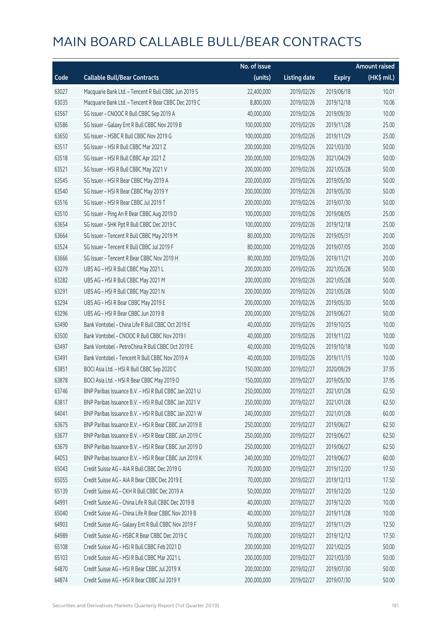|       |                                                        | No. of issue |                     |               | <b>Amount raised</b> |
|-------|--------------------------------------------------------|--------------|---------------------|---------------|----------------------|
| Code  | <b>Callable Bull/Bear Contracts</b>                    | (units)      | <b>Listing date</b> | <b>Expiry</b> | $(HK\$ mil.)         |
| 63027 | Macquarie Bank Ltd. - Tencent R Bull CBBC Jun 2019 S   | 22,400,000   | 2019/02/26          | 2019/06/18    | 10.01                |
| 63035 | Macquarie Bank Ltd. - Tencent R Bear CBBC Dec 2019 C   | 8,800,000    | 2019/02/26          | 2019/12/18    | 10.06                |
| 63567 | SG Issuer - CNOOC R Bull CBBC Sep 2019 A               | 40,000,000   | 2019/02/26          | 2019/09/30    | 10.00                |
| 63586 | SG Issuer - Galaxy Ent R Bull CBBC Nov 2019 B          | 100,000,000  | 2019/02/26          | 2019/11/28    | 25.00                |
| 63650 | SG Issuer - HSBC R Bull CBBC Nov 2019 G                | 100,000,000  | 2019/02/26          | 2019/11/29    | 25.00                |
| 63517 | SG Issuer - HSI R Bull CBBC Mar 2021 Z                 | 200,000,000  | 2019/02/26          | 2021/03/30    | 50.00                |
| 63518 | SG Issuer - HSI R Bull CBBC Apr 2021 Z                 | 200,000,000  | 2019/02/26          | 2021/04/29    | 50.00                |
| 63521 | SG Issuer - HSI R Bull CBBC May 2021 V                 | 200,000,000  | 2019/02/26          | 2021/05/28    | 50.00                |
| 63545 | SG Issuer - HSI R Bear CBBC May 2019 A                 | 200,000,000  | 2019/02/26          | 2019/05/30    | 50.00                |
| 63540 | SG Issuer - HSI R Bear CBBC May 2019 Y                 | 200,000,000  | 2019/02/26          | 2019/05/30    | 50.00                |
| 63516 | SG Issuer - HSI R Bear CBBC Jul 2019 T                 | 200,000,000  | 2019/02/26          | 2019/07/30    | 50.00                |
| 63510 | SG Issuer - Ping An R Bear CBBC Aug 2019 D             | 100,000,000  | 2019/02/26          | 2019/08/05    | 25.00                |
| 63654 | SG Issuer - SHK Ppt R Bull CBBC Dec 2019 C             | 100,000,000  | 2019/02/26          | 2019/12/18    | 25.00                |
| 63664 | SG Issuer - Tencent R Bull CBBC May 2019 M             | 80,000,000   | 2019/02/26          | 2019/05/31    | 20.00                |
| 63524 | SG Issuer - Tencent R Bull CBBC Jul 2019 F             | 80,000,000   | 2019/02/26          | 2019/07/05    | 20.00                |
| 63666 | SG Issuer - Tencent R Bear CBBC Nov 2019 H             | 80,000,000   | 2019/02/26          | 2019/11/21    | 20.00                |
| 63279 | UBS AG - HSI R Bull CBBC May 2021 L                    | 200,000,000  | 2019/02/26          | 2021/05/28    | 50.00                |
| 63282 | UBS AG - HSI R Bull CBBC May 2021 M                    | 200,000,000  | 2019/02/26          | 2021/05/28    | 50.00                |
| 63291 | UBS AG - HSI R Bull CBBC May 2021 N                    | 200,000,000  | 2019/02/26          | 2021/05/28    | 50.00                |
| 63294 | UBS AG - HSI R Bear CBBC May 2019 E                    | 200,000,000  | 2019/02/26          | 2019/05/30    | 50.00                |
| 63296 | UBS AG - HSI R Bear CBBC Jun 2019 B                    | 200,000,000  | 2019/02/26          | 2019/06/27    | 50.00                |
| 63490 | Bank Vontobel - China Life R Bull CBBC Oct 2019 E      | 40,000,000   | 2019/02/26          | 2019/10/25    | 10.00                |
| 63500 | Bank Vontobel - CNOOC R Bull CBBC Nov 2019 I           | 40,000,000   | 2019/02/26          | 2019/11/22    | 10.00                |
| 63497 | Bank Vontobel - PetroChina R Bull CBBC Oct 2019 E      | 40,000,000   | 2019/02/26          | 2019/10/18    | 10.00                |
| 63491 | Bank Vontobel - Tencent R Bull CBBC Nov 2019 A         | 40,000,000   | 2019/02/26          | 2019/11/15    | 10.00                |
| 63851 | BOCI Asia Ltd. - HSI R Bull CBBC Sep 2020 C            | 150,000,000  | 2019/02/27          | 2020/09/29    | 37.95                |
| 63878 | BOCI Asia Ltd. - HSI R Bear CBBC May 2019 O            | 150,000,000  | 2019/02/27          | 2019/05/30    | 37.95                |
| 63746 | BNP Paribas Issuance B.V. - HSI R Bull CBBC Jan 2021 U | 250,000,000  | 2019/02/27          | 2021/01/28    | 62.50                |
| 63817 | BNP Paribas Issuance B.V. - HSI R Bull CBBC Jan 2021 V | 250,000,000  | 2019/02/27          | 2021/01/28    | 62.50                |
| 64041 | BNP Paribas Issuance B.V. - HSI R Bull CBBC Jan 2021 W | 240,000,000  | 2019/02/27          | 2021/01/28    | 60.00                |
| 63675 | BNP Paribas Issuance B.V. - HSI R Bear CBBC Jun 2019 B | 250,000,000  | 2019/02/27          | 2019/06/27    | 62.50                |
| 63677 | BNP Paribas Issuance B.V. - HSI R Bear CBBC Jun 2019 C | 250,000,000  | 2019/02/27          | 2019/06/27    | 62.50                |
| 63679 | BNP Paribas Issuance B.V. - HSI R Bear CBBC Jun 2019 D | 250,000,000  | 2019/02/27          | 2019/06/27    | 62.50                |
| 64053 | BNP Paribas Issuance B.V. - HSI R Bear CBBC Jun 2019 K | 240,000,000  | 2019/02/27          | 2019/06/27    | 60.00                |
| 65043 | Credit Suisse AG - AIA R Bull CBBC Dec 2019 G          | 70,000,000   | 2019/02/27          | 2019/12/20    | 17.50                |
| 65055 | Credit Suisse AG - AIA R Bear CBBC Dec 2019 E          | 70,000,000   | 2019/02/27          | 2019/12/13    | 17.50                |
| 65139 | Credit Suisse AG - CKH R Bull CBBC Dec 2019 A          | 50,000,000   | 2019/02/27          | 2019/12/20    | 12.50                |
| 64991 | Credit Suisse AG - China Life R Bull CBBC Dec 2019 B   | 40,000,000   | 2019/02/27          | 2019/12/20    | 10.00                |
| 65040 | Credit Suisse AG - China Life R Bear CBBC Nov 2019 B   | 40,000,000   | 2019/02/27          | 2019/11/28    | 10.00                |
| 64903 | Credit Suisse AG - Galaxy Ent R Bull CBBC Nov 2019 F   | 50,000,000   | 2019/02/27          | 2019/11/29    | 12.50                |
| 64989 | Credit Suisse AG - HSBC R Bear CBBC Dec 2019 C         | 70,000,000   | 2019/02/27          | 2019/12/12    | 17.50                |
| 65108 | Credit Suisse AG - HSI R Bull CBBC Feb 2021 D          | 200,000,000  | 2019/02/27          | 2021/02/25    | 50.00                |
| 65103 | Credit Suisse AG - HSI R Bull CBBC Mar 2021 L          | 200,000,000  | 2019/02/27          | 2021/03/30    | 50.00                |
| 64870 | Credit Suisse AG - HSI R Bear CBBC Jul 2019 X          | 200,000,000  | 2019/02/27          | 2019/07/30    | 50.00                |
| 64874 | Credit Suisse AG - HSI R Bear CBBC Jul 2019 Y          | 200,000,000  | 2019/02/27          | 2019/07/30    | 50.00                |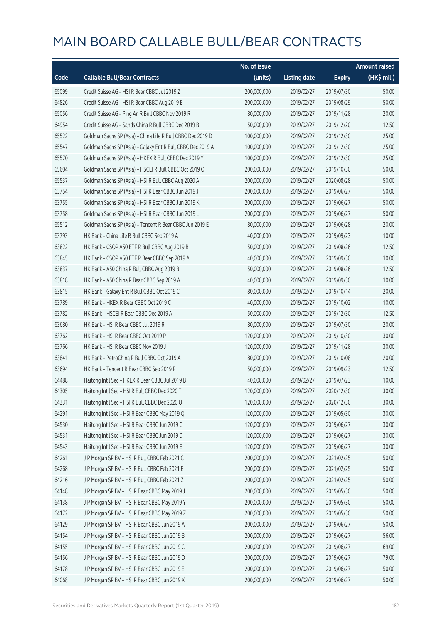|       |                                                             | No. of issue |                     |               | <b>Amount raised</b> |
|-------|-------------------------------------------------------------|--------------|---------------------|---------------|----------------------|
| Code  | <b>Callable Bull/Bear Contracts</b>                         | (units)      | <b>Listing date</b> | <b>Expiry</b> | (HK\$ mil.)          |
| 65099 | Credit Suisse AG - HSI R Bear CBBC Jul 2019 Z               | 200,000,000  | 2019/02/27          | 2019/07/30    | 50.00                |
| 64826 | Credit Suisse AG - HSI R Bear CBBC Aug 2019 E               | 200,000,000  | 2019/02/27          | 2019/08/29    | 50.00                |
| 65056 | Credit Suisse AG - Ping An R Bull CBBC Nov 2019 R           | 80,000,000   | 2019/02/27          | 2019/11/28    | 20.00                |
| 64954 | Credit Suisse AG - Sands China R Bull CBBC Dec 2019 B       | 50,000,000   | 2019/02/27          | 2019/12/20    | 12.50                |
| 65522 | Goldman Sachs SP (Asia) - China Life R Bull CBBC Dec 2019 D | 100,000,000  | 2019/02/27          | 2019/12/30    | 25.00                |
| 65547 | Goldman Sachs SP (Asia) - Galaxy Ent R Bull CBBC Dec 2019 A | 100,000,000  | 2019/02/27          | 2019/12/30    | 25.00                |
| 65570 | Goldman Sachs SP (Asia) - HKEX R Bull CBBC Dec 2019 Y       | 100,000,000  | 2019/02/27          | 2019/12/30    | 25.00                |
| 65604 | Goldman Sachs SP (Asia) - HSCEI R Bull CBBC Oct 2019 O      | 200,000,000  | 2019/02/27          | 2019/10/30    | 50.00                |
| 65537 | Goldman Sachs SP (Asia) - HSI R Bull CBBC Aug 2020 A        | 200,000,000  | 2019/02/27          | 2020/08/28    | 50.00                |
| 63754 | Goldman Sachs SP (Asia) - HSI R Bear CBBC Jun 2019 J        | 200,000,000  | 2019/02/27          | 2019/06/27    | 50.00                |
| 63755 | Goldman Sachs SP (Asia) - HSI R Bear CBBC Jun 2019 K        | 200,000,000  | 2019/02/27          | 2019/06/27    | 50.00                |
| 63758 | Goldman Sachs SP (Asia) - HSI R Bear CBBC Jun 2019 L        | 200,000,000  | 2019/02/27          | 2019/06/27    | 50.00                |
| 65512 | Goldman Sachs SP (Asia) - Tencent R Bear CBBC Jun 2019 E    | 80,000,000   | 2019/02/27          | 2019/06/28    | 20.00                |
| 63793 | HK Bank - China Life R Bull CBBC Sep 2019 A                 | 40,000,000   | 2019/02/27          | 2019/09/23    | 10.00                |
| 63822 | HK Bank - CSOP A50 ETF R Bull CBBC Aug 2019 B               | 50,000,000   | 2019/02/27          | 2019/08/26    | 12.50                |
| 63845 | HK Bank - CSOP A50 ETF R Bear CBBC Sep 2019 A               | 40,000,000   | 2019/02/27          | 2019/09/30    | 10.00                |
| 63837 | HK Bank - A50 China R Bull CBBC Aug 2019 B                  | 50,000,000   | 2019/02/27          | 2019/08/26    | 12.50                |
| 63818 | HK Bank - A50 China R Bear CBBC Sep 2019 A                  | 40,000,000   | 2019/02/27          | 2019/09/30    | 10.00                |
| 63815 | HK Bank - Galaxy Ent R Bull CBBC Oct 2019 C                 | 80,000,000   | 2019/02/27          | 2019/10/14    | 20.00                |
| 63789 | HK Bank - HKEX R Bear CBBC Oct 2019 C                       | 40,000,000   | 2019/02/27          | 2019/10/02    | 10.00                |
| 63782 | HK Bank - HSCEI R Bear CBBC Dec 2019 A                      | 50,000,000   | 2019/02/27          | 2019/12/30    | 12.50                |
| 63680 | HK Bank - HSI R Bear CBBC Jul 2019 R                        | 80,000,000   | 2019/02/27          | 2019/07/30    | 20.00                |
| 63762 | HK Bank - HSI R Bear CBBC Oct 2019 P                        | 120,000,000  | 2019/02/27          | 2019/10/30    | 30.00                |
| 63766 | HK Bank - HSI R Bear CBBC Nov 2019 J                        | 120,000,000  | 2019/02/27          | 2019/11/28    | 30.00                |
| 63841 | HK Bank - PetroChina R Bull CBBC Oct 2019 A                 | 80,000,000   | 2019/02/27          | 2019/10/08    | 20.00                |
| 63694 | HK Bank - Tencent R Bear CBBC Sep 2019 F                    | 50,000,000   | 2019/02/27          | 2019/09/23    | 12.50                |
| 64488 | Haitong Int'l Sec - HKEX R Bear CBBC Jul 2019 B             | 40,000,000   | 2019/02/27          | 2019/07/23    | 10.00                |
| 64305 | Haitong Int'l Sec - HSI R Bull CBBC Dec 2020 T              | 120,000,000  | 2019/02/27          | 2020/12/30    | 30.00                |
| 64331 | Haitong Int'l Sec - HSI R Bull CBBC Dec 2020 U              | 120,000,000  | 2019/02/27          | 2020/12/30    | 30.00                |
| 64291 | Haitong Int'l Sec - HSI R Bear CBBC May 2019 Q              | 120,000,000  | 2019/02/27          | 2019/05/30    | 30.00                |
| 64530 | Haitong Int'l Sec - HSI R Bear CBBC Jun 2019 C              | 120,000,000  | 2019/02/27          | 2019/06/27    | 30.00                |
| 64531 | Haitong Int'l Sec - HSI R Bear CBBC Jun 2019 D              | 120,000,000  | 2019/02/27          | 2019/06/27    | 30.00                |
| 64543 | Haitong Int'l Sec - HSI R Bear CBBC Jun 2019 E              | 120,000,000  | 2019/02/27          | 2019/06/27    | 30.00                |
| 64261 | J P Morgan SP BV - HSI R Bull CBBC Feb 2021 C               | 200,000,000  | 2019/02/27          | 2021/02/25    | 50.00                |
| 64268 | J P Morgan SP BV - HSI R Bull CBBC Feb 2021 E               | 200,000,000  | 2019/02/27          | 2021/02/25    | 50.00                |
| 64216 | J P Morgan SP BV - HSI R Bull CBBC Feb 2021 Z               | 200,000,000  | 2019/02/27          | 2021/02/25    | 50.00                |
| 64148 | J P Morgan SP BV - HSI R Bear CBBC May 2019 J               | 200,000,000  | 2019/02/27          | 2019/05/30    | 50.00                |
| 64138 | J P Morgan SP BV - HSI R Bear CBBC May 2019 Y               | 200,000,000  | 2019/02/27          | 2019/05/30    | 50.00                |
| 64172 | J P Morgan SP BV - HSI R Bear CBBC May 2019 Z               | 200,000,000  | 2019/02/27          | 2019/05/30    | 50.00                |
| 64129 | J P Morgan SP BV - HSI R Bear CBBC Jun 2019 A               | 200,000,000  | 2019/02/27          | 2019/06/27    | 50.00                |
| 64154 | J P Morgan SP BV - HSI R Bear CBBC Jun 2019 B               | 200,000,000  | 2019/02/27          | 2019/06/27    | 56.00                |
| 64155 | J P Morgan SP BV - HSI R Bear CBBC Jun 2019 C               | 200,000,000  | 2019/02/27          | 2019/06/27    | 69.00                |
| 64156 | J P Morgan SP BV - HSI R Bear CBBC Jun 2019 D               | 200,000,000  | 2019/02/27          | 2019/06/27    | 79.00                |
| 64178 | J P Morgan SP BV - HSI R Bear CBBC Jun 2019 E               | 200,000,000  | 2019/02/27          | 2019/06/27    | 50.00                |
| 64068 | J P Morgan SP BV - HSI R Bear CBBC Jun 2019 X               | 200,000,000  | 2019/02/27          | 2019/06/27    | 50.00                |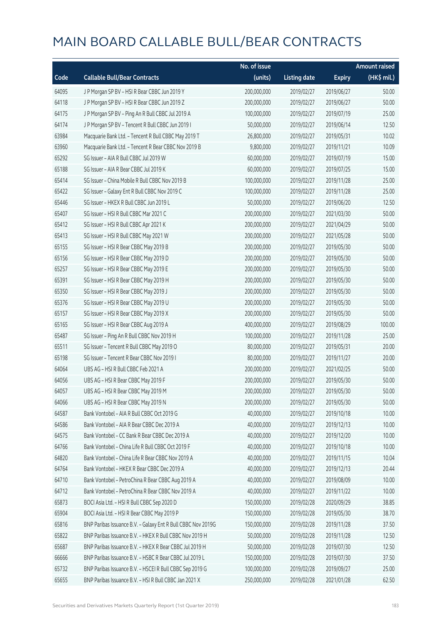|       |                                                              | No. of issue |                     |               | <b>Amount raised</b> |
|-------|--------------------------------------------------------------|--------------|---------------------|---------------|----------------------|
| Code  | <b>Callable Bull/Bear Contracts</b>                          | (units)      | <b>Listing date</b> | <b>Expiry</b> | (HK\$ mil.)          |
| 64095 | J P Morgan SP BV - HSI R Bear CBBC Jun 2019 Y                | 200,000,000  | 2019/02/27          | 2019/06/27    | 50.00                |
| 64118 | J P Morgan SP BV - HSI R Bear CBBC Jun 2019 Z                | 200,000,000  | 2019/02/27          | 2019/06/27    | 50.00                |
| 64175 | J P Morgan SP BV - Ping An R Bull CBBC Jul 2019 A            | 100,000,000  | 2019/02/27          | 2019/07/19    | 25.00                |
| 64174 | J P Morgan SP BV - Tencent R Bull CBBC Jun 2019 I            | 50,000,000   | 2019/02/27          | 2019/06/14    | 12.50                |
| 63984 | Macquarie Bank Ltd. - Tencent R Bull CBBC May 2019 T         | 26,800,000   | 2019/02/27          | 2019/05/31    | 10.02                |
| 63960 | Macquarie Bank Ltd. - Tencent R Bear CBBC Nov 2019 B         | 9,800,000    | 2019/02/27          | 2019/11/21    | 10.09                |
| 65292 | SG Issuer - AIA R Bull CBBC Jul 2019 W                       | 60,000,000   | 2019/02/27          | 2019/07/19    | 15.00                |
| 65188 | SG Issuer - AIA R Bear CBBC Jul 2019 K                       | 60,000,000   | 2019/02/27          | 2019/07/25    | 15.00                |
| 65414 | SG Issuer - China Mobile R Bull CBBC Nov 2019 B              | 100,000,000  | 2019/02/27          | 2019/11/28    | 25.00                |
| 65422 | SG Issuer - Galaxy Ent R Bull CBBC Nov 2019 C                | 100,000,000  | 2019/02/27          | 2019/11/28    | 25.00                |
| 65446 | SG Issuer - HKEX R Bull CBBC Jun 2019 L                      | 50,000,000   | 2019/02/27          | 2019/06/20    | 12.50                |
| 65407 | SG Issuer - HSI R Bull CBBC Mar 2021 C                       | 200,000,000  | 2019/02/27          | 2021/03/30    | 50.00                |
| 65412 | SG Issuer - HSI R Bull CBBC Apr 2021 K                       | 200,000,000  | 2019/02/27          | 2021/04/29    | 50.00                |
| 65413 | SG Issuer - HSI R Bull CBBC May 2021 W                       | 200,000,000  | 2019/02/27          | 2021/05/28    | 50.00                |
| 65155 | SG Issuer - HSI R Bear CBBC May 2019 B                       | 200,000,000  | 2019/02/27          | 2019/05/30    | 50.00                |
| 65156 | SG Issuer - HSI R Bear CBBC May 2019 D                       | 200,000,000  | 2019/02/27          | 2019/05/30    | 50.00                |
| 65257 | SG Issuer - HSI R Bear CBBC May 2019 E                       | 200,000,000  | 2019/02/27          | 2019/05/30    | 50.00                |
| 65391 | SG Issuer - HSI R Bear CBBC May 2019 H                       | 200,000,000  | 2019/02/27          | 2019/05/30    | 50.00                |
| 65350 | SG Issuer - HSI R Bear CBBC May 2019 J                       | 200,000,000  | 2019/02/27          | 2019/05/30    | 50.00                |
| 65376 | SG Issuer - HSI R Bear CBBC May 2019 U                       | 200,000,000  | 2019/02/27          | 2019/05/30    | 50.00                |
| 65157 | SG Issuer - HSI R Bear CBBC May 2019 X                       | 200,000,000  | 2019/02/27          | 2019/05/30    | 50.00                |
| 65165 | SG Issuer - HSI R Bear CBBC Aug 2019 A                       | 400,000,000  | 2019/02/27          | 2019/08/29    | 100.00               |
| 65487 | SG Issuer - Ping An R Bull CBBC Nov 2019 H                   | 100,000,000  | 2019/02/27          | 2019/11/28    | 25.00                |
| 65511 | SG Issuer - Tencent R Bull CBBC May 2019 O                   | 80,000,000   | 2019/02/27          | 2019/05/31    | 20.00                |
| 65198 | SG Issuer - Tencent R Bear CBBC Nov 2019 I                   | 80,000,000   | 2019/02/27          | 2019/11/27    | 20.00                |
| 64064 | UBS AG - HSI R Bull CBBC Feb 2021 A                          | 200,000,000  | 2019/02/27          | 2021/02/25    | 50.00                |
| 64056 | UBS AG - HSI R Bear CBBC May 2019 F                          | 200,000,000  | 2019/02/27          | 2019/05/30    | 50.00                |
| 64057 | UBS AG - HSI R Bear CBBC May 2019 M                          | 200,000,000  | 2019/02/27          | 2019/05/30    | 50.00                |
| 64066 | UBS AG - HSI R Bear CBBC May 2019 N                          | 200,000,000  | 2019/02/27          | 2019/05/30    | 50.00                |
| 64587 | Bank Vontobel - AIA R Bull CBBC Oct 2019 G                   | 40,000,000   | 2019/02/27          | 2019/10/18    | 10.00                |
| 64586 | Bank Vontobel - AIA R Bear CBBC Dec 2019 A                   | 40,000,000   | 2019/02/27          | 2019/12/13    | 10.00                |
| 64575 | Bank Vontobel - CC Bank R Bear CBBC Dec 2019 A               | 40,000,000   | 2019/02/27          | 2019/12/20    | 10.00                |
| 64766 | Bank Vontobel - China Life R Bull CBBC Oct 2019 F            | 40,000,000   | 2019/02/27          | 2019/10/18    | 10.00                |
| 64820 | Bank Vontobel - China Life R Bear CBBC Nov 2019 A            | 40,000,000   | 2019/02/27          | 2019/11/15    | 10.04                |
| 64764 | Bank Vontobel - HKEX R Bear CBBC Dec 2019 A                  | 40,000,000   | 2019/02/27          | 2019/12/13    | 20.44                |
| 64710 | Bank Vontobel - PetroChina R Bear CBBC Aug 2019 A            | 40,000,000   | 2019/02/27          | 2019/08/09    | 10.00                |
| 64712 | Bank Vontobel - PetroChina R Bear CBBC Nov 2019 A            | 40,000,000   | 2019/02/27          | 2019/11/22    | 10.00                |
| 65873 | BOCI Asia Ltd. - HSI R Bull CBBC Sep 2020 D                  | 150,000,000  | 2019/02/28          | 2020/09/29    | 38.85                |
| 65904 | BOCI Asia Ltd. - HSI R Bear CBBC May 2019 P                  | 150,000,000  | 2019/02/28          | 2019/05/30    | 38.70                |
| 65816 | BNP Paribas Issuance B.V. - Galaxy Ent R Bull CBBC Nov 2019G | 150,000,000  | 2019/02/28          | 2019/11/28    | 37.50                |
| 65822 | BNP Paribas Issuance B.V. - HKEX R Bull CBBC Nov 2019 H      | 50,000,000   | 2019/02/28          | 2019/11/28    | 12.50                |
| 65687 | BNP Paribas Issuance B.V. - HKEX R Bear CBBC Jul 2019 H      | 50,000,000   | 2019/02/28          | 2019/07/30    | 12.50                |
| 66666 | BNP Paribas Issuance B.V. - HSBC R Bear CBBC Jul 2019 L      | 150,000,000  | 2019/02/28          | 2019/07/30    | 37.50                |
| 65732 | BNP Paribas Issuance B.V. - HSCEI R Bull CBBC Sep 2019 G     | 100,000,000  | 2019/02/28          | 2019/09/27    | 25.00                |
| 65655 | BNP Paribas Issuance B.V. - HSI R Bull CBBC Jan 2021 X       | 250,000,000  | 2019/02/28          | 2021/01/28    | 62.50                |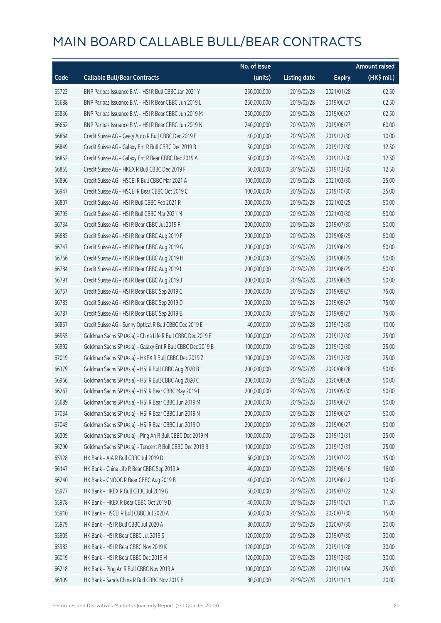|       |                                                             | No. of issue |                     |               | <b>Amount raised</b>  |
|-------|-------------------------------------------------------------|--------------|---------------------|---------------|-----------------------|
| Code  | <b>Callable Bull/Bear Contracts</b>                         | (units)      | <b>Listing date</b> | <b>Expiry</b> | $(HK\frac{1}{2}mil.)$ |
| 65723 | BNP Paribas Issuance B.V. - HSI R Bull CBBC Jan 2021 Y      | 250,000,000  | 2019/02/28          | 2021/01/28    | 62.50                 |
| 65688 | BNP Paribas Issuance B.V. - HSI R Bear CBBC Jun 2019 L      | 250,000,000  | 2019/02/28          | 2019/06/27    | 62.50                 |
| 65836 | BNP Paribas Issuance B.V. - HSI R Bear CBBC Jun 2019 M      | 250,000,000  | 2019/02/28          | 2019/06/27    | 62.50                 |
| 66662 | BNP Paribas Issuance B.V. - HSI R Bear CBBC Jun 2019 N      | 240,000,000  | 2019/02/28          | 2019/06/27    | 60.00                 |
| 66864 | Credit Suisse AG - Geely Auto R Bull CBBC Dec 2019 E        | 40,000,000   | 2019/02/28          | 2019/12/30    | 10.00                 |
| 66849 | Credit Suisse AG - Galaxy Ent R Bull CBBC Dec 2019 B        | 50,000,000   | 2019/02/28          | 2019/12/30    | 12.50                 |
| 66852 | Credit Suisse AG - Galaxy Ent R Bear CBBC Dec 2019 A        | 50,000,000   | 2019/02/28          | 2019/12/30    | 12.50                 |
| 66855 | Credit Suisse AG - HKEX R Bull CBBC Dec 2019 F              | 50,000,000   | 2019/02/28          | 2019/12/30    | 12.50                 |
| 66896 | Credit Suisse AG - HSCEI R Bull CBBC Mar 2021 A             | 100,000,000  | 2019/02/28          | 2021/03/30    | 25.00                 |
| 66947 | Credit Suisse AG - HSCEI R Bear CBBC Oct 2019 C             | 100,000,000  | 2019/02/28          | 2019/10/30    | 25.00                 |
| 66807 | Credit Suisse AG - HSI R Bull CBBC Feb 2021 R               | 200,000,000  | 2019/02/28          | 2021/02/25    | 50.00                 |
| 66795 | Credit Suisse AG - HSI R Bull CBBC Mar 2021 M               | 200,000,000  | 2019/02/28          | 2021/03/30    | 50.00                 |
| 66734 | Credit Suisse AG - HSI R Bear CBBC Jul 2019 F               | 200,000,000  | 2019/02/28          | 2019/07/30    | 50.00                 |
| 66685 | Credit Suisse AG - HSI R Bear CBBC Aug 2019 F               | 200,000,000  | 2019/02/28          | 2019/08/29    | 50.00                 |
| 66747 | Credit Suisse AG - HSI R Bear CBBC Aug 2019 G               | 200,000,000  | 2019/02/28          | 2019/08/29    | 50.00                 |
| 66766 | Credit Suisse AG - HSI R Bear CBBC Aug 2019 H               | 200,000,000  | 2019/02/28          | 2019/08/29    | 50.00                 |
| 66784 | Credit Suisse AG - HSI R Bear CBBC Aug 2019 I               | 200,000,000  | 2019/02/28          | 2019/08/29    | 50.00                 |
| 66791 | Credit Suisse AG - HSI R Bear CBBC Aug 2019 J               | 200,000,000  | 2019/02/28          | 2019/08/29    | 50.00                 |
| 66757 | Credit Suisse AG - HSI R Bear CBBC Sep 2019 C               | 300,000,000  | 2019/02/28          | 2019/09/27    | 75.00                 |
| 66785 | Credit Suisse AG - HSI R Bear CBBC Sep 2019 D               | 300,000,000  | 2019/02/28          | 2019/09/27    | 75.00                 |
| 66787 | Credit Suisse AG - HSI R Bear CBBC Sep 2019 E               | 300,000,000  | 2019/02/28          | 2019/09/27    | 75.00                 |
| 66857 | Credit Suisse AG - Sunny Optical R Bull CBBC Dec 2019 E     | 40,000,000   | 2019/02/28          | 2019/12/30    | 10.00                 |
| 66955 | Goldman Sachs SP (Asia) - China Life R Bull CBBC Dec 2019 E | 100,000,000  | 2019/02/28          | 2019/12/30    | 25.00                 |
| 66992 | Goldman Sachs SP (Asia) - Galaxy Ent R Bull CBBC Dec 2019 B | 100,000,000  | 2019/02/28          | 2019/12/30    | 25.00                 |
| 67019 | Goldman Sachs SP (Asia) - HKEX R Bull CBBC Dec 2019 Z       | 100,000,000  | 2019/02/28          | 2019/12/30    | 25.00                 |
| 66379 | Goldman Sachs SP (Asia) - HSI R Bull CBBC Aug 2020 B        | 200,000,000  | 2019/02/28          | 2020/08/28    | 50.00                 |
| 66966 | Goldman Sachs SP (Asia) - HSI R Bull CBBC Aug 2020 C        | 200,000,000  | 2019/02/28          | 2020/08/28    | 50.00                 |
| 66267 | Goldman Sachs SP (Asia) - HSI R Bear CBBC May 2019 I        | 200,000,000  | 2019/02/28          | 2019/05/30    | 50.00                 |
| 65689 | Goldman Sachs SP (Asia) - HSI R Bear CBBC Jun 2019 M        | 200,000,000  | 2019/02/28          | 2019/06/27    | 50.00                 |
| 67034 | Goldman Sachs SP (Asia) - HSI R Bear CBBC Jun 2019 N        | 200,000,000  | 2019/02/28          | 2019/06/27    | 50.00                 |
| 67045 | Goldman Sachs SP (Asia) - HSI R Bear CBBC Jun 2019 O        | 200,000,000  | 2019/02/28          | 2019/06/27    | 50.00                 |
| 66309 | Goldman Sachs SP (Asia) - Ping An R Bull CBBC Dec 2019 M    | 100,000,000  | 2019/02/28          | 2019/12/31    | 25.00                 |
| 66290 | Goldman Sachs SP (Asia) - Tencent R Bull CBBC Dec 2019 B    | 100,000,000  | 2019/02/28          | 2019/12/31    | 25.00                 |
| 65928 | HK Bank - AIA R Bull CBBC Jul 2019 D                        | 60,000,000   | 2019/02/28          | 2019/07/22    | 15.00                 |
| 66147 | HK Bank - China Life R Bear CBBC Sep 2019 A                 | 40,000,000   | 2019/02/28          | 2019/09/16    | 16.00                 |
| 66240 | HK Bank - CNOOC R Bear CBBC Aug 2019 B                      | 40,000,000   | 2019/02/28          | 2019/08/12    | 10.00                 |
| 65977 | HK Bank - HKEX R Bull CBBC Jul 2019 G                       | 50,000,000   | 2019/02/28          | 2019/07/22    | 12.50                 |
| 65978 | HK Bank - HKEX R Bear CBBC Oct 2019 D                       | 40,000,000   | 2019/02/28          | 2019/10/21    | 11.20                 |
| 65910 | HK Bank - HSCEI R Bull CBBC Jul 2020 A                      | 60,000,000   | 2019/02/28          | 2020/07/30    | 15.00                 |
| 65979 | HK Bank - HSI R Bull CBBC Jul 2020 A                        | 80,000,000   | 2019/02/28          | 2020/07/30    | 20.00                 |
| 65905 | HK Bank - HSI R Bear CBBC Jul 2019 S                        | 120,000,000  | 2019/02/28          | 2019/07/30    | 30.00                 |
| 65983 | HK Bank - HSI R Bear CBBC Nov 2019 K                        | 120,000,000  | 2019/02/28          | 2019/11/28    | 30.00                 |
| 66019 | HK Bank - HSI R Bear CBBC Dec 2019 H                        | 120,000,000  | 2019/02/28          | 2019/12/30    | 30.00                 |
| 66218 | HK Bank - Ping An R Bull CBBC Nov 2019 A                    | 100,000,000  | 2019/02/28          | 2019/11/04    | 25.00                 |
| 66109 | HK Bank - Sands China R Bull CBBC Nov 2019 B                | 80,000,000   | 2019/02/28          | 2019/11/11    | 20.00                 |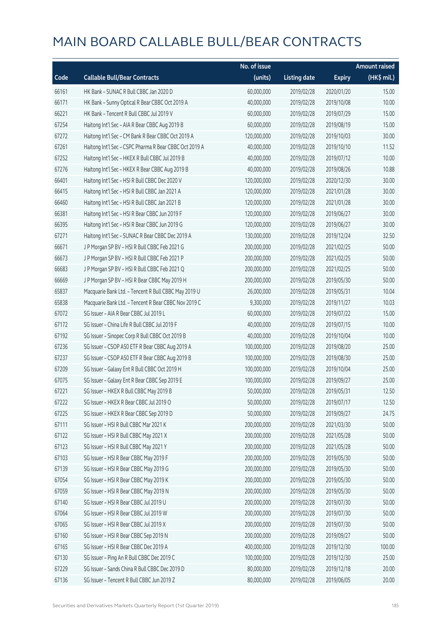|       |                                                        | No. of issue |                     |               | <b>Amount raised</b>  |
|-------|--------------------------------------------------------|--------------|---------------------|---------------|-----------------------|
| Code  | <b>Callable Bull/Bear Contracts</b>                    | (units)      | <b>Listing date</b> | <b>Expiry</b> | $(HK\frac{1}{2}mil.)$ |
| 66161 | HK Bank - SUNAC R Bull CBBC Jan 2020 D                 | 60,000,000   | 2019/02/28          | 2020/01/20    | 15.00                 |
| 66171 | HK Bank - Sunny Optical R Bear CBBC Oct 2019 A         | 40,000,000   | 2019/02/28          | 2019/10/08    | 10.00                 |
| 66221 | HK Bank - Tencent R Bull CBBC Jul 2019 V               | 60,000,000   | 2019/02/28          | 2019/07/29    | 15.00                 |
| 67254 | Haitong Int'l Sec - AIA R Bear CBBC Aug 2019 B         | 60,000,000   | 2019/02/28          | 2019/08/19    | 15.00                 |
| 67272 | Haitong Int'l Sec - CM Bank R Bear CBBC Oct 2019 A     | 120,000,000  | 2019/02/28          | 2019/10/03    | 30.00                 |
| 67261 | Haitong Int'l Sec - CSPC Pharma R Bear CBBC Oct 2019 A | 40,000,000   | 2019/02/28          | 2019/10/10    | 11.52                 |
| 67252 | Haitong Int'l Sec - HKEX R Bull CBBC Jul 2019 B        | 40,000,000   | 2019/02/28          | 2019/07/12    | 10.00                 |
| 67276 | Haitong Int'l Sec - HKEX R Bear CBBC Aug 2019 B        | 40,000,000   | 2019/02/28          | 2019/08/26    | 10.88                 |
| 66401 | Haitong Int'l Sec - HSI R Bull CBBC Dec 2020 V         | 120,000,000  | 2019/02/28          | 2020/12/30    | 30.00                 |
| 66415 | Haitong Int'l Sec - HSI R Bull CBBC Jan 2021 A         | 120,000,000  | 2019/02/28          | 2021/01/28    | 30.00                 |
| 66460 | Haitong Int'l Sec - HSI R Bull CBBC Jan 2021 B         | 120,000,000  | 2019/02/28          | 2021/01/28    | 30.00                 |
| 66381 | Haitong Int'l Sec - HSI R Bear CBBC Jun 2019 F         | 120,000,000  | 2019/02/28          | 2019/06/27    | 30.00                 |
| 66395 | Haitong Int'l Sec - HSI R Bear CBBC Jun 2019 G         | 120,000,000  | 2019/02/28          | 2019/06/27    | 30.00                 |
| 67271 | Haitong Int'l Sec - SUNAC R Bear CBBC Dec 2019 A       | 130,000,000  | 2019/02/28          | 2019/12/24    | 32.50                 |
| 66671 | J P Morgan SP BV - HSI R Bull CBBC Feb 2021 G          | 200,000,000  | 2019/02/28          | 2021/02/25    | 50.00                 |
| 66673 | J P Morgan SP BV - HSI R Bull CBBC Feb 2021 P          | 200,000,000  | 2019/02/28          | 2021/02/25    | 50.00                 |
| 66683 | J P Morgan SP BV - HSI R Bull CBBC Feb 2021 Q          | 200,000,000  | 2019/02/28          | 2021/02/25    | 50.00                 |
| 66669 | J P Morgan SP BV - HSI R Bear CBBC May 2019 H          | 200,000,000  | 2019/02/28          | 2019/05/30    | 50.00                 |
| 65837 | Macquarie Bank Ltd. - Tencent R Bull CBBC May 2019 U   | 26,000,000   | 2019/02/28          | 2019/05/31    | 10.04                 |
| 65838 | Macquarie Bank Ltd. - Tencent R Bear CBBC Nov 2019 C   | 9,300,000    | 2019/02/28          | 2019/11/27    | 10.03                 |
| 67072 | SG Issuer - AIA R Bear CBBC Jul 2019 L                 | 60,000,000   | 2019/02/28          | 2019/07/22    | 15.00                 |
| 67172 | SG Issuer - China Life R Bull CBBC Jul 2019 F          | 40,000,000   | 2019/02/28          | 2019/07/15    | 10.00                 |
| 67192 | SG Issuer - Sinopec Corp R Bull CBBC Oct 2019 B        | 40,000,000   | 2019/02/28          | 2019/10/04    | 10.00                 |
| 67236 | SG Issuer - CSOP A50 ETF R Bear CBBC Aug 2019 A        | 100,000,000  | 2019/02/28          | 2019/08/20    | 25.00                 |
| 67237 | SG Issuer - CSOP A50 ETF R Bear CBBC Aug 2019 B        | 100,000,000  | 2019/02/28          | 2019/08/30    | 25.00                 |
| 67209 | SG Issuer - Galaxy Ent R Bull CBBC Oct 2019 H          | 100,000,000  | 2019/02/28          | 2019/10/04    | 25.00                 |
| 67075 | SG Issuer - Galaxy Ent R Bear CBBC Sep 2019 E          | 100,000,000  | 2019/02/28          | 2019/09/27    | 25.00                 |
| 67221 | SG Issuer - HKEX R Bull CBBC May 2019 B                | 50,000,000   | 2019/02/28          | 2019/05/31    | 12.50                 |
| 67222 | SG Issuer - HKEX R Bear CBBC Jul 2019 O                | 50,000,000   | 2019/02/28          | 2019/07/17    | 12.50                 |
| 67225 | SG Issuer - HKEX R Bear CBBC Sep 2019 D                | 50,000,000   | 2019/02/28          | 2019/09/27    | 24.75                 |
| 67111 | SG Issuer - HSI R Bull CBBC Mar 2021 K                 | 200,000,000  | 2019/02/28          | 2021/03/30    | 50.00                 |
| 67122 | SG Issuer - HSI R Bull CBBC May 2021 X                 | 200,000,000  | 2019/02/28          | 2021/05/28    | 50.00                 |
| 67123 | SG Issuer - HSI R Bull CBBC May 2021 Y                 | 200,000,000  | 2019/02/28          | 2021/05/28    | 50.00                 |
| 67103 | SG Issuer - HSI R Bear CBBC May 2019 F                 | 200,000,000  | 2019/02/28          | 2019/05/30    | 50.00                 |
| 67139 | SG Issuer - HSI R Bear CBBC May 2019 G                 | 200,000,000  | 2019/02/28          | 2019/05/30    | 50.00                 |
| 67054 | SG Issuer - HSI R Bear CBBC May 2019 K                 | 200,000,000  | 2019/02/28          | 2019/05/30    | 50.00                 |
| 67059 | SG Issuer - HSI R Bear CBBC May 2019 N                 | 200,000,000  | 2019/02/28          | 2019/05/30    | 50.00                 |
| 67140 | SG Issuer - HSI R Bear CBBC Jul 2019 U                 | 200,000,000  | 2019/02/28          | 2019/07/30    | 50.00                 |
| 67064 | SG Issuer - HSI R Bear CBBC Jul 2019 W                 | 200,000,000  | 2019/02/28          | 2019/07/30    | 50.00                 |
| 67065 | SG Issuer - HSI R Bear CBBC Jul 2019 X                 | 200,000,000  | 2019/02/28          | 2019/07/30    | 50.00                 |
| 67160 | SG Issuer - HSI R Bear CBBC Sep 2019 N                 | 200,000,000  | 2019/02/28          | 2019/09/27    | 50.00                 |
| 67165 | SG Issuer - HSI R Bear CBBC Dec 2019 A                 | 400,000,000  | 2019/02/28          | 2019/12/30    | 100.00                |
| 67130 | SG Issuer - Ping An R Bull CBBC Dec 2019 C             | 100,000,000  | 2019/02/28          | 2019/12/30    | 25.00                 |
| 67229 | SG Issuer - Sands China R Bull CBBC Dec 2019 D         | 80,000,000   | 2019/02/28          | 2019/12/18    | 20.00                 |
| 67136 | SG Issuer - Tencent R Bull CBBC Jun 2019 Z             | 80,000,000   | 2019/02/28          | 2019/06/05    | 20.00                 |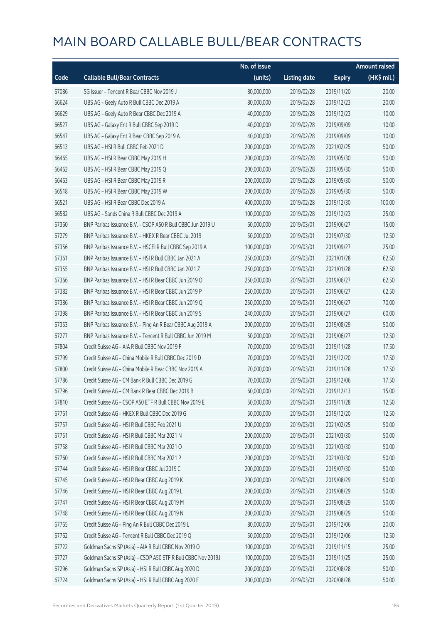|       |                                                              | No. of issue |                     |               | <b>Amount raised</b> |
|-------|--------------------------------------------------------------|--------------|---------------------|---------------|----------------------|
| Code  | <b>Callable Bull/Bear Contracts</b>                          | (units)      | <b>Listing date</b> | <b>Expiry</b> | (HK\$ mil.)          |
| 67086 | SG Issuer - Tencent R Bear CBBC Nov 2019 J                   | 80,000,000   | 2019/02/28          | 2019/11/20    | 20.00                |
| 66624 | UBS AG - Geely Auto R Bull CBBC Dec 2019 A                   | 80,000,000   | 2019/02/28          | 2019/12/23    | 20.00                |
| 66629 | UBS AG - Geely Auto R Bear CBBC Dec 2019 A                   | 40,000,000   | 2019/02/28          | 2019/12/23    | 10.00                |
| 66527 | UBS AG - Galaxy Ent R Bull CBBC Sep 2019 D                   | 40,000,000   | 2019/02/28          | 2019/09/09    | 10.00                |
| 66547 | UBS AG - Galaxy Ent R Bear CBBC Sep 2019 A                   | 40,000,000   | 2019/02/28          | 2019/09/09    | 10.00                |
| 66513 | UBS AG - HSI R Bull CBBC Feb 2021 D                          | 200,000,000  | 2019/02/28          | 2021/02/25    | 50.00                |
| 66465 | UBS AG - HSI R Bear CBBC May 2019 H                          | 200,000,000  | 2019/02/28          | 2019/05/30    | 50.00                |
| 66462 | UBS AG - HSI R Bear CBBC May 2019 Q                          | 200,000,000  | 2019/02/28          | 2019/05/30    | 50.00                |
| 66463 | UBS AG - HSI R Bear CBBC May 2019 R                          | 200,000,000  | 2019/02/28          | 2019/05/30    | 50.00                |
| 66518 | UBS AG - HSI R Bear CBBC May 2019 W                          | 200,000,000  | 2019/02/28          | 2019/05/30    | 50.00                |
| 66521 | UBS AG - HSI R Bear CBBC Dec 2019 A                          | 400,000,000  | 2019/02/28          | 2019/12/30    | 100.00               |
| 66582 | UBS AG - Sands China R Bull CBBC Dec 2019 A                  | 100,000,000  | 2019/02/28          | 2019/12/23    | 25.00                |
| 67360 | BNP Paribas Issuance B.V. - CSOP A50 R Bull CBBC Jun 2019 U  | 60,000,000   | 2019/03/01          | 2019/06/27    | 15.00                |
| 67279 | BNP Paribas Issuance B.V. - HKEX R Bear CBBC Jul 2019 I      | 50,000,000   | 2019/03/01          | 2019/07/30    | 12.50                |
| 67356 | BNP Paribas Issuance B.V. - HSCEI R Bull CBBC Sep 2019 A     | 100,000,000  | 2019/03/01          | 2019/09/27    | 25.00                |
| 67361 | BNP Paribas Issuance B.V. - HSI R Bull CBBC Jan 2021 A       | 250,000,000  | 2019/03/01          | 2021/01/28    | 62.50                |
| 67355 | BNP Paribas Issuance B.V. - HSI R Bull CBBC Jan 2021 Z       | 250,000,000  | 2019/03/01          | 2021/01/28    | 62.50                |
| 67366 | BNP Paribas Issuance B.V. - HSI R Bear CBBC Jun 2019 O       | 250,000,000  | 2019/03/01          | 2019/06/27    | 62.50                |
| 67382 | BNP Paribas Issuance B.V. - HSI R Bear CBBC Jun 2019 P       | 250,000,000  | 2019/03/01          | 2019/06/27    | 62.50                |
| 67386 | BNP Paribas Issuance B.V. - HSI R Bear CBBC Jun 2019 Q       | 250,000,000  | 2019/03/01          | 2019/06/27    | 70.00                |
| 67398 | BNP Paribas Issuance B.V. - HSI R Bear CBBC Jun 2019 S       | 240,000,000  | 2019/03/01          | 2019/06/27    | 60.00                |
| 67353 | BNP Paribas Issuance B.V. - Ping An R Bear CBBC Aug 2019 A   | 200,000,000  | 2019/03/01          | 2019/08/29    | 50.00                |
| 67277 | BNP Paribas Issuance B.V. - Tencent R Bull CBBC Jun 2019 M   | 50,000,000   | 2019/03/01          | 2019/06/27    | 12.50                |
| 67804 | Credit Suisse AG - AIA R Bull CBBC Nov 2019 F                | 70,000,000   | 2019/03/01          | 2019/11/28    | 17.50                |
| 67799 | Credit Suisse AG - China Mobile R Bull CBBC Dec 2019 D       | 70,000,000   | 2019/03/01          | 2019/12/20    | 17.50                |
| 67800 | Credit Suisse AG - China Mobile R Bear CBBC Nov 2019 A       | 70,000,000   | 2019/03/01          | 2019/11/28    | 17.50                |
| 67786 | Credit Suisse AG - CM Bank R Bull CBBC Dec 2019 G            | 70,000,000   | 2019/03/01          | 2019/12/06    | 17.50                |
| 67796 | Credit Suisse AG – CM Bank R Bear CBBC Dec 2019 B            | 60,000,000   | 2019/03/01          | 2019/12/13    | 15.00                |
| 67810 | Credit Suisse AG - CSOP A50 ETF R Bull CBBC Nov 2019 E       | 50,000,000   | 2019/03/01          | 2019/11/28    | 12.50                |
| 67761 | Credit Suisse AG - HKEX R Bull CBBC Dec 2019 G               | 50,000,000   | 2019/03/01          | 2019/12/20    | 12.50                |
| 67757 | Credit Suisse AG - HSI R Bull CBBC Feb 2021 U                | 200,000,000  | 2019/03/01          | 2021/02/25    | 50.00                |
| 67751 | Credit Suisse AG - HSI R Bull CBBC Mar 2021 N                | 200,000,000  | 2019/03/01          | 2021/03/30    | 50.00                |
| 67758 | Credit Suisse AG - HSI R Bull CBBC Mar 2021 O                | 200,000,000  | 2019/03/01          | 2021/03/30    | 50.00                |
| 67760 | Credit Suisse AG - HSI R Bull CBBC Mar 2021 P                | 200,000,000  | 2019/03/01          | 2021/03/30    | 50.00                |
| 67744 | Credit Suisse AG - HSI R Bear CBBC Jul 2019 C                | 200,000,000  | 2019/03/01          | 2019/07/30    | 50.00                |
| 67745 | Credit Suisse AG - HSI R Bear CBBC Aug 2019 K                | 200,000,000  | 2019/03/01          | 2019/08/29    | 50.00                |
| 67746 | Credit Suisse AG - HSI R Bear CBBC Aug 2019 L                | 200,000,000  | 2019/03/01          | 2019/08/29    | 50.00                |
| 67747 | Credit Suisse AG - HSI R Bear CBBC Aug 2019 M                | 200,000,000  | 2019/03/01          | 2019/08/29    | 50.00                |
| 67748 | Credit Suisse AG - HSI R Bear CBBC Aug 2019 N                | 200,000,000  | 2019/03/01          | 2019/08/29    | 50.00                |
| 67765 | Credit Suisse AG - Ping An R Bull CBBC Dec 2019 L            | 80,000,000   | 2019/03/01          | 2019/12/06    | 20.00                |
| 67762 | Credit Suisse AG - Tencent R Bull CBBC Dec 2019 Q            | 50,000,000   | 2019/03/01          | 2019/12/06    | 12.50                |
| 67722 | Goldman Sachs SP (Asia) - AIA R Bull CBBC Nov 2019 O         | 100,000,000  | 2019/03/01          | 2019/11/15    | 25.00                |
| 67727 | Goldman Sachs SP (Asia) - CSOP A50 ETF R Bull CBBC Nov 2019J | 100,000,000  | 2019/03/01          | 2019/11/25    | 25.00                |
| 67296 | Goldman Sachs SP (Asia) - HSI R Bull CBBC Aug 2020 D         | 200,000,000  | 2019/03/01          | 2020/08/28    | 50.00                |
| 67724 | Goldman Sachs SP (Asia) - HSI R Bull CBBC Aug 2020 E         | 200,000,000  | 2019/03/01          | 2020/08/28    | 50.00                |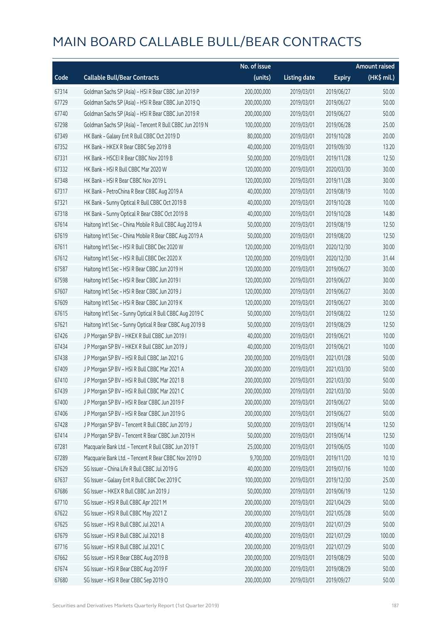|       |                                                          | No. of issue |                     |               | <b>Amount raised</b>  |
|-------|----------------------------------------------------------|--------------|---------------------|---------------|-----------------------|
| Code  | <b>Callable Bull/Bear Contracts</b>                      | (units)      | <b>Listing date</b> | <b>Expiry</b> | $(HK\frac{1}{2}mil.)$ |
| 67314 | Goldman Sachs SP (Asia) - HSI R Bear CBBC Jun 2019 P     | 200,000,000  | 2019/03/01          | 2019/06/27    | 50.00                 |
| 67729 | Goldman Sachs SP (Asia) - HSI R Bear CBBC Jun 2019 Q     | 200,000,000  | 2019/03/01          | 2019/06/27    | 50.00                 |
| 67740 | Goldman Sachs SP (Asia) - HSI R Bear CBBC Jun 2019 R     | 200,000,000  | 2019/03/01          | 2019/06/27    | 50.00                 |
| 67298 | Goldman Sachs SP (Asia) - Tencent R Bull CBBC Jun 2019 N | 100,000,000  | 2019/03/01          | 2019/06/28    | 25.00                 |
| 67349 | HK Bank - Galaxy Ent R Bull CBBC Oct 2019 D              | 80,000,000   | 2019/03/01          | 2019/10/28    | 20.00                 |
| 67352 | HK Bank - HKEX R Bear CBBC Sep 2019 B                    | 40,000,000   | 2019/03/01          | 2019/09/30    | 13.20                 |
| 67331 | HK Bank - HSCEI R Bear CBBC Nov 2019 B                   | 50,000,000   | 2019/03/01          | 2019/11/28    | 12.50                 |
| 67332 | HK Bank - HSI R Bull CBBC Mar 2020 W                     | 120,000,000  | 2019/03/01          | 2020/03/30    | 30.00                 |
| 67348 | HK Bank - HSI R Bear CBBC Nov 2019 L                     | 120,000,000  | 2019/03/01          | 2019/11/28    | 30.00                 |
| 67317 | HK Bank - PetroChina R Bear CBBC Aug 2019 A              | 40,000,000   | 2019/03/01          | 2019/08/19    | 10.00                 |
| 67321 | HK Bank - Sunny Optical R Bull CBBC Oct 2019 B           | 40,000,000   | 2019/03/01          | 2019/10/28    | 10.00                 |
| 67318 | HK Bank - Sunny Optical R Bear CBBC Oct 2019 B           | 40,000,000   | 2019/03/01          | 2019/10/28    | 14.80                 |
| 67614 | Haitong Int'l Sec - China Mobile R Bull CBBC Aug 2019 A  | 50,000,000   | 2019/03/01          | 2019/08/19    | 12.50                 |
| 67619 | Haitong Int'l Sec - China Mobile R Bear CBBC Aug 2019 A  | 50,000,000   | 2019/03/01          | 2019/08/20    | 12.50                 |
| 67611 | Haitong Int'l Sec - HSI R Bull CBBC Dec 2020 W           | 120,000,000  | 2019/03/01          | 2020/12/30    | 30.00                 |
| 67612 | Haitong Int'l Sec - HSI R Bull CBBC Dec 2020 X           | 120,000,000  | 2019/03/01          | 2020/12/30    | 31.44                 |
| 67587 | Haitong Int'l Sec - HSI R Bear CBBC Jun 2019 H           | 120,000,000  | 2019/03/01          | 2019/06/27    | 30.00                 |
| 67598 | Haitong Int'l Sec - HSI R Bear CBBC Jun 2019 I           | 120,000,000  | 2019/03/01          | 2019/06/27    | 30.00                 |
| 67607 | Haitong Int'l Sec - HSI R Bear CBBC Jun 2019 J           | 120,000,000  | 2019/03/01          | 2019/06/27    | 30.00                 |
| 67609 | Haitong Int'l Sec - HSI R Bear CBBC Jun 2019 K           | 120,000,000  | 2019/03/01          | 2019/06/27    | 30.00                 |
| 67615 | Haitong Int'l Sec - Sunny Optical R Bull CBBC Aug 2019 C | 50,000,000   | 2019/03/01          | 2019/08/22    | 12.50                 |
| 67621 | Haitong Int'l Sec - Sunny Optical R Bear CBBC Aug 2019 B | 50,000,000   | 2019/03/01          | 2019/08/29    | 12.50                 |
| 67426 | J P Morgan SP BV - HKEX R Bull CBBC Jun 2019 I           | 40,000,000   | 2019/03/01          | 2019/06/21    | 10.00                 |
| 67434 | J P Morgan SP BV - HKEX R Bull CBBC Jun 2019 J           | 40,000,000   | 2019/03/01          | 2019/06/21    | 10.00                 |
| 67438 | J P Morgan SP BV - HSI R Bull CBBC Jan 2021 G            | 200,000,000  | 2019/03/01          | 2021/01/28    | 50.00                 |
| 67409 | J P Morgan SP BV - HSI R Bull CBBC Mar 2021 A            | 200,000,000  | 2019/03/01          | 2021/03/30    | 50.00                 |
| 67410 | J P Morgan SP BV - HSI R Bull CBBC Mar 2021 B            | 200,000,000  | 2019/03/01          | 2021/03/30    | 50.00                 |
| 67439 | J P Morgan SP BV - HSI R Bull CBBC Mar 2021 C            | 200,000,000  | 2019/03/01          | 2021/03/30    | 50.00                 |
| 67400 | J P Morgan SP BV - HSI R Bear CBBC Jun 2019 F            | 200,000,000  | 2019/03/01          | 2019/06/27    | 50.00                 |
| 67406 | J P Morgan SP BV - HSI R Bear CBBC Jun 2019 G            | 200,000,000  | 2019/03/01          | 2019/06/27    | 50.00                 |
| 67428 | J P Morgan SP BV - Tencent R Bull CBBC Jun 2019 J        | 50,000,000   | 2019/03/01          | 2019/06/14    | 12.50                 |
| 67414 | J P Morgan SP BV - Tencent R Bear CBBC Jun 2019 H        | 50,000,000   | 2019/03/01          | 2019/06/14    | 12.50                 |
| 67281 | Macquarie Bank Ltd. - Tencent R Bull CBBC Jun 2019 T     | 25,000,000   | 2019/03/01          | 2019/06/05    | 10.00                 |
| 67289 | Macquarie Bank Ltd. - Tencent R Bear CBBC Nov 2019 D     | 9,700,000    | 2019/03/01          | 2019/11/20    | 10.10                 |
| 67629 | SG Issuer - China Life R Bull CBBC Jul 2019 G            | 40,000,000   | 2019/03/01          | 2019/07/16    | 10.00                 |
| 67637 | SG Issuer - Galaxy Ent R Bull CBBC Dec 2019 C            | 100,000,000  | 2019/03/01          | 2019/12/30    | 25.00                 |
| 67686 | SG Issuer - HKEX R Bull CBBC Jun 2019 J                  | 50,000,000   | 2019/03/01          | 2019/06/19    | 12.50                 |
| 67710 | SG Issuer - HSI R Bull CBBC Apr 2021 M                   | 200,000,000  | 2019/03/01          | 2021/04/29    | 50.00                 |
| 67622 | SG Issuer - HSI R Bull CBBC May 2021 Z                   | 200,000,000  | 2019/03/01          | 2021/05/28    | 50.00                 |
| 67625 | SG Issuer - HSI R Bull CBBC Jul 2021 A                   | 200,000,000  | 2019/03/01          | 2021/07/29    | 50.00                 |
| 67679 | SG Issuer - HSI R Bull CBBC Jul 2021 B                   | 400,000,000  | 2019/03/01          | 2021/07/29    | 100.00                |
| 67716 | SG Issuer - HSI R Bull CBBC Jul 2021 C                   | 200,000,000  | 2019/03/01          | 2021/07/29    | 50.00                 |
| 67662 | SG Issuer - HSI R Bear CBBC Aug 2019 B                   | 200,000,000  | 2019/03/01          | 2019/08/29    | 50.00                 |
| 67674 | SG Issuer - HSI R Bear CBBC Aug 2019 F                   | 200,000,000  | 2019/03/01          | 2019/08/29    | 50.00                 |
| 67680 | SG Issuer - HSI R Bear CBBC Sep 2019 O                   | 200,000,000  | 2019/03/01          | 2019/09/27    | 50.00                 |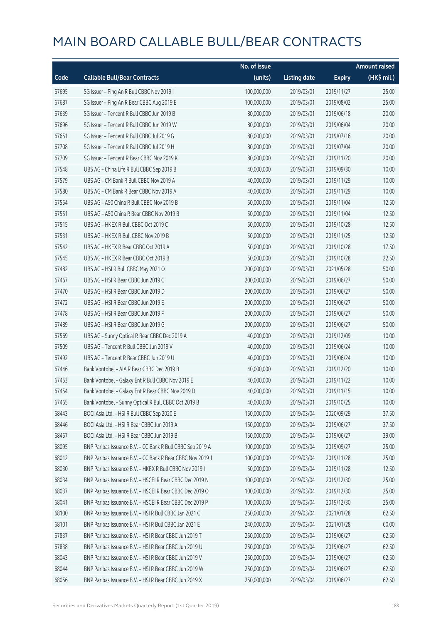|       |                                                            | No. of issue |                     |               | <b>Amount raised</b> |
|-------|------------------------------------------------------------|--------------|---------------------|---------------|----------------------|
| Code  | <b>Callable Bull/Bear Contracts</b>                        | (units)      | <b>Listing date</b> | <b>Expiry</b> | $(HK\$ mil.)         |
| 67695 | SG Issuer - Ping An R Bull CBBC Nov 2019 I                 | 100,000,000  | 2019/03/01          | 2019/11/27    | 25.00                |
| 67687 | SG Issuer - Ping An R Bear CBBC Aug 2019 E                 | 100,000,000  | 2019/03/01          | 2019/08/02    | 25.00                |
| 67639 | SG Issuer - Tencent R Bull CBBC Jun 2019 B                 | 80,000,000   | 2019/03/01          | 2019/06/18    | 20.00                |
| 67696 | SG Issuer - Tencent R Bull CBBC Jun 2019 W                 | 80,000,000   | 2019/03/01          | 2019/06/04    | 20.00                |
| 67651 | SG Issuer - Tencent R Bull CBBC Jul 2019 G                 | 80,000,000   | 2019/03/01          | 2019/07/16    | 20.00                |
| 67708 | SG Issuer - Tencent R Bull CBBC Jul 2019 H                 | 80,000,000   | 2019/03/01          | 2019/07/04    | 20.00                |
| 67709 | SG Issuer - Tencent R Bear CBBC Nov 2019 K                 | 80,000,000   | 2019/03/01          | 2019/11/20    | 20.00                |
| 67548 | UBS AG - China Life R Bull CBBC Sep 2019 B                 | 40,000,000   | 2019/03/01          | 2019/09/30    | 10.00                |
| 67579 | UBS AG - CM Bank R Bull CBBC Nov 2019 A                    | 40,000,000   | 2019/03/01          | 2019/11/29    | 10.00                |
| 67580 | UBS AG - CM Bank R Bear CBBC Nov 2019 A                    | 40,000,000   | 2019/03/01          | 2019/11/29    | 10.00                |
| 67554 | UBS AG - A50 China R Bull CBBC Nov 2019 B                  | 50,000,000   | 2019/03/01          | 2019/11/04    | 12.50                |
| 67551 | UBS AG - A50 China R Bear CBBC Nov 2019 B                  | 50,000,000   | 2019/03/01          | 2019/11/04    | 12.50                |
| 67515 | UBS AG - HKEX R Bull CBBC Oct 2019 C                       | 50,000,000   | 2019/03/01          | 2019/10/28    | 12.50                |
| 67531 | UBS AG - HKEX R Bull CBBC Nov 2019 B                       | 50,000,000   | 2019/03/01          | 2019/11/25    | 12.50                |
| 67542 | UBS AG - HKEX R Bear CBBC Oct 2019 A                       | 50,000,000   | 2019/03/01          | 2019/10/28    | 17.50                |
| 67545 | UBS AG - HKEX R Bear CBBC Oct 2019 B                       | 50,000,000   | 2019/03/01          | 2019/10/28    | 22.50                |
| 67482 | UBS AG - HSI R Bull CBBC May 2021 O                        | 200,000,000  | 2019/03/01          | 2021/05/28    | 50.00                |
| 67467 | UBS AG - HSI R Bear CBBC Jun 2019 C                        | 200,000,000  | 2019/03/01          | 2019/06/27    | 50.00                |
| 67470 | UBS AG - HSI R Bear CBBC Jun 2019 D                        | 200,000,000  | 2019/03/01          | 2019/06/27    | 50.00                |
| 67472 | UBS AG - HSI R Bear CBBC Jun 2019 E                        | 200,000,000  | 2019/03/01          | 2019/06/27    | 50.00                |
| 67478 | UBS AG - HSI R Bear CBBC Jun 2019 F                        | 200,000,000  | 2019/03/01          | 2019/06/27    | 50.00                |
| 67489 | UBS AG - HSI R Bear CBBC Jun 2019 G                        | 200,000,000  | 2019/03/01          | 2019/06/27    | 50.00                |
| 67569 | UBS AG - Sunny Optical R Bear CBBC Dec 2019 A              | 40,000,000   | 2019/03/01          | 2019/12/09    | 10.00                |
| 67509 | UBS AG - Tencent R Bull CBBC Jun 2019 V                    | 40,000,000   | 2019/03/01          | 2019/06/24    | 10.00                |
| 67492 | UBS AG - Tencent R Bear CBBC Jun 2019 U                    | 40,000,000   | 2019/03/01          | 2019/06/24    | 10.00                |
| 67446 | Bank Vontobel - AIA R Bear CBBC Dec 2019 B                 | 40,000,000   | 2019/03/01          | 2019/12/20    | 10.00                |
| 67453 | Bank Vontobel - Galaxy Ent R Bull CBBC Nov 2019 E          | 40,000,000   | 2019/03/01          | 2019/11/22    | 10.00                |
| 67454 | Bank Vontobel - Galaxy Ent R Bear CBBC Nov 2019 D          | 40,000,000   | 2019/03/01          | 2019/11/15    | 10.00                |
| 67465 | Bank Vontobel - Sunny Optical R Bull CBBC Oct 2019 B       | 40,000,000   | 2019/03/01          | 2019/10/25    | 10.00                |
| 68443 | BOCI Asia Ltd. - HSI R Bull CBBC Sep 2020 E                | 150,000,000  | 2019/03/04          | 2020/09/29    | 37.50                |
| 68446 | BOCI Asia Ltd. - HSI R Bear CBBC Jun 2019 A                | 150,000,000  | 2019/03/04          | 2019/06/27    | 37.50                |
| 68457 | BOCI Asia Ltd. - HSI R Bear CBBC Jun 2019 B                | 150,000,000  | 2019/03/04          | 2019/06/27    | 39.00                |
| 68095 | BNP Paribas Issuance B.V. - CC Bank R Bull CBBC Sep 2019 A | 100,000,000  | 2019/03/04          | 2019/09/27    | 25.00                |
| 68012 | BNP Paribas Issuance B.V. - CC Bank R Bear CBBC Nov 2019 J | 100,000,000  | 2019/03/04          | 2019/11/28    | 25.00                |
| 68030 | BNP Paribas Issuance B.V. - HKEX R Bull CBBC Nov 2019 I    | 50,000,000   | 2019/03/04          | 2019/11/28    | 12.50                |
| 68034 | BNP Paribas Issuance B.V. - HSCEI R Bear CBBC Dec 2019 N   | 100,000,000  | 2019/03/04          | 2019/12/30    | 25.00                |
| 68037 | BNP Paribas Issuance B.V. - HSCEI R Bear CBBC Dec 2019 O   | 100,000,000  | 2019/03/04          | 2019/12/30    | 25.00                |
| 68041 | BNP Paribas Issuance B.V. - HSCEI R Bear CBBC Dec 2019 P   | 100,000,000  | 2019/03/04          | 2019/12/30    | 25.00                |
| 68100 | BNP Paribas Issuance B.V. - HSI R Bull CBBC Jan 2021 C     | 250,000,000  | 2019/03/04          | 2021/01/28    | 62.50                |
| 68101 | BNP Paribas Issuance B.V. - HSI R Bull CBBC Jan 2021 E     | 240,000,000  | 2019/03/04          | 2021/01/28    | 60.00                |
| 67837 | BNP Paribas Issuance B.V. - HSI R Bear CBBC Jun 2019 T     | 250,000,000  | 2019/03/04          | 2019/06/27    | 62.50                |
| 67838 | BNP Paribas Issuance B.V. - HSI R Bear CBBC Jun 2019 U     | 250,000,000  | 2019/03/04          | 2019/06/27    | 62.50                |
| 68043 | BNP Paribas Issuance B.V. - HSI R Bear CBBC Jun 2019 V     | 250,000,000  | 2019/03/04          | 2019/06/27    | 62.50                |
| 68044 | BNP Paribas Issuance B.V. - HSI R Bear CBBC Jun 2019 W     | 250,000,000  | 2019/03/04          | 2019/06/27    | 62.50                |
| 68056 | BNP Paribas Issuance B.V. - HSI R Bear CBBC Jun 2019 X     | 250,000,000  | 2019/03/04          | 2019/06/27    | 62.50                |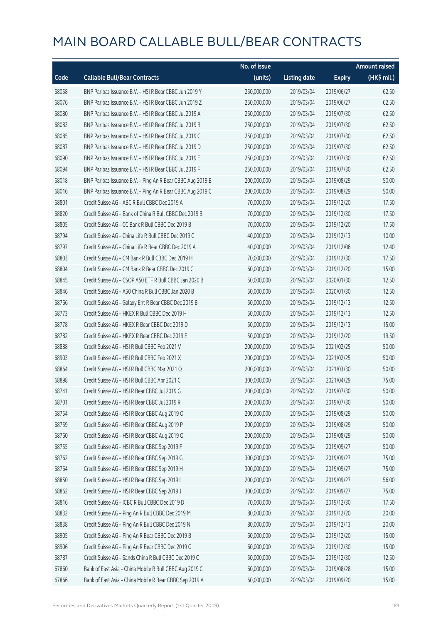|       |                                                            | No. of issue |                     |               | <b>Amount raised</b>  |
|-------|------------------------------------------------------------|--------------|---------------------|---------------|-----------------------|
| Code  | <b>Callable Bull/Bear Contracts</b>                        | (units)      | <b>Listing date</b> | <b>Expiry</b> | $(HK\frac{1}{2}mil.)$ |
| 68058 | BNP Paribas Issuance B.V. - HSI R Bear CBBC Jun 2019 Y     | 250,000,000  | 2019/03/04          | 2019/06/27    | 62.50                 |
| 68076 | BNP Paribas Issuance B.V. - HSI R Bear CBBC Jun 2019 Z     | 250,000,000  | 2019/03/04          | 2019/06/27    | 62.50                 |
| 68080 | BNP Paribas Issuance B.V. - HSI R Bear CBBC Jul 2019 A     | 250,000,000  | 2019/03/04          | 2019/07/30    | 62.50                 |
| 68083 | BNP Paribas Issuance B.V. - HSI R Bear CBBC Jul 2019 B     | 250,000,000  | 2019/03/04          | 2019/07/30    | 62.50                 |
| 68085 | BNP Paribas Issuance B.V. - HSI R Bear CBBC Jul 2019 C     | 250,000,000  | 2019/03/04          | 2019/07/30    | 62.50                 |
| 68087 | BNP Paribas Issuance B.V. - HSI R Bear CBBC Jul 2019 D     | 250,000,000  | 2019/03/04          | 2019/07/30    | 62.50                 |
| 68090 | BNP Paribas Issuance B.V. - HSI R Bear CBBC Jul 2019 E     | 250,000,000  | 2019/03/04          | 2019/07/30    | 62.50                 |
| 68094 | BNP Paribas Issuance B.V. - HSI R Bear CBBC Jul 2019 F     | 250,000,000  | 2019/03/04          | 2019/07/30    | 62.50                 |
| 68018 | BNP Paribas Issuance B.V. - Ping An R Bear CBBC Aug 2019 B | 200,000,000  | 2019/03/04          | 2019/08/29    | 50.00                 |
| 68016 | BNP Paribas Issuance B.V. - Ping An R Bear CBBC Aug 2019 C | 200,000,000  | 2019/03/04          | 2019/08/29    | 50.00                 |
| 68801 | Credit Suisse AG - ABC R Bull CBBC Dec 2019 A              | 70,000,000   | 2019/03/04          | 2019/12/20    | 17.50                 |
| 68820 | Credit Suisse AG - Bank of China R Bull CBBC Dec 2019 B    | 70,000,000   | 2019/03/04          | 2019/12/30    | 17.50                 |
| 68805 | Credit Suisse AG - CC Bank R Bull CBBC Dec 2019 B          | 70,000,000   | 2019/03/04          | 2019/12/20    | 17.50                 |
| 68794 | Credit Suisse AG - China Life R Bull CBBC Dec 2019 C       | 40,000,000   | 2019/03/04          | 2019/12/13    | 10.00                 |
| 68797 | Credit Suisse AG - China Life R Bear CBBC Dec 2019 A       | 40,000,000   | 2019/03/04          | 2019/12/06    | 12.40                 |
| 68803 | Credit Suisse AG - CM Bank R Bull CBBC Dec 2019 H          | 70,000,000   | 2019/03/04          | 2019/12/30    | 17.50                 |
| 68804 | Credit Suisse AG - CM Bank R Bear CBBC Dec 2019 C          | 60,000,000   | 2019/03/04          | 2019/12/20    | 15.00                 |
| 68845 | Credit Suisse AG - CSOP A50 ETF R Bull CBBC Jan 2020 B     | 50,000,000   | 2019/03/04          | 2020/01/30    | 12.50                 |
| 68846 | Credit Suisse AG - A50 China R Bull CBBC Jan 2020 B        | 50,000,000   | 2019/03/04          | 2020/01/30    | 12.50                 |
| 68766 | Credit Suisse AG - Galaxy Ent R Bear CBBC Dec 2019 B       | 50,000,000   | 2019/03/04          | 2019/12/13    | 12.50                 |
| 68773 | Credit Suisse AG - HKEX R Bull CBBC Dec 2019 H             | 50,000,000   | 2019/03/04          | 2019/12/13    | 12.50                 |
| 68778 | Credit Suisse AG - HKEX R Bear CBBC Dec 2019 D             | 50,000,000   | 2019/03/04          | 2019/12/13    | 15.00                 |
| 68782 | Credit Suisse AG - HKEX R Bear CBBC Dec 2019 E             | 50,000,000   | 2019/03/04          | 2019/12/20    | 19.50                 |
| 68888 | Credit Suisse AG - HSI R Bull CBBC Feb 2021 V              | 200,000,000  | 2019/03/04          | 2021/02/25    | 50.00                 |
| 68903 | Credit Suisse AG - HSI R Bull CBBC Feb 2021 X              | 200,000,000  | 2019/03/04          | 2021/02/25    | 50.00                 |
| 68864 | Credit Suisse AG - HSI R Bull CBBC Mar 2021 Q              | 200,000,000  | 2019/03/04          | 2021/03/30    | 50.00                 |
| 68898 | Credit Suisse AG - HSI R Bull CBBC Apr 2021 C              | 300,000,000  | 2019/03/04          | 2021/04/29    | 75.00                 |
| 68741 | Credit Suisse AG - HSI R Bear CBBC Jul 2019 G              | 200,000,000  | 2019/03/04          | 2019/07/30    | 50.00                 |
| 68701 | Credit Suisse AG - HSI R Bear CBBC Jul 2019 R              | 200,000,000  | 2019/03/04          | 2019/07/30    | 50.00                 |
| 68754 | Credit Suisse AG - HSI R Bear CBBC Aug 2019 O              | 200,000,000  | 2019/03/04          | 2019/08/29    | 50.00                 |
| 68759 | Credit Suisse AG - HSI R Bear CBBC Aug 2019 P              | 200,000,000  | 2019/03/04          | 2019/08/29    | 50.00                 |
| 68760 | Credit Suisse AG - HSI R Bear CBBC Aug 2019 Q              | 200,000,000  | 2019/03/04          | 2019/08/29    | 50.00                 |
| 68755 | Credit Suisse AG - HSI R Bear CBBC Sep 2019 F              | 200,000,000  | 2019/03/04          | 2019/09/27    | 50.00                 |
| 68762 | Credit Suisse AG - HSI R Bear CBBC Sep 2019 G              | 300,000,000  | 2019/03/04          | 2019/09/27    | 75.00                 |
| 68764 | Credit Suisse AG - HSI R Bear CBBC Sep 2019 H              | 300,000,000  | 2019/03/04          | 2019/09/27    | 75.00                 |
| 68850 | Credit Suisse AG - HSI R Bear CBBC Sep 2019 I              | 200,000,000  | 2019/03/04          | 2019/09/27    | 56.00                 |
| 68862 | Credit Suisse AG - HSI R Bear CBBC Sep 2019 J              | 300,000,000  | 2019/03/04          | 2019/09/27    | 75.00                 |
| 68816 | Credit Suisse AG - ICBC R Bull CBBC Dec 2019 D             | 70,000,000   | 2019/03/04          | 2019/12/30    | 17.50                 |
| 68832 | Credit Suisse AG - Ping An R Bull CBBC Dec 2019 M          | 80,000,000   | 2019/03/04          | 2019/12/20    | 20.00                 |
| 68838 | Credit Suisse AG - Ping An R Bull CBBC Dec 2019 N          | 80,000,000   | 2019/03/04          | 2019/12/13    | 20.00                 |
| 68905 | Credit Suisse AG - Ping An R Bear CBBC Dec 2019 B          | 60,000,000   | 2019/03/04          | 2019/12/20    | 15.00                 |
| 68906 | Credit Suisse AG - Ping An R Bear CBBC Dec 2019 C          | 60,000,000   | 2019/03/04          | 2019/12/30    | 15.00                 |
| 68787 | Credit Suisse AG - Sands China R Bull CBBC Dec 2019 C      | 50,000,000   | 2019/03/04          | 2019/12/30    | 12.50                 |
| 67860 | Bank of East Asia - China Mobile R Bull CBBC Aug 2019 C    | 60,000,000   | 2019/03/04          | 2019/08/28    | 15.00                 |
| 67866 | Bank of East Asia - China Mobile R Bear CBBC Sep 2019 A    | 60,000,000   | 2019/03/04          | 2019/09/20    | 15.00                 |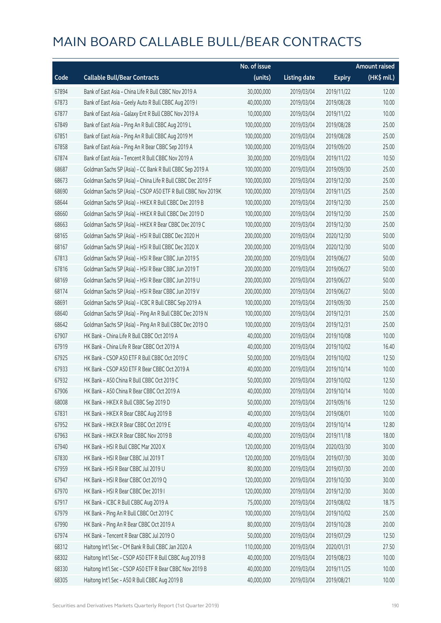|       |                                                              | No. of issue |                     |               | <b>Amount raised</b> |
|-------|--------------------------------------------------------------|--------------|---------------------|---------------|----------------------|
| Code  | <b>Callable Bull/Bear Contracts</b>                          | (units)      | <b>Listing date</b> | <b>Expiry</b> | (HK\$ mil.)          |
| 67894 | Bank of East Asia - China Life R Bull CBBC Nov 2019 A        | 30,000,000   | 2019/03/04          | 2019/11/22    | 12.00                |
| 67873 | Bank of East Asia - Geely Auto R Bull CBBC Aug 2019 I        | 40,000,000   | 2019/03/04          | 2019/08/28    | 10.00                |
| 67877 | Bank of East Asia - Galaxy Ent R Bull CBBC Nov 2019 A        | 10,000,000   | 2019/03/04          | 2019/11/22    | 10.00                |
| 67849 | Bank of East Asia - Ping An R Bull CBBC Aug 2019 L           | 100,000,000  | 2019/03/04          | 2019/08/28    | 25.00                |
| 67851 | Bank of East Asia - Ping An R Bull CBBC Aug 2019 M           | 100,000,000  | 2019/03/04          | 2019/08/28    | 25.00                |
| 67858 | Bank of East Asia - Ping An R Bear CBBC Sep 2019 A           | 100,000,000  | 2019/03/04          | 2019/09/20    | 25.00                |
| 67874 | Bank of East Asia - Tencent R Bull CBBC Nov 2019 A           | 30,000,000   | 2019/03/04          | 2019/11/22    | 10.50                |
| 68687 | Goldman Sachs SP (Asia) - CC Bank R Bull CBBC Sep 2019 A     | 100,000,000  | 2019/03/04          | 2019/09/30    | 25.00                |
| 68673 | Goldman Sachs SP (Asia) - China Life R Bull CBBC Dec 2019 F  | 100,000,000  | 2019/03/04          | 2019/12/30    | 25.00                |
| 68690 | Goldman Sachs SP (Asia) - CSOP A50 ETF R Bull CBBC Nov 2019K | 100,000,000  | 2019/03/04          | 2019/11/25    | 25.00                |
| 68644 | Goldman Sachs SP (Asia) - HKEX R Bull CBBC Dec 2019 B        | 100,000,000  | 2019/03/04          | 2019/12/30    | 25.00                |
| 68660 | Goldman Sachs SP (Asia) - HKEX R Bull CBBC Dec 2019 D        | 100,000,000  | 2019/03/04          | 2019/12/30    | 25.00                |
| 68663 | Goldman Sachs SP (Asia) - HKEX R Bear CBBC Dec 2019 C        | 100,000,000  | 2019/03/04          | 2019/12/30    | 25.00                |
| 68165 | Goldman Sachs SP (Asia) - HSI R Bull CBBC Dec 2020 H         | 200,000,000  | 2019/03/04          | 2020/12/30    | 50.00                |
| 68167 | Goldman Sachs SP (Asia) - HSI R Bull CBBC Dec 2020 X         | 200,000,000  | 2019/03/04          | 2020/12/30    | 50.00                |
| 67813 | Goldman Sachs SP (Asia) - HSI R Bear CBBC Jun 2019 S         | 200,000,000  | 2019/03/04          | 2019/06/27    | 50.00                |
| 67816 | Goldman Sachs SP (Asia) - HSI R Bear CBBC Jun 2019 T         | 200,000,000  | 2019/03/04          | 2019/06/27    | 50.00                |
| 68169 | Goldman Sachs SP (Asia) - HSI R Bear CBBC Jun 2019 U         | 200,000,000  | 2019/03/04          | 2019/06/27    | 50.00                |
| 68174 | Goldman Sachs SP (Asia) - HSI R Bear CBBC Jun 2019 V         | 200,000,000  | 2019/03/04          | 2019/06/27    | 50.00                |
| 68691 | Goldman Sachs SP (Asia) - ICBC R Bull CBBC Sep 2019 A        | 100,000,000  | 2019/03/04          | 2019/09/30    | 25.00                |
| 68640 | Goldman Sachs SP (Asia) - Ping An R Bull CBBC Dec 2019 N     | 100,000,000  | 2019/03/04          | 2019/12/31    | 25.00                |
| 68642 | Goldman Sachs SP (Asia) - Ping An R Bull CBBC Dec 2019 O     | 100,000,000  | 2019/03/04          | 2019/12/31    | 25.00                |
| 67907 | HK Bank - China Life R Bull CBBC Oct 2019 A                  | 40,000,000   | 2019/03/04          | 2019/10/08    | 10.00                |
| 67919 | HK Bank - China Life R Bear CBBC Oct 2019 A                  | 40,000,000   | 2019/03/04          | 2019/10/02    | 16.40                |
| 67925 | HK Bank - CSOP A50 ETF R Bull CBBC Oct 2019 C                | 50,000,000   | 2019/03/04          | 2019/10/02    | 12.50                |
| 67933 | HK Bank - CSOP A50 ETF R Bear CBBC Oct 2019 A                | 40,000,000   | 2019/03/04          | 2019/10/14    | 10.00                |
| 67932 | HK Bank - A50 China R Bull CBBC Oct 2019 C                   | 50,000,000   | 2019/03/04          | 2019/10/02    | 12.50                |
| 67906 | HK Bank - A50 China R Bear CBBC Oct 2019 A                   | 40,000,000   | 2019/03/04          | 2019/10/14    | 10.00                |
| 68008 | HK Bank - HKEX R Bull CBBC Sep 2019 D                        | 50,000,000   | 2019/03/04          | 2019/09/16    | 12.50                |
| 67831 | HK Bank - HKEX R Bear CBBC Aug 2019 B                        | 40,000,000   | 2019/03/04          | 2019/08/01    | 10.00                |
| 67952 | HK Bank - HKEX R Bear CBBC Oct 2019 E                        | 40,000,000   | 2019/03/04          | 2019/10/14    | 12.80                |
| 67963 | HK Bank - HKEX R Bear CBBC Nov 2019 B                        | 40,000,000   | 2019/03/04          | 2019/11/18    | 18.00                |
| 67940 | HK Bank - HSI R Bull CBBC Mar 2020 X                         | 120,000,000  | 2019/03/04          | 2020/03/30    | 30.00                |
| 67830 | HK Bank - HSI R Bear CBBC Jul 2019 T                         | 120,000,000  | 2019/03/04          | 2019/07/30    | 30.00                |
| 67959 | HK Bank - HSI R Bear CBBC Jul 2019 U                         | 80,000,000   | 2019/03/04          | 2019/07/30    | 20.00                |
| 67947 | HK Bank - HSI R Bear CBBC Oct 2019 Q                         | 120,000,000  | 2019/03/04          | 2019/10/30    | 30.00                |
| 67970 | HK Bank - HSI R Bear CBBC Dec 2019 I                         | 120,000,000  | 2019/03/04          | 2019/12/30    | 30.00                |
| 67917 | HK Bank - ICBC R Bull CBBC Aug 2019 A                        | 75,000,000   | 2019/03/04          | 2019/08/02    | 18.75                |
| 67979 | HK Bank - Ping An R Bull CBBC Oct 2019 C                     | 100,000,000  | 2019/03/04          | 2019/10/02    | 25.00                |
| 67990 | HK Bank - Ping An R Bear CBBC Oct 2019 A                     | 80,000,000   | 2019/03/04          | 2019/10/28    | 20.00                |
| 67974 | HK Bank - Tencent R Bear CBBC Jul 2019 O                     | 50,000,000   | 2019/03/04          | 2019/07/29    | 12.50                |
| 68312 | Haitong Int'l Sec - CM Bank R Bull CBBC Jan 2020 A           | 110,000,000  | 2019/03/04          | 2020/01/31    | 27.50                |
| 68302 | Haitong Int'l Sec - CSOP A50 ETF R Bull CBBC Aug 2019 B      | 40,000,000   | 2019/03/04          | 2019/08/23    | 10.00                |
| 68330 | Haitong Int'l Sec - CSOP A50 ETF R Bear CBBC Nov 2019 B      | 40,000,000   | 2019/03/04          | 2019/11/25    | 10.00                |
| 68305 | Haitong Int'l Sec - A50 R Bull CBBC Aug 2019 B               | 40,000,000   | 2019/03/04          | 2019/08/21    | 10.00                |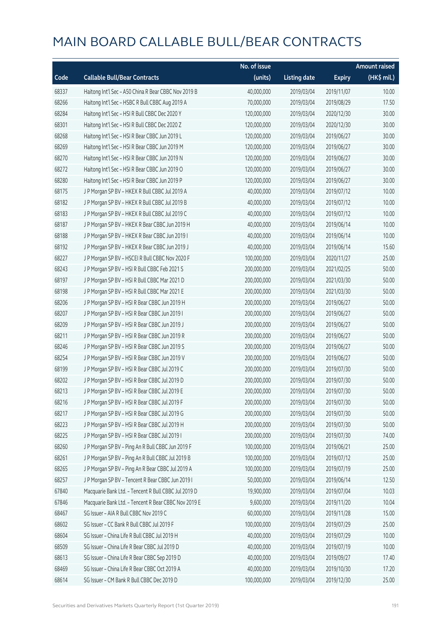|       |                                                      | No. of issue |                     |               | Amount raised |
|-------|------------------------------------------------------|--------------|---------------------|---------------|---------------|
| Code  | <b>Callable Bull/Bear Contracts</b>                  | (units)      | <b>Listing date</b> | <b>Expiry</b> | (HK\$ mil.)   |
| 68337 | Haitong Int'l Sec - A50 China R Bear CBBC Nov 2019 B | 40,000,000   | 2019/03/04          | 2019/11/07    | 10.00         |
| 68266 | Haitong Int'l Sec - HSBC R Bull CBBC Aug 2019 A      | 70,000,000   | 2019/03/04          | 2019/08/29    | 17.50         |
| 68284 | Haitong Int'l Sec - HSI R Bull CBBC Dec 2020 Y       | 120,000,000  | 2019/03/04          | 2020/12/30    | 30.00         |
| 68301 | Haitong Int'l Sec - HSI R Bull CBBC Dec 2020 Z       | 120,000,000  | 2019/03/04          | 2020/12/30    | 30.00         |
| 68268 | Haitong Int'l Sec - HSI R Bear CBBC Jun 2019 L       | 120,000,000  | 2019/03/04          | 2019/06/27    | 30.00         |
| 68269 | Haitong Int'l Sec - HSI R Bear CBBC Jun 2019 M       | 120,000,000  | 2019/03/04          | 2019/06/27    | 30.00         |
| 68270 | Haitong Int'l Sec - HSI R Bear CBBC Jun 2019 N       | 120,000,000  | 2019/03/04          | 2019/06/27    | 30.00         |
| 68272 | Haitong Int'l Sec - HSI R Bear CBBC Jun 2019 O       | 120,000,000  | 2019/03/04          | 2019/06/27    | 30.00         |
| 68280 | Haitong Int'l Sec - HSI R Bear CBBC Jun 2019 P       | 120,000,000  | 2019/03/04          | 2019/06/27    | 30.00         |
| 68175 | J P Morgan SP BV - HKEX R Bull CBBC Jul 2019 A       | 40,000,000   | 2019/03/04          | 2019/07/12    | 10.00         |
| 68182 | J P Morgan SP BV - HKEX R Bull CBBC Jul 2019 B       | 40,000,000   | 2019/03/04          | 2019/07/12    | 10.00         |
| 68183 | J P Morgan SP BV - HKEX R Bull CBBC Jul 2019 C       | 40,000,000   | 2019/03/04          | 2019/07/12    | 10.00         |
| 68187 | J P Morgan SP BV - HKEX R Bear CBBC Jun 2019 H       | 40,000,000   | 2019/03/04          | 2019/06/14    | 10.00         |
| 68188 | J P Morgan SP BV - HKEX R Bear CBBC Jun 2019 I       | 40,000,000   | 2019/03/04          | 2019/06/14    | 10.00         |
| 68192 | J P Morgan SP BV - HKEX R Bear CBBC Jun 2019 J       | 40,000,000   | 2019/03/04          | 2019/06/14    | 15.60         |
| 68227 | J P Morgan SP BV - HSCEI R Bull CBBC Nov 2020 F      | 100,000,000  | 2019/03/04          | 2020/11/27    | 25.00         |
| 68243 | J P Morgan SP BV - HSI R Bull CBBC Feb 2021 S        | 200,000,000  | 2019/03/04          | 2021/02/25    | 50.00         |
| 68197 | J P Morgan SP BV - HSI R Bull CBBC Mar 2021 D        | 200,000,000  | 2019/03/04          | 2021/03/30    | 50.00         |
| 68198 | J P Morgan SP BV - HSI R Bull CBBC Mar 2021 E        | 200,000,000  | 2019/03/04          | 2021/03/30    | 50.00         |
| 68206 | J P Morgan SP BV - HSI R Bear CBBC Jun 2019 H        | 200,000,000  | 2019/03/04          | 2019/06/27    | 50.00         |
| 68207 | J P Morgan SP BV - HSI R Bear CBBC Jun 2019 I        | 200,000,000  | 2019/03/04          | 2019/06/27    | 50.00         |
| 68209 | J P Morgan SP BV - HSI R Bear CBBC Jun 2019 J        | 200,000,000  | 2019/03/04          | 2019/06/27    | 50.00         |
| 68211 | J P Morgan SP BV - HSI R Bear CBBC Jun 2019 R        | 200,000,000  | 2019/03/04          | 2019/06/27    | 50.00         |
| 68246 | J P Morgan SP BV - HSI R Bear CBBC Jun 2019 S        | 200,000,000  | 2019/03/04          | 2019/06/27    | 50.00         |
| 68254 | J P Morgan SP BV - HSI R Bear CBBC Jun 2019 V        | 200,000,000  | 2019/03/04          | 2019/06/27    | 50.00         |
| 68199 | J P Morgan SP BV - HSI R Bear CBBC Jul 2019 C        | 200,000,000  | 2019/03/04          | 2019/07/30    | 50.00         |
| 68202 | J P Morgan SP BV - HSI R Bear CBBC Jul 2019 D        | 200,000,000  | 2019/03/04          | 2019/07/30    | 50.00         |
| 68213 | J P Morgan SP BV - HSI R Bear CBBC Jul 2019 E        | 200,000,000  | 2019/03/04          | 2019/07/30    | 50.00         |
| 68216 | J P Morgan SP BV - HSI R Bear CBBC Jul 2019 F        | 200,000,000  | 2019/03/04          | 2019/07/30    | 50.00         |
| 68217 | J P Morgan SP BV - HSI R Bear CBBC Jul 2019 G        | 200,000,000  | 2019/03/04          | 2019/07/30    | 50.00         |
| 68223 | J P Morgan SP BV - HSI R Bear CBBC Jul 2019 H        | 200,000,000  | 2019/03/04          | 2019/07/30    | 50.00         |
| 68225 | J P Morgan SP BV - HSI R Bear CBBC Jul 2019 I        | 200,000,000  | 2019/03/04          | 2019/07/30    | 74.00         |
| 68260 | J P Morgan SP BV - Ping An R Bull CBBC Jun 2019 F    | 100,000,000  | 2019/03/04          | 2019/06/21    | 25.00         |
| 68261 | J P Morgan SP BV - Ping An R Bull CBBC Jul 2019 B    | 100,000,000  | 2019/03/04          | 2019/07/12    | 25.00         |
| 68265 | J P Morgan SP BV - Ping An R Bear CBBC Jul 2019 A    | 100,000,000  | 2019/03/04          | 2019/07/19    | 25.00         |
| 68257 | J P Morgan SP BV - Tencent R Bear CBBC Jun 2019 I    | 50,000,000   | 2019/03/04          | 2019/06/14    | 12.50         |
| 67840 | Macquarie Bank Ltd. - Tencent R Bull CBBC Jul 2019 D | 19,900,000   | 2019/03/04          | 2019/07/04    | 10.03         |
| 67846 | Macquarie Bank Ltd. - Tencent R Bear CBBC Nov 2019 E | 9,600,000    | 2019/03/04          | 2019/11/20    | 10.04         |
| 68467 | SG Issuer - AIA R Bull CBBC Nov 2019 C               | 60,000,000   | 2019/03/04          | 2019/11/28    | 15.00         |
| 68602 | SG Issuer - CC Bank R Bull CBBC Jul 2019 F           | 100,000,000  | 2019/03/04          | 2019/07/29    | 25.00         |
| 68604 | SG Issuer - China Life R Bull CBBC Jul 2019 H        | 40,000,000   | 2019/03/04          | 2019/07/29    | 10.00         |
| 68509 | SG Issuer - China Life R Bear CBBC Jul 2019 D        | 40,000,000   | 2019/03/04          | 2019/07/19    | 10.00         |
| 68613 | SG Issuer - China Life R Bear CBBC Sep 2019 D        | 40,000,000   | 2019/03/04          | 2019/09/27    | 17.40         |
| 68469 | SG Issuer - China Life R Bear CBBC Oct 2019 A        | 40,000,000   | 2019/03/04          | 2019/10/30    | 17.20         |
| 68614 | SG Issuer - CM Bank R Bull CBBC Dec 2019 D           | 100,000,000  | 2019/03/04          | 2019/12/30    | 25.00         |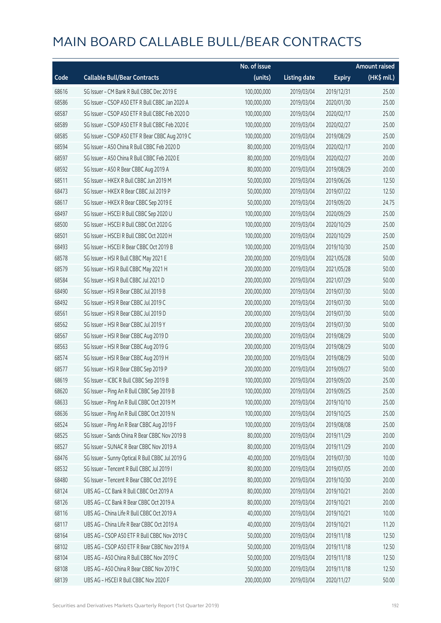|       |                                                  | No. of issue |                     |               | <b>Amount raised</b> |
|-------|--------------------------------------------------|--------------|---------------------|---------------|----------------------|
| Code  | <b>Callable Bull/Bear Contracts</b>              | (units)      | <b>Listing date</b> | <b>Expiry</b> | (HK\$ mil.)          |
| 68616 | SG Issuer - CM Bank R Bull CBBC Dec 2019 E       | 100,000,000  | 2019/03/04          | 2019/12/31    | 25.00                |
| 68586 | SG Issuer - CSOP A50 ETF R Bull CBBC Jan 2020 A  | 100,000,000  | 2019/03/04          | 2020/01/30    | 25.00                |
| 68587 | SG Issuer - CSOP A50 ETF R Bull CBBC Feb 2020 D  | 100,000,000  | 2019/03/04          | 2020/02/17    | 25.00                |
| 68589 | SG Issuer - CSOP A50 ETF R Bull CBBC Feb 2020 E  | 100,000,000  | 2019/03/04          | 2020/02/27    | 25.00                |
| 68585 | SG Issuer - CSOP A50 ETF R Bear CBBC Aug 2019 C  | 100,000,000  | 2019/03/04          | 2019/08/29    | 25.00                |
| 68594 | SG Issuer - A50 China R Bull CBBC Feb 2020 D     | 80,000,000   | 2019/03/04          | 2020/02/17    | 20.00                |
| 68597 | SG Issuer - A50 China R Bull CBBC Feb 2020 E     | 80,000,000   | 2019/03/04          | 2020/02/27    | 20.00                |
| 68592 | SG Issuer - A50 R Bear CBBC Aug 2019 A           | 80,000,000   | 2019/03/04          | 2019/08/29    | 20.00                |
| 68511 | SG Issuer - HKEX R Bull CBBC Jun 2019 M          | 50,000,000   | 2019/03/04          | 2019/06/26    | 12.50                |
| 68473 | SG Issuer - HKEX R Bear CBBC Jul 2019 P          | 50,000,000   | 2019/03/04          | 2019/07/22    | 12.50                |
| 68617 | SG Issuer - HKEX R Bear CBBC Sep 2019 E          | 50,000,000   | 2019/03/04          | 2019/09/20    | 24.75                |
| 68497 | SG Issuer - HSCEI R Bull CBBC Sep 2020 U         | 100,000,000  | 2019/03/04          | 2020/09/29    | 25.00                |
| 68500 | SG Issuer - HSCEI R Bull CBBC Oct 2020 G         | 100,000,000  | 2019/03/04          | 2020/10/29    | 25.00                |
| 68501 | SG Issuer - HSCEI R Bull CBBC Oct 2020 H         | 100,000,000  | 2019/03/04          | 2020/10/29    | 25.00                |
| 68493 | SG Issuer - HSCEI R Bear CBBC Oct 2019 B         | 100,000,000  | 2019/03/04          | 2019/10/30    | 25.00                |
| 68578 | SG Issuer - HSI R Bull CBBC May 2021 E           | 200,000,000  | 2019/03/04          | 2021/05/28    | 50.00                |
| 68579 | SG Issuer - HSI R Bull CBBC May 2021 H           | 200,000,000  | 2019/03/04          | 2021/05/28    | 50.00                |
| 68584 | SG Issuer - HSI R Bull CBBC Jul 2021 D           | 200,000,000  | 2019/03/04          | 2021/07/29    | 50.00                |
| 68490 | SG Issuer - HSI R Bear CBBC Jul 2019 B           | 200,000,000  | 2019/03/04          | 2019/07/30    | 50.00                |
| 68492 | SG Issuer - HSI R Bear CBBC Jul 2019 C           | 200,000,000  | 2019/03/04          | 2019/07/30    | 50.00                |
| 68561 | SG Issuer - HSI R Bear CBBC Jul 2019 D           | 200,000,000  | 2019/03/04          | 2019/07/30    | 50.00                |
| 68562 | SG Issuer - HSI R Bear CBBC Jul 2019 Y           | 200,000,000  | 2019/03/04          | 2019/07/30    | 50.00                |
| 68567 | SG Issuer - HSI R Bear CBBC Aug 2019 D           | 200,000,000  | 2019/03/04          | 2019/08/29    | 50.00                |
| 68563 | SG Issuer - HSI R Bear CBBC Aug 2019 G           | 200,000,000  | 2019/03/04          | 2019/08/29    | 50.00                |
| 68574 | SG Issuer - HSI R Bear CBBC Aug 2019 H           | 200,000,000  | 2019/03/04          | 2019/08/29    | 50.00                |
| 68577 | SG Issuer - HSI R Bear CBBC Sep 2019 P           | 200,000,000  | 2019/03/04          | 2019/09/27    | 50.00                |
| 68619 | SG Issuer - ICBC R Bull CBBC Sep 2019 B          | 100,000,000  | 2019/03/04          | 2019/09/20    | 25.00                |
| 68620 | SG Issuer - Ping An R Bull CBBC Sep 2019 B       | 100,000,000  | 2019/03/04          | 2019/09/25    | 25.00                |
| 68633 | SG Issuer - Ping An R Bull CBBC Oct 2019 M       | 100,000,000  | 2019/03/04          | 2019/10/10    | 25.00                |
| 68636 | SG Issuer - Ping An R Bull CBBC Oct 2019 N       | 100,000,000  | 2019/03/04          | 2019/10/25    | 25.00                |
| 68524 | SG Issuer - Ping An R Bear CBBC Aug 2019 F       | 100,000,000  | 2019/03/04          | 2019/08/08    | 25.00                |
| 68525 | SG Issuer - Sands China R Bear CBBC Nov 2019 B   | 80,000,000   | 2019/03/04          | 2019/11/29    | 20.00                |
| 68527 | SG Issuer - SUNAC R Bear CBBC Nov 2019 A         | 80,000,000   | 2019/03/04          | 2019/11/29    | 20.00                |
| 68476 | SG Issuer - Sunny Optical R Bull CBBC Jul 2019 G | 40,000,000   | 2019/03/04          | 2019/07/30    | 10.00                |
| 68532 | SG Issuer - Tencent R Bull CBBC Jul 2019 I       | 80,000,000   | 2019/03/04          | 2019/07/05    | 20.00                |
| 68480 | SG Issuer - Tencent R Bear CBBC Oct 2019 E       | 80,000,000   | 2019/03/04          | 2019/10/30    | 20.00                |
| 68124 | UBS AG - CC Bank R Bull CBBC Oct 2019 A          | 80,000,000   | 2019/03/04          | 2019/10/21    | 20.00                |
| 68126 | UBS AG - CC Bank R Bear CBBC Oct 2019 A          | 80,000,000   | 2019/03/04          | 2019/10/21    | 20.00                |
| 68116 | UBS AG - China Life R Bull CBBC Oct 2019 A       | 40,000,000   | 2019/03/04          | 2019/10/21    | 10.00                |
| 68117 | UBS AG - China Life R Bear CBBC Oct 2019 A       | 40,000,000   | 2019/03/04          | 2019/10/21    | 11.20                |
| 68164 | UBS AG - CSOP A50 ETF R Bull CBBC Nov 2019 C     | 50,000,000   | 2019/03/04          | 2019/11/18    | 12.50                |
| 68102 | UBS AG - CSOP A50 ETF R Bear CBBC Nov 2019 A     | 50,000,000   | 2019/03/04          | 2019/11/18    | 12.50                |
| 68104 | UBS AG - A50 China R Bull CBBC Nov 2019 C        | 50,000,000   | 2019/03/04          | 2019/11/18    | 12.50                |
| 68108 | UBS AG - A50 China R Bear CBBC Nov 2019 C        | 50,000,000   | 2019/03/04          | 2019/11/18    | 12.50                |
| 68139 | UBS AG - HSCEI R Bull CBBC Nov 2020 F            | 200,000,000  | 2019/03/04          | 2020/11/27    | 50.00                |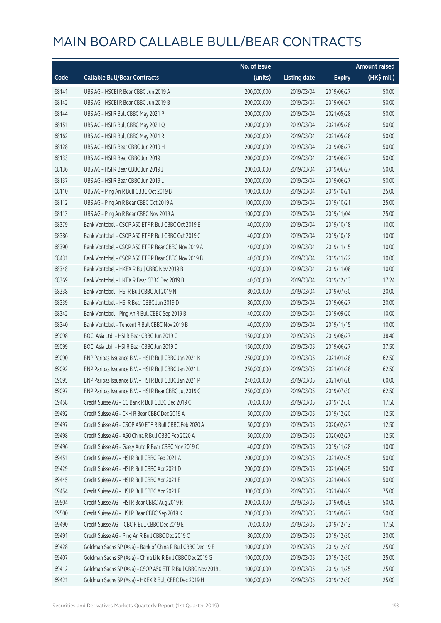|       |                                                              | No. of issue |                     |               | <b>Amount raised</b> |
|-------|--------------------------------------------------------------|--------------|---------------------|---------------|----------------------|
| Code  | <b>Callable Bull/Bear Contracts</b>                          | (units)      | <b>Listing date</b> | <b>Expiry</b> | (HK\$ mil.)          |
| 68141 | UBS AG - HSCEI R Bear CBBC Jun 2019 A                        | 200,000,000  | 2019/03/04          | 2019/06/27    | 50.00                |
| 68142 | UBS AG - HSCEI R Bear CBBC Jun 2019 B                        | 200,000,000  | 2019/03/04          | 2019/06/27    | 50.00                |
| 68144 | UBS AG - HSI R Bull CBBC May 2021 P                          | 200,000,000  | 2019/03/04          | 2021/05/28    | 50.00                |
| 68151 | UBS AG - HSI R Bull CBBC May 2021 Q                          | 200,000,000  | 2019/03/04          | 2021/05/28    | 50.00                |
| 68162 | UBS AG - HSI R Bull CBBC May 2021 R                          | 200,000,000  | 2019/03/04          | 2021/05/28    | 50.00                |
| 68128 | UBS AG - HSI R Bear CBBC Jun 2019 H                          | 200,000,000  | 2019/03/04          | 2019/06/27    | 50.00                |
| 68133 | UBS AG - HSI R Bear CBBC Jun 2019 I                          | 200,000,000  | 2019/03/04          | 2019/06/27    | 50.00                |
| 68136 | UBS AG - HSI R Bear CBBC Jun 2019 J                          | 200,000,000  | 2019/03/04          | 2019/06/27    | 50.00                |
| 68137 | UBS AG - HSI R Bear CBBC Jun 2019 L                          | 200,000,000  | 2019/03/04          | 2019/06/27    | 50.00                |
| 68110 | UBS AG - Ping An R Bull CBBC Oct 2019 B                      | 100,000,000  | 2019/03/04          | 2019/10/21    | 25.00                |
| 68112 | UBS AG - Ping An R Bear CBBC Oct 2019 A                      | 100,000,000  | 2019/03/04          | 2019/10/21    | 25.00                |
| 68113 | UBS AG - Ping An R Bear CBBC Nov 2019 A                      | 100,000,000  | 2019/03/04          | 2019/11/04    | 25.00                |
| 68379 | Bank Vontobel - CSOP A50 ETF R Bull CBBC Oct 2019 B          | 40,000,000   | 2019/03/04          | 2019/10/18    | 10.00                |
| 68386 | Bank Vontobel - CSOP A50 ETF R Bull CBBC Oct 2019 C          | 40,000,000   | 2019/03/04          | 2019/10/18    | 10.00                |
| 68390 | Bank Vontobel - CSOP A50 ETF R Bear CBBC Nov 2019 A          | 40,000,000   | 2019/03/04          | 2019/11/15    | 10.00                |
| 68431 | Bank Vontobel - CSOP A50 ETF R Bear CBBC Nov 2019 B          | 40,000,000   | 2019/03/04          | 2019/11/22    | 10.00                |
| 68348 | Bank Vontobel - HKEX R Bull CBBC Nov 2019 B                  | 40,000,000   | 2019/03/04          | 2019/11/08    | 10.00                |
| 68369 | Bank Vontobel - HKEX R Bear CBBC Dec 2019 B                  | 40,000,000   | 2019/03/04          | 2019/12/13    | 17.24                |
| 68338 | Bank Vontobel - HSI R Bull CBBC Jul 2019 N                   | 80,000,000   | 2019/03/04          | 2019/07/30    | 20.00                |
| 68339 | Bank Vontobel - HSI R Bear CBBC Jun 2019 D                   | 80,000,000   | 2019/03/04          | 2019/06/27    | 20.00                |
| 68342 | Bank Vontobel - Ping An R Bull CBBC Sep 2019 B               | 40,000,000   | 2019/03/04          | 2019/09/20    | 10.00                |
| 68340 | Bank Vontobel - Tencent R Bull CBBC Nov 2019 B               | 40,000,000   | 2019/03/04          | 2019/11/15    | 10.00                |
| 69098 | BOCI Asia Ltd. - HSI R Bear CBBC Jun 2019 C                  | 150,000,000  | 2019/03/05          | 2019/06/27    | 38.40                |
| 69099 | BOCI Asia Ltd. - HSI R Bear CBBC Jun 2019 D                  | 150,000,000  | 2019/03/05          | 2019/06/27    | 37.50                |
| 69090 | BNP Paribas Issuance B.V. - HSI R Bull CBBC Jan 2021 K       | 250,000,000  | 2019/03/05          | 2021/01/28    | 62.50                |
| 69092 | BNP Paribas Issuance B.V. - HSI R Bull CBBC Jan 2021 L       | 250,000,000  | 2019/03/05          | 2021/01/28    | 62.50                |
| 69095 | BNP Paribas Issuance B.V. - HSI R Bull CBBC Jan 2021 P       | 240,000,000  | 2019/03/05          | 2021/01/28    | 60.00                |
| 69097 | BNP Paribas Issuance B.V. - HSI R Bear CBBC Jul 2019 G       | 250,000,000  | 2019/03/05          | 2019/07/30    | 62.50                |
| 69458 | Credit Suisse AG - CC Bank R Bull CBBC Dec 2019 C            | 70,000,000   | 2019/03/05          | 2019/12/30    | 17.50                |
| 69492 | Credit Suisse AG - CKH R Bear CBBC Dec 2019 A                | 50,000,000   | 2019/03/05          | 2019/12/20    | 12.50                |
| 69497 | Credit Suisse AG - CSOP A50 ETF R Bull CBBC Feb 2020 A       | 50,000,000   | 2019/03/05          | 2020/02/27    | 12.50                |
| 69498 | Credit Suisse AG - A50 China R Bull CBBC Feb 2020 A          | 50,000,000   | 2019/03/05          | 2020/02/27    | 12.50                |
| 69496 | Credit Suisse AG - Geely Auto R Bear CBBC Nov 2019 C         | 40,000,000   | 2019/03/05          | 2019/11/28    | 10.00                |
| 69451 | Credit Suisse AG - HSI R Bull CBBC Feb 2021 A                | 200,000,000  | 2019/03/05          | 2021/02/25    | 50.00                |
| 69429 | Credit Suisse AG - HSI R Bull CBBC Apr 2021 D                | 200,000,000  | 2019/03/05          | 2021/04/29    | 50.00                |
| 69445 | Credit Suisse AG - HSI R Bull CBBC Apr 2021 E                | 200,000,000  | 2019/03/05          | 2021/04/29    | 50.00                |
| 69454 | Credit Suisse AG - HSI R Bull CBBC Apr 2021 F                | 300,000,000  | 2019/03/05          | 2021/04/29    | 75.00                |
| 69504 | Credit Suisse AG - HSI R Bear CBBC Aug 2019 R                | 200,000,000  | 2019/03/05          | 2019/08/29    | 50.00                |
| 69500 | Credit Suisse AG - HSI R Bear CBBC Sep 2019 K                | 200,000,000  | 2019/03/05          | 2019/09/27    | 50.00                |
| 69490 | Credit Suisse AG - ICBC R Bull CBBC Dec 2019 E               | 70,000,000   | 2019/03/05          | 2019/12/13    | 17.50                |
| 69491 | Credit Suisse AG - Ping An R Bull CBBC Dec 2019 O            | 80,000,000   | 2019/03/05          | 2019/12/30    | 20.00                |
| 69428 | Goldman Sachs SP (Asia) - Bank of China R Bull CBBC Dec 19 B | 100,000,000  | 2019/03/05          | 2019/12/30    | 25.00                |
| 69407 | Goldman Sachs SP (Asia) - China Life R Bull CBBC Dec 2019 G  | 100,000,000  | 2019/03/05          | 2019/12/30    | 25.00                |
| 69412 | Goldman Sachs SP (Asia) - CSOP A50 ETF R Bull CBBC Nov 2019L | 100,000,000  | 2019/03/05          | 2019/11/25    | 25.00                |
| 69421 | Goldman Sachs SP (Asia) - HKEX R Bull CBBC Dec 2019 H        | 100,000,000  | 2019/03/05          | 2019/12/30    | 25.00                |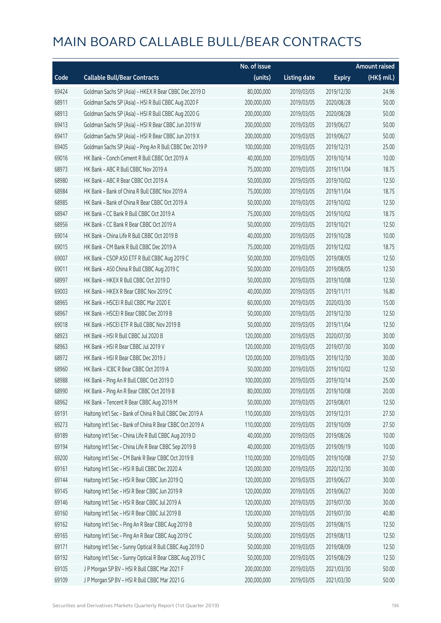|       |                                                          | No. of issue |                     |               | <b>Amount raised</b> |
|-------|----------------------------------------------------------|--------------|---------------------|---------------|----------------------|
| Code  | <b>Callable Bull/Bear Contracts</b>                      | (units)      | <b>Listing date</b> | <b>Expiry</b> | (HK\$ mil.)          |
| 69424 | Goldman Sachs SP (Asia) - HKEX R Bear CBBC Dec 2019 D    | 80,000,000   | 2019/03/05          | 2019/12/30    | 24.96                |
| 68911 | Goldman Sachs SP (Asia) - HSI R Bull CBBC Aug 2020 F     | 200,000,000  | 2019/03/05          | 2020/08/28    | 50.00                |
| 68913 | Goldman Sachs SP (Asia) - HSI R Bull CBBC Aug 2020 G     | 200,000,000  | 2019/03/05          | 2020/08/28    | 50.00                |
| 69413 | Goldman Sachs SP (Asia) - HSI R Bear CBBC Jun 2019 W     | 200,000,000  | 2019/03/05          | 2019/06/27    | 50.00                |
| 69417 | Goldman Sachs SP (Asia) - HSI R Bear CBBC Jun 2019 X     | 200,000,000  | 2019/03/05          | 2019/06/27    | 50.00                |
| 69405 | Goldman Sachs SP (Asia) - Ping An R Bull CBBC Dec 2019 P | 100,000,000  | 2019/03/05          | 2019/12/31    | 25.00                |
| 69016 | HK Bank - Conch Cement R Bull CBBC Oct 2019 A            | 40,000,000   | 2019/03/05          | 2019/10/14    | 10.00                |
| 68973 | HK Bank - ABC R Bull CBBC Nov 2019 A                     | 75,000,000   | 2019/03/05          | 2019/11/04    | 18.75                |
| 68980 | HK Bank - ABC R Bear CBBC Oct 2019 A                     | 50,000,000   | 2019/03/05          | 2019/10/02    | 12.50                |
| 68984 | HK Bank - Bank of China R Bull CBBC Nov 2019 A           | 75,000,000   | 2019/03/05          | 2019/11/04    | 18.75                |
| 68985 | HK Bank - Bank of China R Bear CBBC Oct 2019 A           | 50,000,000   | 2019/03/05          | 2019/10/02    | 12.50                |
| 68947 | HK Bank - CC Bank R Bull CBBC Oct 2019 A                 | 75,000,000   | 2019/03/05          | 2019/10/02    | 18.75                |
| 68956 | HK Bank - CC Bank R Bear CBBC Oct 2019 A                 | 50,000,000   | 2019/03/05          | 2019/10/21    | 12.50                |
| 69014 | HK Bank - China Life R Bull CBBC Oct 2019 B              | 40,000,000   | 2019/03/05          | 2019/10/28    | 10.00                |
| 69015 | HK Bank - CM Bank R Bull CBBC Dec 2019 A                 | 75,000,000   | 2019/03/05          | 2019/12/02    | 18.75                |
| 69007 | HK Bank - CSOP A50 ETF R Bull CBBC Aug 2019 C            | 50,000,000   | 2019/03/05          | 2019/08/05    | 12.50                |
| 69011 | HK Bank - A50 China R Bull CBBC Aug 2019 C               | 50,000,000   | 2019/03/05          | 2019/08/05    | 12.50                |
| 68997 | HK Bank - HKEX R Bull CBBC Oct 2019 D                    | 50,000,000   | 2019/03/05          | 2019/10/08    | 12.50                |
| 69003 | HK Bank - HKEX R Bear CBBC Nov 2019 C                    | 40,000,000   | 2019/03/05          | 2019/11/11    | 16.80                |
| 68965 | HK Bank - HSCEI R Bull CBBC Mar 2020 E                   | 60,000,000   | 2019/03/05          | 2020/03/30    | 15.00                |
| 68967 | HK Bank - HSCEI R Bear CBBC Dec 2019 B                   | 50,000,000   | 2019/03/05          | 2019/12/30    | 12.50                |
| 69018 | HK Bank - HSCEI ETF R Bull CBBC Nov 2019 B               | 50,000,000   | 2019/03/05          | 2019/11/04    | 12.50                |
| 68923 | HK Bank - HSI R Bull CBBC Jul 2020 B                     | 120,000,000  | 2019/03/05          | 2020/07/30    | 30.00                |
| 68963 | HK Bank - HSI R Bear CBBC Jul 2019 V                     | 120,000,000  | 2019/03/05          | 2019/07/30    | 30.00                |
| 68972 | HK Bank - HSI R Bear CBBC Dec 2019 J                     | 120,000,000  | 2019/03/05          | 2019/12/30    | 30.00                |
| 68960 | HK Bank - ICBC R Bear CBBC Oct 2019 A                    | 50,000,000   | 2019/03/05          | 2019/10/02    | 12.50                |
| 68988 | HK Bank - Ping An R Bull CBBC Oct 2019 D                 | 100,000,000  | 2019/03/05          | 2019/10/14    | 25.00                |
| 68990 | HK Bank - Ping An R Bear CBBC Oct 2019 B                 | 80,000,000   | 2019/03/05          | 2019/10/08    | 20.00                |
| 68962 | HK Bank - Tencent R Bear CBBC Aug 2019 M                 | 50,000,000   | 2019/03/05          | 2019/08/01    | 12.50                |
| 69191 | Haitong Int'l Sec - Bank of China R Bull CBBC Dec 2019 A | 110,000,000  | 2019/03/05          | 2019/12/31    | 27.50                |
| 69273 | Haitong Int'l Sec - Bank of China R Bear CBBC Oct 2019 A | 110,000,000  | 2019/03/05          | 2019/10/09    | 27.50                |
| 69189 | Haitong Int'l Sec - China Life R Bull CBBC Aug 2019 D    | 40,000,000   | 2019/03/05          | 2019/08/26    | 10.00                |
| 69194 | Haitong Int'l Sec - China Life R Bear CBBC Sep 2019 B    | 40,000,000   | 2019/03/05          | 2019/09/19    | 10.00                |
| 69200 | Haitong Int'l Sec - CM Bank R Bear CBBC Oct 2019 B       | 110,000,000  | 2019/03/05          | 2019/10/08    | 27.50                |
| 69161 | Haitong Int'l Sec - HSI R Bull CBBC Dec 2020 A           | 120,000,000  | 2019/03/05          | 2020/12/30    | 30.00                |
| 69144 | Haitong Int'l Sec - HSI R Bear CBBC Jun 2019 Q           | 120,000,000  | 2019/03/05          | 2019/06/27    | 30.00                |
| 69145 | Haitong Int'l Sec - HSI R Bear CBBC Jun 2019 R           | 120,000,000  | 2019/03/05          | 2019/06/27    | 30.00                |
| 69146 | Haitong Int'l Sec - HSI R Bear CBBC Jul 2019 A           | 120,000,000  | 2019/03/05          | 2019/07/30    | 30.00                |
| 69160 | Haitong Int'l Sec - HSI R Bear CBBC Jul 2019 B           | 120,000,000  | 2019/03/05          | 2019/07/30    | 40.80                |
| 69162 | Haitong Int'l Sec - Ping An R Bear CBBC Aug 2019 B       | 50,000,000   | 2019/03/05          | 2019/08/15    | 12.50                |
| 69165 | Haitong Int'l Sec - Ping An R Bear CBBC Aug 2019 C       | 50,000,000   | 2019/03/05          | 2019/08/13    | 12.50                |
| 69171 | Haitong Int'l Sec - Sunny Optical R Bull CBBC Aug 2019 D | 50,000,000   | 2019/03/05          | 2019/08/09    | 12.50                |
| 69192 | Haitong Int'l Sec - Sunny Optical R Bear CBBC Aug 2019 C | 50,000,000   | 2019/03/05          | 2019/08/29    | 12.50                |
| 69105 | J P Morgan SP BV - HSI R Bull CBBC Mar 2021 F            | 200,000,000  | 2019/03/05          | 2021/03/30    | 50.00                |
| 69109 | J P Morgan SP BV - HSI R Bull CBBC Mar 2021 G            | 200,000,000  | 2019/03/05          | 2021/03/30    | 50.00                |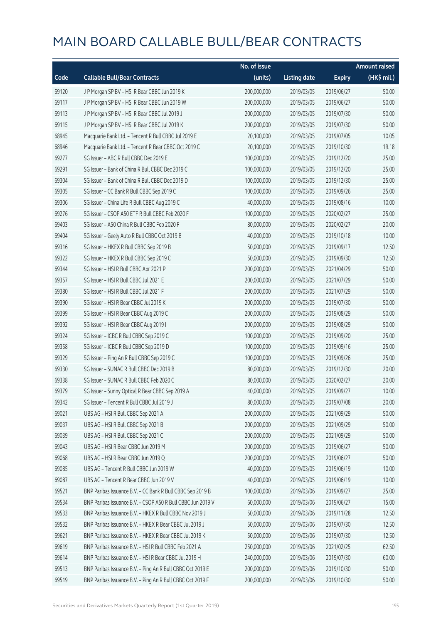|       |                                                             | No. of issue |                     |               | <b>Amount raised</b> |
|-------|-------------------------------------------------------------|--------------|---------------------|---------------|----------------------|
| Code  | <b>Callable Bull/Bear Contracts</b>                         | (units)      | <b>Listing date</b> | <b>Expiry</b> | (HK\$ mil.)          |
| 69120 | J P Morgan SP BV - HSI R Bear CBBC Jun 2019 K               | 200,000,000  | 2019/03/05          | 2019/06/27    | 50.00                |
| 69117 | J P Morgan SP BV - HSI R Bear CBBC Jun 2019 W               | 200,000,000  | 2019/03/05          | 2019/06/27    | 50.00                |
| 69113 | J P Morgan SP BV - HSI R Bear CBBC Jul 2019 J               | 200,000,000  | 2019/03/05          | 2019/07/30    | 50.00                |
| 69115 | J P Morgan SP BV - HSI R Bear CBBC Jul 2019 K               | 200,000,000  | 2019/03/05          | 2019/07/30    | 50.00                |
| 68945 | Macquarie Bank Ltd. - Tencent R Bull CBBC Jul 2019 E        | 20,100,000   | 2019/03/05          | 2019/07/05    | 10.05                |
| 68946 | Macquarie Bank Ltd. - Tencent R Bear CBBC Oct 2019 C        | 20,100,000   | 2019/03/05          | 2019/10/30    | 19.18                |
| 69277 | SG Issuer - ABC R Bull CBBC Dec 2019 E                      | 100,000,000  | 2019/03/05          | 2019/12/20    | 25.00                |
| 69291 | SG Issuer - Bank of China R Bull CBBC Dec 2019 C            | 100,000,000  | 2019/03/05          | 2019/12/20    | 25.00                |
| 69304 | SG Issuer - Bank of China R Bull CBBC Dec 2019 D            | 100,000,000  | 2019/03/05          | 2019/12/30    | 25.00                |
| 69305 | SG Issuer - CC Bank R Bull CBBC Sep 2019 C                  | 100,000,000  | 2019/03/05          | 2019/09/26    | 25.00                |
| 69306 | SG Issuer - China Life R Bull CBBC Aug 2019 C               | 40,000,000   | 2019/03/05          | 2019/08/16    | 10.00                |
| 69276 | SG Issuer - CSOP A50 ETF R Bull CBBC Feb 2020 F             | 100,000,000  | 2019/03/05          | 2020/02/27    | 25.00                |
| 69403 | SG Issuer - A50 China R Bull CBBC Feb 2020 F                | 80,000,000   | 2019/03/05          | 2020/02/27    | 20.00                |
| 69404 | SG Issuer - Geely Auto R Bull CBBC Oct 2019 B               | 40,000,000   | 2019/03/05          | 2019/10/18    | 10.00                |
| 69316 | SG Issuer - HKEX R Bull CBBC Sep 2019 B                     | 50,000,000   | 2019/03/05          | 2019/09/17    | 12.50                |
| 69322 | SG Issuer - HKEX R Bull CBBC Sep 2019 C                     | 50,000,000   | 2019/03/05          | 2019/09/30    | 12.50                |
| 69344 | SG Issuer - HSI R Bull CBBC Apr 2021 P                      | 200,000,000  | 2019/03/05          | 2021/04/29    | 50.00                |
| 69357 | SG Issuer - HSI R Bull CBBC Jul 2021 E                      | 200,000,000  | 2019/03/05          | 2021/07/29    | 50.00                |
| 69380 | SG Issuer - HSI R Bull CBBC Jul 2021 F                      | 200,000,000  | 2019/03/05          | 2021/07/29    | 50.00                |
| 69390 | SG Issuer - HSI R Bear CBBC Jul 2019 K                      | 200,000,000  | 2019/03/05          | 2019/07/30    | 50.00                |
| 69399 | SG Issuer - HSI R Bear CBBC Aug 2019 C                      | 200,000,000  | 2019/03/05          | 2019/08/29    | 50.00                |
| 69392 | SG Issuer - HSI R Bear CBBC Aug 2019 I                      | 200,000,000  | 2019/03/05          | 2019/08/29    | 50.00                |
| 69324 | SG Issuer - ICBC R Bull CBBC Sep 2019 C                     | 100,000,000  | 2019/03/05          | 2019/09/20    | 25.00                |
| 69358 | SG Issuer - ICBC R Bull CBBC Sep 2019 D                     | 100,000,000  | 2019/03/05          | 2019/09/16    | 25.00                |
| 69329 | SG Issuer - Ping An R Bull CBBC Sep 2019 C                  | 100,000,000  | 2019/03/05          | 2019/09/26    | 25.00                |
| 69330 | SG Issuer - SUNAC R Bull CBBC Dec 2019 B                    | 80,000,000   | 2019/03/05          | 2019/12/30    | 20.00                |
| 69338 | SG Issuer - SUNAC R Bull CBBC Feb 2020 C                    | 80,000,000   | 2019/03/05          | 2020/02/27    | 20.00                |
| 69379 | SG Issuer - Sunny Optical R Bear CBBC Sep 2019 A            | 40,000,000   | 2019/03/05          | 2019/09/27    | 10.00                |
| 69342 | SG Issuer - Tencent R Bull CBBC Jul 2019 J                  | 80,000,000   | 2019/03/05          | 2019/07/08    | 20.00                |
| 69021 | UBS AG - HSI R Bull CBBC Sep 2021 A                         | 200,000,000  | 2019/03/05          | 2021/09/29    | 50.00                |
| 69037 | UBS AG - HSI R Bull CBBC Sep 2021 B                         | 200,000,000  | 2019/03/05          | 2021/09/29    | 50.00                |
| 69039 | UBS AG - HSI R Bull CBBC Sep 2021 C                         | 200,000,000  | 2019/03/05          | 2021/09/29    | 50.00                |
| 69043 | UBS AG - HSI R Bear CBBC Jun 2019 M                         | 200,000,000  | 2019/03/05          | 2019/06/27    | 50.00                |
| 69068 | UBS AG - HSI R Bear CBBC Jun 2019 Q                         | 200,000,000  | 2019/03/05          | 2019/06/27    | 50.00                |
| 69085 | UBS AG - Tencent R Bull CBBC Jun 2019 W                     | 40,000,000   | 2019/03/05          | 2019/06/19    | 10.00                |
| 69087 | UBS AG - Tencent R Bear CBBC Jun 2019 V                     | 40,000,000   | 2019/03/05          | 2019/06/19    | 10.00                |
| 69521 | BNP Paribas Issuance B.V. - CC Bank R Bull CBBC Sep 2019 B  | 100,000,000  | 2019/03/06          | 2019/09/27    | 25.00                |
| 69534 | BNP Paribas Issuance B.V. - CSOP A50 R Bull CBBC Jun 2019 V | 60,000,000   | 2019/03/06          | 2019/06/27    | 15.00                |
| 69533 | BNP Paribas Issuance B.V. - HKEX R Bull CBBC Nov 2019 J     | 50,000,000   | 2019/03/06          | 2019/11/28    | 12.50                |
| 69532 | BNP Paribas Issuance B.V. - HKEX R Bear CBBC Jul 2019 J     | 50,000,000   | 2019/03/06          | 2019/07/30    | 12.50                |
| 69621 | BNP Paribas Issuance B.V. - HKEX R Bear CBBC Jul 2019 K     | 50,000,000   | 2019/03/06          | 2019/07/30    | 12.50                |
| 69619 | BNP Paribas Issuance B.V. - HSI R Bull CBBC Feb 2021 A      | 250,000,000  | 2019/03/06          | 2021/02/25    | 62.50                |
| 69614 | BNP Paribas Issuance B.V. - HSI R Bear CBBC Jul 2019 H      | 240,000,000  | 2019/03/06          | 2019/07/30    | 60.00                |
| 69513 | BNP Paribas Issuance B.V. - Ping An R Bull CBBC Oct 2019 E  | 200,000,000  | 2019/03/06          | 2019/10/30    | 50.00                |
| 69519 | BNP Paribas Issuance B.V. - Ping An R Bull CBBC Oct 2019 F  | 200,000,000  | 2019/03/06          | 2019/10/30    | 50.00                |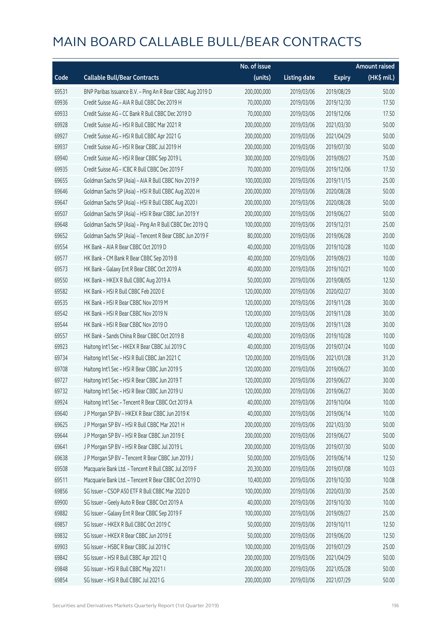|       |                                                            | No. of issue |                     |               | <b>Amount raised</b> |
|-------|------------------------------------------------------------|--------------|---------------------|---------------|----------------------|
| Code  | <b>Callable Bull/Bear Contracts</b>                        | (units)      | <b>Listing date</b> | <b>Expiry</b> | (HK\$ mil.)          |
| 69531 | BNP Paribas Issuance B.V. - Ping An R Bear CBBC Aug 2019 D | 200,000,000  | 2019/03/06          | 2019/08/29    | 50.00                |
| 69936 | Credit Suisse AG - AIA R Bull CBBC Dec 2019 H              | 70,000,000   | 2019/03/06          | 2019/12/30    | 17.50                |
| 69933 | Credit Suisse AG - CC Bank R Bull CBBC Dec 2019 D          | 70,000,000   | 2019/03/06          | 2019/12/06    | 17.50                |
| 69928 | Credit Suisse AG - HSI R Bull CBBC Mar 2021 R              | 200,000,000  | 2019/03/06          | 2021/03/30    | 50.00                |
| 69927 | Credit Suisse AG - HSI R Bull CBBC Apr 2021 G              | 200,000,000  | 2019/03/06          | 2021/04/29    | 50.00                |
| 69937 | Credit Suisse AG - HSI R Bear CBBC Jul 2019 H              | 200,000,000  | 2019/03/06          | 2019/07/30    | 50.00                |
| 69940 | Credit Suisse AG - HSI R Bear CBBC Sep 2019 L              | 300,000,000  | 2019/03/06          | 2019/09/27    | 75.00                |
| 69935 | Credit Suisse AG - ICBC R Bull CBBC Dec 2019 F             | 70,000,000   | 2019/03/06          | 2019/12/06    | 17.50                |
| 69655 | Goldman Sachs SP (Asia) - AIA R Bull CBBC Nov 2019 P       | 100,000,000  | 2019/03/06          | 2019/11/15    | 25.00                |
| 69646 | Goldman Sachs SP (Asia) - HSI R Bull CBBC Aug 2020 H       | 200,000,000  | 2019/03/06          | 2020/08/28    | 50.00                |
| 69647 | Goldman Sachs SP (Asia) - HSI R Bull CBBC Aug 2020 I       | 200,000,000  | 2019/03/06          | 2020/08/28    | 50.00                |
| 69507 | Goldman Sachs SP (Asia) - HSI R Bear CBBC Jun 2019 Y       | 200,000,000  | 2019/03/06          | 2019/06/27    | 50.00                |
| 69648 | Goldman Sachs SP (Asia) - Ping An R Bull CBBC Dec 2019 Q   | 100,000,000  | 2019/03/06          | 2019/12/31    | 25.00                |
| 69652 | Goldman Sachs SP (Asia) - Tencent R Bear CBBC Jun 2019 F   | 80,000,000   | 2019/03/06          | 2019/06/28    | 20.00                |
| 69554 | HK Bank - AIA R Bear CBBC Oct 2019 D                       | 40,000,000   | 2019/03/06          | 2019/10/28    | 10.00                |
| 69577 | HK Bank - CM Bank R Bear CBBC Sep 2019 B                   | 40,000,000   | 2019/03/06          | 2019/09/23    | 10.00                |
| 69573 | HK Bank - Galaxy Ent R Bear CBBC Oct 2019 A                | 40,000,000   | 2019/03/06          | 2019/10/21    | 10.00                |
| 69550 | HK Bank - HKEX R Bull CBBC Aug 2019 A                      | 50,000,000   | 2019/03/06          | 2019/08/05    | 12.50                |
| 69582 | HK Bank - HSI R Bull CBBC Feb 2020 E                       | 120,000,000  | 2019/03/06          | 2020/02/27    | 30.00                |
| 69535 | HK Bank - HSI R Bear CBBC Nov 2019 M                       | 120,000,000  | 2019/03/06          | 2019/11/28    | 30.00                |
| 69542 | HK Bank - HSI R Bear CBBC Nov 2019 N                       | 120,000,000  | 2019/03/06          | 2019/11/28    | 30.00                |
| 69544 | HK Bank - HSI R Bear CBBC Nov 2019 O                       | 120,000,000  | 2019/03/06          | 2019/11/28    | 30.00                |
| 69557 | HK Bank - Sands China R Bear CBBC Oct 2019 B               | 40,000,000   | 2019/03/06          | 2019/10/28    | 10.00                |
| 69923 | Haitong Int'l Sec - HKEX R Bear CBBC Jul 2019 C            | 40,000,000   | 2019/03/06          | 2019/07/24    | 10.00                |
| 69734 | Haitong Int'l Sec - HSI R Bull CBBC Jan 2021 C             | 120,000,000  | 2019/03/06          | 2021/01/28    | 31.20                |
| 69708 | Haitong Int'l Sec - HSI R Bear CBBC Jun 2019 S             | 120,000,000  | 2019/03/06          | 2019/06/27    | 30.00                |
| 69727 | Haitong Int'l Sec - HSI R Bear CBBC Jun 2019 T             | 120,000,000  | 2019/03/06          | 2019/06/27    | 30.00                |
| 69732 | Haitong Int'l Sec - HSI R Bear CBBC Jun 2019 U             | 120,000,000  | 2019/03/06          | 2019/06/27    | 30.00                |
| 69924 | Haitong Int'l Sec - Tencent R Bear CBBC Oct 2019 A         | 40,000,000   | 2019/03/06          | 2019/10/04    | 10.00                |
| 69640 | J P Morgan SP BV - HKEX R Bear CBBC Jun 2019 K             | 40,000,000   | 2019/03/06          | 2019/06/14    | 10.00                |
| 69625 | J P Morgan SP BV - HSI R Bull CBBC Mar 2021 H              | 200,000,000  | 2019/03/06          | 2021/03/30    | 50.00                |
| 69644 | J P Morgan SP BV - HSI R Bear CBBC Jun 2019 E              | 200,000,000  | 2019/03/06          | 2019/06/27    | 50.00                |
| 69641 | J P Morgan SP BV - HSI R Bear CBBC Jul 2019 L              | 200,000,000  | 2019/03/06          | 2019/07/30    | 50.00                |
| 69638 | J P Morgan SP BV - Tencent R Bear CBBC Jun 2019 J          | 50,000,000   | 2019/03/06          | 2019/06/14    | 12.50                |
| 69508 | Macquarie Bank Ltd. - Tencent R Bull CBBC Jul 2019 F       | 20,300,000   | 2019/03/06          | 2019/07/08    | 10.03                |
| 69511 | Macquarie Bank Ltd. - Tencent R Bear CBBC Oct 2019 D       | 10,400,000   | 2019/03/06          | 2019/10/30    | 10.08                |
| 69856 | SG Issuer - CSOP A50 ETF R Bull CBBC Mar 2020 D            | 100,000,000  | 2019/03/06          | 2020/03/30    | 25.00                |
| 69900 | SG Issuer - Geely Auto R Bear CBBC Oct 2019 A              | 40,000,000   | 2019/03/06          | 2019/10/30    | 10.00                |
| 69882 | SG Issuer - Galaxy Ent R Bear CBBC Sep 2019 F              | 100,000,000  | 2019/03/06          | 2019/09/27    | 25.00                |
| 69857 | SG Issuer - HKEX R Bull CBBC Oct 2019 C                    | 50,000,000   | 2019/03/06          | 2019/10/11    | 12.50                |
| 69832 | SG Issuer - HKEX R Bear CBBC Jun 2019 E                    | 50,000,000   | 2019/03/06          | 2019/06/20    | 12.50                |
| 69903 | SG Issuer - HSBC R Bear CBBC Jul 2019 C                    | 100,000,000  | 2019/03/06          | 2019/07/29    | 25.00                |
| 69842 | SG Issuer - HSI R Bull CBBC Apr 2021 Q                     | 200,000,000  | 2019/03/06          | 2021/04/29    | 50.00                |
| 69848 | SG Issuer - HSI R Bull CBBC May 2021 I                     | 200,000,000  | 2019/03/06          | 2021/05/28    | 50.00                |
| 69854 | SG Issuer - HSI R Bull CBBC Jul 2021 G                     | 200,000,000  | 2019/03/06          | 2021/07/29    | 50.00                |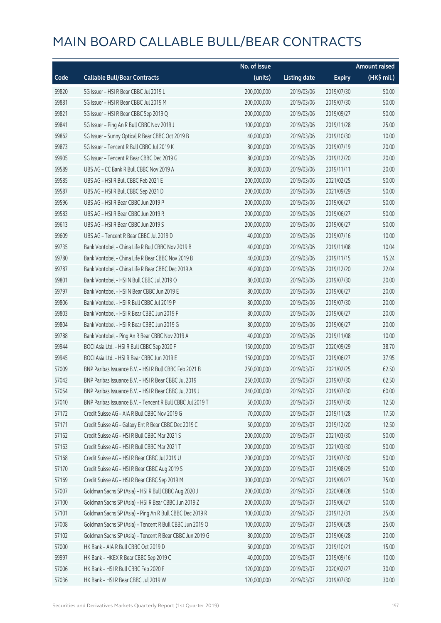|       |                                                            | No. of issue |                     |               | <b>Amount raised</b> |
|-------|------------------------------------------------------------|--------------|---------------------|---------------|----------------------|
| Code  | <b>Callable Bull/Bear Contracts</b>                        | (units)      | <b>Listing date</b> | <b>Expiry</b> | (HK\$ mil.)          |
| 69820 | SG Issuer - HSI R Bear CBBC Jul 2019 L                     | 200,000,000  | 2019/03/06          | 2019/07/30    | 50.00                |
| 69881 | SG Issuer - HSI R Bear CBBC Jul 2019 M                     | 200,000,000  | 2019/03/06          | 2019/07/30    | 50.00                |
| 69821 | SG Issuer - HSI R Bear CBBC Sep 2019 Q                     | 200,000,000  | 2019/03/06          | 2019/09/27    | 50.00                |
| 69841 | SG Issuer - Ping An R Bull CBBC Nov 2019 J                 | 100,000,000  | 2019/03/06          | 2019/11/28    | 25.00                |
| 69862 | SG Issuer - Sunny Optical R Bear CBBC Oct 2019 B           | 40,000,000   | 2019/03/06          | 2019/10/30    | 10.00                |
| 69873 | SG Issuer - Tencent R Bull CBBC Jul 2019 K                 | 80,000,000   | 2019/03/06          | 2019/07/19    | 20.00                |
| 69905 | SG Issuer - Tencent R Bear CBBC Dec 2019 G                 | 80,000,000   | 2019/03/06          | 2019/12/20    | 20.00                |
| 69589 | UBS AG - CC Bank R Bull CBBC Nov 2019 A                    | 80,000,000   | 2019/03/06          | 2019/11/11    | 20.00                |
| 69585 | UBS AG - HSI R Bull CBBC Feb 2021 E                        | 200,000,000  | 2019/03/06          | 2021/02/25    | 50.00                |
| 69587 | UBS AG - HSI R Bull CBBC Sep 2021 D                        | 200,000,000  | 2019/03/06          | 2021/09/29    | 50.00                |
| 69596 | UBS AG - HSI R Bear CBBC Jun 2019 P                        | 200,000,000  | 2019/03/06          | 2019/06/27    | 50.00                |
| 69583 | UBS AG - HSI R Bear CBBC Jun 2019 R                        | 200,000,000  | 2019/03/06          | 2019/06/27    | 50.00                |
| 69613 | UBS AG - HSI R Bear CBBC Jun 2019 S                        | 200,000,000  | 2019/03/06          | 2019/06/27    | 50.00                |
| 69609 | UBS AG - Tencent R Bear CBBC Jul 2019 D                    | 40,000,000   | 2019/03/06          | 2019/07/16    | 10.00                |
| 69735 | Bank Vontobel - China Life R Bull CBBC Nov 2019 B          | 40,000,000   | 2019/03/06          | 2019/11/08    | 10.04                |
| 69780 | Bank Vontobel - China Life R Bear CBBC Nov 2019 B          | 40,000,000   | 2019/03/06          | 2019/11/15    | 15.24                |
| 69787 | Bank Vontobel - China Life R Bear CBBC Dec 2019 A          | 40,000,000   | 2019/03/06          | 2019/12/20    | 22.04                |
| 69801 | Bank Vontobel - HSI N Bull CBBC Jul 2019 O                 | 80,000,000   | 2019/03/06          | 2019/07/30    | 20.00                |
| 69797 | Bank Vontobel - HSI N Bear CBBC Jun 2019 E                 | 80,000,000   | 2019/03/06          | 2019/06/27    | 20.00                |
| 69806 | Bank Vontobel - HSI R Bull CBBC Jul 2019 P                 | 80,000,000   | 2019/03/06          | 2019/07/30    | 20.00                |
| 69803 | Bank Vontobel - HSI R Bear CBBC Jun 2019 F                 | 80,000,000   | 2019/03/06          | 2019/06/27    | 20.00                |
| 69804 | Bank Vontobel - HSI R Bear CBBC Jun 2019 G                 | 80,000,000   | 2019/03/06          | 2019/06/27    | 20.00                |
| 69788 | Bank Vontobel - Ping An R Bear CBBC Nov 2019 A             | 40,000,000   | 2019/03/06          | 2019/11/08    | 10.00                |
| 69944 | BOCI Asia Ltd. - HSI R Bull CBBC Sep 2020 F                | 150,000,000  | 2019/03/07          | 2020/09/29    | 38.70                |
| 69945 | BOCI Asia Ltd. - HSI R Bear CBBC Jun 2019 E                | 150,000,000  | 2019/03/07          | 2019/06/27    | 37.95                |
| 57009 | BNP Paribas Issuance B.V. - HSI R Bull CBBC Feb 2021 B     | 250,000,000  | 2019/03/07          | 2021/02/25    | 62.50                |
| 57042 | BNP Paribas Issuance B.V. - HSI R Bear CBBC Jul 2019 I     | 250,000,000  | 2019/03/07          | 2019/07/30    | 62.50                |
| 57054 | BNP Paribas Issuance B.V. - HSI R Bear CBBC Jul 2019 J     | 240,000,000  | 2019/03/07          | 2019/07/30    | 60.00                |
| 57010 | BNP Paribas Issuance B.V. - Tencent R Bull CBBC Jul 2019 T | 50,000,000   | 2019/03/07          | 2019/07/30    | 12.50                |
| 57172 | Credit Suisse AG - AIA R Bull CBBC Nov 2019 G              | 70,000,000   | 2019/03/07          | 2019/11/28    | 17.50                |
| 57171 | Credit Suisse AG - Galaxy Ent R Bear CBBC Dec 2019 C       | 50,000,000   | 2019/03/07          | 2019/12/20    | 12.50                |
| 57162 | Credit Suisse AG - HSI R Bull CBBC Mar 2021 S              | 200,000,000  | 2019/03/07          | 2021/03/30    | 50.00                |
| 57163 | Credit Suisse AG - HSI R Bull CBBC Mar 2021 T              | 200,000,000  | 2019/03/07          | 2021/03/30    | 50.00                |
| 57168 | Credit Suisse AG - HSI R Bear CBBC Jul 2019 U              | 200,000,000  | 2019/03/07          | 2019/07/30    | 50.00                |
| 57170 | Credit Suisse AG - HSI R Bear CBBC Aug 2019 S              | 200,000,000  | 2019/03/07          | 2019/08/29    | 50.00                |
| 57169 | Credit Suisse AG - HSI R Bear CBBC Sep 2019 M              | 300,000,000  | 2019/03/07          | 2019/09/27    | 75.00                |
| 57007 | Goldman Sachs SP (Asia) - HSI R Bull CBBC Aug 2020 J       | 200,000,000  | 2019/03/07          | 2020/08/28    | 50.00                |
| 57100 | Goldman Sachs SP (Asia) - HSI R Bear CBBC Jun 2019 Z       | 200,000,000  | 2019/03/07          | 2019/06/27    | 50.00                |
| 57101 | Goldman Sachs SP (Asia) - Ping An R Bull CBBC Dec 2019 R   | 100,000,000  | 2019/03/07          | 2019/12/31    | 25.00                |
| 57008 | Goldman Sachs SP (Asia) - Tencent R Bull CBBC Jun 2019 O   | 100,000,000  | 2019/03/07          | 2019/06/28    | 25.00                |
| 57102 | Goldman Sachs SP (Asia) - Tencent R Bear CBBC Jun 2019 G   | 80,000,000   | 2019/03/07          | 2019/06/28    | 20.00                |
| 57000 | HK Bank - AIA R Bull CBBC Oct 2019 D                       | 60,000,000   | 2019/03/07          | 2019/10/21    | 15.00                |
| 69997 | HK Bank - HKEX R Bear CBBC Sep 2019 C                      | 40,000,000   | 2019/03/07          | 2019/09/16    | 10.00                |
| 57006 | HK Bank - HSI R Bull CBBC Feb 2020 F                       | 120,000,000  | 2019/03/07          | 2020/02/27    | 30.00                |
| 57036 | HK Bank - HSI R Bear CBBC Jul 2019 W                       | 120,000,000  | 2019/03/07          | 2019/07/30    | 30.00                |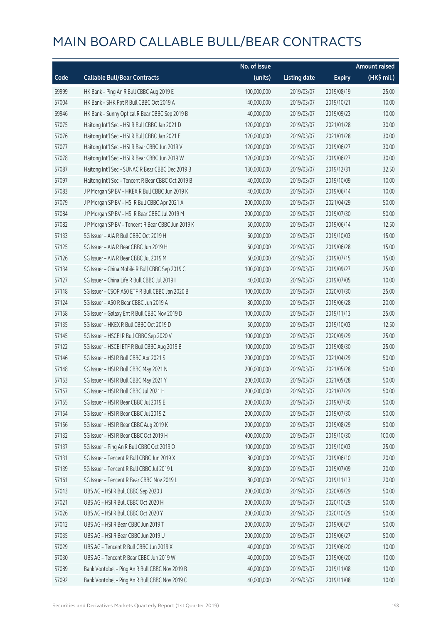|       |                                                    | No. of issue |                     |               | <b>Amount raised</b> |
|-------|----------------------------------------------------|--------------|---------------------|---------------|----------------------|
| Code  | <b>Callable Bull/Bear Contracts</b>                | (units)      | <b>Listing date</b> | <b>Expiry</b> | (HK\$ mil.)          |
| 69999 | HK Bank - Ping An R Bull CBBC Aug 2019 E           | 100,000,000  | 2019/03/07          | 2019/08/19    | 25.00                |
| 57004 | HK Bank - SHK Ppt R Bull CBBC Oct 2019 A           | 40,000,000   | 2019/03/07          | 2019/10/21    | 10.00                |
| 69946 | HK Bank - Sunny Optical R Bear CBBC Sep 2019 B     | 40,000,000   | 2019/03/07          | 2019/09/23    | 10.00                |
| 57075 | Haitong Int'l Sec - HSI R Bull CBBC Jan 2021 D     | 120,000,000  | 2019/03/07          | 2021/01/28    | 30.00                |
| 57076 | Haitong Int'l Sec - HSI R Bull CBBC Jan 2021 E     | 120,000,000  | 2019/03/07          | 2021/01/28    | 30.00                |
| 57077 | Haitong Int'l Sec - HSI R Bear CBBC Jun 2019 V     | 120,000,000  | 2019/03/07          | 2019/06/27    | 30.00                |
| 57078 | Haitong Int'l Sec - HSI R Bear CBBC Jun 2019 W     | 120,000,000  | 2019/03/07          | 2019/06/27    | 30.00                |
| 57087 | Haitong Int'l Sec - SUNAC R Bear CBBC Dec 2019 B   | 130,000,000  | 2019/03/07          | 2019/12/31    | 32.50                |
| 57097 | Haitong Int'l Sec - Tencent R Bear CBBC Oct 2019 B | 40,000,000   | 2019/03/07          | 2019/10/09    | 10.00                |
| 57083 | J P Morgan SP BV - HKEX R Bull CBBC Jun 2019 K     | 40,000,000   | 2019/03/07          | 2019/06/14    | 10.00                |
| 57079 | J P Morgan SP BV - HSI R Bull CBBC Apr 2021 A      | 200,000,000  | 2019/03/07          | 2021/04/29    | 50.00                |
| 57084 | J P Morgan SP BV - HSI R Bear CBBC Jul 2019 M      | 200,000,000  | 2019/03/07          | 2019/07/30    | 50.00                |
| 57082 | J P Morgan SP BV - Tencent R Bear CBBC Jun 2019 K  | 50,000,000   | 2019/03/07          | 2019/06/14    | 12.50                |
| 57133 | SG Issuer - AIA R Bull CBBC Oct 2019 H             | 60,000,000   | 2019/03/07          | 2019/10/03    | 15.00                |
| 57125 | SG Issuer - AIA R Bear CBBC Jun 2019 H             | 60,000,000   | 2019/03/07          | 2019/06/28    | 15.00                |
| 57126 | SG Issuer - AIA R Bear CBBC Jul 2019 M             | 60,000,000   | 2019/03/07          | 2019/07/15    | 15.00                |
| 57134 | SG Issuer - China Mobile R Bull CBBC Sep 2019 C    | 100,000,000  | 2019/03/07          | 2019/09/27    | 25.00                |
| 57127 | SG Issuer - China Life R Bull CBBC Jul 2019 I      | 40,000,000   | 2019/03/07          | 2019/07/05    | 10.00                |
| 57118 | SG Issuer - CSOP A50 ETF R Bull CBBC Jan 2020 B    | 100,000,000  | 2019/03/07          | 2020/01/30    | 25.00                |
| 57124 | SG Issuer - A50 R Bear CBBC Jun 2019 A             | 80,000,000   | 2019/03/07          | 2019/06/28    | 20.00                |
| 57158 | SG Issuer - Galaxy Ent R Bull CBBC Nov 2019 D      | 100,000,000  | 2019/03/07          | 2019/11/13    | 25.00                |
| 57135 | SG Issuer - HKEX R Bull CBBC Oct 2019 D            | 50,000,000   | 2019/03/07          | 2019/10/03    | 12.50                |
| 57145 | SG Issuer - HSCEI R Bull CBBC Sep 2020 V           | 100,000,000  | 2019/03/07          | 2020/09/29    | 25.00                |
| 57122 | SG Issuer - HSCEI ETF R Bull CBBC Aug 2019 B       | 100,000,000  | 2019/03/07          | 2019/08/30    | 25.00                |
| 57146 | SG Issuer - HSI R Bull CBBC Apr 2021 S             | 200,000,000  | 2019/03/07          | 2021/04/29    | 50.00                |
| 57148 | SG Issuer - HSI R Bull CBBC May 2021 N             | 200,000,000  | 2019/03/07          | 2021/05/28    | 50.00                |
| 57153 | SG Issuer - HSI R Bull CBBC May 2021 Y             | 200,000,000  | 2019/03/07          | 2021/05/28    | 50.00                |
| 57157 | SG Issuer - HSI R Bull CBBC Jul 2021 H             | 200,000,000  | 2019/03/07          | 2021/07/29    | 50.00                |
| 57155 | SG Issuer - HSI R Bear CBBC Jul 2019 E             | 200,000,000  | 2019/03/07          | 2019/07/30    | 50.00                |
| 57154 | SG Issuer - HSI R Bear CBBC Jul 2019 Z             | 200,000,000  | 2019/03/07          | 2019/07/30    | 50.00                |
| 57156 | SG Issuer - HSI R Bear CBBC Aug 2019 K             | 200,000,000  | 2019/03/07          | 2019/08/29    | 50.00                |
| 57132 | SG Issuer - HSI R Bear CBBC Oct 2019 H             | 400,000,000  | 2019/03/07          | 2019/10/30    | 100.00               |
| 57137 | SG Issuer - Ping An R Bull CBBC Oct 2019 O         | 100,000,000  | 2019/03/07          | 2019/10/03    | 25.00                |
| 57131 | SG Issuer - Tencent R Bull CBBC Jun 2019 X         | 80,000,000   | 2019/03/07          | 2019/06/10    | 20.00                |
| 57139 | SG Issuer - Tencent R Bull CBBC Jul 2019 L         | 80,000,000   | 2019/03/07          | 2019/07/09    | 20.00                |
| 57161 | SG Issuer - Tencent R Bear CBBC Nov 2019 L         | 80,000,000   | 2019/03/07          | 2019/11/13    | 20.00                |
| 57013 | UBS AG - HSI R Bull CBBC Sep 2020 J                | 200,000,000  | 2019/03/07          | 2020/09/29    | 50.00                |
| 57021 | UBS AG - HSI R Bull CBBC Oct 2020 H                | 200,000,000  | 2019/03/07          | 2020/10/29    | 50.00                |
| 57026 | UBS AG - HSI R Bull CBBC Oct 2020 Y                | 200,000,000  | 2019/03/07          | 2020/10/29    | 50.00                |
| 57012 | UBS AG - HSI R Bear CBBC Jun 2019 T                | 200,000,000  | 2019/03/07          | 2019/06/27    | 50.00                |
| 57035 | UBS AG - HSI R Bear CBBC Jun 2019 U                | 200,000,000  | 2019/03/07          | 2019/06/27    | 50.00                |
| 57029 | UBS AG - Tencent R Bull CBBC Jun 2019 X            | 40,000,000   | 2019/03/07          | 2019/06/20    | 10.00                |
| 57030 | UBS AG - Tencent R Bear CBBC Jun 2019 W            | 40,000,000   | 2019/03/07          | 2019/06/20    | 10.00                |
| 57089 | Bank Vontobel - Ping An R Bull CBBC Nov 2019 B     | 40,000,000   | 2019/03/07          | 2019/11/08    | 10.00                |
| 57092 | Bank Vontobel - Ping An R Bull CBBC Nov 2019 C     | 40,000,000   | 2019/03/07          | 2019/11/08    | 10.00                |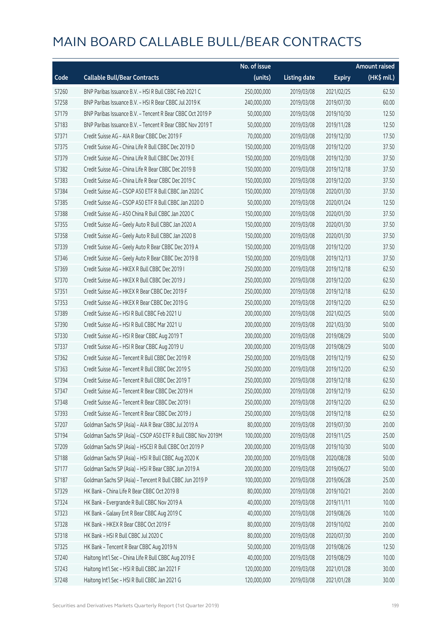|       |                                                              | No. of issue |                     |               | <b>Amount raised</b> |
|-------|--------------------------------------------------------------|--------------|---------------------|---------------|----------------------|
| Code  | <b>Callable Bull/Bear Contracts</b>                          | (units)      | <b>Listing date</b> | <b>Expiry</b> | (HK\$ mil.)          |
| 57260 | BNP Paribas Issuance B.V. - HSI R Bull CBBC Feb 2021 C       | 250,000,000  | 2019/03/08          | 2021/02/25    | 62.50                |
| 57258 | BNP Paribas Issuance B.V. - HSI R Bear CBBC Jul 2019 K       | 240,000,000  | 2019/03/08          | 2019/07/30    | 60.00                |
| 57179 | BNP Paribas Issuance B.V. - Tencent R Bear CBBC Oct 2019 P   | 50,000,000   | 2019/03/08          | 2019/10/30    | 12.50                |
| 57183 | BNP Paribas Issuance B.V. - Tencent R Bear CBBC Nov 2019 T   | 50,000,000   | 2019/03/08          | 2019/11/28    | 12.50                |
| 57371 | Credit Suisse AG - AIA R Bear CBBC Dec 2019 F                | 70,000,000   | 2019/03/08          | 2019/12/30    | 17.50                |
| 57375 | Credit Suisse AG - China Life R Bull CBBC Dec 2019 D         | 150,000,000  | 2019/03/08          | 2019/12/20    | 37.50                |
| 57379 | Credit Suisse AG - China Life R Bull CBBC Dec 2019 E         | 150,000,000  | 2019/03/08          | 2019/12/30    | 37.50                |
| 57382 | Credit Suisse AG - China Life R Bear CBBC Dec 2019 B         | 150,000,000  | 2019/03/08          | 2019/12/18    | 37.50                |
| 57383 | Credit Suisse AG - China Life R Bear CBBC Dec 2019 C         | 150,000,000  | 2019/03/08          | 2019/12/20    | 37.50                |
| 57384 | Credit Suisse AG - CSOP A50 ETF R Bull CBBC Jan 2020 C       | 150,000,000  | 2019/03/08          | 2020/01/30    | 37.50                |
| 57385 | Credit Suisse AG - CSOP A50 ETF R Bull CBBC Jan 2020 D       | 50,000,000   | 2019/03/08          | 2020/01/24    | 12.50                |
| 57388 | Credit Suisse AG - A50 China R Bull CBBC Jan 2020 C          | 150,000,000  | 2019/03/08          | 2020/01/30    | 37.50                |
| 57355 | Credit Suisse AG - Geely Auto R Bull CBBC Jan 2020 A         | 150,000,000  | 2019/03/08          | 2020/01/30    | 37.50                |
| 57358 | Credit Suisse AG - Geely Auto R Bull CBBC Jan 2020 B         | 150,000,000  | 2019/03/08          | 2020/01/30    | 37.50                |
| 57339 | Credit Suisse AG - Geely Auto R Bear CBBC Dec 2019 A         | 150,000,000  | 2019/03/08          | 2019/12/20    | 37.50                |
| 57346 | Credit Suisse AG - Geely Auto R Bear CBBC Dec 2019 B         | 150,000,000  | 2019/03/08          | 2019/12/13    | 37.50                |
| 57369 | Credit Suisse AG - HKEX R Bull CBBC Dec 2019 I               | 250,000,000  | 2019/03/08          | 2019/12/18    | 62.50                |
| 57370 | Credit Suisse AG - HKEX R Bull CBBC Dec 2019 J               | 250,000,000  | 2019/03/08          | 2019/12/20    | 62.50                |
| 57351 | Credit Suisse AG - HKEX R Bear CBBC Dec 2019 F               | 250,000,000  | 2019/03/08          | 2019/12/18    | 62.50                |
| 57353 | Credit Suisse AG - HKEX R Bear CBBC Dec 2019 G               | 250,000,000  | 2019/03/08          | 2019/12/20    | 62.50                |
| 57389 | Credit Suisse AG - HSI R Bull CBBC Feb 2021 U                | 200,000,000  | 2019/03/08          | 2021/02/25    | 50.00                |
| 57390 | Credit Suisse AG - HSI R Bull CBBC Mar 2021 U                | 200,000,000  | 2019/03/08          | 2021/03/30    | 50.00                |
| 57330 | Credit Suisse AG - HSI R Bear CBBC Aug 2019 T                | 200,000,000  | 2019/03/08          | 2019/08/29    | 50.00                |
| 57337 | Credit Suisse AG - HSI R Bear CBBC Aug 2019 U                | 200,000,000  | 2019/03/08          | 2019/08/29    | 50.00                |
| 57362 | Credit Suisse AG - Tencent R Bull CBBC Dec 2019 R            | 250,000,000  | 2019/03/08          | 2019/12/19    | 62.50                |
| 57363 | Credit Suisse AG - Tencent R Bull CBBC Dec 2019 S            | 250,000,000  | 2019/03/08          | 2019/12/20    | 62.50                |
| 57394 | Credit Suisse AG - Tencent R Bull CBBC Dec 2019 T            | 250,000,000  | 2019/03/08          | 2019/12/18    | 62.50                |
| 57347 | Credit Suisse AG – Tencent R Bear CBBC Dec 2019 H            | 250,000,000  | 2019/03/08          | 2019/12/19    | 62.50                |
| 57348 | Credit Suisse AG - Tencent R Bear CBBC Dec 2019 I            | 250,000,000  | 2019/03/08          | 2019/12/20    | 62.50                |
| 57393 | Credit Suisse AG - Tencent R Bear CBBC Dec 2019 J            | 250,000,000  | 2019/03/08          | 2019/12/18    | 62.50                |
| 57207 | Goldman Sachs SP (Asia) - AIA R Bear CBBC Jul 2019 A         | 80,000,000   | 2019/03/08          | 2019/07/30    | 20.00                |
| 57194 | Goldman Sachs SP (Asia) - CSOP A50 ETF R Bull CBBC Nov 2019M | 100,000,000  | 2019/03/08          | 2019/11/25    | 25.00                |
| 57209 | Goldman Sachs SP (Asia) - HSCEI R Bull CBBC Oct 2019 P       | 200,000,000  | 2019/03/08          | 2019/10/30    | 50.00                |
| 57188 | Goldman Sachs SP (Asia) - HSI R Bull CBBC Aug 2020 K         | 200,000,000  | 2019/03/08          | 2020/08/28    | 50.00                |
| 57177 | Goldman Sachs SP (Asia) - HSI R Bear CBBC Jun 2019 A         | 200,000,000  | 2019/03/08          | 2019/06/27    | 50.00                |
| 57187 | Goldman Sachs SP (Asia) - Tencent R Bull CBBC Jun 2019 P     | 100,000,000  | 2019/03/08          | 2019/06/28    | 25.00                |
| 57329 | HK Bank - China Life R Bear CBBC Oct 2019 B                  | 80,000,000   | 2019/03/08          | 2019/10/21    | 20.00                |
| 57324 | HK Bank - Evergrande R Bull CBBC Nov 2019 A                  | 40,000,000   | 2019/03/08          | 2019/11/11    | 10.00                |
| 57323 | HK Bank - Galaxy Ent R Bear CBBC Aug 2019 C                  | 40,000,000   | 2019/03/08          | 2019/08/26    | 10.00                |
| 57328 | HK Bank - HKEX R Bear CBBC Oct 2019 F                        | 80,000,000   | 2019/03/08          | 2019/10/02    | 20.00                |
| 57318 | HK Bank - HSI R Bull CBBC Jul 2020 C                         | 80,000,000   | 2019/03/08          | 2020/07/30    | 20.00                |
| 57325 | HK Bank - Tencent R Bear CBBC Aug 2019 N                     | 50,000,000   | 2019/03/08          | 2019/08/26    | 12.50                |
| 57240 | Haitong Int'l Sec - China Life R Bull CBBC Aug 2019 E        | 40,000,000   | 2019/03/08          | 2019/08/29    | 10.00                |
| 57243 | Haitong Int'l Sec - HSI R Bull CBBC Jan 2021 F               | 120,000,000  | 2019/03/08          | 2021/01/28    | 30.00                |
| 57248 | Haitong Int'l Sec - HSI R Bull CBBC Jan 2021 G               | 120,000,000  | 2019/03/08          | 2021/01/28    | 30.00                |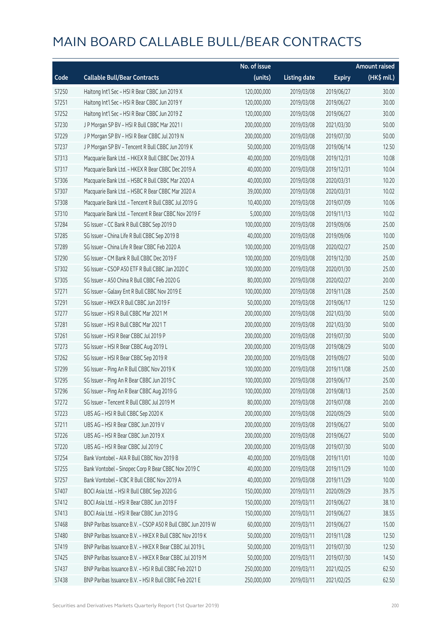|       |                                                             | No. of issue |                     |               | <b>Amount raised</b> |
|-------|-------------------------------------------------------------|--------------|---------------------|---------------|----------------------|
| Code  | <b>Callable Bull/Bear Contracts</b>                         | (units)      | <b>Listing date</b> | <b>Expiry</b> | (HK\$ mil.)          |
| 57250 | Haitong Int'l Sec - HSI R Bear CBBC Jun 2019 X              | 120,000,000  | 2019/03/08          | 2019/06/27    | 30.00                |
| 57251 | Haitong Int'l Sec - HSI R Bear CBBC Jun 2019 Y              | 120,000,000  | 2019/03/08          | 2019/06/27    | 30.00                |
| 57252 | Haitong Int'l Sec - HSI R Bear CBBC Jun 2019 Z              | 120,000,000  | 2019/03/08          | 2019/06/27    | 30.00                |
| 57230 | J P Morgan SP BV - HSI R Bull CBBC Mar 2021 I               | 200,000,000  | 2019/03/08          | 2021/03/30    | 50.00                |
| 57229 | J P Morgan SP BV - HSI R Bear CBBC Jul 2019 N               | 200,000,000  | 2019/03/08          | 2019/07/30    | 50.00                |
| 57237 | J P Morgan SP BV - Tencent R Bull CBBC Jun 2019 K           | 50,000,000   | 2019/03/08          | 2019/06/14    | 12.50                |
| 57313 | Macquarie Bank Ltd. - HKEX R Bull CBBC Dec 2019 A           | 40,000,000   | 2019/03/08          | 2019/12/31    | 10.08                |
| 57317 | Macquarie Bank Ltd. - HKEX R Bear CBBC Dec 2019 A           | 40,000,000   | 2019/03/08          | 2019/12/31    | 10.04                |
| 57306 | Macquarie Bank Ltd. - HSBC R Bull CBBC Mar 2020 A           | 40,000,000   | 2019/03/08          | 2020/03/31    | 10.20                |
| 57307 | Macquarie Bank Ltd. - HSBC R Bear CBBC Mar 2020 A           | 39,000,000   | 2019/03/08          | 2020/03/31    | 10.02                |
| 57308 | Macquarie Bank Ltd. - Tencent R Bull CBBC Jul 2019 G        | 10,400,000   | 2019/03/08          | 2019/07/09    | 10.06                |
| 57310 | Macquarie Bank Ltd. - Tencent R Bear CBBC Nov 2019 F        | 5,000,000    | 2019/03/08          | 2019/11/13    | 10.02                |
| 57284 | SG Issuer - CC Bank R Bull CBBC Sep 2019 D                  | 100,000,000  | 2019/03/08          | 2019/09/06    | 25.00                |
| 57285 | SG Issuer - China Life R Bull CBBC Sep 2019 B               | 40,000,000   | 2019/03/08          | 2019/09/06    | 10.00                |
| 57289 | SG Issuer - China Life R Bear CBBC Feb 2020 A               | 100,000,000  | 2019/03/08          | 2020/02/27    | 25.00                |
| 57290 | SG Issuer - CM Bank R Bull CBBC Dec 2019 F                  | 100,000,000  | 2019/03/08          | 2019/12/30    | 25.00                |
| 57302 | SG Issuer - CSOP A50 ETF R Bull CBBC Jan 2020 C             | 100,000,000  | 2019/03/08          | 2020/01/30    | 25.00                |
| 57305 | SG Issuer - A50 China R Bull CBBC Feb 2020 G                | 80,000,000   | 2019/03/08          | 2020/02/27    | 20.00                |
| 57271 | SG Issuer - Galaxy Ent R Bull CBBC Nov 2019 E               | 100,000,000  | 2019/03/08          | 2019/11/28    | 25.00                |
| 57291 | SG Issuer - HKEX R Bull CBBC Jun 2019 F                     | 50,000,000   | 2019/03/08          | 2019/06/17    | 12.50                |
| 57277 | SG Issuer - HSI R Bull CBBC Mar 2021 M                      | 200,000,000  | 2019/03/08          | 2021/03/30    | 50.00                |
| 57281 | SG Issuer - HSI R Bull CBBC Mar 2021 T                      | 200,000,000  | 2019/03/08          | 2021/03/30    | 50.00                |
| 57261 | SG Issuer - HSI R Bear CBBC Jul 2019 P                      | 200,000,000  | 2019/03/08          | 2019/07/30    | 50.00                |
| 57273 | SG Issuer - HSI R Bear CBBC Aug 2019 L                      | 200,000,000  | 2019/03/08          | 2019/08/29    | 50.00                |
| 57262 | SG Issuer - HSI R Bear CBBC Sep 2019 R                      | 200,000,000  | 2019/03/08          | 2019/09/27    | 50.00                |
| 57299 | SG Issuer - Ping An R Bull CBBC Nov 2019 K                  | 100,000,000  | 2019/03/08          | 2019/11/08    | 25.00                |
| 57295 | SG Issuer - Ping An R Bear CBBC Jun 2019 C                  | 100,000,000  | 2019/03/08          | 2019/06/17    | 25.00                |
| 57296 | SG Issuer - Ping An R Bear CBBC Aug 2019 G                  | 100,000,000  | 2019/03/08          | 2019/08/13    | 25.00                |
| 57272 | SG Issuer - Tencent R Bull CBBC Jul 2019 M                  | 80,000,000   | 2019/03/08          | 2019/07/08    | 20.00                |
| 57223 | UBS AG - HSI R Bull CBBC Sep 2020 K                         | 200,000,000  | 2019/03/08          | 2020/09/29    | 50.00                |
| 57211 | UBS AG - HSI R Bear CBBC Jun 2019 V                         | 200,000,000  | 2019/03/08          | 2019/06/27    | 50.00                |
| 57226 | UBS AG - HSI R Bear CBBC Jun 2019 X                         | 200,000,000  | 2019/03/08          | 2019/06/27    | 50.00                |
| 57220 | UBS AG - HSI R Bear CBBC Jul 2019 C                         | 200,000,000  | 2019/03/08          | 2019/07/30    | 50.00                |
| 57254 | Bank Vontobel - AIA R Bull CBBC Nov 2019 B                  | 40,000,000   | 2019/03/08          | 2019/11/01    | 10.00                |
| 57255 | Bank Vontobel - Sinopec Corp R Bear CBBC Nov 2019 C         | 40,000,000   | 2019/03/08          | 2019/11/29    | 10.00                |
| 57257 | Bank Vontobel - ICBC R Bull CBBC Nov 2019 A                 | 40,000,000   | 2019/03/08          | 2019/11/29    | 10.00                |
| 57407 | BOCI Asia Ltd. - HSI R Bull CBBC Sep 2020 G                 | 150,000,000  | 2019/03/11          | 2020/09/29    | 39.75                |
| 57412 | BOCI Asia Ltd. - HSI R Bear CBBC Jun 2019 F                 | 150,000,000  | 2019/03/11          | 2019/06/27    | 38.10                |
| 57413 | BOCI Asia Ltd. - HSI R Bear CBBC Jun 2019 G                 | 150,000,000  | 2019/03/11          | 2019/06/27    | 38.55                |
| 57468 | BNP Paribas Issuance B.V. - CSOP A50 R Bull CBBC Jun 2019 W | 60,000,000   | 2019/03/11          | 2019/06/27    | 15.00                |
| 57480 | BNP Paribas Issuance B.V. - HKEX R Bull CBBC Nov 2019 K     | 50,000,000   | 2019/03/11          | 2019/11/28    | 12.50                |
| 57419 | BNP Paribas Issuance B.V. - HKEX R Bear CBBC Jul 2019 L     | 50,000,000   | 2019/03/11          | 2019/07/30    | 12.50                |
| 57425 | BNP Paribas Issuance B.V. - HKEX R Bear CBBC Jul 2019 M     | 50,000,000   | 2019/03/11          | 2019/07/30    | 14.50                |
| 57437 | BNP Paribas Issuance B.V. - HSI R Bull CBBC Feb 2021 D      | 250,000,000  | 2019/03/11          | 2021/02/25    | 62.50                |
| 57438 | BNP Paribas Issuance B.V. - HSI R Bull CBBC Feb 2021 E      | 250,000,000  | 2019/03/11          | 2021/02/25    | 62.50                |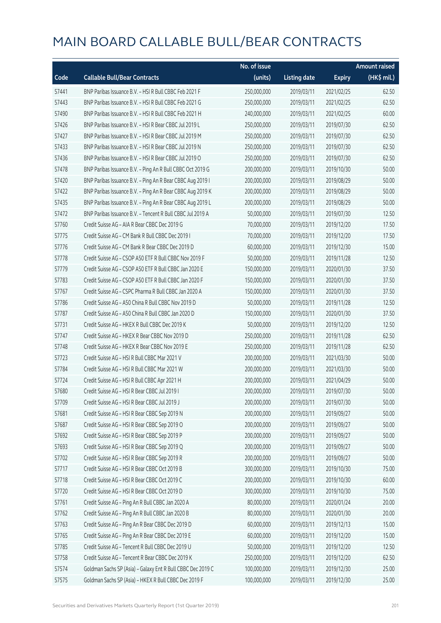|       |                                                             | No. of issue |                     |               | <b>Amount raised</b>  |
|-------|-------------------------------------------------------------|--------------|---------------------|---------------|-----------------------|
| Code  | <b>Callable Bull/Bear Contracts</b>                         | (units)      | <b>Listing date</b> | <b>Expiry</b> | $(HK\frac{1}{2}mil.)$ |
| 57441 | BNP Paribas Issuance B.V. - HSI R Bull CBBC Feb 2021 F      | 250,000,000  | 2019/03/11          | 2021/02/25    | 62.50                 |
| 57443 | BNP Paribas Issuance B.V. - HSI R Bull CBBC Feb 2021 G      | 250,000,000  | 2019/03/11          | 2021/02/25    | 62.50                 |
| 57490 | BNP Paribas Issuance B.V. - HSI R Bull CBBC Feb 2021 H      | 240,000,000  | 2019/03/11          | 2021/02/25    | 60.00                 |
| 57426 | BNP Paribas Issuance B.V. - HSI R Bear CBBC Jul 2019 L      | 250,000,000  | 2019/03/11          | 2019/07/30    | 62.50                 |
| 57427 | BNP Paribas Issuance B.V. - HSI R Bear CBBC Jul 2019 M      | 250,000,000  | 2019/03/11          | 2019/07/30    | 62.50                 |
| 57433 | BNP Paribas Issuance B.V. - HSI R Bear CBBC Jul 2019 N      | 250,000,000  | 2019/03/11          | 2019/07/30    | 62.50                 |
| 57436 | BNP Paribas Issuance B.V. - HSI R Bear CBBC Jul 2019 O      | 250,000,000  | 2019/03/11          | 2019/07/30    | 62.50                 |
| 57478 | BNP Paribas Issuance B.V. - Ping An R Bull CBBC Oct 2019 G  | 200,000,000  | 2019/03/11          | 2019/10/30    | 50.00                 |
| 57420 | BNP Paribas Issuance B.V. - Ping An R Bear CBBC Aug 2019 I  | 200,000,000  | 2019/03/11          | 2019/08/29    | 50.00                 |
| 57422 | BNP Paribas Issuance B.V. - Ping An R Bear CBBC Aug 2019 K  | 200,000,000  | 2019/03/11          | 2019/08/29    | 50.00                 |
| 57435 | BNP Paribas Issuance B.V. - Ping An R Bear CBBC Aug 2019 L  | 200,000,000  | 2019/03/11          | 2019/08/29    | 50.00                 |
| 57472 | BNP Paribas Issuance B.V. - Tencent R Bull CBBC Jul 2019 A  | 50,000,000   | 2019/03/11          | 2019/07/30    | 12.50                 |
| 57760 | Credit Suisse AG - AIA R Bear CBBC Dec 2019 G               | 70,000,000   | 2019/03/11          | 2019/12/20    | 17.50                 |
| 57775 | Credit Suisse AG - CM Bank R Bull CBBC Dec 2019 I           | 70,000,000   | 2019/03/11          | 2019/12/20    | 17.50                 |
| 57776 | Credit Suisse AG - CM Bank R Bear CBBC Dec 2019 D           | 60,000,000   | 2019/03/11          | 2019/12/30    | 15.00                 |
| 57778 | Credit Suisse AG - CSOP A50 ETF R Bull CBBC Nov 2019 F      | 50,000,000   | 2019/03/11          | 2019/11/28    | 12.50                 |
| 57779 | Credit Suisse AG - CSOP A50 ETF R Bull CBBC Jan 2020 E      | 150,000,000  | 2019/03/11          | 2020/01/30    | 37.50                 |
| 57783 | Credit Suisse AG - CSOP A50 ETF R Bull CBBC Jan 2020 F      | 150,000,000  | 2019/03/11          | 2020/01/30    | 37.50                 |
| 57767 | Credit Suisse AG - CSPC Pharma R Bull CBBC Jan 2020 A       | 150,000,000  | 2019/03/11          | 2020/01/30    | 37.50                 |
| 57786 | Credit Suisse AG - A50 China R Bull CBBC Nov 2019 D         | 50,000,000   | 2019/03/11          | 2019/11/28    | 12.50                 |
| 57787 | Credit Suisse AG - A50 China R Bull CBBC Jan 2020 D         | 150,000,000  | 2019/03/11          | 2020/01/30    | 37.50                 |
| 57731 | Credit Suisse AG - HKEX R Bull CBBC Dec 2019 K              | 50,000,000   | 2019/03/11          | 2019/12/20    | 12.50                 |
| 57747 | Credit Suisse AG - HKEX R Bear CBBC Nov 2019 D              | 250,000,000  | 2019/03/11          | 2019/11/28    | 62.50                 |
| 57748 | Credit Suisse AG - HKEX R Bear CBBC Nov 2019 E              | 250,000,000  | 2019/03/11          | 2019/11/28    | 62.50                 |
| 57723 | Credit Suisse AG - HSI R Bull CBBC Mar 2021 V               | 200,000,000  | 2019/03/11          | 2021/03/30    | 50.00                 |
| 57784 | Credit Suisse AG - HSI R Bull CBBC Mar 2021 W               | 200,000,000  | 2019/03/11          | 2021/03/30    | 50.00                 |
| 57724 | Credit Suisse AG - HSI R Bull CBBC Apr 2021 H               | 200,000,000  | 2019/03/11          | 2021/04/29    | 50.00                 |
| 57680 | Credit Suisse AG - HSI R Bear CBBC Jul 2019 I               | 200,000,000  | 2019/03/11          | 2019/07/30    | 50.00                 |
| 57709 | Credit Suisse AG - HSI R Bear CBBC Jul 2019 J               | 200,000,000  | 2019/03/11          | 2019/07/30    | 50.00                 |
| 57681 | Credit Suisse AG - HSI R Bear CBBC Sep 2019 N               | 200,000,000  | 2019/03/11          | 2019/09/27    | 50.00                 |
| 57687 | Credit Suisse AG - HSI R Bear CBBC Sep 2019 O               | 200,000,000  | 2019/03/11          | 2019/09/27    | 50.00                 |
| 57692 | Credit Suisse AG - HSI R Bear CBBC Sep 2019 P               | 200,000,000  | 2019/03/11          | 2019/09/27    | 50.00                 |
| 57693 | Credit Suisse AG - HSI R Bear CBBC Sep 2019 Q               | 200,000,000  | 2019/03/11          | 2019/09/27    | 50.00                 |
| 57702 | Credit Suisse AG - HSI R Bear CBBC Sep 2019 R               | 200,000,000  | 2019/03/11          | 2019/09/27    | 50.00                 |
| 57717 | Credit Suisse AG - HSI R Bear CBBC Oct 2019 B               | 300,000,000  | 2019/03/11          | 2019/10/30    | 75.00                 |
| 57718 | Credit Suisse AG - HSI R Bear CBBC Oct 2019 C               | 200,000,000  | 2019/03/11          | 2019/10/30    | 60.00                 |
| 57720 | Credit Suisse AG - HSI R Bear CBBC Oct 2019 D               | 300,000,000  | 2019/03/11          | 2019/10/30    | 75.00                 |
| 57761 | Credit Suisse AG - Ping An R Bull CBBC Jan 2020 A           | 80,000,000   | 2019/03/11          | 2020/01/24    | 20.00                 |
| 57762 | Credit Suisse AG - Ping An R Bull CBBC Jan 2020 B           | 80,000,000   | 2019/03/11          | 2020/01/30    | 20.00                 |
| 57763 | Credit Suisse AG - Ping An R Bear CBBC Dec 2019 D           | 60,000,000   | 2019/03/11          | 2019/12/13    | 15.00                 |
| 57765 | Credit Suisse AG - Ping An R Bear CBBC Dec 2019 E           | 60,000,000   | 2019/03/11          | 2019/12/20    | 15.00                 |
| 57785 | Credit Suisse AG - Tencent R Bull CBBC Dec 2019 U           | 50,000,000   | 2019/03/11          | 2019/12/20    | 12.50                 |
| 57758 | Credit Suisse AG - Tencent R Bear CBBC Dec 2019 K           | 250,000,000  | 2019/03/11          | 2019/12/20    | 62.50                 |
| 57574 | Goldman Sachs SP (Asia) - Galaxy Ent R Bull CBBC Dec 2019 C | 100,000,000  | 2019/03/11          | 2019/12/30    | 25.00                 |
| 57575 | Goldman Sachs SP (Asia) - HKEX R Bull CBBC Dec 2019 F       | 100,000,000  | 2019/03/11          | 2019/12/30    | 25.00                 |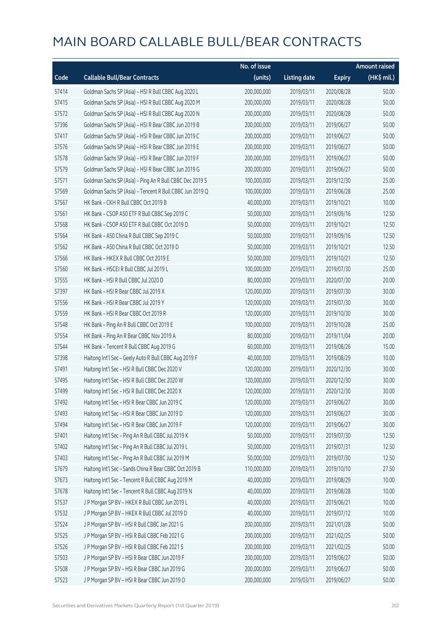|       |                                                          | No. of issue |                     |               | <b>Amount raised</b> |
|-------|----------------------------------------------------------|--------------|---------------------|---------------|----------------------|
| Code  | <b>Callable Bull/Bear Contracts</b>                      | (units)      | <b>Listing date</b> | <b>Expiry</b> | (HK\$ mil.)          |
| 57414 | Goldman Sachs SP (Asia) - HSI R Bull CBBC Aug 2020 L     | 200,000,000  | 2019/03/11          | 2020/08/28    | 50.00                |
| 57415 | Goldman Sachs SP (Asia) - HSI R Bull CBBC Aug 2020 M     | 200,000,000  | 2019/03/11          | 2020/08/28    | 50.00                |
| 57572 | Goldman Sachs SP (Asia) - HSI R Bull CBBC Aug 2020 N     | 200,000,000  | 2019/03/11          | 2020/08/28    | 50.00                |
| 57396 | Goldman Sachs SP (Asia) - HSI R Bear CBBC Jun 2019 B     | 200,000,000  | 2019/03/11          | 2019/06/27    | 50.00                |
| 57417 | Goldman Sachs SP (Asia) - HSI R Bear CBBC Jun 2019 C     | 200,000,000  | 2019/03/11          | 2019/06/27    | 50.00                |
| 57576 | Goldman Sachs SP (Asia) - HSI R Bear CBBC Jun 2019 E     | 200,000,000  | 2019/03/11          | 2019/06/27    | 50.00                |
| 57578 | Goldman Sachs SP (Asia) - HSI R Bear CBBC Jun 2019 F     | 200,000,000  | 2019/03/11          | 2019/06/27    | 50.00                |
| 57579 | Goldman Sachs SP (Asia) - HSI R Bear CBBC Jun 2019 G     | 200,000,000  | 2019/03/11          | 2019/06/27    | 50.00                |
| 57571 | Goldman Sachs SP (Asia) - Ping An R Bull CBBC Dec 2019 S | 100,000,000  | 2019/03/11          | 2019/12/30    | 25.00                |
| 57569 | Goldman Sachs SP (Asia) - Tencent R Bull CBBC Jun 2019 Q | 100,000,000  | 2019/03/11          | 2019/06/28    | 25.00                |
| 57567 | HK Bank - CKH R Bull CBBC Oct 2019 B                     | 40,000,000   | 2019/03/11          | 2019/10/21    | 10.00                |
| 57561 | HK Bank - CSOP A50 ETF R Bull CBBC Sep 2019 C            | 50,000,000   | 2019/03/11          | 2019/09/16    | 12.50                |
| 57568 | HK Bank - CSOP A50 ETF R Bull CBBC Oct 2019 D            | 50,000,000   | 2019/03/11          | 2019/10/21    | 12.50                |
| 57564 | HK Bank - A50 China R Bull CBBC Sep 2019 C               | 50,000,000   | 2019/03/11          | 2019/09/16    | 12.50                |
| 57562 | HK Bank - A50 China R Bull CBBC Oct 2019 D               | 50,000,000   | 2019/03/11          | 2019/10/21    | 12.50                |
| 57566 | HK Bank - HKEX R Bull CBBC Oct 2019 E                    | 50,000,000   | 2019/03/11          | 2019/10/21    | 12.50                |
| 57560 | HK Bank - HSCEI R Bull CBBC Jul 2019 L                   | 100,000,000  | 2019/03/11          | 2019/07/30    | 25.00                |
| 57555 | HK Bank - HSI R Bull CBBC Jul 2020 D                     | 80,000,000   | 2019/03/11          | 2020/07/30    | 20.00                |
| 57397 | HK Bank - HSI R Bear CBBC Jul 2019 X                     | 120,000,000  | 2019/03/11          | 2019/07/30    | 30.00                |
| 57556 | HK Bank - HSI R Bear CBBC Jul 2019 Y                     | 120,000,000  | 2019/03/11          | 2019/07/30    | 30.00                |
| 57559 | HK Bank - HSI R Bear CBBC Oct 2019 R                     | 120,000,000  | 2019/03/11          | 2019/10/30    | 30.00                |
| 57548 | HK Bank - Ping An R Bull CBBC Oct 2019 E                 | 100,000,000  | 2019/03/11          | 2019/10/28    | 25.00                |
| 57554 | HK Bank - Ping An R Bear CBBC Nov 2019 A                 | 80,000,000   | 2019/03/11          | 2019/11/04    | 20.00                |
| 57544 | HK Bank - Tencent R Bull CBBC Aug 2019 G                 | 60,000,000   | 2019/03/11          | 2019/08/26    | 15.00                |
| 57398 | Haitong Int'l Sec - Geely Auto R Bull CBBC Aug 2019 F    | 40,000,000   | 2019/03/11          | 2019/08/29    | 10.00                |
| 57491 | Haitong Int'l Sec - HSI R Bull CBBC Dec 2020 V           | 120,000,000  | 2019/03/11          | 2020/12/30    | 30.00                |
| 57495 | Haitong Int'l Sec - HSI R Bull CBBC Dec 2020 W           | 120,000,000  | 2019/03/11          | 2020/12/30    | 30.00                |
| 57499 | Haitong Int'l Sec - HSI R Bull CBBC Dec 2020 X           | 120,000,000  | 2019/03/11          | 2020/12/30    | 30.00                |
| 57492 | Haitong Int'l Sec - HSI R Bear CBBC Jun 2019 C           | 120,000,000  | 2019/03/11          | 2019/06/27    | 30.00                |
| 57493 | Haitong Int'l Sec - HSI R Bear CBBC Jun 2019 D           | 120,000,000  | 2019/03/11          | 2019/06/27    | 30.00                |
| 57494 | Haitong Int'l Sec - HSI R Bear CBBC Jun 2019 F           | 120,000,000  | 2019/03/11          | 2019/06/27    | 30.00                |
| 57401 | Haitong Int'l Sec - Ping An R Bull CBBC Jul 2019 K       | 50,000,000   | 2019/03/11          | 2019/07/30    | 12.50                |
| 57402 | Haitong Int'l Sec - Ping An R Bull CBBC Jul 2019 L       | 50,000,000   | 2019/03/11          | 2019/07/31    | 12.50                |
| 57403 | Haitong Int'l Sec - Ping An R Bull CBBC Jul 2019 M       | 50,000,000   | 2019/03/11          | 2019/07/30    | 12.50                |
| 57679 | Haitong Int'l Sec - Sands China R Bear CBBC Oct 2019 B   | 110,000,000  | 2019/03/11          | 2019/10/10    | 27.50                |
| 57673 | Haitong Int'l Sec - Tencent R Bull CBBC Aug 2019 M       | 40,000,000   | 2019/03/11          | 2019/08/29    | 10.00                |
| 57678 | Haitong Int'l Sec - Tencent R Bull CBBC Aug 2019 N       | 40,000,000   | 2019/03/11          | 2019/08/28    | 10.00                |
| 57537 | J P Morgan SP BV - HKEX R Bull CBBC Jun 2019 L           | 40,000,000   | 2019/03/11          | 2019/06/21    | 10.00                |
| 57532 | J P Morgan SP BV - HKEX R Bull CBBC Jul 2019 D           | 40,000,000   | 2019/03/11          | 2019/07/12    | 10.00                |
| 57524 | J P Morgan SP BV - HSI R Bull CBBC Jan 2021 G            | 200,000,000  | 2019/03/11          | 2021/01/28    | 50.00                |
| 57525 | J P Morgan SP BV - HSI R Bull CBBC Feb 2021 G            | 200,000,000  | 2019/03/11          | 2021/02/25    | 50.00                |
| 57526 | J P Morgan SP BV - HSI R Bull CBBC Feb 2021 S            | 200,000,000  | 2019/03/11          | 2021/02/25    | 50.00                |
| 57503 | J P Morgan SP BV - HSI R Bear CBBC Jun 2019 F            | 200,000,000  | 2019/03/11          | 2019/06/27    | 50.00                |
| 57508 | J P Morgan SP BV - HSI R Bear CBBC Jun 2019 G            | 200,000,000  | 2019/03/11          | 2019/06/27    | 50.00                |
| 57523 | J P Morgan SP BV - HSI R Bear CBBC Jun 2019 O            | 200,000,000  | 2019/03/11          | 2019/06/27    | 50.00                |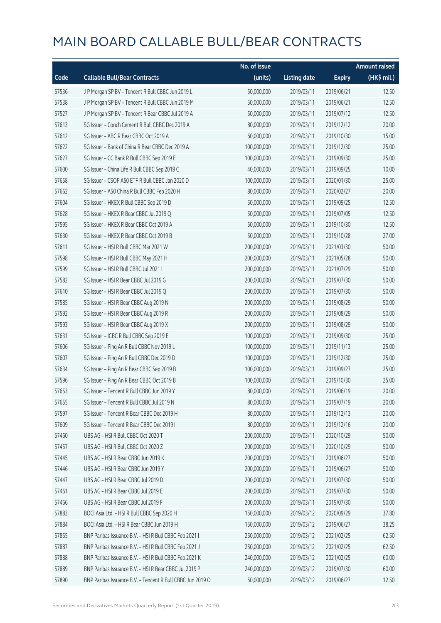|       |                                                            | No. of issue |                     |               | <b>Amount raised</b> |
|-------|------------------------------------------------------------|--------------|---------------------|---------------|----------------------|
| Code  | <b>Callable Bull/Bear Contracts</b>                        | (units)      | <b>Listing date</b> | <b>Expiry</b> | (HK\$ mil.)          |
| 57536 | J P Morgan SP BV - Tencent R Bull CBBC Jun 2019 L          | 50,000,000   | 2019/03/11          | 2019/06/21    | 12.50                |
| 57538 | J P Morgan SP BV - Tencent R Bull CBBC Jun 2019 M          | 50,000,000   | 2019/03/11          | 2019/06/21    | 12.50                |
| 57527 | J P Morgan SP BV - Tencent R Bear CBBC Jul 2019 A          | 50,000,000   | 2019/03/11          | 2019/07/12    | 12.50                |
| 57613 | SG Issuer - Conch Cement R Bull CBBC Dec 2019 A            | 80,000,000   | 2019/03/11          | 2019/12/12    | 20.00                |
| 57612 | SG Issuer - ABC R Bear CBBC Oct 2019 A                     | 60,000,000   | 2019/03/11          | 2019/10/30    | 15.00                |
| 57622 | SG Issuer - Bank of China R Bear CBBC Dec 2019 A           | 100,000,000  | 2019/03/11          | 2019/12/30    | 25.00                |
| 57627 | SG Issuer - CC Bank R Bull CBBC Sep 2019 E                 | 100,000,000  | 2019/03/11          | 2019/09/30    | 25.00                |
| 57600 | SG Issuer - China Life R Bull CBBC Sep 2019 C              | 40,000,000   | 2019/03/11          | 2019/09/25    | 10.00                |
| 57658 | SG Issuer - CSOP A50 ETF R Bull CBBC Jan 2020 D            | 100,000,000  | 2019/03/11          | 2020/01/30    | 25.00                |
| 57662 | SG Issuer - A50 China R Bull CBBC Feb 2020 H               | 80,000,000   | 2019/03/11          | 2020/02/27    | 20.00                |
| 57604 | SG Issuer - HKEX R Bull CBBC Sep 2019 D                    | 50,000,000   | 2019/03/11          | 2019/09/25    | 12.50                |
| 57628 | SG Issuer - HKEX R Bear CBBC Jul 2019 Q                    | 50,000,000   | 2019/03/11          | 2019/07/05    | 12.50                |
| 57595 | SG Issuer - HKEX R Bear CBBC Oct 2019 A                    | 50,000,000   | 2019/03/11          | 2019/10/30    | 12.50                |
| 57630 | SG Issuer - HKEX R Bear CBBC Oct 2019 B                    | 50,000,000   | 2019/03/11          | 2019/10/28    | 27.00                |
| 57611 | SG Issuer - HSI R Bull CBBC Mar 2021 W                     | 200,000,000  | 2019/03/11          | 2021/03/30    | 50.00                |
| 57598 | SG Issuer - HSI R Bull CBBC May 2021 H                     | 200,000,000  | 2019/03/11          | 2021/05/28    | 50.00                |
| 57599 | SG Issuer - HSI R Bull CBBC Jul 2021 I                     | 200,000,000  | 2019/03/11          | 2021/07/29    | 50.00                |
| 57582 | SG Issuer - HSI R Bear CBBC Jul 2019 G                     | 200,000,000  | 2019/03/11          | 2019/07/30    | 50.00                |
| 57610 | SG Issuer - HSI R Bear CBBC Jul 2019 Q                     | 200,000,000  | 2019/03/11          | 2019/07/30    | 50.00                |
| 57585 | SG Issuer - HSI R Bear CBBC Aug 2019 N                     | 200,000,000  | 2019/03/11          | 2019/08/29    | 50.00                |
| 57592 | SG Issuer - HSI R Bear CBBC Aug 2019 R                     | 200,000,000  | 2019/03/11          | 2019/08/29    | 50.00                |
| 57593 | SG Issuer - HSI R Bear CBBC Aug 2019 X                     | 200,000,000  | 2019/03/11          | 2019/08/29    | 50.00                |
| 57631 | SG Issuer - ICBC R Bull CBBC Sep 2019 E                    | 100,000,000  | 2019/03/11          | 2019/09/30    | 25.00                |
| 57606 | SG Issuer - Ping An R Bull CBBC Nov 2019 L                 | 100,000,000  | 2019/03/11          | 2019/11/13    | 25.00                |
| 57607 | SG Issuer - Ping An R Bull CBBC Dec 2019 D                 | 100,000,000  | 2019/03/11          | 2019/12/30    | 25.00                |
| 57634 | SG Issuer - Ping An R Bear CBBC Sep 2019 B                 | 100,000,000  | 2019/03/11          | 2019/09/27    | 25.00                |
| 57596 | SG Issuer - Ping An R Bear CBBC Oct 2019 B                 | 100,000,000  | 2019/03/11          | 2019/10/30    | 25.00                |
| 57653 | SG Issuer - Tencent R Bull CBBC Jun 2019 Y                 | 80,000,000   | 2019/03/11          | 2019/06/19    | 20.00                |
| 57655 | SG Issuer - Tencent R Bull CBBC Jul 2019 N                 | 80,000,000   | 2019/03/11          | 2019/07/19    | 20.00                |
| 57597 | SG Issuer - Tencent R Bear CBBC Dec 2019 H                 | 80,000,000   | 2019/03/11          | 2019/12/13    | 20.00                |
| 57609 | SG Issuer - Tencent R Bear CBBC Dec 2019 I                 | 80,000,000   | 2019/03/11          | 2019/12/16    | 20.00                |
| 57460 | UBS AG - HSI R Bull CBBC Oct 2020 T                        | 200,000,000  | 2019/03/11          | 2020/10/29    | 50.00                |
| 57457 | UBS AG - HSI R Bull CBBC Oct 2020 Z                        | 200,000,000  | 2019/03/11          | 2020/10/29    | 50.00                |
| 57445 | UBS AG - HSI R Bear CBBC Jun 2019 K                        | 200,000,000  | 2019/03/11          | 2019/06/27    | 50.00                |
| 57446 | UBS AG - HSI R Bear CBBC Jun 2019 Y                        | 200,000,000  | 2019/03/11          | 2019/06/27    | 50.00                |
| 57447 | UBS AG - HSI R Bear CBBC Jul 2019 D                        | 200,000,000  | 2019/03/11          | 2019/07/30    | 50.00                |
| 57461 | UBS AG - HSI R Bear CBBC Jul 2019 E                        | 200,000,000  | 2019/03/11          | 2019/07/30    | 50.00                |
| 57466 | UBS AG - HSI R Bear CBBC Jul 2019 F                        | 200,000,000  | 2019/03/11          | 2019/07/30    | 50.00                |
| 57883 | BOCI Asia Ltd. - HSI R Bull CBBC Sep 2020 H                | 150,000,000  | 2019/03/12          | 2020/09/29    | 37.80                |
| 57884 | BOCI Asia Ltd. - HSI R Bear CBBC Jun 2019 H                | 150,000,000  | 2019/03/12          | 2019/06/27    | 38.25                |
| 57855 | BNP Paribas Issuance B.V. - HSI R Bull CBBC Feb 2021 I     | 250,000,000  | 2019/03/12          | 2021/02/25    | 62.50                |
| 57887 | BNP Paribas Issuance B.V. - HSI R Bull CBBC Feb 2021 J     | 250,000,000  | 2019/03/12          | 2021/02/25    | 62.50                |
| 57888 | BNP Paribas Issuance B.V. - HSI R Bull CBBC Feb 2021 K     | 240,000,000  | 2019/03/12          | 2021/02/25    | 60.00                |
| 57889 | BNP Paribas Issuance B.V. - HSI R Bear CBBC Jul 2019 P     | 240,000,000  | 2019/03/12          | 2019/07/30    | 60.00                |
| 57890 | BNP Paribas Issuance B.V. - Tencent R Bull CBBC Jun 2019 O | 50,000,000   | 2019/03/12          | 2019/06/27    | 12.50                |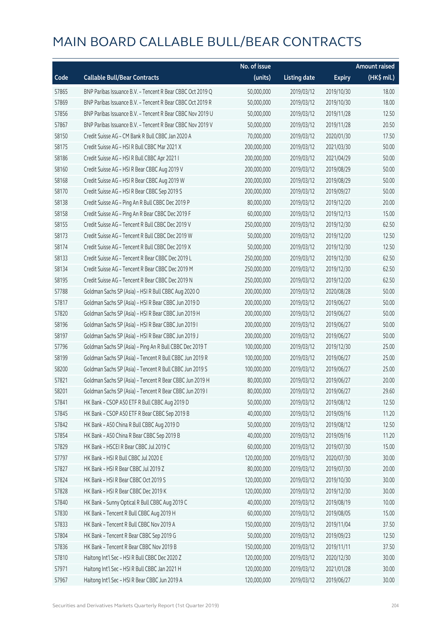|       |                                                            | No. of issue |                     |               | <b>Amount raised</b>  |
|-------|------------------------------------------------------------|--------------|---------------------|---------------|-----------------------|
| Code  | <b>Callable Bull/Bear Contracts</b>                        | (units)      | <b>Listing date</b> | <b>Expiry</b> | $(HK\frac{1}{2}mil.)$ |
| 57865 | BNP Paribas Issuance B.V. - Tencent R Bear CBBC Oct 2019 Q | 50,000,000   | 2019/03/12          | 2019/10/30    | 18.00                 |
| 57869 | BNP Paribas Issuance B.V. - Tencent R Bear CBBC Oct 2019 R | 50,000,000   | 2019/03/12          | 2019/10/30    | 18.00                 |
| 57856 | BNP Paribas Issuance B.V. - Tencent R Bear CBBC Nov 2019 U | 50,000,000   | 2019/03/12          | 2019/11/28    | 12.50                 |
| 57867 | BNP Paribas Issuance B.V. - Tencent R Bear CBBC Nov 2019 V | 50,000,000   | 2019/03/12          | 2019/11/28    | 20.50                 |
| 58150 | Credit Suisse AG - CM Bank R Bull CBBC Jan 2020 A          | 70,000,000   | 2019/03/12          | 2020/01/30    | 17.50                 |
| 58175 | Credit Suisse AG - HSI R Bull CBBC Mar 2021 X              | 200,000,000  | 2019/03/12          | 2021/03/30    | 50.00                 |
| 58186 | Credit Suisse AG - HSI R Bull CBBC Apr 2021 I              | 200,000,000  | 2019/03/12          | 2021/04/29    | 50.00                 |
| 58160 | Credit Suisse AG - HSI R Bear CBBC Aug 2019 V              | 200,000,000  | 2019/03/12          | 2019/08/29    | 50.00                 |
| 58168 | Credit Suisse AG - HSI R Bear CBBC Aug 2019 W              | 200,000,000  | 2019/03/12          | 2019/08/29    | 50.00                 |
| 58170 | Credit Suisse AG - HSI R Bear CBBC Sep 2019 S              | 200,000,000  | 2019/03/12          | 2019/09/27    | 50.00                 |
| 58138 | Credit Suisse AG - Ping An R Bull CBBC Dec 2019 P          | 80,000,000   | 2019/03/12          | 2019/12/20    | 20.00                 |
| 58158 | Credit Suisse AG - Ping An R Bear CBBC Dec 2019 F          | 60,000,000   | 2019/03/12          | 2019/12/13    | 15.00                 |
| 58155 | Credit Suisse AG - Tencent R Bull CBBC Dec 2019 V          | 250,000,000  | 2019/03/12          | 2019/12/30    | 62.50                 |
| 58173 | Credit Suisse AG - Tencent R Bull CBBC Dec 2019 W          | 50,000,000   | 2019/03/12          | 2019/12/20    | 12.50                 |
| 58174 | Credit Suisse AG - Tencent R Bull CBBC Dec 2019 X          | 50,000,000   | 2019/03/12          | 2019/12/30    | 12.50                 |
| 58133 | Credit Suisse AG - Tencent R Bear CBBC Dec 2019 L          | 250,000,000  | 2019/03/12          | 2019/12/30    | 62.50                 |
| 58134 | Credit Suisse AG - Tencent R Bear CBBC Dec 2019 M          | 250,000,000  | 2019/03/12          | 2019/12/30    | 62.50                 |
| 58195 | Credit Suisse AG - Tencent R Bear CBBC Dec 2019 N          | 250,000,000  | 2019/03/12          | 2019/12/20    | 62.50                 |
| 57788 | Goldman Sachs SP (Asia) - HSI R Bull CBBC Aug 2020 O       | 200,000,000  | 2019/03/12          | 2020/08/28    | 50.00                 |
| 57817 | Goldman Sachs SP (Asia) - HSI R Bear CBBC Jun 2019 D       | 200,000,000  | 2019/03/12          | 2019/06/27    | 50.00                 |
| 57820 | Goldman Sachs SP (Asia) - HSI R Bear CBBC Jun 2019 H       | 200,000,000  | 2019/03/12          | 2019/06/27    | 50.00                 |
| 58196 | Goldman Sachs SP (Asia) - HSI R Bear CBBC Jun 2019 I       | 200,000,000  | 2019/03/12          | 2019/06/27    | 50.00                 |
| 58197 | Goldman Sachs SP (Asia) - HSI R Bear CBBC Jun 2019 J       | 200,000,000  | 2019/03/12          | 2019/06/27    | 50.00                 |
| 57796 | Goldman Sachs SP (Asia) - Ping An R Bull CBBC Dec 2019 T   | 100,000,000  | 2019/03/12          | 2019/12/30    | 25.00                 |
| 58199 | Goldman Sachs SP (Asia) - Tencent R Bull CBBC Jun 2019 R   | 100,000,000  | 2019/03/12          | 2019/06/27    | 25.00                 |
| 58200 | Goldman Sachs SP (Asia) - Tencent R Bull CBBC Jun 2019 S   | 100,000,000  | 2019/03/12          | 2019/06/27    | 25.00                 |
| 57821 | Goldman Sachs SP (Asia) - Tencent R Bear CBBC Jun 2019 H   | 80,000,000   | 2019/03/12          | 2019/06/27    | 20.00                 |
| 58201 | Goldman Sachs SP (Asia) - Tencent R Bear CBBC Jun 2019 I   | 80,000,000   | 2019/03/12          | 2019/06/27    | 29.60                 |
| 57841 | HK Bank - CSOP A50 ETF R Bull CBBC Aug 2019 D              | 50,000,000   | 2019/03/12          | 2019/08/12    | 12.50                 |
| 57845 | HK Bank - CSOP A50 ETF R Bear CBBC Sep 2019 B              | 40,000,000   | 2019/03/12          | 2019/09/16    | 11.20                 |
| 57842 | HK Bank - A50 China R Bull CBBC Aug 2019 D                 | 50,000,000   | 2019/03/12          | 2019/08/12    | 12.50                 |
| 57854 | HK Bank - A50 China R Bear CBBC Sep 2019 B                 | 40,000,000   | 2019/03/12          | 2019/09/16    | 11.20                 |
| 57829 | HK Bank - HSCEI R Bear CBBC Jul 2019 C                     | 60,000,000   | 2019/03/12          | 2019/07/30    | 15.00                 |
| 57797 | HK Bank - HSI R Bull CBBC Jul 2020 E                       | 120,000,000  | 2019/03/12          | 2020/07/30    | 30.00                 |
| 57827 | HK Bank - HSI R Bear CBBC Jul 2019 Z                       | 80,000,000   | 2019/03/12          | 2019/07/30    | 20.00                 |
| 57824 | HK Bank - HSI R Bear CBBC Oct 2019 S                       | 120,000,000  | 2019/03/12          | 2019/10/30    | 30.00                 |
| 57828 | HK Bank - HSI R Bear CBBC Dec 2019 K                       | 120,000,000  | 2019/03/12          | 2019/12/30    | 30.00                 |
| 57840 | HK Bank - Sunny Optical R Bull CBBC Aug 2019 C             | 40,000,000   | 2019/03/12          | 2019/08/19    | 10.00                 |
| 57830 | HK Bank - Tencent R Bull CBBC Aug 2019 H                   | 60,000,000   | 2019/03/12          | 2019/08/05    | 15.00                 |
| 57833 | HK Bank - Tencent R Bull CBBC Nov 2019 A                   | 150,000,000  | 2019/03/12          | 2019/11/04    | 37.50                 |
| 57804 | HK Bank - Tencent R Bear CBBC Sep 2019 G                   | 50,000,000   | 2019/03/12          | 2019/09/23    | 12.50                 |
| 57836 | HK Bank - Tencent R Bear CBBC Nov 2019 B                   | 150,000,000  | 2019/03/12          | 2019/11/11    | 37.50                 |
| 57810 | Haitong Int'l Sec - HSI R Bull CBBC Dec 2020 Z             | 120,000,000  | 2019/03/12          | 2020/12/30    | 30.00                 |
| 57971 | Haitong Int'l Sec - HSI R Bull CBBC Jan 2021 H             | 120,000,000  | 2019/03/12          | 2021/01/28    | 30.00                 |
| 57967 | Haitong Int'l Sec - HSI R Bear CBBC Jun 2019 A             | 120,000,000  | 2019/03/12          | 2019/06/27    | 30.00                 |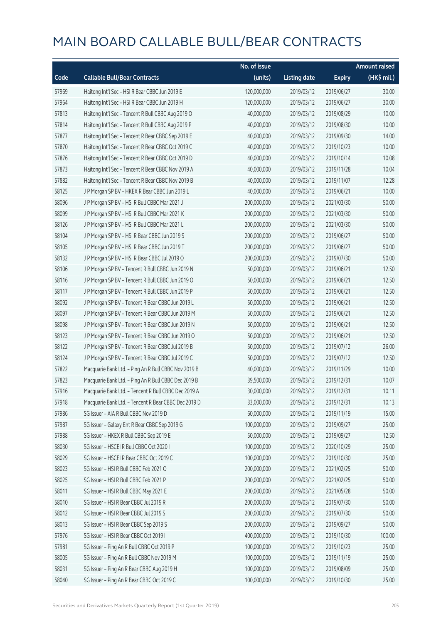|       |                                                      | No. of issue |                     |               | <b>Amount raised</b>  |
|-------|------------------------------------------------------|--------------|---------------------|---------------|-----------------------|
| Code  | <b>Callable Bull/Bear Contracts</b>                  | (units)      | <b>Listing date</b> | <b>Expiry</b> | $(HK\frac{1}{2}mil.)$ |
| 57969 | Haitong Int'l Sec - HSI R Bear CBBC Jun 2019 E       | 120,000,000  | 2019/03/12          | 2019/06/27    | 30.00                 |
| 57964 | Haitong Int'l Sec - HSI R Bear CBBC Jun 2019 H       | 120,000,000  | 2019/03/12          | 2019/06/27    | 30.00                 |
| 57813 | Haitong Int'l Sec - Tencent R Bull CBBC Aug 2019 O   | 40,000,000   | 2019/03/12          | 2019/08/29    | 10.00                 |
| 57814 | Haitong Int'l Sec - Tencent R Bull CBBC Aug 2019 P   | 40,000,000   | 2019/03/12          | 2019/08/30    | 10.00                 |
| 57877 | Haitong Int'l Sec - Tencent R Bear CBBC Sep 2019 E   | 40,000,000   | 2019/03/12          | 2019/09/30    | 14.00                 |
| 57870 | Haitong Int'l Sec - Tencent R Bear CBBC Oct 2019 C   | 40,000,000   | 2019/03/12          | 2019/10/23    | 10.00                 |
| 57876 | Haitong Int'l Sec - Tencent R Bear CBBC Oct 2019 D   | 40,000,000   | 2019/03/12          | 2019/10/14    | 10.08                 |
| 57873 | Haitong Int'l Sec - Tencent R Bear CBBC Nov 2019 A   | 40,000,000   | 2019/03/12          | 2019/11/28    | 10.04                 |
| 57882 | Haitong Int'l Sec - Tencent R Bear CBBC Nov 2019 B   | 40,000,000   | 2019/03/12          | 2019/11/07    | 12.28                 |
| 58125 | JP Morgan SP BV - HKEX R Bear CBBC Jun 2019 L        | 40,000,000   | 2019/03/12          | 2019/06/21    | 10.00                 |
| 58096 | J P Morgan SP BV - HSI R Bull CBBC Mar 2021 J        | 200,000,000  | 2019/03/12          | 2021/03/30    | 50.00                 |
| 58099 | J P Morgan SP BV - HSI R Bull CBBC Mar 2021 K        | 200,000,000  | 2019/03/12          | 2021/03/30    | 50.00                 |
| 58126 | J P Morgan SP BV - HSI R Bull CBBC Mar 2021 L        | 200,000,000  | 2019/03/12          | 2021/03/30    | 50.00                 |
| 58104 | J P Morgan SP BV - HSI R Bear CBBC Jun 2019 S        | 200,000,000  | 2019/03/12          | 2019/06/27    | 50.00                 |
| 58105 | J P Morgan SP BV - HSI R Bear CBBC Jun 2019 T        | 200,000,000  | 2019/03/12          | 2019/06/27    | 50.00                 |
| 58132 | J P Morgan SP BV - HSI R Bear CBBC Jul 2019 O        | 200,000,000  | 2019/03/12          | 2019/07/30    | 50.00                 |
| 58106 | J P Morgan SP BV - Tencent R Bull CBBC Jun 2019 N    | 50,000,000   | 2019/03/12          | 2019/06/21    | 12.50                 |
| 58116 | J P Morgan SP BV - Tencent R Bull CBBC Jun 2019 O    | 50,000,000   | 2019/03/12          | 2019/06/21    | 12.50                 |
| 58117 | J P Morgan SP BV - Tencent R Bull CBBC Jun 2019 P    | 50,000,000   | 2019/03/12          | 2019/06/21    | 12.50                 |
| 58092 | J P Morgan SP BV - Tencent R Bear CBBC Jun 2019 L    | 50,000,000   | 2019/03/12          | 2019/06/21    | 12.50                 |
| 58097 | J P Morgan SP BV - Tencent R Bear CBBC Jun 2019 M    | 50,000,000   | 2019/03/12          | 2019/06/21    | 12.50                 |
| 58098 | J P Morgan SP BV - Tencent R Bear CBBC Jun 2019 N    | 50,000,000   | 2019/03/12          | 2019/06/21    | 12.50                 |
| 58123 | J P Morgan SP BV - Tencent R Bear CBBC Jun 2019 O    | 50,000,000   | 2019/03/12          | 2019/06/21    | 12.50                 |
| 58122 | J P Morgan SP BV - Tencent R Bear CBBC Jul 2019 B    | 50,000,000   | 2019/03/12          | 2019/07/12    | 26.00                 |
| 58124 | J P Morgan SP BV - Tencent R Bear CBBC Jul 2019 C    | 50,000,000   | 2019/03/12          | 2019/07/12    | 12.50                 |
| 57822 | Macquarie Bank Ltd. - Ping An R Bull CBBC Nov 2019 B | 40,000,000   | 2019/03/12          | 2019/11/29    | 10.00                 |
| 57823 | Macquarie Bank Ltd. - Ping An R Bull CBBC Dec 2019 B | 39,500,000   | 2019/03/12          | 2019/12/31    | 10.07                 |
| 57916 | Macquarie Bank Ltd. - Tencent R Bull CBBC Dec 2019 A | 30,000,000   | 2019/03/12          | 2019/12/31    | 10.11                 |
| 57918 | Macquarie Bank Ltd. - Tencent R Bear CBBC Dec 2019 D | 33,000,000   | 2019/03/12          | 2019/12/31    | 10.13                 |
| 57986 | SG Issuer - AIA R Bull CBBC Nov 2019 D               | 60,000,000   | 2019/03/12          | 2019/11/19    | 15.00                 |
| 57987 | SG Issuer - Galaxy Ent R Bear CBBC Sep 2019 G        | 100,000,000  | 2019/03/12          | 2019/09/27    | 25.00                 |
| 57988 | SG Issuer - HKEX R Bull CBBC Sep 2019 E              | 50,000,000   | 2019/03/12          | 2019/09/27    | 12.50                 |
| 58030 | SG Issuer - HSCEI R Bull CBBC Oct 2020 I             | 100,000,000  | 2019/03/12          | 2020/10/29    | 25.00                 |
| 58029 | SG Issuer - HSCEI R Bear CBBC Oct 2019 C             | 100,000,000  | 2019/03/12          | 2019/10/30    | 25.00                 |
| 58023 | SG Issuer - HSI R Bull CBBC Feb 2021 O               | 200,000,000  | 2019/03/12          | 2021/02/25    | 50.00                 |
| 58025 | SG Issuer - HSI R Bull CBBC Feb 2021 P               | 200,000,000  | 2019/03/12          | 2021/02/25    | 50.00                 |
| 58011 | SG Issuer - HSI R Bull CBBC May 2021 E               | 200,000,000  | 2019/03/12          | 2021/05/28    | 50.00                 |
| 58010 | SG Issuer - HSI R Bear CBBC Jul 2019 R               | 200,000,000  | 2019/03/12          | 2019/07/30    | 50.00                 |
| 58012 | SG Issuer - HSI R Bear CBBC Jul 2019 S               | 200,000,000  | 2019/03/12          | 2019/07/30    | 50.00                 |
| 58013 | SG Issuer - HSI R Bear CBBC Sep 2019 S               | 200,000,000  | 2019/03/12          | 2019/09/27    | 50.00                 |
| 57976 | SG Issuer - HSI R Bear CBBC Oct 2019 I               | 400,000,000  | 2019/03/12          | 2019/10/30    | 100.00                |
| 57981 | SG Issuer - Ping An R Bull CBBC Oct 2019 P           | 100,000,000  | 2019/03/12          | 2019/10/23    | 25.00                 |
| 58005 | SG Issuer - Ping An R Bull CBBC Nov 2019 M           | 100,000,000  | 2019/03/12          | 2019/11/19    | 25.00                 |
| 58031 | SG Issuer - Ping An R Bear CBBC Aug 2019 H           | 100,000,000  | 2019/03/12          | 2019/08/09    | 25.00                 |
| 58040 | SG Issuer - Ping An R Bear CBBC Oct 2019 C           | 100,000,000  | 2019/03/12          | 2019/10/30    | 25.00                 |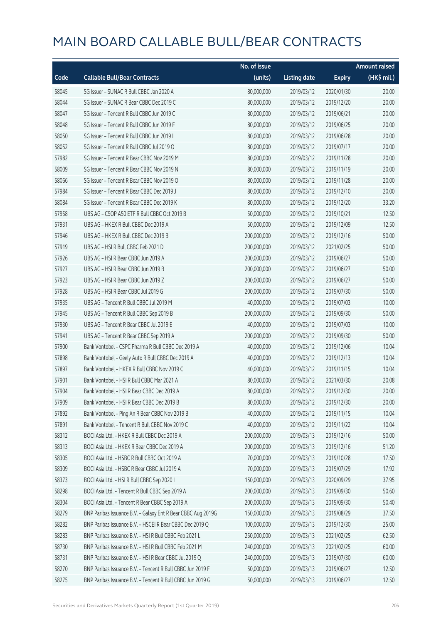|       |                                                              | No. of issue |                     |               | <b>Amount raised</b> |
|-------|--------------------------------------------------------------|--------------|---------------------|---------------|----------------------|
| Code  | <b>Callable Bull/Bear Contracts</b>                          | (units)      | <b>Listing date</b> | <b>Expiry</b> | (HK\$ mil.)          |
| 58045 | SG Issuer - SUNAC R Bull CBBC Jan 2020 A                     | 80,000,000   | 2019/03/12          | 2020/01/30    | 20.00                |
| 58044 | SG Issuer - SUNAC R Bear CBBC Dec 2019 C                     | 80,000,000   | 2019/03/12          | 2019/12/20    | 20.00                |
| 58047 | SG Issuer - Tencent R Bull CBBC Jun 2019 C                   | 80,000,000   | 2019/03/12          | 2019/06/21    | 20.00                |
| 58048 | SG Issuer - Tencent R Bull CBBC Jun 2019 F                   | 80,000,000   | 2019/03/12          | 2019/06/25    | 20.00                |
| 58050 | SG Issuer - Tencent R Bull CBBC Jun 2019 I                   | 80,000,000   | 2019/03/12          | 2019/06/28    | 20.00                |
| 58052 | SG Issuer - Tencent R Bull CBBC Jul 2019 O                   | 80,000,000   | 2019/03/12          | 2019/07/17    | 20.00                |
| 57982 | SG Issuer - Tencent R Bear CBBC Nov 2019 M                   | 80,000,000   | 2019/03/12          | 2019/11/28    | 20.00                |
| 58009 | SG Issuer - Tencent R Bear CBBC Nov 2019 N                   | 80,000,000   | 2019/03/12          | 2019/11/19    | 20.00                |
| 58066 | SG Issuer - Tencent R Bear CBBC Nov 2019 O                   | 80,000,000   | 2019/03/12          | 2019/11/28    | 20.00                |
| 57984 | SG Issuer - Tencent R Bear CBBC Dec 2019 J                   | 80,000,000   | 2019/03/12          | 2019/12/10    | 20.00                |
| 58084 | SG Issuer - Tencent R Bear CBBC Dec 2019 K                   | 80,000,000   | 2019/03/12          | 2019/12/20    | 33.20                |
| 57958 | UBS AG - CSOP A50 ETF R Bull CBBC Oct 2019 B                 | 50,000,000   | 2019/03/12          | 2019/10/21    | 12.50                |
| 57931 | UBS AG - HKEX R Bull CBBC Dec 2019 A                         | 50,000,000   | 2019/03/12          | 2019/12/09    | 12.50                |
| 57946 | UBS AG - HKEX R Bull CBBC Dec 2019 B                         | 200,000,000  | 2019/03/12          | 2019/12/16    | 50.00                |
| 57919 | UBS AG - HSI R Bull CBBC Feb 2021 D                          | 200,000,000  | 2019/03/12          | 2021/02/25    | 50.00                |
| 57926 | UBS AG - HSI R Bear CBBC Jun 2019 A                          | 200,000,000  | 2019/03/12          | 2019/06/27    | 50.00                |
| 57927 | UBS AG - HSI R Bear CBBC Jun 2019 B                          | 200,000,000  | 2019/03/12          | 2019/06/27    | 50.00                |
| 57923 | UBS AG - HSI R Bear CBBC Jun 2019 Z                          | 200,000,000  | 2019/03/12          | 2019/06/27    | 50.00                |
| 57928 | UBS AG - HSI R Bear CBBC Jul 2019 G                          | 200,000,000  | 2019/03/12          | 2019/07/30    | 50.00                |
| 57935 | UBS AG - Tencent R Bull CBBC Jul 2019 M                      | 40,000,000   | 2019/03/12          | 2019/07/03    | 10.00                |
| 57945 | UBS AG - Tencent R Bull CBBC Sep 2019 B                      | 200,000,000  | 2019/03/12          | 2019/09/30    | 50.00                |
| 57930 | UBS AG - Tencent R Bear CBBC Jul 2019 E                      | 40,000,000   | 2019/03/12          | 2019/07/03    | 10.00                |
| 57941 | UBS AG - Tencent R Bear CBBC Sep 2019 A                      | 200,000,000  | 2019/03/12          | 2019/09/30    | 50.00                |
| 57900 | Bank Vontobel - CSPC Pharma R Bull CBBC Dec 2019 A           | 40,000,000   | 2019/03/12          | 2019/12/06    | 10.04                |
| 57898 | Bank Vontobel - Geely Auto R Bull CBBC Dec 2019 A            | 40,000,000   | 2019/03/12          | 2019/12/13    | 10.04                |
| 57897 | Bank Vontobel - HKEX R Bull CBBC Nov 2019 C                  | 40,000,000   | 2019/03/12          | 2019/11/15    | 10.04                |
| 57901 | Bank Vontobel - HSI R Bull CBBC Mar 2021 A                   | 80,000,000   | 2019/03/12          | 2021/03/30    | 20.08                |
| 57904 | Bank Vontobel - HSI R Bear CBBC Dec 2019 A                   | 80,000,000   | 2019/03/12          | 2019/12/30    | 20.00                |
| 57909 | Bank Vontobel - HSI R Bear CBBC Dec 2019 B                   | 80,000,000   | 2019/03/12          | 2019/12/30    | 20.00                |
| 57892 | Bank Vontobel - Ping An R Bear CBBC Nov 2019 B               | 40,000,000   | 2019/03/12          | 2019/11/15    | 10.04                |
| 57891 | Bank Vontobel - Tencent R Bull CBBC Nov 2019 C               | 40,000,000   | 2019/03/12          | 2019/11/22    | 10.04                |
| 58312 | BOCI Asia Ltd. - HKEX R Bull CBBC Dec 2019 A                 | 200,000,000  | 2019/03/13          | 2019/12/16    | 50.00                |
| 58313 | BOCI Asia Ltd. - HKEX R Bear CBBC Dec 2019 A                 | 200,000,000  | 2019/03/13          | 2019/12/16    | 51.20                |
| 58305 | BOCI Asia Ltd. - HSBC R Bull CBBC Oct 2019 A                 | 70,000,000   | 2019/03/13          | 2019/10/28    | 17.50                |
| 58309 | BOCI Asia Ltd. - HSBC R Bear CBBC Jul 2019 A                 | 70,000,000   | 2019/03/13          | 2019/07/29    | 17.92                |
| 58373 | BOCI Asia Ltd. - HSI R Bull CBBC Sep 2020 I                  | 150,000,000  | 2019/03/13          | 2020/09/29    | 37.95                |
| 58298 | BOCI Asia Ltd. - Tencent R Bull CBBC Sep 2019 A              | 200,000,000  | 2019/03/13          | 2019/09/30    | 50.60                |
| 58304 | BOCI Asia Ltd. - Tencent R Bear CBBC Sep 2019 A              | 200,000,000  | 2019/03/13          | 2019/09/30    | 50.40                |
| 58279 | BNP Paribas Issuance B.V. - Galaxy Ent R Bear CBBC Aug 2019G | 150,000,000  | 2019/03/13          | 2019/08/29    | 37.50                |
| 58282 | BNP Paribas Issuance B.V. - HSCEI R Bear CBBC Dec 2019 Q     | 100,000,000  | 2019/03/13          | 2019/12/30    | 25.00                |
| 58283 | BNP Paribas Issuance B.V. - HSI R Bull CBBC Feb 2021 L       | 250,000,000  | 2019/03/13          | 2021/02/25    | 62.50                |
| 58730 | BNP Paribas Issuance B.V. - HSI R Bull CBBC Feb 2021 M       | 240,000,000  | 2019/03/13          | 2021/02/25    | 60.00                |
| 58731 | BNP Paribas Issuance B.V. - HSI R Bear CBBC Jul 2019 Q       | 240,000,000  | 2019/03/13          | 2019/07/30    | 60.00                |
| 58270 | BNP Paribas Issuance B.V. - Tencent R Bull CBBC Jun 2019 F   | 50,000,000   | 2019/03/13          | 2019/06/27    | 12.50                |
| 58275 | BNP Paribas Issuance B.V. - Tencent R Bull CBBC Jun 2019 G   | 50,000,000   | 2019/03/13          | 2019/06/27    | 12.50                |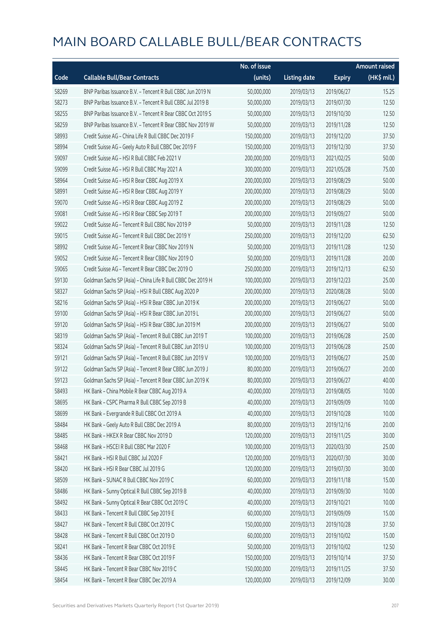|       |                                                             | No. of issue |                     |               | <b>Amount raised</b> |
|-------|-------------------------------------------------------------|--------------|---------------------|---------------|----------------------|
| Code  | <b>Callable Bull/Bear Contracts</b>                         | (units)      | <b>Listing date</b> | <b>Expiry</b> | (HK\$ mil.)          |
| 58269 | BNP Paribas Issuance B.V. - Tencent R Bull CBBC Jun 2019 N  | 50,000,000   | 2019/03/13          | 2019/06/27    | 15.25                |
| 58273 | BNP Paribas Issuance B.V. - Tencent R Bull CBBC Jul 2019 B  | 50,000,000   | 2019/03/13          | 2019/07/30    | 12.50                |
| 58255 | BNP Paribas Issuance B.V. - Tencent R Bear CBBC Oct 2019 S  | 50,000,000   | 2019/03/13          | 2019/10/30    | 12.50                |
| 58259 | BNP Paribas Issuance B.V. - Tencent R Bear CBBC Nov 2019 W  | 50,000,000   | 2019/03/13          | 2019/11/28    | 12.50                |
| 58993 | Credit Suisse AG - China Life R Bull CBBC Dec 2019 F        | 150,000,000  | 2019/03/13          | 2019/12/20    | 37.50                |
| 58994 | Credit Suisse AG - Geely Auto R Bull CBBC Dec 2019 F        | 150,000,000  | 2019/03/13          | 2019/12/30    | 37.50                |
| 59097 | Credit Suisse AG - HSI R Bull CBBC Feb 2021 V               | 200,000,000  | 2019/03/13          | 2021/02/25    | 50.00                |
| 59099 | Credit Suisse AG - HSI R Bull CBBC May 2021 A               | 300,000,000  | 2019/03/13          | 2021/05/28    | 75.00                |
| 58964 | Credit Suisse AG - HSI R Bear CBBC Aug 2019 X               | 200,000,000  | 2019/03/13          | 2019/08/29    | 50.00                |
| 58991 | Credit Suisse AG - HSI R Bear CBBC Aug 2019 Y               | 200,000,000  | 2019/03/13          | 2019/08/29    | 50.00                |
| 59070 | Credit Suisse AG - HSI R Bear CBBC Aug 2019 Z               | 200,000,000  | 2019/03/13          | 2019/08/29    | 50.00                |
| 59081 | Credit Suisse AG - HSI R Bear CBBC Sep 2019 T               | 200,000,000  | 2019/03/13          | 2019/09/27    | 50.00                |
| 59022 | Credit Suisse AG - Tencent R Bull CBBC Nov 2019 P           | 50,000,000   | 2019/03/13          | 2019/11/28    | 12.50                |
| 59015 | Credit Suisse AG - Tencent R Bull CBBC Dec 2019 Y           | 250,000,000  | 2019/03/13          | 2019/12/20    | 62.50                |
| 58992 | Credit Suisse AG - Tencent R Bear CBBC Nov 2019 N           | 50,000,000   | 2019/03/13          | 2019/11/28    | 12.50                |
| 59052 | Credit Suisse AG - Tencent R Bear CBBC Nov 2019 O           | 50,000,000   | 2019/03/13          | 2019/11/28    | 20.00                |
| 59065 | Credit Suisse AG - Tencent R Bear CBBC Dec 2019 O           | 250,000,000  | 2019/03/13          | 2019/12/13    | 62.50                |
| 59130 | Goldman Sachs SP (Asia) - China Life R Bull CBBC Dec 2019 H | 100,000,000  | 2019/03/13          | 2019/12/23    | 25.00                |
| 58327 | Goldman Sachs SP (Asia) - HSI R Bull CBBC Aug 2020 P        | 200,000,000  | 2019/03/13          | 2020/08/28    | 50.00                |
| 58216 | Goldman Sachs SP (Asia) - HSI R Bear CBBC Jun 2019 K        | 200,000,000  | 2019/03/13          | 2019/06/27    | 50.00                |
| 59100 | Goldman Sachs SP (Asia) - HSI R Bear CBBC Jun 2019 L        | 200,000,000  | 2019/03/13          | 2019/06/27    | 50.00                |
| 59120 | Goldman Sachs SP (Asia) - HSI R Bear CBBC Jun 2019 M        | 200,000,000  | 2019/03/13          | 2019/06/27    | 50.00                |
| 58319 | Goldman Sachs SP (Asia) - Tencent R Bull CBBC Jun 2019 T    | 100,000,000  | 2019/03/13          | 2019/06/28    | 25.00                |
| 58324 | Goldman Sachs SP (Asia) - Tencent R Bull CBBC Jun 2019 U    | 100,000,000  | 2019/03/13          | 2019/06/28    | 25.00                |
| 59121 | Goldman Sachs SP (Asia) - Tencent R Bull CBBC Jun 2019 V    | 100,000,000  | 2019/03/13          | 2019/06/27    | 25.00                |
| 59122 | Goldman Sachs SP (Asia) - Tencent R Bear CBBC Jun 2019 J    | 80,000,000   | 2019/03/13          | 2019/06/27    | 20.00                |
| 59123 | Goldman Sachs SP (Asia) - Tencent R Bear CBBC Jun 2019 K    | 80,000,000   | 2019/03/13          | 2019/06/27    | 40.00                |
| 58493 | HK Bank - China Mobile R Bear CBBC Aug 2019 A               | 40,000,000   | 2019/03/13          | 2019/08/05    | 10.00                |
| 58695 | HK Bank - CSPC Pharma R Bull CBBC Sep 2019 B                | 40,000,000   | 2019/03/13          | 2019/09/09    | 10.00                |
| 58699 | HK Bank - Evergrande R Bull CBBC Oct 2019 A                 | 40,000,000   | 2019/03/13          | 2019/10/28    | 10.00                |
| 58484 | HK Bank - Geely Auto R Bull CBBC Dec 2019 A                 | 80,000,000   | 2019/03/13          | 2019/12/16    | 20.00                |
| 58485 | HK Bank - HKEX R Bear CBBC Nov 2019 D                       | 120,000,000  | 2019/03/13          | 2019/11/25    | 30.00                |
| 58468 | HK Bank - HSCEI R Bull CBBC Mar 2020 F                      | 100,000,000  | 2019/03/13          | 2020/03/30    | 25.00                |
| 58421 | HK Bank - HSI R Bull CBBC Jul 2020 F                        | 120,000,000  | 2019/03/13          | 2020/07/30    | 30.00                |
| 58420 | HK Bank - HSI R Bear CBBC Jul 2019 G                        | 120,000,000  | 2019/03/13          | 2019/07/30    | 30.00                |
| 58509 | HK Bank - SUNAC R Bull CBBC Nov 2019 C                      | 60,000,000   | 2019/03/13          | 2019/11/18    | 15.00                |
| 58486 | HK Bank - Sunny Optical R Bull CBBC Sep 2019 B              | 40,000,000   | 2019/03/13          | 2019/09/30    | 10.00                |
| 58492 | HK Bank - Sunny Optical R Bear CBBC Oct 2019 C              | 40,000,000   | 2019/03/13          | 2019/10/21    | 10.00                |
| 58433 | HK Bank - Tencent R Bull CBBC Sep 2019 E                    | 60,000,000   | 2019/03/13          | 2019/09/09    | 15.00                |
| 58427 | HK Bank - Tencent R Bull CBBC Oct 2019 C                    | 150,000,000  | 2019/03/13          | 2019/10/28    | 37.50                |
| 58428 | HK Bank - Tencent R Bull CBBC Oct 2019 D                    | 60,000,000   | 2019/03/13          | 2019/10/02    | 15.00                |
| 58241 | HK Bank - Tencent R Bear CBBC Oct 2019 E                    | 50,000,000   | 2019/03/13          | 2019/10/02    | 12.50                |
| 58436 | HK Bank - Tencent R Bear CBBC Oct 2019 F                    | 150,000,000  | 2019/03/13          | 2019/10/14    | 37.50                |
| 58445 | HK Bank - Tencent R Bear CBBC Nov 2019 C                    | 150,000,000  | 2019/03/13          | 2019/11/25    | 37.50                |
| 58454 | HK Bank - Tencent R Bear CBBC Dec 2019 A                    | 120,000,000  | 2019/03/13          | 2019/12/09    | 30.00                |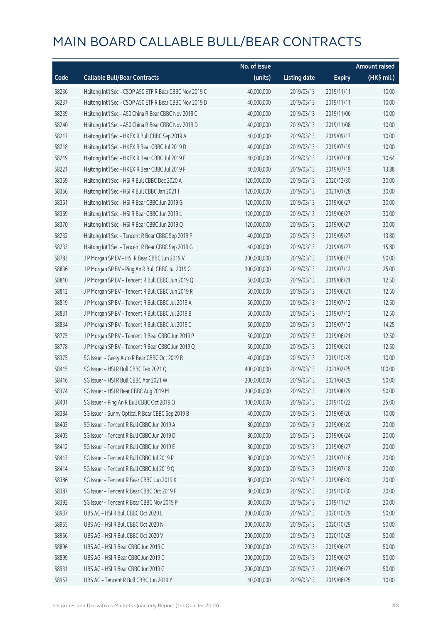|       |                                                         | No. of issue |                     |               | Amount raised |
|-------|---------------------------------------------------------|--------------|---------------------|---------------|---------------|
| Code  | <b>Callable Bull/Bear Contracts</b>                     | (units)      | <b>Listing date</b> | <b>Expiry</b> | (HK\$ mil.)   |
| 58236 | Haitong Int'l Sec - CSOP A50 ETF R Bear CBBC Nov 2019 C | 40,000,000   | 2019/03/13          | 2019/11/11    | 10.00         |
| 58237 | Haitong Int'l Sec - CSOP A50 ETF R Bear CBBC Nov 2019 D | 40,000,000   | 2019/03/13          | 2019/11/11    | 10.00         |
| 58239 | Haitong Int'l Sec - A50 China R Bear CBBC Nov 2019 C    | 40,000,000   | 2019/03/13          | 2019/11/06    | 10.00         |
| 58240 | Haitong Int'l Sec - A50 China R Bear CBBC Nov 2019 D    | 40,000,000   | 2019/03/13          | 2019/11/08    | 10.00         |
| 58217 | Haitong Int'l Sec - HKEX R Bull CBBC Sep 2019 A         | 40,000,000   | 2019/03/13          | 2019/09/17    | 10.00         |
| 58218 | Haitong Int'l Sec - HKEX R Bear CBBC Jul 2019 D         | 40,000,000   | 2019/03/13          | 2019/07/19    | 10.00         |
| 58219 | Haitong Int'l Sec - HKEX R Bear CBBC Jul 2019 E         | 40,000,000   | 2019/03/13          | 2019/07/18    | 10.64         |
| 58221 | Haitong Int'l Sec - HKEX R Bear CBBC Jul 2019 F         | 40,000,000   | 2019/03/13          | 2019/07/19    | 13.88         |
| 58359 | Haitong Int'l Sec - HSI R Bull CBBC Dec 2020 A          | 120,000,000  | 2019/03/13          | 2020/12/30    | 30.00         |
| 58356 | Haitong Int'l Sec - HSI R Bull CBBC Jan 2021 I          | 120,000,000  | 2019/03/13          | 2021/01/28    | 30.00         |
| 58361 | Haitong Int'l Sec - HSI R Bear CBBC Jun 2019 G          | 120,000,000  | 2019/03/13          | 2019/06/27    | 30.00         |
| 58369 | Haitong Int'l Sec - HSI R Bear CBBC Jun 2019 L          | 120,000,000  | 2019/03/13          | 2019/06/27    | 30.00         |
| 58370 | Haitong Int'l Sec - HSI R Bear CBBC Jun 2019 Q          | 120,000,000  | 2019/03/13          | 2019/06/27    | 30.00         |
| 58232 | Haitong Int'l Sec - Tencent R Bear CBBC Sep 2019 F      | 40,000,000   | 2019/03/13          | 2019/09/27    | 13.80         |
| 58233 | Haitong Int'l Sec - Tencent R Bear CBBC Sep 2019 G      | 40,000,000   | 2019/03/13          | 2019/09/27    | 15.80         |
| 58783 | J P Morgan SP BV - HSI R Bear CBBC Jun 2019 V           | 200,000,000  | 2019/03/13          | 2019/06/27    | 50.00         |
| 58836 | J P Morgan SP BV - Ping An R Bull CBBC Jul 2019 C       | 100,000,000  | 2019/03/13          | 2019/07/12    | 25.00         |
| 58810 | J P Morgan SP BV - Tencent R Bull CBBC Jun 2019 Q       | 50,000,000   | 2019/03/13          | 2019/06/21    | 12.50         |
| 58812 | J P Morgan SP BV - Tencent R Bull CBBC Jun 2019 R       | 50,000,000   | 2019/03/13          | 2019/06/21    | 12.50         |
| 58819 | J P Morgan SP BV - Tencent R Bull CBBC Jul 2019 A       | 50,000,000   | 2019/03/13          | 2019/07/12    | 12.50         |
| 58831 | J P Morgan SP BV - Tencent R Bull CBBC Jul 2019 B       | 50,000,000   | 2019/03/13          | 2019/07/12    | 12.50         |
| 58834 | J P Morgan SP BV - Tencent R Bull CBBC Jul 2019 C       | 50,000,000   | 2019/03/13          | 2019/07/12    | 14.25         |
| 58775 | J P Morgan SP BV - Tencent R Bear CBBC Jun 2019 P       | 50,000,000   | 2019/03/13          | 2019/06/21    | 12.50         |
| 58778 | J P Morgan SP BV - Tencent R Bear CBBC Jun 2019 Q       | 50,000,000   | 2019/03/13          | 2019/06/21    | 12.50         |
| 58375 | SG Issuer - Geely Auto R Bear CBBC Oct 2019 B           | 40,000,000   | 2019/03/13          | 2019/10/29    | 10.00         |
| 58415 | SG Issuer - HSI R Bull CBBC Feb 2021 Q                  | 400,000,000  | 2019/03/13          | 2021/02/25    | 100.00        |
| 58416 | SG Issuer - HSI R Bull CBBC Apr 2021 W                  | 200,000,000  | 2019/03/13          | 2021/04/29    | 50.00         |
| 58374 | SG Issuer - HSI R Bear CBBC Aug 2019 M                  | 200,000,000  | 2019/03/13          | 2019/08/29    | 50.00         |
| 58401 | SG Issuer - Ping An R Bull CBBC Oct 2019 Q              | 100,000,000  | 2019/03/13          | 2019/10/22    | 25.00         |
| 58384 | SG Issuer - Sunny Optical R Bear CBBC Sep 2019 B        | 40,000,000   | 2019/03/13          | 2019/09/26    | 10.00         |
| 58403 | SG Issuer - Tencent R Bull CBBC Jun 2019 A              | 80,000,000   | 2019/03/13          | 2019/06/20    | 20.00         |
| 58405 | SG Issuer - Tencent R Bull CBBC Jun 2019 D              | 80,000,000   | 2019/03/13          | 2019/06/24    | 20.00         |
| 58412 | SG Issuer - Tencent R Bull CBBC Jun 2019 E              | 80,000,000   | 2019/03/13          | 2019/06/27    | 20.00         |
| 58413 | SG Issuer - Tencent R Bull CBBC Jul 2019 P              | 80,000,000   | 2019/03/13          | 2019/07/16    | 20.00         |
| 58414 | SG Issuer - Tencent R Bull CBBC Jul 2019 Q              | 80,000,000   | 2019/03/13          | 2019/07/18    | 20.00         |
| 58386 | SG Issuer - Tencent R Bear CBBC Jun 2019 K              | 80,000,000   | 2019/03/13          | 2019/06/20    | 20.00         |
| 58387 | SG Issuer - Tencent R Bear CBBC Oct 2019 F              | 80,000,000   | 2019/03/13          | 2019/10/30    | 20.00         |
| 58392 | SG Issuer - Tencent R Bear CBBC Nov 2019 P              | 80,000,000   | 2019/03/13          | 2019/11/27    | 20.00         |
| 58937 | UBS AG - HSI R Bull CBBC Oct 2020 L                     | 200,000,000  | 2019/03/13          | 2020/10/29    | 50.00         |
| 58955 | UBS AG - HSI R Bull CBBC Oct 2020 N                     | 200,000,000  | 2019/03/13          | 2020/10/29    | 50.00         |
| 58956 | UBS AG - HSI R Bull CBBC Oct 2020 V                     | 200,000,000  | 2019/03/13          | 2020/10/29    | 50.00         |
| 58896 | UBS AG - HSI R Bear CBBC Jun 2019 C                     | 200,000,000  | 2019/03/13          | 2019/06/27    | 50.00         |
| 58899 | UBS AG - HSI R Bear CBBC Jun 2019 D                     | 200,000,000  | 2019/03/13          | 2019/06/27    | 50.00         |
| 58931 | UBS AG - HSI R Bear CBBC Jun 2019 G                     | 200,000,000  | 2019/03/13          | 2019/06/27    | 50.00         |
| 58957 | UBS AG - Tencent R Bull CBBC Jun 2019 Y                 | 40,000,000   | 2019/03/13          | 2019/06/25    | 10.00         |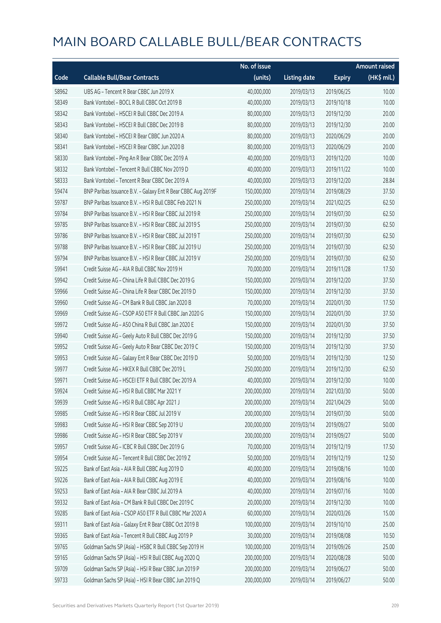|       |                                                              | No. of issue |                     |               | <b>Amount raised</b> |
|-------|--------------------------------------------------------------|--------------|---------------------|---------------|----------------------|
| Code  | <b>Callable Bull/Bear Contracts</b>                          | (units)      | <b>Listing date</b> | <b>Expiry</b> | (HK\$ mil.)          |
| 58962 | UBS AG - Tencent R Bear CBBC Jun 2019 X                      | 40,000,000   | 2019/03/13          | 2019/06/25    | 10.00                |
| 58349 | Bank Vontobel - BOCL R Bull CBBC Oct 2019 B                  | 40,000,000   | 2019/03/13          | 2019/10/18    | 10.00                |
| 58342 | Bank Vontobel - HSCEI R Bull CBBC Dec 2019 A                 | 80,000,000   | 2019/03/13          | 2019/12/30    | 20.00                |
| 58343 | Bank Vontobel - HSCEI R Bull CBBC Dec 2019 B                 | 80,000,000   | 2019/03/13          | 2019/12/30    | 20.00                |
| 58340 | Bank Vontobel - HSCEI R Bear CBBC Jun 2020 A                 | 80,000,000   | 2019/03/13          | 2020/06/29    | 20.00                |
| 58341 | Bank Vontobel - HSCEI R Bear CBBC Jun 2020 B                 | 80,000,000   | 2019/03/13          | 2020/06/29    | 20.00                |
| 58330 | Bank Vontobel - Ping An R Bear CBBC Dec 2019 A               | 40,000,000   | 2019/03/13          | 2019/12/20    | 10.00                |
| 58332 | Bank Vontobel - Tencent R Bull CBBC Nov 2019 D               | 40,000,000   | 2019/03/13          | 2019/11/22    | 10.00                |
| 58333 | Bank Vontobel - Tencent R Bear CBBC Dec 2019 A               | 40,000,000   | 2019/03/13          | 2019/12/20    | 28.84                |
| 59474 | BNP Paribas Issuance B.V. - Galaxy Ent R Bear CBBC Aug 2019F | 150,000,000  | 2019/03/14          | 2019/08/29    | 37.50                |
| 59787 | BNP Paribas Issuance B.V. - HSI R Bull CBBC Feb 2021 N       | 250,000,000  | 2019/03/14          | 2021/02/25    | 62.50                |
| 59784 | BNP Paribas Issuance B.V. - HSI R Bear CBBC Jul 2019 R       | 250,000,000  | 2019/03/14          | 2019/07/30    | 62.50                |
| 59785 | BNP Paribas Issuance B.V. - HSI R Bear CBBC Jul 2019 S       | 250,000,000  | 2019/03/14          | 2019/07/30    | 62.50                |
| 59786 | BNP Paribas Issuance B.V. - HSI R Bear CBBC Jul 2019 T       | 250,000,000  | 2019/03/14          | 2019/07/30    | 62.50                |
| 59788 | BNP Paribas Issuance B.V. - HSI R Bear CBBC Jul 2019 U       | 250,000,000  | 2019/03/14          | 2019/07/30    | 62.50                |
| 59794 | BNP Paribas Issuance B.V. - HSI R Bear CBBC Jul 2019 V       | 250,000,000  | 2019/03/14          | 2019/07/30    | 62.50                |
| 59941 | Credit Suisse AG - AIA R Bull CBBC Nov 2019 H                | 70,000,000   | 2019/03/14          | 2019/11/28    | 17.50                |
| 59942 | Credit Suisse AG - China Life R Bull CBBC Dec 2019 G         | 150,000,000  | 2019/03/14          | 2019/12/20    | 37.50                |
| 59966 | Credit Suisse AG - China Life R Bear CBBC Dec 2019 D         | 150,000,000  | 2019/03/14          | 2019/12/30    | 37.50                |
| 59960 | Credit Suisse AG - CM Bank R Bull CBBC Jan 2020 B            | 70,000,000   | 2019/03/14          | 2020/01/30    | 17.50                |
| 59969 | Credit Suisse AG - CSOP A50 ETF R Bull CBBC Jan 2020 G       | 150,000,000  | 2019/03/14          | 2020/01/30    | 37.50                |
| 59972 | Credit Suisse AG - A50 China R Bull CBBC Jan 2020 E          | 150,000,000  | 2019/03/14          | 2020/01/30    | 37.50                |
| 59940 | Credit Suisse AG - Geely Auto R Bull CBBC Dec 2019 G         | 150,000,000  | 2019/03/14          | 2019/12/30    | 37.50                |
| 59952 | Credit Suisse AG - Geely Auto R Bear CBBC Dec 2019 C         | 150,000,000  | 2019/03/14          | 2019/12/30    | 37.50                |
| 59953 | Credit Suisse AG - Galaxy Ent R Bear CBBC Dec 2019 D         | 50,000,000   | 2019/03/14          | 2019/12/30    | 12.50                |
| 59977 | Credit Suisse AG - HKEX R Bull CBBC Dec 2019 L               | 250,000,000  | 2019/03/14          | 2019/12/30    | 62.50                |
| 59971 | Credit Suisse AG - HSCEI ETF R Bull CBBC Dec 2019 A          | 40,000,000   | 2019/03/14          | 2019/12/30    | 10.00                |
| 59924 | Credit Suisse AG - HSI R Bull CBBC Mar 2021 Y                | 200,000,000  | 2019/03/14          | 2021/03/30    | 50.00                |
| 59939 | Credit Suisse AG - HSI R Bull CBBC Apr 2021 J                | 200,000,000  | 2019/03/14          | 2021/04/29    | 50.00                |
| 59985 | Credit Suisse AG - HSI R Bear CBBC Jul 2019 V                | 200,000,000  | 2019/03/14          | 2019/07/30    | 50.00                |
| 59983 | Credit Suisse AG - HSI R Bear CBBC Sep 2019 U                | 200,000,000  | 2019/03/14          | 2019/09/27    | 50.00                |
| 59986 | Credit Suisse AG - HSI R Bear CBBC Sep 2019 V                | 200,000,000  | 2019/03/14          | 2019/09/27    | 50.00                |
| 59957 | Credit Suisse AG - ICBC R Bull CBBC Dec 2019 G               | 70,000,000   | 2019/03/14          | 2019/12/19    | 17.50                |
| 59954 | Credit Suisse AG - Tencent R Bull CBBC Dec 2019 Z            | 50,000,000   | 2019/03/14          | 2019/12/19    | 12.50                |
| 59225 | Bank of East Asia - AIA R Bull CBBC Aug 2019 D               | 40,000,000   | 2019/03/14          | 2019/08/16    | 10.00                |
| 59226 | Bank of East Asia - AIA R Bull CBBC Aug 2019 E               | 40,000,000   | 2019/03/14          | 2019/08/16    | 10.00                |
| 59253 | Bank of East Asia - AIA R Bear CBBC Jul 2019 A               | 40,000,000   | 2019/03/14          | 2019/07/16    | 10.00                |
| 59332 | Bank of East Asia - CM Bank R Bull CBBC Dec 2019 C           | 20,000,000   | 2019/03/14          | 2019/12/30    | 10.00                |
| 59285 | Bank of East Asia - CSOP A50 ETF R Bull CBBC Mar 2020 A      | 60,000,000   | 2019/03/14          | 2020/03/26    | 15.00                |
| 59311 | Bank of East Asia - Galaxy Ent R Bear CBBC Oct 2019 B        | 100,000,000  | 2019/03/14          | 2019/10/10    | 25.00                |
| 59365 | Bank of East Asia - Tencent R Bull CBBC Aug 2019 P           | 30,000,000   | 2019/03/14          | 2019/08/08    | 10.50                |
| 59765 | Goldman Sachs SP (Asia) - HSBC R Bull CBBC Sep 2019 H        | 100,000,000  | 2019/03/14          | 2019/09/26    | 25.00                |
| 59165 | Goldman Sachs SP (Asia) - HSI R Bull CBBC Aug 2020 Q         | 200,000,000  | 2019/03/14          | 2020/08/28    | 50.00                |
| 59709 | Goldman Sachs SP (Asia) - HSI R Bear CBBC Jun 2019 P         | 200,000,000  | 2019/03/14          | 2019/06/27    | 50.00                |
| 59733 | Goldman Sachs SP (Asia) - HSI R Bear CBBC Jun 2019 Q         | 200,000,000  | 2019/03/14          | 2019/06/27    | 50.00                |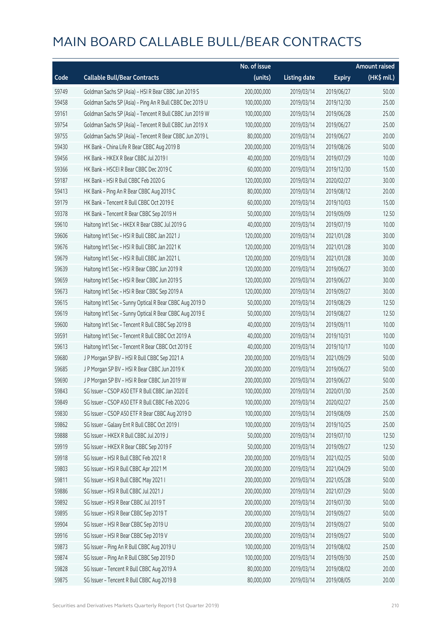|       |                                                          | No. of issue |                     |               | <b>Amount raised</b>  |
|-------|----------------------------------------------------------|--------------|---------------------|---------------|-----------------------|
| Code  | <b>Callable Bull/Bear Contracts</b>                      | (units)      | <b>Listing date</b> | <b>Expiry</b> | $(HK\frac{1}{2}mil.)$ |
| 59749 | Goldman Sachs SP (Asia) - HSI R Bear CBBC Jun 2019 S     | 200,000,000  | 2019/03/14          | 2019/06/27    | 50.00                 |
| 59458 | Goldman Sachs SP (Asia) - Ping An R Bull CBBC Dec 2019 U | 100,000,000  | 2019/03/14          | 2019/12/30    | 25.00                 |
| 59161 | Goldman Sachs SP (Asia) - Tencent R Bull CBBC Jun 2019 W | 100,000,000  | 2019/03/14          | 2019/06/28    | 25.00                 |
| 59754 | Goldman Sachs SP (Asia) - Tencent R Bull CBBC Jun 2019 X | 100,000,000  | 2019/03/14          | 2019/06/27    | 25.00                 |
| 59755 | Goldman Sachs SP (Asia) - Tencent R Bear CBBC Jun 2019 L | 80,000,000   | 2019/03/14          | 2019/06/27    | 20.00                 |
| 59430 | HK Bank - China Life R Bear CBBC Aug 2019 B              | 200,000,000  | 2019/03/14          | 2019/08/26    | 50.00                 |
| 59456 | HK Bank - HKEX R Bear CBBC Jul 2019 I                    | 40,000,000   | 2019/03/14          | 2019/07/29    | 10.00                 |
| 59366 | HK Bank - HSCEI R Bear CBBC Dec 2019 C                   | 60,000,000   | 2019/03/14          | 2019/12/30    | 15.00                 |
| 59187 | HK Bank - HSI R Bull CBBC Feb 2020 G                     | 120,000,000  | 2019/03/14          | 2020/02/27    | 30.00                 |
| 59413 | HK Bank - Ping An R Bear CBBC Aug 2019 C                 | 80,000,000   | 2019/03/14          | 2019/08/12    | 20.00                 |
| 59179 | HK Bank - Tencent R Bull CBBC Oct 2019 E                 | 60,000,000   | 2019/03/14          | 2019/10/03    | 15.00                 |
| 59378 | HK Bank - Tencent R Bear CBBC Sep 2019 H                 | 50,000,000   | 2019/03/14          | 2019/09/09    | 12.50                 |
| 59610 | Haitong Int'l Sec - HKEX R Bear CBBC Jul 2019 G          | 40,000,000   | 2019/03/14          | 2019/07/19    | 10.00                 |
| 59606 | Haitong Int'l Sec - HSI R Bull CBBC Jan 2021 J           | 120,000,000  | 2019/03/14          | 2021/01/28    | 30.00                 |
| 59676 | Haitong Int'l Sec - HSI R Bull CBBC Jan 2021 K           | 120,000,000  | 2019/03/14          | 2021/01/28    | 30.00                 |
| 59679 | Haitong Int'l Sec - HSI R Bull CBBC Jan 2021 L           | 120,000,000  | 2019/03/14          | 2021/01/28    | 30.00                 |
| 59639 | Haitong Int'l Sec - HSI R Bear CBBC Jun 2019 R           | 120,000,000  | 2019/03/14          | 2019/06/27    | 30.00                 |
| 59659 | Haitong Int'l Sec - HSI R Bear CBBC Jun 2019 S           | 120,000,000  | 2019/03/14          | 2019/06/27    | 30.00                 |
| 59673 | Haitong Int'l Sec - HSI R Bear CBBC Sep 2019 A           | 120,000,000  | 2019/03/14          | 2019/09/27    | 30.00                 |
| 59615 | Haitong Int'l Sec - Sunny Optical R Bear CBBC Aug 2019 D | 50,000,000   | 2019/03/14          | 2019/08/29    | 12.50                 |
| 59619 | Haitong Int'l Sec - Sunny Optical R Bear CBBC Aug 2019 E | 50,000,000   | 2019/03/14          | 2019/08/27    | 12.50                 |
| 59600 | Haitong Int'l Sec - Tencent R Bull CBBC Sep 2019 B       | 40,000,000   | 2019/03/14          | 2019/09/11    | 10.00                 |
| 59591 | Haitong Int'l Sec - Tencent R Bull CBBC Oct 2019 A       | 40,000,000   | 2019/03/14          | 2019/10/31    | 10.00                 |
| 59613 | Haitong Int'l Sec - Tencent R Bear CBBC Oct 2019 E       | 40,000,000   | 2019/03/14          | 2019/10/17    | 10.00                 |
| 59680 | J P Morgan SP BV - HSI R Bull CBBC Sep 2021 A            | 200,000,000  | 2019/03/14          | 2021/09/29    | 50.00                 |
| 59685 | J P Morgan SP BV - HSI R Bear CBBC Jun 2019 K            | 200,000,000  | 2019/03/14          | 2019/06/27    | 50.00                 |
| 59690 | J P Morgan SP BV - HSI R Bear CBBC Jun 2019 W            | 200,000,000  | 2019/03/14          | 2019/06/27    | 50.00                 |
| 59843 | SG Issuer - CSOP A50 ETF R Bull CBBC Jan 2020 E          | 100,000,000  | 2019/03/14          | 2020/01/30    | 25.00                 |
| 59849 | SG Issuer - CSOP A50 ETF R Bull CBBC Feb 2020 G          | 100,000,000  | 2019/03/14          | 2020/02/27    | 25.00                 |
| 59830 | SG Issuer - CSOP A50 ETF R Bear CBBC Aug 2019 D          | 100,000,000  | 2019/03/14          | 2019/08/09    | 25.00                 |
| 59862 | SG Issuer - Galaxy Ent R Bull CBBC Oct 2019 I            | 100,000,000  | 2019/03/14          | 2019/10/25    | 25.00                 |
| 59888 | SG Issuer - HKEX R Bull CBBC Jul 2019 J                  | 50,000,000   | 2019/03/14          | 2019/07/10    | 12.50                 |
| 59919 | SG Issuer - HKEX R Bear CBBC Sep 2019 F                  | 50,000,000   | 2019/03/14          | 2019/09/27    | 12.50                 |
| 59918 | SG Issuer - HSI R Bull CBBC Feb 2021 R                   | 200,000,000  | 2019/03/14          | 2021/02/25    | 50.00                 |
| 59803 | SG Issuer - HSI R Bull CBBC Apr 2021 M                   | 200,000,000  | 2019/03/14          | 2021/04/29    | 50.00                 |
| 59811 | SG Issuer - HSI R Bull CBBC May 2021 I                   | 200,000,000  | 2019/03/14          | 2021/05/28    | 50.00                 |
| 59886 | SG Issuer - HSI R Bull CBBC Jul 2021 J                   | 200,000,000  | 2019/03/14          | 2021/07/29    | 50.00                 |
| 59892 | SG Issuer - HSI R Bear CBBC Jul 2019 T                   | 200,000,000  | 2019/03/14          | 2019/07/30    | 50.00                 |
| 59895 | SG Issuer - HSI R Bear CBBC Sep 2019 T                   | 200,000,000  | 2019/03/14          | 2019/09/27    | 50.00                 |
| 59904 | SG Issuer - HSI R Bear CBBC Sep 2019 U                   | 200,000,000  | 2019/03/14          | 2019/09/27    | 50.00                 |
| 59916 | SG Issuer - HSI R Bear CBBC Sep 2019 V                   | 200,000,000  | 2019/03/14          | 2019/09/27    | 50.00                 |
| 59873 | SG Issuer - Ping An R Bull CBBC Aug 2019 U               | 100,000,000  | 2019/03/14          | 2019/08/02    | 25.00                 |
| 59874 | SG Issuer - Ping An R Bull CBBC Sep 2019 D               | 100,000,000  | 2019/03/14          | 2019/09/30    | 25.00                 |
| 59828 | SG Issuer - Tencent R Bull CBBC Aug 2019 A               | 80,000,000   | 2019/03/14          | 2019/08/02    | 20.00                 |
| 59875 | SG Issuer - Tencent R Bull CBBC Aug 2019 B               | 80,000,000   | 2019/03/14          | 2019/08/05    | 20.00                 |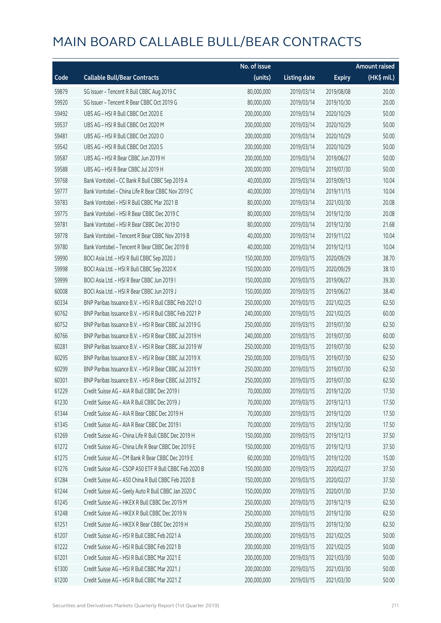|       |                                                        | No. of issue |                     |               | <b>Amount raised</b> |
|-------|--------------------------------------------------------|--------------|---------------------|---------------|----------------------|
| Code  | <b>Callable Bull/Bear Contracts</b>                    | (units)      | <b>Listing date</b> | <b>Expiry</b> | (HK\$ mil.)          |
| 59879 | SG Issuer - Tencent R Bull CBBC Aug 2019 C             | 80,000,000   | 2019/03/14          | 2019/08/08    | 20.00                |
| 59920 | SG Issuer - Tencent R Bear CBBC Oct 2019 G             | 80,000,000   | 2019/03/14          | 2019/10/30    | 20.00                |
| 59492 | UBS AG - HSI R Bull CBBC Oct 2020 E                    | 200,000,000  | 2019/03/14          | 2020/10/29    | 50.00                |
| 59537 | UBS AG - HSI R Bull CBBC Oct 2020 M                    | 200,000,000  | 2019/03/14          | 2020/10/29    | 50.00                |
| 59481 | UBS AG - HSI R Bull CBBC Oct 2020 O                    | 200,000,000  | 2019/03/14          | 2020/10/29    | 50.00                |
| 59542 | UBS AG - HSI R Bull CBBC Oct 2020 S                    | 200,000,000  | 2019/03/14          | 2020/10/29    | 50.00                |
| 59587 | UBS AG - HSI R Bear CBBC Jun 2019 H                    | 200,000,000  | 2019/03/14          | 2019/06/27    | 50.00                |
| 59588 | UBS AG - HSI R Bear CBBC Jul 2019 H                    | 200,000,000  | 2019/03/14          | 2019/07/30    | 50.00                |
| 59768 | Bank Vontobel - CC Bank R Bull CBBC Sep 2019 A         | 40,000,000   | 2019/03/14          | 2019/09/13    | 10.04                |
| 59777 | Bank Vontobel - China Life R Bear CBBC Nov 2019 C      | 40,000,000   | 2019/03/14          | 2019/11/15    | 10.04                |
| 59783 | Bank Vontobel - HSI R Bull CBBC Mar 2021 B             | 80,000,000   | 2019/03/14          | 2021/03/30    | 20.08                |
| 59775 | Bank Vontobel - HSI R Bear CBBC Dec 2019 C             | 80,000,000   | 2019/03/14          | 2019/12/30    | 20.08                |
| 59781 | Bank Vontobel - HSI R Bear CBBC Dec 2019 D             | 80,000,000   | 2019/03/14          | 2019/12/30    | 21.68                |
| 59778 | Bank Vontobel - Tencent R Bear CBBC Nov 2019 B         | 40,000,000   | 2019/03/14          | 2019/11/22    | 10.04                |
| 59780 | Bank Vontobel - Tencent R Bear CBBC Dec 2019 B         | 40,000,000   | 2019/03/14          | 2019/12/13    | 10.04                |
| 59990 | BOCI Asia Ltd. - HSI R Bull CBBC Sep 2020 J            | 150,000,000  | 2019/03/15          | 2020/09/29    | 38.70                |
| 59998 | BOCI Asia Ltd. - HSI R Bull CBBC Sep 2020 K            | 150,000,000  | 2019/03/15          | 2020/09/29    | 38.10                |
| 59999 | BOCI Asia Ltd. - HSI R Bear CBBC Jun 2019 I            | 150,000,000  | 2019/03/15          | 2019/06/27    | 39.30                |
| 60008 | BOCI Asia Ltd. - HSI R Bear CBBC Jun 2019 J            | 150,000,000  | 2019/03/15          | 2019/06/27    | 38.40                |
| 60334 | BNP Paribas Issuance B.V. - HSI R Bull CBBC Feb 2021 O | 250,000,000  | 2019/03/15          | 2021/02/25    | 62.50                |
| 60762 | BNP Paribas Issuance B.V. - HSI R Bull CBBC Feb 2021 P | 240,000,000  | 2019/03/15          | 2021/02/25    | 60.00                |
| 60752 | BNP Paribas Issuance B.V. - HSI R Bear CBBC Jul 2019 G | 250,000,000  | 2019/03/15          | 2019/07/30    | 62.50                |
| 60766 | BNP Paribas Issuance B.V. - HSI R Bear CBBC Jul 2019 H | 240,000,000  | 2019/03/15          | 2019/07/30    | 60.00                |
| 60281 | BNP Paribas Issuance B.V. - HSI R Bear CBBC Jul 2019 W | 250,000,000  | 2019/03/15          | 2019/07/30    | 62.50                |
| 60295 | BNP Paribas Issuance B.V. - HSI R Bear CBBC Jul 2019 X | 250,000,000  | 2019/03/15          | 2019/07/30    | 62.50                |
| 60299 | BNP Paribas Issuance B.V. - HSI R Bear CBBC Jul 2019 Y | 250,000,000  | 2019/03/15          | 2019/07/30    | 62.50                |
| 60301 | BNP Paribas Issuance B.V. - HSI R Bear CBBC Jul 2019 Z | 250,000,000  | 2019/03/15          | 2019/07/30    | 62.50                |
| 61229 | Credit Suisse AG - AIA R Bull CBBC Dec 2019 L          | 70,000,000   | 2019/03/15          | 2019/12/20    | 17.50                |
| 61230 | Credit Suisse AG - AIA R Bull CBBC Dec 2019 J          | 70,000,000   | 2019/03/15          | 2019/12/13    | 17.50                |
| 61344 | Credit Suisse AG - AIA R Bear CBBC Dec 2019 H          | 70,000,000   | 2019/03/15          | 2019/12/20    | 17.50                |
| 61345 | Credit Suisse AG - AIA R Bear CBBC Dec 2019 I          | 70,000,000   | 2019/03/15          | 2019/12/30    | 17.50                |
| 61269 | Credit Suisse AG - China Life R Bull CBBC Dec 2019 H   | 150,000,000  | 2019/03/15          | 2019/12/13    | 37.50                |
| 61272 | Credit Suisse AG - China Life R Bear CBBC Dec 2019 E   | 150,000,000  | 2019/03/15          | 2019/12/13    | 37.50                |
| 61275 | Credit Suisse AG - CM Bank R Bear CBBC Dec 2019 E      | 60,000,000   | 2019/03/15          | 2019/12/20    | 15.00                |
| 61276 | Credit Suisse AG - CSOP A50 ETF R Bull CBBC Feb 2020 B | 150,000,000  | 2019/03/15          | 2020/02/27    | 37.50                |
| 61284 | Credit Suisse AG - A50 China R Bull CBBC Feb 2020 B    | 150,000,000  | 2019/03/15          | 2020/02/27    | 37.50                |
| 61244 | Credit Suisse AG - Geely Auto R Bull CBBC Jan 2020 C   | 150,000,000  | 2019/03/15          | 2020/01/30    | 37.50                |
| 61245 | Credit Suisse AG - HKEX R Bull CBBC Dec 2019 M         | 250,000,000  | 2019/03/15          | 2019/12/19    | 62.50                |
| 61248 | Credit Suisse AG - HKEX R Bull CBBC Dec 2019 N         | 250,000,000  | 2019/03/15          | 2019/12/30    | 62.50                |
| 61251 | Credit Suisse AG - HKEX R Bear CBBC Dec 2019 H         | 250,000,000  | 2019/03/15          | 2019/12/30    | 62.50                |
| 61207 | Credit Suisse AG - HSI R Bull CBBC Feb 2021 A          | 200,000,000  | 2019/03/15          | 2021/02/25    | 50.00                |
| 61222 | Credit Suisse AG - HSI R Bull CBBC Feb 2021 B          | 200,000,000  | 2019/03/15          | 2021/02/25    | 50.00                |
| 61201 | Credit Suisse AG - HSI R Bull CBBC Mar 2021 E          | 200,000,000  | 2019/03/15          | 2021/03/30    | 50.00                |
| 61300 | Credit Suisse AG - HSI R Bull CBBC Mar 2021 J          | 200,000,000  | 2019/03/15          | 2021/03/30    | 50.00                |
| 61200 | Credit Suisse AG - HSI R Bull CBBC Mar 2021 Z          | 200,000,000  | 2019/03/15          | 2021/03/30    | 50.00                |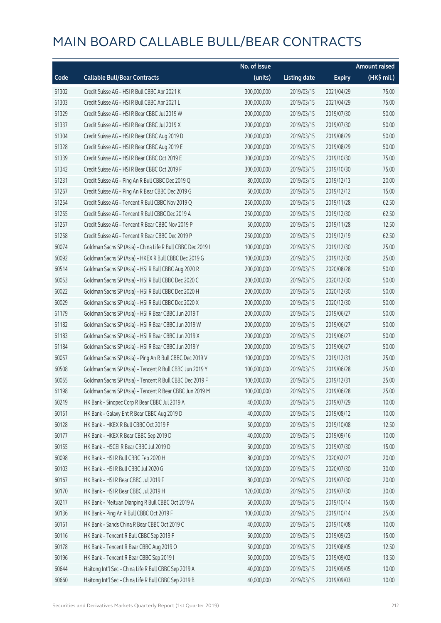|       |                                                             | No. of issue |                     |               | <b>Amount raised</b> |
|-------|-------------------------------------------------------------|--------------|---------------------|---------------|----------------------|
| Code  | <b>Callable Bull/Bear Contracts</b>                         | (units)      | <b>Listing date</b> | <b>Expiry</b> | (HK\$ mil.)          |
| 61302 | Credit Suisse AG - HSI R Bull CBBC Apr 2021 K               | 300,000,000  | 2019/03/15          | 2021/04/29    | 75.00                |
| 61303 | Credit Suisse AG - HSI R Bull CBBC Apr 2021 L               | 300,000,000  | 2019/03/15          | 2021/04/29    | 75.00                |
| 61329 | Credit Suisse AG - HSI R Bear CBBC Jul 2019 W               | 200,000,000  | 2019/03/15          | 2019/07/30    | 50.00                |
| 61337 | Credit Suisse AG - HSI R Bear CBBC Jul 2019 X               | 200,000,000  | 2019/03/15          | 2019/07/30    | 50.00                |
| 61304 | Credit Suisse AG - HSI R Bear CBBC Aug 2019 D               | 200,000,000  | 2019/03/15          | 2019/08/29    | 50.00                |
| 61328 | Credit Suisse AG - HSI R Bear CBBC Aug 2019 E               | 200,000,000  | 2019/03/15          | 2019/08/29    | 50.00                |
| 61339 | Credit Suisse AG - HSI R Bear CBBC Oct 2019 E               | 300,000,000  | 2019/03/15          | 2019/10/30    | 75.00                |
| 61342 | Credit Suisse AG - HSI R Bear CBBC Oct 2019 F               | 300,000,000  | 2019/03/15          | 2019/10/30    | 75.00                |
| 61231 | Credit Suisse AG - Ping An R Bull CBBC Dec 2019 Q           | 80,000,000   | 2019/03/15          | 2019/12/13    | 20.00                |
| 61267 | Credit Suisse AG - Ping An R Bear CBBC Dec 2019 G           | 60,000,000   | 2019/03/15          | 2019/12/12    | 15.00                |
| 61254 | Credit Suisse AG - Tencent R Bull CBBC Nov 2019 Q           | 250,000,000  | 2019/03/15          | 2019/11/28    | 62.50                |
| 61255 | Credit Suisse AG - Tencent R Bull CBBC Dec 2019 A           | 250,000,000  | 2019/03/15          | 2019/12/30    | 62.50                |
| 61257 | Credit Suisse AG - Tencent R Bear CBBC Nov 2019 P           | 50,000,000   | 2019/03/15          | 2019/11/28    | 12.50                |
| 61258 | Credit Suisse AG - Tencent R Bear CBBC Dec 2019 P           | 250,000,000  | 2019/03/15          | 2019/12/19    | 62.50                |
| 60074 | Goldman Sachs SP (Asia) - China Life R Bull CBBC Dec 2019 I | 100,000,000  | 2019/03/15          | 2019/12/30    | 25.00                |
| 60092 | Goldman Sachs SP (Asia) - HKEX R Bull CBBC Dec 2019 G       | 100,000,000  | 2019/03/15          | 2019/12/30    | 25.00                |
| 60514 | Goldman Sachs SP (Asia) - HSI R Bull CBBC Aug 2020 R        | 200,000,000  | 2019/03/15          | 2020/08/28    | 50.00                |
| 60053 | Goldman Sachs SP (Asia) - HSI R Bull CBBC Dec 2020 C        | 200,000,000  | 2019/03/15          | 2020/12/30    | 50.00                |
| 60022 | Goldman Sachs SP (Asia) - HSI R Bull CBBC Dec 2020 H        | 200,000,000  | 2019/03/15          | 2020/12/30    | 50.00                |
| 60029 | Goldman Sachs SP (Asia) - HSI R Bull CBBC Dec 2020 X        | 200,000,000  | 2019/03/15          | 2020/12/30    | 50.00                |
| 61179 | Goldman Sachs SP (Asia) - HSI R Bear CBBC Jun 2019 T        | 200,000,000  | 2019/03/15          | 2019/06/27    | 50.00                |
| 61182 | Goldman Sachs SP (Asia) - HSI R Bear CBBC Jun 2019 W        | 200,000,000  | 2019/03/15          | 2019/06/27    | 50.00                |
| 61183 | Goldman Sachs SP (Asia) - HSI R Bear CBBC Jun 2019 X        | 200,000,000  | 2019/03/15          | 2019/06/27    | 50.00                |
| 61184 | Goldman Sachs SP (Asia) - HSI R Bear CBBC Jun 2019 Y        | 200,000,000  | 2019/03/15          | 2019/06/27    | 50.00                |
| 60057 | Goldman Sachs SP (Asia) - Ping An R Bull CBBC Dec 2019 V    | 100,000,000  | 2019/03/15          | 2019/12/31    | 25.00                |
| 60508 | Goldman Sachs SP (Asia) - Tencent R Bull CBBC Jun 2019 Y    | 100,000,000  | 2019/03/15          | 2019/06/28    | 25.00                |
| 60055 | Goldman Sachs SP (Asia) - Tencent R Bull CBBC Dec 2019 F    | 100,000,000  | 2019/03/15          | 2019/12/31    | 25.00                |
| 61198 | Goldman Sachs SP (Asia) - Tencent R Bear CBBC Jun 2019 M    | 100,000,000  | 2019/03/15          | 2019/06/28    | 25.00                |
| 60219 | HK Bank - Sinopec Corp R Bear CBBC Jul 2019 A               | 40,000,000   | 2019/03/15          | 2019/07/29    | 10.00                |
| 60151 | HK Bank - Galaxy Ent R Bear CBBC Aug 2019 D                 | 40,000,000   | 2019/03/15          | 2019/08/12    | 10.00                |
| 60128 | HK Bank - HKEX R Bull CBBC Oct 2019 F                       | 50,000,000   | 2019/03/15          | 2019/10/08    | 12.50                |
| 60177 | HK Bank - HKEX R Bear CBBC Sep 2019 D                       | 40,000,000   | 2019/03/15          | 2019/09/16    | 10.00                |
| 60155 | HK Bank - HSCEI R Bear CBBC Jul 2019 D                      | 60,000,000   | 2019/03/15          | 2019/07/30    | 15.00                |
| 60098 | HK Bank - HSI R Bull CBBC Feb 2020 H                        | 80,000,000   | 2019/03/15          | 2020/02/27    | 20.00                |
| 60103 | HK Bank - HSI R Bull CBBC Jul 2020 G                        | 120,000,000  | 2019/03/15          | 2020/07/30    | 30.00                |
| 60167 | HK Bank - HSI R Bear CBBC Jul 2019 F                        | 80,000,000   | 2019/03/15          | 2019/07/30    | 20.00                |
| 60170 | HK Bank - HSI R Bear CBBC Jul 2019 H                        | 120,000,000  | 2019/03/15          | 2019/07/30    | 30.00                |
| 60217 | HK Bank - Meituan Dianping R Bull CBBC Oct 2019 A           | 60,000,000   | 2019/03/15          | 2019/10/14    | 15.00                |
| 60136 | HK Bank - Ping An R Bull CBBC Oct 2019 F                    | 100,000,000  | 2019/03/15          | 2019/10/14    | 25.00                |
| 60161 | HK Bank - Sands China R Bear CBBC Oct 2019 C                | 40,000,000   | 2019/03/15          | 2019/10/08    | 10.00                |
| 60116 | HK Bank - Tencent R Bull CBBC Sep 2019 F                    | 60,000,000   | 2019/03/15          | 2019/09/23    | 15.00                |
| 60178 | HK Bank - Tencent R Bear CBBC Aug 2019 O                    | 50,000,000   | 2019/03/15          | 2019/08/05    | 12.50                |
| 60196 | HK Bank - Tencent R Bear CBBC Sep 2019 I                    | 50,000,000   | 2019/03/15          | 2019/09/02    | 13.50                |
| 60644 | Haitong Int'l Sec - China Life R Bull CBBC Sep 2019 A       | 40,000,000   | 2019/03/15          | 2019/09/05    | 10.00                |
| 60660 | Haitong Int'l Sec - China Life R Bull CBBC Sep 2019 B       | 40,000,000   | 2019/03/15          | 2019/09/03    | 10.00                |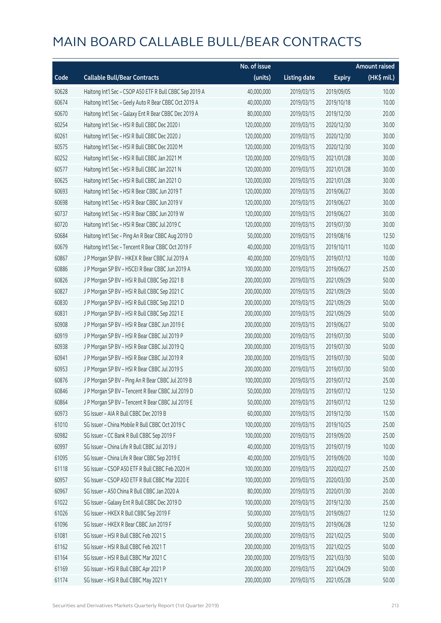|       |                                                         | No. of issue |                     |               | <b>Amount raised</b> |
|-------|---------------------------------------------------------|--------------|---------------------|---------------|----------------------|
| Code  | <b>Callable Bull/Bear Contracts</b>                     | (units)      | <b>Listing date</b> | <b>Expiry</b> | (HK\$ mil.)          |
| 60628 | Haitong Int'l Sec - CSOP A50 ETF R Bull CBBC Sep 2019 A | 40,000,000   | 2019/03/15          | 2019/09/05    | 10.00                |
| 60674 | Haitong Int'l Sec - Geely Auto R Bear CBBC Oct 2019 A   | 40,000,000   | 2019/03/15          | 2019/10/18    | 10.00                |
| 60670 | Haitong Int'l Sec - Galaxy Ent R Bear CBBC Dec 2019 A   | 80,000,000   | 2019/03/15          | 2019/12/30    | 20.00                |
| 60254 | Haitong Int'l Sec - HSI R Bull CBBC Dec 2020 I          | 120,000,000  | 2019/03/15          | 2020/12/30    | 30.00                |
| 60261 | Haitong Int'l Sec - HSI R Bull CBBC Dec 2020 J          | 120,000,000  | 2019/03/15          | 2020/12/30    | 30.00                |
| 60575 | Haitong Int'l Sec - HSI R Bull CBBC Dec 2020 M          | 120,000,000  | 2019/03/15          | 2020/12/30    | 30.00                |
| 60252 | Haitong Int'l Sec - HSI R Bull CBBC Jan 2021 M          | 120,000,000  | 2019/03/15          | 2021/01/28    | 30.00                |
| 60577 | Haitong Int'l Sec - HSI R Bull CBBC Jan 2021 N          | 120,000,000  | 2019/03/15          | 2021/01/28    | 30.00                |
| 60625 | Haitong Int'l Sec - HSI R Bull CBBC Jan 2021 O          | 120,000,000  | 2019/03/15          | 2021/01/28    | 30.00                |
| 60693 | Haitong Int'l Sec - HSI R Bear CBBC Jun 2019 T          | 120,000,000  | 2019/03/15          | 2019/06/27    | 30.00                |
| 60698 | Haitong Int'l Sec - HSI R Bear CBBC Jun 2019 V          | 120,000,000  | 2019/03/15          | 2019/06/27    | 30.00                |
| 60737 | Haitong Int'l Sec - HSI R Bear CBBC Jun 2019 W          | 120,000,000  | 2019/03/15          | 2019/06/27    | 30.00                |
| 60720 | Haitong Int'l Sec - HSI R Bear CBBC Jul 2019 C          | 120,000,000  | 2019/03/15          | 2019/07/30    | 30.00                |
| 60684 | Haitong Int'l Sec - Ping An R Bear CBBC Aug 2019 D      | 50,000,000   | 2019/03/15          | 2019/08/16    | 12.50                |
| 60679 | Haitong Int'l Sec - Tencent R Bear CBBC Oct 2019 F      | 40,000,000   | 2019/03/15          | 2019/10/11    | 10.00                |
| 60867 | J P Morgan SP BV - HKEX R Bear CBBC Jul 2019 A          | 40,000,000   | 2019/03/15          | 2019/07/12    | 10.00                |
| 60886 | J P Morgan SP BV - HSCEI R Bear CBBC Jun 2019 A         | 100,000,000  | 2019/03/15          | 2019/06/27    | 25.00                |
| 60826 | J P Morgan SP BV - HSI R Bull CBBC Sep 2021 B           | 200,000,000  | 2019/03/15          | 2021/09/29    | 50.00                |
| 60827 | J P Morgan SP BV - HSI R Bull CBBC Sep 2021 C           | 200,000,000  | 2019/03/15          | 2021/09/29    | 50.00                |
| 60830 | J P Morgan SP BV - HSI R Bull CBBC Sep 2021 D           | 200,000,000  | 2019/03/15          | 2021/09/29    | 50.00                |
| 60831 | J P Morgan SP BV - HSI R Bull CBBC Sep 2021 E           | 200,000,000  | 2019/03/15          | 2021/09/29    | 50.00                |
| 60908 | J P Morgan SP BV - HSI R Bear CBBC Jun 2019 E           | 200,000,000  | 2019/03/15          | 2019/06/27    | 50.00                |
| 60919 | J P Morgan SP BV - HSI R Bear CBBC Jul 2019 P           | 200,000,000  | 2019/03/15          | 2019/07/30    | 50.00                |
| 60938 | J P Morgan SP BV - HSI R Bear CBBC Jul 2019 Q           | 200,000,000  | 2019/03/15          | 2019/07/30    | 50.00                |
| 60941 | J P Morgan SP BV - HSI R Bear CBBC Jul 2019 R           | 200,000,000  | 2019/03/15          | 2019/07/30    | 50.00                |
| 60953 | J P Morgan SP BV - HSI R Bear CBBC Jul 2019 S           | 200,000,000  | 2019/03/15          | 2019/07/30    | 50.00                |
| 60876 | J P Morgan SP BV - Ping An R Bear CBBC Jul 2019 B       | 100,000,000  | 2019/03/15          | 2019/07/12    | 25.00                |
| 60846 | J P Morgan SP BV - Tencent R Bear CBBC Jul 2019 D       | 50,000,000   | 2019/03/15          | 2019/07/12    | 12.50                |
| 60864 | J P Morgan SP BV - Tencent R Bear CBBC Jul 2019 E       | 50,000,000   | 2019/03/15          | 2019/07/12    | 12.50                |
| 60973 | SG Issuer - AIA R Bull CBBC Dec 2019 B                  | 60,000,000   | 2019/03/15          | 2019/12/30    | 15.00                |
| 61010 | SG Issuer - China Mobile R Bull CBBC Oct 2019 C         | 100,000,000  | 2019/03/15          | 2019/10/25    | 25.00                |
| 60982 | SG Issuer - CC Bank R Bull CBBC Sep 2019 F              | 100,000,000  | 2019/03/15          | 2019/09/20    | 25.00                |
| 60997 | SG Issuer - China Life R Bull CBBC Jul 2019 J           | 40,000,000   | 2019/03/15          | 2019/07/19    | 10.00                |
| 61095 | SG Issuer - China Life R Bear CBBC Sep 2019 E           | 40,000,000   | 2019/03/15          | 2019/09/20    | 10.00                |
| 61118 | SG Issuer - CSOP A50 ETF R Bull CBBC Feb 2020 H         | 100,000,000  | 2019/03/15          | 2020/02/27    | 25.00                |
| 60957 | SG Issuer - CSOP A50 ETF R Bull CBBC Mar 2020 E         | 100,000,000  | 2019/03/15          | 2020/03/30    | 25.00                |
| 60967 | SG Issuer - A50 China R Bull CBBC Jan 2020 A            | 80,000,000   | 2019/03/15          | 2020/01/30    | 20.00                |
| 61022 | SG Issuer - Galaxy Ent R Bull CBBC Dec 2019 D           | 100,000,000  | 2019/03/15          | 2019/12/30    | 25.00                |
| 61026 | SG Issuer - HKEX R Bull CBBC Sep 2019 F                 | 50,000,000   | 2019/03/15          | 2019/09/27    | 12.50                |
| 61096 | SG Issuer - HKEX R Bear CBBC Jun 2019 F                 | 50,000,000   | 2019/03/15          | 2019/06/28    | 12.50                |
| 61081 | SG Issuer - HSI R Bull CBBC Feb 2021 S                  | 200,000,000  | 2019/03/15          | 2021/02/25    | 50.00                |
| 61162 | SG Issuer - HSI R Bull CBBC Feb 2021 T                  | 200,000,000  | 2019/03/15          | 2021/02/25    | 50.00                |
| 61164 | SG Issuer - HSI R Bull CBBC Mar 2021 C                  | 200,000,000  | 2019/03/15          | 2021/03/30    | 50.00                |
| 61169 | SG Issuer - HSI R Bull CBBC Apr 2021 P                  | 200,000,000  | 2019/03/15          | 2021/04/29    | 50.00                |
| 61174 | SG Issuer - HSI R Bull CBBC May 2021 Y                  | 200,000,000  | 2019/03/15          | 2021/05/28    | 50.00                |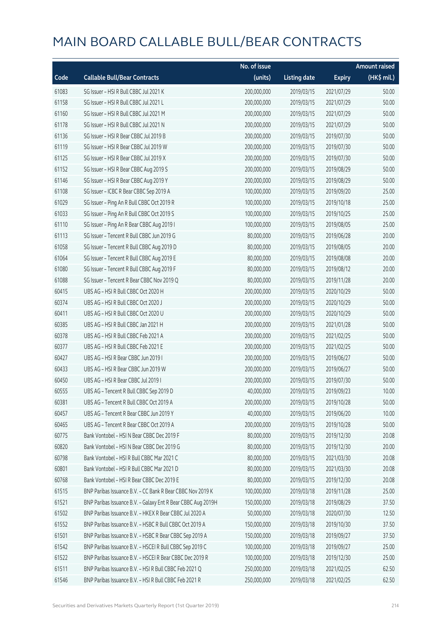|       |                                                              | No. of issue |                     |               | <b>Amount raised</b> |
|-------|--------------------------------------------------------------|--------------|---------------------|---------------|----------------------|
| Code  | <b>Callable Bull/Bear Contracts</b>                          | (units)      | <b>Listing date</b> | <b>Expiry</b> | (HK\$ mil.)          |
| 61083 | SG Issuer - HSI R Bull CBBC Jul 2021 K                       | 200,000,000  | 2019/03/15          | 2021/07/29    | 50.00                |
| 61158 | SG Issuer - HSI R Bull CBBC Jul 2021 L                       | 200,000,000  | 2019/03/15          | 2021/07/29    | 50.00                |
| 61160 | SG Issuer - HSI R Bull CBBC Jul 2021 M                       | 200,000,000  | 2019/03/15          | 2021/07/29    | 50.00                |
| 61178 | SG Issuer - HSI R Bull CBBC Jul 2021 N                       | 200,000,000  | 2019/03/15          | 2021/07/29    | 50.00                |
| 61136 | SG Issuer - HSI R Bear CBBC Jul 2019 B                       | 200,000,000  | 2019/03/15          | 2019/07/30    | 50.00                |
| 61119 | SG Issuer - HSI R Bear CBBC Jul 2019 W                       | 200,000,000  | 2019/03/15          | 2019/07/30    | 50.00                |
| 61125 | SG Issuer - HSI R Bear CBBC Jul 2019 X                       | 200,000,000  | 2019/03/15          | 2019/07/30    | 50.00                |
| 61152 | SG Issuer - HSI R Bear CBBC Aug 2019 S                       | 200,000,000  | 2019/03/15          | 2019/08/29    | 50.00                |
| 61146 | SG Issuer - HSI R Bear CBBC Aug 2019 Y                       | 200,000,000  | 2019/03/15          | 2019/08/29    | 50.00                |
| 61108 | SG Issuer - ICBC R Bear CBBC Sep 2019 A                      | 100,000,000  | 2019/03/15          | 2019/09/20    | 25.00                |
| 61029 | SG Issuer - Ping An R Bull CBBC Oct 2019 R                   | 100,000,000  | 2019/03/15          | 2019/10/18    | 25.00                |
| 61033 | SG Issuer - Ping An R Bull CBBC Oct 2019 S                   | 100,000,000  | 2019/03/15          | 2019/10/25    | 25.00                |
| 61110 | SG Issuer - Ping An R Bear CBBC Aug 2019 I                   | 100,000,000  | 2019/03/15          | 2019/08/05    | 25.00                |
| 61113 | SG Issuer - Tencent R Bull CBBC Jun 2019 G                   | 80,000,000   | 2019/03/15          | 2019/06/28    | 20.00                |
| 61058 | SG Issuer - Tencent R Bull CBBC Aug 2019 D                   | 80,000,000   | 2019/03/15          | 2019/08/05    | 20.00                |
| 61064 | SG Issuer - Tencent R Bull CBBC Aug 2019 E                   | 80,000,000   | 2019/03/15          | 2019/08/08    | 20.00                |
| 61080 | SG Issuer - Tencent R Bull CBBC Aug 2019 F                   | 80,000,000   | 2019/03/15          | 2019/08/12    | 20.00                |
| 61088 | SG Issuer - Tencent R Bear CBBC Nov 2019 Q                   | 80,000,000   | 2019/03/15          | 2019/11/28    | 20.00                |
| 60415 | UBS AG - HSI R Bull CBBC Oct 2020 H                          | 200,000,000  | 2019/03/15          | 2020/10/29    | 50.00                |
| 60374 | UBS AG - HSI R Bull CBBC Oct 2020 J                          | 200,000,000  | 2019/03/15          | 2020/10/29    | 50.00                |
| 60411 | UBS AG - HSI R Bull CBBC Oct 2020 U                          | 200,000,000  | 2019/03/15          | 2020/10/29    | 50.00                |
| 60385 | UBS AG - HSI R Bull CBBC Jan 2021 H                          | 200,000,000  | 2019/03/15          | 2021/01/28    | 50.00                |
| 60378 | UBS AG - HSI R Bull CBBC Feb 2021 A                          | 200,000,000  | 2019/03/15          | 2021/02/25    | 50.00                |
| 60377 | UBS AG - HSI R Bull CBBC Feb 2021 E                          | 200,000,000  | 2019/03/15          | 2021/02/25    | 50.00                |
| 60427 | UBS AG - HSI R Bear CBBC Jun 2019 I                          | 200,000,000  | 2019/03/15          | 2019/06/27    | 50.00                |
| 60433 | UBS AG - HSI R Bear CBBC Jun 2019 W                          | 200,000,000  | 2019/03/15          | 2019/06/27    | 50.00                |
| 60450 | UBS AG - HSI R Bear CBBC Jul 2019 I                          | 200,000,000  | 2019/03/15          | 2019/07/30    | 50.00                |
| 60555 | UBS AG - Tencent R Bull CBBC Sep 2019 D                      | 40,000,000   | 2019/03/15          | 2019/09/23    | 10.00                |
| 60381 | UBS AG - Tencent R Bull CBBC Oct 2019 A                      | 200,000,000  | 2019/03/15          | 2019/10/28    | 50.00                |
| 60457 | UBS AG - Tencent R Bear CBBC Jun 2019 Y                      | 40,000,000   | 2019/03/15          | 2019/06/20    | 10.00                |
| 60465 | UBS AG - Tencent R Bear CBBC Oct 2019 A                      | 200,000,000  | 2019/03/15          | 2019/10/28    | 50.00                |
| 60775 | Bank Vontobel - HSI N Bear CBBC Dec 2019 F                   | 80,000,000   | 2019/03/15          | 2019/12/30    | 20.08                |
| 60820 | Bank Vontobel - HSI N Bear CBBC Dec 2019 G                   | 80,000,000   | 2019/03/15          | 2019/12/30    | 20.00                |
| 60798 | Bank Vontobel - HSI R Bull CBBC Mar 2021 C                   | 80,000,000   | 2019/03/15          | 2021/03/30    | 20.08                |
| 60801 | Bank Vontobel - HSI R Bull CBBC Mar 2021 D                   | 80,000,000   | 2019/03/15          | 2021/03/30    | 20.08                |
| 60768 | Bank Vontobel - HSI R Bear CBBC Dec 2019 E                   | 80,000,000   | 2019/03/15          | 2019/12/30    | 20.08                |
| 61515 | BNP Paribas Issuance B.V. - CC Bank R Bear CBBC Nov 2019 K   | 100,000,000  | 2019/03/18          | 2019/11/28    | 25.00                |
| 61521 | BNP Paribas Issuance B.V. - Galaxy Ent R Bear CBBC Aug 2019H | 150,000,000  | 2019/03/18          | 2019/08/29    | 37.50                |
| 61502 | BNP Paribas Issuance B.V. - HKEX R Bear CBBC Jul 2020 A      | 50,000,000   | 2019/03/18          | 2020/07/30    | 12.50                |
| 61552 | BNP Paribas Issuance B.V. - HSBC R Bull CBBC Oct 2019 A      | 150,000,000  | 2019/03/18          | 2019/10/30    | 37.50                |
| 61501 | BNP Paribas Issuance B.V. - HSBC R Bear CBBC Sep 2019 A      | 150,000,000  | 2019/03/18          | 2019/09/27    | 37.50                |
| 61542 | BNP Paribas Issuance B.V. - HSCEI R Bull CBBC Sep 2019 C     | 100,000,000  | 2019/03/18          | 2019/09/27    | 25.00                |
| 61522 | BNP Paribas Issuance B.V. - HSCEI R Bear CBBC Dec 2019 R     | 100,000,000  | 2019/03/18          | 2019/12/30    | 25.00                |
| 61511 | BNP Paribas Issuance B.V. - HSI R Bull CBBC Feb 2021 Q       | 250,000,000  | 2019/03/18          | 2021/02/25    | 62.50                |
| 61546 | BNP Paribas Issuance B.V. - HSI R Bull CBBC Feb 2021 R       | 250,000,000  | 2019/03/18          | 2021/02/25    | 62.50                |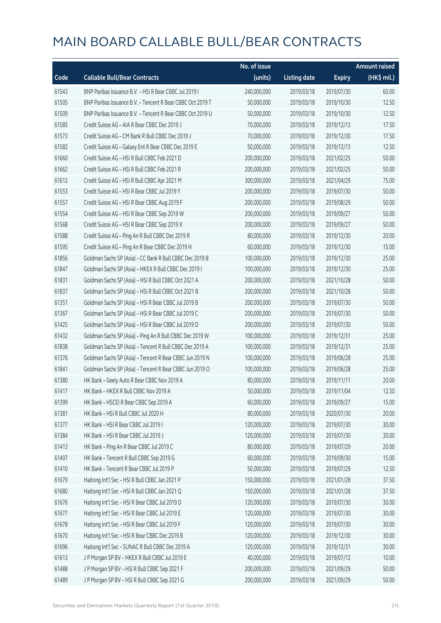|       |                                                            | No. of issue |                     |               | <b>Amount raised</b> |
|-------|------------------------------------------------------------|--------------|---------------------|---------------|----------------------|
| Code  | <b>Callable Bull/Bear Contracts</b>                        | (units)      | <b>Listing date</b> | <b>Expiry</b> | (HK\$ mil.)          |
| 61543 | BNP Paribas Issuance B.V. - HSI R Bear CBBC Jul 2019 I     | 240,000,000  | 2019/03/18          | 2019/07/30    | 60.00                |
| 61505 | BNP Paribas Issuance B.V. - Tencent R Bear CBBC Oct 2019 T | 50,000,000   | 2019/03/18          | 2019/10/30    | 12.50                |
| 61509 | BNP Paribas Issuance B.V. - Tencent R Bear CBBC Oct 2019 U | 50,000,000   | 2019/03/18          | 2019/10/30    | 12.50                |
| 61585 | Credit Suisse AG - AIA R Bear CBBC Dec 2019 J              | 70,000,000   | 2019/03/18          | 2019/12/13    | 17.50                |
| 61573 | Credit Suisse AG - CM Bank R Bull CBBC Dec 2019 J          | 70,000,000   | 2019/03/18          | 2019/12/30    | 17.50                |
| 61582 | Credit Suisse AG - Galaxy Ent R Bear CBBC Dec 2019 E       | 50,000,000   | 2019/03/18          | 2019/12/13    | 12.50                |
| 61660 | Credit Suisse AG - HSI R Bull CBBC Feb 2021 D              | 200,000,000  | 2019/03/18          | 2021/02/25    | 50.00                |
| 61662 | Credit Suisse AG - HSI R Bull CBBC Feb 2021 R              | 200,000,000  | 2019/03/18          | 2021/02/25    | 50.00                |
| 61612 | Credit Suisse AG - HSI R Bull CBBC Apr 2021 M              | 300,000,000  | 2019/03/18          | 2021/04/29    | 75.00                |
| 61553 | Credit Suisse AG - HSI R Bear CBBC Jul 2019 Y              | 200,000,000  | 2019/03/18          | 2019/07/30    | 50.00                |
| 61557 | Credit Suisse AG - HSI R Bear CBBC Aug 2019 F              | 200,000,000  | 2019/03/18          | 2019/08/29    | 50.00                |
| 61554 | Credit Suisse AG - HSI R Bear CBBC Sep 2019 W              | 200,000,000  | 2019/03/18          | 2019/09/27    | 50.00                |
| 61568 | Credit Suisse AG - HSI R Bear CBBC Sep 2019 X              | 200,000,000  | 2019/03/18          | 2019/09/27    | 50.00                |
| 61588 | Credit Suisse AG - Ping An R Bull CBBC Dec 2019 R          | 80,000,000   | 2019/03/18          | 2019/12/30    | 20.00                |
| 61595 | Credit Suisse AG - Ping An R Bear CBBC Dec 2019 H          | 60,000,000   | 2019/03/18          | 2019/12/30    | 15.00                |
| 61856 | Goldman Sachs SP (Asia) - CC Bank R Bull CBBC Dec 2019 B   | 100,000,000  | 2019/03/18          | 2019/12/30    | 25.00                |
| 61847 | Goldman Sachs SP (Asia) - HKEX R Bull CBBC Dec 2019 I      | 100,000,000  | 2019/03/18          | 2019/12/30    | 25.00                |
| 61831 | Goldman Sachs SP (Asia) - HSI R Bull CBBC Oct 2021 A       | 200,000,000  | 2019/03/18          | 2021/10/28    | 50.00                |
| 61837 | Goldman Sachs SP (Asia) - HSI R Bull CBBC Oct 2021 B       | 200,000,000  | 2019/03/18          | 2021/10/28    | 50.00                |
| 61351 | Goldman Sachs SP (Asia) - HSI R Bear CBBC Jul 2019 B       | 200,000,000  | 2019/03/18          | 2019/07/30    | 50.00                |
| 61367 | Goldman Sachs SP (Asia) - HSI R Bear CBBC Jul 2019 C       | 200,000,000  | 2019/03/18          | 2019/07/30    | 50.00                |
| 61425 | Goldman Sachs SP (Asia) - HSI R Bear CBBC Jul 2019 D       | 200,000,000  | 2019/03/18          | 2019/07/30    | 50.00                |
| 61432 | Goldman Sachs SP (Asia) - Ping An R Bull CBBC Dec 2019 W   | 100,000,000  | 2019/03/18          | 2019/12/31    | 25.00                |
| 61838 | Goldman Sachs SP (Asia) - Tencent R Bull CBBC Dec 2019 A   | 100,000,000  | 2019/03/18          | 2019/12/31    | 25.00                |
| 61376 | Goldman Sachs SP (Asia) - Tencent R Bear CBBC Jun 2019 N   | 100,000,000  | 2019/03/18          | 2019/06/28    | 25.00                |
| 61841 | Goldman Sachs SP (Asia) - Tencent R Bear CBBC Jun 2019 O   | 100,000,000  | 2019/03/18          | 2019/06/28    | 25.00                |
| 61380 | HK Bank - Geely Auto R Bear CBBC Nov 2019 A                | 80,000,000   | 2019/03/18          | 2019/11/11    | 20.00                |
| 61417 | HK Bank - HKEX R Bull CBBC Nov 2019 A                      | 50,000,000   | 2019/03/18          | 2019/11/04    | 12.50                |
| 61399 | HK Bank - HSCEI R Bear CBBC Sep 2019 A                     | 60,000,000   | 2019/03/18          | 2019/09/27    | 15.00                |
| 61381 | HK Bank - HSI R Bull CBBC Jul 2020 H                       | 80,000,000   | 2019/03/18          | 2020/07/30    | 20.00                |
| 61377 | HK Bank - HSI R Bear CBBC Jul 2019 I                       | 120,000,000  | 2019/03/18          | 2019/07/30    | 30.00                |
| 61384 | HK Bank - HSI R Bear CBBC Jul 2019 J                       | 120,000,000  | 2019/03/18          | 2019/07/30    | 30.00                |
| 61413 | HK Bank - Ping An R Bear CBBC Jul 2019 C                   | 80,000,000   | 2019/03/18          | 2019/07/29    | 20.00                |
| 61407 | HK Bank - Tencent R Bull CBBC Sep 2019 G                   | 60,000,000   | 2019/03/18          | 2019/09/30    | 15.00                |
| 61410 | HK Bank - Tencent R Bear CBBC Jul 2019 P                   | 50,000,000   | 2019/03/18          | 2019/07/29    | 12.50                |
| 61679 | Haitong Int'l Sec - HSI R Bull CBBC Jan 2021 P             | 150,000,000  | 2019/03/18          | 2021/01/28    | 37.50                |
| 61680 | Haitong Int'l Sec - HSI R Bull CBBC Jan 2021 Q             | 150,000,000  | 2019/03/18          | 2021/01/28    | 37.50                |
| 61676 | Haitong Int'l Sec - HSI R Bear CBBC Jul 2019 D             | 120,000,000  | 2019/03/18          | 2019/07/30    | 30.00                |
| 61677 | Haitong Int'l Sec - HSI R Bear CBBC Jul 2019 E             | 120,000,000  | 2019/03/18          | 2019/07/30    | 30.00                |
| 61678 | Haitong Int'l Sec - HSI R Bear CBBC Jul 2019 F             | 120,000,000  | 2019/03/18          | 2019/07/30    | 30.00                |
| 61670 | Haitong Int'l Sec - HSI R Bear CBBC Dec 2019 B             | 120,000,000  | 2019/03/18          | 2019/12/30    | 30.00                |
| 61696 | Haitong Int'l Sec - SUNAC R Bull CBBC Dec 2019 A           | 120,000,000  | 2019/03/18          | 2019/12/31    | 30.00                |
| 61613 | J P Morgan SP BV - HKEX R Bull CBBC Jul 2019 E             | 40,000,000   | 2019/03/18          | 2019/07/12    | 10.00                |
| 61488 | J P Morgan SP BV - HSI R Bull CBBC Sep 2021 F              | 200,000,000  | 2019/03/18          | 2021/09/29    | 50.00                |
| 61489 | J P Morgan SP BV - HSI R Bull CBBC Sep 2021 G              | 200,000,000  | 2019/03/18          | 2021/09/29    | 50.00                |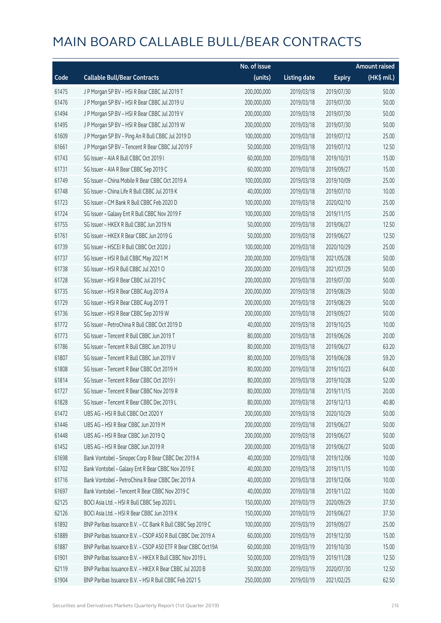|       |                                                             | No. of issue |                     |               | <b>Amount raised</b> |
|-------|-------------------------------------------------------------|--------------|---------------------|---------------|----------------------|
| Code  | <b>Callable Bull/Bear Contracts</b>                         | (units)      | <b>Listing date</b> | <b>Expiry</b> | (HK\$ mil.)          |
| 61475 | J P Morgan SP BV - HSI R Bear CBBC Jul 2019 T               | 200,000,000  | 2019/03/18          | 2019/07/30    | 50.00                |
| 61476 | J P Morgan SP BV - HSI R Bear CBBC Jul 2019 U               | 200,000,000  | 2019/03/18          | 2019/07/30    | 50.00                |
| 61494 | J P Morgan SP BV - HSI R Bear CBBC Jul 2019 V               | 200,000,000  | 2019/03/18          | 2019/07/30    | 50.00                |
| 61495 | J P Morgan SP BV - HSI R Bear CBBC Jul 2019 W               | 200,000,000  | 2019/03/18          | 2019/07/30    | 50.00                |
| 61609 | J P Morgan SP BV - Ping An R Bull CBBC Jul 2019 D           | 100,000,000  | 2019/03/18          | 2019/07/12    | 25.00                |
| 61661 | J P Morgan SP BV - Tencent R Bear CBBC Jul 2019 F           | 50,000,000   | 2019/03/18          | 2019/07/12    | 12.50                |
| 61743 | SG Issuer - AIA R Bull CBBC Oct 2019 I                      | 60,000,000   | 2019/03/18          | 2019/10/31    | 15.00                |
| 61731 | SG Issuer - AIA R Bear CBBC Sep 2019 C                      | 60,000,000   | 2019/03/18          | 2019/09/27    | 15.00                |
| 61749 | SG Issuer - China Mobile R Bear CBBC Oct 2019 A             | 100,000,000  | 2019/03/18          | 2019/10/09    | 25.00                |
| 61748 | SG Issuer - China Life R Bull CBBC Jul 2019 K               | 40,000,000   | 2019/03/18          | 2019/07/10    | 10.00                |
| 61723 | SG Issuer - CM Bank R Bull CBBC Feb 2020 D                  | 100,000,000  | 2019/03/18          | 2020/02/10    | 25.00                |
| 61724 | SG Issuer - Galaxy Ent R Bull CBBC Nov 2019 F               | 100,000,000  | 2019/03/18          | 2019/11/15    | 25.00                |
| 61755 | SG Issuer - HKEX R Bull CBBC Jun 2019 N                     | 50,000,000   | 2019/03/18          | 2019/06/27    | 12.50                |
| 61761 | SG Issuer - HKEX R Bear CBBC Jun 2019 G                     | 50,000,000   | 2019/03/18          | 2019/06/27    | 12.50                |
| 61739 | SG Issuer - HSCEI R Bull CBBC Oct 2020 J                    | 100,000,000  | 2019/03/18          | 2020/10/29    | 25.00                |
| 61737 | SG Issuer - HSI R Bull CBBC May 2021 M                      | 200,000,000  | 2019/03/18          | 2021/05/28    | 50.00                |
| 61738 | SG Issuer - HSI R Bull CBBC Jul 2021 O                      | 200,000,000  | 2019/03/18          | 2021/07/29    | 50.00                |
| 61728 | SG Issuer - HSI R Bear CBBC Jul 2019 C                      | 200,000,000  | 2019/03/18          | 2019/07/30    | 50.00                |
| 61735 | SG Issuer - HSI R Bear CBBC Aug 2019 A                      | 200,000,000  | 2019/03/18          | 2019/08/29    | 50.00                |
| 61729 | SG Issuer - HSI R Bear CBBC Aug 2019 T                      | 200,000,000  | 2019/03/18          | 2019/08/29    | 50.00                |
| 61736 | SG Issuer - HSI R Bear CBBC Sep 2019 W                      | 200,000,000  | 2019/03/18          | 2019/09/27    | 50.00                |
| 61772 | SG Issuer - PetroChina R Bull CBBC Oct 2019 D               | 40,000,000   | 2019/03/18          | 2019/10/25    | 10.00                |
| 61773 | SG Issuer - Tencent R Bull CBBC Jun 2019 T                  | 80,000,000   | 2019/03/18          | 2019/06/26    | 20.00                |
| 61786 | SG Issuer - Tencent R Bull CBBC Jun 2019 U                  | 80,000,000   | 2019/03/18          | 2019/06/27    | 63.20                |
| 61807 | SG Issuer - Tencent R Bull CBBC Jun 2019 V                  | 80,000,000   | 2019/03/18          | 2019/06/28    | 59.20                |
| 61808 | SG Issuer - Tencent R Bear CBBC Oct 2019 H                  | 80,000,000   | 2019/03/18          | 2019/10/23    | 64.00                |
| 61814 | SG Issuer - Tencent R Bear CBBC Oct 2019 I                  | 80,000,000   | 2019/03/18          | 2019/10/28    | 52.00                |
| 61727 | SG Issuer – Tencent R Bear CBBC Nov 2019 R                  | 80,000,000   | 2019/03/18          | 2019/11/15    | 20.00                |
| 61828 | SG Issuer - Tencent R Bear CBBC Dec 2019 L                  | 80,000,000   | 2019/03/18          | 2019/12/13    | 40.80                |
| 61472 | UBS AG - HSI R Bull CBBC Oct 2020 Y                         | 200,000,000  | 2019/03/18          | 2020/10/29    | 50.00                |
| 61446 | UBS AG - HSI R Bear CBBC Jun 2019 M                         | 200,000,000  | 2019/03/18          | 2019/06/27    | 50.00                |
| 61448 | UBS AG - HSI R Bear CBBC Jun 2019 Q                         | 200,000,000  | 2019/03/18          | 2019/06/27    | 50.00                |
| 61452 | UBS AG - HSI R Bear CBBC Jun 2019 R                         | 200,000,000  | 2019/03/18          | 2019/06/27    | 50.00                |
| 61698 | Bank Vontobel - Sinopec Corp R Bear CBBC Dec 2019 A         | 40,000,000   | 2019/03/18          | 2019/12/06    | 10.00                |
| 61702 | Bank Vontobel - Galaxy Ent R Bear CBBC Nov 2019 E           | 40,000,000   | 2019/03/18          | 2019/11/15    | 10.00                |
| 61716 | Bank Vontobel - PetroChina R Bear CBBC Dec 2019 A           | 40,000,000   | 2019/03/18          | 2019/12/06    | 10.00                |
| 61697 | Bank Vontobel - Tencent R Bear CBBC Nov 2019 C              | 40,000,000   | 2019/03/18          | 2019/11/22    | 10.00                |
| 62125 | BOCI Asia Ltd. - HSI R Bull CBBC Sep 2020 L                 | 150,000,000  | 2019/03/19          | 2020/09/29    | 37.50                |
| 62126 | BOCI Asia Ltd. - HSI R Bear CBBC Jun 2019 K                 | 150,000,000  | 2019/03/19          | 2019/06/27    | 37.50                |
| 61892 | BNP Paribas Issuance B.V. - CC Bank R Bull CBBC Sep 2019 C  | 100,000,000  | 2019/03/19          | 2019/09/27    | 25.00                |
| 61889 | BNP Paribas Issuance B.V. - CSOP A50 R Bull CBBC Dec 2019 A | 60,000,000   | 2019/03/19          | 2019/12/30    | 15.00                |
| 61887 | BNP Paribas Issuance B.V. - CSOP A50 ETF R Bear CBBC Oct19A | 60,000,000   | 2019/03/19          | 2019/10/30    | 15.00                |
| 61901 | BNP Paribas Issuance B.V. - HKEX R Bull CBBC Nov 2019 L     | 50,000,000   | 2019/03/19          | 2019/11/28    | 12.50                |
| 62119 | BNP Paribas Issuance B.V. - HKEX R Bear CBBC Jul 2020 B     | 50,000,000   | 2019/03/19          | 2020/07/30    | 12.50                |
| 61904 | BNP Paribas Issuance B.V. - HSI R Bull CBBC Feb 2021 S      | 250,000,000  | 2019/03/19          | 2021/02/25    | 62.50                |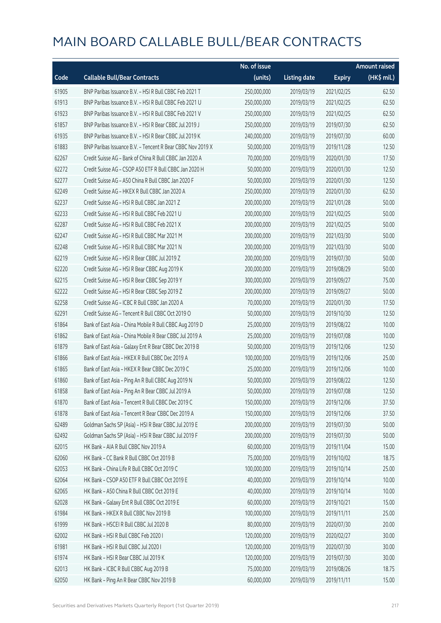|       |                                                            | No. of issue |                     |               | <b>Amount raised</b>  |
|-------|------------------------------------------------------------|--------------|---------------------|---------------|-----------------------|
| Code  | <b>Callable Bull/Bear Contracts</b>                        | (units)      | <b>Listing date</b> | <b>Expiry</b> | $(HK\frac{1}{2}mil.)$ |
| 61905 | BNP Paribas Issuance B.V. - HSI R Bull CBBC Feb 2021 T     | 250,000,000  | 2019/03/19          | 2021/02/25    | 62.50                 |
| 61913 | BNP Paribas Issuance B.V. - HSI R Bull CBBC Feb 2021 U     | 250,000,000  | 2019/03/19          | 2021/02/25    | 62.50                 |
| 61923 | BNP Paribas Issuance B.V. - HSI R Bull CBBC Feb 2021 V     | 250,000,000  | 2019/03/19          | 2021/02/25    | 62.50                 |
| 61857 | BNP Paribas Issuance B.V. - HSI R Bear CBBC Jul 2019 J     | 250,000,000  | 2019/03/19          | 2019/07/30    | 62.50                 |
| 61935 | BNP Paribas Issuance B.V. - HSI R Bear CBBC Jul 2019 K     | 240,000,000  | 2019/03/19          | 2019/07/30    | 60.00                 |
| 61883 | BNP Paribas Issuance B.V. - Tencent R Bear CBBC Nov 2019 X | 50,000,000   | 2019/03/19          | 2019/11/28    | 12.50                 |
| 62267 | Credit Suisse AG - Bank of China R Bull CBBC Jan 2020 A    | 70,000,000   | 2019/03/19          | 2020/01/30    | 17.50                 |
| 62272 | Credit Suisse AG - CSOP A50 ETF R Bull CBBC Jan 2020 H     | 50,000,000   | 2019/03/19          | 2020/01/30    | 12.50                 |
| 62277 | Credit Suisse AG - A50 China R Bull CBBC Jan 2020 F        | 50,000,000   | 2019/03/19          | 2020/01/30    | 12.50                 |
| 62249 | Credit Suisse AG - HKEX R Bull CBBC Jan 2020 A             | 250,000,000  | 2019/03/19          | 2020/01/30    | 62.50                 |
| 62237 | Credit Suisse AG - HSI R Bull CBBC Jan 2021 Z              | 200,000,000  | 2019/03/19          | 2021/01/28    | 50.00                 |
| 62233 | Credit Suisse AG - HSI R Bull CBBC Feb 2021 U              | 200,000,000  | 2019/03/19          | 2021/02/25    | 50.00                 |
| 62287 | Credit Suisse AG - HSI R Bull CBBC Feb 2021 X              | 200,000,000  | 2019/03/19          | 2021/02/25    | 50.00                 |
| 62247 | Credit Suisse AG - HSI R Bull CBBC Mar 2021 M              | 200,000,000  | 2019/03/19          | 2021/03/30    | 50.00                 |
| 62248 | Credit Suisse AG - HSI R Bull CBBC Mar 2021 N              | 200,000,000  | 2019/03/19          | 2021/03/30    | 50.00                 |
| 62219 | Credit Suisse AG - HSI R Bear CBBC Jul 2019 Z              | 200,000,000  | 2019/03/19          | 2019/07/30    | 50.00                 |
| 62220 | Credit Suisse AG - HSI R Bear CBBC Aug 2019 K              | 200,000,000  | 2019/03/19          | 2019/08/29    | 50.00                 |
| 62215 | Credit Suisse AG - HSI R Bear CBBC Sep 2019 Y              | 300,000,000  | 2019/03/19          | 2019/09/27    | 75.00                 |
| 62222 | Credit Suisse AG - HSI R Bear CBBC Sep 2019 Z              | 200,000,000  | 2019/03/19          | 2019/09/27    | 50.00                 |
| 62258 | Credit Suisse AG - ICBC R Bull CBBC Jan 2020 A             | 70,000,000   | 2019/03/19          | 2020/01/30    | 17.50                 |
| 62291 | Credit Suisse AG - Tencent R Bull CBBC Oct 2019 O          | 50,000,000   | 2019/03/19          | 2019/10/30    | 12.50                 |
| 61864 | Bank of East Asia - China Mobile R Bull CBBC Aug 2019 D    | 25,000,000   | 2019/03/19          | 2019/08/22    | 10.00                 |
| 61862 | Bank of East Asia - China Mobile R Bear CBBC Jul 2019 A    | 25,000,000   | 2019/03/19          | 2019/07/08    | 10.00                 |
| 61879 | Bank of East Asia - Galaxy Ent R Bear CBBC Dec 2019 B      | 50,000,000   | 2019/03/19          | 2019/12/06    | 12.50                 |
| 61866 | Bank of East Asia - HKEX R Bull CBBC Dec 2019 A            | 100,000,000  | 2019/03/19          | 2019/12/06    | 25.00                 |
| 61865 | Bank of East Asia - HKEX R Bear CBBC Dec 2019 C            | 25,000,000   | 2019/03/19          | 2019/12/06    | 10.00                 |
| 61860 | Bank of East Asia - Ping An R Bull CBBC Aug 2019 N         | 50,000,000   | 2019/03/19          | 2019/08/22    | 12.50                 |
| 61858 | Bank of East Asia - Ping An R Bear CBBC Jul 2019 A         | 50,000,000   | 2019/03/19          | 2019/07/08    | 12.50                 |
| 61870 | Bank of East Asia - Tencent R Bull CBBC Dec 2019 C         | 150,000,000  | 2019/03/19          | 2019/12/06    | 37.50                 |
| 61878 | Bank of East Asia - Tencent R Bear CBBC Dec 2019 A         | 150,000,000  | 2019/03/19          | 2019/12/06    | 37.50                 |
| 62489 | Goldman Sachs SP (Asia) - HSI R Bear CBBC Jul 2019 E       | 200,000,000  | 2019/03/19          | 2019/07/30    | 50.00                 |
| 62492 | Goldman Sachs SP (Asia) - HSI R Bear CBBC Jul 2019 F       | 200,000,000  | 2019/03/19          | 2019/07/30    | 50.00                 |
| 62015 | HK Bank - AIA R Bull CBBC Nov 2019 A                       | 60,000,000   | 2019/03/19          | 2019/11/04    | 15.00                 |
| 62060 | HK Bank - CC Bank R Bull CBBC Oct 2019 B                   | 75,000,000   | 2019/03/19          | 2019/10/02    | 18.75                 |
| 62053 | HK Bank - China Life R Bull CBBC Oct 2019 C                | 100,000,000  | 2019/03/19          | 2019/10/14    | 25.00                 |
| 62064 | HK Bank - CSOP A50 ETF R Bull CBBC Oct 2019 E              | 40,000,000   | 2019/03/19          | 2019/10/14    | 10.00                 |
| 62065 | HK Bank - A50 China R Bull CBBC Oct 2019 E                 | 40,000,000   | 2019/03/19          | 2019/10/14    | 10.00                 |
| 62028 | HK Bank - Galaxy Ent R Bull CBBC Oct 2019 E                | 60,000,000   | 2019/03/19          | 2019/10/21    | 15.00                 |
| 61984 | HK Bank - HKEX R Bull CBBC Nov 2019 B                      | 100,000,000  | 2019/03/19          | 2019/11/11    | 25.00                 |
| 61999 | HK Bank - HSCEI R Bull CBBC Jul 2020 B                     | 80,000,000   | 2019/03/19          | 2020/07/30    | 20.00                 |
| 62002 | HK Bank - HSI R Bull CBBC Feb 2020 I                       | 120,000,000  | 2019/03/19          | 2020/02/27    | 30.00                 |
| 61981 | HK Bank - HSI R Bull CBBC Jul 2020 I                       | 120,000,000  | 2019/03/19          | 2020/07/30    | 30.00                 |
| 61974 | HK Bank - HSI R Bear CBBC Jul 2019 K                       | 120,000,000  | 2019/03/19          | 2019/07/30    | 30.00                 |
| 62013 | HK Bank - ICBC R Bull CBBC Aug 2019 B                      | 75,000,000   | 2019/03/19          | 2019/08/26    | 18.75                 |
| 62050 | HK Bank - Ping An R Bear CBBC Nov 2019 B                   | 60,000,000   | 2019/03/19          | 2019/11/11    | 15.00                 |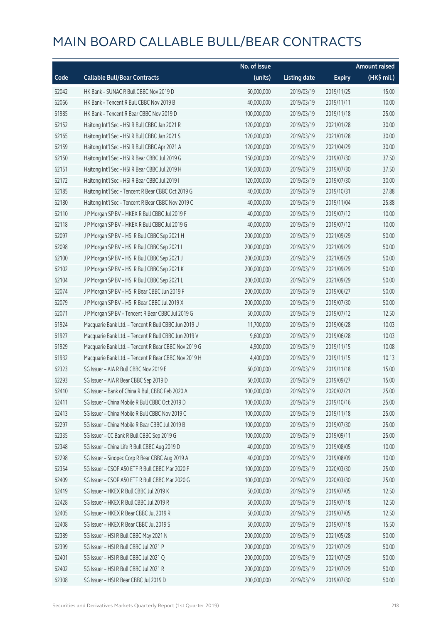|       |                                                      | No. of issue |                     |               | <b>Amount raised</b> |
|-------|------------------------------------------------------|--------------|---------------------|---------------|----------------------|
| Code  | <b>Callable Bull/Bear Contracts</b>                  | (units)      | <b>Listing date</b> | <b>Expiry</b> | (HK\$ mil.)          |
| 62042 | HK Bank - SUNAC R Bull CBBC Nov 2019 D               | 60,000,000   | 2019/03/19          | 2019/11/25    | 15.00                |
| 62066 | HK Bank - Tencent R Bull CBBC Nov 2019 B             | 40,000,000   | 2019/03/19          | 2019/11/11    | 10.00                |
| 61985 | HK Bank - Tencent R Bear CBBC Nov 2019 D             | 100,000,000  | 2019/03/19          | 2019/11/18    | 25.00                |
| 62152 | Haitong Int'l Sec - HSI R Bull CBBC Jan 2021 R       | 120,000,000  | 2019/03/19          | 2021/01/28    | 30.00                |
| 62165 | Haitong Int'l Sec - HSI R Bull CBBC Jan 2021 S       | 120,000,000  | 2019/03/19          | 2021/01/28    | 30.00                |
| 62159 | Haitong Int'l Sec - HSI R Bull CBBC Apr 2021 A       | 120,000,000  | 2019/03/19          | 2021/04/29    | 30.00                |
| 62150 | Haitong Int'l Sec - HSI R Bear CBBC Jul 2019 G       | 150,000,000  | 2019/03/19          | 2019/07/30    | 37.50                |
| 62151 | Haitong Int'l Sec - HSI R Bear CBBC Jul 2019 H       | 150,000,000  | 2019/03/19          | 2019/07/30    | 37.50                |
| 62172 | Haitong Int'l Sec - HSI R Bear CBBC Jul 2019 I       | 120,000,000  | 2019/03/19          | 2019/07/30    | 30.00                |
| 62185 | Haitong Int'l Sec - Tencent R Bear CBBC Oct 2019 G   | 40,000,000   | 2019/03/19          | 2019/10/31    | 27.88                |
| 62180 | Haitong Int'l Sec - Tencent R Bear CBBC Nov 2019 C   | 40,000,000   | 2019/03/19          | 2019/11/04    | 25.88                |
| 62110 | J P Morgan SP BV - HKEX R Bull CBBC Jul 2019 F       | 40,000,000   | 2019/03/19          | 2019/07/12    | 10.00                |
| 62118 | J P Morgan SP BV - HKEX R Bull CBBC Jul 2019 G       | 40,000,000   | 2019/03/19          | 2019/07/12    | 10.00                |
| 62097 | J P Morgan SP BV - HSI R Bull CBBC Sep 2021 H        | 200,000,000  | 2019/03/19          | 2021/09/29    | 50.00                |
| 62098 | J P Morgan SP BV - HSI R Bull CBBC Sep 2021 I        | 200,000,000  | 2019/03/19          | 2021/09/29    | 50.00                |
| 62100 | J P Morgan SP BV - HSI R Bull CBBC Sep 2021 J        | 200,000,000  | 2019/03/19          | 2021/09/29    | 50.00                |
| 62102 | J P Morgan SP BV - HSI R Bull CBBC Sep 2021 K        | 200,000,000  | 2019/03/19          | 2021/09/29    | 50.00                |
| 62104 | J P Morgan SP BV - HSI R Bull CBBC Sep 2021 L        | 200,000,000  | 2019/03/19          | 2021/09/29    | 50.00                |
| 62074 | J P Morgan SP BV - HSI R Bear CBBC Jun 2019 F        | 200,000,000  | 2019/03/19          | 2019/06/27    | 50.00                |
| 62079 | J P Morgan SP BV - HSI R Bear CBBC Jul 2019 X        | 200,000,000  | 2019/03/19          | 2019/07/30    | 50.00                |
| 62071 | J P Morgan SP BV - Tencent R Bear CBBC Jul 2019 G    | 50,000,000   | 2019/03/19          | 2019/07/12    | 12.50                |
| 61924 | Macquarie Bank Ltd. - Tencent R Bull CBBC Jun 2019 U | 11,700,000   | 2019/03/19          | 2019/06/28    | 10.03                |
| 61927 | Macquarie Bank Ltd. - Tencent R Bull CBBC Jun 2019 V | 9,600,000    | 2019/03/19          | 2019/06/28    | 10.03                |
| 61929 | Macquarie Bank Ltd. - Tencent R Bear CBBC Nov 2019 G | 4,900,000    | 2019/03/19          | 2019/11/15    | 10.08                |
| 61932 | Macquarie Bank Ltd. - Tencent R Bear CBBC Nov 2019 H | 4,400,000    | 2019/03/19          | 2019/11/15    | 10.13                |
| 62323 | SG Issuer - AIA R Bull CBBC Nov 2019 E               | 60,000,000   | 2019/03/19          | 2019/11/18    | 15.00                |
| 62293 | SG Issuer - AIA R Bear CBBC Sep 2019 D               | 60,000,000   | 2019/03/19          | 2019/09/27    | 15.00                |
| 62410 | SG Issuer – Bank of China R Bull CBBC Feb 2020 A     | 100,000,000  | 2019/03/19          | 2020/02/21    | 25.00                |
| 62411 | SG Issuer - China Mobile R Bull CBBC Oct 2019 D      | 100,000,000  | 2019/03/19          | 2019/10/16    | 25.00                |
| 62413 | SG Issuer - China Mobile R Bull CBBC Nov 2019 C      | 100,000,000  | 2019/03/19          | 2019/11/18    | 25.00                |
| 62297 | SG Issuer - China Mobile R Bear CBBC Jul 2019 B      | 100,000,000  | 2019/03/19          | 2019/07/30    | 25.00                |
| 62335 | SG Issuer - CC Bank R Bull CBBC Sep 2019 G           | 100,000,000  | 2019/03/19          | 2019/09/11    | 25.00                |
| 62348 | SG Issuer - China Life R Bull CBBC Aug 2019 D        | 40,000,000   | 2019/03/19          | 2019/08/05    | 10.00                |
| 62298 | SG Issuer - Sinopec Corp R Bear CBBC Aug 2019 A      | 40,000,000   | 2019/03/19          | 2019/08/09    | 10.00                |
| 62354 | SG Issuer - CSOP A50 ETF R Bull CBBC Mar 2020 F      | 100,000,000  | 2019/03/19          | 2020/03/30    | 25.00                |
| 62409 | SG Issuer - CSOP A50 ETF R Bull CBBC Mar 2020 G      | 100,000,000  | 2019/03/19          | 2020/03/30    | 25.00                |
| 62419 | SG Issuer - HKEX R Bull CBBC Jul 2019 K              | 50,000,000   | 2019/03/19          | 2019/07/05    | 12.50                |
| 62428 | SG Issuer - HKEX R Bull CBBC Jul 2019 R              | 50,000,000   | 2019/03/19          | 2019/07/18    | 12.50                |
| 62405 | SG Issuer - HKEX R Bear CBBC Jul 2019 R              | 50,000,000   | 2019/03/19          | 2019/07/05    | 12.50                |
| 62408 | SG Issuer - HKEX R Bear CBBC Jul 2019 S              | 50,000,000   | 2019/03/19          | 2019/07/18    | 15.50                |
| 62389 | SG Issuer - HSI R Bull CBBC May 2021 N               | 200,000,000  | 2019/03/19          | 2021/05/28    | 50.00                |
| 62399 | SG Issuer - HSI R Bull CBBC Jul 2021 P               | 200,000,000  | 2019/03/19          | 2021/07/29    | 50.00                |
| 62401 | SG Issuer - HSI R Bull CBBC Jul 2021 Q               | 200,000,000  | 2019/03/19          | 2021/07/29    | 50.00                |
| 62402 | SG Issuer - HSI R Bull CBBC Jul 2021 R               | 200,000,000  | 2019/03/19          | 2021/07/29    | 50.00                |
| 62308 | SG Issuer - HSI R Bear CBBC Jul 2019 D               | 200,000,000  | 2019/03/19          | 2019/07/30    | 50.00                |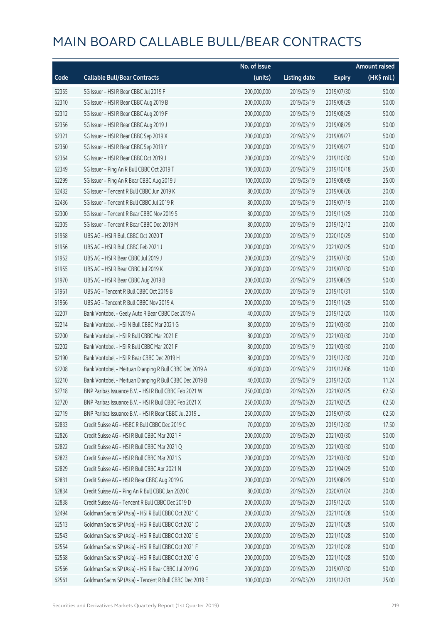|       |                                                          | No. of issue |                     |               | <b>Amount raised</b> |
|-------|----------------------------------------------------------|--------------|---------------------|---------------|----------------------|
| Code  | <b>Callable Bull/Bear Contracts</b>                      | (units)      | <b>Listing date</b> | <b>Expiry</b> | (HK\$ mil.)          |
| 62355 | SG Issuer - HSI R Bear CBBC Jul 2019 F                   | 200,000,000  | 2019/03/19          | 2019/07/30    | 50.00                |
| 62310 | SG Issuer - HSI R Bear CBBC Aug 2019 B                   | 200,000,000  | 2019/03/19          | 2019/08/29    | 50.00                |
| 62312 | SG Issuer - HSI R Bear CBBC Aug 2019 F                   | 200,000,000  | 2019/03/19          | 2019/08/29    | 50.00                |
| 62356 | SG Issuer - HSI R Bear CBBC Aug 2019 J                   | 200,000,000  | 2019/03/19          | 2019/08/29    | 50.00                |
| 62321 | SG Issuer - HSI R Bear CBBC Sep 2019 X                   | 200,000,000  | 2019/03/19          | 2019/09/27    | 50.00                |
| 62360 | SG Issuer - HSI R Bear CBBC Sep 2019 Y                   | 200,000,000  | 2019/03/19          | 2019/09/27    | 50.00                |
| 62364 | SG Issuer - HSI R Bear CBBC Oct 2019 J                   | 200,000,000  | 2019/03/19          | 2019/10/30    | 50.00                |
| 62349 | SG Issuer - Ping An R Bull CBBC Oct 2019 T               | 100,000,000  | 2019/03/19          | 2019/10/18    | 25.00                |
| 62299 | SG Issuer - Ping An R Bear CBBC Aug 2019 J               | 100,000,000  | 2019/03/19          | 2019/08/09    | 25.00                |
| 62432 | SG Issuer - Tencent R Bull CBBC Jun 2019 K               | 80,000,000   | 2019/03/19          | 2019/06/26    | 20.00                |
| 62436 | SG Issuer - Tencent R Bull CBBC Jul 2019 R               | 80,000,000   | 2019/03/19          | 2019/07/19    | 20.00                |
| 62300 | SG Issuer - Tencent R Bear CBBC Nov 2019 S               | 80,000,000   | 2019/03/19          | 2019/11/29    | 20.00                |
| 62305 | SG Issuer - Tencent R Bear CBBC Dec 2019 M               | 80,000,000   | 2019/03/19          | 2019/12/12    | 20.00                |
| 61958 | UBS AG - HSI R Bull CBBC Oct 2020 T                      | 200,000,000  | 2019/03/19          | 2020/10/29    | 50.00                |
| 61956 | UBS AG - HSI R Bull CBBC Feb 2021 J                      | 200,000,000  | 2019/03/19          | 2021/02/25    | 50.00                |
| 61952 | UBS AG - HSI R Bear CBBC Jul 2019 J                      | 200,000,000  | 2019/03/19          | 2019/07/30    | 50.00                |
| 61955 | UBS AG - HSI R Bear CBBC Jul 2019 K                      | 200,000,000  | 2019/03/19          | 2019/07/30    | 50.00                |
| 61970 | UBS AG - HSI R Bear CBBC Aug 2019 B                      | 200,000,000  | 2019/03/19          | 2019/08/29    | 50.00                |
| 61961 | UBS AG - Tencent R Bull CBBC Oct 2019 B                  | 200,000,000  | 2019/03/19          | 2019/10/31    | 50.00                |
| 61966 | UBS AG - Tencent R Bull CBBC Nov 2019 A                  | 200,000,000  | 2019/03/19          | 2019/11/29    | 50.00                |
| 62207 | Bank Vontobel - Geely Auto R Bear CBBC Dec 2019 A        | 40,000,000   | 2019/03/19          | 2019/12/20    | 10.00                |
| 62214 | Bank Vontobel - HSI N Bull CBBC Mar 2021 G               | 80,000,000   | 2019/03/19          | 2021/03/30    | 20.00                |
| 62200 | Bank Vontobel - HSI R Bull CBBC Mar 2021 E               | 80,000,000   | 2019/03/19          | 2021/03/30    | 20.00                |
| 62202 | Bank Vontobel - HSI R Bull CBBC Mar 2021 F               | 80,000,000   | 2019/03/19          | 2021/03/30    | 20.00                |
| 62190 | Bank Vontobel - HSI R Bear CBBC Dec 2019 H               | 80,000,000   | 2019/03/19          | 2019/12/30    | 20.00                |
| 62208 | Bank Vontobel - Meituan Dianping R Bull CBBC Dec 2019 A  | 40,000,000   | 2019/03/19          | 2019/12/06    | 10.00                |
| 62210 | Bank Vontobel - Meituan Dianping R Bull CBBC Dec 2019 B  | 40,000,000   | 2019/03/19          | 2019/12/20    | 11.24                |
| 62718 | BNP Paribas Issuance B.V. - HSI R Bull CBBC Feb 2021 W   | 250,000,000  | 2019/03/20          | 2021/02/25    | 62.50                |
| 62720 | BNP Paribas Issuance B.V. - HSI R Bull CBBC Feb 2021 X   | 250,000,000  | 2019/03/20          | 2021/02/25    | 62.50                |
| 62719 | BNP Paribas Issuance B.V. - HSI R Bear CBBC Jul 2019 L   | 250,000,000  | 2019/03/20          | 2019/07/30    | 62.50                |
| 62833 | Credit Suisse AG - HSBC R Bull CBBC Dec 2019 C           | 70,000,000   | 2019/03/20          | 2019/12/30    | 17.50                |
| 62826 | Credit Suisse AG - HSI R Bull CBBC Mar 2021 F            | 200,000,000  | 2019/03/20          | 2021/03/30    | 50.00                |
| 62822 | Credit Suisse AG - HSI R Bull CBBC Mar 2021 Q            | 200,000,000  | 2019/03/20          | 2021/03/30    | 50.00                |
| 62823 | Credit Suisse AG - HSI R Bull CBBC Mar 2021 S            | 200,000,000  | 2019/03/20          | 2021/03/30    | 50.00                |
| 62829 | Credit Suisse AG - HSI R Bull CBBC Apr 2021 N            | 200,000,000  | 2019/03/20          | 2021/04/29    | 50.00                |
| 62831 | Credit Suisse AG - HSI R Bear CBBC Aug 2019 G            | 200,000,000  | 2019/03/20          | 2019/08/29    | 50.00                |
| 62834 | Credit Suisse AG - Ping An R Bull CBBC Jan 2020 C        | 80,000,000   | 2019/03/20          | 2020/01/24    | 20.00                |
| 62838 | Credit Suisse AG - Tencent R Bull CBBC Dec 2019 D        | 200,000,000  | 2019/03/20          | 2019/12/20    | 50.00                |
| 62494 | Goldman Sachs SP (Asia) - HSI R Bull CBBC Oct 2021 C     | 200,000,000  | 2019/03/20          | 2021/10/28    | 50.00                |
| 62513 | Goldman Sachs SP (Asia) - HSI R Bull CBBC Oct 2021 D     | 200,000,000  | 2019/03/20          | 2021/10/28    | 50.00                |
| 62543 | Goldman Sachs SP (Asia) - HSI R Bull CBBC Oct 2021 E     | 200,000,000  | 2019/03/20          | 2021/10/28    | 50.00                |
| 62554 | Goldman Sachs SP (Asia) - HSI R Bull CBBC Oct 2021 F     | 200,000,000  | 2019/03/20          | 2021/10/28    | 50.00                |
| 62568 | Goldman Sachs SP (Asia) - HSI R Bull CBBC Oct 2021 G     | 200,000,000  | 2019/03/20          | 2021/10/28    | 50.00                |
| 62566 | Goldman Sachs SP (Asia) - HSI R Bear CBBC Jul 2019 G     | 200,000,000  | 2019/03/20          | 2019/07/30    | 50.00                |
| 62561 | Goldman Sachs SP (Asia) - Tencent R Bull CBBC Dec 2019 E | 100,000,000  | 2019/03/20          | 2019/12/31    | 25.00                |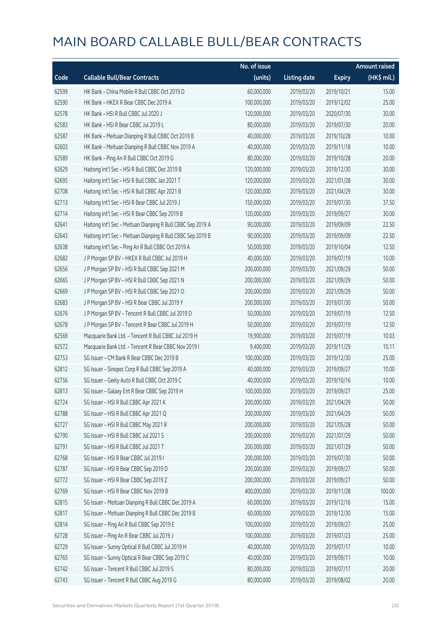|       |                                                             | No. of issue |                     |               | <b>Amount raised</b> |
|-------|-------------------------------------------------------------|--------------|---------------------|---------------|----------------------|
| Code  | <b>Callable Bull/Bear Contracts</b>                         | (units)      | <b>Listing date</b> | <b>Expiry</b> | (HK\$ mil.)          |
| 62599 | HK Bank - China Mobile R Bull CBBC Oct 2019 D               | 60,000,000   | 2019/03/20          | 2019/10/21    | 15.00                |
| 62590 | HK Bank - HKEX R Bear CBBC Dec 2019 A                       | 100,000,000  | 2019/03/20          | 2019/12/02    | 25.00                |
| 62578 | HK Bank - HSI R Bull CBBC Jul 2020 J                        | 120,000,000  | 2019/03/20          | 2020/07/30    | 30.00                |
| 62583 | HK Bank - HSI R Bear CBBC Jul 2019 L                        | 80,000,000   | 2019/03/20          | 2019/07/30    | 20.00                |
| 62587 | HK Bank - Meituan Dianping R Bull CBBC Oct 2019 B           | 40,000,000   | 2019/03/20          | 2019/10/28    | 10.00                |
| 62603 | HK Bank - Meituan Dianping R Bull CBBC Nov 2019 A           | 40,000,000   | 2019/03/20          | 2019/11/18    | 10.00                |
| 62589 | HK Bank - Ping An R Bull CBBC Oct 2019 G                    | 80,000,000   | 2019/03/20          | 2019/10/28    | 20.00                |
| 62629 | Haitong Int'l Sec - HSI R Bull CBBC Dec 2019 B              | 120,000,000  | 2019/03/20          | 2019/12/30    | 30.00                |
| 62695 | Haitong Int'l Sec - HSI R Bull CBBC Jan 2021 T              | 120,000,000  | 2019/03/20          | 2021/01/28    | 30.00                |
| 62708 | Haitong Int'l Sec - HSI R Bull CBBC Apr 2021 B              | 120,000,000  | 2019/03/20          | 2021/04/29    | 30.00                |
| 62713 | Haitong Int'l Sec - HSI R Bear CBBC Jul 2019 J              | 150,000,000  | 2019/03/20          | 2019/07/30    | 37.50                |
| 62714 | Haitong Int'l Sec - HSI R Bear CBBC Sep 2019 B              | 120,000,000  | 2019/03/20          | 2019/09/27    | 30.00                |
| 62641 | Haitong Int'l Sec - Meituan Dianping R Bull CBBC Sep 2019 A | 90,000,000   | 2019/03/20          | 2019/09/09    | 22.50                |
| 62643 | Haitong Int'l Sec - Meituan Dianping R Bull CBBC Sep 2019 B | 90,000,000   | 2019/03/20          | 2019/09/09    | 22.50                |
| 62638 | Haitong Int'l Sec - Ping An R Bull CBBC Oct 2019 A          | 50,000,000   | 2019/03/20          | 2019/10/04    | 12.50                |
| 62682 | J P Morgan SP BV - HKEX R Bull CBBC Jul 2019 H              | 40,000,000   | 2019/03/20          | 2019/07/19    | 10.00                |
| 62656 | J P Morgan SP BV - HSI R Bull CBBC Sep 2021 M               | 200,000,000  | 2019/03/20          | 2021/09/29    | 50.00                |
| 62665 | J P Morgan SP BV - HSI R Bull CBBC Sep 2021 N               | 200,000,000  | 2019/03/20          | 2021/09/29    | 50.00                |
| 62669 | J P Morgan SP BV - HSI R Bull CBBC Sep 2021 O               | 200,000,000  | 2019/03/20          | 2021/09/29    | 50.00                |
| 62683 | J P Morgan SP BV - HSI R Bear CBBC Jul 2019 Y               | 200,000,000  | 2019/03/20          | 2019/07/30    | 50.00                |
| 62676 | J P Morgan SP BV - Tencent R Bull CBBC Jul 2019 D           | 50,000,000   | 2019/03/20          | 2019/07/19    | 12.50                |
| 62678 | J P Morgan SP BV - Tencent R Bear CBBC Jul 2019 H           | 50,000,000   | 2019/03/20          | 2019/07/19    | 12.50                |
| 62569 | Macquarie Bank Ltd. - Tencent R Bull CBBC Jul 2019 H        | 19,900,000   | 2019/03/20          | 2019/07/19    | 10.03                |
| 62572 | Macquarie Bank Ltd. - Tencent R Bear CBBC Nov 2019 I        | 9,400,000    | 2019/03/20          | 2019/11/29    | 10.11                |
| 62753 | SG Issuer - CM Bank R Bear CBBC Dec 2019 B                  | 100,000,000  | 2019/03/20          | 2019/12/30    | 25.00                |
| 62812 | SG Issuer - Sinopec Corp R Bull CBBC Sep 2019 A             | 40,000,000   | 2019/03/20          | 2019/09/27    | 10.00                |
| 62756 | SG Issuer - Geely Auto R Bull CBBC Oct 2019 C               | 40,000,000   | 2019/03/20          | 2019/10/16    | 10.00                |
| 62813 | SG Issuer - Galaxy Ent R Bear CBBC Sep 2019 H               | 100,000,000  | 2019/03/20          | 2019/09/27    | 25.00                |
| 62724 | SG Issuer - HSI R Bull CBBC Apr 2021 K                      | 200,000,000  | 2019/03/20          | 2021/04/29    | 50.00                |
| 62788 | SG Issuer - HSI R Bull CBBC Apr 2021 Q                      | 200,000,000  | 2019/03/20          | 2021/04/29    | 50.00                |
| 62727 | SG Issuer - HSI R Bull CBBC May 2021 R                      | 200,000,000  | 2019/03/20          | 2021/05/28    | 50.00                |
| 62790 | SG Issuer - HSI R Bull CBBC Jul 2021 S                      | 200,000,000  | 2019/03/20          | 2021/07/29    | 50.00                |
| 62791 | SG Issuer - HSI R Bull CBBC Jul 2021 T                      | 200,000,000  | 2019/03/20          | 2021/07/29    | 50.00                |
| 62768 | SG Issuer - HSI R Bear CBBC Jul 2019 I                      | 200,000,000  | 2019/03/20          | 2019/07/30    | 50.00                |
| 62787 | SG Issuer - HSI R Bear CBBC Sep 2019 D                      | 200,000,000  | 2019/03/20          | 2019/09/27    | 50.00                |
| 62772 | SG Issuer - HSI R Bear CBBC Sep 2019 Z                      | 200,000,000  | 2019/03/20          | 2019/09/27    | 50.00                |
| 62769 | SG Issuer - HSI R Bear CBBC Nov 2019 B                      | 400,000,000  | 2019/03/20          | 2019/11/28    | 100.00               |
| 62815 | SG Issuer - Meituan Dianping R Bull CBBC Dec 2019 A         | 60,000,000   | 2019/03/20          | 2019/12/16    | 15.00                |
| 62817 | SG Issuer - Meituan Dianping R Bull CBBC Dec 2019 B         | 60,000,000   | 2019/03/20          | 2019/12/30    | 15.00                |
| 62814 | SG Issuer - Ping An R Bull CBBC Sep 2019 E                  | 100,000,000  | 2019/03/20          | 2019/09/27    | 25.00                |
| 62728 | SG Issuer - Ping An R Bear CBBC Jul 2019 J                  | 100,000,000  | 2019/03/20          | 2019/07/23    | 25.00                |
| 62729 | SG Issuer - Sunny Optical R Bull CBBC Jul 2019 H            | 40,000,000   | 2019/03/20          | 2019/07/17    | 10.00                |
| 62765 | SG Issuer - Sunny Optical R Bear CBBC Sep 2019 C            | 40,000,000   | 2019/03/20          | 2019/09/11    | 10.00                |
| 62742 | SG Issuer - Tencent R Bull CBBC Jul 2019 S                  | 80,000,000   | 2019/03/20          | 2019/07/17    | 20.00                |
| 62743 | SG Issuer - Tencent R Bull CBBC Aug 2019 G                  | 80,000,000   | 2019/03/20          | 2019/08/02    | 20.00                |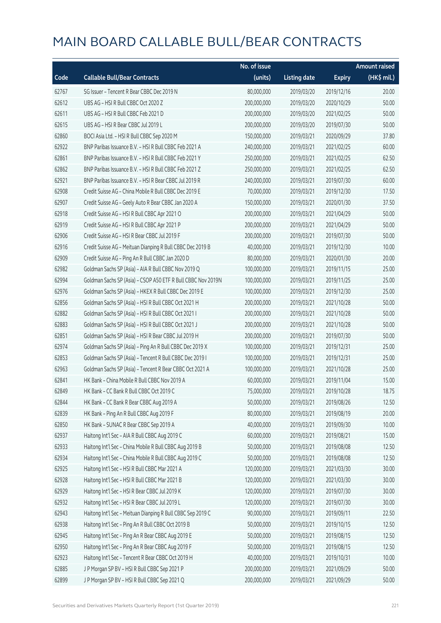|       |                                                              | No. of issue |                     |               | <b>Amount raised</b> |
|-------|--------------------------------------------------------------|--------------|---------------------|---------------|----------------------|
| Code  | <b>Callable Bull/Bear Contracts</b>                          | (units)      | <b>Listing date</b> | <b>Expiry</b> | (HK\$ mil.)          |
| 62767 | SG Issuer - Tencent R Bear CBBC Dec 2019 N                   | 80,000,000   | 2019/03/20          | 2019/12/16    | 20.00                |
| 62612 | UBS AG - HSI R Bull CBBC Oct 2020 Z                          | 200,000,000  | 2019/03/20          | 2020/10/29    | 50.00                |
| 62611 | UBS AG - HSI R Bull CBBC Feb 2021 D                          | 200,000,000  | 2019/03/20          | 2021/02/25    | 50.00                |
| 62615 | UBS AG - HSI R Bear CBBC Jul 2019 L                          | 200,000,000  | 2019/03/20          | 2019/07/30    | 50.00                |
| 62860 | BOCI Asia Ltd. - HSI R Bull CBBC Sep 2020 M                  | 150,000,000  | 2019/03/21          | 2020/09/29    | 37.80                |
| 62922 | BNP Paribas Issuance B.V. - HSI R Bull CBBC Feb 2021 A       | 240,000,000  | 2019/03/21          | 2021/02/25    | 60.00                |
| 62861 | BNP Paribas Issuance B.V. - HSI R Bull CBBC Feb 2021 Y       | 250,000,000  | 2019/03/21          | 2021/02/25    | 62.50                |
| 62862 | BNP Paribas Issuance B.V. - HSI R Bull CBBC Feb 2021 Z       | 250,000,000  | 2019/03/21          | 2021/02/25    | 62.50                |
| 62921 | BNP Paribas Issuance B.V. - HSI R Bear CBBC Jul 2019 R       | 240,000,000  | 2019/03/21          | 2019/07/30    | 60.00                |
| 62908 | Credit Suisse AG - China Mobile R Bull CBBC Dec 2019 E       | 70,000,000   | 2019/03/21          | 2019/12/30    | 17.50                |
| 62907 | Credit Suisse AG - Geely Auto R Bear CBBC Jan 2020 A         | 150,000,000  | 2019/03/21          | 2020/01/30    | 37.50                |
| 62918 | Credit Suisse AG - HSI R Bull CBBC Apr 2021 O                | 200,000,000  | 2019/03/21          | 2021/04/29    | 50.00                |
| 62919 | Credit Suisse AG - HSI R Bull CBBC Apr 2021 P                | 200,000,000  | 2019/03/21          | 2021/04/29    | 50.00                |
| 62906 | Credit Suisse AG - HSI R Bear CBBC Jul 2019 F                | 200,000,000  | 2019/03/21          | 2019/07/30    | 50.00                |
| 62916 | Credit Suisse AG - Meituan Dianping R Bull CBBC Dec 2019 B   | 40,000,000   | 2019/03/21          | 2019/12/30    | 10.00                |
| 62909 | Credit Suisse AG - Ping An R Bull CBBC Jan 2020 D            | 80,000,000   | 2019/03/21          | 2020/01/30    | 20.00                |
| 62982 | Goldman Sachs SP (Asia) - AIA R Bull CBBC Nov 2019 Q         | 100,000,000  | 2019/03/21          | 2019/11/15    | 25.00                |
| 62994 | Goldman Sachs SP (Asia) - CSOP A50 ETF R Bull CBBC Nov 2019N | 100,000,000  | 2019/03/21          | 2019/11/25    | 25.00                |
| 62976 | Goldman Sachs SP (Asia) - HKEX R Bull CBBC Dec 2019 E        | 100,000,000  | 2019/03/21          | 2019/12/30    | 25.00                |
| 62856 | Goldman Sachs SP (Asia) - HSI R Bull CBBC Oct 2021 H         | 200,000,000  | 2019/03/21          | 2021/10/28    | 50.00                |
| 62882 | Goldman Sachs SP (Asia) - HSI R Bull CBBC Oct 2021 I         | 200,000,000  | 2019/03/21          | 2021/10/28    | 50.00                |
| 62883 | Goldman Sachs SP (Asia) - HSI R Bull CBBC Oct 2021 J         | 200,000,000  | 2019/03/21          | 2021/10/28    | 50.00                |
| 62851 | Goldman Sachs SP (Asia) - HSI R Bear CBBC Jul 2019 H         | 200,000,000  | 2019/03/21          | 2019/07/30    | 50.00                |
| 62974 | Goldman Sachs SP (Asia) - Ping An R Bull CBBC Dec 2019 X     | 100,000,000  | 2019/03/21          | 2019/12/31    | 25.00                |
| 62853 | Goldman Sachs SP (Asia) - Tencent R Bull CBBC Dec 2019 I     | 100,000,000  | 2019/03/21          | 2019/12/31    | 25.00                |
| 62963 | Goldman Sachs SP (Asia) - Tencent R Bear CBBC Oct 2021 A     | 100,000,000  | 2019/03/21          | 2021/10/28    | 25.00                |
| 62841 | HK Bank - China Mobile R Bull CBBC Nov 2019 A                | 60,000,000   | 2019/03/21          | 2019/11/04    | 15.00                |
| 62849 | HK Bank - CC Bank R Bull CBBC Oct 2019 C                     | 75,000,000   | 2019/03/21          | 2019/10/28    | 18.75                |
| 62844 | HK Bank - CC Bank R Bear CBBC Aug 2019 A                     | 50,000,000   | 2019/03/21          | 2019/08/26    | 12.50                |
| 62839 | HK Bank - Ping An R Bull CBBC Aug 2019 F                     | 80,000,000   | 2019/03/21          | 2019/08/19    | 20.00                |
| 62850 | HK Bank - SUNAC R Bear CBBC Sep 2019 A                       | 40,000,000   | 2019/03/21          | 2019/09/30    | 10.00                |
| 62937 | Haitong Int'l Sec - AIA R Bull CBBC Aug 2019 C               | 60,000,000   | 2019/03/21          | 2019/08/21    | 15.00                |
| 62933 | Haitong Int'l Sec - China Mobile R Bull CBBC Aug 2019 B      | 50,000,000   | 2019/03/21          | 2019/08/08    | 12.50                |
| 62934 | Haitong Int'l Sec - China Mobile R Bull CBBC Aug 2019 C      | 50,000,000   | 2019/03/21          | 2019/08/08    | 12.50                |
| 62925 | Haitong Int'l Sec - HSI R Bull CBBC Mar 2021 A               | 120,000,000  | 2019/03/21          | 2021/03/30    | 30.00                |
| 62928 | Haitong Int'l Sec - HSI R Bull CBBC Mar 2021 B               | 120,000,000  | 2019/03/21          | 2021/03/30    | 30.00                |
| 62929 | Haitong Int'l Sec - HSI R Bear CBBC Jul 2019 K               | 120,000,000  | 2019/03/21          | 2019/07/30    | 30.00                |
| 62932 | Haitong Int'l Sec - HSI R Bear CBBC Jul 2019 L               | 120,000,000  | 2019/03/21          | 2019/07/30    | 30.00                |
| 62943 | Haitong Int'l Sec - Meituan Dianping R Bull CBBC Sep 2019 C  | 90,000,000   | 2019/03/21          | 2019/09/11    | 22.50                |
| 62938 | Haitong Int'l Sec - Ping An R Bull CBBC Oct 2019 B           | 50,000,000   | 2019/03/21          | 2019/10/15    | 12.50                |
| 62945 | Haitong Int'l Sec - Ping An R Bear CBBC Aug 2019 E           | 50,000,000   | 2019/03/21          | 2019/08/15    | 12.50                |
| 62950 | Haitong Int'l Sec - Ping An R Bear CBBC Aug 2019 F           | 50,000,000   | 2019/03/21          | 2019/08/15    | 12.50                |
| 62923 | Haitong Int'l Sec - Tencent R Bear CBBC Oct 2019 H           | 40,000,000   | 2019/03/21          | 2019/10/31    | 10.00                |
| 62885 | J P Morgan SP BV - HSI R Bull CBBC Sep 2021 P                | 200,000,000  | 2019/03/21          | 2021/09/29    | 50.00                |
| 62899 | J P Morgan SP BV - HSI R Bull CBBC Sep 2021 Q                | 200,000,000  | 2019/03/21          | 2021/09/29    | 50.00                |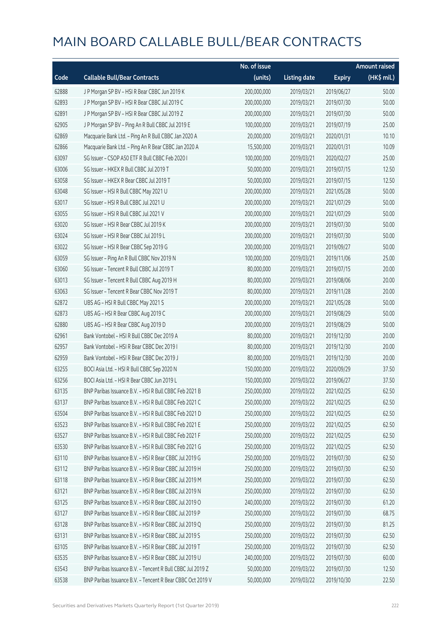|       |                                                            | No. of issue |                     |               | <b>Amount raised</b> |
|-------|------------------------------------------------------------|--------------|---------------------|---------------|----------------------|
| Code  | <b>Callable Bull/Bear Contracts</b>                        | (units)      | <b>Listing date</b> | <b>Expiry</b> | (HK\$ mil.)          |
| 62888 | J P Morgan SP BV - HSI R Bear CBBC Jun 2019 K              | 200,000,000  | 2019/03/21          | 2019/06/27    | 50.00                |
| 62893 | J P Morgan SP BV - HSI R Bear CBBC Jul 2019 C              | 200,000,000  | 2019/03/21          | 2019/07/30    | 50.00                |
| 62891 | J P Morgan SP BV - HSI R Bear CBBC Jul 2019 Z              | 200,000,000  | 2019/03/21          | 2019/07/30    | 50.00                |
| 62905 | J P Morgan SP BV - Ping An R Bull CBBC Jul 2019 E          | 100,000,000  | 2019/03/21          | 2019/07/19    | 25.00                |
| 62869 | Macquarie Bank Ltd. - Ping An R Bull CBBC Jan 2020 A       | 20,000,000   | 2019/03/21          | 2020/01/31    | 10.10                |
| 62866 | Macquarie Bank Ltd. - Ping An R Bear CBBC Jan 2020 A       | 15,500,000   | 2019/03/21          | 2020/01/31    | 10.09                |
| 63097 | SG Issuer - CSOP A50 ETF R Bull CBBC Feb 2020 I            | 100,000,000  | 2019/03/21          | 2020/02/27    | 25.00                |
| 63006 | SG Issuer - HKEX R Bull CBBC Jul 2019 T                    | 50,000,000   | 2019/03/21          | 2019/07/15    | 12.50                |
| 63058 | SG Issuer - HKEX R Bear CBBC Jul 2019 T                    | 50,000,000   | 2019/03/21          | 2019/07/15    | 12.50                |
| 63048 | SG Issuer - HSI R Bull CBBC May 2021 U                     | 200,000,000  | 2019/03/21          | 2021/05/28    | 50.00                |
| 63017 | SG Issuer - HSI R Bull CBBC Jul 2021 U                     | 200,000,000  | 2019/03/21          | 2021/07/29    | 50.00                |
| 63055 | SG Issuer - HSI R Bull CBBC Jul 2021 V                     | 200,000,000  | 2019/03/21          | 2021/07/29    | 50.00                |
| 63020 | SG Issuer - HSI R Bear CBBC Jul 2019 K                     | 200,000,000  | 2019/03/21          | 2019/07/30    | 50.00                |
| 63024 | SG Issuer - HSI R Bear CBBC Jul 2019 L                     | 200,000,000  | 2019/03/21          | 2019/07/30    | 50.00                |
| 63022 | SG Issuer - HSI R Bear CBBC Sep 2019 G                     | 200,000,000  | 2019/03/21          | 2019/09/27    | 50.00                |
| 63059 | SG Issuer - Ping An R Bull CBBC Nov 2019 N                 | 100,000,000  | 2019/03/21          | 2019/11/06    | 25.00                |
| 63060 | SG Issuer - Tencent R Bull CBBC Jul 2019 T                 | 80,000,000   | 2019/03/21          | 2019/07/15    | 20.00                |
| 63013 | SG Issuer - Tencent R Bull CBBC Aug 2019 H                 | 80,000,000   | 2019/03/21          | 2019/08/06    | 20.00                |
| 63063 | SG Issuer - Tencent R Bear CBBC Nov 2019 T                 | 80,000,000   | 2019/03/21          | 2019/11/28    | 20.00                |
| 62872 | UBS AG - HSI R Bull CBBC May 2021 S                        | 200,000,000  | 2019/03/21          | 2021/05/28    | 50.00                |
| 62873 | UBS AG - HSI R Bear CBBC Aug 2019 C                        | 200,000,000  | 2019/03/21          | 2019/08/29    | 50.00                |
| 62880 | UBS AG - HSI R Bear CBBC Aug 2019 D                        | 200,000,000  | 2019/03/21          | 2019/08/29    | 50.00                |
| 62961 | Bank Vontobel - HSI R Bull CBBC Dec 2019 A                 | 80,000,000   | 2019/03/21          | 2019/12/30    | 20.00                |
| 62957 | Bank Vontobel - HSI R Bear CBBC Dec 2019 I                 | 80,000,000   | 2019/03/21          | 2019/12/30    | 20.00                |
| 62959 | Bank Vontobel - HSI R Bear CBBC Dec 2019 J                 | 80,000,000   | 2019/03/21          | 2019/12/30    | 20.00                |
| 63255 | BOCI Asia Ltd. - HSI R Bull CBBC Sep 2020 N                | 150,000,000  | 2019/03/22          | 2020/09/29    | 37.50                |
| 63256 | BOCI Asia Ltd. - HSI R Bear CBBC Jun 2019 L                | 150,000,000  | 2019/03/22          | 2019/06/27    | 37.50                |
| 63135 | BNP Paribas Issuance B.V. - HSI R Bull CBBC Feb 2021 B     | 250,000,000  | 2019/03/22          | 2021/02/25    | 62.50                |
| 63137 | BNP Paribas Issuance B.V. - HSI R Bull CBBC Feb 2021 C     | 250,000,000  | 2019/03/22          | 2021/02/25    | 62.50                |
| 63504 | BNP Paribas Issuance B.V. - HSI R Bull CBBC Feb 2021 D     | 250,000,000  | 2019/03/22          | 2021/02/25    | 62.50                |
| 63523 | BNP Paribas Issuance B.V. - HSI R Bull CBBC Feb 2021 E     | 250,000,000  | 2019/03/22          | 2021/02/25    | 62.50                |
| 63527 | BNP Paribas Issuance B.V. - HSI R Bull CBBC Feb 2021 F     | 250,000,000  | 2019/03/22          | 2021/02/25    | 62.50                |
| 63530 | BNP Paribas Issuance B.V. - HSI R Bull CBBC Feb 2021 G     | 250,000,000  | 2019/03/22          | 2021/02/25    | 62.50                |
| 63110 | BNP Paribas Issuance B.V. - HSI R Bear CBBC Jul 2019 G     | 250,000,000  | 2019/03/22          | 2019/07/30    | 62.50                |
| 63112 | BNP Paribas Issuance B.V. - HSI R Bear CBBC Jul 2019 H     | 250,000,000  | 2019/03/22          | 2019/07/30    | 62.50                |
| 63118 | BNP Paribas Issuance B.V. - HSI R Bear CBBC Jul 2019 M     | 250,000,000  | 2019/03/22          | 2019/07/30    | 62.50                |
| 63121 | BNP Paribas Issuance B.V. - HSI R Bear CBBC Jul 2019 N     | 250,000,000  | 2019/03/22          | 2019/07/30    | 62.50                |
| 63125 | BNP Paribas Issuance B.V. - HSI R Bear CBBC Jul 2019 O     | 240,000,000  | 2019/03/22          | 2019/07/30    | 61.20                |
| 63127 | BNP Paribas Issuance B.V. - HSI R Bear CBBC Jul 2019 P     | 250,000,000  | 2019/03/22          | 2019/07/30    | 68.75                |
| 63128 | BNP Paribas Issuance B.V. - HSI R Bear CBBC Jul 2019 Q     | 250,000,000  | 2019/03/22          | 2019/07/30    | 81.25                |
| 63131 | BNP Paribas Issuance B.V. - HSI R Bear CBBC Jul 2019 S     | 250,000,000  | 2019/03/22          | 2019/07/30    | 62.50                |
| 63105 | BNP Paribas Issuance B.V. - HSI R Bear CBBC Jul 2019 T     | 250,000,000  | 2019/03/22          | 2019/07/30    | 62.50                |
| 63535 | BNP Paribas Issuance B.V. - HSI R Bear CBBC Jul 2019 U     | 240,000,000  | 2019/03/22          | 2019/07/30    | 60.00                |
| 63543 | BNP Paribas Issuance B.V. - Tencent R Bull CBBC Jul 2019 Z | 50,000,000   | 2019/03/22          | 2019/07/30    | 12.50                |
| 63538 | BNP Paribas Issuance B.V. - Tencent R Bear CBBC Oct 2019 V | 50,000,000   | 2019/03/22          | 2019/10/30    | 22.50                |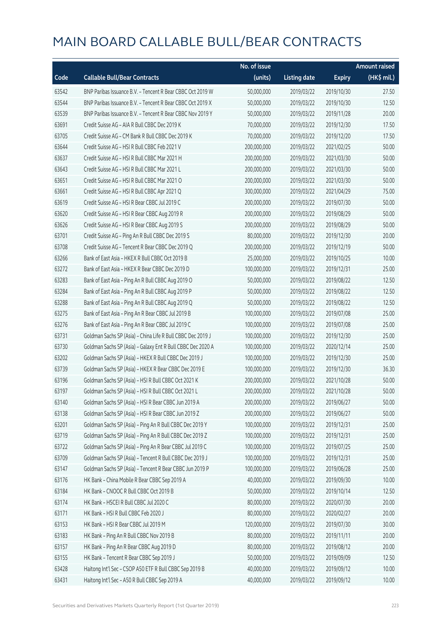|       |                                                             | No. of issue |                     |               | <b>Amount raised</b> |
|-------|-------------------------------------------------------------|--------------|---------------------|---------------|----------------------|
| Code  | <b>Callable Bull/Bear Contracts</b>                         | (units)      | <b>Listing date</b> | <b>Expiry</b> | (HK\$ mil.)          |
| 63542 | BNP Paribas Issuance B.V. - Tencent R Bear CBBC Oct 2019 W  | 50,000,000   | 2019/03/22          | 2019/10/30    | 27.50                |
| 63544 | BNP Paribas Issuance B.V. - Tencent R Bear CBBC Oct 2019 X  | 50,000,000   | 2019/03/22          | 2019/10/30    | 12.50                |
| 63539 | BNP Paribas Issuance B.V. - Tencent R Bear CBBC Nov 2019 Y  | 50,000,000   | 2019/03/22          | 2019/11/28    | 20.00                |
| 63691 | Credit Suisse AG - AIA R Bull CBBC Dec 2019 K               | 70,000,000   | 2019/03/22          | 2019/12/30    | 17.50                |
| 63705 | Credit Suisse AG - CM Bank R Bull CBBC Dec 2019 K           | 70,000,000   | 2019/03/22          | 2019/12/20    | 17.50                |
| 63644 | Credit Suisse AG - HSI R Bull CBBC Feb 2021 V               | 200,000,000  | 2019/03/22          | 2021/02/25    | 50.00                |
| 63637 | Credit Suisse AG - HSI R Bull CBBC Mar 2021 H               | 200,000,000  | 2019/03/22          | 2021/03/30    | 50.00                |
| 63643 | Credit Suisse AG - HSI R Bull CBBC Mar 2021 L               | 200,000,000  | 2019/03/22          | 2021/03/30    | 50.00                |
| 63651 | Credit Suisse AG - HSI R Bull CBBC Mar 2021 O               | 200,000,000  | 2019/03/22          | 2021/03/30    | 50.00                |
| 63661 | Credit Suisse AG - HSI R Bull CBBC Apr 2021 Q               | 300,000,000  | 2019/03/22          | 2021/04/29    | 75.00                |
| 63619 | Credit Suisse AG - HSI R Bear CBBC Jul 2019 C               | 200,000,000  | 2019/03/22          | 2019/07/30    | 50.00                |
| 63620 | Credit Suisse AG - HSI R Bear CBBC Aug 2019 R               | 200,000,000  | 2019/03/22          | 2019/08/29    | 50.00                |
| 63626 | Credit Suisse AG - HSI R Bear CBBC Aug 2019 S               | 200,000,000  | 2019/03/22          | 2019/08/29    | 50.00                |
| 63701 | Credit Suisse AG - Ping An R Bull CBBC Dec 2019 S           | 80,000,000   | 2019/03/22          | 2019/12/30    | 20.00                |
| 63708 | Credit Suisse AG - Tencent R Bear CBBC Dec 2019 Q           | 200,000,000  | 2019/03/22          | 2019/12/19    | 50.00                |
| 63266 | Bank of East Asia - HKEX R Bull CBBC Oct 2019 B             | 25,000,000   | 2019/03/22          | 2019/10/25    | 10.00                |
| 63272 | Bank of East Asia - HKEX R Bear CBBC Dec 2019 D             | 100,000,000  | 2019/03/22          | 2019/12/31    | 25.00                |
| 63283 | Bank of East Asia - Ping An R Bull CBBC Aug 2019 O          | 50,000,000   | 2019/03/22          | 2019/08/22    | 12.50                |
| 63284 | Bank of East Asia - Ping An R Bull CBBC Aug 2019 P          | 50,000,000   | 2019/03/22          | 2019/08/22    | 12.50                |
| 63288 | Bank of East Asia - Ping An R Bull CBBC Aug 2019 Q          | 50,000,000   | 2019/03/22          | 2019/08/22    | 12.50                |
| 63275 | Bank of East Asia - Ping An R Bear CBBC Jul 2019 B          | 100,000,000  | 2019/03/22          | 2019/07/08    | 25.00                |
| 63276 | Bank of East Asia - Ping An R Bear CBBC Jul 2019 C          | 100,000,000  | 2019/03/22          | 2019/07/08    | 25.00                |
| 63731 | Goldman Sachs SP (Asia) - China Life R Bull CBBC Dec 2019 J | 100,000,000  | 2019/03/22          | 2019/12/30    | 25.00                |
| 63730 | Goldman Sachs SP (Asia) - Galaxy Ent R Bull CBBC Dec 2020 A | 100,000,000  | 2019/03/22          | 2020/12/14    | 25.00                |
| 63202 | Goldman Sachs SP (Asia) - HKEX R Bull CBBC Dec 2019 J       | 100,000,000  | 2019/03/22          | 2019/12/30    | 25.00                |
| 63739 | Goldman Sachs SP (Asia) - HKEX R Bear CBBC Dec 2019 E       | 100,000,000  | 2019/03/22          | 2019/12/30    | 36.30                |
| 63196 | Goldman Sachs SP (Asia) - HSI R Bull CBBC Oct 2021 K        | 200,000,000  | 2019/03/22          | 2021/10/28    | 50.00                |
| 63197 | Goldman Sachs SP (Asia) - HSI R Bull CBBC Oct 2021 L        | 200,000,000  | 2019/03/22          | 2021/10/28    | 50.00                |
| 63140 | Goldman Sachs SP (Asia) - HSI R Bear CBBC Jun 2019 A        | 200,000,000  | 2019/03/22          | 2019/06/27    | 50.00                |
| 63138 | Goldman Sachs SP (Asia) - HSI R Bear CBBC Jun 2019 Z        | 200,000,000  | 2019/03/22          | 2019/06/27    | 50.00                |
| 63201 | Goldman Sachs SP (Asia) - Ping An R Bull CBBC Dec 2019 Y    | 100,000,000  | 2019/03/22          | 2019/12/31    | 25.00                |
| 63719 | Goldman Sachs SP (Asia) - Ping An R Bull CBBC Dec 2019 Z    | 100,000,000  | 2019/03/22          | 2019/12/31    | 25.00                |
| 63722 | Goldman Sachs SP (Asia) - Ping An R Bear CBBC Jul 2019 C    | 100,000,000  | 2019/03/22          | 2019/07/25    | 25.00                |
| 63709 | Goldman Sachs SP (Asia) - Tencent R Bull CBBC Dec 2019 J    | 100,000,000  | 2019/03/22          | 2019/12/31    | 25.00                |
| 63147 | Goldman Sachs SP (Asia) - Tencent R Bear CBBC Jun 2019 P    | 100,000,000  | 2019/03/22          | 2019/06/28    | 25.00                |
| 63176 | HK Bank - China Mobile R Bear CBBC Sep 2019 A               | 40,000,000   | 2019/03/22          | 2019/09/30    | 10.00                |
| 63184 | HK Bank - CNOOC R Bull CBBC Oct 2019 B                      | 50,000,000   | 2019/03/22          | 2019/10/14    | 12.50                |
| 63174 | HK Bank - HSCEI R Bull CBBC Jul 2020 C                      | 80,000,000   | 2019/03/22          | 2020/07/30    | 20.00                |
| 63171 | HK Bank - HSI R Bull CBBC Feb 2020 J                        | 80,000,000   | 2019/03/22          | 2020/02/27    | 20.00                |
| 63153 | HK Bank - HSI R Bear CBBC Jul 2019 M                        | 120,000,000  | 2019/03/22          | 2019/07/30    | 30.00                |
| 63183 | HK Bank - Ping An R Bull CBBC Nov 2019 B                    | 80,000,000   | 2019/03/22          | 2019/11/11    | 20.00                |
| 63157 | HK Bank - Ping An R Bear CBBC Aug 2019 D                    | 80,000,000   | 2019/03/22          | 2019/08/12    | 20.00                |
| 63155 | HK Bank - Tencent R Bear CBBC Sep 2019 J                    | 50,000,000   | 2019/03/22          | 2019/09/09    | 12.50                |
| 63428 | Haitong Int'l Sec - CSOP A50 ETF R Bull CBBC Sep 2019 B     | 40,000,000   | 2019/03/22          | 2019/09/12    | 10.00                |
| 63431 | Haitong Int'l Sec - A50 R Bull CBBC Sep 2019 A              | 40,000,000   | 2019/03/22          | 2019/09/12    | 10.00                |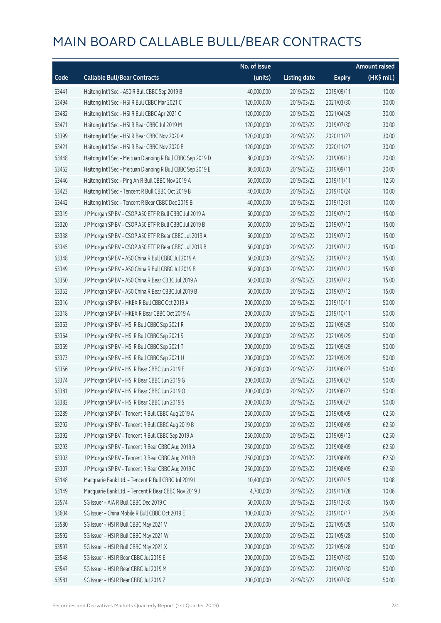|       |                                                             | No. of issue |                     |               | <b>Amount raised</b> |
|-------|-------------------------------------------------------------|--------------|---------------------|---------------|----------------------|
| Code  | <b>Callable Bull/Bear Contracts</b>                         | (units)      | <b>Listing date</b> | <b>Expiry</b> | (HK\$ mil.)          |
| 63441 | Haitong Int'l Sec - A50 R Bull CBBC Sep 2019 B              | 40,000,000   | 2019/03/22          | 2019/09/11    | 10.00                |
| 63494 | Haitong Int'l Sec - HSI R Bull CBBC Mar 2021 C              | 120,000,000  | 2019/03/22          | 2021/03/30    | 30.00                |
| 63482 | Haitong Int'l Sec - HSI R Bull CBBC Apr 2021 C              | 120,000,000  | 2019/03/22          | 2021/04/29    | 30.00                |
| 63471 | Haitong Int'l Sec - HSI R Bear CBBC Jul 2019 M              | 120,000,000  | 2019/03/22          | 2019/07/30    | 30.00                |
| 63399 | Haitong Int'l Sec - HSI R Bear CBBC Nov 2020 A              | 120,000,000  | 2019/03/22          | 2020/11/27    | 30.00                |
| 63421 | Haitong Int'l Sec - HSI R Bear CBBC Nov 2020 B              | 120,000,000  | 2019/03/22          | 2020/11/27    | 30.00                |
| 63448 | Haitong Int'l Sec - Meituan Dianping R Bull CBBC Sep 2019 D | 80,000,000   | 2019/03/22          | 2019/09/13    | 20.00                |
| 63462 | Haitong Int'l Sec - Meituan Dianping R Bull CBBC Sep 2019 E | 80,000,000   | 2019/03/22          | 2019/09/11    | 20.00                |
| 63446 | Haitong Int'l Sec - Ping An R Bull CBBC Nov 2019 A          | 50,000,000   | 2019/03/22          | 2019/11/11    | 12.50                |
| 63423 | Haitong Int'l Sec - Tencent R Bull CBBC Oct 2019 B          | 40,000,000   | 2019/03/22          | 2019/10/24    | 10.00                |
| 63442 | Haitong Int'l Sec - Tencent R Bear CBBC Dec 2019 B          | 40,000,000   | 2019/03/22          | 2019/12/31    | 10.00                |
| 63319 | J P Morgan SP BV - CSOP A50 ETF R Bull CBBC Jul 2019 A      | 60,000,000   | 2019/03/22          | 2019/07/12    | 15.00                |
| 63320 | J P Morgan SP BV - CSOP A50 ETF R Bull CBBC Jul 2019 B      | 60,000,000   | 2019/03/22          | 2019/07/12    | 15.00                |
| 63338 | J P Morgan SP BV - CSOP A50 ETF R Bear CBBC Jul 2019 A      | 60,000,000   | 2019/03/22          | 2019/07/12    | 15.00                |
| 63345 | J P Morgan SP BV - CSOP A50 ETF R Bear CBBC Jul 2019 B      | 60,000,000   | 2019/03/22          | 2019/07/12    | 15.00                |
| 63348 | J P Morgan SP BV - A50 China R Bull CBBC Jul 2019 A         | 60,000,000   | 2019/03/22          | 2019/07/12    | 15.00                |
| 63349 | J P Morgan SP BV - A50 China R Bull CBBC Jul 2019 B         | 60,000,000   | 2019/03/22          | 2019/07/12    | 15.00                |
| 63350 | J P Morgan SP BV - A50 China R Bear CBBC Jul 2019 A         | 60,000,000   | 2019/03/22          | 2019/07/12    | 15.00                |
| 63352 | J P Morgan SP BV - A50 China R Bear CBBC Jul 2019 B         | 60,000,000   | 2019/03/22          | 2019/07/12    | 15.00                |
| 63316 | J P Morgan SP BV - HKEX R Bull CBBC Oct 2019 A              | 200,000,000  | 2019/03/22          | 2019/10/11    | 50.00                |
| 63318 | J P Morgan SP BV - HKEX R Bear CBBC Oct 2019 A              | 200,000,000  | 2019/03/22          | 2019/10/11    | 50.00                |
| 63363 | J P Morgan SP BV - HSI R Bull CBBC Sep 2021 R               | 200,000,000  | 2019/03/22          | 2021/09/29    | 50.00                |
| 63364 | J P Morgan SP BV - HSI R Bull CBBC Sep 2021 S               | 200,000,000  | 2019/03/22          | 2021/09/29    | 50.00                |
| 63369 | J P Morgan SP BV - HSI R Bull CBBC Sep 2021 T               | 200,000,000  | 2019/03/22          | 2021/09/29    | 50.00                |
| 63373 | J P Morgan SP BV - HSI R Bull CBBC Sep 2021 U               | 200,000,000  | 2019/03/22          | 2021/09/29    | 50.00                |
| 63356 | J P Morgan SP BV - HSI R Bear CBBC Jun 2019 E               | 200,000,000  | 2019/03/22          | 2019/06/27    | 50.00                |
| 63374 | J P Morgan SP BV - HSI R Bear CBBC Jun 2019 G               | 200,000,000  | 2019/03/22          | 2019/06/27    | 50.00                |
| 63381 | J P Morgan SP BV - HSI R Bear CBBC Jun 2019 O               | 200,000,000  | 2019/03/22          | 2019/06/27    | 50.00                |
| 63382 | J P Morgan SP BV - HSI R Bear CBBC Jun 2019 S               | 200,000,000  | 2019/03/22          | 2019/06/27    | 50.00                |
| 63289 | J P Morgan SP BV - Tencent R Bull CBBC Aug 2019 A           | 250,000,000  | 2019/03/22          | 2019/08/09    | 62.50                |
| 63292 | J P Morgan SP BV - Tencent R Bull CBBC Aug 2019 B           | 250,000,000  | 2019/03/22          | 2019/08/09    | 62.50                |
| 63392 | J P Morgan SP BV - Tencent R Bull CBBC Sep 2019 A           | 250,000,000  | 2019/03/22          | 2019/09/13    | 62.50                |
| 63293 | J P Morgan SP BV - Tencent R Bear CBBC Aug 2019 A           | 250,000,000  | 2019/03/22          | 2019/08/09    | 62.50                |
| 63303 | J P Morgan SP BV - Tencent R Bear CBBC Aug 2019 B           | 250,000,000  | 2019/03/22          | 2019/08/09    | 62.50                |
| 63307 | J P Morgan SP BV - Tencent R Bear CBBC Aug 2019 C           | 250,000,000  | 2019/03/22          | 2019/08/09    | 62.50                |
| 63148 | Macquarie Bank Ltd. - Tencent R Bull CBBC Jul 2019 I        | 10,400,000   | 2019/03/22          | 2019/07/15    | 10.08                |
| 63149 | Macquarie Bank Ltd. - Tencent R Bear CBBC Nov 2019 J        | 4,700,000    | 2019/03/22          | 2019/11/28    | 10.06                |
| 63574 | SG Issuer - AIA R Bull CBBC Dec 2019 C                      | 60,000,000   | 2019/03/22          | 2019/12/30    | 15.00                |
| 63604 | SG Issuer - China Mobile R Bull CBBC Oct 2019 E             | 100,000,000  | 2019/03/22          | 2019/10/17    | 25.00                |
| 63580 | SG Issuer - HSI R Bull CBBC May 2021 V                      | 200,000,000  | 2019/03/22          | 2021/05/28    | 50.00                |
| 63592 | SG Issuer - HSI R Bull CBBC May 2021 W                      | 200,000,000  | 2019/03/22          | 2021/05/28    | 50.00                |
| 63597 | SG Issuer - HSI R Bull CBBC May 2021 X                      | 200,000,000  | 2019/03/22          | 2021/05/28    | 50.00                |
| 63548 | SG Issuer - HSI R Bear CBBC Jul 2019 E                      | 200,000,000  | 2019/03/22          | 2019/07/30    | 50.00                |
| 63547 | SG Issuer - HSI R Bear CBBC Jul 2019 M                      | 200,000,000  | 2019/03/22          | 2019/07/30    | 50.00                |
| 63581 | SG Issuer - HSI R Bear CBBC Jul 2019 Z                      | 200,000,000  | 2019/03/22          | 2019/07/30    | 50.00                |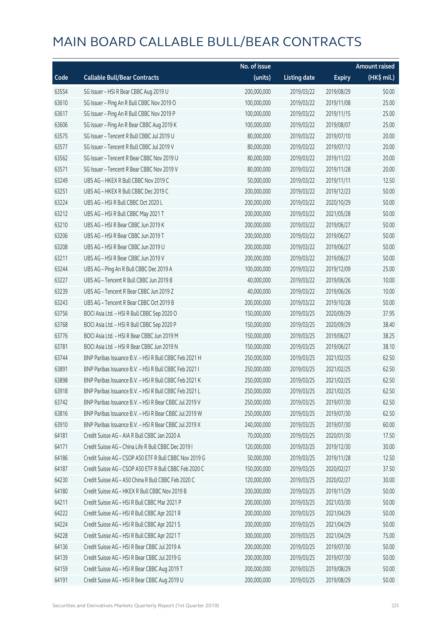|       |                                                        | No. of issue |                     |               | <b>Amount raised</b> |
|-------|--------------------------------------------------------|--------------|---------------------|---------------|----------------------|
| Code  | <b>Callable Bull/Bear Contracts</b>                    | (units)      | <b>Listing date</b> | <b>Expiry</b> | (HK\$ mil.)          |
| 63554 | SG Issuer - HSI R Bear CBBC Aug 2019 U                 | 200,000,000  | 2019/03/22          | 2019/08/29    | 50.00                |
| 63610 | SG Issuer - Ping An R Bull CBBC Nov 2019 O             | 100,000,000  | 2019/03/22          | 2019/11/08    | 25.00                |
| 63617 | SG Issuer - Ping An R Bull CBBC Nov 2019 P             | 100,000,000  | 2019/03/22          | 2019/11/15    | 25.00                |
| 63606 | SG Issuer - Ping An R Bear CBBC Aug 2019 K             | 100,000,000  | 2019/03/22          | 2019/08/07    | 25.00                |
| 63575 | SG Issuer - Tencent R Bull CBBC Jul 2019 U             | 80,000,000   | 2019/03/22          | 2019/07/10    | 20.00                |
| 63577 | SG Issuer - Tencent R Bull CBBC Jul 2019 V             | 80,000,000   | 2019/03/22          | 2019/07/12    | 20.00                |
| 63562 | SG Issuer - Tencent R Bear CBBC Nov 2019 U             | 80,000,000   | 2019/03/22          | 2019/11/22    | 20.00                |
| 63571 | SG Issuer - Tencent R Bear CBBC Nov 2019 V             | 80,000,000   | 2019/03/22          | 2019/11/28    | 20.00                |
| 63249 | UBS AG - HKEX R Bull CBBC Nov 2019 C                   | 50,000,000   | 2019/03/22          | 2019/11/11    | 12.50                |
| 63251 | UBS AG - HKEX R Bull CBBC Dec 2019 C                   | 200,000,000  | 2019/03/22          | 2019/12/23    | 50.00                |
| 63224 | UBS AG - HSI R Bull CBBC Oct 2020 L                    | 200,000,000  | 2019/03/22          | 2020/10/29    | 50.00                |
| 63212 | UBS AG - HSI R Bull CBBC May 2021 T                    | 200,000,000  | 2019/03/22          | 2021/05/28    | 50.00                |
| 63210 | UBS AG - HSI R Bear CBBC Jun 2019 K                    | 200,000,000  | 2019/03/22          | 2019/06/27    | 50.00                |
| 63206 | UBS AG - HSI R Bear CBBC Jun 2019 T                    | 200,000,000  | 2019/03/22          | 2019/06/27    | 50.00                |
| 63208 | UBS AG - HSI R Bear CBBC Jun 2019 U                    | 200,000,000  | 2019/03/22          | 2019/06/27    | 50.00                |
| 63211 | UBS AG - HSI R Bear CBBC Jun 2019 V                    | 200,000,000  | 2019/03/22          | 2019/06/27    | 50.00                |
| 63244 | UBS AG - Ping An R Bull CBBC Dec 2019 A                | 100,000,000  | 2019/03/22          | 2019/12/09    | 25.00                |
| 63227 | UBS AG - Tencent R Bull CBBC Jun 2019 B                | 40,000,000   | 2019/03/22          | 2019/06/26    | 10.00                |
| 63239 | UBS AG - Tencent R Bear CBBC Jun 2019 Z                | 40,000,000   | 2019/03/22          | 2019/06/26    | 10.00                |
| 63243 | UBS AG - Tencent R Bear CBBC Oct 2019 B                | 200,000,000  | 2019/03/22          | 2019/10/28    | 50.00                |
| 63756 | BOCI Asia Ltd. - HSI R Bull CBBC Sep 2020 O            | 150,000,000  | 2019/03/25          | 2020/09/29    | 37.95                |
| 63768 | BOCI Asia Ltd. - HSI R Bull CBBC Sep 2020 P            | 150,000,000  | 2019/03/25          | 2020/09/29    | 38.40                |
| 63776 | BOCI Asia Ltd. - HSI R Bear CBBC Jun 2019 M            | 150,000,000  | 2019/03/25          | 2019/06/27    | 38.25                |
| 63781 | BOCI Asia Ltd. - HSI R Bear CBBC Jun 2019 N            | 150,000,000  | 2019/03/25          | 2019/06/27    | 38.10                |
| 63744 | BNP Paribas Issuance B.V. - HSI R Bull CBBC Feb 2021 H | 250,000,000  | 2019/03/25          | 2021/02/25    | 62.50                |
| 63891 | BNP Paribas Issuance B.V. - HSI R Bull CBBC Feb 2021 I | 250,000,000  | 2019/03/25          | 2021/02/25    | 62.50                |
| 63898 | BNP Paribas Issuance B.V. - HSI R Bull CBBC Feb 2021 K | 250,000,000  | 2019/03/25          | 2021/02/25    | 62.50                |
| 63918 | BNP Paribas Issuance B.V. - HSLR Bull CBBC Feb 2021 L  | 250,000,000  | 2019/03/25          | 2021/02/25    | 62.50                |
| 63742 | BNP Paribas Issuance B.V. - HSI R Bear CBBC Jul 2019 V | 250,000,000  | 2019/03/25          | 2019/07/30    | 62.50                |
| 63816 | BNP Paribas Issuance B.V. - HSI R Bear CBBC Jul 2019 W | 250,000,000  | 2019/03/25          | 2019/07/30    | 62.50                |
| 63910 | BNP Paribas Issuance B.V. - HSI R Bear CBBC Jul 2019 X | 240,000,000  | 2019/03/25          | 2019/07/30    | 60.00                |
| 64181 | Credit Suisse AG - AIA R Bull CBBC Jan 2020 A          | 70,000,000   | 2019/03/25          | 2020/01/30    | 17.50                |
| 64171 | Credit Suisse AG - China Life R Bull CBBC Dec 2019 I   | 120,000,000  | 2019/03/25          | 2019/12/30    | 30.00                |
| 64186 | Credit Suisse AG - CSOP A50 ETF R Bull CBBC Nov 2019 G | 50,000,000   | 2019/03/25          | 2019/11/28    | 12.50                |
| 64187 | Credit Suisse AG - CSOP A50 ETF R Bull CBBC Feb 2020 C | 150,000,000  | 2019/03/25          | 2020/02/27    | 37.50                |
| 64230 | Credit Suisse AG - A50 China R Bull CBBC Feb 2020 C    | 120,000,000  | 2019/03/25          | 2020/02/27    | 30.00                |
| 64180 | Credit Suisse AG - HKEX R Bull CBBC Nov 2019 B         | 200,000,000  | 2019/03/25          | 2019/11/29    | 50.00                |
| 64211 | Credit Suisse AG - HSI R Bull CBBC Mar 2021 P          | 200,000,000  | 2019/03/25          | 2021/03/30    | 50.00                |
| 64222 | Credit Suisse AG - HSI R Bull CBBC Apr 2021 R          | 200,000,000  | 2019/03/25          | 2021/04/29    | 50.00                |
| 64224 | Credit Suisse AG - HSI R Bull CBBC Apr 2021 S          | 200,000,000  | 2019/03/25          | 2021/04/29    | 50.00                |
| 64228 | Credit Suisse AG - HSI R Bull CBBC Apr 2021 T          | 300,000,000  | 2019/03/25          | 2021/04/29    | 75.00                |
| 64136 | Credit Suisse AG - HSI R Bear CBBC Jul 2019 A          | 200,000,000  | 2019/03/25          | 2019/07/30    | 50.00                |
| 64139 | Credit Suisse AG - HSI R Bear CBBC Jul 2019 G          | 200,000,000  | 2019/03/25          | 2019/07/30    | 50.00                |
| 64159 | Credit Suisse AG - HSI R Bear CBBC Aug 2019 T          | 200,000,000  | 2019/03/25          | 2019/08/29    | 50.00                |
| 64191 | Credit Suisse AG - HSI R Bear CBBC Aug 2019 U          | 200,000,000  | 2019/03/25          | 2019/08/29    | 50.00                |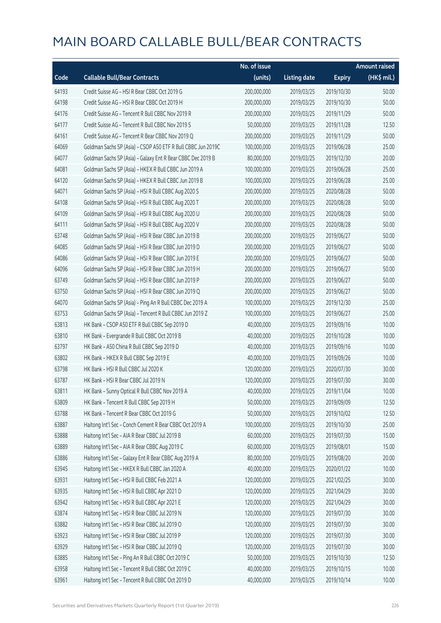|       |                                                              | No. of issue |                     |               | <b>Amount raised</b> |
|-------|--------------------------------------------------------------|--------------|---------------------|---------------|----------------------|
| Code  | <b>Callable Bull/Bear Contracts</b>                          | (units)      | <b>Listing date</b> | <b>Expiry</b> | (HK\$ mil.)          |
| 64193 | Credit Suisse AG - HSI R Bear CBBC Oct 2019 G                | 200,000,000  | 2019/03/25          | 2019/10/30    | 50.00                |
| 64198 | Credit Suisse AG - HSI R Bear CBBC Oct 2019 H                | 200,000,000  | 2019/03/25          | 2019/10/30    | 50.00                |
| 64176 | Credit Suisse AG - Tencent R Bull CBBC Nov 2019 R            | 200,000,000  | 2019/03/25          | 2019/11/29    | 50.00                |
| 64177 | Credit Suisse AG - Tencent R Bull CBBC Nov 2019 S            | 50,000,000   | 2019/03/25          | 2019/11/28    | 12.50                |
| 64161 | Credit Suisse AG - Tencent R Bear CBBC Nov 2019 Q            | 200,000,000  | 2019/03/25          | 2019/11/29    | 50.00                |
| 64069 | Goldman Sachs SP (Asia) - CSOP A50 ETF R Bull CBBC Jun 2019C | 100,000,000  | 2019/03/25          | 2019/06/28    | 25.00                |
| 64077 | Goldman Sachs SP (Asia) - Galaxy Ent R Bear CBBC Dec 2019 B  | 80,000,000   | 2019/03/25          | 2019/12/30    | 20.00                |
| 64081 | Goldman Sachs SP (Asia) - HKEX R Bull CBBC Jun 2019 A        | 100,000,000  | 2019/03/25          | 2019/06/28    | 25.00                |
| 64120 | Goldman Sachs SP (Asia) - HKEX R Bull CBBC Jun 2019 B        | 100,000,000  | 2019/03/25          | 2019/06/28    | 25.00                |
| 64071 | Goldman Sachs SP (Asia) - HSI R Bull CBBC Aug 2020 S         | 200,000,000  | 2019/03/25          | 2020/08/28    | 50.00                |
| 64108 | Goldman Sachs SP (Asia) - HSI R Bull CBBC Aug 2020 T         | 200,000,000  | 2019/03/25          | 2020/08/28    | 50.00                |
| 64109 | Goldman Sachs SP (Asia) - HSI R Bull CBBC Aug 2020 U         | 200,000,000  | 2019/03/25          | 2020/08/28    | 50.00                |
| 64111 | Goldman Sachs SP (Asia) - HSI R Bull CBBC Aug 2020 V         | 200,000,000  | 2019/03/25          | 2020/08/28    | 50.00                |
| 63748 | Goldman Sachs SP (Asia) - HSI R Bear CBBC Jun 2019 B         | 200,000,000  | 2019/03/25          | 2019/06/27    | 50.00                |
| 64085 | Goldman Sachs SP (Asia) - HSI R Bear CBBC Jun 2019 D         | 200,000,000  | 2019/03/25          | 2019/06/27    | 50.00                |
| 64086 | Goldman Sachs SP (Asia) - HSI R Bear CBBC Jun 2019 E         | 200,000,000  | 2019/03/25          | 2019/06/27    | 50.00                |
| 64096 | Goldman Sachs SP (Asia) - HSI R Bear CBBC Jun 2019 H         | 200,000,000  | 2019/03/25          | 2019/06/27    | 50.00                |
| 63749 | Goldman Sachs SP (Asia) - HSI R Bear CBBC Jun 2019 P         | 200,000,000  | 2019/03/25          | 2019/06/27    | 50.00                |
| 63750 | Goldman Sachs SP (Asia) - HSI R Bear CBBC Jun 2019 Q         | 200,000,000  | 2019/03/25          | 2019/06/27    | 50.00                |
| 64070 | Goldman Sachs SP (Asia) - Ping An R Bull CBBC Dec 2019 A     | 100,000,000  | 2019/03/25          | 2019/12/30    | 25.00                |
| 63753 | Goldman Sachs SP (Asia) - Tencent R Bull CBBC Jun 2019 Z     | 100,000,000  | 2019/03/25          | 2019/06/27    | 25.00                |
| 63813 | HK Bank - CSOP A50 ETF R Bull CBBC Sep 2019 D                | 40,000,000   | 2019/03/25          | 2019/09/16    | 10.00                |
| 63810 | HK Bank - Evergrande R Bull CBBC Oct 2019 B                  | 40,000,000   | 2019/03/25          | 2019/10/28    | 10.00                |
| 63797 | HK Bank - A50 China R Bull CBBC Sep 2019 D                   | 40,000,000   | 2019/03/25          | 2019/09/16    | 10.00                |
| 63802 | HK Bank - HKEX R Bull CBBC Sep 2019 E                        | 40,000,000   | 2019/03/25          | 2019/09/26    | 10.00                |
| 63798 | HK Bank - HSI R Bull CBBC Jul 2020 K                         | 120,000,000  | 2019/03/25          | 2020/07/30    | 30.00                |
| 63787 | HK Bank - HSI R Bear CBBC Jul 2019 N                         | 120,000,000  | 2019/03/25          | 2019/07/30    | 30.00                |
| 63811 | HK Bank - Sunny Optical R Bull CBBC Nov 2019 A               | 40,000,000   | 2019/03/25          | 2019/11/04    | 10.00                |
| 63809 | HK Bank - Tencent R Bull CBBC Sep 2019 H                     | 50,000,000   | 2019/03/25          | 2019/09/09    | 12.50                |
| 63788 | HK Bank - Tencent R Bear CBBC Oct 2019 G                     | 50,000,000   | 2019/03/25          | 2019/10/02    | 12.50                |
| 63887 | Haitong Int'l Sec - Conch Cement R Bear CBBC Oct 2019 A      | 100,000,000  | 2019/03/25          | 2019/10/30    | 25.00                |
| 63888 | Haitong Int'l Sec - AIA R Bear CBBC Jul 2019 B               | 60,000,000   | 2019/03/25          | 2019/07/30    | 15.00                |
| 63889 | Haitong Int'l Sec - AIA R Bear CBBC Aug 2019 C               | 60,000,000   | 2019/03/25          | 2019/08/01    | 15.00                |
| 63886 | Haitong Int'l Sec - Galaxy Ent R Bear CBBC Aug 2019 A        | 80,000,000   | 2019/03/25          | 2019/08/20    | 20.00                |
| 63945 | Haitong Int'l Sec - HKEX R Bull CBBC Jan 2020 A              | 40,000,000   | 2019/03/25          | 2020/01/22    | 10.00                |
| 63931 | Haitong Int'l Sec - HSI R Bull CBBC Feb 2021 A               | 120,000,000  | 2019/03/25          | 2021/02/25    | 30.00                |
| 63935 | Haitong Int'l Sec - HSI R Bull CBBC Apr 2021 D               | 120,000,000  | 2019/03/25          | 2021/04/29    | 30.00                |
| 63942 | Haitong Int'l Sec - HSI R Bull CBBC Apr 2021 E               | 120,000,000  | 2019/03/25          | 2021/04/29    | 30.00                |
| 63874 | Haitong Int'l Sec - HSI R Bear CBBC Jul 2019 N               | 120,000,000  | 2019/03/25          | 2019/07/30    | 30.00                |
| 63882 | Haitong Int'l Sec - HSI R Bear CBBC Jul 2019 O               | 120,000,000  | 2019/03/25          | 2019/07/30    | 30.00                |
| 63923 | Haitong Int'l Sec - HSI R Bear CBBC Jul 2019 P               | 120,000,000  | 2019/03/25          | 2019/07/30    | 30.00                |
| 63929 | Haitong Int'l Sec - HSI R Bear CBBC Jul 2019 Q               | 120,000,000  | 2019/03/25          | 2019/07/30    | 30.00                |
| 63885 | Haitong Int'l Sec - Ping An R Bull CBBC Oct 2019 C           | 50,000,000   | 2019/03/25          | 2019/10/30    | 12.50                |
| 63958 | Haitong Int'l Sec - Tencent R Bull CBBC Oct 2019 C           | 40,000,000   | 2019/03/25          | 2019/10/15    | 10.00                |
| 63961 | Haitong Int'l Sec - Tencent R Bull CBBC Oct 2019 D           | 40,000,000   | 2019/03/25          | 2019/10/14    | 10.00                |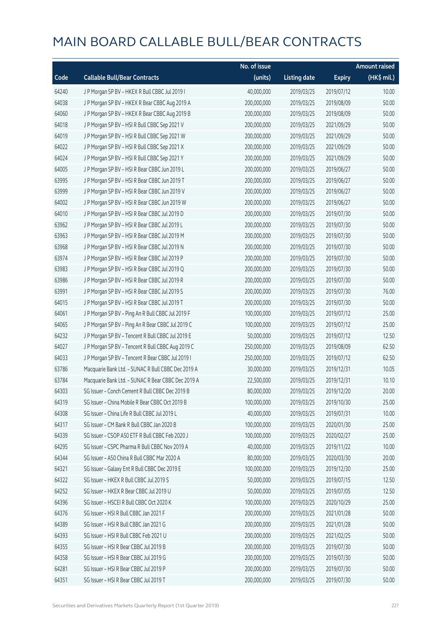|       |                                                    | No. of issue |                     |               | <b>Amount raised</b> |
|-------|----------------------------------------------------|--------------|---------------------|---------------|----------------------|
| Code  | <b>Callable Bull/Bear Contracts</b>                | (units)      | <b>Listing date</b> | <b>Expiry</b> | (HK\$ mil.)          |
| 64240 | J P Morgan SP BV - HKEX R Bull CBBC Jul 2019 I     | 40,000,000   | 2019/03/25          | 2019/07/12    | 10.00                |
| 64038 | J P Morgan SP BV - HKEX R Bear CBBC Aug 2019 A     | 200,000,000  | 2019/03/25          | 2019/08/09    | 50.00                |
| 64060 | J P Morgan SP BV - HKEX R Bear CBBC Aug 2019 B     | 200,000,000  | 2019/03/25          | 2019/08/09    | 50.00                |
| 64018 | J P Morgan SP BV - HSI R Bull CBBC Sep 2021 V      | 200,000,000  | 2019/03/25          | 2021/09/29    | 50.00                |
| 64019 | J P Morgan SP BV - HSI R Bull CBBC Sep 2021 W      | 200,000,000  | 2019/03/25          | 2021/09/29    | 50.00                |
| 64022 | J P Morgan SP BV - HSI R Bull CBBC Sep 2021 X      | 200,000,000  | 2019/03/25          | 2021/09/29    | 50.00                |
| 64024 | J P Morgan SP BV - HSI R Bull CBBC Sep 2021 Y      | 200,000,000  | 2019/03/25          | 2021/09/29    | 50.00                |
| 64005 | J P Morgan SP BV - HSI R Bear CBBC Jun 2019 L      | 200,000,000  | 2019/03/25          | 2019/06/27    | 50.00                |
| 63995 | J P Morgan SP BV - HSI R Bear CBBC Jun 2019 T      | 200,000,000  | 2019/03/25          | 2019/06/27    | 50.00                |
| 63999 | J P Morgan SP BV - HSI R Bear CBBC Jun 2019 V      | 200,000,000  | 2019/03/25          | 2019/06/27    | 50.00                |
| 64002 | J P Morgan SP BV - HSI R Bear CBBC Jun 2019 W      | 200,000,000  | 2019/03/25          | 2019/06/27    | 50.00                |
| 64010 | J P Morgan SP BV - HSI R Bear CBBC Jul 2019 D      | 200,000,000  | 2019/03/25          | 2019/07/30    | 50.00                |
| 63962 | J P Morgan SP BV - HSI R Bear CBBC Jul 2019 L      | 200,000,000  | 2019/03/25          | 2019/07/30    | 50.00                |
| 63963 | J P Morgan SP BV - HSI R Bear CBBC Jul 2019 M      | 200,000,000  | 2019/03/25          | 2019/07/30    | 50.00                |
| 63968 | J P Morgan SP BV - HSI R Bear CBBC Jul 2019 N      | 200,000,000  | 2019/03/25          | 2019/07/30    | 50.00                |
| 63974 | J P Morgan SP BV - HSI R Bear CBBC Jul 2019 P      | 200,000,000  | 2019/03/25          | 2019/07/30    | 50.00                |
| 63983 | J P Morgan SP BV - HSI R Bear CBBC Jul 2019 Q      | 200,000,000  | 2019/03/25          | 2019/07/30    | 50.00                |
| 63986 | J P Morgan SP BV - HSI R Bear CBBC Jul 2019 R      | 200,000,000  | 2019/03/25          | 2019/07/30    | 50.00                |
| 63991 | J P Morgan SP BV - HSI R Bear CBBC Jul 2019 S      | 200,000,000  | 2019/03/25          | 2019/07/30    | 76.00                |
| 64015 | J P Morgan SP BV - HSI R Bear CBBC Jul 2019 T      | 200,000,000  | 2019/03/25          | 2019/07/30    | 50.00                |
| 64061 | J P Morgan SP BV - Ping An R Bull CBBC Jul 2019 F  | 100,000,000  | 2019/03/25          | 2019/07/12    | 25.00                |
| 64065 | J P Morgan SP BV - Ping An R Bear CBBC Jul 2019 C  | 100,000,000  | 2019/03/25          | 2019/07/12    | 25.00                |
| 64232 | J P Morgan SP BV - Tencent R Bull CBBC Jul 2019 E  | 50,000,000   | 2019/03/25          | 2019/07/12    | 12.50                |
| 64027 | J P Morgan SP BV - Tencent R Bull CBBC Aug 2019 C  | 250,000,000  | 2019/03/25          | 2019/08/09    | 62.50                |
| 64033 | J P Morgan SP BV - Tencent R Bear CBBC Jul 2019 I  | 250,000,000  | 2019/03/25          | 2019/07/12    | 62.50                |
| 63786 | Macquarie Bank Ltd. - SUNAC R Bull CBBC Dec 2019 A | 30,000,000   | 2019/03/25          | 2019/12/31    | 10.05                |
| 63784 | Macquarie Bank Ltd. - SUNAC R Bear CBBC Dec 2019 A | 22,500,000   | 2019/03/25          | 2019/12/31    | 10.10                |
| 64303 | SG Issuer - Conch Cement R Bull CBBC Dec 2019 B    | 80,000,000   | 2019/03/25          | 2019/12/20    | 20.00                |
| 64319 | SG Issuer - China Mobile R Bear CBBC Oct 2019 B    | 100,000,000  | 2019/03/25          | 2019/10/30    | 25.00                |
| 64308 | SG Issuer - China Life R Bull CBBC Jul 2019 L      | 40,000,000   | 2019/03/25          | 2019/07/31    | 10.00                |
| 64317 | SG Issuer - CM Bank R Bull CBBC Jan 2020 B         | 100,000,000  | 2019/03/25          | 2020/01/30    | 25.00                |
| 64339 | SG Issuer - CSOP A50 ETF R Bull CBBC Feb 2020 J    | 100,000,000  | 2019/03/25          | 2020/02/27    | 25.00                |
| 64295 | SG Issuer - CSPC Pharma R Bull CBBC Nov 2019 A     | 40,000,000   | 2019/03/25          | 2019/11/22    | 10.00                |
| 64344 | SG Issuer - A50 China R Bull CBBC Mar 2020 A       | 80,000,000   | 2019/03/25          | 2020/03/30    | 20.00                |
| 64321 | SG Issuer - Galaxy Ent R Bull CBBC Dec 2019 E      | 100,000,000  | 2019/03/25          | 2019/12/30    | 25.00                |
| 64322 | SG Issuer - HKEX R Bull CBBC Jul 2019 S            | 50,000,000   | 2019/03/25          | 2019/07/15    | 12.50                |
| 64252 | SG Issuer - HKEX R Bear CBBC Jul 2019 U            | 50,000,000   | 2019/03/25          | 2019/07/05    | 12.50                |
| 64396 | SG Issuer - HSCEI R Bull CBBC Oct 2020 K           | 100,000,000  | 2019/03/25          | 2020/10/29    | 25.00                |
| 64376 | SG Issuer - HSI R Bull CBBC Jan 2021 F             | 200,000,000  | 2019/03/25          | 2021/01/28    | 50.00                |
| 64389 | SG Issuer - HSI R Bull CBBC Jan 2021 G             | 200,000,000  | 2019/03/25          | 2021/01/28    | 50.00                |
| 64393 | SG Issuer - HSI R Bull CBBC Feb 2021 U             | 200,000,000  | 2019/03/25          | 2021/02/25    | 50.00                |
| 64355 | SG Issuer - HSI R Bear CBBC Jul 2019 B             | 200,000,000  | 2019/03/25          | 2019/07/30    | 50.00                |
| 64358 | SG Issuer - HSI R Bear CBBC Jul 2019 G             | 200,000,000  | 2019/03/25          | 2019/07/30    | 50.00                |
| 64281 | SG Issuer - HSI R Bear CBBC Jul 2019 P             | 200,000,000  | 2019/03/25          | 2019/07/30    | 50.00                |
| 64351 | SG Issuer - HSI R Bear CBBC Jul 2019 T             | 200,000,000  | 2019/03/25          | 2019/07/30    | 50.00                |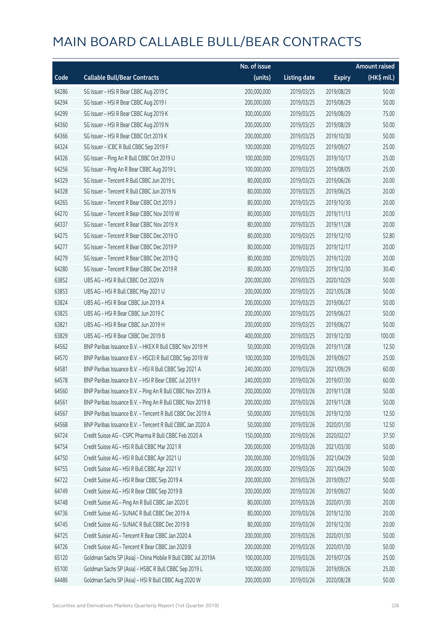|       |                                                              | No. of issue |                     |               | <b>Amount raised</b> |
|-------|--------------------------------------------------------------|--------------|---------------------|---------------|----------------------|
| Code  | <b>Callable Bull/Bear Contracts</b>                          | (units)      | <b>Listing date</b> | <b>Expiry</b> | (HK\$ mil.)          |
| 64286 | SG Issuer - HSI R Bear CBBC Aug 2019 C                       | 200,000,000  | 2019/03/25          | 2019/08/29    | 50.00                |
| 64294 | SG Issuer - HSI R Bear CBBC Aug 2019 I                       | 200,000,000  | 2019/03/25          | 2019/08/29    | 50.00                |
| 64299 | SG Issuer - HSI R Bear CBBC Aug 2019 K                       | 300,000,000  | 2019/03/25          | 2019/08/29    | 75.00                |
| 64360 | SG Issuer - HSI R Bear CBBC Aug 2019 N                       | 200,000,000  | 2019/03/25          | 2019/08/29    | 50.00                |
| 64366 | SG Issuer - HSI R Bear CBBC Oct 2019 K                       | 200,000,000  | 2019/03/25          | 2019/10/30    | 50.00                |
| 64324 | SG Issuer - ICBC R Bull CBBC Sep 2019 F                      | 100,000,000  | 2019/03/25          | 2019/09/27    | 25.00                |
| 64326 | SG Issuer - Ping An R Bull CBBC Oct 2019 U                   | 100,000,000  | 2019/03/25          | 2019/10/17    | 25.00                |
| 64256 | SG Issuer - Ping An R Bear CBBC Aug 2019 L                   | 100,000,000  | 2019/03/25          | 2019/08/05    | 25.00                |
| 64329 | SG Issuer - Tencent R Bull CBBC Jun 2019 L                   | 80,000,000   | 2019/03/25          | 2019/06/26    | 20.00                |
| 64328 | SG Issuer - Tencent R Bull CBBC Jun 2019 N                   | 80,000,000   | 2019/03/25          | 2019/06/25    | 20.00                |
| 64265 | SG Issuer - Tencent R Bear CBBC Oct 2019 J                   | 80,000,000   | 2019/03/25          | 2019/10/30    | 20.00                |
| 64270 | SG Issuer - Tencent R Bear CBBC Nov 2019 W                   | 80,000,000   | 2019/03/25          | 2019/11/13    | 20.00                |
| 64337 | SG Issuer - Tencent R Bear CBBC Nov 2019 X                   | 80,000,000   | 2019/03/25          | 2019/11/28    | 20.00                |
| 64275 | SG Issuer - Tencent R Bear CBBC Dec 2019 O                   | 80,000,000   | 2019/03/25          | 2019/12/10    | 52.80                |
| 64277 | SG Issuer - Tencent R Bear CBBC Dec 2019 P                   | 80,000,000   | 2019/03/25          | 2019/12/17    | 20.00                |
| 64279 | SG Issuer - Tencent R Bear CBBC Dec 2019 Q                   | 80,000,000   | 2019/03/25          | 2019/12/20    | 20.00                |
| 64280 | SG Issuer - Tencent R Bear CBBC Dec 2019 R                   | 80,000,000   | 2019/03/25          | 2019/12/30    | 30.40                |
| 63852 | UBS AG - HSI R Bull CBBC Oct 2020 N                          | 200,000,000  | 2019/03/25          | 2020/10/29    | 50.00                |
| 63853 | UBS AG - HSI R Bull CBBC May 2021 U                          | 200,000,000  | 2019/03/25          | 2021/05/28    | 50.00                |
| 63824 | UBS AG - HSI R Bear CBBC Jun 2019 A                          | 200,000,000  | 2019/03/25          | 2019/06/27    | 50.00                |
| 63825 | UBS AG - HSI R Bear CBBC Jun 2019 C                          | 200,000,000  | 2019/03/25          | 2019/06/27    | 50.00                |
| 63821 | UBS AG - HSI R Bear CBBC Jun 2019 H                          | 200,000,000  | 2019/03/25          | 2019/06/27    | 50.00                |
| 63829 | UBS AG - HSI R Bear CBBC Dec 2019 B                          | 400,000,000  | 2019/03/25          | 2019/12/30    | 100.00               |
| 64562 | BNP Paribas Issuance B.V. - HKEX R Bull CBBC Nov 2019 M      | 50,000,000   | 2019/03/26          | 2019/11/28    | 12.50                |
| 64570 | BNP Paribas Issuance B.V. - HSCEI R Bull CBBC Sep 2019 W     | 100,000,000  | 2019/03/26          | 2019/09/27    | 25.00                |
| 64581 | BNP Paribas Issuance B.V. - HSI R Bull CBBC Sep 2021 A       | 240,000,000  | 2019/03/26          | 2021/09/29    | 60.00                |
| 64578 | BNP Paribas Issuance B.V. - HSI R Bear CBBC Jul 2019 Y       | 240,000,000  | 2019/03/26          | 2019/07/30    | 60.00                |
| 64560 | BNP Paribas Issuance B.V. - Ping An R Bull CBBC Nov 2019 A   | 200,000,000  | 2019/03/26          | 2019/11/28    | 50.00                |
| 64561 | BNP Paribas Issuance B.V. - Ping An R Bull CBBC Nov 2019 B   | 200,000,000  | 2019/03/26          | 2019/11/28    | 50.00                |
| 64567 | BNP Paribas Issuance B.V. - Tencent R Bull CBBC Dec 2019 A   | 50,000,000   | 2019/03/26          | 2019/12/30    | 12.50                |
| 64568 | BNP Paribas Issuance B.V. - Tencent R Bull CBBC Jan 2020 A   | 50,000,000   | 2019/03/26          | 2020/01/30    | 12.50                |
| 64724 | Credit Suisse AG - CSPC Pharma R Bull CBBC Feb 2020 A        | 150,000,000  | 2019/03/26          | 2020/02/27    | 37.50                |
| 64754 | Credit Suisse AG - HSI R Bull CBBC Mar 2021 R                | 200,000,000  | 2019/03/26          | 2021/03/30    | 50.00                |
| 64750 | Credit Suisse AG - HSI R Bull CBBC Apr 2021 U                | 200,000,000  | 2019/03/26          | 2021/04/29    | 50.00                |
| 64755 | Credit Suisse AG - HSI R Bull CBBC Apr 2021 V                | 200,000,000  | 2019/03/26          | 2021/04/29    | 50.00                |
| 64722 | Credit Suisse AG - HSI R Bear CBBC Sep 2019 A                | 200,000,000  | 2019/03/26          | 2019/09/27    | 50.00                |
| 64749 | Credit Suisse AG - HSI R Bear CBBC Sep 2019 B                | 200,000,000  | 2019/03/26          | 2019/09/27    | 50.00                |
| 64748 | Credit Suisse AG - Ping An R Bull CBBC Jan 2020 E            | 80,000,000   | 2019/03/26          | 2020/01/30    | 20.00                |
| 64736 | Credit Suisse AG - SUNAC R Bull CBBC Dec 2019 A              | 80,000,000   | 2019/03/26          | 2019/12/30    | 20.00                |
| 64745 | Credit Suisse AG - SUNAC R Bull CBBC Dec 2019 B              | 80,000,000   | 2019/03/26          | 2019/12/30    | 20.00                |
| 64725 | Credit Suisse AG - Tencent R Bear CBBC Jan 2020 A            | 200,000,000  | 2019/03/26          | 2020/01/30    | 50.00                |
| 64726 | Credit Suisse AG - Tencent R Bear CBBC Jan 2020 B            | 200,000,000  | 2019/03/26          | 2020/01/30    | 50.00                |
| 65120 | Goldman Sachs SP (Asia) - China Mobile R Bull CBBC Jul 2019A | 100,000,000  | 2019/03/26          | 2019/07/26    | 25.00                |
| 65100 | Goldman Sachs SP (Asia) - HSBC R Bull CBBC Sep 2019 L        | 100,000,000  | 2019/03/26          | 2019/09/26    | 25.00                |
| 64486 | Goldman Sachs SP (Asia) - HSI R Bull CBBC Aug 2020 W         | 200,000,000  | 2019/03/26          | 2020/08/28    | 50.00                |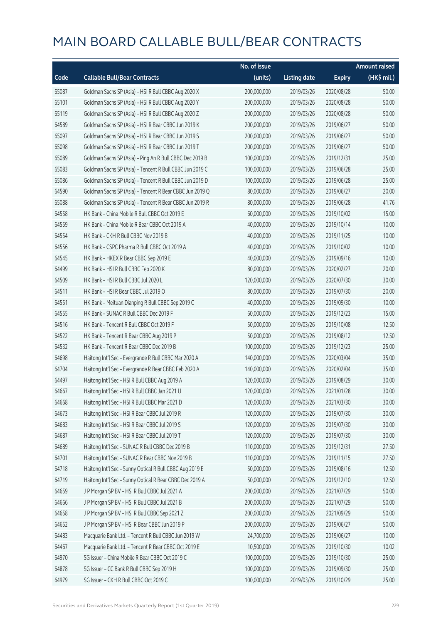|       |                                                          | No. of issue |                     |               | <b>Amount raised</b> |
|-------|----------------------------------------------------------|--------------|---------------------|---------------|----------------------|
| Code  | <b>Callable Bull/Bear Contracts</b>                      | (units)      | <b>Listing date</b> | <b>Expiry</b> | (HK\$ mil.)          |
| 65087 | Goldman Sachs SP (Asia) - HSI R Bull CBBC Aug 2020 X     | 200,000,000  | 2019/03/26          | 2020/08/28    | 50.00                |
| 65101 | Goldman Sachs SP (Asia) - HSI R Bull CBBC Aug 2020 Y     | 200,000,000  | 2019/03/26          | 2020/08/28    | 50.00                |
| 65119 | Goldman Sachs SP (Asia) - HSI R Bull CBBC Aug 2020 Z     | 200,000,000  | 2019/03/26          | 2020/08/28    | 50.00                |
| 64589 | Goldman Sachs SP (Asia) - HSI R Bear CBBC Jun 2019 K     | 200,000,000  | 2019/03/26          | 2019/06/27    | 50.00                |
| 65097 | Goldman Sachs SP (Asia) - HSI R Bear CBBC Jun 2019 S     | 200,000,000  | 2019/03/26          | 2019/06/27    | 50.00                |
| 65098 | Goldman Sachs SP (Asia) - HSI R Bear CBBC Jun 2019 T     | 200,000,000  | 2019/03/26          | 2019/06/27    | 50.00                |
| 65089 | Goldman Sachs SP (Asia) - Ping An R Bull CBBC Dec 2019 B | 100,000,000  | 2019/03/26          | 2019/12/31    | 25.00                |
| 65083 | Goldman Sachs SP (Asia) - Tencent R Bull CBBC Jun 2019 C | 100,000,000  | 2019/03/26          | 2019/06/28    | 25.00                |
| 65086 | Goldman Sachs SP (Asia) - Tencent R Bull CBBC Jun 2019 D | 100,000,000  | 2019/03/26          | 2019/06/28    | 25.00                |
| 64590 | Goldman Sachs SP (Asia) - Tencent R Bear CBBC Jun 2019 Q | 80,000,000   | 2019/03/26          | 2019/06/27    | 20.00                |
| 65088 | Goldman Sachs SP (Asia) - Tencent R Bear CBBC Jun 2019 R | 80,000,000   | 2019/03/26          | 2019/06/28    | 41.76                |
| 64558 | HK Bank - China Mobile R Bull CBBC Oct 2019 E            | 60,000,000   | 2019/03/26          | 2019/10/02    | 15.00                |
| 64559 | HK Bank - China Mobile R Bear CBBC Oct 2019 A            | 40,000,000   | 2019/03/26          | 2019/10/14    | 10.00                |
| 64554 | HK Bank - CKH R Bull CBBC Nov 2019 B                     | 40,000,000   | 2019/03/26          | 2019/11/25    | 10.00                |
| 64556 | HK Bank - CSPC Pharma R Bull CBBC Oct 2019 A             | 40,000,000   | 2019/03/26          | 2019/10/02    | 10.00                |
| 64545 | HK Bank - HKEX R Bear CBBC Sep 2019 E                    | 40,000,000   | 2019/03/26          | 2019/09/16    | 10.00                |
| 64499 | HK Bank - HSI R Bull CBBC Feb 2020 K                     | 80,000,000   | 2019/03/26          | 2020/02/27    | 20.00                |
| 64509 | HK Bank - HSI R Bull CBBC Jul 2020 L                     | 120,000,000  | 2019/03/26          | 2020/07/30    | 30.00                |
| 64511 | HK Bank - HSI R Bear CBBC Jul 2019 O                     | 80,000,000   | 2019/03/26          | 2019/07/30    | 20.00                |
| 64551 | HK Bank - Meituan Dianping R Bull CBBC Sep 2019 C        | 40,000,000   | 2019/03/26          | 2019/09/30    | 10.00                |
| 64555 | HK Bank - SUNAC R Bull CBBC Dec 2019 F                   | 60,000,000   | 2019/03/26          | 2019/12/23    | 15.00                |
| 64516 | HK Bank - Tencent R Bull CBBC Oct 2019 F                 | 50,000,000   | 2019/03/26          | 2019/10/08    | 12.50                |
| 64522 | HK Bank - Tencent R Bear CBBC Aug 2019 P                 | 50,000,000   | 2019/03/26          | 2019/08/12    | 12.50                |
| 64532 | HK Bank - Tencent R Bear CBBC Dec 2019 B                 | 100,000,000  | 2019/03/26          | 2019/12/23    | 25.00                |
| 64698 | Haitong Int'l Sec - Evergrande R Bull CBBC Mar 2020 A    | 140,000,000  | 2019/03/26          | 2020/03/04    | 35.00                |
| 64704 | Haitong Int'l Sec - Evergrande R Bear CBBC Feb 2020 A    | 140,000,000  | 2019/03/26          | 2020/02/04    | 35.00                |
| 64497 | Haitong Int'l Sec - HSI R Bull CBBC Aug 2019 A           | 120,000,000  | 2019/03/26          | 2019/08/29    | 30.00                |
| 64667 | Haitong Int'l Sec - HSI R Bull CBBC Jan 2021 U           | 120,000,000  | 2019/03/26          | 2021/01/28    | 30.00                |
| 64668 | Haitong Int'l Sec - HSI R Bull CBBC Mar 2021 D           | 120,000,000  | 2019/03/26          | 2021/03/30    | 30.00                |
| 64673 | Haitong Int'l Sec - HSI R Bear CBBC Jul 2019 R           | 120,000,000  | 2019/03/26          | 2019/07/30    | 30.00                |
| 64683 | Haitong Int'l Sec - HSI R Bear CBBC Jul 2019 S           | 120,000,000  | 2019/03/26          | 2019/07/30    | 30.00                |
| 64687 | Haitong Int'l Sec - HSI R Bear CBBC Jul 2019 T           | 120,000,000  | 2019/03/26          | 2019/07/30    | 30.00                |
| 64689 | Haitong Int'l Sec - SUNAC R Bull CBBC Dec 2019 B         | 110,000,000  | 2019/03/26          | 2019/12/31    | 27.50                |
| 64701 | Haitong Int'l Sec - SUNAC R Bear CBBC Nov 2019 B         | 110,000,000  | 2019/03/26          | 2019/11/15    | 27.50                |
| 64718 | Haitong Int'l Sec - Sunny Optical R Bull CBBC Aug 2019 E | 50,000,000   | 2019/03/26          | 2019/08/16    | 12.50                |
| 64719 | Haitong Int'l Sec - Sunny Optical R Bear CBBC Dec 2019 A | 50,000,000   | 2019/03/26          | 2019/12/10    | 12.50                |
| 64659 | J P Morgan SP BV - HSI R Bull CBBC Jul 2021 A            | 200,000,000  | 2019/03/26          | 2021/07/29    | 50.00                |
| 64666 | J P Morgan SP BV - HSI R Bull CBBC Jul 2021 B            | 200,000,000  | 2019/03/26          | 2021/07/29    | 50.00                |
| 64658 | J P Morgan SP BV - HSI R Bull CBBC Sep 2021 Z            | 200,000,000  | 2019/03/26          | 2021/09/29    | 50.00                |
| 64652 | J P Morgan SP BV - HSI R Bear CBBC Jun 2019 P            | 200,000,000  | 2019/03/26          | 2019/06/27    | 50.00                |
| 64483 | Macquarie Bank Ltd. - Tencent R Bull CBBC Jun 2019 W     | 24,700,000   | 2019/03/26          | 2019/06/27    | 10.00                |
| 64467 | Macquarie Bank Ltd. - Tencent R Bear CBBC Oct 2019 E     | 10,500,000   | 2019/03/26          | 2019/10/30    | 10.02                |
| 64970 | SG Issuer - China Mobile R Bear CBBC Oct 2019 C          | 100,000,000  | 2019/03/26          | 2019/10/30    | 25.00                |
| 64878 | SG Issuer - CC Bank R Bull CBBC Sep 2019 H               | 100,000,000  | 2019/03/26          | 2019/09/30    | 25.00                |
| 64979 | SG Issuer - CKH R Bull CBBC Oct 2019 C                   | 100,000,000  | 2019/03/26          | 2019/10/29    | 25.00                |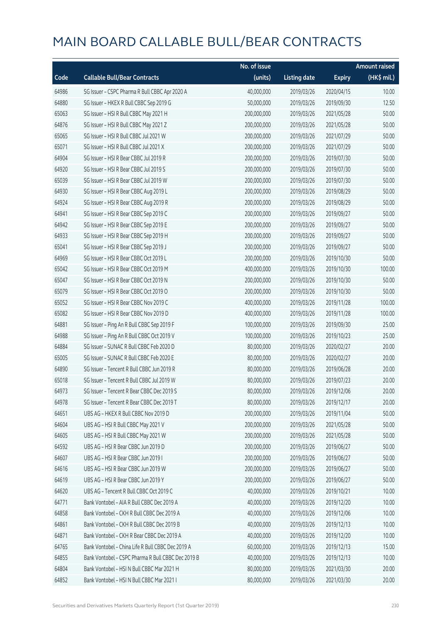|       |                                                    | No. of issue |                     |               | <b>Amount raised</b> |
|-------|----------------------------------------------------|--------------|---------------------|---------------|----------------------|
| Code  | <b>Callable Bull/Bear Contracts</b>                | (units)      | <b>Listing date</b> | <b>Expiry</b> | (HK\$ mil.)          |
| 64986 | SG Issuer - CSPC Pharma R Bull CBBC Apr 2020 A     | 40,000,000   | 2019/03/26          | 2020/04/15    | 10.00                |
| 64880 | SG Issuer - HKEX R Bull CBBC Sep 2019 G            | 50,000,000   | 2019/03/26          | 2019/09/30    | 12.50                |
| 65063 | SG Issuer - HSI R Bull CBBC May 2021 H             | 200,000,000  | 2019/03/26          | 2021/05/28    | 50.00                |
| 64876 | SG Issuer - HSI R Bull CBBC May 2021 Z             | 200,000,000  | 2019/03/26          | 2021/05/28    | 50.00                |
| 65065 | SG Issuer - HSI R Bull CBBC Jul 2021 W             | 200,000,000  | 2019/03/26          | 2021/07/29    | 50.00                |
| 65071 | SG Issuer - HSI R Bull CBBC Jul 2021 X             | 200,000,000  | 2019/03/26          | 2021/07/29    | 50.00                |
| 64904 | SG Issuer - HSI R Bear CBBC Jul 2019 R             | 200,000,000  | 2019/03/26          | 2019/07/30    | 50.00                |
| 64920 | SG Issuer - HSI R Bear CBBC Jul 2019 S             | 200,000,000  | 2019/03/26          | 2019/07/30    | 50.00                |
| 65039 | SG Issuer - HSI R Bear CBBC Jul 2019 W             | 200,000,000  | 2019/03/26          | 2019/07/30    | 50.00                |
| 64930 | SG Issuer - HSI R Bear CBBC Aug 2019 L             | 200,000,000  | 2019/03/26          | 2019/08/29    | 50.00                |
| 64924 | SG Issuer - HSI R Bear CBBC Aug 2019 R             | 200,000,000  | 2019/03/26          | 2019/08/29    | 50.00                |
| 64941 | SG Issuer - HSI R Bear CBBC Sep 2019 C             | 200,000,000  | 2019/03/26          | 2019/09/27    | 50.00                |
| 64942 | SG Issuer - HSI R Bear CBBC Sep 2019 E             | 200,000,000  | 2019/03/26          | 2019/09/27    | 50.00                |
| 64933 | SG Issuer - HSI R Bear CBBC Sep 2019 H             | 200,000,000  | 2019/03/26          | 2019/09/27    | 50.00                |
| 65041 | SG Issuer - HSI R Bear CBBC Sep 2019 J             | 200,000,000  | 2019/03/26          | 2019/09/27    | 50.00                |
| 64969 | SG Issuer - HSI R Bear CBBC Oct 2019 L             | 200,000,000  | 2019/03/26          | 2019/10/30    | 50.00                |
| 65042 | SG Issuer - HSI R Bear CBBC Oct 2019 M             | 400,000,000  | 2019/03/26          | 2019/10/30    | 100.00               |
| 65047 | SG Issuer - HSI R Bear CBBC Oct 2019 N             | 200,000,000  | 2019/03/26          | 2019/10/30    | 50.00                |
| 65079 | SG Issuer - HSI R Bear CBBC Oct 2019 O             | 200,000,000  | 2019/03/26          | 2019/10/30    | 50.00                |
| 65052 | SG Issuer - HSI R Bear CBBC Nov 2019 C             | 400,000,000  | 2019/03/26          | 2019/11/28    | 100.00               |
| 65082 | SG Issuer - HSI R Bear CBBC Nov 2019 D             | 400,000,000  | 2019/03/26          | 2019/11/28    | 100.00               |
| 64881 | SG Issuer - Ping An R Bull CBBC Sep 2019 F         | 100,000,000  | 2019/03/26          | 2019/09/30    | 25.00                |
| 64988 | SG Issuer - Ping An R Bull CBBC Oct 2019 V         | 100,000,000  | 2019/03/26          | 2019/10/23    | 25.00                |
| 64884 | SG Issuer - SUNAC R Bull CBBC Feb 2020 D           | 80,000,000   | 2019/03/26          | 2020/02/27    | 20.00                |
| 65005 | SG Issuer - SUNAC R Bull CBBC Feb 2020 E           | 80,000,000   | 2019/03/26          | 2020/02/27    | 20.00                |
| 64890 | SG Issuer - Tencent R Bull CBBC Jun 2019 R         | 80,000,000   | 2019/03/26          | 2019/06/28    | 20.00                |
| 65018 | SG Issuer - Tencent R Bull CBBC Jul 2019 W         | 80,000,000   | 2019/03/26          | 2019/07/23    | 20.00                |
| 64973 | SG Issuer – Tencent R Bear CBBC Dec 2019 S         | 80,000,000   | 2019/03/26          | 2019/12/06    | 20.00                |
| 64978 | SG Issuer - Tencent R Bear CBBC Dec 2019 T         | 80,000,000   | 2019/03/26          | 2019/12/17    | 20.00                |
| 64651 | UBS AG - HKEX R Bull CBBC Nov 2019 D               | 200,000,000  | 2019/03/26          | 2019/11/04    | 50.00                |
| 64604 | UBS AG - HSI R Bull CBBC May 2021 V                | 200,000,000  | 2019/03/26          | 2021/05/28    | 50.00                |
| 64605 | UBS AG - HSI R Bull CBBC May 2021 W                | 200,000,000  | 2019/03/26          | 2021/05/28    | 50.00                |
| 64592 | UBS AG - HSI R Bear CBBC Jun 2019 D                | 200,000,000  | 2019/03/26          | 2019/06/27    | 50.00                |
| 64607 | UBS AG - HSI R Bear CBBC Jun 2019 I                | 200,000,000  | 2019/03/26          | 2019/06/27    | 50.00                |
| 64616 | UBS AG - HSI R Bear CBBC Jun 2019 W                | 200,000,000  | 2019/03/26          | 2019/06/27    | 50.00                |
| 64619 | UBS AG - HSI R Bear CBBC Jun 2019 Y                | 200,000,000  | 2019/03/26          | 2019/06/27    | 50.00                |
| 64620 | UBS AG - Tencent R Bull CBBC Oct 2019 C            | 40,000,000   | 2019/03/26          | 2019/10/21    | 10.00                |
| 64771 | Bank Vontobel - AIA R Bull CBBC Dec 2019 A         | 40,000,000   | 2019/03/26          | 2019/12/20    | 10.00                |
| 64858 | Bank Vontobel - CKH R Bull CBBC Dec 2019 A         | 40,000,000   | 2019/03/26          | 2019/12/06    | 10.00                |
| 64861 | Bank Vontobel - CKH R Bull CBBC Dec 2019 B         | 40,000,000   | 2019/03/26          | 2019/12/13    | 10.00                |
| 64871 | Bank Vontobel - CKH R Bear CBBC Dec 2019 A         | 40,000,000   | 2019/03/26          | 2019/12/20    | 10.00                |
| 64765 | Bank Vontobel - China Life R Bull CBBC Dec 2019 A  | 60,000,000   | 2019/03/26          | 2019/12/13    | 15.00                |
| 64855 | Bank Vontobel - CSPC Pharma R Bull CBBC Dec 2019 B | 40,000,000   | 2019/03/26          | 2019/12/13    | 10.00                |
| 64804 | Bank Vontobel - HSI N Bull CBBC Mar 2021 H         | 80,000,000   | 2019/03/26          | 2021/03/30    | 20.00                |
| 64852 | Bank Vontobel - HSI N Bull CBBC Mar 2021 I         | 80,000,000   | 2019/03/26          | 2021/03/30    | 20.00                |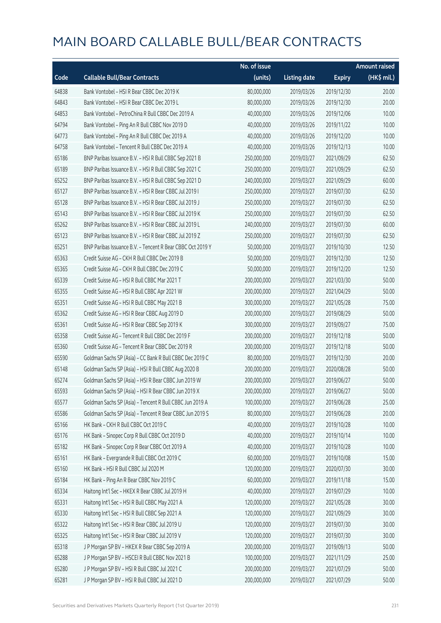|       |                                                            | No. of issue |                     |               | <b>Amount raised</b> |
|-------|------------------------------------------------------------|--------------|---------------------|---------------|----------------------|
| Code  | <b>Callable Bull/Bear Contracts</b>                        | (units)      | <b>Listing date</b> | <b>Expiry</b> | (HK\$ mil.)          |
| 64838 | Bank Vontobel - HSI R Bear CBBC Dec 2019 K                 | 80,000,000   | 2019/03/26          | 2019/12/30    | 20.00                |
| 64843 | Bank Vontobel - HSI R Bear CBBC Dec 2019 L                 | 80,000,000   | 2019/03/26          | 2019/12/30    | 20.00                |
| 64853 | Bank Vontobel - PetroChina R Bull CBBC Dec 2019 A          | 40,000,000   | 2019/03/26          | 2019/12/06    | 10.00                |
| 64794 | Bank Vontobel - Ping An R Bull CBBC Nov 2019 D             | 40,000,000   | 2019/03/26          | 2019/11/22    | 10.00                |
| 64773 | Bank Vontobel - Ping An R Bull CBBC Dec 2019 A             | 40,000,000   | 2019/03/26          | 2019/12/20    | 10.00                |
| 64758 | Bank Vontobel - Tencent R Bull CBBC Dec 2019 A             | 40,000,000   | 2019/03/26          | 2019/12/13    | 10.00                |
| 65186 | BNP Paribas Issuance B.V. - HSI R Bull CBBC Sep 2021 B     | 250,000,000  | 2019/03/27          | 2021/09/29    | 62.50                |
| 65189 | BNP Paribas Issuance B.V. - HSI R Bull CBBC Sep 2021 C     | 250,000,000  | 2019/03/27          | 2021/09/29    | 62.50                |
| 65252 | BNP Paribas Issuance B.V. - HSI R Bull CBBC Sep 2021 D     | 240,000,000  | 2019/03/27          | 2021/09/29    | 60.00                |
| 65127 | BNP Paribas Issuance B.V. - HSI R Bear CBBC Jul 2019 I     | 250,000,000  | 2019/03/27          | 2019/07/30    | 62.50                |
| 65128 | BNP Paribas Issuance B.V. - HSI R Bear CBBC Jul 2019 J     | 250,000,000  | 2019/03/27          | 2019/07/30    | 62.50                |
| 65143 | BNP Paribas Issuance B.V. - HSI R Bear CBBC Jul 2019 K     | 250,000,000  | 2019/03/27          | 2019/07/30    | 62.50                |
| 65262 | BNP Paribas Issuance B.V. - HSI R Bear CBBC Jul 2019 L     | 240,000,000  | 2019/03/27          | 2019/07/30    | 60.00                |
| 65123 | BNP Paribas Issuance B.V. - HSI R Bear CBBC Jul 2019 Z     | 250,000,000  | 2019/03/27          | 2019/07/30    | 62.50                |
| 65251 | BNP Paribas Issuance B.V. - Tencent R Bear CBBC Oct 2019 Y | 50,000,000   | 2019/03/27          | 2019/10/30    | 12.50                |
| 65363 | Credit Suisse AG - CKH R Bull CBBC Dec 2019 B              | 50,000,000   | 2019/03/27          | 2019/12/30    | 12.50                |
| 65365 | Credit Suisse AG - CKH R Bull CBBC Dec 2019 C              | 50,000,000   | 2019/03/27          | 2019/12/20    | 12.50                |
| 65339 | Credit Suisse AG - HSI R Bull CBBC Mar 2021 T              | 200,000,000  | 2019/03/27          | 2021/03/30    | 50.00                |
| 65355 | Credit Suisse AG - HSI R Bull CBBC Apr 2021 W              | 200,000,000  | 2019/03/27          | 2021/04/29    | 50.00                |
| 65351 | Credit Suisse AG - HSI R Bull CBBC May 2021 B              | 300,000,000  | 2019/03/27          | 2021/05/28    | 75.00                |
| 65362 | Credit Suisse AG - HSI R Bear CBBC Aug 2019 D              | 200,000,000  | 2019/03/27          | 2019/08/29    | 50.00                |
| 65361 | Credit Suisse AG - HSI R Bear CBBC Sep 2019 K              | 300,000,000  | 2019/03/27          | 2019/09/27    | 75.00                |
| 65358 | Credit Suisse AG - Tencent R Bull CBBC Dec 2019 F          | 200,000,000  | 2019/03/27          | 2019/12/18    | 50.00                |
| 65360 | Credit Suisse AG - Tencent R Bear CBBC Dec 2019 R          | 200,000,000  | 2019/03/27          | 2019/12/18    | 50.00                |
| 65590 | Goldman Sachs SP (Asia) - CC Bank R Bull CBBC Dec 2019 C   | 80,000,000   | 2019/03/27          | 2019/12/30    | 20.00                |
| 65148 | Goldman Sachs SP (Asia) - HSI R Bull CBBC Aug 2020 B       | 200,000,000  | 2019/03/27          | 2020/08/28    | 50.00                |
| 65274 | Goldman Sachs SP (Asia) - HSI R Bear CBBC Jun 2019 W       | 200,000,000  | 2019/03/27          | 2019/06/27    | 50.00                |
| 65593 | Goldman Sachs SP (Asia) - HSI R Bear CBBC Jun 2019 X       | 200,000,000  | 2019/03/27          | 2019/06/27    | 50.00                |
| 65577 | Goldman Sachs SP (Asia) - Tencent R Bull CBBC Jun 2019 A   | 100,000,000  | 2019/03/27          | 2019/06/28    | 25.00                |
| 65586 | Goldman Sachs SP (Asia) - Tencent R Bear CBBC Jun 2019 S   | 80,000,000   | 2019/03/27          | 2019/06/28    | 20.00                |
| 65166 | HK Bank - CKH R Bull CBBC Oct 2019 C                       | 40,000,000   | 2019/03/27          | 2019/10/28    | 10.00                |
| 65176 | HK Bank - Sinopec Corp R Bull CBBC Oct 2019 D              | 40,000,000   | 2019/03/27          | 2019/10/14    | 10.00                |
| 65182 | HK Bank - Sinopec Corp R Bear CBBC Oct 2019 A              | 40,000,000   | 2019/03/27          | 2019/10/28    | 10.00                |
| 65161 | HK Bank - Evergrande R Bull CBBC Oct 2019 C                | 60,000,000   | 2019/03/27          | 2019/10/08    | 15.00                |
| 65160 | HK Bank - HSI R Bull CBBC Jul 2020 M                       | 120,000,000  | 2019/03/27          | 2020/07/30    | 30.00                |
| 65184 | HK Bank - Ping An R Bear CBBC Nov 2019 C                   | 60,000,000   | 2019/03/27          | 2019/11/18    | 15.00                |
| 65334 | Haitong Int'l Sec - HKEX R Bear CBBC Jul 2019 H            | 40,000,000   | 2019/03/27          | 2019/07/29    | 10.00                |
| 65331 | Haitong Int'l Sec - HSI R Bull CBBC May 2021 A             | 120,000,000  | 2019/03/27          | 2021/05/28    | 30.00                |
| 65330 | Haitong Int'l Sec - HSI R Bull CBBC Sep 2021 A             | 120,000,000  | 2019/03/27          | 2021/09/29    | 30.00                |
| 65322 | Haitong Int'l Sec - HSI R Bear CBBC Jul 2019 U             | 120,000,000  | 2019/03/27          | 2019/07/30    | 30.00                |
| 65325 | Haitong Int'l Sec - HSI R Bear CBBC Jul 2019 V             | 120,000,000  | 2019/03/27          | 2019/07/30    | 30.00                |
| 65318 | J P Morgan SP BV - HKEX R Bear CBBC Sep 2019 A             | 200,000,000  | 2019/03/27          | 2019/09/13    | 50.00                |
| 65288 | J P Morgan SP BV - HSCEI R Bull CBBC Nov 2021 B            | 100,000,000  | 2019/03/27          | 2021/11/29    | 25.00                |
| 65280 | J P Morgan SP BV - HSI R Bull CBBC Jul 2021 C              | 200,000,000  | 2019/03/27          | 2021/07/29    | 50.00                |
| 65281 | J P Morgan SP BV - HSI R Bull CBBC Jul 2021 D              | 200,000,000  | 2019/03/27          | 2021/07/29    | 50.00                |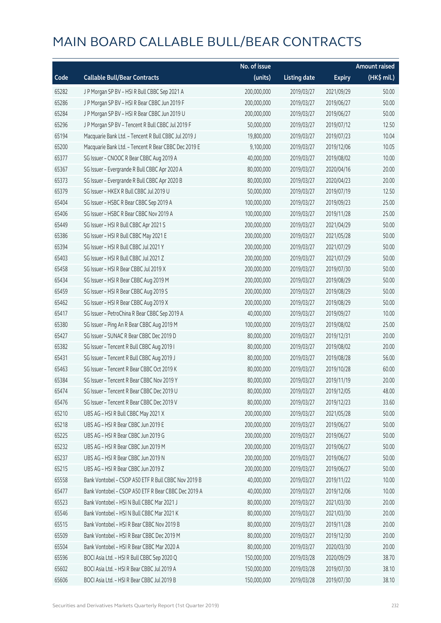|       |                                                      | No. of issue |                     |               | <b>Amount raised</b> |
|-------|------------------------------------------------------|--------------|---------------------|---------------|----------------------|
| Code  | <b>Callable Bull/Bear Contracts</b>                  | (units)      | <b>Listing date</b> | <b>Expiry</b> | (HK\$ mil.)          |
| 65282 | J P Morgan SP BV - HSI R Bull CBBC Sep 2021 A        | 200,000,000  | 2019/03/27          | 2021/09/29    | 50.00                |
| 65286 | J P Morgan SP BV - HSI R Bear CBBC Jun 2019 F        | 200,000,000  | 2019/03/27          | 2019/06/27    | 50.00                |
| 65284 | J P Morgan SP BV - HSI R Bear CBBC Jun 2019 U        | 200,000,000  | 2019/03/27          | 2019/06/27    | 50.00                |
| 65296 | J P Morgan SP BV - Tencent R Bull CBBC Jul 2019 F    | 50,000,000   | 2019/03/27          | 2019/07/12    | 12.50                |
| 65194 | Macquarie Bank Ltd. - Tencent R Bull CBBC Jul 2019 J | 19,800,000   | 2019/03/27          | 2019/07/23    | 10.04                |
| 65200 | Macquarie Bank Ltd. - Tencent R Bear CBBC Dec 2019 E | 9,100,000    | 2019/03/27          | 2019/12/06    | 10.05                |
| 65377 | SG Issuer - CNOOC R Bear CBBC Aug 2019 A             | 40,000,000   | 2019/03/27          | 2019/08/02    | 10.00                |
| 65367 | SG Issuer - Evergrande R Bull CBBC Apr 2020 A        | 80,000,000   | 2019/03/27          | 2020/04/16    | 20.00                |
| 65373 | SG Issuer - Evergrande R Bull CBBC Apr 2020 B        | 80,000,000   | 2019/03/27          | 2020/04/23    | 20.00                |
| 65379 | SG Issuer - HKEX R Bull CBBC Jul 2019 U              | 50,000,000   | 2019/03/27          | 2019/07/19    | 12.50                |
| 65404 | SG Issuer - HSBC R Bear CBBC Sep 2019 A              | 100,000,000  | 2019/03/27          | 2019/09/23    | 25.00                |
| 65406 | SG Issuer - HSBC R Bear CBBC Nov 2019 A              | 100,000,000  | 2019/03/27          | 2019/11/28    | 25.00                |
| 65449 | SG Issuer - HSI R Bull CBBC Apr 2021 S               | 200,000,000  | 2019/03/27          | 2021/04/29    | 50.00                |
| 65386 | SG Issuer - HSI R Bull CBBC May 2021 E               | 200,000,000  | 2019/03/27          | 2021/05/28    | 50.00                |
| 65394 | SG Issuer - HSI R Bull CBBC Jul 2021 Y               | 200,000,000  | 2019/03/27          | 2021/07/29    | 50.00                |
| 65403 | SG Issuer - HSI R Bull CBBC Jul 2021 Z               | 200,000,000  | 2019/03/27          | 2021/07/29    | 50.00                |
| 65458 | SG Issuer - HSI R Bear CBBC Jul 2019 X               | 200,000,000  | 2019/03/27          | 2019/07/30    | 50.00                |
| 65434 | SG Issuer - HSI R Bear CBBC Aug 2019 M               | 200,000,000  | 2019/03/27          | 2019/08/29    | 50.00                |
| 65459 | SG Issuer - HSI R Bear CBBC Aug 2019 S               | 200,000,000  | 2019/03/27          | 2019/08/29    | 50.00                |
| 65462 | SG Issuer - HSI R Bear CBBC Aug 2019 X               | 200,000,000  | 2019/03/27          | 2019/08/29    | 50.00                |
| 65417 | SG Issuer - PetroChina R Bear CBBC Sep 2019 A        | 40,000,000   | 2019/03/27          | 2019/09/27    | 10.00                |
| 65380 | SG Issuer - Ping An R Bear CBBC Aug 2019 M           | 100,000,000  | 2019/03/27          | 2019/08/02    | 25.00                |
| 65427 | SG Issuer - SUNAC R Bear CBBC Dec 2019 D             | 80,000,000   | 2019/03/27          | 2019/12/31    | 20.00                |
| 65382 | SG Issuer - Tencent R Bull CBBC Aug 2019 I           | 80,000,000   | 2019/03/27          | 2019/08/02    | 20.00                |
| 65431 | SG Issuer - Tencent R Bull CBBC Aug 2019 J           | 80,000,000   | 2019/03/27          | 2019/08/28    | 56.00                |
| 65463 | SG Issuer - Tencent R Bear CBBC Oct 2019 K           | 80,000,000   | 2019/03/27          | 2019/10/28    | 60.00                |
| 65384 | SG Issuer - Tencent R Bear CBBC Nov 2019 Y           | 80,000,000   | 2019/03/27          | 2019/11/19    | 20.00                |
| 65474 | SG Issuer – Tencent R Bear CBBC Dec 2019 U           | 80,000,000   | 2019/03/27          | 2019/12/05    | 48.00                |
| 65476 | SG Issuer - Tencent R Bear CBBC Dec 2019 V           | 80,000,000   | 2019/03/27          | 2019/12/23    | 33.60                |
| 65210 | UBS AG - HSI R Bull CBBC May 2021 X                  | 200,000,000  | 2019/03/27          | 2021/05/28    | 50.00                |
| 65218 | UBS AG - HSI R Bear CBBC Jun 2019 E                  | 200,000,000  | 2019/03/27          | 2019/06/27    | 50.00                |
| 65225 | UBS AG - HSI R Bear CBBC Jun 2019 G                  | 200,000,000  | 2019/03/27          | 2019/06/27    | 50.00                |
| 65232 | UBS AG - HSI R Bear CBBC Jun 2019 M                  | 200,000,000  | 2019/03/27          | 2019/06/27    | 50.00                |
| 65237 | UBS AG - HSI R Bear CBBC Jun 2019 N                  | 200,000,000  | 2019/03/27          | 2019/06/27    | 50.00                |
| 65215 | UBS AG - HSI R Bear CBBC Jun 2019 Z                  | 200,000,000  | 2019/03/27          | 2019/06/27    | 50.00                |
| 65558 | Bank Vontobel - CSOP A50 ETF R Bull CBBC Nov 2019 B  | 40,000,000   | 2019/03/27          | 2019/11/22    | 10.00                |
| 65477 | Bank Vontobel - CSOP A50 ETF R Bear CBBC Dec 2019 A  | 40,000,000   | 2019/03/27          | 2019/12/06    | 10.00                |
| 65523 | Bank Vontobel - HSI N Bull CBBC Mar 2021 J           | 80,000,000   | 2019/03/27          | 2021/03/30    | 20.00                |
| 65546 | Bank Vontobel - HSI N Bull CBBC Mar 2021 K           | 80,000,000   | 2019/03/27          | 2021/03/30    | 20.00                |
| 65515 | Bank Vontobel - HSI R Bear CBBC Nov 2019 B           | 80,000,000   | 2019/03/27          | 2019/11/28    | 20.00                |
| 65509 | Bank Vontobel - HSI R Bear CBBC Dec 2019 M           | 80,000,000   | 2019/03/27          | 2019/12/30    | 20.00                |
| 65504 | Bank Vontobel - HSI R Bear CBBC Mar 2020 A           | 80,000,000   | 2019/03/27          | 2020/03/30    | 20.00                |
| 65596 | BOCI Asia Ltd. - HSI R Bull CBBC Sep 2020 Q          | 150,000,000  | 2019/03/28          | 2020/09/29    | 38.70                |
| 65602 | BOCI Asia Ltd. - HSI R Bear CBBC Jul 2019 A          | 150,000,000  | 2019/03/28          | 2019/07/30    | 38.10                |
| 65606 | BOCI Asia Ltd. - HSI R Bear CBBC Jul 2019 B          | 150,000,000  | 2019/03/28          | 2019/07/30    | 38.10                |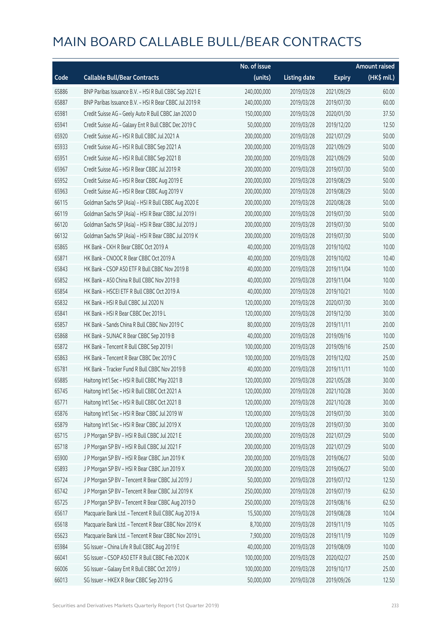|       |                                                        | No. of issue |                     |               | Amount raised |
|-------|--------------------------------------------------------|--------------|---------------------|---------------|---------------|
| Code  | <b>Callable Bull/Bear Contracts</b>                    | (units)      | <b>Listing date</b> | <b>Expiry</b> | (HK\$ mil.)   |
| 65886 | BNP Paribas Issuance B.V. - HSI R Bull CBBC Sep 2021 E | 240,000,000  | 2019/03/28          | 2021/09/29    | 60.00         |
| 65887 | BNP Paribas Issuance B.V. - HSI R Bear CBBC Jul 2019 R | 240,000,000  | 2019/03/28          | 2019/07/30    | 60.00         |
| 65981 | Credit Suisse AG - Geely Auto R Bull CBBC Jan 2020 D   | 150,000,000  | 2019/03/28          | 2020/01/30    | 37.50         |
| 65941 | Credit Suisse AG - Galaxy Ent R Bull CBBC Dec 2019 C   | 50,000,000   | 2019/03/28          | 2019/12/20    | 12.50         |
| 65920 | Credit Suisse AG - HSI R Bull CBBC Jul 2021 A          | 200,000,000  | 2019/03/28          | 2021/07/29    | 50.00         |
| 65933 | Credit Suisse AG - HSI R Bull CBBC Sep 2021 A          | 200,000,000  | 2019/03/28          | 2021/09/29    | 50.00         |
| 65951 | Credit Suisse AG - HSI R Bull CBBC Sep 2021 B          | 200,000,000  | 2019/03/28          | 2021/09/29    | 50.00         |
| 65967 | Credit Suisse AG - HSI R Bear CBBC Jul 2019 R          | 200,000,000  | 2019/03/28          | 2019/07/30    | 50.00         |
| 65952 | Credit Suisse AG - HSI R Bear CBBC Aug 2019 E          | 200,000,000  | 2019/03/28          | 2019/08/29    | 50.00         |
| 65963 | Credit Suisse AG - HSI R Bear CBBC Aug 2019 V          | 200,000,000  | 2019/03/28          | 2019/08/29    | 50.00         |
| 66115 | Goldman Sachs SP (Asia) - HSI R Bull CBBC Aug 2020 E   | 200,000,000  | 2019/03/28          | 2020/08/28    | 50.00         |
| 66119 | Goldman Sachs SP (Asia) - HSI R Bear CBBC Jul 2019 I   | 200,000,000  | 2019/03/28          | 2019/07/30    | 50.00         |
| 66120 | Goldman Sachs SP (Asia) - HSI R Bear CBBC Jul 2019 J   | 200,000,000  | 2019/03/28          | 2019/07/30    | 50.00         |
| 66132 | Goldman Sachs SP (Asia) - HSI R Bear CBBC Jul 2019 K   | 200,000,000  | 2019/03/28          | 2019/07/30    | 50.00         |
| 65865 | HK Bank - CKH R Bear CBBC Oct 2019 A                   | 40,000,000   | 2019/03/28          | 2019/10/02    | 10.00         |
| 65871 | HK Bank - CNOOC R Bear CBBC Oct 2019 A                 | 40,000,000   | 2019/03/28          | 2019/10/02    | 10.40         |
| 65843 | HK Bank - CSOP A50 ETF R Bull CBBC Nov 2019 B          | 40,000,000   | 2019/03/28          | 2019/11/04    | 10.00         |
| 65852 | HK Bank - A50 China R Bull CBBC Nov 2019 B             | 40,000,000   | 2019/03/28          | 2019/11/04    | 10.00         |
| 65854 | HK Bank - HSCEI ETF R Bull CBBC Oct 2019 A             | 40,000,000   | 2019/03/28          | 2019/10/21    | 10.00         |
| 65832 | HK Bank - HSI R Bull CBBC Jul 2020 N                   | 120,000,000  | 2019/03/28          | 2020/07/30    | 30.00         |
| 65841 | HK Bank - HSI R Bear CBBC Dec 2019 L                   | 120,000,000  | 2019/03/28          | 2019/12/30    | 30.00         |
| 65857 | HK Bank - Sands China R Bull CBBC Nov 2019 C           | 80,000,000   | 2019/03/28          | 2019/11/11    | 20.00         |
| 65868 | HK Bank - SUNAC R Bear CBBC Sep 2019 B                 | 40,000,000   | 2019/03/28          | 2019/09/16    | 10.00         |
| 65872 | HK Bank - Tencent R Bull CBBC Sep 2019 I               | 100,000,000  | 2019/03/28          | 2019/09/16    | 25.00         |
| 65863 | HK Bank - Tencent R Bear CBBC Dec 2019 C               | 100,000,000  | 2019/03/28          | 2019/12/02    | 25.00         |
| 65781 | HK Bank - Tracker Fund R Bull CBBC Nov 2019 B          | 40,000,000   | 2019/03/28          | 2019/11/11    | 10.00         |
| 65885 | Haitong Int'l Sec - HSI R Bull CBBC May 2021 B         | 120,000,000  | 2019/03/28          | 2021/05/28    | 30.00         |
| 65745 | Haitong Int'l Sec - HSI R Bull CBBC Oct 2021 A         | 120,000,000  | 2019/03/28          | 2021/10/28    | 30.00         |
| 65771 | Haitong Int'l Sec - HSI R Bull CBBC Oct 2021 B         | 120,000,000  | 2019/03/28          | 2021/10/28    | 30.00         |
| 65876 | Haitong Int'l Sec - HSI R Bear CBBC Jul 2019 W         | 120,000,000  | 2019/03/28          | 2019/07/30    | 30.00         |
| 65879 | Haitong Int'l Sec - HSI R Bear CBBC Jul 2019 X         | 120,000,000  | 2019/03/28          | 2019/07/30    | 30.00         |
| 65715 | J P Morgan SP BV - HSI R Bull CBBC Jul 2021 E          | 200,000,000  | 2019/03/28          | 2021/07/29    | 50.00         |
| 65718 | J P Morgan SP BV - HSI R Bull CBBC Jul 2021 F          | 200,000,000  | 2019/03/28          | 2021/07/29    | 50.00         |
| 65900 | J P Morgan SP BV - HSI R Bear CBBC Jun 2019 K          | 200,000,000  | 2019/03/28          | 2019/06/27    | 50.00         |
| 65893 | J P Morgan SP BV - HSI R Bear CBBC Jun 2019 X          | 200,000,000  | 2019/03/28          | 2019/06/27    | 50.00         |
| 65724 | J P Morgan SP BV - Tencent R Bear CBBC Jul 2019 J      | 50,000,000   | 2019/03/28          | 2019/07/12    | 12.50         |
| 65742 | J P Morgan SP BV - Tencent R Bear CBBC Jul 2019 K      | 250,000,000  | 2019/03/28          | 2019/07/19    | 62.50         |
| 65725 | J P Morgan SP BV - Tencent R Bear CBBC Aug 2019 D      | 250,000,000  | 2019/03/28          | 2019/08/16    | 62.50         |
| 65617 | Macquarie Bank Ltd. - Tencent R Bull CBBC Aug 2019 A   | 15,500,000   | 2019/03/28          | 2019/08/28    | 10.04         |
| 65618 | Macquarie Bank Ltd. - Tencent R Bear CBBC Nov 2019 K   | 8,700,000    | 2019/03/28          | 2019/11/19    | 10.05         |
| 65623 | Macquarie Bank Ltd. - Tencent R Bear CBBC Nov 2019 L   | 7,900,000    | 2019/03/28          | 2019/11/19    | 10.09         |
| 65984 | SG Issuer - China Life R Bull CBBC Aug 2019 E          | 40,000,000   | 2019/03/28          | 2019/08/09    | 10.00         |
| 66041 | SG Issuer - CSOP A50 ETF R Bull CBBC Feb 2020 K        | 100,000,000  | 2019/03/28          | 2020/02/27    | 25.00         |
| 66006 | SG Issuer - Galaxy Ent R Bull CBBC Oct 2019 J          | 100,000,000  | 2019/03/28          | 2019/10/17    | 25.00         |
| 66013 | SG Issuer - HKEX R Bear CBBC Sep 2019 G                | 50,000,000   | 2019/03/28          | 2019/09/26    | 12.50         |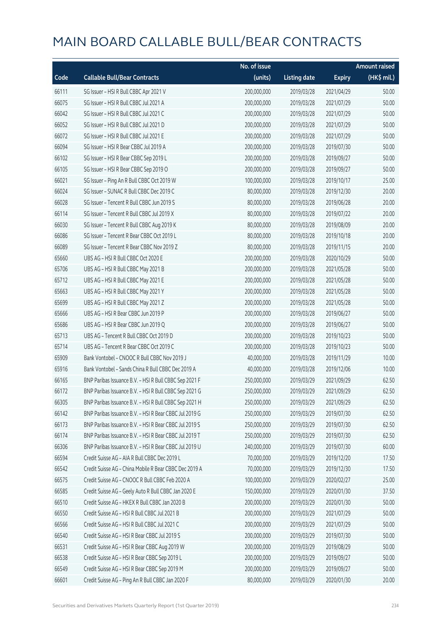|       |                                                        | No. of issue |                     |               | <b>Amount raised</b> |
|-------|--------------------------------------------------------|--------------|---------------------|---------------|----------------------|
| Code  | <b>Callable Bull/Bear Contracts</b>                    | (units)      | <b>Listing date</b> | <b>Expiry</b> | (HK\$ mil.)          |
| 66111 | SG Issuer - HSI R Bull CBBC Apr 2021 V                 | 200,000,000  | 2019/03/28          | 2021/04/29    | 50.00                |
| 66075 | SG Issuer - HSI R Bull CBBC Jul 2021 A                 | 200,000,000  | 2019/03/28          | 2021/07/29    | 50.00                |
| 66042 | SG Issuer - HSI R Bull CBBC Jul 2021 C                 | 200,000,000  | 2019/03/28          | 2021/07/29    | 50.00                |
| 66052 | SG Issuer - HSI R Bull CBBC Jul 2021 D                 | 200,000,000  | 2019/03/28          | 2021/07/29    | 50.00                |
| 66072 | SG Issuer - HSI R Bull CBBC Jul 2021 E                 | 200,000,000  | 2019/03/28          | 2021/07/29    | 50.00                |
| 66094 | SG Issuer - HSI R Bear CBBC Jul 2019 A                 | 200,000,000  | 2019/03/28          | 2019/07/30    | 50.00                |
| 66102 | SG Issuer - HSI R Bear CBBC Sep 2019 L                 | 200,000,000  | 2019/03/28          | 2019/09/27    | 50.00                |
| 66105 | SG Issuer - HSI R Bear CBBC Sep 2019 O                 | 200,000,000  | 2019/03/28          | 2019/09/27    | 50.00                |
| 66021 | SG Issuer - Ping An R Bull CBBC Oct 2019 W             | 100,000,000  | 2019/03/28          | 2019/10/17    | 25.00                |
| 66024 | SG Issuer - SUNAC R Bull CBBC Dec 2019 C               | 80,000,000   | 2019/03/28          | 2019/12/30    | 20.00                |
| 66028 | SG Issuer - Tencent R Bull CBBC Jun 2019 S             | 80,000,000   | 2019/03/28          | 2019/06/28    | 20.00                |
| 66114 | SG Issuer - Tencent R Bull CBBC Jul 2019 X             | 80,000,000   | 2019/03/28          | 2019/07/22    | 20.00                |
| 66030 | SG Issuer - Tencent R Bull CBBC Aug 2019 K             | 80,000,000   | 2019/03/28          | 2019/08/09    | 20.00                |
| 66086 | SG Issuer - Tencent R Bear CBBC Oct 2019 L             | 80,000,000   | 2019/03/28          | 2019/10/18    | 20.00                |
| 66089 | SG Issuer - Tencent R Bear CBBC Nov 2019 Z             | 80,000,000   | 2019/03/28          | 2019/11/15    | 20.00                |
| 65660 | UBS AG - HSI R Bull CBBC Oct 2020 E                    | 200,000,000  | 2019/03/28          | 2020/10/29    | 50.00                |
| 65706 | UBS AG - HSI R Bull CBBC May 2021 B                    | 200,000,000  | 2019/03/28          | 2021/05/28    | 50.00                |
| 65712 | UBS AG - HSI R Bull CBBC May 2021 E                    | 200,000,000  | 2019/03/28          | 2021/05/28    | 50.00                |
| 65663 | UBS AG - HSI R Bull CBBC May 2021 Y                    | 200,000,000  | 2019/03/28          | 2021/05/28    | 50.00                |
| 65699 | UBS AG - HSI R Bull CBBC May 2021 Z                    | 200,000,000  | 2019/03/28          | 2021/05/28    | 50.00                |
| 65666 | UBS AG - HSI R Bear CBBC Jun 2019 P                    | 200,000,000  | 2019/03/28          | 2019/06/27    | 50.00                |
| 65686 | UBS AG - HSI R Bear CBBC Jun 2019 Q                    | 200,000,000  | 2019/03/28          | 2019/06/27    | 50.00                |
| 65713 | UBS AG - Tencent R Bull CBBC Oct 2019 D                | 200,000,000  | 2019/03/28          | 2019/10/23    | 50.00                |
| 65714 | UBS AG - Tencent R Bear CBBC Oct 2019 C                | 200,000,000  | 2019/03/28          | 2019/10/23    | 50.00                |
| 65909 | Bank Vontobel - CNOOC R Bull CBBC Nov 2019 J           | 40,000,000   | 2019/03/28          | 2019/11/29    | 10.00                |
| 65916 | Bank Vontobel - Sands China R Bull CBBC Dec 2019 A     | 40,000,000   | 2019/03/28          | 2019/12/06    | 10.00                |
| 66165 | BNP Paribas Issuance B.V. - HSI R Bull CBBC Sep 2021 F | 250,000,000  | 2019/03/29          | 2021/09/29    | 62.50                |
| 66172 | BNP Paribas Issuance B.V. - HSI R Bull CBBC Sep 2021 G | 250,000,000  | 2019/03/29          | 2021/09/29    | 62.50                |
| 66305 | BNP Paribas Issuance B.V. - HSI R Bull CBBC Sep 2021 H | 250,000,000  | 2019/03/29          | 2021/09/29    | 62.50                |
| 66142 | BNP Paribas Issuance B.V. - HSI R Bear CBBC Jul 2019 G | 250,000,000  | 2019/03/29          | 2019/07/30    | 62.50                |
| 66173 | BNP Paribas Issuance B.V. - HSI R Bear CBBC Jul 2019 S | 250,000,000  | 2019/03/29          | 2019/07/30    | 62.50                |
| 66174 | BNP Paribas Issuance B.V. - HSI R Bear CBBC Jul 2019 T | 250,000,000  | 2019/03/29          | 2019/07/30    | 62.50                |
| 66306 | BNP Paribas Issuance B.V. - HSI R Bear CBBC Jul 2019 U | 240,000,000  | 2019/03/29          | 2019/07/30    | 60.00                |
| 66594 | Credit Suisse AG - AIA R Bull CBBC Dec 2019 L          | 70,000,000   | 2019/03/29          | 2019/12/20    | 17.50                |
| 66542 | Credit Suisse AG - China Mobile R Bear CBBC Dec 2019 A | 70,000,000   | 2019/03/29          | 2019/12/30    | 17.50                |
| 66575 | Credit Suisse AG - CNOOC R Bull CBBC Feb 2020 A        | 100,000,000  | 2019/03/29          | 2020/02/27    | 25.00                |
| 66585 | Credit Suisse AG - Geely Auto R Bull CBBC Jan 2020 E   | 150,000,000  | 2019/03/29          | 2020/01/30    | 37.50                |
| 66510 | Credit Suisse AG - HKEX R Bull CBBC Jan 2020 B         | 200,000,000  | 2019/03/29          | 2020/01/30    | 50.00                |
| 66550 | Credit Suisse AG - HSI R Bull CBBC Jul 2021 B          | 200,000,000  | 2019/03/29          | 2021/07/29    | 50.00                |
| 66566 | Credit Suisse AG - HSI R Bull CBBC Jul 2021 C          | 200,000,000  | 2019/03/29          | 2021/07/29    | 50.00                |
| 66540 | Credit Suisse AG - HSI R Bear CBBC Jul 2019 S          | 200,000,000  | 2019/03/29          | 2019/07/30    | 50.00                |
| 66531 | Credit Suisse AG - HSI R Bear CBBC Aug 2019 W          | 200,000,000  | 2019/03/29          | 2019/08/29    | 50.00                |
| 66538 | Credit Suisse AG - HSI R Bear CBBC Sep 2019 L          | 200,000,000  | 2019/03/29          | 2019/09/27    | 50.00                |
| 66549 | Credit Suisse AG - HSI R Bear CBBC Sep 2019 M          | 200,000,000  | 2019/03/29          | 2019/09/27    | 50.00                |
| 66601 | Credit Suisse AG - Ping An R Bull CBBC Jan 2020 F      | 80,000,000   | 2019/03/29          | 2020/01/30    | 20.00                |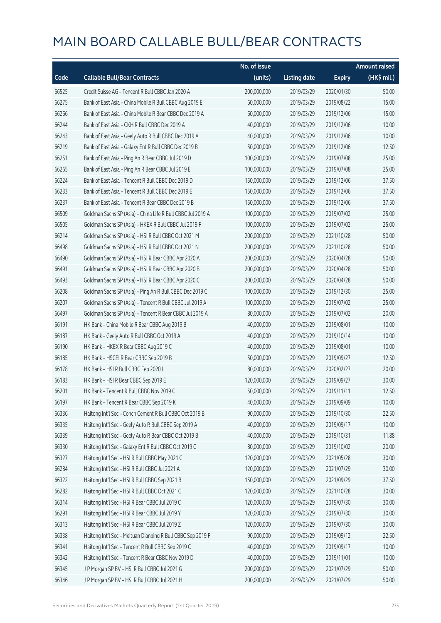|       |                                                             | No. of issue |                     |               | <b>Amount raised</b> |
|-------|-------------------------------------------------------------|--------------|---------------------|---------------|----------------------|
| Code  | <b>Callable Bull/Bear Contracts</b>                         | (units)      | <b>Listing date</b> | <b>Expiry</b> | (HK\$ mil.)          |
| 66525 | Credit Suisse AG - Tencent R Bull CBBC Jan 2020 A           | 200,000,000  | 2019/03/29          | 2020/01/30    | 50.00                |
| 66275 | Bank of East Asia - China Mobile R Bull CBBC Aug 2019 E     | 60,000,000   | 2019/03/29          | 2019/08/22    | 15.00                |
| 66266 | Bank of East Asia - China Mobile R Bear CBBC Dec 2019 A     | 60,000,000   | 2019/03/29          | 2019/12/06    | 15.00                |
| 66244 | Bank of East Asia - CKH R Bull CBBC Dec 2019 A              | 40,000,000   | 2019/03/29          | 2019/12/06    | 10.00                |
| 66243 | Bank of East Asia - Geely Auto R Bull CBBC Dec 2019 A       | 40,000,000   | 2019/03/29          | 2019/12/06    | 10.00                |
| 66219 | Bank of East Asia - Galaxy Ent R Bull CBBC Dec 2019 B       | 50,000,000   | 2019/03/29          | 2019/12/06    | 12.50                |
| 66251 | Bank of East Asia - Ping An R Bear CBBC Jul 2019 D          | 100,000,000  | 2019/03/29          | 2019/07/08    | 25.00                |
| 66265 | Bank of East Asia - Ping An R Bear CBBC Jul 2019 E          | 100,000,000  | 2019/03/29          | 2019/07/08    | 25.00                |
| 66224 | Bank of East Asia - Tencent R Bull CBBC Dec 2019 D          | 150,000,000  | 2019/03/29          | 2019/12/06    | 37.50                |
| 66233 | Bank of East Asia - Tencent R Bull CBBC Dec 2019 E          | 150,000,000  | 2019/03/29          | 2019/12/06    | 37.50                |
| 66237 | Bank of East Asia - Tencent R Bear CBBC Dec 2019 B          | 150,000,000  | 2019/03/29          | 2019/12/06    | 37.50                |
| 66509 | Goldman Sachs SP (Asia) - China Life R Bull CBBC Jul 2019 A | 100,000,000  | 2019/03/29          | 2019/07/02    | 25.00                |
| 66505 | Goldman Sachs SP (Asia) - HKEX R Bull CBBC Jul 2019 F       | 100,000,000  | 2019/03/29          | 2019/07/02    | 25.00                |
| 66214 | Goldman Sachs SP (Asia) - HSI R Bull CBBC Oct 2021 M        | 200,000,000  | 2019/03/29          | 2021/10/28    | 50.00                |
| 66498 | Goldman Sachs SP (Asia) - HSI R Bull CBBC Oct 2021 N        | 200,000,000  | 2019/03/29          | 2021/10/28    | 50.00                |
| 66490 | Goldman Sachs SP (Asia) - HSI R Bear CBBC Apr 2020 A        | 200,000,000  | 2019/03/29          | 2020/04/28    | 50.00                |
| 66491 | Goldman Sachs SP (Asia) - HSI R Bear CBBC Apr 2020 B        | 200,000,000  | 2019/03/29          | 2020/04/28    | 50.00                |
| 66493 | Goldman Sachs SP (Asia) - HSI R Bear CBBC Apr 2020 C        | 200,000,000  | 2019/03/29          | 2020/04/28    | 50.00                |
| 66208 | Goldman Sachs SP (Asia) - Ping An R Bull CBBC Dec 2019 C    | 100,000,000  | 2019/03/29          | 2019/12/30    | 25.00                |
| 66207 | Goldman Sachs SP (Asia) - Tencent R Bull CBBC Jul 2019 A    | 100,000,000  | 2019/03/29          | 2019/07/02    | 25.00                |
| 66497 | Goldman Sachs SP (Asia) - Tencent R Bear CBBC Jul 2019 A    | 80,000,000   | 2019/03/29          | 2019/07/02    | 20.00                |
| 66191 | HK Bank - China Mobile R Bear CBBC Aug 2019 B               | 40,000,000   | 2019/03/29          | 2019/08/01    | 10.00                |
| 66187 | HK Bank - Geely Auto R Bull CBBC Oct 2019 A                 | 40,000,000   | 2019/03/29          | 2019/10/14    | 10.00                |
| 66190 | HK Bank - HKEX R Bear CBBC Aug 2019 C                       | 40,000,000   | 2019/03/29          | 2019/08/01    | 10.00                |
| 66185 | HK Bank - HSCEI R Bear CBBC Sep 2019 B                      | 50,000,000   | 2019/03/29          | 2019/09/27    | 12.50                |
| 66178 | HK Bank - HSI R Bull CBBC Feb 2020 L                        | 80,000,000   | 2019/03/29          | 2020/02/27    | 20.00                |
| 66183 | HK Bank - HSI R Bear CBBC Sep 2019 E                        | 120,000,000  | 2019/03/29          | 2019/09/27    | 30.00                |
| 66201 | HK Bank - Tencent R Bull CBBC Nov 2019 C                    | 50,000,000   | 2019/03/29          | 2019/11/11    | 12.50                |
| 66197 | HK Bank - Tencent R Bear CBBC Sep 2019 K                    | 40,000,000   | 2019/03/29          | 2019/09/09    | 10.00                |
| 66336 | Haitong Int'l Sec - Conch Cement R Bull CBBC Oct 2019 B     | 90,000,000   | 2019/03/29          | 2019/10/30    | 22.50                |
| 66335 | Haitong Int'l Sec - Geely Auto R Bull CBBC Sep 2019 A       | 40,000,000   | 2019/03/29          | 2019/09/17    | 10.00                |
| 66339 | Haitong Int'l Sec - Geely Auto R Bear CBBC Oct 2019 B       | 40,000,000   | 2019/03/29          | 2019/10/31    | 11.88                |
| 66330 | Haitong Int'l Sec - Galaxy Ent R Bull CBBC Oct 2019 C       | 80,000,000   | 2019/03/29          | 2019/10/02    | 20.00                |
| 66327 | Haitong Int'l Sec - HSI R Bull CBBC May 2021 C              | 120,000,000  | 2019/03/29          | 2021/05/28    | 30.00                |
| 66284 | Haitong Int'l Sec - HSI R Bull CBBC Jul 2021 A              | 120,000,000  | 2019/03/29          | 2021/07/29    | 30.00                |
| 66322 | Haitong Int'l Sec - HSI R Bull CBBC Sep 2021 B              | 150,000,000  | 2019/03/29          | 2021/09/29    | 37.50                |
| 66282 | Haitong Int'l Sec - HSI R Bull CBBC Oct 2021 C              | 120,000,000  | 2019/03/29          | 2021/10/28    | 30.00                |
| 66314 | Haitong Int'l Sec - HSI R Bear CBBC Jul 2019 C              | 120,000,000  | 2019/03/29          | 2019/07/30    | 30.00                |
| 66291 | Haitong Int'l Sec - HSI R Bear CBBC Jul 2019 Y              | 120,000,000  | 2019/03/29          | 2019/07/30    | 30.00                |
| 66313 | Haitong Int'l Sec - HSI R Bear CBBC Jul 2019 Z              | 120,000,000  | 2019/03/29          | 2019/07/30    | 30.00                |
| 66338 | Haitong Int'l Sec - Meituan Dianping R Bull CBBC Sep 2019 F | 90,000,000   | 2019/03/29          | 2019/09/12    | 22.50                |
| 66341 | Haitong Int'l Sec - Tencent R Bull CBBC Sep 2019 C          | 40,000,000   | 2019/03/29          | 2019/09/17    | 10.00                |
| 66342 | Haitong Int'l Sec - Tencent R Bear CBBC Nov 2019 D          | 40,000,000   | 2019/03/29          | 2019/11/01    | 10.00                |
| 66345 | J P Morgan SP BV - HSI R Bull CBBC Jul 2021 G               | 200,000,000  | 2019/03/29          | 2021/07/29    | 50.00                |
| 66346 | J P Morgan SP BV - HSI R Bull CBBC Jul 2021 H               | 200,000,000  | 2019/03/29          | 2021/07/29    | 50.00                |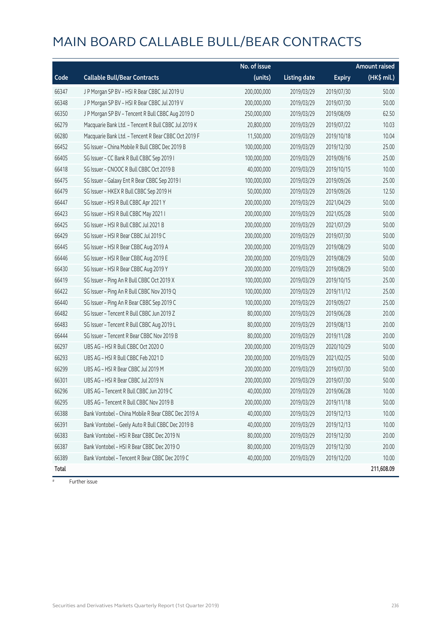|       |                                                      | No. of issue |                     |               | Amount raised |
|-------|------------------------------------------------------|--------------|---------------------|---------------|---------------|
| Code  | <b>Callable Bull/Bear Contracts</b>                  | (units)      | <b>Listing date</b> | <b>Expiry</b> | (HK\$ mil.)   |
| 66347 | J P Morgan SP BV - HSI R Bear CBBC Jul 2019 U        | 200,000,000  | 2019/03/29          | 2019/07/30    | 50.00         |
| 66348 | J P Morgan SP BV - HSI R Bear CBBC Jul 2019 V        | 200,000,000  | 2019/03/29          | 2019/07/30    | 50.00         |
| 66350 | J P Morgan SP BV - Tencent R Bull CBBC Aug 2019 D    | 250,000,000  | 2019/03/29          | 2019/08/09    | 62.50         |
| 66279 | Macquarie Bank Ltd. - Tencent R Bull CBBC Jul 2019 K | 20,800,000   | 2019/03/29          | 2019/07/22    | 10.03         |
| 66280 | Macquarie Bank Ltd. - Tencent R Bear CBBC Oct 2019 F | 11,500,000   | 2019/03/29          | 2019/10/18    | 10.04         |
| 66452 | SG Issuer - China Mobile R Bull CBBC Dec 2019 B      | 100,000,000  | 2019/03/29          | 2019/12/30    | 25.00         |
| 66405 | SG Issuer - CC Bank R Bull CBBC Sep 2019 I           | 100,000,000  | 2019/03/29          | 2019/09/16    | 25.00         |
| 66418 | SG Issuer - CNOOC R Bull CBBC Oct 2019 B             | 40,000,000   | 2019/03/29          | 2019/10/15    | 10.00         |
| 66475 | SG Issuer - Galaxy Ent R Bear CBBC Sep 2019 I        | 100,000,000  | 2019/03/29          | 2019/09/26    | 25.00         |
| 66479 | SG Issuer - HKEX R Bull CBBC Sep 2019 H              | 50,000,000   | 2019/03/29          | 2019/09/26    | 12.50         |
| 66447 | SG Issuer - HSI R Bull CBBC Apr 2021 Y               | 200,000,000  | 2019/03/29          | 2021/04/29    | 50.00         |
| 66423 | SG Issuer - HSI R Bull CBBC May 2021 I               | 200,000,000  | 2019/03/29          | 2021/05/28    | 50.00         |
| 66425 | SG Issuer - HSI R Bull CBBC Jul 2021 B               | 200,000,000  | 2019/03/29          | 2021/07/29    | 50.00         |
| 66429 | SG Issuer - HSI R Bear CBBC Jul 2019 C               | 200,000,000  | 2019/03/29          | 2019/07/30    | 50.00         |
| 66445 | SG Issuer - HSI R Bear CBBC Aug 2019 A               | 200,000,000  | 2019/03/29          | 2019/08/29    | 50.00         |
| 66446 | SG Issuer - HSI R Bear CBBC Aug 2019 E               | 200,000,000  | 2019/03/29          | 2019/08/29    | 50.00         |
| 66430 | SG Issuer - HSI R Bear CBBC Aug 2019 Y               | 200,000,000  | 2019/03/29          | 2019/08/29    | 50.00         |
| 66419 | SG Issuer - Ping An R Bull CBBC Oct 2019 X           | 100,000,000  | 2019/03/29          | 2019/10/15    | 25.00         |
| 66422 | SG Issuer - Ping An R Bull CBBC Nov 2019 Q           | 100,000,000  | 2019/03/29          | 2019/11/12    | 25.00         |
| 66440 | SG Issuer - Ping An R Bear CBBC Sep 2019 C           | 100,000,000  | 2019/03/29          | 2019/09/27    | 25.00         |
| 66482 | SG Issuer - Tencent R Bull CBBC Jun 2019 Z           | 80,000,000   | 2019/03/29          | 2019/06/28    | 20.00         |
| 66483 | SG Issuer - Tencent R Bull CBBC Aug 2019 L           | 80,000,000   | 2019/03/29          | 2019/08/13    | 20.00         |
| 66444 | SG Issuer - Tencent R Bear CBBC Nov 2019 B           | 80,000,000   | 2019/03/29          | 2019/11/28    | 20.00         |
| 66297 | UBS AG - HSI R Bull CBBC Oct 2020 O                  | 200,000,000  | 2019/03/29          | 2020/10/29    | 50.00         |
| 66293 | UBS AG - HSI R Bull CBBC Feb 2021 D                  | 200,000,000  | 2019/03/29          | 2021/02/25    | 50.00         |
| 66299 | UBS AG - HSI R Bear CBBC Jul 2019 M                  | 200,000,000  | 2019/03/29          | 2019/07/30    | 50.00         |
| 66301 | UBS AG - HSI R Bear CBBC Jul 2019 N                  | 200,000,000  | 2019/03/29          | 2019/07/30    | 50.00         |
| 66296 | UBS AG - Tencent R Bull CBBC Jun 2019 C              | 40,000,000   | 2019/03/29          | 2019/06/28    | 10.00         |
| 66295 | UBS AG - Tencent R Bull CBBC Nov 2019 B              | 200,000,000  | 2019/03/29          | 2019/11/18    | 50.00         |
| 66388 | Bank Vontobel - China Mobile R Bear CBBC Dec 2019 A  | 40,000,000   | 2019/03/29          | 2019/12/13    | 10.00         |
| 66391 | Bank Vontobel - Geely Auto R Bull CBBC Dec 2019 B    | 40,000,000   | 2019/03/29          | 2019/12/13    | 10.00         |
| 66383 | Bank Vontobel - HSI R Bear CBBC Dec 2019 N           | 80,000,000   | 2019/03/29          | 2019/12/30    | 20.00         |
| 66387 | Bank Vontobel - HSI R Bear CBBC Dec 2019 O           | 80,000,000   | 2019/03/29          | 2019/12/30    | 20.00         |
| 66389 | Bank Vontobel - Tencent R Bear CBBC Dec 2019 C       | 40,000,000   | 2019/03/29          | 2019/12/20    | 10.00         |
| Total |                                                      |              |                     |               | 211,608.09    |

# Further issue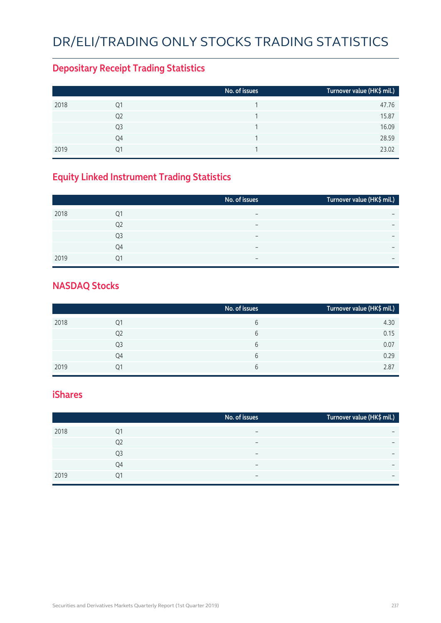## DR/ELI/Trading Only Stocks Trading Statistics

### **Depositary Receipt Trading Statistics**

|      |                | No. of issues | Turnover value (HK\$ mil.) |
|------|----------------|---------------|----------------------------|
| 2018 | Q1             |               | 47.76                      |
|      | Q <sub>2</sub> |               | 15.87                      |
|      | Q3             |               | 16.09                      |
|      | Q4             |               | 28.59                      |
| 2019 | Ο1             |               | 23.02                      |

### **Equity Linked Instrument Trading Statistics**

|      |                | No. of issues            | Turnover value (HK\$ mil.) |
|------|----------------|--------------------------|----------------------------|
| 2018 | Q1             |                          |                            |
|      | Q <sub>2</sub> | $\overline{\phantom{0}}$ | $\overline{\phantom{0}}$   |
|      | Q <sub>3</sub> | $\overline{\phantom{0}}$ | $\overline{\phantom{0}}$   |
|      | Q4             | $\overline{\phantom{0}}$ |                            |
| 2019 | 01             |                          | $\overline{\phantom{0}}$   |

#### **NASDAQ Stocks**

|      |    | No. of issues | Turnover value (HK\$ mil.) |
|------|----|---------------|----------------------------|
| 2018 | Q1 | 6             | 4.30                       |
|      | Q2 | 6             | 0.15                       |
|      | Q3 | 6             | 0.07                       |
|      | Q4 | 6             | 0.29                       |
| 2019 | 01 | 6             | 2.87                       |

#### **iShares**

|      |                | No. of issues            | Turnover value (HK\$ mil.) |
|------|----------------|--------------------------|----------------------------|
| 2018 | Q1             |                          | -                          |
|      | Q <sub>2</sub> | $\overline{\phantom{0}}$ | $\overline{\phantom{0}}$   |
|      | Q3             | -                        | $\overline{\phantom{0}}$   |
|      | Q4             |                          | -                          |
| 2019 | Q1             | $\overline{\phantom{0}}$ | $\overline{\phantom{0}}$   |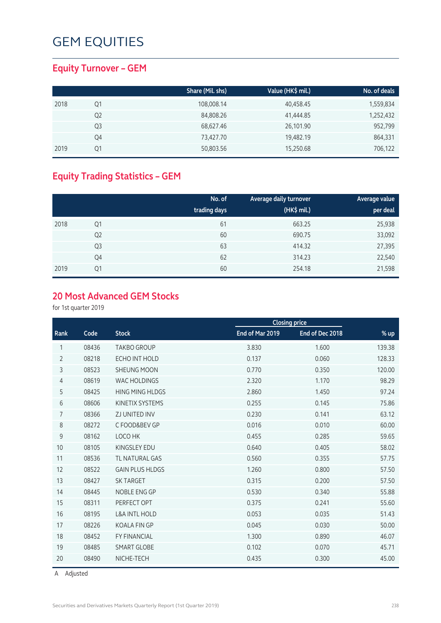### **Equity Turnover – GEM**

|      |    | Share (Mil. shs) | Value (HK\$ mil.) | No. of deals |
|------|----|------------------|-------------------|--------------|
| 2018 | Q1 | 108,008.14       | 40,458.45         | 1,559,834    |
|      | Q2 | 84,808.26        | 41,444.85         | 1,252,432    |
|      | Q3 | 68,627.46        | 26,101.90         | 952,799      |
|      | Q4 | 73,427.70        | 19,482.19         | 864,331      |
| 2019 | Q1 | 50,803.56        | 15,250.68         | 706,122      |

### **Equity Trading Statistics – GEM**

|      |                | No. of<br>trading days | Average daily turnover<br>(HK\$ mil.) | Average value<br>per deal |
|------|----------------|------------------------|---------------------------------------|---------------------------|
| 2018 | Q1             | 61                     | 663.25                                | 25,938                    |
|      | Q <sub>2</sub> | 60                     | 690.75                                | 33,092                    |
|      | Q <sub>3</sub> | 63                     | 414.32                                | 27,395                    |
|      | Q4             | 62                     | 314.23                                | 22,540                    |
| 2019 | Q1             | 60                     | 254.18                                | 21,598                    |

### **20 Most Advanced GEM Stocks**

for 1st quarter 2019

|                |       |                          |                 | <b>Closing price</b> |        |
|----------------|-------|--------------------------|-----------------|----------------------|--------|
| Rank           | Code  | <b>Stock</b>             | End of Mar 2019 | End of Dec 2018      | $%$ up |
| 1              | 08436 | <b>TAKBO GROUP</b>       | 3.830           | 1.600                | 139.38 |
| $\overline{2}$ | 08218 | ECHO INT HOLD            | 0.137           | 0.060                | 128.33 |
| 3              | 08523 | <b>SHEUNG MOON</b>       | 0.770           | 0.350                | 120.00 |
| 4              | 08619 | <b>WAC HOLDINGS</b>      | 2.320           | 1.170                | 98.29  |
| 5              | 08425 | <b>HING MING HLDGS</b>   | 2.860           | 1.450                | 97.24  |
| 6              | 08606 | KINETIX SYSTEMS          | 0.255           | 0.145                | 75.86  |
| $\overline{7}$ | 08366 | <b>ZJ UNITED INV</b>     | 0.230           | 0.141                | 63.12  |
| 8              | 08272 | C FOOD&BEV GP            | 0.016           | 0.010                | 60.00  |
| 9              | 08162 | LOCO HK                  | 0.455           | 0.285                | 59.65  |
| 10             | 08105 | <b>KINGSLEY EDU</b>      | 0.640           | 0.405                | 58.02  |
| 11             | 08536 | <b>TL NATURAL GAS</b>    | 0.560           | 0.355                | 57.75  |
| 12             | 08522 | <b>GAIN PLUS HLDGS</b>   | 1.260           | 0.800                | 57.50  |
| 13             | 08427 | <b>SK TARGET</b>         | 0.315           | 0.200                | 57.50  |
| 14             | 08445 | NOBLE ENG GP             | 0.530           | 0.340                | 55.88  |
| 15             | 08311 | PERFECT OPT              | 0.375           | 0.241                | 55.60  |
| 16             | 08195 | <b>L&amp;A INTL HOLD</b> | 0.053           | 0.035                | 51.43  |
| 17             | 08226 | <b>KOALA FIN GP</b>      | 0.045           | 0.030                | 50.00  |
| 18             | 08452 | <b>FY FINANCIAL</b>      | 1.300           | 0.890                | 46.07  |
| 19             | 08485 | <b>SMART GLOBE</b>       | 0.102           | 0.070                | 45.71  |
| 20             | 08490 | NICHE-TECH               | 0.435           | 0.300                | 45.00  |

A Adjusted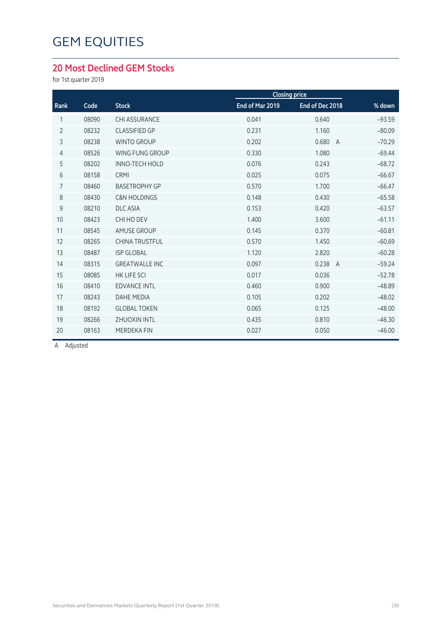#### **20 Most Declined GEM Stocks**

for 1st quarter 2019

|                |       |                         |                 | <b>Closing price</b>    |          |
|----------------|-------|-------------------------|-----------------|-------------------------|----------|
| Rank           | Code  | <b>Stock</b>            | End of Mar 2019 | End of Dec 2018         | % down   |
| 1              | 08090 | <b>CHI ASSURANCE</b>    | 0.041           | 0.640                   | $-93.59$ |
| $\overline{2}$ | 08232 | <b>CLASSIFIED GP</b>    | 0.231           | 1.160                   | $-80.09$ |
| 3              | 08238 | <b>WINTO GROUP</b>      | 0.202           | 0.680<br>$\overline{A}$ | $-70.29$ |
| $\overline{4}$ | 08526 | WING FUNG GROUP         | 0.330           | 1.080                   | $-69.44$ |
| 5              | 08202 | <b>INNO-TECH HOLD</b>   | 0.076           | 0.243                   | $-68.72$ |
| 6              | 08158 | CRMI                    | 0.025           | 0.075                   | $-66.67$ |
| $\overline{7}$ | 08460 | <b>BASETROPHY GP</b>    | 0.570           | 1.700                   | $-66.47$ |
| 8              | 08430 | <b>C&amp;N HOLDINGS</b> | 0.148           | 0.430                   | $-65.58$ |
| 9              | 08210 | <b>DLC ASIA</b>         | 0.153           | 0.420                   | $-63.57$ |
| 10             | 08423 | CHI HO DEV              | 1.400           | 3.600                   | $-61.11$ |
| 11             | 08545 | <b>AMUSE GROUP</b>      | 0.145           | 0.370                   | $-60.81$ |
| 12             | 08265 | <b>CHINA TRUSTFUL</b>   | 0.570           | 1.450                   | $-60.69$ |
| 13             | 08487 | <b>ISP GLOBAL</b>       | 1.120           | 2.820                   | $-60.28$ |
| 14             | 08315 | <b>GREATWALLE INC</b>   | 0.097           | 0.238<br>$\overline{A}$ | $-59.24$ |
| 15             | 08085 | <b>HK LIFE SCI</b>      | 0.017           | 0.036                   | $-52.78$ |
| 16             | 08410 | <b>EDVANCE INTL</b>     | 0.460           | 0.900                   | $-48.89$ |
| 17             | 08243 | <b>DAHE MEDIA</b>       | 0.105           | 0.202                   | $-48.02$ |
| 18             | 08192 | <b>GLOBAL TOKEN</b>     | 0.065           | 0.125                   | $-48.00$ |
| 19             | 08266 | <b>ZHUOXIN INTL</b>     | 0.435           | 0.810                   | $-46.30$ |
| 20             | 08163 | <b>MERDEKA FIN</b>      | 0.027           | 0.050                   | $-46.00$ |
|                |       |                         |                 |                         |          |

A Adjusted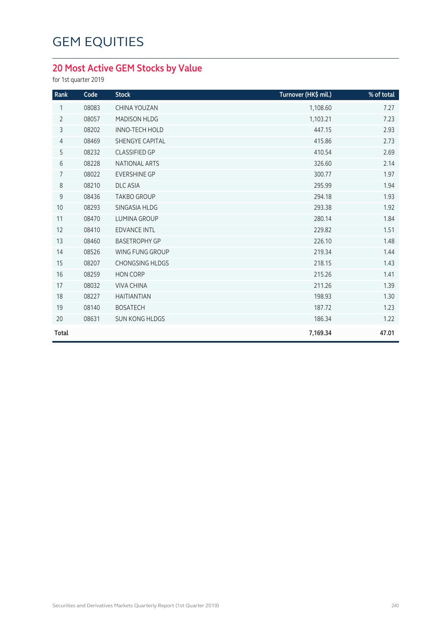### **20 Most Active GEM Stocks by Value**

for 1st quarter 2019

| Rank           | Code  | <b>Stock</b>           | Turnover (HK\$ mil.) | % of total |
|----------------|-------|------------------------|----------------------|------------|
| 1              | 08083 | CHINA YOUZAN           | 1,108.60             | 7.27       |
| $\overline{2}$ | 08057 | <b>MADISON HLDG</b>    | 1,103.21             | 7.23       |
| 3              | 08202 | INNO-TECH HOLD         | 447.15               | 2.93       |
| 4              | 08469 | <b>SHENGYE CAPITAL</b> | 415.86               | 2.73       |
| 5              | 08232 | <b>CLASSIFIED GP</b>   | 410.54               | 2.69       |
| 6              | 08228 | NATIONAL ARTS          | 326.60               | 2.14       |
| $\overline{7}$ | 08022 | <b>EVERSHINE GP</b>    | 300.77               | 1.97       |
| $\,8\,$        | 08210 | <b>DLC ASIA</b>        | 295.99               | 1.94       |
| $\mathsf 9$    | 08436 | <b>TAKBO GROUP</b>     | 294.18               | 1.93       |
| 10             | 08293 | SINGASIA HLDG          | 293.38               | 1.92       |
| 11             | 08470 | <b>LUMINA GROUP</b>    | 280.14               | 1.84       |
| 12             | 08410 | <b>EDVANCE INTL</b>    | 229.82               | 1.51       |
| 13             | 08460 | <b>BASETROPHY GP</b>   | 226.10               | 1.48       |
| 14             | 08526 | WING FUNG GROUP        | 219.34               | 1.44       |
| 15             | 08207 | <b>CHONGSING HLDGS</b> | 218.15               | 1.43       |
| 16             | 08259 | <b>HON CORP</b>        | 215.26               | 1.41       |
| 17             | 08032 | <b>VIVA CHINA</b>      | 211.26               | 1.39       |
| 18             | 08227 | <b>HAITIANTIAN</b>     | 198.93               | 1.30       |
| 19             | 08140 | <b>BOSATECH</b>        | 187.72               | 1.23       |
| 20             | 08631 | <b>SUN KONG HLDGS</b>  | 186.34               | 1.22       |
| Total          |       |                        | 7,169.34             | 47.01      |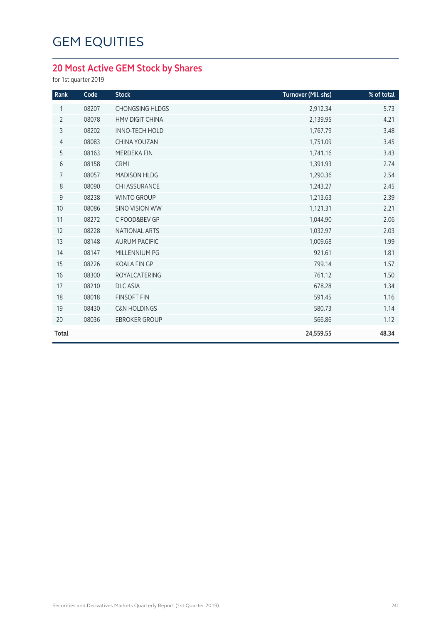### **20 Most Active GEM Stock by Shares**

for 1st quarter 2019

| Rank           | Code  | <b>Stock</b>            | Turnover (Mil. shs) | % of total |
|----------------|-------|-------------------------|---------------------|------------|
| 1              | 08207 | <b>CHONGSING HLDGS</b>  | 2,912.34            | 5.73       |
| $\overline{2}$ | 08078 | <b>HMV DIGIT CHINA</b>  | 2,139.95            | 4.21       |
| $\mathsf{3}$   | 08202 | <b>INNO-TECH HOLD</b>   | 1,767.79            | 3.48       |
| $\overline{4}$ | 08083 | <b>CHINA YOUZAN</b>     | 1,751.09            | 3.45       |
| 5              | 08163 | <b>MERDEKA FIN</b>      | 1,741.16            | 3.43       |
| 6              | 08158 | <b>CRMI</b>             | 1,391.93            | 2.74       |
| $\overline{7}$ | 08057 | <b>MADISON HLDG</b>     | 1,290.36            | 2.54       |
| 8              | 08090 | <b>CHI ASSURANCE</b>    | 1,243.27            | 2.45       |
| 9              | 08238 | <b>WINTO GROUP</b>      | 1,213.63            | 2.39       |
| 10             | 08086 | <b>SINO VISION WW</b>   | 1,121.31            | 2.21       |
| 11             | 08272 | C FOOD&BEV GP           | 1,044.90            | 2.06       |
| 12             | 08228 | NATIONAL ARTS           | 1,032.97            | 2.03       |
| 13             | 08148 | <b>AURUM PACIFIC</b>    | 1,009.68            | 1.99       |
| 14             | 08147 | MILLENNIUM PG           | 921.61              | 1.81       |
| 15             | 08226 | <b>KOALA FIN GP</b>     | 799.14              | 1.57       |
| 16             | 08300 | <b>ROYALCATERING</b>    | 761.12              | 1.50       |
| 17             | 08210 | <b>DLC ASIA</b>         | 678.28              | 1.34       |
| 18             | 08018 | <b>FINSOFT FIN</b>      | 591.45              | 1.16       |
| 19             | 08430 | <b>C&amp;N HOLDINGS</b> | 580.73              | 1.14       |
| 20             | 08036 | <b>EBROKER GROUP</b>    | 566.86              | 1.12       |
| <b>Total</b>   |       |                         | 24,559.55           | 48.34      |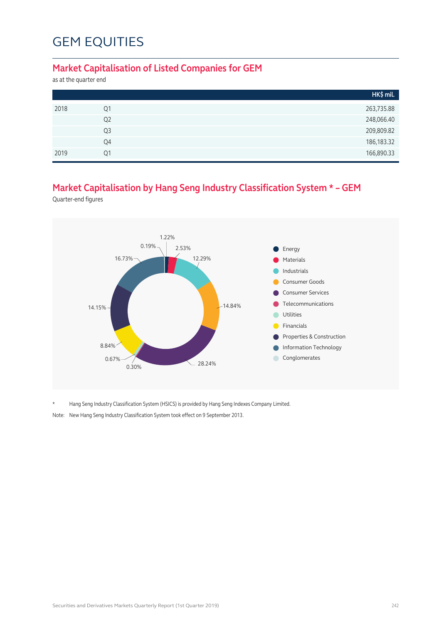#### **Market Capitalisation of Listed Companies for GEM**

as at the quarter end

|      |                | HK\$ mil.    |
|------|----------------|--------------|
| 2018 | Q1             | 263,735.88   |
|      | Q <sub>2</sub> | 248,066.40   |
|      | Q3             | 209,809.82   |
|      | Q4             | 186, 183. 32 |
| 2019 | O <sub>1</sub> | 166,890.33   |

### **Market Capitalisation by Hang Seng Industry Classification System \* – GEM**

Quarter-end figures



\* Hang Seng Industry Classification System (HSICS) is provided by Hang Seng Indexes Company Limited.

Note: New Hang Seng Industry Classification System took effect on 9 September 2013.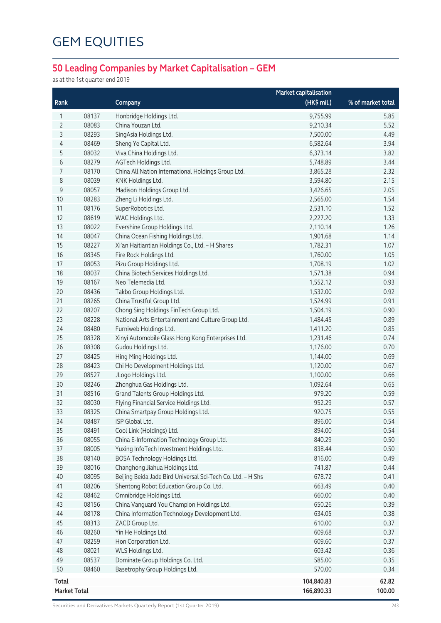### **50 Leading Companies by Market Capitalisation – GEM**

as at the 1st quarter end 2019

|       |                     |                                                             | <b>Market capitalisation</b> |                   |
|-------|---------------------|-------------------------------------------------------------|------------------------------|-------------------|
| Rank  |                     | Company                                                     | $(HK$$ mil.)                 | % of market total |
| 1     | 08137               | Honbridge Holdings Ltd.                                     | 9,755.99                     | 5.85              |
| 2     | 08083               | China Youzan Ltd.                                           | 9,210.34                     | 5.52              |
| 3     | 08293               | SingAsia Holdings Ltd.                                      | 7,500.00                     | 4.49              |
| 4     | 08469               | Sheng Ye Capital Ltd.                                       | 6,582.64                     | 3.94              |
| 5     | 08032               | Viva China Holdings Ltd.                                    | 6,373.14                     | 3.82              |
| 6     | 08279               | AGTech Holdings Ltd.                                        | 5,748.89                     | 3.44              |
| 7     | 08170               | China All Nation International Holdings Group Ltd.          | 3,865.28                     | 2.32              |
| 8     | 08039               | KNK Holdings Ltd.                                           | 3,594.80                     | 2.15              |
| 9     | 08057               | Madison Holdings Group Ltd.                                 | 3,426.65                     | 2.05              |
| $10$  | 08283               | Zheng Li Holdings Ltd.                                      | 2,565.00                     | 1.54              |
| 11    | 08176               | SuperRobotics Ltd.                                          | 2,531.10                     | 1.52              |
| 12    | 08619               | WAC Holdings Ltd.                                           | 2,227.20                     | 1.33              |
| 13    | 08022               | Evershine Group Holdings Ltd.                               | 2,110.14                     | 1.26              |
| 14    | 08047               | China Ocean Fishing Holdings Ltd.                           | 1,901.68                     | 1.14              |
| 15    | 08227               | Xi'an Haitiantian Holdings Co., Ltd. - H Shares             | 1,782.31                     | 1.07              |
| 16    | 08345               | Fire Rock Holdings Ltd.                                     | 1,760.00                     | 1.05              |
| 17    | 08053               | Pizu Group Holdings Ltd.                                    | 1,708.19                     | 1.02              |
| 18    | 08037               | China Biotech Services Holdings Ltd.                        | 1,571.38                     | 0.94              |
| 19    | 08167               | Neo Telemedia Ltd.                                          | 1,552.12                     | 0.93              |
| 20    | 08436               | Takbo Group Holdings Ltd.                                   | 1,532.00                     | 0.92              |
| 21    | 08265               | China Trustful Group Ltd.                                   | 1,524.99                     | 0.91              |
| 22    | 08207               | Chong Sing Holdings FinTech Group Ltd.                      | 1,504.19                     | 0.90              |
| 23    | 08228               | National Arts Entertainment and Culture Group Ltd.          | 1,484.45                     | 0.89              |
| 24    | 08480               | Furniweb Holdings Ltd.                                      | 1,411.20                     | 0.85              |
| 25    | 08328               | Xinyi Automobile Glass Hong Kong Enterprises Ltd.           | 1,231.46                     | 0.74              |
| 26    | 08308               | Gudou Holdings Ltd.                                         | 1,176.00                     | 0.70              |
| 27    | 08425               | Hing Ming Holdings Ltd.                                     | 1,144.00                     | 0.69              |
| 28    | 08423               | Chi Ho Development Holdings Ltd.                            | 1,120.00                     | 0.67              |
| 29    | 08527               | JLogo Holdings Ltd.                                         | 1,100.00                     | 0.66              |
| 30    | 08246               | Zhonghua Gas Holdings Ltd.                                  | 1,092.64                     | 0.65              |
| 31    | 08516               | Grand Talents Group Holdings Ltd.                           | 979.20                       | 0.59              |
| 32    | 08030               | Flying Financial Service Holdings Ltd.                      | 952.29                       | 0.57              |
| 33    | 08325               | China Smartpay Group Holdings Ltd.                          | 920.75                       | 0.55              |
| 34    | 08487               | ISP Global Ltd.                                             | 896.00                       | 0.54              |
| 35    | 08491               | Cool Link (Holdings) Ltd.                                   | 894.00                       | 0.54              |
| 36    | 08055               | China E-Information Technology Group Ltd.                   | 840.29                       | 0.50              |
| 37    | 08005               | Yuxing InfoTech Investment Holdings Ltd.                    | 838.44                       | 0.50              |
| 38    | 08140               | BOSA Technology Holdings Ltd.                               | 816.00                       | 0.49              |
| 39    | 08016               | Changhong Jiahua Holdings Ltd.                              | 741.87                       | 0.44              |
| 40    | 08095               | Beijing Beida Jade Bird Universal Sci-Tech Co. Ltd. - H Shs | 678.72                       | 0.41              |
| 41    | 08206               | Shentong Robot Education Group Co. Ltd.                     | 663.49                       | 0.40              |
| 42    | 08462               | Omnibridge Holdings Ltd.                                    | 660.00                       | 0.40              |
| 43    | 08156               | China Vanguard You Champion Holdings Ltd.                   | 650.26                       | 0.39              |
| 44    | 08178               | China Information Technology Development Ltd.               | 634.05                       | 0.38              |
| 45    | 08313               | ZACD Group Ltd.                                             | 610.00                       | 0.37              |
| 46    | 08260               | Yin He Holdings Ltd.                                        | 609.68                       | 0.37              |
| 47    | 08259               | Hon Corporation Ltd.                                        | 609.60                       | 0.37              |
| 48    | 08021               | WLS Holdings Ltd.                                           | 603.42                       | 0.36              |
| 49    | 08537               | Dominate Group Holdings Co. Ltd.                            | 585.00                       | 0.35              |
| 50    | 08460               | Basetrophy Group Holdings Ltd.                              | 570.00                       | 0.34              |
| Total |                     |                                                             | 104,840.83                   | 62.82             |
|       | <b>Market Total</b> |                                                             | 166,890.33                   | 100.00            |

Securities and Derivatives Markets Quarterly Report (1st Quarter 2019) 243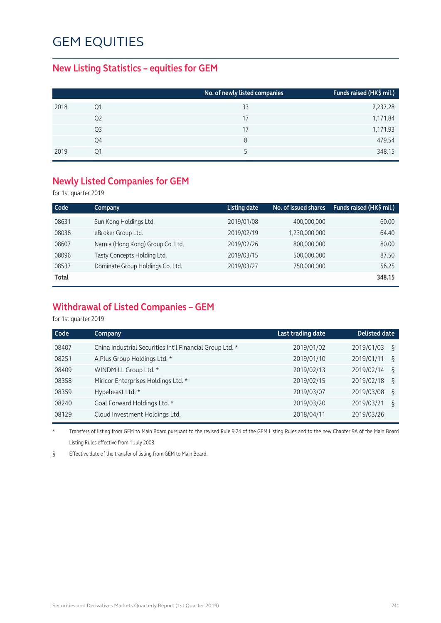#### **New Listing Statistics – equities for GEM**

|                | No. of newly listed companies | Funds raised (HK\$ mil.) |
|----------------|-------------------------------|--------------------------|
| Ο1             | 33                            | 2,237.28                 |
| Q <sub>2</sub> | 17                            | 1,171.84                 |
| Q3             | 17                            | 1,171.93                 |
| Q4             | 8                             | 479.54                   |
| Ο1             |                               | 348.15                   |
|                |                               |                          |

#### **Newly Listed Companies for GEM**

for 1st quarter 2019

| Code  | Company                           | <b>Listing date</b> | No. of issued shares | Funds raised (HK\$ mil.) |
|-------|-----------------------------------|---------------------|----------------------|--------------------------|
| 08631 | Sun Kong Holdings Ltd.            | 2019/01/08          | 400,000,000          | 60.00                    |
| 08036 | eBroker Group Ltd.                | 2019/02/19          | 1,230,000,000        | 64.40                    |
| 08607 | Narnia (Hong Kong) Group Co. Ltd. | 2019/02/26          | 800,000,000          | 80.00                    |
| 08096 | Tasty Concepts Holding Ltd.       | 2019/03/15          | 500,000,000          | 87.50                    |
| 08537 | Dominate Group Holdings Co. Ltd.  | 2019/03/27          | 750,000,000          | 56.25                    |
| Total |                                   |                     |                      | 348.15                   |

### **Withdrawal of Listed Companies – GEM**

for 1st quarter 2019

| Code  | Company                                                  | Last trading date | <b>Delisted date</b> |
|-------|----------------------------------------------------------|-------------------|----------------------|
| 08407 | China Industrial Securities Int'l Financial Group Ltd. * | 2019/01/02        | 2019/01/03<br>ξ      |
| 08251 | A.Plus Group Holdings Ltd. *                             | 2019/01/10        | 2019/01/11<br>ξ      |
| 08409 | WINDMILL Group Ltd. *                                    | 2019/02/13        | 2019/02/14<br>ξ      |
| 08358 | Miricor Enterprises Holdings Ltd. *                      | 2019/02/15        | 2019/02/18<br>ξ      |
| 08359 | Hypebeast Ltd. *                                         | 2019/03/07        | 2019/03/08<br>ξ      |
| 08240 | Goal Forward Holdings Ltd. *                             | 2019/03/20        | 2019/03/21<br>ξ      |
| 08129 | Cloud Investment Holdings Ltd.                           | 2018/04/11        | 2019/03/26           |

\* Transfers of listing from GEM to Main Board pursuant to the revised Rule 9.24 of the GEM Listing Rules and to the new Chapter 9A of the Main Board Listing Rules effective from 1 July 2008.

§ Effective date of the transfer of listing from GEM to Main Board.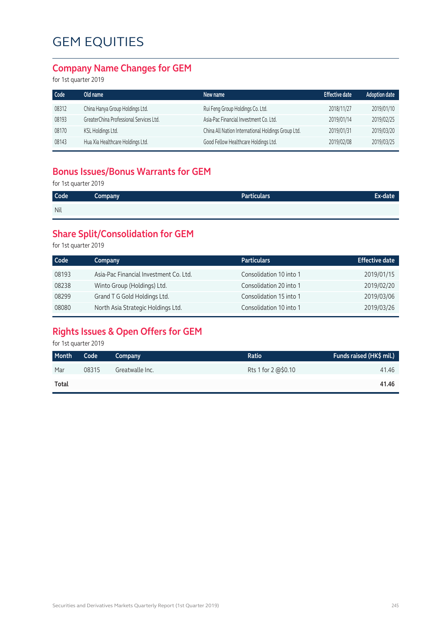#### **Company Name Changes for GEM**

for 1st quarter 2019

| Code  | Old name                                | New name                                           | <b>Effective date</b> | <b>Adoption date</b> |
|-------|-----------------------------------------|----------------------------------------------------|-----------------------|----------------------|
| 08312 | China Hanya Group Holdings Ltd.         | Rui Feng Group Holdings Co. Ltd.                   | 2018/11/27            | 2019/01/10           |
| 08193 | GreaterChina Professional Services Ltd. | Asia-Pac Financial Investment Co. Ltd.             | 2019/01/14            | 2019/02/25           |
| 08170 | KSL Holdings Ltd.                       | China All Nation International Holdings Group Ltd. | 2019/01/31            | 2019/03/20           |
| 08143 | Hua Xia Healthcare Holdings Ltd.        | Good Fellow Healthcare Holdings Ltd.               | 2019/02/08            | 2019/03/25           |

### **Bonus Issues/Bonus Warrants for GEM**

for 1st quarter 2019

| Code | Company | Particulars' | <b>Ex-date</b> |
|------|---------|--------------|----------------|
| Nil  |         |              |                |

### **Share Split/Consolidation for GEM**

for 1st quarter 2019

| Code  | Company                                | <b>Particulars</b>      | <b>Effective date</b> |
|-------|----------------------------------------|-------------------------|-----------------------|
| 08193 | Asia-Pac Financial Investment Co. Ltd. | Consolidation 10 into 1 | 2019/01/15            |
| 08238 | Winto Group (Holdings) Ltd.            | Consolidation 20 into 1 | 2019/02/20            |
| 08299 | Grand T G Gold Holdings Ltd.           | Consolidation 15 into 1 | 2019/03/06            |
| 08080 | North Asia Strategic Holdings Ltd.     | Consolidation 10 into 1 | 2019/03/26            |

### **Rights Issues & Open Offers for GEM**

for 1st quarter 2019

| Month | Code  | Company         | Ratio               | Funds raised (HK\$ mil.) |
|-------|-------|-----------------|---------------------|--------------------------|
| Mar   | 08315 | Greatwalle Inc. | Rts 1 for 2 @\$0.10 | 41.46                    |
| Total |       |                 |                     | 41.46                    |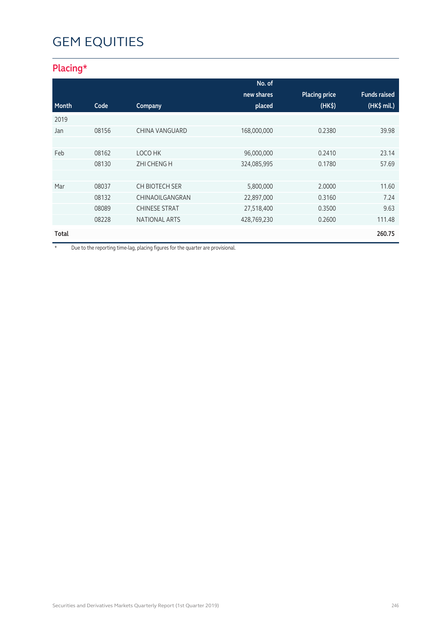### **Placing\***

|       |       |                       | No. of      |                      |                     |
|-------|-------|-----------------------|-------------|----------------------|---------------------|
|       |       |                       | new shares  | <b>Placing price</b> | <b>Funds raised</b> |
| Month | Code  | Company               | placed      | (HK <sub>5</sub> )   | (HK\$ mil.)         |
| 2019  |       |                       |             |                      |                     |
| Jan   | 08156 | <b>CHINA VANGUARD</b> | 168,000,000 | 0.2380               | 39.98               |
|       |       |                       |             |                      |                     |
| Feb   | 08162 | LOCO HK               | 96,000,000  | 0.2410               | 23.14               |
|       | 08130 | <b>ZHI CHENG H</b>    | 324,085,995 | 0.1780               | 57.69               |
|       |       |                       |             |                      |                     |
| Mar   | 08037 | <b>CH BIOTECH SER</b> | 5,800,000   | 2.0000               | 11.60               |
|       | 08132 | CHINAOILGANGRAN       | 22,897,000  | 0.3160               | 7.24                |
|       | 08089 | <b>CHINESE STRAT</b>  | 27,518,400  | 0.3500               | 9.63                |
|       | 08228 | NATIONAL ARTS         | 428,769,230 | 0.2600               | 111.48              |
| Total |       |                       |             |                      | 260.75              |

\* Due to the reporting time-lag, placing figures for the quarter are provisional.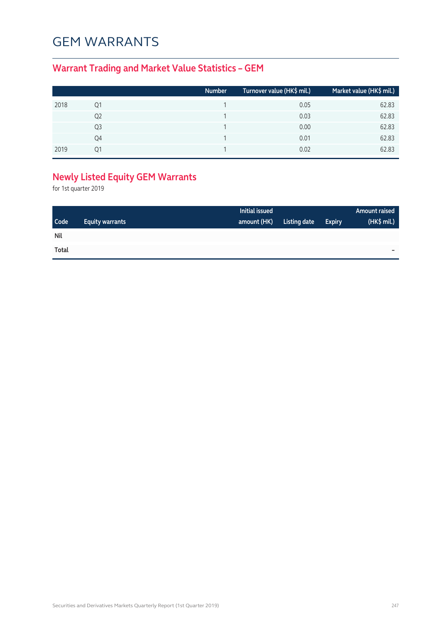### GEM Warrants

### **Warrant Trading and Market Value Statistics – GEM**

|      |    | <b>Number</b> | Turnover value (HK\$ mil.) | Market value (HK\$ mil.) |
|------|----|---------------|----------------------------|--------------------------|
| 2018 | Ο1 |               | 0.05                       | 62.83                    |
|      | Q2 |               | 0.03                       | 62.83                    |
|      | Q3 |               | 0.00                       | 62.83                    |
|      | Q4 |               | 0.01                       | 62.83                    |
| 2019 | ∩1 |               | 0.02                       | 62.83                    |

### **Newly Listed Equity GEM Warrants**

for 1st quarter 2019

|            |                        | Initial issued |              |               | <b>Amount raised</b> |
|------------|------------------------|----------------|--------------|---------------|----------------------|
| Code       | <b>Equity warrants</b> | amount (HK)    | Listing date | <b>Expiry</b> | (HK\$ mil.)          |
| <b>Nil</b> |                        |                |              |               |                      |
| Total      |                        |                |              |               | -                    |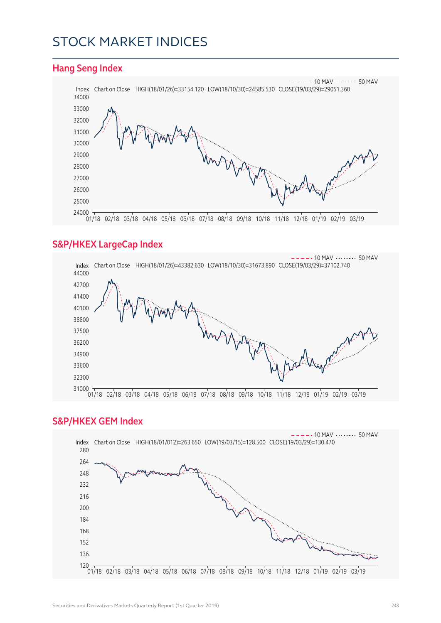### Stock Market Indices

#### **Hang Seng Index**



#### **S&P/HKEX LargeCap Index**



#### **S&P/HKEX GEM Index**

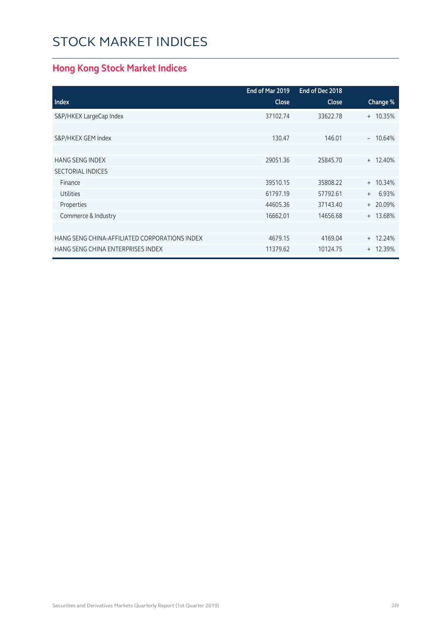### Stock Market Indices

### **Hong Kong Stock Market Indices**

|                                               | End of Mar 2019 | End of Dec 2018 |                    |
|-----------------------------------------------|-----------------|-----------------|--------------------|
| <b>Index</b>                                  | <b>Close</b>    | <b>Close</b>    | Change %           |
| S&P/HKEX LargeCap Index                       | 37102.74        | 33622.78        | + 10.35%           |
|                                               |                 |                 |                    |
| S&P/HKEX GEM Index                            | 130.47          | 146.01          | 10.64%<br>$\equiv$ |
|                                               |                 |                 |                    |
| <b>HANG SENG INDEX</b>                        | 29051.36        | 25845.70        | $+ 12.40%$         |
| <b>SECTORIAL INDICES</b>                      |                 |                 |                    |
| Finance                                       | 39510.15        | 35808.22        | $+ 10.34%$         |
| <b>Utilities</b>                              | 61797.19        | 57792.61        | 6.93%<br>$+$       |
| Properties                                    | 44605.36        | 37143.40        | $+20.09%$          |
| Commerce & Industry                           | 16662.01        | 14656.68        | + 13.68%           |
|                                               |                 |                 |                    |
| HANG SENG CHINA-AFFILIATED CORPORATIONS INDEX | 4679.15         | 4169.04         | $+ 12.24%$         |
| HANG SENG CHINA ENTERPRISES INDEX             | 11379.62        | 10124.75        | $+ 12.39%$         |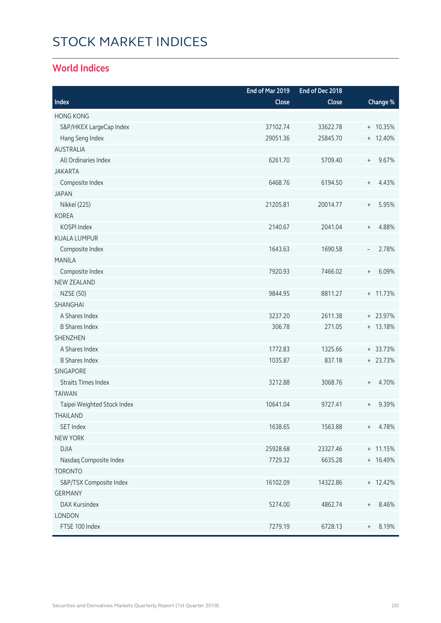# Stock Market Indices

### **World Indices**

|                             | End of Mar 2019 | End of Dec 2018 |                                           |
|-----------------------------|-----------------|-----------------|-------------------------------------------|
| Index                       | Close           | Close           | Change %                                  |
| <b>HONG KONG</b>            |                 |                 |                                           |
| S&P/HKEX LargeCap Index     | 37102.74        | 33622.78        | + 10.35%                                  |
| Hang Seng Index             | 29051.36        | 25845.70        | $+ 12.40%$                                |
| <b>AUSTRALIA</b>            |                 |                 |                                           |
| All Ordinaries Index        | 6261.70         | 5709.40         | 9.67%<br>$\begin{array}{c} + \end{array}$ |
| <b>JAKARTA</b>              |                 |                 |                                           |
| Composite Index             | 6468.76         | 6194.50         | 4.43%<br>$\begin{array}{c} + \end{array}$ |
| <b>JAPAN</b>                |                 |                 |                                           |
| Nikkei (225)                | 21205.81        | 20014.77        | 5.95%<br>$\begin{array}{c} + \end{array}$ |
| <b>KOREA</b>                |                 |                 |                                           |
| KOSPI Index                 | 2140.67         | 2041.04         | 4.88%<br>$\begin{array}{c} + \end{array}$ |
| <b>KUALA LUMPUR</b>         |                 |                 |                                           |
| Composite Index             | 1643.63         | 1690.58         | 2.78%<br>$\overline{\phantom{a}}$         |
| <b>MANILA</b>               |                 |                 |                                           |
| Composite Index             | 7920.93         | 7466.02         | 6.09%<br>$\begin{array}{c} + \end{array}$ |
| <b>NEW ZEALAND</b>          |                 |                 |                                           |
| <b>NZSE (50)</b>            | 9844.95         | 8811.27         | + 11.73%                                  |
| SHANGHAI                    |                 |                 |                                           |
| A Shares Index              | 3237.20         | 2611.38         | + 23.97%                                  |
| <b>B Shares Index</b>       | 306.78          | 271.05          | + 13.18%                                  |
| <b>SHENZHEN</b>             |                 |                 |                                           |
| A Shares Index              | 1772.83         | 1325.66         | $+ 33.73%$                                |
| <b>B Shares Index</b>       | 1035.87         | 837.18          | + 23.73%                                  |
| <b>SINGAPORE</b>            |                 |                 |                                           |
| <b>Straits Times Index</b>  | 3212.88         | 3068.76         | 4.70%<br>$\begin{array}{c} + \end{array}$ |
| <b>TAIWAN</b>               |                 |                 |                                           |
| Taipei Weighted Stock Index | 10641.04        | 9727.41         | 9.39%<br>$^{+}$                           |
| THAII AND                   |                 |                 |                                           |
| <b>SET Index</b>            | 1638.65         | 1563.88         | 4.78%<br>$+$                              |
| <b>NEW YORK</b>             |                 |                 |                                           |
| <b>DJIA</b>                 | 25928.68        | 23327.46        | + 11.15%                                  |
| Nasdaq Composite Index      | 7729.32         | 6635.28         | + 16.49%                                  |
| <b>TORONTO</b>              |                 |                 |                                           |
| S&P/TSX Composite Index     | 16102.09        | 14322.86        | $+ 12.42%$                                |
| <b>GERMANY</b>              |                 |                 |                                           |
| <b>DAX Kursindex</b>        | 5274.00         | 4862.74         | 8.46%<br>$^{+}$                           |
| LONDON                      |                 |                 |                                           |
| FTSE 100 Index              | 7279.19         | 6728.13         | 8.19%<br>$\begin{array}{c} + \end{array}$ |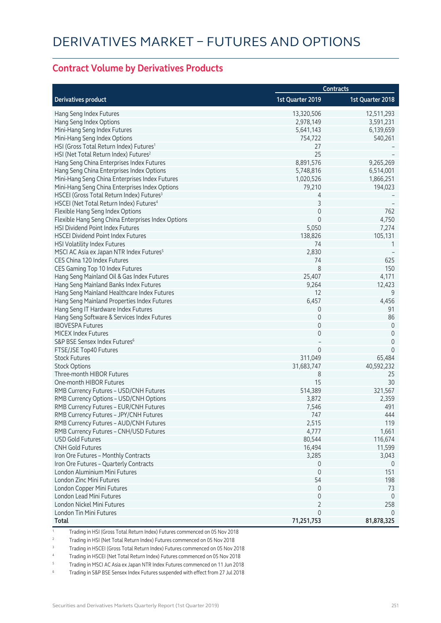#### **Contract Volume by Derivatives Products**

|                                                       |                  | <b>Contracts</b> |
|-------------------------------------------------------|------------------|------------------|
| <b>Derivatives product</b>                            | 1st Quarter 2019 | 1st Quarter 2018 |
| Hang Seng Index Futures                               | 13,320,506       | 12,511,293       |
| Hang Seng Index Options                               | 2,978,149        | 3,591,231        |
| Mini-Hang Seng Index Futures                          | 5,641,143        | 6,139,659        |
| Mini-Hang Seng Index Options                          | 754,722          | 540,261          |
| HSI (Gross Total Return Index) Futures <sup>1</sup>   | 27               |                  |
| HSI (Net Total Return Index) Futures <sup>2</sup>     | 25               |                  |
| Hang Seng China Enterprises Index Futures             | 8,891,576        | 9,265,269        |
| Hang Seng China Enterprises Index Options             | 5,748,816        | 6,514,001        |
| Mini-Hang Seng China Enterprises Index Futures        | 1,020,526        | 1,866,251        |
| Mini-Hang Seng China Enterprises Index Options        | 79,210           | 194,023          |
| HSCEI (Gross Total Return Index) Futures <sup>3</sup> | 4                |                  |
| HSCEI (Net Total Return Index) Futures <sup>4</sup>   | 3                |                  |
| Flexible Hang Seng Index Options                      | 0                | 762              |
| Flexible Hang Seng China Enterprises Index Options    | $\Omega$         | 4,750            |
| HSI Dividend Point Index Futures                      | 5,050            | 7,274            |
| <b>HSCEI Dividend Point Index Futures</b>             | 138,826          | 105,131          |
| HSI Volatility Index Futures                          | 74               | 1                |
| MSCI AC Asia ex Japan NTR Index Futures <sup>5</sup>  | 2,830            |                  |
| CES China 120 Index Futures                           | 74               | 625              |
| CES Gaming Top 10 Index Futures                       | 8                | 150              |
| Hang Seng Mainland Oil & Gas Index Futures            | 25,407           | 4,171            |
| Hang Seng Mainland Banks Index Futures                | 9,264            | 12,423           |
| Hang Seng Mainland Healthcare Index Futures           | 12               | 9                |
| Hang Seng Mainland Properties Index Futures           | 6,457            | 4,456            |
| Hang Seng IT Hardware Index Futures                   | 0                | 91               |
| Hang Seng Software & Services Index Futures           | 0                | 86               |
| <b>IBOVESPA Futures</b>                               | 0                | $\mathbf 0$      |
| <b>MICEX Index Futures</b>                            | 0                | $\mathbf 0$      |
| S&P BSE Sensex Index Futures <sup>6</sup>             |                  | 0                |
| FTSE/JSE Top40 Futures                                | 0                | $\mathbf 0$      |
| <b>Stock Futures</b>                                  | 311,049          | 65,484           |
|                                                       |                  |                  |
| <b>Stock Options</b>                                  | 31,683,747       | 40,592,232       |
| Three-month HIBOR Futures                             | 8                | 25<br>30         |
| One-month HIBOR Futures                               | 15               |                  |
| RMB Currency Futures - USD/CNH Futures                | 514,389          | 321,567          |
| RMB Currency Options - USD/CNH Options                | 3,872            | 2,359            |
| RMB Currency Futures - EUR/CNH Futures                | 7,546            | 491              |
| RMB Currency Futures - JPY/CNH Futures                | 747              | 444              |
| RMB Currency Futures - AUD/CNH Futures                | 2,515            | 119              |
| RMB Currency Futures - CNH/USD Futures                | 4,777            | 1,661            |
| <b>USD Gold Futures</b>                               | 80,544           | 116,674          |
| <b>CNH Gold Futures</b>                               | 16,494           | 11,599           |
| Iron Ore Futures - Monthly Contracts                  | 3,285            | 3,043            |
| Iron Ore Futures - Quarterly Contracts                | 0                | 0                |
| London Aluminium Mini Futures                         | $\mathbf 0$      | 151              |
| London Zinc Mini Futures                              | 54               | 198              |
| London Copper Mini Futures                            | 0                | 73               |
| London Lead Mini Futures                              | 0                | $\overline{0}$   |
| London Nickel Mini Futures                            | 2                | 258              |
| London Tin Mini Futures                               | 0                | $\Omega$         |
| Total                                                 | 71,251,753       | 81,878,325       |

1 Trading in HSI (Gross Total Return Index) Futures commenced on 05 Nov 2018

<sup>2</sup> Trading in HSI (Net Total Return Index) Futures commenced on 05 Nov 2018

3 Trading in HSCEI (Gross Total Return Index) Futures commenced on 05 Nov 2018

4 Trading in HSCEI (Net Total Return Index) Futures commenced on 05 Nov 2018

5 Trading in MSCI AC Asia ex Japan NTR Index Futures commenced on 11 Jun 2018

6 Trading in S&P BSE Sensex Index Futures suspended with effect from 27 Jul 2018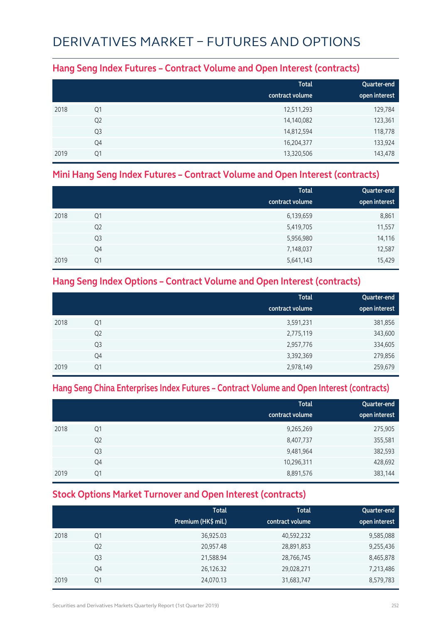## Derivatives Market – Futures and Options

#### **Hang Seng Index Futures – Contract Volume and Open Interest (contracts)**

|      |                | <b>Total</b><br>contract volume | Quarter-end<br>open interest |
|------|----------------|---------------------------------|------------------------------|
| 2018 | Q1             | 12,511,293                      | 129,784                      |
|      | Q <sub>2</sub> | 14,140,082                      | 123,361                      |
|      | Q <sub>3</sub> | 14,812,594                      | 118,778                      |
|      | Q4             | 16,204,377                      | 133,924                      |
| 2019 | Q1             | 13,320,506                      | 143,478                      |

### **Mini Hang Seng Index Futures – Contract Volume and Open Interest (contracts)**

|      |                | <b>Total</b><br>contract volume | Quarter-end<br>open interest |
|------|----------------|---------------------------------|------------------------------|
| 2018 | Q1             | 6,139,659                       | 8,861                        |
|      | Q <sub>2</sub> | 5,419,705                       | 11,557                       |
|      | Q <sub>3</sub> | 5,956,980                       | 14,116                       |
|      | Q4             | 7,148,037                       | 12,587                       |
| 2019 | Q1             | 5,641,143                       | 15,429                       |

### **Hang Seng Index Options – Contract Volume and Open Interest (contracts)**

|      |                | <b>Total</b>    | Quarter-end   |
|------|----------------|-----------------|---------------|
|      |                | contract volume | open interest |
| 2018 | Q1             | 3,591,231       | 381,856       |
|      | Q <sub>2</sub> | 2,775,119       | 343,600       |
|      | Q <sub>3</sub> | 2,957,776       | 334,605       |
|      | Q4             | 3,392,369       | 279,856       |
| 2019 | Q1             | 2,978,149       | 259,679       |

### **Hang Seng China Enterprises Index Futures – Contract Volume and Open Interest (contracts)**

|      |                | <b>Total</b><br>contract volume | Quarter-end<br>open interest |
|------|----------------|---------------------------------|------------------------------|
| 2018 | Q1             | 9,265,269                       | 275,905                      |
|      | Q <sub>2</sub> | 8,407,737                       | 355,581                      |
|      | Q <sub>3</sub> | 9,481,964                       | 382,593                      |
|      | Q4             | 10,296,311                      | 428,692                      |
| 2019 | Q <sub>1</sub> | 8,891,576                       | 383,144                      |

### **Stock Options Market Turnover and Open Interest (contracts)**

|      |                | <b>Total</b><br>Premium (HK\$ mil.) | <b>Total</b><br>contract volume | Quarter-end<br>open interest |
|------|----------------|-------------------------------------|---------------------------------|------------------------------|
| 2018 | Q1             | 36,925.03                           | 40,592,232                      | 9,585,088                    |
|      | Q <sub>2</sub> | 20,957.48                           | 28,891,853                      | 9,255,436                    |
|      | Q3             | 21,588.94                           | 28,766,745                      | 8,465,878                    |
|      | Q4             | 26,126.32                           | 29,028,271                      | 7,213,486                    |
| 2019 | Q1             | 24,070.13                           | 31,683,747                      | 8,579,783                    |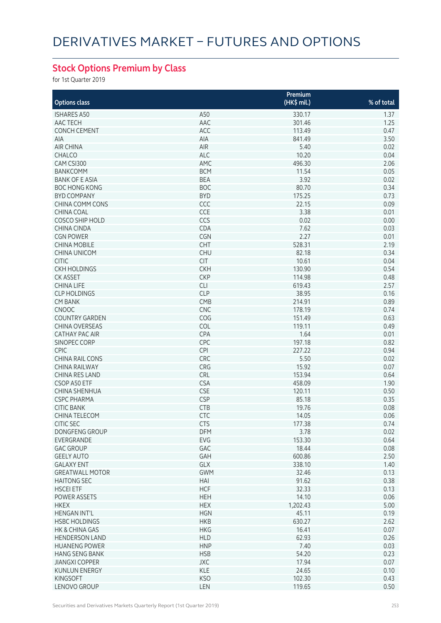## **Stock Options Premium by Class**

for 1st Quarter 2019

|                                           |                  | Premium        |            |
|-------------------------------------------|------------------|----------------|------------|
| <b>Options class</b>                      |                  | $(HK\$ mil.)   | % of total |
| <b>ISHARES A50</b>                        | A50              | 330.17         | 1.37       |
| AAC TECH                                  | AAC              | 301.46         | 1.25       |
| <b>CONCH CEMENT</b>                       | ACC              | 113.49         | 0.47       |
| AIA                                       | AIA              | 841.49         | 3.50       |
| <b>AIR CHINA</b>                          | AIR              | 5.40           | 0.02       |
| CHALCO                                    | ALC              | 10.20          | 0.04       |
| CAM CSI300                                | AMC              | 496.30         | 2.06       |
| <b>BANKCOMM</b>                           | <b>BCM</b>       | 11.54          | 0.05       |
| <b>BANK OF E ASIA</b>                     | <b>BEA</b>       | 3.92           | 0.02       |
| <b>BOC HONG KONG</b>                      | <b>BOC</b>       | 80.70          | 0.34       |
| <b>BYD COMPANY</b>                        | <b>BYD</b>       | 175.25         | 0.73       |
| CHINA COMM CONS                           | CCC              | 22.15          | 0.09       |
| <b>CHINA COAL</b>                         | CCE              | 3.38           | 0.01       |
| <b>COSCO SHIP HOLD</b>                    | CCS              | 0.02           | 0.00       |
| <b>CHINA CINDA</b>                        | CDA              | 7.62           | 0.03       |
| <b>CGN POWER</b>                          | CGN              | 2.27           | 0.01       |
| <b>CHINA MOBILE</b>                       | CHT              | 528.31         | 2.19       |
| <b>CHINA UNICOM</b>                       | <b>CHU</b>       | 82.18          | 0.34       |
| <b>CITIC</b>                              | <b>CIT</b>       | 10.61          | 0.04       |
| <b>CKH HOLDINGS</b>                       | <b>CKH</b>       | 130.90         | 0.54       |
| <b>CK ASSET</b>                           | <b>CKP</b>       | 114.98         | 0.48       |
| <b>CHINA LIFE</b>                         | <b>CLI</b>       | 619.43         | 2.57       |
| <b>CLP HOLDINGS</b>                       | <b>CLP</b>       | 38.95          | 0.16       |
| <b>CM BANK</b>                            | CMB              | 214.91         | 0.89       |
| <b>CNOOC</b>                              | <b>CNC</b>       | 178.19         | 0.74       |
| <b>COUNTRY GARDEN</b>                     | COG              | 151.49         | 0.63       |
| <b>CHINA OVERSEAS</b>                     | <b>COL</b>       | 119.11         | 0.49       |
| <b>CATHAY PAC AIR</b>                     | CPA              | 1.64           | 0.01       |
| SINOPEC CORP                              | CPC              | 197.18         | 0.82       |
| <b>CPIC</b>                               | CPI              | 227.22         | 0.94       |
| <b>CHINA RAIL CONS</b>                    | CRC              | 5.50           | 0.02       |
| <b>CHINA RAILWAY</b>                      | <b>CRG</b>       | 15.92          | 0.07       |
| <b>CHINA RES LAND</b>                     | <b>CRL</b>       | 153.94         | 0.64       |
| CSOP A50 ETF                              | <b>CSA</b>       | 458.09         | 1.90       |
| CHINA SHENHUA                             | <b>CSE</b>       | 120.11         | 0.50       |
| <b>CSPC PHARMA</b>                        | <b>CSP</b>       | 85.18          | 0.35       |
| <b>CITIC BANK</b>                         | <b>CTB</b>       | 19.76          | 0.08       |
| CHINA TELECOM                             | CTC              | 14.05          | 0.06       |
|                                           |                  |                |            |
| <b>CITIC SEC</b><br><b>DONGFENG GROUP</b> | C <sub>I</sub> S | 177.38         | 0.74       |
| EVERGRANDE                                | DFM<br>EVG       | 3.78<br>153.30 | 0.02       |
|                                           |                  |                | 0.64       |
| <b>GAC GROUP</b>                          | GAC              | 18.44          | 0.08       |
| <b>GEELY AUTO</b>                         | GAH              | 600.86         | 2.50       |
| <b>GALAXY ENT</b>                         | GLX              | 338.10         | 1.40       |
| <b>GREATWALL MOTOR</b>                    | <b>GWM</b>       | 32.46          | 0.13       |
| <b>HAITONG SEC</b>                        | HAI              | 91.62          | 0.38       |
| <b>HSCEI ETF</b>                          | <b>HCF</b>       | 32.33          | 0.13       |
| POWER ASSETS                              | <b>HEH</b>       | 14.10          | 0.06       |
| <b>HKEX</b>                               | <b>HEX</b>       | 1,202.43       | 5.00       |
| <b>HENGAN INT'L</b>                       | <b>HGN</b>       | 45.11          | 0.19       |
| <b>HSBC HOLDINGS</b>                      | <b>HKB</b>       | 630.27         | 2.62       |
| HK & CHINA GAS                            | <b>HKG</b>       | 16.41          | 0.07       |
| <b>HENDERSON LAND</b>                     | <b>HLD</b>       | 62.93          | 0.26       |
| <b>HUANENG POWER</b>                      | <b>HNP</b>       | 7.40           | 0.03       |
| <b>HANG SENG BANK</b>                     | <b>HSB</b>       | 54.20          | 0.23       |
| <b>JIANGXI COPPER</b>                     | <b>JXC</b>       | 17.94          | 0.07       |
| <b>KUNLUN ENERGY</b>                      | <b>KLE</b>       | 24.65          | 0.10       |
| <b>KINGSOFT</b>                           | <b>KSO</b>       | 102.30         | 0.43       |
| LENOVO GROUP                              | LEN              | 119.65         | 0.50       |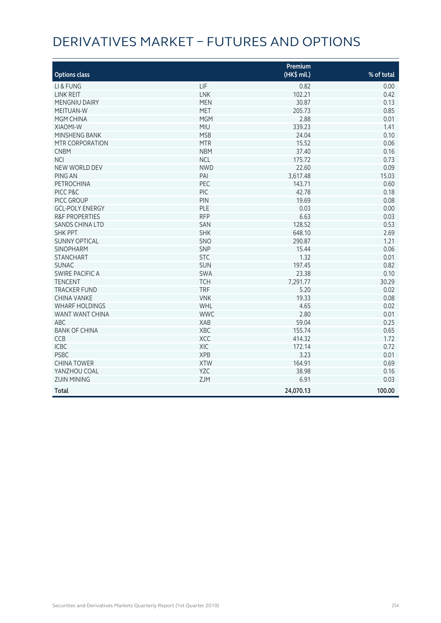# Derivatives Market – Futures and Options

|                           |            | Premium     |            |
|---------------------------|------------|-------------|------------|
| <b>Options class</b>      |            | (HK\$ mil.) | % of total |
| LI & FUNG                 | LIF        | 0.82        | 0.00       |
| <b>LINK REIT</b>          | <b>LNK</b> | 102.21      | 0.42       |
| <b>MENGNIU DAIRY</b>      | <b>MEN</b> | 30.87       | 0.13       |
| MEITUAN-W                 | <b>MET</b> | 205.73      | 0.85       |
| MGM CHINA                 | <b>MGM</b> | 2.88        | 0.01       |
| <b>XIAOMI-W</b>           | MIU        | 339.23      | 1.41       |
| MINSHENG BANK             | <b>MSB</b> | 24.04       | 0.10       |
| MTR CORPORATION           | <b>MTR</b> | 15.52       | 0.06       |
| <b>CNBM</b>               | <b>NBM</b> | 37.40       | 0.16       |
| <b>NCI</b>                | <b>NCL</b> | 175.72      | 0.73       |
| NEW WORLD DEV             | <b>NWD</b> | 22.60       | 0.09       |
| PING AN                   | PAI        | 3,617.48    | 15.03      |
| <b>PETROCHINA</b>         | PEC        | 143.71      | 0.60       |
| PICC P&C                  | PIC        | 42.78       | 0.18       |
| PICC GROUP                | PIN        | 19.69       | 0.08       |
| <b>GCL-POLY ENERGY</b>    | PLE        | 0.03        | 0.00       |
| <b>R&amp;F PROPERTIES</b> | <b>RFP</b> | 6.63        | 0.03       |
| <b>SANDS CHINA LTD</b>    | SAN        | 128.52      | 0.53       |
| <b>SHK PPT</b>            | <b>SHK</b> | 648.10      | 2.69       |
| <b>SUNNY OPTICAL</b>      | SNO        | 290.87      | 1.21       |
| <b>SINOPHARM</b>          | SNP        | 15.44       | 0.06       |
| <b>STANCHART</b>          | <b>STC</b> | 1.32        | 0.01       |
| <b>SUNAC</b>              | <b>SUN</b> | 197.45      | 0.82       |
| <b>SWIRE PACIFIC A</b>    | <b>SWA</b> | 23.38       | 0.10       |
| <b>TENCENT</b>            | <b>TCH</b> | 7,291.77    | 30.29      |
| <b>TRACKER FUND</b>       | <b>TRF</b> | 5.20        | 0.02       |
| <b>CHINA VANKE</b>        | <b>VNK</b> | 19.33       | 0.08       |
| <b>WHARF HOLDINGS</b>     | WHL        | 4.65        | 0.02       |
| WANT WANT CHINA           | <b>WWC</b> | 2.80        | 0.01       |
| <b>ABC</b>                | <b>XAB</b> | 59.04       | 0.25       |
| <b>BANK OF CHINA</b>      | XBC        | 155.74      | 0.65       |
| CCB                       | XCC        | 414.32      | 1.72       |
| <b>ICBC</b>               | XIC        | 172.14      | 0.72       |
| <b>PSBC</b>               | <b>XPB</b> | 3.23        | 0.01       |
| <b>CHINA TOWER</b>        | <b>XTW</b> | 164.91      | 0.69       |
| YANZHOU COAL              | <b>YZC</b> | 38.98       | 0.16       |
| <b>ZIJIN MINING</b>       | ZJM        | 6.91        | 0.03       |
| <b>Total</b>              |            | 24,070.13   | 100.00     |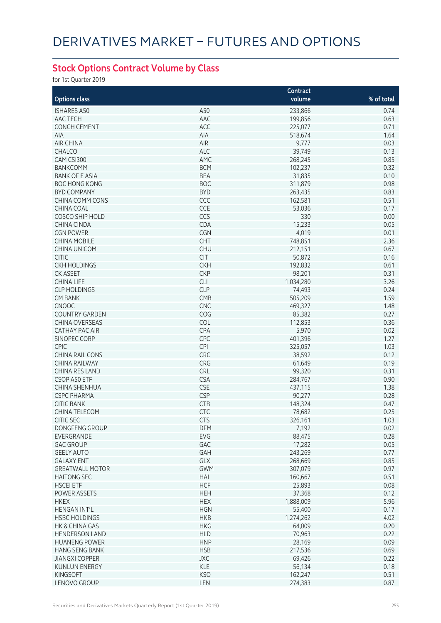## **Stock Options Contract Volume by Class**

for 1st Quarter 2019

|                        |            | Contract  |            |
|------------------------|------------|-----------|------------|
| <b>Options class</b>   |            | volume    | % of total |
| <b>ISHARES A50</b>     | A50        | 233,866   | 0.74       |
| AAC TECH               | AAC        | 199,856   | 0.63       |
| <b>CONCH CEMENT</b>    | ACC        | 225,077   | 0.71       |
| <b>AIA</b>             | AIA        | 518,674   | 1.64       |
|                        |            |           |            |
| <b>AIR CHINA</b>       | AIR        | 9,777     | 0.03       |
| <b>CHALCO</b>          | <b>ALC</b> | 39,749    | 0.13       |
| CAM CSI300             | AMC        | 268,245   | 0.85       |
| <b>BANKCOMM</b>        | <b>BCM</b> | 102,237   | 0.32       |
| <b>BANK OF E ASIA</b>  | <b>BEA</b> | 31,835    | 0.10       |
| <b>BOC HONG KONG</b>   | <b>BOC</b> | 311,879   | 0.98       |
| <b>BYD COMPANY</b>     | <b>BYD</b> | 263,435   | 0.83       |
| CHINA COMM CONS        | CCC        | 162,581   | 0.51       |
| <b>CHINA COAL</b>      | CCE        | 53,036    | 0.17       |
| <b>COSCO SHIP HOLD</b> | CCS        | 330       | 0.00       |
| <b>CHINA CINDA</b>     | CDA        | 15,233    | 0.05       |
| <b>CGN POWER</b>       | CGN        | 4,019     | 0.01       |
| <b>CHINA MOBILE</b>    | <b>CHT</b> | 748,851   | 2.36       |
| <b>CHINA UNICOM</b>    | <b>CHU</b> | 212,151   | 0.67       |
| <b>CITIC</b>           | <b>CIT</b> | 50,872    | 0.16       |
| <b>CKH HOLDINGS</b>    | <b>CKH</b> | 192,832   | 0.61       |
| <b>CK ASSET</b>        | <b>CKP</b> | 98,201    | 0.31       |
| <b>CHINA LIFE</b>      | <b>CLI</b> | 1,034,280 | 3.26       |
| <b>CLP HOLDINGS</b>    | <b>CLP</b> | 74,493    | 0.24       |
| <b>CM BANK</b>         | CMB        | 505,209   | 1.59       |
| <b>CNOOC</b>           | <b>CNC</b> | 469,327   | 1.48       |
|                        |            |           |            |
| <b>COUNTRY GARDEN</b>  | COG        | 85,382    | 0.27       |
| <b>CHINA OVERSEAS</b>  | COL        | 112,853   | 0.36       |
| <b>CATHAY PAC AIR</b>  | CPA        | 5,970     | 0.02       |
| SINOPEC CORP           | CPC        | 401,396   | 1.27       |
| <b>CPIC</b>            | <b>CPI</b> | 325,057   | 1.03       |
| <b>CHINA RAIL CONS</b> | CRC        | 38,592    | 0.12       |
| <b>CHINA RAILWAY</b>   | CRG        | 61,649    | 0.19       |
| CHINA RES LAND         | CRL        | 99,320    | 0.31       |
| CSOP A50 ETF           | <b>CSA</b> | 284,767   | 0.90       |
| CHINA SHENHUA          | <b>CSE</b> | 437,115   | 1.38       |
| <b>CSPC PHARMA</b>     | <b>CSP</b> | 90,277    | 0.28       |
| <b>CITIC BANK</b>      | <b>CTB</b> | 148,324   | 0.47       |
| CHINA TELECOM          | <b>CTC</b> | 78,682    | 0.25       |
| CHIC SEC               | CIS        | 326,161   | 1.03       |
| DONGFENG GROUP         | DFM        | 7,192     | 0.02       |
| EVERGRANDE             | EVG        | 88,475    | 0.28       |
| <b>GAC GROUP</b>       | GAC        | 17,282    | 0.05       |
| <b>GEELY AUTO</b>      | GAH        | 243,269   | 0.77       |
| <b>GALAXY ENT</b>      | GLX        | 268,669   | 0.85       |
| <b>GREATWALL MOTOR</b> | <b>GWM</b> | 307,079   | 0.97       |
| <b>HAITONG SEC</b>     | HAI        | 160,667   | 0.51       |
| <b>HSCEI ETF</b>       | <b>HCF</b> | 25,893    | 0.08       |
|                        | <b>HEH</b> |           | 0.12       |
| POWER ASSETS           |            | 37,368    |            |
| <b>HKEX</b>            | <b>HEX</b> | 1,888,009 | 5.96       |
| <b>HENGAN INT'L</b>    | <b>HGN</b> | 55,400    | 0.17       |
| <b>HSBC HOLDINGS</b>   | <b>HKB</b> | 1,274,262 | 4.02       |
| HK & CHINA GAS         | <b>HKG</b> | 64,009    | 0.20       |
| <b>HENDERSON LAND</b>  | <b>HLD</b> | 70,963    | 0.22       |
| <b>HUANENG POWER</b>   | <b>HNP</b> | 28,169    | 0.09       |
| <b>HANG SENG BANK</b>  | <b>HSB</b> | 217,536   | 0.69       |
| <b>JIANGXI COPPER</b>  | JXC        | 69,426    | 0.22       |
| <b>KUNLUN ENERGY</b>   | <b>KLE</b> | 56,134    | 0.18       |
| <b>KINGSOFT</b>        | <b>KSO</b> | 162,247   | 0.51       |
| LENOVO GROUP           | LEN        | 274,383   | 0.87       |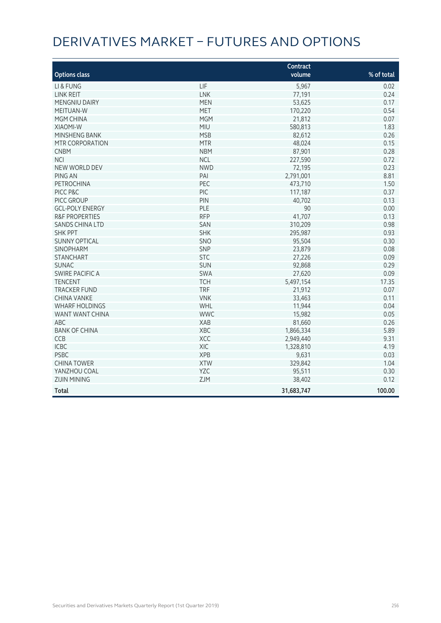# Derivatives Market – Futures and Options

|                           |            | Contract   |            |
|---------------------------|------------|------------|------------|
| <b>Options class</b>      |            | volume     | % of total |
| LI & FUNG                 | LIF        | 5,967      | 0.02       |
| <b>LINK REIT</b>          | LNK        | 77,191     | 0.24       |
| <b>MENGNIU DAIRY</b>      | <b>MEN</b> | 53,625     | 0.17       |
| MEITUAN-W                 | <b>MET</b> | 170,220    | 0.54       |
| MGM CHINA                 | <b>MGM</b> | 21,812     | 0.07       |
| XIAOMI-W                  | <b>MIU</b> | 580,813    | 1.83       |
| MINSHENG BANK             | <b>MSB</b> | 82,612     | 0.26       |
| MTR CORPORATION           | <b>MTR</b> | 48,024     | 0.15       |
| <b>CNBM</b>               | <b>NBM</b> | 87,901     | 0.28       |
| <b>NCI</b>                | <b>NCL</b> | 227,590    | 0.72       |
| NEW WORLD DEV             | <b>NWD</b> | 72,195     | 0.23       |
| PING AN                   | PAI        | 2,791,001  | 8.81       |
| <b>PETROCHINA</b>         | PEC        | 473,710    | 1.50       |
| PICC P&C                  | PIC        | 117,187    | 0.37       |
| PICC GROUP                | PIN        | 40,702     | 0.13       |
| <b>GCL-POLY ENERGY</b>    | PLE        | 90         | 0.00       |
| <b>R&amp;F PROPERTIES</b> | <b>RFP</b> | 41,707     | 0.13       |
| <b>SANDS CHINA LTD</b>    | SAN        | 310,209    | 0.98       |
| <b>SHK PPT</b>            | <b>SHK</b> | 295,987    | 0.93       |
| <b>SUNNY OPTICAL</b>      | SNO        | 95,504     | 0.30       |
| <b>SINOPHARM</b>          | SNP        | 23,879     | 0.08       |
| <b>STANCHART</b>          | <b>STC</b> | 27,226     | 0.09       |
| <b>SUNAC</b>              | SUN        | 92,868     | 0.29       |
| <b>SWIRE PACIFIC A</b>    | SWA        | 27,620     | 0.09       |
| <b>TENCENT</b>            | <b>TCH</b> | 5,497,154  | 17.35      |
| <b>TRACKER FUND</b>       | <b>TRF</b> | 21,912     | 0.07       |
| <b>CHINA VANKE</b>        | <b>VNK</b> | 33,463     | 0.11       |
| <b>WHARF HOLDINGS</b>     | WHL        | 11,944     | 0.04       |
| WANT WANT CHINA           | <b>WWC</b> | 15,982     | 0.05       |
| ABC                       | XAB        | 81,660     | 0.26       |
| <b>BANK OF CHINA</b>      | XBC        | 1,866,334  | 5.89       |
| CCB                       | XCC        | 2,949,440  | 9.31       |
| <b>ICBC</b>               | XIC        | 1,328,810  | 4.19       |
| <b>PSBC</b>               | <b>XPB</b> | 9,631      | 0.03       |
| <b>CHINA TOWER</b>        | <b>XTW</b> | 329,842    | 1.04       |
| YANZHOU COAL              | YZC        | 95,511     | 0.30       |
| <b>ZIJIN MINING</b>       | ZJM        | 38,402     | 0.12       |
| <b>Total</b>              |            | 31,683,747 | 100.00     |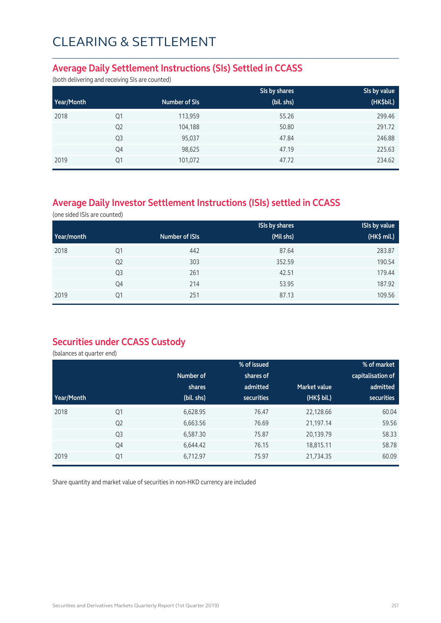### **Average Daily Settlement Instructions (SIs) Settled in CCASS**

(both delivering and receiving SIs are counted)

|            |                |               | SIs by shares | SIs by value |
|------------|----------------|---------------|---------------|--------------|
| Year/Month |                | Number of SIs | (bil. shs)    | (HK\$bil.)   |
| 2018       | Q1             | 113,959       | 55.26         | 299.46       |
|            | Q <sub>2</sub> | 104,188       | 50.80         | 291.72       |
|            | Q <sub>3</sub> | 95,037        | 47.84         | 246.88       |
|            | Q4             | 98,625        | 47.19         | 225.63       |
| 2019       | Q1             | 101,072       | 47.72         | 234.62       |

## **Average Daily Investor Settlement Instructions (ISIs) settled in CCASS**

(one sided ISIs are counted)

|            |                |                | <b>ISIs by shares</b> | <b>ISIs by value</b> |
|------------|----------------|----------------|-----------------------|----------------------|
| Year/month |                | Number of ISIs | (Mil shs)             | (HK\$ mil.)          |
| 2018       | Q1             | 442            | 87.64                 | 283.87               |
|            | Q <sub>2</sub> | 303            | 352.59                | 190.54               |
|            | Q <sub>3</sub> | 261            | 42.51                 | 179.44               |
|            | Q4             | 214            | 53.95                 | 187.92               |
| 2019       | Q1             | 251            | 87.13                 | 109.56               |

### **Securities under CCASS Custody**

(balances at quarter end)

|            |                |            | % of issued       |                     | % of market       |
|------------|----------------|------------|-------------------|---------------------|-------------------|
|            |                | Number of  | shares of         |                     | capitalisation of |
|            |                | shares     | admitted          | <b>Market value</b> | admitted          |
| Year/Month |                | (bil. shs) | <b>securities</b> | (HK\$ bil.)         | securities        |
| 2018       | Q1             | 6,628.95   | 76.47             | 22,128.66           | 60.04             |
|            | Q <sub>2</sub> | 6,663.56   | 76.69             | 21,197.14           | 59.56             |
|            | Q <sub>3</sub> | 6,587.30   | 75.87             | 20,139.79           | 58.33             |
|            | Q4             | 6,644.42   | 76.15             | 18,815.11           | 58.78             |
| 2019       | Q1             | 6,712.97   | 75.97             | 21,734.35           | 60.09             |

Share quantity and market value of securities in non-HKD currency are included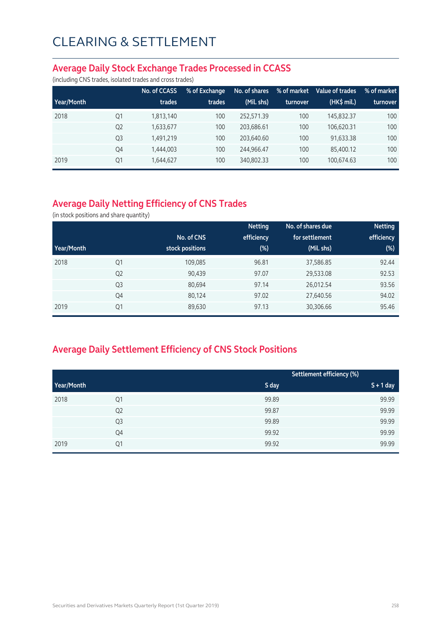#### **Average Daily Stock Exchange Trades Processed in CCASS**

(including CNS trades, isolated trades and cross trades)

|            |                | No. of CCASS | % of Exchange | No. of shares | % of market | Value of trades | % of market |
|------------|----------------|--------------|---------------|---------------|-------------|-----------------|-------------|
| Year/Month |                | trades       | trades        | (Mil. shs)    | turnover    | $(HK\$ mil.)    | turnover    |
| 2018       | Q1             | 1,813,140    | 100           | 252.571.39    | 100         | 145.832.37      | 100         |
|            | Q <sub>2</sub> | 1,633,677    | 100           | 203.686.61    | 100         | 106.620.31      | 100         |
|            | Q <sub>3</sub> | 1,491,219    | 100           | 203.640.60    | 100         | 91,633.38       | 100         |
|            | Q4             | 1,444,003    | 100           | 244.966.47    | 100         | 85,400.12       | 100         |
| 2019       | Q1             | 1,644,627    | 100           | 340,802.33    | 100         | 100,674.63      | 100         |

## **Average Daily Netting Efficiency of CNS Trades**

(in stock positions and share quantity)

|            |                |                 | <b>Netting</b> | No. of shares due | <b>Netting</b> |
|------------|----------------|-----------------|----------------|-------------------|----------------|
|            |                | No. of CNS      | efficiency     | for settlement    | efficiency     |
| Year/Month |                | stock positions | $(\%)$         | (Mil. shs)        | $(\%)$         |
| 2018       | Q1             | 109,085         | 96.81          | 37,586.85         | 92.44          |
|            | Q <sub>2</sub> | 90,439          | 97.07          | 29,533.08         | 92.53          |
|            | Q <sub>3</sub> | 80,694          | 97.14          | 26,012.54         | 93.56          |
|            | Q4             | 80,124          | 97.02          | 27,640.56         | 94.02          |
| 2019       | Q1             | 89,630          | 97.13          | 30,306.66         | 95.46          |

## **Average Daily Settlement Efficiency of CNS Stock Positions**

|            |                |       | Settlement efficiency (%) |
|------------|----------------|-------|---------------------------|
| Year/Month |                | S day | $S + 1$ day               |
| 2018       | Q1             | 99.89 | 99.99                     |
|            | Q <sub>2</sub> | 99.87 | 99.99                     |
|            | Q3             | 99.89 | 99.99                     |
|            | Q4             | 99.92 | 99.99                     |
| 2019       | Q1             | 99.92 | 99.99                     |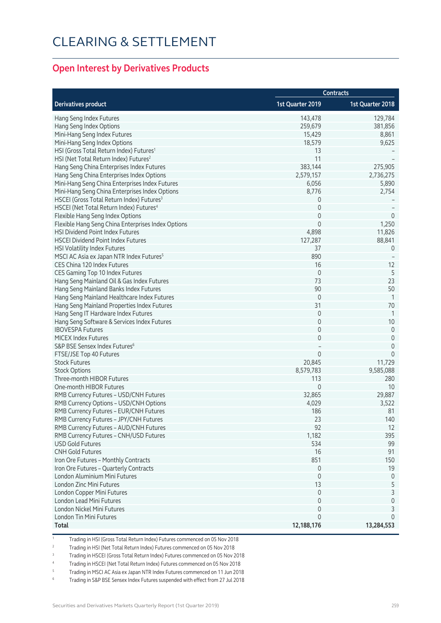### **Open Interest by Derivatives Products**

|                                                       | <b>Contracts</b> |                  |  |
|-------------------------------------------------------|------------------|------------------|--|
| <b>Derivatives product</b>                            | 1st Quarter 2019 | 1st Quarter 2018 |  |
| Hang Seng Index Futures                               | 143,478          | 129,784          |  |
| Hang Seng Index Options                               | 259,679          | 381,856          |  |
| Mini-Hang Seng Index Futures                          | 15,429           | 8,861            |  |
| Mini-Hang Seng Index Options                          | 18,579           | 9,625            |  |
| HSI (Gross Total Return Index) Futures <sup>1</sup>   | 13               |                  |  |
| HSI (Net Total Return Index) Futures <sup>2</sup>     | 11               |                  |  |
| Hang Seng China Enterprises Index Futures             | 383,144          | 275,905          |  |
| Hang Seng China Enterprises Index Options             | 2,579,157        | 2,736,275        |  |
| Mini-Hang Seng China Enterprises Index Futures        | 6,056            | 5,890            |  |
| Mini-Hang Seng China Enterprises Index Options        | 8,776            | 2,754            |  |
| HSCEI (Gross Total Return Index) Futures <sup>3</sup> | 0                |                  |  |
| HSCEI (Net Total Return Index) Futures <sup>4</sup>   | $\mathbf 0$      |                  |  |
| Flexible Hang Seng Index Options                      | $\mathbf 0$      | $\theta$         |  |
| Flexible Hang Seng China Enterprises Index Options    | $\Omega$         | 1,250            |  |
| HSI Dividend Point Index Futures                      | 4,898            | 11,826           |  |
| <b>HSCEI Dividend Point Index Futures</b>             | 127,287          | 88,841           |  |
| HSI Volatility Index Futures                          | 37               | $\overline{0}$   |  |
| MSCI AC Asia ex Japan NTR Index Futures <sup>5</sup>  | 890              |                  |  |
| CES China 120 Index Futures                           | 16               | 12               |  |
| CES Gaming Top 10 Index Futures                       | $\mathbf 0$      | 5                |  |
| Hang Seng Mainland Oil & Gas Index Futures            | 73               | 23               |  |
|                                                       | 90               | 50               |  |
| Hang Seng Mainland Banks Index Futures                | $\mathbf 0$      | -1               |  |
| Hang Seng Mainland Healthcare Index Futures           | 31               |                  |  |
| Hang Seng Mainland Properties Index Futures           |                  | 70               |  |
| Hang Seng IT Hardware Index Futures                   | $\mathbf 0$      | -1               |  |
| Hang Seng Software & Services Index Futures           | $\mathbf 0$      | 10               |  |
| <b>IBOVESPA Futures</b>                               | $\overline{0}$   | $\mathbf 0$      |  |
| MICEX Index Futures                                   | 0                | $\mathbf 0$      |  |
| S&P BSE Sensex Index Futures <sup>6</sup>             |                  | $\mathbf 0$      |  |
| FTSE/JSE Top 40 Futures                               | $\mathbf 0$      | $\mathbf 0$      |  |
| <b>Stock Futures</b>                                  | 20,845           | 11,729           |  |
| <b>Stock Options</b>                                  | 8,579,783        | 9,585,088        |  |
| Three-month HIBOR Futures                             | 113              | 280              |  |
| One-month HIBOR Futures                               | $\mathbf 0$      | 10               |  |
| RMB Currency Futures - USD/CNH Futures                | 32,865           | 29,887           |  |
| RMB Currency Options - USD/CNH Options                | 4,029            | 3,522            |  |
| RMB Currency Futures - EUR/CNH Futures                | 186              | 81               |  |
| RMB Currency Futures - JPY/CNH Futures                | 23               | 140              |  |
| RMB Currency Futures - AUD/CNH Futures                | 92               | 12               |  |
| RMB Currency Futures - CNH/USD Futures                | 1,182            | 395              |  |
| <b>USD Gold Futures</b>                               | 534              | 99               |  |
| <b>CNH Gold Futures</b>                               | 16               | 91               |  |
| Iron Ore Futures - Monthly Contracts                  | 851              | 150              |  |
| Iron Ore Futures - Quarterly Contracts                | $\mathbb O$      | 19               |  |
| London Aluminium Mini Futures                         | $\overline{0}$   | 0                |  |
| London Zinc Mini Futures                              | 13               | 5                |  |
| London Copper Mini Futures                            | $\mathbf{0}$     | 3                |  |
| London Lead Mini Futures                              | $\Omega$         | $\mathbf 0$      |  |
| London Nickel Mini Futures                            | 0                | 3                |  |
| London Tin Mini Futures                               | 0                | $\Omega$         |  |
| Total                                                 | 12,188,176       | 13,284,553       |  |

1 Trading in HSI (Gross Total Return Index) Futures commenced on 05 Nov 2018

<sup>2</sup> Trading in HSI (Net Total Return Index) Futures commenced on 05 Nov 2018

3 Trading in HSCEI (Gross Total Return Index) Futures commenced on 05 Nov 2018

4 Trading in HSCEI (Net Total Return Index) Futures commenced on 05 Nov 2018

5 Trading in MSCI AC Asia ex Japan NTR Index Futures commenced on 11 Jun 2018

6 Trading in S&P BSE Sensex Index Futures suspended with effect from 27 Jul 2018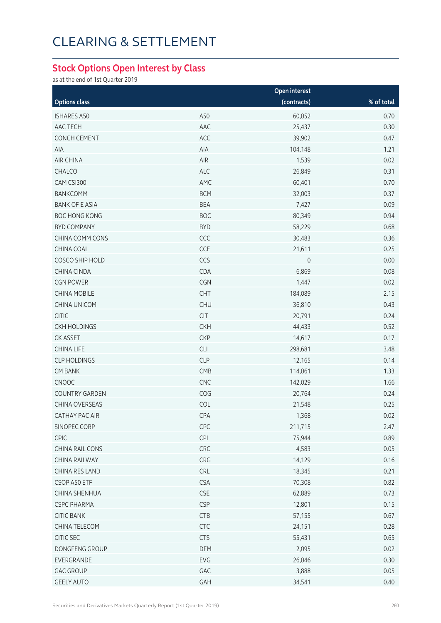### **Stock Options Open Interest by Class**

as at the end of 1st Quarter 2019

|                       |            | Open interest |            |
|-----------------------|------------|---------------|------------|
| <b>Options class</b>  |            | (contracts)   | % of total |
| <b>ISHARES A50</b>    | A50        | 60,052        | 0.70       |
| AAC TECH              | AAC        | 25,437        | 0.30       |
| <b>CONCH CEMENT</b>   | ACC        | 39,902        | 0.47       |
| AIA                   | AIA        | 104,148       | 1.21       |
| AIR CHINA             | AIR        | 1,539         | 0.02       |
| CHALCO                | <b>ALC</b> | 26,849        | 0.31       |
| CAM CSI300            | AMC        | 60,401        | 0.70       |
| <b>BANKCOMM</b>       | <b>BCM</b> | 32,003        | 0.37       |
| <b>BANK OF E ASIA</b> | <b>BEA</b> | 7,427         | 0.09       |
| <b>BOC HONG KONG</b>  | <b>BOC</b> | 80,349        | 0.94       |
| <b>BYD COMPANY</b>    | <b>BYD</b> | 58,229        | 0.68       |
| CHINA COMM CONS       | CCC        | 30,483        | 0.36       |
| CHINA COAL            | CCE        | 21,611        | 0.25       |
| COSCO SHIP HOLD       | CCS        | $\mathsf{O}$  | 0.00       |
| CHINA CINDA           | CDA        | 6,869         | 0.08       |
| <b>CGN POWER</b>      | CGN        | 1,447         | 0.02       |
| <b>CHINA MOBILE</b>   | <b>CHT</b> | 184,089       | 2.15       |
| CHINA UNICOM          | <b>CHU</b> | 36,810        | 0.43       |
| <b>CITIC</b>          | <b>CIT</b> | 20,791        | 0.24       |
| <b>CKH HOLDINGS</b>   | <b>CKH</b> | 44,433        | 0.52       |
| <b>CK ASSET</b>       | <b>CKP</b> | 14,617        | 0.17       |
| <b>CHINA LIFE</b>     | CLI        | 298,681       | 3.48       |
| <b>CLP HOLDINGS</b>   | <b>CLP</b> | 12,165        | 0.14       |
| <b>CM BANK</b>        | CMB        | 114,061       | 1.33       |
| CNOOC                 | CNC        | 142,029       | 1.66       |
| <b>COUNTRY GARDEN</b> | COG        | 20,764        | 0.24       |
| CHINA OVERSEAS        | COL        | 21,548        | 0.25       |
| CATHAY PAC AIR        | CPA        | 1,368         | 0.02       |
| SINOPEC CORP          | CPC        | 211,715       | 2.47       |
| CPIC                  | <b>CPI</b> | 75,944        | 0.89       |
| CHINA RAIL CONS       | CRC        | 4,583         | 0.05       |
| CHINA RAILWAY         | CRG        | 14,129        | 0.16       |
| CHINA RES LAND        | <b>CRL</b> | 18,345        | 0.21       |
| CSOP A50 ETF          | <b>CSA</b> | 70,308        | 0.82       |
| CHINA SHENHUA         | <b>CSE</b> | 62,889        | 0.73       |
| <b>CSPC PHARMA</b>    | <b>CSP</b> | 12,801        | 0.15       |
| <b>CITIC BANK</b>     | CTB        | 57,155        | 0.67       |
| CHINA TELECOM         | <b>CTC</b> | 24,151        | 0.28       |
| CITIC SEC             | <b>CTS</b> | 55,431        | 0.65       |
| DONGFENG GROUP        | DFM        | 2,095         | 0.02       |
| EVERGRANDE            | EVG        | 26,046        | 0.30       |
| <b>GAC GROUP</b>      | GAC        | 3,888         | 0.05       |
| <b>GEELY AUTO</b>     | GAH        | 34,541        | 0.40       |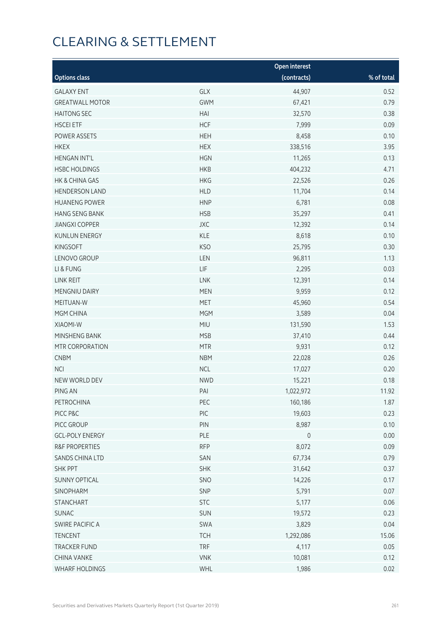|                           |            | <b>Open interest</b> |            |
|---------------------------|------------|----------------------|------------|
| <b>Options class</b>      |            | (contracts)          | % of total |
| <b>GALAXY ENT</b>         | GLX        | 44,907               | 0.52       |
| <b>GREATWALL MOTOR</b>    | <b>GWM</b> | 67,421               | 0.79       |
| <b>HAITONG SEC</b>        | HAI        | 32,570               | 0.38       |
| <b>HSCEI ETF</b>          | <b>HCF</b> | 7,999                | 0.09       |
| POWER ASSETS              | <b>HEH</b> | 8,458                | 0.10       |
| <b>HKEX</b>               | <b>HEX</b> | 338,516              | 3.95       |
| <b>HENGAN INT'L</b>       | <b>HGN</b> | 11,265               | 0.13       |
| <b>HSBC HOLDINGS</b>      | <b>HKB</b> | 404,232              | 4.71       |
| HK & CHINA GAS            | <b>HKG</b> | 22,526               | 0.26       |
| <b>HENDERSON LAND</b>     | <b>HLD</b> | 11,704               | 0.14       |
| <b>HUANENG POWER</b>      | <b>HNP</b> | 6,781                | 0.08       |
| <b>HANG SENG BANK</b>     | <b>HSB</b> | 35,297               | 0.41       |
| <b>JIANGXI COPPER</b>     | JXC        | 12,392               | 0.14       |
| <b>KUNLUN ENERGY</b>      | <b>KLE</b> | 8,618                | 0.10       |
| <b>KINGSOFT</b>           | <b>KSO</b> | 25,795               | 0.30       |
| LENOVO GROUP              | LEN        | 96,811               | 1.13       |
| LI & FUNG                 | LIF        | 2,295                | 0.03       |
| LINK REIT                 | <b>LNK</b> | 12,391               | 0.14       |
| MENGNIU DAIRY             | <b>MEN</b> | 9,959                | 0.12       |
| MEITUAN-W                 | <b>MET</b> | 45,960               | 0.54       |
| MGM CHINA                 | <b>MGM</b> | 3,589                | 0.04       |
| XIAOMI-W                  | <b>MIU</b> | 131,590              | 1.53       |
| MINSHENG BANK             | <b>MSB</b> | 37,410               | 0.44       |
| MTR CORPORATION           | <b>MTR</b> | 9,931                | 0.12       |
| <b>CNBM</b>               | <b>NBM</b> | 22,028               | 0.26       |
| <b>NCI</b>                | <b>NCL</b> | 17,027               | 0.20       |
| NEW WORLD DEV             | <b>NWD</b> | 15,221               | 0.18       |
| PING AN                   | PAI        | 1,022,972            | 11.92      |
| PETROCHINA                | PEC        | 160,186              | 1.87       |
| PICC P&C                  | PIC        | 19,603               | 0.23       |
| PICC GROUP                | PIN        | 8,987                | 0.10       |
| <b>GCL-POLY ENERGY</b>    | PLE        | $\mathsf{O}$         | 0.00       |
| <b>R&amp;F PROPERTIES</b> | <b>RFP</b> | 8,072                | 0.09       |
| SANDS CHINA LTD           | SAN        | 67,734               | 0.79       |
| <b>SHK PPT</b>            | <b>SHK</b> | 31,642               | 0.37       |
| <b>SUNNY OPTICAL</b>      | SNO        | 14,226               | 0.17       |
| SINOPHARM                 | SNP        | 5,791                | 0.07       |
| <b>STANCHART</b>          | <b>STC</b> | 5,177                | 0.06       |
| <b>SUNAC</b>              | SUN        | 19,572               | 0.23       |
| SWIRE PACIFIC A           | SWA        | 3,829                | 0.04       |
| <b>TENCENT</b>            | <b>TCH</b> | 1,292,086            | 15.06      |
| <b>TRACKER FUND</b>       | <b>TRF</b> | 4,117                | 0.05       |
| <b>CHINA VANKE</b>        | <b>VNK</b> | 10,081               | 0.12       |
| WHARF HOLDINGS            | WHL        | 1,986                | 0.02       |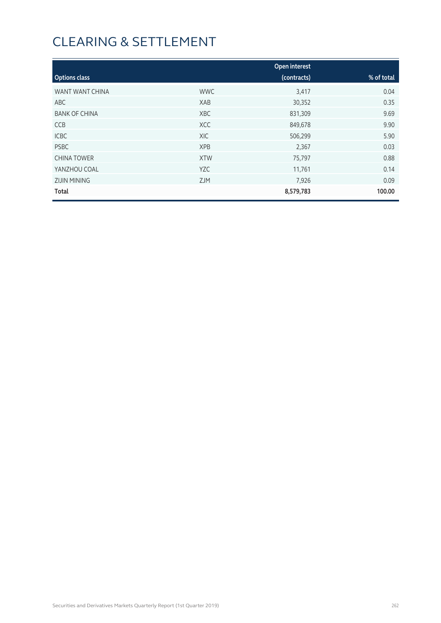|                      |            | <b>Open interest</b> |            |
|----------------------|------------|----------------------|------------|
| <b>Options class</b> |            | (contracts)          | % of total |
| WANT WANT CHINA      | <b>WWC</b> | 3,417                | 0.04       |
| ABC                  | XAB        | 30,352               | 0.35       |
| <b>BANK OF CHINA</b> | <b>XBC</b> | 831,309              | 9.69       |
| <b>CCB</b>           | <b>XCC</b> | 849,678              | 9.90       |
| <b>ICBC</b>          | XIC        | 506,299              | 5.90       |
| <b>PSBC</b>          | <b>XPB</b> | 2,367                | 0.03       |
| <b>CHINA TOWER</b>   | <b>XTW</b> | 75,797               | 0.88       |
| YANZHOU COAL         | <b>YZC</b> | 11,761               | 0.14       |
| <b>ZIJIN MINING</b>  | <b>ZJM</b> | 7,926                | 0.09       |
| Total                |            | 8,579,783            | 100.00     |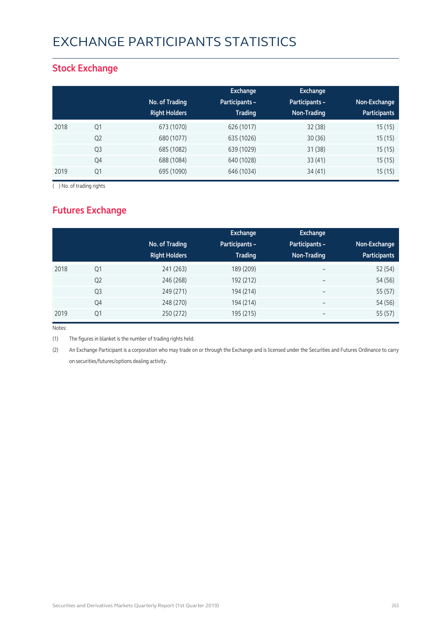## Exchange Participants Statistics

### **Stock Exchange**

|      |                | No. of Trading<br><b>Right Holders</b> | Exchange<br><b>Participants -</b><br><b>Trading</b> | <b>Exchange</b><br>Participants -<br>Non-Trading | Non-Exchange<br><b>Participants</b> |
|------|----------------|----------------------------------------|-----------------------------------------------------|--------------------------------------------------|-------------------------------------|
| 2018 | Q1             | 673 (1070)                             | 626 (1017)                                          | 32(38)                                           | 15(15)                              |
|      | Q <sub>2</sub> | 680 (1077)                             | 635 (1026)                                          | 30(36)                                           | 15(15)                              |
|      | Q <sub>3</sub> | 685 (1082)                             | 639 (1029)                                          | 31(38)                                           | 15(15)                              |
|      | Q4             | 688 (1084)                             | 640 (1028)                                          | 33(41)                                           | 15(15)                              |
| 2019 | Q1             | 695 (1090)                             | 646 (1034)                                          | 34(41)                                           | 15(15)                              |

( ) No. of trading rights

## **Futures Exchange**

|      |                | No. of Trading<br><b>Right Holders</b> | Exchange<br><b>Participants -</b><br><b>Trading</b> | <b>Exchange</b><br>Participants -<br>Non-Trading | Non-Exchange<br><b>Participants</b> |
|------|----------------|----------------------------------------|-----------------------------------------------------|--------------------------------------------------|-------------------------------------|
| 2018 | Q <sub>1</sub> | 241 (263)                              | 189 (209)                                           | $\overline{\phantom{m}}$                         | 52 (54)                             |
|      | Q <sub>2</sub> | 246 (268)                              | 192 (212)                                           | $\overline{\phantom{a}}$                         | 54 (56)                             |
|      | Q <sub>3</sub> | 249 (271)                              | 194 (214)                                           | $\overline{\phantom{a}}$                         | 55 (57)                             |
|      | Q4             | 248 (270)                              | 194 (214)                                           | $\overline{\phantom{a}}$                         | 54 (56)                             |
| 2019 | Q1             | 250 (272)                              | 195 (215)                                           |                                                  | 55 (57)                             |

Notes:

(1) The figures in blanket is the number of trading rights held.

(2) An Exchange Participant is a corporation who may trade on or through the Exchange and is licensed under the Securities and Futures Ordinance to carry on securities/futures/options dealing activity.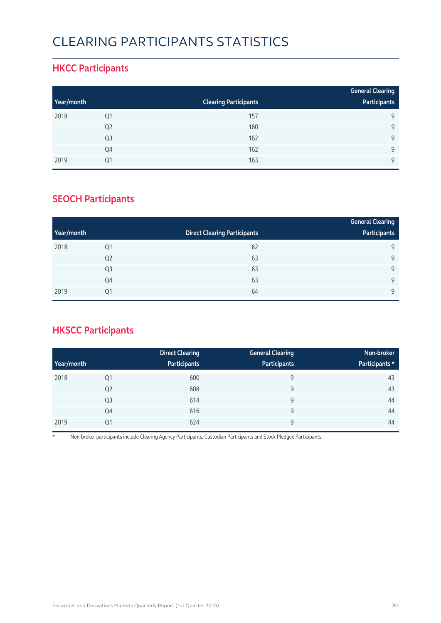## Clearing Participants Statistics

### **HKCC Participants**

|            |                |                              | <b>General Clearing</b> |
|------------|----------------|------------------------------|-------------------------|
| Year/month |                | <b>Clearing Participants</b> | Participants            |
| 2018       | Q1             | 157                          | 9                       |
|            | Q <sub>2</sub> | 160                          | 9                       |
|            | Q <sub>3</sub> | 162                          | $\mathsf{Q}$            |
|            | Q4             | 162                          | $\mathsf{Q}$            |
| 2019       | Q1             | 163                          | $\mathsf{Q}$            |

### **SEOCH Participants**

|            |                |                                     | <b>General Clearing</b> |
|------------|----------------|-------------------------------------|-------------------------|
| Year/month |                | <b>Direct Clearing Participants</b> | Participants            |
| 2018       | Q1             | 62                                  | 9                       |
|            | Q <sub>2</sub> | 63                                  | 9                       |
|            | Q <sub>3</sub> | 63                                  | 9                       |
|            | Q4             | 63                                  | 9                       |
| 2019       | Q1             | 64                                  | 9                       |

## **HKSCC Participants**

|            |                | <b>Direct Clearing</b> | <b>General Clearing</b> | Non-broker     |
|------------|----------------|------------------------|-------------------------|----------------|
| Year/month |                | Participants           | Participants            | Participants * |
| 2018       | Q1             | 600                    | 9                       | 43             |
|            | Q <sub>2</sub> | 608                    | 9                       | 43             |
|            | Q <sub>3</sub> | 614                    | 9                       | 44             |
|            | Q4             | 616                    | 9                       | 44             |
| 2019       | Q1             | 624                    | 9                       | 44             |

\* Non-broker participants include Clearing Agency Participants, Custodian Participants and Stock Pledgee Participants.